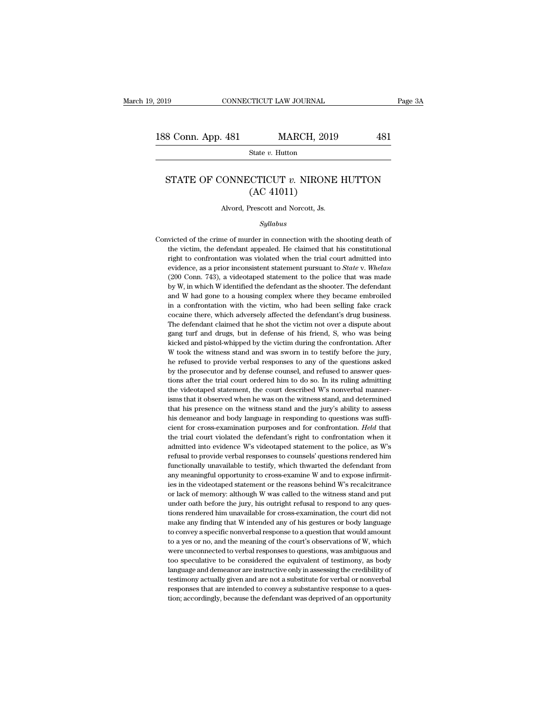### S Conn. App. 481 MARCH, 2019 481<br>State *v.* Hutton<br>STATE OF CONNECTICUT *v.* NIRONE HUTTON (AC 41011) MARCH, 201<br>
State v. Hutton<br>
CTICUT v. NIRON<br>
(AC 41011)<br>
Prescott and Norcott, Js. STATE OF CONNECTICUT  $v$ . NIRONE HUTTON<br>(AC 41011)<br>Alvord, Prescott and Norcott, Js.

### *Syllabus*

 $(AC 41011)$ <br>Alvord, Prescott and Norcott, Js.<br>Syllabus<br>Convicted of the crime of murder in connection with the shooting death of<br>the victim, the defendant appealed. He claimed that his constitutional Alvord, Prescott and Norcott, Js.<br>
Syllabus<br>
victed of the crime of murder in connection with the shooting death of<br>
the victim, the defendant appealed. He claimed that his constitutional<br>
right to confrontation was violat Alvord, Prescott and Norcott, Js.<br>
Syllabus<br>
victed of the crime of murder in connection with the shooting death of<br>
the victim, the defendant appealed. He claimed that his constitutional<br>
right to confrontation was violat Syllabus<br>wicted of the crime of murder in connection with the shooting death of<br>the victim, the defendant appealed. He claimed that his constitutional<br>right to confrontation was violated when the trial court admitted into<br> *Syllabus*<br>
syllabus<br>
victed of the crime of murder in connection with the shooting death of<br>
the victim, the defendant appealed. He claimed that his constitutional<br>
right to confrontation was violated when the trial court victed of the crime of murder in connection with the shooting death of the victim, the defendant appealed. He claimed that his constitutional right to confrontation was violated when the trial court admitted into evidence the victim, the defendant appealed. He claimed that his constitutional right to confrontation was violated when the trial court admitted into evidence, as a prior inconsistent statement pursuant to *State* v. *Whelan* (20 right to confrontation was violated when the trial court admitted into evidence, as a prior inconsistent statement pursuant to *State* v. *Whelan* (200 Conn. 743), a videotaped statement to the police that was made by W, evidence, as a prior inconsistent statement pursuant to *State* v. *Whelan* evidence, as a prior inconsistent statement pursuant to *State* v. *Whelan* (200 Conn. 743), a videotaped statement to the police that was made b C200 Conn. 743), a videotaped statement to the police that was made by W, in which W identified the defendant as the shooter. The defendant and W had gone to a housing complex where they became embroiled in a confrontatio by W, in which W identified the defendant as the shooter. The defendant and W had gone to a housing complex where they became embroiled in a confrontation with the victim, who had been selling fake crack cocaine there, whi by in the discussion and W had gone to a housing complex where they became embroiled in a confrontation with the victim, who had been selling fake crack cocaine there, which adversely affected the defendant's drug business in a confrontation with the victim, who had been selling fake crack cocaine there, which adversely affected the defendant's drug business. The defendant claimed that he shot the victim not over a dispute about gang turf an cocaine there, which adversely affected the defendant's drug business.<br>The defendant claimed that he shot the victim not over a dispute about<br>gang turf and drugs, but in defense of his friend, S, who was being<br>kicked and p The defendant claimed that he shot the victim not over a dispute about gang turf and drugs, but in defense of his friend, S, who was being kicked and pistol-whipped by the victim during the confrontation. After W took the Frame the trial court of the trial court of the trial court of the trial control and pistol-whipped by the victim during the confrontation. After W took the witness stand and was sworn in to testify before the jury, the re stated and pistol-whipped by the victim during the confrontation. After W took the witness stand and was sworn in to testify before the jury, the refused to provide verbal responses to any of the questions asked by the pro is that we will ensure the witness stand and was sworn in to testify before the jury, the refused to provide verbal responses to any of the questions asked by the prosecutor and by defense counsel, and refused to answer q the refused to provide verbal responses to any of the questions asked by the prosecutor and by defense counsel, and refused to answer questions after the trial court ordered him to do so. In its ruling admitting the videot hy the prosecutor and by defense counsel, and refused to answer questions after the trial court ordered him to do so. In its ruling admitting the videotaped statement, the court described W's nonverbal mannerisms that it o tions after the trial court ordered him to do so. In its ruling admitting the videotaped statement, the court described W's nonverbal mannerisms that it observed when he was on the witness stand, and determined that his pr the videotaped statement, the court described W's nonverbal manner-<br>isms that it observed when he was on the witness stand, and determined<br>that his presence on the witness stand and the jury's ability to assess<br>his demeano isms that it observed when he was on the witness stand, and determined<br>that his presence on the witness stand and the jury's ability to assess<br>his demeanor and body language in responding to questions was suffi-<br>cient for that his presence on the witness stand and the jury's ability to assess his demeanor and body language in responding to questions was sufficient for cross-examination purposes and for confrontation. *Held* that the trial his demeanor and body language in responding to questions was sufficient for cross-examination purposes and for confrontation. *Held* that the trial court violated the defendant's right to confrontation when it admitted in his demeanor and body language in responding to questions was sufficient for cross-examination purposes and for confrontation. *Held* that the trial court violated the defendant's right to confrontation when it admitted i the trial court violated the defendant's right to confrontation when it admitted into evidence W's videotaped statement to the police, as W's refusal to provide verbal responses to counsels' questions rendered him function admitted into evidence W's videotaped statement to the police, as W's<br>refusal to provide verbal responses to counsels' questions rendered him<br>functionally unavailable to testify, which thwarted the defendant from<br>any meani functionally unavailable to testify, which thwarted the defendant from<br>any meaningful opportunity to cross-examine W and to expose infirmit-<br>ies in the videotaped statement or the reasons behind W's recalcitrance<br>or lack o functionally unavailable to testify, which thwarted the defendant from any meaningful opportunity to cross-examine W and to expose infirmities in the videotaped statement or the reasons behind W's recalcitrance or lack of any meaningful opportunity to cross-examine W and to expose infirmities in the videotaped statement or the reasons behind W's recalcitrance or lack of memory: although W was called to the witness stand and put under oath b ies in the videotaped statement or the reasons behind W's recalcitrance<br>or lack of memory: although W was called to the witness stand and put<br>under oath before the jury, his outright refusal to respond to any ques-<br>tions r or lack of memory: although W was called to the witness stand and put<br>under oath before the jury, his outright refusal to respond to any ques-<br>tions rendered him unavailable for cross-examination, the court did not<br>make an under oath before the jury, his outright refusal to respond to any questions rendered him unavailable for cross-examination, the court did not make any finding that W intended any of his gestures or body language to convey tions rendered him unavailable for cross-examination, the court did not make any finding that W intended any of his gestures or body language to convey a specific nonverbal response to a question that would amount to a yes make any finding that W intended any of his gestures or body language to convey a specific nonverbal response to a question that would amount to a yes or no, and the meaning of the court's observations of W, which were unc to convey a specific nonverbal response to a question that would amount<br>to a yes or no, and the meaning of the court's observations of W, which<br>were unconnected to verbal responses to questions, was ambiguous and<br>too specu to convey a specific nonverbal response to a question that would amount<br>to a yes or no, and the meaning of the court's observations of W, which<br>were unconnected to verbal responses to questions, was ambiguous and<br>too specu were unconnected to verbal responses to questions, was ambiguous and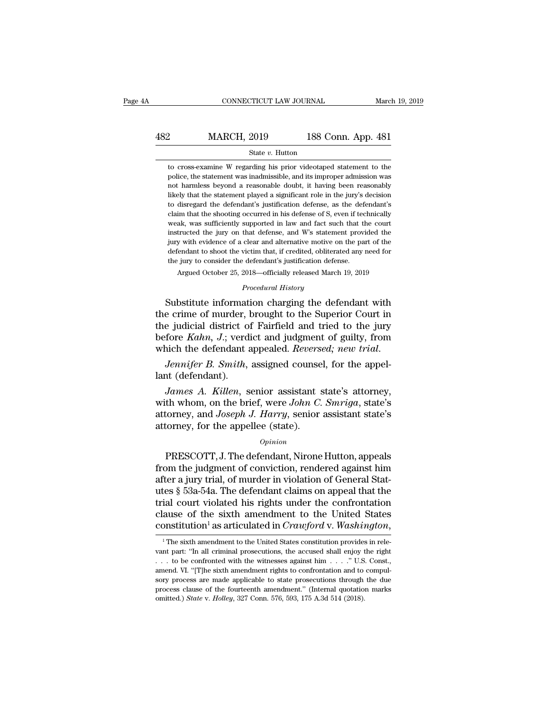### EXECUTE CONNECTICUT LAW JOURNAL March 19, 2019<br>
482 MARCH, 2019 188 Conn. App. 481<br>
5tate v. Hutton State *v.* Hutton MARCH, 2019 188 Conn. App. 481<br>
State v. Hutton<br>
to cross-examine W regarding his prior videotaped statement to the<br>
police, the statement was inadmissible, and its improper admission was

MARCH, 2019 188 Conn. App. 481<br>
State v. Hutton<br>
to cross-examine W regarding his prior videotaped statement to the<br>
police, the statement was inadmissible, and its improper admission was<br>
not harmless beyond a reasonable MARCH, 2019 188 Conn. App. 481<br>
state v. Hutton<br>
to cross-examine W regarding his prior videotaped statement to the<br>
police, the statement was inadmissible, and its improper admission was<br>
not harmless beyond a reasonable State  $v$ . Hutton<br>
to cross-examine W regarding his prior videotaped statement to the<br>
police, the statement was inadmissible, and its improper admission was<br>
not harmless beyond a reasonable doubt, it having been reasona State  $v$ . Hutton<br>to cross-examine W regarding his prior videotaped statement to the<br>police, the statement was inadmissible, and its improper admission was<br>not harmless beyond a reasonable doubt, it having been reasonably to cross-examine W regarding his prior videotaped statement to the police, the statement was inadmissible, and its improper admission was not harmless beyond a reasonable doubt, it having been reasonably likely that the st police, the statement was inadmissible, and its improper admission was not harmless beyond a reasonable doubt, it having been reasonably likely that the statement played a significant role in the jury's decision to disrega porto, are beyond a reasonable doubt, it having been reasonably<br>likely that the statement played a significant role in the jury's decision<br>to disregard the defendant's justification defense, as the defendant's<br>claim that t likely that the statement played a significant role in the jury's decision<br>it is disregard the defendant's justification defense, as the defendant's<br>claim that the shooting occurred in his defense of S, even if technically definition defendant's justification defense, as the defendant's claim that the shooting occurred in his defense of S, even if technically weak, was sufficiently supported in law and fact such that the court instructed the claim that the shooting occurred in his defense of S, even if tectorial that the shooting occurred in his defense of S, even if tectorial in the defendant of the jury on that defense, and W's statement providing with evide ak, was sufficiently supported in law and fact such that the court<br>tructed the jury on that defense, and W's statement provided the<br>y with evidence of a clear and alternative motive on the part of the<br>fendant to shoot the % instructed the jury on that defense, and W's statement provided the jury with evidence of a clear and alternative motive on the part of the defendant to shoot the victim that, if credited, obliterated any need for the j instructed the jury on that defense, and W's statement provided the<br>jury with evidence of a clear and alternative motive on the part of the<br>defendant to shoot the victim that, if credited, obliterated any need for<br>the jury

jury with evidence of a clear and alternative motive on the part of the<br>defendant to shoot the victim that, if credited, obliterated any need for<br>the jury to consider the defendant's justification defense.<br>Argued October 2 detendant to shoot the victim that, if credited, obiterated any need for<br>the jury to consider the defendant's justification defense.<br>Argued October 25, 2018—officially released March 19, 2019<br>*Procedural History*<br>Substitut Argued October 25, 2018—officially released March 19, 2019<br>*Procedural History*<br>Substitute information charging the defendant with<br>the crime of murder, brought to the Superior Court in<br>the judicial district of Fairfield an *Procedural History*<br>*Procedural History*<br>Substitute information charging the defendant with<br>the crime of murder, brought to the Superior Court in<br>the judicial district of Fairfield and tried to the jury<br>before *Kahn*, *J* Substitute information<br>the crime of murder, l<br>the judicial district of<br>before *Kahn*, *J*.; verd<br>which the defendant *a*<br>*Jennifer B. Smith*,<br>lant (defendant).<br>*James A. Killen*, s *Let trained in the state of Fairfield and tried to the jury fore Kahn, J.; verdict and judgment of guilty, from inch the defendant appealed. <i>Reversed; new trial. Jennifer B. Smith, assigned counsel, for the appelant (d* 

whom, J.; verdict and judgment of guilty, from<br>which the defendant appealed. *Reversed*; new trial.<br>*Jennifer B. Smith*, assigned counsel, for the appel-<br>lant (defendant).<br>*James A. Killen*, senior assistant state's attorn before Ham, 9., verdet and *Jaagnent of ganty*, non-<br>which the defendant appealed. *Reversed*; new trial.<br>*James A. Killen*, senior assistant state's attorney,<br>with whom, on the brief, were *John C. Smriga*, state's<br>attorn *Jennifer B. Smith, assigned counse*<br>lant (defendant).<br>*James A. Killen, senior assistant s*<br>with whom, on the brief, were *John C.*<br>attorney, and *Joseph J. Harry*, senior<br>attorney, for the appellee (state).<br>*Opinion James A. Killen*, senior assistant state's attorney,<br>th whom, on the brief, were *John C. Smriga*, state's<br>torney, and *Joseph J. Harry*, senior assistant state's<br>formey, for the appellee (state).<br>*Opinion*<br>PRESCOTT, J. T

### *Opinion*

but the whom, on the brief, were *John C. Smriga*, state's attorney, and *Joseph J. Harry*, senior assistant state's attorney, for the appellee (state).<br>  $opinion$ <br>
PRESCOTT, J. The defendant, Nirone Hutton, appeals from the j what whold, on the strict, were some c. Showgat, state s<br>attorney, and *Joseph J. Harry*, senior assistant state's<br>attorney, for the appellee (state).<br> $o$ <br> $o$ <br> $PRESCOTT$ , J. The defendant, Nirone Hutton, appeals<br>from the judg attorney, for the appellee (state).<br>  $opinion$ <br>
PRESCOTT, J. The defendant, Nirone Hutton, appeals<br>
from the judgment of conviction, rendered against him<br>
after a jury trial, of murder in violation of General Stat-<br>
utes § 53a opinion<br>
opinion<br>
PRESCOTT, J. The defendant, Nirone Hutton, appeals<br>
from the judgment of conviction, rendered against him<br>
after a jury trial, of murder in violation of General Stat-<br>
utes § 53a-54a. The defendant claim opinion<br>
PRESCOTT, J. The defendant, Nirone Hutton, appeals<br>
from the judgment of conviction, rendered against him<br>
after a jury trial, of murder in violation of General Stat-<br>
utes § 53a-54a. The defendant claims on appe PRESCOTT, J. The defendant, Nirone Hutton, appeals<br>from the judgment of conviction, rendered against him<br>after a jury trial, of murder in violation of General Stat-<br>utes § 53a-54a. The defendant claims on appeal that the<br>t tes § 53a-54a. The defendant claims on appeal that the ial court violated his rights under the confrontation ause of the sixth amendment to the United States constitution<sup>1</sup> as articulated in *Crawford* v. *Washington*, <sup></sup> trial court violated his rights under the confrontation<br>clause of the sixth amendment to the United States<br>constitution<sup>1</sup> as articulated in *Crawford* v. *Washington*,<br><sup>1</sup> The sixth amendment to the United States constit

clause of the sixth amendment to the United States<br>
constitution<sup>1</sup> as articulated in *Crawford* v. *Washington*,<br>
<sup>1</sup>The sixth amendment to the United States constitution provides in rele-<br>
vant part: "In all criminal pr constitution<sup>1</sup> as articulated in *Crawford* v. *Washington*,<br><sup>1</sup> The sixth amendment to the United States constitution provides in relevant part: "In all criminal prosecutions, the accused shall enjoy the right ... to be **CONSTRUILION** as articulated in Craw form  $V$ . Washington,<br>
<sup>1</sup> The sixth amendment to the United States constitution provides in relevant part: "In all criminal prosecutions, the accused shall enjoy the right . . . to b <sup>1</sup> The sixth amendment to the United States constitution provides in relevant part: "In all criminal prosecutions, the accused shall enjoy the right  $\dots$  to be confronted with the witnesses against him  $\dots$ .' U.S. Const. vant part: "In all criminal prosecutions, the accused shall enjoy the right . . . . to be confronted with the witnesses against him . . . . " U.S. Const., amend. VI. "[T]he sixth amendment rights to confrontation and to c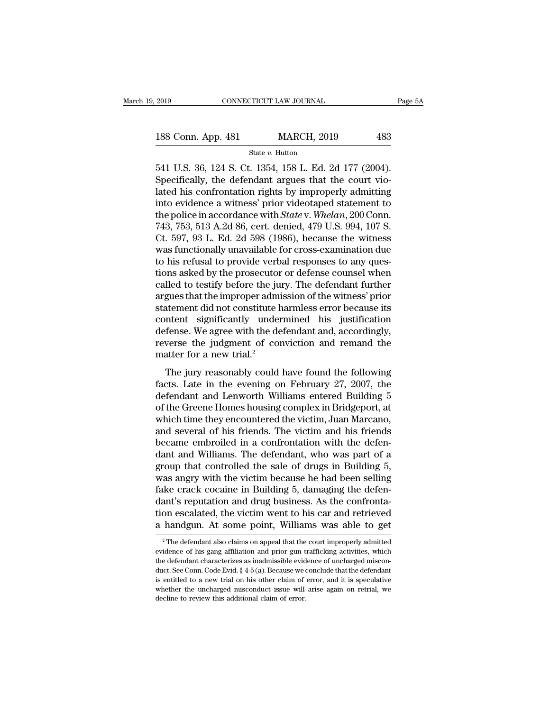2019 CONNECTICUT LAW JOURNAL Page<br>
188 Conn. App. 481 MARCH, 2019 483<br>
State v. Hutton<br>
541 U.S. 36, 124 S. Ct. 1354, 158 L. Ed. 2d 177 (2004).<br>
Specifically, the defendant argues that the court vio-188 Conn. App. 481 MARCH, 2019 483<br>
State v. Hutton<br>
541 U.S. 36, 124 S. Ct. 1354, 158 L. Ed. 2d 177 (2004).<br>
Specifically, the defendant argues that the court vio-<br>
lated his confrontation rights by improperly admitting<br> 188 Conn. App. 481 MARCH, 2019 483<br>
State v. Hutton<br>
541 U.S. 36, 124 S. Ct. 1354, 158 L. Ed. 2d 177 (2004).<br>
Specifically, the defendant argues that the court vio-<br>
lated his confrontation rights by improperly admitting<br> 188 Conn. App. 481 MARCH, 2019 483<br>
State v. Hutton<br>
541 U.S. 36, 124 S. Ct. 1354, 158 L. Ed. 2d 177 (2004).<br>
Specifically, the defendant argues that the court vio-<br>
lated his confrontation rights by improperly admitting<br> State *v.* Hulton, State *v.* Hulton, State *v.* Hulton, Specifically, the defendant argues that the court violated his confrontation rights by improperly admitting into evidence a witness' prior videotaped statement to th state v. Hutton<br>
541 U.S. 36, 124 S. Ct. 1354, 158 L. Ed. 2d 177 (2004).<br>
Specifically, the defendant argues that the court vio-<br>
lated his confrontation rights by improperly admitting<br>
into evidence a witness' prior video 541 U.S. 36, 124 S. Ct. 1354, 158 L. Ed. 2d 177 (2004).<br>Specifically, the defendant argues that the court vio-<br>lated his confrontation rights by improperly admitting<br>into evidence a witness' prior videotaped statement to<br>t Specifically, the defendant argues that the court violated his confrontation rights by improperly admitting<br>into evidence a witness' prior videotaped statement to<br>the police in accordance with *Statev. Whelan*, 200 Conn.<br>7 lated his confrontation rights by improperly admitting<br>into evidence a witness' prior videotaped statement to<br>the police in accordance with *State* v. Whelan, 200 Conn.<br>743, 753, 513 A.2d 86, cert. denied, 479 U.S. 994, 10 into evidence a witness' prior videotaped statement to<br>the police in accordance with *State* v. *Whelan*, 200 Conn.<br>743, 753, 513 A.2d 86, cert. denied, 479 U.S. 994, 107 S.<br>Ct. 597, 93 L. Ed. 2d 598 (1986), because the wi the police in accordance with *State* v. *Whelan*, 200 Conn.<br>743, 753, 513 A.2d 86, cert. denied, 479 U.S. 994, 107 S.<br>Ct. 597, 93 L. Ed. 2d 598 (1986), because the witness<br>was functionally unavailable for cross-examinatio 743, 753, 513 A.2d 86, cert. denied, 479 U.S. 994, 107 S.<br>Ct. 597, 93 L. Ed. 2d 598 (1986), because the witness<br>was functionally unavailable for cross-examination due<br>to his refusal to provide verbal responses to any ques-Ct. 597, 93 L. Ed. 2d 598 (1986), because the witness<br>was functionally unavailable for cross-examination due<br>to his refusal to provide verbal responses to any ques-<br>tions asked by the prosecutor or defense counsel when<br>cal was functionally unavailable for cross-examination due<br>to his refusal to provide verbal responses to any ques-<br>tions asked by the prosecutor or defense counsel when<br>called to testify before the jury. The defendant further<br> to his refusal to provide verbal responses to any questions asked by the prosecutor or defense counsel when called to testify before the jury. The defendant further argues that the improper admission of the witness' prior tions asked by the prosecutor or defense counsel when<br>called to testify before the jury. The defendant further<br>argues that the improper admission of the witness' prior<br>statement did not constitute harmless error because it called to testify before the ju<br>argues that the improper admi<br>statement did not constitute h<br>content significantly under<br>defense. We agree with the de<br>reverse the judgment of cor<br>matter for a new trial.<sup>2</sup><br>The jury reasona Matement did not constitute harmless error because its<br>ntement did not constitute harmless error because its<br>ntent significantly undermined his justification<br>fense. We agree with the defendant and, accordingly,<br>verse the j statement that not construct narmless error because its<br>content significantly undermined his justification<br>defense. We agree with the defendant and, accordingly,<br>reverse the judgment of conviction and remand the<br>matter for

defense. We agree with the defendant and, accordingly,<br>reverse the judgment of conviction and remand the<br>matter for a new trial.<sup>2</sup><br>The jury reasonably could have found the following<br>facts. Late in the evening on February of the gives we say that are determined and, accordingly,<br>reverse the judgment of conviction and remand the<br>matter for a new trial.<sup>2</sup><br>The jury reasonably could have found the following<br>facts. Late in the evening on Februa matter for a new trial.<sup>2</sup><br>The jury reasonably could have found the following<br>facts. Late in the evening on February 27, 2007, the<br>defendant and Lenworth Williams entered Building 5<br>of the Greene Homes housing complex in B The jury reasonably could have found the following<br>facts. Late in the evening on February 27, 2007, the<br>defendant and Lenworth Williams entered Building 5<br>of the Greene Homes housing complex in Bridgeport, at<br>which time th The jury reasonably could have found the following<br>facts. Late in the evening on February 27, 2007, the<br>defendant and Lenworth Williams entered Building 5<br>of the Greene Homes housing complex in Bridgeport, at<br>which time th facts. Late in the evening on February 27, 2007, the<br>defendant and Lenworth Williams entered Building 5<br>of the Greene Homes housing complex in Bridgeport, at<br>which time they encountered the victim, Juan Marcano,<br>and severa defendant and Lenworth Williams entered Building 5<br>of the Greene Homes housing complex in Bridgeport, at<br>which time they encountered the victim, Juan Marcano,<br>and several of his friends. The victim and his friends<br>became e of the Greene Homes housing complex in Bridgeport, at<br>which time they encountered the victim, Juan Marcano,<br>and several of his friends. The victim and his friends<br>became embroiled in a confrontation with the defen-<br>dant an which time they encountered the victim, Juan Marcano, and several of his friends. The victim and his friends became embroiled in a confrontation with the defendant and Williams. The defendant, who was part of a group that and several of his friends. The victim and his friends<br>became embroiled in a confrontation with the defen-<br>dant and Williams. The defendant, who was part of a<br>group that controlled the sale of drugs in Building 5,<br>was angr became embroiled in a confrontation with the defen-<br>dant and Williams. The defendant, who was part of a<br>group that controlled the sale of drugs in Building 5,<br>was angry with the victim because he had been selling<br>fake crac dant and Williams. The defendant, who was part of a<br>group that controlled the sale of drugs in Building 5,<br>was angry with the victim because he had been selling<br>fake crack cocaine in Building 5, damaging the defen-<br>dant's EXECUTE ALSO CONSIDED A HOMEON SCREEN and STREAM is reputation and drug business. As the confronta-<br>on escalated, the victim went to his car and retrieved<br>handgun. At some point, Williams was able to get<br> $\frac{1}{2}$  The def dant's reputation and drug business. As the confrontation escalated, the victim went to his car and retrieved a handgun. At some point, Williams was able to get  $\frac{1}{2}$  The defendant also claims on appeal that the court

tion escalated, the victim went to his car and retrieved<br>a handgun. At some point, Williams was able to get<br> $\frac{1}{2}$ The defendant also claims on appeal that the court improperly admitted<br>evidence of his gang affiliation a handgun. At some point, Williams was able to get<br>
<sup>2</sup> The defendant also claims on appeal that the court improperly admitted<br>
evidence of his gang affiliation and prior gun trafficking activities, which<br>
the defendant c a nantuguri. At some point, wind also was able to get  $\frac{1}{2}$  The defendant also claims on appeal that the court improperly admitted evidence of his gang affiliation and prior gun trafficking activities, which the defen <sup>2</sup> The defendant also claims on appeal that the court improperly admitted evidence of his gang affiliation and prior gun trafficking activities, which the defendant characterizes as inadmissible evidence of uncharged mis evidence of his gang affiliation and prior gun trafficking activities, which the defendant characterizes as inadmissible evidence of uncharged misconduct. See Conn. Code Evid.  $\S 4-5$  (a). Because we conclude that the def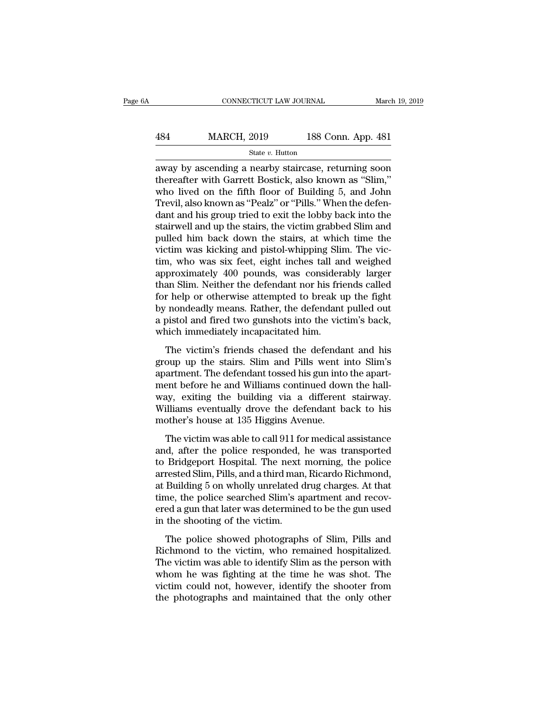## EXECUTE CONNECTICUT LAW JOURNAL March 19, 2019<br>
484 MARCH, 2019 188 Conn. App. 481<br>
5tate v. Hutton State *v.* Hutton

CONNECTICUT LAW JOURNAL March 19, 2019<br>
484 MARCH, 2019 188 Conn. App. 481<br>
5tate v. Hutton<br>
away by ascending a nearby staircase, returning soon<br>
thereafter with Garrett Bostick, also known as "Slim,"<br>
who lived on the fi MARCH, 2019 188 Conn. App. 481<br>
State v. Hutton<br>
away by ascending a nearby staircase, returning soon<br>
thereafter with Garrett Bostick, also known as "Slim,"<br>
who lived on the fifth floor of Building 5, and John<br>
Trovil al MARCH, 2019 188 Conn. App. 481<br>
State v. Hutton<br>
away by ascending a nearby staircase, returning soon<br>
thereafter with Garrett Bostick, also known as "Slim,"<br>
who lived on the fifth floor of Building 5, and John<br>
Trevil,  $\frac{\text{484}}{\text{State } v. \text{ Hutton}}$ <br>  $\frac{\text{State } v. \text{ Hutton}}{\text{away by ascending a nearby staircase, returning soon}$ <br>
thereafter with Garrett Bostick, also known as "Slim,"<br>
who lived on the fifth floor of Building 5, and John<br>
Trevil, also known as "Pealz" or "Pills." When the de State v. Hutton<br>
State v. Hutton<br>
away by ascending a nearby staircase, returning soon<br>
thereafter with Garrett Bostick, also known as "Slim,"<br>
who lived on the fifth floor of Building 5, and John<br>
Trevil, also known as " state v. Hutton<br>away by ascending a nearby staircase, returning soon<br>thereafter with Garrett Bostick, also known as "Slim,"<br>who lived on the fifth floor of Building 5, and John<br>Trevil, also known as "Pealz" or "Pills." Whe away by ascending a nearby staircase, returning soon<br>thereafter with Garrett Bostick, also known as "Slim,"<br>who lived on the fifth floor of Building 5, and John<br>Trevil, also known as "Pealz" or "Pills." When the defen-<br>dan thereafter with Garrett Bostick, also known as "Slim,"<br>who lived on the fifth floor of Building 5, and John<br>Trevil, also known as "Pealz" or "Pills." When the defen-<br>dant and his group tried to exit the lobby back into the who lived on the fifth floor of Building 5, and John<br>Trevil, also known as "Pealz" or "Pills." When the defen-<br>dant and his group tried to exit the lobby back into the<br>stairwell and up the stairs, the victim grabbed Slim a Trevil, also known as "Pealz" or "Pills." When the defendant and his group tried to exit the lobby back into the stairwell and up the stairs, the victim grabbed Slim and pulled him back down the stairs, at which time the v dant and his group tried to exit the lobby back into the stairwell and up the stairs, the victim grabbed Slim and pulled him back down the stairs, at which time the victim was kicking and pistol-whipping Slim. The victim, stairwell and up the stairs, the victim grabbed Slim and<br>pulled him back down the stairs, at which time the<br>victim was kicking and pistol-whipping Slim. The vic-<br>tim, who was six feet, eight inches tall and weighed<br>approxi pulled him back down the stairs, at which time the victim was kicking and pistol-whipping Slim. The victim, who was six feet, eight inches tall and weighed approximately 400 pounds, was considerably larger than Slim. Neith victim was kicking and pistol-whipping Slim. The victim, who was six feet, eight inches tall and weighed approximately 400 pounds, was considerably larger than Slim. Neither the defendant nor his friends called for help or tim, who was six feet, eight inches tall are<br>approximately 400 pounds, was consider-<br>than Slim. Neither the defendant nor his fri-<br>for help or otherwise attempted to break u<br>by nondeadly means. Rather, the defendant<br>a pist Frommately 100 points, was constantedly larger<br>an Slim. Neither the defendant nor his friends called<br>r help or otherwise attempted to break up the fight<br>indeadly means. Rather, the defendant pulled out<br>pistol and fired two For help or otherwise attempted to break up the fight<br>by nondeadly means. Rather, the defendant pulled out<br>a pistol and fired two gunshots into the victim's back,<br>which immediately incapacitated him.<br>The victim's friends c

by nondeadly means. Rather, the defendant pulled out<br>a pistol and fired two gunshots into the victim's back,<br>which immediately incapacitated him.<br>The victim's friends chased the defendant and his<br>group up the stairs. Slim ment before the defendant below the selection of a pistol and fired two gunshots into the victim's back, which immediately incapacitated him.<br>The victim's friends chased the defendant and his group up the stairs. Slim and which immediately incapacitated him.<br>The victim's friends chased the defendant and his<br>group up the stairs. Slim and Pills went into Slim's<br>apartment. The defendant tossed his gun into the apart-<br>ment before he and William The victim's friends chased the defendant and his<br>group up the stairs. Slim and Pills went into Slim's<br>apartment. The defendant tossed his gun into the apart-<br>ment before he and Williams continued down the hall-<br>way, exiti The victim's friends chased the defendar<br>group up the stairs. Slim and Pills went i<br>apartment. The defendant tossed his gun into<br>ment before he and Williams continued dow<br>way, exiting the building via a different<br>Williams oup up the stant. Smit and This went has simely<br>artment. The defendant tossed his gun into the apart-<br>ent before he and Williams continued down the hall-<br>ay, exiting the building via a different stairway.<br>illiams eventuall aparanchi. The detendant asssed his gan hite die dpart<br>ment before he and Williams continued down the hall-<br>way, exiting the building via a different stairway.<br>Williams eventually drove the defendant back to his<br>mother's h

them before he did while bondined down are nail<br>way, exiting the building via a different stairway.<br>Williams eventually drove the defendant back to his<br>mother's house at 135 Higgins Avenue.<br>The victim was able to call 911 way, example of standing via a different standing.<br>Williams eventually drove the defendant back to his<br>mother's house at 135 Higgins Avenue.<br>The victim was able to call 911 for medical assistance<br>and, after the police resp mother's house at 135 Higgins Avenue.<br>The victim was able to call 911 for medical assistance<br>and, after the police responded, he was transported<br>to Bridgeport Hospital. The next morning, the police<br>arrested Slim, Pills, an The victim was able to call 911 for medical assistance<br>and, after the police responded, he was transported<br>to Bridgeport Hospital. The next morning, the police<br>arrested Slim, Pills, and a third man, Ricardo Richmond,<br>at Bu The victim was able to call 911 for medical assistance<br>and, after the police responded, he was transported<br>to Bridgeport Hospital. The next morning, the police<br>arrested Slim, Pills, and a third man, Ricardo Richmond,<br>at Bu and, after the police responded,<br>to Bridgeport Hospital. The next<br>arrested Slim, Pills, and a third man<br>at Building 5 on wholly unrelated c<br>time, the police searched Slim's ay<br>ered a gun that later was determine<br>in the sho Enageport Hospital: The field morning, are police<br>rested Slim, Pills, and a third man, Ricardo Richmond,<br>Building 5 on wholly unrelated drug charges. At that<br>me, the police searched Slim's apartment and recov-<br>ed a gun tha are been bindly the victim, the victim of the victim of the victim and the victim, at Building 5 on wholly unrelated drug charges. At that time, the police searched Slim's apartment and recovered a gun that later was deter

as banding 9 of wholf y alterated drag enarges. To that<br>time, the police searched Slim's apartment and recov-<br>ered a gun that later was determined to be the gun used<br>in the shooting of the victim.<br>The police showed photogr ered a gun that later was determined to be the gun used<br>in the shooting of the victim.<br>The police showed photographs of Slim, Pills and<br>Richmond to the victim, who remained hospitalized.<br>The victim was able to identify Sli in the shooting of the victim.<br>
The police showed photographs of Slim, Pills and<br>
Richmond to the victim, who remained hospitalized.<br>
The victim was able to identify Slim as the person with<br>
whom he was fighting at the tim The police showed photographs of Slim, Pills and<br>Richmond to the victim, who remained hospitalized.<br>The victim was able to identify Slim as the person with<br>whom he was fighting at the time he was shot. The<br>victim could not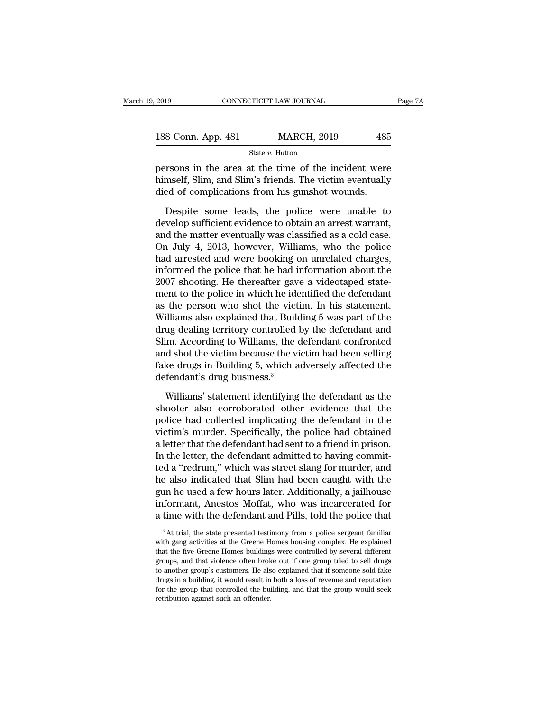| 2019               | CONNECTICUT LAW JOURNAL |     | Page 7A |
|--------------------|-------------------------|-----|---------|
| 188 Conn. App. 481 | <b>MARCH, 2019</b>      | 485 |         |
|                    | State $v$ . Hutton      |     |         |

Page 7A<br>
persons in the area at the time of the incident were<br>
himself, Slim, and Slim's friends. The victim eventually<br>
died of complications from his sumplet were 188 Conn. App. 481 MARCH, 2019 485<br>
State v. Hutton<br>
persons in the area at the time of the incident were<br>
himself, Slim, and Slim's friends. The victim eventually<br>
died of complications from his gunshot wounds. 188 Conn. App. 481 MARCH, 2019 485<br>
State v. Hutton<br>
persons in the area at the time of the incident were<br>
himself, Slim, and Slim's friends. The victim eventually<br>
died of complications from his gunshot wounds.<br>
Despite  $\frac{\text{State } v. \text{ Hutton}}{\text{State } v. \text{ Hutton}}$ <br>
Tries in the area at the time of the incident were<br>
mself, Slim, and Slim's friends. The victim eventually<br>
ed of complications from his gunshot wounds.<br>
Despite some leads, the police were

State *v*. Hutton<br>persons in the area at the time of the incident were<br>himself, Slim, and Slim's friends. The victim eventually<br>died of complications from his gunshot wounds.<br>Despite some leads, the police were unable to<br> persons in the area at the time of the incident were<br>himself, Slim, and Slim's friends. The victim eventually<br>died of complications from his gunshot wounds.<br>Despite some leads, the police were unable to<br>develop sufficient Filmself, Slim, and Slim's friends. The victim eventually<br>died of complications from his gunshot wounds.<br>Despite some leads, the police were unable to<br>develop sufficient evidence to obtain an arrest warrant,<br>and the matter died of complications from his gunshot wounds.<br>Despite some leads, the police were unable to<br>develop sufficient evidence to obtain an arrest warrant,<br>and the matter eventually was classified as a cold case.<br>On July 4, 2013 Despite some leads, the police were unable to<br>develop sufficient evidence to obtain an arrest warrant,<br>and the matter eventually was classified as a cold case.<br>On July 4, 2013, however, Williams, who the police<br>had arreste Despite some leads, the police were unable to<br>develop sufficient evidence to obtain an arrest warrant,<br>and the matter eventually was classified as a cold case.<br>On July 4, 2013, however, Williams, who the police<br>had arreste develop sufficient evidence to obtain an arrest warrant,<br>and the matter eventually was classified as a cold case.<br>On July 4, 2013, however, Williams, who the police<br>had arrested and were booking on unrelated charges,<br>infor and the matter eventually was classified as a cold case.<br>On July 4, 2013, however, Williams, who the police<br>had arrested and were booking on unrelated charges,<br>informed the police that he had information about the<br>2007 sho On July 4, 2013, however, Williams, who the police<br>had arrested and were booking on unrelated charges,<br>informed the police that he had information about the<br>2007 shooting. He thereafter gave a videotaped state-<br>ment to the had arrested and were booking on unrelated charges,<br>informed the police that he had information about the<br>2007 shooting. He thereafter gave a videotaped state-<br>ment to the police in which he identified the defendant<br>as the informed the police that he had information about the<br>2007 shooting. He thereafter gave a videotaped state-<br>ment to the police in which he identified the defendant<br>as the person who shot the victim. In his statement,<br>Willi 2007 shooting. He thereafter gave a videotaped statement to the police in which he identified the defendant<br>as the person who shot the victim. In his statement,<br>Williams also explained that Building 5 was part of the<br>drug ment to the police in which he identified the defendant<br>as the person who shot the victim. In his statement,<br>Williams also explained that Building 5 was part of the<br>drug dealing territory controlled by the defendant and<br>Sl as the person who shot the victi<br>Williams also explained that Build<br>drug dealing territory controlled l<br>Slim. According to Williams, the c<br>and shot the victim because the vi<br>fake drugs in Building 5, which a<br>defendant's dr ug dealing territory controlled by the defendant and<br>im. According to Williams, the defendant confronted<br>d shot the victim because the victim had been selling<br>ke drugs in Building 5, which adversely affected the<br>fendant's Slim. According to Williams, the defendant confronted<br>and shot the victim because the victim had been selling<br>fake drugs in Building 5, which adversely affected the<br>defendant's drug business.<sup>3</sup><br>Williams' statement identif

and shot the victim because the victim had been selling<br>fake drugs in Building 5, which adversely affected the<br>defendant's drug business.<sup>3</sup><br>Williams' statement identifying the defendant as the<br>shooter also corroborated ot fake drugs in Building 5, which adversely affected the<br>defendant's drug business.<sup>3</sup><br>Williams' statement identifying the defendant as the<br>shooter also corroborated other evidence that the<br>police had collected implicating t defendant's drug business.<sup>3</sup><br>Williams' statement identifying the defendant as the<br>shooter also corroborated other evidence that the<br>police had collected implicating the defendant in the<br>victim's murder. Specifically, the Williams' statement identifying the defendant as the shooter also corroborated other evidence that the police had collected implicating the defendant in the victim's murder. Specifically, the police had obtained a letter t Williams' statement identifying the defendant as the<br>shooter also corroborated other evidence that the<br>police had collected implicating the defendant in the<br>victim's murder. Specifically, the police had obtained<br>a letter t shooter also corroborated other evidence that the<br>police had collected implicating the defendant in the<br>victim's murder. Specifically, the police had obtained<br>a letter that the defendant had sent to a friend in prison.<br>In police had collected implicating the defendant in the<br>victim's murder. Specifically, the police had obtained<br>a letter that the defendant had sent to a friend in prison.<br>In the letter, the defendant admitted to having commi victim's murder. Specifically, the police had obtained<br>a letter that the defendant had sent to a friend in prison.<br>In the letter, the defendant admitted to having commit-<br>ted a "redrum," which was street slang for murder, a letter that the defendant had sent to a friend in prison.<br>In the letter, the defendant admitted to having commit-<br>ted a "redrum," which was street slang for murder, and<br>he also indicated that Slim had been caught with th e also molicated that Slim had been caught with the<br>in he used a few hours later. Additionally, a jailhouse<br>formant, Anestos Moffat, who was incarcerated for<br>time with the defendant and Pills, told the police that<br> $\frac{3}{8}$ gun he used a few hours later. Additionally, a jailhouse<br>informant, Anestos Moffat, who was incarcerated for<br>a time with the defendant and Pills, told the police that<br><sup>3</sup>At trial, the state presented testimony from a polic

informant, Anestos Moffat, who was incarcerated for<br>a time with the defendant and Pills, told the police that<br> $a^3$ At trial, the state presented testimony from a police sergeant familiar<br>with gang activities at the Greene a time with the defendant and Pills, told the police that<br><sup>3</sup> At trial, the state presented testimony from a police sergeant familiar<br>with gang activities at the Greene Homes housing complex. He explained<br>that the five Gre a title with the determinant and 1 ins, told the poince that<br>
<sup>3</sup> At trial, the state presented testimony from a police sergeant familiar<br>
with gang activities at the Greene Homes housing complex. He explained<br>
that the fi <sup>3</sup> At trial, the state presented testimony from a police sergeant familiar with gang activities at the Greene Homes housing complex. He explained that the five Greene Homes buildings were controlled by several different For the group of the Greene Homes housing complex. He explained that the five Greene Homes buildings were controlled by several different groups, and that violence often broke out if one group tried to sell drugs to anothe with gang activities at the Greene Homes housing complex. He explained that the five Greene Homes buildings were controlled by several different groups, and that violence often broke out if one group tried to sell drugs to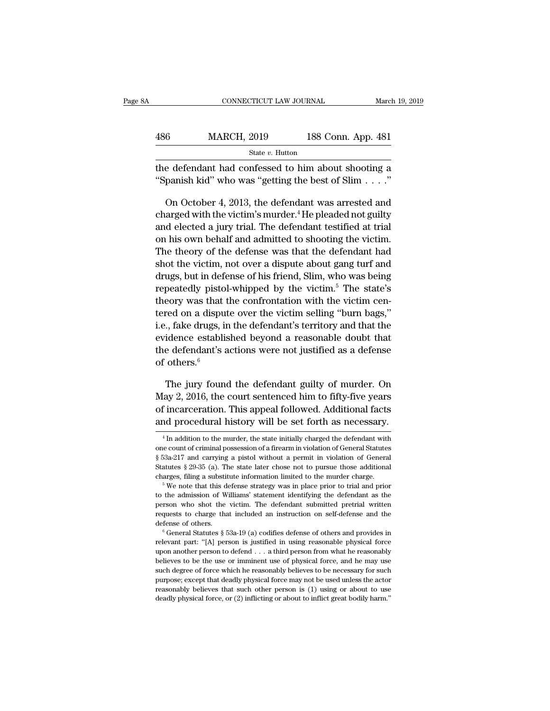|     | CONNECTICUT LAW JOURNAL                                                                                 |                    | March 19, 2019 |
|-----|---------------------------------------------------------------------------------------------------------|--------------------|----------------|
| 486 | <b>MARCH, 2019</b>                                                                                      | 188 Conn. App. 481 |                |
|     | State v. Hutton                                                                                         |                    |                |
|     | the defendant had confessed to him about shooting a<br>"Spanish kid" who was "getting the best of Slim" |                    |                |

MARCH, 2019 188 Conn. App. 481<br>
State v. Hutton<br>
e defendant had confessed to him about shooting a<br>
panish kid" who was "getting the best of Slim . . . ."<br>
On October 4, 2013, the defendant was arrested and<br>
arged with th State v. Hutton<br>
the defendant had confessed to him about shooting a<br>
"Spanish kid" who was "getting the best of Slim . . . ."<br>
On October 4, 2013, the defendant was arrested and<br>
charged with the victim's murder.<sup>4</sup> He p state v. Hutton<br>the defendant had confessed to him about shooting a<br>"Spanish kid" who was "getting the best of Slim . . . ."<br>On October 4, 2013, the defendant was arrested and<br>charged with the victim's murder.<sup>4</sup> He plead the defendant had confessed to him about shooting a<br>
"Spanish kid" who was "getting the best of Slim . . . ."<br>
On October 4, 2013, the defendant was arrested and<br>
charged with the victim's murder.<sup>4</sup> He pleaded not guilty "Spanish kid" who was "getting the best of Slim  $\ldots$ ."<br>
On October 4, 2013, the defendant was arrested and<br>
charged with the victim's murder.<sup>4</sup> He pleaded not guilty<br>
and elected a jury trial. The defendant testified at On October 4, 2013, the defendant was arrested and<br>charged with the victim's murder.<sup>4</sup> He pleaded not guilty<br>and elected a jury trial. The defendant testified at trial<br>on his own behalf and admitted to shooting the victim On October 4, 2013, the defendant was arrested and<br>charged with the victim's murder.<sup>4</sup> He pleaded not guilty<br>and elected a jury trial. The defendant testified at trial<br>on his own behalf and admitted to shooting the victi charged with the victim s murder. He pleaded not guity<br>and elected a jury trial. The defendant testified at trial<br>on his own behalf and admitted to shooting the victim.<br>The theory of the defense was that the defendant had<br> and elected a jury trial. The defendant testined at trial<br>on his own behalf and admitted to shooting the victim.<br>The theory of the defense was that the defendant had<br>shot the victim, not over a dispute about gang turf and<br> on his own benair and admitted to shooting the victim.<br>The theory of the defense was that the defendant had<br>shot the victim, not over a dispute about gang turf and<br>drugs, but in defense of his friend, Slim, who was being<br>r Ine theory of the defense was that the defendant had<br>shot the victim, not over a dispute about gang turf and<br>drugs, but in defense of his friend, Slim, who was being<br>repeatedly pistol-whipped by the victim.<sup>5</sup> The state's<br> shot the victim, not over a dispute about gang turn and<br>drugs, but in defense of his friend, Slim, who was being<br>repeatedly pistol-whipped by the victim.<sup>5</sup> The state's<br>theory was that the confrontation with the victim ce drugs, but in defense of nis friend, slim, who was being<br>repeatedly pistol-whipped by the victim.<sup>5</sup> The state's<br>theory was that the confrontation with the victim cen-<br>tered on a dispute over the victim selling "burn bags repeatedly pisto<br>theory was that<br>tered on a dispu<br>i.e., fake drugs, in<br>evidence establi:<br>the defendant's a<br>of others.<sup>6</sup><br>The jury foun red on a dispute over the victim selling "burn bags,"<br>
., fake drugs, in the defendant's territory and that the<br>
idence established beyond a reasonable doubt that<br>
e defendant's actions were not justified as a defense<br>
ot i.e., fake drugs, in the defendant's territory and that the<br>evidence established beyond a reasonable doubt that<br>the defendant's actions were not justified as a defense<br>of others.<sup>6</sup><br>The jury found the defendant guilty of m

evidence established beyond a reasonable doubt that<br>the defendant's actions were not justified as a defense<br>of others.<sup>6</sup><br>The jury found the defendant guilty of murder. On<br>May 2, 2016, the court sentenced him to fifty-five the defendant's actions were not justified as a defense<br>of others.<sup>6</sup><br>The jury found the defendant guilty of murder. On<br>May 2, 2016, the court sentenced him to fifty-five years<br>of incarceration. This appeal followed. Addit The Jury found the defendant guilty of filturer. On<br>fay 2, 2016, the court sentenced him to fifty-five years<br>f incarceration. This appeal followed. Additional facts<br>and procedural history will be set forth as necessary.<br><sup>4</sup> May 2, 2016, the court sentenced him to fifty-five years<br>of incarceration. This appeal followed. Additional facts<br>and procedural history will be set forth as necessary.<br> $\frac{4}{\text{In addition to the murder, the state initially charged the defendant with}}$ <br>one count of criminal posse

<sup>%</sup> of incarceration. This appeal followed. Additional facts and procedural history will be set forth as necessary.<br>  $\frac{4 \text{In addition to the murder, the state initially charged the defendant with one count of criminal possession of a firearm in violation of General Status } $53a-217$  and carrying a pistol without a permit in violation of Gener and procedural history will be set forth as necessary.<br>  $\frac{4 \text{In addition to the murder, the state initially charged the defendant with one count of criminal possession of a firearm in violation of General Statistics § 53a-217 and carrying a piston without a permit in violation of General Statistics § 29-35 (a). The state later chose not to pursue those additional charges, filing a substitute information limited to the murder charge.  $^5$  We note that this defense strategy was in place prior to trial and prior$ The substitute information limited to the murder charges for the defendant with one count of criminal possession of a firearm in violation of General Statutes § 29-35 (a). The state later chose not to pursue those additio one count of criminal possession of a firearm in violation of General Statutes § 53a-217 and carrying a pistol without a permit in violation of General Statutes § 29-35 (a). The state later chose not to pursue those addit

 $$53a-217$  and carrying a pistol without a permit in violation of General Statutes  $$29-35$  (a). The state later chose not to pursue those additional charges, filing a substitute information limited to the murder charge.<br> Statutes § 29-35 (a). The state later chose not to pursue those additional charges, filing a substitute information limited to the murder charge.<br>
<sup>5</sup> We note that this defense strategy was in place prior to trial and pri charges, filing a substitute information limited to the murder charge.<br>
<sup>5</sup> We note that this defense strategy was in place prior to trial and prior to the admission of Williams' statement identifying the defendant as the to the admission of Williams' statement identifying the defendant as the person who shot the victim. The defendant submitted pretrial written requests to charge that included an instruction on self-defense and the defense

person who shot the victim. The defendant submitted pretrial written<br>requests to charge that included an instruction on self-defense and the<br>defense of others.<br> $\degree$  General Statutes  $\S$  53a-19 (a) codifies defense of othe prequests to charge that included an instruction on self-defense and the defense of others.<br>  $\degree$  General Statutes  $\S$  53a-19 (a) codifies defense of others and provides in relevant part: "[A] person is justified in using such defense of others.<br>
Contents of the reasonable of the reasonable physical force<br>
in relevant part: "[A] person is justified in using reasonable physical force<br>
upon another person to defend . . . a third person from w defense of others.<br>
<sup>6</sup> General Statutes § 53a-19 (a) codifies defense of others and provides in relevant part: "[A] person is justified in using reasonable physical force upon another person to defend . . . a third perso relevant part: "[A] person is justified in using reasonable physical force upon another person to defend . . . a third person from what he reasonably believes to be the use or imminent use of physical force, and he may us upon another person to defend . . . a third person from what he reasonably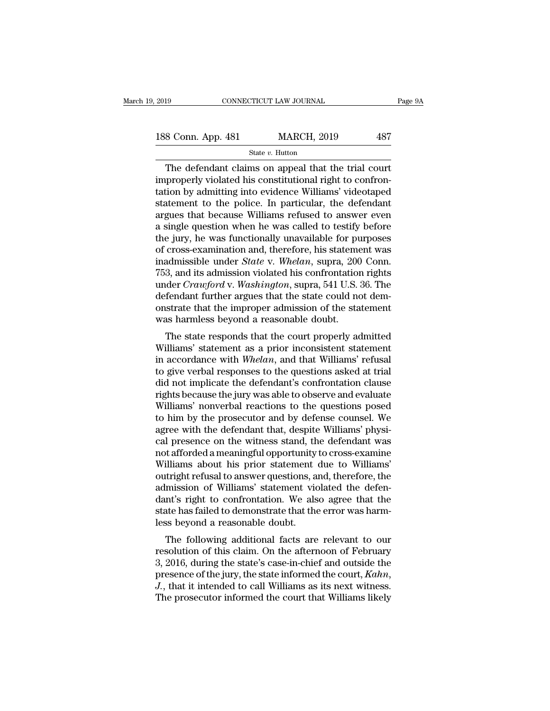The defendant claims on appeal that the trial court of the defendant claims on appeal that the trial court of the defendant claims on appeal that the trial court of the defendant claims on appeal that the trial court of t 188 Conn. App. 481 MARCH, 2019 487<br>  $\frac{\text{State } v. \text{ Hutton}}{\text{The defendant claims on appeal that the trial court  
\nimproperly violated his constitutional right to confrontation by admitting into evidence Williams' videotaped  
\nstationant to the police. In particular, the defordant$ 188 Conn. App. 481 MARCH, 2019 487<br>
State  $v$ . Hutton<br>
The defendant claims on appeal that the trial court<br>
improperly violated his constitutional right to confron-<br>
tation by admitting into evidence Williams' videotaped<br> 188 Conn. App. 481 MARCH, 2019 487<br>
State v. Hutton<br>
The defendant claims on appeal that the trial court<br>
improperly violated his constitutional right to confron-<br>
tation by admitting into evidence Williams' videotaped<br>
s State v. Hutton,  $\frac{1}{2}$  and  $\frac{1}{2}$  are state v. Hutton  $\frac{1}{2}$  and  $\frac{1}{2}$  are  $\frac{1}{2}$  and  $\frac{1}{2}$  are  $\frac{1}{2}$  and  $\frac{1}{2}$  are  $\frac{1}{2}$  are  $\frac{1}{2}$  and  $\frac{1}{2}$  are  $\frac{1}{2}$  are  $\frac{1}{2}$  and  $\frac{1}{$ state v. Hutton<br>
The defendant claims on appeal that the trial court<br>
improperly violated his constitutional right to confron-<br>
tation by admitting into evidence Williams' videotaped<br>
statement to the police. In particula The defendant claims on appeal that the trial court<br>improperly violated his constitutional right to confron-<br>tation by admitting into evidence Williams' videotaped<br>statement to the police. In particular, the defendant<br>argu improperly violated his constitutional right to confrontation by admitting into evidence Williams' videotaped<br>statement to the police. In particular, the defendant<br>argues that because Williams refused to answer even<br>a sing tation by admitting into evidence Williams' videotaped<br>statement to the police. In particular, the defendant<br>argues that because Williams refused to answer even<br>a single question when he was called to testify before<br>the ju statement to the police. In particular, the defendant<br>argues that because Williams refused to answer even<br>a single question when he was called to testify before<br>the jury, he was functionally unavailable for purposes<br>of cro argues that because Williams refused to answer even<br>a single question when he was called to testify before<br>the jury, he was functionally unavailable for purposes<br>of cross-examination and, therefore, his statement was<br>inadm a single question when he was called to testify before<br>the jury, he was functionally unavailable for purposes<br>of cross-examination and, therefore, his statement was<br>inadmissible under *State* v. *Whelan*, supra, 200 Conn.<br> the jury, he was functionally unavailable for purposes<br>of cross-examination and, therefore, his statement was<br>inadmissible under *State* v. *Whelan*, supra, 200 Conn.<br>753, and its admission violated his confrontation right of cross-examination and, therefore, his statemed<br>inadmissible under *State* v. *Whelan*, supra, 200<br>753, and its admission violated his confrontation<br>under *Crawford* v. *Washington*, supra, 541 U.S.<br>defendant further ar 3, and its admission violated his confrontation rights<br>3, and its admission violated his confrontation rights<br>der *Crawford* v. *Washington*, supra, 541 U.S. 36. The<br>fendant further argues that the state could not dem-<br>st Fos, and its admission violated its confrontation rights<br>
under *Crawford* v. *Washington*, supra, 541 U.S. 36. The<br>
defendant further argues that the state could not demonstrate that the improper admission of the stateme

inder *Craajora* v. *washington*, supra, 541 0.5. 50. The<br>defendant further argues that the state could not dem-<br>onstrate that the improper admission of the statement<br>was harmless beyond a reasonable doubt.<br>The state respo defendant futuler argues that the state could not define<br>onstrate that the improper admission of the statement<br>was harmless beyond a reasonable doubt.<br>The state responds that the court properly admitted<br>Williams' statement onstrate that the improper admission of the statement<br>was harmless beyond a reasonable doubt.<br>The state responds that the court properly admitted<br>Williams' statement as a prior inconsistent statement<br>in accordance with *Wh* Was harmless beyond a reasonable doubt.<br>
The state responds that the court properly admitted<br>
Williams' statement as a prior inconsistent statement<br>
in accordance with *Whelan*, and that Williams' refusal<br>
to give verbal The state responds that the court properly admitted<br>Williams' statement as a prior inconsistent statement<br>in accordance with *Whelan*, and that Williams' refusal<br>to give verbal responses to the questions asked at trial<br>did Williams' statement as a prior inconsistent statement<br>in accordance with *Whelan*, and that Williams' refusal<br>to give verbal responses to the questions asked at trial<br>did not implicate the defendant's confrontation clause<br> in accordance with Whelan, and that Williams' refusal<br>to give verbal responses to the questions asked at trial<br>did not implicate the defendant's confrontation clause<br>rights because the jury was able to observe and evaluate to give verbal responses to the questions asked at trial<br>did not implicate the defendant's confrontation clause<br>rights because the jury was able to observe and evaluate<br>Williams' nonverbal reactions to the questions posed<br> did not implicate the defendant's confrontation clause<br>rights because the jury was able to observe and evaluate<br>Williams' nonverbal reactions to the questions posed<br>to him by the prosecutor and by defense counsel. We<br>agree rights because the jury was able to observe and evaluate<br>Williams' nonverbal reactions to the questions posed<br>to him by the prosecutor and by defense counsel. We<br>agree with the defendant that, despite Williams' physi-<br>cal Williams' nonverbal reactions to the questions posed<br>to him by the prosecutor and by defense counsel. We<br>agree with the defendant that, despite Williams' physi-<br>cal presence on the witness stand, the defendant was<br>not affo to him by the prosecutor and by defense counsel. We<br>agree with the defendant that, despite Williams' physi-<br>cal presence on the witness stand, the defendant was<br>not afforded a meaningful opportunity to cross-examine<br>Willia agree with the defendant that, despite Williams' physical presence on the witness stand, the defendant was<br>not afforded a meaningful opportunity to cross-examine<br>Williams about his prior statement due to Williams'<br>outright cal presence on the witness stand, the defendant was<br>not afforded a meaningful opportunity to cross-examine<br>Williams about his prior statement due to Williams'<br>outright refusal to answer questions, and, therefore, the<br>admi not afforded a meaningful opportunity<br>Williams about his prior statement<br>outright refusal to answer questions, a<br>admission of Williams' statement vic<br>dant's right to confrontation. We als<br>state has failed to demonstrate th miants about his prior statement due to wintants<br>tright refusal to answer questions, and, therefore, the<br>mission of Williams' statement violated the defen-<br>nt's right to confrontation. We also agree that the<br>tate has faile but fight refusar to answer questions, and, therefore, the<br>admission of Williams' statement violated the defen-<br>dant's right to confrontation. We also agree that the<br>state has failed to demonstrate that the error was harm

admission of winding statement violated the defendant's right to confrontation. We also agree that the state has failed to demonstrate that the error was harmless beyond a reasonable doubt.<br>The following additional facts particular text in the state has failed to demonstrate that the error was harm-<br>less beyond a reasonable doubt.<br>The following additional facts are relevant to our<br>resolution of this claim. On the afternoon of February<br>3, 2 The following additional facts are relevant to our resolution of this claim. On the afternoon of February 3, 2016, during the state's case-in-chief and outside the presence of the jury, the state informed the court, *Kahn*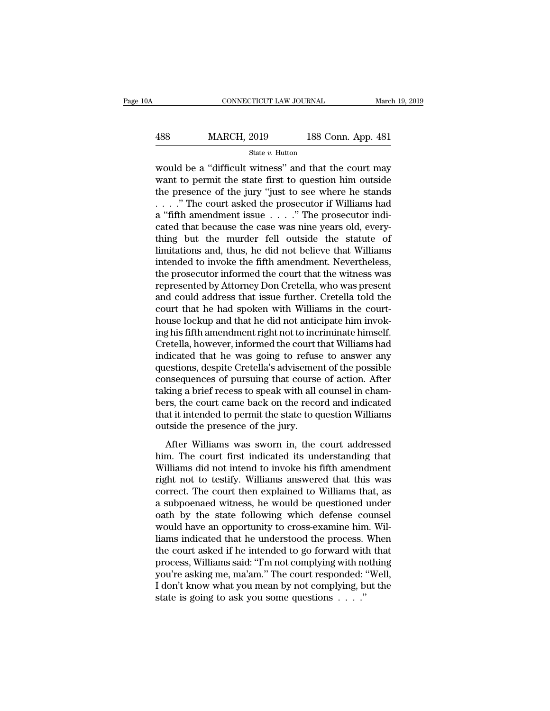| A   | CONNECTICUT LAW JOURNAL |                    | March 19, 2019 |
|-----|-------------------------|--------------------|----------------|
|     |                         |                    |                |
| 488 | <b>MARCH, 2019</b>      | 188 Conn. App. 481 |                |
|     | State $v$ . Hutton      |                    |                |

CONNECTICUT LAW JOURNAL March 19, 2019<br>
MARCH, 2019 188 Conn. App. 481<br>
State v. Hutton<br>
would be a "difficult witness" and that the court may<br>
want to permit the state first to question him outside<br>
the presence of the ju MARCH, 2019 188 Conn. App. 481<br>
State v. Hutton<br>
would be a "difficult witness" and that the court may<br>
want to permit the state first to question him outside<br>
the presence of the jury "just to see where he stands<br>
" The  $\frac{\text{MARCH}}{\text{State } v. \text{ Hutton}}$ <br>
State v. Hutton<br>
would be a "difficult witness" and that the court may<br>
want to permit the state first to question him outside<br>
the presence of the jury "just to see where he stands<br>
. . . . " The 488 MARCH, 2019 188 Conn. App. 481<br>
State v. Hutton<br>
would be a "difficult witness" and that the court may<br>
want to permit the state first to question him outside<br>
the presence of the jury "just to see where he stands<br>
. State v. Hutton<br>
would be a "difficult witness" and that the court may<br>
want to permit the state first to question him outside<br>
the presence of the jury "just to see where he stands<br>
. . . ." The court asked the prosecuto state v. Hutton<br>would be a "difficult witness" and that the court may<br>want to permit the state first to question him outside<br>the presence of the jury "just to see where he stands<br>...." The court asked the prosecutor if Wi would be a "difficult witness" and that the court may<br>want to permit the state first to question him outside<br>the presence of the jury "just to see where he stands<br> $\ldots$ ." The court asked the prosecutor if Williams had<br>a " want to permit the state first to question him outside<br>the presence of the jury "just to see where he stands<br> $\ldots$ ." The court asked the prosecutor if Williams had<br>a "fifth amendment issue  $\ldots$ ." The prosecutor indi-<br>cat the presence of the jury "just to see where he stands<br>  $\ldots$ ." The court asked the prosecutor if Williams had<br>
a "fifth amendment issue  $\ldots$ ." The prosecutor indi-<br>
cated that because the case was nine years old, every-<br> . . . . . " The court asked the prosecutor if Williams had<br>a "fifth amendment issue  $\ldots$  ." The prosecutor indicated that because the case was nine years old, every-<br>thing but the murder fell outside the statute of<br>limit a "fifth amendment issue . . . . ." The prosecutor indicated that because the case was nine years old, every-<br>thing but the murder fell outside the statute of<br>limitations and, thus, he did not believe that Williams<br>intende cated that because the case was nine years old, every-<br>thing but the murder fell outside the statute of<br>limitations and, thus, he did not believe that Williams<br>intended to invoke the fifth amendment. Nevertheless,<br>the pros thing but the murder fell outside the statute of limitations and, thus, he did not believe that Williams<br>intended to invoke the fifth amendment. Nevertheless,<br>the prosecutor informed the court that the witness was<br>represen limitations and, thus, he did not believe that Williams<br>intended to invoke the fifth amendment. Nevertheless,<br>the prosecutor informed the court that the witness was<br>represented by Attorney Don Cretella, who was present<br>and intended to invoke the fifth amendment. Nevertheless,<br>the prosecutor informed the court that the witness was<br>represented by Attorney Don Cretella, who was present<br>and could address that issue further. Cretella told the<br>cou the prosecutor informed the court that the witness was<br>represented by Attorney Don Cretella, who was present<br>and could address that issue further. Cretella told the<br>court that he had spoken with Williams in the court-<br>hous represented by Attorney Don Cretella, who was present<br>and could address that issue further. Cretella told the<br>court that he had spoken with Williams in the court-<br>house lockup and that he did not anticipate him invok-<br>ing and could address that issue further. Cretella told the<br>court that he had spoken with Williams in the court-<br>house lockup and that he did not anticipate him invok-<br>ing his fifth amendment right not to incriminate himself.<br> court that he had spoken with Williams in the court-<br>house lockup and that he did not anticipate him invok-<br>ing his fifth amendment right not to incriminate himself.<br>Cretella, however, informed the court that Williams had<br> house lockup and that he did not anticipate him invoking his fifth amendment right not to incriminate himself.<br>Cretella, however, informed the court that Williams had<br>indicated that he was going to refuse to answer any<br>que ing his fifth amendment right not to incriminate himself.<br>Cretella, however, informed the court that Williams had<br>indicated that he was going to refuse to answer any<br>questions, despite Cretella's advisement of the possible Cretella, however, informed the court that Williams had<br>indicated that he was going to refuse to answer any<br>questions, despite Cretella's advisement of the possible<br>consequences of pursuing that course of action. After<br>tak indicated that he was going to refuse<br>questions, despite Cretella's advisemer<br>consequences of pursuing that course<br>taking a brief recess to speak with all d<br>bers, the court came back on the reco<br>that it intended to permit After Milliams was sworn in, the court addressed means of action. After<br>thing a brief recess to speak with all counsel in cham-<br>rs, the court came back on the record and indicated<br>at it intended to permit the state to ques taking a brief recess to speak with all counsel in cham-<br>bers, the court came back on the record and indicated<br>that it intended to permit the state to question Williams<br>outside the presence of the jury.<br>After Williams was

Making a stick recess to speak what an estable in chain<br>bers, the court came back on the record and indicated<br>that it intended to permit the state to question Williams<br>outside the presence of the jury.<br>After Williams was s right interest of the state of the color and materials that it intended to permit the state to question Williams outside the presence of the jury.<br>After Williams was sworn in, the court addressed him. The court first indic courtside the presence of the jury.<br>
After Williams was sworn in, the court addressed<br>
him. The court first indicated its understanding that<br>
Williams did not intend to invoke his fifth amendment<br>
right not to testify. Wil After Williams was sworn in, the court addressed<br>him. The court first indicated its understanding that<br>Williams did not intend to invoke his fifth amendment<br>right not to testify. Williams answered that this was<br>correct. T After Williams was sworn in, the court addressed<br>him. The court first indicated its understanding that<br>Williams did not intend to invoke his fifth amendment<br>right not to testify. Williams answered that this was<br>correct. Th him. The court first indicated its understanding that<br>Williams did not intend to invoke his fifth amendment<br>right not to testify. Williams answered that this was<br>correct. The court then explained to Williams that, as<br>a sub Williams did not intend to invoke his fifth amendment<br>right not to testify. Williams answered that this was<br>correct. The court then explained to Williams that, as<br>a subpoenaed witness, he would be questioned under<br>oath by right not to testify. Williams answered that this was<br>correct. The court then explained to Williams that, as<br>a subpoenaed witness, he would be questioned under<br>oath by the state following which defense counsel<br>would have a correct. The court then explained to Williams that, as<br>a subpoenaed witness, he would be questioned under<br>oath by the state following which defense counsel<br>would have an opportunity to cross-examine him. Wil-<br>liams indicat a subpoenaed witness, he would be questioned under<br>oath by the state following which defense counsel<br>would have an opportunity to cross-examine him. Wil-<br>liams indicated that he understood the process. When<br>the court asked oath by the state following which defense counsel<br>would have an opportunity to cross-examine him. Wil-<br>liams indicated that he understood the process. When<br>the court asked if he intended to go forward with that<br>process, W would have an opportunity to cross-examine him. Williams indicated that he understood the process. When the court asked if he intended to go forward with that process, Williams said: "I'm not complying with nothing you're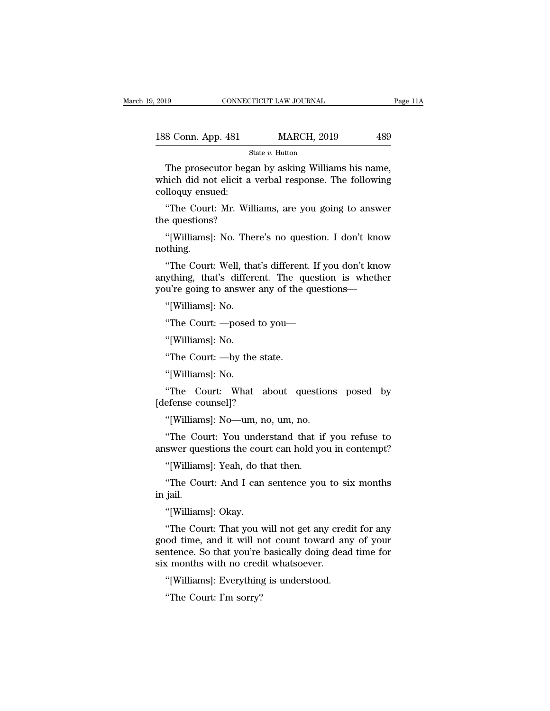| 2019               | CONNECTICUT LAW JOURNAL | Page 11A |  |
|--------------------|-------------------------|----------|--|
| 188 Conn. App. 481 | <b>MARCH, 2019</b>      | 489      |  |
|                    | State $v$ . Hutton      |          |  |

The prosecutor began by asking Williams his name,<br>
The prosecutor began by asking Williams his name,<br>
The prosecutor began by asking Williams his name,<br>
The prosecutor began by asking Williams his name,<br>
Uloguy opsued: 188 Conn. App. 481 MARCH, 2019 489<br>
State v. Hutton<br>
The prosecutor began by asking Williams his name,<br>
which did not elicit a verbal response. The following<br>
colloquy ensued: 188 Conn. App. 481<br>
The prosecutor beg<br>
which did not elicit a<br>
colloquy ensued:<br>
"The Court: Mr. Wi <sup>8</sup> Conn. App. 481 MARCH, 2019 489<br>
<sup>State v. Hutton<br>
The prosecutor began by asking Williams his name,<br>
nich did not elicit a verbal response. The following<br>
lloquy ensued:<br>
"The Court: Mr. Williams, are you going to ans</sup> <sup>Sta</sup><br>The prosecutor began<br>which did not elicit a<br>colloquy ensued:<br>"The Court: Mr. Willi<br>the questions?<br>"[Williams]: No. Then The prosecutor began by asking Williams his name,<br>nich did not elicit a verbal response. The following<br>lloquy ensued:<br>"The Court: Mr. Williams, are you going to answer<br>e questions?<br>"[Williams]: No. There's no question. I d

nothing.

"The Court: Mr. Williams, are you going to answer<br>"(Williams): No. There's no question. I don't know<br>"(Williams): No. There's no question. I don't know<br>"The Court: Well, that's different. If you don't know<br>ything, that's d "The Court: Mr. Williams, are you going to answer<br>the questions?<br>"[Williams]: No. There's no question. I don't know<br>nothing.<br>"The Court: Well, that's different. If you don't know<br>anything, that's different. The question is the questions?<br>
"[Williams]: No. There's no question. I don't know<br>
nothing.<br>
"The Court: Well, that's different. If you don't know<br>
anything, that's different. The question is whether<br>
you're going to answer any of the qu "[Williams]: No. The:<br>thing.<br>"The Court: Well, tha<br>ything, that's differe<br>u're going to answer<br>"[Williams]: No.<br>"The Court: —posed "The Court: Well, that's different. If you don't know<br>"The Court: Well, that's different. If you don't know<br>"Ything, that's different. The questions—"<br>"[Williams]: No.<br>"The Court: —posed to you—"[Williams]: No. The Court: wen, that's differe<br>
ything, that's differe<br>
u're going to answer<br>
"[Williams]: No.<br>
"The Court: —posed<br>
"[Williams]: No.<br>
"The Court: —by the u're going to answer any of the<br>"[Williams]: No.<br>"The Court: —posed to you—<br>"[Williams]: No.<br>"The Court: —by the state.<br>"[Williams]: No.

"[Williams]: No.<br>"The Court: —posed"<br>[Williams]: No.<br>"The Court: —by the"<br>[Williams]: No.<br>"The Court: What" "The Court: —posed to you—<br>"[Williams]: No.<br>"The Court: —by the state.<br>"[Williams]: No.<br>"The Court: What about questions posed by<br>efense counsel]? "[Williams]: No.<br>"The Court: —by the stat"<br>"[Williams]: No.<br>"The Court: What abe<br>[defense counsel]?"<br>"[Williams]: No—um, no, "The Court: —by the state.<br>"[Williams]: No.<br>"The Court: What about question<br>efense counsel]?<br>"[Williams]: No—um, no, um, no.<br>"The Court: You understand that if y

"[Williams]: No.<br>"The Court: What about questions posed by<br>efense counsel]?<br>"[Williams]: No—um, no, um, no.<br>"The Court: You understand that if you refuse to<br>swer questions the court can hold you in contempt? [wintains]: No.<br>
"The Court: What about questions posed by<br>
[defense counsel]?<br>
"[Williams]: No—um, no, um, no.<br>
"The Court: You understand that if you refuse to<br>
answer questions the court can hold you in contempt?<br>
"[Wil The Court: What about questic<br>efense counsel]?<br>"[Williams]: No—um, no, um, no.<br>"The Court: You understand that if<br>swer questions the court can hold yo<br>"[Williams]: Yeah, do that then.<br>"The Court: And I can sentence you "[Williams]: No—um, no, um, no.<br>"The Court: You understand that if you refuse to<br>swer questions the court can hold you in contempt?<br>"[Williams]: Yeah, do that then.<br>"The Court: And I can sentence you to six months<br>jail. winam<br>
"The Cou<br>
answer que<br>
"[William<br>
"The Cou<br>
in jail.<br>"[William

The Court: Tou under<br>swer questions the cou<br>"[Williams]: Yeah, do the<br>"The Court: And I can<br>jail. "[Williams]: Okay.<br>"The Court: That you w

"[Williams]: Yeah, do that then.<br>"The Court: And I can sentence you to six months<br>jail.<br>"[Williams]: Okay.<br>"The Court: That you will not get any credit for any<br>od time, and it will not count toward any of your<br>ntonce. So t williams]: Tean, do that then.<br>
"The Court: And I can sentence you to six months<br>
in jail.<br>
"[Williams]: Okay.<br>
"The Court: That you will not get any credit for any<br>
good time, and it will not count toward any of your<br>
sen "The Court: And I can sentence you to six months<br>in jail.<br>"[Williams]: Okay.<br>"The Court: That you will not get any credit for any<br>good time, and it will not count toward any of your<br>sentence. So that you're basically doing in jail.<br>
"[Williams]: Okay.<br>
"The Court: That you will not get any cre<br>
good time, and it will not count toward an<br>
sentence. So that you're basically doing dea<br>
six months with no credit whatsoever.<br>
"[Williams]: Everyth "[Williams]: Okay.<br>"The Court: That you will not get any credical od time, and it will not count toward any<br>ntence. So that you're basically doing dead<br>k months with no credit whatsoever.<br>"[Williams]: Everything is underst The Court: That you vood time, and it will numence. So that you're<br>a months with no cred<br>"[Williams]: Everything"<br>In sorry?"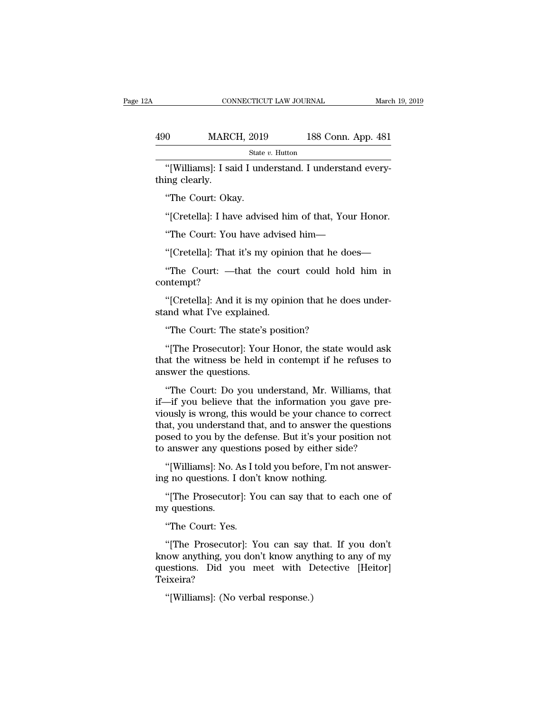|                | CONNECTICUT LAW JOURNAL                               |                    | March 19, 2019 |
|----------------|-------------------------------------------------------|--------------------|----------------|
|                |                                                       |                    |                |
| 490            | <b>MARCH, 2019</b>                                    | 188 Conn. App. 481 |                |
|                | State $v$ . Hutton                                    |                    |                |
| thing clearly. | "[Williams]: I said I understand. I understand every- |                    |                |
|                | "The Court: Okay.                                     |                    |                |
|                | "[Cretella]: I have advised him of that, Your Honor.  |                    |                |

State v. Hutton<br>
"[Williams]: I said I understand. I understand every-<br>
ing clearly.<br>
"The Court: Okay.<br>
"[Cretella]: I have advised him of that, Your Honor.<br>
"The Court: You have advised him— "[Williams]: I said I understand. I understand every-<br>ing clearly.<br>"The Court: Okay.<br>"[Cretella]: I have advised him of that, Your Honor.<br>"The Court: You have advised him—<br>"[Cretella]: That it's my opinion that he does—

"The Court: Okay.<br>"[Cretella]: I have advised him of that, Your Honor.<br>"The Court: You have advised him—<br>"[Cretella]: That it's my opinion that he does—<br>"The Court: —that the court could hold him in "The Court: Okay.<br>"[Cretella]: I have advised him of that, Your Honor.<br>"The Court: You have advised him—<br>"[Cretella]: That it's my opinion that he does—<br>"The Court: —that the court could hold him in ntempt? contempt? "The Court: You have advised him—"<br>[Cretella]: That it's my opinion that he does—"<br>The Court: —that the court could hold him in<br>ntempt?<br>"[Cretella]: And it is my opinion that he does under-<br>and what I've explained. "[Cretella]: That it's my opini"<br>The Court: —that the courcontempt?<br>"[Cretella]: And it is my opining stand what I've explained."<br>The Court: The state's posit "The Court: —that the court could hol<br>"The Court: —that the court could hol<br>"[Cretella]: And it is my opinion that he do<br>and what I've explained.<br>"The Court: The state's position?<br>"[The Prosecutor]: Your Honor, the state v

The Prosecutor and the College of the state work is an<br>
"[Cretella]: And it is my opinion that he does under-<br>
"The Court: The state's position?<br>"[The Prosecutor]: Your Honor, the state would ask<br>
at the witness be held in "[Cretella]: And it is my opinion that he does understand what I've explained.<br>"The Court: The state's position?<br>"[The Prosecutor]: Your Honor, the state would ask that the witness be held in contempt if he refuses to answ "[Cretella]: And it is my of the stand what I've explained."<br>"The Court: The state's put<br>"[The Prosecutor]: Your<br>that the witness be held in answer the questions."<br>"The Court: Do you und "The Court: The state's position?<br>"[The Prosecutor]: Your Honor, the state would ask<br>at the witness be held in contempt if he refuses to<br>swer the questions.<br>"The Court: Do you understand, Mr. Williams, that<br>"The Court: Do

The Court: The state's position?<br>
"[The Prosecutor]: Your Honor, the state would ask<br>
that the witness be held in contempt if he refuses to<br>
answer the questions.<br>
"The Court: Do you understand, Mr. Williams, that<br>
if—if y "[The Prosecutor]: Your Honor, the state would ask<br>that the witness be held in contempt if he refuses to<br>answer the questions.<br>"The Court: Do you understand, Mr. Williams, that<br>if—if you believe that the information you g The Trosecator<sub>1</sub>: Foar Honor, the state would ask<br>that the witness be held in contempt if he refuses to<br>answer the questions.<br>"The Court: Do you understand, Mr. Williams, that<br>if—if you believe that the information you ga and the whitess be field in contempt if it refuses to answer the questions.<br>
"The Court: Do you understand, Mr. Williams, that<br>
if—if you believe that the information you gave pre-<br>
viously is wrong, this would be your cha "The Court: Do you understand, Mr. Williams, that if—if you believe that the information you gave previously is wrong, this would be your chance to correct that, you understand that, and to answer the questions posed to yo Inc Code. *Do you* diderstand, fin. while with solution with the information you gave pre-<br>
bush is wrong, this would be your chance to correct<br>
at, you understand that, and to answer the questions<br>
sed to you by the defen In a you seneve that the mormation you<br>viously is wrong, this would be your chance if<br>that, you understand that, and to answer the<br>posed to you by the defense. But it's your po<br>to answer any questions posed by either side<br> at, you understand that, and to answer the questions<br>sed to you by the defense. But it's your position not<br>answer any questions posed by either side?<br>"[Williams]: No. As I told you before, I'm not answer-<br>g no questions. I

posed to you by the<br>to answer any ques<br>"[Williams]: No. 4<br>ing no questions. I<br>"[The Prosecuto:<br>my questions.<br>"The Court: Yes. "The Theory"<br>"''[Williams]: No. As I to<br>"''[The Prosecutor]: Yes.<br>"The Court: Yes.<br>"'[The Prosecutor]: Yes.

g no questions. I don't know nothing.<br>
"[The Prosecutor]: You can say that to each one of<br>
y questions.<br>
"The Court: Yes.<br>
"[The Prosecutor]: You can say that. If you don't<br>
tow anything, you don't know anything to any of (The Prosecutor): You can say that to each one of<br>my questions.<br>"The Court: Yes.<br>"[The Prosecutor]: You can say that. If you don't<br>know anything, you don't know anything to any of my<br>questions. Did you meet with Detective "[The Prosecutor]: You can say that to each one of<br>my questions.<br>"The Court: Yes.<br>"[The Prosecutor]: You can say that. If you don't<br>know anything, you don't know anything to any of my<br>questions. Did you meet with Detective Teixeira? "The Court: Yes.<br>
"[The Prosecutor]: You can say that. If you don't<br>
know anything, you don't know anything to any of my<br>
questions. Did you meet with Detective [Heitor]<br>
Teixeira?<br>
"[Williams]: (No verbal response.)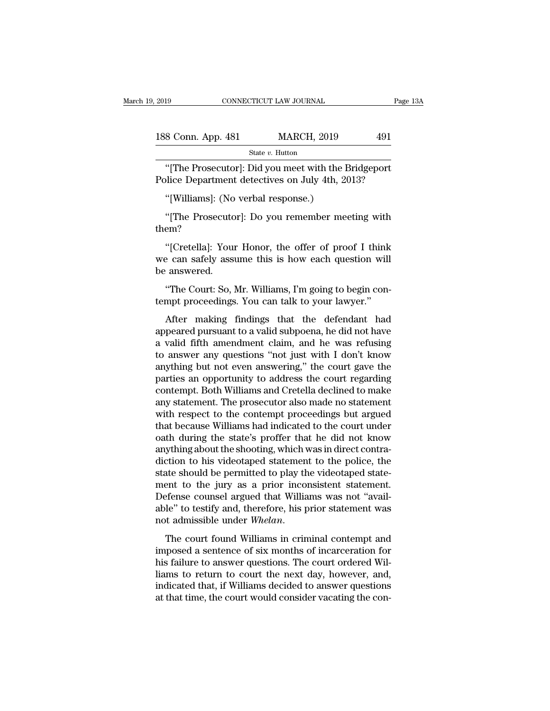| 2019                                            | CONNECTICUT LAW JOURNAL                              | Page 13A |
|-------------------------------------------------|------------------------------------------------------|----------|
| 188 Conn. App. 481                              | <b>MARCH, 2019</b>                                   | 491      |
|                                                 | State v. Hutton                                      |          |
| Police Department detectives on July 4th, 2013? | "[The Prosecutor]: Did you meet with the Bridgeport" |          |
| "[Williams]: (No verbal response.)              |                                                      |          |
|                                                 | "The Prosecutor: Do you remember meeting with        |          |

State v. Hutton<br>
"[The Prosecutor]: Did you meet with the Bridgeport<br>
blice Department detectives on July 4th, 2013?<br>
"[Williams]: (No verbal response.)<br>
"[The Prosecutor]: Do you remember meeting with<br>
em? them?

blice Department detectives on July 4th, 2013?<br>
"[Williams]: (No verbal response.)<br>
"[The Prosecutor]: Do you remember meeting with<br>
em?<br>"[Cretella]: Your Honor, the offer of proof I think<br>
e can safely assume this is how "[Williams]: (No verbal response.)<br>"[The Prosecutor]: Do you remember meeting with<br>them?<br>"[Cretella]: Your Honor, the offer of proof I think<br>we can safely assume this is how each question will<br>be answered. "[Williams]: (No<br>"[The Prosecutc<br>them?<br>"[Cretella]: You<br>we can safely ass<br>be answered.<br>"The Court: So, ] "[The Prosecutor]: Do you remember meeting with<br>em?<br>"[Cretella]: Your Honor, the offer of proof I think<br>e can safely assume this is how each question will<br>answered.<br>"The Court: So, Mr. Williams, I'm going to begin con-<br>mpt them?<br>
"[Cretella]: Your Honor, the offer of proof I think<br>
we can safely assume this is how each question will<br>
be answered.<br>
"The Court: So, Mr. Williams, I'm going to begin con-<br>
tempt proceedings. You can talk to your "[Cretella]: Your Honor, the offer of proof I think<br>
e can safely assume this is how each question will<br>
"The Court: So, Mr. Williams, I'm going to begin con-<br>
mpt proceedings. You can talk to your lawyer."<br>
After making f

we can safely assume this is how each question will<br>be answered.<br>"The Court: So, Mr. Williams, I'm going to begin con-<br>tempt proceedings. You can talk to your lawyer."<br>After making findings that the defendant had<br>appeared be answered.<br>
"The Court: So, Mr. Williams, I'm going to begin contempt proceedings. You can talk to your lawyer."<br>
After making findings that the defendant had<br>
appeared pursuant to a valid subpoena, he did not have<br>
a va "The Court: So, Mr. Williams, I'm going to begin con-<br>tempt proceedings. You can talk to your lawyer."<br>After making findings that the defendant had<br>appeared pursuant to a valid subpoena, he did not have<br>a valid fifth amend anyther proceedings. You can talk to your lawyer."<br>After making findings that the defendant had<br>appeared pursuant to a valid subpoena, he did not have<br>a valid fifth amendment claim, and he was refusing<br>to answer any questi entry proceedings. To a can can be your ranger.<br>After making findings that the defendant had<br>appeared pursuant to a valid subpoena, he did not have<br>a valid fifth amendment claim, and he was refusing<br>to answer any questions After making findings that the defendant had<br>appeared pursuant to a valid subpoena, he did not have<br>a valid fifth amendment claim, and he was refusing<br>to answer any questions "not just with I don't know<br>anything but not ev appeared pursuant to a valid subpoena, he did not have<br>a valid fifth amendment claim, and he was refusing<br>to answer any questions "not just with I don't know<br>anything but not even answering," the court gave the<br>parties an a valid fifth amendment claim, and he was refusing<br>to answer any questions "not just with I don't know<br>anything but not even answering," the court gave the<br>parties an opportunity to address the court regarding<br>contempt. Bo to answer any questions "not just with I don't know<br>anything but not even answering," the court gave the<br>parties an opportunity to address the court regarding<br>contempt. Both Williams and Cretella declined to make<br>any state anything but not even answering," the court gave the<br>parties an opportunity to address the court regarding<br>contempt. Both Williams and Cretella declined to make<br>any statement. The prosecutor also made no statement<br>with res parties an opportunity to address the court regarding<br>contempt. Both Williams and Cretella declined to make<br>any statement. The prosecutor also made no statement<br>with respect to the contempt proceedings but argued<br>that beca contempt. Both Williams and Cretella declined to make<br>any statement. The prosecutor also made no statement<br>with respect to the contempt proceedings but argued<br>that because Williams had indicated to the court under<br>oath dur any statement. The prosecutor also made no statement<br>with respect to the contempt proceedings but argued<br>that because Williams had indicated to the court under<br>oath during the state's proffer that he did not know<br>anything with respect to the contempt proceedings but argued<br>that because Williams had indicated to the court under<br>oath during the state's proffer that he did not know<br>anything about the shooting, which was in direct contra-<br>dicti that because Williams had indicated to the court under<br>oath during the state's proffer that he did not know<br>anything about the shooting, which was in direct contra-<br>diction to his videotaped statement to the police, the<br>st oath during the state's proffer that he did not know<br>anything about the shooting, which was in direct contra-<br>diction to his videotaped statement to the police, the<br>state should be permitted to play the videotaped state-<br>m anything about the shooting, which was in direct contra-<br>diction to his videotaped statement to the police, the<br>state should be permitted to play the videotaped state-<br>ment to the jury as a prior inconsistent statement.<br>De Exace should be permised to play are videousped state<br>ment to the jury as a prior inconsistent statement.<br>Defense counsel argued that Williams was not "avail-<br>able" to testify and, therefore, his prior statement was<br>not ad

here is a commodule to an alleged that Williams was not "available" to testify and, therefore, his prior statement was not admissible under *Whelan*.<br>The court found Williams in criminal contempt and imposed a sentence of Level Court of each of the next day, however, and admissible under Whelan.<br>The court found Williams in criminal contempt and imposed a sentence of six months of incarceration for his failure to answer questions. The court individually and, and terms. The court found williams in criminal contempt and imposed a sentence of six months of incarceration for his failure to answer questions. The court ordered Williams to return to court the next d The court found Williams in criminal contempt and<br>imposed a sentence of six months of incarceration for<br>his failure to answer questions. The court ordered Wil-<br>liams to return to court the next day, however, and,<br>indicated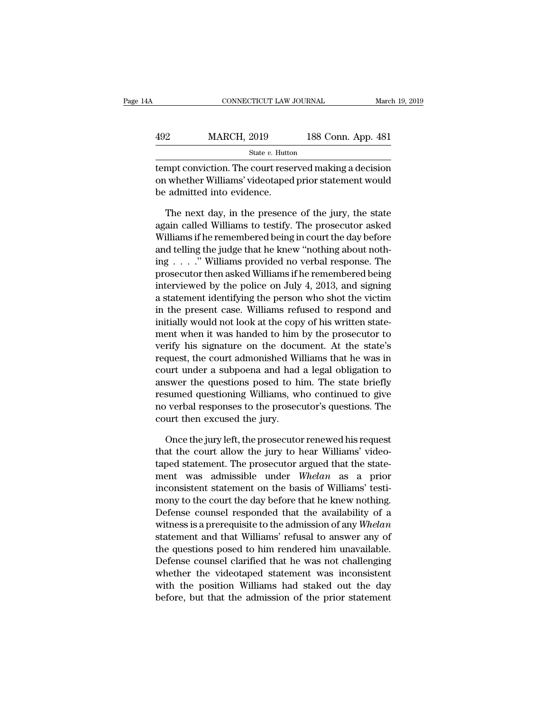| А   | CONNECTICUT LAW JOURNAL |                    | March 19, 2019 |
|-----|-------------------------|--------------------|----------------|
|     |                         |                    |                |
| 492 | <b>MARCH, 2019</b>      | 188 Conn. App. 481 |                |
|     | State $v$ . Hutton      |                    |                |

CONNECTICUT LAW JOURNAL March 19, 2019<br>
MARCH, 2019 188 Conn. App. 481<br>
State v. Hutton<br>
tempt conviction. The court reserved making a decision<br>
on whether Williams' videotaped prior statement would<br>
he edmitted into evide MARCH, 2019 188 Conn. App. 481<br>
State v. Hutton<br>
tempt conviction. The court reserved making a decision<br>
on whether Williams' videotaped prior statement would<br>
be admitted into evidence.  $\begin{array}{c} \text{492} \text{19} \\ \text{5019} \text{100} \\ \text{511} \text{100} \end{array}$  and  $\begin{array}{c} \text{51} \\ \text{52} \\ \text{63} \end{array}$  and  $\begin{array}{c} \text{53} \\ \text{64} \\ \text{65} \end{array}$  admitted into evidence.<br>The next day, in the presence State v. Hutton<br>
State v. Hutton<br>
The court reserved making a decision<br>
in whether Williams' videotaped prior statement would<br>
admitted into evidence.<br>
The next day, in the presence of the jury, the state<br>
ain called Will

 $\frac{\text{State } v. \text{ Hutton}}{\text{tempt} \text{ conviction. The court reserved making a decision}}$ <br>
on whether Williams' videotaped prior statement would<br>
be admitted into evidence.<br>
The next day, in the presence of the jury, the state<br>
again called Williams to testify. The prosecut tempt conviction. The court reserved making a decision<br>on whether Williams' videotaped prior statement would<br>be admitted into evidence.<br>The next day, in the presence of the jury, the state<br>again called Williams to testify. on whether Williams' videotaped prior statement would<br>be admitted into evidence.<br>The next day, in the presence of the jury, the state<br>again called Williams to testify. The prosecutor asked<br>Williams if he remembered being i be admitted into evidence.<br>
The next day, in the presence of the jury, the state<br>
again called Williams to testify. The prosecutor asked<br>
Williams if he remembered being in court the day before<br>
and telling the judge that The next day, in the presence of the jury, the state<br>again called Williams to testify. The prosecutor asked<br>Williams if he remembered being in court the day before<br>and telling the judge that he knew "nothing about noth-<br>i The next day, in the presence of the jury, the state<br>again called Williams to testify. The prosecutor asked<br>Williams if he remembered being in court the day before<br>and telling the judge that he knew "nothing about noth-<br>i again called Williams to testify. The prosecutor asked<br>Williams if he remembered being in court the day before<br>and telling the judge that he knew "nothing about noth-<br>ing . . . . " Williams provided no verbal response. The Williams if he remembered being in court the day before<br>and telling the judge that he knew "nothing about noth-<br>ing  $\ldots$  ." Williams provided no verbal response. The<br>prosecutor then asked Williams if he remembered being<br> and telling the judge that he knew "nothing about nothing  $\ldots$ " Williams provided no verbal response. The prosecutor then asked Williams if he remembered being interviewed by the police on July 4, 2013, and signing a sta ing . . . ." Williams provided no verbal response. The<br>prosecutor then asked Williams if he remembered being<br>interviewed by the police on July 4, 2013, and signing<br>a statement identifying the person who shot the victim<br>in prosecutor then asked Williams if he remembered being<br>interviewed by the police on July 4, 2013, and signing<br>a statement identifying the person who shot the victim<br>in the present case. Williams refused to respond and<br>initi interviewed by the police on July 4, 2013, and signing<br>a statement identifying the person who shot the victim<br>in the present case. Williams refused to respond and<br>initially would not look at the copy of his written state-<br> a statement identifying the person who shot the victim<br>in the present case. Williams refused to respond and<br>initially would not look at the copy of his written state-<br>ment when it was handed to him by the prosecutor to<br>ver in the present case. Williams refused to respond and<br>initially would not look at the copy of his written state-<br>ment when it was handed to him by the prosecutor to<br>verify his signature on the document. At the state's<br>reque initially would not look at the copy of his written statement when it was handed to him by the prosecutor to verify his signature on the document. At the state's request, the court admonished Williams that he was in court ment when it was handed to him by the prosecutor to<br>verify his signature on the document. At the state's<br>request, the court admonished Williams that he was in<br>court under a subpoena and had a legal obligation to<br>answer the verify his signature on the docu<br>request, the court admonished Wi<br>court under a subpoena and had<br>answer the questions posed to h<br>resumed questioning Williams, wl<br>no verbal responses to the prosec<br>court then excused the jur urt under a subpoena and had a legal obligation to<br>swer the questions posed to him. The state briefly<br>sumed questioning Williams, who continued to give<br>verbal responses to the prosecutor's questions. The<br>urt then excused t Framework the questions posed to him. The state briefly<br>resumed questioning Williams, who continued to give<br>no verbal responses to the prosecutor's questions. The<br>court then excused the jury.<br>Once the jury left, the prose

resumed questioning Williams, who continued to give<br>no verbal responses to the prosecutor's questions. The<br>court then excused the jury.<br>Once the jury left, the prosecutor renewed his request<br>that the court allow the jury t mo verbal responses to the prosecutor's questions. The<br>court then excused the jury.<br>Once the jury left, the prosecutor renewed his request<br>that the court allow the jury to hear Williams' video-<br>taped statement. The prosecu court then excused the jury.<br>
Once the jury left, the prosecutor renewed his request<br>
that the court allow the jury to hear Williams' video-<br>
taped statement. The prosecutor argued that the state-<br>
ment was admissible unde Once the jury left, the prosecutor renewed his request<br>that the court allow the jury to hear Williams' video-<br>taped statement. The prosecutor argued that the state-<br>ment was admissible under *Whelan* as a prior<br>inconsiste Once the jury left, the prosecutor renewed his request<br>that the court allow the jury to hear Williams' video-<br>taped statement. The prosecutor argued that the state-<br>ment was admissible under *Whelan* as a prior<br>inconsiste that the court allow the jury to hear Williams' videotaped statement. The prosecutor argued that the statement was admissible under *Whelan* as a prior inconsistent statement on the basis of Williams' testimony to the cour taped statement. The prosecutor argued that the statement was admissible under *Whelan* as a prior inconsistent statement on the basis of Williams' testimony to the court the day before that he knew nothing. Defense counse ment was admissible under *Whelan* as a prior<br>inconsistent statement on the basis of Williams' testi-<br>mony to the court the day before that he knew nothing.<br>Defense counsel responded that the availability of a<br>witness is a mconsistent statement on the basis of Williams' testi-<br>mony to the court the day before that he knew nothing.<br>Defense counsel responded that the availability of a<br>witness is a prerequisite to the admission of any Whelan<br>st mony to the court the day before that he knew nothing.<br>Defense counsel responded that the availability of a<br>witness is a prerequisite to the admission of any Whelan<br>statement and that Williams' refusal to answer any of<br>the Detense counsel responded that the availability of a<br>witness is a prerequisite to the admission of any Whelan<br>statement and that Williams' refusal to answer any of<br>the questions posed to him rendered him unavailable.<br>Defen witness is a prerequisite to the admission of any *Whelan* statement and that Williams' refusal to answer any of the questions posed to him rendered him unavailable. Defense counsel clarified that he was not challenging wh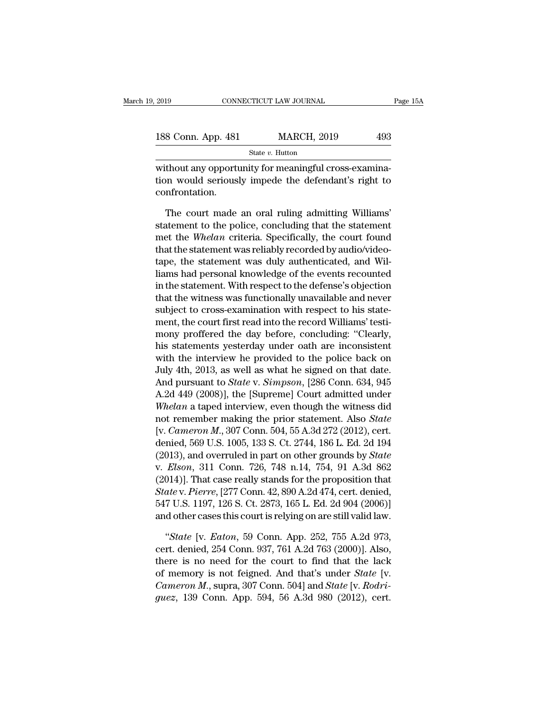| 2019               | CONNECTICUT LAW JOURNAL | Page 15A |  |
|--------------------|-------------------------|----------|--|
| 188 Conn. App. 481 | <b>MARCH, 2019</b>      | 493      |  |
|                    | State $v$ . Hutton      |          |  |

EXECUTE 2019 CONNECTICUT LAW JOURNAL<br>
188 Conn. App. 481 MARCH, 2019 493<br>
State v. Hutton<br>
without any opportunity for meaningful cross-examina-<br>
tion would seriously impede the defendant's right to 188 Conn. App. 481 MARCH, 2019 493<br>
State v. Hutton<br>
without any opportunity for meaningful cross-examination would seriously impede the defendant's right to<br>
confrontation. confrontation.  $\frac{1}{100}$ <br>State v. Hutton<br>Thout any opportunity for meaningful cross-examina-<br>in would seriously impede the defendant's right to<br>nfrontation.<br>The court made an oral ruling admitting Williams'<br>atement to the police, conc

State v. Hutton<br>
without any opportunity for meaningful cross-examina-<br>
tion would seriously impede the defendant's right to<br>
confrontation.<br>
The court made an oral ruling admitting Williams'<br>
statement to the police, con without any opportunity for meaningful cross-examination would seriously impede the defendant's right to confrontation.<br>The court made an oral ruling admitting Williams'<br>statement to the police, concluding that the stateme tion would seriously impede the defendant's right to<br>confrontation.<br>The court made an oral ruling admitting Williams'<br>statement to the police, concluding that the statement<br>met the *Whelan* criteria. Specifically, the cour confrontation.<br>The court made an oral ruling admitting Williams'<br>statement to the police, concluding that the statement<br>met the *Whelan* criteria. Specifically, the court found<br>that the statement was reliably recorded by a The court made an oral ruling admitting Williams'<br>statement to the police, concluding that the statement<br>met the Whelan criteria. Specifically, the court found<br>that the statement was reliably recorded by audio/video-<br>tape, The court made an oral ruling admitting Williams'<br>statement to the police, concluding that the statement<br>met the Whelan criteria. Specifically, the court found<br>that the statement was reliably recorded by audio/video-<br>tape, statement to the police, concluding that the statement<br>met the *Whelan* criteria. Specifically, the court found<br>that the statement was reliably recorded by audio/video-<br>tape, the statement was duly authenticated, and Wil-<br> met the *Whelan* criteria. Specifically, the court found<br>that the statement was reliably recorded by audio/video-<br>tape, the statement was duly authenticated, and Wil-<br>liams had personal knowledge of the events recounted<br>in that the statement was reliably recorded by audio/video-<br>tape, the statement was duly authenticated, and Wil-<br>liams had personal knowledge of the events recounted<br>in the statement. With respect to the defense's objection<br>t tape, the statement was duly authenticated, and Williams had personal knowledge of the events recounted<br>in the statement. With respect to the defense's objection<br>that the witness was functionally unavailable and never<br>subj liams had personal knowledge of the events recounted<br>in the statement. With respect to the defense's objection<br>that the witness was functionally unavailable and never<br>subject to cross-examination with respect to his statein the statement. With respect to the defense's objection<br>that the witness was functionally unavailable and never<br>subject to cross-examination with respect to his state-<br>ment, the court first read into the record Williams' that the witness was functionally unavailable and never<br>subject to cross-examination with respect to his state-<br>ment, the court first read into the record Williams' testi-<br>mony proffered the day before, concluding: "Clear subject to cross-examination with respect to his statement, the court first read into the record Williams' testi-<br>mony proffered the day before, concluding: "Clearly,<br>his statements yesterday under oath are inconsistent<br>wi ment, the court first read into the record Williams' testi-<br>mony proffered the day before, concluding: "Clearly,<br>his statements yesterday under oath are inconsistent<br>with the interview he provided to the police back on<br>Jul mony proffered the day before, concluding: "Clearly,<br>his statements yesterday under oath are inconsistent<br>with the interview he provided to the police back on<br>July 4th, 2013, as well as what he signed on that date.<br>And pur his statements yesterday under oath are inconsistent<br>with the interview he provided to the police back on<br>July 4th, 2013, as well as what he signed on that date.<br>And pursuant to *State* v. *Simpson*, [286 Conn. 634, 945<br>A. with the interview he provided to the police back on<br>July 4th, 2013, as well as what he signed on that date.<br>And pursuant to *State* v. *Simpson*, [286 Conn. 634, 945<br>A.2d 449 (2008)], the [Supreme] Court admitted under<br>Wh July 4th, 2013, as well as what he signed on that date.<br>And pursuant to *State* v. *Simpson*, [286 Conn. 634, 945<br>A.2d 449 (2008)], the [Supreme] Court admitted under<br>*Whelan* a taped interview, even though the witness di And pursuant to *State* v. *Simpson*, [286 Conn. 634, 945<br>A.2d 449 (2008)], the [Supreme] Court admitted under<br>*Whelan* a taped interview, even though the witness did<br>not remember making the prior statement. Also *State*<br>[ A.2d 449 (2008)], the [Supreme] Court admitted under<br>Whelan a taped interview, even though the witness did<br>not remember making the prior statement. Also *State*<br>[v. *Cameron M.*, 307 Conn. 504, 55 A.3d 272 (2012), cert.<br>de *Whelan* a taped interview, even though the witness did<br>not remember making the prior statement. Also *State*<br>[v. *Cameron M.*, 307 Conn. 504, 55 A.3d 272 (2012), cert.<br>denied, 569 U.S. 1005, 133 S. Ct. 2744, 186 L. Ed. 2 *State* [v. *Cameron M.*, 307 Conn. 504, 55 A.3d 272 (2012), cert. denied, 569 U.S. 1005, 133 S. Ct. 2744, 186 L. Ed. 2d 194 (2013), and overruled in part on other grounds by *State* v. *Elson*, 311 Conn. 726, 748 n.14, 75 [v. *Cameron M.*, 307 Conn. 504, 55 A.3d 272 (2012), cert.<br>denied, 569 U.S. 1005, 133 S. Ct. 2744, 186 L. Ed. 2d 194<br>(2013), and overruled in part on other grounds by *State*<br>v. *Elson*, 311 Conn. 726, 748 n.14, 754, 91 A. denied, 569 U.S. 1005, 133 S. Ct. 2744, 186 L. Ed. 2d 194<br>(2013), and overruled in part on other grounds by *State*<br>v. *Elson*, 311 Conn. 726, 748 n.14, 754, 91 A.3d 862<br>(2014)]. That case really stands for the propositio Elson, 311 Conn. 726, 748 n.14, 754, 91 A.3d 862<br>014)]. That case really stands for the proposition that<br>*ate* v. *Pierre*, [277 Conn. 42, 890 A.2d 474, cert. denied,<br>7 U.S. 1197, 126 S. Ct. 2873, 165 L. Ed. 2d 904 (2006)] (2014)]. That case really stands for the proposition that  $State$  v.  $Pierre$ , [277 Conn. 42, 890 A.2d 474, cert. denied, 547 U.S. 1197, 126 S. Ct. 2873, 165 L. Ed. 2d 904 (2006)] and other cases this court is relying on are stil

State v. Pierre, [277 Conn. 42, 890 A.2d 474, cert. denied,<br>547 U.S. 1197, 126 S. Ct. 2873, 165 L. Ed. 2d 904 (2006)]<br>and other cases this court is relying on are still valid law.<br>"State [v. Eaton, 59 Conn. App. 252, 755 547 U.S. 1197, 126 S. Ct. 2873, 165 L. Ed. 2d 904 (2006)]<br>and other cases this court is relying on are still valid law.<br>"*State* [v. *Eaton*, 59 Conn. App. 252, 755 A.2d 973,<br>cert. denied, 254 Conn. 937, 761 A.2d 763 (2000 and other cases this court is relying on are still valid law.<br>
"*State* [v. *Eaton*, 59 Conn. App. 252, 755 A.2d 973,<br>
cert. denied, 254 Conn. 937, 761 A.2d 763 (2000)]. Also,<br>
there is no need for the court to find that t *f guez*, 139 Conn. App. 252, 755 A.2d 973, cert. denied, 254 Conn. 937, 761 A.2d 763 (2000)]. Also, there is no need for the court to find that the lack of memory is not feigned. And that's under *State* [v. *Cameron M.*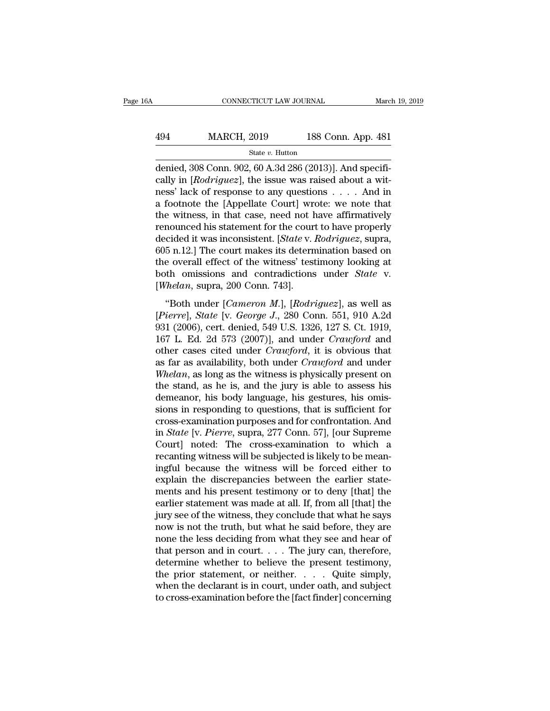## EXECUTE CONNECTICUT LAW JOURNAL March 19, 2019<br>
494 MARCH, 2019 188 Conn. App. 481<br>
5tate v. Hutton State *v.* Hutton

CONNECTICUT LAW JOURNAL March March 1994<br>
MARCH, 2019 188 Conn. App. 481<br>
State v. Hutton<br>
denied, 308 Conn. 902, 60 A.3d 286 (2013)]. And specifi-<br>
cally in [*Rodriguez*], the issue was raised about a wit-MARCH, 2019 188 Conn. App. 481<br>
<sup>State v. Hutton</sup><br>
denied, 308 Conn. 902, 60 A.3d 286 (2013)]. And specifically in [*Rodriguez*], the issue was raised about a wit-<br>
ness' lack of response to any questions . . . . And in MARCH, 2019 188 Conn. App. 481<br>
State v. Hutton<br>
denied, 308 Conn. 902, 60 A.3d 286 (2013)]. And specifically in [*Rodriguez*], the issue was raised about a wit-<br>
ness' lack of response to any questions . . . . And in<br>
a 494 MARCH, 2019 188 Conn. App. 481<br>  $\frac{\text{State } v. \text{ Hutton}}{\text{denied, 308 Conn. 902, 60 A.3d 286 (2013)].}$  And specifically in [*Rodriguez*], the issue was raised about a witness' lack of response to any questions . . . . And in a footnote State v. Hutton<br>denied, 308 Conn. 902, 60 A.3d 286 (2013)]. And specifically in [*Rodriguez*], the issue was raised about a wit-<br>ness' lack of response to any questions . . . . And in<br>a footnote the [Appellate Court] wrot state v. Hutton<br>denied, 308 Conn. 902, 60 A.3d 286 (2013)]. And specifi-<br>cally in [*Rodriguez*], the issue was raised about a wit-<br>ness' lack of response to any questions . . . . . And in<br>a footnote the [Appellate Court] denied, 308 Conn. 902, 60 A.3d 286 (2013)]. And specifically in [*Rodriguez*], the issue was raised about a witness' lack of response to any questions . . . . And in a footnote the [Appellate Court] wrote: we note that the cally in [*Rodriguez*], the issue was raised about a wit-<br>ness' lack of response to any questions . . . . And in<br>a footnote the [Appellate Court] wrote: we note that<br>the witness, in that case, need not have affirmatively<br> ness' lack of response to any questions . . . . And in<br>a footnote the [Appellate Court] wrote: we note that<br>the witness, in that case, need not have affirmatively<br>renounced his statement for the court to have properly<br>dec a footnote the [Appellate Court] wrote: we note that<br>the witness, in that case, need not have affirmatively<br>renounced his statement for the court to have properly<br>decided it was inconsistent. [*State* v. *Rodriguez*, supra the witness, in that case, need not held renounced his statement for the courdecided it was inconsistent. [*State v. 1*605 n.12.] The court makes its determ the overall effect of the witness' test both omissions and contra is statement for the coart to have property<br>
cided it was inconsistent. [*State v. Rodriguez*, supra,<br>
5 n.12.] The court makes its determination based on<br>
e overall effect of the witness' testimony looking at<br>
the omissio (*Pierrel*) and *Pierrel*, *State* **Consistent** (*Pierre*), *State* (*Pierrel*) and contradictions under *State* v.<br> *Pierrel*, *State* [*V. George J., 280 Conn. 551, 910 A.2d* (*Pierrel, State V. George J., 280 Conn. 551,* 

bos h.i.e., The coal makes as determinated based on<br>the overall effect of the witness' testimony looking at<br>both omissions and contradictions under *State* v.<br>[*Whelan*, supra, 200 Conn. 743].<br>"Both under [*Cameron M.*], [ the overal enect of the wratess elements, footing as<br>both omissions and contradictions under *State* v.<br>[*Whelan*, supra, 200 Conn. 743].<br>"Both under [*Cameron M.*], [*Rodriguez*], as well as<br>[*Pierre*], *State* [v. *Georg* [Whelan, supra, 200 Conn. 743].<br>
"Both under [*Cameron M.*], [*Rodriguez*], as well as<br>
[*Pierre*], *State* [v. *George J.*, 280 Conn. 551, 910 A.2d<br>
931 (2006), cert. denied, 549 U.S. 1326, 127 S. Ct. 1919,<br>
167 L. Ed. 2d "Both under *[Cameron M.], [Rodriguez]*, as well as *[Pierre], State [v. George J., 280 Conn. 551, 910 A.2d* 931 (2006), cert. denied, 549 U.S. 1326, 127 S. Ct. 1919, 167 L. Ed. 2d 573 (2007)], and under *Crawford* and oth "Both under [*Cameron M.*], [*Rodriguez*], as well as [*Pierre*], *State* [v. *George J.*, 280 Conn. 551, 910 A.2d 931 (2006), cert. denied, 549 U.S. 1326, 127 S. Ct. 1919, 167 L. Ed. 2d 573 (2007)], and under *Crawford* a [*Pierre*], *State* [v. *George J.*, 280 Conn. 551, 910 A.2d 931 (2006), cert. denied, 549 U.S. 1326, 127 S. Ct. 1919, 167 L. Ed. 2d 573 (2007)], and under *Crawford* and other cases cited under *Crawford*, it is obvious t 931 (2006), cert. denied, 549 U.S. 1326, 127 S. Ct. 1919, 167 L. Ed. 2d 573 (2007)], and under *Crawford* and other cases cited under *Crawford*, it is obvious that as far as availability, both under *Crawford* and under 167 L. Ed. 2d 573 (2007)], and under *Crawford* and<br>other cases cited under *Crawford*, it is obvious that<br>as far as availability, both under *Crawford* and under<br>*Whelan*, as long as the witness is physically present on<br> other cases cited under *Crawford*, it is obvious that<br>as far as availability, both under *Crawford* and under<br>Whelan, as long as the witness is physically present on<br>the stand, as he is, and the jury is able to assess his as far as availability, both under *Crawford* and under Whelan, as long as the witness is physically present on the stand, as he is, and the jury is able to assess his demeanor, his body language, his gestures, his omissio Whelan, as long as the witness is physically present on<br>the stand, as he is, and the jury is able to assess his<br>demeanor, his body language, his gestures, his omis-<br>sions in responding to questions, that is sufficient for<br> the stand, as he is, and the jury is able to assess his<br>demeanor, his body language, his gestures, his omis-<br>sions in responding to questions, that is sufficient for<br>cross-examination purposes and for confrontation. And<br>in demeanor, his body language, his gestures, his omissions in responding to questions, that is sufficient for cross-examination purposes and for confrontation. And in *State* [v. *Pierre*, supra, 277 Conn. 57], [our Supreme sions in responding to questions, that is sufficient for cross-examination purposes and for confrontation. And<br>in *State* [v. *Pierre*, supra, 277 Conn. 57], [our Supreme<br>Court] noted: The cross-examination to which a<br>reca cross-examination purposes and for confrontation. And<br>in *State* [v. *Pierre*, supra, 277 Conn. 57], [our Supreme<br>Court] noted: The cross-examination to which a<br>recanting witness will be subjected is likely to be mean-<br>ing in *State* [v. *Pierre*, supra, 277 Conn. 57], [our Supreme<br>Court] noted: The cross-examination to which a<br>recanting witness will be subjected is likely to be mean-<br>ingful because the witness will be forced either to<br>expla Court] noted: The cross-examination to which a<br>recanting witness will be subjected is likely to be mean-<br>ingful because the witness will be forced either to<br>explain the discrepancies between the earlier state-<br>ments and hi recanting witness will be subjected is likely to be mean-<br>ingful because the witness will be forced either to<br>explain the discrepancies between the earlier state-<br>ments and his present testimony or to deny [that] the<br>earli ingful because the witness will be forced either to<br>explain the discrepancies between the earlier state-<br>ments and his present testimony or to deny [that] the<br>earlier statement was made at all. If, from all [that] the<br>jury explain the discrepancies between the earlier statements and his present testimony or to deny [that] the earlier statement was made at all. If, from all [that] the jury see of the witness, they conclude that what he says ments and his present testimony or to deny [that] the<br>earlier statement was made at all. If, from all [that] the<br>jury see of the witness, they conclude that what he says<br>now is not the truth, but what he said before, they earlier statement was made at all. If, from all [that] the<br>jury see of the witness, they conclude that what he says<br>now is not the truth, but what he said before, they are<br>none the less deciding from what they see and hea jury see of the witness, they conclude that what he says<br>now is not the truth, but what he said before, they are<br>none the less deciding from what they see and hear of<br>that person and in court.... The jury can, therefore,<br>d now is not the truth, but what he said before, they are<br>none the less deciding from what they see and hear of<br>that person and in court.... The jury can, therefore,<br>determine whether to believe the present testimony,<br>the p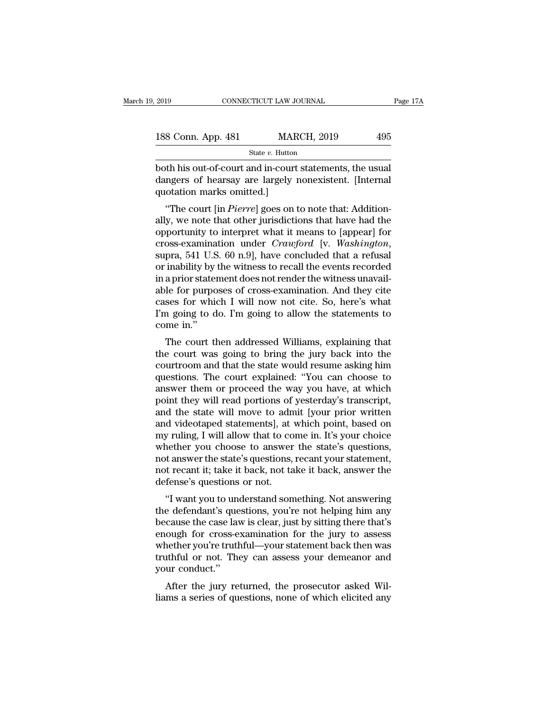| 2019               | CONNECTICUT LAW JOURNAL |                    | Page 17A |  |
|--------------------|-------------------------|--------------------|----------|--|
| 188 Conn. App. 481 |                         | <b>MARCH, 2019</b> | 495      |  |
|                    | State $v$ . Hutton      |                    |          |  |

Fage 1<br>
both his out-of-court and in-court statements, the usual<br>
dangers of hearsay are largely nonexistent. [Internal<br>
mustation marks omitted 1 188 Conn. App. 481 MARCH, 2019 495<br>
State v. Hutton<br>
both his out-of-court and in-court statements, the usual<br>
dangers of hearsay are largely nonexistent. [Internal<br>
quotation marks omitted.] 188 Conn. App. 481 MAR<br>
188 Conn. App. 481 MAR<br>
1990 Marks out-of-court and in-court<br>
1990 dangers of hearsay are largely<br>
1990 Marks omitted.]<br>
1990 The court [in *Pierre*] goes on t <sup>8</sup> Conn. App. 481 MARCH, 2019 495<br>  $\frac{1}{\text{State } v. \text{ Hutton}}$ <br>
oth his out-of-court and in-court statements, the usual<br>
ngers of hearsay are largely nonexistent. [Internal<br>
otation marks omitted.]<br>
"The court [in *Pierre*] goe

state v. Hutton<br>
both his out-of-court and in-court statements, the usual<br>
dangers of hearsay are largely nonexistent. [Internal<br>
quotation marks omitted.]<br>
"The court [in *Pierre*] goes on to note that: Addition-<br>
ally, both his out-of-court and in-court statements, the usual<br>dangers of hearsay are largely nonexistent. [Internal<br>quotation marks omitted.]<br>"The court [in *Pierre*] goes on to note that: Addition-<br>ally, we note that other jur bout its out-oi-court and in-court statements, the usual<br>dangers of hearsay are largely nonexistent. [Internal<br>quotation marks omitted.]<br>"The court [in *Pierre*] goes on to note that: Addition-<br>ally, we note that other jur "The court [in *Pierre*] goes on to note that: Additionally, we note that other jurisdictions that have had the opportunity to interpret what it means to [appear] for cross-examination under *Crawford* [v. *Washington*, s "The court [in *Pierre*] goes on to note that: Additionally, we note that other jurisdictions that have had the opportunity to interpret what it means to [appear] for cross-examination under *Crawford* [v. *Washington*, s ally, we note that other jurisdictions that have had the<br>opportunity to interpret what it means to [appear] for<br>cross-examination under *Crawford* [v. *Washington*,<br>supra, 541 U.S. 60 n.9], have concluded that a refusal<br>or opportunity to interpret what it means to [appear] for<br>cross-examination under *Crawford* [v. *Washington*,<br>supra, 541 U.S. 60 n.9], have concluded that a refusal<br>or inability by the witness to recall the events recorded<br>i cross-examination under *Crawford* [v. *Washington*,<br>supra, 541 U.S. 60 n.9], have concluded that a refusal<br>or inability by the witness to recall the events recorded<br>in a prior statement does not render the witness unavail supra, 541 U.S<br>or inability by<br>in a prior state:<br>able for purpo<br>cases for which<br>I'm going to d<br>come in."<br>The court tl The court was going to bring the jury back into the matter of the matter and they cite<br>ses for which I will now not cite. So, here's what<br>a going to do. I'm going to allow the statements to<br>me in."<br>The court then addressed the approximation. And they cite<br>asses for which I will now not cite. So, here's what<br>I'm going to do. I'm going to allow the statements to<br>come in."<br>The court then addressed Williams, explaining that<br>the court was going t

able for purposes of cross-examination. And they che<br>cases for which I will now not cite. So, here's what<br>I'm going to do. I'm going to allow the statements to<br>come in."<br>The court then addressed Williams, explaining that<br>t cases for which I will now hot che. So, here's what<br>I'm going to do. I'm going to allow the statements to<br>come in."<br>The court then addressed Williams, explaining that<br>the court was going to bring the jury back into the<br>cou rif going to do. The going to allow the statements to<br>come in."<br>The court then addressed Williams, explaining that<br>the court was going to bring the jury back into the<br>courtroom and that the state would resume asking him<br>qu come in."<br>The court then addressed Williams, explaining that<br>the court was going to bring the jury back into the<br>courtroom and that the state would resume asking him<br>questions. The court explained: "You can choose to<br>answe The court then addressed Williams, explaining that<br>the court was going to bring the jury back into the<br>courtroom and that the state would resume asking him<br>questions. The court explained: "You can choose to<br>answer them or the court was going to bring the jury back into the courtroom and that the state would resume asking him questions. The court explained: "You can choose to answer them or proceed the way you have, at which point they will courtroom and that the state would resume asking him<br>questions. The court explained: "You can choose to<br>answer them or proceed the way you have, at which<br>point they will read portions of yesterday's transcript,<br>and the sta questions. The court explained: "You can choose to<br>answer them or proceed the way you have, at which<br>point they will read portions of yesterday's transcript,<br>and the state will move to admit [your prior written<br>and videota answer them or proceed the way you have, at which<br>point they will read portions of yesterday's transcript,<br>and the state will move to admit [your prior written<br>and videotaped statements], at which point, based on<br>my ruling point they will read portions of yesterday's transcript,<br>and the state will move to admit [your prior written<br>and videotaped statements], at which point, based on<br>my ruling, I will allow that to come in. It's your choice<br>w and the state will move to adm<br>and videotaped statements], at<br>my ruling, I will allow that to co<br>whether you choose to answer<br>not answer the state's questions,<br>not recant it; take it back, not ta<br>defense's questions or not I will allow that to come in. It's your choice<br>
nether you choose to answer the state's questions,<br>
it answer the state's questions, recant your statement,<br>
it recant it; take it back, not take it back, answer the<br>
fense's the defendant's questions, you're not helping him any<br>the defense's questions, recant your statement,<br>not recant it; take it back, not take it back, answer the<br>defense's questions or not.<br>"I want you to understand somethin

whether you choose to answer the state's questions,<br>not answer the state's questions, recant your statement,<br>not recant it; take it back, not take it back, answer the<br>defense's questions or not.<br>"I want you to understand s not answer the state s questions, recant your statement,<br>not recant it; take it back, not take it back, answer the<br>defense's questions or not.<br>"I want you to understand something. Not answering<br>the defendant's questions, y not recant n, take it back, not take it back, answer the<br>defense's questions or not.<br>"I want you to understand something. Not answering<br>the defendant's questions, you're not helping him any<br>because the case law is clear, j "I want you to understand something. Not answering<br>the defendant's questions, you're not helping him any<br>because the case law is clear, just by sitting there that's<br>enough for cross-examination for the jury to assess<br>wheth "I want you to unite defendant's que<br>because the case lavenough for cross-e<br>whether you're truth<br>truthful or not. The<br>your conduct."<br>After the jury re e defermant s questions, you're not neiping innt any<br>cause the case law is clear, just by sitting there that's<br>ough for cross-examination for the jury to assess<br>nether you're truthful—your statement back then was<br>uthful or because the case faw is clear, just by sitting there that serious<br>enough for cross-examination for the jury to assess<br>whether you're truthful—your statement back then was<br>truthful or not. They can assess your demeanor and<br>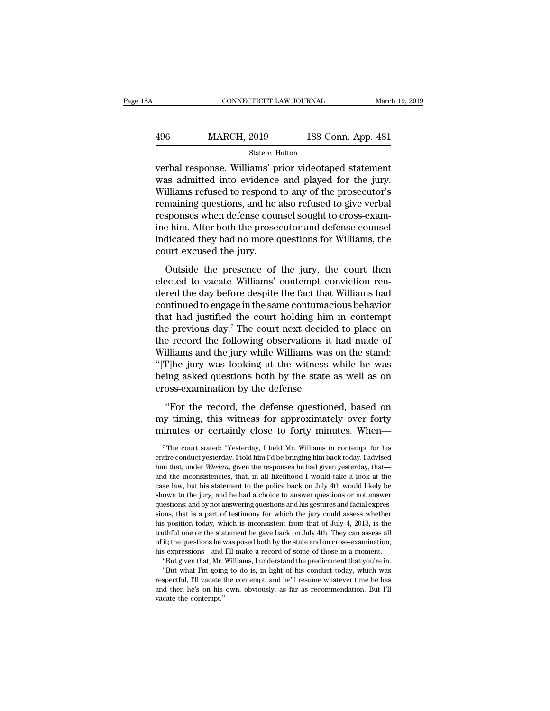## EXECUTE CONNECTICUT LAW JOURNAL March 19, 2019<br>
496 MARCH, 2019 188 Conn. App. 481<br>
5tate v. Hutton State *v.* Hutton

CONNECTICUT LAW JOURNAL March 19, 2019<br>
496 MARCH, 2019 188 Conn. App. 481<br>
5tate v. Hutton<br>
verbal response. Williams' prior videotaped statement<br>
was admitted into evidence and played for the jury.<br>
Williams refused to r  $\frac{\text{MARCH}}{\text{State } v. \text{ Hutton}}$ <br>
State *v*. Hutton<br>
verbal response. Williams' prior videotaped statement<br>
was admitted into evidence and played for the jury.<br>
Williams refused to respond to any of the prosecutor's<br>
remaining que  $\frac{\text{MARCH, 2019}}{\text{State } v. \text{ Hutton}}$ <br>  $\frac{\text{State } v. \text{ Hutton}}{\text{verbal response. Williams' prior video  
to the jury.}$ <br>
Williams' prior videotaped statement<br>
was admitted into evidence and played for the jury.<br>
Williams refused to respond to any of the prosecutor's<br>
remain  $\frac{\text{MARCH, 2019}}{\text{State } v. \text{ Hutton}}$ <br>
verbal response. Williams' prior videotaped statement<br>
was admitted into evidence and played for the jury.<br>
Williams refused to respond to any of the prosecutor's<br>
remaining questions, and h  $\begin{array}{l} \hline \text{State } v. \text{ Hutton} \\ \hline \text{Vert } v. \text{ Hutton} \\ \hline \text{werbal response. Williams' prior violateded statement} \\ \text{was admitted into evidence and played for the jury. Williams refused to respond to any of the processor's remaining questions, and he also refused to give verbal responses when defense course! sought to cross-examine him. After both the processor and defense course indicated, they had no more questions for Williams, the$ siate  $v$ . Him. The probability of the probability with the probability will also refused for the jury. Williams refused to respond to any of the prosecutor's remaining questions, and he also refused to give verbal respon verbal response. Williams' prior videotaped statement<br>was admitted into evidence and played for the jury.<br>Williams refused to respond to any of the prosecutor's<br>remaining questions, and he also refused to give verbal<br>respo was admitted into evidence<br>Williams refused to respond<br>remaining questions, and he<br>responses when defense cour<br>ine him. After both the prose<br>indicated they had no more c<br>court excused the jury.<br>Outside the presence of maining questions, and he also refused to give verbal<br>sponses when defense counsel sought to cross-exam-<br>e him. After both the prosecutor and defense counsel<br>dicated they had no more questions for Williams, the<br>urt excused responses when defense counsel sought to cross-exam-<br>responses when defense counsel sought to cross-exam-<br>ine him. After both the prosecutor and defense counsel<br>indicated they had no more questions for Williams, the<br>court

responses when accurate counservagne of cross share<br>ine him. After both the prosecutor and defense counsel<br>indicated they had no more questions for Williams, the<br>court excused the jury.<br>Outside the presence of the jury, th indicated they had no more questions for Williams, the<br>court excused the jury.<br>Outside the presence of the jury, the court then<br>elected to vacate Williams' contempt conviction ren-<br>dered the day before despite the fact th That the growth and state of the jury, the court then<br>elected to vacate Williams' contempt conviction ren-<br>dered the day before despite the fact that Williams had<br>continued to engage in the same contumacious behavior<br>that Outside the presence of the jury, the court then<br>elected to vacate Williams' contempt conviction ren-<br>dered the day before despite the fact that Williams had<br>continued to engage in the same contumacious behavior<br>that had Outside the presence of the jury, the court then<br>elected to vacate Williams' contempt conviction ren-<br>dered the day before despite the fact that Williams had<br>continued to engage in the same contumacious behavior<br>that had j elected to vacate Williams' contempt conviction rendered the day before despite the fact that Williams had continued to engage in the same contumacious behavior that had justified the court holding him in contempt the prev dered the day before despite the fact that Williams had<br>
continued to engage in the same contumacious behavior<br>
that had justified the court holding him in contempt<br>
the previous day.<sup>7</sup> The court next decided to place on<br> continued to engage in the same contumacious behavior<br>that had justified the court holding him in contempt<br>the previous day.<sup>7</sup> The court next decided to place on<br>the record the following observations it had made of<br>Willia that had justified the court holding his<br>the previous day.<sup>7</sup> The court next decid<br>the record the following observations<br>Williams and the jury while Williams wa<br>"[T]he jury was looking at the witness<br>being asked questions e record the following observations it had made of<br>
illiams and the jury while Williams was on the stand:<br>
I']he jury was looking at the witness while he was<br>
ing asked questions both by the state as well as on<br>
oss-examin Williams and the jury while Williams was on the stand:<br>"[T]he jury was looking at the witness while he was<br>being asked questions both by the state as well as on<br>cross-examination by the defense.<br>"For the record, the defens "[T]he jury was looking at the witness while he was<br>being asked questions both by the state as well as on<br>cross-examination by the defense.<br>"For the record, the defense questioned, based on<br>my timing, this witness for app

"For the record, the defense questioned, based on<br>my timing, this witness for approximately over forty<br>minutes or certainly close to forty minutes. When—<br> $\frac{1}{100}$  The court stated: "Yesterday, I held Mr. Williams in co

my timing, this witness for approximately over forty minutes or certainly close to forty minutes. When— $\frac{1}{\tau}$ The court stated: "Yesterday, I held Mr. Williams in contempt for his entire conduct yesterday. I told him I my timing, this witness for approximately over forty<br>minutes or certainly close to forty minutes. When—<br><sup>7</sup>The court stated: "Yesterday, I held Mr. Williams in contempt for his<br>entire conduct yesterday. I told him I'd be b minutes or certainly close to forty minutes. When—<br>
<sup>7</sup>The court stated: "Yesterday, I held Mr. Williams in contempt for his<br>
entire conduct yesterday. I told him I'd be bringing him back today. I advised<br>
him that, under The court stated: "Yesterday, I held Mr. Williams in contempt for his entire conduct yesterday. I told him I'd be bringing him back today. I advised him that, under *Whelan*, given the responses he had given yesterday, th The court stated: "Yesterday, I held Mr. Williams in contempt for his entire conduct yesterday. I told him I'd be bringing him back today. I advised him that, under *Whelan*, given the responses he had given yesterday, th entire conduct yesterday. I told him I'd be bringing him back today. I advised him that, under *Whelan*, given the responses he had given yesterday, that—and the inconsistencies, that, in all likelihood I would take a loo him that, under *Whelan*, given the responses he had given yesterday, that—<br>and the inconsistencies, that, in all likelihood I would take a look at the<br>case law, but his statement to the police back on July 4th would likel and the inconsistencies, that, in all likelihood I would take a look at the case law, but his statement to the police back on July 4th would likely be shown to the jury, and he had a choice to answer questions or not answ case law, but his statement to the police back on July 4th would likely be shown to the jury, and he had a choice to answer questions or not answer questions; and by not answering questions and his gestures and facial expr shown to the jury, and he had a choice to answer questions or not answer questions; and by not answering questions and his gestures and facial expressions, that is a part of testimony for which the jury could assess whethe mestions; and by not answering questions and his gestures and facial expressions, that is a part of testimony for which the jury could assess whether his position today, which is inconsistent from that of July 4, 2013, is but given that, Mr. Williams, I understand the payer of the predicament into the predical and the predical and the predical and the predicament that of July 4, 2013, is the utiful one or the statement he gave back on July his position today, which is inconsistent from that of July 4, 2013, is the truthful one or the statement he gave back on July 4th. They can assess all of it; the questions he was posed both by the state and on cross-exami of it; the questions he was posed both by the state and on cross-examination, his expressions—and I'll make a record of some of those in a moment.

truthful one or the statement he gave back on July 4th. They can assess all of it; the questions he was posed both by the state and on cross-examination, his expressions—and I'll make a record of some of those in a moment.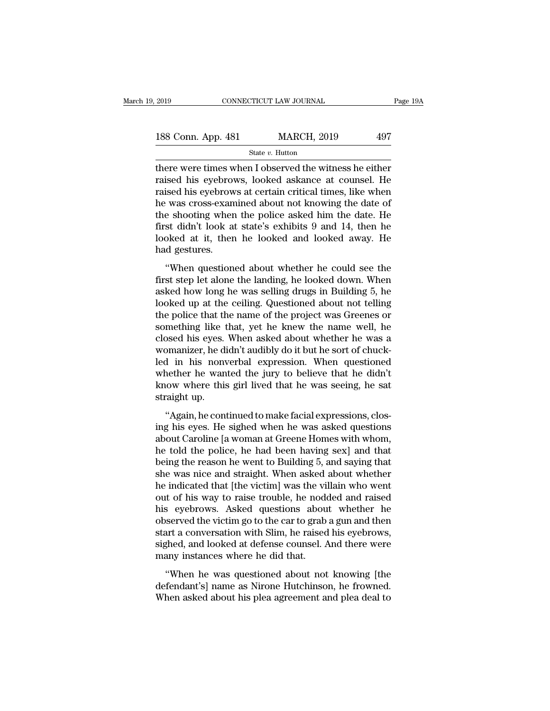| 2019               | CONNECTICUT LAW JOURNAL | Page 19A |  |
|--------------------|-------------------------|----------|--|
| 188 Conn. App. 481 | <b>MARCH, 2019</b>      | 497      |  |
|                    | State $v$ . Hutton      |          |  |

There were times when I observed the witness he either<br>
There were times when I observed the witness he either<br>
There were times when I observed the witness he either<br>
The raised his eyebrows, looked askance at counsel. He 188 Conn. App. 481 MARCH, 2019 497<br>
State v. Hutton<br>
there were times when I observed the witness he either<br>
raised his eyebrows, looked askance at counsel. He<br>
raised his eyebrows at certain critical times, like when<br>
he 188 Conn. App. 481 MARCH, 2019 497<br>
State v. Hutton<br>
there were times when I observed the witness he either<br>
raised his eyebrows, looked askance at counsel. He<br>
raised his eyebrows at certain critical times, like when<br>
th 188 Conn. App. 481 MARCH, 2019 497<br>
State v. Hutton<br>
there were times when I observed the witness he either<br>
raised his eyebrows, looked askance at counsel. He<br>
raised his eyebrows at certain critical times, like when<br>
th State v. Hutton<br>there were times when I observed the witness he either<br>raised his eyebrows, looked askance at counsel. He<br>raised his eyebrows at certain critical times, like when<br>he was cross-examined about not knowing th state v. Hutton<br>there were times when I observed the witness he either<br>raised his eyebrows, looked askance at counsel. He<br>raised his eyebrows at certain critical times, like when<br>he was cross-examined about not knowing the there were times when I observed the witness he either<br>raised his eyebrows, looked askance at counsel. He<br>raised his eyebrows at certain critical times, like when<br>he was cross-examined about not knowing the date of<br>the sho raised his eyebrows, looked askance at counsel. He raised his eyebrows at certain critical times, like when he was cross-examined about not knowing the date of the shooting when the police asked him the date. He first didn Exercised about a certain entied and states, the when<br>
"was cross-examined about not knowing the date of<br>
e shooting when the police asked him the date. He<br>
st didn't look at state's exhibits 9 and 14, then he<br>
oked at it, first didn't look at state's exhibits 9 and 14, then he<br>first didn't look at state's exhibits 9 and 14, then he<br>looked at it, then he looked and looked away. He<br>had gestures.<br>"When questioned about whether he could see the

first didn't look at state's exhibits 9 and 14, then he<br>looked at it, then he looked and looked away. He<br>had gestures.<br>"When questioned about whether he could see the<br>first step let alone the landing, he looked down. When<br> looked at it, then he looked and looked away. He<br>had gestures.<br>"When questioned about whether he could see the<br>first step let alone the landing, he looked down. When<br>asked how long he was selling drugs in Building 5, he<br>lo the policia and the name of the control and the project was the first step let alone the landing, he looked down. When<br>asked how long he was selling drugs in Building 5, he<br>looked up at the ceiling. Questioned about not te "When questioned about whether he could see the<br>first step let alone the landing, he looked down. When<br>asked how long he was selling drugs in Building 5, he<br>looked up at the ceiling. Questioned about not telling<br>the police "When questioned about whether he could see the<br>first step let alone the landing, he looked down. When<br>asked how long he was selling drugs in Building 5, he<br>looked up at the ceiling. Questioned about not telling<br>the police first step let alone the landing, he looked down. When<br>asked how long he was selling drugs in Building 5, he<br>looked up at the ceiling. Questioned about not telling<br>the police that the name of the project was Greenes or<br>som asked how long he was selling drugs in Building 5, he<br>looked up at the ceiling. Questioned about not telling<br>the police that the name of the project was Greenes or<br>something like that, yet he knew the name well, he<br>closed looked up at the ceiling. Questioned about not telling<br>the police that the name of the project was Greenes or<br>something like that, yet he knew the name well, he<br>closed his eyes. When asked about whether he was a<br>womanizer, the police that the name of the project was Greenes or<br>something like that, yet he knew the name well, he<br>closed his eyes. When asked about whether he was a<br>womanizer, he didn't audibly do it but he sort of chuck-<br>led in h something like t<br>closed his eyes.<br>womanizer, he di<br>led in his nony<br>whether he wan<br>know where this<br>straight up.<br>"Again, he con Seed his eyes. When usided used whence he was a<br>
manizer, he didn't audibly do it but he sort of chuck-<br>
in his nonverbal expression. When questioned<br>
nether he wanted the jury to believe that he didn't<br>
cow where this gir montanaer, he and valuatly as *h* stat he sort of entack<br>led in his nonverbal expression. When questioned<br>whether he wanted the jury to believe that he didn't<br>know where this girl lived that he was seeing, he sat<br>straight

about the wanted the jury to believe that he didn't<br>know where this girl lived that he was seeing, he sat<br>straight up.<br>"Again, he continued to make facial expressions, clos-<br>ing his eyes. He sighed when he was asked questi meaner he wanted are jary to seneve that he than t<br>know where this girl lived that he was seeing, he sat<br>straight up.<br>"Again, he continued to make facial expressions, clos-<br>ing his eyes. He sighed when he was asked questio being the reason where the gain inveal that it was seenig, it sat<br>straight up.<br>"Again, he continued to make facial expressions, clos-<br>ing his eyes. He sighed when he was asked questions<br>about Caroline [a woman at Greene Ho "Again, he continued to make facial expressions, closing his eyes. He sighed when he was asked questions about Caroline [a woman at Greene Homes with whom, he told the police, he had been having sex] and that being the re "Again, he continued to make facial expressions, closing his eyes. He sighed when he was asked questions about Caroline [a woman at Greene Homes with whom, he told the police, he had been having sex] and that being the re ing his eyes. He sighed when he was asked questions<br>about Caroline [a woman at Greene Homes with whom,<br>he told the police, he had been having sex] and that<br>being the reason he went to Building 5, and saying that<br>she was ni about Caroline [a woman at Greene Homes with whom,<br>he told the police, he had been having sex] and that<br>being the reason he went to Building 5, and saying that<br>she was nice and straight. When asked about whether<br>he indicat he told the police, he had been having sex] and that<br>being the reason he went to Building 5, and saying that<br>she was nice and straight. When asked about whether<br>he indicated that [the victim] was the villain who went<br>out o being the reason he went to Building 5, and saying that<br>she was nice and straight. When asked about whether<br>he indicated that [the victim] was the villain who went<br>out of his way to raise trouble, he nodded and raised<br>his she was nice and straight. When asked about whether<br>he indicated that [the victim] was the villain who went<br>out of his way to raise trouble, he nodded and raised<br>his eyebrows. Asked questions about whether he<br>observed the he indicated that [the victim] was the viout of his way to raise trouble, he node<br>his eyebrows. Asked questions abou<br>observed the victim go to the car to grab<br>start a conversation with Slim, he raised<br>sighed, and looked at S eyebrows. Asked questions about whether he<br>served the victim go to the car to grab a gun and then<br>art a conversation with Slim, he raised his eyebrows,<br>ghed, and looked at defense counsel. And there were<br>any instances wh defendant's increased the victim go to the car to grab a gun and then<br>start a conversation with Slim, he raised his eyebrows,<br>sighed, and looked at defense counsel. And there were<br>many instances where he did that.<br>"When he SESET Ca are Vestings of the car to grast a gain and areas<br>start a conversation with Slim, he raised his eyebrows,<br>sighed, and looked at defense counsel. And there were<br>many instances where he did that.<br>"When he was questi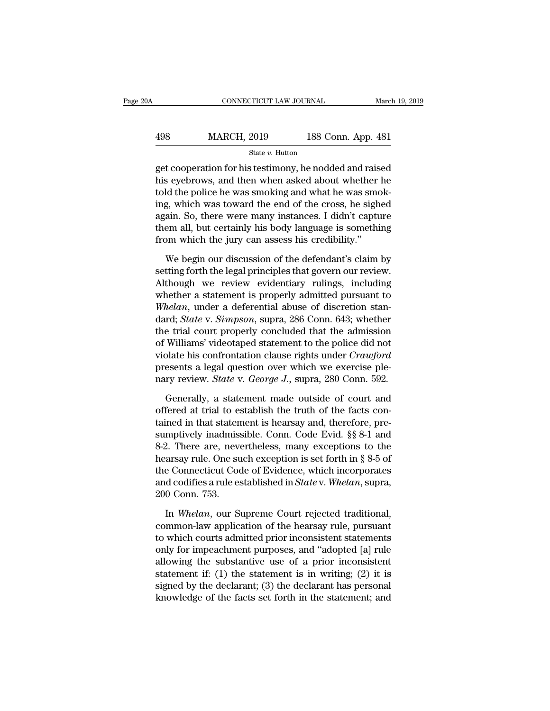| 0A  | CONNECTICUT LAW JOURNAL               |                    | March 19, 2019 |
|-----|---------------------------------------|--------------------|----------------|
|     |                                       |                    |                |
| 498 | <b>MARCH, 2019</b><br>State v. Hutton | 188 Conn. App. 481 |                |

CONNECTICUT LAW JOURNAL March 19, 2019<br>
MARCH, 2019 188 Conn. App. 481<br>
State v. Hutton<br>
get cooperation for his testimony, he nodded and raised<br>
his eyebrows, and then when asked about whether he<br>
teld the police he was s  $\frac{\text{MARCH, 2019}}{\text{State } v. \text{ Hutton}}$ <br>  $\frac{\text{State } v. \text{ Hutton}}{\text{get cooperation for his testimony, he noded and raised}}$ <br>
his eyebrows, and then when asked about whether he<br>
told the police he was smoking and what he was smoking which was toward the ond of the gross, he sighed  $\frac{\text{MARCH}}{\text{State } v. \text{Hutton}}$ <br>  $\frac{\text{State } v. \text{Hutton}}{\text{get cooperation for his testimony, he noded and raised}}$ <br>
his eyebrows, and then when asked about whether he told the police he was smoking and what he was smok-<br>
ing, which was toward the end of the cross, he sighed<br>
ag MARCH, 2019 188 Conn. App. 481<br>
state v. Hutton<br>
get cooperation for his testimony, he nodded and raised<br>
his eyebrows, and then when asked about whether he<br>
told the police he was smoking and what he was smok-<br>
ing, whic State v. Hutton<br>get cooperation for his testimony, he nodded and raised<br>his eyebrows, and then when asked about whether he<br>told the police he was smoking and what he was smok-<br>ing, which was toward the end of the cross, h state  $v$ . Hutton<br>get cooperation for his testimony, he nodded and raised<br>his eyebrows, and then when asked about whether he<br>told the police he was smoking and what he was smok-<br>ing, which was toward the end of the cross, get cooperation for his testimony, he nodded and rais<br>his eyebrows, and then when asked about whether<br>told the police he was smoking and what he was smo<br>ing, which was toward the end of the cross, he sigh<br>again. So, there Id the police he was smoking and what he was smok-<br>g, which was toward the end of the cross, he sighed<br>ain. So, there were many instances. I didn't capture<br>em all, but certainly his body language is something<br>pm which the ing, which was toward the end of the cross, he sighed<br>again. So, there were many instances. I didn't capture<br>them all, but certainly his body language is something<br>from which the jury can assess his credibility."<br>We begin

again. So, there were many instances. I didn't capture<br>them all, but certainly his body language is something<br>from which the jury can assess his credibility."<br>We begin our discussion of the defendant's claim by<br>setting for them all, but certainly his body language is something<br>from which the jury can assess his credibility."<br>We begin our discussion of the defendant's claim by<br>setting forth the legal principles that govern our review.<br>Althoug from which the jury can assess his credibility."<br> *We begin our discussion of the defendant's claim by*<br>
setting forth the legal principles that govern our review.<br> *Although we review evidentiary rulings, including*<br>
whet We begin our discussion of the defendant's claim by<br>setting forth the legal principles that govern our review.<br>Although we review evidentiary rulings, including<br>whether a statement is properly admitted pursuant to<br>Whelan, We begin our discussion of the defendant's claim by<br>setting forth the legal principles that govern our review.<br>Although we review evidentiary rulings, including<br>whether a statement is properly admitted pursuant to<br>Whelan, setting forth the legal principles that govern our review.<br>Although we review evidentiary rulings, including<br>whether a statement is properly admitted pursuant to<br>Whelan, under a deferential abuse of discretion stan-<br>dard; Although we review evidentiary rulings, including<br>whether a statement is properly admitted pursuant to<br>*Whelan*, under a deferential abuse of discretion stan-<br>dard; *State* v. *Simpson*, supra, 286 Conn. 643; whether<br>the t whether a statement is properly admitted pursuant to<br>Whelan, under a deferential abuse of discretion stan-<br>dard; *State* v. *Simpson*, supra, 286 Conn. 643; whether<br>the trial court properly concluded that the admission<br>of Whelan, under a deferential abuse of discretion stan-<br>dard; *State* v. *Simpson*, supra, 286 Conn. 643; whether<br>the trial court properly concluded that the admission<br>of Williams' videotaped statement to the police did not<br> e trial court properly concluded that the admission<br>Williams' videotaped statement to the police did not<br>olate his confrontation clause rights under *Crawford*<br>esents a legal question over which we exercise ple-<br>ry review. of Williams' videotaped statement to the police did not<br>violate his confrontation clause rights under *Crawford*<br>presents a legal question over which we exercise ple-<br>nary review. *State* v. *George J.*, supra, 280 Conn. 5

violate his confrontation clause rights under *Crawford*<br>presents a legal question over which we exercise ple-<br>nary review. *State* v. *George J.*, supra, 280 Conn. 592.<br>Generally, a statement made outside of court and<br>off presents a legal question over which we exercise ple-<br>nary review. *State* v. *George J.*, supra, 280 Conn. 592.<br>Generally, a statement made outside of court and<br>offered at trial to establish the truth of the facts con-<br>ta nary review. *State* v. *George J.*, supra, 280 Conn. 592.<br>
Generally, a statement made outside of court and<br>
offered at trial to establish the truth of the facts con-<br>
tained in that statement is hearsay and, therefore, Generally, a statement made outside of court and<br>offered at trial to establish the truth of the facts con-<br>tained in that statement is hearsay and, therefore, pre-<br>sumptively inadmissible. Conn. Code Evid.  $\S$  8-1 and<br>8-2 Generally, a statement made outside of court and<br>offered at trial to establish the truth of the facts con-<br>tained in that statement is hearsay and, therefore, pre-<br>sumptively inadmissible. Conn. Code Evid. §§ 8-1 and<br>8-2. offered at trial to establish the truth of the facts contained in that statement is hearsay and, therefore, pre-<br>sumptively inadmissible. Conn. Code Evid. §§ 8-1 and<br>8-2. There are, nevertheless, many exceptions to the<br>hea tained in that staten<br>sumptively inadmiss<br>8-2. There are, neve<br>hearsay rule. One su<br>the Connecticut Coo<br>and codifies a rule es<br>200 Conn. 753.<br>In *Whelan*, our St 2. There are, nevertheless, many exceptions to the arsay rule. One such exception is set forth in § 8-5 of e Connecticut Code of Evidence, which incorporates d codifies a rule established in *State* v. *Whelan*, supra, 0 C hearsay rule. One such exception is set forth in  $\S 8-5$  of<br>the Connecticut Code of Evidence, which incorporates<br>and codifies a rule established in *State* v. Whelan, supra,<br>200 Conn. 753.<br>In *Whelan*, our Supreme Court r

the Connecticut Code of Evidence, which incorporates<br>and codifies a rule established in *State* v. Whelan, supra,<br>200 Conn. 753.<br>In Whelan, our Supreme Court rejected traditional,<br>common-law application of the hearsay rule and codifies a rule established in *State* v. Whelan, supra,<br>200 Conn. 753.<br>In Whelan, our Supreme Court rejected traditional,<br>common-law application of the hearsay rule, pursuant<br>to which courts admitted prior inconsiste 200 Conn. 753.<br>
In *Whelan*, our Supreme Court rejected traditional,<br>
common-law application of the hearsay rule, pursuant<br>
to which courts admitted prior inconsistent statements<br>
only for impeachment purposes, and "adopt In *Whelan*, our Supreme Court rejected traditional,<br>common-law application of the hearsay rule, pursuant<br>to which courts admitted prior inconsistent statements<br>only for impeachment purposes, and "adopted [a] rule<br>allowing In *Whelan*, our Supreme Court rejected traditional, common-law application of the hearsay rule, pursuant to which courts admitted prior inconsistent statements only for impeachment purposes, and "adopted [a] rule allowin common-law application of the hearsay rule, pursuant<br>to which courts admitted prior inconsistent statements<br>only for impeachment purposes, and "adopted [a] rule<br>allowing the substantive use of a prior inconsistent<br>statemen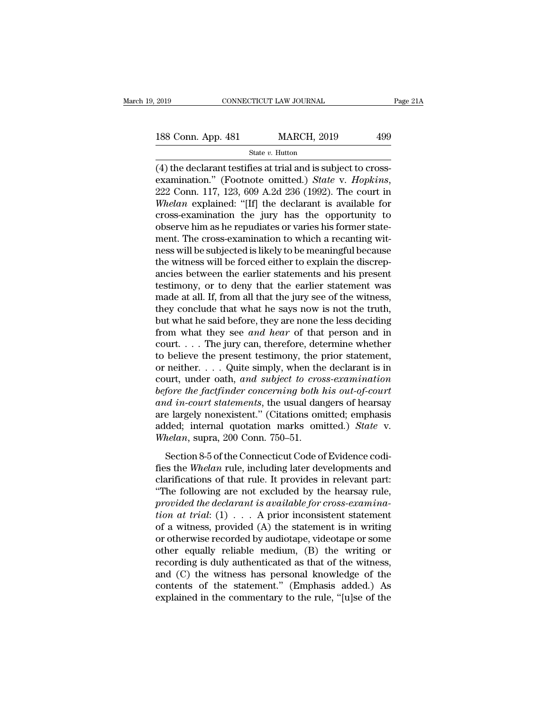# 2019 CONNECTICUT LAW JOURNAL Page 21A<br>188 Conn. App. 481 MARCH, 2019 499<br>State v. Hutton

State *v.* Hutton

(4) the declarant testifies at trial and is subject to cross-<br>
examination." (Footnote omitted.) *State v. Hopkins*,<br>
(4) the declarant testifies at trial and is subject to cross-<br>
examination." (Footnote omitted.) *State* 188 Conn. App. 481 MARCH, 2019 499<br>
State v. Hutton<br>
(4) the declarant testifies at trial and is subject to cross-<br>
examination." (Footnote omitted.) *State* v. *Hopkins*,<br>
222 Conn. 117, 123, 609 A.2d 236 (1992). The cour **188 Conn. App. 481** MARCH, 2019 499<br> **WARCH, 2019** 499<br> **WARCH, 2019** 499<br> **Examination.**" (Footnote omitted.) *State v. Hopkins*, 222 Conn. 117, 123, 609 A.2d 236 (1992). The court in *Whelan* explained: "[If] the decla State v. Hutton<br>
(4) the declarant testifies at trial and is subject to cross-<br>
examination." (Footnote omitted.) *State* v. *Hopkins*,<br>
222 Conn. 117, 123, 609 A.2d 236 (1992). The court in<br>
Whelan explained: "[If] the d state v. Hutton<br>
(4) the declarant testifies at trial and is subject to cross-<br>
examination." (Footnote omitted.) *State v. Hopkins*,<br>
222 Conn. 117, 123, 609 A.2d 236 (1992). The court in<br> *Whelan* explained: "[If] the d (4) the declarant testifies at trial and is subject to cross-examination." (Footnote omitted.) *State* v. *Hopkins*, 222 Conn. 117, 123, 609 A.2d 236 (1992). The court in *Whelan* explained: "[If] the declarant is availab examination." (Footnote omitted.) *State* v. *Hopkins*,<br>222 Conn. 117, 123, 609 A.2d 236 (1992). The court in<br>Whelan explained: "[If] the declarant is available for<br>cross-examination the jury has the opportunity to<br>observe 222 Conn. 117, 123, 609 A.2d 236 (1992). The court in *Whelan* explained: "[If] the declarant is available for cross-examination the jury has the opportunity to observe him as he repudiates or varies his former statement. Whelan explained: "[If] the declarant is available for<br>cross-examination the jury has the opportunity to<br>observe him as he repudiates or varies his former state-<br>ment. The cross-examination to which a recanting wit-<br>ness w cross-examination the jury has the opportunity to<br>observe him as he repudiates or varies his former state-<br>ment. The cross-examination to which a recanting wit-<br>ness will be subjected is likely to be meaningful because<br>the observe him as he repudiates or varies his former statement. The cross-examination to which a recanting witness will be subjected is likely to be meaningful because the witness will be forced either to explain the discrepa ment. The cross-examination to which a recanting witness will be subjected is likely to be meaningful because<br>the witness will be forced either to explain the discrep-<br>ancies between the earlier statements and his present<br> ness will be subjected is likely to be meaningful because<br>the witness will be forced either to explain the discrep-<br>ancies between the earlier statements and his present<br>testimony, or to deny that the earlier statement was the witness will be forced either to explain the discrepancies between the earlier statements and his present testimony, or to deny that the earlier statement was made at all. If, from all that the jury see of the witness, ancies between the earlier statements and his present<br>testimony, or to deny that the earlier statement was<br>made at all. If, from all that the jury see of the witness,<br>they conclude that what he says now is not the truth,<br> testimony, or to deny that the earlier statement was<br>made at all. If, from all that the jury see of the witness,<br>they conclude that what he says now is not the truth,<br>but what he said before, they are none the less decidi made at all. If, from all that the jury see of the witness,<br>they conclude that what he says now is not the truth,<br>but what he said before, they are none the less deciding<br>from what they see and hear of that person and in<br> they conclude that what he says now is not the truth,<br>but what he said before, they are none the less deciding<br>from what they see and hear of that person and in<br>court.... The jury can, therefore, determine whether<br>to belie but what he said before, they are none the less deciding<br>from what they see and hear of that person and in<br>court....The jury can, therefore, determine whether<br>to believe the present testimony, the prior statement,<br>or neith from what they see *and hear* of that person and in<br>
court.... The jury can, therefore, determine whether<br>
to believe the present testimony, the prior statement,<br>
or neither.....Quite simply, when the declarant is in<br>
cou court.... The jury can, therefore, determine whether<br>to believe the present testimony, the prior statement,<br>or neither.....Quite simply, when the declarant is in<br>court, under oath, and subject to cross-examination<br>before to believe the present testimony, the prior statement,<br>or neither....Quite simply, when the declarant is in<br>court, under oath, and subject to cross-examination<br>before the factfinder concerning both his out-of-court<br>and inor neither. . . . Quite simply, when the<br>court, under oath, *and subject to cros*<br>*before the factfinder concerning both i*<br>*and in-court statements*, the usual dan<br>are largely nonexistent." (Citations om<br>added; internal q Fore the factfinder concerning both his out-of-court<br>fore the factfinder concerning both his out-of-court<br>ad in-court statements, the usual dangers of hearsay<br>e largely nonexistent." (Citations omitted.) State v.<br>helan, su *and in-court statements*, the usual dangers of hearsay<br>are largely nonexistent." (Citations omitted; emphasis<br>added; internal quotation marks omitted.) *State* v.<br>*Whelan*, supra, 200 Conn. 750–51.<br>Section 8-5 of the Conn

and *in bourt biddements*, the asian dangers of hearsa,<br>are largely nonexistent." (Citations omitted.) *State* v.<br>*Whelan*, supra, 200 Conn. 750–51.<br>Section 8-5 of the Connecticut Code of Evidence codi-<br>fies the *Whelan* r are argery nonemistent. (entations omitted.) State v.<br>
Whelan, supra, 200 Conn. 750–51.<br>
Section 8-5 of the Connecticut Code of Evidence codi-<br>
fies the Whelan rule, including later developments and<br>
clarifications of tha *Provided the declarant is share is available for cross-examination at trial:* (1)  $\ldots$  A prior inconsistent same provided the declarant is available for cross-examination at trial: (1)  $\ldots$  A prior inconsistent statemen *the Section 8-5 of the Connecticut Code of Evidence codifies the Whelan rule, including later developments and clarifications of that rule. It provides in relevant part: "The following are not excluded by the hearsay rule* Section 8-5 of the Connecticut Code of Evidence codi-<br>fies the *Whelan* rule, including later developments and<br>clarifications of that rule. It provides in relevant part:<br>"The following are not excluded by the hearsay rule fies the Whelan rule, including later developments and<br>clarifications of that rule. It provides in relevant part:<br>"The following are not excluded by the hearsay rule,<br>provided the declarant is available for cross-examinaclarifications of that rule. It provides in relevant part:<br>
"The following are not excluded by the hearsay rule,<br> *provided the declarant is available for cross-examina-*<br> *tion at trial*: (1) . . . A prior inconsistent s "The following are not excluded by the hearsay rule,<br>provided the declarant is available for cross-examina-<br>tion at trial: (1)  $\ldots$  A prior inconsistent statement<br>of a witness, provided (A) the statement is in writing<br>or provided the declarant is available for cross-examina-<br>tion at trial: (1) . . . A prior inconsistent statement<br>of a witness, provided (A) the statement is in writing<br>or otherwise recorded by audiotape, videotape or some<br>o tion at trial: (1)  $\ldots$  A prior inconsistent statement<br>of a witness, provided (A) the statement is in writing<br>or otherwise recorded by audiotape, videotape or some<br>other equally reliable medium, (B) the writing or<br>record of a witness, provided (A) the statement is in writing<br>or otherwise recorded by audiotape, videotape or some<br>other equally reliable medium, (B) the writing or<br>recording is duly authenticated as that of the witness,<br>and (C)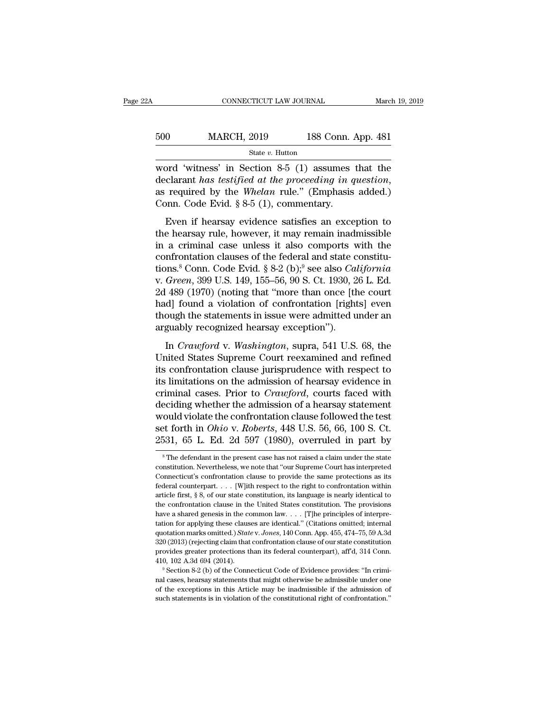| ?Α  | CONNECTICUT LAW JOURNAL |                    | March 19, 2019 |
|-----|-------------------------|--------------------|----------------|
| 500 | <b>MARCH, 2019</b>      | 188 Conn. App. 481 |                |
|     | State v. Hutton         |                    |                |

CONNECTICUT LAW JOURNAL March 19, 2019<br>
MARCH, 2019 188 Conn. App. 481<br>
State v. Hutton<br>
word 'witness' in Section 8-5 (1) assumes that the<br>
declarant has testified at the proceeding in question,<br>
as required by the Whelem MARCH, 2019 188 Conn. App. 481<br>
State *v*. Hutton<br>
word 'witness' in Section 8-5 (1) assumes that the<br>
declarant *has testified at the proceeding in question*,<br>
as required by the *Whelan* rule.'' (Emphasis added.)<br>
Conn. word 'witness' in Section 8-5 (1) assumes that the declarant has testified at the proceeding in question, as required by the Whelan rule." (Emphasis added.) Conn. Code Evid.  $\S 8-5$  (1), commentary.<br>Even if hearsay eviden State v. Hutton<br>
State v. Hutton<br>
Correct in Section 8-5 (1) assumes that the<br>
clarant has testified at the proceeding in question,<br>
required by the Whelan rule." (Emphasis added.)<br>
Donn. Code Evid. § 8-5 (1), commentary. word 'witness' in Section 8-5 (1) assumes that the declarant has testified at the proceeding in question, as required by the Whelan rule." (Emphasis added.) Conn. Code Evid.  $\S 8-5$  (1), commentary.<br>Even if hearsay eviden

declarant has testified at the proceeding in question,<br>as required by the Whelan rule." (Emphasis added.)<br>Conn. Code Evid. § 8-5 (1), commentary.<br>Even if hearsay evidence satisfies an exception to<br>the hearsay rule, howeve as required by the Whelan rule." (Emphasis added.)<br>Conn. Code Evid. § 8-5 (1), commentary.<br>Even if hearsay evidence satisfies an exception to<br>the hearsay rule, however, it may remain inadmissible<br>in a criminal case unless the connections. Code Evid. § 8-5 (1), commentary.<br>
Even if hearsay evidence satisfies an exception to<br>
the hearsay rule, however, it may remain inadmissible<br>
in a criminal case unless it also comports with the<br>
confronta Even if hearsay evidence satisfies an exception to<br>the hearsay rule, however, it may remain inadmissible<br>in a criminal case unless it also comports with the<br>confrontation clauses of the federal and state constitu-<br>tions.<sup>8</sup> Even if hearsay evidence satisfies an exception to<br>the hearsay rule, however, it may remain inadmissible<br>in a criminal case unless it also comports with the<br>confrontation clauses of the federal and state constitu-<br>tions.<sup></sup> the hearsay rule, however, it may remain inadmissible<br>in a criminal case unless it also comports with the<br>confrontation clauses of the federal and state constitu-<br>tions.<sup>8</sup> Conn. Code Evid. § 8-2 (b);<sup>9</sup> see also *Califor* in a criminal case unless it also comports with the confrontation clauses of the federal and state constitu-<br>tions.<sup>8</sup> Conn. Code Evid. § 8-2 (b);<sup>9</sup> see also *California*<br>v. *Green*, 399 U.S. 149, 155–56, 90 S. Ct. 1930, confrontation clauses of the federal and state constitu-<br>tions.<sup>8</sup> Conn. Code Evid. § 8-2 (b);<sup>9</sup> see also *California*<br>v. *Green*, 399 U.S. 149, 155–56, 90 S. Ct. 1930, 26 L. Ed.<br>2d 489 (1970) (noting that "more than onc In *Crawford* V. *Washington*, superally confinition of confrontation [cargo v. *Creen*, 399 U.S. 149, 155–56, 90 S. Ct. 1930, 26 L. Ed. 489 (1970) (noting that "more than once [the court d] found a violation of confrontat 2d 489 (1970) (noting that "more than once [the court<br>2d 489 (1970) (noting that "more than once [the court<br>had] found a violation of confrontation [rights] even<br>though the statements in issue were admitted under an<br>argua

Let 150 (1610) (houng man more than once [the coals]<br>had] found a violation of confrontation [rights] even<br>though the statements in issue were admitted under an<br>arguably recognized hearsay exception").<br>In *Crawford* v. Was inal, I can a consistent of controlled included in though the statements in issue were admitted under an arguably recognized hearsay exception").<br>
In *Crawford* v. *Washington*, supra, 541 U.S. 68, the United States Suprem are and a critical cases. The calculation of a critical cases and a critical critical critical States. Supreme Court reexamined and refined<br>its confrontation clause jurisprudence with respect to<br>its limitations on the admi In *Crawford* v. *Washington*, supra, 541 U.S. 68, the<br>United States Supreme Court reexamined and refined<br>its confrontation clause jurisprudence with respect to<br>its limitations on the admission of hearsay evidence in<br>crim In *Crawford* v. *Washington*, supra, 541 U.S. 68, the<br>United States Supreme Court reexamined and refined<br>its confrontation clause jurisprudence with respect to<br>its limitations on the admission of hearsay evidence in<br>crim United States Supreme Court reexamined and refined<br>its confrontation clause jurisprudence with respect to<br>its limitations on the admission of hearsay evidence in<br>criminal cases. Prior to *Crawford*, courts faced with<br>decid its confrontation clause jurisprudence with respect to<br>its limitations on the admission of hearsay evidence in<br>criminal cases. Prior to *Crawford*, courts faced with<br>deciding whether the admission of a hearsay statement<br>w eciding whether the admission of a hearsay statement<br>ould violate the confrontation clause followed the test<br>et forth in *Ohio v. Roberts*, 448 U.S. 56, 66, 100 S. Ct.<br>531, 65 L. Ed. 2d 597 (1980), overruled in part by<br><sup>8</sup> would violate the confrontation clause followed the test<br>set forth in *Ohio* v. *Roberts*, 448 U.S. 56, 66, 100 S. Ct.<br>2531, 65 L. Ed. 2d 597 (1980), overruled in part by<br><sup>8</sup>The defendant in the present case has not raised

set forth in *Ohio* v. *Roberts*, 448 U.S. 56, 66, 100 S. Ct.<br>2531, 65 L. Ed. 2d 597 (1980), overruled in part by<br><sup>8</sup>The defendant in the present case has not raised a claim under the state<br>constitution. Nevertheless, we 2531, 65 L. Ed. 2d 597 (1980), overruled in part by<br>
<sup>8</sup> The defendant in the present case has not raised a claim under the state<br>
constitution. Nevertheless, we note that "our Supreme Court has interpreted<br>
Connecticut's <sup>8</sup> The defendant in the present case has not raised a claim under the state constitution. Nevertheless, we note that "our Supreme Court has interpreted Connecticut's confrontation clause to provide the same protections a <sup>8</sup> The defendant in the present case has not raised a claim under the state constitution. Nevertheless, we note that "our Supreme Court has interpreted Connecticut's confrontation clause to provide the same protections a constitution. Nevertheless, we note that "our Supreme Court has interpreted Connecticut's confrontation clause to provide the same protections as its federal counterpart. . . . [W]ith respect to the right to confrontation Connecticut's confrontation clause to provide the same protections as its federal counterpart. . . . [W]ith respect to the right to confrontation within article first, § 8, of our state constitution, its language is nearl federal counterpart. . . . [W]ith respect to the right to confrontation within article first, § 8, of our state constitution, its language is nearly identical to the confrontation clause in the United States constitution. article first, § 8, of our state constitution, its language is nearly identical to the confrontation clause in the United States constitution. The provisions have a shared genesis in the common law. . . . [T]he principles the confrontation clause in the United States constitution. The provisions have a shared genesis in the common law. . . . [T]he principles of interpretation for applying these clauses are identical." (Citations omitted; i have a shared genesis in the common law.... [T]he principles of interpretation for applying these clauses are identical." (Citations omitted; internal quotation marks omitted.) *State v. Jones*, 140 Conn. App. 455, 474–75 quotation marks omitted.) State v. Jones, 140 Conn. App. 455, 474–75, 59 A.3d 320 (2013) (rejecting claim that confrontation clause of our state constitution provides greater protections than its federal counterpart), aff quotation marks omitted.) State v. Jones, 140 Conn. App. 455, 474–75, 59 A.3d 320 (2013) (rejecting claim that confrontation clause of our state constitution provides greater protections than its federal counterpart), aff provides greater protections than its federal counterpart), aff'd, 314 Conn.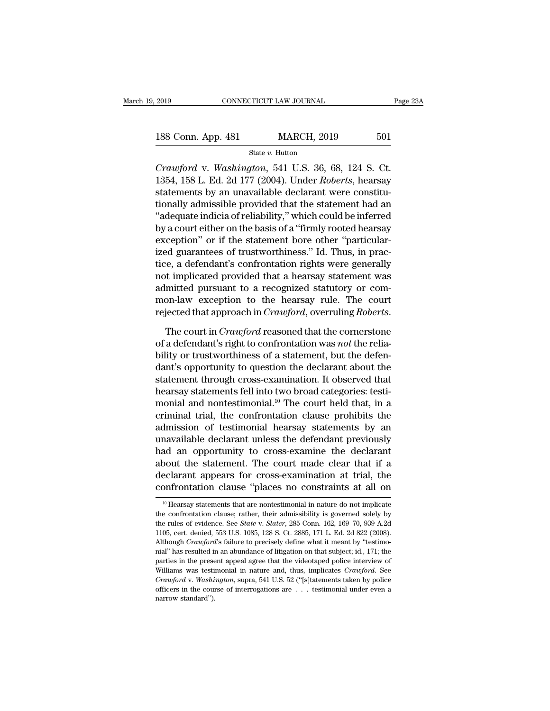2019 CONNECTICUT LAW JOURNAL Page 23A<br>
188 Conn. App. 481 MARCH, 2019 501<br>
State v. Hutton

State *v.* Hutton

*CONNECTICUT LAW JOURNAL* Page 2<br> **CPACIFY 188 Conn.** App. 481 MARCH, 2019 501<br> *Crawford* v. *Washington*, 541 U.S. 36, 68, 124 S. Ct.<br>
1354, 158 L. Ed. 2d 177 (2004). Under *Roberts*, hearsay 188 Conn. App. 481 MARCH, 2019 501<br>
State v. Hutton<br>
Crawford v. Washington, 541 U.S. 36, 68, 124 S. Ct.<br>
1354, 158 L. Ed. 2d 177 (2004). Under *Roberts*, hearsay<br>
statements by an unavailable declarant were constitu-188 Conn. App. 481 MARCH, 2019 501<br>
State v. Hutton<br>
Crawford v. Washington, 541 U.S. 36, 68, 124 S. Ct.<br>
1354, 158 L. Ed. 2d 177 (2004). Under Roberts, hearsay<br>
statements by an unavailable declarant were constitu-<br>
tion 188 Conn. App. 481 MARCH, 2019 501<br>
State v. Hutton<br>
Crawford v. Washington, 541 U.S. 36, 68, 124 S. Ct.<br>
1354, 158 L. Ed. 2d 177 (2004). Under *Roberts*, hearsay<br>
statements by an unavailable declarant were constitu-<br>
ti State v. Hutton<br>
Crawford v. Washington, 541 U.S. 36, 68, 124 S. Ct.<br>
1354, 158 L. Ed. 2d 177 (2004). Under *Roberts*, hearsay<br>
statements by an unavailable declarant were constitu-<br>
tionally admissible provided that the **Example 19. Example 19. Example 19. All U.S.** 36, 68, 124 S. Ct.<br>1354, 158 L. Ed. 2d 177 (2004). Under *Roberts*, hearsay<br>statements by an unavailable declarant were constitu-<br>tionally admissible provided that the statem Crawford v. Washington, 541 U.S. 36, 68, 124 S. Ct.<br>1354, 158 L. Ed. 2d 177 (2004). Under *Roberts*, hearsay<br>statements by an unavailable declarant were constitu-<br>tionally admissible provided that the statement had an<br>"ade 1354, 158 L. Ed. 2d 177 (2004). Under *Roberts*, hearsay<br>statements by an unavailable declarant were constitu-<br>tionally admissible provided that the statement had an<br>"adequate indicia of reliability," which could be inferr statements by an unavailable declarant were constitu-<br>tionally admissible provided that the statement had an<br>"adequate indicia of reliability," which could be inferred<br>by a court either on the basis of a "firmly rooted hea tionally admissible provided that the statement had an<br>
"adequate indicia of reliability," which could be inferred<br>
by a court either on the basis of a "firmly rooted hearsay<br>
exception" or if the statement bore other "par "adequate indicia of reliability," which could be inferred<br>by a court either on the basis of a "firmly rooted hearsay<br>exception" or if the statement bore other "particular-<br>ized guarantees of trustworthiness." Id. Thus, in by a court either on the basis of a "firmly rooted hearsay<br>exception" or if the statement bore other "particular-<br>ized guarantees of trustworthiness." Id. Thus, in prac-<br>tice, a defendant's confrontation rights were genera exception" or if the statement bore other "particular-<br>ized guarantees of trustworthiness." Id. Thus, in prac-<br>tice, a defendant's confrontation rights were generally<br>not implicated provided that a hearsay statement was<br>ad not implicated provided that a hearsay statement was<br>admitted pursuant to a recognized statutory or com-<br>mon-law exception to the hearsay rule. The court<br>rejected that approach in *Crawford*, overruling *Roberts*.<br>The cour

admitted pursuant to a recognized statutory or common-law exception to the hearsay rule. The court<br>rejected that approach in *Crawford*, overruling *Roberts*.<br>The court in *Crawford* reasoned that the cornerstone<br>of a defe mon-law exception to the hearsay rule. The court<br>
rejected that approach in *Crawford*, overruling *Roberts*.<br>
The court in *Crawford* reasoned that the cornerstone<br>
of a defendant's right to confrontation was *not* the r rejected that approach in *Crawford*, overruling *Roberts*.<br>The court in *Crawford* reasoned that the cornerstone<br>of a defendant's right to confrontation was *not* the relia-<br>bility or trustworthiness of a statement, but The court in *Crawford* reasoned that the cornerstone<br>of a defendant's right to confrontation was *not* the relia-<br>bility or trustworthiness of a statement, but the defen-<br>dant's opportunity to question the declarant abou The court in *Crawford* reasoned that the cornerstone<br>of a defendant's right to confrontation was *not* the relia-<br>bility or trustworthiness of a statement, but the defen-<br>dant's opportunity to question the declarant abou of a defendant's right to confrontation was *not* the reliability or trustworthiness of a statement, but the defendant's opportunity to question the declarant about the statement through cross-examination. It observed tha bility or trustworthiness of a statement, but the defen-<br>dant's opportunity to question the declarant about the<br>statement through cross-examination. It observed that<br>hearsay statements fell into two broad categories: testi dant's opportunity to question the declarant about the<br>statement through cross-examination. It observed that<br>hearsay statements fell into two broad categories: testi-<br>monial and nontestimonial.<sup>10</sup> The court held that, in statement through cross-examination. It observed that<br>hearsay statements fell into two broad categories: testi-<br>monial and nontestimonial.<sup>10</sup> The court held that, in a<br>criminal trial, the confrontation clause prohibits th hearsay statements fell into two broad categories: testi-<br>monial and nontestimonial.<sup>10</sup> The court held that, in a<br>criminal trial, the confrontation clause prohibits the<br>admission of testimonial hearsay statements by an<br>un monial and nontestimonial.<sup>10</sup> The court held that, in a<br>criminal trial, the confrontation clause prohibits the<br>admission of testimonial hearsay statements by an<br>unavailable declarant unless the defendant previously<br>had an criminal trial, the confrontation clause prohibits the<br>admission of testimonial hearsay statements by an<br>unavailable declarant unless the defendant previously<br>had an opportunity to cross-examine the declarant<br>about the sta at an opportunity to cross-examine the declarant<br>bout the statement. The court made clear that if a<br>eclarant appears for cross-examination at trial, the<br>ponfrontation clause "places no constraints at all on<br> $\frac{10}{10}$  Hea about the statement. The court made clear that if a declarant appears for cross-examination at trial, the confrontation clause "places no constraints at all on  $\frac{10}{10}$  Hearsay statements that are nontestimonial in nat

declarant appears for cross-examination at trial, the confrontation clause "places no constraints at all on  $^{10}$  Hearsay statements that are nontestimonial in nature do not implicate the confrontation clause; rather, the confrontation clause "places no constraints at all on<br>
<sup>10</sup> Hearsay statements that are nontestimonial in nature do not implicate<br>
the confrontation clause; rather, their admissibility is governed solely by<br>
the rules of <sup>10</sup> Hearsay statements that are nontestimonial in nature do not implicate<br><sup>10</sup> Hearsay statements that are nontestimonial in nature do not implicate<br>the confrontation clause; rather, their admissibility is governed solely <sup>10</sup> Hearsay statements that are nontestimonial in nature do not implicate the confrontation clause; rather, their admissibility is governed solely by the rules of evidence. See *State* v. *Slater*, 285 Conn. 162, 169–70, the confrontation clause; rather, their admissibility is governed solely by the rules of evidence. See *State* v. *Slater*, 285 Conn. 162, 169–70, 939 A.2d 1105, cert. denied, 553 U.S. 1085, 128 S. Ct. 2885, 171 L. Ed. 2d the rules of evidence. See *State v. Slater*, 285 Conn. 162, 169–70, 939 A2d 1105, cert. denied, 553 U.S. 1085, 128 S. Ct. 2885, 171 L. Ed. 2d 822 (2008). Although *Crawford*'s failure to precisely define what it meant by 105, cert. denied, 553 U.S. 1085, 128 S. Ct. 2885, 171 L. Ed. 2d 822 (2008).<br>Although *Crawford*'s failure to precisely define what it meant by "testimo-<br>nial" has resulted in an abundance of litigation on that subject; id Although *Crawford*'s failure to precisely define what it meant by "testimo-<br>nial" has resulted in an abundance of litigation on that subject; id., 171; the<br>parties in the present appeal agree that the videotaped police i nial" has resulted in an abundance of litigation on that subject; id., 171; the parties in the present appeal agree that the videotaped police interview of Williams was testimonial in nature and, thus, implicates *Crawfor*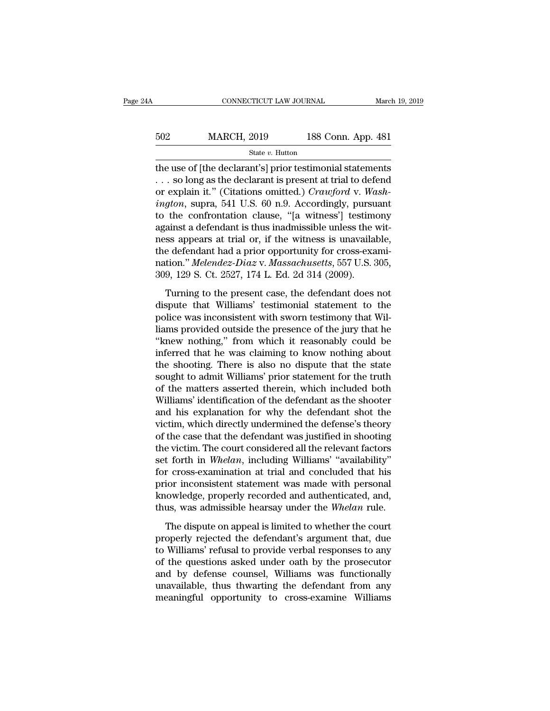| łΑ  | CONNECTICUT LAW JOURNAL |                    | March 19, 2019 |
|-----|-------------------------|--------------------|----------------|
|     |                         |                    |                |
| 502 | <b>MARCH, 2019</b>      | 188 Conn. App. 481 |                |
|     | State v. Hutton         |                    |                |

CONNECTICUT LAW JOURNAL March 19, 2019<br>
502 MARCH, 2019 188 Conn. App. 481<br>  $\frac{\text{State } v. \text{ Hutton}}{\text{the use of [the declarant's] prior testimomial statements}}$ <br>
. . . so long as the declarant is present at trial to defend<br>
or evrolsin it." (Citations emitted) Creauford 502 MARCH, 2019 188 Conn. App. 481<br>
State v. Hutton<br>
the use of [the declarant's] prior testimonial statements<br>
... so long as the declarant is present at trial to defend<br>
or explain it." (Citations omitted.) Crawford v. MARCH, 2019 188 Conn. App. 481<br>
State v. Hutton<br>
the use of [the declarant's] prior testimonial statements<br>
... so long as the declarant is present at trial to defend<br>
or explain it." (Citations omitted.) *Crawford* v. *Wa i* 502 **iington**, 2019 188 Conn. App. 481<br> **i** state *v*. Hutton<br> **i** state *v*. Hutton<br> **ii** state and **i** statements<br>  $\therefore$  so long as the declarant is present at trial to defend<br>
or explain it." (Citations omitted.) *C* State v. Hutton<br>the use of [the declarant's] prior testimonial statements<br>... so long as the declarant is present at trial to defend<br>or explain it." (Citations omitted.) *Crawford* v. *Wash-<br>ington*, supra, 541 U.S. 60 n. state *v*. Hutton<br>the use of [the declarant's] prior testimonial statements<br>... so long as the declarant is present at trial to defend<br>or explain it." (Citations omitted.) *Crawford* v. *Wash-<br>ington*, supra, 541 U.S. 60 the use of [the declarant's] prior testimonial statements<br>
... so long as the declarant is present at trial to defend<br>
or explain it." (Citations omitted.) *Crawford* v. *Wash-<br>
ington*, supra, 541 U.S. 60 n.9. Accordingl ... so long as the declarant is present at trial to defend<br>or explain it." (Citations omitted.) *Crawford v. Wash-<br>ington*, supra, 541 U.S. 60 n.9. Accordingly, pursuant<br>to the confrontation clause, "[a witness'] testimon or explain it." (Citations omitted.) *Crawford v. Washington*, supra, 541 U.S. 60 n.9. Accordingly, pursuant to the confrontation clause, "[a witness'] testimony against a defendant is thus inadmissible unless the witness ington, supra, 541 U.S. 60 n.9. Accordingly, pursu<br>to the confrontation clause, "[a witness'] testime<br>against a defendant is thus inadmissible unless the v<br>ness appears at trial or, if the witness is unavailal<br>the defendan ainst a defendant is thus inadmissible unless the wit-<br>ss appears at trial or, if the witness is unavailable,<br>e defendant had a prior opportunity for cross-exami-<br>tion." *Melendez-Diaz v. Massachusetts*, 557 U.S. 305,<br>9, dispute that will approach in the witness is unavailable,<br>the defendant had a prior opportunity for cross-exami-<br>nation." *Melendez-Diaz* v. *Massachusetts*, 557 U.S. 305,<br>309, 129 S. Ct. 2527, 174 L. Ed. 2d 314 (2009).<br>T

policing the defendant had a prior opportunity for cross-examination." *Melendez-Diaz* v. *Massachusetts*, 557 U.S. 305, 309, 129 S. Ct. 2527, 174 L. Ed. 2d 314 (2009).<br>Turning to the present case, the defendant does not d nation." *Melendez-Diaz* v. *Massachusetts*, 557 U.S. 305, 309, 129 S. Ct. 2527, 174 L. Ed. 2d 314 (2009).<br>Turning to the present case, the defendant does not dispute that Williams' testimonial statement to the police was 309, 129 S. Ct. 2527, 174 L. Ed. 2d 314 (2009).<br>
Turning to the present case, the defendant does not<br>
dispute that Williams' testimonial statement to the<br>
police was inconsistent with sworn testimony that Williams<br>
provide Turning to the present case, the defendant does not<br>dispute that Williams' testimonial statement to the<br>police was inconsistent with sworn testimony that Wil-<br>liams provided outside the presence of the jury that he<br>"knew n Turning to the present case, the defendant does not<br>dispute that Williams' testimonial statement to the<br>police was inconsistent with sworn testimony that Wil-<br>liams provided outside the presence of the jury that he<br>"knew n dispute that Williams' testimonial statement to the<br>police was inconsistent with sworn testimony that Wil-<br>liams provided outside the presence of the jury that he<br>"knew nothing," from which it reasonably could be<br>inferred police was inconsistent with sworn testimony that Williams provided outside the presence of the jury that he<br>"knew nothing," from which it reasonably could be<br>inferred that he was claiming to know nothing about<br>the shootin liams provided outside the presence of the jury that he<br>"knew nothing," from which it reasonably could be<br>inferred that he was claiming to know nothing about<br>the shooting. There is also no dispute that the state<br>sought to "knew nothing," from which it reasonably could be<br>inferred that he was claiming to know nothing about<br>the shooting. There is also no dispute that the state<br>sought to admit Williams' prior statement for the truth<br>of the mat inferred that he was claiming to know nothing about<br>the shooting. There is also no dispute that the state<br>sought to admit Williams' prior statement for the truth<br>of the matters asserted therein, which included both<br>William the shooting. There is also no dispute that the state<br>sought to admit Williams' prior statement for the truth<br>of the matters asserted therein, which included both<br>Williams' identification of the defendant as the shooter<br>an sought to admit Williams' prior statement for the truth<br>of the matters asserted therein, which included both<br>Williams' identification of the defendant as the shooter<br>and his explanation for why the defendant shot the<br>victi of the matters asserted therein, which included both<br>Williams' identification of the defendant as the shooter<br>and his explanation for why the defendant shot the<br>victim, which directly undermined the defense's theory<br>of the Williams' identification of the defendant as the shooter<br>and his explanation for why the defendant shot the<br>victim, which directly undermined the defense's theory<br>of the case that the defendant was justified in shooting<br>th and his explanation for why the defendant shot the<br>victim, which directly undermined the defense's theory<br>of the case that the defendant was justified in shooting<br>the victim. The court considered all the relevant factors<br>s victim, which directly undermined the defense's theory<br>of the case that the defendant was justified in shooting<br>the victim. The court considered all the relevant factors<br>set forth in *Whelan*, including Williams' "availabi of the case that the defendant was justified in shooting<br>the victim. The court considered all the relevant factors<br>set forth in *Whelan*, including Williams' "availability"<br>for cross-examination at trial and concluded that t forth in *Whelan*, including Williams' "availability"<br>r cross-examination at trial and concluded that his<br>ior inconsistent statement was made with personal<br>lowledge, properly recorded and authenticated, and,<br>us, was admi for cross-examination at trial and concluded that his<br>prior inconsistent statement was made with personal<br>knowledge, properly recorded and authenticated, and,<br>thus, was admissible hearsay under the Whelan rule.<br>The dispute

prior inconsistent statement was made with personal<br>knowledge, properly recorded and authenticated, and,<br>thus, was admissible hearsay under the Whelan rule.<br>The dispute on appeal is limited to whether the court<br>properly re refluxed and authenticated, and, thus, was admissible hearsay under the Whelan rule.<br>The dispute on appeal is limited to whether the court<br>properly rejected the defendant's argument that, due<br>to Williams' refusal to provid thus, was admissible hearsay under the Whelan rule.<br>The dispute on appeal is limited to whether the court<br>properly rejected the defendant's argument that, due<br>to Williams' refusal to provide verbal responses to any<br>of the The dispute on appeal is limited to whether the court<br>properly rejected the defendant's argument that, due<br>to Williams' refusal to provide verbal responses to any<br>of the questions asked under oath by the prosecutor<br>and by The dispute on appeal is limited to whether the court<br>properly rejected the defendant's argument that, due<br>to Williams' refusal to provide verbal responses to any<br>of the questions asked under oath by the prosecutor<br>and by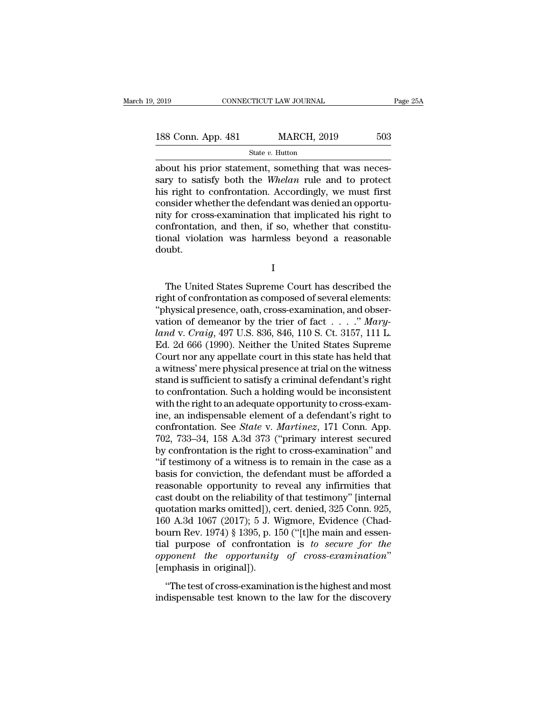| 2019               | CONNECTICUT LAW JOURNAL | Page 25A |  |
|--------------------|-------------------------|----------|--|
| 188 Conn. App. 481 | <b>MARCH, 2019</b>      | 503      |  |
|                    | State $v$ . Hutton      |          |  |

2019 CONNECTICUT LAW JOURNAL<br>
188 Conn. App. 481 MARCH, 2019 503<br>  $\frac{\text{State } v. \text{ Hutton}}{\text{State } v. \text{ Hutton}}$ <br>
about his prior statement, something that was neces-<br>
sary to satisfy both the *Whelan* rule and to protect<br>
his right to c 188 Conn. App. 481 MARCH, 2019 503<br>
State *v*. Hutton<br>
about his prior statement, something that was necessary to satisfy both the *Whelan* rule and to protect<br>
his right to confrontation. Accordingly, we must first 188 Conn. App. 481 MARCH, 2019 503<br>
State v. Hutton<br>
about his prior statement, something that was neces-<br>
sary to satisfy both the *Whelan* rule and to protect<br>
his right to confrontation. Accordingly, we must first<br>
con 188 Conn. App. 481 MARCH, 2019 503<br>
State v. Hutton<br>
about his prior statement, something that was necessary to satisfy both the *Whelan* rule and to protect<br>
his right to confrontation. Accordingly, we must first<br>
consid State v. Hutton State v. Hutton about his prior statement, something that was necessary to satisfy both the *Whelan* rule and to protect his right to confrontation. Accordingly, we must first consider whether the defendan state v. Hutton<br>about his prior statement, something that was neces-<br>sary to satisfy both the *Whelan* rule and to protect<br>his right to confrontation. Accordingly, we must first<br>consider whether the defendant was denied a about his prior statement, something that was necessary to satisfy both the *Whelan* rule and to protect his right to confrontation. Accordingly, we must first consider whether the defendant was denied an opportunity for c doubt. ty for cross-examination that implicated his right to<br>nfrontation, and then, if so, whether that constitu-<br>nal violation was harmless beyond a reasonable<br>ubt.<br>I<br>The United States Supreme Court has described the<br>ght of conf

I

confrontation, and then, if so, whether that constitu-<br>tional violation was harmless beyond a reasonable<br>doubt.<br>I<br>The United States Supreme Court has described the<br>right of confrontation as composed of several elements:<br>"p tional violation was harmless beyond a reasonable<br>
doubt.<br>  $I$ <br>
The United States Supreme Court has described the<br>
right of confrontation as composed of several elements:<br>
"physical presence, oath, cross-examination, and I<br>
The United States Supreme Court has described the<br>
right of confrontation as composed of several elements:<br>
"physical presence, oath, cross-examination, and obser-<br>
vation of demeanor by the trier of fact . . . . ." *Ma* <sup>1</sup><br> *Lando* v. *Confrontation as composed of several elements:*<br> *Craiga presence, oath, cross-examination, and observation of demeanor by the trier of fact....." <i>Maryland v. Craig, 497 U.S. 836, 846, 110 S. Ct. 3157, 11* The United States Supreme Court has described the<br>right of confrontation as composed of several elements:<br>"physical presence, oath, cross-examination, and obser-<br>vation of demeanor by the trier of fact  $\ldots$ ." Mary-<br>land The United States Supreme Court has described the<br>right of confrontation as composed of several elements:<br>"physical presence, oath, cross-examination, and obser-<br>vation of demeanor by the trier of fact . . . . ." Mary-<br>la right of confrontation as composed of several elements:<br>
"physical presence, oath, cross-examination, and observation of demeanor by the trier of fact  $\ldots$ ." Mary-<br>
land v. Craig, 497 U.S. 836, 846, 110 S. Ct. 3157, 111 "physical presence, oath, cross-examination, and observation of demeanor by the trier of fact  $\ldots$ ." Mary-<br>land v. Craig, 497 U.S. 836, 846, 110 S. Ct. 3157, 111 L.<br>Ed. 2d 666 (1990). Neither the United States Supreme<br>Co vation of demeanor by the trier of fact  $\ldots$  ." Mary-<br>land v. Craig, 497 U.S. 836, 846, 110 S. Ct. 3157, 111 L.<br>Ed. 2d 666 (1990). Neither the United States Supreme<br>Court nor any appellate court in this state has held th land v. Craig, 497 U.S. 836, 846, 110 S. Ct. 3157, 111 L.<br>Ed. 2d 666 (1990). Neither the United States Supreme<br>Court nor any appellate court in this state has held that<br>a witness' mere physical presence at trial on the wi Ed. 2d 666 (1990). Neither the United States Supreme<br>Court nor any appellate court in this state has held that<br>a witness' mere physical presence at trial on the witness<br>stand is sufficient to satisfy a criminal defendant' Court nor any appellate court in this state has held that<br>a witness' mere physical presence at trial on the witness<br>stand is sufficient to satisfy a criminal defendant's right<br>to confrontation. Such a holding would be inco a witness' mere physical presence at trial on the witness<br>stand is sufficient to satisfy a criminal defendant's right<br>to confrontation. Such a holding would be inconsistent<br>with the right to an adequate opportunity to cros stand is sufficient to satisfy a criminal defendant's right<br>to confrontation. Such a holding would be inconsistent<br>with the right to an adequate opportunity to cross-exam-<br>ine, an indispensable element of a defendant's rig to confrontation. Such a holding would be inconsistent<br>
with the right to an adequate opportunity to cross-exam-<br>
ine, an indispensable element of a defendant's right to<br>
confrontation. See *State* v. *Martinez*, 171 Conn. with the right to an adequate opportunity to cross-exam-<br>ine, an indispensable element of a defendant's right to<br>confrontation. See *State* v. *Martinez*, 171 Conn. App.<br>702, 733–34, 158 A.3d 373 ("primary interest secured ine, an indispensable element of a defendant's right to confrontation. See *State* v. *Martinez*, 171 Conn. App. 702, 733–34, 158 A.3d 373 ("primary interest secured by confrontation is the right to cross-examination" and confrontation. See *State* v. *Martinez*, 171 Conn. App.<br>702, 733–34, 158 A.3d 373 ("primary interest secured<br>by confrontation is the right to cross-examination" and<br>"if testimony of a witness is to remain in the case as 702, 733–34, 158 A.3d 373 ("primary interest secured<br>by confrontation is the right to cross-examination" and<br>"if testimony of a witness is to remain in the case as a<br>basis for conviction, the defendant must be afforded a<br> by confrontation is the right to cross-examination" and<br>"if testimony of a witness is to remain in the case as a<br>basis for conviction, the defendant must be afforded a<br>reasonable opportunity to reveal any infirmities that<br> "if testimony of a witness is to remain in the case as a basis for conviction, the defendant must be afforded a reasonable opportunity to reveal any infirmities that cast doubt on the reliability of that testimony" [inter basis for conviction, the defendant must be afforded a<br>reasonable opportunity to reveal any infirmities that<br>cast doubt on the reliability of that testimony" [internal<br>quotation marks omitted]), cert. denied, 325 Conn. 925 reasonable opportunity to reveal any infirmities that<br>cast doubt on the reliability of that testimony" [internal<br>quotation marks omitted]), cert. denied, 325 Conn. 925,<br>160 A.3d 1067 (2017); 5 J. Wigmore, Evidence (Chad-<br>b 0 A.3d 1067 (2017); 5 J. Wigmore, Evidence (Chad-<br>
urn Rev. 1974) § 1395, p. 150 ("[t]he main and essen-<br>
ul purpose of confrontation is to secure for the<br>
ponent the opportunity of cross-examination"<br>
"The test of cross-For the 1861 1861 (2011), 9 at Mgmore, Evidence (changed bourn Rev. 1974) § 1395, p. 150 ("[t]he main and essential purpose of confrontation is to *secure for the opponent the opportunity of cross-examination*" [emphasis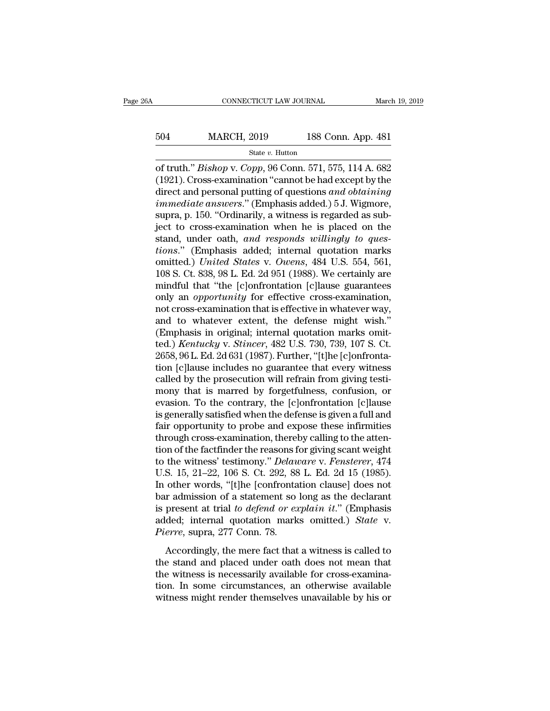## EXECUTE CONNECTICUT LAW JOURNAL March 19, 2019<br>504 MARCH, 2019 188 Conn. App. 481<br>504 MARCH, 2019 188 Conn. App. 481 State *v.* Hutton

CONNECTICUT LAW JOURNAL March 19, 2019<br>
504 MARCH, 2019 188 Conn. App. 481<br>
<sup>State v.</sup> Hutton<br>
of truth." *Bishop* v. *Copp*, 96 Conn. 571, 575, 114 A. 682<br>
(1921). Cross-examination "cannot be had except by the<br>
direct an  $\begin{array}{lll} \text{504} & \text{MARCH, 2019} & \text{188 Conn. App. 481} \ \text{544} & \text{554} & \text{564} & \text{571, 575, 114 A. 682} \ \text{554} & \text{564} & \text{571, 575, 114 A. 682} \ \text{(1921). Cross-examination "cannot be had except by the direct and personal putting of questions and obtaining immediately are larger." (Fmmbaris added.)\ 5. I Wimeroc.} \end{array}$ MARCH, 2019 188 Conn. App. 481<br>
State *v.* Hutton<br>
of truth." *Bishop* v. *Copp*, 96 Conn. 571, 575, 114 A. 682<br>
(1921). Cross-examination "cannot be had except by the<br>
direct and personal putting of questions *and obtaini isola* MARCH, 2019 188 Conn. App. 481<br> *State v. Hutton*<br> *inmediate answers.* Copp, 96 Conn. 571, 575, 114 A. 682<br>
(1921). Cross-examination "cannot be had except by the<br>
direct and personal putting of questions *and obt* state v. Hutton<br>
of truth." *Bishop* v. *Copp*, 96 Conn. 571, 575, 114 A. 682<br>
(1921). Cross-examination "cannot be had except by the<br>
direct and personal putting of questions *and obtaining*<br> *immediate answers.*" (Empha state v. Hutton<br>
of truth." *Bishop* v. *Copp*, 96 Conn. 571, 575, 114 A. 682<br>
(1921). Cross-examination "cannot be had except by the<br>
direct and personal putting of questions *and obtaining*<br> *immediate answers.*" (Empha of truth." *Bishop* v. *Copp*, 96 Conn. 571, 575, 114 A. 682 (1921). Cross-examination "cannot be had except by the direct and personal putting of questions *and obtaining immediate answers*." (Emphasis added.) 5 J. Wigmor (1921). Cross-examination "cannot be had except by the direct and personal putting of questions *and obtaining immediate answers.*" (Emphasis added.) 5 J. Wigmore, supra, p. 150. "Ordinarily, a witness is regarded as su direct and personal putting of questions *and obtaining*<br> *immediate answers.*" (Emphasis added.) 5 J. Wigmore,<br>
supra, p. 150. "Ordinarily, a witness is regarded as sub-<br>
ject to cross-examination when he is placed on the immediate answers." (Emphasis added.) 5 J. Wigmore,<br>supra, p. 150. "Ordinarily, a witness is regarded as sub-<br>ject to cross-examination when he is placed on the<br>stand, under oath, and responds willingly to ques-<br>tions." (E supra, p. 150. "Ordinarily, a witness is regarded as sub-<br>ject to cross-examination when he is placed on the<br>stand, under oath, and responds willingly to ques-<br>tions." (Emphasis added; internal quotation marks<br>omitted.) Un ject to cross-examination when he is placed on the stand, under oath, *and responds willingly to questions.*" (Emphasis added; internal quotation marks omitted.) *United States v. Owens*, 484 U.S. 554, 561, 108 S. Ct. 838, stand, under oath, and responds willingly to ques-<br>tions." (Emphasis added; internal quotation marks<br>omitted.) United States v. Owens, 484 U.S. 554, 561,<br>108 S. Ct. 838, 98 L. Ed. 2d 951 (1988). We certainly are<br>mindful th tions." (Emphasis added; internal quotation marks<br>omitted.) United States v. Owens, 484 U.S. 554, 561,<br>108 S. Ct. 838, 98 L. Ed. 2d 951 (1988). We certainly are<br>mindful that "the [c]onfrontation [c]lause guarantees<br>only a omitted.) United States v. Owens, 484 U.S. 554, 561, 108 S. Ct. 838, 98 L. Ed. 2d 951 (1988). We certainly are mindful that "the [c]onfrontation [c]lause guarantees only an *opportunity* for effective cross-examination, no 108 S. Ct. 838, 98 L. Ed. 2d 951 (1988). We certainly are<br>mindful that "the [c]onfrontation [c]lause guarantees<br>only an *opportunity* for effective cross-examination,<br>not cross-examination that is effective in whatever way mindful that "the [c]onfrontation [c]lause guarantees<br>only an *opportunity* for effective cross-examination,<br>not cross-examination that is effective in whatever way,<br>and to whatever extent, the defense might wish."<br>(Emphas only an *opportunity* for effective cross-examination,<br>not cross-examination that is effective in whatever way,<br>and to whatever extent, the defense might wish."<br>(Emphasis in original; internal quotation marks omit-<br>ted.) not cross-examination that is effective in whatever way,<br>and to whatever extent, the defense might wish."<br>(Emphasis in original; internal quotation marks omit-<br>ted.) *Kentucky* v. *Stincer*, 482 U.S. 730, 739, 107 S. Ct.<br>2 and to whatever extent, the defense might wish."<br>(Emphasis in original; internal quotation marks omit-<br>ted.) *Kentucky* v. *Stincer*, 482 U.S. 730, 739, 107 S. Ct.<br>2658, 96 L. Ed. 2d 631 (1987). Further, "[t]he [c]onfronta (Emphasis in original; internal quotation marks omit-<br>ted.) *Kentucky* v. *Stincer*, 482 U.S. 730, 739, 107 S. Ct.<br>2658, 96 L. Ed. 2d 631 (1987). Further, "[t]he [c]onfronta-<br>tion [c]lause includes no guarantee that every ted.) *Kentucky* v. *Stincer*, 482 U.S. 730, 739, 107 S. Ct.<br>2658, 96 L. Ed. 2d 631 (1987). Further, "[t]he [c]onfronta-<br>tion [c]lause includes no guarantee that every witness<br>called by the prosecution will refrain from gi 2658, 96 L. Ed. 2d 631 (1987). Further, "[t]he [c]onfrontation [c]lause includes no guarantee that every witness called by the prosecution will refrain from giving testimony that is marred by forgetfulness, confusion, or e tion [c]lause includes no guarantee that every witness<br>called by the prosecution will refrain from giving testi-<br>mony that is marred by forgetfulness, confusion, or<br>evasion. To the contrary, the [c]onfrontation [c]lause<br>i called by the prosecution will refrain from giving testi-<br>mony that is marred by forgetfulness, confusion, or<br>evasion. To the contrary, the [c]onfrontation [c]lause<br>is generally satisfied when the defense is given a full mony that is marred by forgetfulness, confusion, or<br>evasion. To the contrary, the [c]onfrontation [c]lause<br>is generally satisfied when the defense is given a full and<br>fair opportunity to probe and expose these infirmities<br> evasion. To the contrary, the [c]onfrontation [c]lause<br>is generally satisfied when the defense is given a full and<br>fair opportunity to probe and expose these infirmities<br>through cross-examination, thereby calling to the at is generally satisfied when the defense is given a full and<br>fair opportunity to probe and expose these infirmities<br>through cross-examination, thereby calling to the atten-<br>tion of the factfinder the reasons for giving scan fair opportunity to probe and expose these infirmities<br>through cross-examination, thereby calling to the atten-<br>tion of the factfinder the reasons for giving scant weight<br>to the witness' testimony." *Delaware* v. Fenstere through cross-examination, thereby calling to the attention of the factfinder the reasons for giving scant weight<br>to the witness' testimony." *Delaware* v. Fensterer, 474<br>U.S. 15, 21–22, 106 S. Ct. 292, 88 L. Ed. 2d 15 (19 tion of the factfinder the reasons for giving scant weight<br>to the witness' testimony." *Delaware* v. Fensterer, 474<br>U.S. 15, 21–22, 106 S. Ct. 292, 88 L. Ed. 2d 15 (1985).<br>In other words, "[t]he [confrontation clause] does to the witness' testimony." *Delau*<br>U.S. 15, 21–22, 106 S. Ct. 292, 88<br>In other words, "[t]he [confronta<br>bar admission of a statement so<br>is present at trial to defend or ex<br>added; internal quotation mark<br>*Pierre*, supra, 2 of the words, "[t]he [confrontation clause] does not r admission of a statement so long as the declarant present at trial *to defend or explain it.*" (Emphasis ded; internal quotation marks omitted.) *State* v. *erre*, su the state words, tepte (controllation cladse) does not<br>bar admission of a statement so long as the declarant<br>is present at trial to defend or explain it." (Emphasis<br>added; internal quotation marks omitted.) State v.<br>Pierr

the witness is a statement of a statement of the with a single state is present at trial to defend or explain it." (Emphasis added; internal quotation marks omitted.) State v.<br>Pierre, supra, 277 Conn. 78.<br>Accordingly, the the process at that to adjoint of explaint in (Emprassemental added; internal quotation marks omitted.) State v.<br>Pierre, supra, 277 Conn. 78.<br>Accordingly, the mere fact that a witness is called to<br>the stand and placed unde *Pierre*, supra, 277 Conn. 78.<br>
Accordingly, the mere fact that a witness is called to<br>
the stand and placed under oath does not mean that<br>
the witness is necessarily available for cross-examina-<br>
tion. In some circumstanc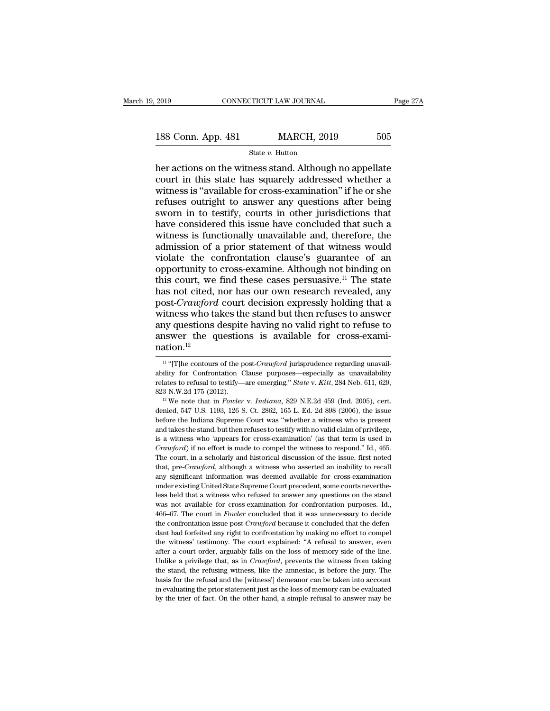2019 CONNECTICUT LAW JOURNAL Page 27A<br>
188 Conn. App. 481 MARCH, 2019 505<br>
State v. Hutton

State *v.* Hutton

 $\frac{188 \text{ Conn. App. } 481}{2019}$  CONNECTICUT LAW JOURNAL Page 27A<br>  $\frac{188 \text{ Conn. App. } 481}{2019}$  MARCH, 2019 505<br>
her actions on the witness stand. Although no appellate<br>
court in this state has squarely addressed whether a<br>
witne 188 Conn. App. 481 MARCH, 2019 505<br>State v. Hutton<br>her actions on the witness stand. Although no appellate<br>court in this state has squarely addressed whether a<br>witness is "available for cross-examination" if he or she<br>refu 188 Conn. App. 481 MARCH, 2019 505<br>
State v. Hutton<br>
her actions on the witness stand. Although no appellate<br>
court in this state has squarely addressed whether a<br>
witness is "available for cross-examination" if he or she 188 Conn. App. 481 MARCH, 2019 505<br>
State v. Hutton<br>
her actions on the witness stand. Although no appellate<br>
court in this state has squarely addressed whether a<br>
witness is "available for cross-examination" if he or she So Colum. App. 401 MARCH, 2015 500<br>
State v. Hutton<br>
her actions on the witness stand. Although no appellate<br>
court in this state has squarely addressed whether a<br>
witness is "available for cross-examination" if he or she State v. Hutton<br>her actions on the witness stand. Although no appellate<br>court in this state has squarely addressed whether a<br>witness is "available for cross-examination" if he or she<br>refuses outright to answer any questio her actions on the witness stand. Although no appellate<br>court in this state has squarely addressed whether a<br>witness is "available for cross-examination" if he or she<br>refuses outright to answer any questions after being<br>sw court in this state has squarely addressed whether a<br>witness is "available for cross-examination" if he or she<br>refuses outright to answer any questions after being<br>sworn in to testify, courts in other jurisdictions that<br>ha witness is "available for cross-examination" if he or she<br>refuses outright to answer any questions after being<br>sworn in to testify, courts in other jurisdictions that<br>have considered this issue have concluded that such a<br> refuses outright to answer any questions after being<br>sworn in to testify, courts in other jurisdictions that<br>have considered this issue have concluded that such a<br>witness is functionally unavailable and, therefore, the<br>adm sworn in to testify, courts in other jurisdictions that<br>have considered this issue have concluded that such a<br>witness is functionally unavailable and, therefore, the<br>admission of a prior statement of that witness would<br>vi have considered this issue have concluded that such a<br>witness is functionally unavailable and, therefore, the<br>admission of a prior statement of that witness would<br>violate the confrontation clause's guarantee of an<br>opportu witness is functionally unavailable and, therefore, the<br>admission of a prior statement of that witness would<br>violate the confrontation clause's guarantee of an<br>opportunity to cross-examine. Although not binding on<br>this cou admission of a prior statement of that witness would<br>violate the confrontation clause's guarantee of an<br>opportunity to cross-examine. Although not binding on<br>this court, we find these cases persuasive.<sup>11</sup> The state<br>has no violate the confrontation clause's guarantee of an opportunity to cross-examine. Although not binding on this court, we find these cases persuasive.<sup>11</sup> The state has not cited, nor has our own research revealed, any post opportunity to cross-examine. Although not binding on this court, we find these cases persuasive.<sup>11</sup> The state has not cited, nor has our own research revealed, any post-*Crawford* court decision expressly holding that a nation.<sup>12</sup> itness who takes the stand but then refuses to answer<br>ny questions despite having no valid right to refuse to<br>nswer the questions is available for cross-exami-<br>ation.<sup>12</sup><br><sup>11</sup> "[T]he contours of the post-*Crawford* jurispr any questions despite having no valid right to refuse to<br>answer the questions is available for cross-exami-<br>nation.<sup>12</sup><br> $\frac{11 \text{``[T]he contours of the post-Crawford jurisprudence regarding unaval-  
ability for Confrontation Clause purposes—especially as unavailability  
relates to refusal to testify—are emerging." State v. Kitt, 284 Neb. 611, 629,$ 

relates to refusal to relations is available for cross-examination.<sup>12</sup><br>
<sup>11</sup> "[T]he contours of the post-*Crawford* jurisprudence regarding unavailability for Confrontation Clause purposes—especially as unavailability rel **EXECUTE:** The different of the post-Crawford jurisprudence regarding unavailability for Confrontation Clause purposes—especially as unavailability relates to refusal to testify—are emerging." *State* v. *Kitt*, 284 Neb. <sup>11</sup> "[T]he contours of the post-*Crawford* jurisprudence regarding unavailability for Confrontation Clause purposes—especially as unavailability relates to refusal to testify—are emerging." *State* v. *Kitt*, 284 Neb. 61

ability for Confrontation Clause purposes—especially as unavailability for Confrontation Clause purposes—especially as unavailability relates to refusal to testify—are emerging." *State v. Kitt*, 284 Neb. 611, 629, 823 N. and takes to refusal to testify—are emerging." *State* v. *Kitt*, 284 Neb. 611, 629, 823 N.W.2d 175 (2012).<br><sup>12</sup> We note that in *Fowler* v. *Indiana*, 829 N.E.2d 459 (Ind. 2005), cert. denied, 547 U.S. 1193, 126 S. Ct. 2 323 N.W.2d 175 (2012).<br>
<sup>12</sup> We note that in *Fowler* v. *Indiana*, 829 N.E.2d 459 (Ind. 2005), cert.<br>
denied, 547 U.S. 1193, 126 S. Ct. 2862, 165 L. Ed. 2d 898 (2006), the issue<br>
before the Indiana Supreme Court was "whe <sup>22</sup> We note that in *Fowler* v. *Indiana*, 829 N.E.2d 459 (Ind. 2005), cert.<br>denied, 547 U.S. 1193, 126 S. Ct. 2862, 165 L. Ed. 2d 898 (2006), the issue<br>before the Indiana Supreme Court was "whether a witness who is prese denied, 547 U.S. 1193, 126 S. Ct. 2862, 165 L. Ed. 2d 898 (2006), the issue before the Indiana Supreme Court was "whether a witness who is present and takes the stand, but then refuses to testify with no valid claim of pr before the Indiana Supreme Court was "whether a witness who is present and takes the stand, but then refuses to testify with no valid claim of privilege, is a witness who 'appears for cross-examination' (as that term is us and takes the stand, but then refuses to testify with no valid claim of privilege, is a witness who 'appears for cross-examination' (as that term is used in  $Crauford$ ) if no effort is made to compel the witness to respond." and takes the stand, but then refuses to testify with no valid claim of privilege, is a witness who 'appears for cross-examination' (as that term is used in *Crawford*) if no effort is made to compel the witness to respon *Crawford*) if no effort is made to compel the witness to respond." Id., 465. The court, in a scholarly and historical discussion of the issue, first noted that, pre-*Crawford*, although a witness who asserted an inabilit The court, in a scholarly and historical discussion of the issue, first noted that, pre-*Crawford*, although a witness who asserted an inability to recall any significant information was deemed available for cross-examina that, pre-*Crawford*, although a witness who asserted an inability to recall any significant information was deemed available for cross-examination under existing United State Supreme Court precedent, some courts neverthel anay significant information was deemed available for cross-examination<br>under existing United State Supreme Court precedent, some courts neverthe-<br>less held that a witness who refused to answer any questions on the stand<br>w under existing United State Supreme Court precedent, some courts nevertheless held that a witness who refused to answer any questions on the stand was not available for cross-examination for confrontation purposes. Id., 46 less held that a witness who refused to answer any questions on the stand was not available for cross-examination for confrontation purposes. Id., 466–67. The court in *Fouler* concluded that it was unnecessary to decide t was not available for cross-examination for confrontation purposes. Id., 466–67. The court in *Fouler* concluded that it was unnecessary to decide the confrontation issue post-*Crawford* because it concluded that the defe 466–67. The court in *Fowler* concluded that it was unnecessary to decide the confrontation issue post-*Crawford* because it concluded that the defendant had forfeited any right to confrontation by making no effort to comp the confrontation issue post-*Crawford* because it concluded that the defendant had forfeited any right to confrontation by making no effort to compel the witness' testimony. The court explained: "A refusal to answer, even dant had forfeited any right to confrontation by making no effort to compel<br>the witness' testimony. The court explained: "A refusal to answer, even<br>after a court order, arguably falls on the loss of memory side of the line the witness' testimoy. The court explained: "A refusal to answer, even after a court order, arguably falls on the loss of memory side of the line. Unlike a privilege that, as in *Crawford*, prevents the witness from taking the witness' testimony. The court explained: "A refusal to answer, even after a court order, arguably falls on the loss of memory side of the line. Unlike a privilege that, as in *Crawford*, prevents the witness from taki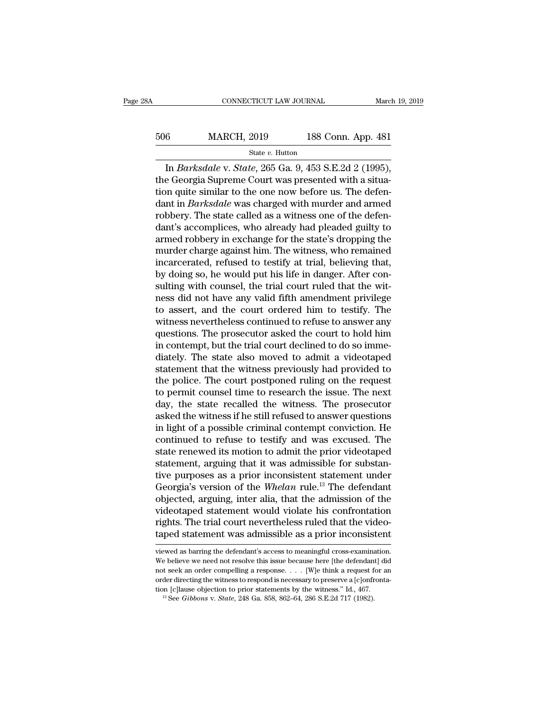## EXECUTE CONNECTICUT LAW JOURNAL March 19, 2019<br>506 MARCH, 2019 188 Conn. App. 481<br>51 State v. Hutton State *v.* Hutton

CONNECTICUT LAW JOURNAL March 19, 2<br> **ISB Conn. App. 481**<br>
State *v*. Hutton<br>
In *Barksdale* v. *State*, 265 Ga. 9, 453 S.E.2d 2 (1995),<br>
e Georgia Supreme Court was presented with a situa-506 MARCH, 2019 188 Conn. App. 481<br>  $\frac{\text{State } v. \text{ Hutton}}{\text{In } Barksdale \text{ V. } State, 265 \text{ Ga. } 9, 453 \text{ S.E.}2d 2 (1995),\text{the Georgia Supreme Court was presented with a situation quite similar to the one now before us. The defendant in *Baskedale* was charged with murder and armed.$ 506 MARCH, 2019 188 Conn. App. 481<br>
State v. Hutton<br>
In *Barksdale* v. *State*, 265 Ga. 9, 453 S.E.2d 2 (1995),<br>
the Georgia Supreme Court was presented with a situa-<br>
tion quite similar to the one now before us. The defe 506 MARCH,  $2019$  188 Conn. App. 481<br>
state v. Hutton<br>
In *Barksdale* v. *State*,  $265$  Ga. 9,  $453$  S.E.2d 2 (1995),<br>
the Georgia Supreme Court was presented with a situa-<br>
tion quite similar to the one now before us. Th State v. Hutton<br>
In *Barksdale* v. *State*, 265 Ga. 9, 453 S.E.2d 2 (1995),<br>
the Georgia Supreme Court was presented with a situa-<br>
tion quite similar to the one now before us. The defen-<br>
dant in *Barksdale* was charged state v. Hutton<br>In *Barksdale* v. *State*, 265 Ga. 9, 453 S.E.2d 2 (1995),<br>the Georgia Supreme Court was presented with a situa-<br>tion quite similar to the one now before us. The defen-<br>dant in *Barksdale* was charged with In *Barksdale v. State*, 265 Ga. 9, 453 S.E.2d 2 (1995),<br>the Georgia Supreme Court was presented with a situa-<br>tion quite similar to the one now before us. The defen-<br>dant in *Barksdale* was charged with murder and armed<br>r the Georgia Supreme Court was presented with a situation quite similar to the one now before us. The defendant in *Barksdale* was charged with murder and armed robbery. The state called as a witness one of the defendant's tion quite similar to the one now before us. The defen-<br>dant in *Barksdale* was charged with murder and armed<br>robbery. The state called as a witness one of the defen-<br>dant's accomplices, who already had pleaded guilty to<br>a dant in *Barksdale* was charged with murder and armed robbery. The state called as a witness one of the defendant's accomplices, who already had pleaded guilty to armed robbery in exchange for the state's dropping the murd robbery. The state called as a witness one of the defendant's accomplices, who already had pleaded guilty to armed robbery in exchange for the state's dropping the murder charge against him. The witness, who remained incar dant's accomplices, who already had pleaded guilty to<br>armed robbery in exchange for the state's dropping the<br>murder charge against him. The witness, who remained<br>incarcerated, refused to testify at trial, believing that,<br>b armed robbery in exchange for the state's dropping the<br>murder charge against him. The witness, who remained<br>incarcerated, refused to testify at trial, believing that,<br>by doing so, he would put his life in danger. After con murder charge against him. The witness, who remained<br>incarcerated, refused to testify at trial, believing that,<br>by doing so, he would put his life in danger. After con-<br>sulting with counsel, the trial court ruled that the incarcerated, refused to testify at trial, believing that,<br>by doing so, he would put his life in danger. After con-<br>sulting with counsel, the trial court ruled that the wit-<br>ness did not have any valid fifth amendment priv by doing so, he would put his life in danger. After consulting with counsel, the trial court ruled that the witness did not have any valid fifth amendment privilege to assert, and the court ordered him to testify. The witn sulting with counsel, the trial court ruled that the witness did not have any valid fifth amendment privilege<br>to assert, and the court ordered him to testify. The<br>witness nevertheless continued to refuse to answer any<br>ques ness did not have any valid fifth amendment privilege<br>to assert, and the court ordered him to testify. The<br>witness nevertheless continued to refuse to answer any<br>questions. The prosecutor asked the court to hold him<br>in con to assert, and the court ordered him to testify. The<br>witness nevertheless continued to refuse to answer any<br>questions. The prosecutor asked the court to hold him<br>in contempt, but the trial court declined to do so imme-<br>dia witness nevertheless continued to refuse to answer any<br>questions. The prosecutor asked the court to hold him<br>in contempt, but the trial court declined to do so imme-<br>diately. The state also moved to admit a videotaped<br>stat questions. The prosecutor asked the court to hold him<br>in contempt, but the trial court declined to do so imme-<br>diately. The state also moved to admit a videotaped<br>statement that the witness previously had provided to<br>the p in contempt, but the trial court declined to do so imme-<br>diately. The state also moved to admit a videotaped<br>statement that the witness previously had provided to<br>the police. The court postponed ruling on the request<br>to pe diately. The state also moved to admit a videotaped<br>statement that the witness previously had provided to<br>the police. The court postponed ruling on the request<br>to permit counsel time to research the issue. The next<br>day, th statement that the witness previously had provided to<br>the police. The court postponed ruling on the request<br>to permit counsel time to research the issue. The next<br>day, the state recalled the witness. The prosecutor<br>asked t the police. The court postponed ruling on the request<br>to permit counsel time to research the issue. The next<br>day, the state recalled the witness. The prosecutor<br>asked the witness if he still refused to answer questions<br>in to permit counsel time to research the issue. The next<br>day, the state recalled the witness. The prosecutor<br>asked the witness if he still refused to answer questions<br>in light of a possible criminal contempt conviction. He<br>c day, the state recalled the witness. The prosecutor<br>asked the witness if he still refused to answer questions<br>in light of a possible criminal contempt conviction. He<br>continued to refuse to testify and was excused. The<br>stat asked the witness if he still refused to answer questions<br>in light of a possible criminal contempt conviction. He<br>continued to refuse to testify and was excused. The<br>state renewed its motion to admit the prior videotaped<br>s in light of a possible criminal contempt conviction. He continued to refuse to testify and was excused. The state renewed its motion to admit the prior videotaped statement, arguing that it was admissible for substantive p continued to refuse to testify and was excused. The<br>state renewed its motion to admit the prior videotaped<br>statement, arguing that it was admissible for substan-<br>tive purposes as a prior inconsistent statement under<br>Georgi state renewed its motion to admit the prior videotaped<br>statement, arguing that it was admissible for substan-<br>tive purposes as a prior inconsistent statement under<br>Georgia's version of the *Whelan* rule.<sup>13</sup> The defendant<br> statement, arguing that it was admissible for substantive purposes as a prior inconsistent statement under Georgia's version of the *Whelan* rule.<sup>13</sup> The defendant objected, arguing, inter alia, that the admission of the objected, arguing, inter alia, that the admission of the videotaped statement would violate his confrontation rights. The trial court nevertheless ruled that the videotaped statement was admissible as a prior inconsistent videotaped statement would violate his confrontation<br>rights. The trial court nevertheless ruled that the video-<br>taped statement was admissible as a prior inconsistent<br>viewed as barring the defendant's access to meaningful

rights. The trial court nevertheless ruled that the video-<br>taped statement was admissible as a prior inconsistent<br>viewed as barring the defendant's access to meaningful cross-examination.<br>We believe we need not resolve thi taped statement was admissible as a prior inconsistent<br>wiewed as barring the defendant's access to meaningful cross-examination.<br>We believe we need not resolve this issue because here [the defendant] did<br>not seek an order taped statement was admissible as a prior inconsistent<br>viewed as barring the defendant's access to meaningful cross-examination<br>We believe we need not resolve this issue because here [the defendant] di<br>not seek an order co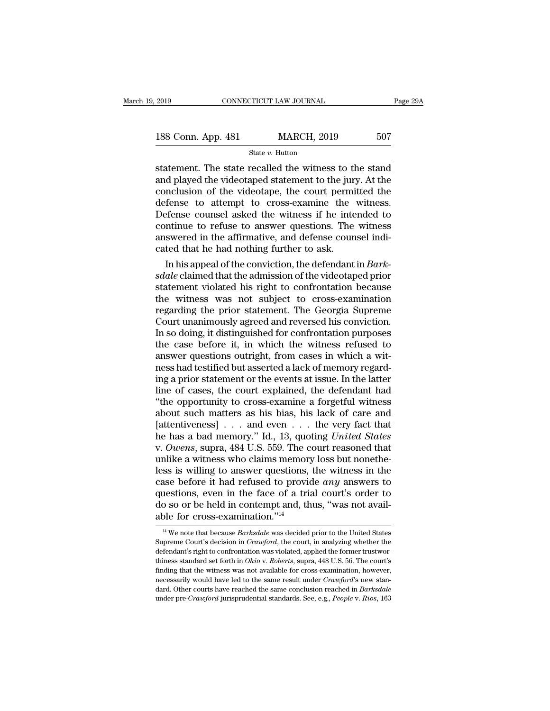| 2019               | CONNECTICUT LAW JOURNAL |                    | Page 29A |  |
|--------------------|-------------------------|--------------------|----------|--|
| 188 Conn. App. 481 |                         | <b>MARCH, 2019</b> | 507      |  |
|                    | State $v$ . Hutton      |                    |          |  |

Fage 29A<br>
State Triangle 2019 (State v. Hutton<br>
State v. Hutton<br>
State v. Hutton<br>
Statement. The state recalled the witness to the stand<br>
and played the videotaped statement to the jury. At the<br>
conclusion of the videotape 188 Conn. App. 481 MARCH, 2019 507<br>
State v. Hutton<br>
statement. The state recalled the witness to the stand<br>
and played the videotaped statement to the jury. At the<br>
conclusion of the videotape, the court permitted the<br>
de 188 Conn. App. 481 MARCH, 2019 507<br>
State v. Hutton<br>
statement. The state recalled the witness to the stand<br>
and played the videotaped statement to the jury. At the<br>
conclusion of the videotape, the court permitted the<br>
d 188 Conn. App. 481 MARCH, 2019 507<br>
State  $v$ . Hutton<br>
statement. The state recalled the witness to the stand<br>
and played the videotaped statement to the jury. At the<br>
conclusion of the videotape, the court permitted the<br> Statement. The state recalled the witness to the stand<br>and played the videotaped statement to the jury. At the<br>conclusion of the videotape, the court permitted the<br>defense to attempt to cross-examine the witness.<br>Defense statement. The state recalled the witness to the stand<br>and played the videotaped statement to the jury. At the<br>conclusion of the videotape, the court permitted the<br>defense to attempt to cross-examine the witness.<br>Defense statement. The state recalled the witness to the stand<br>and played the videotaped statement to the jury. At the<br>conclusion of the videotape, the court permitted the<br>defense to attempt to cross-examine the witness.<br>Defense c and played the videotaped statement to the jury conclusion of the videotape, the court permidefense to attempt to cross-examine the Defense counsel asked the witness if he intercontinue to refuse to answer questions. The a Inclusion of the videotape, the court permitted the<br>fense to attempt to cross-examine the witness.<br>Pense counsel asked the witness if he intended to<br>ntinue to refuse to answer questions. The witness<br>swered in the affirmati defense to attempt to cross-examme the witness.<br>
Defense counsel asked the witness if he intended to<br>
continue to refuse to answer questions. The witness<br>
answered in the affirmative, and defense counsel indi-<br>
cated that

Detense counsel asked the witness if he intended to<br>continue to refuse to answer questions. The witness<br>answered in the affirmative, and defense counsel indi-<br>cated that he had nothing further to ask.<br>In his appeal of the continue to refuse to answer questions. The witness<br>answered in the affirmative, and defense counsel indi-<br>cated that he had nothing further to ask.<br>In his appeal of the conviction, the defendant in *Bark-<br>sdale* claimed answered in the affirmative, and defense counsel indi-<br>cated that he had nothing further to ask.<br>In his appeal of the conviction, the defendant in *Bark-*<br>*sdale* claimed that the admission of the videotaped prior<br>statemen cated that he had nothing further to ask.<br>
In his appeal of the conviction, the defendant in *Bark-*<br>
sdale claimed that the admission of the videotaped prior<br>
statement violated his right to confrontation because<br>
the wit In his appeal of the conviction, the defendant in *Bark-*<br>sdale claimed that the admission of the videotaped prior<br>statement violated his right to confrontation because<br>the witness was not subject to cross-examination<br>reg sdale claimed that the admission of the videotaped prior<br>statement violated his right to confrontation because<br>the witness was not subject to cross-examination<br>regarding the prior statement. The Georgia Supreme<br>Court unani statement violated his right to confrontation because<br>the witness was not subject to cross-examination<br>regarding the prior statement. The Georgia Supreme<br>Court unanimously agreed and reversed his conviction.<br>In so doing, i the witness was not subject to cross-examination<br>regarding the prior statement. The Georgia Supreme<br>Court unanimously agreed and reversed his conviction.<br>In so doing, it distinguished for confrontation purposes<br>the case be regarding the prior statement. The Georgia Supreme<br>Court unanimously agreed and reversed his conviction.<br>In so doing, it distinguished for confrontation purposes<br>the case before it, in which the witness refused to<br>answer q Court unanimously agreed and reversed his conviction.<br>In so doing, it distinguished for confrontation purposes<br>the case before it, in which the witness refused to<br>answer questions outright, from cases in which a wit-<br>ness In so doing, it distinguished for confrontation purposes<br>the case before it, in which the witness refused to<br>answer questions outright, from cases in which a wit-<br>ness had testified but asserted a lack of memory regard-<br>in the case before it, in which the witness refused to<br>answer questions outright, from cases in which a wit-<br>ness had testified but asserted a lack of memory regard-<br>ing a prior statement or the events at issue. In the latte answer questions outright, from cases in which a with<br>ness had testified but asserted a lack of memory regard-<br>ing a prior statement or the events at issue. In the latter<br>line of cases, the court explained, the defendant ness had testified but asserted a lack of memory regarding a prior statement or the events at issue. In the latter line of cases, the court explained, the defendant had "the opportunity to cross-examine a forgetful witness ing a prior statement or the events at issue. In the latter<br>line of cases, the court explained, the defendant had<br>"the opportunity to cross-examine a forgetful witness<br>about such matters as his bias, his lack of care and<br>[ line of cases, the court explained, the defendant had "the opportunity to cross-examine a forgetful witness about such matters as his bias, his lack of care and [attentiveness]  $\ldots$  and even  $\ldots$  the very fact that he h "the opportunity to cross-examine a forgetful witness<br>about such matters as his bias, his lack of care and<br>[attentiveness] . . . and even . . . the very fact that<br>he has a bad memory." Id., 13, quoting *United States*<br>v. about such matters as his bias, his lack of care and [attentiveness]  $\ldots$  and even  $\ldots$  the very fact that he has a bad memory." Id., 13, quoting *United States* v. *Owens*, supra, 484 U.S. 559. The court reasoned that [attentiveness] . . . and even . . . the very fact that<br>he has a bad memory." Id., 13, quoting *United States*<br>v. *Owens*, supra, 484 U.S. 559. The court reasoned that<br>unlike a witness who claims memory loss but nonethe-<br> he has a bad memory." Id., 13, quoting *United States* v. *Owens*, supra, 484 U.S. 559. The court reasoned that unlike a witness who claims memory loss but nonetheless is willing to answer questions, the witness in the cas v. Owens, supra, 484 U.S. 559. The c<br>unlike a witness who claims memor<sub>.</sub><br>less is willing to answer questions,<br>case before it had refused to provid<br>questions, even in the face of a tria<br>do so or be held in contempt and, t ase before it had refused to provide *any* answers to<br>uestions, even in the face of a trial court's order to<br>o so or be held in contempt and, thus, "was not avail-<br>ple for cross-examination."<sup>14</sup><br><sup>14</sup> We note that because questions, even in the face of a trial court's order to<br>do so or be held in contempt and, thus, "was not avail-<br>able for cross-examination."<sup>14</sup><br><sup>14</sup> We note that because *Barksdale* was decided prior to the United States<br>

do so or be held in contempt and, thus, "was not available for cross-examination."<sup>14</sup><br>a<sup>14</sup> We note that because *Barksdale* was decided prior to the United States Supreme Court's decision in *Crawford*, the court, in an able for cross-examination.<sup>"14</sup><br>
<sup>14</sup> We note that because *Barksdale* was decided prior to the United States<br>
Supreme Court's decision in *Crawford*, the court, in analyzing whether the<br>
defendant's right to confrontatio Figure 101 Cross-examination. The witness was decided prior to the United States Supreme Court's decision in *Crawford*, the court, in analyzing whether the defendant's right to confrontation was violated, applied the for <sup>14</sup> We note that because *Barksdale* was decided prior to the United States Supreme Court's decision in *Crawford*, the court, in analyzing whether the defendant's right to confrontation was violated, applied the former Supreme Court's decision in *Crawford*, the court, in analyzing whether the defendant's right to confrontation was violated, applied the former trustworthiness standard set forth in *Ohio* v. *Roberts*, supra, 448 U.S. 56. defendant's right to confrontation was violated, applied the former trustworthiness standard set forth in *Ohio* v. *Roberts*, supra, 448 U.S. 56. The court's finding that the witness was not available for cross-examinati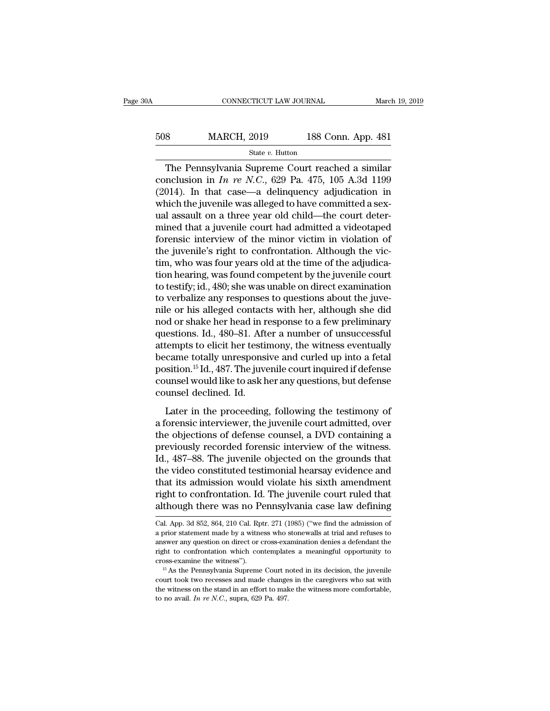| 0A  | CONNECTICUT LAW JOURNAL               |                    | March 19, 2019 |
|-----|---------------------------------------|--------------------|----------------|
| 508 |                                       |                    |                |
|     | <b>MARCH, 2019</b><br>State v. Hutton | 188 Conn. App. 481 |                |

CONNECTICUT LAW JOURNAL March 19, 2019<br>
Sand MARCH, 2019 188 Conn. App. 481<br>
State v. Hutton<br>
The Pennsylvania Supreme Court reached a similar<br>
nclusion in *In re N.C.*, 629 Pa. 475, 105 A.3d 1199<br>
014) In that case, a del MARCH, 2019 188 Conn. App. 481<br>
State v. Hutton<br>
The Pennsylvania Supreme Court reached a similar<br>
conclusion in *In re N.C.*, 629 Pa. 475, 105 A.3d 1199<br>
(2014). In that case—a delinquency adjudication in<br>
which the inven 508 MARCH, 2019 188 Conn. App. 481<br>
State v. Hutton<br>
The Pennsylvania Supreme Court reached a similar<br>
conclusion in *In re N.C.*, 629 Pa. 475, 105 A.3d 1199<br>
(2014). In that case—a delinquency adjudication in<br>
which the 508 MARCH, 2019 188 Conn. App. 481<br>  $\frac{\text{State } v. \text{ Hutton}}{\text{The Pennsylvania Supreme Court reached a similar  
conclusion in } In \text{ re } N.C., 629 \text{ Pa. } 475, 105 \text{ A.}3d 1199$ <br>
(2014). In that case—a delinquency adjudication in<br>
which the juvenile was alleged to have committed a sex-<br> State v. Hutton<br>
The Pennsylvania Supreme Court reached a similar<br>
conclusion in *In re N.C.*, 629 Pa. 475, 105 A.3d 1199<br>
(2014). In that case—a delinquency adjudication in<br>
which the juvenile was alleged to have committ mined that a juvenile court is an admitted a similar conclusion in *In re N.C.*, 629 Pa. 475, 105 A.3d 1199 (2014). In that case—a delinquency adjudication in which the juvenile was alleged to have committed a sexual assa The Pennsylvania Supreme Court reached a similar conclusion in  $In$   $re$   $N.C.,$  629 Pa. 475, 105 A.3d 1199 (2014). In that case—a delinquency adjudication in which the juvenile was alleged to have committed a sex-<br>ual assaul conclusion in *In re N.C.*, 629 Pa. 475, 105 A.3d 1199 (2014). In that case—a delinquency adjudication in which the juvenile was alleged to have committed a sex-<br>ual assault on a three year old child—the court deter-<br>mine (2014). In that case—a delinquency adjudication in which the juvenile was alleged to have committed a sex-<br>ual assault on a three year old child—the court deter-<br>mined that a juvenile court had admitted a videotaped<br>foren which the juvenile was alleged to have committed a sex-<br>ual assault on a three year old child—the court deter-<br>mined that a juvenile court had admitted a videotaped<br>forensic interview of the minor victim in violation of<br>th ual assault on a three year old child—the court deter-<br>mined that a juvenile court had admitted a videotaped<br>forensic interview of the minor victim in violation of<br>the juvenile's right to confrontation. Although the vic-<br>t mined that a juvenile court had admitted a videotaped<br>forensic interview of the minor victim in violation of<br>the juvenile's right to confrontation. Although the vic-<br>tim, who was four years old at the time of the adjudicaforensic interview of the minor victim in violation of<br>the juvenile's right to confrontation. Although the vic-<br>tim, who was four years old at the time of the adjudica-<br>tion hearing, was found competent by the juvenile cou the juvenile's right to confrontation. Although the victim, who was four years old at the time of the adjudication hearing, was found competent by the juvenile court<br>to testify; id., 480; she was unable on direct examinati tim, who was four years old at the time of the adjudication hearing, was found competent by the juvenile court<br>to testify; id., 480; she was unable on direct examination<br>to verbalize any responses to questions about the ju tion hearing, was found competent by the juvenile court<br>to testify; id., 480; she was unable on direct examination<br>to verbalize any responses to questions about the juve-<br>nile or his alleged contacts with her, although sh to testify; id., 480; she was unable on direct examination<br>to verbalize any responses to questions about the juve-<br>nile or his alleged contacts with her, although she did<br>nod or shake her head in response to a few prelimin to verbalize any responses to questions about the juve-<br>nile or his alleged contacts with her, although she did<br>nod or shake her head in response to a few preliminary<br>questions. Id., 480–81. After a number of unsuccessful<br> nile or his alleged contacts with her, although she did<br>nod or shake her head in response to a few preliminary<br>questions. Id., 480–81. After a number of unsuccessful<br>attempts to elicit her testimony, the witness eventually nod or shake her head in r<br>questions. Id., 480–81. Aft<br>attempts to elicit her testii<br>became totally unresponsi<br>position.<sup>15</sup> Id., 487. The juve<br>counsel would like to ask h<br>counsel declined. Id.<br>Later in the proceeding Lempts to elicit her testimony, the witness eventually<br>
came totally unresponsive and curled up into a fetal<br>
sition.<sup>15</sup> Id., 487. The juvenile court inquired if defense<br>
unsel would like to ask her any questions, but de a forence to the security, the matter counted,<br>became totally unresponsive and curled up into a fetal<br>position.<sup>15</sup> Id., 487. The juvenile court inquired if defense<br>counsel would like to ask her any questions, but defense<br>

position.<sup>15</sup> Id., 487. The juvenile court inquired if defense<br>counsel would like to ask her any questions, but defense<br>counsel declined. Id.<br>Later in the proceeding, following the testimony of<br>a forensic interviewer, the prediction from the year and previously counsel would like to ask her any questions, but defense<br>counsel declined. Id.<br>Later in the proceeding, following the testimony of<br>a forensic interviewer, the juvenile court admitted Example of a static and questions) sat accessed<br>counsel declined. Id.<br>Later in the proceeding, following the testimony of<br>a forensic interviewer, the juvenile court admitted, over<br>the objections of defense counsel, a DVD c Later in the proceeding, following the testimony of<br>a forensic interviewer, the juvenile court admitted, over<br>the objections of defense counsel, a DVD containing a<br>previously recorded forensic interview of the witness.<br>Id. Later in the proceeding, following the testimony of<br>a forensic interviewer, the juvenile court admitted, over<br>the objections of defense counsel, a DVD containing a<br>previously recorded forensic interview of the witness.<br>Id. a forensic interviewer, the juvenile court admitted, over<br>the objections of defense counsel, a DVD containing a<br>previously recorded forensic interview of the witness.<br>Id., 487–88. The juvenile objected on the grounds that<br> the objections of defense counsel, a DVD containing a<br>previously recorded forensic interview of the witness.<br>Id., 487–88. The juvenile objected on the grounds that<br>the video constituted testimonial hearsay evidence and<br>tha the video constituted testimonial nearsay evidence and<br>that its admission would violate his sixth amendment<br>right to confrontation. Id. The juvenile court ruled that<br>although there was no Pennsylvania case law defining<br>cal that its admission would violate his sixth amendment<br>right to confrontation. Id. The juvenile court ruled that<br>although there was no Pennsylvania case law defining<br>cal. App. 3d 852, 864, 210 Cal. Rptr. 271 (1985) ("we find

right to confrontation. Id. The juvenile court ruled that<br>although there was no Pennsylvania case law defining<br>Cal. App. 3d 852, 864, 210 Cal. Rptr. 271 (1985) ("we find the admission of<br>a prior statement made by a witness although there was no Pennsylvania case law defining<br>Cal. App. 3d 852, 864, 210 Cal. Rptr. 271 (1985) ("we find the admission of<br>a prior statement made by a witness who stonewalls at trial and refuses to<br>answer any questio cross-examine the with the care in the admission of a prior statement made by a witness who stonewalls at trial and refuses to answer any question on direct or cross-examination denies a defendant the right to confrontatio court took two recesses and made changes in the caregivers and refuses to answer any question on direct or cross-examination denies a defendant the right to confrontation which contemplates a meaningful opportunity to cros a prior statement made by a witness who stonewalls at trial and refuses to answer any question on direct or cross-examination denies a defendant the right to confrontation which contemplates a meaningful opportunity to cr right to confrontation which contemplates a meaningful opportunity to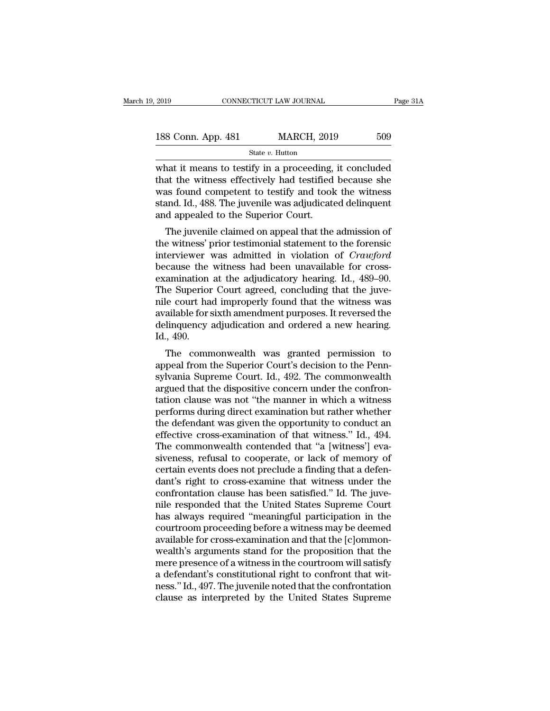| 2019               | CONNECTICUT LAW JOURNAL | Page 31A |  |
|--------------------|-------------------------|----------|--|
| 188 Conn. App. 481 | <b>MARCH, 2019</b>      | 509      |  |
|                    | State $v$ . Hutton      |          |  |

 $\begin{array}{|l|l|} \hline \text{2019} & \text{COMRECTICUT LAW JOURNAL} & \text{Page 31A} \ \hline \text{188 Conn. App. 481} & \text{MARCH, 2019} & \text{509} \ \hline \text{State } v. \text{Hutton} & \text{what it means to testify in a proceeding, it concluded that the witness effectively had testified because she was found, comment to testify and took the witness.} \hline \end{array}$ 188 Conn. App. 481 MARCH, 2019 509<br>
State v. Hutton<br>
what it means to testify in a proceeding, it concluded<br>
that the witness effectively had testified because she<br>
was found competent to testify and took the witness<br>
sta 188 Conn. App. 481 MARCH, 2019 509<br>
State v. Hutton<br>
what it means to testify in a proceeding, it concluded<br>
that the witness effectively had testified because she<br>
was found competent to testify and took the witness<br>
sta 188 Conn. App. 481 MARCH, 2019 509<br>
State  $v$ . Hutton<br>
what it means to testify in a proceeding, it concluded<br>
that the witness effectively had testified because she<br>
was found competent to testify and took the witness<br>
s  $\begin{array}{c}\n\hline\n\text{State } v. \text{ Hutton} \\
\hline\n\text{What it means to testify in a proceeding, } \text{that the witness effectively had testified was found competent to testify and took stand. Id., 488. The juvenile was adjusted and appeared to the Superior Court.}\n\hline\n\end{array}$ nat it means to testify in a proceeding, it concluded<br>at the witness effectively had testified because she<br>as found competent to testify and took the witness<br>and. Id., 488. The juvenile was adjudicated delinquent<br>d appeale what it means to testify in a proceeding, it concruded<br>that the witness effectively had testified because she<br>was found competent to testify and took the witness<br>stand. Id., 488. The juvenile was adjudicated delinquent<br>an

inat the withess enectively had testified because she<br>was found competent to testify and took the witness<br>stand. Id., 488. The juvenile was adjudicated delinquent<br>and appealed to the Superior Court.<br>The juvenile claimed on was found competent to testify and took the witness<br>stand. Id., 488. The juvenile was adjudicated delinquent<br>and appealed to the Superior Court.<br>The juvenile claimed on appeal that the admission of<br>the witness' prior testi stand. Id., 488. The Juvenile was adjudicated definition<br>and appealed to the Superior Court.<br>The juvenile claimed on appeal that the admission of<br>the witness' prior testimonial statement to the forensic<br>interviewer was adm The juvenile claimed on appeal that the admission of<br>the witness' prior testimonial statement to the forensic<br>interviewer was admitted in violation of *Crawford*<br>because the witness had been unavailable for cross-<br>examinat The juvenile claimed on appeal that the admission of<br>the witness' prior testimonial statement to the forensic<br>interviewer was admitted in violation of *Crawford*<br>because the witness had been unavailable for cross-<br>examinat the witness' prior testimonial statement to the forensic<br>interviewer was admitted in violation of *Crawford*<br>because the witness had been unavailable for cross-<br>examination at the adjudicatory hearing. Id., 489–90.<br>The Sup interviewer was admitted in violation of *Crawford*<br>because the witness had been unavailable for cross-<br>examination at the adjudicatory hearing. Id., 489–90.<br>The Superior Court agreed, concluding that the juve-<br>nile court because the<br>examination<br>The Superior<br>nile court ha<br>available for s<br>delinquency<br>Id., 490.<br>The comn animation at the adjudicatory hearing. 1d., 469–90.<br>
ie Superior Court agreed, concluding that the juve-<br>
le court had improperly found that the witness was<br>
ailable for sixth amendment purposes. It reversed the<br>
linquenc The superior Court agreed, concluding that the juve-<br>nile court had improperly found that the witness was<br>available for sixth amendment purposes. It reversed the<br>delinquency adjudication and ordered a new hearing.<br>Id., 490

Fine court had improperly found that the whitess was<br>available for sixth amendment purposes. It reversed the<br>delinquency adjudication and ordered a new hearing.<br>Id., 490.<br>The commonwealth was granted permission to<br>appeal f avanable for sixth americancely puposes. It reversed the<br>delinquency adjudication and ordered a new hearing.<br>Id., 490.<br>The commonwealth was granted permission to<br>appeal from the Superior Court's decision to the Penn-<br>sylva d., 490.<br>Id., 490.<br>The commonwealth was granted permission to<br>appeal from the Superior Court's decision to the Penn-<br>sylvania Supreme Court. Id., 492. The commonwealth<br>argued that the dispositive concern under the confronnd., 450.<br>The commonwealth was granted permission to<br>appeal from the Superior Court's decision to the Penn-<br>sylvania Supreme Court. Id., 492. The commonwealth<br>argued that the dispositive concern under the confron-<br>tation c The commonwealth was granted permission to<br>appeal from the Superior Court's decision to the Penn-<br>sylvania Supreme Court. Id., 492. The commonwealth<br>argued that the dispositive concern under the confron-<br>tation clause was appeal from the Superior Court's decision to the Penn-<br>sylvania Supreme Court. Id., 492. The commonwealth<br>argued that the dispositive concern under the confron-<br>tation clause was not "the manner in which a witness<br>performs sylvania Supreme Court. Id., 492. The commonwealth<br>argued that the dispositive concern under the confron-<br>tation clause was not "the manner in which a witness<br>performs during direct examination but rather whether<br>the defen argued that the dispositive concern under the confrontation clause was not "the manner in which a witness performs during direct examination but rather whether the defendant was given the opportunity to conduct an effectiv tation clause was not "the manner in which a witness<br>performs during direct examination but rather whether<br>the defendant was given the opportunity to conduct an<br>effective cross-examination of that witness." Id., 494.<br>The c performs during direct examination but rather whether<br>the defendant was given the opportunity to conduct an<br>effective cross-examination of that witness." Id., 494.<br>The commonwealth contended that "a [witness'] eva-<br>sivenes the defendant was given the opportunity to conduct an effective cross-examination of that witness." Id., 494.<br>The commonwealth contended that "a [witness'] eva-<br>siveness, refusal to cooperate, or lack of memory of<br>certain effective cross-examination of that witness." Id., 494.<br>The commonwealth contended that "a [witness'] eva-<br>siveness, refusal to cooperate, or lack of memory of<br>certain events does not preclude a finding that a defen-<br>dant' The commonwealth contended that "a [witness'] eva-<br>siveness, refusal to cooperate, or lack of memory of<br>certain events does not preclude a finding that a defen-<br>dant's right to cross-examine that witness under the<br>confront siveness, refusal to cooperate, or lack of memory of<br>certain events does not preclude a finding that a defen-<br>dant's right to cross-examine that witness under the<br>confrontation clause has been satisfied." Id. The juve-<br>nil certain events does not preclude a finding that a defendant's right to cross-examine that witness under the confrontation clause has been satisfied." Id. The juve-<br>nile responded that the United States Supreme Court has al dant's right to cross-examine that witness under the confrontation clause has been satisfied." Id. The juve-<br>nile responded that the United States Supreme Court<br>has always required "meaningful participation in the<br>courtroo confrontation clause has been satisfied." Id. The juve-<br>nile responded that the United States Supreme Court<br>has always required "meaningful participation in the<br>courtroom proceeding before a witness may be deemed<br>available mile responded that the United States Supreme Court<br>has always required "meaningful participation in the<br>courtroom proceeding before a witness may be deemed<br>available for cross-examination and that the [c]ommon-<br>wealth's a has always required "meaningful participation in the<br>courtroom proceeding before a witness may be deemed<br>available for cross-examination and that the [c]ommon-<br>wealth's arguments stand for the proposition that the<br>mere pre courtroom proceeding before a witness may be deemed<br>available for cross-examination and that the [c]ommon-<br>wealth's arguments stand for the proposition that the<br>mere presence of a witness in the courtroom will satisfy<br>a de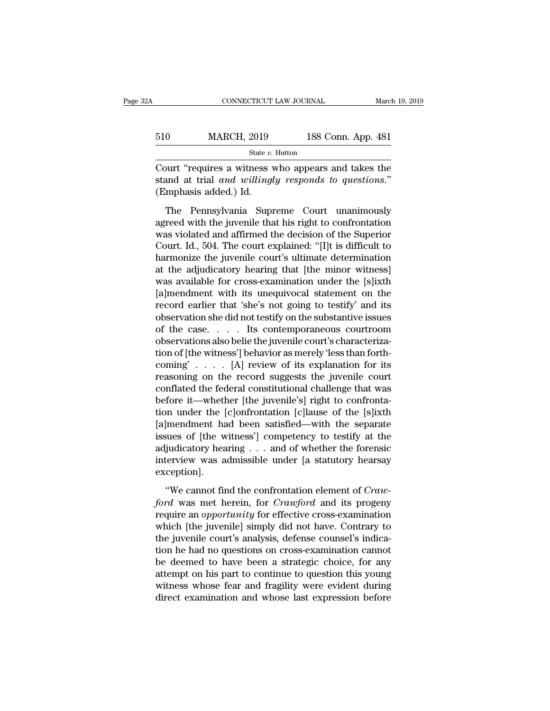| A   | CONNECTICUT LAW JOURNAL |                    | March 19, 2019 |
|-----|-------------------------|--------------------|----------------|
|     |                         |                    |                |
| 510 | <b>MARCH, 2019</b>      | 188 Conn. App. 481 |                |
|     | State $v$ . Hutton      |                    |                |

CONNECTICUT LAW JOURNAL March 19, 2019<br>
S10 MARCH, 2019 188 Conn. App. 481<br>
State v. Hutton<br>
Court "requires a witness who appears and takes the<br>
stand at trial *and willingly responds to questions.*" Stand MARCH, 2019 188 Conn. App. 481<br>
State v. Hutton<br>
Court "requires a witness who appears and takes the<br>
stand at trial *and willingly responds to questions*."<br>
(Emphasis added.) Id.  $\frac{\text{510}}{\text{Current "requires a witness}}$ <br>Court "requires a witness v<br>stand at trial *and willingl*<br>(Emphasis added.) Id.<br>The Pennsylvania Supi MARCH, 2019 188 Conn. App. 481<br>
State v. Hutton<br>
Durt "requires a witness who appears and takes the<br>
and at trial *and willingly responds to questions.*"<br>
mphasis added.) Id.<br>
The Pennsylvania Supreme Court unanimously<br>
r

State v. Hutton<br>
State v. Hutton<br>
Court "requires a witness who appears and takes the<br>
stand at trial *and willingly responds to questions.*"<br>
(Emphasis added.) Id.<br>
The Pennsylvania Supreme Court unanimously<br>
agreed with Court "requires a witness who appears and takes the<br>stand at trial *and willingly responds to questions.*"<br>(Emphasis added.) Id.<br>The Pennsylvania Supreme Court unanimously<br>agreed with the juvenile that his right to confron Source Tequines a manieuse and called and active and stand at trial and willingly responds to questions."<br>
(Emphasis added.) Id.<br>
The Pennsylvania Supreme Court unanimously<br>
agreed with the juvenile that his right to confr (Emphasis added.) Id.<br>
The Pennsylvania Supreme Court unanimously<br>
agreed with the juvenile that his right to confrontation<br>
was violated and affirmed the decision of the Superior<br>
Court. Id., 504. The court explained: "[ The Pennsylvania Supreme Court unanimously<br>agreed with the juvenile that his right to confrontation<br>was violated and affirmed the decision of the Superior<br>Court. Id., 504. The court explained: "[I]t is difficult to<br>harmon The Pennsylvania Supreme Court unanimously<br>agreed with the juvenile that his right to confrontation<br>was violated and affirmed the decision of the Superior<br>Court. Id., 504. The court explained: "[I]t is difficult to<br>harmoni agreed with the juvenile that his right to confrontation<br>was violated and affirmed the decision of the Superior<br>Court. Id., 504. The court explained: "[I]t is difficult to<br>harmonize the juvenile court's ultimate determinat was violated and affirmed the decision of the Superior<br>Court. Id., 504. The court explained: "[I]t is difficult to<br>harmonize the juvenile court's ultimate determination<br>at the adjudicatory hearing that [the minor witness]<br> Court. Id., 504. The court explained: "[I]t is difficult to<br>harmonize the juvenile court's ultimate determination<br>at the adjudicatory hearing that [the minor witness]<br>was available for cross-examination under the [s]ixth<br> harmonize the juvenile court's ultimate determination<br>at the adjudicatory hearing that [the minor witness]<br>was available for cross-examination under the [s]ixth<br>[a]mendment with its unequivocal statement on the<br>record earl at the adjudicatory hearing that [the minor witness]<br>was available for cross-examination under the [s]ixth<br>[a]mendment with its unequivocal statement on the<br>record earlier that 'she's not going to testify' and its<br>observat was available for cross-examination under the [s]ixth [a]mendment with its unequivocal statement on the record earlier that 'she's not going to testify' and its observation she did not testify on the substantive issues of [a]mendment with its unequivocal statement on the<br>record earlier that 'she's not going to testify' and its<br>observation she did not testify on the substantive issues<br>of the case.... Its contemporaneous courtroom<br>observatio record earlier that 'she's not going to testify' and its<br>observation she did not testify on the substantive issues<br>of the case. . . . . Its contemporaneous courtroom<br>observations also belie the juvenile court's characteri observation she did not testify on the substantive issues<br>of the case. . . . Its contemporaneous courtroom<br>observations also belie the juvenile court's characteriza-<br>tion of [the witness'] behavior as merely 'less than for of the case.  $\ldots$  its contemporaneous courtroom<br>observations also belie the juvenile court's characteriza-<br>tion of [the witness'] behavior as merely 'less than forth-<br>coming'  $\ldots$ . [A] review of its explanation for its<br> observations also belie the juvenile court's characterization of [the witness'] behavior as merely 'less than forth-<br>coming' . . . . [A] review of its explanation for its<br>reasoning on the record suggests the juvenile court tion of [the witness'] behavior as merely 'less than forth-<br>coming'..... [A] review of its explanation for its<br>reasoning on the record suggests the juvenile court<br>conflated the federal constitutional challenge that was<br>be coming'..... [A] review of its explanation for its<br>reasoning on the record suggests the juvenile court<br>conflated the federal constitutional challenge that was<br>before it—whether [the juvenile's] right to confronta-<br>tion un reasoning on the record suggests the juvenile court<br>conflated the federal constitutional challenge that was<br>before it—whether [the juvenile's] right to confronta-<br>tion under the [c]onfrontation [c]lause of the [s]ixth<br>[a]m conflated the federal constitutional challenge that was<br>before it—whether [the juvenile's] right to confronta-<br>tion under the [c]onfrontation [c]lause of the [s]ixth<br>[a]mendment had been satisfied—with the separate<br>issues exception]. |mendment had been satisfied—with the separate<br>sues of [the witness'] competency to testify at the<br>judicatory hearing . . . and of whether the forensic<br>terview was admissible under [a statutory hearsay<br>ception].<br>"We cannot *ford* issues of [the witness'] competency to testify at the adjudicatory hearing . . . and of whether the forensic interview was admissible under [a statutory hearsay exception].<br>"We cannot find the confrontation element

adjudicatory hearing . . . and of whether the forensic<br>interview was admissible under [a statutory hearsay<br>exception].<br>"We cannot find the confrontation element of *Craw-<br>ford* was met herein, for *Crawford* and its progen interview was admissible under [a statutory hearsay<br>exception].<br>"We cannot find the confrontation element of *Craw-<br>ford* was met herein, for *Crawford* and its progeny<br>require an *opportunity* for effective cross-examinat exception].<br>
"We cannot find the confrontation element of *Craw-<br>
ford* was met herein, for *Crawford* and its progeny<br>
require an *opportunity* for effective cross-examination<br>
which [the juvenile] simply did not have. C "We cannot find the confrontation element of *Craw-<br>ford* was met herein, for *Crawford* and its progeny<br>require an *opportunity* for effective cross-examination<br>which [the juvenile] simply did not have. Contrary to<br>the j "We cannot find the confrontation element of *Craw-*<br>ford was met herein, for *Crawford* and its progeny<br>require an *opportunity* for effective cross-examination<br>which [the juvenile] simply did not have. Contrary to<br>the j ford was met herein, for *Crawford* and its progeny<br>require an *opportunity* for effective cross-examination<br>which [the juvenile] simply did not have. Contrary to<br>the juvenile court's analysis, defense counsel's indica-<br>ti require an *opportunity* for effective cross-examination<br>which [the juvenile] simply did not have. Contrary to<br>the juvenile court's analysis, defense counsel's indica-<br>tion he had no questions on cross-examination cannot<br>b which [the juvenile] simply did not have. Contrary to<br>the juvenile court's analysis, defense counsel's indica-<br>tion he had no questions on cross-examination cannot<br>be deemed to have been a strategic choice, for any<br>attempt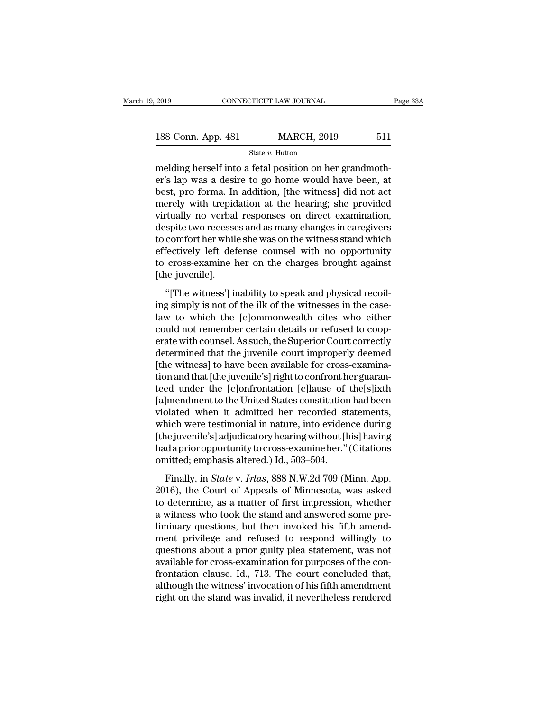| , 2019             | CONNECTICUT LAW JOURNAL |                    |     | Page 33A |
|--------------------|-------------------------|--------------------|-----|----------|
| 188 Conn. App. 481 |                         | <b>MARCH, 2019</b> | 511 |          |
|                    | State $v$ . Hutton      |                    |     |          |

melding herself into a fetal position on her grandmoth-188 Conn. App. 481 MARCH, 2019 511<br>
State v. Hutton<br>
melding herself into a fetal position on her grandmother's lap was a desire to go home would have been, at<br>
best, pro forma. In addition, [the witness] did not act<br>
mor 188 Conn. App. 481 MARCH, 2019 511<br>
State v. Hutton<br>
melding herself into a fetal position on her grandmoth-<br>
er's lap was a desire to go home would have been, at<br>
best, pro forma. In addition, [the witness] did not act<br> 188 Conn. App. 481 MARCH, 2019 511<br>
State v. Hutton<br>
melding herself into a fetal position on her grandmother's lap was a desire to go home would have been, at<br>
best, pro forma. In addition, [the witness] did not act<br>
mer State v. Hutton<br>
melding herself into a fetal position on her grandmoth-<br>
er's lap was a desire to go home would have been, at<br>
best, pro forma. In addition, [the witness] did not act<br>
merely with trepidation at the heari state  $v$ . Hutton<br>
melding herself into a fetal position on her grandmoth-<br>
er's lap was a desire to go home would have been, at<br>
best, pro forma. In addition, [the witness] did not act<br>
merely with trepidation at the hea melding herself into a fetal position on her grandmother's lap was a desire to go home would have been, at<br>best, pro forma. In addition, [the witness] did not act<br>merely with trepidation at the hearing; she provided<br>virtua er's lap was a desire to go home would have been, at<br>best, pro forma. In addition, [the witness] did not act<br>merely with trepidation at the hearing; she provided<br>virtually no verbal responses on direct examination,<br>despite best, pro forma. In addition, [the witness] did not act<br>merely with trepidation at the hearing; she provided<br>virtually no verbal responses on direct examination,<br>despite two recesses and as many changes in caregivers<br>to co merely with trepid<br>virtually no verbal<br>despite two recesse<br>to comfort her while<br>effectively left def<br>to cross-examine l<br>[the juvenile].<br>"[The witness'] ir Figure 12 and as many changes in caregivers<br>
spite two recesses and as many changes in caregivers<br>
comfort her while she was on the witness stand which<br>
fectively left defense counsel with no opportunity<br>
cross-examine her ing is not her while she was on the witness stand which<br>to comfort her while she was on the witness stand which<br>effectively left defense counsel with no opportunity<br>to cross-examine her on the charges brought against<br>[the

effectively left defense counsel with no opportunity<br>to cross-examine her on the charges brought against<br>[the juvenile].<br>"[The witness'] inability to speak and physical recoil-<br>ing simply is not of the ilk of the witnesses to cross-examine her on the charges brought against<br>[the juvenile].<br>"[The witness'] inability to speak and physical recoil-<br>ing simply is not of the ilk of the witnesses in the case-<br>law to which the [c]ommonwealth cites w [the juvenile].<br>"[The witness'] inability to speak and physical recoil-<br>ing simply is not of the ilk of the witnesses in the case-<br>law to which the [c]ommonwealth cites who either<br>could not remember certain details or refu "[The witness'] inability to speak and physical recoil-<br>ing simply is not of the ilk of the witnesses in the case-<br>law to which the [c]ommonwealth cites who either<br>could not remember certain details or refused to coop-<br>er "[The witness'] inability to speak and physical recoil-<br>ing simply is not of the ilk of the witnesses in the case-<br>law to which the [c]ommonwealth cites who either<br>could not remember certain details or refused to coop-<br>era ing simply is not of the ilk of the witnesses in the case-<br>law to which the [c]ommonwealth cites who either<br>could not remember certain details or refused to coop-<br>erate with counsel. As such, the Superior Court correctly<br>d law to which the [c]ommonwealth cites who either<br>could not remember certain details or refused to coop-<br>erate with counsel. As such, the Superior Court correctly<br>determined that the juvenile court improperly deemed<br>[the wi could not remember certain details or refused to coop-<br>erate with counsel. As such, the Superior Court correctly<br>determined that the juvenile court improperly deemed<br>[the witness] to have been available for cross-examina-<br> erate with counsel. As such, the Superior Court correctly<br>determined that the juvenile court improperly deemed<br>[the witness] to have been available for cross-examina-<br>tion and that [the juvenile's] right to confront her gu determined that the juvenile court improperly deemed<br>[the witness] to have been available for cross-examina-<br>tion and that [the juvenile's] right to confront her guaran-<br>teed under the [c]onfrontation [c]lause of the[s]ixt [the witness] to have been available for cross-examination and that [the juvenile's] right to confront her guaranteed under the [c]onfrontation [c]lause of the[s]ixth [a]mendment to the United States constitution had been tion and that [the juvenile's] right to confront her guaranteed under the [c]onfrontation [c]lause of the[s]ixth [a]mendment to the United States constitution had been violated when it admitted her recorded statements, whi teed under the [c]onfrontation [c]lause of<br>[a]mendment to the United States constitution<br>violated when it admitted her recorded st<br>which were testimonial in nature, into eviden<br>[the juvenile's] adjudicatory hearing without plated when it admitted her recorded statements,<br>nich were testimonial in nature, into evidence during<br>ne juvenile's] adjudicatory hearing without [his] having<br>daprior opportunity to cross-examine her." (Citations<br>nitted; which were testimonial in nature, into evidence during<br>
[the juvenile's] adjudicatory hearing without [his] having<br>
had a prior opportunity to cross-examine her." (Citations<br>
omitted; emphasis altered.) Id., 503–504.<br>
Fina

[the juvenile's] adjudicatory hearing without [his] having<br>had a prior opportunity to cross-examine her." (Citations<br>omitted; emphasis altered.) Id., 503–504.<br>Finally, in *State* v. *Irlas*, 888 N.W.2d 709 (Minn. App.<br>2016 had a prior opportunity to cross-examine her." (Citations<br>omitted; emphasis altered.) Id., 503–504.<br>Finally, in *State* v. *Irlas*, 888 N.W.2d 709 (Minn. App.<br>2016), the Court of Appeals of Minnesota, was asked<br>to determin omitted; emphasis altered.) Id., 503–504.<br>Finally, in *State* v. *Irlas*, 888 N.W.2d 709 (Minn. App.<br>2016), the Court of Appeals of Minnesota, was asked<br>to determine, as a matter of first impression, whether<br>a witness who Finally, in *State* v. *Irlas*, 888 N.W.2d 709 (Minn. App. 2016), the Court of Appeals of Minnesota, was asked to determine, as a matter of first impression, whether a witness who took the stand and answered some pre-<br>lim Finally, in *State* v. *Irlas*, 888 N.W.2d 709 (Minn. App. 2016), the Court of Appeals of Minnesota, was asked to determine, as a matter of first impression, whether a witness who took the stand and answered some prelimin 2016), the Court of Appeals of Minnesota, was asked<br>to determine, as a matter of first impression, whether<br>a witness who took the stand and answered some pre-<br>liminary questions, but then invoked his fifth amend-<br>ment priv to determine, as a matter of first impression, whether<br>a witness who took the stand and answered some pre-<br>liminary questions, but then invoked his fifth amend-<br>ment privilege and refused to respond willingly to<br>questions a witness who took the stand and answered some pre-<br>liminary questions, but then invoked his fifth amend-<br>ment privilege and refused to respond willingly to<br>questions about a prior guilty plea statement, was not<br>available liminary questions, but then invoked his fifth amendment privilege and refused to respond willingly to questions about a prior guilty plea statement, was not available for cross-examination for purposes of the confrontatio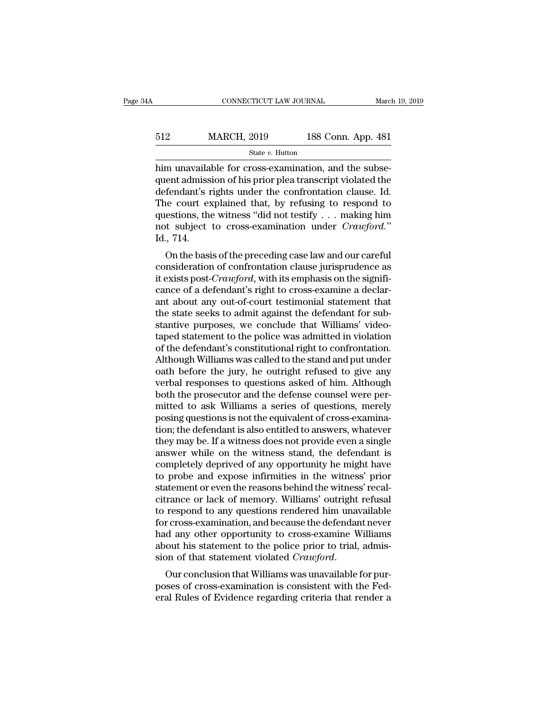| А   | CONNECTICUT LAW JOURNAL |                    | March 19, 2019 |
|-----|-------------------------|--------------------|----------------|
|     |                         |                    |                |
| 512 | <b>MARCH, 2019</b>      | 188 Conn. App. 481 |                |
|     | State v. Hutton         |                    |                |

CONNECTICUT LAW JOURNAL March March 2019<br>
Handle For Chatter and State v. Hutton<br>
him unavailable for cross-examination, and the subse-<br>
quent admission of his prior plea transcript violated the<br>
defendent's rights under t  $\begin{array}{r} \n512 \text{ } \text{MARCH, 2019} \text{ } \text{188 Conn. App. 481} \\
 \text{State } v. \text{ Hutton} \\
 \hline\n \text{him unavailable for cross-examination, and the subsequent admission of his prior, and the subsequent admission of his prior, and the subsequent admission of his prior, and the subsequent administration of his prior, and the subsequent additional system.} \n\end{array}$ MARCH, 2019 188 Conn. App. 481<br>
State v. Hutton<br>
him unavailable for cross-examination, and the subsequent admission of his prior plea transcript violated the<br>
defendant's rights under the confrontation clause. Id.<br>
The c MARCH, 2019 188 Conn. App. 481<br>
State v. Hutton<br>
him unavailable for cross-examination, and the subsequent admission of his prior plea transcript violated the<br>
defendant's rights under the confrontation clause. Id.<br>
The c State v. Hutton<br>
him unavailable for cross-examination, and the subse-<br>
quent admission of his prior plea transcript violated the<br>
defendant's rights under the confrontation clause. Id.<br>
The court explained that, by refus state *v*. Hutton<br>him unavailable for cross-examination, and the subse-<br>quent admission of his prior plea transcript violated the<br>defendant's rights under the confrontation clause. Id.<br>The court explained that, by refusing Fendant's rights under the confrontation clause. Id.<br>
i.e. court explained that, by refusing to respond to<br>
estions, the witness "did not testify . . . making him<br>
i.e. subject to cross-examination under  $Crawford$ ."<br>
., 714.<br> defendant s rights under the confrontation clause. Id:<br>The court explained that, by refusing to respond to<br>questions, the witness "did not testify . . . making him<br>not subject to cross-examination under *Crawford*."<br>Id.,

The court explained that, by Terusing to Tespond to<br>questions, the witness "did not testify . . . making him<br>not subject to cross-examination under *Crawford*."<br>Id., 714.<br>On the basis of the preceding case law and our care questions, the withess did not testify  $\ldots$  making function and the subject to cross-examination under  $Crawford$ ."<br>Id., 714.<br>On the basis of the preceding case law and our careful<br>consideration of confrontation clause jurisp Id., 714.<br>
On the basis of the preceding case law and our careful<br>
consideration of confrontation clause jurisprudence as<br>
it exists post-*Crawford*, with its emphasis on the signifi-<br>
cance of a defendant's right to cros the state state state state state state state state state state state state state state state state state state sport crawford, with its emphasis on the significance of a defendant's right to cross-examine a declarant abo On the basis of the preceding case law and our careful consideration of confrontation clause jurisprudence as it exists post-*Crawford*, with its emphasis on the significance of a defendant's right to cross-examine a decla consideration of confrontation clause jurisprudence as<br>it exists post-*Crawford*, with its emphasis on the signifi-<br>cance of a defendant's right to cross-examine a declar-<br>ant about any out-of-court testimonial statement t it exists post-*Crawford*, with its emphasis on the significance of a defendant's right to cross-examine a declarant about any out-of-court testimonial statement that the state seeks to admit against the defendant for subs cance of a defendant's right to cross-examine a declar-<br>ant about any out-of-court testimonial statement that<br>the state seeks to admit against the defendant for sub-<br>stantive purposes, we conclude that Williams' video-<br>tap ant about any out-of-court testimonial statement that<br>the state seeks to admit against the defendant for sub-<br>stantive purposes, we conclude that Williams' video-<br>taped statement to the police was admitted in violation<br>of the state seeks to admit against the defendant for substantive purposes, we conclude that Williams' video-<br>taped statement to the police was admitted in violation<br>of the defendant's constitutional right to confrontation.<br>A stantive purposes, we conclude that Williams' video-<br>taped statement to the police was admitted in violation<br>of the defendant's constitutional right to confrontation.<br>Although Williams was called to the stand and put under taped statement to the police was admitted in violation<br>of the defendant's constitutional right to confrontation.<br>Although Williams was called to the stand and put under<br>oath before the jury, he outright refused to give an of the defendant's constitutional right to confrontation.<br>Although Williams was called to the stand and put under<br>oath before the jury, he outright refused to give any<br>verbal responses to questions asked of him. Although<br>b Although Williams was called to the stand and put under<br>oath before the jury, he outright refused to give any<br>verbal responses to questions asked of him. Although<br>both the prosecutor and the defense counsel were per-<br>mitte oath before the jury, he outright refused to give any<br>verbal responses to questions asked of him. Although<br>both the prosecutor and the defense counsel were per-<br>mitted to ask Williams a series of questions, merely<br>posing q verbal responses to questions asked of him. Although<br>both the prosecutor and the defense counsel were per-<br>mitted to ask Williams a series of questions, merely<br>posing questions is not the equivalent of cross-examina-<br>tion; both the prosecutor and the defense counsel were permitted to ask Williams a series of questions, merely posing questions is not the equivalent of cross-examination; the defendant is also entitled to answers, whatever they mitted to ask Williams a series of questions, merely<br>posing questions is not the equivalent of cross-examina-<br>tion; the defendant is also entitled to answers, whatever<br>they may be. If a witness does not provide even a sing posing questions is not the equivalent of cross-examination; the defendant is also entitled to answers, whatever<br>they may be. If a witness does not provide even a single<br>answer while on the witness stand, the defendant is<br> tion; the defendant is also entitled to answers, whatever<br>they may be. If a witness does not provide even a single<br>answer while on the witness stand, the defendant is<br>completely deprived of any opportunity he might have<br>to they may be. If a witness does not provide even a single<br>answer while on the witness stand, the defendant is<br>completely deprived of any opportunity he might have<br>to probe and expose infirmities in the witness' prior<br>statem answer while on the witness stand, the defendant is<br>completely deprived of any opportunity he might have<br>to probe and expose infirmities in the witness' prior<br>statement or even the reasons behind the witness' recal-<br>citran completely deprived of any opportunity he might have<br>to probe and expose infirmities in the witness' prior<br>statement or even the reasons behind the witness' recal-<br>citrance or lack of memory. Williams' outright refusal<br>to to probe and expose infirmities in the witness' prior statement or even the reasons behind the witness' recalcitrance or lack of memory. Williams' outright refusal to respond to any questions rendered him unavailable for c statement or even the reasons behind the witness' recalcitrance or lack of memory. Williams' outright refusal<br>to respond to any questions rendered him unavailable<br>for cross-examination, and because the defendant never<br>had to respond to any questions rendered initial diavanable<br>for cross-examination, and because the defendant never<br>had any other opportunity to cross-examine Williams<br>about his statement to the police prior to trial, admis-<br>si For Cross-examination, and because the defendant never<br>had any other opportunity to cross-examine Williams<br>about his statement to the police prior to trial, admis-<br>sion of that statement violated *Crawford*.<br>Our conclusion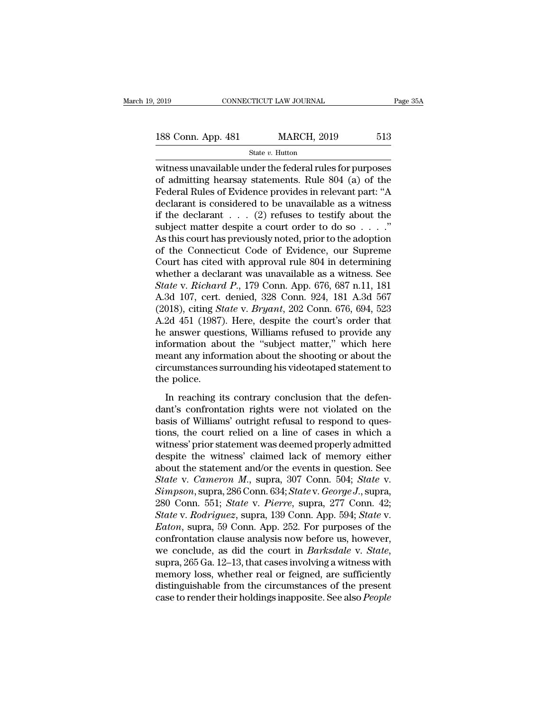2019 CONNECTICUT LAW JOURNAL Page 35A<br>
188 Conn. App. 481 MARCH, 2019 513<br>
State v. Hutton<br>
witness unavailable under the federal rules for purposes<br>
of admitting hearsay statements. Rule 804 (a) of the<br>
Federal Pules of E 188 Conn. App. 481 MARCH, 2019 513<br>
State v. Hutton<br>
witness unavailable under the federal rules for purposes<br>
of admitting hearsay statements. Rule 804 (a) of the<br>
Federal Rules of Evidence provides in relevant part: "A 188 Conn. App. 481 MARCH, 2019 513<br>
State v. Hutton<br>
witness unavailable under the federal rules for purposes<br>
of admitting hearsay statements. Rule 804 (a) of the<br>
Federal Rules of Evidence provides in relevant part: "A<br> 188 Conn. App. 481 MARCH, 2019 513<br>
State v. Hutton<br>
witness unavailable under the federal rules for purposes<br>
of admitting hearsay statements. Rule 804 (a) of the<br>
Federal Rules of Evidence provides in relevant part: "A<br> State v. Hutton<br>witness unavailable under the federal rules for purposes<br>of admitting hearsay statements. Rule 804 (a) of the<br>Federal Rules of Evidence provides in relevant part: "A<br>declarant is considered to be unavailab state v. Hutton<br>witness unavailable under the federal rules for purposes<br>of admitting hearsay statements. Rule 804 (a) of the<br>Federal Rules of Evidence provides in relevant part: "A<br>declarant is considered to be unavailab witness unavailable under the federal rules for purposes<br>of admitting hearsay statements. Rule 804 (a) of the<br>Federal Rules of Evidence provides in relevant part: "A<br>declarant is considered to be unavailable as a witness<br> of admitting hearsay statements. Rule 804 (a) of the<br>Federal Rules of Evidence provides in relevant part: "A<br>declarant is considered to be unavailable as a witness<br>if the declarant  $\dots$  (2) refuses to testify about the<br>su Federal Rules of Evidence provides in relevant part: "A<br>declarant is considered to be unavailable as a witness<br>if the declarant . . . (2) refuses to testify about the<br>subject matter despite a court order to do so . . . ." declarant is considered to be unavailable as a witness<br>if the declarant . . . (2) refuses to testify about the<br>subject matter despite a court order to do so . . . ."<br>As this court has previously noted, prior to the adopti *State* v. *Richard P.*, 179 Conn. 676, 687 n.11, 181 A.3d 107, cert. denied *N*. *Richard P., Propention* 676, 687 n.11, 181 a.3d 107, cert. denied, 328 Conn. 676, 687 n.11, 181 a.3d 107, cert. denied, 328 Conn. 924, 181 subject matter despite a court order to do so . . . ."<br>As this court has previously noted, prior to the adoption<br>of the Connecticut Code of Evidence, our Supreme<br>Court has cited with approval rule 804 in determining<br>wheth As this court has previously noted, prior to the adoption<br>of the Connecticut Code of Evidence, our Supreme<br>Court has cited with approval rule 804 in determining<br>whether a declarant was unavailable as a witness. See<br>*State* of the Connecticut Code of Evidence, our Supreme<br>Court has cited with approval rule 804 in determining<br>whether a declarant was unavailable as a witness. See<br>State v. Richard P., 179 Conn. App. 676, 687 n.11, 181<br>A.3d 107, Court has cited with approval rule 804 in determining<br>whether a declarant was unavailable as a witness. See<br>State v. Richard P., 179 Conn. App. 676, 687 n.11, 181<br>A.3d 107, cert. denied, 328 Conn. 924, 181 A.3d 567<br>(2018), whether a declarant was unavailable as a witness. See<br> *State* v. *Richard P.*, 179 Conn. App. 676, 687 n.11, 181<br>
A.3d 107, cert. denied, 328 Conn. 924, 181 A.3d 567<br>
(2018), citing *State* v. *Bryant*, 202 Conn. 676, 69 State v. Richard P., 179 Conn. App. 676, 687 n.11, 181<br>A.3d 107, cert. denied, 328 Conn. 924, 181 A.3d 567<br>(2018), citing *State* v. *Bryant*, 202 Conn. 676, 694, 523<br>A.2d 451 (1987). Here, despite the court's order that<br>h A.3d 107, cert. denied, 328 Conn. 924, 181 A.3d 567<br>(2018), citing *State* v. *Bryant*, 202 Conn. 676, 694, 523<br>A.2d 451 (1987). Here, despite the court's order that<br>he answer questions, Williams refused to provide any<br>inf (2018), citing  $St$ <br>A.2d 451 (1987)<br>he answer ques<br>information abo<br>meant any infor<br>circumstances s<br>the police.<br>In reaching it  $\alpha$  answer questions, Williams refused to provide any<br>
answer questions, Williams refused to provide any<br>
formation about the shooting or about the<br>
ccumstances surrounding his videotaped statement to<br>
e police.<br>
In reac information about the "subject matter," which here<br>meant any information about the shooting or about the<br>circumstances surrounding his videotaped statement to<br>the police.<br>In reaching its contrary conclusion that the defen-

meant any information about the shooting or about the<br>circumstances surrounding his videotaped statement to<br>the police.<br>In reaching its contrary conclusion that the defen-<br>dant's confrontation rights were not violated on t the court and any modulation about the shooting of about the circumstances surrounding his videotaped statement to the police.<br>
In reaching its contrary conclusion that the defendant's confrontation rights were not violate the police.<br>
In reaching its contrary conclusion that the defen-<br>
dant's confrontation rights were not violated on the<br>
basis of Williams' outright refusal to respond to ques-<br>
tions, the court relied on a line of cases in In reaching its contrary conclusion that the defendant's confrontation rights were not violated on the basis of Williams' outright refusal to respond to questions, the court relied on a line of cases in which a witness' p In reaching its contrary conclusion that the defendant's confrontation rights were not violated on the basis of Williams' outright refusal to respond to questions, the court relied on a line of cases in which a witness' p dant's confrontation rights were not violated on the<br>basis of Williams' outright refusal to respond to ques-<br>tions, the court relied on a line of cases in which a<br>witness' prior statement was deemed properly admitted<br>despi **Shasis of Williams' outright refusal to respond to questions, the court relied on a line of cases in which a witness' prior statement was deemed properly admitted despite the witness' claimed lack of memory either about t** tions, the court relied on a line of cases in which a<br>witness' prior statement was deemed properly admitted<br>despite the witness' claimed lack of memory either<br>about the statement and/or the events in question. See<br>*State* witness' prior statement was deemed properly admitted<br>despite the witness' claimed lack of memory either<br>about the statement and/or the events in question. See<br>*State* v. *Cameron M.*, supra, 307 Conn. 504; *State* v.<br>*Sim* despite the witness' claimed lack of memory either<br>about the statement and/or the events in question. See<br>*State v. Cameron M.*, supra, 307 Conn. 504; *State v.<br>Simpson*, supra, 286 Conn. 634; *State v. George J.*, supra,<br> about the statement and/or the events in question. See<br> *State* v. *Cameron M.*, supra, 307 Conn. 504; *State* v.<br> *Simpson*, supra, 286 Conn. 634; *State* v. *George J.*, supra,<br>
280 Conn. 551; *State* v. *Pierre*, supra, State v. Cameron M., supra, 307 Conn. 504; State v. Simpson, supra, 286 Conn. 634; State v. George J., supra, 220 Conn. 551; State v. Pierre, supra, 277 Conn. 42; State v. Rodriguez, supra, 139 Conn. App. 594; State v. Eat 280 Conn. 551; *State v. Pierre*, supra, 277 Conn. 42;<br> *State v. Rodriguez*, supra, 139 Conn. App. 594; *State v.*<br> *Eaton*, supra, 59 Conn. App. 252. For purposes of the<br>
confrontation clause analysis now before us, how State v. Rodriguez, supra, 139 Conn. App. 594; State v.<br>Eaton, supra, 59 Conn. App. 252. For purposes of the<br>confrontation clause analysis now before us, however,<br>we conclude, as did the court in *Barksdale* v. State,<br>supr Eaton, supra, 59 Conn. App. 252. For purposes of the confrontation clause analysis now before us, however, we conclude, as did the court in *Barksdale* v. *State*, supra, 265 Ga. 12–13, that cases involving a witness with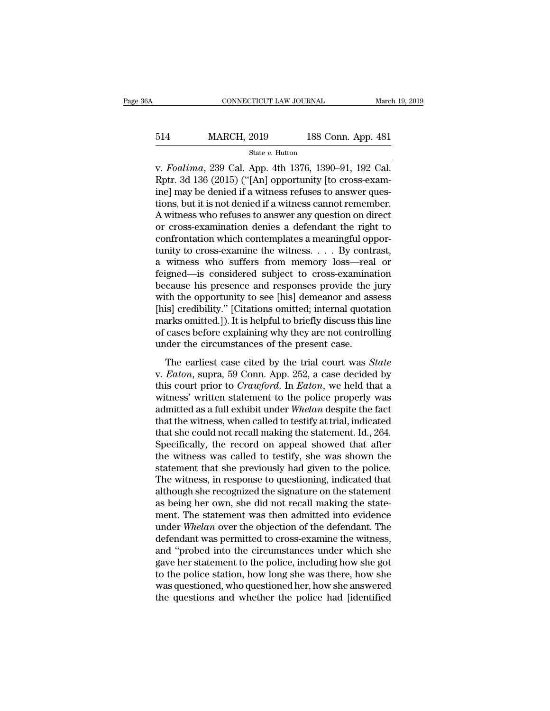# EXECUTE CONNECTICUT LAW JOURNAL March 19, 2019<br>
514 MARCH, 2019 188 Conn. App. 481<br>
514 March 2019 188 Conn. App. 481

State *v.* Hutton

CONNECTICUT LAW JOURNAL March 19, 2<br>
514 MARCH, 2019 188 Conn. App. 481<br>
<sup>State v. Hutton</sup><br>
v. *Foalima*, 239 Cal. App. 4th 1376, 1390–91, 192 Cal.<br>
Rptr. 3d 136 (2015) ("[An] opportunity [to cross-examinal may be denied i MARCH, 2019 188 Conn. App. 481<br>
State v. Hutton<br>
V. Foalima, 239 Cal. App. 4th 1376, 1390–91, 192 Cal.<br>
Rptr. 3d 136 (2015) ("[An] opportunity [to cross-exam-<br>
ine] may be denied if a witness refuses to answer ques-<br>
tions 514 MARCH, 2019 188 Conn. App. 481<br>
state v. Hutton<br>
v. Foalima, 239 Cal. App. 4th 1376, 1390–91, 192 Cal.<br>
Rptr. 3d 136 (2015) ("[An] opportunity [to cross-exam-<br>
ine] may be denied if a witness refuses to answer ques-<br> 514 MARCH, 2019 188 Conn. App. 481<br>
state v. Hutton<br>
v. Foalima, 239 Cal. App. 4th 1376, 1390–91, 192 Cal.<br>
Rptr. 3d 136 (2015) ("[An] opportunity [to cross-exam-<br>
ine] may be denied if a witness refuses to answer ques-<br> State v. Hutton<br>
v. Foalima, 239 Cal. App. 4th 1376, 1390–91, 192 Cal.<br>
Rptr. 3d 136 (2015) ("[An] opportunity [to cross-exam-<br>
ine] may be denied if a witness refuses to answer ques-<br>
tions, but it is not denied if a wit state v. Hutton<br>v. Foalima, 239 Cal. App. 4th 1376, 1390–91, 192 Cal.<br>Rptr. 3d 136 (2015) ("[An] opportunity [to cross-exam-<br>ine] may be denied if a witness refuses to answer ques-<br>tions, but it is not denied if a witness v. Foalima, 239 Cal. App. 4th 1376, 1390–91, 192 Cal.<br>Rptr. 3d 136 (2015) ("[An] opportunity [to cross-examine] may be denied if a witness refuses to answer questions, but it is not denied if a witness cannot remember.<br>A Rptr. 3d 136 (2015) ("[An] opportunity [to cross-examine] may be denied if a witness refuses to answer questions, but it is not denied if a witness cannot remember.<br>A witness who refuses to answer any question on direct or ine] may be denied if a witness refuses to answer questions, but it is not denied if a witness cannot remember.<br>A witness who refuses to answer any question on direct<br>or cross-examination denies a defendant the right to<br>co tions, but it is not denied if a witness cannot remember.<br>A witness who refuses to answer any question on direct<br>or cross-examination denies a defendant the right to<br>confrontation which contemplates a meaningful oppor-<br>tun A witness who refuses to answer any question on direct<br>or cross-examination denies a defendant the right to<br>confrontation which contemplates a meaningful oppor-<br>tunity to cross-examine the witness. . . . By contrast,<br>a wit or cross-examination denies a defendant the right to<br>confrontation which contemplates a meaningful oppor-<br>tunity to cross-examine the witness. . . . By contrast,<br>a witness who suffers from memory loss—real or<br>feigned—is co confrontation which contemplates a meaningful opportunity to cross-examine the witness. . . . By contrast,<br>a witness who suffers from memory loss—real or<br>feigned—is considered subject to cross-examination<br>because his pres tunity to cross-examine the witness. . . . By contrast,<br>a witness who suffers from memory loss—real or<br>feigned—is considered subject to cross-examination<br>because his presence and responses provide the jury<br>with the opportu a witness who suffers from memory loss—real or<br>feigned—is considered subject to cross-examination<br>because his presence and responses provide the jury<br>with the opportunity to see [his] demeanor and assess<br>[his] credibility. feigned—is considered subject to cross-examina<br>because his presence and responses provide the<br>with the opportunity to see [his] demeanor and ass<br>[his] credibility." [Citations omitted; internal quota<br>marks omitted.]). It i the exportance can a responses provide are jury<br>th the opportunity to see [his] demeanor and assess<br>is] credibility." [Citations omitted; internal quotation<br>arks omitted.]). It is helpful to briefly discuss this line<br>cases what are opportuncy to see [Ins] defined and assess<br>[his] credibility." [Citations omitted; internal quotation<br>marks omitted.]). It is helpful to briefly discuss this line<br>of cases before explaining why they are not contro

this court priority. Tendations of this court at a marks omitted.]). It is helpful to briefly discuss this line<br>of cases before explaining why they are not controlling<br>under the circumstances of the present case.<br>The earli marks onlined. J.). It is helpful to strent, also<br>also also the of cases before explaining why they are not controlling<br>under the circumstances of the present case.<br>The earliest case cited by the trial court was *State*<br>v and the circumstances of the present case.<br>The earliest case cited by the trial court was *State*<br>v. *Eaton*, supra, 59 Conn. App. 252, a case decided by<br>this court prior to *Crawford*. In *Eaton*, we held that a<br>witness' The earliest case cited by the trial court was *State*<br>v. *Eaton*, supra, 59 Conn. App. 252, a case decided by<br>this court prior to *Crawford*. In *Eaton*, we held that a<br>witness' written statement to the police properly w The earliest case cited by the trial court was *State* v. *Eaton*, supra, 59 Conn. App. 252, a case decided by this court prior to *Crawford*. In *Eaton*, we held that a witness' written statement to the police properly wa v. *Eaton*, supra, 59 Conn. App. 252, a case decided by<br>this court prior to *Crawford*. In *Eaton*, we held that a<br>witness' written statement to the police properly was<br>admitted as a full exhibit under *Whelan* despite the this court prior to *Crawford*. In *Eaton*, we held that a<br>witness' written statement to the police properly was<br>admitted as a full exhibit under *Whelan* despite the fact<br>that the witness, when called to testify at trial, witness' written statement to the police properly was<br>admitted as a full exhibit under *Whelan* despite the fact<br>that the witness, when called to testify at trial, indicated<br>that she could not recall making the statement. admitted as a full exhibit under Whelan despite the fact<br>that the witness, when called to testify at trial, indicated<br>that she could not recall making the statement. Id., 264.<br>Specifically, the record on appeal showed that that the witness, when called to testify at trial, indicated<br>that she could not recall making the statement. Id., 264.<br>Specifically, the record on appeal showed that after<br>the witness was called to testify, she was shown t that she could not recall making the statement. Id., 264.<br>Specifically, the record on appeal showed that after<br>the witness was called to testify, she was shown the<br>statement that she previously had given to the police.<br>The Specifically, the record on appeal showed that after<br>the witness was called to testify, she was shown the<br>statement that she previously had given to the police.<br>The witness, in response to questioning, indicated that<br>altho the witness was called to testify, she was shown the statement that she previously had given to the police.<br>The witness, in response to questioning, indicated that although she recognized the signature on the statement<br>as statement that she previously had given to the police.<br>The witness, in response to questioning, indicated that<br>although she recognized the signature on the statement<br>as being her own, she did not recall making the state-<br>m The witness, in response to questioning, indicated that<br>although she recognized the signature on the statement<br>as being her own, she did not recall making the state-<br>ment. The statement was then admitted into evidence<br>unde although she recognized the signature on the statement<br>as being her own, she did not recall making the statement. The statement was then admitted into evidence<br>under *Whelan* over the objection of the defendant. The<br>defend as being her own, she did not recall making the statement. The statement was then admitted into evidence under *Whelan* over the objection of the defendant. The defendant was permitted to cross-examine the witness, and "pr ment. The statement was then admitted into evidence<br>under Whelan over the objection of the defendant. The<br>defendant was permitted to cross-examine the witness,<br>and "probed into the circumstances under which she<br>gave her st under Whelan over the objection of the defendant. The defendant was permitted to cross-examine the witness, and "probed into the circumstances under which she gave her statement to the police, including how she got to the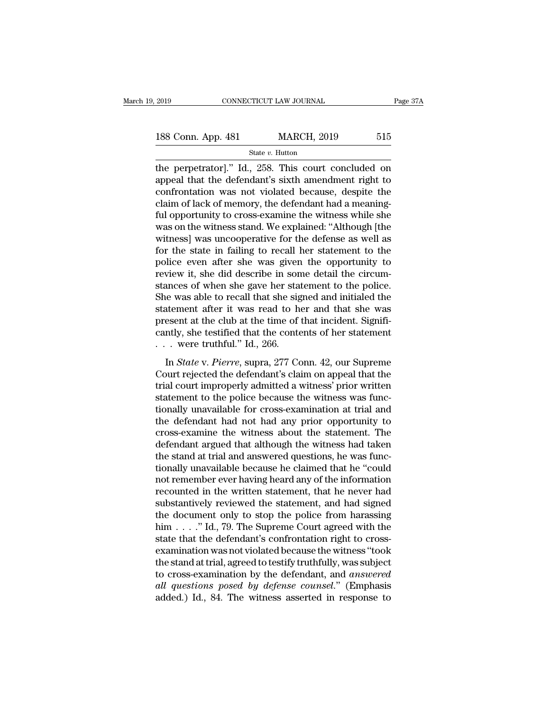The perpetrator is a set of the perpetrator in the perpetrator in the perpetrator in the perpetrator in the perpetrator in the defendant's sixth amendment right to confrontation was not violated because despite the confron 188 Conn. App. 481 MARCH, 2019 515<br>
State v. Hutton<br>
the perpetrator]." Id., 258. This court concluded on<br>
appeal that the defendant's sixth amendment right to<br>
confrontation was not violated because, despite the<br>
claim o 188 Conn. App. 481 MARCH, 2019 515<br>
State v. Hutton<br>
the perpetrator]." Id., 258. This court concluded on<br>
appeal that the defendant's sixth amendment right to<br>
confrontation was not violated because, despite the<br>
claim o 188 Conn. App. 481 MARCH, 2019 515<br>
State v. Hutton<br>
the perpetrator]." Id., 258. This court concluded on<br>
appeal that the defendant's sixth amendment right to<br>
confrontation was not violated because, despite the<br>
claim o State v. Hutton<br>the perpetrator]." Id., 258. This court concluded on<br>appeal that the defendant's sixth amendment right to<br>confrontation was not violated because, despite the<br>claim of lack of memory, the defendant had a me state v. Hutton<br>the perpetrator]." Id., 258. This court concluded on<br>appeal that the defendant's sixth amendment right to<br>confrontation was not violated because, despite the<br>claim of lack of memory, the defendant had a me the perpetrator]." Id., 258. This court concluded on<br>appeal that the defendant's sixth amendment right to<br>confrontation was not violated because, despite the<br>claim of lack of memory, the defendant had a meaning-<br>ful opport appeal that the defendant's sixth amendment right to<br>confrontation was not violated because, despite the<br>claim of lack of memory, the defendant had a meaning-<br>ful opportunity to cross-examine the witness while she<br>was on t confrontation was not violated because, despite the<br>claim of lack of memory, the defendant had a meaning-<br>ful opportunity to cross-examine the witness while she<br>was on the witness stand. We explained: "Although [the<br>witnes claim of lack of memory, the defendant had a meaning-<br>ful opportunity to cross-examine the witness while she<br>was on the witness stand. We explained: "Although [the<br>witness] was uncooperative for the defense as well as<br>for ful opportunity to cross-examine the witness while she<br>was on the witness stand. We explained: "Although [the<br>witness] was uncooperative for the defense as well as<br>for the state in failing to recall her statement to the<br>po was on the witness stand. We explained: "Although [the witness] was uncooperative for the defense as well as for the state in failing to recall her statement to the police even after she was given the opportunity to review witness] was uncooperative for the defense as well as<br>for the state in failing to recall her statement to the<br>police even after she was given the opportunity to<br>review it, she did describe in some detail the circum-<br>stance for the state in failing to recall her statement to the police even after she was given the opportunity to review it, she did describe in some detail the circumstances of when she gave her statement to the police. She was police even after she was given the opportunity to<br>review it, she did describe in some detail the circum-<br>stances of when she gave her statement to the police.<br>She was able to recall that she signed and initialed the<br>stat review it, she did describe in son<br>stances of when she gave her stat<br>She was able to recall that she sig<br>statement after it was read to h<br>present at the club at the time of<br>cantly, she testified that the conte<br> $\ldots$  were Incess of when she gave her statement to the ponce.<br>
In was able to recall that she signed and initialed the<br>
atement after it was read to her and that she was<br>
esent at the club at the time of that incident. Signifi-<br>
Inl statement after it was read to her and that she was<br>present at the club at the time of that incident. Signifi-<br>cantly, she testified that the contents of her statement<br> $\ldots$  were truthful." Id., 266.<br>In *State* v. *Pierre* 

present at the club at the time of that incident. Significantly, she testified that the contents of her statement<br>  $\ldots$  were truthful." Id., 266.<br>
In *State* v. *Pierre*, supra, 277 Conn. 42, our Supreme<br>
Court rejected cantly, she testified that the contents of her statement<br>  $\ldots$  were truthful." Id., 266.<br>
In *State* v. *Pierre*, supra, 277 Conn. 42, our Supreme<br>
Court rejected the defendant's claim on appeal that the<br>
trial court imp the trial with the state of the statement<br>  $\ldots$  were truthful." Id., 266.<br>
In *State* v. *Pierre*, supra, 277 Conn. 42, our Supreme<br>
Court rejected the defendant's claim on appeal that the<br>
trial court improperly admitte In *State v. Pierre*, supra, 277 Conn. 42, our Supreme<br>Court rejected the defendant's claim on appeal that the<br>trial court improperly admitted a witness' prior written<br>statement to the police because the witness was func-In *State* v. *Pierre*, supra, 277 Conn. 42, our Supreme<br>Court rejected the defendant's claim on appeal that the<br>trial court improperly admitted a witness' prior written<br>statement to the police because the witness was func Court rejected the defendant's claim on appeal that the<br>trial court improperly admitted a witness' prior written<br>statement to the police because the witness was func-<br>tionally unavailable for cross-examination at trial and trial court improperly admitted a witness' prior written<br>statement to the police because the witness was func-<br>tionally unavailable for cross-examination at trial and<br>the defendant had not had any prior opportunity to<br>cros statement to the police because the witness was functionally unavailable for cross-examination at trial and<br>the defendant had not had any prior opportunity to<br>cross-examine the witness about the statement. The<br>defendant ar tionally unavailable for cross-examination at trial and<br>the defendant had not had any prior opportunity to<br>cross-examine the witness about the statement. The<br>defendant argued that although the witness had taken<br>the stand a the defendant had not had any prior opportunity to<br>cross-examine the witness about the statement. The<br>defendant argued that although the witness had taken<br>the stand at trial and answered questions, he was func-<br>tionally un cross-examine the witness about the statement. The<br>defendant argued that although the witness had taken<br>the stand at trial and answered questions, he was func-<br>tionally unavailable because he claimed that he "could<br>not rem defendant argued that although the witness had taken<br>the stand at trial and answered questions, he was func-<br>tionally unavailable because he claimed that he "could<br>not remember ever having heard any of the information<br>reco the stand at trial and answered questions, he was functionally unavailable because he claimed that he "could not remember ever having heard any of the information recounted in the written statement, that he never had subst tionally unavailable because he claimed that he "could<br>not remember ever having heard any of the information<br>recounted in the written statement, that he never had<br>substantively reviewed the statement, and had signed<br>the d not remember ever having heard any of the information<br>recounted in the written statement, that he never had<br>substantively reviewed the statement, and had signed<br>the document only to stop the police from harassing<br>him . . . recounted in the written statement, that he never had<br>substantively reviewed the statement, and had signed<br>the document only to stop the police from harassing<br>him  $\dots$ ." Id., 79. The Supreme Court agreed with the<br>state th substantively reviewed the statement, and had signed<br>the document only to stop the police from harassing<br>him . . . ." Id., 79. The Supreme Court agreed with the<br>state that the defendant's confrontation right to cross-<br>exam the document only to stop the police from harassing<br>him . . . . " Id., 79. The Supreme Court agreed with the<br>state that the defendant's confrontation right to cross-<br>examination was not violated because the witness "took<br>t him  $\ldots$  ." Id., 79. The Supreme Court agreed with the state that the defendant's confrontation right to cross-<br>examination was not violated because the witness "took the stand at trial, agreed to testify truthfully, was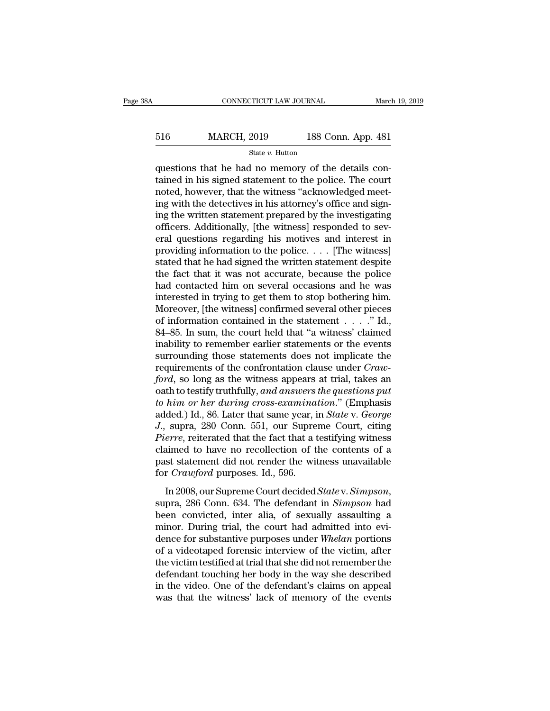## EXECUTE CONNECTICUT LAW JOURNAL March 19, 2019<br>516 MARCH, 2019 188 Conn. App. 481<br>516 MARCH, 2019 188 Conn. App. 481 State *v.* Hutton

 $\begin{array}{ll}\n & \text{COMRECTICUT LAW JOURNAL} & \text{Marc}\n\hline\n & \text{MARCH, 2019} & \text{188 Conn. App. 481} \\
 \hline\n & \text{State } v. \text{ Hutton} & \text{questions that he had no memory of the details contained in his signed statement to the police. The court noted however, that the witness "calrouleded most."} \end{array}$ 516 MARCH, 2019 188 Conn. App. 481<br>
State v. Hutton<br>
questions that he had no memory of the details contained in his signed statement to the police. The court<br>
noted, however, that the witness "acknowledged meet-<br>
ing wit 516 MARCH, 2019 188 Conn. App. 481<br>
State v. Hutton<br>
questions that he had no memory of the details contained in his signed statement to the police. The court<br>
noted, however, that the witness "acknowledged meet-<br>
ing wit  $\frac{\text{516}}{\text{State } v. \text{ Hutton}}$ <br>  $\frac{\text{State } v. \text{ Hutton}}{\text{questions that he had no memory of the details contained in his signed statement to the police. The court noted, however, that the witness "acknowledged meeting with the detectors in his attempt's office and signing the written statement prepared by the investigating offisors. Additionally, the universal responded to say.$ State v. Hutton<br>
questions that he had no memory of the details con-<br>
tained in his signed statement to the police. The court<br>
noted, however, that the witness "acknowledged meet-<br>
ing with the detectives in his attorney' state v. Hutton<br>questions that he had no memory of the details con-<br>tained in his signed statement to the police. The court<br>noted, however, that the witness "acknowledged meet-<br>ing with the detectives in his attorney's of questions that he had no memory of the details contained in his signed statement to the police. The court<br>noted, however, that the witness "acknowledged meet-<br>ing with the detectives in his attorney's office and sign-<br>ing tained in his signed statement to the police. The court<br>noted, however, that the witness "acknowledged meet-<br>ing with the detectives in his attorney's office and sign-<br>ing the written statement prepared by the investigati noted, however, that the witness "acknowledged meet-<br>ing with the detectives in his attorney's office and sign-<br>ing the written statement prepared by the investigating<br>officers. Additionally, [the witness] responded to sev ing with the detectives in his attorney's office and signing the written statement prepared by the investigating officers. Additionally, [the witness] responded to several questions regarding his motives and interest in p ing the written statement prepared by the investigating<br>officers. Additionally, [the witness] responded to sev-<br>eral questions regarding his motives and interest in<br>providing information to the police. . . . [The witness]<br> % officers. Additionally, [the witness] responded to several questions regarding his motives and interest in providing information to the police.  $\dots$  [The witness] stated that he had signed the written statement despite eral questions regarding his motives and interest in<br>providing information to the police. . . . [The witness]<br>stated that he had signed the written statement despite<br>the fact that it was not accurate, because the police<br>h providing information to the police. . . . [The witness]<br>stated that he had signed the written statement despite<br>the fact that it was not accurate, because the police<br>had contacted him on several occasions and he was<br>inte stated that he had signed the written statement despite<br>the fact that it was not accurate, because the police<br>had contacted him on several occasions and he was<br>interested in trying to get them to stop bothering him.<br>Moreov the fact that it was not accurate, because the police<br>had contacted him on several occasions and he was<br>interested in trying to get them to stop bothering him.<br>Moreover, [the witness] confirmed several other pieces<br>of inf had contacted him on several occasions and he was<br>interested in trying to get them to stop bothering him.<br>Moreover, [the witness] confirmed several other pieces<br>of information contained in the statement  $\dots$ . "Id.,<br>84–85. interested in trying to get them to stop bothering him.<br>Moreover, [the witness] confirmed several other pieces<br>of information contained in the statement  $\dots$ ..." Id.,<br>84–85. In sum, the court held that "a witness' claimed Moreover, [the witness] confirmed several other pieces<br>of information contained in the statement  $\ldots$ ." Id.,<br>84–85. In sum, the court held that "a witness' claimed<br>inability to remember earlier statements or the events<br>s oath to testify truthfully, *and answers the questions put* 84–85. In sum, the court held that "a witness' claimed<br>inability to remember earlier statements or the events<br>surrounding those statements does not implicate the<br>requirements of the confrontation clause under *Craw-*<br>*ford* inability to remember earlier statements or the events<br>surrounding those statements does not implicate the<br>requirements of the confrontation clause under *Craw-*<br>ford, so long as the witness appears at trial, takes an<br>oath surrounding those statements does not implicate the<br>requirements of the confrontation clause under *Craw-*<br>*ford*, so long as the witness appears at trial, takes an<br>oath to testify truthfully, and answers the questions put *Pierre*, so long as the vonfrontation clause under *Craw-ford*, so long as the witness appears at trial, takes an oath to testify truthfully, *and answers the questions put to him or her during cross-examination.*" (Emp ford, so long as the witness appears at trial, takes an<br>oath to testify truthfully, and answers the questions put<br>to him or her during cross-examination." (Emphasis<br>added.) Id., 86. Later that same year, in *State* v. *Geo* oath to testify truthfully, and answers the questions put<br>to him or her during cross-examination." (Emphasis<br>added.) Id., 86. Later that same year, in *State* v. *George*<br>J., supra, 280 Conn. 551, our Supreme Court, citing to him or her during cross-examina<br>added.) Id., 86. Later that same year, i<br>J., supra, 280 Conn. 551, our Supre<br>*Pierre*, reiterated that the fact that a t<br>claimed to have no recollection of t<br>past statement did not render In 2008, our Supreme Court decided *State* v. *Simpson*, supra, 280 Conn. 551, our Supreme Court, citing *Pierre*, reiterated that the fact that a testifying witness claimed to have no recollection of the contents of a pas

between convicted and the race and a testar,  $j$  mg where convicted that a different of a past statement did not render the witness unavailable for *Crawford* purposes. Id., 596.<br>In 2008, our Supreme Court decided *Statev* past statement did not render the witness unavailable<br>for *Crawford* purposes. Id., 596.<br>In 2008, our Supreme Court decided *State* v. *Simpson*,<br>supra, 286 Conn. 634. The defendant in *Simpson* had<br>been convicted, inter for *Crawford* purposes. Id., 596.<br>In 2008, our Supreme Court decided *Statev. Simpson*,<br>supra, 286 Conn. 634. The defendant in *Simpson* had<br>been convicted, inter alia, of sexually assaulting a<br>minor. During trial, the co In 2008, our Supreme Court decided *Statev. Simpson*,<br>supra, 286 Conn. 634. The defendant in *Simpson* had<br>been convicted, inter alia, of sexually assaulting a<br>minor. During trial, the court had admitted into evi-<br>dence fo In 2008, our Supreme Court decided *State* v. *Simpson*, supra, 286 Conn. 634. The defendant in *Simpson* had been convicted, inter alia, of sexually assaulting a minor. During trial, the court had admitted into evidence f supra, 286 Conn. 634. The defendant in *Simpson* had<br>been convicted, inter alia, of sexually assaulting a<br>minor. During trial, the court had admitted into evi-<br>dence for substantive purposes under *Whelan* portions<br>of a vi been convicted, inter alia, of sexually assaulting a<br>minor. During trial, the court had admitted into evi-<br>dence for substantive purposes under Whelan portions<br>of a videotaped forensic interview of the victim, after<br>the vi minor. During trial, the court had admitted into evidence for substantive purposes under *Whelan* portions of a videotaped forensic interview of the victim, after the victim testified at trial that she did not remember the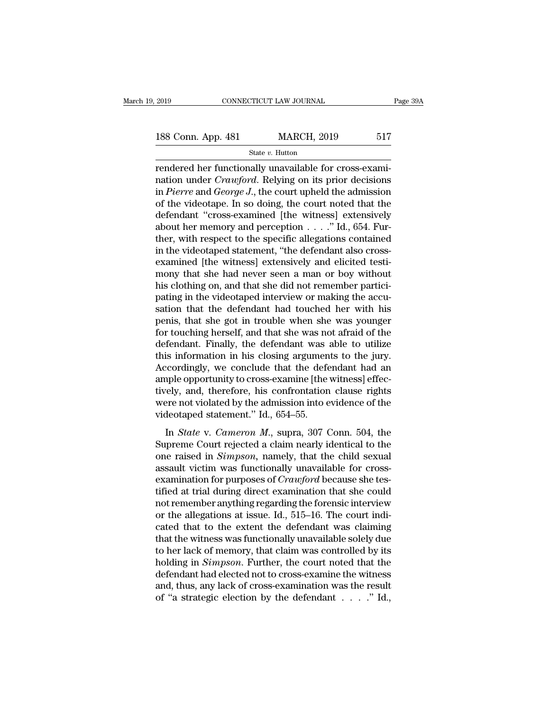2019 CONNECTICUT LAW JOURNAL Page 39A<br>
188 Conn. App. 481 MARCH, 2019 517<br>
State v. Hutton

State *v.* Hutton

FRI 2019<br>
THE CONNECTICUT LAW JOURNAL<br>
TRISS CONN. App. 481 MARCH, 2019 517<br>
State v. Hutton<br>
Transferred her functionally unavailable for cross-exami-<br>
Transferred the functionally unavailable for cross-exami-<br>
The court 188 Conn. App. 481 MARCH, 2019 517<br>
State *v*. Hutton<br>
Fendered her functionally unavailable for cross-examination under *Crawford*. Relying on its prior decisions<br>
in *Pierre* and *George J*., the court upheld the admissi 188 Conn. App. 481 MARCH, 2019 517<br>
State *v*. Hutton<br>
Fendered her functionally unavailable for cross-exami-<br>
mation under *Crawford*. Relying on its prior decisions<br>
in *Pierre* and *George J*., the court upheld the admi 188 Conn. App. 481 MARCH, 2019 517<br>
State v. Hutton<br>
rendered her functionally unavailable for cross-exami-<br>
nation under *Crawford*. Relying on its prior decisions<br>
in *Pierre* and *George J*., the court upheld the admis State v. Hutton<br>
Fendered her functionally unavailable for cross-exami-<br>
nation under *Crawford*. Relying on its prior decisions<br>
in *Pierre* and *George J*., the court upheld the admission<br>
of the videotape. In so doing, state v. Hutton<br>rendered her functionally unavailable for cross-exami-<br>nation under *Crawford*. Relying on its prior decisions<br>in *Pierre* and *George J.*, the court upheld the admission<br>of the videotape. In so doing, the rendered her functionally unavailable for cross-exami-<br>nation under *Crawford*. Relying on its prior decisions<br>in *Pierre* and *George J*., the court upheld the admission<br>of the videotape. In so doing, the court noted tha nation under *Crawford*. Relying on its prior decisions<br>in *Pierre* and *George J*., the court upheld the admission<br>of the videotape. In so doing, the court noted that the<br>defendant "cross-examined [the witness] extensive in *Pierre* and *George J*., the court upheld the admission<br>of the videotape. In so doing, the court noted that the<br>defendant "cross-examined [the witness] extensively<br>about her memory and perception  $\dots$ " Id., 654. Fur-<br> % of the videotape. In so doing, the court noted that the defendant "cross-examined [the witness] extensively about her memory and perception  $\dots$ ." Id., 654. Further, with respect to the specific allegations contained in defendant "cross-examined [the witness] extensively<br>about her memory and perception . . . ." Id., 654. Fur-<br>ther, with respect to the specific allegations contained<br>in the videotaped statement, "the defendant also cross-<br>e about her memory and perception  $\ldots$  ." Id., 654. Further, with respect to the specific allegations contained<br>in the videotaped statement, "the defendant also cross-<br>examined [the witness] extensively and elicited testither, with respect to the specific allegations contained<br>in the videotaped statement, "the defendant also cross-<br>examined [the witness] extensively and elicited testi-<br>mony that she had never seen a man or boy without<br>his in the videotaped statement, "the defendant also cross-<br>examined [the witness] extensively and elicited testi-<br>mony that she had never seen a man or boy without<br>his clothing on, and that she did not remember partici-<br>patin examined [the witness] extensively and elicited testi-<br>mony that she had never seen a man or boy without<br>his clothing on, and that she did not remember partici-<br>pating in the videotaped interview or making the accu-<br>sation mony that she had never seen a man or boy without<br>his clothing on, and that she did not remember partici-<br>pating in the videotaped interview or making the accu-<br>sation that the defendant had touched her with his<br>penis, tha his clothing on, and that she did not remember participating in the videotaped interview or making the accusation that the defendant had touched her with his penis, that she got in trouble when she was younger for touching pating in the videotaped interview or making the accusation that the defendant had touched her with his penis, that she got in trouble when she was younger for touching herself, and that she was not afraid of the defendant sation that the defendant had touched her with his<br>penis, that she got in trouble when she was younger<br>for touching herself, and that she was not afraid of the<br>defendant. Finally, the defendant was able to utilize<br>this inf penis, that she got in trouble when she was younger<br>for touching herself, and that she was not afraid of the<br>defendant. Finally, the defendant was able to utilize<br>this information in his closing arguments to the jury.<br>Acco for touching herself, and that she was not afraid of the<br>defendant. Finally, the defendant was able to utilize<br>this information in his closing arguments to the jury.<br>Accordingly, we conclude that the defendant had an<br>ample defendant. Finally, the defendant was this information in his closing argumen<br>Accordingly, we conclude that the defeample opportunity to cross-examine [the<br>tively, and, therefore, his confrontation<br>were not violated by th In *Stater we* conclude that the defendant had an apple opportunity to cross-examine [the witness] effec-<br>rely, and, therefore, his confrontation clause rights<br>ere not violated by the admission into evidence of the<br>deotape Exercisingly, we conclude that the determinit had the ample opportunity to cross-examine [the witness] effec-<br>tively, and, therefore, his confrontation clause rights<br>were not violated by the admission into evidence of the

dively, and, therefore, his confrontation clause rights<br>were not violated by the admission into evidence of the<br>videotaped statement." Id., 654–55.<br>In *State* v. *Cameron M.*, supra, 307 Conn. 504, the<br>Supreme Court reject avery, and, afterence, the conflormation clause rights<br>were not violated by the admission into evidence of the<br>videotaped statement." Id., 654–55.<br>In *State* v. *Cameron M.*, supra, 307 Conn. 504, the<br>Supreme Court reject videotaped statement." Id., 654–55.<br>In *State* v. *Cameron M.*, supra, 307 Conn. 504, the<br>Supreme Court rejected a claim nearly identical to the<br>one raised in *Simpson*, namely, that the child sexual<br>assault victim was fun In *State* v. *Cameron M.*, supra, 307 Conn. 504, the<br>Supreme Court rejected a claim nearly identical to the<br>one raised in *Simpson*, namely, that the child sexual<br>assault victim was functionally unavailable for cross-<br>ex In *State* v. *Cameron M.*, supra, 307 Conn. 504, the<br>Supreme Court rejected a claim nearly identical to the<br>one raised in *Simpson*, namely, that the child sexual<br>assault victim was functionally unavailable for cross-<br>exa Supreme Court rejected a claim nearly identical to the<br>one raised in *Simpson*, namely, that the child sexual<br>assault victim was functionally unavailable for cross-<br>examination for purposes of *Crawford* because she tes-<br>t one raised in *Simpson*, namely, that the child sexual<br>assault victim was functionally unavailable for cross-<br>examination for purposes of *Crawford* because she tes-<br>tified at trial during direct examination that she coul assault victim was functionally unavailable for cross-<br>examination for purposes of *Crawford* because she tes-<br>tified at trial during direct examination that she could<br>not remember anything regarding the forensic intervie examination for purposes of *Crawford* because she tes-<br>tified at trial during direct examination that she could<br>not remember anything regarding the forensic interview<br>or the allegations at issue. Id., 515–16. The court i tified at trial during direct examination that she could<br>not remember anything regarding the forensic interview<br>or the allegations at issue. Id., 515–16. The court indi-<br>cated that to the extent the defendant was claiming<br> not remember anything regarding the forensic interview<br>or the allegations at issue. Id., 515–16. The court indi-<br>cated that to the extent the defendant was claiming<br>that the witness was functionally unavailable solely due<br> or the allegations at issue. Id., 515–16. The court indicated that to the extent the defendant was claiming that the witness was functionally unavailable solely due to her lack of memory, that claim was controlled by its cated that to the extent the defendant was claiming<br>that the witness was functionally unavailable solely due<br>to her lack of memory, that claim was controlled by its<br>holding in *Simpson*. Further, the court noted that the<br>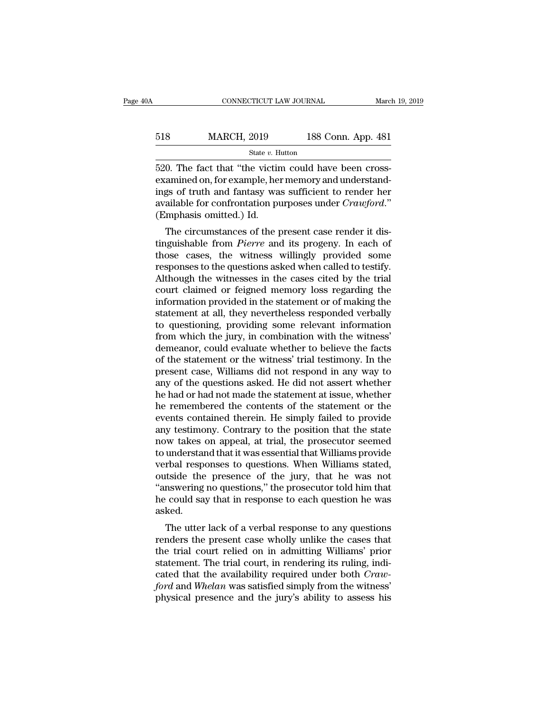# EXECUTE CONNECTICUT LAW JOURNAL March 19, 2019<br>
518 MARCH, 2019 188 Conn. App. 481<br>
518 March 2019 188 Conn. App. 481 State *v.* Hutton

 $\begin{array}{cccc}\n & \text{CONRECTICUT LAW JOURNAL} & \text{ Marc} \\
\hline\n & \text{518} & \text{MARCH, } 2019 & \text{188 Conn. App. 481} \\
\hline\n & \text{State } v. \text{ Hutton} \\
\hline\n\end{array}$ Example 188 Conn. App. 481<br>
Example, 2019<br>
Example, 188 Conn. App. 481<br>
Example, her memory and understand-<br>
Sammed on, for example, her memory and understand-<br>
ings of truth and fantasy was sufficient to render her<br>
examp 518 MARCH, 2019 188 Conn. App. 481<br>
State v. Hutton<br>
520. The fact that "the victim could have been cross-<br>
examined on, for example, her memory and understand-<br>
ings of truth and fantasy was sufficient to render her<br>
ava MARCH, 2019 188 Conn. App. 481<br>
<sup>State v. Hutton</sup><br>
520. The fact that "the victim could have been cross-<br>
examined on, for example, her memory and understand-<br>
ings of truth and fantasy was sufficient to render her<br>
availa  $\begin{array}{c}\n\hline\n\text{State } v. \text{ H} \\
\hline\n\text{520.} \text{ The fact that "the victim example, he} \\
\text{ings of truth and fantasy was available for confrontation put (Emphasis omitted.) Id. \\
\hline\n\text{The circumstances of the p} \\
\hline\n\end{array}$ 0. The fact that "the victim could have been cross-<br>amined on, for example, her memory and understand-<br>gs of truth and fantasy was sufficient to render her<br>ailable for confrontation purposes under  $Crawford$ ."<br>mphasis omitted. 520. The fact that the victini could have been cross-<br>examined on, for example, her memory and understand-<br>ings of truth and fantasy was sufficient to render her<br>available for confrontation purposes under *Crawford*."<br>(Emp

Examined on, for example, the memory and diderstandings of truth and fantasy was sufficient to render her available for confrontation purposes under *Crawford*."<br>(Emphasis omitted.) Id.<br>The circumstances of the present ca responses to the questions as sufficient to tender her<br>available for confrontation purposes under *Crawford.*"<br>(Emphasis omitted.) Id.<br>The circumstances of the present case render it dis-<br>tinguishable from *Pierre* and its Avanable for confrontation purposes under  $Craayona$ .<br>
(Emphasis omitted.) Id.<br>
The circumstances of the present case render it dis-<br>
tinguishable from *Pierre* and its progeny. In each of<br>
those cases, the witnesse willingly The circumstances of the present case render it dis-<br>tinguishable from *Pierre* and its progeny. In each of<br>those cases, the witness willingly provided some<br>responses to the questions asked when called to testify.<br>Althoug The circumstances of the present case render it dis-<br>tinguishable from *Pierre* and its progeny. In each of<br>those cases, the witness willingly provided some<br>responses to the questions asked when called to testify.<br>Although tinguishable from *Pierre* and its progeny. In each of<br>those cases, the witness willingly provided some<br>responses to the questions asked when called to testify.<br>Although the witnesses in the cases cited by the trial<br>court those cases, the witness willingly provided some<br>responses to the questions asked when called to testify.<br>Although the witnesses in the cases cited by the trial<br>court claimed or feigned memory loss regarding the<br>informatio responses to the questions asked when called to testify.<br>Although the witnesses in the cases cited by the trial<br>court claimed or feigned memory loss regarding the<br>information provided in the statement or of making the<br>stat Although the witnesses in the cases cited by the trial<br>court claimed or feigned memory loss regarding the<br>information provided in the statement or of making the<br>statement at all, they nevertheless responded verbally<br>to que court claimed or feigned memory loss regarding the<br>information provided in the statement or of making the<br>statement at all, they nevertheless responded verbally<br>to questioning, providing some relevant information<br>from whic information provided in the statement or of making the<br>statement at all, they nevertheless responded verbally<br>to questioning, providing some relevant information<br>from which the jury, in combination with the witness'<br>demean statement at all, they nevertheless responded verbally<br>to questioning, providing some relevant information<br>from which the jury, in combination with the witness'<br>demeanor, could evaluate whether to believe the facts<br>of the to questioning, providing some relevant information<br>from which the jury, in combination with the witness'<br>demeanor, could evaluate whether to believe the facts<br>of the statement or the witness' trial testimony. In the<br>prese from which the jury, in combination with the witness'<br>demeanor, could evaluate whether to believe the facts<br>of the statement or the witness' trial testimony. In the<br>present case, Williams did not respond in any way to<br>any demeanor, could evaluate whether to believe the facts<br>of the statement or the witness' trial testimony. In the<br>present case, Williams did not respond in any way to<br>any of the questions asked. He did not assert whether<br>he h of the statement or the witness' trial testimony. In the present case, Williams did not respond in any way to any of the questions asked. He did not assert whether he had or had not made the statement at issue, whether he present case, Williams did not respond in any way to<br>any of the questions asked. He did not assert whether<br>he had or had not made the statement at issue, whether<br>he remembered the contents of the statement or the<br>events co any of the questions asked. He did not assert whether<br>he had or had not made the statement at issue, whether<br>he remembered the contents of the statement or the<br>events contained therein. He simply failed to provide<br>any test he had or had not made the statement at issue, whether<br>he remembered the contents of the statement or the<br>events contained therein. He simply failed to provide<br>any testimony. Contrary to the position that the state<br>now tak he remembered the contents of the statement or the events contained therein. He simply failed to provide any testimony. Contrary to the position that the state now takes on appeal, at trial, the prosecutor seemed to unders events contained therein. He simply failed to provide<br>any testimony. Contrary to the position that the state<br>now takes on appeal, at trial, the prosecutor seemed<br>to understand that it was essential that Williams provide<br>ve any testimony. Contrary to the position that the state<br>now takes on appeal, at trial, the prosecutor seemed<br>to understand that it was essential that Williams provide<br>verbal responses to questions. When Williams stated,<br>out asked. malerstand that it was essential that will malins provide<br>rbal responses to questions. When Williams stated,<br>itside the presence of the jury, that he was not<br>inswering no questions," the prosecutor told him that<br>could say render responses to questions. When Williams stated,<br>outside the presence of the jury, that he was not<br>"answering no questions," the prosecutor told him that<br>he could say that in response to each question he was<br>asked.<br>The

outside the presence of the jury, that he was not<br>
"answering no questions," the prosecutor told him that<br>
he could say that in response to each question he was<br>
asked.<br>
The utter lack of a verbal response to any questions Figure 1.1 The trial court and the could say that in response to each question he was asked.<br>The utter lack of a verbal response to any questions renders the present case wholly unlike the cases that the trial court relied re could say that in response to each question he was<br>asked.<br>The utter lack of a verbal response to any questions<br>renders the present case wholly unlike the cases that<br>the trial court relied on in admitting Williams' prior The utter lack of a verbal response to any questions<br>renders the present case wholly unlike the cases that<br>the trial court relied on in admitting Williams' prior<br>statement. The trial court, in rendering its ruling, indi-<br>c The utter lack of a verbal response to any questions<br>renders the present case wholly unlike the cases that<br>the trial court relied on in admitting Williams' prior<br>statement. The trial court, in rendering its ruling, indi-<br>c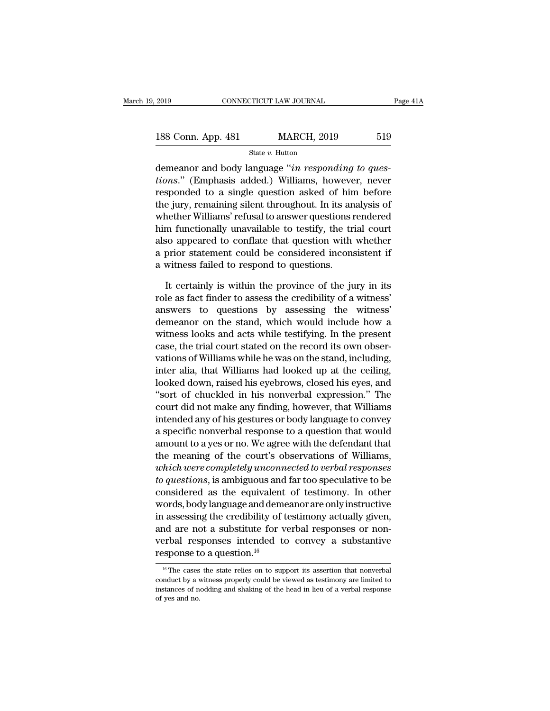| 2019<br>CONNECTICUT LAW JOURNAL |  |                    | Page 41A |  |
|---------------------------------|--|--------------------|----------|--|
| 188 Conn. App. 481              |  | <b>MARCH, 2019</b> | 519      |  |
|                                 |  | State $v$ . Hutton |          |  |

EXECTE 2019 CONNECTICUT LAW JOURNAL<br>
188 Conn. App. 481 MARCH, 2019 519<br>
19 State v. Hutton<br>
demeanor and body language "*in responding to ques-*<br> *tions.*" (Emphasis added.) Williams, however, never<br>
regnonded to a single **188 Conn. App. 481** MARCH, 2019 519<br> **times** State v. Hutton<br> **demeanor and body language** "*in responding to ques-*<br> *tions.*" (Emphasis added.) Williams, however, never<br>
responded to a single question asked of him befor 188 Conn. App. 481 MARCH, 2019 519<br>
State v. Hutton<br>
demeanor and body language "*in responding to ques-*<br> *tions.*" (Emphasis added.) Williams, however, never<br>
responded to a single question asked of him before<br>
the jury 188 Conn. App. 481 MARCH, 2019 519<br>
State v. Hutton<br>
demeanor and body language "*in responding to ques-*<br> *tions.*" (Emphasis added.) Williams, however, never<br>
responded to a single question asked of him before<br>
the jury State v. Hutton<br>demeanor and body language "*in responding to ques-<br>tions.*" (Emphasis added.) Williams, however, never<br>responded to a single question asked of him before<br>the jury, remaining silent throughout. In its anal demeanor and body language "*in responding to ques-<br>tions.*" (Emphasis added.) Williams, however, never<br>responded to a single question asked of him before<br>the jury, remaining silent throughout. In its analysis of<br>whether demeanor and body language "*in responding to ques-*<br>tions." (Emphasis added.) Williams, however, never<br>responded to a single question asked of him before<br>the jury, remaining silent throughout. In its analysis of<br>whether W tions." (Emphasis added.) Williams, however, never<br>responded to a single question asked of him before<br>the jury, remaining silent throughout. In its analysis of<br>whether Williams' refusal to answer questions rendered<br>him fun responded to a single question asked of hin<br>the jury, remaining silent throughout. In its an<br>whether Williams' refusal to answer questions r<br>him functionally unavailable to testify, the tri<br>also appeared to conflate that q It certainly unavailable to testify, the trial court<br>It counts a functionally unavailable to testify, the trial court<br>It compeased to conflate that question with whether<br>prior statement could be considered inconsistent if<br> him functionally unavailable to testify, the trial court<br>also appeared to conflate that question with whether<br>a prior statement could be considered inconsistent if<br>a witness failed to respond to questions.<br>It certainly is

also appeared to conflate that question with whether<br>a prior statement could be considered inconsistent if<br>a witness failed to respond to questions.<br>It certainly is within the province of the jury in its<br>role as fact finde a prior statement could be considered inconsistent if<br>a witness failed to respond to questions.<br>It certainly is within the province of the jury in its<br>role as fact finder to assess the credibility of a witness'<br>answers to a witness failed to respond to questions.<br>
It certainly is within the province of the jury in its<br>
role as fact finder to assess the credibility of a witness'<br>
answers to questions by assessing the witness'<br>
demeanor on th It certainly is within the province of the jury in its<br>role as fact finder to assess the credibility of a witness'<br>answers to questions by assessing the witness'<br>demeanor on the stand, which would include how a<br>witness loo It certainly is within the province of the jury in its<br>role as fact finder to assess the credibility of a witness'<br>answers to questions by assessing the witness'<br>demeanor on the stand, which would include how a<br>witness loo role as fact finder to assess the credibility of a witness'<br>answers to questions by assessing the witness'<br>demeanor on the stand, which would include how a<br>witness looks and acts while testifying. In the present<br>case, the answers to questions by assessing the witness<br>demeanor on the stand, which would include how a<br>witness looks and acts while testifying. In the present<br>case, the trial court stated on the record its own obser-<br>vations of Wi demeanor on the stand, which would include how a<br>
witness looks and acts while testifying. In the present<br>
case, the trial court stated on the record its own obser-<br>
vations of Williams while he was on the stand, including witness looks and acts while testitying. In the present<br>case, the trial court stated on the record its own obser-<br>vations of Williams while he was on the stand, including,<br>inter alia, that Williams had looked up at the cei case, the trial court stated on the record its own observations of Williams while he was on the stand, including,<br>inter alia, that Williams had looked up at the ceiling,<br>looked down, raised his eyebrows, closed his eyes, a vations of Williams while he was on the stand, including,<br>inter alia, that Williams had looked up at the ceiling,<br>looked down, raised his eyebrows, closed his eyes, and<br>"sort of chuckled in his nonverbal expression." The<br>c inter alla, that Williams had looked up at the celling,<br>looked down, raised his eyebrows, closed his eyes, and<br>"sort of chuckled in his nonverbal expression." The<br>court did not make any finding, however, that Williams<br>inte flooked down, raised his eyebrows, closed his eyes, and<br>"sort of chuckled in his nonverbal expression." The<br>court did not make any finding, however, that Williams<br>intended any of his gestures or body language to convey<br>a s "sort of chuckled in his nonverbal expression." The<br>court did not make any finding, however, that Williams<br>intended any of his gestures or body language to convey<br>a specific nonverbal response to a question that would<br>amou court did not make any finding, however, that Williams<br>intended any of his gestures or body language to convey<br>a specific nonverbal response to a question that would<br>amount to a yes or no. We agree with the defendant that<br> intended any of his gestures or body language to convey<br>a specific nonverbal response to a question that would<br>amount to a yes or no. We agree with the defendant that<br>the meaning of the court's observations of Williams,<br>wh a specific nonverbal response to a question that would<br>amount to a yes or no. We agree with the defendant that<br>the meaning of the court's observations of Williams,<br>which were completely unconnected to verbal responses<br>to q amount to a yes or no. We agree with the detendant that<br>the meaning of the court's observations of Williams,<br>*which were completely unconnected to verbal responses*<br>*to questions*, is ambiguous and far too speculative to b the meaning of the court's observations of Williams,<br> *which were completely unconnected to verbal responses*<br> *to questions*, is ambiguous and far too speculative to be<br>
considered as the equivalent of testimony. In other which were completely unconnected to verbal responses<br>to questions, is ambiguous and far too speculative to be<br>considered as the equivalent of testimony. In other<br>words, body language and demeanor are only instructive<br>in *to questions*, is ambiguous and<br>considered as the equivalent<br>words, body language and demet<br>in assessing the credibility of t<br>and are not a substitute for v<br>verbal responses intended to<br>response to a question.<sup>16</sup> in assessing the credibility of testimony actually given,<br>and are not a substitute for verbal responses or non-<br>verbal responses intended to convey a substantive<br>response to a question.<sup>16</sup><br> $\frac{16}{16}$  The cases the state and are not a substitute for verbal responses or non-<br>verbal responses intended to convey a substantive<br>response to a question.<sup>16</sup><br> $\frac{16}{16}$  The cases the state relies on to support its assertion that nonverbal<br>conduct

verbal responses intended to convey a substantive<br>response to a question.<sup>16</sup><br> $\frac{16}{16}$  The cases the state relies on to support its assertion that nonverbal<br>conduct by a witness properly could be viewed as testimony ar **response to a question.**<sup>16</sup><br> $\frac{16}{16}$  The cases the state relies or conduct by a witness properly constances of nodding and shaking of yes and no.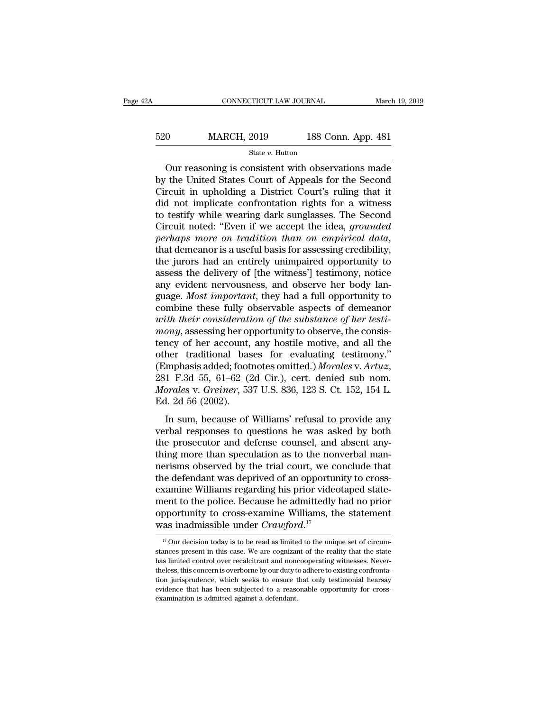# EXECUTE CONNECTICUT LAW JOURNAL March 19, 2019<br>520 MARCH, 2019 188 Conn. App. 481<br>54te v. Hutton State *v.* Hutton

CONNECTICUT LAW JOURNAL March 19, 2019<br>
OURTHER MARCH, 2019 188 Conn. App. 481<br>
State v. Hutton<br>
Our reasoning is consistent with observations made<br>
The United States Court of Appeals for the Second  $\begin{array}{c|c} \text{520} & \text{MARCH, 2019} & \text{188 Conn. App. 481} \\ \hline \text{State } v. \text{ Hutton} \\ \hline \text{Our reasoning is consistent with observations made} \\ \text{by the United States Court of Appeals for the Second} \\ \text{Circuit in upholding a District Court's ruling that it} \\ \text{did not implicate confirmation rights for a witness} \end{array}$ 520 MARCH, 2019 188 Conn. App. 481<br>
State v. Hutton<br>
Our reasoning is consistent with observations made<br>
by the United States Court of Appeals for the Second<br>
Circuit in upholding a District Court's ruling that it<br>
did no 520 MARCH, 2019 188 Conn. App. 481<br>
State v. Hutton<br>
Our reasoning is consistent with observations made<br>
by the United States Court of Appeals for the Second<br>
Circuit in upholding a District Court's ruling that it<br>
did no State v. Hutton<br>
State v. Hutton<br>
Our reasoning is consistent with observations made<br>
by the United States Court of Appeals for the Second<br>
Circuit in upholding a District Court's ruling that it<br>
did not implicate confron State v. Hutton<br>
Our reasoning is consistent with observations made<br>
by the United States Court of Appeals for the Second<br>
Circuit in upholding a District Court's ruling that it<br>
did not implicate confrontation rights for Our reasoning is consistent with observations made<br>by the United States Court of Appeals for the Second<br>Circuit in upholding a District Court's ruling that it<br>did not implicate confrontation rights for a witness<br>to testify Circuit in upholding a District Court's ruling that it<br>did not implicate confrontation rights for a witness<br>to testify while wearing dark sunglasses. The Second<br>Circuit noted: "Even if we accept the idea, *grounded*<br>perhap did not implicate confrontation rights for a witness<br>to testify while wearing dark sunglasses. The Second<br>Circuit noted: "Even if we accept the idea, *grounded*<br>perhaps more on tradition than on empirical data,<br>that demean to testify while wearing dark sunglasses. The Second<br>Circuit noted: "Even if we accept the idea, *grounded*<br>*perhaps more on tradition than on empirical data*,<br>that demeanor is a useful basis for assessing credibility,<br>the Circuit noted: "Even if we accept the idea, *grounded*<br>perhaps more on tradition than on empirical data,<br>that demeanor is a useful basis for assessing credibility,<br>the jurors had an entirely unimpaired opportunity to<br>asses perhaps more on tradition than on empirical data,<br>that demeanor is a useful basis for assessing credibility,<br>the jurors had an entirely unimpaired opportunity to<br>assess the delivery of [the witness'] testimony, notice<br>any that demeanor is a useful basis for assessing credibility,<br>the jurors had an entirely unimpaired opportunity to<br>assess the delivery of [the witness'] testimony, notice<br>any evident nervousness, and observe her body lan-<br>gua the jurors had an entirely unimpaired opportunity to assess the delivery of [the witness'] testimony, notice any evident nervousness, and observe her body language. *Most important*, they had a full opportunity to combine assess the delivery of [the witness'] testimony, notice<br>any evident nervousness, and observe her body language. Most important, they had a full opportunity to<br>combine these fully observable aspects of demeanor<br>with their c any evident nervousness, and observe her body language. *Most important*, they had a full opportunity to combine these fully observable aspects of demeanor *with their consideration of the substance of her testimony*, ass guage. *Most important*, they had a full opportunity to combine these fully observable aspects of demeanor *with their consideration of the substance of her testi-mony*, assessing her opportunity to observe, the consistenc *With their consideration of the substance of her testi-mony, assessing her opportunity to observe, the consistency of her account, any hostile motive, and all the other traditional bases for evaluating testimony." (Emphas* mony, assessing her op<br>tency of her account,<br>other traditional bas<br>(Emphasis added; foot<br>281 F.3d 55, 61–62 (2<br>Morales v. Greiner, 53<br>Ed. 2d 56 (2002).<br>In sum, because of In sum, the metallical bases for evaluating testimony."<br>
In sum, because of Williams' refusal to provide any<br>
In sum, because of Williams' refusal to provide any<br>
The sum, because of Williams' refusal to provide any<br>
The verbal responses to a contaming essentiony.<br>
(Emphasis added; footnotes omitted.) Morales v. Artuz,<br>
281 F.3d 55, 61–62 (2d Cir.), cert. denied sub nom.<br>
Morales v. Greiner, 537 U.S. 836, 123 S. Ct. 152, 154 L.<br>
Ed. 2d 56

(Emphasis added, roombies omitted.) *Hordies* v. *Article*, 281 F.3d 55, 61–62 (2d Cir.), cert. denied sub nom.<br>*Morales v. Greiner*, 537 U.S. 836, 123 S. Ct. 152, 154 L.<br>Ed. 2d 56 (2002).<br>In sum, because of Williams' ref Let 1.5d 55, or 52 (2d en.), een. denied sub hom.<br> *Morales v. Greiner*, 537 U.S. 836, 123 S. Ct. 152, 154 L.<br>
Ed. 2d 56 (2002).<br>
In sum, because of Williams' refusal to provide any<br>
verbal responses to questions he was a normos v. Gremer, 651 0.5. 656, 125 5. 0. 152, 151 1.<br>Ed. 2d 56 (2002).<br>In sum, because of Williams' refusal to provide any<br>verbal responses to questions he was asked by both<br>the prosecutor and defense counsel, and absent In sum, because of Williams' refusal to provide any<br>verbal responses to questions he was asked by both<br>the prosecutor and defense counsel, and absent any-<br>thing more than speculation as to the nonverbal man-<br>nerisms observ In sum, because of Williams' refusal to provide any<br>verbal responses to questions he was asked by both<br>the prosecutor and defense counsel, and absent any-<br>thing more than speculation as to the nonverbal man-<br>nerisms observ verbal responses to questions he was asked by both<br>the prosecutor and defense counsel, and absent any-<br>thing more than speculation as to the nonverbal man-<br>nerisms observed by the trial court, we conclude that<br>the defendan the prosecutor and defense counsel, and absent any-<br>thing more than speculation as to the nonverbal man-<br>nerisms observed by the trial court, we conclude that<br>the defendant was deprived of an opportunity to cross-<br>examine thing more than speculation as to the non<br>nerisms observed by the trial court, we co<br>the defendant was deprived of an opporture<br>examine Williams regarding his prior video<br>ment to the police. Because he admittedly<br>opportuni Examine Williams regarding his prior videotaped statement to the police. Because he admittedly had no prior opportunity to cross-examine Williams, the statement as inadmissible under  $Crawford.<sup>17</sup>$ <br>as inadmissible under  $C$ ment to the police. Because he admittedly had no prior<br>opportunity to cross-examine Williams, the statement<br>was inadmissible under  $Crawford$ .<sup>17</sup><br> $\frac{17}{17}$  Our decision today is to be read as limited to the unique set of ci

opportunity to cross-examine Williams, the statement<br>was inadmissible under  $Crawford$ .<sup>17</sup><br> $\frac{17}{17}$  Our decision today is to be read as limited to the unique set of circum-<br>stances present in this case. We are cognizant of **Example 18 Theless** concerned when  $Crawford.<sup>17</sup>$ <br>The concerned was inadmissible under  $Crawford.<sup>17</sup>$ <br> $\frac{17}{17}$  Our decision today is to be read as limited to the unique set of circumstances present in this case. We are was inauffusible under  $C \cap U \cup \cap U$ .<br>
<sup>17</sup> Our decision today is to be read as limited to the unique set of circum-<br>
stances present in this case. We are cognizant of the reality that the state<br>
thas limited control over r  $^{17}$  Our decision today is to be read as limited to the unique set of circumstances present in this case. We are cognizant of the reality that the state has limited control over recalcitrant and noncooperating witnesses stances present in this case. We are cognizant of the reality that the state has limited control over recalcitrant and noncooperating witnesses. Nevertheless, this concern is overborne by our duty to adhere to existing co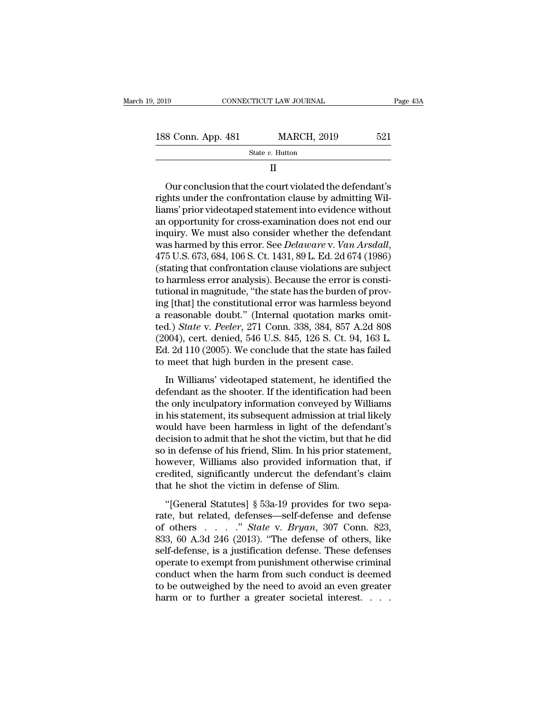State *v.* Hutton

### II

 $\begin{array}{r} \text{8 Conn. App. 481} \text{ {}} \text{ 521} \text{ \textit{State } }v \text{. Hutton} \text{ {\textit{I}} } \text{ 521} \end{array}$ <br>  $\begin{array}{r} \text{ 1} \text{ 1} \text{ 1} \end{array}$ <br>
Our conclusion that the court violated the defendant's shts under the confrontation clause by admitting Willi 188 Conn. App. 481 MARCH, 2019 521<br>
State v. Hutton<br>
II<br>
Our conclusion that the court violated the defendant's<br>
rights under the confrontation clause by admitting Wil-<br>
liams' prior videotaped statement into evidence with 188 Conn. App. 481 MARCH, 2019 521<br>
State v. Hutton<br>
II<br>
Our conclusion that the court violated the defendant's<br>
rights under the confrontation clause by admitting Wil-<br>
liams' prior videotaped statement into evidence wit State  $v$ . Hutton<br>
II<br>
Our conclusion that the court violated the defendant's<br>
rights under the confrontation clause by admitting Wil-<br>
liams' prior videotaped statement into evidence without<br>
an opportunity for cross-exa II<br>
Our conclusion that the court violated the defendant's<br>
rights under the confrontation clause by admitting Wil-<br>
liams' prior videotaped statement into evidence without<br>
an opportunity for cross-examination does not en Fights under the confrontation clause by admitting Williams' prior videotaped statement into evidence without an opportunity for cross-examination does not end our inquiry. We must also consider whether the defendant was h rights under the confrontation clause by admitting Will-<br>liams' prior videotaped statement into evidence without<br>an opportunity for cross-examination does not end our<br>inquiry. We must also consider whether the defendant<br>wa liams' prior videotaped statement into evidence without<br>an opportunity for cross-examination does not end our<br>inquiry. We must also consider whether the defendant<br>was harmed by this error. See *Delaware* v. *Van Arsdall*,<br> an opportunity for cross-examination does not end our<br>inquiry. We must also consider whether the defendant<br>was harmed by this error. See *Delaware* v. Van Arsdall,<br>475 U.S. 673, 684, 106 S. Ct. 1431, 89 L. Ed. 2d 674 (1986 inquiry. We must also consider whether the defendant<br>was harmed by this error. See *Delaware* v. *Van Arsdall*,<br>475 U.S. 673, 684, 106 S. Ct. 1431, 89 L. Ed. 2d 674 (1986)<br>(stating that confrontation clause violations are was harmed by this error. See *Delaware* v. *Van Arsdall*, 475 U.S. 673, 684, 106 S. Ct. 1431, 89 L. Ed. 2d 674 (1986) (stating that confrontation clause violations are subject to harmless error analysis). Because the err 475 U.S. 673, 684, 106 S. Ct. 1431, 89 L. Ed. 2d 674 (1986)<br>(stating that confrontation clause violations are subject<br>to harmless error analysis). Because the error is consti-<br>tutional in magnitude, "the state has the burd (stating that confrontation clause violations are subject<br>to harmless error analysis). Because the error is consti-<br>tutional in magnitude, "the state has the burden of prov-<br>ing [that] the constitutional error was harmless to harmless error analysis). Because the error is constitutional in magnitude, "the state has the burden of proving [that] the constitutional error was harmless beyond a reasonable doubt." (Internal quotation marks omitted tutional in magnitude, "the state has the burden of proving [that] the constitutional error was harmless beyond a reasonable doubt." (Internal quotation marks omitted.) *State v. Peeler*, 271 Conn. 338, 384, 857 A.2d 808 reasonable doubt." (Internal quotation marks omit-<br>d.) *State* v. *Peeler*, 271 Conn. 338, 384, 857 A.2d 808<br>004), cert. denied, 546 U.S. 845, 126 S. Ct. 94, 163 L.<br>d. 2d 110 (2005). We conclude that the state has failed<br> defendant as the shooter. The shooted as a set of the shooted.) State v. Peeler, 271 Conn. 338, 384, 857 A.2d 808 (2004), cert. denied, 546 U.S. 845, 126 S. Ct. 94, 163 L.<br>Ed. 2d 110 (2005). We conclude that the state has

(2004), cert. denied, 546 U.S. 845, 126 S. Ct. 94, 163 L.<br>Ed. 2d 110 (2005). We conclude that the state has failed<br>to meet that high burden in the present case.<br>In Williams' videotaped statement, he identified the<br>defenda (2007), een: achiea, 910 0.1. 010, 120 0. 01. 01, 130 2.<br>Ed. 2d 110 (2005). We conclude that the state has failed<br>to meet that high burden in the present case.<br>In Williams' videotaped statement, he identified the<br>defendan Ed. 2d 110 (2000). We conclude that the state has failed<br>to meet that high burden in the present case.<br>In Williams' videotaped statement, he identified the<br>defendant as the shooter. If the identification had been<br>the only In Williams' videotaped statement, he identified the<br>defendant as the shooter. If the identification had been<br>the only inculpatory information conveyed by Williams<br>in his statement, its subsequent admission at trial likely In Williams' videotaped statement, he identified the<br>defendant as the shooter. If the identification had been<br>the only inculpatory information conveyed by Williams<br>in his statement, its subsequent admission at trial likely defendant as the shooter. If the identification had been<br>the only inculpatory information conveyed by Williams<br>in his statement, its subsequent admission at trial likely<br>would have been harmless in light of the defendant's the only inculpatory information conveyed by Williams<br>in his statement, its subsequent admission at trial likely<br>would have been harmless in light of the defendant's<br>decision to admit that he shot the victim, but that he d in his statement, its subsequent admission at tria<br>would have been harmless in light of the defer<br>decision to admit that he shot the victim, but that<br>so in defense of his friend, Slim. In his prior stat<br>however, Williams a cision to admit that he shot the victim, but that he did<br>
in defense of his friend, Slim. In his prior statement,<br>
wever, Williams also provided information that, if<br>
edited, significantly undercut the defendant's claim<br> so in defense of his friend, Slim. In his prior statement,<br>so in defense of his friend, Slim. In his prior statement,<br>however, Williams also provided information that, if<br>credited, significantly undercut the defendant's c

of a determine of this friend, similar in this prior statement,<br>however, Williams also provided information that, if<br>credited, significantly undercut the defendant's claim<br>that he shot the victim in defense of Slim.<br>"[Gene for ever, which is disc provided incrinded. Then, if<br>credited, significantly undercut the defendant's claim<br>that he shot the victim in defense of Slim.<br>"[General Statutes] § 53a-19 provides for two sepa-<br>rate, but related that he shot the victim in defense of Slim.<br>
"[General Statutes]  $\S$  53a-19 provides for two separate, but related, defenses—self-defense and defense<br>
of others . . . . " State v. Bryan, 307 Conn. 823,<br>
833, 60 A.3d 246 ( "[General Statutes] § 53a-19 provides for two separate, but related, defenses—self-defense and defense of others  $\ldots$  " State v. Bryan, 307 Conn. 823, 833, 60 A.3d 246 (2013). "The defense of others, like self-defense, i "[General Statutes] § 53a-19 provides for two separate, but related, defenses—self-defense and defense<br>of others  $\ldots$   $\ldots$  " *State* v. *Bryan*, 307 Conn. 823,<br>833, 60 A.3d 246 (2013). "The defense of others, like<br>selfrate, but related, defenses—self-defense and defense<br>of others . . . . " *State* v. *Bryan*, 307 Conn. 823,<br>833, 60 A.3d 246 (2013). "The defense of others, like<br>self-defense, is a justification defense. These defenses<br>op of others  $\ldots$   $\ldots$  *State* v. *Bryan*, 307 Conn. 823, 833, 60 A.3d 246 (2013). "The defense of others, like self-defense, is a justification defense. These defenses operate to exempt from punishment otherwise criminal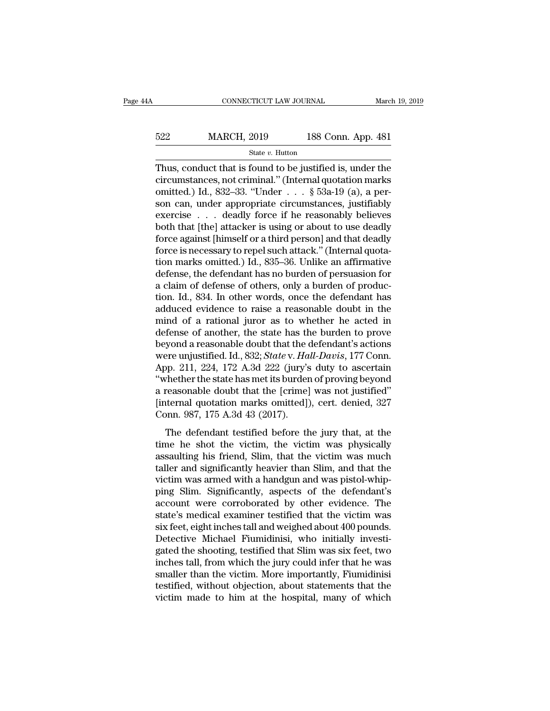# EXECUTE CONNECTICUT LAW JOURNAL March 19, 2019<br>522 MARCH, 2019 188 Conn. App. 481<br>524 State v. Hutton State *v.* Hutton

CONNECTICUT LAW JOURNAL March 19, 2019<br>  $\begin{array}{r}\n 522 \text{ MARCH, } 2019 \\
 \hline\n 524 \text{ State } v. \text{ Hutton} \\
 \hline\n \end{array}$ <br>
Thus, conduct that is found to be justified is, under the circumstances, not criminal." (Internal quotation marks omitted 522 MARCH, 2019 188 Conn. App. 481<br>
State v. Hutton<br>
Thus, conduct that is found to be justified is, under the<br>
circumstances, not criminal.'' (Internal quotation marks<br>
omitted.) Id., 832–33. "Under . . . § 53a-19 (a), a 522 MARCH, 2019 188 Conn. App. 481<br>
State v. Hutton<br>
Thus, conduct that is found to be justified is, under the<br>
circumstances, not criminal." (Internal quotation marks<br>
omitted.) Id., 832–33. "Under . . . § 53a-19 (a), a 522 MARCH, 2019 188 Conn. App. 481<br>
State v. Hutton<br>
Thus, conduct that is found to be justified is, under the<br>
circumstances, not criminal." (Internal quotation marks<br>
omitted.) Id., 832–33. "Under . . . § 53a-19 (a), a State v. Hutton<br>
Thus, conduct that is found to be justified is, under the<br>
circumstances, not criminal." (Internal quotation marks<br>
omitted.) Id., 832–33. "Under . . . § 53a-19 (a), a per-<br>
son can, under appropriate cir state v. Hutton<br>Thus, conduct that is found to be justified is, under the<br>circumstances, not criminal." (Internal quotation marks<br>omitted.) Id., 832–33. "Under  $\dots$  § 53a-19 (a), a per-<br>son can, under appropriate circumst Thus, conduct that is found to be justified is, under the circumstances, not criminal." (Internal quotation marks omitted.) Id., 832–33. "Under  $\ldots$  § 53a-19 (a), a person can, under appropriate circumstances, justifiabl circumstances, not criminal." (Internal quotation marks<br>omitted.) Id., 832–33. "Under  $\ldots$ , § 53a-19 (a), a per-<br>son can, under appropriate circumstances, justifiably<br>exercise  $\ldots$  deadly force if he reasonably believes omitted.) Id., 832–33. "Under . . . § 53a-19 (a), a person can, under appropriate circumstances, justifiably<br>exercise . . . deadly force if he reasonably believes<br>both that [the] attacker is using or about to use deadly<br>f son can, under appropriate circumstances, justifiably<br>exercise  $\ldots$  deadly force if he reasonably believes<br>both that [the] attacker is using or about to use deadly<br>force against [himself or a third person] and that deadl exercise . . . . deadly force if he reasonably believes<br>both that [the] attacker is using or about to use deadly<br>force against [himself or a third person] and that deadly<br>force is necessary to repel such attack." (Internal both that [the] attacker is using or about to use deadly<br>force against [himself or a third person] and that deadly<br>force is necessary to repel such attack." (Internal quota-<br>tion marks omitted.) Id., 835–36. Unlike an affi force against [himself or a third person] and that deadly<br>force is necessary to repel such attack." (Internal quota-<br>tion marks omitted.) Id., 835–36. Unlike an affirmative<br>defense, the defendant has no burden of persuasio force is necessary to repel such attack." (Internal quotation marks omitted.) Id., 835–36. Unlike an affirmative defense, the defendant has no burden of persuasion for a claim of defense of others, only a burden of product tion marks omitted.) Id., 835–36. Unlike an affirmative<br>defense, the defendant has no burden of persuasion for<br>a claim of defense of others, only a burden of produc-<br>tion. Id., 834. In other words, once the defendant has<br> defense, the defendant has no burden of persuasion for<br>a claim of defense of others, only a burden of produc-<br>tion. Id., 834. In other words, once the defendant has<br>adduced evidence to raise a reasonable doubt in the<br>mind a claim of defense of others, only a burden of production. Id., 834. In other words, once the defendant has adduced evidence to raise a reasonable doubt in the mind of a rational juror as to whether he acted in defense of tion. Id., 834. In other words, once the defendant has<br>adduced evidence to raise a reasonable doubt in the<br>mind of a rational juror as to whether he acted in<br>defense of another, the state has the burden to prove<br>beyond a r adduced evidence to raise a reasonable doubt in the<br>
mind of a rational juror as to whether he acted in<br>
defense of another, the state has the burden to prove<br>
beyond a reasonable doubt that the defendant's actions<br>
were u mind of a rational juror as to whether he acted in<br>defense of another, the state has the burden to prove<br>beyond a reasonable doubt that the defendant's actions<br>were unjustified. Id., 832; *State* v. *Hall-Davis*, 177 Conn defense of another, the state has the burden to prove<br>beyond a reasonable doubt that the defendant's actions<br>were unjustified. Id., 832; *State* v. Hall-Davis, 177 Conn.<br>App. 211, 224, 172 A.3d 222 (jury's duty to ascertai beyond a reasonable doubt that the c<br>were unjustified. Id., 832; *State* v. Ha<br>App. 211, 224, 172 A.3d 222 (jury's<br>"whether the state has met its burder<br>a reasonable doubt that the [crime]<br>[internal quotation marks omitted The digital testified testified before the jury that, at the same here showed that the increasional testified.<br>The show that the increasional testified.<br>The defendant testified before the jury that, at the ne he shot the v tipp. 211, 224, 112 1130 222 (jdr) 5 day to assertant<br>
"whether the state has met its burden of proving beyond<br>
a reasonable doubt that the [crime] was not justified"<br>
[internal quotation marks omitted]), cert. denied, 32

a reasonable doubt that the [crime] was not justified"<br>[internal quotation marks omitted]), cert. denied, 327<br>Conn. 987, 175 A.3d 43 (2017).<br>The defendant testified before the jury that, at the<br>time he shot the victim, the internal quotation marks omitted]), cert. denied, 327<br>Conn. 987, 175 A.3d 43 (2017).<br>The defendant testified before the jury that, at the<br>time he shot the victim, the victim was physically<br>assaulting his friend, Slim, that From 1987, 175 A.3d 43 (2017).<br>
The defendant testified before the jury that, at the<br>
time he shot the victim, the victim was physically<br>
assaulting his friend, Slim, that the victim was much<br>
taller and significantly heav The defendant testified before the jury that, at the<br>time he shot the victim, the victim was physically<br>assaulting his friend, Slim, that the victim was much<br>taller and significantly heavier than Slim, and that the<br>victim The defendant testified before the jury that, at the<br>time he shot the victim, the victim was physically<br>assaulting his friend, Slim, that the victim was much<br>taller and significantly heavier than Slim, and that the<br>victim time he shot the victim, the victim was physically<br>assaulting his friend, Slim, that the victim was much<br>taller and significantly heavier than Slim, and that the<br>victim was armed with a handgun and was pistol-whip-<br>ping Sl assaulting his friend, Slim, that the victim was much taller and significantly heavier than Slim, and that the victim was armed with a handgun and was pistol-whipping Slim. Significantly, aspects of the defendant's account taller and significantly heavier than Slim, and that the victim was armed with a handgun and was pistol-whipping Slim. Significantly, aspects of the defendant's account were corroborated by other evidence. The state's medi victim was armed with a handgun and was pistol-whip-<br>ping Slim. Significantly, aspects of the defendant's<br>account were corroborated by other evidence. The<br>state's medical examiner testified that the victim was<br>six feet, ei ping Slim. Significantly, aspects of the defendant's<br>account were corroborated by other evidence. The<br>state's medical examiner testified that the victim was<br>six feet, eight inches tall and weighed about 400 pounds.<br>Detecti account were corroborated by other evidence. The<br>state's medical examiner testified that the victim was<br>six feet, eight inches tall and weighed about 400 pounds.<br>Detective Michael Fiumidinisi, who initially investi-<br>gated state's medical examiner testified that the victim was<br>six feet, eight inches tall and weighed about 400 pounds.<br>Detective Michael Fiumidinisi, who initially investi-<br>gated the shooting, testified that Slim was six feet, t six feet, eight inches tall and weighed about 400 pounds.<br>Detective Michael Fiumidinisi, who initially investigated the shooting, testified that Slim was six feet, two<br>inches tall, from which the jury could infer that he w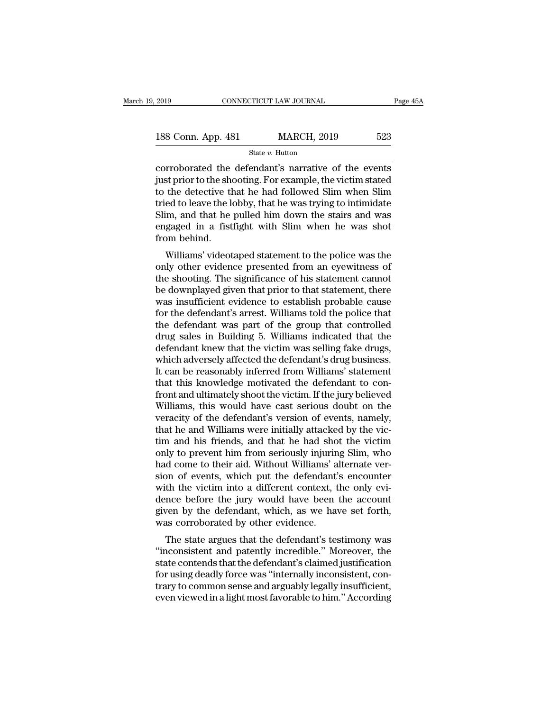| 2019               |  | CONNECTICUT LAW JOURNAL | Page 45A |  |
|--------------------|--|-------------------------|----------|--|
| 188 Conn. App. 481 |  | <b>MARCH, 2019</b>      | 523      |  |
| State $v$ . Hutton |  |                         |          |  |

2019 CONNECTICUT LAW JOURNAL Page 45A<br>
188 Conn. App. 481 MARCH, 2019 523<br>
State v. Hutton<br>
corroborated the defendant's narrative of the events<br>
just prior to the shooting. For example, the victim stated<br>
to the detectiv 188 Conn. App. 481 MARCH, 2019 523<br>
State v. Hutton<br>
corroborated the defendant's narrative of the events<br>
just prior to the shooting. For example, the victim stated<br>
to the detective that he had followed Slim when Slim<br> 188 Conn. App. 481 MARCH, 2019 523<br>
State v. Hutton<br>
corroborated the defendant's narrative of the events<br>
just prior to the shooting. For example, the victim stated<br>
to the detective that he had followed Slim when Slim<br> 188 Conn. App. 481 MARCH, 2019 523<br>
State v. Hutton<br>
corroborated the defendant's narrative of the events<br>
just prior to the shooting. For example, the victim stated<br>
to the detective that he had followed Slim when Slim<br> Slim,  $\frac{1}{2}$  and  $\frac{1}{2}$  and  $\frac{1}{2}$  and  $\frac{1}{2}$  and  $\frac{1}{2}$  and  $\frac{1}{2}$  are corroborated the defendant's narrative of the events just prior to the shooting. For example, the victim stated to the detective th state  $v$ . Hutton<br>corroborated the defendant's narrative of the events<br>just prior to the shooting. For example, the victim stated<br>to the detective that he had followed Slim when Slim<br>tried to leave the lobby, that he was corroborated the<br>just prior to the she<br>to the detective th<br>tried to leave the le<br>Slim, and that he<br>engaged in a fist<br>from behind.<br>Williams' videot Supflorm to the shooting. For example, the victim stated<br>the detective that he had followed Slim when Slim<br>ed to leave the lobby, that he was trying to intimidate<br>im, and that he pulled him down the stairs and was<br>gaged in tried to leave the lobby, that he was trying to intimidate<br>Slim, and that he pulled him down the stairs and was<br>engaged in a fistfight with Slim when he was shot<br>from behind.<br>Williams' videotaped statement to the police wa

the shooting. That he pulled him down the stairs and was engaged in a fistfight with Slim when he was shot from behind.<br>Williams' videotaped statement to the police was the only other evidence presented from an eyewitness be downplayed in a fistfight with Slim when he was shot<br>from behind.<br>Williams' videotaped statement to the police was the<br>only other evidence presented from an eyewitness of<br>the shooting. The significance of his statement engaged in a instignt with simit when he was shot<br>from behind.<br>Williams' videotaped statement to the police was the<br>only other evidence presented from an eyewitness of<br>the shooting. The significance of his statement cannot Williams' videotaped statement to the police was the<br>only other evidence presented from an eyewitness of<br>the shooting. The significance of his statement cannot<br>be downplayed given that prior to that statement, there<br>was in Williams' videotaped statement to the police was the<br>only other evidence presented from an eyewitness of<br>the shooting. The significance of his statement cannot<br>be downplayed given that prior to that statement, there<br>was in only other evidence presented from an eyewitness of<br>the shooting. The significance of his statement cannot<br>be downplayed given that prior to that statement, there<br>was insufficient evidence to establish probable cause<br>for t the shooting. The significance of his statement cannot<br>be downplayed given that prior to that statement, there<br>was insufficient evidence to establish probable cause<br>for the defendant's arrest. Williams told the police that be downplayed given that prior to that statement, there was insufficient evidence to establish probable cause<br>for the defendant's arrest. Williams told the police that<br>the defendant was part of the group that controlled<br>dr was insufficient evidence to establish probable cause<br>for the defendant's arrest. Williams told the police that<br>the defendant was part of the group that controlled<br>drug sales in Building 5. Williams indicated that the<br>defe for the defendant's arrest. Williams told the police that<br>the defendant was part of the group that controlled<br>drug sales in Building 5. Williams indicated that the<br>defendant knew that the victim was selling fake drugs,<br>whi the defendant was part of the group that controlled<br>drug sales in Building 5. Williams indicated that the<br>defendant knew that the victim was selling fake drugs,<br>which adversely affected the defendant's drug business.<br>It ca drug sales in Building 5. Williams indicated that the<br>defendant knew that the victim was selling fake drugs,<br>which adversely affected the defendant's drug business.<br>It can be reasonably inferred from Williams' statement<br>th defendant knew that the victim was selling fake drugs,<br>which adversely affected the defendant's drug business.<br>It can be reasonably inferred from Williams' statement<br>that this knowledge motivated the defendant to con-<br>fron which adversely affected the defendant's drug business.<br>It can be reasonably inferred from Williams' statement<br>that this knowledge motivated the defendant to con-<br>front and ultimately shoot the victim. If the jury believed It can be reasonably inferred from Williams' statement<br>that this knowledge motivated the defendant to con-<br>front and ultimately shoot the victim. If the jury believed<br>Williams, this would have cast serious doubt on the<br>ver that this knowledge motivated the defendant to confront and ultimately shoot the victim. If the jury believed<br>Williams, this would have cast serious doubt on the<br>veracity of the defendant's version of events, namely,<br>that front and ultimately shoot the victim. If the jury believed<br>Williams, this would have cast serious doubt on the<br>veracity of the defendant's version of events, namely,<br>that he and Williams were initially attacked by the vic Williams, this would have cast serious doubt on the veracity of the defendant's version of events, namely, that he and Williams were initially attacked by the victim and his friends, and that he had shot the victim only to veracity of the defendant's version of events, namely,<br>that he and Williams were initially attacked by the vic-<br>tim and his friends, and that he had shot the victim<br>only to prevent him from seriously injuring Slim, who<br>had that he and Williams were initially attacked by the victim<br>tim and his friends, and that he had shot the victim<br>only to prevent him from seriously injuring Slim, who<br>had come to their aid. Without Williams' alternate ver-<br> tim and his friends, and that he had shot the victim<br>only to prevent him from seriously injuring Slim, who<br>had come to their aid. Without Williams' alternate ver-<br>sion of events, which put the defendant's encounter<br>with th only to prevent him from seriously injurin<br>had come to their aid. Without Williams' a<br>sion of events, which put the defendant'<br>with the victim into a different context, t<br>dence before the jury would have been<br>given by the In order to their and. Whilout Williams and the ver-<br>on of events, which put the defendant's encounter<br>th the victim into a different context, the only evi-<br>nce before the jury would have been the account<br>ven by the defend sion of events, which put the defendant's encounter<br>
with the victim into a different context, the only evi-<br>
dence before the jury would have been the account<br>
given by the defendant, which, as we have set forth,<br>
was cor

with the victim into a different context, the only evidence before the jury would have been the account<br>given by the defendant, which, as we have set forth,<br>was corroborated by other evidence.<br>The state argues that the def dence before the jury would have been the account<br>given by the defendant, which, as we have set forth,<br>was corroborated by other evidence.<br>The state argues that the defendant's testimony was<br>"inconsistent and patently incr given by the defendant, which, as we have set forth,<br>was corroborated by other evidence.<br>The state argues that the defendant's testimony was<br>"inconsistent and patently incredible." Moreover, the<br>state contends that the def was corroborated by other evidence.<br>The state argues that the defendant's testimony was<br>"inconsistent and patently incredible." Moreover, the<br>state contends that the defendant's claimed justification<br>for using deadly force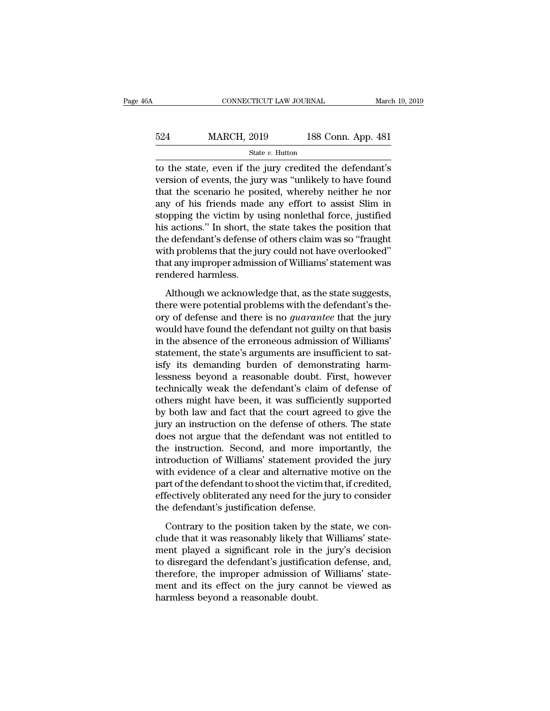# EXECUTE CONNECTICUT LAW JOURNAL March 19, 2019<br>524 MARCH, 2019 188 Conn. App. 481<br>524 MARCH, 2019 188 Conn. App. 481 State *v.* Hutton

CONNECTICUT LAW JOURNAL March 19, 2019<br>  $\begin{array}{r}\n 524 \text{ MARCH, } 2019 \\
 \hline\n 524 \text{ MarkCH, } 2019 \\
 \hline\n 524 \text{ State } v. \text{ Hutton} \\
 \hline\n 524 \text{ State } v. \text{ Hutton} \\
 \hline\n 524 \text{ State } v. \text{ Hutton} \\
 \hline\n 524 \text{ State } v. \text{ Hutton} \\
 \hline\n 524 \text{ State } v. \text{ Hutton} \\
 \hline\n 524 \text{ State } v. \text{$ 524 MARCH, 2019 188 Conn. App. 481<br>
state v. Hutton<br>
to the state, even if the jury credited the defendant's<br>
version of events, the jury was "unlikely to have found<br>
that the scenario he posited, whereby neither he nor<br> 524 MARCH, 2019 188 Conn. App. 481<br>
state v. Hutton<br>
to the state, even if the jury credited the defendant's<br>
version of events, the jury was "unlikely to have found<br>
that the scenario he posited, whereby neither he nor<br>  $\frac{\text{524}}{\text{524}}$  MARCH, 2019 188 Conn. App. 481<br>
state *v*. Hutton<br>
to the state, even if the jury credited the defendant's<br>
version of events, the jury was "unlikely to have found<br>
that the scenario he posited, whereby State v. Hutton<br>to the state, even if the jury credited the defendant's<br>version of events, the jury was "unlikely to have found<br>that the scenario he posited, whereby neither he nor<br>any of his friends made any effort to as state  $v$ . Hutton<br>
to the state, even if the jury credited the defendant's<br>
version of events, the jury was "unlikely to have found<br>
that the scenario he posited, whereby neither he nor<br>
any of his friends made any effort to the state, even if the jury credited the defendant's<br>version of events, the jury was "unlikely to have found<br>that the scenario he posited, whereby neither he nor<br>any of his friends made any effort to assist Slim in<br>stop version of events, the jury was "unlikely to have found<br>that the scenario he posited, whereby neither he nor<br>any of his friends made any effort to assist Slim in<br>stopping the victim by using nonlethal force, justified<br>his that the scenario he posited, whereby neither he nor<br>any of his friends made any effort to assist Slim in<br>stopping the victim by using nonlethal force, justified<br>his actions." In short, the state takes the position that<br>th any of his friends made<br>stopping the victim by u<br>his actions." In short, th<br>the defendant's defense e<br>with problems that the ju<br>that any improper admiss<br>rendered harmless.<br>Although we acknowle France are in short, the state takes the position that<br>a defendant's defense of others claim was so "fraught<br>th problems that the jury could not have overlooked"<br>at any improper admission of Williams' statement was<br>mdered the defendant's defense of others claim was so "fraught<br>with problems that the jury could not have overlooked"<br>that any improper admission of Williams' statement was<br>rendered harmless.<br>Although we acknowledge that, as the

or a problems that the jury could not have overlooked"<br>that any improper admission of Williams' statement was<br>rendered harmless.<br>Although we acknowledge that, as the state suggests,<br>there were potential problems with the d that any improper admission of Williams' statement was<br>rendered harmless.<br>Although we acknowledge that, as the state suggests,<br>there were potential problems with the defendant's the-<br>ory of defense and there is no *guarant* rendered harmless.<br>
Although we acknowledge that, as the state suggests,<br>
there were potential problems with the defendant's the-<br>
ory of defense and there is no *guarantee* that the jury<br>
would have found the defendant no Although we acknowledge that, as the state suggests,<br>there were potential problems with the defendant's the-<br>ory of defense and there is no *guarantee* that the jury<br>would have found the defendant not guilty on that basis<br> Although we acknowledge that, as the state suggests,<br>there were potential problems with the defendant's the-<br>ory of defense and there is no *guarantee* that the jury<br>would have found the defendant not guilty on that basis<br> there were potential problems with the defendant's theory of defense and there is no *guarantee* that the jury would have found the defendant not guilty on that basis in the absence of the erroneous admission of Williams' ory of defense and there is no *guarantee* that the jury<br>would have found the defendant not guilty on that basis<br>in the absence of the erroneous admission of Williams'<br>statement, the state's arguments are insufficient to s would have found the defendant not guilty on that basis<br>in the absence of the erroneous admission of Williams'<br>statement, the state's arguments are insufficient to sat-<br>isfy its demanding burden of demonstrating harm-<br>less in the absence of the erroneous admission of Williams'<br>statement, the state's arguments are insufficient to sat-<br>isfy its demanding burden of demonstrating harm-<br>lessness beyond a reasonable doubt. First, however<br>technical statement, the state's arguments are insufficient to satisfy its demanding burden of demonstrating harm-<br>lessness beyond a reasonable doubt. First, however<br>technically weak the defendant's claim of defense of<br>others might isfy its demanding burden of demonstrating harm-<br>lessness beyond a reasonable doubt. First, however<br>technically weak the defendant's claim of defense of<br>others might have been, it was sufficiently supported<br>by both law and lessness beyond a reasonable doubt. First, however<br>technically weak the defendant's claim of defense of<br>others might have been, it was sufficiently supported<br>by both law and fact that the court agreed to give the<br>jury an i technically weak the defendant's claim of defense of<br>others might have been, it was sufficiently supported<br>by both law and fact that the court agreed to give the<br>jury an instruction on the defense of others. The state<br>does others might have been, it was sufficiently supported<br>by both law and fact that the court agreed to give the<br>jury an instruction on the defense of others. The state<br>does not argue that the defendant was not entitled to<br>the by both law and fact that the court agreed to give the<br>jury an instruction on the defense of others. The state<br>does not argue that the defendant was not entitled to<br>the instruction. Second, and more importantly, the<br>introd jury an instruction on the defense of others. The state<br>does not argue that the defendant was not entitled to<br>the instruction. Second, and more importantly, the<br>introduction of Williams' statement provided the jury<br>with ev does not argue that the defendant was not<br>the instruction. Second, and more impo<br>introduction of Williams' statement provi<br>with evidence of a clear and alternative m<br>part of the defendant to shoot the victim tha<br>effectivel troduction of Williams' statement provided the jury<br>th evidence of a clear and alternative motive on the<br>art of the defendant to shoot the victim that, if credited,<br>fectively obliterated any need for the jury to consider<br>e with evidence of a clear and alternative motive on the<br>part of the defendant to shoot the victim that, if credited,<br>effectively obliterated any need for the jury to consider<br>the defendant's justification defense.<br>Contrary

part of the defendant to shoot the victim that, if credited,<br>effectively obliterated any need for the jury to consider<br>the defendant's justification defense.<br>Contrary to the position taken by the state, we con-<br>clude that effectively obliterated any need for the jury to consider<br>the defendant's justification defense.<br>Contrary to the position taken by the state, we con-<br>clude that it was reasonably likely that Williams' state-<br>ment played a the defendant's justification defense.<br>Contrary to the position taken by the state, we conclude that it was reasonably likely that Williams' state-<br>ment played a significant role in the jury's decision<br>to disregard the def Contrary to the position taken by the state, we conclude that it was reasonably likely that Williams' statement played a significant role in the jury's decision to disregard the defendant's justification defense, and, ther Contrary to the position taken by the clude that it was reasonably likely that<br>ment played a significant role in the to disregard the defendant's justificat<br>therefore, the improper admission of<br>ment and its effect on the j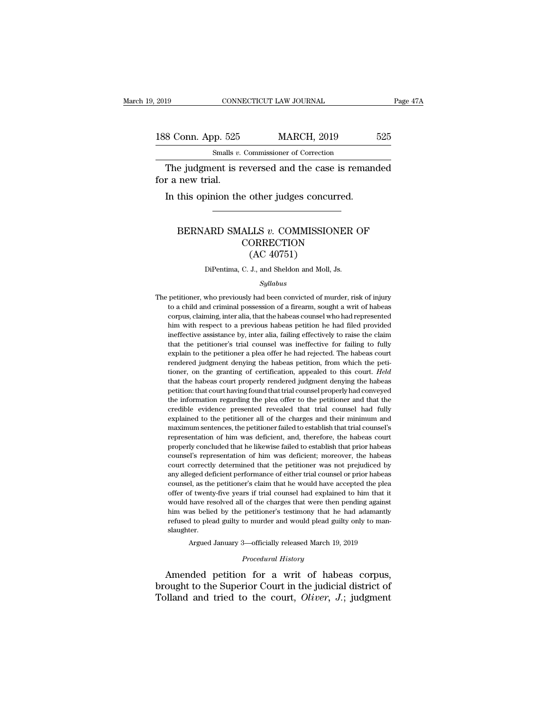# 2019 CONNECTICUT LAW JOURNAL Page 47A<br>188 Conn. App. 525 MARCH, 2019 525<br>Smalls v. Commissioner of Correction CONNECTICUT LAW JOURNAL<br>
pp. 525 MARCH, 2019<br>
Smalls *v*. Commissioner of Correction<br>
ent is reversed and the case is rema

The judgment is reversed and the case is remanded<br>
The judgment is reversed and the case is remanded<br>
The judgment is reversed and the case is remanded<br>
The yudgment is reversed and the case is remanded 188 Conn. App. 525<br>
Smalls  $v$ .<br>
The judgment is r<br>
for a new trial.<br>
In this opinion the 8 Conn. App. 525 MARCH, 2019<br>
Smalls v. Commissioner of Correction<br>
The judgment is reversed and the case is reman<br>
r a new trial.<br>
In this opinion the other judges concurred.

### e judgment is reversed and the case is remanded<br>new trial.<br>this opinion the other judges concurred.<br>BERNARD SMALLS *v*. COMMISSIONER OF<br>CORRECTION **CORRECTION** other judges concu<br>
LLS v. COMMISSIO<br>
ORRECTION<br>
(AC 40751)<br>
J., and Sheldon and Moll, BERNARD SMALLS  $v$ . COMMISSIONER OF<br>CORRECTION<br>(AC 40751)<br>DiPentima, C. J., and Sheldon and Moll, Js.

### *Syllabus*

CORRECTION<br>
(AC 40751)<br>
DiPentima, C. J., and Sheldon and Moll, Js.<br>
Syllabus<br>
The petitioner, who previously had been convicted of murder, risk of injury<br>
to a child and criminal possession of a firearm, sought a writ of  $(AC 40751)$ <br>DiPentima, C. J., and Sheldon and Moll, Js.<br>Syllabus<br>petitioner, who previously had been convicted of murder, risk of injury<br>to a child and criminal possession of a firearm, sought a writ of habeas<br>corpus, cla DiPentima, C. J., and Sheldon and Moll, Js.<br>
Syllabus<br>
petitioner, who previously had been convicted of murder, risk of injury<br>
to a child and criminal possession of a firearm, sought a writ of habeas<br>
corpus, claiming, in *Syllabus*<br>*Syllabus*<br>petitioner, who previously had been convicted of murder, risk of injury<br>to a child and criminal possession of a firearm, sought a writ of habeas<br>corpus, claiming, inter alia, that the habeas counsel w *Syllabus*<br> *Syllabus*<br>
pertitioner, who previously had been convicted of murder, risk of injury<br>
to a child and criminal possession of a firearm, sought a writ of habeas<br>
corpus, claiming, inter alia, that the habeas coun petitioner, who previously had been convicted of murder, risk of injury<br>to a child and criminal possession of a firearm, sought a writ of habeas<br>corpus, claiming, inter alia, that the habeas counsel who had represented<br>him petitioner, who petitions, had been convided of matter, that or hydrogroups, claiming, inter alia, that the habeas coursel who had represented him with respect to a previous habeas petition he had filed provided ineffectiv relations, claiming possession of a meaning sought a wind of national corpus, claiming, inter alia, that the habeas counsel who had represented him with respect to a previous habeas petition he had filed provided ineffecti tion, channing, met and, that are has essention he had filed provided ineffective assistance by, inter alia, failing effectively to raise the claim that the petitioner's trial counsel was ineffective for failing to fully e that the petitioners in the different method in the that the petitioner's trial counsel was ineffective for failing to fully explain to the petitioner a plea offer he had rejected. The habeas court rendered judgment denyin mented assistance by, meaning that and perfective for failing to fully explain to the petitioner a plea offer he had rejected. The habeas court rendered judgment denying the habeas petition, from which the petitioner, on the information regarding the please offer he had rejected. The habeas court<br>rendered judgment denying the habeas petition, from which the petitioner, on the granting of certification, appealed to this court. *Held*<br>that t crimination of the presented revealed for the material contribution of the present rendered judgment denying the habeas court. Held that the habeas court properly rendered judgment denying the habeas petition: that count h relatively judgment derlying the nabetas petition, promotioner, on the grantiner, on the granting of certification, appealed to this court. Held that the habeas court properly rendered judgment denying the habeas petition: maximum sentences, the petitioner all differences of the habeas count properly rendered judgment denying the habeas petition: that court having found that trial counsel properly had conveyed the information regarding the p representation of him was deficient, and, therefore, the habeas court properly had conveyed the information regarding the plea offer to the petitioner and that the credible evidence presented revealed that trial counsel ha the information regarding the plea offer to the petitioner and that the credible evidence presented revealed that trial counsel had fully explained to the petitioner all of the charges and their minimum and maximum sentenc counsel's evidence presented revealed that trial counsel had fully explained to the petitioner all of the charges and their minimum and maximum sentences, the petitioner failed to establish that trial counsel's representat explained to the petitioner all of the charges and their minimum and maximum sentences, the petitioner failed to establish that trial counsel's representation of him was deficient, and, therefore, the habeas court properly replantion of the performance of either failed to establish that trial counsel's representation of him was deficient, and, therefore, the habeas court properly concluded that he likewise failed to establish that prior habe manning behaviors, and petitioner hand a collection, that and counsel's representation of him was deficient, and, therefore, the habeas court properly concluded that he likewise failed to establish that prior habeas court representation of him was deficient, and, ancretore, are hadeds count<br>properly concluded that he likewise failed to establish that prior habeas<br>counsel's representation of him was deficient; moreover, the habeas<br>counsel of properly concluded and it in the visit duration of bind was deficient; moreover, the habeas court correctly determined that the petitioner was not prejudiced by any alleged deficient performance of either trial counsel or Forecentrical expression of that the petitioner was not prejudiced by any alleged deficient performance of either trial counsel or prior habeas counsel, as the petitioner's claim that he would have accepted the plead offer any alleged deficient performance of either trial counsel or prior habeas counsel, as the petitioner's claim that he would have accepted the plead offer of twenty-five years if trial counsel had explained to him that it wo slaughter. % offer of twenty-five years if trial counsel had explained to him that it would have resolved all of the charges that were then pending against him was belied by the petitioner's testimony that he had adamantly refused t him was belied by the petitioner's testimony that he had adamantly<br>refused to plead guilty to murder and would plead guilty only to man-<br>slaughter.<br>Argued January 3—officially released March 19, 2019<br>*Procedural History*<br>A would have resolved all of the charges that were then pending against<br>him was belied by the petitioner's testimony that he had adamantly<br>refused to plead guilty to murder and would plead guilty only to man-<br>slaughter.<br>Arg

him was belied by the pethology that in the flad adamative<br>refused to plead guilty to murder and would plead guilty only to man-<br>slaughter.<br>Argued January 3—officially released March 19, 2019<br>Procedural History<br>Amended pet Folday and the court, *Oliver*, *J.*; judgment and tried to the court, *Oliver*, *J.*; judgment and and tried to the court, *Oliver*, *J.*; judgment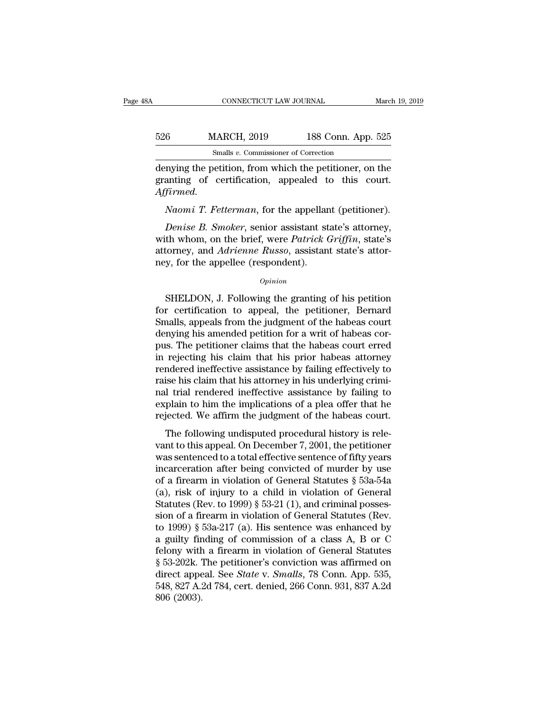# EXECUTE CONNECTICUT LAW JOURNAL March 19, 2019<br>526 MARCH, 2019 188 Conn. App. 525<br>526 Smalls v. Commissioner of Correction CONNECTICUT LAW JOURNAL<br>MARCH, 2019 188 Conn. App<br>Smalls *v*. Commissioner of Correction<br>petition from which the netitioner of

CONNECTICUT LAW JOURNAL March 19, 2019<br>
526 MARCH, 2019 188 Conn. App. 525<br>
Smalls v. Commissioner of Correction<br>
denying the petition, from which the petitioner, on the<br>
granting of certification, appealed to this court. 526 MARCH, 2019 188 Conn. App. 525<br>
Smalls v. Commissioner of Correction<br>
denying the petition, from which the petitioner, on the<br>
granting of certification, appealed to this court.<br>
Affirmed. *Affirmed. MARCH*, 2019 188 Conn. App. 525<br> *Smalls v. Commissioner of Correction*<br> *nying the petition, from which the petitioner, on the*<br> *Anomi T. Fetterman, for the appellant (petitioner).*<br> *Denise B. Smoker, senior assistant Smalls v. Commissioner of Correction*<br> *Denise g. Smoker, senior assistant state's attorney,*<br> *Denise B. Smoker, senior assistant state's attorney,*<br> *Denise B. Smoker, senior assistant state's attorney,*<br>
th whom, on th

denying the petition, from which the petitioner, on the granting of certification, appealed to this court.<br>Affirmed.<br>Naomi T. Fetterman, for the appellant (petitioner).<br>Denise B. Smoker, senior assistant state's attorney,<br> granting of certification, appealed to this court.<br>Affirmed.<br>Naomi T. Fetterman, for the appellant (petitioner).<br>Denise B. Smoker, senior assistant state's attorney,<br>with whom, on the brief, were *Patrick Griffin*, state's Affirmed.<br>
Naomi T. Fetterman, for the appellar<br>
Denise B. Smoker, senior assistant st<br>
with whom, on the brief, were Patrick (<br>
attorney, and Adrienne Russo, assistan<br>
ney, for the appellee (respondent).<br>
Opinion Denise B. Smoker, senior assistant state's attorney,<br>th whom, on the brief, were *Patrick Griffin*, state's<br>torney, and *Adrienne Russo*, assistant state's attor-<br>y, for the appellee (respondent).<br>Opinion<br>SHELDON, J. Follo

### *Opinion*

with whom, on the brief, were *Patrick Griffin*, state's<br>attorney, and *Adrienne Russo*, assistant state's attor-<br>ney, for the appellee (respondent).<br>*Opinion*<br>SHELDON, J. Following the granting of his petition<br>for certifi attorney, and *Adrienne Russo*, assistant state's attor-<br>ney, for the appellee (respondent).<br> $opinion$ <br>SHELDON, J. Following the granting of his petition<br>for certification to appeal, the petitioner, Bernard<br>Smalls, appeals from ney, for the appellee (respondent).<br>  $\phi_{pinion}$ <br>
SHELDON, J. Following the granting of his petition<br>
for certification to appeal, the petitioner, Bernard<br>
Smalls, appeals from the judgment of the habeas court<br>
denying his am **SHELDON, J. Following the granting of his petition**<br>for certification to appeal, the petitioner, Bernard<br>Smalls, appeals from the judgment of the habeas court<br>denying his amended petition for a writ of habeas cor-<br>pus. Th SHELDON, J. Following the granting of his petition<br>for certification to appeal, the petitioner, Bernard<br>Smalls, appeals from the judgment of the habeas court<br>denying his amended petition for a writ of habeas cor-<br>pus. The SHELDON, J. Following the granting of his petition<br>for certification to appeal, the petitioner, Bernard<br>Smalls, appeals from the judgment of the habeas court<br>denying his amended petition for a writ of habeas cor-<br>pus. The for certification to appeal, the petitioner, Bernard<br>Smalls, appeals from the judgment of the habeas court<br>denying his amended petition for a writ of habeas cor-<br>pus. The petitioner claims that the habeas court erred<br>in re Smalls, appeals from the judgment of the habeas court<br>denying his amended petition for a writ of habeas cor-<br>pus. The petitioner claims that the habeas court erred<br>in rejecting his claim that his prior habeas attorney<br>rend denying his amended petition for a writ of habeas corpus. The petitioner claims that the habeas court erred<br>in rejecting his claim that his prior habeas attorney<br>rendered ineffective assistance by failing effectively to<br>ra pus. The petitioner claims that the habeas court erred<br>in rejecting his claim that his prior habeas attorney<br>rendered ineffective assistance by failing effectively to<br>raise his claim that his attorney in his underlying cri Tegecting ins claim that his prior nascas attorney<br>medered ineffective assistance by failing effectively to<br>ise his claim that his attorney in his underlying crimi-<br>a trial rendered ineffective assistance by failing to<br>pla rendered increase assistance by raining erretavery to<br>raise his claim that his attorney in his underlying crimi-<br>nal trial rendered ineffective assistance by failing to<br>explain to him the implications of a plea offer that

raise his chaint that his attorney in his anterlying ernia<br>
and trial rendered ineffective assistance by failing to<br>
explain to him the implications of a plea offer that he<br>
rejected. We affirm the judgment of the habeas ran and rendered metricary associated by namig to<br>explain to him the implications of a plea offer that he<br>rejected. We affirm the judgment of the habeas court.<br>The following undisputed procedural history is rele-<br>vant to rejected. We affirm the judgment of the habeas court.<br>The following undisputed procedural history is relevant to this appeal. On December 7, 2001, the petitioner<br>was sentenced to a total effective sentence of fifty years<br> The following undisputed procedural history is relevant to this appeal. On December 7, 2001, the petitioner was sentenced to a total effective sentence of fifty years incarceration after being convicted of murder by use o The following undisputed procedural history is relevant to this appeal. On December 7, 2001, the petitioner was sentenced to a total effective sentence of fifty years incarceration after being convicted of murder by use o vant to this appeal. On December 7, 2001, the petitioner<br>was sentenced to a total effective sentence of fifty years<br>incarceration after being convicted of murder by use<br>of a firearm in violation of General Statutes  $\S$  53 was sentenced to a total effective sentence of fifty years<br>incarceration after being convicted of murder by use<br>of a firearm in violation of General Statutes  $\S$  53a-54a<br>(a), risk of injury to a child in violation of Gene incarceration after being convicted of murder by use<br>of a firearm in violation of General Statutes § 53a-54a<br>(a), risk of injury to a child in violation of General<br>Statutes (Rev. to 1999) § 53-21 (1), and criminal possesof a firearm in violation of General Statutes § 53a-54a<br>
(a), risk of injury to a child in violation of General<br>
Statutes (Rev. to 1999) § 53-21 (1), and criminal posses-<br>
sion of a firearm in violation of General Statute (a), risk of injury to a child in violation of General<br>Statutes (Rev. to 1999) § 53-21 (1), and criminal posses-<br>sion of a firearm in violation of General Statutes (Rev.<br>to 1999) § 53a-217 (a). His sentence was enhanced b Statutes (Rev. to 1999) § 53-21 (1), and criminal posses-<br>sion of a firearm in violation of General Statutes (Rev.<br>to 1999) § 53a-217 (a). His sentence was enhanced by<br>a guilty finding of commission of a class A, B or C<br>fe sion of a firearm in violation of General Statutes (Rev.<br>to 1999) § 53a-217 (a). His sentence was enhanced by<br>a guilty finding of commission of a class A, B or C<br>felony with a firearm in violation of General Statutes<br>§ 53 to 1999) § {<br>a guilty fir<br>felony with<br>§ 53-202k. '<br>direct appe<br>548, 827 A.:<br>806 (2003).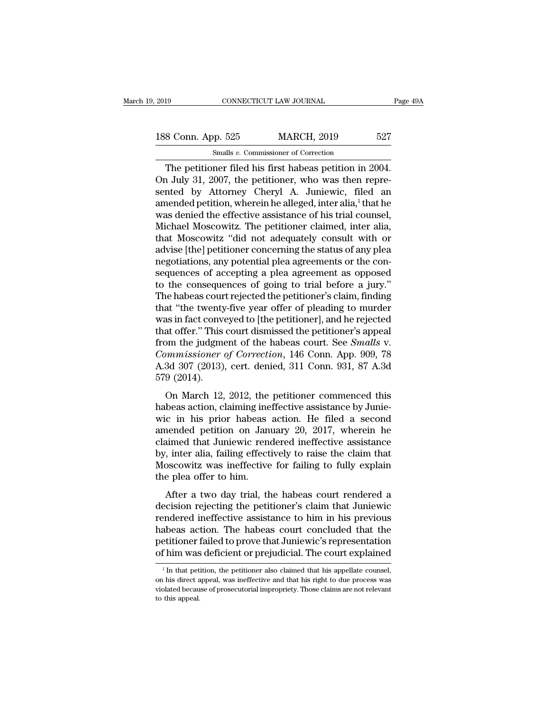The petitioner filed his first habeas petition in 2004.<br>
The petitioner filed his first habeas petition in 2004.<br>
The petitioner filed his first habeas petition in 2004.<br>
The petitioner filed his first habeas petition in 2 188 Conn. App. 525 MARCH, 2019 527<br>
Smalls v. Commissioner of Correction<br>
The petitioner filed his first habeas petition in 2004.<br>
On July 31, 2007, the petitioner, who was then repre-<br>
sented by Attorney Cheryl A. Juniew 188 Conn. App. 525 MARCH, 2019 527<br>
Smalls v. Commissioner of Correction<br>
The petitioner filed his first habeas petition in 2004.<br>
On July 31, 2007, the petitioner, who was then represented by Attorney Cheryl A. Juniewic, 188 Conn. App. 525 MARCH, 2019 527<br>
Smalls v. Commissioner of Correction<br>
The petitioner filed his first habeas petition in 2004.<br>
On July 31, 2007, the petitioner, who was then repre-<br>
sented by Attorney Cheryl A. Juniew Smalls v. Commissioner of Correction<br>The petitioner filed his first habeas petition in 2004.<br>On July 31, 2007, the petitioner, who was then repre-<br>sented by Attorney Cheryl A. Juniewic, filed an<br>amended petition, wherein Smalls v. Commissioner of Correction<br>
The petitioner filed his first habeas petition in 2004.<br>
On July 31, 2007, the petitioner, who was then repre-<br>
sented by Attorney Cheryl A. Juniewic, filed an<br>
amended petition, wher The petitioner filed his first habeas petition in 2004.<br>On July 31, 2007, the petitioner, who was then repre-<br>sented by Attorney Cheryl A. Juniewic, filed an<br>amended petition, wherein he alleged, inter alia,<sup>1</sup> that he<br>was On July 31, 2007, the petitioner, who was then represented by Attorney Cheryl A. Juniewic, filed an amended petition, wherein he alleged, inter alia,<sup>1</sup> that he was denied the effective assistance of his trial counsel, Mic sented by Attorney Cheryl A. Juniewic, filed an amended petition, wherein he alleged, inter alia,<sup>1</sup> that he was denied the effective assistance of his trial counsel, Michael Moscowitz. The petitioner claimed, inter alia, amended petition, wherein he alleged, inter alia,<sup>1</sup> that he<br>was denied the effective assistance of his trial counsel,<br>Michael Moscowitz. The petitioner claimed, inter alia,<br>that Moscowitz "did not adequately consult with was denied the effective assistance of his trial counsel,<br>Michael Moscowitz. The petitioner claimed, inter alia,<br>that Moscowitz "did not adequately consult with or<br>advise [the] petitioner concerning the status of any plea<br> Michael Moscowitz. The petitioner claimed, inter alia,<br>that Moscowitz "did not adequately consult with or<br>advise [the] petitioner concerning the status of any plea<br>negotiations, any potential plea agreements or the con-<br>se that Moscowitz "did not adequately consult with or<br>advise [the] petitioner concerning the status of any plea<br>negotiations, any potential plea agreements or the con-<br>sequences of accepting a plea agreement as opposed<br>to the advise [the] petitioner concerning the status of any plea<br>negotiations, any potential plea agreements or the con-<br>sequences of accepting a plea agreement as opposed<br>to the consequences of going to trial before a jury."<br>The negotiations, any potential plea agreements or the consequences of accepting a plea agreement as opposed<br>to the consequences of going to trial before a jury."<br>The habeas court rejected the petitioner's claim, finding<br>that sequences of accepting a plea agreement as opposed<br>to the consequences of going to trial before a jury."<br>The habeas court rejected the petitioner's claim, finding<br>that "the twenty-five year offer of pleading to murder<br>was to the consequences of going to trial before a jury."<br>The habeas court rejected the petitioner's claim, finding<br>that "the twenty-five year offer of pleading to murder<br>was in fact conveyed to [the petitioner], and he reject The habeas court rejected the petitioner's claim, finding<br>that "the twenty-five year offer of pleading to murder<br>was in fact conveyed to [the petitioner], and he rejected<br>that offer." This court dismissed the petitioner's that "the twenty<br>was in fact converthat offer." This<br>from the judgme<br>*Commissioner*<br>A.3d 307 (2013)<sub>.</sub><br>579 (2014).<br>On March 12, as in fact conveyed to fine petitioner J, and ne rejected<br>at offer." This court dismissed the petitioner's appeal<br>om the judgment of the habeas court. See *Smalls v*.<br>*mumissioner of Correction*, 146 Conn. App. 909, 78<br>3d from the judgment of the habeas court. See *Smalls v.*<br>Commissioner of Correction, 146 Conn. App. 909, 78<br>A.3d 307 (2013), cert. denied, 311 Conn. 931, 87 A.3d<br>579 (2014).<br>On March 12, 2012, the petitioner commenced this<br>

From the Jaughtent of the habeas court. See *Smalls v.*<br>Commissioner of Correction, 146 Conn. App. 909, 78<br>A.3d 307 (2013), cert. denied, 311 Conn. 931, 87 A.3d<br>579 (2014).<br>On March 12, 2012, the petitioner commenced this<br> Lemmassioner of Correction, 140 Collii. App. 303, 18<br>A.3d 307 (2013), cert. denied, 311 Conn. 931, 87 A.3d<br>579 (2014).<br>On March 12, 2012, the petitioner commenced this<br>habeas action, claiming ineffective assistance by Juni Example 12015), eclaimed, but collait sol, or Asia<br>579 (2014).<br>On March 12, 2012, the petitioner commenced this<br>habeas action, claiming ineffective assistance by Junie-<br>wic in his prior habeas action. He filed a second<br>am on March 12, 2012, the petitioner commenced this<br>habeas action, claiming ineffective assistance by Junie-<br>wic in his prior habeas action. He filed a second<br>amended petition on January 20, 2017, wherein he<br>claimed that Jun On March 12, 2012, the petitioner commenced this<br>habeas action, claiming ineffective assistance by Junie-<br>wic in his prior habeas action. He filed a second<br>amended petition on January 20, 2017, wherein he<br>claimed that Juni habeas action, claiming ine<br>wic in his prior habeas<br>amended petition on Jan<br>claimed that Juniewic ren<br>by, inter alia, failing effect<br>Moscowitz was ineffective<br>the plea offer to him.<br>After a two day trial, th Let it has prior habeas action. The fired a second<br>nended petition on January 20, 2017, wherein he<br>aimed that Juniewic rendered ineffective assistance<br>is inter alia, failing effectively to raise the claim that<br>oscowitz was decision of sandary 20, 2011, wherein he<br>claimed that Juniewic rendered ineffective assistance<br>by, inter alia, failing effectively to raise the claim that<br>Moscowitz was ineffective for failing to fully explain<br>the plea off

Earnica that sufficient rendered interfective assistance<br>by, inter alia, failing effectively to raise the claim that<br>Moscowitz was ineffective for failing to fully explain<br>the plea offer to him.<br>After a two day trial, the by, inter ana, raining encetively to raise the elant that<br>Moscowitz was ineffective for failing to fully explain<br>the plea offer to him.<br>After a two day trial, the habeas court rendered a<br>decision rejecting the petitioner's moscowiz was increasive for failing to fully explaint<br>the plea offer to him.<br>After a two day trial, the habeas court rendered a<br>decision rejecting the petitioner's claim that Juniewic<br>rendered ineffective assistance to him After a two day trial, the habeas court rendered a decision rejecting the petitioner's claim that Juniewic rendered ineffective assistance to him in his previous habeas action. The habeas court concluded that the petitione endered mettective assistance to him in his previous<br>abeas action. The habeas court concluded that the<br>etitioner failed to prove that Juniewic's representation<br>f him was deficient or prejudicial. The court explained<br><sup>1</sup>In habeas action. The habeas court concluded that the petitioner failed to prove that Juniewic's representation of him was deficient or prejudicial. The court explained  $\frac{1}{\ln}$  that petition, the petitioner also claimed t

petitioner failed to prove that Juniewic's representation<br>of him was deficient or prejudicial. The court explained<br> $\frac{1}{1}$  In that petition, the petitioner also claimed that his appellate counsel,<br>on his direct appeal, w of him was<br> $\frac{1}{1}$  In that pet<br>on his direct a<br>violated becaus<br>to this appeal.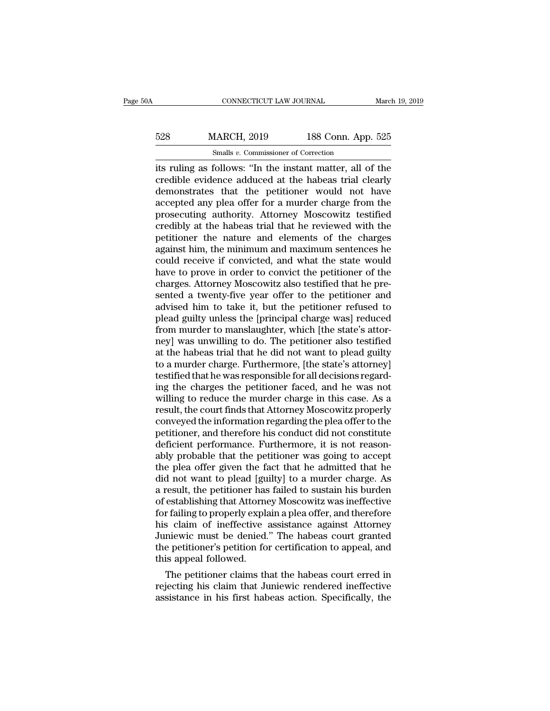# EXECUTE CONNECTICUT LAW JOURNAL March 19, 2019<br>
528 MARCH, 2019 188 Conn. App. 525<br>
528 MARCH, 2019 188 Conn. App. 525 CONNECTICUT LAW JOURNAL<br>MARCH, 2019 188 Conn. App<br>Smalls *v*. Commissioner of Correction<br>follows: "In the instant matter all o

CONNECTICUT LAW JOURNAL March 19, 2019<br>
SINEXET, 2019 188 Conn. App. 525<br>
Simalls v. Commissioner of Correction<br>
its ruling as follows: "In the instant matter, all of the<br>
credible evidence adduced at the habeas trial clea 528 MARCH, 2019 188 Conn. App. 525<br>
smalls v. Commissioner of Correction<br>
its ruling as follows: "In the instant matter, all of the<br>
credible evidence adduced at the habeas trial clearly<br>
demonstrates that the petitioner  $\frac{\text{528}}{\text{Smalls }v}$ . Commissioner of Correction<br>its ruling as follows: "In the instant matter, all of the<br>credible evidence adduced at the habeas trial clearly<br>demonstrates that the petitioner would not have<br>accepted any  $\frac{528}{528}$  MARCH, 2019 188 Conn. App. 525<br>
smalls v. Commissioner of Correction<br>
its ruling as follows: "In the instant matter, all of the<br>
credible evidence adduced at the habeas trial clearly<br>
demonstrates that the p Smalls v. Commissioner of Correction<br>its ruling as follows: "In the instant matter, all of the<br>credible evidence adduced at the habeas trial clearly<br>demonstrates that the petitioner would not have<br>accepted any plea offer Smalls  $v$ . Commissioner of Correction<br>its ruling as follows: "In the instant matter, all of the<br>credible evidence adduced at the habeas trial clearly<br>demonstrates that the petitioner would not have<br>accepted any plea offe its ruling as follows: "In the instant matter, all of the credible evidence adduced at the habeas trial clearly demonstrates that the petitioner would not have accepted any plea offer for a murder charge from the prosecuti credible evidence adduced at the habeas trial clearly<br>demonstrates that the petitioner would not have<br>accepted any plea offer for a murder charge from the<br>prosecuting authority. Attorney Moscowitz testified<br>credibly at the demonstrates that the petitioner would not have<br>accepted any plea offer for a murder charge from the<br>prosecuting authority. Attorney Moscowitz testified<br>credibly at the habeas trial that he reviewed with the<br>petitioner the accepted any plea offer for a murder charge from the<br>prosecuting authority. Attorney Moscowitz testified<br>credibly at the habeas trial that he reviewed with the<br>petitioner the nature and elements of the charges<br>against him, prosecuting authority. Attorney Moscowitz testified<br>credibly at the habeas trial that he reviewed with the<br>petitioner the nature and elements of the charges<br>against him, the minimum and maximum sentences he<br>could receive i credibly at the habeas trial that he reviewed with the petitioner the nature and elements of the charges against him, the minimum and maximum sentences he could receive if convicted, and what the state would have to prove petitioner the nature and elements of the charges<br>against him, the minimum and maximum sentences he<br>could receive if convicted, and what the state would<br>have to prove in order to convict the petitioner of the<br>charges. Atto against him, the minimum and maximum sentences he<br>could receive if convicted, and what the state would<br>have to prove in order to convict the petitioner of the<br>charges. Attorney Moscowitz also testified that he pre-<br>sented could receive if convicted, and what the state would<br>have to prove in order to convict the petitioner of the<br>charges. Attorney Moscowitz also testified that he pre-<br>sented a twenty-five year offer to the petitioner and<br>adv have to prove in order to convict the petitioner of the charges. Attorney Moscowitz also testified that he presented a twenty-five year offer to the petitioner and advised him to take it, but the petitioner refused to plea charges. Attorney Moscowitz also testified that he presented a twenty-five year offer to the petitioner and advised him to take it, but the petitioner refused to plead guilty unless the [principal charge was] reduced from sented a twenty-five year offer to the petitioner and<br>advised him to take it, but the petitioner refused to<br>plead guilty unless the [principal charge was] reduced<br>from murder to manslaughter, which [the state's attor-<br>ney] advised him to take it, but the petitioner refused to<br>plead guilty unless the [principal charge was] reduced<br>from murder to manslaughter, which [the state's attor-<br>ney] was unwilling to do. The petitioner also testified<br>at plead guilty unless the [principal charge was] reduced<br>from murder to manslaughter, which [the state's attor-<br>ney] was unwilling to do. The petitioner also testified<br>at the habeas trial that he did not want to plead guilty from murder to manslaughter, which [the state's attor-<br>ney] was unwilling to do. The petitioner also testified<br>at the habeas trial that he did not want to plead guilty<br>to a murder charge. Furthermore, [the state's attorney result was unwilling to do. The petitioner also testified<br>at the habeas trial that he did not want to plead guilty<br>to a murder charge. Furthermore, [the state's attorney]<br>testified that he was responsible for all decisions at the habeas trial that he did not want to plead guilty<br>to a murder charge. Furthermore, [the state's attorney]<br>testified that he was responsible for all decisions regard-<br>ing the charges the petitioner faced, and he was to a murder charge. Furthermore, [the state's attorney]<br>testified that he was responsible for all decisions regard-<br>ing the charges the petitioner faced, and he was not<br>willing to reduce the murder charge in this case. As testified that he was responsible for all decisions regarding the charges the petitioner faced, and he was not willing to reduce the murder charge in this case. As a result, the court finds that Attorney Moscowitz properly ing the charges the petitioner faced, and he was not<br>willing to reduce the murder charge in this case. As a<br>result, the court finds that Attorney Moscowitz properly<br>conveyed the information regarding the plea offer to the<br> willing to reduce the murder charge in this case. As a<br>result, the court finds that Attorney Moscowitz properly<br>conveyed the information regarding the plea offer to the<br>petitioner, and therefore his conduct did not constit result, the court finds that Attorney Moscowitz properly<br>conveyed the information regarding the plea offer to the<br>petitioner, and therefore his conduct did not constitute<br>deficient performance. Furthermore, it is not reaso conveyed the information regarding the plea offer to the<br>petitioner, and therefore his conduct did not constitute<br>deficient performance. Furthermore, it is not reason-<br>ably probable that the petitioner was going to accept<br> petitioner, and therefore his conduct did not constitute<br>deficient performance. Furthermore, it is not reason-<br>ably probable that the petitioner was going to accept<br>the plea offer given the fact that he admitted that he<br>di deficient performance. Furthermore, it is not reasonably probable that the petitioner was going to accept<br>the plea offer given the fact that he admitted that he<br>did not want to plead [guilty] to a murder charge. As<br>a resul ably probable that the petitioner was going to accept<br>the plea offer given the fact that he admitted that he<br>did not want to plead [guilty] to a murder charge. As<br>a result, the petitioner has failed to sustain his burden<br>o the plea offer given the fact that he admitted that he<br>did not want to plead [guilty] to a murder charge. As<br>a result, the petitioner has failed to sustain his burden<br>of establishing that Attorney Moscowitz was ineffective did not want to plead [guilty] to a murder charge. As<br>a result, the petitioner has failed to sustain his burden<br>of establishing that Attorney Moscowitz was ineffective<br>for failing to properly explain a plea offer, and ther a result, the petitioner has<br>of establishing that Attorne<br>for failing to properly expla<br>his claim of ineffective<br>Juniewic must be denied.<br>the petitioner's petition fo<br>this appeal followed.<br>The petitioner claims th establishing that Attorney Moscowitz was inerfective<br>r failing to properly explain a plea offer, and therefore<br>s claim of ineffective assistance against Attorney<br>niewic must be denied." The habeas court granted<br>e petitione ror raining to properly explain a plea offer, and therefore<br>his claim of ineffective assistance against Attorney<br>Juniewic must be denied." The habeas court granted<br>the petitioner's petition for certification to appeal, and his claim of ineffective assistance against Attorney<br>Juniewic must be denied." The habeas court granted<br>the petitioner's petition for certification to appeal, and<br>this appeal followed.<br>The petitioner claims that the habeas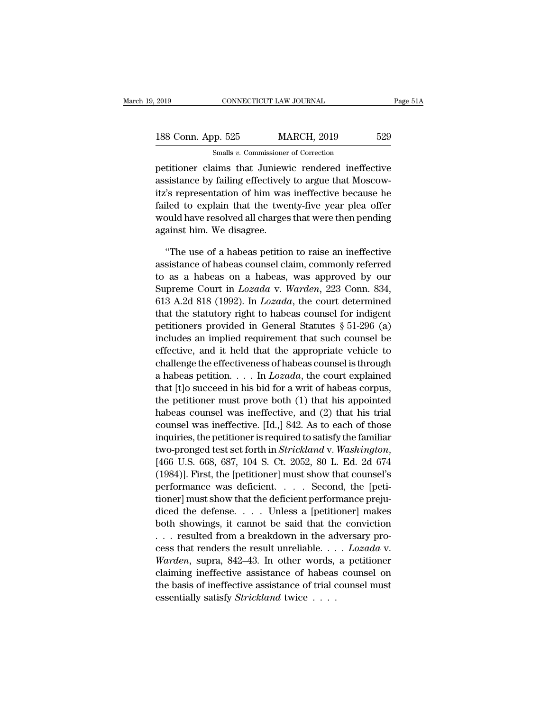| 2019               | CONNECTICUT LAW JOURNAL                              | Page 51A |
|--------------------|------------------------------------------------------|----------|
| 188 Conn. App. 525 | <b>MARCH, 2019</b>                                   | 529      |
|                    | Smalls v. Commissioner of Correction                 |          |
|                    | netitioner claims that Juniewic rendered ineffective |          |

Page 51A<br>
188 Conn. App. 525 MARCH, 2019 529<br>
Smalls v. Commissioner of Correction<br>
petitioner claims that Juniewic rendered ineffective<br>
assistance by failing effectively to argue that Moscow-188 Conn. App. 525 MARCH, 2019 529<br>
Smalls v. Commissioner of Correction<br>
petitioner claims that Juniewic rendered ineffective<br>
assistance by failing effectively to argue that Moscow-<br>
itz's representation of him was inef 188 Conn. App. 525 MARCH, 2019 529<br>
Smalls *v*. Commissioner of Correction<br>
petitioner claims that Juniewic rendered ineffective<br>
assistance by failing effectively to argue that Moscow-<br>
itz's representation of him was in 188 Conn. App. 525 MARCH, 2019 529<br>
Smalls v. Commissioner of Correction<br>
petitioner claims that Juniewic rendered ineffective<br>
assistance by failing effectively to argue that Moscow-<br>
itz's representation of him was inef Smalls  $v$ . Commissioner of Correction<br>petitioner claims that Juniewic rendered ineffective<br>assistance by failing effectively to argue that Moscow-<br>itz's representation of him was ineffective because he<br>failed to explain petitioner claims that Juniew<br>assistance by failing effectively<br>itz's representation of him was<br>failed to explain that the twe<br>would have resolved all charges<br>against him. We disagree.<br>"The use of a babeas petition sistance by failing effectively to argue that Moscow-<br>'s representation of him was ineffective because he<br>led to explain that the twenty-five year plea offer<br>puld have resolved all charges that were then pending<br>ainst him. itz's representation of him was ineffective because he<br>failed to explain that the twenty-five year plea offer<br>would have resolved all charges that were then pending<br>against him. We disagree.<br>"The use of a habeas petition t

failed to explain that the twenty-five year plea offer<br>would have resolved all charges that were then pending<br>against him. We disagree.<br>"The use of a habeas petition to raise an ineffective<br>assistance of habeas counsel cl would have resolved all charges that were then pending<br>against him. We disagree.<br>"The use of a habeas petition to raise an ineffective<br>assistance of habeas counsel claim, commonly referred<br>to as a habeas on a habeas, was a against him. We disagree.<br>
"The use of a habeas petition to raise an ineffective<br>
assistance of habeas counsel claim, commonly referred<br>
to as a habeas on a habeas, was approved by our<br>
Supreme Court in *Lozada* v. Warden, "The use of a habeas petition to raise an ineffective<br>assistance of habeas counsel claim, commonly referred<br>to as a habeas on a habeas, was approved by our<br>Supreme Court in *Lozada* v. *Warden*, 223 Conn. 834,<br>613 A.2d 81 The use of a habeas petition to raise an inerfective<br>assistance of habeas counsel claim, commonly referred<br>to as a habeas on a habeas, was approved by our<br>Supreme Court in *Lozada* v. *Warden*, 223 Conn. 834,<br>613 A.2d 818 assistance of nabeas counsel claim, commonly referred<br>to as a habeas on a habeas, was approved by our<br>Supreme Court in *Lozada* v. Warden, 223 Conn. 834,<br>613 A.2d 818 (1992). In *Lozada*, the court determined<br>that the sta to as a nabeas on a nabeas, was approved by our<br>Supreme Court in *Lozada* v. *Warden*, 223 Conn. 834,<br>613 A.2d 818 (1992). In *Lozada*, the court determined<br>that the statutory right to habeas counsel for indigent<br>petition supreme Court in *Lozada* v. *warden*, 223 Conn. 854,<br>613 A.2d 818 (1992). In *Lozada*, the court determined<br>that the statutory right to habeas counsel for indigent<br>petitioners provided in General Statutes § 51-296 (a)<br>in bia A.2d 818 (1992). In *Lozada*, the court determined<br>that the statutory right to habeas counsel for indigent<br>petitioners provided in General Statutes § 51-296 (a)<br>includes an implied requirement that such counsel be<br>eff that the statutory right to habeas counsel for muigent<br>petitioners provided in General Statutes § 51-296 (a)<br>includes an implied requirement that such counsel be<br>effective, and it held that the appropriate vehicle to<br>chal petitioners provided in General statutes  $\hat{s}$  51-290 (a)<br>includes an implied requirement that such counsel be<br>effective, and it held that the appropriate vehicle to<br>challenge the effectiveness of habeas counsel is throu metudes an implied requirement that such counser be<br>effective, and it held that the appropriate vehicle to<br>challenge the effectiveness of habeas counsel is through<br>a habeas petition.... In *Lozada*, the court explained<br>th enective, and it neid that the appropriate venicle to<br>challenge the effectiveness of habeas counsel is through<br>a habeas petition. . . . In  $Lozada$ , the court explained<br>that [t]o succeed in his bid for a writ of habeas corpu challenge the effectiveness of habeas counser is through<br>a habeas petition. . . . . In *Lozada*, the court explained<br>that [t]o succeed in his bid for a writ of habeas corpus,<br>the petitioner must prove both (1) that his ap a nabeas petition. . . . . In *Lozada*, the court explained<br>that [t]o succeed in his bid for a writ of habeas corpus,<br>the petitioner must prove both (1) that his appointed<br>habeas counsel was ineffective, and (2) that his t the petutoner must prove both (1) that his appointed<br>habeas counsel was ineffective, and (2) that his trial<br>counsel was ineffective. [Id.,] 842. As to each of those<br>inquiries, the petitioner is required to satisfy the fam mabeas counser was inerrective, and  $(2)$  that his trial<br>counsel was ineffective. [Id.,] 842. As to each of those<br>inquiries, the petitioner is required to satisfy the familiar<br>two-pronged test set forth in *Strickland* v. counser was menective. [id.,] 842. As to each of those inquiries, the petitioner is required to satisfy the familiar two-pronged test set forth in *Strickland* v. *Washington*, [466 U.S. 668, 687, 104 S. Ct. 2052, 80 L. E mquiries, the petitioner is required to satisfy the familiar<br>two-pronged test set forth in *Strickland* v. *Washington*,<br>[466 U.S. 668, 687, 104 S. Ct. 2052, 80 L. Ed. 2d 674<br>(1984)]. First, the [petitioner] must show tha two-pronged test set forth in *Strickland* v. *washington*,<br>[466 U.S. 668, 687, 104 S. Ct. 2052, 80 L. Ed. 2d 674<br>(1984)]. First, the [petitioner] must show that counsel's<br>performance was deficient.... Second, the [peti-<br> (400 U.S. 008, 087, 104 S. Ct. 2052, 80 L. Ed. 2d 074<br>(1984)]. First, the [petitioner] must show that counsel's<br>performance was deficient.... Second, the [peti-<br>tioner] must show that the deficient performance preju-<br>dice (1984)]. FIFSt, the [petitioner] must show that counsers<br>performance was deficient. . . . . Second, the [peti-<br>tioner] must show that the deficient performance preju-<br>diced the defense. . . . Unless a [petitioner] makes<br>bo periorinance was dencient. . . . . Second, the [peut-<br>tioner] must show that the deficient performance preju-<br>diced the defense. . . . Unless a [petitioner] makes<br>both showings, it cannot be said that the conviction<br>. . . tioner] must show that the deficient performance prejudiced the defense. . . . . Unless a [petitioner] makes<br>both showings, it cannot be said that the conviction<br>. . . resulted from a breakdown in the adversary pro-<br>cess diced the defense. . . . . Unless a [petitioner] makes<br>both showings, it cannot be said that the conviction<br>. . . resulted from a breakdown in the adversary pro-<br>cess that renders the result unreliable. . . .  $Lozada$  v.<br>War both showings, it cannot be said that the ... resulted from a breakdown in the address that renders the result unreliable... Warden, supra, 842–43. In other words, claiming ineffective assistance of habeas the basis of ine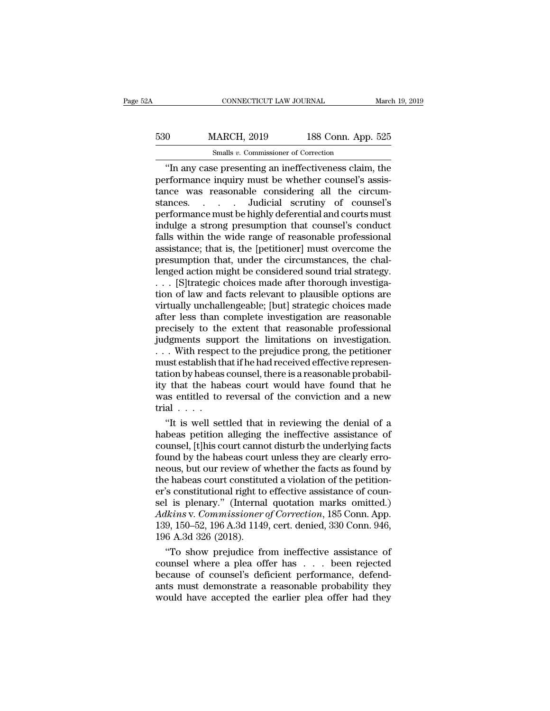# CONNECTICUT LAW JOURNAL March 19, 2019<br>530 MARCH, 2019 188 Conn. App. 525<br>530 MARCH, 2019 188 Conn. App. 525 CONNECTICUT LAW JOURNAL<br>MARCH, 2019 188 Conn. App<br>Smalls *v.* Commissioner of Correction<br>Connection of Correction

CONNECTICUT LAW JOURNAL March 19, 2019<br>
0 MARCH, 2019 188 Conn. App. 525<br>
Smalls v. Commissioner of Correction<br>
"In any case presenting an ineffectiveness claim, the<br>
rformance inquiry must be whether counsel's assis- $\frac{530}{188 \text{ Com. App. } 525}$ <br>
Smalls *v*. Commissioner of Correction<br>
"In any case presenting an ineffectiveness claim, the<br>
performance inquiry must be whether counsel's assis-<br>
tance was reasonable considering all the circ 530 MARCH, 2019 188 Conn. App. 525<br>
Smalls v. Commissioner of Correction<br>
"In any case presenting an ineffectiveness claim, the<br>
performance inquiry must be whether counsel's assistance was reasonable considering all the 530 MARCH, 2019 188 Conn. App. 525<br>
Smalls v. Commissioner of Correction<br>
"In any case presenting an ineffectiveness claim, the<br>
performance inquiry must be whether counsel's assis-<br>
tance was reasonable considering all t For the distribution of the term of the highly deferential and courts must<br>formance inquiry must be whether counsel's assistance was reasonable considering all the circumstances.<br> $\ldots$  and indicial scrutiny of counsel's p  $\frac{\text{Smalls } v. \text{ Commissioner of Correction}}{\text{in any case presenting an ineffectiveness claim, the performance inquiry must be whether course's assistance was reasonable considering all the circumstances.}\n\n... \text{Judicial scrutiny of course's performance must be highly differential and courts must induce a strong presupption that course's conduct falls within the wide range of reasonable professional assistance: that is the Institutional must overcome the$ "In any case presenting an ineffectiveness claim, the performance inquiry must be whether counsel's assistance was reasonable considering all the circumstances......... Judicial scrutiny of counsel's performance must be h assistance; that is, the [petitioner] must overcome the tance was reasonable considering all the circum-<br>stances. . . . . Judicial scrutiny of counsel's<br>performance must be highly deferential and courts must<br>indulge a strong presumption that counsel's conduct<br>falls within the w stances. . . . . Judicial scrutiny of counsel's<br>performance must be highly deferential and courts must<br>indulge a strong presumption that counsel's conduct<br>falls within the wide range of reasonable professional<br>assistance; performance must be highly deferential and courts must<br>indulge a strong presumption that counsel's conduct<br>falls within the wide range of reasonable professional<br>assistance; that is, the [petitioner] must overcome the<br>pres indulge a strong presumption that counsel's conduct<br>falls within the wide range of reasonable professional<br>assistance; that is, the [petitioner] must overcome the<br>presumption that, under the circumstances, the chal-<br>lenged falls within the wide range of reasonable professional<br>assistance; that is, the [petitioner] must overcome the<br>presumption that, under the circumstances, the chal-<br>lenged action might be considered sound trial strategy.<br>. assistance; that is, the [petitioner] must overcome the<br>presumption that, under the circumstances, the chal-<br>lenged action might be considered sound trial strategy.<br>. . . [S]trategic choices made after thorough investiga-<br> presumption that, under the circumstances, the challenged action might be considered sound trial strategy.<br>
. . . [S]trategic choices made after thorough investiga-<br>
tion of law and facts relevant to plausible options are<br> lenged action might be considered sound trial strategy.<br>
. . . [S]trategic choices made after thorough investiga-<br>
tion of law and facts relevant to plausible options are<br>
virtually unchallengeable; [but] strategic choices . . . [S]trategic choices made after thorough investigation of law and facts relevant to plausible options are virtually unchallengeable; [but] strategic choices made after less than complete investigation are reasonable p tion of law and facts relevant to plausible options are<br>virtually unchallengeable; [but] strategic choices made<br>after less than complete investigation are reasonable<br>precisely to the extent that reasonable professional<br>jud virtually unchallengeable; [but] strategic choices made<br>after less than complete investigation are reasonable<br>precisely to the extent that reasonable professional<br>judgments support the limitations on investigation.<br>... Wit after less than complete investigation are reasonable<br>precisely to the extent that reasonable professional<br>judgments support the limitations on investigation.<br>...With respect to the prejudice prong, the petitioner<br>must est precisely to the extent that reasonable professional<br>judgments support the limitations on investigation.<br>...With respect to the prejudice prong, the petitioner<br>must establish that if he had received effective represen-<br>tat trial . . . . . With respect to the prejudice prong, the petitioner<br>ust establish that if he had received effective represention by habeas counsel, there is a reasonable probabil-<br>t that the habeas court would have found that he<br>as ent must establish that if he had received effective representation by habeas counsel, there is a reasonable probability that the habeas court would have found that he was entitled to reversal of the conviction and a new tria

tation by habeas counsel, there is a reasonable probability that the habeas court would have found that he was entitled to reversal of the conviction and a new trial . . . .<br>"It is well settled that in reviewing the denia found that the habeas court would have found that he<br>was entitled to reversal of the conviction and a new<br>trial  $\ldots$ .<br>"It is well settled that in reviewing the denial of a<br>habeas petition alleging the ineffective assista was entitled to reversal of the conviction and a new<br>trial . . . .<br>"It is well settled that in reviewing the denial of a<br>habeas petition alleging the ineffective assistance of<br>counsel, [t]his court cannot disturb the unde trial . . . .<br>"It is well settled that in reviewing the denial of a<br>habeas petition alleging the ineffective assistance of<br>counsel, [t]his court cannot disturb the underlying facts<br>found by the habeas court unless they are "It is well settled that in reviewing the denial of a<br>habeas petition alleging the ineffective assistance of<br>counsel, [t]his court cannot disturb the underlying facts<br>found by the habeas court unless they are clearly erro habeas petition alleging the ineffective assistance of counsel, [t]his court cannot disturb the underlying facts found by the habeas court unless they are clearly erro-<br>neous, but our review of whether the facts as found b counsel, [t]his court cannot disturb the underlying facts<br>found by the habeas court unless they are clearly erro-<br>neous, but our review of whether the facts as found by<br>the habeas court constituted a violation of the petit found by the habeas court unless they are clearly erro-<br>neous, but our review of whether the facts as found by<br>the habeas court constituted a violation of the petition-<br>er's constitutional right to effective assistance of neous, but our review of v<br>the habeas court constitut<br>er's constitutional right to<br>sel is plenary." (Internal<br>Adkins v. Commissioner<br>139, 150–52, 196 A.3d 1149<br>196 A.3d 326 (2018).<br>"To show prejudice fr e habeas court constituted a violation of the petition-<br>
's constitutional right to effective assistance of coun-<br>
1 is plenary." (Internal quotation marks omitted.)<br> *lkins* v. Commissioner of Correction, 185 Conn. 946,<br> er's constitutional right to effective assistance of counsel is plenary." (Internal quotation marks omitted.)<br>Adkins v. Commissioner of Correction, 185 Conn. App.<br>139, 150–52, 196 A.3d 1149, cert. denied, 330 Conn. 946,<br>19

sel is plenary." (Internal quotation marks omitted.)<br>Adkins v. Commissioner of Correction, 185 Conn. App.<br>139, 150–52, 196 A.3d 1149, cert. denied, 330 Conn. 946,<br>196 A.3d 326 (2018).<br>"To show prejudice from ineffective as Adkins v. Commissioner of Correction, 185 Conn. App.<br>139, 150–52, 196 A.3d 1149, cert. denied, 330 Conn. 946,<br>196 A.3d 326 (2018).<br>"To show prejudice from ineffective assistance of<br>counsel where a plea offer has  $\dots$  been 139, 150–52, 196 A.3d 1149, cert. denied, 330 Conn. 946, 196 A.3d 326 (2018).<br>
"To show prejudice from ineffective assistance of counsel where a plea offer has  $\dots$  been rejected because of counsel's deficient performance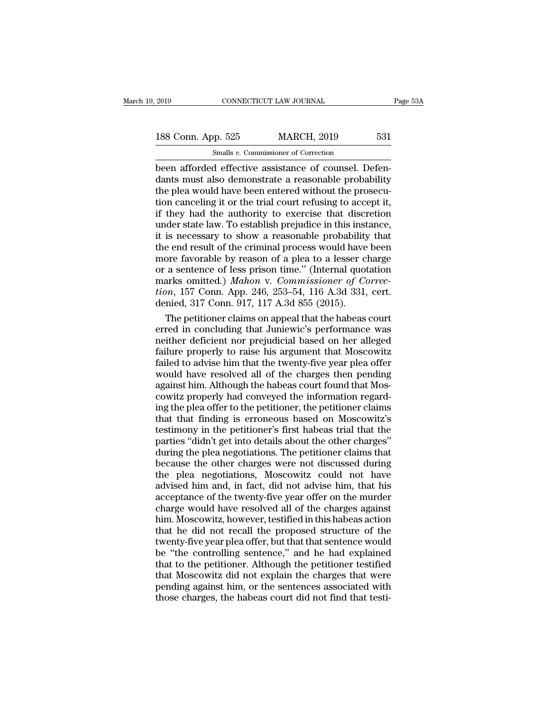EXECUTE 2019<br>
Been afforded effective assistance of counsel. Defendants must also demonstrate a reasonable probability<br>
the plea would have been artered without the prosecution 188 Conn. App. 525 MARCH, 2019 531<br>
Smalls v. Commissioner of Correction<br>
been afforded effective assistance of counsel. Defendants must also demonstrate a reasonable probability<br>
the plea would have been entered without 188 Conn. App. 525 MARCH, 2019 531<br>
Smalls v. Commissioner of Correction<br>
been afforded effective assistance of counsel. Defen-<br>
dants must also demonstrate a reasonable probability<br>
the plea would have been entered witho 188 Conn. App. 525 MARCH, 2019 531<br>
Smalls  $v$ . Commissioner of Correction<br>
been afforded effective assistance of counsel. Defen-<br>
dants must also demonstrate a reasonable probability<br>
the plea would have been entered wit Smalls v. Commissioner of Correction<br>been afforded effective assistance of counsel. Defen-<br>dants must also demonstrate a reasonable probability<br>the plea would have been entered without the prosecu-<br>tion canceling it or th Smalls v. Commissioner of Correction<br>been afforded effective assistance of counsel. Defen-<br>dants must also demonstrate a reasonable probability<br>the plea would have been entered without the prosecu-<br>tion canceling it or th been afforded effective assistance of counsel. Defendants must also demonstrate a reasonable probability the plea would have been entered without the prosecution canceling it or the trial court refusing to accept it, if th dants must also demonstrate a reasonable probability<br>the plea would have been entered without the prosecu-<br>tion canceling it or the trial court refusing to accept it,<br>if they had the authority to exercise that discretion<br>u the plea would have been entered without the prosecution canceling it or the trial court refusing to accept it, if they had the authority to exercise that discretion under state law. To establish prejudice in this instance tion canceling it or the trial court refusing to accept it,<br>if they had the authority to exercise that discretion<br>under state law. To establish prejudice in this instance,<br>it is necessary to show a reasonable probability if they had the authority to exercise that discretion<br>under state law. To establish prejudice in this instance,<br>it is necessary to show a reasonable probability that<br>the end result of the criminal process would have been<br>m under state law. To establish prejudice in this instance,<br>it is necessary to show a reasonable probability that<br>the end result of the criminal process would have been<br>more favorable by reason of a plea to a lesser charge<br>o it is necessary to show a reasonable probability<br>the end result of the criminal process would have<br>more favorable by reason of a plea to a lesser cl<br>or a sentence of less prison time." (Internal quot<br>marks omitted.) Mahon e end result of the criminal process would have been<br>ore favorable by reason of a plea to a lesser charge<br>a sentence of less prison time." (Internal quotation<br>arks omitted.) Mahon v. Commissioner of Correc-<br>om, 157 Conn. A more favorable by reason of a plea to a lesser charge<br>or a sentence of less prison time." (Internal quotation<br>marks omitted.) Mahon v. Commissioner of Correc-<br>tion, 157 Conn. App. 246, 253–54, 116 A.3d 331, cert.<br>denied, 3

or a sentence of less prison time." (Internal quotation<br>marks omitted.) *Mahon v. Commissioner of Correc-<br>tion*, 157 Conn. App. 246, 253–54, 116 A.3d 331, cert.<br>denied, 317 Conn. 917, 117 A.3d 855 (2015).<br>The petitioner cl marks omitted.) Mahon v. Commissioner of Correction, 157 Conn. App. 246, 253–54, 116 A.3d 331, cert.<br>denied, 317 Conn. 917, 117 A.3d 855 (2015).<br>The petitioner claims on appeal that the habeas court<br>erred in concluding tha tion, 157 Conn. App. 246, 253–54, 116 A.3d 331, cert.<br>denied, 317 Conn. 917, 117 A.3d 855 (2015).<br>The petitioner claims on appeal that the habeas court<br>erred in concluding that Juniewic's performance was<br>neither deficient denied, 317 Conn. 917, 117 A.3d 855 (2015).<br>The petitioner claims on appeal that the habeas court<br>erred in concluding that Juniewic's performance was<br>neither deficient nor prejudicial based on her alleged<br>failure properly The petitioner claims on appeal that the habeas court<br>erred in concluding that Juniewic's performance was<br>neither deficient nor prejudicial based on her alleged<br>failure properly to raise his argument that Moscowitz<br>failed erred in concluding that Juniewic's performance was<br>neither deficient nor prejudicial based on her alleged<br>failure properly to raise his argument that Moscowitz<br>failed to advise him that the twenty-five year plea offer<br>wou neither deficient nor prejudicial based on her alleged<br>failure properly to raise his argument that Moscowitz<br>failed to advise him that the twenty-five year plea offer<br>would have resolved all of the charges then pending<br>aga failure properly to raise his argument that Moscowitz<br>failed to advise him that the twenty-five year plea offer<br>would have resolved all of the charges then pending<br>against him. Although the habeas court found that Mos-<br>cow failed to advise him that the twenty-five year plea offer<br>would have resolved all of the charges then pending<br>against him. Although the habeas court found that Mos-<br>cowitz properly had conveyed the information regard-<br>ing would have resolved all of the charges then pending<br>against him. Although the habeas court found that Mos-<br>cowitz properly had conveyed the information regard-<br>ing the plea offer to the petitioner, the petitioner claims<br>th against him. Although the habeas court found that Mos-<br>cowitz properly had conveyed the information regard-<br>ing the plea offer to the petitioner, the petitioner claims<br>that that finding is erroneous based on Moscowitz's<br>te cowitz properly had conveyed the information regard-<br>ing the plea offer to the petitioner, the petitioner claims<br>that that finding is erroneous based on Moscowitz's<br>testimony in the petitioner's first habeas trial that the ing the plea offer to the petitioner, the petitioner claims<br>that that finding is erroneous based on Moscowitz's<br>testimony in the petitioner's first habeas trial that the<br>parties "didn't get into details about the other cha that that finding is erroneous based on Moscowitz's<br>testimony in the petitioner's first habeas trial that the<br>parties "didn't get into details about the other charges"<br>during the plea negotiations. The petitioner claims th testimony in the petitioner's first habeas trial that the parties "didn't get into details about the other charges" during the plea negotiations. The petitioner claims that because the other charges were not discussed duri parties "didn't get into details about the other charges"<br>during the plea negotiations. The petitioner claims that<br>because the other charges were not discussed during<br>the plea negotiations, Moscowitz could not have<br>advised during the plea negotiations. The petitioner claims that<br>because the other charges were not discussed during<br>the plea negotiations, Moscowitz could not have<br>advised him and, in fact, did not advise him, that his<br>acceptance because the other charges were not discussed during<br>the plea negotiations, Moscowitz could not have<br>advised him and, in fact, did not advise him, that his<br>acceptance of the twenty-five year offer on the murder<br>charge would the plea negotiations, Moscowitz could not have<br>advised him and, in fact, did not advise him, that his<br>acceptance of the twenty-five year offer on the murder<br>charge would have resolved all of the charges against<br>him. Mosco advised him and, in fact, did not advise him, that his<br>acceptance of the twenty-five year offer on the murder<br>charge would have resolved all of the charges against<br>him. Moscowitz, however, testified in this habeas action<br>t acceptance of the twenty-five year offer on the murder<br>charge would have resolved all of the charges against<br>him. Moscowitz, however, testified in this habeas action<br>that he did not recall the proposed structure of the<br>twe charge would have resolved all of the charges against<br>him. Moscowitz, however, testified in this habeas action<br>that he did not recall the proposed structure of the<br>twenty-five year plea offer, but that that sentence would<br> him. Moscowitz, however, testified in this habeas action<br>that he did not recall the proposed structure of the<br>twenty-five year plea offer, but that that sentence would<br>be "the controlling sentence," and he had explained<br>th that he did not recall the proposed structure of the<br>twenty-five year plea offer, but that that sentence would<br>be "the controlling sentence," and he had explained<br>that to the petitioner. Although the petitioner testified<br>t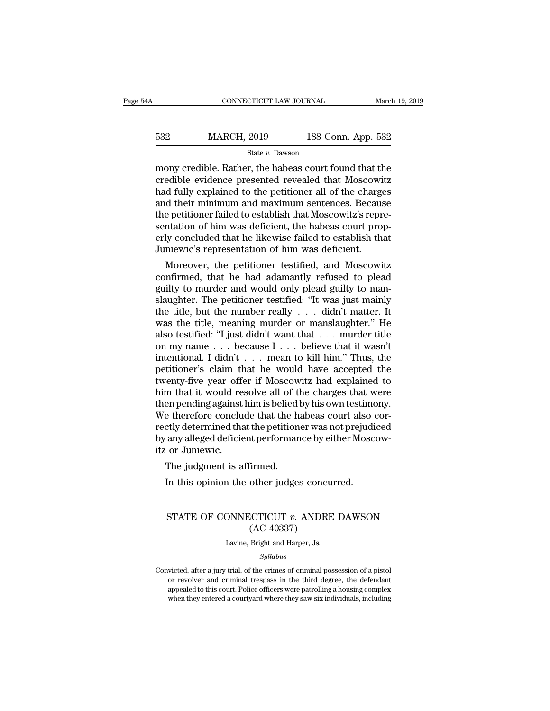| 4Α  | CONNECTICUT LAW JOURNAL |                    | March 19, 2019 |
|-----|-------------------------|--------------------|----------------|
|     |                         |                    |                |
| 532 | <b>MARCH, 2019</b>      | 188 Conn. App. 532 |                |
|     | State v. Dawson         |                    |                |

 $\begin{array}{r|l} \text{COMRECTICUT LAW JOURNAL} & \text{March 19, 2019} \ \hline \text{532} & \text{MARCH, 2019} & \text{188 Conn. App. 532} \ \hline \text{State } v. \text{ Dawson} & \text{many credible. Rather, the habeas court found that the credible evidence presented revealed that Moscowitz had fully explained to the notification or all of the charges.} \end{array}$  $\begin{array}{r} \text{MARCH, 2019} \\ \text{State } v. \text{ Dawson} \end{array}$  188 Conn. App. 532<br>
mony credible. Rather, the habeas court found that the<br>
credible evidence presented revealed that Moscowitz<br>
had fully explained to the petitioner all of the c had fully explained to the petitioner all of the charges  $\frac{\text{532}}{\text{State } v. \text{ Dawson}}$ <br>  $\frac{\text{State } v. \text{ Dawson}}{\text{money credible. Rather, the habeas court found that the credible evidence presented revealed that Moscow \n As a good way, the total number of the changes and their minimum and maximum sentences. Because the performance failed to establish that Moscow \n *Stabilish that Moscow \n *Stabilish that Moscow \n *Stabilish that* is represented as a function of him was a definition of the shapes count from the context.**$  $\begin{array}{l} \hline \text{State } v. \text{ Dawson} \end{array}$  State v. Dawson<br>
mony credible. Rather, the habeas court found that the<br>
credible evidence presented revealed that Moscowitz<br>
had fully explained to the petitioner all of the charges<br>
and t state  $v$ . Dawson<br>
mony credible. Rather, the habeas court found that the<br>
credible evidence presented revealed that Moscowitz<br>
had fully explained to the petitioner all of the charges<br>
and their minimum and maximum sente mony credible. Rather, the habeas court found that the credible evidence presented revealed that Moscowitz had fully explained to the petitioner all of the charges and their minimum and maximum sentences. Because the petit credible evidence presented revealed that Moscowi<br>had fully explained to the petitioner all of the charge<br>and their minimum and maximum sentences. Becaus<br>the petitioner failed to establish that Moscowitz's repr<br>sentation o d ruly explained to the petitioner all of the charges<br>d their minimum and maximum sentences. Because<br>e petitioner failed to establish that Moscowitz's repre-<br>ntation of him was deficient, the habeas court prop-<br>ly conclude and their minimum and maximum sentences. Because<br>the petitioner failed to establish that Moscowitz's repre-<br>sentation of him was deficient, the habeas court prop-<br>erly concluded that he likewise failed to establish that<br>Ju

the petitioner ranea to establish that Moscowitz s representation of him was deficient, the habeas court properly concluded that he likewise failed to establish that Juniewic's representation of him was deficient.<br>Moreover sentation of nim was deficient, the nabeas court properly concluded that he likewise failed to establish that<br>Juniewic's representation of him was deficient.<br>Moreover, the petitioner testified, and Moscowitz<br>confirmed, tha Fig. 2012 and the number of him was deficient.<br>
Moreover, the petitioner testified, and Moscowitz<br>
confirmed, that he had adamantly refused to plead<br>
guilty to murder and would only plead guilty to man-<br>
slaughter. The pet Jumewic's representation of nim was deficient.<br>
Moreover, the petitioner testified, and Moscowitz<br>
confirmed, that he had adamantly refused to plead<br>
guilty to murder and would only plead guilty to man-<br>
slaughter. The pe Moreover, the petitioner testified, and Moscowitz<br>confirmed, that he had adamantly refused to plead<br>guilty to murder and would only plead guilty to man-<br>slaughter. The petitioner testified: "It was just mainly<br>the title, confirmed, that he had adamantly refused to plead<br>guilty to murder and would only plead guilty to man-<br>slaughter. The petitioner testified: "It was just mainly<br>the title, but the number really  $\ldots$  didn't matter. It<br>was guilty to murder and would only plead guilty to man-<br>slaughter. The petitioner testified: "It was just mainly<br>the title, but the number really . . . didn't matter. It<br>was the title, meaning murder or manslaughter." He<br>also slaughter. The petitioner testified: "It was just mainly<br>the title, but the number really . . . didn't matter. It<br>was the title, meaning murder or manslaughter." He<br>also testified: "I just didn't want that . . . murder ti the title, but the number really  $\ldots$  didn't matter. It<br>was the title, meaning murder or manslaughter." He<br>also testified: "I just didn't want that  $\ldots$  murder title<br>on my name  $\ldots$  because I  $\ldots$  believe that it wasn was the title, meaning murder or manslaughter." He<br>also testified: "I just didn't want that . . . murder title<br>on my name . . . because I . . . believe that it wasn't<br>intentional. I didn't . . . mean to kill him." Thus, t also testified: "I just didn't want that . . . murder title<br>on my name . . . because I . . . believe that it wasn't<br>intentional. I didn't . . . mean to kill him." Thus, the<br>petitioner's claim that he would have accepted th on my name  $\ldots$  because I  $\ldots$  believe that it wasn't intentional. I didn't  $\ldots$  mean to kill him." Thus, the petitioner's claim that he would have accepted the twenty-five year offer if Moscowitz had explained to him intentional. I didn't . . . . mean to kill him." Thus, the petitioner's claim that he would have accepted the twenty-five year offer if Moscowitz had explained to him that it would resolve all of the charges that were then petitioner's claim that he would have accepted the<br>twenty-five year offer if Moscowitz had explained to<br>him that it would resolve all of the charges that were<br>then pending against him is belied by his own testimony.<br>We the twenty-five year offer<br>him that it would reacher<br>then pending against<br>We therefore conclu<br>rectly determined that<br>by any alleged deficie<br>itz or Juniewic.<br>The judgment is a m that it would resolve all of the<br>en pending against him is belied<br>e therefore conclude that the h<br>ctly determined that the petition<br>any alleged deficient performan<br>i or Juniewic.<br>The judgment is affirmed.<br>In this opinion In the therefore conclude that the habeas court also<br>
In this determined that the petitioner was not prejudior any alleged deficient performance by either Mosc<br>
In this opinion the other judges concurred.

### or Juniewic.<br>
The judgment is affirmed.<br>
In this opinion the other judges concurred.<br>
STATE OF CONNECTICUT *v*. ANDRE DAWSON<br>
(AC 40337) firmed.<br>
other judges concu<br>
CCTICUT v. ANDRE<br>
(AC 40337)<br>
Bright and Harper, Js. STATE OF CONNECTICUT  $v$ . ANDRE DAWSON<br>(AC 40337)<br>Lavine, Bright and Harper, Js.

*Syllabus*

STATE OF CONNECTICUT *V*. ANDRE DAWSON<br>
(AC 40337)<br>
Lavine, Bright and Harper, Js.<br>
Syllabus<br>
Convicted, after a jury trial, of the crimes of criminal possession of a pistol<br>
or revolver and criminal trespass in the third  $\rm (AC~40337)$ <br>Lavine, Bright and Harper, Js.<br>Syllabus<br>victed, after a jury trial, of the crimes of criminal possession of a pistol<br>or revolver and criminal trespass in the third degree, the defendant<br>appealed to this cour Lavine, Bright and Harper, Js.<br>
Syllabus<br>
victed, after a jury trial, of the crimes of criminal possession of a pistol<br>
or revolver and criminal trespass in the third degree, the defendant<br>
appealed to this court. Police o Syllabus<br>Syllabus<br>wicted, after a jury trial, of the crimes of criminal possession of a pistol<br>or revolver and criminal trespass in the third degree, the defendant<br>appealed to this court. Police officers were patrolling a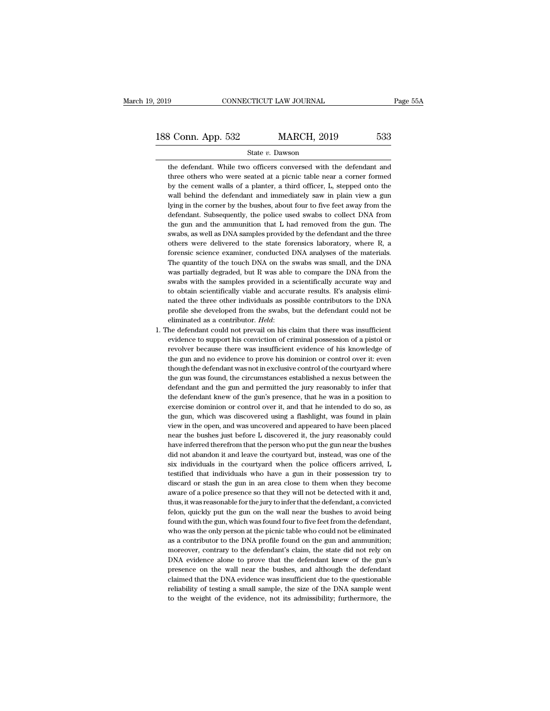$\begin{array}{r} \text{3 Conn. App. 532} \text{12 MARCH, 2019} \text{1333} \end{array}$ <br>
State v. Dawson<br>
the defendant. While two officers conversed with the defendant and<br>
three others who were seated at a picnic table near a corner formed  $\frac{\text{State } v. \text{ Dawson}}{\text{State } v. \text{ Dawson}}$ <br>the defendant. While two officers conversed with the defendant and<br>three others who were seated at a picnic table near a corner formed<br>by the cement walls of a planter, a third officer, L  $\begin{array}{r} \text{3 Conn. App. 532} \text{State } v. \text{ Dawson} \end{array}$ <br>
the defendant. While two officers conversed with the defendant and<br>
three others who were seated at a picnic table near a corner formed<br>
by the cement walls of a planter, a third o State v. Dawson<br>the defendant. While two officers conversed with the defendant and<br>three others who were seated at a picnic table near a corner formed<br>by the cement walls of a planter, a third officer, L, stepped onto the<br> State v. Dawson<br>the defendant. While two officers conversed with the defendant and<br>three others who were seated at a picnic table near a corner formed<br>by the cement walls of a planter, a third officer, L, stepped onto the<br> the defendant. While two officers conversed with the defendant and three others who were seated at a picnic table near a corner formed by the cement walls of a planter, a third officer, L, stepped onto the wall behind the three others who were seated at a picnic table near a corner formed<br>by the cement walls of a planter, a third officer, L, stepped onto the<br>wall behind the defendant and immediately saw in plain view a gun<br>lying in the corn by the cement walls of a planter, a third officer, L, stepped onto the wall behind the defendant and immediately saw in plain view a gun lying in the corner by the bushes, about four to five feet away from the defendant. S wall behind the defendant and immediately saw in plain view a gun lying in the corner by the bushes, about four to five feet away from the defendant. Subsequently, the police used swabs to collect DNA from the gun and the lying in the corner by the bushes, about four to five feet away from the defendant. Subsequently, the police used swabs to collect DNA from the gun and the ammunition that L had removed from the gun. The swabs, as well as defendant. Subsequently, the police used swabs to collect DNA from<br>the gun and the ammunition that L had removed from the gun. The<br>swabs, as well as DNA samples provided by the defendant and the three<br>others were delivered the gun and the ammunition that L had removed from the gun. The swabs, as well as DNA samples provided by the defendant and the three others were delivered to the state forensics laboratory, where R, a forensic science exa swabs, as well as DNA samples provided by the defendant and the three others were delivered to the state forensics laboratory, where R, a forensic science examiner, conducted DNA analyses of the materials. The quantity of others were delivered to the state forensics laboratory, where R, a forensic science examiner, conducted DNA analyses of the materials. The quantity of the touch DNA on the swabs was small, and the DNA was partially degrad forensic science examiner, conducted DNA analyses of the materials.<br>The quantity of the touch DNA on the swabs was small, and the DNA<br>was partially degraded, but R was able to compare the DNA from the<br>swabs with the sample The quantity of the touch DNA on the swabs was small, and the DNA was partially degraded, but R was able to compare the DNA from the swabs with the samples provided in a scientifically accurate way and to obtain scientific was partially degraded, but R was able to compare the DNA from the swabs with the samples provided in a scientifically accurate way and to obtain scientifically viable and accurate results. R's analysis eliminated the thr to obtain scientifically viable and accurate results. R's analysis eliminated the three other individuals as possible contributors to the DNA profile she developed from the swabs, but the defendant could not be eliminated

nated the three other individuals as possible contributors to the DNA<br>profile she developed from the swabs, but the defendant could not be<br>eliminated as a contributor. *Held*:<br>the defendant could not prevail on his claim t profile she developed from the swabs, but the defendant could not be eliminated as a contributor. *Held*:<br>he defendant could not prevail on his claim that there was insufficient<br>evidence to support his conviction of crimin eliminated as a contributor. *Held*:<br>he defendant could not prevail on his claim that there was insufficient<br>evidence to support his conviction of criminal possession of a pistol or<br>revolver because there was insufficient the defendant could not prevail on his claim that there was insufficient evidence to support his conviction of criminal possession of a pistol or revolver because there was insufficient evidence of his knowledge of the gun evidence to support his conviction of criminal possession of a pistol or<br>revolver because there was insufficient evidence of his knowledge of<br>the gun and no evidence to prove his dominion or control over it: even<br>though th revolver because there was insufficient evidence of his knowledge of<br>the gun and no evidence to prove his dominion or control over it: even<br>though the defendant was not in exclusive control of the courtyard where<br>the gun w the gun and no evidence to prove his dominion or control over it: even<br>though the defendant was not in exclusive control of the courtyard where<br>the gun was found, the circumstances established a nexus between the<br>defendant though the defendant was not in exclusive control of the courtyard where<br>the gun was found, the circumstances established a nexus between the<br>defendant and the gun and permitted the jury reasonably to infer that<br>the defend the gun was found, the circumstances established a nexus between the defendant and the gun and permitted the jury reasonably to infer that the defendant knew of the gun's presence, that he was in a position to exercise dom defendant and the gun and permitted the jury reasonably to infer that<br>the defendant knew of the gun's presence, that he was in a position to<br>exercise dominion or control over it, and that he intended to do so, as<br>the gun, the defendant knew of the gun's presence, that he was in a position to exercise dominion or control over it, and that he intended to do so, as the gun, which was discovered using a flashlight, was found in plain view in th exercise dominion or control over it, and that he intended to do so, as<br>the gun, which was discovered using a flashlight, was found in plain<br>view in the open, and was uncovered and appeared to have been placed<br>near the bus the gun, which was discovered using a flashlight, was found in plain<br>view in the open, and was uncovered and appeared to have been placed<br>near the bushes just before L discovered it, the jury reasonably could<br>have inferred view in the open, and was uncovered and appeared to have been placed<br>near the bushes just before L discovered it, the jury reasonably could<br>have inferred therefrom that the person who put the gun near the bushes<br>did not ab near the bushes just before L discovered it, the jury reasonably could have inferred therefrom that the person who put the gun near the bushes did not abandon it and leave the courtyard but, instead, was one of the six ind near the bushes just before L discovered it, the jury reasonably could have inferred therefrom that the person who put the gun near the bushes did not abandon it and leave the courtyard but, instead, was one of the six ind did not abandon it and leave the courtyard but, instead, was one of the six individuals in the courtyard when the police officers arrived, L testified that individuals who have a gun in their possession try to discard or s six individuals in the courtyard when the police officers arrived, L<br>testified that individuals who have a gun in their possession try to<br>discard or stash the gun in an area close to them when they become<br>aware of a police testified that individuals who have a gun in their possession try to discard or stash the gun in an area close to them when they become aware of a police presence so that they will not be detected with it and, thus, it was discard or stash the gun in an area close to them when they become<br>aware of a police presence so that they will not be detected with it and,<br>thus, it was reasonable for the jury to infer that the defendant, a convicted<br>fel aware of a police presence so that they will not be detected with it and, thus, it was reasonable for the jury to infer that the defendant, a convicted felon, quickly put the gun on the wall near the bushes to avoid being thus, it was reasonable for the jury to infer that the defendant, a convicted<br>felon, quickly put the gun on the wall near the bushes to avoid being<br>found with the gun, which was found four to five feet from the defendant,<br> felon, quickly put the gun on the wall near the bushes to avoid being<br>found with the gun, which was found four to five feet from the defendant,<br>who was the only person at the picnic table who could not be eliminated<br>as a c found with the gun, which was found four to five feet from the defendant, who was the only person at the picnic table who could not be eliminated as a contributor to the DNA profile found on the gun and ammunition; moreove who was the only person at the picnic table who could not be eliminated as a contributor to the DNA profile found on the gun and ammunition; moreover, contrary to the defendant's claim, the state did not rely on DNA eviden as a contributor to the DNA profile found on the gun and ammunition;<br>moreover, contrary to the defendant's claim, the state did not rely on<br>DNA evidence alone to prove that the defendant knew of the gun's<br>presence on the w moreover, contrary to the defendant's claim, the state did not rely on DNA evidence alone to prove that the defendant knew of the gun's presence on the wall near the bushes, and although the defendant claimed that the DNA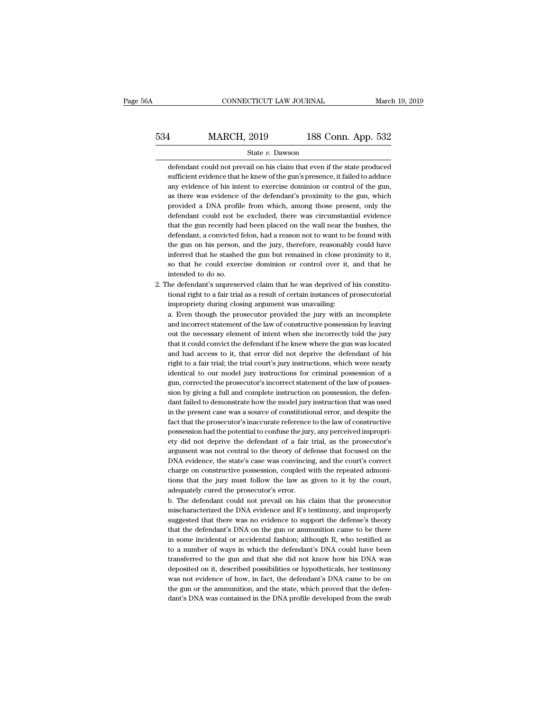### EXECUTE CONNECTICUT LAW JOURNAL March 19, 2019<br>
534 MARCH, 2019 188 Conn. App. 532<br>
534 MARCH, 2019 188 Conn. App. 532 State *v.* Dawson MARCH, 2019 188 Conn. App. 532<br>State v. Dawson<br>defendant could not prevail on his claim that even if the state produced<br>sufficient evidence that he knew of the gun's presence, it failed to adduce

 $\begin{tabular}{ll} \bf 1 & MARCH, 2019 & 188 Conn. App. 532 \\ \hline \bf 2 & State $v$. Dawson \\ \bf 1 & \bf 2 & \bf 3 & \bf 4 & \bf 5 & \bf 6 \\ \bf 2 & \bf 3 & \bf 5 & \bf 7 & \bf 8 \\ \bf 3 & \bf 6 & \bf 7 & \bf 8 & \bf 9 \\ \bf 4 & \bf 6 & \bf 8 & \bf 9 & \bf 1 & \bf 1 \\ \bf 5 & \bf 9 & \bf 1 & \bf 1 & \bf 1 & \bf 1 \\ \bf 6 & \bf 9 & \bf 1 & \bf 1 & \bf 1 & \bf 1 \\ \$ 534 MARCH, 2019 188 Conn. App. 532<br>
State  $v$ . Dawson<br>
defendant could not prevail on his claim that even if the state produced<br>
sufficient evidence that he knew of the gun's presence, it failed to adduce<br>
any evidence of State  $v$ . Dawson<br>defendant could not prevail on his claim that even if the state produced<br>sufficient evidence that he knew of the gun's presence, it failed to adduce<br>any evidence of his intent to exercise dominion or con State  $v$ . Dawson<br>defendant could not prevail on his claim that even if the state produced<br>sufficient evidence that he knew of the gun's presence, it failed to adduce<br>any evidence of his intent to exercise dominion or con defendant could not prevail on his claim that even if the state produced sufficient evidence that he knew of the gun's presence, it failed to adduce any evidence of his intent to exercise dominion or control of the gun, as sufficient evidence that he knew of the gun's presence, it failed to adduce<br>any evidence of his intent to exercise dominion or control of the gun,<br>as there was evidence of the defendant's proximity to the gun, which<br>provid any evidence of his intent to exercise dominion or control of the gun, as there was evidence of the defendant's proximity to the gun, which provided a DNA profile from which, among those present, only the defendant could n as there was evidence of the defendant's proximity to the gun, which<br>provided a DNA profile from which, among those present, only the<br>defendant could not be excluded, there was circumstantial evidence<br>that the gun recently provided a DNA profile from which, among those present, only the defendant could not be excluded, there was circumstantial evidence that the gun recently had been placed on the wall near the bushes, the defendant, a convi defendant could not be excluded, there was circumstantial evidence<br>that the gun recently had been placed on the wall near the bushes, the<br>defendant, a convicted felon, had a reason not to want to be found with<br>the gun on h inferred that he stashed the gun but remained in close proximity to it,<br>so that he could exercise dominion or control over it, and that he<br>intended to do so.<br>2. The defendant's unpreserved claim that he was deprived of his defendant, a convicted felon, had a reason not to want to be found with<br>the gun on his person, and the jury, therefore, reasonably could have<br>inferred that he stashed the gun but remained in close proximity to it,<br>so that the gun on his person, and the jury, therefore, reasonably could have<br>inferred that he stashed the gun but remained in close proximity to it,<br>so that he could exercise dominion or control over it, and that he<br>intended to d

so that he could exercise dominion or control over it, and that he intended to do so.<br>he defendant's unpreserved claim that he was deprived of his constitutional right to a fair trial as a result of certain instances of pr

impropriety during closing argument was unavailing:<br>a. Even though the prosecutor provided the jury with an incomplete<br>and incorrect statement of the law of constructive possession by leaving intended to do so.<br>he defendant's unpreserved claim that he was deprived of his constitu-<br>tional right to a fair trial as a result of certain instances of prosecutorial<br>impropriety during closing argument was unavailing:<br>a he defendant's unpreserved claim that he was deprived of his constitutional right to a fair trial as a result of certain instances of prosecutorial impropriety during closing argument was unavailing:<br>a. Even though the pro tional right to a fair trial as a result of certain instances of prosecutorial<br>impropriety during closing argument was unavailing:<br>a. Even though the prosecutor provided the jury with an incomplete<br>and incorrect statement impropriety during closing argument was unavailing:<br>a. Even though the prosecutor provided the jury with an incomplete<br>and incorrect statement of the law of constructive possession by leaving<br>out the necessary element of i a. Even though the prosecutor provided the jury with an incomplete and incorrect statement of the law of constructive possession by leaving out the necessary element of intent when she incorrectly told the jury that it cou and incorrect statement of the law of constructive possession by leaving<br>out the necessary element of intent when she incorrectly told the jury<br>that it could convict the defendant if he knew where the gun was located<br>and h out the necessary element of intent when she incorrectly told the jury<br>that it could convict the defendant if he knew where the gun was located<br>and had access to it, that error did not deprive the defendant of his<br>right to and had access to it, that error did not deprive the defendant of his right to a fair trial; the trial court's jury instructions, which were nearly identical to our model jury instructions for criminal possession of a gun, and had access to it, that error did not deprive the defendant of his right to a fair trial; the trial court's jury instructions, which were nearly identical to our model jury instructions for criminal possession of a gun, right to a fair trial; the trial court's jury instructions, which were nearly identical to our model jury instructions for criminal possession of a gun, corrected the prosecutor's incorrect statement of the law of possessi identical to our model jury instructions for criminal possession of a<br>gun, corrected the prosecutor's incorrect statement of the law of posses-<br>sion by giving a full and complete instruction on possession, the defen-<br>dant gun, corrected the prosecutor's incorrect statement of the law of possession by giving a full and complete instruction on possession, the defendant failed to demonstrate how the model jury instruction that was used in the sion by giving a full and complete instruction on possession, the defendant failed to demonstrate how the model jury instruction that was used in the present case was a source of constitutional error, and despite the fact dant failed to demonstrate how the model jury instruction that was used<br>in the present case was a source of constitutional error, and despite the<br>fact that the prosecutor's inaccurate reference to the law of constructive<br>p in the present case was a source of constitutional error, and despite the fact that the prosecutor's inaccurate reference to the law of constructive possession had the potential to confuse the jury, any perceived improprie fact that the prosecutor's inaccurate reference to the law of constructive possession had the potential to confuse the jury, any perceived impropriety did not deprive the defendant of a fair trial, as the prosecutor's argu possession had the potential to confuse the jury, any perceived impropriety did not deprive the defendant of a fair trial, as the prosecutor's argument was not central to the theory of defense that focused on the DNA evide ety did not deprive the defendant of a fair trial, as the prosecutor's argument was not central to the theory of defense that focused on the DNA evidence, the state's case was convincing, and the court's correct charge on argument was not central to the theory of defense that focused on the DNA evidence, the state's case was convincing, and the court's correct charge on constructive possession, coupled with the repeated admonitions that the DNA evidence, the state's case was convincing, and the court's correct charge on constructive possession, coupled with the repeated admonitions that the jury must follow the law as given to it by the court, adequately cure

charge on constructive possession, coupled with the repeated admonitions that the jury must follow the law as given to it by the court, adequately cured the prosecutor's error.<br>b. The defendant could not prevail on his cla tions that the jury must follow the law as given to it by the court,<br>adequately cured the prosecutor's error.<br>b. The defendant could not prevail on his claim that the prosecutor<br>mischaracterized the DNA evidence and R's te adequately cured the prosecutor's error.<br>
b. The defendant could not prevail on his claim that the prosecutor<br>
mischaracterized the DNA evidence and R's testimony, and improperly<br>
suggested that there was no evidence to su b. The defendant could not prevail on his claim that the prosecutor mischaracterized the DNA evidence and R's testimony, and improperly suggested that there was no evidence to support the defense's theory that the defendan mischaracterized the DNA evidence and R's testimony, and improperly suggested that there was no evidence to support the defense's theory that the defendant's DNA on the gun or ammunition came to be there in some incidental suggested that there was no evidence to support the defense's theory<br>that the defendant's DNA on the gun or ammunition came to be there<br>in some incidental or accidental fashion; although R, who testified as<br>to a number of that the defendant's DNA on the gun or ammunition came to be there<br>in some incidental or accidental fashion; although R, who testified as<br>to a number of ways in which the defendant's DNA could have been<br>transferred to the in some incidental or accidental fashion; although R, who testified as<br>to a number of ways in which the defendant's DNA could have been<br>transferred to the gun and that she did not know how his DNA was<br>deposited on it, desc to a number of ways in which the defendant's DNA could have been transferred to the gun and that she did not know how his DNA was deposited on it, described possibilities or hypotheticals, her testimony was not evidence of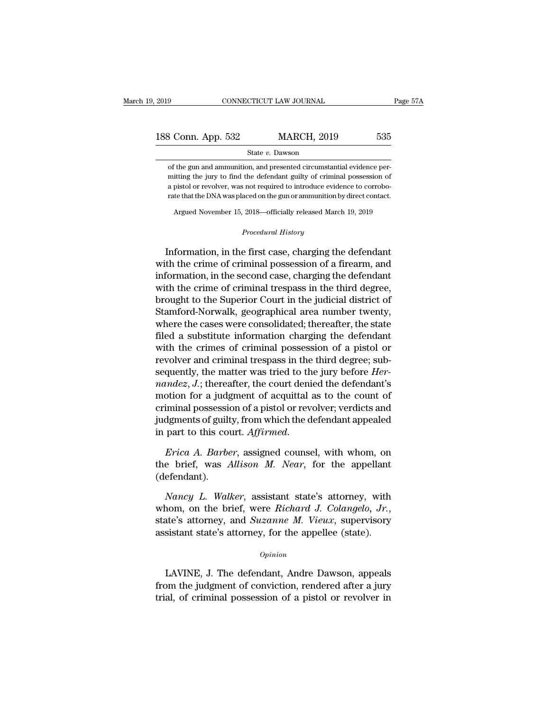| 2019               |  | CONNECTICUT LAW JOURNAL | Page 57A |
|--------------------|--|-------------------------|----------|
| 188 Conn. App. 532 |  | <b>MARCH, 2019</b>      | 535      |
| State v. Dawson    |  |                         |          |

**Solution Solution Solution Solution**<br>
State *v*. Dawson<br>
of the gun and ammunition, and presented circumstantial evidence per-<br>
mitting the jury to find the defendant guilty of criminal possession of<br>
a pistol or revolve  $\begin{array}{r} \text{3.32}\qquad \text{MARCH, 2019}\qquad \text{535}\ \text{State } v. \text{ Dawson} \end{array}$  of the gun and ammunition, and presented circumstantial evidence permitting the jury to find the defendant guilty of criminal possession of a pistol or revolver,  $\begin{array}{ll} \text{3 Conn. App. 532} & \text{MARCH, 2019} & \text{535} \\ \text{State } v. \text{ Dawson} \end{array}$ <br>of the gun and ammunition, and presented circumstantial evidence permitting the jury to find the defendant guilty of criminal possession of a pistol or revol  $\begin{minipage}[t]{0.7\textwidth} \begin{tabular}{l} \multicolumn{2}{l}{{\small \begin{tabular}{l} \hline \multicolumn{2}{l}{c} {\textwidth} \begin{tabular}{l} \multicolumn{2}{l}{{\small \begin{tabular}{l} \hline \multicolumn{2}{l}{c} {\textwidth} \begin{tabular}{l} \hline \multicolumn{2}{l}{\textwidth} \end{tabular} \hline \multicolumn{2}{l}{\textwidth} \end{tabular} }} \hline \end{tabular} & \multicolumn{2}{l}{\textwidth} \begin{tabular}{l} \multicolumn{2}{l}{\textwidth} \begin{tabular}{l} \hline \multicolumn$ The gun and ammunition, and presented circumstantial evidence perifiting the jury to find the defendant guilty of criminal possession of pistol or revolver, was not required to introduce evidence to corrobote that the DNA **Example 3** and required to introduce evidenced on the gun or ammunition b<br>
2018—officially released Marc<br> *Procedural History* 

Information, in the first case, charging the defendant<br>that the crime of correlation of a pistol or revolver, was not required to introduce evidence to corrobo-<br>rate that the DNA was placed on the gun or ammunition by dire rate that the DNA was placed on the gun or ammunition by direct contact.<br>
Argued November 15, 2018—officially released March 19, 2019<br>
Procedural History<br>
Information, in the first case, charging the defendant<br>
with the cr Argued November 15, 2018—officially released March 19, 2019<br> *Procedural History*<br>
Information, in the first case, charging the defendant<br>
with the crime of criminal possession of a firearm, and<br>
information, in the second Frocedural History<br>
Procedural History<br>
Procedural History<br>
The criminal possession of a firearm, and<br>
information, in the second case, charging the defendant<br>
with the crime of criminal trespass in the third degree,<br>
brou *Procedural History*<br>Information, in the first case, charging the defendant<br>with the crime of criminal possession of a firearm, and<br>information, in the second case, charging the defendant<br>with the crime of criminal trespas Information, in the first case, charging the defendant<br>with the crime of criminal possession of a firearm, and<br>information, in the second case, charging the defendant<br>with the crime of criminal trespass in the third degree Information, in the first case, charging the defendant<br>with the crime of criminal possession of a firearm, and<br>information, in the second case, charging the defendant<br>with the crime of criminal trespass in the third degree with the crime of criminal possession of a firearm, and<br>information, in the second case, charging the defendant<br>with the crime of criminal trespass in the third degree,<br>brought to the Superior Court in the judicial distric information, in the second case, charging the defendant<br>with the crime of criminal trespass in the third degree,<br>brought to the Superior Court in the judicial district of<br>Stamford-Norwalk, geographical area number twenty,<br> with the crime of criminal trespass in the third degree,<br>brought to the Superior Court in the judicial district of<br>Stamford-Norwalk, geographical area number twenty,<br>where the cases were consolidated; thereafter, the state brought to the Superior Court in the judicial district of<br>Stamford-Norwalk, geographical area number twenty,<br>where the cases were consolidated; thereafter, the state<br>filed a substitute information charging the defendant<br>wi Stamford-Norwalk, geographical area number twenty,<br>where the cases were consolidated; thereafter, the state<br>filed a substitute information charging the defendant<br>with the crimes of criminal possession of a pistol or<br>revolv where the cases were consolidated; thereafter, the state<br>filed a substitute information charging the defendant<br>with the crimes of criminal possession of a pistol or<br>revolver and criminal trespass in the third degree; subfiled a substitute information charging the defendant<br>with the crimes of criminal possession of a pistol or<br>revolver and criminal trespass in the third degree; sub-<br>sequently, the matter was tried to the jury before *Her-<br>* with the crimes of criminal possession of a pistol or<br>revolver and criminal trespass in the third degree; sub-<br>sequently, the matter was tried to the jury before  $Her$ -<br>*nandez*,  $J$ .; thereafter, the court denied the defe revolver and criminal trespass in the third degree; sub-<br>sequently, the matter was tried to the jury before *Her-*<br>*nandez*, *J*.; thereafter, the court denied the defendant's<br>motion for a judgment of acquittal as to the c motion for a judgment of acquittal as to the count of<br>criminal possession of a pistol or revolver; verdicts and<br>judgments of guilty, from which the defendant appealed<br>in part to this court. Affirmed.<br>*Erica A. Barber*, ass

(defendant). *Nancy L. Walker*, assigned counsel, with whom, on<br>*Prica A. Barber*, assigned counsel, with whom, on<br>*e* brief, was *Allison M. Near*, for the appellant<br>efendant).<br>*Nancy L. Walker*, assistant state's attorney, with<br>nom,

*Erica A. Barber*, assigned counsel, with whom, on the brief, was *Allison M. Near*, for the appellant (defendant).<br> *Nancy L. Walker*, assistant state's attorney, with whom, on the brief, were *Richard J. Colangelo, Jr.*, the brief, was *Allison M. Near*, for the appellant (defendant).<br> *Nancy L. Walker*, assistant state's attorney, with whom, on the brief, were *Richard J. Colangelo*, *Jr.*, state's attorney, and *Suzanne M. Vieux*, super Franch, and the brief, were *Richard J. Colangelo, Jr.*,<br>nom, on the brief, were *Richard J. Colangelo, Jr.*,<br>the's attorney, and *Suzanne M. Vieux*, supervisory<br>sistant state's attorney, for the appellee (state).<br> $opinion$ <br>LA

*Opinion*

from, on the stres, were riveral a stressingner, ort,<br>state's attorney, and *Suzanne M. Vieux*, supervisory<br>assistant state's attorney, for the appellee (state).<br>*Opinion*<br>LAVINE, J. The defendant, Andre Dawson, appeals<br>fr trial, of criminal possession of a pistol or revolver in the same distance opinion<br>LAVINE, J. The defendant, Andre Dawson, appeals<br>from the judgment of conviction, rendered after a jury<br>trial, of criminal possession of a p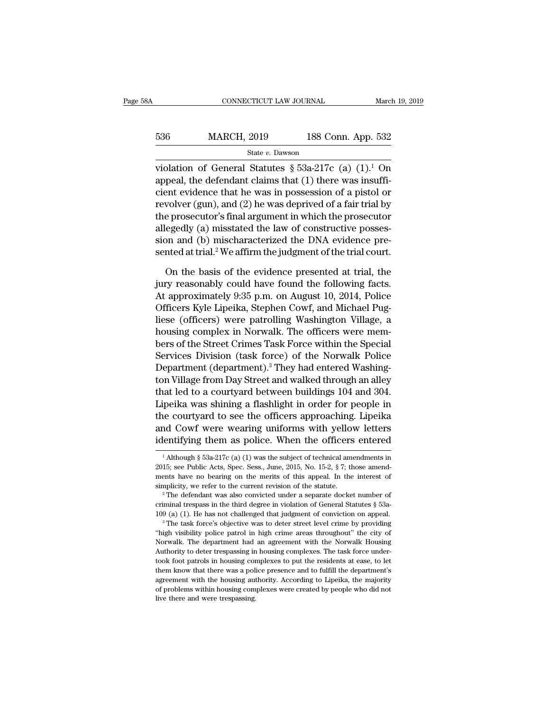| 8A  | CONNECTICUT LAW JOURNAL |                    | March 19, 2019 |
|-----|-------------------------|--------------------|----------------|
| 536 | <b>MARCH, 2019</b>      | 188 Conn. App. 532 |                |
|     | State v. Dawson         |                    |                |

CONNECTICUT LAW JOURNAL March 19, 2019<br>
536 MARCH, 2019 188 Conn. App. 532<br>
state v. Dawson<br>
violation of General Statutes § 53a-217c (a)  $(1).1$  On<br>
appeal, the defendant claims that  $(1)$  there was insuffi-536 MARCH, 2019 188 Conn. App. 532<br>
State v. Dawson<br>
violation of General Statutes § 53a-217c (a) (1).<sup>1</sup> On<br>
appeal, the defendant claims that (1) there was insuffi-<br>
cient evidence that he was in possession of a pistol 536 MARCH, 2019 188 Conn. App. 532<br>
State v. Dawson<br>
violation of General Statutes § 53a-217c (a)  $(1)$ <sup>1</sup> On<br>
appeal, the defendant claims that  $(1)$  there was insuffi-<br>
cient evidence that he was in possession of a pist 536 MARCH, 2019 188 Conn. App. 532<br>
state v. Dawson<br>
violation of General Statutes § 53a-217c (a)  $(1)$ .<sup>1</sup> On<br>
appeal, the defendant claims that  $(1)$  there was insuffi-<br>
cient evidence that he was in possession of a pis State v. Dawson<br>
violation of General Statutes § 53a-217c (a)  $(1)$ .<sup>1</sup> On<br>
appeal, the defendant claims that  $(1)$  there was insuffi-<br>
cient evidence that he was in possession of a pistol or<br>
revolver (gun), and  $(2)$  he state v. Bawson<br>violation of General Statutes § 53a-217c (a) (1).<sup>1</sup> On<br>appeal, the defendant claims that (1) there was insuffi-<br>cient evidence that he was in possession of a pistol or<br>revolver (gun), and (2) he was depri violation of General Statutes  $\S$  53a-217c (a) (1).<sup>1</sup> On appeal, the defendant claims that (1) there was insufficient evidence that he was in possession of a pistol or revolver (gun), and (2) he was deprived of a fair tr appeal, the defendant claims that (1) there was insufficient evidence that he was in possession of a pistol or<br>revolver (gun), and (2) he was deprived of a fair trial by<br>the prosecutor's final argument in which the prosecu wolver (gun), and (2) he was deprived of a fair trial by<br>e prosecutor's final argument in which the prosecutor<br>egedly (a) misstated the law of constructive posses-<br>on and (b) mischaracterized the DNA evidence pre-<br>nted at the prosecutor's final argument in which the prosecutor<br>allegedly (a) misstated the law of constructive posses-<br>sion and (b) mischaracterized the DNA evidence pre-<br>sented at trial.<sup>2</sup> We affirm the judgment of the trial co

allegedly (a) misstated the law of constructive possession and (b) mischaracterized the DNA evidence presented at trial.<sup>2</sup> We affirm the judgment of the trial court.<br>On the basis of the evidence presented at trial, the ju sion and (b) mischaracterized the DNA evidence presented at trial.<sup>2</sup> We affirm the judgment of the trial court.<br>On the basis of the evidence presented at trial, the<br>jury reasonably could have found the following facts.<br>At sented at trial.<sup>2</sup> We affirm the judgment of the trial court.<br>
On the basis of the evidence presented at trial, the<br>
jury reasonably could have found the following facts.<br>
At approximately 9:35 p.m. on August 10, 2014, Po On the basis of the evidence presented at trial, the<br>jury reasonably could have found the following facts.<br>At approximately 9:35 p.m. on August 10, 2014, Police<br>Officers Kyle Lipeika, Stephen Cowf, and Michael Pug-<br>liese ( On the basis of the evidence presented at trial, the<br>jury reasonably could have found the following facts.<br>At approximately 9:35 p.m. on August 10, 2014, Police<br>Officers Kyle Lipeika, Stephen Cowf, and Michael Pug-<br>liese ( jury reasonably could have found the following facts.<br>At approximately 9:35 p.m. on August 10, 2014, Police<br>Officers Kyle Lipeika, Stephen Cowf, and Michael Pug-<br>liese (officers) were patrolling Washington Village, a<br>housi At approximately 9:35 p.m. on August 10, 2014, Police<br>Officers Kyle Lipeika, Stephen Cowf, and Michael Pug-<br>liese (officers) were patrolling Washington Village, a<br>housing complex in Norwalk. The officers were mem-<br>bers of Officers Kyle Lipeika, Stephen Cowf, and Michael Pug-<br>liese (officers) were patrolling Washington Village, a<br>housing complex in Norwalk. The officers were mem-<br>bers of the Street Crimes Task Force within the Special<br>Servic liese (officers) were patrolling Washington Village, a<br>housing complex in Norwalk. The officers were mem-<br>bers of the Street Crimes Task Force within the Special<br>Services Division (task force) of the Norwalk Police<br>Departm housing complex in Norwalk. The officers were members of the Street Crimes Task Force within the Special<br>Services Division (task force) of the Norwalk Police<br>Department (department).<sup>3</sup> They had entered Washing-<br>ton Villag bers of the Street Crimes Task Force within the Special<br>Services Division (task force) of the Norwalk Police<br>Department (department).<sup>3</sup> They had entered Washing-<br>ton Village from Day Street and walked through an alley<br>tha Services Division (task force) of the Norwalk Police<br>Department (department).<sup>3</sup> They had entered Washing-<br>ton Village from Day Street and walked through an alley<br>that led to a courtyard between buildings 104 and 304.<br>Lipe Department (department).<sup>5</sup> They had entered Washington Village from Day Street and walked through an alley that led to a courtyard between buildings 104 and 304. Lipeika was shining a flashlight in order for people in th Lipeika was shining a flashlight in order for people in the courtyard to see the officers approaching. Lipeika and Cowf were wearing uniforms with yellow letters identifying them as police. When the officers entered  $\frac{1$ the courtyard to see the officers approaching. Lipeika<br>and Cowf were wearing uniforms with yellow letters<br>identifying them as police. When the officers entered<br> $\frac{1}{2}$  Although § 53a-217c (a) (1) was the subject of tech

and Cowf were wearing uniforms with yellow letters<br>identifying them as police. When the officers entered<br> $\frac{1}{1}$ Although § 53a-217c (a) (1) was the subject of technical amendments in<br>2015; see Public Acts, Spec. Sess., identifying them as police. When the officers entered<br>
<sup>1</sup> Although § 53a-217c (a) (1) was the subject of technical amendments in<br>
2015; see Public Acts, Spec. Sess., June, 2015, No. 15-2, § 7; those amend-<br>
ments have no 2015; see Public Acts, Spec. Sess., June, 2015, No. 15-2, § 7; those amendments have no bearing on the merits of this appeal. In the interest of simplicity, we refer to the current revision of the statute.<br><sup>2</sup> The defenda

simplicity, we refer to the current revision of the statute.<br>
<sup>2</sup> The defendant was also convicted under a separate docket number of criminal trespass in the third degree in violation of General Statutes § 53a-109 (a) (1)

simplicity, we refer to the current revision of the statute.<br>
<sup>2</sup> The defendant was also convicted under a separate docket number of criminal trespass in the third degree in violation of General Statutes  $\S$  53a-109 (a) ( <sup>2</sup> The defendant was also convicted under a separate docket number of criminal trespass in the third degree in violation of General Statutes  $\S$  53a-109 (a) (1). He has not challenged that judgment of conviction on appea criminal trespass in the third degree in violation of General Statutes § 53a-109 (a) (1). He has not challenged that judgment of conviction on appeal.<br><sup>3</sup> The task force's objective was to deter street level crime by provi 109 (a) (1). He has not challenged that judgment of conviction on appeal.<br>
<sup>3</sup> The task force's objective was to deter street level crime by providing "high visibility police patrol in high crime areas throughout" the cit The task force's objective was to deter street level crime by providing<br>"The task force's objective was to deter street level crime by providing<br>"high visibility police patrol in high crime areas throughout" the city of<br>No "high visibility police patrol in high crime areas throughout" the city of Norwalk. The department had an agreement with the Norwalk Housing Authority to deter trespassing in housing complexes. The task force undertook foo Norwalk. The department had an agreement with the Norwalk Housing<br>Authority to deter trespassing in housing complexes. The task force under-<br>took foot patrols in housing complexes to put the residents at ease, to let<br>them Authority to deter trespassing in housing complexes. The task force under-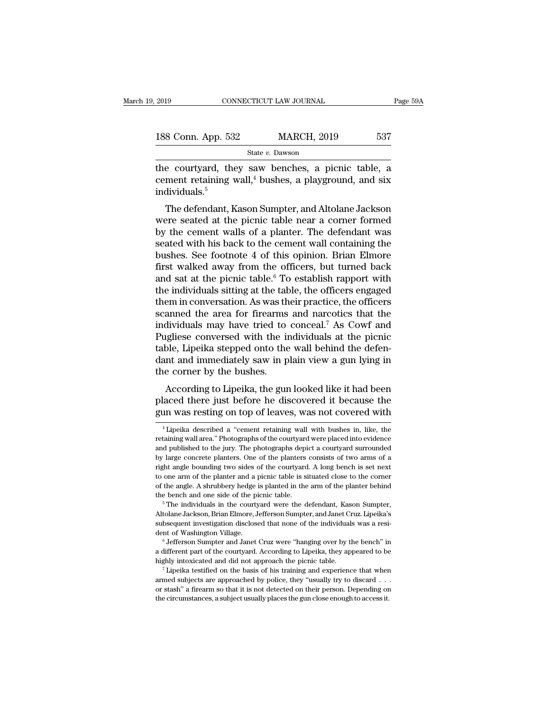| 2019               |  | CONNECTICUT LAW JOURNAL | Page 59A |
|--------------------|--|-------------------------|----------|
| 188 Conn. App. 532 |  | <b>MARCH, 2019</b>      | 537      |
|                    |  | State v. Dawson         |          |

2019 CONNECTICUT LAW JOURNAL Page 59A<br>
188 Conn. App. 532 MARCH, 2019 537<br>
State v. Dawson<br>
the courtyard, they saw benches, a picnic table, a<br>
cement retaining wall,<sup>4</sup> bushes, a playground, and six 188 Conn. App. 532 MARCH, 2019 537<br>
State v. Dawson<br>
the courtyard, they saw benches, a picnic table, a<br>
cement retaining wall,<sup>4</sup> bushes, a playground, and six<br>
individuals.<sup>5</sup> individuals.<sup>5</sup>  $\begin{array}{r} \text{8 Conn. App. 532} \end{array}$  MARCH, 2019 537<br>  $\begin{array}{r} \text{State } v. \text{ Dawson} \end{array}$ <br>
e courtyard, they saw benches, a picnic table, a<br>
ment retaining wall,<sup>4</sup> bushes, a playground, and six<br>
dividuals.<sup>5</sup><br>
The defendant, Kason Sumpter

State v. Dawson<br>the courtyard, they saw benches, a picnic table, a<br>cement retaining wall,<sup>4</sup> bushes, a playground, and six<br>individuals.<sup>5</sup><br>The defendant, Kason Sumpter, and Altolane Jackson<br>were seated at the picnic table the courtyard, they saw benches, a picnic table, a<br>cement retaining wall,<sup>4</sup> bushes, a playground, and six<br>individuals.<sup>5</sup><br>The defendant, Kason Sumpter, and Altolane Jackson<br>were seated at the picnic table near a corner fo the courty and, they saw benches, a picinc table, a<br>cement retaining wall,<sup>4</sup> bushes, a playground, and six<br>individuals.<sup>5</sup><br>The defendant, Kason Sumpter, and Altolane Jackson<br>were seated at the picnic table near a corner f Example 1 of this opinion. Subsetex, a provided and six individuals.<sup>5</sup><br>The defendant, Kason Sumpter, and Altolane Jackson<br>were seated at the picnic table near a corner formed<br>by the cement walls of a planter. The defenda The defendant, Kason Sumpter, and Altolane Jackson<br>were seated at the picnic table near a corner formed<br>by the cement walls of a planter. The defendant was<br>seated with his back to the cement wall containing the<br>bushes. See The defendant, Kason Sumpter, and Altolane Jackson<br>were seated at the picnic table near a corner formed<br>by the cement walls of a planter. The defendant was<br>seated with his back to the cement wall containing the<br>bushes. See were seated at the picnic table near a corner formed<br>by the cement walls of a planter. The defendant was<br>seated with his back to the cement wall containing the<br>bushes. See footnote 4 of this opinion. Brian Elmore<br>first wal by the cement walls of a planter. The defendant was<br>seated with his back to the cement wall containing the<br>bushes. See footnote 4 of this opinion. Brian Elmore<br>first walked away from the officers, but turned back<br>and sat seated with his back to the cement wall containing the<br>bushes. See footnote 4 of this opinion. Brian Elmore<br>first walked away from the officers, but turned back<br>and sat at the picnic table.<sup>6</sup> To establish rapport with<br>the bushes. See footnote 4 of this opinion. Brian Elmore<br>first walked away from the officers, but turned back<br>and sat at the picnic table.<sup>6</sup> To establish rapport with<br>the individuals sitting at the table, the officers engaged first walked away from the officers, but turned back<br>and sat at the picnic table.<sup>6</sup> To establish rapport with<br>the individuals sitting at the table, the officers engaged<br>them in conversation. As was their practice, the off and sat at the picnic table.<sup>6</sup> To establish rapport with the individuals sitting at the table, the officers engaged them in conversation. As was their practice, the officers scanned the area for firearms and narcotics th the individuals sitting at the table, the officers engaged<br>them in conversation. As was their practice, the officers<br>scanned the area for firearms and narcotics that the<br>individuals may have tried to conceal.<sup>7</sup> As Cowf an them in conversation. As was th<br>scanned the area for firearms<br>individuals may have tried to<br>Pugliese conversed with the in<br>table, Lipeika stepped onto the<br>dant and immediately saw in p<br>the corner by the bushes.<br>According t anned the area for meanns and narcotics that the<br>dividuals may have tried to conceal.<sup>7</sup> As Cowf and<br>gliese conversed with the individuals at the picnic<br>ble, Lipeika stepped onto the wall behind the defen-<br>nt and immediate muviduals hay have theu to conceal. As Cowr and<br>Pugliese conversed with the individuals at the picnic<br>table, Lipeika stepped onto the wall behind the defen-<br>dant and immediately saw in plain view a gun lying in<br>the corner rugnese conversed with the murviduals at the picinc<br>table, Lipeika stepped onto the wall behind the defen-<br>dant and immediately saw in plain view a gun lying in<br>the corner by the bushes.<br>According to Lipeika, the gun looke

the corner by the bushes.<br>
According to Lipeika, the gun looked like it had been<br>
placed there just before he discovered it because the<br>
gun was resting on top of leaves, was not covered with<br>  $\frac{1}{1}$ <br>  $\frac{1}{1}$  Lipeika According to Lipeika, the gun looked like it had been<br>placed there just before he discovered it because the<br>gun was resting on top of leaves, was not covered with<br><sup>4</sup> Lipeika described a "cement retaining wall with bushes

placed there just before he discovered it because the<br>gun was resting on top of leaves, was not covered with<br><sup>4</sup>Lipeika described a "cement retaining wall with bushes in, like, the<br>retaining wall area." Photographs of the gun was resting on top of leaves, was not covered with<br>
<sup>4</sup> Lipeika described a "cement retaining wall with bushes in, like, the<br>
retaining wall area." Photographs of the courtyard were placed into evidence<br>
and published Figure was resting off top of feaves, was flot covered with<br>
<sup>4</sup> Lipeika described a "cement retaining wall with bushes in, like, the<br>
retaining wall area." Photographs of the courtyard were placed into evidence<br>
and publi <sup>4</sup> Lipeika described a "cement retaining wall with bushes in, like, the retaining wall area." Photographs of the courtyard were placed into evidence and published to the jury. The photographs depict a courtyard surrounde retaining wall area." Photographs of the courtyard were placed into evidence and published to the jury. The photographs depict a courtyard surrounded by large concrete planters. One of the planters consists of two arms of Frame and published to the jury. The photographs depict a courtyard surrounded by large concrete planters. One of the planters consists of two arms of a right angle bounding two sides of the courtyard. A long bench is set by any of the planter and a picnic table is situated close to the correr to one arm of the planter and a picnic table is situated close to the correr of the angle. A shrubbery hedge is planted in the arm of the planter beh

subsequent investigation disclosed that none of the individuals was a resi-<br>to one arm of the planter and a picnic table is situated close to the corner<br>of the angle. A shrubbery hedge is planted in the arm of the planter of the angle. A shrubbery hedge is planted in the arm of the planter behind<br>the bench and one side of the picnic table.<br>
<sup>5</sup> The individuals in the courtyard were the defendant, Kason Sumpter,<br>
Altolane Jackson, Brian Elmo <sup>a</sup> <sup>5</sup> The individuals in the courtyard were the defendant, Kason Sumpter, Altolane Jackson, Brian Elmore, Jefferson Sumpter, and Janet Cruz. Lipeika's subsequent investigation disclosed that none of the individuals was a Altolane Jackson, Brian Elmore, Jefferson Sumpter, and Janet Cruz. Lipeika's<br>subsequent investigation disclosed that none of the individuals was a resi-<br>dent of Washington Village.<br><sup>6</sup> Jefferson Sumpter and Janet Cruz were

are a different part of Washington Village.<br>
Control of Washington Village.<br>
Control of the courty and Janet Cruz were "hanging over by the bench" in<br>
a different part of the courty area. According to Lipeika, they appeare <sup>or</sup> Jefferson Sumpter and Janet Cruz were "hanging over by the bench" in a different part of the courtyard. According to Lipeika, they appeared to be highly intoxicated and did not approach the picnic table. Their person a different part of the courtyard. According to Lipeika, they appeared to be highly intoxicated and did not approach the picnic table.<br><sup>7</sup> Lipeika testified on the basis of his training and experience that when armed subje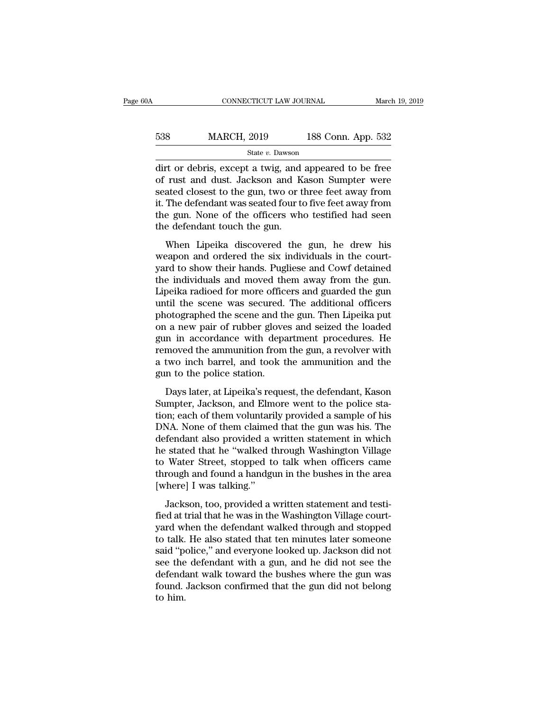| 0A  | CONNECTICUT LAW JOURNAL |                    | March 19, 2019 |
|-----|-------------------------|--------------------|----------------|
| 538 | <b>MARCH, 2019</b>      | 188 Conn. App. 532 |                |
|     | State v. Dawson         |                    |                |

 $\begin{array}{r|l} \text{COMRECTICUT LAW JOURNAL} \text{March 19, 2019} \\\\ \hline \text{538} & \text{MARCH, 2019} & \text{188 Conn. App. 532} \\\\ \hline \text{State } v. \text{ Dawson} \\\\ \hline \text{dirt or debris, except a twig, and appeared to be free} \\\ \text{of rust and dust. Jackson and Kason Summer were} \\\\ \text{soated closest to the gun two or three foot away from} \end{array}$  $\begin{array}{lll} \text{538} & \text{MARCH, 2019} & \text{188 Conn. App. 532} \\ & \text{State } v. \text{ Dawson} \end{array}$ <br>dirt or debris, except a twig, and appeared to be free of rust and dust. Jackson and Kason Sumpter were seated closest to the gun, two or three feet away f  $\begin{array}{lll}\n & \text{MARCH, 2019} & \text{188 Conn. App. 532} \\
 & \text{State } v. \text{ Dawson} \\
\hline\n\end{array}\n\text{dit or debris, except a twig, and appeared to be free of rust and dust. Jackson and Kason Summer were seated closest to the gun, two or three feet away from it. The defendant was seated four to five feet away from the gun. None of the officers who testified had soon.$  $\frac{\text{538}}{\text{State } v. \text{ Dawson}}$ <br>  $\frac{\text{State } v. \text{ Dawson}}{\text{dirt or debris, except a twig, and appeared to be free}}$ <br>
of rust and dust. Jackson and Kason Sumpter were<br>
seated closest to the gun, two or three feet away from<br>
it. The defendant was seated four to five feet away f State v. Dawson<br>
dirt or debris, except a twig, and appeared to be free<br>
of rust and dust. Jackson and Kason Sumpter were<br>
seated closest to the gun, two or three feet away from<br>
it. The defendant was seated four to five  $\begin{array}{l} \text{state } v \text{.} \text{ Dawson} \\ \text{dirt or debris, except a twig, and} \\ \text{of rust and dust. Jackson and K} \\ \text{seated closest to the gun, two or t} \\ \text{it. The defendant was seated four to the gun. None of the officers who the defendant touch the gun.} \\ \text{When Lipeika discovered the} \end{array}$ The details, except a twig, and appeared to be rice<br>rust and dust. Jackson and Kason Sumpter were<br>ated closest to the gun, two or three feet away from<br>The defendant was seated four to five feet away from<br>e gun. None of the or rust and tast. Sackson and nason sampler were<br>seated closest to the gun, two or three feet away from<br>it. The defendant was seated four to five feet away from<br>the gun. None of the officers who testified had seen<br>the defe

it. The defendant was seated four to five feet away from<br>it. The defendant was seated four to five feet away from<br>the gun. None of the officers who testified had seen<br>the defendant touch the gun.<br>When Lipeika discovered th the gun. None of the officers who testified had seen<br>the gun. None of the officers who testified had seen<br>the defendant touch the gun.<br>When Lipeika discovered the gun, he drew his<br>weapon and ordered the six individuals in The defendant touch the gun.<br>
When Lipeika discovered the gun, he drew his<br>
weapon and ordered the six individuals in the court-<br>
yard to show their hands. Pugliese and Cowf detained<br>
the individuals and moved them away fr When Lipeika discovered the gun, he drew his<br>weapon and ordered the six individuals in the court-<br>yard to show their hands. Pugliese and Cowf detained<br>the individuals and moved them away from the gun.<br>Lipeika radioed for m When Lipeika discovered the gun, he drew his<br>weapon and ordered the six individuals in the court-<br>yard to show their hands. Pugliese and Cowf detained<br>the individuals and moved them away from the gun.<br>Lipeika radioed for m weapon and ordered the six individuals in the court-<br>yard to show their hands. Pugliese and Cowf detained<br>the individuals and moved them away from the gun.<br>Lipeika radioed for more officers and guarded the gun<br>until the sc yard to show their hands. Pugliese and Cowf detained<br>the individuals and moved them away from the gun.<br>Lipeika radioed for more officers and guarded the gun<br>until the scene was secured. The additional officers<br>photographed the individuals and moved them away from the gun.<br>Lipeika radioed for more officers and guarded the gun<br>until the scene was secured. The additional officers<br>photographed the scene and the gun. Then Lipeika put<br>on a new pai Lipeika radioed for more officers and guarded the gun<br>until the scene was secured. The additional officers<br>photographed the scene and the gun. Then Lipeika put<br>on a new pair of rubber gloves and seized the loaded<br>gun in ac until the scene was secured.<br>photographed the scene and th<br>on a new pair of rubber glove<br>gun in accordance with depa<br>removed the ammunition from<br>a two inch barrel, and took t<br>gun to the police station.<br>Days later, at Lipei  $\alpha$  a new pair of rubber gloves and seized the loaded<br>
i a new pair of rubber gloves and seized the loaded<br>
in in accordance with department procedures. He<br>
moved the ammunition from the gun, a revolver with<br>
two inch ba Sumpter in a new pair of rabber groves and sealed are roaded<br>gun in accordance with department procedures. He<br>removed the ammunition from the gun, a revolver with<br>a two inch barrel, and took the ammunition and the<br>gun to t

Fremoved the ammunition from the gun, a revolver with<br>a two inch barrel, and took the ammunition and the<br>gun to the police station.<br>Days later, at Lipeika's request, the defendant, Kason<br>Sumpter, Jackson, and Elmore went t removed are diminimated from are gan, a revolver was<br>a two inch barrel, and took the ammunition and the<br>gun to the police station.<br>Days later, at Lipeika's request, the defendant, Kason<br>Sumpter, Jackson, and Elmore went to defendant also here is a worder state.<br>
gun to the police station.<br>
Days later, at Lipeika's request, the defendant, Kason<br>
Sumpter, Jackson, and Elmore went to the police sta-<br>
tion; each of them voluntarily provided a sa he stated that he is different to the police stated Sumpter, Jackson, and Elmore went to the police station; each of them voluntarily provided a sample of his DNA. None of them claimed that the gun was his. The defendant a Days later, at Lipeika's request, the defendant, Kason<br>Sumpter, Jackson, and Elmore went to the police sta-<br>tion; each of them voluntarily provided a sample of his<br>DNA. None of them claimed that the gun was his. The<br>defend Sumpter, Jackson, and Elmore went to the police station; each of them voluntarily provided a sample of his DNA. None of them claimed that the gun was his. The defendant also provided a written statement in which he stated tion; each of them voluntari<br>DNA. None of them claimed<br>defendant also provided a v<br>he stated that he "walked t<br>to Water Street, stopped to<br>through and found a handgı<br>[where] I was talking."<br>Jackson, too, provided a v Fendant also provided a written statement in which<br>fendant also provided a written statement in which<br>stated that he "walked through Washington Village<br>Water Street, stopped to talk when officers came<br>rough and found a han field at trial that he "walked through Washington Village<br>to Water Street, stopped to talk when officers came<br>through and found a handgun in the bushes in the area<br>[where] I was talking."<br>Jackson, too, provided a written s

to Water Street, stopped to talk when officers came<br>through and found a handgun in the bushes in the area<br>[where] I was talking."<br>Jackson, too, provided a written statement and testi-<br>fied at trial that he was in the Washi through and found a handgun in the bushes in the area<br>
[where] I was talking."<br>
Jackson, too, provided a written statement and testi-<br>
fied at trial that he was in the Washington Village court-<br>
yard when the defendant wal said of the last is a staking."<br>
Jackson, too, provided a written statement and testi-<br>
fied at trial that he was in the Washington Village court-<br>
yard when the defendant walked through and stopped<br>
to talk. He also state Jackson, too, provided a written statement and testi-<br>fied at trial that he was in the Washington Village court-<br>yard when the defendant walked through and stopped<br>to talk. He also stated that ten minutes later someone<br>sa Jackson, too, provided a written statement and testi-<br>fied at trial that he was in the Washington Village court-<br>yard when the defendant walked through and stopped<br>to talk. He also stated that ten minutes later someone<br>sai fied at trial that he was in the Washington Village court-<br>yard when the defendant walked through and stopped<br>to talk. He also stated that ten minutes later someone<br>said "police," and everyone looked up. Jackson did not<br>se yard wl<br>to talk.<br>said "po<br>see the<br>defend:<br>found.<br>to him.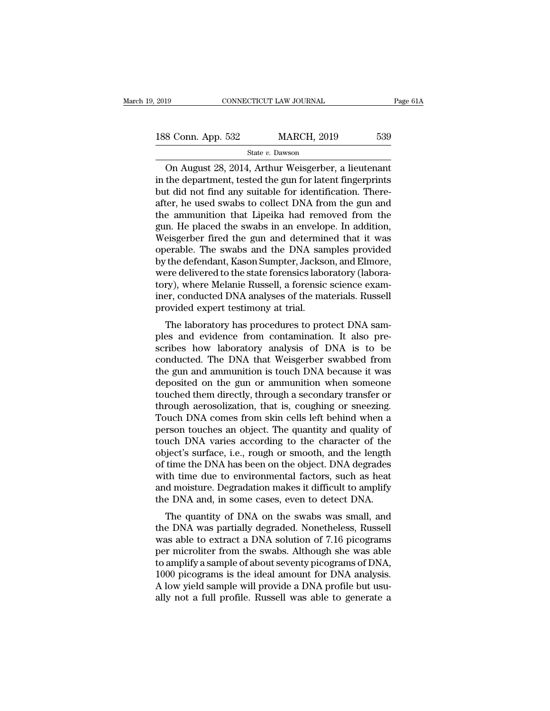CONNECTICUT LAW JOURNAL Page 61<br>
8 Conn. App. 532 MARCH, 2019 539<br>
State v. Dawson<br>
On August 28, 2014, Arthur Weisgerber, a lieutenant<br>
the department, tested the gun for latent fingerprints<br>
the did not find any suitable 188 Conn. App. 532 MARCH, 2019 539<br>
State v. Dawson<br>
On August 28, 2014, Arthur Weisgerber, a lieutenant<br>
in the department, tested the gun for latent fingerprints<br>
but did not find any suitable for identification. There-188 Conn. App. 532 MARCH, 2019 539<br>
State v. Dawson<br>
On August 28, 2014, Arthur Weisgerber, a lieutenant<br>
in the department, tested the gun for latent fingerprints<br>
but did not find any suitable for identification. There-188 Conn. App. 532 MARCH, 2019 539<br>
State v. Dawson<br>
On August 28, 2014, Arthur Weisgerber, a lieutenant<br>
in the department, tested the gun for latent fingerprints<br>
but did not find any suitable for identification. There-State v. Dawson<br>
On August 28, 2014, Arthur Weisgerber, a lieutenant<br>
in the department, tested the gun for latent fingerprints<br>
but did not find any suitable for identification. There-<br>
after, he used swabs to collect DN State v. Dawson<br>
State v. Dawson<br>
in the department, tested the gun for latent fingerprints<br>
but did not find any suitable for identification. There-<br>
after, he used swabs to collect DNA from the gun and<br>
the ammunition t On August 28, 2014, Arthur Weisgerber, a lieutenant<br>in the department, tested the gun for latent fingerprints<br>but did not find any suitable for identification. There-<br>after, he used swabs to collect DNA from the gun and<br>th in the department, tested the gun for latent fingerprints<br>but did not find any suitable for identification. There-<br>after, he used swabs to collect DNA from the gun and<br>the ammunition that Lipeika had removed from the<br>gun. but did not find any suitable for identification. There-<br>after, he used swabs to collect DNA from the gun and<br>the ammunition that Lipeika had removed from the<br>gun. He placed the swabs in an envelope. In addition,<br>Weisgerbe after, he used swabs to collect DNA from the gun and<br>the ammunition that Lipeika had removed from the<br>gun. He placed the swabs in an envelope. In addition,<br>Weisgerber fired the gun and determined that it was<br>operable. The the ammunition that Lipeika had removed from the<br>gun. He placed the swabs in an envelope. In addition,<br>Weisgerber fired the gun and determined that it was<br>operable. The swabs and the DNA samples provided<br>by the defendant, gun. He placed the swabs in an envelope. In addition,<br>Weisgerber fired the gun and determined that it was<br>operable. The swabs and the DNA samples provided<br>by the defendant, Kason Sumpter, Jackson, and Elmore,<br>were delivere Weisgerber fired the gun and determin<br>operable. The swabs and the DNA san<br>by the defendant, Kason Sumpter, Jackso<br>were delivered to the state forensics labo<br>tory), where Melanie Russell, a forensic<br>iner, conducted DNA anal Frames. The swabs and the DNA samples provided<br>the defendant, Kason Sumpter, Jackson, and Elmore,<br>ere delivered to the state forensics laboratory (labora-<br>ry), where Melanie Russell, a forensic science exam-<br>er, conducted by the defendant, Kason Sumpter, Jackson, and Emore,<br>were delivered to the state forensics laboratory (labora-<br>tory), where Melanie Russell, a forensic science exam-<br>iner, conducted DNA analyses of the materials. Russell<br>p

were denvered to the state forensics faboratory (faboratory), where Melanie Russell, a forensic science examiner, conducted DNA analyses of the materials. Russell provided expert testimony at trial.<br>The laboratory has proc tory), where metalle russel, a forensic science examiner, conducted DNA analyses of the materials. Russell<br>provided expert testimony at trial.<br>The laboratory has procedures to protect DNA sam-<br>ples and evidence from contam the gun and ammunition is to general and ammunition. It also prescribes how laboratory analysis of DNA is to be conducted. The DNA that Weisgerber swabbed from the gun and ammunition is touch DNA because it was deposited o The laboratory has procedures to protect DNA samples and evidence from contamination. It also prescribes how laboratory analysis of DNA is to be conducted. The DNA that Weisgerber swabbed from the gun and ammunition is tou The laboratory has procedures to protect DNA samples and evidence from contamination. It also prescribes how laboratory analysis of DNA is to be conducted. The DNA that Weisgerber swabbed from the gun and ammunition is tou ples and evidence from contamination. It also pre-<br>scribes how laboratory analysis of DNA is to be<br>conducted. The DNA that Weisgerber swabbed from<br>the gun and ammunition is touch DNA because it was<br>deposited on the gun or scribes how laboratory analysis of DNA is to be<br>conducted. The DNA that Weisgerber swabbed from<br>the gun and ammunition is touch DNA because it was<br>deposited on the gun or ammunition when someone<br>touched them directly, thro conducted. The DNA that Weisgerber swabbed from<br>the gun and ammunition is touch DNA because it was<br>deposited on the gun or ammunition when someone<br>touched them directly, through a secondary transfer or<br>through aerosolizati the gun and ammunition is touch DNA because it was<br>deposited on the gun or ammunition when someone<br>touched them directly, through a secondary transfer or<br>through aerosolization, that is, coughing or sneezing.<br>Touch DNA com deposited on the gun or ammunition when someone<br>touched them directly, through a secondary transfer or<br>through aerosolization, that is, coughing or sneezing.<br>Touch DNA comes from skin cells left behind when a<br>person touche touched them directly, through a secondary transfer or<br>through aerosolization, that is, coughing or sneezing.<br>Touch DNA comes from skin cells left behind when a<br>person touches an object. The quantity and quality of<br>touch D through aerosolization, that is, coughing or sneezing.<br>Touch DNA comes from skin cells left behind when a<br>person touches an object. The quantity and quality of<br>touch DNA varies according to the character of the<br>object's su Touch DNA comes from skin cells left behind when a<br>person touches an object. The quantity and quality of<br>touch DNA varies according to the character of the<br>object's surface, i.e., rough or smooth, and the length<br>of time th person touches an object. The quantity and quality of<br>touch DNA varies according to the character of the<br>object's surface, i.e., rough or smooth, and the length<br>of time the DNA has been on the object. DNA degrades<br>with tim der DNA varies according to the character of the<br>ject's surface, i.e., rough or smooth, and the length<br>time the DNA has been on the object. DNA degrades<br>th time due to environmental factors, such as heat<br>d moisture. Degrad object s surface, i.e., fough of shibout, and the length<br>of time the DNA has been on the object. DNA degrades<br>with time due to environmental factors, such as heat<br>and moisture. Degradation makes it difficult to amplify<br>the

of the the DNA has been on the object. DNA degrades<br>with time due to environmental factors, such as heat<br>and moisture. Degradation makes it difficult to amplify<br>the DNA and, in some cases, even to detect DNA.<br>The quantity with thile due to environmental factors, such as heat<br>and moisture. Degradation makes it difficult to amplify<br>the DNA and, in some cases, even to detect DNA.<br>The quantity of DNA on the swabs was small, and<br>the DNA was part and moisture. Degradation makes it difficult to amplify<br>the DNA and, in some cases, even to detect DNA.<br>The quantity of DNA on the swabs was small, and<br>the DNA was partially degraded. Nonetheless, Russell<br>was able to extra The quantity of DNA on the swabs was small, and<br>the DNA was partially degraded. Nonetheless, Russell<br>was able to extract a DNA solution of 7.16 picograms<br>per microliter from the swabs. Although she was able<br>to amplify a sa The quantity of DNA on the swabs was small, and<br>the DNA was partially degraded. Nonetheless, Russell<br>was able to extract a DNA solution of 7.16 picograms<br>per microliter from the swabs. Although she was able<br>to amplify a sa the DNA was partially degraded. Nonetheless, Russell<br>was able to extract a DNA solution of 7.16 picograms<br>per microliter from the swabs. Although she was able<br>to amplify a sample of about seventy picograms of DNA,<br>1000 pic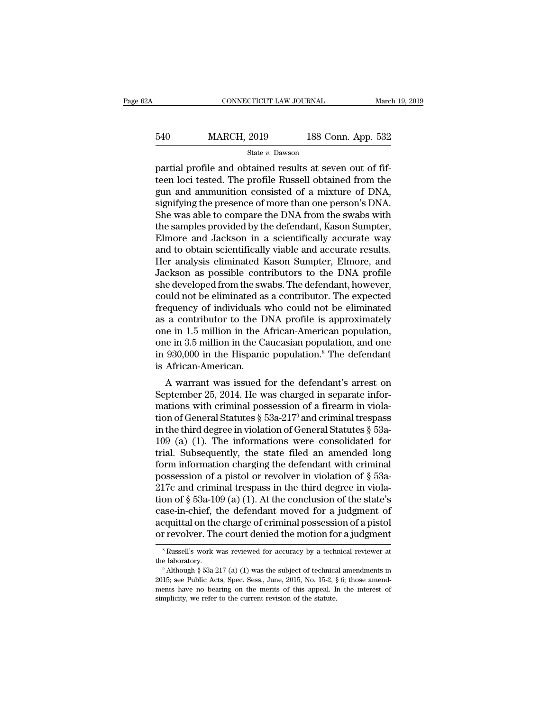# EXECUTE CONNECTICUT LAW JOURNAL March 19, 2019<br>540 MARCH, 2019 188 Conn. App. 532<br>5tate v. Dawson State *v.* Dawson

 $\begin{array}{ccc}\n & \text{COMRECTICUT LAW JOURNAL} & \text{Marc}\n \hline\n 540 & \text{MARCH, } 2019 & \text{188 Conn. App. 532}\n \hline\n \end{array}$ <br>  $\begin{array}{ccc}\n & \text{State } v. \text{ Dawson} \\
 \text{partial profile and obtained results at seven out of fifteen loci tested. The profile Russell obtained from the\n \end{array}$ 540 MARCH, 2019 188 Conn. App. 532<br>  $\frac{\text{State } v. \text{ Dawson}}{\text{partial profile and obtained results at seven out of fif-} }$ <br>
teen loci tested. The profile Russell obtained from the gun and ammunition consisted of a mixture of DNA,<br>
signifying the prosence of more than one per  $\frac{\text{540}}{\text{State } v. \text{ Dawson}}$  188 Conn. App. 532<br>
partial profile and obtained results at seven out of fif-<br>
teen loci tested. The profile Russell obtained from the<br>
gun and ammunition consisted of a mixture of DNA,<br>
signifyi  $\begin{array}{lll} \text{540} & \text{MARCH, 2019} & \text{188 Conn. App. 532} \\ & & \\ \hline \text{540} & \text{540} & \text{540} \\ \text{553} & \text{554} \\ \text{564} & \text{574} \\ \text{574} & \text{584} \\ \text{585} & \text{574} \\ \text{586} & \text{574} \\ \text{586} & \text{574} \\ \text{586} & \text{574} \\ \text{586} & \text{574} \\ \text{586} & \text{574} \\ \$ She was able to compare the DNA from the swabs with the samples provided by the defendant, Kason Sumpter,<br>Experiment and annunition consisted of a mixture of DNA,<br>signifying the presence of more than one person's DNA.<br>She state v. Dawson<br>partial profile and obtained results at seven out of fif-<br>teen loci tested. The profile Russell obtained from the<br>gun and ammunition consisted of a mixture of DNA,<br>signifying the presence of more than one p partial profile and obtained results at seven out of fif-<br>teen loci tested. The profile Russell obtained from the<br>gun and ammunition consisted of a mixture of DNA,<br>signifying the presence of more than one person's DNA.<br>She teen loci tested. The profile Russell obtained from the<br>gun and ammunition consisted of a mixture of DNA,<br>signifying the presence of more than one person's DNA.<br>She was able to compare the DNA from the swabs with<br>the sampl gun and ammunition consisted of a mixture of DNA,<br>signifying the presence of more than one person's DNA.<br>She was able to compare the DNA from the swabs with<br>the samples provided by the defendant, Kason Sumpter,<br>Elmore and signifying the presence of more than one person's DNA.<br>She was able to compare the DNA from the swabs with<br>the samples provided by the defendant, Kason Sumpter,<br>Elmore and Jackson in a scientifically accurate way<br>and to ob She was able to compare the DNA from the swabs with<br>the samples provided by the defendant, Kason Sumpter,<br>Elmore and Jackson in a scientifically accurate way<br>and to obtain scientifically viable and accurate results.<br>Her an the samples provided by the defendant, Kason Sumpter,<br>Elmore and Jackson in a scientifically accurate way<br>and to obtain scientifically viable and accurate results.<br>Her analysis eliminated Kason Sumpter, Elmore, and<br>Jackson Elmore and Jackson in a scientifically accurate way<br>and to obtain scientifically viable and accurate results.<br>Her analysis eliminated Kason Sumpter, Elmore, and<br>Jackson as possible contributors to the DNA profile<br>she devel and to obtain scientifically viable and accurate results.<br>Her analysis eliminated Kason Sumpter, Elmore, and<br>Jackson as possible contributors to the DNA profile<br>she developed from the swabs. The defendant, however,<br>could n Her analysis eliminated Kason Sumpter, Elmore, and<br>Jackson as possible contributors to the DNA profile<br>she developed from the swabs. The defendant, however,<br>could not be eliminated as a contributor. The expected<br>frequency Jackson as possible contributors to the DNA profile<br>she developed from the swabs. The defendant, however,<br>could not be eliminated as a contributor. The expected<br>frequency of individuals who could not be eliminated<br>as a con she developed from the swabs. The defendant, however,<br>could not be eliminated as a contributor. The expected<br>frequency of individuals who could not be eliminated<br>as a contributor to the DNA profile is approximately<br>one in could not be eliminated as<br>frequency of individuals v<br>as a contributor to the D<br>one in 1.5 million in the  $\ell$ <br>one in 3.5 million in the C;<br>in 930,000 in the Hispanic<br>is African-American.<br>A warrant was issued 1 a contributor to the DNA profile is approximately<br>
is a contributor to the DNA profile is approximately<br>
ie in 1.5 million in the African-American population,<br>
ie in 3.5 million in the Caucasian population, and one<br>
930,0 as a commutual to the DNA prome is approximately<br>one in 1.5 million in the African-American population,<br>one in 3.5 million in the Caucasian population, and one<br>in 930,000 in the Hispanic population.<sup>8</sup> The defendant<br>is Af

one in 1.5 minion in the African-American population,<br>one in 3.5 million in the Caucasian population, and one<br>in 930,000 in the Hispanic population.<sup>8</sup> The defendant<br>is African-American.<br>A warrant was issued for the defen one in 3.5 minion in the Caucasian population, and one<br>in 930,000 in the Hispanic population.<sup>8</sup> The defendant<br>is African-American.<br>A warrant was issued for the defendant's arrest on<br>September 25, 2014. He was charged in In 550,000 in the Hispanic population. The defendant<br>is African-American.<br>A warrant was issued for the defendant's arrest on<br>September 25, 2014. He was charged in separate infor-<br>mations with criminal possession of a fire 109 (a) (1). The information charging the defendant's arrest on<br>September 25, 2014. He was charged in separate informations with criminal possession of a firearm in viola-<br>tion of General Statutes  $\S$  53a-217<sup>9</sup> and crimi A warrant was issued for the defendant's arrest on<br>September 25, 2014. He was charged in separate infor-<br>mations with criminal possession of a firearm in viola-<br>tion of General Statutes § 53a-217<sup>9</sup> and criminal trespass<br> September 25, 2014. He was charged in separate informations with criminal possession of a firearm in violation of General Statutes § 53a-217<sup>9</sup> and criminal trespass<br>in the third degree in violation of General Statutes § mations with criminal possession of a firearm in violation of General Statutes § 53a-217<sup>9</sup> and criminal trespass<br>in the third degree in violation of General Statutes § 53a-<br>109 (a) (1). The informations were consolidated tion of General Statutes § 53a-217<sup>9</sup> and criminal trespass<br>in the third degree in violation of General Statutes § 53a-<br>109 (a) (1). The informations were consolidated for<br>trial. Subsequently, the state filed an amended l in the third degree in violation of General Statutes  $\S$  53a-109 (a) (1). The informations were consolidated for trial. Subsequently, the state filed an amended long form information charging the defendant with criminal p 109 (a) (1). The informations were consolidated for<br>trial. Subsequently, the state filed an amended long<br>form information charging the defendant with criminal<br>possession of a pistol or revolver in violation of  $\S$  53a-<br>21 trial. Subsequently, the state filed an amended long<br>form information charging the defendant with criminal<br>possession of a pistol or revolver in violation of  $\S$  53a-<br>217c and criminal trespass in the third degree in viol form information charging the defendant with criminal possession of a pistol or revolver in violation of § 53a-217c and criminal trespass in the third degree in violation of § 53a-109 (a) (1). At the conclusion of the sta on of § 53a-109 (a) (1). At the conclusion of the state's<br>ase-in-chief, the defendant moved for a judgment of<br>cquittal on the charge of criminal possession of a pistol<br>revolver. The court denied the motion for a judgment<br> case-in-chief, the defendant moved for a judgment of acquittal on the charge of criminal possession of a pistol<br>or revolver. The court denied the motion for a judgment<br> $^8$ Russell's work was reviewed for accuracy by a tec

or revolver. The court denied the motion for a judgment<br>
<sup>8</sup> Russell's work was reviewed for accuracy by a technical reviewer at<br>
the laboratory.<br>
<sup>9</sup> Although § 53a-217 (a) (1) was the subject of technical amendments in<br> <sup>8</sup> Russell's work was reviewed for accuracy by a technical reviewer at the laboratory.<br><sup>9</sup> Although § 53a-217 (a) (1) was the subject of technical amendments in  $2015$ ; see Public Acts, Spec. Sess., June, 2015, No. 15-2, <sup>8</sup> Russell's work was reviewed for accuracy by a tech<br>the laboratory.<br><sup>9</sup> Although § 53a-217 (a) (1) was the subject of technica<br>2015; see Public Acts, Spec. Sess., June, 2015, No. 15-2, §<br>ments have no bearing on the me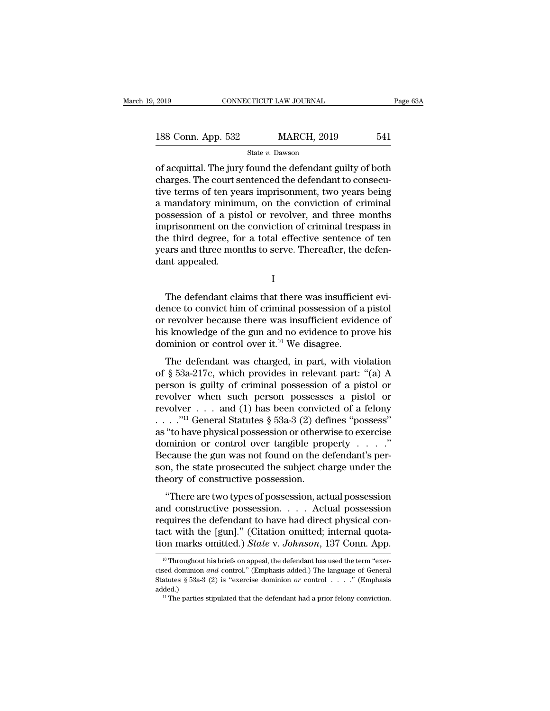| 2019               |  | CONNECTICUT LAW JOURNAL | Page 63A |  |
|--------------------|--|-------------------------|----------|--|
| 188 Conn. App. 532 |  | <b>MARCH, 2019</b>      | 541      |  |
| State v. Dawson    |  |                         |          |  |

 $\begin{array}{|l|l|} \hline \text{2019} & \text{COMRECTICUT LAW JOURNAL} & \text{Page 63A} \ \hline \text{188 Conn. App. 532} & \text{MARCH, 2019} & \text{541} \ \hline \text{State } v. \text{ Dawson} & \text{of acquittal. The jury found the defendant guilty of both charges. The court sentence the defendant to consecutive terms of top users immigration. How many happens to find a specific number of times.} \hline \end{array}$ 188 Conn. App. 532 MARCH, 2019 541<br>
State v. Dawson<br>
of acquittal. The jury found the defendant guilty of both<br>
charges. The court sentenced the defendant to consecu-<br>
tive terms of ten years imprisonment, two years being 188 Conn. App. 532 MARCH, 2019 541<br>
State v. Dawson<br>
of acquittal. The jury found the defendant guilty of both<br>
charges. The court sentenced the defendant to consecu-<br>
tive terms of ten years imprisonment, two years being 188 Conn. App. 532 MARCH, 2019 541<br>
State v. Dawson<br>
of acquittal. The jury found the defendant guilty of both<br>
charges. The court sentenced the defendant to consecu-<br>
tive terms of ten years imprisonment, two years being State v. Dawson<br>
of acquittal. The jury found the defendant guilty of both<br>
charges. The court sentenced the defendant to consecu-<br>
tive terms of ten years imprisonment, two years being<br>
a mandatory minimum, on the convic state v. Dawson<br>
of acquittal. The jury found the defendant guilty of both<br>
charges. The court sentenced the defendant to consecu-<br>
tive terms of ten years imprisonment, two years being<br>
a mandatory minimum, on the convic of acquittal. The jury found the defendant guilty of both<br>charges. The court sentenced the defendant to consecu-<br>tive terms of ten years imprisonment, two years being<br>a mandatory minimum, on the conviction of criminal<br>poss charges. The court sentenced the defendant to consecutive terms of ten years imprisonment, two years being a mandatory minimum, on the conviction of criminal possession of a pistol or revolver, and three months imprisonmen tive terms of ten year<br>a mandatory minim<br>possession of a pis<br>imprisonment on the<br>the third degree, fo<br>years and three mor<br>dant appealed. prisonment on the conviction of criminal trespass in<br>
e third degree, for a total effective sentence of ten<br>
ars and three months to serve. Thereafter, the defen-<br>
nt appealed.<br>
I<br>
The defendant claims that there was insuf

I

the third degree, for a total effective sentence of ten<br>years and three months to serve. Thereafter, the defen-<br>dant appealed.<br>I<br>The defendant claims that there was insufficient evi-<br>dence to convict him of criminal posses years and three months to serve. Thereafter, the defen-<br>dant appealed.<br>I<br>The defendant claims that there was insufficient evi-<br>dence to convict him of criminal possession of a pistol<br>or revolver because there was insuffic dant appealed.<br>
I<br>
The defendant claims that there was insufficient evidence to convict him of criminal possession of a pistol<br>
or revolver because there was insufficient evidence of<br>
his knowledge of the gun and no evide I<br>
The defendant claims that there was insufficie<br>
dence to convict him of criminal possession of a<br>
or revolver because there was insufficient evide<br>
his knowledge of the gun and no evidence to pro<br>
dominion or control o The defendant claims that there was insufficient evi-<br>nce to convict him of criminal possession of a pistol<br>revolver because there was insufficient evidence of<br>s knowledge of the gun and no evidence to prove his<br>minion or The detendant elains that there was insufficient evidence to convict him of criminal possession of a pistol<br>or revolver because there was insufficient evidence of<br>his knowledge of the gun and no evidence to prove his<br>domi

or revolver because there was insufficient evidence of<br>his knowledge of the gun and no evidence to prove his<br>dominion or control over it.<sup>10</sup> We disagree.<br>The defendant was charged, in part, with violation<br>of § 53a-217c, between because there was instance to vidence of<br>his knowledge of the gun and no evidence to prove his<br>dominion or control over it.<sup>10</sup> We disagree.<br>The defendant was charged, in part, with violation<br>of § 53a-217c, which The defendant was charged, in part, with violation<br>of § 53a-217c, which provides in relevant part: "(a) A<br>person is guilty of criminal possession of a pistol or<br>revolver when such person possesses a pistol or<br>revolver ... The defendant was charged, in part, with violation<br>of § 53a-217c, which provides in relevant part: "(a) A<br>person is guilty of criminal possession of a pistol or<br>revolver when such person possesses a pistol or<br>revolver . . The defendant was charged, in part, with violation<br>
of § 53a-217c, which provides in relevant part: "(a) A<br>
person is guilty of criminal possession of a pistol or<br>
revolver when such person possesses a pistol or<br>
revolver of § 53a-217c, which provides in relevant part: "(a) A<br>person is guilty of criminal possession of a pistol or<br>revolver when such person possesses a pistol or<br>revolver . . . and (1) has been convicted of a felony<br> $\dots$ ."<sup>11</sup> Because the gun was not found on the defendant's perrevolver when such person possesses a pistol or<br>revolver . . . and (1) has been convicted of a felony<br>..."<sup>11</sup> General Statutes § 53a-3 (2) defines "possess"<br>as "to have physical possession or otherwise to exercise<br>domini revolver . . . and (1) has been convic<br>
. . . . ."<sup>11</sup> General Statutes  $\S$  53a-3 (2) det<br>
as "to have physical possession or otherv<br>
dominion or control over tangible pro<br>
Because the gun was not found on the d<br>
son, the "to have physical possession or otherwise to exercise<br>
"to have physical possession or otherwise to exercise<br>
ecause the gun was not found on the defendant's per-<br>
n, the state prosecuted the subject charge under the<br>
eor as to have physical possession of otherwise to exercise<br>dominion or control over tangible property . . . ."<br>Because the gun was not found on the defendant's per-<br>son, the state prosecuted the subject charge under the<br>theo

Frequires the defendant of the direct physics of physics of physics on, the state prosecuted the subject charge under the theory of constructive possession.<br>
"There are two types of possession, actual possession and const Eccludes the gan was not found on the detendants per<br>son, the state prosecuted the subject charge under the<br>theory of constructive possession.<br>"There are two types of possession, actual possession<br>and constructive possessi theory of constructive possession.<br>
"There are two types of possession, actual possession<br>
and constructive possession.... Actual possession<br>
requires the defendant to have had direct physical con-<br>
tact with the [gun]." ( nd constructive possession. . . . . Actual possession<br>equires the defendant to have had direct physical con-<br>loct with the [gun]." (Citation omitted; internal quota-<br>on marks omitted.) State v. Johnson, 137 Conn. App.<br><sup>10</sup> requires the defendant to have had direct physical contact with the [gun]." (Citation omitted; internal quotation marks omitted.) *State v. Johnson*, 137 Conn. App.<br><sup>10</sup> Throughout his briefs on appeal, the defendant has u

tact with the [gun]." (Citation omitted; internal quotation marks omitted.) *State* v. *Johnson*, 137 Conn. App.<br>
<sup>10</sup> Throughout his briefs on appeal, the defendant has used the term "exercised dominion *and* control." (E added.) 11 **the parties stipulated that the defendant has used the term** "exercised dominion *and* control." (Emphasis added.) The language of General Statutes § 53a-3 (2) is "exercise dominion *or* control...." (Emphasis added.)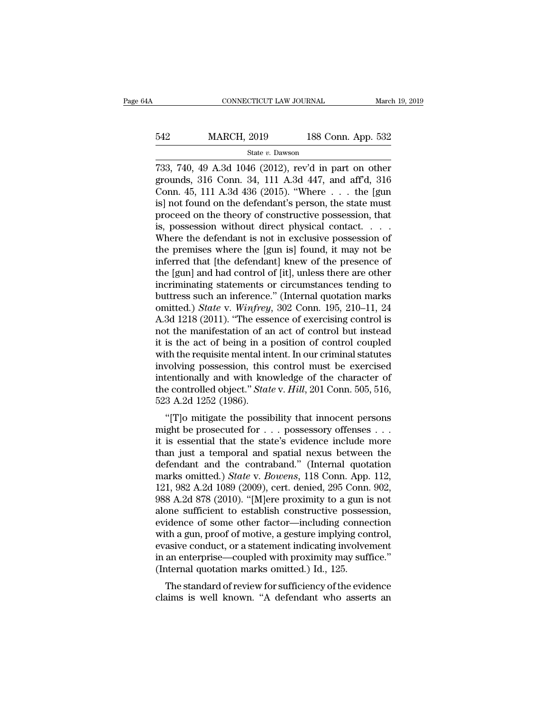# EXECUTE CONNECTICUT LAW JOURNAL March 19, 2019<br>542 MARCH, 2019 188 Conn. App. 532<br>5tate v. Dawson

### State *v.* Dawson

CONNECTICUT LAW JOURNAL March 19, 2019<br>
542 MARCH, 2019 188 Conn. App. 532<br>
542 MARCH, 2019 188 Conn. App. 532<br>
542 State v. Dawson<br>
733, 740, 49 A.3d 1046 (2012), rev'd in part on other<br>
grounds, 316 Conn. 34, 111 A.3d 44 MARCH, 2019 188 Conn. App. 532<br>
State v. Dawson<br>
733, 740, 49 A.3d 1046 (2012), rev'd in part on other<br>
grounds, 316 Conn. 34, 111 A.3d 447, and aff'd, 316<br>
Conn. 45, 111 A.3d 436 (2015). "Where ... the [gun<br>
isl not found MARCH, 2019 188 Conn. App. 532<br>
State v. Dawson<br>
T33, 740, 49 A.3d 1046 (2012), rev'd in part on other<br>
grounds, 316 Conn. 34, 111 A.3d 447, and aff'd, 316<br>
Conn. 45, 111 A.3d 436 (2015). "Where ... the [gun<br>
is] not foun 542 MARCH, 2019 188 Conn. App. 532<br>
state v. Dawson<br>
733, 740, 49 A.3d 1046 (2012), rev'd in part on other<br>
grounds, 316 Conn. 34, 111 A.3d 447, and aff'd, 316<br>
Conn. 45, 111 A.3d 436 (2015). "Where ... the [gun<br>
is] not State v. Dawson<br>
State v. Dawson<br>
733, 740, 49 A.3d 1046 (2012), rev'd in part on other<br>
grounds, 316 Conn. 34, 111 A.3d 447, and aff'd, 316<br>
Conn. 45, 111 A.3d 436 (2015). "Where ... the [gun<br>
is] not found on the defend state v. Dawson<br>
733, 740, 49 A.3d 1046 (2012), rev'd in part on other<br>
grounds, 316 Conn. 34, 111 A.3d 447, and aff'd, 316<br>
Conn. 45, 111 A.3d 436 (2015). "Where ... the [gun<br>
is] not found on the defendant's person, the 733, 740, 49 A.3d 1046 (2012), rev'd in part on other<br>grounds, 316 Conn. 34, 111 A.3d 447, and aff'd, 316<br>Conn. 45, 111 A.3d 436 (2015). "Where  $\dots$  the [gun<br>is] not found on the defendant's person, the state must<br>proceed grounds, 316 Conn. 34, 111 A.3d 447, and aff'd, 316<br>Conn. 45, 111 A.3d 436 (2015). "Where  $\dots$  the [gun<br>is] not found on the defendant's person, the state must<br>proceed on the theory of constructive possession, that<br>is, po Conn. 45, 111 A.3d 436 (2015). "Where  $\ldots$  the [gun<br>is] not found on the defendant's person, the state must<br>proceed on the theory of constructive possession, that<br>is, possession without direct physical contact.  $\ldots$ <br>Whe is] not found on the defendant's person, the state must<br>proceed on the theory of constructive possession, that<br>is, possession without direct physical contact. . . . .<br>Where the defendant is not in exclusive possession of<br>t proceed on the theory of constructive possession, that<br>is, possession without direct physical contact. . . .<br>Where the defendant is not in exclusive possession of<br>the premises where the [gun is] found, it may not be<br>infer is, possession without direct physical contact. . . . . Where the defendant is not in exclusive possession of the premises where the [gun is] found, it may not be inferred that [the defendant] knew of the presence of the Where the defendant is not in exclusive possession of<br>the premises where the [gun is] found, it may not be<br>inferred that [the defendant] knew of the presence of<br>the [gun] and had control of [it], unless there are other<br>inc the premises where the [gun is] found, it may not be<br>inferred that [the defendant] knew of the presence of<br>the [gun] and had control of [it], unless there are other<br>incriminating statements or circumstances tending to<br>butt inferred that [the defendant] knew of the presence of<br>the [gun] and had control of [it], unless there are other<br>incriminating statements or circumstances tending to<br>buttress such an inference." (Internal quotation marks<br>o the [gun] and had control of [it], unless there are other<br>incriminating statements or circumstances tending to<br>buttress such an inference." (Internal quotation marks<br>omitted.) *State* v. *Winfrey*, 302 Conn. 195, 210–11, 2 incriminating statements or circumstances tending to<br>buttress such an inference." (Internal quotation marks<br>omitted.) *State* v. *Winfrey*, 302 Conn. 195, 210–11, 24<br>A.3d 1218 (2011). "The essence of exercising control is<br> buttress such an inference." (Internal quotation marks<br>omitted.) *State* v. *Winfrey*, 302 Conn. 195, 210–11, 24<br>A.3d 1218 (2011). "The essence of exercising control is<br>not the manifestation of an act of control but instea omitted.) *State* v. *Winfrey*, 302 Conn. 195, 210–11, 24<br>A.3d 1218 (2011). "The essence of exercising control is<br>not the manifestation of an act of control but instead<br>it is the act of being in a position of control coupl A.3d 1218 (2011). "The essence of exercising control is<br>not the manifestation of an act of control but instead<br>it is the act of being in a position of control coupled<br>with the requisite mental intent. In our criminal statu not the manifestation of and<br>it is the act of being in a<br>with the requisite mental in<br>involving possession, this<br>intentionally and with knc<br>the controlled object." Stat<br>523 A.2d 1252 (1986).<br>"[T]o mitigate the possil is the act of being in a position of control coupled<br>th the requisite mental intent. In our criminal statutes<br>volving possession, this control must be exercised<br>tentionally and with knowledge of the character of<br>e control which the requisite mental intent. In our criminal statutes<br>involving possession, this control must be exercised<br>intentionally and with knowledge of the character of<br>the controlled object." *State* v. *Hill*, 201 Conn. 50

Intentionally and with knowledge of the character of<br>the controlled object." *State* v. *Hill*, 201 Conn. 505, 516,<br>523 A.2d 1252 (1986).<br>"[T]o mitigate the possibility that innocent persons<br>might be prosecuted for . . . p the controlled object." *State v. Hill*, 201 Conn. 505, 516, 523 A.2d 1252 (1986).<br>
"[T]o mitigate the possibility that innocent persons<br>
might be prosecuted for  $\dots$  possessory offenses  $\dots$ <br>
it is essential that the sta defendant and the controlling and spatial matrix and the prosecuted for  $\ldots$  possessory offenses  $\ldots$  it is essential that the state's evidence include more than just a temporal and spatial nexus between the defendant a <sup>923</sup> A.2d 1252 (1980).<br>
"[T]o mitigate the possibility that innocent persons<br>
might be prosecuted for . . . possessory offenses . . .<br>
it is essential that the state's evidence include more<br>
than just a temporal and spati "[T]o mitigate the possibility that innocent persons<br>might be prosecuted for  $\dots$  possessory offenses  $\dots$ <br>it is essential that the state's evidence include more<br>than just a temporal and spatial nexus between the<br>defendan might be prosecuted for  $\dots$  possessory offenses  $\dots$  it is essential that the state's evidence include more<br>than just a temporal and spatial nexus between the<br>defendant and the contraband." (Internal quotation<br>marks omit it is essential that the state's evidence include more<br>than just a temporal and spatial nexus between the<br>defendant and the contraband." (Internal quotation<br>marks omitted.) *State* v. *Bowens*, 118 Conn. App. 112,<br>121, 982 than just a temporal and spatial nexus between the<br>defendant and the contraband." (Internal quotation<br>marks omitted.) *State* v. *Bowens*, 118 Conn. App. 112,<br>121, 982 A.2d 1089 (2009), cert. denied, 295 Conn. 902,<br>988 A.2 defendant and the contraband." (Internal quotation<br>marks omitted.) *State* v. *Bowens*, 118 Conn. App. 112,<br>121, 982 A.2d 1089 (2009), cert. denied, 295 Conn. 902,<br>988 A.2d 878 (2010). "[M]ere proximity to a gun is not<br>alo marks omitted.) *State* v. *Bowens*, 118 Conn. App. 112, 121, 982 A.2d 1089 (2009), cert. denied, 295 Conn. 902, 988 A.2d 878 (2010). "[M]ere proximity to a gun is not alone sufficient to establish constructive possession, 121, 982 A.2d 1089 (2009), cert. denied, 295 Conn. 902, 988 A.2d 878 (2010). "[M]ere proximity to a gun is not alone sufficient to establish constructive possession, evidence of some other factor—including connection with 988 A.2d 878 (2010). "[M]ere proximity to a gun i<br>alone sufficient to establish constructive posses<br>evidence of some other factor—including conne<br>with a gun, proof of motive, a gesture implying co<br>evasive conduct, or a sta The summer to establish constructive possession,<br>idence of some other factor—including connection<br>th a gun, proof of motive, a gesture implying control,<br>asive conduct, or a statement indicating involvement<br>an enterprise—co evidence of some other factor—including connection<br>with a gun, proof of motive, a gesture implying control,<br>evasive conduct, or a statement indicating involvement<br>in an enterprise—coupled with proximity may suffice."<br>(Inte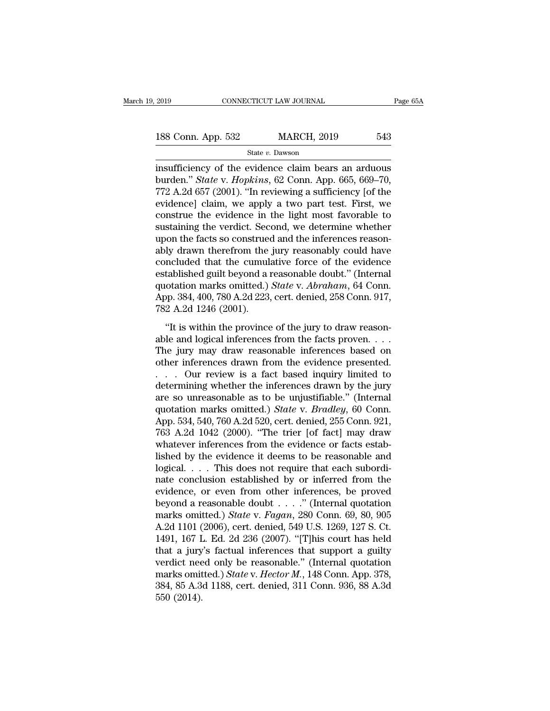| 2019               | CONNECTICUT LAW JOURNAL | Page 65A |  |
|--------------------|-------------------------|----------|--|
|                    |                         |          |  |
| 188 Conn. App. 532 | <b>MARCH, 2019</b>      | 543      |  |
|                    | State v. Dawson         |          |  |

2019 CONNECTICUT LAW JOURNAL Page 65A<br>
188 Conn. App. 532 MARCH, 2019 543<br>
State v. Dawson<br>
insufficiency of the evidence claim bears an arduous<br>
burden." *State* v. *Hopkins*, 62 Conn. App. 665, 669–70,<br>
772 A 2d 657 (200 188 Conn. App. 532 MARCH, 2019 543<br>
State v. Dawson<br>
insufficiency of the evidence claim bears an arduous<br>
burden." *State* v. *Hopkins*, 62 Conn. App. 665, 669–70,<br>
772 A.2d 657 (2001). "In reviewing a sufficiency [of the 188 Conn. App. 532 MARCH, 2019 543<br>
State v. Dawson<br>
insufficiency of the evidence claim bears an arduous<br>
burden." *State v. Hopkins*, 62 Conn. App. 665, 669–70,<br>
772 A.2d 657 (2001). "In reviewing a sufficiency [of the<br> 188 Conn. App. 532 MARCH, 2019 543<br>
State v. Dawson<br>
insufficiency of the evidence claim bears an arduous<br>
burden." *State* v. *Hopkins*, 62 Conn. App. 665, 669–70,<br>
772 A.2d 657 (2001). "In reviewing a sufficiency [of th State v. Dawson<br>insufficiency of the evidence claim bears an arduous<br>burden." State v. Hopkins, 62 Conn. App. 665, 669–70,<br>772 A.2d 657 (2001). "In reviewing a sufficiency [of the<br>evidence] claim, we apply a two part test state v. Dawson<br>insufficiency of the evidence claim bears an arduous<br>burden." *State* v. *Hopkins*, 62 Conn. App. 665, 669–70,<br>772 A.2d 657 (2001). "In reviewing a sufficiency [of the<br>evidence] claim, we apply a two part insufficiency of the evidence claim bears an arduous<br>burden." *State v. Hopkins*, 62 Conn. App. 665, 669–70,<br>772 A.2d 657 (2001). "In reviewing a sufficiency [of the<br>evidence] claim, we apply a two part test. First, we<br>co burden." *State* v. *Hopkins*, 62 Conn. App. 665, 669–70, 772 A.2d 657 (2001). "In reviewing a sufficiency [of the evidence] claim, we apply a two part test. First, we construe the evidence in the light most favorable to s 772 A.2d 657 (2001). "In reviewing a sufficiency [of the evidence] claim, we apply a two part test. First, we construe the evidence in the light most favorable to sustaining the verdict. Second, we determine whether upon evidence] claim, we apply a two part test. First, we construe the evidence in the light most favorable to sustaining the verdict. Second, we determine whether upon the facts so construed and the inferences reasonably drawn construe the evidence in the light most favorable to<br>sustaining the verdict. Second, we determine whether<br>upon the facts so construed and the inferences reason-<br>ably drawn therefrom the jury reasonably could have<br>concluded sustaining the verdict. Second, we determine whether<br>upon the facts so construed and the inferences reason-<br>ably drawn therefrom the jury reasonably could have<br>concluded that the cumulative force of the evidence<br>establishe upon the facts so construe<br>ably drawn therefrom the<br>concluded that the cumuli<br>established guilt beyond a i<br>quotation marks omitted.)<br>App. 384, 400, 780 A.2d 223,<br>782 A.2d 1246 (2001).<br>"It is within the province  $\mu$  must ancient and jury reasonably coda rave<br>
mcluded that the cumulative force of the evidence<br>
tablished guilt beyond a reasonable doubt." (Internal<br>
otation marks omitted.) *State* v. *Abraham*, 64 Conn.<br>
pp. 384, 4 established guilt beyond a reasonable doubt." (Internal<br>quotation marks omitted.) *State v. Abraham*, 64 Conn.<br>App. 384, 400, 780 A.2d 223, cert. denied, 258 Conn. 917,<br>782 A.2d 1246 (2001).<br>"It is within the province of

quotation marks omitted.) *State v. Abraham*, 64 Conn.<br>App. 384, 400, 780 A.2d 223, cert. denied, 258 Conn. 917,<br>782 A.2d 1246 (2001).<br>"It is within the province of the jury to draw reason-<br>able and logical inferences fro App. 384, 400, 780 A.2d 223, cert. denied, 258 Conn. 917,<br>
782 A.2d 1246 (2001).<br>
"It is within the province of the jury to draw reason-<br>
able and logical inferences from the facts proven....<br>
The jury may draw reasonable . . . Our review is a fact based inquiry limited to "It is within the province of the jury to draw reason-<br>able and logical inferences from the facts proven....<br>The jury may draw reasonable inferences based on<br>other inferences drawn from the evidence presented.<br>... Our rev "It is within the province of the jury to draw reason-<br>able and logical inferences from the facts proven....<br>The jury may draw reasonable inferences based on<br>other inferences drawn from the evidence presented.<br>... Our rev able and logical inferences from the facts proven. . . . The jury may draw reasonable inferences based on other inferences drawn from the evidence presented.<br>
. . . Our review is a fact based inquiry limited to determining The jury may draw reasonable inferences based on<br>other inferences drawn from the evidence presented.<br>... Our review is a fact based inquiry limited to<br>determining whether the inferences drawn by the jury<br>are so unreasonab other inferences drawn from the evidence presented.<br>  $\ldots$  Our review is a fact based inquiry limited to<br>
determining whether the inferences drawn by the jury<br>
are so unreasonable as to be unjustifiable." (Internal<br>
quota ... Our review is a fact based inquiry limited to<br>determining whether the inferences drawn by the jury<br>are so unreasonable as to be unjustifiable." (Internal<br>quotation marks omitted.) *State* v. *Bradley*, 60 Conn.<br>App. 5 determining whether the inferences drawn by the jury<br>are so unreasonable as to be unjustifiable." (Internal<br>quotation marks omitted.) *State* v. *Bradley*, 60 Conn.<br>App. 534, 540, 760 A.2d 520, cert. denied, 255 Conn. 921, are so unreasonable as to be unjustifiable." (Internal quotation marks omitted.) *State* v. *Bradley*, 60 Conn. App. 534, 540, 760 A.2d 520, cert. denied, 255 Conn. 921, 763 A.2d 1042 (2000). "The trier [of fact] may draw quotation marks omitted.) *State* v. *Bradley*, 60 Conn.<br>App. 534, 540, 760 A.2d 520, cert. denied, 255 Conn. 921,<br>763 A.2d 1042 (2000). "The trier [of fact] may draw<br>whatever inferences from the evidence or facts estab-<br> App. 534, 540, 760 A.2d 520, cert. denied, 255 Conn. 921,<br>763 A.2d 1042 (2000). "The trier [of fact] may draw<br>whatever inferences from the evidence or facts estab-<br>lished by the evidence it deems to be reasonable and<br>logi 763 A.2d 1042 (2000). "The trier [of fact] may draw<br>whatever inferences from the evidence or facts estab-<br>lished by the evidence it deems to be reasonable and<br>logical. . . . This does not require that each subordi-<br>nate c whatever inferences from the evidence or facts established by the evidence it deems to be reasonable and logical. . . . This does not require that each subordinate conclusion established by or inferred from the evidence, o lished by the evidence it deems to be reasonable and logical. . . . This does not require that each subordinate conclusion established by or inferred from the evidence, or even from other inferences, be proved beyond a re logical. . . . This does not require that each subordinate conclusion established by or inferred from the evidence, or even from other inferences, be proved beyond a reasonable doubt . . . ." (Internal quotation marks omi nate conclusion established by or inferred from the evidence, or even from other inferences, be proved<br>beyond a reasonable doubt . . . ." (Internal quotation<br>marks omitted.) *State* v. *Fagan*, 280 Conn. 69, 80, 905<br>A.2d evidence, or even from other inferences, be proved<br>beyond a reasonable doubt . . . ." (Internal quotation<br>marks omitted.) *State* v. *Fagan*, 280 Conn. 69, 80, 905<br>A.2d 1101 (2006), cert. denied, 549 U.S. 1269, 127 S. Ct. beyond a reasonable doubt . . . ." (Internal quotation<br>marks omitted.) *State* v. *Fagan*, 280 Conn. 69, 80, 905<br>A.2d 1101 (2006), cert. denied, 549 U.S. 1269, 127 S. Ct.<br>1491, 167 L. Ed. 2d 236 (2007). "[T]his court has h marks omitted.) *State* v. *Fagan*, 280 Conn. 69, 80, 905<br>A.2d 1101 (2006), cert. denied, 549 U.S. 1269, 127 S. Ct.<br>1491, 167 L. Ed. 2d 236 (2007). "[T]his court has held<br>that a jury's factual inferences that support a gui A.2d 1101 (<br>1491, 167 I<br>that a jury<br>verdict nee<br>marks omit<br>384, 85 A.3<br>550 (2014).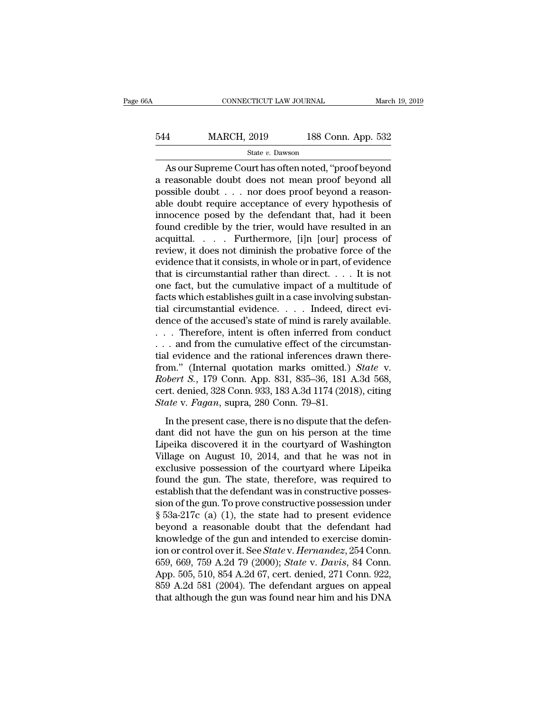# EXECUTE CONNECTICUT LAW JOURNAL March 19, 2019<br>544 MARCH, 2019 188 Conn. App. 532<br>5tate v. Dawson State *v.* Dawson

CONNECTICUT LAW JOURNAL March 19, 2019<br>
As OURECH, 2019 188 Conn. App. 532<br>
State v. Dawson<br>
As our Supreme Court has often noted, "proof beyond<br>
Treasonable doubt does not mean proof beyond all<br>
scable doubt are does proo MARCH, 2019 188 Conn. App. 532<br>
State v. Dawson<br>
As our Supreme Court has often noted, "proof beyond<br>
a reasonable doubt does not mean proof beyond all<br>
possible doubt . . . nor does proof beyond a reasonable doubt require  $\begin{array}{lll}\n 544 & \text{MARCH, } 2019 & 188 \text{ Conn. App. } 532 \\
 \hline\n 544 & \text{State } v. \text{ Dawson} \\
 \hline\n 45 \text{ our Supreme Court has often noted, "proof beyond a reasonable doubt does not mean proof beyond all possible doubt . . . nor does proof beyond a reasonable doubt require acceptance of every hypothesis of innoconce needs by the defendant that had it been.} \n\end{array}$ 544 MARCH, 2019 188 Conn. App. 532<br>  $\frac{\text{State } v. \text{ Dawson}}{\text{A} s \text{ our Supreme Court has often noted, "proof beyond}}$ <br>
a reasonable doubt does not mean proof beyond all<br>
possible doubt . . . nor does proof beyond a reason-<br>
able doubt require acceptance of every h State v. Dawson<br>
State v. Dawson<br>
As our Supreme Court has often noted, "proof beyond<br>
a reasonable doubt does not mean proof beyond all<br>
possible doubt . . . nor does proof beyond a reason-<br>
able doubt require acceptance From As our Supreme Court has often noted, "proof beyond<br>a reasonable doubt does not mean proof beyond all<br>possible doubt . . . nor does proof beyond a reason-<br>able doubt require acceptance of every hypothesis of<br>innocenc As our Supreme Court has often noted, "proof beyond<br>a reasonable doubt does not mean proof beyond all<br>possible doubt . . . nor does proof beyond a reason-<br>able doubt require acceptance of every hypothesis of<br>innocence pos a reasonable doubt does not mean proof beyond all<br>possible doubt . . . nor does proof beyond a reason-<br>able doubt require acceptance of every hypothesis of<br>innocence posed by the defendant that, had it been<br>found credible possible doubt . . . nor does proof beyond a reasonable doubt require acceptance of every hypothesis of innocence posed by the defendant that, had it been found credible by the trier, would have resulted in an acquittal. able doubt require acceptance of every hypothesis of innocence posed by the defendant that, had it been found credible by the trier, would have resulted in an acquittal. . . . . Furthermore, [i]n [our] process of review, innocence posed by the defendant that, had it been<br>found credible by the trier, would have resulted in an<br>acquittal. . . . . Furthermore, [i]n [our] process of<br>review, it does not diminish the probative force of the<br>evide found credible by the trier, would have resulted in an acquittal. . . . . Furthermore, [i]n [our] process of review, it does not diminish the probative force of the evidence that it consists, in whole or in part, of evide acquittal. . . . . Furthermore, [i]n [our] process of<br>review, it does not diminish the probative force of the<br>evidence that it consists, in whole or in part, of evidence<br>that is circumstantial rather than direct. . . . It review, it does not diminish the probative force of the evidence that it consists, in whole or in part, of evidence that is circumstantial rather than direct. . . . It is not one fact, but the cumulative impact of a multi evidence that it consists, in whole or in part, of evidence<br>that is circumstantial rather than direct. . . . It is not<br>one fact, but the cumulative impact of a multitude of<br>facts which establishes guilt in a case involvin that is circumstantial rather than direct. . . . It is not<br>one fact, but the cumulative impact of a multitude of<br>facts which establishes guilt in a case involving substan-<br>tial circumstantial evidence. . . . Indeed, direc one fact, but the cumulative impact of a multitude of<br>facts which establishes guilt in a case involving substan-<br>tial circumstantial evidence.... Indeed, direct evi-<br>dence of the accused's state of mind is rarely availabl facts which establishes guilt in a case involving substantial circumstantial evidence.... Indeed, direct evidence of the accused's state of mind is rarely available.... Therefore, intent is often inferred from conduct<br>... tial circumstantial evidence. . . . Indeed, direct evidence of the accused's state of mind is rarely available.<br>. . . Therefore, intent is often inferred from conduct<br>. . . and from the cumulative effect of the circumstandence of the accused's state of mind is rarely available.<br>
. . . Therefore, intent is often inferred from conduct<br>
. . . and from the cumulative effect of the circumstan-<br>
tial evidence and the rational inferences drawn th *State v.* Therefore, intent is often inferred from ... and from the cumulative effect of the circular video and the rational inferences drafrom." (Internal quotation marks omitted.) *Robert S.*, 179 Conn. App. 831, 835–36 In the calculation inferences drawn therebom." (Internal quotation marks omitted.) *State* v.<br>bbert *S.*, 179 Conn. App. 831, 835–36, 181 A.3d 568, rt. denied, 328 Conn. 933, 183 A.3d 1174 (2018), citing ate v. *Fagan*, s from." (Internal quotation marks omitted.) *State* v.<br>*Robert S.*, 179 Conn. App. 831, 835–36, 181 A.3d 568,<br>cert. denied, 328 Conn. 933, 183 A.3d 1174 (2018), citing<br>*State* v. *Fagan*, supra, 280 Conn. 79–81.<br>In the pre

Hohert S., 179 Conn. App. 831, 835–36, 181 A.3d 568,<br>cert. denied, 328 Conn. 933, 183 A.3d 1174 (2018), citing<br>*State* v. *Fagan*, supra, 280 Conn. 79–81.<br>In the present case, there is no dispute that the defen-<br>dant did Exercisely B., The Column Hipp. 891, 899-83, 101 Thisd 808, cert. denied, 328 Conn. 933, 183 A.3d 1174 (2018), citing State v. Fagan, supra, 280 Conn. 79–81.<br>
In the present case, there is no dispute that the defendant di State v. Fagan, supra, 280 Conn. 79–81.<br>
In the present case, there is no dispute that the defen-<br>
dant did not have the gun on his person at the time<br>
Lipeika discovered it in the courtyard of Washington<br>
Village on Augu In the present case, there is no dispute that the defendant did not have the gun on his person at the time<br>Lipeika discovered it in the courtyard of Washington<br>Village on August 10, 2014, and that he was not in<br>exclusive In the present case, there is no dispute that the defendant did not have the gun on his person at the time<br>Lipeika discovered it in the courtyard of Washington<br>Village on August 10, 2014, and that he was not in<br>exclusive dant did not have the gun on his person at the time<br>Lipeika discovered it in the courtyard of Washington<br>Village on August 10, 2014, and that he was not in<br>exclusive possession of the courtyard where Lipeika<br>found the gun. Lipeika discovered it in the courtyard of Washington<br>Village on August 10, 2014, and that he was not in<br>exclusive possession of the courtyard where Lipeika<br>found the gun. The state, therefore, was required to<br>establish tha Village on August 10, 2014, and that he was not in<br>exclusive possession of the courtyard where Lipeika<br>found the gun. The state, therefore, was required to<br>establish that the defendant was in constructive posses-<br>sion of exclusive possession of the courtyard where Lipeika<br>found the gun. The state, therefore, was required to<br>establish that the defendant was in constructive posses-<br>sion of the gun. To prove constructive possession under<br> $\S$ found the gun. The state, therefore, was required to<br>establish that the defendant was in constructive posses-<br>sion of the gun. To prove constructive possession under<br>§ 53a-217c (a) (1), the state had to present evidence<br>be establish that the defendant was in constructive possession of the gun. To prove constructive possession under  $\S$  53a-217c (a) (1), the state had to present evidence beyond a reasonable doubt that the defendant had knowle sion of the gun. To prove constructive possession under<br>§ 53a-217c (a) (1), the state had to present evidence<br>beyond a reasonable doubt that the defendant had<br>knowledge of the gun and intended to exercise domin-<br>ion or con  $\S$  53a-217c (a) (1), the state had to present evidence<br>beyond a reasonable doubt that the defendant had<br>knowledge of the gun and intended to exercise domin-<br>ion or control over it. See *State* v. *Hernandez*, 254 Conn.<br>6 beyond a reasonable doubt that the defendant had<br>knowledge of the gun and intended to exercise domin-<br>ion or control over it. See *State* v. *Hernandez*, 254 Conn.<br>659, 669, 759 A.2d 79 (2000); *State* v. *Davis*, 84 Conn.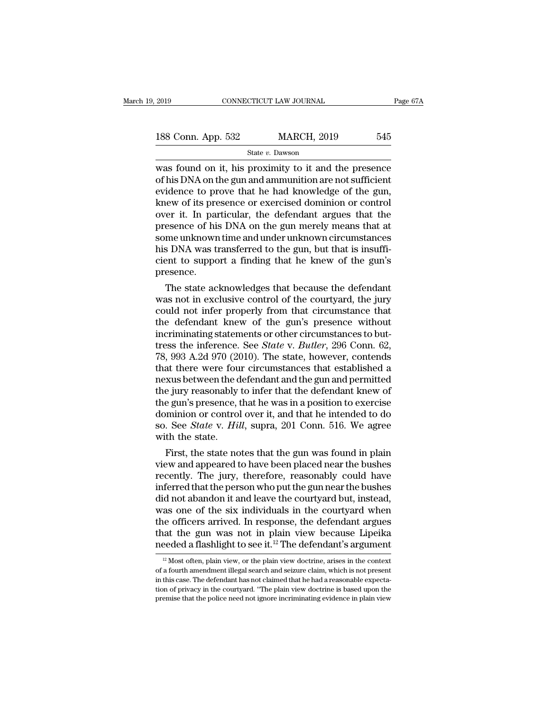2019 CONNECTICUT LAW JOURNAL Page 67A<br>
188 Conn. App. 532 MARCH, 2019 545<br>
State v. Dawson<br>
was found on it, his proximity to it and the presence<br>
of his DNA on the gun and ammunition are not sufficient<br>
ovidence to prove 188 Conn. App. 532 MARCH, 2019 545<br>
State v. Dawson<br>
was found on it, his proximity to it and the presence<br>
of his DNA on the gun and ammunition are not sufficient<br>
evidence to prove that he had knowledge of the gun,<br>
kno 188 Conn. App. 532 MARCH, 2019 545<br>
State v. Dawson<br>
was found on it, his proximity to it and the presence<br>
of his DNA on the gun and ammunition are not sufficient<br>
evidence to prove that he had knowledge of the gun,<br>
kne 188 Conn. App. 532 MARCH, 2019 545<br>
State v. Dawson<br>
was found on it, his proximity to it and the presence<br>
of his DNA on the gun and ammunition are not sufficient<br>
evidence to prove that he had knowledge of the gun,<br>
kne State v. Dawson<br>
State v. Dawson<br>
Was found on it, his proximity to it and the presence<br>
of his DNA on the gun and ammunition are not sufficient<br>
evidence to prove that he had knowledge of the gun,<br>
knew of its presence o state  $v$ . Dawson<br>was found on it, his proximity to it and the presence<br>of his DNA on the gun and ammunition are not sufficient<br>evidence to prove that he had knowledge of the gun,<br>knew of its presence or exercised dominio was found on it, his proximity to it and the presence<br>of his DNA on the gun and ammunition are not sufficient<br>evidence to prove that he had knowledge of the gun,<br>knew of its presence or exercised dominion or control<br>over i of his DNA on the gun and ammunition are not sufficient<br>evidence to prove that he had knowledge of the gun,<br>knew of its presence or exercised dominion or control<br>over it. In particular, the defendant argues that the<br>presen evidence to prove that he had knowledge of the gun,<br>knew of its presence or exercised dominion or control<br>over it. In particular, the defendant argues that the<br>presence of his DNA on the gun merely means that at<br>some unkno presence. For it. In particular, the defendant argues that the esence of his DNA on the gun merely means that at me unknown time and under unknown circumstances is DNA was transferred to the gun, but that is insufficient to support presence or nis DNA on the gun merely means that at<br>some unknown time and under unknown circumstances<br>his DNA was transferred to the gun, but that is insuffi-<br>cient to support a finding that he knew of the gun's<br>presence.<br>

some unknown time and under unknown circumstances<br>his DNA was transferred to the gun, but that is insuffi-<br>cient to support a finding that he knew of the gun's<br>presence.<br>The state acknowledges that because the defendant<br>wa his DNA was transferred to the gun, but that is insufficient to support a finding that he knew of the gun's<br>presence.<br>The state acknowledges that because the defendant<br>was not in exclusive control of the courtyard, the ju cient to support a finding that he knew of the gun's<br>presence.<br>The state acknowledges that because the defendant<br>was not in exclusive control of the courtyard, the jury<br>could not infer properly from that circumstance that The state acknowledges that because the defendant<br>was not in exclusive control of the courtyard, the jury<br>could not infer properly from that circumstance that<br>the defendant knew of the gun's presence without<br>incriminating The state acknowledges that because the defendant<br>was not in exclusive control of the courtyard, the jury<br>could not infer properly from that circumstance that<br>the defendant knew of the gun's presence without<br>incriminating was not in exclusive control of the courtyard, the jury<br>could not infer properly from that circumstance that<br>the defendant knew of the gun's presence without<br>incriminating statements or other circumstances to but-<br>tress th could not infer properly from that circumstance that<br>the defendant knew of the gun's presence without<br>incriminating statements or other circumstances to but-<br>tress the inference. See *State* v. *Butler*, 296 Conn. 62,<br>78, the defendant knew of the gun's presence without<br>incriminating statements or other circumstances to but-<br>tress the inference. See *State* v. *Butler*, 296 Conn. 62,<br>78, 993 A.2d 970 (2010). The state, however, contends<br>tha incriminating statements or other circumstances to but-<br>tress the inference. See *State* v. *Butler*, 296 Conn. 62,<br>78, 993 A.2d 970 (2010). The state, however, contends<br>that there were four circumstances that established tress the inference. See *State* v. *Butler*, 296 Conn. 62,<br>78, 993 A.2d 970 (2010). The state, however, contends<br>that there were four circumstances that established a<br>nexus between the defendant and the gun and permitted<br> 78, 993 A.2d 970 (2010). The state, however, contends<br>that there were four circumstances that established a<br>nexus between the defendant and the gun and permitted<br>the jury reasonably to infer that the defendant knew of<br>the that there were fou<br>nexus between the c<br>the jury reasonably<br>the gun's presence,<br>dominion or control<br>so. See *State* v. Hii<br>with the state.<br>First, the state no xus between the defendant and the gun and permitted<br>e jury reasonably to infer that the defendant knew of<br>e gun's presence, that he was in a position to exercise<br>minion or control over it, and that he intended to do<br>. See the jury reasonably to inter that the detendant knew of<br>the gun's presence, that he was in a position to exercise<br>dominion or control over it, and that he intended to do<br>so. See *State* v. *Hill*, supra, 201 Conn. 516. We

the gun's presence, that he was in a position to exercise<br>dominion or control over it, and that he intended to do<br>so. See *State* v. Hill, supra, 201 Conn. 516. We agree<br>with the state.<br>First, the state notes that the gun dominion or control over it, and that he intended to do<br>so. See *State* v. Hill, supra, 201 Conn. 516. We agree<br>with the state.<br>First, the state notes that the gun was found in plain<br>view and appeared to have been placed n so. See *State v. Huu*, supra, 201 Conn. 516. We agree<br>with the state.<br>First, the state notes that the gun was found in plain<br>view and appeared to have been placed near the bushes<br>recently. The jury, therefore, reasonably With the state.<br>First, the state notes that the gun was found in plain<br>view and appeared to have been placed near the bushes<br>recently. The jury, therefore, reasonably could have<br>inferred that the person who put the gun nea First, the state notes that the gun was found in plain<br>view and appeared to have been placed near the bushes<br>recently. The jury, therefore, reasonably could have<br>inferred that the person who put the gun near the bushes<br>di view and appeared to have been placed near the bushes<br>recently. The jury, therefore, reasonably could have<br>inferred that the person who put the gun near the bushes<br>did not abandon it and leave the courtyard but, instead,<br>w recently. The jury, therefore, reasonably could have<br>inferred that the person who put the gun near the bushes<br>did not abandon it and leave the courtyard but, instead,<br>was one of the six individuals in the courtyard when<br>t as one of the six individuals in the courtyard when<br>he officers arrived. In response, the defendant argues<br>hat the gun was not in plain view because Lipeika<br>eeded a flashlight to see it.<sup>12</sup> The defendant's argument<br> $\frac{1$ the officers arrived. In response, the defendant argues<br>that the gun was not in plain view because Lipeika<br>needed a flashlight to see it.<sup>12</sup> The defendant's argument<br> $\frac{12 \text{ Most often, plain view, or the plain view doctrine, arises in the context of a fourth amendment illegal search and seizure claim, which is not present  
in this case. The defendant has not claimed that he$ 

that the gun was not in plain view because Lipeika meeded a flashlight to see it.<sup>12</sup> The defendant's argument  $\frac{12}{12}$  Most often, plain view, or the plain view doctrine, arises in the context of a fourth amendment il meeded a flashlight to see it.<sup>12</sup> The defendant's argument  $\frac{12}{12}$  Most often, plain view, or the plain view doctrine, arises in the context of a fourth amendment illegal search and seizure claim, which is not presen  $^{12}$  Most often, plain view, or the plain view doctrine, arises in the context of a fourth amendment illegal search and seizure claim, which is not present in this case. The defendant has not claimed that he had a reaso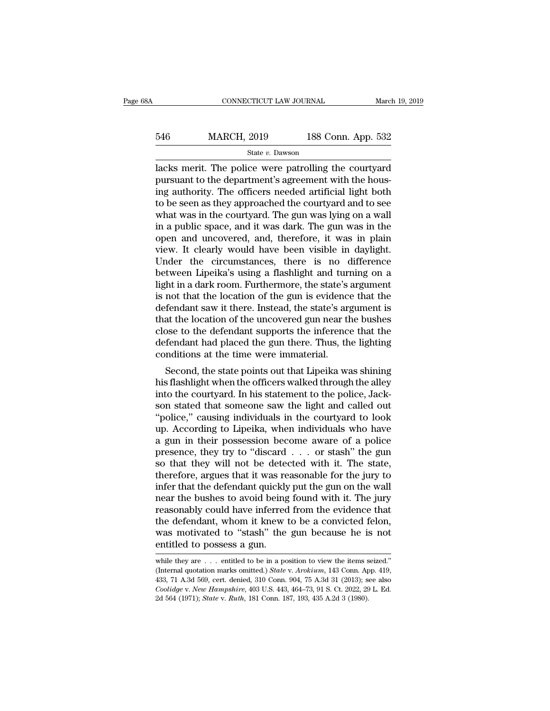# EXECUTE CONNECTICUT LAW JOURNAL March 19, 2019<br>546 MARCH, 2019 188 Conn. App. 532<br>5tate v. Dawson State *v.* Dawson

CONNECTICUT LAW JOURNAL March 19, 2019<br>
MARCH, 2019 188 Conn. App. 532<br>
State v. Dawson<br>
Iacks merit. The police were patrolling the courtyard<br>
pursuant to the department's agreement with the hous-<br>
ing outherity. The offi  $\frac{\text{MARCH}}{\text{State } v. \text{ Dawson}}$ <br>State  $v. \text{ Dawson}$ <br>lacks merit. The police were patrolling the courtyard<br>pursuant to the department's agreement with the hous-<br>ing authority. The officers needed artificial light both<br>to be seen as  $\begin{array}{ll}\n 546 & \text{MARCH, } 2019 & \text{188 Conn. App. 532} \\
 \hline\n \text{Stacks merit. The police were patrolling the courtyard pursuit to the department's agreement with the housing authority. The officers needed artificial light both to be seen as they approached the courtyard and to see what was in the courtward. The gun was lying on a wall.\n$ 546 MARCH, 2019 188 Conn. App. 532<br>  $\frac{\text{State } v. \text{ Dawson}}{\text{lacks}}$ <br>
lacks merit. The police were patrolling the courtyard<br>
pursuant to the department's agreement with the hous-<br>
ing authority. The officers needed artificial light State v. Dawson<br>
State v. Dawson<br>
lacks merit. The police were patrolling the courtyard<br>
pursuant to the department's agreement with the hous-<br>
ing authority. The officers needed artificial light both<br>
to be seen as they state v. Dawson<br>lacks merit. The police were patrolling the courtyard<br>pursuant to the department's agreement with the hous-<br>ing authority. The officers needed artificial light both<br>to be seen as they approached the courty lacks merit. The police were patrolling the courtyard<br>pursuant to the department's agreement with the hous-<br>ing authority. The officers needed artificial light both<br>to be seen as they approached the courtyard and to see<br>wh pursuant to the department's agreement with the hous-<br>ing authority. The officers needed artificial light both<br>to be seen as they approached the courtyard and to see<br>what was in the courtyard. The gun was lying on a wall<br>i ing authority. The officers needed artificial light both<br>to be seen as they approached the courtyard and to see<br>what was in the courtyard. The gun was lying on a wall<br>in a public space, and it was dark. The gun was in the<br> to be seen as they approached the courtyard and to see<br>what was in the courtyard. The gun was lying on a wall<br>in a public space, and it was dark. The gun was in the<br>open and uncovered, and, therefore, it was in plain<br>view. what was in the courtyard. The gun was lying on a wall<br>in a public space, and it was dark. The gun was in the<br>open and uncovered, and, therefore, it was in plain<br>view. It clearly would have been visible in daylight.<br>Under in a public space, and it was dark. The gun was in the<br>open and uncovered, and, therefore, it was in plain<br>view. It clearly would have been visible in daylight.<br>Under the circumstances, there is no difference<br>between Lipei open and uncovered, and, therefore, it was in plain<br>view. It clearly would have been visible in daylight.<br>Under the circumstances, there is no difference<br>between Lipeika's using a flashlight and turning on a<br>light in a dar view. It clearly would have been visible in daylight.<br>Under the circumstances, there is no difference<br>between Lipeika's using a flashlight and turning on a<br>light in a dark room. Furthermore, the state's argument<br>is not tha Under the circumstances, there is no difference<br>between Lipeika's using a flashlight and turning on a<br>light in a dark room. Furthermore, the state's argument<br>is not that the location of the gun is evidence that the<br>defenda between Lipeika's using a flashlight and turning on a<br>light in a dark room. Furthermore, the state's argument<br>is not that the location of the gun is evidence that the<br>defendant saw it there. Instead, the state's argument i light in a dark room. Furthermore, the state's<br>is not that the location of the gun is evidence<br>defendant saw it there. Instead, the state's arg<br>that the location of the uncovered gun near th<br>close to the defendant supports Fredant saw it there. Instead, the state's argument is<br>at the location of the uncovered gun near the bushes<br>ose to the defendant supports the inference that the<br>fendant had placed the gun there. Thus, the lighting<br>mditions defendant saw it there. Instead, the state's argument is<br>that the location of the uncovered gun near the bushes<br>close to the defendant supports the inference that the<br>defendant had placed the gun there. Thus, the lighting<br>

Inat the location of the uncovered gun hear the busness<br>close to the defendant supports the inference that the<br>defendant had placed the gun there. Thus, the lighting<br>conditions at the time were immaterial.<br>Second, the stat close to the defendant supports the interence that the<br>defendant had placed the gun there. Thus, the lighting<br>conditions at the time were immaterial.<br>Second, the state points out that Lipeika was shining<br>his flashlight whe defendant had placed the gun there. Thus, the lighting<br>
conditions at the time were immaterial.<br>
Second, the state points out that Lipeika was shining<br>
his flashlight when the officers walked through the alley<br>
into the co conductions at the time were intimaterial.<br>
Second, the state points out that Lipeika was shining<br>
his flashlight when the officers walked through the alley<br>
into the courtyard. In his statement to the police, Jack-<br>
son s Second, the state points out that Lipeika was shining<br>his flashlight when the officers walked through the alley<br>into the courtyard. In his statement to the police, Jack-<br>son stated that someone saw the light and called ou his flashlight when the officers walked through the alley<br>into the courtyard. In his statement to the police, Jack-<br>son stated that someone saw the light and called out<br>"police," causing individuals in the courtyard to loo into the courtyard. In his statement to the police, Jackson stated that someone saw the light and called out "police," causing individuals in the courtyard to look up. According to Lipeika, when individuals who have a gun son stated that someone saw the light and called out<br>"police," causing individuals in the courtyard to look<br>up. According to Lipeika, when individuals who have<br>a gun in their possession become aware of a police<br>presence, t "police," causing individuals in the courtyard to look up. According to Lipeika, when individuals who have a gun in their possession become aware of a police presence, they try to "discard  $\ldots$  or stash" the gun so that up. According to Lipeika, when individuals who have<br>a gun in their possession become aware of a police<br>presence, they try to "discard . . . or stash" the gun<br>so that they will not be detected with it. The state,<br>therefore, a gun in their possession become aware of a police<br>presence, they try to "discard  $\ldots$  or stash" the gun<br>so that they will not be detected with it. The state,<br>therefore, argues that it was reasonable for the jury to<br>infe presence, they try to "discard . . . or stash" the gun<br>so that they will not be detected with it. The state,<br>therefore, argues that it was reasonable for the jury to<br>infer that the defendant quickly put the gun on the wall so that they will not be detected with it. The state,<br>therefore, argues that it was reasonable for the jury to<br>infer that the defendant quickly put the gun on the wall<br>near the bushes to avoid being found with it. The jury therefore, argues that it was reasonable for the jury to infer that the defendant quickly put the gun on the wall near the bushes to avoid being found with it. The jury reasonably could have inferred from the evidence tha reasonably could have inferred from the evidence that<br>the defendant, whom it knew to be a convicted felon,<br>was motivated to "stash" the gun because he is not<br>entitled to possess a gun.<br>while they are . . . entitled to be the defendant, whom it knew to be a convicted felon, was motivated to "stash" the gun because he is not entitled to possess a gun.<br>
while they are . . . entitled to be in a position to view the items seized."<br>
(Internal qu

was motivated to "stash" the gun because he is not<br>entitled to possess a gun.<br>while they are . . . entitled to be in a position to view the items seized."<br>(Internal quotation marks omitted.) *State* v. Arokium, 143 Conn. A **Coolidge v.** *New Hampshire*, 403 U.S. 443, 464–73, 91 S. Ct. 2022, 29 L. Ed. 2d 564 (1971); *State v. Architechondge v. New Hampshire*, 403 U.S. 443, 464–73, 91 S. Ct. 2022, 29 L. Ed. 2d 564 (1971); *State v. Ruth*, 181 while they are . . . entitled to be in a position to view the items seized."<br>(Internal quotation marks omitted.) *State* v. *Arokium*, 143 Conn. App. 419, 433, 71 A.3d 569, cert. denied, 310 Conn. 904, 75 A.3d 31 (2013); s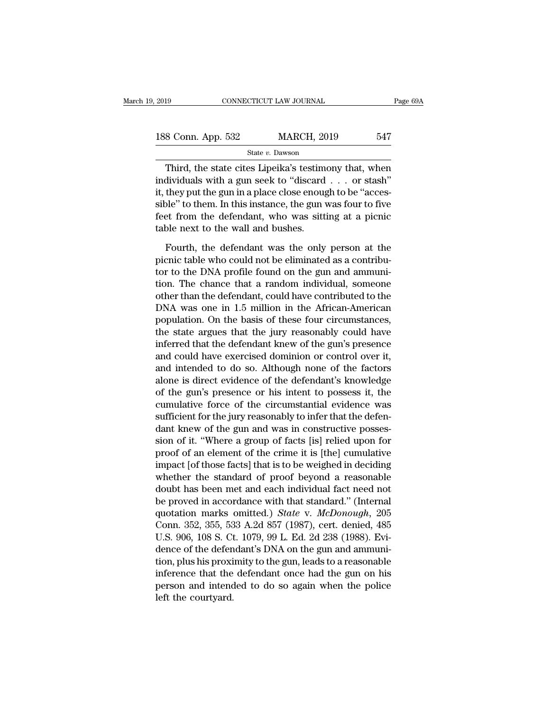| 2019               |  | CONNECTICUT LAW JOURNAL | Page 69A |  |
|--------------------|--|-------------------------|----------|--|
| 188 Conn. App. 532 |  | <b>MARCH, 2019</b>      | 547      |  |
| State v. Dawson    |  |                         |          |  |

Third, the state cites Lipeika's testimony that, when<br>
Third, the state cites Lipeika's testimony that, when<br>
dividuals with a gun seek to "discard . . . or stash"<br>
they nut the gun in a place close apough to be "geness" 188 Conn. App. 532 MARCH, 2019 547<br>
State v. Dawson<br>
Third, the state cites Lipeika's testimony that, when<br>
individuals with a gun seek to "discard . . . or stash"<br>
it, they put the gun in a place close enough to be "acce 188 Conn. App. 532 MARCH, 2019 547<br>
State v. Dawson<br>
Third, the state cites Lipeika's testimony that, when<br>
individuals with a gun seek to "discard . . . or stash"<br>
it, they put the gun in a place close enough to be "acce 188 Conn. App. 532 MARCH, 2019 547<br>
State v. Dawson<br>
Third, the state cites Lipeika's testimony that, when<br>
individuals with a gun seek to "discard . . . or stash"<br>
it, they put the gun in a place close enough to be "acce State v. Dawson<br>Third, the state cites Lipeika's testimony that, when<br>individuals with a gun seek to "discard . . . or stash"<br>it, they put the gun in a place close enough to be "acces-<br>sible" to them. In this instance, th Third, the state cites Lipeika's testim<br>individuals with a gun seek to "discard<br>it, they put the gun in a place close enoug<br>sible" to them. In this instance, the gun v<br>feet from the defendant, who was sitt<br>table next to t dividuals with a gun seek to "discard . . . or stash"<br>they put the gun in a place close enough to be "acces-<br>ble" to them. In this instance, the gun was four to five<br>et from the defendant, who was sitting at a picnic<br>ble n it, they put the gun in a place close enough to be "accessible" to them. In this instance, the gun was four to five<br>feet from the defendant, who was sitting at a picnic<br>table next to the wall and bushes.<br>Fourth, the defend

sible" to them. In this instance, the gun was four to five<br>feet from the defendant, who was sitting at a picnic<br>table next to the wall and bushes.<br>Fourth, the defendant was the only person at the<br>picnic table who could not feet from the defendant, who was sitting at a picnic<br>table next to the wall and bushes.<br>Fourth, the defendant was the only person at the<br>picnic table who could not be eliminated as a contribu-<br>tor to the DNA profile found table next to the wall and bushes.<br>
Fourth, the defendant was the only person at the<br>
picnic table who could not be eliminated as a contribu-<br>
tor to the DNA profile found on the gun and ammuni-<br>
tion. The chance that a ra Fourth, the defendant was the only person at the<br>picnic table who could not be eliminated as a contribu-<br>tor to the DNA profile found on the gun and ammuni-<br>tion. The chance that a random individual, someone<br>other than the Fourth, the defendant was the only person at the<br>picnic table who could not be eliminated as a contribu-<br>tor to the DNA profile found on the gun and ammuni-<br>tion. The chance that a random individual, someone<br>other than th picnic table who could not be eliminated as a contributor to the DNA profile found on the gun and ammunition. The chance that a random individual, someone other than the defendant, could have contributed to the DNA was one tor to the DNA profile found on the gun and ammunition. The chance that a random individual, someone other than the defendant, could have contributed to the DNA was one in 1.5 million in the African-American population. On tion. The chance that a random individual, someone<br>other than the defendant, could have contributed to the<br>DNA was one in 1.5 million in the African-American<br>population. On the basis of these four circumstances,<br>the state other than the defendant, could have contributed to the<br>DNA was one in 1.5 million in the African-American<br>population. On the basis of these four circumstances,<br>the state argues that the jury reasonably could have<br>inferred DNA was one in 1.5 million in the African-American<br>population. On the basis of these four circumstances,<br>the state argues that the jury reasonably could have<br>inferred that the defendant knew of the gun's presence<br>and could population. On the basis of these four circumstances,<br>the state argues that the jury reasonably could have<br>inferred that the defendant knew of the gun's presence<br>and could have exercised dominion or control over it,<br>and in the state argues that the jury reasonably could have<br>inferred that the defendant knew of the gun's presence<br>and could have exercised dominion or control over it,<br>and intended to do so. Although none of the factors<br>alone is inferred that the defendant knew of the gun's presence<br>and could have exercised dominion or control over it,<br>and intended to do so. Although none of the factors<br>alone is direct evidence of the defendant's knowledge<br>of the and could have exercised dominion or control over it,<br>and intended to do so. Although none of the factors<br>alone is direct evidence of the defendant's knowledge<br>of the gun's presence or his intent to possess it, the<br>cumulat and intended to do so. Although none of the factors<br>alone is direct evidence of the defendant's knowledge<br>of the gun's presence or his intent to possess it, the<br>cumulative force of the circumstantial evidence was<br>sufficien alone is direct evidence of the defendant's knowledge<br>of the gun's presence or his intent to possess it, the<br>cumulative force of the circumstantial evidence was<br>sufficient for the jury reasonably to infer that the defen-<br>d of the gun's presence or his intent to possess it, the<br>cumulative force of the circumstantial evidence was<br>sufficient for the jury reasonably to infer that the defen-<br>dant knew of the gun and was in constructive posses-<br>si cumulative force of the circumstantial evidence was<br>sufficient for the jury reasonably to infer that the defen-<br>dant knew of the gun and was in constructive posses-<br>sion of it. "Where a group of facts [is] relied upon for<br> sufficient for the jury reasonably to infer that the defen-<br>dant knew of the gun and was in constructive posses-<br>sion of it. "Where a group of facts [is] relied upon for<br>proof of an element of the crime it is [the] cumula dant knew of the gun and was in constructive possession of it. "Where a group of facts [is] relied upon for proof of an element of the crime it is [the] cumulative impact [of those facts] that is to be weighed in deciding sion of it. "Where a group of facts [is] relied upon for<br>proof of an element of the crime it is [the] cumulative<br>impact [of those facts] that is to be weighed in deciding<br>whether the standard of proof beyond a reasonable<br>d proof of an element of the crime it is [the] cumulative<br>impact [of those facts] that is to be weighed in deciding<br>whether the standard of proof beyond a reasonable<br>doubt has been met and each individual fact need not<br>be pr impact [of those facts] that is to be weighed in deciding<br>whether the standard of proof beyond a reasonable<br>doubt has been met and each individual fact need not<br>be proved in accordance with that standard." (Internal<br>quotat whether the standard of proof beyond a reasonable<br>doubt has been met and each individual fact need not<br>be proved in accordance with that standard." (Internal<br>quotation marks omitted.) *State* v. *McDonough*, 205<br>Conn. 352, doubt has been met and each individual fact need not<br>be proved in accordance with that standard." (Internal<br>quotation marks omitted.) *State* v. *McDonough*, 205<br>Conn. 352, 355, 533 A.2d 857 (1987), cert. denied, 485<br>U.S. be proved in accordance with that standard." (Internal<br>quotation marks omitted.) *State* v. *McDonough*, 205<br>Conn. 352, 355, 533 A.2d 857 (1987), cert. denied, 485<br>U.S. 906, 108 S. Ct. 1079, 99 L. Ed. 2d 238 (1988). Evi-<br>d quotation marks omitted.) *State* v. *McDonough*, 205<br>Conn. 352, 355, 533 A.2d 857 (1987), cert. denied, 485<br>U.S. 906, 108 S. Ct. 1079, 99 L. Ed. 2d 238 (1988). Evi-<br>dence of the defendant's DNA on the gun and ammuni-<br>tion Conn. 352, 355, 53<br>U.S. 906, 108 S. Ct<br>dence of the defen<br>tion, plus his proxi<br>inference that the<br>person and intend<br>left the courtyard.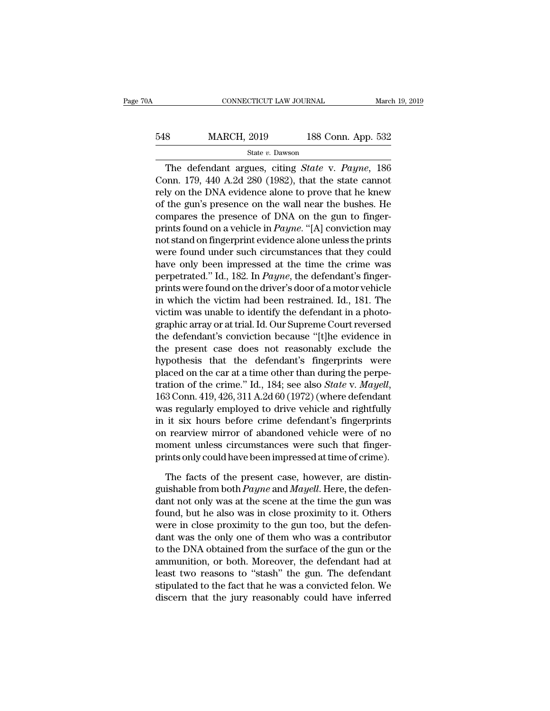# EXECUTE CONNECTICUT LAW JOURNAL March 19, 2019<br>548 MARCH, 2019 188 Conn. App. 532<br>5tate v. Dawson State *v.* Dawson

CONNECTICUT LAW JOURNAL March 19, 2019<br> **Sand MARCH, 2019** 188 Conn. App. 532<br>
State v. Dawson<br>
The defendant argues, citing *State* v. *Payne*, 186<br>
Donn. 179, 440 A.2d 280 (1982), that the state cannot<br>
Ly on the DNA cyr 548 MARCH, 2019 188 Conn. App. 532<br>
State v. Dawson<br>
The defendant argues, citing *State v. Payne*, 186<br>
Conn. 179, 440 A.2d 280 (1982), that the state cannot<br>
rely on the DNA evidence alone to prove that he knew<br>
of the For the MARCH, 2019 188 Conn. App. 532<br>
State v. Dawson<br>
The defendant argues, citing *State v. Payne*, 186<br>
Conn. 179, 440 A.2d 280 (1982), that the state cannot<br>
rely on the DNA evidence alone to prove that he knew<br>
of MARCH, 2019 188 Conn. App. 532<br>
State v. Dawson<br>
The defendant argues, citing *State v. Payne*, 186<br>
Conn. 179, 440 A.2d 280 (1982), that the state cannot<br>
rely on the DNA evidence alone to prove that he knew<br>
of the gun' State v. Dawson<br>The defendant argues, citing *State v. Payne*, 186<br>Conn. 179, 440 A.2d 280 (1982), that the state cannot<br>rely on the DNA evidence alone to prove that he knew<br>of the gun's presence on the wall near the bush State *v. Bawson*<br>The defendant argues, citing *State v. Payne*, 186<br>Conn. 179, 440 A.2d 280 (1982), that the state cannot<br>rely on the DNA evidence alone to prove that he knew<br>of the gun's presence on the wall near the bus The defendant argues, citing *State v. Payne*, 186<br>Conn. 179, 440 A.2d 280 (1982), that the state cannot<br>rely on the DNA evidence alone to prove that he knew<br>of the gun's presence on the wall near the bushes. He<br>compares t Conn. 179, 440 A.2d 280 (1982), that the state cannot<br>rely on the DNA evidence alone to prove that he knew<br>of the gun's presence on the wall near the bushes. He<br>compares the presence of DNA on the gun to finger-<br>prints fo rely on the DNA evidence alone to prove that he knew<br>of the gun's presence on the wall near the bushes. He<br>compares the presence of DNA on the gun to finger-<br>prints found on a vehicle in *Payne*. "[A] conviction may<br>not st of the gun's presence on the wall near the bushes. He<br>compares the presence of DNA on the gun to finger-<br>prints found on a vehicle in *Payne*. "[A] conviction may<br>not stand on fingerprint evidence alone unless the prints<br>w compares the presence of DNA on the gun to finger-<br>prints found on a vehicle in *Payne*. "[A] conviction may<br>not stand on fingerprint evidence alone unless the prints<br>were found under such circumstances that they could<br>ha prints found on a vehicle in *Payne*. "[A] conviction may<br>not stand on fingerprint evidence alone unless the prints<br>were found under such circumstances that they could<br>have only been impressed at the time the crime was<br>per not stand on fingerprint evidence alone unless the prints<br>were found under such circumstances that they could<br>have only been impressed at the time the crime was<br>perpetrated." Id., 182. In *Payne*, the defendant's finger-<br>p were found under such circumstances that they could<br>have only been impressed at the time the crime was<br>perpetrated." Id., 182. In *Payne*, the defendant's finger-<br>prints were found on the driver's door of a motor vehicle<br>i have only been impressed at the time the crime was<br>perpetrated." Id., 182. In *Payne*, the defendant's finger-<br>prints were found on the driver's door of a motor vehicle<br>in which the victim had been restrained. Id., 181. Th perpetrated." Id., 182. In *Payne*, the defendant's finger-<br>prints were found on the driver's door of a motor vehicle<br>in which the victim had been restrained. Id., 181. The<br>victim was unable to identify the defendant in a prints were found on the driver's door of a motor vehicle<br>in which the victim had been restrained. Id., 181. The<br>victim was unable to identify the defendant in a photo-<br>graphic array or at trial. Id. Our Supreme Court reve in which the victim had been restrained. Id., 181. The<br>victim was unable to identify the defendant in a photo-<br>graphic array or at trial. Id. Our Supreme Court reversed<br>the defendant's conviction because "[t]he evidence i victim was unable to identify the defendant in a photographic array or at trial. Id. Our Supreme Court reversed<br>the defendant's conviction because "[t]he evidence in<br>the present case does not reasonably exclude the<br>hypothe the defendant's conviction because "[t]he evidence in<br>the present case does not reasonably exclude the<br>hypothesis that the defendant's fingerprints were<br>placed on the car at a time other than during the perpe-<br>tration of t the present case does not reasonably exclude the<br>hypothesis that the defendant's fingerprints were<br>placed on the car at a time other than during the perpe-<br>tration of the crime." Id., 184; see also *State* v. *Mayell*,<br>163 hypothesis that the defendant's fingerprints were<br>placed on the car at a time other than during the perpe-<br>tration of the crime." Id., 184; see also *State* v. *Mayell*,<br>163 Conn. 419, 426, 311 A.2d 60 (1972) (where defen placed on the car at a time other than during the perpetration of the crime." Id., 184; see also *State v. Mayell*, 163 Conn. 419, 426, 311 A.2d 60 (1972) (where defendant was regularly employed to drive vehicle and rightf tration of the crime." Id., 184; see also *State* v. *Mayell*, 163 Conn. 419, 426, 311 A.2d 60 (1972) (where defendant was regularly employed to drive vehicle and rightfully in it six hours before crime defendant's fingerp as regularly employed to drive vehicle and rightfully<br>it six hours before crime defendant's fingerprints<br>a rearview mirror of abandoned vehicle were of no<br>oment unless circumstances were such that finger-<br>ints only could in it six hours before crime defendant's fingerprints<br>on rearview mirror of abandoned vehicle were of no<br>moment unless circumstances were such that finger-<br>prints only could have been impressed at time of crime).<br>The facts

on rearview mirror of abandoned vehicle were of no<br>moment unless circumstances were such that finger-<br>prints only could have been impressed at time of crime).<br>The facts of the present case, however, are distin-<br>guishable moment unless circumstances were such that finger-<br>prints only could have been impressed at time of crime).<br>The facts of the present case, however, are distin-<br>guishable from both *Payne* and *Mayell*. Here, the defen-<br>dan prints only could have been impressed at time of crime).<br>The facts of the present case, however, are distinguishable from both *Payne* and *Mayell*. Here, the defen-<br>dant not only was at the scene at the time the gun was<br> The facts of the present case, however, are distinguishable from both *Payne* and *Mayell*. Here, the defendant not only was at the scene at the time the gun was found, but he also was in close proximity to it. Others wer The facts of the present case, however, are distinguishable from both *Payne* and *Mayell*. Here, the defendant not only was at the scene at the time the gun was found, but he also was in close proximity to it. Others wer guishable from both *Payne* and *Mayell*. Here, the defendant not only was at the scene at the time the gun was found, but he also was in close proximity to it. Others were in close proximity to the gun too, but the defend dant not only was at the scene at the time the gun was<br>found, but he also was in close proximity to it. Others<br>were in close proximity to the gun too, but the defen-<br>dant was the only one of them who was a contributor<br>to t found, but he also was in close proximity to it. Others<br>were in close proximity to the gun too, but the defen-<br>dant was the only one of them who was a contributor<br>to the DNA obtained from the surface of the gun or the<br>ammu were in close proximity to the gun too, but the defendant was the only one of them who was a contributor<br>to the DNA obtained from the surface of the gun or the<br>ammunition, or both. Moreover, the defendant had at<br>least two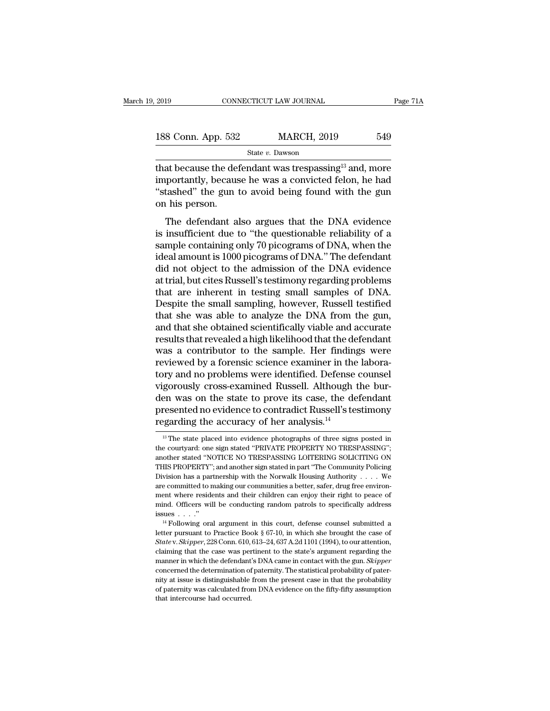| 2019               |  | CONNECTICUT LAW JOURNAL | Page 71A |  |
|--------------------|--|-------------------------|----------|--|
| 188 Conn. App. 532 |  | <b>MARCH, 2019</b>      | 549      |  |
| State v. Dawson    |  |                         |          |  |

2019 CONNECTICUT LAW JOURNAL Page 71A<br>
188 Conn. App. 532 MARCH, 2019 549<br>
State v. Dawson<br>
that because the defendant was trespassing<sup>13</sup> and, more<br>
importantly, because he was a convicted felon, he had<br>
"stashed" the su 188 Conn. App. 532 MARCH, 2019 549<br>
State v. Dawson<br>
that because the defendant was trespassing<sup>13</sup> and, more<br>
importantly, because he was a convicted felon, he had<br>
"stashed" the gun to avoid being found with the gun<br>
on 188 Conn. App. 532 MARCH, 2019 549<br>
State v. Dawson<br>
that because the defendant was trespassing<sup>13</sup> and, more<br>
importantly, because he was a convicted felon, he had<br>
"stashed" the gun to avoid being found with the gun<br>
on 188 Conn. App. 532<br>
that because the definerantly, because<br>
"stashed" the gun ton his person.<br>
The defendant all State v. Dawson<br>at because the defendant was trespassing<sup>13</sup> and, more<br>portantly, because he was a convicted felon, he had<br>tashed" the gun to avoid being found with the gun<br>his person.<br>The defendant also argues that the D that because the defendant was trespassing<sup>13</sup> and, more importantly, because he was a convicted felon, he had "stashed" the gun to avoid being found with the gun<br>on his person.<br>The defendant also argues that the DNA evid

sample contains was a convicted felon, he had<br>
"stashed" the gun to avoid being found with the gun<br>
on his person.<br>
The defendant also argues that the DNA evidence<br>
is insufficient due to "the questionable reliability of a information, because he was a convicted relation, he had<br>
"stashed" the gun to avoid being found with the gun<br>
on his person.<br>
The defendant also argues that the DNA evidence<br>
is insufficient due to "the questionable relia on his person.<br>The defendant also argues that the DNA evidence<br>is insufficient due to "the questionable reliability of a<br>sample containing only 70 picograms of DNA, when the<br>ideal amount is 1000 picograms of DNA." The def The defendant also argues that the DNA evidence<br>is insufficient due to "the questionable reliability of a<br>sample containing only 70 picograms of DNA, when the<br>ideal amount is 1000 picograms of DNA." The defendant<br>did not o The defendant also argues that the DNA evidence<br>is insufficient due to "the questionable reliability of a<br>sample containing only 70 picograms of DNA, when the<br>ideal amount is 1000 picograms of DNA." The defendant<br>did not o is insufficient due to "the questionable reliability of a<br>sample containing only 70 picograms of DNA, when the<br>ideal amount is 1000 picograms of DNA." The defendant<br>did not object to the admission of the DNA evidence<br>at tr sample containing only 70 picograms of DNA, when the<br>ideal amount is 1000 picograms of DNA." The defendant<br>did not object to the admission of the DNA evidence<br>at trial, but cites Russell's testimony regarding problems<br>that ideal amount is 1000 picograms of DNA." The defendant<br>did not object to the admission of the DNA evidence<br>at trial, but cites Russell's testimony regarding problems<br>that are inherent in testing small samples of DNA.<br>Despit did not object to the admission of the DNA evidence<br>at trial, but cites Russell's testimony regarding problems<br>that are inherent in testing small samples of DNA.<br>Despite the small sampling, however, Russell testified<br>that at trial, but cites Russell's testimony regarding problems<br>that are inherent in testing small samples of DNA.<br>Despite the small sampling, however, Russell testified<br>that she was able to analyze the DNA from the gun,<br>and th that are inherent in testing small samples of DNA.<br>Despite the small sampling, however, Russell testified<br>that she was able to analyze the DNA from the gun,<br>and that she obtained scientifically viable and accurate<br>results Despite the small sampling, however, Russell testified<br>that she was able to analyze the DNA from the gun,<br>and that she obtained scientifically viable and accurate<br>results that revealed a high likelihood that the defendant<br> that she was able to analyze the DNA from the gun,<br>and that she obtained scientifically viable and accurate<br>results that revealed a high likelihood that the defendant<br>was a contributor to the sample. Her findings were<br>revi and that she obtained scientifically viable and accurate<br>results that revealed a high likelihood that the defendant<br>was a contributor to the sample. Her findings were<br>reviewed by a forensic science examiner in the labora-<br> results that revealed a high likelihood that the defendant<br>was a contributor to the sample. Her findings were<br>reviewed by a forensic science examiner in the labora-<br>tory and no problems were identified. Defense counsel<br>vig was a contributor to the sample. Her finding<br>reviewed by a forensic science examiner in the<br>tory and no problems were identified. Defense<br>vigorously cross-examined Russell. Although i<br>den was on the state to prove its cas gorously cross-examined Russell. Although the bur-<br>
here was on the state to prove its case, the defendant<br>
resented no evidence to contradict Russell's testimony<br>
garding the accuracy of her analysis.<sup>14</sup><br>
<sup>13</sup> The state

den was on the state to prove its case, the defendant<br>presented no evidence to contradict Russell's testimony<br>regarding the accuracy of her analysis.<sup>14</sup><br><sup>13</sup> The state placed into evidence photographs of three signs poste presented no evidence to contradict Russell's testimony<br>regarding the accuracy of her analysis.<sup>14</sup><br><sup>13</sup> The state placed into evidence photographs of three signs posted in<br>the courtyard: one sign stated "PRIVATE PROPERTY **PERICULATE CONTRACT CONTRACT CONTRACT SUBSEMBERTY**<br>
<sup>13</sup> The state placed into evidence photographs of three signs posted in the courty<br>ard: one sign stated "PRIVATE PROPERTY NO TRESPASSING";<br>
another stated "NOTICE NO T Egaturing the accuracy of her antalysis.<br>
<sup>13</sup> The state placed into evidence photographs of three signs posted in the courtyard: one sign stated "PRIVATE PROPERTY NO TRESPASSING"; another stated "NOTICE NO TRESPASSING LO the courtyard: one sign stated "PRIVATE PROPERTY NO TRESPASSING"; another stated "NOTICE NO TRESPASSING LOITERING SOLICITING ON THIS PROPERTY"; and another sign stated in part "The Community Policing Division has a partner ment where and their children can enjoy their right of the courty<br>and the resident stated "PRIVATE PROPERTY NO TRESPASSING";<br>another stated "NOTICE NO TRESPASSING LOITERING SOLICITING ON<br>THIS PROPERTY"; and another sign st another stated "NOTICE NO TRESPASSING LOITERING SOLICITING ON<br>THIS PROPERTY"; and another sign stated in part "The Community Policing<br>Division has a partnership with the Norwalk Housing Authority . . . . We<br>are committed t THIS PROPERTY"; and another sign stated in part "The Community Policing<br>Division has a partnership with the Norwalk Housing Authority . . . . We<br>are committed to making our communities a better, safer, drug free environ-<br> are committed to making our communities a better, safer, drug free environment where residents and their children can enjoy their right to peace of mind. Officers will be conducting random patrols to specifically address

ment where residents and their children can enjoy their right to peace of mind. Officers will be conducting random patrols to specifically address issues . . . ."<br><sup>14</sup> Following oral argument in this court, defense counsel mind. Officers will be conducting random patrols to specifically address<br>issues . . . ."<br><sup>14</sup> Following oral argument in this court, defense counsel submitted a<br>letter pursuant to Practice Book § 67-10, in which she broug issues  $\ldots$ ."<br><sup>14</sup> Following oral argument in this court, defense counsel submitted a<br>letter pursuant to Practice Book § 67-10, in which she brought the case of<br>*State* v. *Skipper*, 228 Conn. 610, 613–24, 637 A.2d 1101 <sup>14</sup> Following oral argument in this court, defense counsel submitted a<br>letter pursuant to Practice Book § 67-10, in which she brought the case of<br>*State* v. *Skipper*, 228 Conn. 610, 613–24, 637 A.2d 1101 (1994), to our letter pursuant to Practice Book § 67-10, in which she brought the case of *State* v. *Skipper*, 228 Conn. 610, 613–24, 637 A.2d 1101 (1994), to our attention, claiming that the case was pertinent to the state's argument State v. Skipper, 228 Conn. 610, 613–24, 637 A.2d 1101 (1994), to our attention, claiming that the case was pertinent to the state's argument regarding the manner in which the defendant's DNA came in contact with the gun. State v. Skipper, 228 Conn. 610, 613–24, 637 A.2d 1101 (1994), to our attention, claiming that the case was pertinent to the state's argument regarding the manner in which the defendant's DNA came in contact with the gun.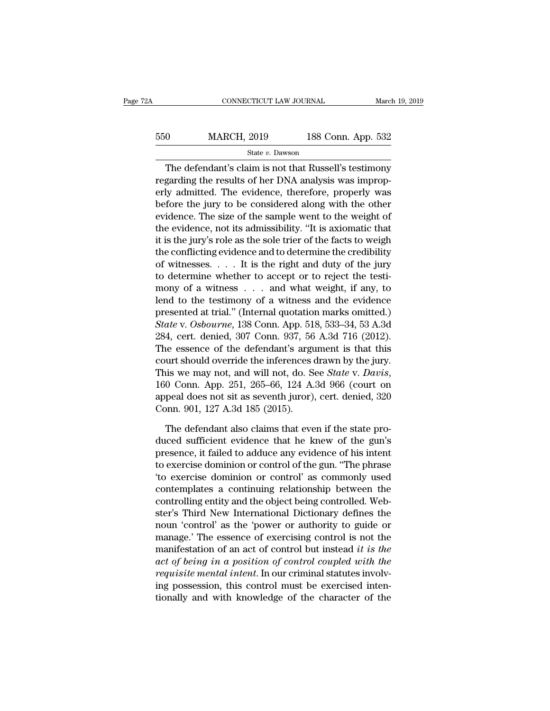# EXECUTE CONNECTICUT LAW JOURNAL March 19, 2019<br>
550 MARCH, 2019 188 Conn. App. 532<br>
5132 State v. Dawson State *v.* Dawson

CONNECTICUT LAW JOURNAL March 19, 2019<br>
0 MARCH, 2019 188 Conn. App. 532<br>  $\frac{\text{State } v. \text{ Dawson}}{\text{The defendant's claim is not that Russell's testimony}}$ <br>
garding the results of her DNA analysis was impropuly edmitted. The evidence therefore, preparly weally For the regarding the results of her DNA analysis was improperly admitted. The evidence, therefore, properly was have a series of her DNA analysis was improperly admitted. The evidence, therefore, properly was have a seri Example 188 Conn. App. 532<br>
Example 2019 188 Conn. App. 532<br>
The defendant's claim is not that Russell's testimony<br>
regarding the results of her DNA analysis was improperly admitted. The evidence, therefore, properly was<br>  $\frac{\text{MARCH, 2019}}{\text{State } v. \text{ Dawson}}$ <br>The defendant's claim is not that Russell's testimony<br>regarding the results of her DNA analysis was improp-<br>erly admitted. The evidence, therefore, properly was<br>before the jury to be considere State v. Dawson<br>
The defendant's claim is not that Russell's testimony<br>
regarding the results of her DNA analysis was improp-<br>
erly admitted. The evidence, therefore, properly was<br>
before the jury to be considered along w The defendant's claim is not that Russell's testimony<br>regarding the results of her DNA analysis was improp-<br>erly admitted. The evidence, therefore, properly was<br>before the jury to be considered along with the other<br>eviden The defendant's claim is not that Russell's testimony<br>regarding the results of her DNA analysis was improp-<br>erly admitted. The evidence, therefore, properly was<br>before the jury to be considered along with the other<br>evidenc regarding the results of her DNA analysis was improperly admitted. The evidence, therefore, properly was<br>before the jury to be considered along with the other<br>evidence. The size of the sample went to the weight of<br>the evid erly admitted. The evidence, therefore, properly was<br>before the jury to be considered along with the other<br>evidence. The size of the sample went to the weight of<br>the evidence, not its admissibility. "It is axiomatic that<br>i before the jury to be considered along with the other<br>evidence. The size of the sample went to the weight of<br>the evidence, not its admissibility. "It is axiomatic that<br>it is the jury's role as the sole trier of the facts t evidence. The size of the sample went to the weight of<br>the evidence, not its admissibility. "It is axiomatic that<br>it is the jury's role as the sole trier of the facts to weigh<br>the conflicting evidence and to determine the the evidence, not its admissibility. "It is axiomatic that<br>it is the jury's role as the sole trier of the facts to weigh<br>the conflicting evidence and to determine the credibility<br>of witnesses.... It is the right and duty it is the jury's role as the sole trier of the facts to weigh<br>the conflicting evidence and to determine the credibility<br>of witnesses.... It is the right and duty of the jury<br>to determine whether to accept or to reject the the conflicting evidence and to determine the credibility<br>of witnesses. . . . It is the right and duty of the jury<br>to determine whether to accept or to reject the testi-<br>mony of a witness . . . and what weight, if any, to<br> of witnesses. . . . It is the right and duty of the jury<br>to determine whether to accept or to reject the testi-<br>mony of a witness . . . and what weight, if any, to<br>lend to the testimony of a witness and the evidence<br>prese to determine whether to accept or to reject the testi-<br>mony of a witness . . . and what weight, if any, to<br>lend to the testimony of a witness and the evidence<br>presented at trial." (Internal quotation marks omitted.)<br>State mony of a witness . . . and what weight, if any, to<br>lend to the testimony of a witness and the evidence<br>presented at trial." (Internal quotation marks omitted.)<br>State v. Osbourne, 138 Conn. App. 518, 533–34, 53 A.3d<br>284, lend to the testimony of a witness and the evidence<br>presented at trial." (Internal quotation marks omitted.)<br>State v. Osbourne, 138 Conn. App. 518, 533–34, 53 A.3d<br>284, cert. denied, 307 Conn. 937, 56 A.3d 716 (2012).<br>The State v. Osbourne, 138 Conn. App. 518, 533–34, 53 A.3d<br>284, cert. denied, 307 Conn. 937, 56 A.3d 716 (2012).<br>The essence of the defendant's argument is that this<br>court should override the inferences drawn by the jury.<br>Thi 284, cert. denied, 307 Conn. 937, 56<br>The essence of the defendant's argu<br>court should override the inferences of<br>This we may not, and will not, do. S<br>160 Conn. App. 251, 265–66, 124 A.<br>appeal does not sit as seventh juror) urt should override the inferences drawn by the jury.<br>
is we may not, and will not, do. See *State* v. *Davis*,<br>
0 Conn. App. 251, 265–66, 124 A.3d 966 (court on<br>
peal does not sit as seventh juror), cert. denied, 320<br>
pon This we may not, and will not, do. See *State* v. *Davis*, 160 Conn. App. 251, 265–66, 124 A.3d 966 (court on appeal does not sit as seventh juror), cert. denied, 320 Conn. 901, 127 A.3d 185 (2015).<br>The defendant also cla

160 Conn. App. 251, 265–66, 124 A.3d 966 (court on<br>appeal does not sit as seventh juror), cert. denied, 320<br>Conn. 901, 127 A.3d 185 (2015).<br>The defendant also claims that even if the state pro-<br>duced sufficient evidence t appeal does not sit as seventh juror), cert. denied, 320<br>Conn. 901, 127 A.3d 185 (2015).<br>The defendant also claims that even if the state pro-<br>duced sufficient evidence that he knew of the gun's<br>presence, it failed to addu Conn. 901, 127 A.3d 185 (2015).<br>
The defendant also claims that even if the state pro-<br>
duced sufficient evidence that he knew of the gun's<br>
presence, it failed to adduce any evidence of his intent<br>
to exercise dominion or The defendant also claims that even if the state pro-<br>duced sufficient evidence that he knew of the gun's<br>presence, it failed to adduce any evidence of his intent<br>to exercise dominion or control of the gun. "The phrase<br>"to The defendant also claims that even if the state produced sufficient evidence that he knew of the gun's<br>presence, it failed to adduce any evidence of his intent<br>to exercise dominion or control of the gun. "The phrase<br>"to e duced sufficient evidence that he knew of the gun's<br>presence, it failed to adduce any evidence of his intent<br>to exercise dominion or control of the gun. "The phrase<br>'to exercise dominion or control' as commonly used<br>contem presence, it failed to adduce any evidence of his intent<br>to exercise dominion or control of the gun. "The phrase<br>"to exercise dominion or control" as commonly used<br>contemplates a continuing relationship between the<br>control to exercise dominion or control of the gun. "The phrase<br>
'to exercise dominion or control' as commonly used<br>
contemplates a continuing relationship between the<br>
controlling entity and the object being controlled. Web-<br>
st To exercise dominion or control' as commonly used<br>contemplates a continuing relationship between the<br>controlling entity and the object being controlled. Web-<br>ster's Third New International Dictionary defines the<br>noun 'cont contemplates a continuing relationship between the<br>controlling entity and the object being controlled. Web-<br>ster's Third New International Dictionary defines the<br>noun 'control' as the 'power or authority to guide or<br>manage controlling entity and the object being controlled. Webster's Third New International Dictionary defines the<br>noun 'control' as the 'power or authority to guide or<br>manage.' The essence of exercising control is not the<br>manif ster's Third New International Dictionary defines the<br>noun 'control' as the 'power or authority to guide or<br>manage.' The essence of exercising control is not the<br>manifestation of an act of control but instead *it is the*<br> noun 'control' as the 'power or authority to guide or<br>manage.' The essence of exercising control is not the<br>manifestation of an act of control but instead *it is the*<br>act of being in a position of control coupled with the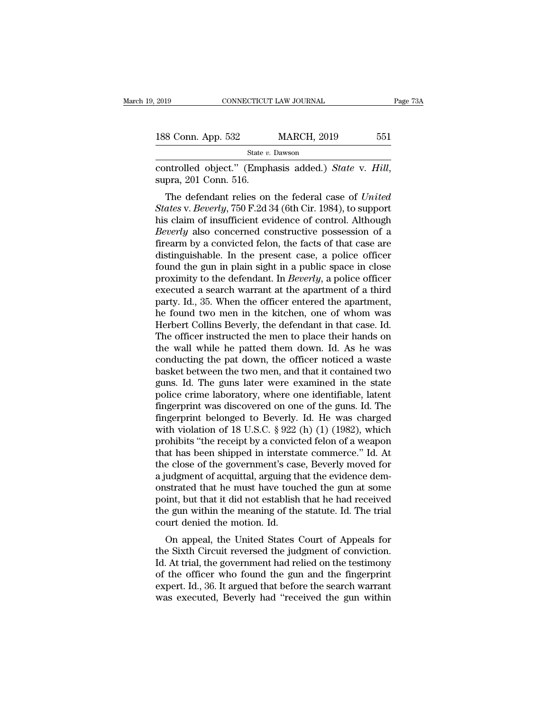| 2019               | CONNECTICUT LAW JOURNAL | Page 73A |  |
|--------------------|-------------------------|----------|--|
|                    |                         |          |  |
| 188 Conn. App. 532 | <b>MARCH, 2019</b>      | 551      |  |
|                    | State v. Dawson         |          |  |

CONNECTICUT LAW JOURNAL Page 7<br>
188 Conn. App. 532 MARCH, 2019 551<br>
<sup>State v. Dawson</sup><br>
controlled object.'' (Emphasis added.) *State* v. *Hill*, supra, 201 Conn. 516.<br>
The defendant relies on the federal case of *United* 

8 Conn. App. 532 MARCH, 2019 551<br>
State *v*. Dawson<br>
Introlled object." (Emphasis added.) *State* v. *Hill*,<br>
pra, 201 Conn. 516.<br>
The defendant relies on the federal case of *United*<br> *ates* v. *Beverly*, 750 F.2d 34 (6th *State v. Dawson*<br> *State v. Dawson*<br>
Controlled object." (Emphasis added.) *State v. Hill*,<br>
supra, 201 Conn. 516.<br> *The defendant relies on the federal case of United<br>
<i>States v. Beverly*, 750 F.2d 34 (6th Cir. 1984), to State v. Dawson<br>
controlled object." (Emphasis added.) *State* v. *Hill*,<br>
supra, 201 Conn. 516.<br>
The defendant relies on the federal case of *United*<br> *States* v. *Beverly*, 750 F.2d 34 (6th Cir. 1984), to support<br>
his c controlled object." (Emphasis added.) *State* v. *Hill*,<br>supra, 201 Conn. 516.<br>The defendant relies on the federal case of *United*<br>*States* v. *Beverly*, 750 F.2d 34 (6th Cir. 1984), to support<br>his claim of insufficient e followed object. (Emphasis added.) *State V. Trut*,<br>supra, 201 Conn. 516.<br>The defendant relies on the federal case of *United*<br>*States v. Beverly*, 750 F.2d 34 (6th Cir. 1984), to support<br>his claim of insufficient evidenc supra, 201 Colul. 510.<br>The defendant relies on the federal case of *United*<br>States v. Beverly, 750 F.2d 34 (6th Cir. 1984), to support<br>his claim of insufficient evidence of control. Although<br>Beverly also concerned construc The defendant relies on the federal case of *United*<br>States v. Beverly, 750 F.2d 34 (6th Cir. 1984), to support<br>his claim of insufficient evidence of control. Although<br>Beverly also concerned constructive possession of a<br>fi States v. *Beverly*, 750 F.2d 34 (6th Cir. 1984), to support<br>his claim of insufficient evidence of control. Although<br>*Beverly* also concerned constructive possession of a<br>firearm by a convicted felon, the facts of that cas his claim of insufficient evidence of control. Although *Beverly* also concerned constructive possession of a firearm by a convicted felon, the facts of that case are distinguishable. In the present case, a police officer *Beverly* also concerned constructive possession of a firearm by a convicted felon, the facts of that case are distinguishable. In the present case, a police officer found the gun in plain sight in a public space in close firearm by a convicted felon, the facts of that case are<br>distinguishable. In the present case, a police officer<br>found the gun in plain sight in a public space in close<br>proximity to the defendant. In *Beverly*, a police off distinguishable. In the present case, a police officer<br>found the gun in plain sight in a public space in close<br>proximity to the defendant. In *Beverly*, a police officer<br>executed a search warrant at the apartment of a thi found the gun in plain sight in a public space in close<br>proximity to the defendant. In *Beverly*, a police officer<br>executed a search warrant at the apartment of a third<br>party. Id., 35. When the officer entered the apartmen proximity to the defendant. In *Beverly*, a police officer<br>executed a search warrant at the apartment of a third<br>party. Id., 35. When the officer entered the apartment,<br>he found two men in the kitchen, one of whom was<br>Her executed a search warrant at the apartment of a third<br>party. Id., 35. When the officer entered the apartment,<br>he found two men in the kitchen, one of whom was<br>Herbert Collins Beverly, the defendant in that case. Id.<br>The of party. Id., 35. When the officer entered the apartment,<br>he found two men in the kitchen, one of whom was<br>Herbert Collins Beverly, the defendant in that case. Id.<br>The officer instructed the men to place their hands on<br>the w he found two men in the kitchen, one of whom was<br>Herbert Collins Beverly, the defendant in that case. Id.<br>The officer instructed the men to place their hands on<br>the wall while he patted them down. Id. As he was<br>conducting Herbert Collins Beverly, the defendant in that case. Id.<br>The officer instructed the men to place their hands on<br>the wall while he patted them down. Id. As he was<br>conducting the pat down, the officer noticed a waste<br>basket The officer instructed the men to place their hands on<br>the wall while he patted them down. Id. As he was<br>conducting the pat down, the officer noticed a waste<br>basket between the two men, and that it contained two<br>guns. Id. the wall while he patted them down. Id. As he was<br>conducting the pat down, the officer noticed a waste<br>basket between the two men, and that it contained two<br>guns. Id. The guns later were examined in the state<br>police crime conducting the pat down, the officer noticed a waste<br>basket between the two men, and that it contained two<br>guns. Id. The guns later were examined in the state<br>police crime laboratory, where one identifiable, latent<br>fingerp basket between the two men, and that it contained two<br>guns. Id. The guns later were examined in the state<br>police crime laboratory, where one identifiable, latent<br>fingerprint was discovered on one of the guns. Id. The<br>finge guns. Id. The guns later were examined in the state<br>police crime laboratory, where one identifiable, latent<br>fingerprint was discovered on one of the guns. Id. The<br>fingerprint belonged to Beverly. Id. He was charged<br>with vi police crime laboratory, where one identifiable, latent<br>fingerprint was discovered on one of the guns. Id. The<br>fingerprint belonged to Beverly. Id. He was charged<br>with violation of 18 U.S.C. § 922 (h) (1) (1982), which<br>pro fingerprint was discovered on one of the guns. Id. The<br>fingerprint belonged to Beverly. Id. He was charged<br>with violation of 18 U.S.C. § 922 (h) (1) (1982), which<br>prohibits "the receipt by a convicted felon of a weapon<br>tha fingerprint belonged to Beverly. Id. He was charged<br>with violation of 18 U.S.C. § 922 (h) (1) (1982), which<br>prohibits "the receipt by a convicted felon of a weapon<br>that has been shipped in interstate commerce." Id. At<br>the with violation of 18 U.S.C. § 922 (h) (1) (1982), which<br>prohibits "the receipt by a convicted felon of a weapon<br>that has been shipped in interstate commerce." Id. At<br>the close of the government's case, Beverly moved for<br>a prohibits "the receipt by a convicted felon of a weapon<br>that has been shipped in interstate commerce." Id. At<br>the close of the government's case, Beverly moved for<br>a judgment of acquittal, arguing that the evidence dem-<br>on that has been shipped in intersta<br>the close of the government's cas<br>a judgment of acquittal, arguing th<br>onstrated that he must have touce<br>point, but that it did not establish<br>the gun within the meaning of the<br>court denied E close of the government's case, beverly inoved for<br>udgment of acquittal, arguing that the evidence dem-<br>strated that he must have touched the gun at some<br>int, but that it did not establish that he had received<br>e gun with a judgment of acquittal, arguing that the evidence dem-<br>onstrated that he must have touched the gun at some<br>point, but that it did not establish that he had received<br>the gun within the meaning of the statute. Id. The trial

Instrated that he hust have touched the gun at some<br>point, but that it did not establish that he had received<br>the gun within the meaning of the statute. Id. The trial<br>court denied the motion. Id.<br>On appeal, the United Stat point, but that it du not establish that he had received<br>the gun within the meaning of the statute. Id. The trial<br>court denied the motion. Id.<br>On appeal, the United States Court of Appeals for<br>the Sixth Circuit reversed th the gun whill the meaning of the statute. Id. The that<br>court denied the motion. Id.<br>On appeal, the United States Court of Appeals for<br>the Sixth Circuit reversed the judgment of conviction.<br>Id. At trial, the government had Court defiled the hotion. Id.<br>
On appeal, the United States Court of Appeals for<br>
the Sixth Circuit reversed the judgment of conviction.<br>
Id. At trial, the government had relied on the testimony<br>
of the officer who found t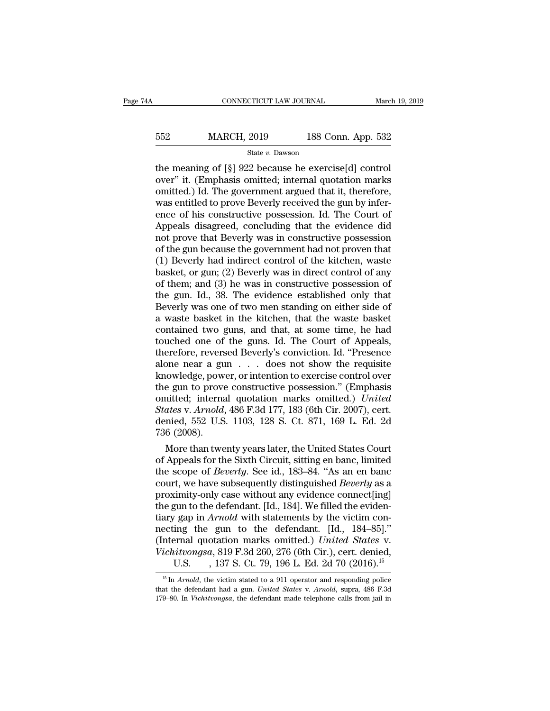| 4A  |                    | CONNECTICUT LAW JOURNAL |  |
|-----|--------------------|-------------------------|--|
|     |                    |                         |  |
| 552 | <b>MARCH, 2019</b> | 188 Conn. App. 532      |  |
|     | State v. Dawson    |                         |  |

 $\begin{tabular}{ll} \multicolumn{1}{l}{{\bf ConNECTICUT LAW JOURNAL}} & {March 19, 20\hline } \end{tabular}$   $\begin{tabular}{ll} \hline {\bf 552} & {MARCH, 2019} & {188 Conn. App. 532} \\ \hline {\bf 553} & {State v. Dawson} \\ \hline \end{tabular}$  <br> the meaning of [§] 922 because he exercise[d] control over" it. (Emphasis omitted; intern MARCH, 2019 188 Conn. App. 532<br>
state v. Dawson<br>
the meaning of [§] 922 because he exercise[d] control<br>
over" it. (Emphasis omitted; internal quotation marks<br>
omitted.) Id. The government argued that it, therefore,<br>
was e MARCH, 2019 188 Conn. App. 532<br>
State v. Dawson<br>
the meaning of [§] 922 because he exercise[d] control<br>
over" it. (Emphasis omitted; internal quotation marks<br>
omitted.) Id. The government argued that it, therefore,<br>
was e MARCH, 2019 188 Conn. App. 532<br>
State v. Dawson<br>
the meaning of [§] 922 because he exercise[d] control<br>
over" it. (Emphasis omitted; internal quotation marks<br>
omitted.) Id. The government argued that it, therefore,<br>
was e State v. Dawson<br>
State v. Dawson<br>
the meaning of [§] 922 because he exercise[d] control<br>
over" it. (Emphasis omitted; internal quotation marks<br>
omitted.) Id. The government argued that it, therefore,<br>
was entitled to prov State v. Dawson<br>the meaning of [§] 922 because he exercise[d] control<br>over" it. (Emphasis omitted; internal quotation marks<br>omitted.) Id. The government argued that it, therefore,<br>was entitled to prove Beverly received th the meaning of [§] 922 because he exercise[d] control<br>over" it. (Emphasis omitted; internal quotation marks<br>omitted.) Id. The government argued that it, therefore,<br>was entitled to prove Beverly received the gun by infer-<br>e over" it. (Emphasis omitted; internal quotation marks<br>omitted.) Id. The government argued that it, therefore,<br>was entitled to prove Beverly received the gun by infer-<br>ence of his constructive possession. Id. The Court of<br>A omitted.) Id. The government argued that it, therefore,<br>was entitled to prove Beverly received the gun by infer-<br>ence of his constructive possession. Id. The Court of<br>Appeals disagreed, concluding that the evidence did<br>not was entitled to prove Beverly received the gun by infer-<br>ence of his constructive possession. Id. The Court of<br>Appeals disagreed, concluding that the evidence did<br>not prove that Beverly was in constructive possession<br>of th ence of his constructive possession. Id. The Court of<br>Appeals disagreed, concluding that the evidence did<br>not prove that Beverly was in constructive possession<br>of the gun because the government had not proven that<br>(1) Beve Appeals disagreed, concluding that the evidence did<br>not prove that Beverly was in constructive possession<br>of the gun because the government had not proven that<br>(1) Beverly had indirect control of the kitchen, waste<br>basket, not prove that Beverly was in constructive possession<br>of the gun because the government had not proven that<br>(1) Beverly had indirect control of the kitchen, waste<br>basket, or gun; (2) Beverly was in direct control of any<br>of of the gun because the government had not proven that (1) Beverly had indirect control of the kitchen, waste basket, or gun; (2) Beverly was in direct control of any of them; and (3) he was in constructive possession of th (1) Beverly had indirect control of the kitchen, waste<br>basket, or gun; (2) Beverly was in direct control of any<br>of them; and (3) he was in constructive possession of<br>the gun. Id., 38. The evidence established only that<br>Be basket, or gun; (2) Beverly was in direct control of any<br>of them; and (3) he was in constructive possession of<br>the gun. Id., 38. The evidence established only that<br>Beverly was one of two men standing on either side of<br>a wa of them; and (3) he was in constructive possession of<br>the gun. Id., 38. The evidence established only that<br>Beverly was one of two men standing on either side of<br>a waste basket in the kitchen, that the waste basket<br>containe the gun. Id., 38. The evidence established only that<br>Beverly was one of two men standing on either side of<br>a waste basket in the kitchen, that the waste basket<br>contained two guns, and that, at some time, he had<br>touched one Beverly was one of two men standing on either side of<br>a waste basket in the kitchen, that the waste basket<br>contained two guns, and that, at some time, he had<br>touched one of the guns. Id. The Court of Appeals,<br>therefore, re a waste basket in the kitchen, that the waste basket<br>contained two guns, and that, at some time, he had<br>touched one of the guns. Id. The Court of Appeals,<br>therefore, reversed Beverly's conviction. Id. "Presence<br>alone near contained two guns, and that, at some time, he had<br>touched one of the guns. Id. The Court of Appeals,<br>therefore, reversed Beverly's conviction. Id. "Presence<br>alone near a gun . . . does not show the requisite<br>knowledge, po touched one of the guns. Id. The Court of Appeals,<br>therefore, reversed Beverly's conviction. Id. "Presence<br>alone near a gun . . . does not show the requisite<br>knowledge, power, or intention to exercise control over<br>the gun therefore, reversed Beverly's conviction. Id. "Presence<br>alone near a gun . . . does not show the requisite<br>knowledge, power, or intention to exercise control over<br>the gun to prove constructive possession." (Emphasis<br>omitte alone near a gu<br>knowledge, pow<br>the gun to prove<br>omitted; interna<br>*States* v. Arnold,<br>denied, 552 U.S<br>736 (2008).<br>More than twe owledge, power, or intention to exercise control over<br>
e gun to prove constructive possession." (Emphasis<br>
initted; internal quotation marks omitted.) *United*<br>
ates v. Arnold, 486 F.3d 177, 183 (6th Cir. 2007), cert.<br>
ini the gun to prove constructive possession." (Emphasis<br>
omitted; internal quotation marks omitted.) United<br>
States v. Arnold, 486 F.3d 177, 183 (6th Cir. 2007), cert.<br>
denied, 552 U.S. 1103, 128 S. Ct. 871, 169 L. Ed. 2d<br>
7

omitted; internal quotation marks omitted.) *United*<br> *States* v. Arnold, 486 F.3d 177, 183 (6th Cir. 2007), cert.<br>
denied, 552 U.S. 1103, 128 S. Ct. 871, 169 L. Ed. 2d<br>
736 (2008).<br>
More than twenty years later, the Unite States v. Arnold, 486 F.3d 177, 183 (6th Cir. 2007), cert.<br>denied, 552 U.S. 1103, 128 S. Ct. 871, 169 L. Ed. 2d<br>736 (2008).<br>More than twenty years later, the United States Court<br>of Appeals for the Sixth Circuit, sitting en denied, 552 U.S. 1103, 128 S. Ct. 871, 169 L. Ed. 2d<br>
736 (2008).<br>
More than twenty years later, the United States Court<br>
of Appeals for the Sixth Circuit, sitting en banc, limited<br>
the scope of *Beverly*. See id., 183–84 736 (2008).<br>
More than twenty years later, the United States Court<br>
of Appeals for the Sixth Circuit, sitting en banc, limited<br>
the scope of *Beverly*. See id., 183–84. "As an en banc<br>
court, we have subsequently distingu More than twenty years later, the United States Court<br>of Appeals for the Sixth Circuit, sitting en banc, limited<br>the scope of *Beverly*. See id., 183–84. "As an en banc<br>court, we have subsequently distinguished *Beverly* a of Appeals for the Sixth Circuit, sitting en banc, limited<br>the scope of *Beverly*. See id., 183–84. "As an en banc<br>court, we have subsequently distinguished *Beverly* as a<br>proximity-only case without any evidence connect[ the scope of *Beverly*. See id., 183–84. "As an en banc<br>court, we have subsequently distinguished *Beverly* as a<br>proximity-only case without any evidence connect[ing]<br>the gun to the defendant. [Id., 184]. We filled the evi court, we have subsequently distinguished *Beverly* as a proximity-only case without any evidence connect[ing] the gun to the defendant. [Id., 184]. We filled the evidentiary gap in *Arnold* with statements by the victim c cimity-only case without any evidence connect[ing]<br>gun to the defendant. [Id., 184]. We filled the eviden-<br>r gap in *Arnold* with statements by the victim con-<br>ing the gun to the defendant. [Id., 184–85]."<br>ernal quotation ecting the gun to the defendant. [Id., 184–85]."<br>
nternal quotation marks omitted.) *United States v.*<br> *ichitvongsa*, 819 F.3d 260, 276 (6th Cir.), cert. denied,<br>
U.S. , 137 S. Ct. 79, 196 L. Ed. 2d 70 (2016).<sup>15</sup><br>
<sup>15</sup> I (Internal quotation marks omitted.) *United States* v.<br> *Vichitvongsa*, 819 F.3d 260, 276 (6th Cir.), cert. denied,<br>
U.S., 137 S. Ct. 79, 196 L. Ed. 2d 70 (2016).<sup>15</sup><br>
<sup>15</sup> In *Arnold*, the victim stated to a 911 operator

Vichitvongsa, 819 F.3d 260, 276 (6th Cir.), cert. denied,<br>U.S., 137 S. Ct. 79, 196 L. Ed. 2d 70 (2016).<sup>15</sup><br><sup>15</sup> In *Arnold*, the victim stated to a 911 operator and responding police<br>that the defendant had a gun. *United*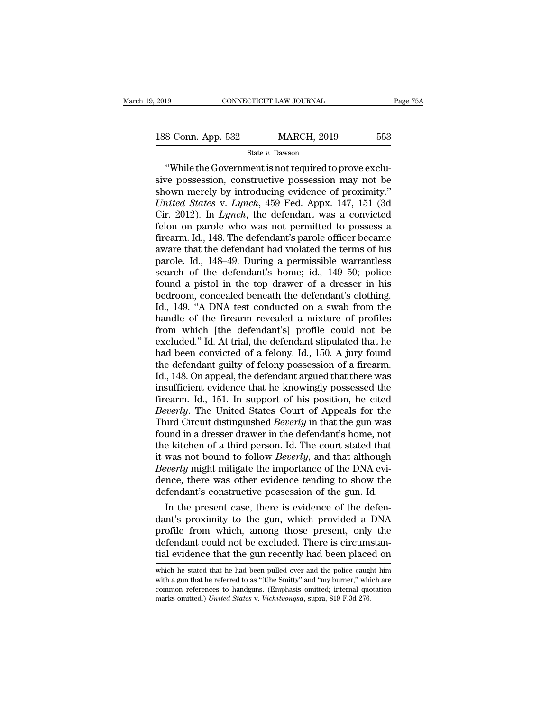2019 CONNECTICUT LAW JOURNAL Page 75A<br>188 Conn. App. 532 MARCH, 2019 553<br>State v. Dawson

State *v.* Dawson

CONNECTICUT LAW JOURNAL<br>
8 Conn. App. 532 MARCH, 2019 553<br>
State v. Dawson<br>
"While the Government is not required to prove exclu-<br>
"Ve possession, constructive possession may not be<br>
own morely by introducing oridones of p 188 Conn. App. 532 MARCH, 2019 553<br>
State v. Dawson<br>
"While the Government is not required to prove exclusive<br>
possession, constructive possession may not be<br>
shown merely by introducing evidence of proximity."<br>
United Sta 188 Conn. App. 532 MARCH, 2019 553<br>
State v. Dawson<br>
"While the Government is not required to prove exclusive possession, constructive possession may not be<br>
shown merely by introducing evidence of proximity."<br>
United Sta *UNITED 188 Conn. App.* 532 *MARCH, 2019* 553<br> *State v. Dawson*<br> *While the Government is not required to prove exclusive possession, constructive possession may not be shown merely by introducing evidence of proximity."<br>* State *v.* Dawson<br>
"While the Government is not required to prove exclusive<br>
possession, constructive possession may not be<br>
shown merely by introducing evidence of proximity."<br>
United States v. Lynch, 459 Fed. Appx. 147, State v. Dawson<br>
"While the Government is not required to prove exclusive possession, constructive possession may not be<br>
shown merely by introducing evidence of proximity."<br>
United States v. Lynch, 459 Fed. Appx. 147, 15 "While the Government is not required to prove exclusive possession, constructive possession may not be shown merely by introducing evidence of proximity."<br>*United States v. Lynch*, 459 Fed. Appx. 147, 151 (3d Cir. 2012). sive possession, constructive possession may not be<br>shown merely by introducing evidence of proximity."<br>*United States v. Lynch*, 459 Fed. Appx. 147, 151 (3d<br>Cir. 2012). In *Lynch*, the defendant was a convicted<br>felon on p shown merely by introducing evidence of proximity."<br>
United States v. Lynch, 459 Fed. Appx. 147, 151 (3d<br>
Cir. 2012). In Lynch, the defendant was a convicted<br>
felon on parole who was not permitted to possess a<br>
firearm. Id United States v. Lynch, 459 Fed. Appx. 147, 151 (3d<br>Cir. 2012). In Lynch, the defendant was a convicted<br>felon on parole who was not permitted to possess a<br>firearm. Id., 148. The defendant's parole officer became<br>aware that Cir. 2012). In *Lynch*, the defendant was a convicted<br>felon on parole who was not permitted to possess a<br>firearm. Id., 148. The defendant's parole officer became<br>aware that the defendant had violated the terms of his<br>paro felon on parole who was not permitted to possess a<br>firearm. Id., 148. The defendant's parole officer became<br>aware that the defendant had violated the terms of his<br>parole. Id., 148–49. During a permissible warrantless<br>searc firearm. Id., 148. The defendant's parole officer became<br>aware that the defendant had violated the terms of his<br>parole. Id., 148–49. During a permissible warrantless<br>search of the defendant's home; id., 149–50; police<br>foun aware that the defendant had violated the terms of his<br>parole. Id., 148–49. During a permissible warrantless<br>search of the defendant's home; id., 149–50; police<br>found a pistol in the top drawer of a dresser in his<br>bedroom, parole. Id., 148–49. During a permissible warrantless<br>search of the defendant's home; id., 149–50; police<br>found a pistol in the top drawer of a dresser in his<br>bedroom, concealed beneath the defendant's clothing.<br>Id., 149. search of the defendant's home; id., 149–50; police<br>found a pistol in the top drawer of a dresser in his<br>bedroom, concealed beneath the defendant's clothing.<br>Id., 149. "A DNA test conducted on a swab from the<br>handle of the found a pistol in the top drawer of a dresser in his<br>bedroom, concealed beneath the defendant's clothing.<br>Id., 149. "A DNA test conducted on a swab from the<br>handle of the firearm revealed a mixture of profiles<br>from which [ bedroom, concealed beneath the defendant's clothing.<br>Id., 149. "A DNA test conducted on a swab from the<br>handle of the firearm revealed a mixture of profiles<br>from which [the defendant's] profile could not be<br>excluded." Id. Id., 149. "A DNA test conducted on a swab from the<br>handle of the firearm revealed a mixture of profiles<br>from which [the defendant's] profile could not be<br>excluded." Id. At trial, the defendant stipulated that he<br>had been c handle of the firearm revealed a mixture of profiles<br>from which [the defendant's] profile could not be<br>excluded." Id. At trial, the defendant stipulated that he<br>had been convicted of a felony. Id., 150. A jury found<br>the de from which [the defendant's] profile could not be<br>excluded." Id. At trial, the defendant stipulated that he<br>had been convicted of a felony. Id., 150. A jury found<br>the defendant guilty of felony possession of a firearm.<br>Id. excluded." Id. At trial, the defendant stipulated that he<br>had been convicted of a felony. Id., 150. A jury found<br>the defendant guilty of felony possession of a firearm.<br>Id., 148. On appeal, the defendant argued that there had been convicted of a felony. Id., 150. A jury found<br>the defendant guilty of felony possession of a firearm.<br>Id., 148. On appeal, the defendant argued that there was<br>insufficient evidence that he knowingly possessed the<br> the defendant guilty of felony possession of a firearm.<br>Id., 148. On appeal, the defendant argued that there was<br>insufficient evidence that he knowingly possessed the<br>firearm. Id., 151. In support of his position, he cited Id., 148. On appeal, the defendant argued that there was<br>insufficient evidence that he knowingly possessed the<br>firearm. Id., 151. In support of his position, he cited<br>*Beverly*. The United States Court of Appeals for the<br>T insufficient evidence that he knowingly possessed the<br>firearm. Id., 151. In support of his position, he cited<br>*Beverly*. The United States Court of Appeals for the<br>Third Circuit distinguished *Beverly* in that the gun was<br> firearm. Id., 151. In support of his position, he cited *Beverly*. The United States Court of Appeals for the Third Circuit distinguished *Beverly* in that the gun was found in a dresser drawer in the defendant's home, not Beverly. The United States Court of Appeals for the<br>Third Circuit distinguished Beverly in that the gun was<br>found in a dresser drawer in the defendant's home, not<br>the kitchen of a third person. Id. The court stated that<br>it Third Circuit distinguished *Beverly* in that the gun was found in a dresser drawer in the defendant's home, not the kitchen of a third person. Id. The court stated that it was not bound to follow *Beverly*, and that alth in the defendant s nome, note is eitchen of a third person. Id. The court stated that<br>was not bound to follow *Beverly*, and that although<br>*werly* might mitigate the importance of the DNA evi-<br>nce, there was other evidence the kitchen of a third person. Id. The court stated that<br>it was not bound to follow *Beverly*, and that although<br>*Beverly* might mitigate the importance of the DNA evi-<br>dence, there was other evidence tending to show the<br>d

It was not bound to follow *Beverty*, and that although<br>*Beverty* might mitigate the importance of the DNA evi-<br>dence, there was other evidence tending to show the<br>defendant's constructive possession of the gun. Id.<br>In the Beverty might mutgate the importance of the DNA evidence, there was other evidence tending to show the defendant's constructive possession of the gun. Id.<br>In the present case, there is evidence of the defendant's proximity defendant's constructive possession of the gun. Id.<br>In the present case, there is evidence of the defen-<br>dant's proximity to the gun, which provided a DNA<br>profile from which, among those present, only the<br>defendant could n dant's proximity to the gun, which provided a DNA<br>profile from which, among those present, only the<br>defendant could not be excluded. There is circumstan-<br>tial evidence that the gun recently had been placed on<br>which he stat profile from which, among those present, only the defendant could not be excluded. There is circumstantial evidence that the gun recently had been placed on which he stated that he had been pulled over and the police caugh

defendant could not be excluded. There is circumstantial evidence that the gun recently had been placed on which he stated that he had been pulled over and the police caught him with a gun that he referred to as "[t]he Smi defendant could not be excluded. There is circumstantial evidence that the gun recently had been placed on which he stated that he had been pulled over and the police caught him with a gun that he referred to as "[t]he Smi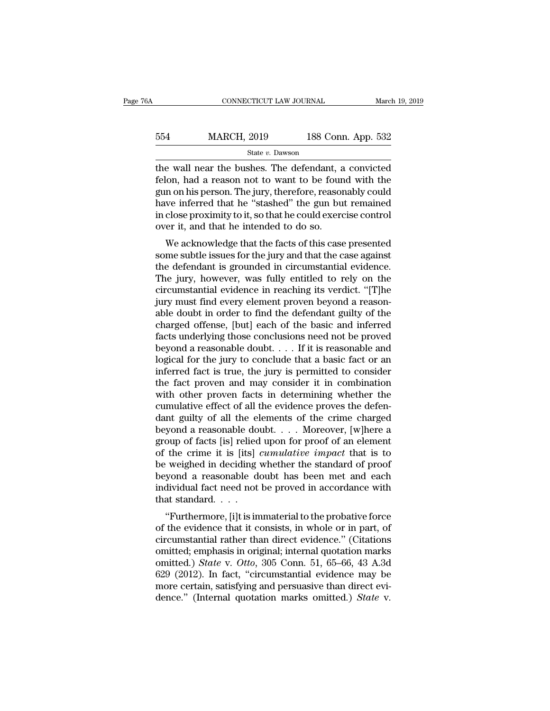## EXECUTE CONNECTICUT LAW JOURNAL March 19, 2019<br>554 MARCH, 2019 188 Conn. App. 532<br>5tate v. Dawson State *v.* Dawson

CONNECTICUT LAW JOURNAL March 19, 2019<br>
554 MARCH, 2019 188 Conn. App. 532<br>
564 State v. Dawson<br>
564 State v. Dawson<br>
564 State v. Dawson<br>
564 State v. Dawson<br>
564 State v. Dawson<br>
564 State v. Dawson<br>
564 State v. Dawson<br>  $\begin{array}{lll} \text{554} & \text{MARCH, 2019} & \text{188 Conn. App. 532} \\ & \text{State } v. \text{ Dawson} \end{array}$ <br>the wall near the bushes. The defendant, a convicted felon, had a reason not to want to be found with the gun on his person. The jury, therefore, reasonabl MARCH, 2019 188 Conn. App. 532<br>  $\frac{\text{State } v. \text{ Dawson}}{\text{the wall near the bushes. The defendant, a convicted}$ felon, had a reason not to want to be found with the gun on his person. The jury, therefore, reasonably could have inferred that he "stashed" the gun but  $\frac{\text{MARCH, 2019}}{\text{State } v. \text{ Dawson}}$ <br>
the wall near the bushes. The defendant, a convicted<br>
felon, had a reason not to want to be found with the<br>
gun on his person. The jury, therefore, reasonably could<br>
have inferred that he " State v. Dawson<br>
State v. Dawson<br>
the wall near the bushes. The defendant, a convicted<br>
felon, had a reason not to want to be found with the<br>
gun on his person. The jury, therefore, reasonably could<br>
have inferred that he the wall near the bushes. The defendant, a convicted<br>felon, had a reason not to want to be found with the<br>gun on his person. The jury, therefore, reasonably could<br>have inferred that he "stashed" the gun but remained<br>in clo e wan hear the busites. The defendant, a convicted<br>lon, had a reason not to want to be found with the<br>n on his person. The jury, therefore, reasonably could<br>we inferred that he "stashed" the gun but remained<br>close proximit something in the internal to be found with the gun on his person. The jury, therefore, reasonably could have inferred that he "stashed" the gun but remained in close proximity to it, so that he could exercise control over

gun on his person. The jury, therefore, reasonably could<br>have inferred that he "stashed" the gun but remained<br>in close proximity to it, so that he could exercise control<br>over it, and that he intended to do so.<br>We acknowled rative interfed that he stashed the gun but remained<br>in close proximity to it, so that he could exercise control<br>over it, and that he intended to do so.<br>We acknowledge that the facts of this case presented<br>some subtle issu m close proximity to it, so that he could exercise control<br>over it, and that he intended to do so.<br>We acknowledge that the facts of this case presented<br>some subtle issues for the jury and that the case against<br>the defendan We acknowledge that the facts of this case presented<br>some subtle issues for the jury and that the case against<br>the defendant is grounded in circumstantial evidence.<br>The jury, however, was fully entitled to rely on the<br>circ We acknowledge that the facts of this case presented<br>some subtle issues for the jury and that the case against<br>the defendant is grounded in circumstantial evidence.<br>The jury, however, was fully entitled to rely on the<br>circ some subtle issues for the jury and that the case against<br>the defendant is grounded in circumstantial evidence.<br>The jury, however, was fully entitled to rely on the<br>circumstantial evidence in reaching its verdict. "[T]he<br>j the defendant is grounded in circumstantial evidence.<br>The jury, however, was fully entitled to rely on the circumstantial evidence in reaching its verdict. "[T]he<br>jury must find every element proven beyond a reason-<br>able d The jury, however, was fully entitled to rely on the circumstantial evidence in reaching its verdict. "[T]he jury must find every element proven beyond a reasonable doubt in order to find the defendant guilty of the charg circumstantial evidence in reaching its verdict. "[T]he<br>jury must find every element proven beyond a reason-<br>able doubt in order to find the defendant guilty of the<br>charged offense, [but] each of the basic and inferred<br>fac jury must find every element proven beyond a reasonable doubt in order to find the defendant guilty of the charged offense, [but] each of the basic and inferred facts underlying those conclusions need not be proved beyond able doubt in order to find the defendant guilty of the charged offense, [but] each of the basic and inferred facts underlying those conclusions need not be proved beyond a reasonable doubt.  $\dots$  If it is reasonable and l charged offense, [but] each of the basic and inferred<br>facts underlying those conclusions need not be proved<br>beyond a reasonable doubt. . . . If it is reasonable and<br>logical for the jury to conclude that a basic fact or an facts underlying those conclusions need not be proved<br>beyond a reasonable doubt. . . . If it is reasonable and<br>logical for the jury to conclude that a basic fact or an<br>inferred fact is true, the jury is permitted to consi beyond a reasonable doubt. . . . If it is reasonable and logical for the jury to conclude that a basic fact or an inferred fact is true, the jury is permitted to consider the fact proven and may consider it in combination logical for the jury to conclude that a basic fact or an inferred fact is true, the jury is permitted to consider<br>the fact proven and may consider it in combination<br>with other proven facts in determining whether the<br>cumula inferred fact is true, the jury is permitted to consider<br>the fact proven and may consider it in combination<br>with other proven facts in determining whether the<br>cumulative effect of all the evidence proves the defen-<br>dant g the fact proven and may consider it in combination<br>with other proven facts in determining whether the<br>cumulative effect of all the evidence proves the defen-<br>dant guilty of all the elements of the crime charged<br>beyond a re with other proven facts in determining whether the cumulative effect of all the evidence proves the defendant guilty of all the elements of the crime charged beyond a reasonable doubt. . . . Moreover, [w]here a group of f cumulative effect of all the evidence proves the defen-<br>dant guilty of all the elements of the crime charged<br>beyond a reasonable doubt. . . . Moreover, [w]here a<br>group of facts [is] relied upon for proof of an element<br>of t dant guilty of all the elements of the crime charged<br>beyond a reasonable doubt. . . . Moreover, [w]here a<br>group of facts [is] relied upon for proof of an element<br>of the crime it is [its] *cumulative impact* that is to<br>be beyond a reasonable do<br>group of facts [is] relied<br>of the crime it is [its]<br>be weighed in deciding<br>beyond a reasonable d<br>individual fact need not<br>that standard. . . .<br>"Furthermore, [i]t is in oup of facts [is] reflect upon for proof of an element<br>the crime it is [its] *cumulative impact* that is to<br>weighed in deciding whether the standard of proof<br>yond a reasonable doubt has been met and each<br>dividual fact need of the crime it is [its] *camatative impact* that is to<br>be weighed in deciding whether the standard of proof<br>beyond a reasonable doubt has been met and each<br>individual fact need not be proved in accordance with<br>that standa

be weighed in declaing whether the standard of proof<br>beyond a reasonable doubt has been met and each<br>individual fact need not be proved in accordance with<br>that standard...<br>...<br>"Furthermore, [i]t is immaterial to the proba beyond a reasonable doubt has been met and each<br>individual fact need not be proved in accordance with<br>that standard....<br>"Furthermore, [i]t is immaterial to the probative force<br>of the evidence that it consists, in whole or marvidual fact fieed flot be proved in accordance with<br>that standard. . . .<br>"Furthermore, [i]t is immaterial to the probative force<br>of the evidence that it consists, in whole or in part, of<br>circumstantial rather than direc "Furthermore, [i]t is immaterial to the probative force<br>of the evidence that it consists, in whole or in part, of<br>circumstantial rather than direct evidence." (Citations<br>omitted; emphasis in original; internal quotation m "Furthermore, [i]t is immaterial to the probative force<br>of the evidence that it consists, in whole or in part, of<br>circumstantial rather than direct evidence." (Citations<br>omitted.) *State* v. *Otto*, 305 Conn. 51, 65–66, 4 of the evidence that it consists, in whole or in part, of<br>circumstantial rather than direct evidence." (Citations<br>omitted.) *State* v. *Otto*, 305 Conn. 51, 65–66, 43 A.3d<br>629 (2012). In fact, "circumstantial evidence may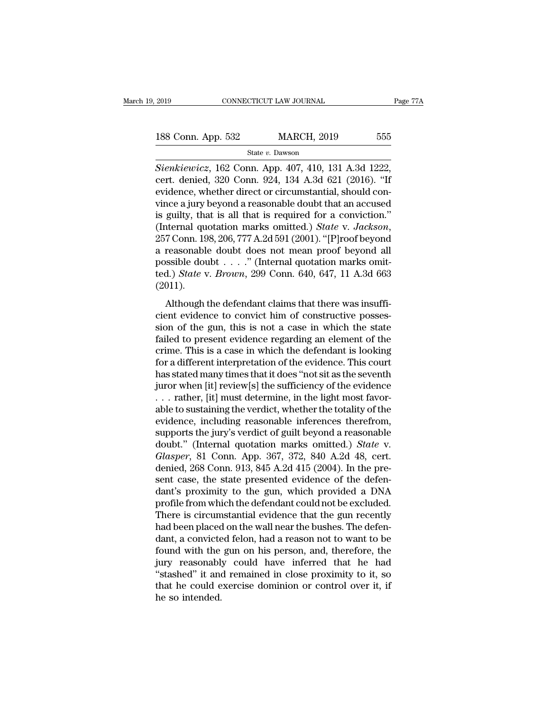<sup>2019</sup> CONNECTICUT LAW JOURNAL Page 7<br> **Sienkiewicz**, 162 Conn. App. 407, 410, 131 A.3d 1222,<br> **Sienkiewicz**, 162 Conn. App. 407, 410, 131 A.3d 1222,<br>
cert. denied, 320 Conn. 924, 134 A.3d 621 (2016). "If 188 Conn. App. 532 MARCH, 2019 555<br>
State v. Dawson<br>
Stenkiewicz, 162 Conn. App. 407, 410, 131 A.3d 1222,<br>
cert. denied, 320 Conn. 924, 134 A.3d 621 (2016). "If<br>
evidence, whether direct or circumstantial, should con-188 Conn. App. 532 MARCH, 2019 555<br>
State v. Dawson<br>
Sienkiewicz, 162 Conn. App. 407, 410, 131 A.3d 1222,<br>
cert. denied, 320 Conn. 924, 134 A.3d 621 (2016). "If<br>
evidence, whether direct or circumstantial, should con-<br>
vi 188 Conn. App. 532 MARCH, 2019 555<br>
State v. Dawson<br>
Stenkiewicz, 162 Conn. App. 407, 410, 131 A.3d 1222,<br>
cert. denied, 320 Conn. 924, 134 A.3d 621 (2016). "If<br>
evidence, whether direct or circumstantial, should con-<br>
vi State v. Dawson<br>Sienkiewicz, 162 Conn. App. 407, 410, 131 A.3d 1222,<br>cert. denied, 320 Conn. 924, 134 A.3d 621 (2016). "If<br>evidence, whether direct or circumstantial, should con-<br>vince a jury beyond a reasonable doubt tha State v. *Dawson*<br>
Sienkiewicz, 162 Conn. App. 407, 410, 131 A.3d 1222,<br>
cert. denied, 320 Conn. 924, 134 A.3d 621 (2016). "If<br>
evidence, whether direct or circumstantial, should con-<br>
vince a jury beyond a reasonable doub cert. denied, 320 Conn. 924, 134 A.3d 621 (2016). "If<br>evidence, whether direct or circumstantial, should con-<br>vince a jury beyond a reasonable doubt that an accused<br>is guilty, that is all that is required for a conviction evidence, whether direct or circumstantial, should convince a jury beyond a reasonable doubt that an accused<br>is guilty, that is all that is required for a conviction."<br>(Internal quotation marks omitted.) *State v. Jackson* vince a jury beyond a reasonable doubt that an accused<br>is guilty, that is all that is required for a conviction."<br>(Internal quotation marks omitted.) *State* v. *Jackson*,<br>257 Conn. 198, 206, 777 A.2d 591 (2001). "[P]roof (2011). From 198, 206, 777 A.2d 591 (2001). "[P]roof beyond<br>reasonable doubt does not mean proof beyond all<br>ssible doubt . . . . ." (Internal quotation marks omit-<br>d.) *State* v. *Brown*, 299 Conn. 640, 647, 11 A.3d 663<br>011).<br>Alt a reasonable doubt does not mean proof beyond all<br>possible doubt . . . ." (Internal quotation marks omit-<br>ted.) *State* v. *Brown*, 299 Conn. 640, 647, 11 A.3d 663<br>(2011).<br>Although the defendant claims that there was insu

a reasonable doubt  $\dots$ ." (Internal quotation marks omitted.) *State v. Brown*, 299 Conn. 640, 647, 11 A.3d 663 (2011).<br>(2011).<br>Although the defendant claims that there was insufficient evidence to convict him of construc fed.) *State v. Brown*, 299 Conn. 640, 647, 11 A.3d 663 (2011).<br>
Although the defendant claims that there was insuffi-<br>
cient evidence to convict him of constructive posses-<br>
sion of the gun, this is not a case in which t (2011).<br>
Although the defendant claims that there was insufficient evidence to convict him of constructive possession of the gun, this is not a case in which the state failed to present evidence regarding an element of th Although the defendant claims that there was insufficient evidence to convict him of constructive possession of the gun, this is not a case in which the state failed to present evidence regarding an element of the crime. Although the defendant claims that there was insufficient evidence to convict him of constructive posses-<br>sion of the gun, this is not a case in which the state<br>failed to present evidence regarding an element of the<br>crime. cient evidence to convict him of constructive posses-<br>sion of the gun, this is not a case in which the state<br>failed to present evidence regarding an element of the<br>crime. This is a case in which the defendant is looking<br>fo sion of the gun, this is not a case in which the state failed to present evidence regarding an element of the crime. This is a case in which the defendant is looking for a different interpretation of the evidence. This co failed to present evidence regarding an element of the<br>crime. This is a case in which the defendant is looking<br>for a different interpretation of the evidence. This court<br>has stated many times that it does "not sit as the s crime. This is a case in which the defendant is looking<br>for a different interpretation of the evidence. This court<br>has stated many times that it does "not sit as the seventh<br>juror when [it] review[s] the sufficiency of the for a different interpretation of the evidence. This court<br>has stated many times that it does "not sit as the seventh<br>juror when [it] review[s] the sufficiency of the evidence<br> $\dots$  rather, [it] must determine, in the ligh has stated many times that it does "not sit as the seventh<br>
juror when [it] review[s] the sufficiency of the evidence<br>
. . . rather, [it] must determine, in the light most favor-<br>
able to sustaining the verdict, whether th juror when [it] review[s] the sufficiency of the evidence<br>
... rather, [it] must determine, in the light most favor-<br>
able to sustaining the verdict, whether the totality of the<br>
evidence, including reasonable inferences t ... rather, [it] must determine, in the light most favorable to sustaining the verdict, whether the totality of the evidence, including reasonable inferences therefrom, supports the jury's verdict of guilt beyond a reason able to sustaining the verdict, whether the totality of the evidence, including reasonable inferences therefrom, supports the jury's verdict of guilt beyond a reasonable doubt." (Internal quotation marks omitted.) *State* evidence, including reasonable inferences therefrom,<br>supports the jury's verdict of guilt beyond a reasonable<br>doubt." (Internal quotation marks omitted.) *State* v.<br>*Glasper*, 81 Conn. App. 367, 372, 840 A.2d 48, cert.<br>den supports the jury's verdict of guilt beyond a reasonable<br>doubt." (Internal quotation marks omitted.) *State* v.<br>*Glasper*, 81 Conn. App. 367, 372, 840 A.2d 48, cert.<br>denied, 268 Conn. 913, 845 A.2d 415 (2004). In the pre-<br> doubt." (Internal quotation marks omitted.) *State* v.<br>Glasper, 81 Conn. App. 367, 372, 840 A.2d 48, cert.<br>denied, 268 Conn. 913, 845 A.2d 415 (2004). In the pre-<br>sent case, the state presented evidence of the defen-<br>dant' Glasper, 81 Conn. App. 367, 372, 840 A.2d 48, cert.<br>denied, 268 Conn. 913, 845 A.2d 415 (2004). In the pre-<br>sent case, the state presented evidence of the defen-<br>dant's proximity to the gun, which provided a DNA<br>profile fr denied, 268 Conn. 913, 845 A.2d 415 (2004). In the present case, the state presented evidence of the defendant's proximity to the gun, which provided a DNA profile from which the defendant could not be excluded. There is c sent case, the state presented evidence of the defendant's proximity to the gun, which provided a DNA<br>profile from which the defendant could not be excluded.<br>There is circumstantial evidence that the gun recently<br>had been dant's proximity to the gun, which provided a DNA<br>profile from which the defendant could not be excluded.<br>There is circumstantial evidence that the gun recently<br>had been placed on the wall near the bushes. The defen-<br>dant, profile from which the defendant could not be excluded.<br>There is circumstantial evidence that the gun recently<br>had been placed on the wall near the bushes. The defen-<br>dant, a convicted felon, had a reason not to want to be There is circumstantial evidence that the gun recently<br>had been placed on the wall near the bushes. The defen-<br>dant, a convicted felon, had a reason not to want to be<br>found with the gun on his person, and, therefore, the<br>j had been placed<br>dant, a convicte<br>found with the<br>jury reasonabl<br>"stashed" it and<br>that he could e<br>he so intended.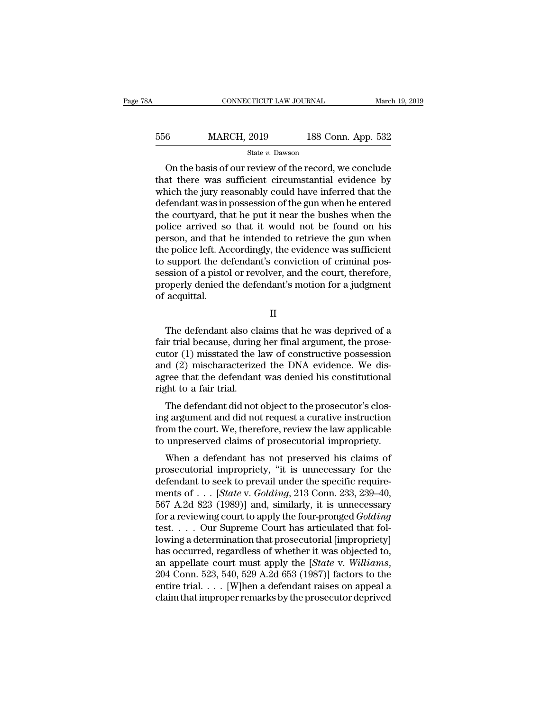| 8Α  | CONNECTICUT LAW JOURNAL |                    | March 19, 2019 |
|-----|-------------------------|--------------------|----------------|
| 556 | <b>MARCH, 2019</b>      | 188 Conn. App. 532 |                |
|     | State v. Dawson         |                    |                |

CONNECTICUT LAW JOURNAL March 19, 2019<br>
6 MARCH, 2019 188 Conn. App. 532<br>
State v. Dawson<br>
On the basis of our review of the record, we conclude<br>
at there was sufficient circumstantial evidence by<br>
and the jury reasonably  $\begin{array}{r} \text{556} & \text{MARCH, 2019} & \text{188 Conn. App. 532} \\ \text{State } v. \text{ Dawson} \end{array}$ <br>On the basis of our review of the record, we conclude that there was sufficient circumstantial evidence by which the jury reasonably could have inferred that MARCH, 2019 188 Conn. App. 532<br>
State v. Dawson<br>
On the basis of our review of the record, we conclude<br>
that there was sufficient circumstantial evidence by<br>
which the jury reasonably could have inferred that the<br>
defenda  $\frac{\text{MARCH, 2019}}{\text{State } v. \text{ Dawson}}$ <br>
On the basis of our review of the record, we conclude<br>
that there was sufficient circumstantial evidence by<br>
which the jury reasonably could have inferred that the<br>
defendant was in possess State v. Dawson<br>
On the basis of our review of the record, we conclude<br>
that there was sufficient circumstantial evidence by<br>
which the jury reasonably could have inferred that the<br>
defendant was in possession of the gun state v. Dawson<br>
On the basis of our review of the record, we conclude<br>
that there was sufficient circumstantial evidence by<br>
which the jury reasonably could have inferred that the<br>
defendant was in possession of the gun On the basis of our review of the record, we conclude<br>that there was sufficient circumstantial evidence by<br>which the jury reasonably could have inferred that the<br>defendant was in possession of the gun when he entered<br>the c that there was sufficient circumstantial evidence by<br>which the jury reasonably could have inferred that the<br>defendant was in possession of the gun when he entered<br>the courtyard, that he put it near the bushes when the<br>poli which the jury reasonably could have inferred that the defendant was in possession of the gun when he entered the courtyard, that he put it near the bushes when the police arrived so that it would not be found on his perso defendant was in possession of the gun when he entered<br>the courtyard, that he put it near the bushes when the<br>police arrived so that it would not be found on his<br>person, and that he intended to retrieve the gun when<br>the po the courtyard, that he put it near the bushes when the police arrived so that it would not be found on his person, and that he intended to retrieve the gun when the police left. Accordingly, the evidence was sufficient to police arrived sc<br>person, and that<br>the police left. Ac<br>to support the de<br>session of a pisto<br>properly denied t<br>of acquittal. support the defendant's conviction of criminal pos-<br>ssion of a pistol or revolver, and the court, therefore,<br>operly denied the defendant's motion for a judgment<br>acquittal.<br>II<br>The defendant also claims that he was deprived

II

session of a pistol or revolver, and the court, therefore,<br>properly denied the defendant's motion for a judgment<br>of acquittal.<br>II<br>The defendant also claims that he was deprived of a<br>fair trial because, during her final arg properly denied the defendant's motion for a judgment<br>of acquittal.<br>II<br>The defendant also claims that he was deprived of a<br>fair trial because, during her final argument, the prose-<br>cutor (1) misstated the law of constructi of acquittal.<br>
II<br>
The defendant also claims that he was deprived of a<br>
fair trial because, during her final argument, the prose-<br>
cutor (1) misstated the law of constructive possession<br>
and (2) mischaracterized the DNA ev II<br>In The defendant also claims that he was deprived of a<br>fair trial because, during her final argument, the prose-<br>cutor (1) misstated the law of constructive possession<br>and (2) mischaracterized the DNA evidence. We dis-<br> The defendant also clarainty<br>fair trial because, during<br>cutor (1) misstated the l<br>and (2) mischaracterize<br>agree that the defendant<br>right to a fair trial.<br>The defendant did not The defendant also claims that he was deprived of a<br>ir trial because, during her final argument, the prose-<br>tor (1) misstated the law of constructive possession<br>d (2) mischaracterized the DNA evidence. We dis-<br>ree that the ran trial because, uning her final argument, the prosecutor (1) misstated the law of constructive possession<br>and (2) mischaracterized the DNA evidence. We dis-<br>agree that the defendant was denied his constitutional<br>right t

From (1) inisstated the law of constructive possession<br>and (2) mischaracterized the DNA evidence. We dis-<br>agree that the defendant was denied his constitutional<br>right to a fair trial.<br>The defendant did not object to the p and  $(2)$  mischaracterized the DNA evidence. We disagree that the defendant was denied his constitutional right to a fair trial.<br>The defendant did not object to the prosecutor's closing argument and did not request a cura where the article and the prosecutor's clossing argument and did not request a curative instruction<br>and the court. We, therefore, review the law applicable<br>unpreserved claims of prosecutorial impropriety.<br>When a defendant The defendant did not object to the prosecutor's clos-<br>ing argument and did not request a curative instruction<br>from the court. We, therefore, review the law applicable<br>to unpreserved claims of prosecutorial impropriety.<br>Wh

The defendant did not object to the prosecutor's clos-<br>ing argument and did not request a curative instruction<br>from the court. We, therefore, review the law applicable<br>to unpreserved claims of prosecutorial impropriety.<br>W mg argument and did not request a curative instruction<br>from the court. We, therefore, review the law applicable<br>to unpreserved claims of prosecutorial impropriety.<br>When a defendant has not preserved his claims of<br>prosecuto from the court. we, therefore, review the law applicable<br>to unpreserved claims of prosecutorial impropriety.<br>When a defendant has not preserved his claims of<br>prosecutorial impropriety, "it is unnecessary for the<br>defendant to urpreserved crains of prosecutorial impropriety.<br>
When a defendant has not preserved his claims of<br>
prosecutorial impropriety, "it is unnecessary for the<br>
defendant to seek to prevail under the specific require-<br>
ments When a defendant has not preserved his claims of<br>prosecutorial impropriety, "it is unnecessary for the<br>defendant to seek to prevail under the specific require-<br>ments of  $\dots$  [*State v. Golding*, 213 Conn. 233, 239–40,<br>567 prosecutorial impropriety, "it is unnecessary for the<br>defendant to seek to prevail under the specific require-<br>ments of . . . [*State v. Golding*, 213 Conn. 233, 239–40,<br>567 A.2d 823 (1989)] and, similarly, it is unnecess defendant to seek to prevail under the specific requirements of . . . [*State v. Golding*, 213 Conn. 233, 239–40, 567 A.2d 823 (1989)] and, similarly, it is unnecessary for a reviewing court to apply the four-pronged *Gol* ments of . . . [*State* v. *Golding*, 213 Conn. 233, 239–40,<br>567 A.2d 823 (1989)] and, similarly, it is unnecessary<br>for a reviewing court to apply the four-pronged *Golding*<br>test. . . . . Our Supreme Court has articulated for a reviewing court to apply the four-pronged  $Golding$ <br>test. . . . Our Supreme Court has articulated that fol-<br>lowing a determination that prosecutorial [impropriety]<br>has occurred, regardless of whether it was objected to,<br> test. . . . Our Supreme Court has articulated that following a determination that prosecutorial [impropriety] has occurred, regardless of whether it was objected to, an appellate court must apply the [*State v. Williams*,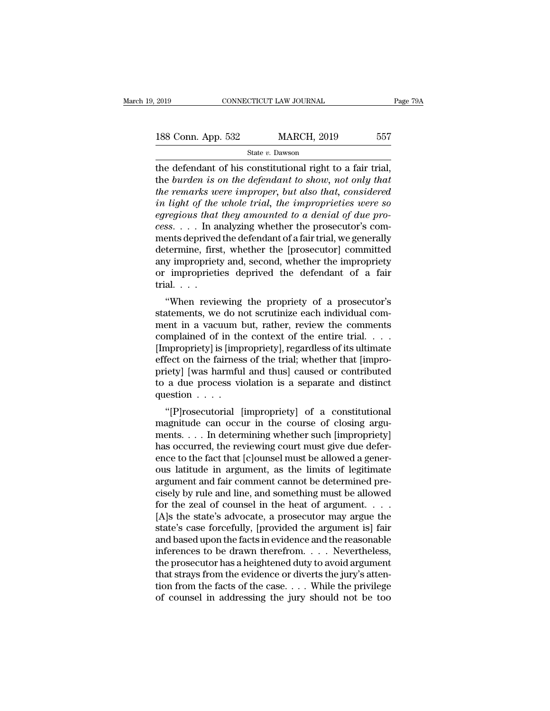2019 CONNECTICUT LAW JOURNAL Page 79A<br>188 Conn. App. 532 MARCH, 2019 557<br>State v. Dawson

State *v.* Dawson

 $t_{2019}$  connecticut LAW JOURNAL Page?<br>
188 Conn. App. 532 MARCH, 2019 557<br>  $t_{\text{state } v.}$  Dawson<br>
the defendant of his constitutional right to a fair trial,<br>
the *burden is on the defendant to show, not only that*<br>
the re 188 Conn. App. 532 MARCH, 2019 557<br>
State *v*. Dawson<br>
the defendant of his constitutional right to a fair trial,<br>
the *burden is on the defendant to show, not only that*<br> *the remarks were improper, but also that, conside* **188 Conn. App. 532 MARCH, 2019** 557<br> **the defendant of his constitutional right to a fair trial,**<br> **the burden is on the defendant to show, not only that**<br> **the remarks were improper, but also that, considered**<br> **in li** <sup>557</sup><br>
<sup>State v. Dawson<br>
<sup>State v. Dawson<br> **i**n defendant of his constitutional right to a fair trial,<br>
the burden is on the defendant to show, not only that<br> *in termarks were improper, but also that, considered*<br> *in lig</sup></sup> egregious that they amounted to a fair trial,*<br>*eggenments on the defendant to show, not only that*<br>*the remarks were improper, but also that, considered*<br>*in light of the whole trial, the improprieties were so*<br>*egregiou* <sup>cess</sup> State *v*. Dawson<br>
the defendant of his constitutional right to a fair trial,<br>
the *burden is on the defendant to show, not only that*<br> *the remarks were improper, but also that, considered*<br> *in light of the whole* the defendant of his constitutional right to a fair trial,<br>the *burden is on the defendant to show, not only that*<br>the remarks were improper, but also that, considered<br>in light of the whole trial, the improprieties were so the burden is on the defendant to show, not only that<br>the remarks were improper, but also that, considered<br>in light of the whole trial, the improprieties were so<br>egregious that they amounted to a denial of due pro-<br>cess. . the remarks were improper, but also that, considered<br>in light of the whole trial, the improprieties were so<br>egregious that they amounted to a denial of due pro-<br>cess. . . . In analyzing whether the prosecutor's com-<br>ments in light of the whole trial, the improprieties were so<br>egregious that they amounted to a denial of due pro-<br>cess.... In analyzing whether the prosecutor's com-<br>ments deprived the defendant of a fair trial, we generally<br>de egregious that<br>cess. . . . In a<br>ments deprived<br>determine, firs<br>any impropriet<br>or improprieti<br>trial. . . .<br>"When revie SS. . . . . In analyzing whether the prosecutor's contents deprived the defendant of a fair trial, we generally<br>termine, first, whether the [prosecutor] committed<br>y impropriety and, second, whether the impropriety<br>impropri ments deprived the defendant of a fail that, we generally<br>determine, first, whether the [prosecutor] committed<br>any impropriety and, second, whether the impropriety<br>or improprieties deprived the defendant of a fair<br>trial...

determine, first, whether the [prosecutor] commuted<br>any impropriety and, second, whether the impropriety<br>or improprieties deprived the defendant of a fair<br>trial....<br>"When reviewing the propriety of a prosecutor's<br>statement any impropriety and, second, whether the impropriety<br>or improprieties deprived the defendant of a fair<br>trial. . . .<br>"When reviewing the propriety of a prosecutor's<br>statements, we do not scrutinize each individual com-<br>ment or improprieties deprived the detendant or a fair<br>trial....<br>"When reviewing the propriety of a prosecutor's<br>statements, we do not scrutinize each individual com-<br>ment in a vacuum but, rather, review the comments<br>complained "When reviewing the propriety of a prosecutor's<br>statements, we do not scrutinize each individual com-<br>ment in a vacuum but, rather, review the comments<br>complained of in the context of the entire trial. . . .<br>[Impropriety] "When reviewing the propriety of a prosecutor's<br>statements, we do not scrutinize each individual com-<br>ment in a vacuum but, rather, review the comments<br>complained of in the context of the entire trial. . . .<br>[Impropriety] statements, we do not scrutinize each individual comment in a vacuum but, rather, review the comments complained of in the context of the entire trial. . . . . [Impropriety] is [impropriety], regardless of its ultimate eff ment in a vacuum l<br>complained of in the<br>[Impropriety] is [imp<br>effect on the fairness<br>priety] [was harmful<br>to a due process vi<br>question . . . .<br>"[P]rosecutorial [ mphanied of in the context of the entire trial. . . . .<br>
impropriety] is [impropriety], regardless of its ultimate<br>
fect on the fairness of the trial; whether that [impro-<br>
iety] [was harmful and thus] caused or contribute magnitude can occur in the course of closing arguments.<br>
"[P] [was harmful and thus] caused or contributed<br>
to a due process violation is a separate and distinct<br>
question . . . .<br>
"[P] rosecutorial [impropriety] of a con

enect on the raintess of the trial, whether that [impropriety] [was harmful and thus] caused or contributed<br>to a due process violation is a separate and distinct<br>question  $\ldots$ .<br>"[P]rosecutorial [impropriety] of a constit phety] [was harmula and thus] caused of contributed<br>to a due process violation is a separate and distinct<br>question . . . .<br>"[P]rosecutorial [impropriety] of a constitutional<br>magnitude can occur in the course of closing arg  $\alpha$  a due process violation is a separate and distinct<br>question . . . .<br>"[P]rosecutorial [impropriety] of a constitutional<br>magnitude can occur in the course of closing argu-<br>ments. . . . In determining whether such [impr "<br>
"[P]rosecutorial [impropriety] of a constitutional<br>
magnitude can occur in the course of closing arguments. . . . In determining whether such [impropriety]<br>
has occurred, the reviewing court must give due defer-<br>
ence "[P]rosecutorial [impropriety] of a constitutional<br>magnitude can occur in the course of closing argu-<br>ments.... In determining whether such [impropriety]<br>has occurred, the reviewing court must give due defer-<br>ence to the magnitude can occur in the course of closing arguments. . . . In determining whether such [impropriety]<br>has occurred, the reviewing court must give due defer-<br>ence to the fact that [c]ounsel must be allowed a gener-<br>ous l ments. . . . In determining whether such [impropriety]<br>has occurred, the reviewing court must give due defer-<br>ence to the fact that [c]ounsel must be allowed a gener-<br>ous latitude in argument, as the limits of legitimate<br> has occurred, the reviewing court must give due deference to the fact that [c]ounsel must be allowed a gener-<br>ous latitude in argument, as the limits of legitimate<br>argument and fair comment cannot be determined pre-<br>cisely ence to the fact that [c]ounsel must be allowed a gener-<br>ous latitude in argument, as the limits of legitimate<br>argument and fair comment cannot be determined pre-<br>cisely by rule and line, and something must be allowed<br>for ous latitude in argument, as the limits of legitimate<br>argument and fair comment cannot be determined pre-<br>cisely by rule and line, and something must be allowed<br>for the zeal of counsel in the heat of argument. . . .<br>[A]s t argument and fair comment cannot be determined precisely by rule and line, and something must be allowed<br>for the zeal of counsel in the heat of argument. . . . .<br>[A]s the state's advocate, a prosecutor may argue the<br>state' cisely by rule and line, and something must be allowed<br>for the zeal of counsel in the heat of argument. . . .<br>[A]s the state's advocate, a prosecutor may argue the<br>state's case forcefully, [provided the argument is] fair<br> for the zeal of counsel in the heat of argument. . . . . [A]s the state's advocate, a prosecutor may argue the state's case forcefully, [provided the argument is] fair and based upon the facts in evidence and the reasonab [A]s the state's advocate, a prosecutor may argue the state's case forcefully, [provided the argument is] fair and based upon the facts in evidence and the reasonable inferences to be drawn therefrom. . . . Nevertheless, state's case forcefully, [provided the argument is] fair<br>and based upon the facts in evidence and the reasonable<br>inferences to be drawn therefrom. . . . Nevertheless,<br>the prosecutor has a heightened duty to avoid argument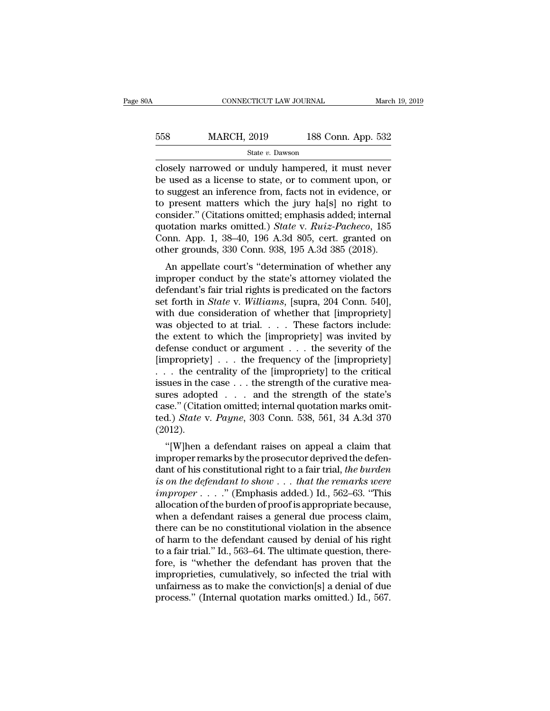| 0A  | CONNECTICUT LAW JOURNAL |                    | March 19, 2019 |
|-----|-------------------------|--------------------|----------------|
| 558 | <b>MARCH, 2019</b>      | 188 Conn. App. 532 |                |
|     | State v. Dawson         |                    |                |

CONNECTICUT LAW JOURNAL March 19, 2019<br>
558 MARCH, 2019 188 Conn. App. 532<br>
568 MARCH, 2019 188 Conn. App. 532<br>
568 State v. Dawson<br>
569 Closely narrowed or unduly hampered, it must never<br>
be used as a license to state, or  $\begin{array}{lll} \text{558} & \text{MARCH, 2019} & \text{188 Conn. App. 532} \\ & \text{State } v. \text{ Dawson} \\ \text{closely narrowed or unduly hampered, it must never be used as a license to state, or to comment upon, or to suggest an inference from, facts not in evidence, or to present matters which the jury hole! no right to a key.} \end{array}$  $\begin{array}{lll}\n & \text{MARCH, 2019} & \text{188 Conn. App. 532} \\
 \hline\n & \text{State } v. \text{ Dawson} \\
 \hline\n \text{closely narrowed or unduly hampered, it must never} \\
 \text{be used as a license to state, or to comment upon, or} \\
 \text{to suggest an inference from, facts not in evidence, or} \\
 \text{to present matters which the jury halfs] no right to} \\
 \text{consider "Citations omitted: emphasis added: internal} \n\end{array}$ 558 MARCH, 2019 188 Conn. App. 532<br>  $\frac{\text{State } v. \text{ Dawson}}{\text{closely} \text{ narrowed or unduly hampered, it must never}}$ <br>
be used as a license to state, or to comment upon, or<br>
to suggest an inference from, facts not in evidence, or<br>
to present matters which the jur State v. Dawson<br>
Closely narrowed or unduly hampered, it must never<br>
be used as a license to state, or to comment upon, or<br>
to suggest an inference from, facts not in evidence, or<br>
to present matters which the jury ha[s] n state v. Dawson<br>closely narrowed or unduly hampered, it must never<br>be used as a license to state, or to comment upon, or<br>to suggest an inference from, facts not in evidence, or<br>to present matters which the jury ha[s] no ri closely narrowed or unduly hampered, it must never<br>be used as a license to state, or to comment upon, or<br>to suggest an inference from, facts not in evidence, or<br>to present matters which the jury ha[s] no right to<br>consider. be used as a license to state, or to comment upon, or<br>to suggest an inference from, facts not in evidence, or<br>to present matters which the jury ha[s] no right to<br>consider." (Citations omitted; emphasis added; internal<br>quot suggest an interence from, facts not in evidence, or<br>present matters which the jury ha[s] no right to<br>msider." (Citations omitted.) *State v. Ruiz-Pacheco*, 185<br>pnn. App. 1, 38–40, 196 A.3d 805, cert. granted on<br>her ground to present matters which the jury happy of right to<br>consider." (Citations omitted, emphasis added; internal<br>quotation marks omitted.) *State* v. *Ruiz-Pacheco*, 185<br>Conn. App. 1, 38–40, 196 A.3d 805, cert. granted on<br>othe

consider. (Citations omitted, emphasis added, internat<br>quotation marks omitted.) State v. Ruiz-Pacheco, 185<br>Conn. App. 1, 38–40, 196 A.3d 805, cert. granted on<br>other grounds, 330 Conn. 938, 195 A.3d 385 (2018).<br>An appella quotation marks omitted.) *State* v. *Kutz-Tatheco*, 165<br>Conn. App. 1, 38–40, 196 A.3d 805, cert. granted on<br>other grounds, 330 Conn. 938, 195 A.3d 385 (2018).<br>An appellate court's "determination of whether any<br>improper co confi. App. 1, 56–40, 190 A.5d 805, cert. granted on<br>other grounds, 330 Conn. 938, 195 A.3d 385 (2018).<br>An appellate court's "determination of whether any<br>improper conduct by the state's attorney violated the<br>defendant's outer grounds, 550 Comm. 558, 159 A.5d 365 (2016).<br>
An appellate court's "determination of whether any<br>
improper conduct by the state's attorney violated the<br>
defendant's fair trial rights is predicated on the factors<br>
se An appellate court's "determination of whether any<br>improper conduct by the state's attorney violated the<br>defendant's fair trial rights is predicated on the factors<br>set forth in *State* v. Williams, [supra, 204 Conn. 540], improper conduct by the state's attorney violated the<br>defendant's fair trial rights is predicated on the factors<br>set forth in *State* v. Williams, [supra, 204 Conn. 540],<br>with due consideration of whether that [impropriet defendant's fair trial rights is predicated on the factors<br>set forth in *State* v. *Williams*, [supra, 204 Conn. 540],<br>with due consideration of whether that [impropriety]<br>was objected to at trial.... These factors includ set forth in *State* v. *Williams*, [supra, 204 Conn. 540],<br>with due consideration of whether that [impropriety]<br>was objected to at trial.... These factors include:<br>the extent to which the [impropriety] was invited by<br>def with due consideration of whether that [impropriety]<br>was objected to at trial. . . . These factors include:<br>the extent to which the [impropriety] was invited by<br>defense conduct or argument . . . the severity of the<br>[impro was objected to at trial. . . . These factors include:<br>the extent to which the [impropriety] was invited by<br>defense conduct or argument . . . the severity of the<br>[impropriety] . . . the centrality of the [impropriety] to the extent to which the [impropriety] was invited by<br>defense conduct or argument . . . the severity of the<br>[impropriety] . . . the frequency of the [impropriety]<br>. . . the centrality of the [impropriety] to the critical<br>i defense conduct or argument . . . the severity of the [impropriety] . . . the frequency of the [impropriety] . . . the centrality of the [impropriety] to the critical issues in the case . . . the strength of the curative m (2012). The centrality of the [impropriety] to the critical<br>sues in the case  $\dots$  the strength of the curative mea-<br>res adopted  $\dots$  and the strength of the state's<br>se." (Citation omitted; internal quotation marks omit-<br>d.) *Stat* issues in the case  $\ldots$  the strength of the curative measures adopted  $\ldots$  and the strength of the state's case." (Citation omitted, internal quotation marks omitted.) *State* v. *Payne*, 303 Conn. 538, 561, 34 A.3d 370

sures adopted . . . . and the strength of the state's<br>case." (Citation omitted; internal quotation marks omit-<br>ted.) *State* v. *Payne*, 303 Conn. 538, 561, 34 A.3d 370<br>(2012).<br>"[W]hen a defendant raises on appeal a claim rease. (Chanon onlined, internal quotation marks onlined.) *State v. Payne*, 303 Conn. 538, 561, 34 A.3d 370 (2012).<br>
"[W]hen a defendant raises on appeal a claim that<br>
improper remarks by the prosecutor deprived the defen *ied.) State V. I dyne, 505* Comit. 556, 501, 54 A.5d 570<br>(2012).<br>
"[W]hen a defendant raises on appeal a claim that<br>
improper remarks by the prosecutor deprived the defen-<br>
dant of his constitutional right to a fair trial (2012).<br>
"[W]hen a defendant raises on appeal a claim that<br>
improper remarks by the prosecutor deprived the defen-<br>
dant of his constitutional right to a fair trial, the burden<br>
is on the defendant to show . . . that the "[W]hen a defendant raises on appeal a claim that<br>improper remarks by the prosecutor deprived the defen-<br>dant of his constitutional right to a fair trial, *the burden*<br>is on the defendant to show . . . that the remarks we improper remarks by the prosecutor deprived the defendant of his constitutional right to a fair trial, *the burden* is on the defendant to show  $\ldots$  that the remarks were improper  $\ldots$ ." (Emphasis added.) Id., 562–63. " dant of his constitutional right to a fair trial, the burden<br>is on the defendant to show  $\dots$  that the remarks were<br>improper  $\dots$ ." (Emphasis added.) Id., 562–63. "This<br>allocation of the burden of proof is appropriate bec is on the defendant to show  $\dots$  that the remarks were<br>
improper  $\dots$ ." (Emphasis added.) Id., 562–63. "This<br>
allocation of the burden of proof is appropriate because,<br>
when a defendant raises a general due process claim, *improper* . . . . . " (Emphasis added.) Id., 562–63. "This<br>allocation of the burden of proof is appropriate because,<br>when a defendant raises a general due process claim,<br>there can be no constitutional violation in the ab allocation of the burden of proof is appropriate because,<br>when a defendant raises a general due process claim,<br>there can be no constitutional violation in the absence<br>of harm to the defendant caused by denial of his right<br> when a defendant raises a general due process claim,<br>there can be no constitutional violation in the absence<br>of harm to the defendant caused by denial of his right<br>to a fair trial." Id., 563–64. The ultimate question, ther there can be no constitutional violation in the absence<br>of harm to the defendant caused by denial of his right<br>to a fair trial." Id., 563–64. The ultimate question, there-<br>fore, is "whether the defendant has proven that th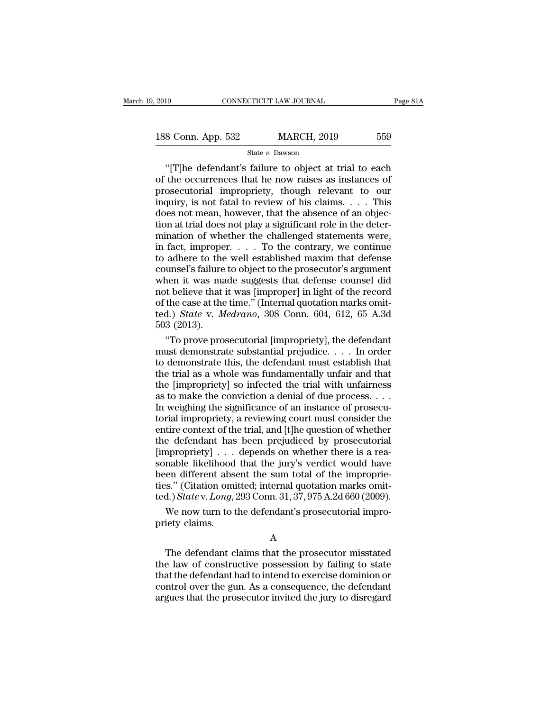<sup>19</sup> CONNECTICUT LAW JOURNAL Page 81A<br>
8 Conn. App. 532 MARCH, 2019 559<br>
<sup>3</sup> State *v*. Dawson<br>
"[T]he defendant's failure to object at trial to each<br>
the occurrences that he now raises as instances of<br>
osecutorial impropr 188 Conn. App. 532 MARCH, 2019 559<br>
State v. Dawson<br>
"[T]he defendant's failure to object at trial to each<br>
of the occurrences that he now raises as instances of<br>
prosecutorial impropriety, though relevant to our<br>
inquiry 188 Conn. App. 532 MARCH, 2019 559<br>
State v. Dawson<br>
"[T]he defendant's failure to object at trial to each<br>
of the occurrences that he now raises as instances of<br>
prosecutorial impropriety, though relevant to our<br>
inquiry 188 Conn. App. 532 MARCH, 2019 559<br>
State v. Dawson<br>
"[T]he defendant's failure to object at trial to each<br>
of the occurrences that he now raises as instances of<br>
prosecutorial impropriety, though relevant to our<br>
inquiry State v. Dawson<br>
"[T]he defendant's failure to object at trial to each<br>
of the occurrences that he now raises as instances of<br>
prosecutorial impropriety, though relevant to our<br>
inquiry, is not fatal to review of his clai State v. Dawson<br>
"[T]he defendant's failure to object at trial to each<br>
of the occurrences that he now raises as instances of<br>
prosecutorial impropriety, though relevant to our<br>
inquiry, is not fatal to review of his clai "[T]he defendant's failure to object at trial to each<br>of the occurrences that he now raises as instances of<br>prosecutorial impropriety, though relevant to our<br>inquiry, is not fatal to review of his claims. . . . This<br>does of the occurrences that he now raises as instances of<br>prosecutorial impropriety, though relevant to our<br>inquiry, is not fatal to review of his claims. . . . This<br>does not mean, however, that the absence of an objec-<br>tion prosecutorial impropriety, though relevant to our inquiry, is not fatal to review of his claims. . . . This does not mean, however, that the absence of an objection at trial does not play a significant role in the determi inquiry, is not fatal to review of his claims. . . . This<br>does not mean, however, that the absence of an objection at trial does not play a significant role in the deter-<br>mination of whether the challenged statements were does not mean, however, that the absence of an objection at trial does not play a significant role in the deter-<br>mination of whether the challenged statements were,<br>in fact, improper.  $\dots$  To the contrary, we continue<br>to tion at trial does not play a significant role in the deter-<br>mination of whether the challenged statements were,<br>in fact, improper. . . . To the contrary, we continue<br>to adhere to the well established maxim that defense<br>c tion at trial does not play a significant role in the deter-<br>mination of whether the challenged statements were,<br>in fact, improper. . . . To the contrary, we continue<br>to adhere to the well established maxim that defense<br>c in fact, improper. . . . To the contrary, we continue<br>to adhere to the well established maxim that defense<br>counsel's failure to object to the prosecutor's argument<br>when it was made suggests that defense counsel did<br>not bel to adhere to the<br>counsel's failure<br>when it was ma<br>not believe that<br>of the case at the<br>ted.) *State* v. *M*<br>503 (2013).<br>"To prove pro unsel's failure to object to the prosecutor's argument<br>
nen it was made suggests that defense counsel did<br>
of the record<br>
the case at the time." (Internal quotation marks omit-<br>
d.) *State* v. *Medrano*, 308 Conn. 604, 61 when it was made suggests that defense counsel did<br>not believe that it was [improper] in light of the record<br>of the case at the time." (Internal quotation marks omit-<br>ted.) *State* v. *Medrano*, 308 Conn. 604, 612, 65 A.3

not believe that it was [improper] in light of the record<br>of the case at the time." (Internal quotation marks omit-<br>ted.) *State* v. *Medrano*, 308 Conn. 604, 612, 65 A.3d<br>503 (2013).<br>"To prove prosecutorial [impropriety] of the case at the time." (Internal quotation marks omit-<br>ted.) *State* v. *Medrano*, 308 Conn. 604, 612, 65 A.3d<br>503 (2013).<br>"To prove prosecutorial [impropriety], the defendant<br>must demonstrate substantial prejudice.... ted.) *State* v. *Medrano*, 308 Conn. 604, 612, 65 A.3d<br>503 (2013).<br>"To prove prosecutorial [impropriety], the defendant<br>must demonstrate substantial prejudice.... In order<br>to demonstrate this, the defendant must establis 503 (2013).<br>
"To prove prosecutorial [impropriety], the defendant<br>
must demonstrate substantial prejudice. . . . In order<br>
to demonstrate this, the defendant must establish that<br>
the trial as a whole was fundamentally unf "To prove prosecutorial [impropriety], the defendant<br>must demonstrate substantial prejudice. . . . In order<br>to demonstrate this, the defendant must establish that<br>the trial as a whole was fundamentally unfair and that<br>the must demonstrate substantial prejudice.  $\dots$  In order<br>to demonstrate this, the defendant must establish that<br>the trial as a whole was fundamentally unfair and that<br>the [impropriety] so infected the trial with unfairness<br>a to demonstrate this, the defendant must establish that<br>the trial as a whole was fundamentally unfair and that<br>the [impropriety] so infected the trial with unfairness<br>as to make the conviction a denial of due process. . . . the trial as a whole was fundamentally unfair and that<br>the [impropriety] so infected the trial with unfairness<br>as to make the conviction a denial of due process. . . .<br>In weighing the significance of an instance of prosecu the [impropriety] so infected the trial with unfairness<br>as to make the conviction a denial of due process.  $\dots$ <br>In weighing the significance of an instance of prosecu-<br>torial impropriety, a reviewing court must consider t as to make the conviction a denial of due process.  $\dots$  In weighing the significance of an instance of prosecutorial impropriety, a reviewing court must consider the entire context of the trial, and [t]he question of whet In weighing the significance of an instance of prosecutorial impropriety, a reviewing court must consider the entire context of the trial, and [t]he question of whether the defendant has been prejudiced by prosecutorial [ torial impropriety, a reviewing court must consider the entire context of the trial, and [t]he question of whether the defendant has been prejudiced by prosecutorial [impropriety]  $\ldots$  depends on whether there is a reaso entire context of the trial, and [t]he question of whether<br>the defendant has been prejudiced by prosecutorial<br>[impropriety] . . . depends on whether there is a rea-<br>sonable likelihood that the jury's verdict would have<br>bee e defendant has been prejudiced by prosecutorial<br>appropriety] . . . depends on whether there is a rea-<br>nable likelihood that the jury's verdict would have<br>en different absent the sum total of the improprie-<br>s." (Citation [impropriety]  $\ldots$ <br>sonable likelihood<br>been different abs<br>ties." (Citation omi<br>ted.) State v. Long,<br>We now turn to t<br>priety claims.

A

 $\text{S.}^n$  (Citation omitted; internal quotation marks omit-<br>d.)  $State$  v.  $Long$ , 293 Conn. 31, 37, 975 A.2d 660 (2009).<br>We now turn to the defendant's prosecutorial impro-<br>iety claims.<br>A<br>The defendant claims that the prosecut ted.)  $State$  v.  $Long$ , 293 Conn. 31, 37, 975 A.2d 660 (2009).<br>
We now turn to the defendant's prosecutorial impro-<br>
priety claims.<br>
A<br>
The defendant claims that the prosecutor misstated<br>
the law of constructive possession by f We now turn to the defendant's prosecutorial impropriety claims.<br>
A<br>
The defendant claims that the prosecutor misstated<br>
the law of constructive possession by failing to state<br>
that the defendant had to intend to exercise we now turn to the defendant s prosecutorial impropriety claims.<br>A<br>The defendant claims that the prosecutor misstated<br>the law of constructive possession by failing to state<br>that the defendant had to intend to exercise domi A<br>The defendant claims that the prosecutor misstated<br>the law of constructive possession by failing to state<br>that the defendant had to intend to exercise dominion or<br>control over the gun. As a consequence, the defendant<br>arg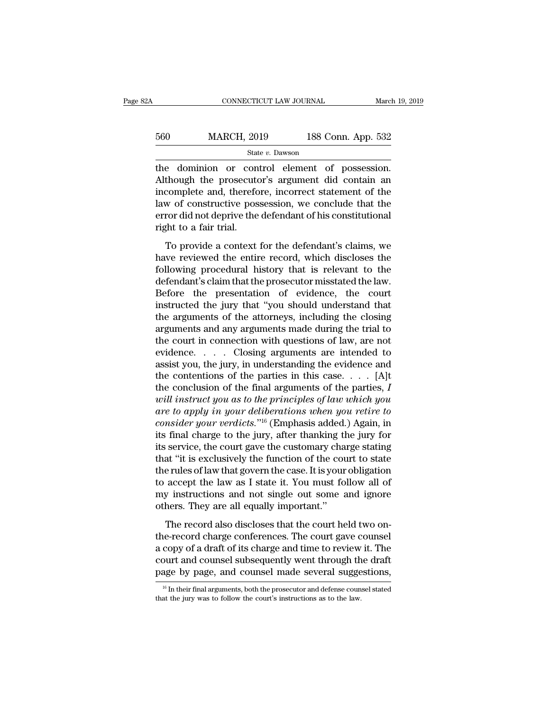| 2A  | CONNECTICUT LAW JOURNAL |                    | March 19, 2019 |
|-----|-------------------------|--------------------|----------------|
| 560 | <b>MARCH, 2019</b>      | 188 Conn. App. 532 |                |
|     | State v. Dawson         |                    |                |

CONNECTICUT LAW JOURNAL March 19, 2<br>
560 MARCH, 2019 188 Conn. App. 532<br>
5tate v. Dawson<br>
199 State v. Dawson<br>
199 March 199 State v. Dawson<br>
199 State v. Dawson<br>
200 March 201 State v. Dawson<br>
200 March 201 State v. Dawso  $\begin{array}{r} \text{MARCH, 2019} \\ \text{State } v. \text{ Dawson} \end{array}$  188 Conn. App. 532<br>tate v. Dawson<br>the dominion or control element of possession.<br>Although the prosecutor's argument did contain an<br>incomplete and, therefore, incorrect statement o  $\frac{\text{560}}{\text{State } v. \text{ Dawson}}$  188 Conn. App. 532<br>
the dominion or control element of possession.<br>
Although the prosecutor's argument did contain an incomplete and, therefore, incorrect statement of the law of constructive pos MARCH, 2019 188 Conn. App. 532<br>  $\frac{\text{State } v. \text{ Dawson}}{\text{the}\text{dominion or control element of } \text{possession}}$ <br>
Although the prosecutor's argument did contain an<br>
incomplete and, therefore, incorrect statement of the<br>
law of constructive possession, we conclude t State v. Dawson<br>
the dominion or control element of possession.<br>
Although the prosecutor's argument did contain an<br>
incomplete and, therefore, incorrect statement of the<br>
law of constructive possession, we conclude that t state<br>the dominion or con<br>Although the prosecute<br>incomplete and, therefore<br>law of constructive poserror did not deprive the<br>right to a fair trial.<br>To provide a context To provide a context for the defendant of the acomplete and, therefore, incorrect statement of the w of constructive possession, we conclude that the ror did not deprive the defendant of his constitutional sht to a fair tr France and the preservative and contain and<br>incomplete and, therefore, incorrect statement of the<br>law of constructive possession, we conclude that the<br>error did not deprive the defendant of his constitutional<br>right to a fa

flaw of constructive possession, we conclude that the<br>error did not deprive the defendant of his constitutional<br>right to a fair trial.<br>To provide a context for the defendant's claims, we<br>have reviewed the entire record, wh Example 1 constraints possessed, we constraine that the<br>error did not deprive the defendant of his constitutional<br>right to a fair trial.<br>To provide a context for the defendant's claims, we<br>have reviewed the entire record, Fight to a fair trial.<br>To provide a context for the defendant's claims, we<br>have reviewed the entire record, which discloses the<br>following procedural history that is relevant to the<br>defendant's claim that the prosecutor mis To provide a context for the defendant's claims, we<br>have reviewed the entire record, which discloses the<br>following procedural history that is relevant to the<br>defendant's claim that the prosecutor misstated the law.<br>Before To provide a context for the defendant's claims, we<br>have reviewed the entire record, which discloses the<br>following procedural history that is relevant to the<br>defendant's claim that the prosecutor misstated the law.<br>Before have reviewed the entire record, which discloses the<br>following procedural history that is relevant to the<br>defendant's claim that the prosecutor misstated the law.<br>Before the presentation of evidence, the court<br>instructed t following procedural history that is relevant to the<br>defendant's claim that the prosecutor misstated the law.<br>Before the presentation of evidence, the court<br>instructed the jury that "you should understand that<br>the argument defendant's claim that the prosecutor misstated the law.<br>Before the presentation of evidence, the court<br>instructed the jury that "you should understand that<br>the arguments of the attorneys, including the closing<br>arguments a Before the presentation of evidence, the court<br>instructed the jury that "you should understand that<br>the arguments of the attorneys, including the closing<br>arguments and any arguments made during the trial to<br>the court in c instructed the jury that "you should understand that<br>the arguments of the attorneys, including the closing<br>arguments and any arguments made during the trial to<br>the court in connection with questions of law, are not<br>eviden the arguments of the attorneys, including the closing<br>arguments and any arguments made during the trial to<br>the court in connection with questions of law, are not<br>evidence.....Closing arguments are intended to<br>assist you, arguments and any arguments made during the trial to<br>the court in connection with questions of law, are not<br>evidence. . . . . Closing arguments are intended to<br>assist you, the jury, in understanding the evidence and<br>the co the court in connection with questions of law, are not<br>evidence.  $\ldots$  Closing arguments are intended to<br>assist you, the jury, in understanding the evidence and<br>the contentions of the parties in this case.  $\ldots$  [A]t<br>the evidence.  $\ldots$  Closing arguments are intended to<br>assist you, the jury, in understanding the evidence and<br>the contentions of the parties in this case.  $\ldots$  [A]t<br>the conclusion of the final arguments of the parties, *I*<br>w assist you, the jury, in understanding the evidence and<br>the contentions of the parties in this case. . . . [A]t<br>the conclusion of the final arguments of the parties, I<br>will instruct you as to the principles of law which y the contentions of the parties in this case. . . . . [A]t<br>the conclusion of the final arguments of the parties, *I*<br>will instruct you as to the principles of law which you<br>are to apply in your deliberations when you retir the conclusion of the final arguments of the parties, I<br>
will instruct you as to the principles of law which you<br>
are to apply in your deliberations when you retire to<br>
consider your verdicts."<sup>16</sup> (Emphasis added.) Again will instruct you as to the principles of law which you<br>are to apply in your deliberations when you retire to<br>consider your verdicts."<sup>16</sup> (Emphasis added.) Again, in<br>its final charge to the jury, after thanking the jury f are to apply in your deliberations when you retire to<br>consider your verdicts."<sup>16</sup> (Emphasis added.) Again, in<br>its final charge to the jury, after thanking the jury for<br>its service, the court gave the customary charge stat consider your verdicts."<sup>16</sup> (Emphasis added.) Again, in<br>its final charge to the jury, after thanking the jury for<br>its service, the court gave the customary charge stating<br>that "it is exclusively the function of the court its final charge to the jury, after thanking the its service, the court gave the customary cha that "it is exclusively the function of the couthe rules of law that govern the case. It is your to accept the law as I state i Exercise, are searched also the calculating entage stating<br>at "it is exclusively the function of the court to state<br>e rules of law that govern the case. It is your obligation<br>accept the law as I state it. You must follow a the rules of law that govern the case. It is your obligation<br>to accept the law as I state it. You must follow all of<br>my instructions and not single out some and ignore<br>others. They are all equally important."<br>The record al

a compute the law as I state it. You must follow all of<br>my instructions and not single out some and ignore<br>others. They are all equally important."<br>The record also discloses that the court held two on-<br>the-record charge co court and simulated the draft and simple out some and ignore<br>others. They are all equally important."<br>The record also discloses that the court held two on-<br>the-record charge conferences. The court gave counsel<br>a copy of a page. They are all equally important."<br>The record also discloses that the court held two on-<br>the-record charge conferences. The court gave counsel<br>a copy of a draft of its charge and time to review it. The<br>court and couns the-record charge conferences. The court gave counsel<br>a copy of a draft of its charge and time to review it. The<br>court and counsel subsequently went through the draft<br>page by page, and counsel made several suggestions,<br> $\$ page by page, and counsel made several suggestions,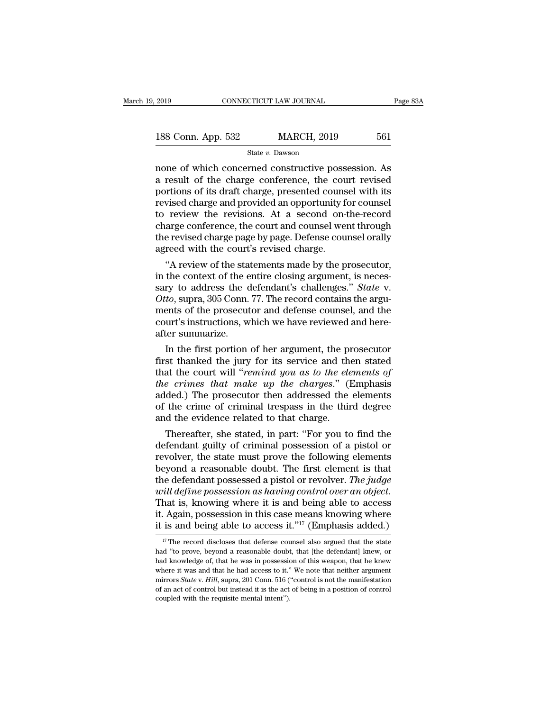| 2019               | CONNECTICUT LAW JOURNAL | Page 83A |  |
|--------------------|-------------------------|----------|--|
| 188 Conn. App. 532 | <b>MARCH, 2019</b>      | 561      |  |
|                    | State v. Dawson         |          |  |

Page 83A<br>
188 Conn. App. 532 MARCH, 2019 561<br>
State v. Dawson<br>
none of which concerned constructive possession. As<br>
a result of the charge conference, the court revised<br>
nortions of its draft charge prosented counsel with 188 Conn. App. 532 MARCH, 2019 561<br>
State v. Dawson<br>
none of which concerned constructive possession. As<br>
a result of the charge conference, the court revised<br>
portions of its draft charge, presented counsel with its<br>
rev 188 Conn. App. 532 MARCH, 2019 561<br>
State v. Dawson<br>
mone of which concerned constructive possession. As<br>
a result of the charge conference, the court revised<br>
portions of its draft charge, presented counsel with its<br>
rev 188 Conn. App. 532 MARCH, 2019 561<br>
State v. Dawson<br>
none of which concerned constructive possession. As<br>
a result of the charge conference, the court revised<br>
portions of its draft charge, presented counsel with its<br>
rev State v. Dawson<br>
The review of which concerned constructive possession. As<br>
a result of the charge conference, the court revised<br>
portions of its draft charge, presented counsel with its<br>
revised charge and provided an op State v. Dawson<br>
mone of which concerned constructive possession. As<br>
a result of the charge conference, the court revised<br>
portions of its draft charge, presented counsel with its<br>
revised charge and provided an opportuni none of which concerned constructive possession. As<br>a result of the charge conference, the court revised<br>portions of its draft charge, presented counsel with its<br>revised charge and provided an opportunity for counsel<br>to re a result of the charge conference, the couportions of its draft charge, presented couns<br>revised charge and provided an opportunity for review the revisions. At a second on-<br>charge conference, the court and counsel were<br>the rtions of its draft charge, presented counsel with its<br>vised charge and provided an opportunity for counsel<br>review the revisions. At a second on-the-record<br>arge conference, the court and counsel went through<br>reed with the revised charge and provided an opportunity for counsel<br>to review the revisions. At a second on-the-record<br>charge conference, the court and counsel went through<br>the revised charge page by page. Defense counsel orally<br>agreed

to review the revisions. At a second on-the-record<br>charge conference, the court and counsel went through<br>the revised charge page by page. Defense counsel orally<br>agreed with the court's revised charge.<br>"A review of the stat charge conterence, the court and counsel went through<br>the revised charge page by page. Defense counsel orally<br>agreed with the court's revised charge.<br>"A review of the statements made by the prosecutor,<br>in the context of th the revised charge page by page. Defense counsel orally<br>agreed with the court's revised charge.<br>"A review of the statements made by the prosecutor,<br>in the context of the entire closing argument, is neces-<br>sary to address t agreed with the court's revised charge.<br>
"A review of the statements made by the prosecutor,<br>
in the context of the entire closing argument, is neces-<br>
sary to address the defendant's challenges." State v.<br>
Otto, supra, 30 "A review of the stat in the context of the esary to address the context of the esary to address the contents of the prosecut court's instructions, we after summarize. In the first portion the context of the entire closing argument, is neces-<br>ry to address the defendant's challenges." *State v.*<br>*to*, supra, 305 Conn. 77. The record contains the argu-<br>ents of the prosecutor and defense counsel, and the<br>urt's sary to address the defendant's challenges." *State v.*<br>Otto, supra, 305 Conn. 77. The record contains the argu-<br>ments of the prosecutor and defense counsel, and the<br>court's instructions, which we have reviewed and here-<br>a

Otto, supra, 305 Conn. 77. The record contains the arguments of the prosecutor and defense counsel, and the court's instructions, which we have reviewed and hereafter summarize.<br>In the first portion of her argument, the pr ments of the prosecutor and defense counsel, and the<br>court's instructions, which we have reviewed and here-<br>after summarize.<br>In the first portion of her argument, the prosecutor<br>first thanked the jury for its service and t court's instructions, which we have reviewed and here-<br>after summarize.<br>In the first portion of her argument, the prosecutor<br>first thanked the jury for its service and then stated<br>that the court will "*remind you as to the* atter summarize.<br>In the first portion of her argument, the prosecutor<br>first thanked the jury for its service and then stated<br>that the court will "*remind you as to the elements of*<br>*the crimes that make up the charges.*" ( In the first portion of her argument, the print thanked the jury for its service and the that the court will "*remind you as to the ele the crimes that make up the charges.*" (I added.) The prosecutor then addressed the st thanked the jury for its service and then stated<br>at the court will "*remind you as to the elements of*<br>e crimes that make up the charges." (Emphasis<br>ded.) The prosecutor then addressed the elements<br>the crime of criminal that the court will "*remind you as to the elements of*<br>*the crimes that make up the charges.*" (Emphasis<br>added.) The prosecutor then addressed the elements<br>of the crime of criminal trespass in the third degree<br>and the evi

the crimes that make up the charges." (Emphasis<br>added.) The prosecutor then addressed the elements<br>of the crime of criminal trespass in the third degree<br>and the evidence related to that charge.<br>Thereafter, she stated, in p added.) The prosecutor then addressed the elements<br>of the crime of criminal trespass in the third degree<br>and the evidence related to that charge.<br>Thereafter, she stated, in part: "For you to find the<br>defendant guilty of c of the crime of criminal trespass in the third degree<br>and the evidence related to that charge.<br>Thereafter, she stated, in part: "For you to find the<br>defendant guilty of criminal possession of a pistol or<br>revolver, the stat and the evidence related to that charge.<br>
Thereafter, she stated, in part: "For you to find the<br>
defendant guilty of criminal possession of a pistol or<br>
revolver, the state must prove the following elements<br>
beyond a reaso Thereafter, she stated, in part: "For you to find the defendant guilty of criminal possession of a pistol or revolver, the state must prove the following elements beyond a reasonable doubt. The first element is that the d defendant guilty of criminal possession of a pistol or<br>revolver, the state must prove the following elements<br>beyond a reasonable doubt. The first element is that<br>the defendant possessed a pistol or revolver. *The judge<br>wi* revolver, the state must prove the following elements<br>beyond a reasonable doubt. The first element is that<br>the defendant possessed a pistol or revolver. The judge<br>will define possession as having control over an object.<br>T *ill define possession as having control over an object.*<br>hat is, knowing where it is and being able to access<br>Again, possession in this case means knowing where<br>is and being able to access it."<sup>17</sup> (Emphasis added.)<br><sup>17</sup> That is, knowing where it is and being able to access<br>it. Again, possession in this case means knowing where<br>it is and being able to access it."<sup>17</sup> (Emphasis added.)<br><sup>17</sup> The record discloses that defense counsel also ar

it. Again, possession in this case means knowing where<br>it is and being able to access it."<sup>17</sup> (Emphasis added.)<br><sup>17</sup> The record discloses that defense counsel also argued that the state<br>had "to prove, beyond a reasonable it is and being able to access it."<sup>17</sup> (Emphasis added.)<br>if is and being able to access it."<sup>17</sup> (Emphasis added.)<br><sup>17</sup> The record discloses that defense counsel also argued that the state<br>had "to prove, beyond a reasona It Is and being able to access It. <sup>21</sup> (Entipriasis added.)<br><sup>17</sup> The record discloses that defense counsel also argued that the state<br>had "to prove, beyond a reasonable doubt, that [the defendant] knew, or<br>had knowledge o <sup>17</sup> The record discloses that defense counsel also argued that the state had "to prove, beyond a reasonable doubt, that [the defendant] knew, or had knowledge of, that he was in possession of this weapon, that he knew wh had "to prove, beyond a reasonable doubt, that [the defendant] knew, or had knowledge of, that he was in possession of this weapon, that he knew where it was and that he had access to it." We note that neither argument mi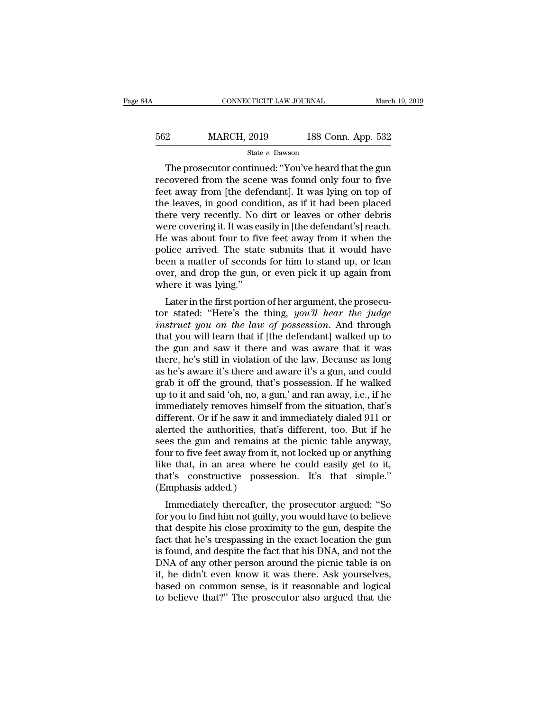| 4A  | CONNECTICUT LAW JOURNAL |                    | March 19, 2019 |
|-----|-------------------------|--------------------|----------------|
| 562 | <b>MARCH, 2019</b>      | 188 Conn. App. 532 |                |
|     | State v. Dawson         |                    |                |

CONNECTICUT LAW JOURNAL March 19, 2019<br>
2 MARCH, 2019 188 Conn. App. 532<br>
State v. Dawson<br>
The prosecutor continued: "You've heard that the gun<br>
covered from the scene was found only four to five<br>
at away from Ithe defende MARCH, 2019 188 Conn. App. 532<br>
State v. Dawson<br>
The prosecutor continued: "You've heard that the gun<br>
recovered from the scene was found only four to five<br>
feet away from [the defendant]. It was lying on top of<br>
the leave 562 MARCH, 2019 188 Conn. App. 532<br>
State v. Dawson<br>
The prosecutor continued: "You've heard that the gun<br>
recovered from the scene was found only four to five<br>
feet away from [the defendant]. It was lying on top of<br>
the 562 MARCH, 2019 188 Conn. App. 532<br>  $\frac{\text{State } v. \text{ Dawson}}{\text{The prospector continued: "You've heard that the gun  
\nrecovered from the scene was found only four to five  
\nfeet away from [the defendant]. It was lying on top of  
\nthe leaves, in good condition, as if it had been placed  
\nthere very recently. No dirt or leaves or other debris  
\nwere covering it It was easily in [the defendant'] reach$ The prosecutor continued: "You've heard that the gun<br>recovered from the scene was found only four to five<br>feet away from [the defendant]. It was lying on top of<br>the leaves, in good condition, as if it had been placed<br>ther state v. Dawson<br>The prosecutor continued: "You've heard that the gun<br>recovered from the scene was found only four to five<br>feet away from [the defendant]. It was lying on top of<br>the leaves, in good condition, as if it had b The prosecutor continued: "You've heard that the gun<br>recovered from the scene was found only four to five<br>feet away from [the defendant]. It was lying on top of<br>the leaves, in good condition, as if it had been placed<br>there recovered from the scene was found only four to five<br>feet away from [the defendant]. It was lying on top of<br>the leaves, in good condition, as if it had been placed<br>there very recently. No dirt or leaves or other debris<br>wer feet away from [the defendant]. It was lying on top of<br>the leaves, in good condition, as if it had been placed<br>there very recently. No dirt or leaves or other debris<br>were covering it. It was easily in [the defendant's] rea the leaves, in good condition, as if it had been placed<br>there very recently. No dirt or leaves or other debris<br>were covering it. It was easily in [the defendant's] reach.<br>He was about four to five feet away from it when th there very recently. No<br>were covering it. It was ea<br>He was about four to fiv<br>police arrived. The state<br>been a matter of second<br>over, and drop the gun,<br>where it was lying."<br>Later in the first portion Exercivening it. It was easily in [the detendant s] reacht.<br>
Evas about four to five feet away from it when the<br>
lice arrived. The state submits that it would have<br>
en a matter of seconds for him to stand up, or lean<br>
er, The was about four to five feet away front it when the<br>police arrived. The state submits that it would have<br>been a matter of seconds for him to stand up, or lean<br>over, and drop the gun, or even pick it up again from<br>where

poince arrived. The state submits that it would have<br>been a matter of seconds for him to stand up, or lean<br>over, and drop the gun, or even pick it up again from<br>where it was lying."<br>Later in the first portion of her argume been a matter of seconds for film to stand up, or fear<br>over, and drop the gun, or even pick it up again from<br>where it was lying."<br>Later in the first portion of her argument, the prosecu-<br>tor stated: "Here's the thing, *you* by the gun, or even pick it up again from<br>where it was lying."<br>Later in the first portion of her argument, the prosecu-<br>tor stated: "Here's the thing, *you'll hear the judge<br>instruct you on the law of possession*. And thr Later in the first portion of her argument, the prosecutor stated: "Here's the thing, *you'll hear the judge* instruct you on the law of possession. And through that you will learn that if [the defendant] walked up to the Later in the first portion of her argument, the prosecutor stated: "Here's the thing, *you'll hear the judge instruct you on the law of possession*. And through that you will learn that if [the defendant] walked up to t tor stated: "Here's the thing, *you'll hear the judge*<br>instruct you on the law of possession. And through<br>that you will learn that if [the defendant] walked up to<br>the gun and saw it there and was aware that it was<br>there, instruct you on the law of possession. And through<br>that you will learn that if [the defendant] walked up to<br>the gun and saw it there and was aware that it was<br>there, he's still in violation of the law. Because as long<br>as h that you will learn that if [the defendant] walked up to<br>the gun and saw it there and was aware that it was<br>there, he's still in violation of the law. Because as long<br>as he's aware it's there and aware it's a gun, and coul the gun and saw it there and was aware that it was<br>there, he's still in violation of the law. Because as long<br>as he's aware it's there and aware it's a gun, and could<br>grab it off the ground, that's possession. If he walked there, he's still in violation of the law. Because as long<br>as he's aware it's there and aware it's a gun, and could<br>grab it off the ground, that's possession. If he walked<br>up to it and said 'oh, no, a gun,' and ran away, i as he's aware it's there and aware it's a gun, and could<br>grab it off the ground, that's possession. If he walked<br>up to it and said 'oh, no, a gun,' and ran away, i.e., if he<br>immediately removes himself from the situation, grab it off the ground, that's possession. If he walked<br>up to it and said 'oh, no, a gun,' and ran away, i.e., if he<br>immediately removes himself from the situation, that's<br>different. Or if he saw it and immediately dialed up to it and said 'oh, no, a gun,' and ran away, i.e., if he<br>immediately removes himself from the situation, that's<br>different. Or if he saw it and immediately dialed 911 or<br>alerted the authorities, that's different, too. B immediately removes himself from the situation, that's different. Or if he saw it and immediately dialed 911 or alerted the authorities, that's different, too. But if he sees the gun and remains at the picnic table anyway, different. Or if he saw it an<br>alerted the authorities, tha<br>sees the gun and remains<br>four to five feet away from<br>like that, in an area wher<br>that's constructive posse<br>(Emphasis added.)<br>Immediately thereafter, Fried the authorities, that's different, too. But if he<br>es the gun and remains at the picnic table anyway,<br>ur to five feet away from it, not locked up or anything<br>re that, in an area where he could easily get to it,<br>at's c sees the guil and remains at the pichic table anyway,<br>four to five feet away from it, not locked up or anything<br>like that, in an area where he could easily get to it,<br>that's constructive possession. It's that simple."<br>(Emp

Four to five feet away front it, not focked up or anything<br>like that, in an area where he could easily get to it,<br>that's constructive possession. It's that simple."<br>(Emphasis added.)<br>Immediately thereafter, the prosecutor fike that, in an area where he could easily get to h,<br>that's constructive possession. It's that simple."<br>(Emphasis added.)<br>Immediately thereafter, the prosecutor argued: "So<br>for you to find him not guilty, you would have t In that is constructive possession. It's that simple.<br>
(Emphasis added.)<br>
Immediately thereafter, the prosecutor argued: "So<br>
for you to find him not guilty, you would have to believe<br>
that despite his close proximity to t (Eniphasis added.)<br>
Immediately thereafter, the prosecutor argued: "So<br>
for you to find him not guilty, you would have to believe<br>
that despite his close proximity to the gun, despite the<br>
fact that he's trespassing in the Immediately thereafter, the prosecutor argued: "So<br>for you to find him not guilty, you would have to believe<br>that despite his close proximity to the gun, despite the<br>fact that he's trespassing in the exact location the gun for you to find him not guilty, you would have to believe<br>that despite his close proximity to the gun, despite the<br>fact that he's trespassing in the exact location the gun<br>is found, and despite the fact that his DNA, and n that despite his close proximity to the gun, despite the fact that he's trespassing in the exact location the gun is found, and despite the fact that his DNA, and not the DNA of any other person around the picnic table is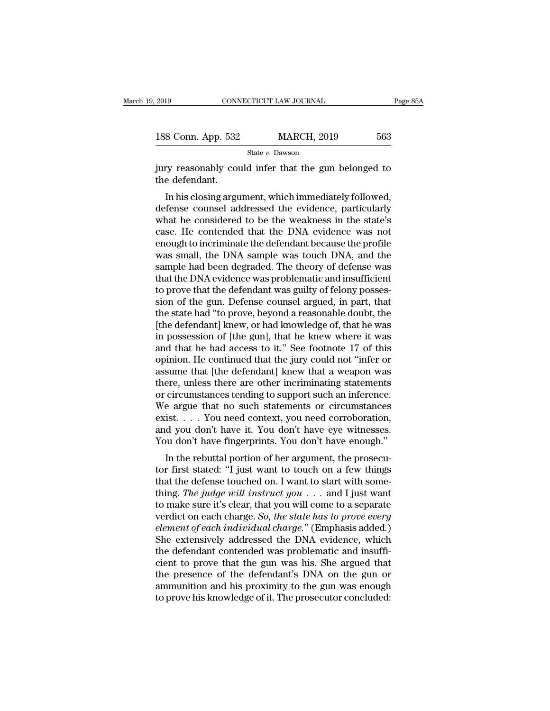| 2019               | CONNECTICUT LAW JOURNAL | Page 85A |  |
|--------------------|-------------------------|----------|--|
|                    |                         |          |  |
| 188 Conn. App. 532 | <b>MARCH, 2019</b>      | 563      |  |
|                    | State v. Dawson         |          |  |

2019 CONNECTICUT LAW JOURNAL Page 85A<br>
188 Conn. App. 532 MARCH, 2019 563<br>
State v. Dawson<br>
jury reasonably could infer that the gun belonged to<br>
the defendant. 188 Conn. App. 532<br>jury reasonably cou<br>the defendant.<br>In his closing argu

 $\frac{1}{100}$  S Conn. App. 532 MARCH, 2019 563<br>
State v. Dawson<br>
Ty reasonably could infer that the gun belonged to<br>
e defendant.<br>
In his closing argument, which immediately followed,<br>
fense counsel addressed the evidence, 188 Conn. App. 532 MARCH, 2019 563<br>
State v. Dawson<br>
jury reasonably could infer that the gun belonged to<br>
the defendant.<br>
In his closing argument, which immediately followed,<br>
defense counsel addressed the evidence, part State  $v$ . Dawson<br>
i jury reasonably could infer that the gun belonged to<br>
the defendant.<br>
In his closing argument, which immediately followed,<br>
defense counsel addressed the evidence, particularly<br>
what he considered to jury reasonably could infer that the gun belonged to<br>the defendant.<br>In his closing argument, which immediately followed,<br>defense counsel addressed the evidence, particularly<br>what he considered to be the weakness in the sta flury reasonably collid inter that the gulf beforged to<br>the defendant.<br>In his closing argument, which immediately followed,<br>defense counsel addressed the evidence, particularly<br>what he considered to be the weakness in the In his closing argument, which immediately followed,<br>defense counsel addressed the evidence, particularly<br>what he considered to be the weakness in the state's<br>case. He contended that the DNA evidence was not<br>enough to incr In his closing argument, which immediately followed,<br>defense counsel addressed the evidence, particularly<br>what he considered to be the weakness in the state's<br>case. He contended that the DNA evidence was not<br>enough to incr defense counsel addressed the evidence, particularly<br>what he considered to be the weakness in the state's<br>case. He contended that the DNA evidence was not<br>enough to incriminate the defendant because the profile<br>was small, what he considered to be the weakness in the state's<br>case. He contended that the DNA evidence was not<br>enough to incriminate the defendant because the profile<br>was small, the DNA sample was touch DNA, and the<br>sample had been case. He contended that the DNA evidence was not<br>enough to incriminate the defendant because the profile<br>was small, the DNA sample was touch DNA, and the<br>sample had been degraded. The theory of defense was<br>that the DNA evi enough to incriminate the defendant because the profile<br>was small, the DNA sample was touch DNA, and the<br>sample had been degraded. The theory of defense was<br>that the DNA evidence was problematic and insufficient<br>to prove t was small, the DNA sample was touch DNA, and the<br>sample had been degraded. The theory of defense was<br>that the DNA evidence was problematic and insufficient<br>to prove that the defendant was guilty of felony posses-<br>sion of t sample had been degraded. The theory of defense was<br>that the DNA evidence was problematic and insufficient<br>to prove that the defendant was guilty of felony posses-<br>sion of the gun. Defense counsel argued, in part, that<br>the that the DNA evidence was problematic and insufficient<br>to prove that the defendant was guilty of felony posses-<br>sion of the gun. Defense counsel argued, in part, that<br>the state had "to prove, beyond a reasonable doubt, the to prove that the defendant was guilty of felony posses-<br>sion of the gun. Defense counsel argued, in part, that<br>the state had "to prove, beyond a reasonable doubt, the<br>[the defendant] knew, or had knowledge of, that he was sion of the gun. Defense counsel argued, in part, that<br>the state had "to prove, beyond a reasonable doubt, the<br>[the defendant] knew, or had knowledge of, that he was<br>in possession of [the gun], that he knew where it was<br>an the state had "to prove, beyond a reasonable doubt, the<br>[the defendant] knew, or had knowledge of, that he was<br>in possession of [the gun], that he knew where it was<br>and that he had access to it." See footnote 17 of this<br>op [the defendant] knew, or had knowledge of, that he was<br>in possession of [the gun], that he knew where it was<br>and that he had access to it." See footnote 17 of this<br>opinion. He continued that the jury could not "infer or<br>as in possession of [the gun], that he knew where it was<br>and that he had access to it." See footnote 17 of this<br>opinion. He continued that the jury could not "infer or<br>assume that [the defendant] knew that a weapon was<br>there and that he had access to it." See footnote 17 of this<br>opinion. He continued that the jury could not "infer or<br>assume that [the defendant] knew that a weapon was<br>there, unless there are other incriminating statements<br>or ci opinion. He continued that the jury could not "infer or assume that [the defendant] knew that a weapon was there, unless there are other incriminating statements or circumstances tending to support such an inference. We ar assume that [the defendant] knew that a weapon was<br>there, unless there are other incriminating statements<br>or circumstances tending to support such an inference.<br>We argue that no such statements or circumstances<br>exist.... Y there, unless there are other incriminating statements<br>or circumstances tending to support such an inference.<br>We argue that no such statements or circumstances<br>exist.... You need context, you need corroboration,<br>and you d or chromistances tending to support such an interence.<br>We argue that no such statements or circumstances<br>exist.... You need context, you need corroboration,<br>and you don't have it. You don't have eye witnesses.<br>You don't h

we argue that ho such statements of circumstances<br>exist.... You need context, you need corroboration,<br>and you don't have it. You don't have eye witnesses.<br>You don't have fingerprints. You don't have enough."<br>In the rebutt Exist. . . . Tou need context, you need corroboration,<br>and you don't have it. You don't have eye witnesses.<br>You don't have fingerprints. You don't have enough."<br>In the rebuttal portion of her argument, the prosecu-<br>tor fir Xou don't have it. Fou don't have eye witnesses.<br>You don't have fingerprints. You don't have enough."<br>In the rebuttal portion of her argument, the prosecu-<br>tor first stated: "I just want to touch on a few things<br>that the Fou don't have ingerprints. Fou don't have enough.<br>In the rebuttal portion of her argument, the prosecu-<br>tor first stated: "I just want to touch on a few things<br>that the defense touched on. I want to start with some-<br>thing In the rebuttal portion of her argument, the prosecutor first stated: "I just want to touch on a few things that the defense touched on. I want to start with something. *The judge will instruct you* . . . and I just want t tor first stated: "I just want to touch on a few things<br>that the defense touched on. I want to start with some-<br>thing. *The judge will instruct you*  $\ldots$  and I just want<br>to make sure it's clear, that you will come to a s that the defense touched on. I want to start with something. *The judge will instruct you* . . . and I just want to make sure it's clear, that you will come to a separate verdict on each charge. *So, the state has to prov* thing. The judge will instruct you  $\ldots$  and I just want<br>to make sure it's clear, that you will come to a separate<br>verdict on each charge. So, the state has to prove every<br>element of each individual charge." (Emphasis add to make sure it's clear, that you will come to a separate<br>verdict on each charge. So, the state has to prove every<br>element of each individual charge." (Emphasis added.)<br>She extensively addressed the DNA evidence, which<br>the verdict on each charge. So, the state has to prove every<br>element of each individual charge." (Emphasis added.)<br>She extensively addressed the DNA evidence, which<br>the defendant contended was problematic and insuffi-<br>cient to element of each individual charge." (Emphasis added.)<br>She extensively addressed the DNA evidence, which<br>the defendant contended was problematic and insuffi-<br>cient to prove that the gun was his. She argued that<br>the presence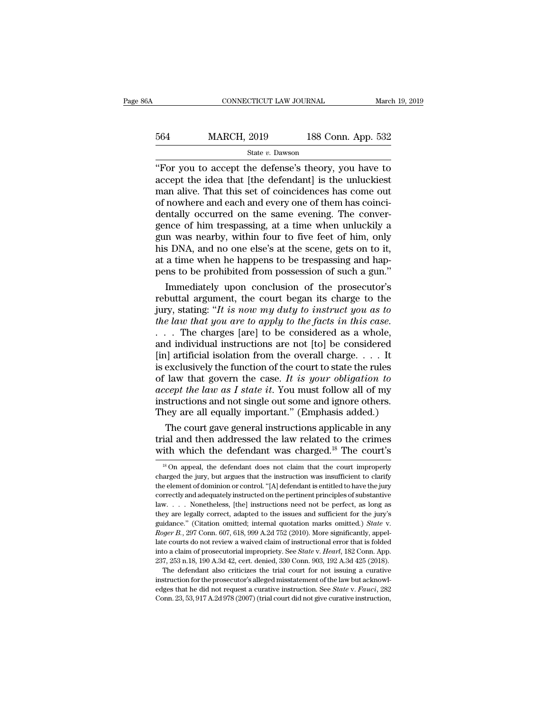| 6A  | CONNECTICUT LAW JOURNAL |                    | March 19, 2019 |
|-----|-------------------------|--------------------|----------------|
| 564 | <b>MARCH, 2019</b>      | 188 Conn. App. 532 |                |
|     | State v. Dawson         |                    |                |

CONNECTICUT LAW JOURNAL March 19, 2019<br>
S64 MARCH, 2019 188 Conn. App. 532<br>
State v. Dawson<br>
"For you to accept the defense's theory, you have to<br>
accept the idea that [the defendant] is the unluckiest<br>
man alive. That thi  $\frac{\text{MARCH}}{\text{State } v. \text{ Dawson}}$ <br>  $\frac{\text{State } v. \text{ Dawson}}{\text{For you to accept the defense's theory, you have to accept the idea that [the defendant] is the unluckiest man alive. That this set of coincidences has come out of nowhere and each and every one of them has coincides.}$ MARCH, 2019 188 Conn. App. 532<br>  $\frac{\text{State } v. \text{ Dawson}}{\text{For you to accept the defense's theory, you have to  
accept the idea that [the defendant] is the unluckiest  
man alive. That this set of coincidences has come out  
of nowhere and each and every one of them has coinci-  
dantally occurred on the same example. The conver-$ 564 MARCH, 2019 188 Conn. App. 532<br>  $\frac{64}{100}$  State v. Dawson<br>
"For you to accept the defense's theory, you have to<br>
accept the idea that [the defendant] is the unluckiest<br>
man alive. That this set of coincidences has State v. Dawson<br>
State v. Dawson<br>
"For you to accept the defense's theory, you have to<br>
accept the idea that [the defendant] is the unluckiest<br>
man alive. That this set of coincidences has come out<br>
of nowhere and each an State v. Dawson<br>
"For you to accept the defense's theory, you have to<br>
accept the idea that [the defendant] is the unluckiest<br>
man alive. That this set of coincidences has come out<br>
of nowhere and each and every one of th "For you to accept the defense's theory, you have to accept the idea that [the defendant] is the unluckiest<br>man alive. That this set of coincidences has come out<br>of nowhere and each and every one of them has coinci-<br>dental accept the idea that [the defendant] is the unluckiest<br>man alive. That this set of coincidences has come out<br>of nowhere and each and every one of them has coinci-<br>dentally occurred on the same evening. The conver-<br>gence of man alive. That this set of coincidences has come out<br>of nowhere and each and every one of them has coinci-<br>dentally occurred on the same evening. The conver-<br>gence of him trespassing, at a time when unluckily a<br>gun was ne of nowhere and each and every one of them has coincidentally occurred on the same evening. The convergence of him trespassing, at a time when unluckily a gun was nearby, within four to five feet of him, only his DNA, and n ntally occurred on the same evening. The conver-<br>nce of him trespassing, at a time when unluckily a<br>n was nearby, within four to five feet of him, only<br>s DNA, and no one else's at the scene, gets on to it,<br>a time when he h gence of him trespassing, at a time when unluckily a<br>gun was nearby, within four to five feet of him, only<br>his DNA, and no one else's at the scene, gets on to it,<br>at a time when he happens to be trespassing and hap-<br>pens

gun was nearby, within four to five feet of him, only<br>his DNA, and no one else's at the scene, gets on to it,<br>at a time when he happens to be trespassing and hap-<br>pens to be prohibited from possession of such a gun."<br>Immed *the law that in the law that a time when he happens to be trespassing and happens to be prohibited from possession of such a gun."*<br> *Immediately upon conclusion of the prosecutor's*<br> *rebuttal argument, the court began i* at a time when he happens to be trespassing and happens to be prohibited from possession of such a gun."<br>
Immediately upon conclusion of the prosecutor's<br>
rebuttal argument, the court began its charge to the<br>
jury, statin pens to be prohibited from possession of such a gun."<br>
Immediately upon conclusion of the prosecutor's<br>
rebuttal argument, the court began its charge to the<br>
jury, stating: "It is now my duty to instruct you as to<br>
the la Immediately upon conclusion of the prosecutor's<br>rebuttal argument, the court began its charge to the<br>jury, stating: "It is now my duty to instruct you as to<br>the law that you are to apply to the facts in this case.<br>. . . . rebuttal argument, the court began its charge to the<br>jury, stating: "It is now my duty to instruct you as to<br>the law that you are to apply to the facts in this case.<br> $\ldots$  The charges [are] to be considered as a whole,<br>an jury, stating: "*It is now my duty to instruct you as to*<br>the law that you are to apply to the facts in this case.<br> $\ldots$  The charges [are] to be considered as a whole,<br>and individual instructions are not [to] be considere *the law that you are to apply to the facts in this case.*<br>  $\ldots$  . The charges [are] to be considered as a whole,<br>
and individual instructions are not [to] be considered<br>
[in] artificial isolation from the overall charge ... The charges [are] to be considered as a whole,<br>and individual instructions are not [to] be considered<br>[in] artificial isolation from the overall charge.... It<br>is exclusively the function of the court to state the rule and individual instructions are not [to] be considered [in] artificial isolation from the overall charge. . . . It is exclusively the function of the court to state the rules of law that govern the case. It is *your oblig* If artificial isolation from the overall charge.... It<br>exclusively the function of the court to state the rules<br>law that govern the case. It is your obligation to<br>cept the law as I state it. You must follow all of my<br>stru is exclusively the function of the court to state the rules<br>of law that govern the case. It is your obligation to<br>accept the law as I state it. You must follow all of my<br>instructions and not single out some and ignore oth of law that govern the case. It is your obligation to<br>accept the law as I state it. You must follow all of my<br>instructions and not single out some and ignore others.<br>They are all equally important." (Emphasis added.)<br>The

The court gave general instructions applicable in any<br>
ial and then addressed the law related to the crimes<br>
ith which the defendant was charged.<sup>18</sup> The court's<br>
<sup>18</sup> On appeal, the defendant does not claim that the court The court gave general instructions applicable in any<br>trial and then addressed the law related to the crimes<br>with which the defendant was charged.<sup>18</sup> The court's<br> $\frac{18}{18}$  On appeal, the defendant does not claim that t

trial and then addressed the law related to the crimes<br>with which the defendant was charged.<sup>18</sup> The court's<br> $\frac{18}{18}$  On appeal, the defendant does not claim that the court improperly<br>charged the jury, but argues that with which the defendant was charged.<sup>18</sup> The court's<br>
<sup>18</sup> On appeal, the defendant does not claim that the court improperly<br>
charged the jury, but argues that the instruction was insufficient to clarify<br>
the element of WITH WHICH THE **GEFEHICIALL WAS CHATGED.** THE COULT S<br>
<sup>18</sup> On appeal, the defendant does not claim that the court improperly<br>
charged the jury, but argues that the instruction was insufficient to clarify<br>
the element of <sup>18</sup> On appeal, the defendant does not claim that the court improperly charged the jury, but argues that the instruction was insufficient to clarify the element of dominion or control. "[A] defendant is entitled to have t example is guidance.'' (Citation or control.''[A] defendant is entitled to have the jury the element of dominion or control.''[A] defendant is entitled to have the jury correctly and adequately instructed on the pertinent correctly and adequately instructed on the pertinent principles of substantive law. . . . Nonetheless, [the] instructions need not be perfect, as long as they are legally correct, adapted to the issues and sufficient for law. . . . Nonetheless, [the] instructions need not be perfect, as long as they are legally correct, adapted to the issues and sufficient for the jury's guidance." (Citation omitted; internal quotation marks omitted.) *Sta* they are legally correct, adapted to the issues and sufficient for the jury's guidance." (Citation omitted; internal quotation marks omitted.) *State* v. *Roger B.*, 297 Conn. 607, 618, 999 A.2d 752 (2010). More significan dance." (Citation omitted; internal quotation marks omitted.) *State* v.<br>idance." (Citation omitted; internal quotation marks omitted.) *State* v.<br>*ger B.*, 297 Conn. 607, 618, 999 A.2d 752 (2010). More significantly, app *Roger B.*, 297 Conn. 607, 618, 999 A.2d 752 (2010). More significantly, appellate courts do not review a waived claim of instructional error that is folded into a claim of prosecutorial impropriety. See *State v. Hearl*,

edges that he did not review a waived claim of instructional error that is folded<br>into a claim of prosecutorial impropriety. See *State* v. *Heart*, 182 Conn. App.<br>237, 253 n.18, 190 A.3d 42, cert. denied, 330 Conn. 903, 1 late courts do not review a waived claim of instructional error that is folded<br>into a claim of prosecutorial impropriety. See *State v. Hearl*, 182 Conn. App.<br>237, 253 n.18, 190 A.3d 42, cert. denied, 330 Conn. 903, 192 A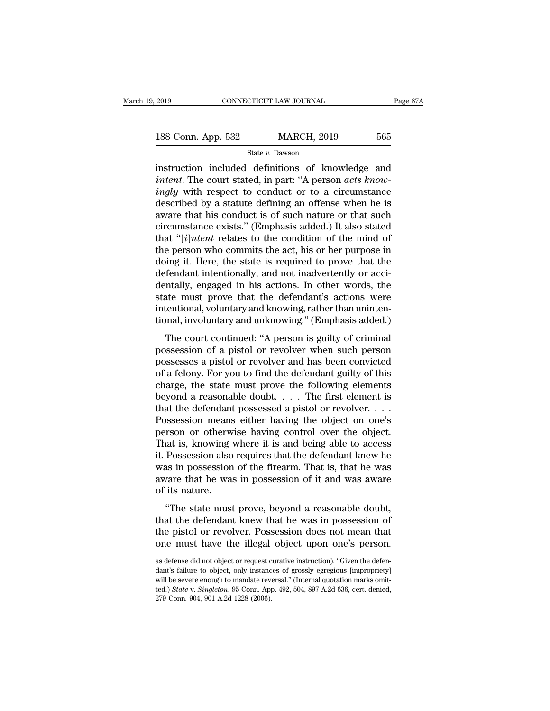2019 CONNECTICUT LAW JOURNAL Page 87A<br>
188 Conn. App. 532 MARCH, 2019 565<br>
State v. Dawson<br>
instruction included definitions of knowledge and<br>
intent. The court stated, in part: "A person *acts know-***188 Conn. App. 532 MARCH, 2019** 565<br> **instruction included definitions of knowledge and**<br> *intent*. The court stated, in part: "A person *acts know-*<br> *ingly* with respect to conduct or to a circumstance<br>
described by a **188 Conn. App. 532** MARCH, 2019 565<br> **instruction included definitions of knowledge and**<br> *intent*. The court stated, in part: "A person *acts know-*<br> *ingly* with respect to conduct or to a circumstance<br>
described by a 188 Conn. App. 532 MARCH, 2019 565<br>
State v. Dawson<br>
instruction included definitions of knowledge and<br> *intent*. The court stated, in part: "A person *acts know-*<br> *ingly* with respect to conduct or to a circumstance<br>
de State v. Dawson<br>
instruction included definitions of knowledge and<br>
intent. The court stated, in part: "A person *acts know-*<br>
ingly with respect to conduct or to a circumstance<br>
described by a statute defining an offense state v. Dawson<br>
instruction included definitions of knowledge and<br> *intent*. The court stated, in part: "A person *acts know-*<br> *ingly* with respect to conduct or to a circumstance<br>
described by a statute defining an off instruction included definitions of knowledge and<br> *intent*. The court stated, in part: "A person *acts know-*<br> *ingly* with respect to conduct or to a circumstance<br>
described by a statute defining an offense when he is<br>
a intent. The court stated, in part: "A person *acts know*-<br>ingly with respect to conduct or to a circumstance<br>described by a statute defining an offense when he is<br>aware that his conduct is of such nature or that such<br>circ ingly with respect to conduct or to a circumstance<br>described by a statute defining an offense when he is<br>aware that his conduct is of such nature or that such<br>circumstance exists." (Emphasis added.) It also stated<br>that "[ described by a statute defining an offense when he is<br>aware that his conduct is of such nature or that such<br>circumstance exists." (Emphasis added.) It also stated<br>that "[*i*]*ntent* relates to the condition of the mind of aware that his conduct is of such nature or that such<br>circumstance exists." (Emphasis added.) It also stated<br>that "[*i*]*ntent* relates to the condition of the mind of<br>the person who commits the act, his or her purpose in circumstance exists." (Emphasis added.) It also stated<br>that "[*i]ntent* relates to the condition of the mind of<br>the person who commits the act, his or her purpose in<br>doing it. Here, the state is required to prove that the that "[*i*]*ntent* relates to the condition of the mind of the person who commits the act, his or her purpose in doing it. Here, the state is required to prove that the defendant intentionally, and not inadvertently or ac the person who commits the act, his or her purpose in<br>doing it. Here, the state is required to prove that the<br>defendant intentionally, and not inadvertently or acci-<br>dentally, engaged in his actions. In other words, the<br>st The court continued: "A person is guilty of criminal<br>sets and the must prove that the defendant's actions were<br>tentional, voluntary and knowing, rather than uninten-<br>phal, involuntary and unknowing." (Emphasis added.)<br>The derendant interactionary, and not mattertently or accrediate dentally, engaged in his actions. In other words, the state must prove that the defendant's actions were intentional, involuntary and unknowing. "(Emphasis added

between the state must prove that the defendant's actions were<br>intentional, voluntary and knowing, rather than uninten-<br>tional, involuntary and unknowing." (Emphasis added.)<br>The court continued: "A person is guilty of crim intentional, voluntary and knowing, rather than unintentional, involuntary and unknowing." (Emphasis added.)<br>The court continued: "A person is guilty of criminal<br>possession of a pistol or revolver when such person<br>possesse methional, volumlary and knowing, radict dual dimeter<br>tional, involuntary and unknowing." (Emphasis added.)<br>The court continued: "A person is guilty of criminal<br>possesses a pistol or revolver and has been convicted<br>of a f The court continued: "A person is guilty of criminal<br>possession of a pistol or revolver when such person<br>possesses a pistol or revolver and has been convicted<br>of a felony. For you to find the defendant guilty of this<br>char The court continued: "A person is guilty of criminal possession of a pistol or revolver when such person possesses a pistol or revolver and has been convicted of a felony. For you to find the defendant guilty of this char possession of a pistol or revolver when such person<br>possesses a pistol or revolver and has been convicted<br>of a felony. For you to find the defendant guilty of this<br>charge, the state must prove the following elements<br>beyond possesses a pistol or revolver and has been convicted<br>of a felony. For you to find the defendant guilty of this<br>charge, the state must prove the following elements<br>beyond a reasonable doubt. . . . The first element is<br>that of a felony. For you to find the defendant guilty of this charge, the state must prove the following elements beyond a reasonable doubt. . . . The first element is that the defendant possessed a pistol or revolver. . . . charge, the state must prove the following elements<br>beyond a reasonable doubt. . . . The first element is<br>that the defendant possessed a pistol or revolver. . . .<br>Possession means either having the object on one's<br>person beyond a reasonable doubt. . . . The first element is<br>that the defendant possessed a pistol or revolver. . . .<br>Possession means either having the object on one's<br>person or otherwise having control over the object.<br>That is that the defendant possessed a pistol or revolver. . . . . Possession means either having the object on one's person or otherwise having control over the object. That is, knowing where it is and being able to access it. P Possession means<br>person or otherw<br>That is, knowing<br>it. Possession also<br>was in possession<br>aware that he was<br>of its nature.<br>"The state must The state must prove having collabor over the object.<br>
Rad is, knowing where it is and being able to access<br>
Possession also requires that the defendant knew he<br>
as in possession of the firearm. That is, that he was<br>
vare That is, knowing where it is and being able to access<br>it. Possession also requires that the defendant knew he<br>was in possession of the firearm. That is, that he was<br>aware that he was in possession of it and was aware<br>of it

the pissosion also requires and the detendant knew he<br>was in possession of the firearm. That is, that he was<br>aware of its nature.<br>"The state must prove, beyond a reasonable doubt,<br>that the defendant knew that he was in pos was in possession of the meann. That is, that he was<br>aware that he was in possession of it and was aware<br>of its nature.<br>"The state must prove, beyond a reasonable doubt,<br>that the defendant knew that he was in possession of "The state must prove, beyond a reasonable doubt,<br>that the defendant knew that he was in possession of<br>the pistol or revolver. Possession does not mean that<br>one must have the illegal object upon one's person.<br>as defense di that the defendant knew that he was in possession of<br>the pistol or revolver. Possession does not mean that<br>one must have the illegal object upon one's person.<br>as defense did not object or request curative instruction). "Gi

the pistol or revolver. Possession does not mean that<br>one must have the illegal object upon one's person.<br>as defense did not object or request curative instruction). "Given the defen-<br>dant's failure to object, only instanc one must have the illegal object upon one's person.<br>as defense did not object or request curative instruction). "Given the defendant's failure to object, only instances of grossly egregious [impropriety]<br>will be severe eno as defense did not object or request curative instruction). "Given the defendant's failure to object, only instances of grossly egregious [impropriety] will be severe enough to mandate reversal." (Internal quotation marks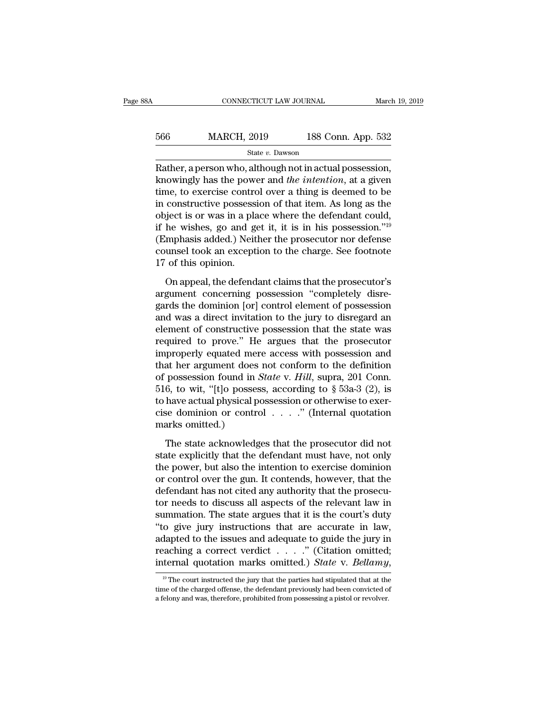| 8Α  | CONNECTICUT LAW JOURNAL |                    | March 19, 2019 |
|-----|-------------------------|--------------------|----------------|
| 566 | <b>MARCH, 2019</b>      | 188 Conn. App. 532 |                |
|     | State v. Dawson         |                    |                |

CONNECTICUT LAW JOURNAL March 19, 2<br>
State v. Dawson<br>
Rather, a person who, although not in actual possession,<br>
Rather, a person who, although not in actual possession,<br>
knowingly has the power and *the intention*, at a gi MARCH, 2019 188 Conn. App. 532<br>
State v. Dawson<br>
Rather, a person who, although not in actual possession,<br>
knowingly has the power and *the intention*, at a given<br>
time, to exercise control over a thing is deemed to be<br>
in 566 MARCH, 2019 188 Conn. App. 532<br>
State v. Dawson<br>
Rather, a person who, although not in actual possession,<br>
knowingly has the power and the *intention*, at a given<br>
time, to exercise control over a thing is deemed to b 566 MARCH, 2019 188 Conn. App. 532<br>
State v. Dawson<br>
Rather, a person who, although not in actual possession,<br>
knowingly has the power and the *intention*, at a given<br>
time, to exercise control over a thing is deemed to b State v. Dawson<br>
Rather, a person who, although not in actual possession,<br>
knowingly has the power and *the intention*, at a given<br>
time, to exercise control over a thing is deemed to be<br>
in constructive possession of tha state v. Dawson<br>
Rather, a person who, although not in actual possession,<br>
knowingly has the power and *the intention*, at a given<br>
time, to exercise control over a thing is deemed to be<br>
in constructive possession of tha Rather, a person who, although not in actual possession,<br>knowingly has the power and *the intention*, at a given<br>time, to exercise control over a thing is deemed to be<br>in constructive possession of that item. As long as t knowingly has the power and *the intention*, at a given<br>time, to exercise control over a thing is deemed to be<br>in constructive possession of that item. As long as the<br>object is or was in a place where the defendant could, time, to exercise contro<br>in constructive possess<br>object is or was in a pla<br>if he wishes, go and g<br>(Emphasis added.) Neit<br>counsel took an except<br>17 of this opinion.<br>On appeal, the defend Fighter is or was in a place where the defendant could,<br>he wishes, go and get it, it is in his possession."<sup>19</sup><br>mphasis added.) Neither the prosecutor nor defense<br>unsel took an exception to the charge. See footnote<br>of this if he wishes, go and get it, it is in his possession."<sup>19</sup><br>(Emphasis added.) Neither the prosecutor nor defense<br>counsel took an exception to the charge. See footnote<br>17 of this opinion.<br>On appeal, the defendant claims tha

(Emphasis added.) Neither the prosecutor nor defense<br>counsel took an exception to the charge. See footnote<br>17 of this opinion.<br>On appeal, the defendant claims that the prosecutor's<br>argument concerning possession "completel counsel took an exception to the charge. See footnote<br>17 of this opinion.<br>On appeal, the defendant claims that the prosecutor's<br>argument concerning possession "completely disre-<br>gards the dominion [or] control element of p 17 of this opinion.<br>
On appeal, the defendant claims that the prosecutor's<br>
argument concerning possession "completely disre-<br>
gards the dominion [or] control element of possession<br>
and was a direct invitation to the jury On appeal, the defendant claims that the prosecutor's<br>argument concerning possession "completely disre-<br>gards the dominion [or] control element of possession<br>and was a direct invitation to the jury to disregard an<br>element On appeal, the defendant claims that the prosecutor's<br>argument concerning possession "completely disre-<br>gards the dominion [or] control element of possession<br>and was a direct invitation to the jury to disregard an<br>element argument concerning possession "completely disregards the dominion [or] control element of possession<br>and was a direct invitation to the jury to disregard an<br>element of constructive possession that the state was<br>required gards the dominion [or] control element of possession<br>and was a direct invitation to the jury to disregard an<br>element of constructive possession that the state was<br>required to prove." He argues that the prosecutor<br>improper and was a direct invitation to the jury to disregard an element of constructive possession that the state was required to prove." He argues that the prosecutor improperly equated mere access with possession and that her a element of constructive possession that the state was<br>required to prove." He argues that the prosecutor<br>improperly equated mere access with possession and<br>that her argument does not conform to the definition<br>of possession required to prove." He argues that the prosecutor<br>improperly equated mere access with possession and<br>that her argument does not conform to the definition<br>of possession found in *State* v. *Hill*, supra, 201 Conn.<br>516, to improperly equated mer<br>that her argument does<br>of possession found in  $\lambda$ <br>516, to wit, "[t]o posses<br>to have actual physical p<br>cise dominion or contre<br>marks omitted.)<br>The state acknowledg possession found in *State* v. *Hill*, supra, 201 Conn.<br>6, to wit, "[t]o possess, according to § 53a-3 (2), is<br>have actual physical possession or otherwise to exer-<br>se dominion or control . . . . ." (Internal quotation<br>ar 516, to wit, "[t]o possess, according to § 53a-3 (2), is<br>to have actual physical possession or otherwise to exer-<br>cise dominion or control  $\ldots$ ." (Internal quotation<br>marks omitted.)<br>The state acknowledges that the prosec

to have actual physical possession or otherwise to exercise dominion or control  $\ldots$ ." (Internal quotation marks omitted.)<br>The state acknowledges that the prosecutor did not state explicitly that the defendant must have, cise dominion or control  $\ldots$ ." (Internal quotation<br>marks omitted.)<br>The state acknowledges that the prosecutor did not<br>state explicitly that the defendant must have, not only<br>the power, but also the intention to exercise marks omitted.)<br>The state acknowledges that the prosecutor did not<br>state explicitly that the defendant must have, not only<br>the power, but also the intention to exercise dominion<br>or control over the gun. It contends, howeve The state acknowledges that the prosecutor did not<br>state explicitly that the defendant must have, not only<br>the power, but also the intention to exercise dominion<br>or control over the gun. It contends, however, that the<br>defe The state acknowledges that the prosecutor did not<br>state explicitly that the defendant must have, not only<br>the power, but also the intention to exercise dominion<br>or control over the gun. It contends, however, that the<br>defe state explicitly that the defendant must have, not only<br>the power, but also the intention to exercise dominion<br>or control over the gun. It contends, however, that the<br>defendant has not cited any authority that the prosecuthe power, but also the intention to exercise dominion<br>or control over the gun. It contends, however, that the<br>defendant has not cited any authority that the prosecu-<br>tor needs to discuss all aspects of the relevant law i or control over the gun. It contends, however, that the defendant has not cited any authority that the prosecutor needs to discuss all aspects of the relevant law in summation. The state argues that it is the court's duty defendant has not cited any authority that the prosecutor needs to discuss all aspects of the relevant law in summation. The state argues that it is the court's duty "to give jury instructions that are accurate in law, ada 19 The court instructions that are accurate in law,<br>dapted to the issues and adequate to guide the jury in<br>acching a correct verdict . . . . ." (Citation omitted;<br>termal quotation marks omitted.) State v. Bellamy,<br> $\frac{19}{$ adapted to the issues and adequate to guide the jury in<br>reaching a correct verdict . . . . ." (Citation omitted;<br>internal quotation marks omitted.) *State* v. *Bellamy*,<br><sup>19</sup> The court instructed the jury that the parties

reaching a correct verdict . . . . ." (Citation omitted)<br>internal quotation marks omitted.) *State* v. *Bellamy*<br><sup>19</sup> The court instructed the jury that the parties had stipulated that at the<br>time of the charged offense,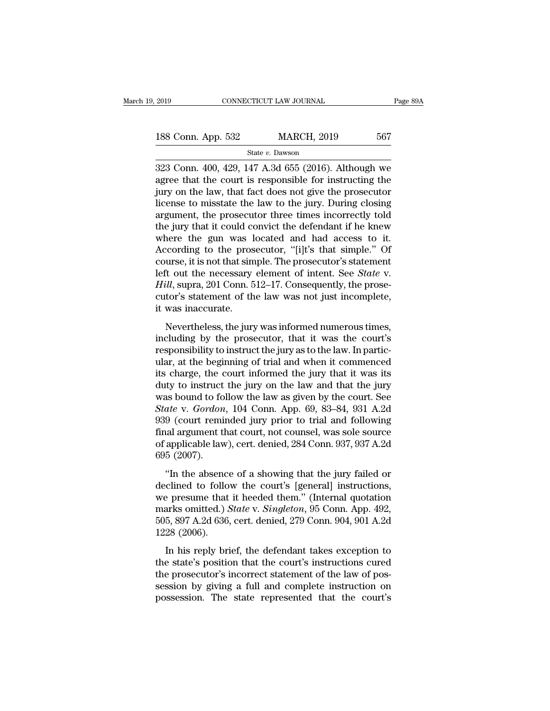| 2019               | CONNECTICUT LAW JOURNAL |                    | Page 89A |  |
|--------------------|-------------------------|--------------------|----------|--|
|                    |                         | <b>MARCH, 2019</b> | 567      |  |
| 188 Conn. App. 532 | State v. Dawson         |                    |          |  |

2019 CONNECTICUT LAW JOURNAL Page 89A<br>
188 Conn. App. 532 MARCH, 2019 567<br>
<sup>State v. Dawson</sup><br>
323 Conn. 400, 429, 147 A.3d 655 (2016). Although we<br>
agree that the court is responsible for instructing the<br>
iury on the law t 188 Conn. App. 532 MARCH, 2019 567<br>
State v. Dawson<br>
323 Conn. 400, 429, 147 A.3d 655 (2016). Although we<br>
agree that the court is responsible for instructing the<br>
jury on the law, that fact does not give the prosecutor<br> 188 Conn. App. 532 MARCH, 2019 567<br>
State v. Dawson<br>
323 Conn. 400, 429, 147 A.3d 655 (2016). Although we<br>
agree that the court is responsible for instructing the<br>
jury on the law, that fact does not give the prosecutor<br> 188 Conn. App. 532 MARCH, 2019 567<br>
State v. Dawson<br>
323 Conn. 400, 429, 147 A.3d 655 (2016). Although we<br>
agree that the court is responsible for instructing the<br>
jury on the law, that fact does not give the prosecutor<br> State v. Dawson<br>
State v. Dawson<br>
323 Conn. 400, 429, 147 A.3d 655 (2016). Although we<br>
agree that the court is responsible for instructing the<br>
jury on the law, that fact does not give the prosecutor<br>
license to misstate State v. Dawson<br>323 Conn. 400, 429, 147 A.3d 655 (2016). Although we<br>agree that the court is responsible for instructing the<br>jury on the law, that fact does not give the prosecutor<br>license to misstate the law to the jury. 323 Conn. 400, 429, 147 A.3d 655 (2016). Although we agree that the court is responsible for instructing the jury on the law, that fact does not give the prosecutor license to misstate the law to the jury. During closing agree that the court is responsible for instructing the<br>jury on the law, that fact does not give the prosecutor<br>license to misstate the law to the jury. During closing<br>argument, the prosecutor three times incorrectly told<br> jury on the law, that fact does not give the prosecutor<br>license to misstate the law to the jury. During closing<br>argument, the prosecutor three times incorrectly told<br>the jury that it could convict the defendant if he knew<br> license to misstate the law to the jury. During closing<br>argument, the prosecutor three times incorrectly told<br>the jury that it could convict the defendant if he knew<br>where the gun was located and had access to it.<br>Accordin argument, the prosecutor three times incorrectly told<br>the jury that it could convict the defendant if he knew<br>where the gun was located and had access to it.<br>According to the prosecutor, "[i]t's that simple." Of<br>course, it the jury that it could convict the defendant if he knew<br>where the gun was located and had access to it.<br>According to the prosecutor, "[i]t's that simple." Of<br>course, it is not that simple. The prosecutor's statement<br>left o where the gun was l<br>According to the pros<br>course, it is not that sin<br>left out the necessary<br>*Hill*, supra, 201 Conn. 5<br>cutor's statement of th<br>it was inaccurate.<br>Nevertheless, the jury Figure 2.1 and Shipper 3.1<br>
urse, it is not that simple. The prosecutor's statement<br>
it out the necessary element of intent. See *State v*.<br>
ill, supra, 201 Conn. 512–17. Consequently, the prose-<br>
tor's statement of the l is the prosecutor is statement<br>left out the necessary element of intent. See *State* v.<br>*Hill*, supra, 201 Conn. 512–17. Consequently, the prose-<br>cutor's statement of the law was not just incomplete,<br>it was inaccurate.<br>Nev

responsibility to instruct the jury that it was incomplete,<br>it was inaccurate.<br>Nevertheless, the jury was informed numerous times,<br>including by the prosecutor, that it was the court's<br>responsibility to instruct the jury as EVANCE SET COME ON THE VERGONAL STRING CONSEQUENCES, the procedure cutor's statement of the law was not just incomplete, it was inaccurate.<br>
Nevertheless, the jury was informed numerous times, including by the prosecutor, it was inaccurate.<br>
Nevertheless, the jury was informed numerous times,<br>
including by the prosecutor, that it was the court's<br>
responsibility to instruct the jury as to the law. In partic-<br>
ular, at the beginning of trial Nevertheless, the jury was informed numerous times,<br>including by the prosecutor, that it was the court's<br>responsibility to instruct the jury as to the law. In partic-<br>ular, at the beginning of trial and when it commenced<br> Nevertheless, the jury was informed numerous times,<br>including by the prosecutor, that it was the court's<br>responsibility to instruct the jury as to the law. In partic-<br>ular, at the beginning of trial and when it commenced<br>i including by the prosecutor, that it was the court's<br>responsibility to instruct the jury as to the law. In partic-<br>ular, at the beginning of trial and when it commenced<br>its charge, the court informed the jury that it was i responsibility to instruct the jury as to the law. In partic-<br>ular, at the beginning of trial and when it commenced<br>its charge, the court informed the jury that it was its<br>duty to instruct the jury on the law and that the ular, at the beginning of trial and when it commenced<br>its charge, the court informed the jury that it was its<br>duty to instruct the jury on the law and that the jury<br>was bound to follow the law as given by the court. See<br>*S* its charge, the court informed the jury that it was its<br>duty to instruct the jury on the law and that the jury<br>was bound to follow the law as given by the court. See<br>State v. Gordon, 104 Conn. App. 69, 83–84, 931 A.2d<br>939 duty to instruct<br>was bound to fo<br>State v. Gordon<br>939 (court remi<br>final argument tl<br>of applicable law<br>695 (2007).<br>"In the absene ate v. *Gordon*, 104 Conn. App. 69, 83–84, 931 A.2d<br>9 (court reminded jury prior to trial and following<br>al argument that court, not counsel, was sole source<br>applicable law), cert. denied, 284 Conn. 937, 937 A.2d<br>5 (2007).<br> 939 (court reminded jury prior to trial and following<br>639 (court reminded jury prior to trial and following<br>final argument that court, not counsel, was sole source<br>64 of applicable law), cert. denied, 284 Conn. 937, 937 A

final argument that court, not counsel, was sole source<br>of applicable law), cert. denied, 284 Conn. 937, 937 A.2d<br>695 (2007).<br>"In the absence of a showing that the jury failed or<br>declined to follow the court's [general] i mark argument and court, not counser, was sole solice<br>of applicable law), cert. denied, 284 Conn. 937, 937 A.2d<br>695 (2007).<br>"In the absence of a showing that the jury failed or<br>declined to follow the court's [general] inst 695 (2007).<br>
"In the absence of a showing that the jury failed or declined to follow the court's [general] instructions,<br>
we presume that it heeded them." (Internal quotation<br>
marks omitted.) *State v. Singleton*, 95 Conn "In the absence declined to followe presume that marks omitted.)  $505, 897$  A.2d 636, 1228 (2006). In his reply bri In the assence of a showing that the jarly franca of<br>clined to follow the court's [general] instructions,<br>arks omitted.) *State* v. *Singleton*, 95 Conn. App. 492,<br>5, 897 A.2d 636, cert. denied, 279 Conn. 904, 901 A.2d<br>28 the presume that it heeded them." (Internal quotations,<br>we presume that it heeded them." (Internal quotation<br>marks omitted.) *State* v. *Singleton*, 95 Conn. App. 492,<br>505, 897 A.2d 636, cert. denied, 279 Conn. 904, 901 A.

the presulte and *a* hecade atem. (internal quotation)<br>marks omitted.) *State* v. *Singleton*, 95 Conn. App. 492,<br>505, 897 A.2d 636, cert. denied, 279 Conn. 904, 901 A.2d<br>1228 (2006).<br>In his reply brief, the defendant take session by giving a full and complete instruction or possession. The state's position that the court's instructions cured the prosecutor's incorrect statement of the law of possession by giving a full and complete instruct 1228 (2006).<br>In his reply brief, the defendant takes exception to<br>the state's position that the court's instructions cured<br>the prosecutor's incorrect statement of the law of pos-<br>session by giving a full and complete inst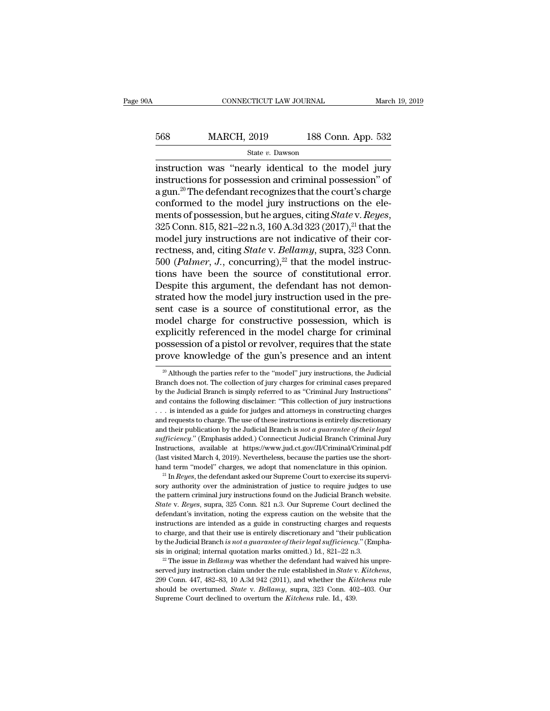## EXECUTE CONNECTICUT LAW JOURNAL March 19, 2019<br>568 MARCH, 2019 188 Conn. App. 532<br>5tate v. Dawson State *v.* Dawson

CONNECTICUT LAW JOURNAL March 19, 2019<br>
568 MARCH, 2019 188 Conn. App. 532<br>  $\frac{\text{State } v. \text{ Dawson}}{\text{instruction was "nearly identical to the model jury}}$ <br>  $\frac{\text{instruction}}{\text{institution}}$  for possession and criminal possession" of 568 MARCH, 2019 188 Conn. App. 532<br>
state v. Dawson<br>
instruction was "nearly identical to the model jury<br>
instructions for possession and criminal possession" of<br>
a gun.<sup>20</sup> The defendant recognizes that the court's charg  $\begin{array}{ll}\n 568 & \text{MARCH, } 2019 & \text{188 Conn. App. 532} \\
 \hline\n \text{State } v. \text{ Dawson} \\
 \text{instruction was "nearly identical to the model jury} \\
 \text{instructions for possession and criminal possession" of a gun.<sup>20</sup> The defendant recognizes that the court's charge \text{conformed to the model jury instructions on the elements of the message.} \\
 \text{Hence, the average of the message of the message.} \n \end{array}$ 568 MARCH, 2019 188 Conn. App. 532<br>
state v. Dawson<br>
instruction was "nearly identical to the model jury<br>
instructions for possession and criminal possession" of<br>
a gun.<sup>20</sup> The defendant recognizes that the court's charg state *v*. Dawson<br>instruction was "nearly identical to the model jury<br>instructions for possession and criminal possession" of<br>a gun.<sup>20</sup> The defendant recognizes that the court's charge<br>conformed to the model jury instruct instruction was "nearly identical to the model jury<br>instructions for possession and criminal possession" of<br>a gun.<sup>20</sup> The defendant recognizes that the court's charge<br>conformed to the model jury instructions on the ele-<br> instructions for possession and criminal possession" of<br>a gun.<sup>20</sup> The defendant recognizes that the court's charge<br>conformed to the model jury instructions on the ele-<br>ments of possession, but he argues, citing *State* v. a gun.<sup>20</sup> The defendant recognizes that the court's charge<br>conformed to the model jury instructions on the ele-<br>ments of possession, but he argues, citing *State* v. *Reyes*,<br>325 Conn. 815, 821–22 n.3, 160 A.3d 323 (2017) conformed to the model jury instructions on the elements of possession, but he argues, citing *State* v. *Reyes*, 325 Conn. 815, 821–22 n.3, 160 A.3d 323 (2017),<sup>21</sup> that the model jury instructions are not indicative of ments of possession, but he argues, citing *State* v. *Reyes*, 325 Conn. 815, 821–22 n.3, 160 A.3d 323 (2017),<sup>21</sup> that the model jury instructions are not indicative of their correctness, and, citing *State* v. *Bellamy* 325 Conn. 815, 821–22 n.3, 160 A.3d 323 (2017),<sup>21</sup> that the model jury instructions are not indicative of their correctness, and, citing *State* v. *Bellamy*, supra, 323 Conn. 500 (*Palmer*, *J*., concurring),<sup>22</sup> that t model jury instructions are not indicative of their correctness, and, citing *State* v. *Bellamy*, supra, 323 Conn.<br>500 (*Palmer*, *J*., concurring),<sup>22</sup> that the model instruc-<br>tions have been the source of constitutiona rectness, and, citing *State* v. *Bellamy*, supra, 323 Conn.<br>500 (*Palmer*, *J*., concurring),<sup>22</sup> that the model instruc-<br>tions have been the source of constitutional error.<br>Despite this argument, the defendant has not d 500 (*Palmer*, *J.*, concurring),<sup>22</sup> that the model instructions have been the source of constitutional error.<br>Despite this argument, the defendant has not demonstrated how the model jury instruction used in the present tions have been the source of constitutional error.<br>Despite this argument, the defendant has not demon-<br>strated how the model jury instruction used in the pre-<br>sent case is a source of constitutional error, as the<br>model ch Despite this argument, the defendant has not demonstrated how the model jury instruction used in the present case is a source of constitutional error, as the model charge for constructive possession, which is explicitly r codel charge for constructive possession, which is<br>explicitly referenced in the model charge for criminal<br>ossession of a pistol or revolver, requires that the state<br>rove knowledge of the gun's presence and an intent<br> $\frac{1}{$ explicitly referenced in the model charge for criminal possession of a pistol or revolver, requires that the state prove knowledge of the gun's presence and an intent  $\frac{1}{20}$  Although the parties refer to the "model" ju

Instructions, available at https://www.jud.ct.gov/JJ/Criminal/Criminal.<br>
Instructions, available at https://www.jud.ct.gov/JJ/Criminal/Criminal.pdf<br>
(last visited March 4, 2019). Nevertheless, because the parties use the The flast visited March 4, 2019). Nevertheless, because the parties use the shorthand term "model" charges, we adopt that nomenclature in this opinion.<br><sup>21</sup> In *Reyes*, the defendant asked our Supreme Court to exercise its hand term "model" charges, we adopt that nomenclature in this opinion.<br>
<sup>21</sup> In *Reyes*, the defendant asked our Supreme Court to exercise its supervisory authority over the administration of justice to require judges to <sup>21</sup> In *Reyes*, the defendant asked our Supreme Court to exercise its supervisory authority over the administration of justice to require judges to use the pattern criminal jury instructions found on the Judicial Branch sory authority over the administration of justice to require judges to use<br>the pattern criminal jury instructions found on the Judicial Branch website.<br>State v. Reyes, supra, 325 Conn. 821 n.3. Our Supreme Court declined t by a pattern criminal jury instructions found on the Judicial Branch website.<br> *State* v. *Reyes*, supra, 325 Conn. 821 n.3. Our Supreme Court declined the<br>
defendant's invitation, noting the express caution on the website sis *State* v. *Reyes*, supra, 325 Conn. 821 n.3. Our Supreme Court declined the defendant's invitation, noting the express caution on the website that the instructions are intended as a guide in constructing charges and r instructions are intended as a guide in constructing charges and requests to charge, and that their use is entirely discretionary and "their publication by the Judicial Branch *is not a guarantee of their legal sufficiency* sis in original; internal quotation marks omitted.) Id., 821-22 n.3.

to charge, and that their use is entirely discretionary and "their publication by the Judicial Branch *is not a guarantee of their legal sufficiency.*" (Emphasis in original; internal quotation marks omitted.) Id., 821–22

possession of a pistol or revolver, requires that the state<br>prove knowledge of the gun's presence and an intent<br> $\frac{1}{20}$  Although the parties refer to the "model" jury instructions, the Judicial<br>Branch does not. The coll prove knowledge of the gun's presence and an intent<br>  $\frac{1}{20}$  Although the parties refer to the "model" jury instructions, the Judicial<br>
Branch does not. The collection of jury charges for criminal cases prepared<br>
by th <sup>20</sup> Although the parties refer to the "model" jury instructions, the Judicial Branch does not. The collection of jury charges for criminal cases prepared by the Judicial Branch is simply referred to as "Criminal Jury Inst <sup>20</sup> Although the parties refer to the "model" jury instructions, the Judicial Branch does not. The collection of jury charges for criminal cases prepared by the Judicial Branch is simply referred to as "Criminal Jury Ins Franch does not. The collection of jury charges for criminal cases prepared<br>by the Judicial Branch is simply referred to as "Criminal Jury Instructions"<br>and contains the following disclaimer: "This collection of jury instr *by* the Judicial Branch is simply referred to as "Criminal Jury Instructions"<br>and contains the following disclaimer: "This collection of jury instructions"<br>... is intended as a guide for judges and attorneys in constructi and contains the following disclaimer: "This collection of jury instructions . . . is intended as a guide for judges and attorneys in constructing charges and requests to charge. The use of these instructions is entirely d ... is intended as a guide for judges and attorneys in constructing charges and requests to charge. The use of these instructions is entirely discretionary and their publication by the Judicial Branch is *not a guarantee* and requests to charge. The use of these instructions is entirely discretionary and their publication by the Judicial Branch is *not a guarantee of their legal* sufficiency." (Emphasis added.) Connecticut Judicial Branch sufficiency." (Emphasis added.) Connecticut Judicial Branch Criminal Jury<br>Instructions, available at https://www.jud.ct.gov/JI/Criminal/Criminal.pdf<br>(last visited March 4, 2019). Nevertheless, because the parties use the s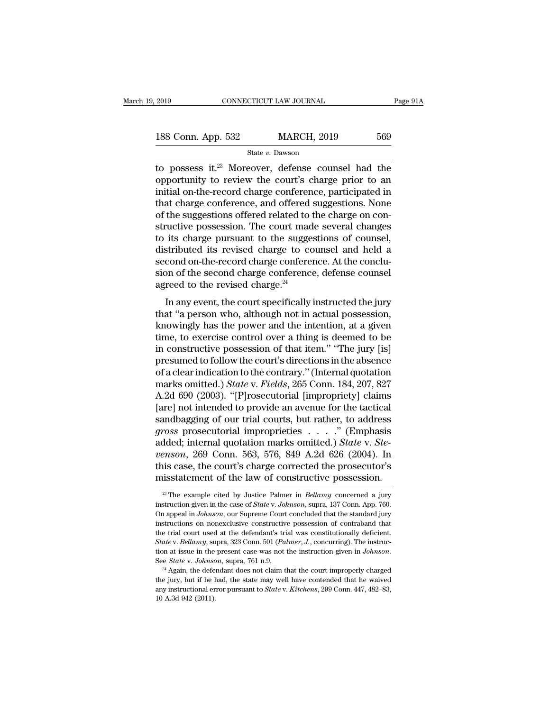| 2019               | CONNECTICUT LAW JOURNAL | Page 91A |  |
|--------------------|-------------------------|----------|--|
| 188 Conn. App. 532 | <b>MARCH, 2019</b>      | 569      |  |
|                    | State v. Dawson         |          |  |

 $t_{2019}$  CONNECTICUT LAW JOURNAL Page 91A<br>
188 Conn. App. 532 MARCH, 2019 569<br>
State v. Dawson<br>
to possess it.<sup>23</sup> Moreover, defense counsel had the<br>
opportunity to review the court's charge prior to an<br>
initial on the r 188 Conn. App. 532 MARCH, 2019 569<br>
State v. Dawson<br>
to possess it.<sup>23</sup> Moreover, defense counsel had the<br>
opportunity to review the court's charge prior to an<br>
initial on-the-record charge conference, participated in<br>
th 188 Conn. App. 532 MARCH, 2019 569<br>
State v. Dawson<br>
to possess it.<sup>23</sup> Moreover, defense counsel had the<br>
opportunity to review the court's charge prior to an<br>
initial on-the-record charge conference, participated in<br>
th 188 Conn. App. 532 MARCH, 2019 569<br>
State v. Dawson<br>
to possess it.<sup>23</sup> Moreover, defense counsel had the<br>
opportunity to review the court's charge prior to an<br>
initial on-the-record charge conference, participated in<br>
th 188 Conn. App. 532 MARCH, 2019 569<br>
State *v*. Dawson<br>
to possess it.<sup>23</sup> Moreover, defense counsel had the<br>
opportunity to review the court's charge prior to an<br>
initial on-the-record charge conference, participated in<br> state *v*. Dawson<br>to possess it.<sup>23</sup> Moreover, defense counsel had the<br>opportunity to review the court's charge prior to an<br>initial on-the-record charge conference, participated in<br>that charge conference, and offered sugg to possess it.<sup>23</sup> Moreover, defense counsel had the opportunity to review the court's charge prior to an initial on-the-record charge conference, participated in that charge conference, and offered suggestions. None of t opportunity to review the court's charge prior to an<br>initial on-the-record charge conference, participated in<br>that charge conference, and offered suggestions. None<br>of the suggestions offered related to the charge on con-<br>s initial on-the-record charge conference, participated in<br>that charge conference, and offered suggestions. None<br>of the suggestions offered related to the charge on con-<br>structive possession. The court made several changes<br>t that charge conference, and offered suggestions. None<br>of the suggestions offered related to the charge on con-<br>structive possession. The court made several changes<br>to its charge pursuant to the suggestions of counsel,<br>dist of the suggestions offered related to t<br>structive possession. The court mad<br>to its charge pursuant to the sugges<br>distributed its revised charge to co<br>second on-the-record charge conference<br>sion of the second charge confere In any event, the court made several enanges<br>its charge pursuant to the suggestions of counsel,<br>stributed its revised charge to counsel and held a<br>cond on-the-record charge conference. At the conclu-<br>on of the second charg to us charge pursuant to the suggestions of counsel,<br>distributed its revised charge to counsel and held a<br>second on-the-record charge conference. At the conclu-<br>sion of the second charge conference, defense counsel<br>agreed

distributed its revised endige to counser and field a<br>second on-the-record charge conference. At the conclu-<br>sion of the second charge conference, defense counsel<br>agreed to the revised charge.<sup>24</sup><br>In any event, the court second on-the-record charge conference. At the conclusion of the second charge conference, defense counsel<br>agreed to the revised charge.<sup>24</sup><br>In any event, the court specifically instructed the jury<br>that "a person who, alth sion of the second charge conference, detense counser<br>agreed to the revised charge.<sup>24</sup><br>In any event, the court specifically instructed the jury<br>that "a person who, although not in actual possession,<br>knowingly has the powe In any event, the court specifically instructed the jury<br>that "a person who, although not in actual possession,<br>knowingly has the power and the intention, at a given<br>time, to exercise control over a thing is deemed to be<br> In any event, the court specifically instructed the jury<br>that "a person who, although not in actual possession,<br>knowingly has the power and the intention, at a given<br>time, to exercise control over a thing is deemed to be<br> that "a person who, although not in actual possession,<br>knowingly has the power and the intention, at a given<br>time, to exercise control over a thing is deemed to be<br>in constructive possession of that item." "The jury [is]<br>p knowingly has the power and the intention, at a given<br>time, to exercise control over a thing is deemed to be<br>in constructive possession of that item." "The jury [is]<br>presumed to follow the court's directions in the absence time, to exercise control over a thing is deemed to be<br>in constructive possession of that item." "The jury [is]<br>presumed to follow the court's directions in the absence<br>of a clear indication to the contrary." (Internal quo in constructive possession of that item." "The jury [is]<br>presumed to follow the court's directions in the absence<br>of a clear indication to the contrary." (Internal quotation<br>marks omitted.) *State* v. *Fields*, 265 Conn. presumed to follow the court's directions in the absence<br>of a clear indication to the contrary." (Internal quotation<br>marks omitted.) *State* v. *Fields*, 265 Conn. 184, 207, 827<br>A.2d 690 (2003). "[P]rosecutorial [improprie of a clear indication to the contrary." (Internal quotation<br>marks omitted.) *State* v. *Fields*, 265 Conn. 184, 207, 827<br>A.2d 690 (2003). "[P]rosecutorial [impropriety] claims<br>[are] not intended to provide an avenue for th marks omitted.) *State v. Fields*, 265 Conn. 184, 207, 827<br>A.2d 690 (2003). "[P]rosecutorial [impropriety] claims<br>[are] not intended to provide an avenue for the tactical<br>sandbagging of our trial courts, but rather, to add A.2d 690 (2003). "[P]rosecutorial [impropriety] claims<br>[are] not intended to provide an avenue for the tactical<br>sandbagging of our trial courts, but rather, to address<br>*gross* prosecutorial improprieties . . . . ." (Empha [are] not intended to provide an avenue for the tactical<br>sandbagging of our trial courts, but rather, to address<br>*gross* prosecutorial improprieties . . . . " (Emphasis<br>added; internal quotation marks omitted.) *State* v. added; internal quotation marks omitted.) *State* v. *Ste-*<br>*venson*, 269 Conn. 563, 576, 849 A.2d 626 (2004). In<br>this case, the court's charge corrected the prosecutor's<br>misstatement of the law of constructive possession. *venson*, 269 Conn. 563, 576, 849 A.2d 626 (2004). In this case, the court's charge corrected the prosecutor's misstatement of the law of constructive possession.<br>
<sup>23</sup> The example cited by Justice Palmer in *Bellamy* conc

this case, the court's charge corrected the prosecutor's<br>misstatement of the law of constructive possession.<br><sup>29</sup> The example cited by Justice Palmer in *Bellamy* concerned a jury<br>instruction given in the case of *State* v misstatement of the law of constructive possession.<br>
<sup>23</sup> The example cited by Justice Palmer in *Bellamy* concerned a jury instruction given in the case of *State v. Johnson*, supra, 137 Conn. App. 760.<br>
On appeal in *Jo* The example cited by Justice Palmer in *Bellamy* concerned a jury<br>instruction given in the case of *State* v. *Johnson*, supra, 137 Conn. App. 760.<br>On appeal in *Johnson*, our Supreme Court concluded that the standard jur <sup>23</sup> The example cited by Justice Palmer in *Bellamy* concerned a jury instruction given in the case of *State* v. *Johnson*, supra, 137 Conn. App. 760. On appeal in *Johnson*, our Supreme Court concluded that the standard instruction given in the case of *State* v. *Johnson*, supra, 137 Conn. App. 760.<br>On appeal in *Johnson*, our Supreme Court concluded that the standard jury<br>instructions on nonexclusive constructive possession of contraban the trial court used at the defendant's trial was constitutionally deficient.<br>State v. Bellamy, supra, 323 Conn. 501 (Palmer, J., concurring). The instruc-<br>tion at issue in the present case was not the instruction given i the trial court used at the defendant's trial was constitutionally deficient.<br> *State* v. *Bellamy*, supra, 323 Conn. 501 (*Palmer*, *J*., concurring). The instruction at issue in the present case was not the instruction tion at issue in the present case was not the instruction given in *Johnson*.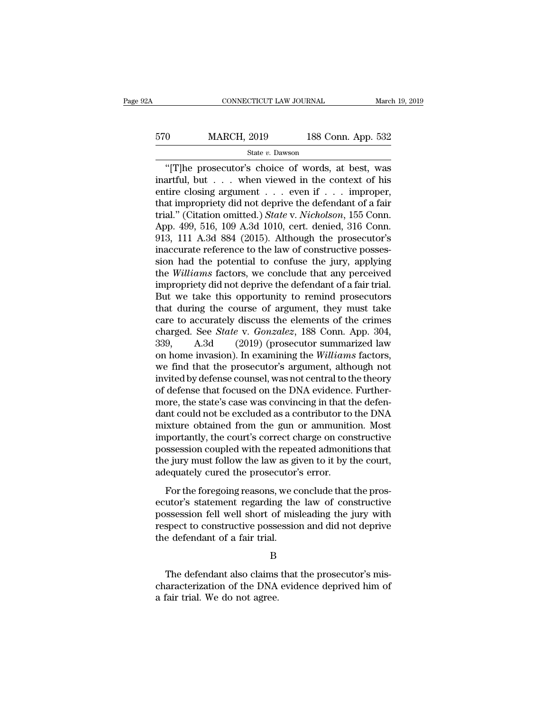## EXECUTE CONNECTICUT LAW JOURNAL March 19, 2019<br>
570 MARCH, 2019 188 Conn. App. 532<br>
State v. Dawson State *v.* Dawson

CONNECTICUT LAW JOURNAL March 19, 2019<br>
0 MARCH, 2019 188 Conn. App. 532<br>
<sup>31</sup> State v. Dawson<br>
The prosecutor's choice of words, at best, was<br>
artful, but . . . when viewed in the context of his<br>
tire closing argument  $\begin{array}{ccc}\n 570 & \text{MARCH, } 2019 & \text{188 Conn. App. 532}\n \hline\n \text{State } v. \text{ Dawson} \\
 \hline\n \text{``[T]he processor's choice of words, at best, was inartful, but . . . when viewed in the context of his entire closing argument . . . even if . . . improper, that innrenriety did not donxive the defendant of a fair.\n$ EN MARCH, 2019 188 Conn. App. 532<br>
State v. Dawson<br>
"[T]he prosecutor's choice of words, at best, was<br>
inartful, but . . . when viewed in the context of his<br>
entire closing argument . . . even if . . . improper,<br>
that imp 570 MARCH, 2019 188 Conn. App. 532<br>  $\frac{\text{State } v. \text{ Dawson}}{t}$ <br>
"[T]he prosecutor's choice of words, at best, was<br>
inartful, but . . . when viewed in the context of his<br>
entire closing argument . . . even if . . . improper,<br>
tha State *v.* Dawson<br>
"[T]he prosecutor's choice of words, at best, was<br>
inartful, but . . . when viewed in the context of his<br>
entire closing argument . . . even if . . . improper,<br>
that impropriety did not deprive the defen State v. Dawson<br>
"[T]he prosecutor's choice of words, at best, was<br>
inartful, but . . . when viewed in the context of his<br>
entire closing argument . . . even if . . . improper,<br>
that impropriety did not deprive the defend "[T]he prosecutor's choice of words, at best, was<br>inartful, but . . . when viewed in the context of his<br>entire closing argument . . . even if . . . improper,<br>that impropriety did not deprive the defendant of a fair<br>trial. inartful, but  $\ldots$  when viewed in the context of his<br>entire closing argument  $\ldots$  even if  $\ldots$  improper,<br>that impropriety did not deprive the defendant of a fair<br>trial." (Citation omitted.) *State* v. *Nicholson*, 155 entire closing argument . . . even if . . . improper,<br>that impropriety did not deprive the defendant of a fair<br>trial." (Citation omitted.) *State* v. *Nicholson*, 155 Conn.<br>App. 499, 516, 109 A.3d 1010, cert. denied, 316 C that impropriety did not deprive the defendant of a fair<br>trial." (Citation omitted.) *State* v. *Nicholson*, 155 Conn.<br>App. 499, 516, 109 A.3d 1010, cert. denied, 316 Conn.<br>913, 111 A.3d 884 (2015). Although the prosecutor trial." (Citation omitted.) *State* v. *Nicholson*, 155 Conn.<br>App. 499, 516, 109 A.3d 1010, cert. denied, 316 Conn.<br>913, 111 A.3d 884 (2015). Although the prosecutor's<br>inaccurate reference to the law of constructive posses App. 499, 516, 109 A.3d 1010, cert. denied, 316 Conn.<br>913, 111 A.3d 884 (2015). Although the prosecutor's<br>inaccurate reference to the law of constructive posses-<br>sion had the potential to confuse the jury, applying<br>the *Wi* 913, 111 A.3d 884 (2015). Although the prosecutor's<br>inaccurate reference to the law of constructive posses-<br>sion had the potential to confuse the jury, applying<br>the *Williams* factors, we conclude that any perceived<br>impro inaccurate reference to the law of constructive posses-<br>sion had the potential to confuse the jury, applying<br>the *Williams* factors, we conclude that any perceived<br>impropriety did not deprive the defendant of a fair trial sion had the potential to confuse the jury, applying<br>the *Williams* factors, we conclude that any perceived<br>impropriety did not deprive the defendant of a fair trial.<br>But we take this opportunity to remind prosecutors<br>that the *Williams* factors, we conclude that any perceived<br>impropriety did not deprive the defendant of a fair trial.<br>But we take this opportunity to remind prosecutors<br>that during the course of argument, they must take<br>care t impropriety did not deprive the defendant of a fair trial.<br>But we take this opportunity to remind prosecutors<br>that during the course of argument, they must take<br>care to accurately discuss the elements of the crimes<br>charged But we take this opportunity to remind prosecutors<br>that during the course of argument, they must take<br>care to accurately discuss the elements of the crimes<br>charged. See *State* v. *Gonzalez*, 188 Conn. App. 304,<br>339, A.3d that during the course of argument, they must take<br>care to accurately discuss the elements of the crimes<br>charged. See *State* v. *Gonzalez*, 188 Conn. App. 304,<br>339, A.3d (2019) (prosecutor summarized law<br>on home invasion) care to accurately discuss the elements of the crimes<br>charged. See *State* v. *Gonzalez*, 188 Conn. App. 304,<br>339, A.3d (2019) (prosecutor summarized law<br>on home invasion). In examining the *Williams* factors,<br>we find that charged. See *State* v. *Gonzalez*, 188 Conn. App. 304, 339, A.3d (2019) (prosecutor summarized law on home invasion). In examining the *Williams* factors, we find that the prosecutor's argument, although not invited by de 339, A.3d  $(2019)$  (prosecutor summarized law<br>on home invasion). In examining the *Williams* factors,<br>we find that the prosecutor's argument, although not<br>invited by defense counsel, was not central to the theory<br>of defen on home invasion). In examining the *Williams* factors,<br>we find that the prosecutor's argument, although not<br>invited by defense counsel, was not central to the theory<br>of defense that focused on the DNA evidence. Further-<br>m we find that the prosecutor's argument, although not<br>invited by defense counsel, was not central to the theory<br>of defense that focused on the DNA evidence. Further-<br>more, the state's case was convincing in that the defen-<br> invited by defense counsel, was not central to the theory<br>of defense that focused on the DNA evidence. Further-<br>more, the state's case was convincing in that the defen-<br>dant could not be excluded as a contributor to the DN of defense that focused on the DNA evidence. Furthermore, the state's case was convincing in that the defendant could not be excluded as a contributor to the DNA mixture obtained from the gun or ammunition. Most importantl more, the state's case was convincing in that the dant could not be excluded as a contributor to mixture obtained from the gun or ammunition<br>importantly, the court's correct charge on con possession coupled with the repeat For the foregoing reasons, we conclude that the prosessession coupled with the repeated admonitions that the jury must follow the law as given to it by the court, equately cured the prosecutor's error.<br>For the foregoing re maked collained from the garror diminimation. Most<br>importantly, the court's correct charge on constructive<br>possession coupled with the repeated admonitions that<br>the jury must follow the law as given to it by the court,<br>ade

miporality, are coards correct enarge on constractive<br>possession coupled with the repeated admonitions that<br>the jury must follow the law as given to it by the court,<br>adequately cured the prosecutor's error.<br>For the foregoi respects to coupled what are repeated admissions and the jury must follow the law as given to it by the court, adequately cured the prosecutor's error.<br>For the foregoing reasons, we conclude that the prosecutor's statement the jury mast follow are fair as graded<br>adequately cured the prosecutor'<br>For the foregoing reasons, we control existence ecutor's statement regarding the<br>possession fell well short of mis<br>respect to constructive possession utor's statement regarding the law of constructive<br>ssession fell well short of misleading the jury with<br>spect to constructive possession and did not deprive<br>e defendant of a fair trial.<br>B<br>The defendant also claims that the

B

possession fell well short of misleading the jury with<br>respect to constructive possession and did not deprive<br>the defendant of a fair trial.<br>B<br>The defendant also claims that the prosecutor's mis-<br>characterization of the DN respect to constructive posse<br>the defendant of a fair trial.<br>B<br>The defendant also claims<br>characterization of the DNA<br>a fair trial. We do not agree.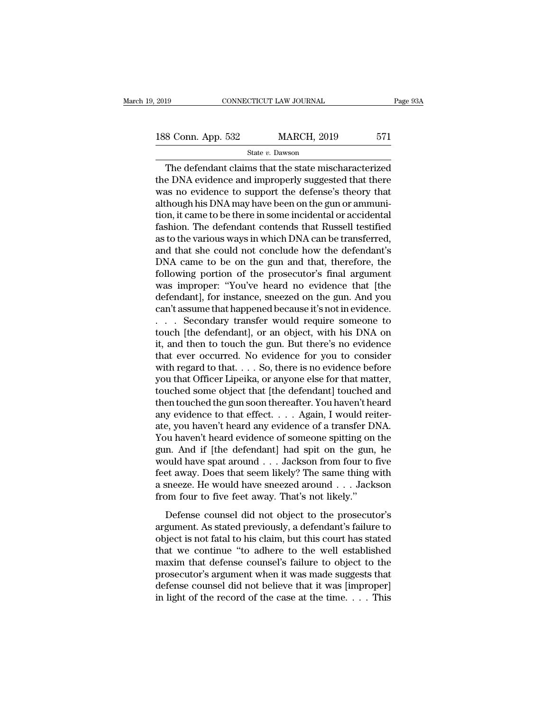2019 CONNECTICUT LAW JOURNAL Page 93A<br>
188 Conn. App. 532 MARCH, 2019 571<br>
State v. Dawson

State *v.* Dawson

The defendant claims that the state mischaracterized<br>
The defendant claims that the state mischaracterized<br>
EDNA evidence and improperly suggested that there<br>
The action of the state mischaracterized<br>
The constraints of th 188 Conn. App. 532 MARCH, 2019 571<br>
State v. Dawson<br>
The defendant claims that the state mischaracterized<br>
the DNA evidence and improperly suggested that there<br>
was no evidence to support the defense's theory that<br>
althou 188 Conn. App. 532 MARCH, 2019 571<br>
State v. Dawson<br>
The defendant claims that the state mischaracterized<br>
the DNA evidence and improperly suggested that there<br>
was no evidence to support the defense's theory that<br>
althou 188 Conn. App. 532 MARCH, 2019 571<br>
State  $v$ . Dawson<br>
The defendant claims that the state mischaracterized<br>
the DNA evidence and improperly suggested that there<br>
was no evidence to support the defense's theory that<br>
alth The defendant claims that the state mischaracterized<br>the DNA evidence and improperly suggested that there<br>was no evidence to support the defense's theory that<br>although his DNA may have been on the gun or ammuni-<br>tion, it state  $v$ . Dawson<br>The defendant claims that the state mischaracterized<br>the DNA evidence and improperly suggested that there<br>was no evidence to support the defense's theory that<br>although his DNA may have been on the gun or The defendant claims that the state mischaracterized<br>the DNA evidence and improperly suggested that there<br>was no evidence to support the defense's theory that<br>although his DNA may have been on the gun or ammuni-<br>tion, it c the DNA evidence and improperly suggested that there<br>was no evidence to support the defense's theory that<br>although his DNA may have been on the gun or ammuni-<br>tion, it came to be there in some incidental or accidental<br>fash was no evidence to support the defense's theory that<br>although his DNA may have been on the gun or ammuni-<br>tion, it came to be there in some incidental or accidental<br>fashion. The defendant contends that Russell testified<br>as although his DNA may have been on the gun or ammunition, it came to be there in some incidental or accidental<br>fashion. The defendant contends that Russell testified<br>as to the various ways in which DNA can be transferred,<br>a tion, it came to be there in some incidental or accidental<br>fashion. The defendant contends that Russell testified<br>as to the various ways in which DNA can be transferred,<br>and that she could not conclude how the defendant's<br> fashion. The defendant contends that Russell testified<br>as to the various ways in which DNA can be transferred,<br>and that she could not conclude how the defendant's<br>DNA came to be on the gun and that, therefore, the<br>followin as to the various ways in which DNA can be transferred,<br>and that she could not conclude how the defendant's<br>DNA came to be on the gun and that, therefore, the<br>following portion of the prosecutor's final argument<br>was improp and that she could not conclude how the defendant's<br>DNA came to be on the gun and that, therefore, the<br>following portion of the prosecutor's final argument<br>was improper: "You've heard no evidence that [the<br>defendant], for DNA came to be on the gun and that, therefore, the<br>following portion of the prosecutor's final argument<br>was improper: "You've heard no evidence that [the<br>defendant], for instance, sneezed on the gun. And you<br>can't assume t following portion of the prosecutor's final argument<br>was improper: "You've heard no evidence that [the<br>defendant], for instance, sneezed on the gun. And you<br>can't assume that happened because it's not in evidence.<br>. . . . was improper: "You've heard no evidence that [the defendant], for instance, sneezed on the gun. And you can't assume that happened because it's not in evidence.<br>  $\ldots$  Secondary transfer would require someone to touch [th defendant], for instance, sneezed on the gun. And you<br>can't assume that happened because it's not in evidence.<br>. . . . Secondary transfer would require someone to<br>touch [the defendant], or an object, with his DNA on<br>it, an can't assume that happened because it's not in evidence.<br>
. . . . Secondary transfer would require someone to<br>
touch [the defendant], or an object, with his DNA on<br>
it, and then to touch the gun. But there's no evidence<br>
t ... Secondary transfer would require someone to<br>touch [the defendant], or an object, with his DNA on<br>it, and then to touch the gun. But there's no evidence<br>that ever occurred. No evidence for you to consider<br>with regard t touch [the defendant], or an object, with his DNA on<br>it, and then to touch the gun. But there's no evidence<br>that ever occurred. No evidence for you to consider<br>with regard to that. . . . So, there is no evidence before<br>you it, and then to touch the gun. But there's no evidence<br>that ever occurred. No evidence for you to consider<br>with regard to that. . . . So, there is no evidence before<br>you that Officer Lipeika, or anyone else for that matter that ever occurred. No evidence for you to consider<br>with regard to that. . . . So, there is no evidence before<br>you that Officer Lipeika, or anyone else for that matter,<br>touched some object that [the defendant] touched and with regard to that. . . . So, there is no evidence before<br>you that Officer Lipeika, or anyone else for that matter,<br>touched some object that [the defendant] touched and<br>then touched the gun soon thereafter. You haven't he you that Officer Lipeika, or anyone else for that matter,<br>touched some object that [the defendant] touched and<br>then touched the gun soon thereafter. You haven't heard<br>any evidence to that effect. . . . . Again, I would rei touched some object that [the defendant] touched and<br>then touched the gun soon thereafter. You haven't heard<br>any evidence to that effect. . . . . Again, I would reiter-<br>ate, you haven't heard any evidence of a transfer DNA then touched the gun soon thereafter. You haven't heard<br>any evidence to that effect. . . . Again, I would reiter-<br>ate, you haven't heard any evidence of a transfer DNA.<br>You haven't heard evidence of someone spitting on th any evidence to that effect. . . . Again, I would reiterate, you haven't heard any evidence of a transfer DNA.<br>You haven't heard evidence of someone spitting on the gun. And if [the defendant] had spit on the gun, he woul ate, you haven't heard any evidence of a transfer DNA.<br>You haven't heard evidence of someone spitting on the gun. And if [the defendant] had spit on the gun, he would have spat around  $\dots$  Jackson from four to five feet a In And if [the defendant] had spit on the gun, he<br>n. And if [the defendant] had spit on the gun, he<br>suid have spat around . . . Jackson from four to five<br>et away. Does that seem likely? The same thing with<br>sneeze. He would and that it put accordancy had spit on the gall, he<br>would have spat around  $\ldots$  Jackson from four to five<br>feet away. Does that seem likely? The same thing with<br>a sneeze. He would have sneezed around  $\ldots$  Jackson<br>from fo

Feet away. Does that seem likely? The same thing with a sneeze. He would have sneezed around  $\ldots$  Jackson<br>from four to five feet away. That's not likely."<br>Defense counsel did not object to the prosecutor's<br>argument. As s a sneeze. He would have sneezed around  $\ldots$  Jackson<br>from four to five feet away. That's not likely."<br>Defense counsel did not object to the prosecutor's<br>argument. As stated previously, a defendant's failure to<br>object is n may be the state of the state of the prosecutor's<br>from four to five feet away. That's not likely."<br>Defense counsel did not object to the prosecutor's<br>argument. As stated previously, a defendant's failure to<br>object is not Defense counsel did not object to the prosecutor's<br>argument. As stated previously, a defendant's failure to<br>object is not fatal to his claim, but this court has stated<br>that we continue "to adhere to the well established<br>ma Defense counsel did not object to the prosecutor's<br>argument. As stated previously, a defendant's failure to<br>object is not fatal to his claim, but this court has stated<br>that we continue "to adhere to the well established<br>m argument. As stated previously, a defendant's failure to object is not fatal to his claim, but this court has stated that we continue "to adhere to the well established maxim that defense counsel's failure to object to the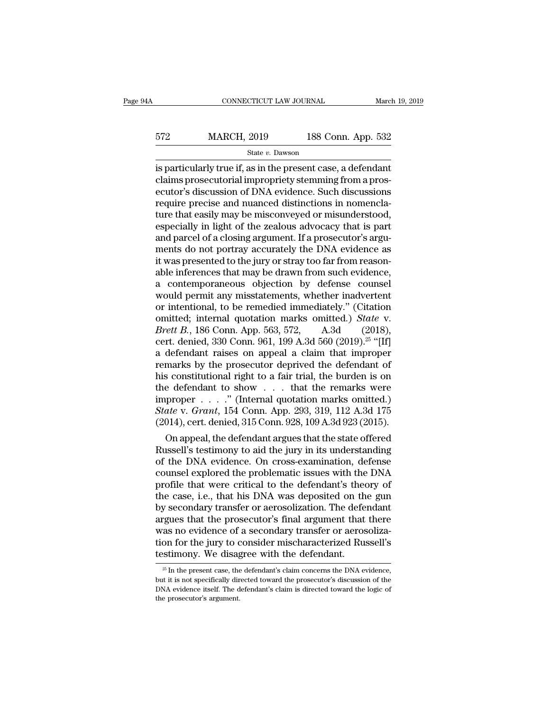| łΑ  | CONNECTICUT LAW JOURNAL |                    | March 19, 2019 |
|-----|-------------------------|--------------------|----------------|
| 572 | <b>MARCH, 2019</b>      | 188 Conn. App. 532 |                |
|     | State v. Dawson         |                    |                |

 $\begin{tabular}{ll} \multicolumn{1}{l}{{\bf ConRECTICUT LAW JOURNAL}} & & March 19, 2019\\ \hline \multicolumn{1}{l}{\bf 572} & \multicolumn{1}{l}{\bf MARCH, 2019} & \multicolumn{1}{l}{\bf 188 Conn. App. 532}\\ & & State $v$. Dawson \\ \hline \end{tabular} \end{tabular} \label{tab:2}$ 572 MARCH, 2019 188 Conn. App. 532<br>  $\frac{\text{State } v. \text{ Dawson}}{\text{is particularly true if, as in the present case, a defendant  
\nclaims prospectorial improving from a pros-  
\necutor's discussion of DNA evidence. Such discussions  
\nroquire precise and numbered distributions in pomonela$ Expediance MARCH, 2019 188 Conn. App. 532<br>
State v. Dawson<br>
is particularly true if, as in the present case, a defendant<br>
claims prosecutorial impropriety stemming from a prosecutor's discussion of DNA evidence. Such disc  $\frac{572}{\text{State } v. \text{ Dawson}}$ <br>  $\frac{\text{State } v. \text{ Dawson}}{\text{Size } u}$ <br>
is particularly true if, as in the present case, a defendant<br>
claims prosecutorial impropriety stemming from a prosecutor's discussion of DNA evidence. Such discussions<br> State v. Dawson<br>
is particularly true if, as in the present case, a defendant<br>
claims prosecutorial impropriety stemming from a pros-<br>
ecutor's discussion of DNA evidence. Such discussions<br>
require precise and nuanced dis state  $v$ . Dawson<br>
is particularly true if, as in the present case, a defendant<br>
claims prosecutorial impropriety stemming from a pros-<br>
ecutor's discussion of DNA evidence. Such discussions<br>
require precise and nuanced d is particularly true if, as in the present case, a defendant claims prosecutorial impropriety stemming from a prosecutor's discussion of DNA evidence. Such discussions require precise and nuanced distinctions in nomenclatu claims prosecutorial impropriety stemming from a prosecutor's discussion of DNA evidence. Such discussions<br>require precise and nuanced distinctions in nomencla-<br>ture that easily may be misconveyed or misunderstood,<br>especia ecutor's discussion of DNA evidence. Such discussions<br>require precise and nuanced distinctions in nomencla-<br>ture that easily may be misconveyed or misunderstood,<br>especially in light of the zealous advocacy that is part<br>and require precise and nuanced distinctions in nomenclature that easily may be misconveyed or misunderstood, especially in light of the zealous advocacy that is part and parcel of a closing argument. If a prosecutor's argumen ture that easily may be misconveyed or misunderstood,<br>especially in light of the zealous advocacy that is part<br>and parcel of a closing argument. If a prosecutor's argu-<br>ments do not portray accurately the DNA evidence as<br>i especially in light of the zealous advocacy that is part<br>and parcel of a closing argument. If a prosecutor's arguments do not portray accurately the DNA evidence as<br>it was presented to the jury or stray too far from reason and parcel of a closing argument. If a prosecutor's arguments do not portray accurately the DNA evidence as<br>it was presented to the jury or stray too far from reason-<br>able inferences that may be drawn from such evidence,<br> ments do not portray accurately the DNA evidence as<br>it was presented to the jury or stray too far from reason-<br>able inferences that may be drawn from such evidence,<br>a contemporaneous objection by defense counsel<br>would perm it was presented to the jury or stray too far from reasonable inferences that may be drawn from such evidence,<br>a contemporaneous objection by defense counsel<br>would permit any misstatements, whether inadvertent<br>or intention able inferences that may be drawn from such evidence,<br>a contemporaneous objection by defense counsel<br>would permit any misstatements, whether inadvertent<br>or intentional, to be remedied immediately." (Citation<br>omitted; inte a contemporaneous objection by defense counsel<br>would permit any misstatements, whether inadvertent<br>or intentional, to be remedied immediately." (Citation<br>omitted; internal quotation marks omitted.) *State* v.<br>*Brett B.*, would permit any misstatements, whether inadvertent<br>or intentional, to be remedied immediately." (Citation<br>omitted; internal quotation marks omitted.) *State* v.<br>*Brett B.*, 186 Conn. App. 563, 572, A.3d (2018),<br>cert. den or intentional, to be remedied immediately." (Citation<br>
omitted; internal quotation marks omitted.) *State* v.<br> *Brett B.*, 186 Conn. App. 563, 572, A.3d (2018),<br>
cert. denied, 330 Conn. 961, 199 A.3d 560 (2019).<sup>25</sup> "[If omitted; internal quotation marks omitted.) *State* v.<br> *Brett B.*, 186 Conn. App. 563, 572, A.3d (2018),<br>
cert. denied, 330 Conn. 961, 199 A.3d 560 (2019).<sup>25</sup> "[If]<br>
a defendant raises on appeal a claim that improper<br>
r *Brett B.*, 186 Conn. App. 563, 572, A.3d (2018),<br>cert. denied, 330 Conn. 961, 199 A.3d 560 (2019).<sup>25</sup> "[If]<br>a defendant raises on appeal a claim that improper<br>remarks by the prosecutor deprived the defendant of<br>his cons cert. denied, 330 Conn. 961, 199 A.3d 560 (2019).<sup>25</sup> "[If]<br>a defendant raises on appeal a claim that improper<br>remarks by the prosecutor deprived the defendant of<br>his constitutional right to a fair trial, the burden is on<br> a defendant raises on appeal a claim that improper<br>remarks by the prosecutor deprived the defendant of<br>his constitutional right to a fair trial, the burden is on<br>the defendant to show  $\dots$  that the remarks were<br>improper marks by the prosecutor deprived the defendant of<br>s constitutional right to a fair trial, the burden is on<br>e defendant to show . . . that the remarks were<br>proper . . . . ." (Internal quotation marks omitted.)<br>ate v. Grant ms constitutional right to a fair trial, the burden is on<br>the defendant to show  $\dots$  that the remarks were<br>improper  $\dots$ ." (Internal quotation marks omitted.)<br>State v. Grant, 154 Conn. App. 293, 319, 112 A.3d 175<br>(2014),

the defendant to show  $\ldots$  that the remarks were<br>improper  $\ldots$ ." (Internal quotation marks omitted.)<br>State v. Grant, 154 Conn. App. 293, 319, 112 A.3d 175<br>(2014), cert. denied, 315 Conn. 928, 109 A.3d 923 (2015).<br>On app mproper  $\ldots$  (micrimal quotation marks omitted.)<br>
State v. Grant, 154 Conn. App. 293, 319, 112 A.3d 175<br>
(2014), cert. denied, 315 Conn. 928, 109 A.3d 923 (2015).<br>
On appeal, the defendant argues that the state offered<br> state v. Grant, 154 Conn. App. 293, 319, 112 A.3d 175<br>(2014), cert. denied, 315 Conn. 928, 109 A.3d 923 (2015).<br>On appeal, the defendant argues that the state offered<br>Russell's testimony to aid the jury in its understandin (2014), cert. denied, 315 Conn. 928, 109 A.3d 923 (2015).<br>
On appeal, the defendant argues that the state offered<br>
Russell's testimony to aid the jury in its understanding<br>
of the DNA evidence. On cross-examination, defen On appeal, the defendant argues that the state offered<br>Russell's testimony to aid the jury in its understanding<br>of the DNA evidence. On cross-examination, defense<br>counsel explored the problematic issues with the DNA<br>profil Russell's testimony to aid the jury in its understanding<br>of the DNA evidence. On cross-examination, defense<br>counsel explored the problematic issues with the DNA<br>profile that were critical to the defendant's theory of<br>the c of the DNA evidence. On cross-examination, defense<br>counsel explored the problematic issues with the DNA<br>profile that were critical to the defendant's theory of<br>the case, i.e., that his DNA was deposited on the gun<br>by secon counsel explored the problematic issues with the DNA<br>profile that were critical to the defendant's theory of<br>the case, i.e., that his DNA was deposited on the gun<br>by secondary transfer or aerosolization. The defendant<br>argu profile that were critical to the defendant's the<br>the case, i.e., that his DNA was deposited on th<br>by secondary transfer or aerosolization. The defe-<br>argues that the prosecutor's final argument that<br>was no evidence of a se argues that the prosecutor's final argument that there was no evidence of a secondary transfer or aerosolization for the jury to consider mischaracterized Russell's testimony. We disagree with the defendant.<br> $\frac{1}{25}$  In was no evidence of a secondary transfer or aerosolization for the jury to consider mischaracterized Russell's testimony. We disagree with the defendant.<br> $\frac{1}{12}$  in the present case, the defendant's claim concerns the D testimony. We disagree with the defendant.

tion for the jury to consider mischaracterized Russell's<br>testimony. We disagree with the defendant.<br> $\frac{25 \text{ In the present case, the defendant's claim concerns the DNA evidence, but it is not specifically directed toward the processor's discussion of the DNA evidence itself. The defendant's claim is directed toward the logic of the processor's argument.$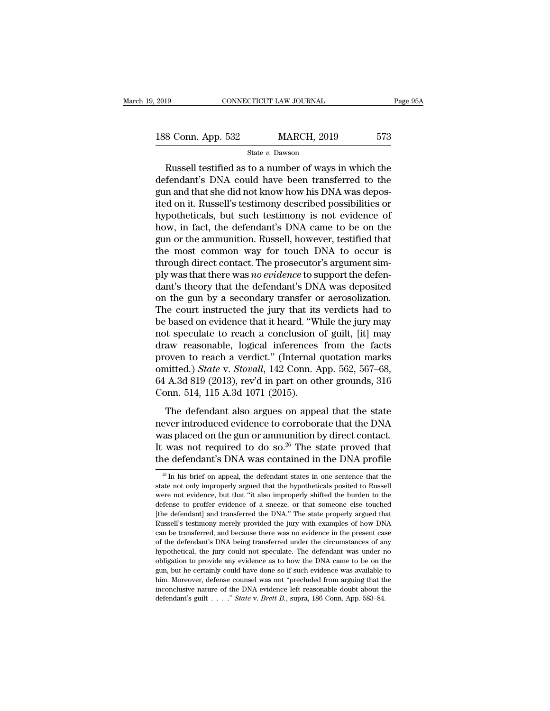EXECUTE THE SUITE OF THE PART OF THE SET ON A NORTHLET AND STAR SUITE STARS STARS STARS STARS STARS STARS STARS STARS STARS STARS STARS STARS STARS STARS STARS STARS STARS STARS STARS STARS STARS STARS STARS STARS STARS ST 188 Conn. App. 532 MARCH, 2019 573<br>
State v. Dawson<br>
Russell testified as to a number of ways in which the<br>
defendant's DNA could have been transferred to the<br>
gun and that she did not know how his DNA was depos-<br>
ited on 188 Conn. App. 532 MARCH, 2019 573<br>
State v. Dawson<br>
Russell testified as to a number of ways in which the<br>
defendant's DNA could have been transferred to the<br>
gun and that she did not know how his DNA was depos-<br>
ited on 188 Conn. App. 532 MARCH, 2019 573<br>
State v. Dawson<br>
Russell testified as to a number of ways in which the<br>
defendant's DNA could have been transferred to the<br>
gun and that she did not know how his DNA was depos-<br>
ited on State v. Dawson<br>
Russell testified as to a number of ways in which the<br>
defendant's DNA could have been transferred to the<br>
gun and that she did not know how his DNA was depos-<br>
ited on it. Russell's testimony described p state v. Dawson<br>
Russell testified as to a number of ways in which the<br>
defendant's DNA could have been transferred to the<br>
gun and that she did not know how his DNA was depos-<br>
ited on it. Russell's testimony described p Russell testified as to a number of ways in which the<br>defendant's DNA could have been transferred to the<br>gun and that she did not know how his DNA was depos-<br>ited on it. Russell's testimony described possibilities or<br>hypot defendant's DNA could have been transferred to the<br>gun and that she did not know how his DNA was depos-<br>ited on it. Russell's testimony described possibilities or<br>hypotheticals, but such testimony is not evidence of<br>how, i gun and that she did not know how his DNA was deposited on it. Russell's testimony described possibilities or hypotheticals, but such testimony is not evidence of how, in fact, the defendant's DNA came to be on the gun or ited on it. Russell's testimony described possibilities or<br>hypotheticals, but such testimony is not evidence of<br>how, in fact, the defendant's DNA came to be on the<br>gun or the ammunition. Russell, however, testified that<br>th hypotheticals, but such testimony is not evidence of<br>how, in fact, the defendant's DNA came to be on the<br>gun or the ammunition. Russell, however, testified that<br>the most common way for touch DNA to occur is<br>through direct how, in fact, the defendant's DNA came to be on the<br>gun or the ammunition. Russell, however, testified that<br>the most common way for touch DNA to occur is<br>through direct contact. The prosecutor's argument sim-<br>ply was that gun or the ammunition. Russell, however, testified that<br>the most common way for touch DNA to occur is<br>through direct contact. The prosecutor's argument sim-<br>ply was that there was *no evidence* to support the defen-<br>dant's the most common way for touch DNA to occur is<br>through direct contact. The prosecutor's argument sim-<br>ply was that there was *no evidence* to support the defen-<br>dant's theory that the defendant's DNA was deposited<br>on the gu through direct contact. The prosecutor's argument sim-<br>ply was that there was *no evidence* to support the defen-<br>dant's theory that the defendant's DNA was deposited<br>on the gun by a secondary transfer or aerosolization.<br>T ply was that there was *no evidence* to support the defendant's theory that the defendant's DNA was deposited<br>on the gun by a secondary transfer or aerosolization.<br>The court instructed the jury that its verdicts had to<br>be dant's theory that the defendant's DNA was deposited<br>on the gun by a secondary transfer or aerosolization.<br>The court instructed the jury that its verdicts had to<br>be based on evidence that it heard. "While the jury may<br>not on the gun by a secondary transfer or aerosolization.<br>The court instructed the jury that its verdicts had to<br>be based on evidence that it heard. "While the jury may<br>not speculate to reach a conclusion of guilt, [it] may<br>dr The court instructed the jury that its verdicts had to<br>be based on evidence that it heard. "While the jury may<br>not speculate to reach a conclusion of guilt, [it] may<br>draw reasonable, logical inferences from the facts<br>prove be based on evidence that it heard. "While the jury may<br>not speculate to reach a conclusion of guilt, [it] may<br>draw reasonable, logical inferences from the facts<br>proven to reach a verdict." (Internal quotation marks<br>omitt For the defendant also argues from the facts<br>oven to reach a verdict." (Internal quotation marks<br>nitted.) *State v. Stovall*, 142 Conn. App. 562, 567–68,<br>A.3d 819 (2013), rev'd in part on other grounds, 316<br>pnn. 514, 115 A proven to reach a verdict." (Internal quotation marks<br>omitted.) *State v. Stovall*, 142 Conn. App. 562, 567–68,<br>64 A.3d 819 (2013), rev'd in part on other grounds, 316<br>Conn. 514, 115 A.3d 1071 (2015).<br>The defendant also a

provided.) *State v. Stovall*, 142 Conn. App. 562, 567–68, 64 A.3d 819 (2013), rev'd in part on other grounds, 316 Conn. 514, 115 A.3d 1071 (2015).<br>The defendant also argues on appeal that the state never introduced evide 64 A.3d 819 (2013), rev'd in part on other grounds, 316<br>Conn. 514, 115 A.3d 1071 (2015).<br>The defendant also argues on appeal that the state<br>never introduced evidence to corroborate that the DNA<br>was placed on the gun or am Conn. 514, 115 A.3d 1071 (2015).<br>The defendant also argues on appeal that the state<br>never introduced evidence to corroborate that the DNA<br>was placed on the gun or ammunition by direct contact.<br>It was not required to do so Ever introduced evidence to corroborate that the DNA<br>as placed on the gun or ammunition by direct contact.<br>was not required to do so.<sup>26</sup> The state proved that<br>the defendant's DNA was contained in the DNA profile<br> $\frac{26}{1$ was placed on the gun or ammunition by direct contact.<br>It was not required to do so.<sup>26</sup> The state proved that<br>the defendant's DNA was contained in the DNA profile<br> $\frac{1}{x}$  In his brief on appeal, the defendant states in

It was not required to do so.<sup>26</sup> The state proved that<br>the defendant's DNA was contained in the DNA profile<br> $\frac{26}{10}$  In his brief on appeal, the defendant states in one sentence that the<br>state not only improperly argu the defendant's DNA was contained in the DNA profile  $\frac{26}{10}$  In his brief on appeal, the defendant states in one sentence that the state not only improperly argued that the hypotheticals posited to Russell were not ev [the defendant] and transferred the DNA." The state properly argued that Russell's testimony merely provided the jury with examples of how DNA can be transferred, and because there was no evidence in the present case  $^{26}$  In his brief on appeal, the defendant states in one sentence that the state not only improperly argued that the hypotheticals posited to Russell were not evidence, but that "it also improperly shifted the burden to state not only improperly argued that the hypotheticals posited to Russell were not evidence, but that "it also improperly shifted the burden to the defense to proffer evidence of a sneeze, or that someone else touched [th were not evidence, but that "it also improperly shifted the burden to the defense to proffer evidence of a sneeze, or that someone else touched (the defendant) and transferred the DNA." The state properly argued that Russe defense to proffer evidence of a sneeze, or that someone else touched<br>defense to proffer evidence of a sneeze, or that someone else touched<br>[the defendant] and transferred the DNA." The state properly argued that<br>Russell's The defendant] and transferred the DNA." The state properly argued that Russell's testimony merely provided the jury with examples of how DNA can be transferred, and because there was no evidence in the present case of the Fussell's testimony merely provided the jury with examples of how DNA<br>Russell's testimony merely provided the jury with examples of how DNA<br>can be transferred, and because there was no evidence in the present case<br>of the d rean be transferred, and because there was no evidence in the present case<br>of the defendant's DNA being transferred under the circumstances of any<br>hypothetical, the jury could not speculate. The defendant was under no<br>obli of the defendant's DNA being transferred under the circumstances of any hypothetical, the jury could not speculate. The defendant was under no obligation to provide any evidence as to how the DNA came to be on the gun, bu of the defendant's DNA being transferred under the circumstances of any hypothetical, the jury could not speculate. The defendant was under no obligation to provide any evidence as to how the DNA came to be on the gun, bu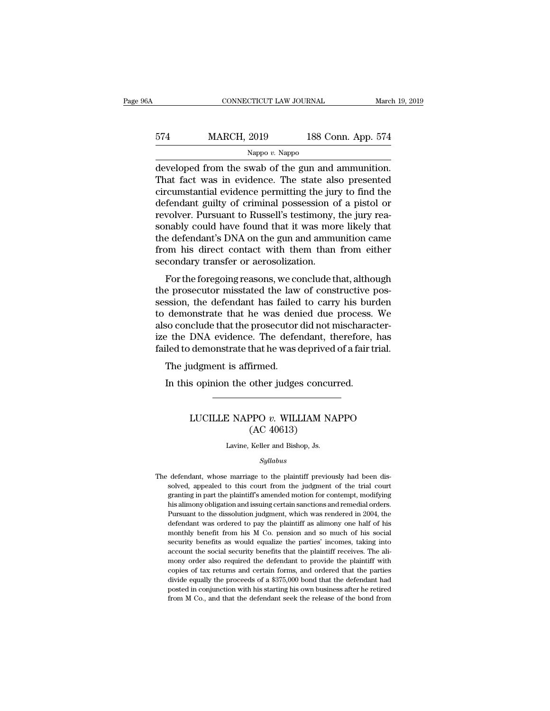## CONNECTICUT LAW JOURNAL March 19, 2019<br>574 MARCH, 2019 188 Conn. App. 574<br>Nappo v. Nappo Nappo *v.* Nappo

CONNECTICUT LAW JOURNAL March 19, 2<br>
MARCH, 2019 188 Conn. App. 574<br>
Nappo v. Nappo<br>
developed from the swab of the gun and ammunition.<br>
That fact was in evidence. The state also presented<br>
director of the gun and ammuniti  $\frac{\text{MARCH}}{\text{Nappo } v. \text{ Nappo}}$ <br>  $\frac{\text{Nappo } v. \text{ Nappo}}{\text{developed from the swab of the gun and ammunition}}$ <br>
That fact was in evidence. The state also presented<br>
circumstantial evidence permitting the jury to find the<br>
defendant guilty of criminal possession of a 574 MARCH, 2019 188 Conn. App. 574<br>
Nappo v. Nappo<br>
developed from the swab of the gun and ammunition.<br>
That fact was in evidence. The state also presented<br>
circumstantial evidence permitting the jury to find the<br>
defenda MARCH, 2019 188 Conn. App. 574<br>
Nappo v. Nappo<br>
developed from the swab of the gun and ammunition.<br>
That fact was in evidence. The state also presented<br>
circumstantial evidence permitting the jury to find the<br>
defendant g Nappo v. Nappo v. Nappo<br>
developed from the swab of the gun and ammunition.<br>
That fact was in evidence. The state also presented<br>
circumstantial evidence permitting the jury to find the<br>
defendant guilty of criminal posse sappo  $v$ . Nappo<br>developed from the swab of the gun and ammunition.<br>That fact was in evidence. The state also presented<br>circumstantial evidence permitting the jury to find the<br>defendant guilty of criminal possession of a developed from the swab of the gun and ammunition.<br>That fact was in evidence. The state also presented<br>circumstantial evidence permitting the jury to find the<br>defendant guilty of criminal possession of a pistol or<br>revolver That fact was in evidence. The state also presented<br>circumstantial evidence permitting the jury to find the<br>defendant guilty of criminal possession of a pistol or<br>revolver. Pursuant to Russell's testimony, the jury rea-<br>so circumstantial evidence permitting the jure<br>defendant guilty of criminal possession of<br>revolver. Pursuant to Russell's testimony,<br>sonably could have found that it was more<br>the defendant's DNA on the gun and ammur<br>from his For the foregoing reasons, we conclude that, although<br>the foregoing reasons of the foregoing rea-<br>nably could have found that it was more likely that<br>e defendant's DNA on the gun and ammunition came<br>om his direct contact w the provider. I distant to russen's testimony, the jury reasonably could have found that it was more likely that<br>the defendant's DNA on the gun and ammunition came<br>from his direct contact with them than from either<br>seconda

sonably could have found that it was lifer intery that<br>the defendant's DNA on the gun and ammunition came<br>from his direct contact with them than from either<br>secondary transfer or aerosolization.<br>For the foregoing reasons, the defendant S DNA on the gun and annual<br>from his direct contact with them than from either<br>secondary transfer or aerosolization.<br>For the foregoing reasons, we conclude that, although<br>the prosecutor misstated the law of c For the foregoing reasons, we conclude that, although<br>the prosecutor misstated the law of constructive pos-<br>session, the defendant has failed to carry his burden<br>to demonstrate that he was denied due process. We<br>also concl For the foregoing reasons, we conclude that, although<br>the prosecutor misstated the law of constructive pos-<br>session, the defendant has failed to carry his burden<br>to demonstrate that he was denied due process. We<br>also concl For the foregoing reasons, we conclude that, although<br>the prosecutor misstated the law of constructive pos-<br>session, the defendant has failed to carry his burden<br>to demonstrate that he was denied due process. We<br>also concl e prosecutor misstated the law<br>ssion, the defendant has failed<br>demonstrate that he was den<br>so conclude that the prosecutor<br>e the DNA evidence. The defended<br>to demonstrate that he was of<br>The judgment is affirmed.<br>In this op demonstrate that he was denied due process.<br>So conclude that the prosecutor did not mischarace the DNA evidence. The defendant, therefore,<br>iled to demonstrate that he was deprived of a fair to<br>The judgment is affirmed.<br>In

### demonstrate that he was deprived of a fair trial.<br>
udgment is affirmed.<br>
s opinion the other judges concurred.<br>
LUCILLE NAPPO *v*. WILLIAM NAPPO (AC 40613) Firmed.<br>
other judges concu<br>
PPO v. WILLIAM N.<br>
(AC 40613)<br>
Keller and Bishop, Js. LUCILLE NAPPO  $v$ . WILLIAM NAPPO<br>(AC 40613)<br>Lavine, Keller and Bishop, Js.

### *Syllabus*

The defendant, whose marriage to the plaintiff previously had been dissolved, appealed to this court from the judgment of the trial court granting in part the plaintiff's amended motion for contempt, modifying (TC 40010)<br>Lavine, Keller and Bishop, Js.<br>Syllabus<br>defendant, whose marriage to the plaintiff previously had been dis-<br>solved, appealed to this court from the judgment of the trial court<br>granting in part the plaintiff's am Lavine, Keller and Bishop, Js.<br>
Syllabus<br>
defendant, whose marriage to the plaintiff previously had been dis-<br>
solved, appealed to this court from the judgment of the trial court<br>
granting in part the plaintiff's amended m Syllabus<br>defendant, whose marriage to the plaintiff previously had been dis-<br>solved, appealed to this court from the judgment of the trial court<br>granting in part the plaintiff's amended motion for contempt, modifying<br>his a Syllabus<br>
Syllabus<br>
Selection dissolved, appealed to this court from the judgment of the trial court<br>
granting in part the plaintiff's amended motion for contempt, modifying<br>
his alimony obligation and issuing certain sanc defendant, whose marriage to the plaintiff previously had been dissolved, appealed to this court from the judgment of the trial court granting in part the plaintiff's amended motion for contempt, modifying his alimony obli solved, appealed to this court from the judgment of the trial court granting in part the plaintiff's amended motion for contempt, modifying his alimony obligation and issuing certain sanctions and remedial orders. Pursuant granting in part the plaintiff's amended motion for contempt, modifying<br>his alimony obligation and issuing certain sanctions and remedial orders.<br>Pursuant to the dissolution judgment, which was rendered in 2004, the<br>defend account the social security benefits that the plaintiff receives.<br>This alimony obligation and issuing certain sanctions and remedial orders.<br>Pursuant to the dissolution judgment, which was rendered in 2004, the<br>defendant w mony order also required the defendant of provided in 2004, the defendant was ordered to pay the plaintiff as alimony one half of his monthly benefit from his M Co. pension and so much of his social security benefits as wo defendant was ordered to pay the plaintiff as alimony one half of his monthly benefit from his M Co. pension and so much of his social security benefits as would equalize the parties' incomes, taking into account the socia monthly benefit from his M Co. pension and so much of his social<br>security benefit from his M Co. pension and so much of his social<br>security benefits as would equalize the parties' incomes, taking into<br>account the social se security benefits as would equalize the parties' incomes, taking into account the social security benefits that the plaintiff receives. The alimony order also required the defendant to provide the plaintiff with copies of security benefits as would equalize the parties' incomes, taking into account the social security benefits that the plaintiff receives. The alimony order also required the defendant to provide the plaintiff with copies of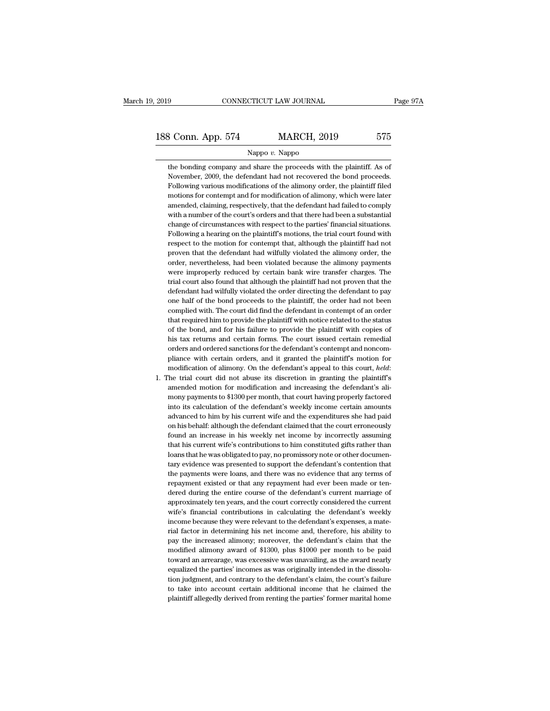### Nappo *v.* Nappo

the bonding company and share the proceeds with the plaintiff. As of<br>November, 2009, the defendant had not recovered the bond proceeds. November, 2009, the defendant had not recovered the bonding company and share the proceeds with the plaintiff. As of<br>November, 2009, the defendant had not recovered the bond proceeds.<br>Following various modifications of the Forland Schen, 2019 MARCH, 2019 575<br>
Nappo v. Nappo<br>
the bonding company and share the proceeds with the plaintiff. As of<br>
November, 2009, the defendant had not recovered the bond proceeds.<br>
Following various modifications Mappo  $v$ . Nappo<br>the bonding company and share the proceeds with the plaintiff. As of<br>November, 2009, the defendant had not recovered the bond proceeds.<br>Following various modifications of the alimony order, the plaintiff f Nappo v. Nappo<br>the bonding company and share the proceeds with the plaintiff. As of<br>November, 2009, the defendant had not recovered the bond proceeds.<br>Following various modifications of the alimony order, the plaintiff fil the bonding company and share the proceeds with the plaintiff. As of November, 2009, the defendant had not recovered the bond proceeds. Following various modifications of the alimony order, the plaintiff filed motions for November, 2009, the defendant had not recovered the bond proceeds.<br>Following various modifications of the alimony order, the plaintiff filed<br>motions for contempt and for modification of alimony, which were later<br>amended, c Following various modifications of the alimony order, the plaintiff filed motions for contempt and for modification of alimony, which were later amended, claiming, respectively, that the defendant had failed to comply with motions for contempt and for modification of alimony, which were later amended, claiming, respectively, that the defendant had failed to comply with a number of the court's orders and that there had been a substantial chan amended, claiming, respectively, that the defendant had failed to comply<br>with a number of the court's orders and that there had been a substantial<br>change of circumstances with respect to the parties' financial situations.<br> with a number of the court's orders and that there had been a substantial change of circumstances with respect to the parties' financial situations. Following a hearing on the plaintiff's motions, the trial court found wit change of circumstances with respect to the parties' financial situations.<br>Following a hearing on the plaintiff's motions, the trial court found with<br>respect to the motion for contempt that, although the plaintiff had not<br> Following a hearing on the plaintiff's motions, the trial court found with<br>respect to the motion for contempt that, although the plaintiff had not<br>proven that the defendant had wilfully violated the alimony order, the<br>orde respect to the motion for contempt that, although the plaintiff had not proven that the defendant had wilfully violated the alimony order, the order, nevertheless, had been violated because the alimony payments were improp proven that the defendant had wilfully violated the alimony order, the order, nevertheless, had been violated because the alimony payments were improperly reduced by certain bank wire transfer charges. The trial court also proven that the defendant had wilfully violated the alimony order, the order, nevertheless, had been violated because the alimony payments were improperly reduced by certain bank wire transfer charges. The trial court also were improperly reduced by certain bank wire transfer charges. The trial court also found that although the plaintiff had not proven that the defendant had wilfully violated the order directing the defendant to pay one hal trial court also found that although the plaintiff had not proven that the defendant had wilfully violated the order directing the defendant to pay one half of the bond proceeds to the plaintiff, the order had not been com defendant had wilfully violated the order directing the defendant to pay<br>one half of the bond proceeds to the plaintiff, the order had not been<br>complied with. The court did find the defendant in contempt of an order<br>that r one half of the bond proceeds to the plaintiff, the order had not been complied with. The court did find the defendant in contempt of an order that required him to provide the plaintiff with notice related to the status o complied with. The court did find the defendant in contempt of an order that required him to provide the plaintiff with notice related to the status of the bond, and for his failure to provide the plaintiff with copies of that required him to provide the plaintiff with notice related to the status of the bond, and for his failure to provide the plaintiff with copies of his tax returns and certain forms. The court issued certain remedial ord his tax returns and certain forms. The court issued certain remedial orders and ordered sanctions for the defendant's contempt and noncompliance with certain orders, and it granted the plaintiff's motion for modification

orders and ordered sanctions for the defendant's contempt and noncompliance with certain orders, and it granted the plaintiff's motion for modification of alimony. On the defendant's appeal to this court, *held*: the trial pliance with certain orders, and it granted the plaintiff's motion for modification of alimony. On the defendant's appeal to this court, *held*: the trial court did not abuse its discretion in granting the plaintiff's amen modification of alimony. On the defendant's appeal to this court, *held*:<br>The trial court did not abuse its discretion in granting the plaintiff's<br>amended motion for modification and increasing the defendant's ali-<br>mony pa The trial court did not abuse its discretion in granting the plaintiff's amended motion for modification and increasing the defendant's alimony payments to \$1300 per month, that court having properly factored into its calc amended motion for modification and increasing the defendant's ali-<br>mony payments to \$1300 per month, that court having properly factored<br>into its calculation of the defendant's weekly income certain amounts<br>advanced to hi mony payments to \$1300 per month, that court having properly factored<br>into its calculation of the defendant's weekly income certain amounts<br>advanced to him by his current wife and the expenditures she had paid<br>on his behal into its calculation of the defendant's weekly income certain amounts<br>advanced to him by his current wife and the expenditures she had paid<br>on his behalf: although the defendant claimed that the court erroneously<br>found an advanced to him by his current wife and the expenditures she had paid<br>on his behalf: although the defendant claimed that the court erroneously<br>found an increase in his weekly net income by incorrectly assuming<br>that his cur on his behalf: although the defendant claimed that the court erroneously found an increase in his weekly net income by incorrectly assuming that his current wife's contributions to him constituted gifts rather than loans t found an increase in his weekly net income by incorrectly assuming<br>that his current wife's contributions to him constituted gifts rather than<br>loans that he was obligated to pay, no promissory note or other documen-<br>tary ev that his current wife's contributions to him constituted gifts rather than loans that he was obligated to pay, no promissory note or other documentary evidence was presented to support the defendant's contention that the p loans that he was obligated to pay, no promissory note or other documentary evidence was presented to support the defendant's contention that the payment swere loans, and there was no evidence that any terms of repayment e tary evidence was presented to support the defendant's contention that<br>the payments were loans, and there was no evidence that any terms of<br>repayment existed or that any repayment had ever been made or ten-<br>dered during th tary evidence was presented to support the defendant's contention that<br>the payments were loans, and there was no evidence that any terms of<br>repayment existed or that any repayment had ever been made or ten-<br>dered during th repayment existed or that any repayment had ever been made or ten-<br>dered during the entire course of the defendant's current marriage of<br>approximately ten years, and the court correctly considered the current<br>wife's financ dered during the entire course of the defendant's current marriage of approximately ten years, and the court correctly considered the current wife's financial contributions in calculating the defendant's weekly income beca approximately ten years, and the court correctly considered the current wife's financial contributions in calculating the defendant's weekly income because they were relevant to the defendant's expenses, a material factor wife's financial contributions in calculating the defendant's weekly<br>income because they were relevant to the defendant's expenses, a mate-<br>rial factor in determining his net income and, therefore, his ability to<br>pay the i income because they were relevant to the defendant's expenses, a mate-<br>rial factor in determining his net income and, therefore, his ability to<br>pay the increased alimony; moreover, the defendant's claim that the<br>modified a rial factor in determining his net income and, therefore, his ability to pay the increased alimony; moreover, the defendant's claim that the modified alimony award of \$1300, plus \$1000 per month to be paid toward an arrear pay the increased alimony; moreover, the defendant's claim that the modified alimony award of \$1300, plus \$1000 per month to be paid toward an arrearage, was excessive was unavailing, as the award nearly equalized the part modified alimony award of \$1300, plus \$1000 per month to be paid<br>toward an arrearage, was excessive was unavailing, as the award nearly<br>equalized the parties' incomes as was originally intended in the dissolu-<br>tion judgmen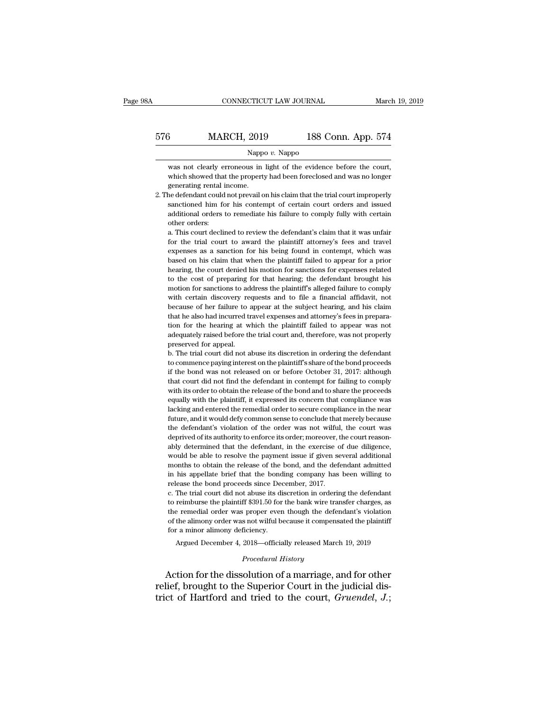|     | CONNECTICUT LAW JOURNAL |                    | March 19, 2019 |
|-----|-------------------------|--------------------|----------------|
| 576 | <b>MARCH, 2019</b>      | 188 Conn. App. 574 |                |
|     | Nappo $v$ . Nappo       |                    |                |

MARCH, 2019 188 Conn. App. 574<br>Nappo v. Nappo<br>was not clearly erroneous in light of the evidence before the court,<br>which showed that the property had been foreclosed and was no longer MARCH, 2019 188 Conn. App. 574<br>Nappo v. Nappo<br>was not clearly erroneous in light of the evidence before the court,<br>which showed that the property had been foreclosed and was no longer<br>generating rental income. MARCH, 2019<br>Napp was not clearly erroneous in<br>which showed that the propert<br>generating rental income.<br>he defendant could not prevail o Nappo v. Nappo<br>
Was not clearly erroneous in light of the evidence before the court,<br>
which showed that the property had been foreclosed and was no longer<br>
generating rental income.<br>
2. The defendant could not prevail on h

Nappo v. Nappo<br>was not clearly erroneous in light of the evidence before the court,<br>which showed that the property had been foreclosed and was no longer<br>generating rental income.<br>he defendant could not prevail on his claim was not clearly erroneous in light of the evidence before the court,<br>which showed that the property had been foreclosed and was no longer<br>generating rental income.<br>he defendant could not prevail on his claim that the trial which showed that<br>which showed that<br>generating rental is<br>actioned him for<br>additional orders<br>other orders:<br>a. This court declined are defendant could not previal on his claim that the trial court improperly<br>beneficial income.<br>a. This court declined to review the defendant's claim that it was unfair<br>other orders:<br>a. This court declined to review the d for the defendant could not prevail on his claim that the trial court improperly sanctioned him for his contempt of certain court orders and issued additional orders to remediate his failure to comply fully with certain ot

expenses as a sanction for his being found in contempt of extrain court of the and contempt open, sanctioned additional orders to remediate his failure to comply fully with certain other orders:<br>a. This court declined to r Based and orders to remediate his failure to comply fully with certain other orders.<br>a. This court declined to review the defendant's claim that it was unfair<br>for the trial court to award the plaintiff attorney's fees and dual orders:<br>a. This court declined to review the defendant's claim that it was unfair<br>for the trial court to award the plaintiff attorney's fees and travel<br>expenses as a sanction for his being found in contempt, which was a. This court declined to review the defendant's claim that it was unfair<br>for the trial court to award the plaintiff attorney's fees and travel<br>expenses as a sanction for his being found in contempt, which was<br>based on his motion for the trial court to award the plaintiff attorney's fees and travel<br>expenses as a sanction for his being found in contempt, which was<br>based on his claim that when the plaintiff failed to appear for a prior<br>hearing expenses as a sanction for his being found in contempt, which was based on his claim that when the plaintiff failed to appear for a prior hearing, the court denied his motion for sanctions for expenses related to the cost based on his claim that when the plaintiff failed to appear for a prior hearing, the court denied his motion for sanctions for expenses related to the cost of preparing for that hearing; the defendant brought his motion fo bearing, the court denied his motion for sanctions for expenses related to the cost of preparing for that hearing; the defendant brought his motion for sanctions to address the plaintiff's alleged failure to comply with ce the cost of preparing for that hearing; the defendant brought his<br>motion for sanctions to address the plaintiff's alleged failure to comply<br>with certain discovery requests and to file a financial affidavit, not<br>because of adequately raised before the trial court and, therefore, was not properly preserved for appear at the subject hearing, and his claim that he also had incurred travel expenses and attorney's fees in preparation for the hear modon for statedoms to all<br>with certain discovery re-<br>because of her failure to a<br>that he also had incurred train for the hearing at w<br>adequately raised before the<br>preserved for appeal. mate certain tascovery requests and to the definition in because of her failure to appear at the subject hearing, and his claim that he also had incurred travel expenses and attorney's fees in preparation for the hearing a that he also had incurred travel expenses and attorney's fees in preparation for the hearing at which the plaintiff failed to appear was not adequately raised before the trial court and, therefore, was not properly preserv

if the bond was not released on or before of failing to comply<br>the bond was not adequately raised before the trial court and, therefore, was not properly<br>preserved for appeal.<br>b. The trial court did not abuse its discretio and the defendant in the defendant in the defendant of the defendant of the trial court did not abuse its discretion in ordering the defendant to commence paying interest on the plaintiff's share of the bond proceeds if th mate provided and to share in the release of the bond proceeds.<br>
In the trial court did not abuse its discretion in ordering the defendant<br>
to commence paying interest on the plaintiff's share of the bond proceeds<br>
if the b. The trial court did not abuse its discretion in ordering the defendant to commence paying interest on the plaintiff's share of the bond proceeds if the bond was not released on or before October 31, 2017: although that be the bond was not release to understable in ordering the derivative to commence paying interest on the plaintiff's share of the bond proceeds if the bond was not released on or before October 31, 2017: although that cour f the bond was not released on or before October 31, 2017: although<br>that court did not find the defendant in contempt for failing to comply<br>with its order to obtain the release of the bond and to share the proceeds<br>equally The defendant of the defendant in contempt for failing to comply with its order to obtain the defendant in contempt for failing to comply with its order to obtain the release of the bond and to share the proceeds equally w deprived of its authority to enforce its order; moreover, the court reason-<br>depressed its concern that compliance was lacking and entered the remedial order to secure compliance in the near<br>future, and it would defy common equally with the plaintiff, it expressed its concern that compliance was lacking and entered the remedial order to secure compliance in the near future, and it would defy common sense to conclude that merely because the de equally with the plantin, it expressed as concern that compilance was lacking and entered the remedial order to secure compliance in the near future, and it would defy common sense to conclude that merely because the defen months to obtain the release of the bond, and the defendant admits the defendant's violation of the order was not wilful, the court was deprived of its authority to enforce its order; moreover, the court reasonably determi rature, and *n* would dely confinion sense to estimate and interety occluse the defendant's violation of the order was not wilful, the court was deprived of its authority to enforce its order; moreover, the court reasonabl deprived of its authority to enforce its order; moreover, the court reasonably determined that the defendant, in the exercise of due diligence, would be able to resolve the payment issue if given several additional months deprived of abutably defined that the defendant, in the exercise of due diligence, would be able to resolve the payment issue if given several additional months to obtain the release of the bond, and the defendant admitted the remedial order was proper even though the defendant's violational months to obtain the release of the bond, and the defendant admitted in his appellate brief that the bonding company has been willing to release the bon

the remedial order was proper even though the defendant admitted<br>in his appellate brief that the bonding company has been willing to<br>release the bond proceeds since December, 2017.<br>c. The trial court did not abuse its disc in his appellate brief that the bonding company has been willing to release the bond proceeds since December, 2017.<br>
c. The trial court did not abuse its discretion in ordering the defendant to reimburse the plaintiff \$391 release the bond proceeds since December, 2017.<br>
c. The trial court did not abuse its discretion in ordering the defendant<br>
to reimburse the plaintiff \$391.50 for the bank wire transfer charges, as<br>
the remedial order was The trial court did not abuse its discretion in ordering the defendant<br>reimburse the plaintiff \$391.50 for the bank wire transfer charges, as<br>e remedial order was proper even though the defendant's violation<br>the alimony or the remedial order was proper even though the defendant's violation<br>of the alimony order was not wilful because it compensated the plaintiff<br>for a minor alimony deficiency.<br>Argued December 4, 2018—officially released March to reimburse the plaintiff \$391.50 for the bank wire transfer charges, as<br>the remedial order was proper even though the defendant's violation<br>of the alimony order was not wilful because it compensated the plaintiff<br>for a

relief, brought to the Superior Court in the judicial district of Hartford and tried to the court, *Gruendel*, *J*.;<br>the Superior Court in the judicial district of Hartford and tried to the court, *Gruendel*, *J*.; trict and minor alimony deficiency.<br>
Argued December 4, 2018—officially released March 19, 2019<br> *Procedural History*<br>
Action for the dissolution of a marriage, and for other<br>
relief, brought to the Superior Court in the j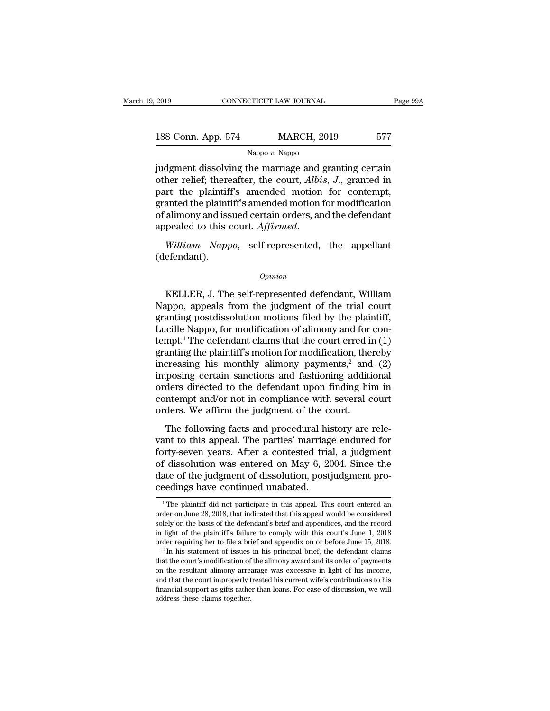| 2019               | CONNECTICUT LAW JOURNAL | Page 99A |
|--------------------|-------------------------|----------|
| 188 Conn. App. 574 | <b>MARCH, 2019</b>      | 577      |
|                    | Nappo $v$ . Nappo       |          |

2019 CONNECTICUT LAW JOURNAL Page 99A<br>
188 Conn. App. 574 MARCH, 2019 577<br>
Nappo v. Nappo<br>
judgment dissolving the marriage and granting certain<br>
other relief; thereafter, the court, *Albis*, *J*., granted in 188 Conn. App. 574 MARCH, 2019 577<br>
Nappo v. Nappo<br>
judgment dissolving the marriage and granting certain<br>
other relief; thereafter, the court, *Albis*, *J*., granted in<br>
part the plaintiff's amended motion for contempt,<br> 188 Conn. App. 574 MARCH, 2019 577<br>
Nappo v. Nappo<br>
judgment dissolving the marriage and granting certain<br>
other relief; thereafter, the court, Albis, J., granted in<br>
part the plaintiff's amended motion for contempt,<br>
gra 188 Conn. App. 574 MARCH, 2019 577<br>
Nappo v. Nappo<br>
judgment dissolving the marriage and granting certain<br>
other relief; thereafter, the court, *Albis*, *J*., granted in<br>
part the plaintiff's amended motion for contempt,<br> Nappo v. Nappo<br>
judgment dissolving the marriage and granting certain<br>
other relief; thereafter, the court, *Albis*, *J*., granted in<br>
part the plaintiff's amended motion for contempt,<br>
granted the plaintiff's amended mot Nappo v. Nappo<br>judgment dissolving the marriage and granting certain<br>other relief; thereafter, the court, *Albis*, *J*., granted in<br>part the plaintiff's amended motion for contempt,<br>granted the plaintiff's amended motion f

(defendant).

### *Opinion*

pealed to this court. *Affirmed*.<br>
William Nappo, self-represented, the appellant<br>
efendant).<br>
Opinion<br>
KELLER, J. The self-represented defendant, William<br>
uppo, appeals from the judgment of the trial court<br>
anting postdis William Nappo, self-represented, the appellant<br>
(defendant).<br>
Opinion<br>
KELLER, J. The self-represented defendant, William<br>
Nappo, appeals from the judgment of the trial court<br>
granting postdissolution motions filed by the William Nappo, self-represented, the appellant<br>
(defendant).<br>  $\qquad$ <br>
KELLER, J. The self-represented defendant, William<br>
Nappo, appeals from the judgment of the trial court<br>
granting postdissolution motions filed by the p (defendant).<br>  $\qquad$ <br>  $\qquad$  William<br>
KELLER, J. The self-represented defendant, William<br>
Nappo, appeals from the judgment of the trial court<br>
granting postdissolution motions filed by the plaintiff,<br>
Lucille Nappo, for mod **EXELTER, J. The self-represented defendant, William Nappo, appeals from the judgment of the trial court granting postdissolution motions filed by the plaintiff, Lucille Nappo, for modification of alimony and for contempt** KELLER, J. The self-represented defendant, William<br>Nappo, appeals from the judgment of the trial court<br>granting postdissolution motions filed by the plaintiff,<br>Lucille Nappo, for modification of alimony and for con-<br>tempt KELLER, J. The self-represented defendant, William<br>Nappo, appeals from the judgment of the trial court<br>granting postdissolution motions filed by the plaintiff,<br>Lucille Nappo, for modification of alimony and for con-<br>tempt Nappo, appeals from the judgment of the trial court<br>granting postdissolution motions filed by the plaintiff,<br>Lucille Nappo, for modification of alimony and for con-<br>tempt.<sup>1</sup> The defendant claims that the court erred in ( granting postdissolution motions filed by the plaintiff,<br>Lucille Nappo, for modification of alimony and for con-<br>tempt.<sup>1</sup> The defendant claims that the court erred in (1)<br>granting the plaintiff's motion for modification, Lucille Nappo, for modification of alimony and for con-<br>tempt.<sup>1</sup> The defendant claims that the court erred in (1)<br>granting the plaintiff's motion for modification, thereby<br>increasing his monthly alimony payments,<sup>2</sup> and tempt.<sup>1</sup> The defendant claims that the court erred in granting the plaintiff's motion for modification, the increasing his monthly alimony payments,<sup>2</sup> and imposing certain sanctions and fashioning additiorders directed The following factor of modification, access<br>treasing his monthly alimony payments,<sup>2</sup> and (2)<br>posing certain sanctions and fashioning additional<br>ders directed to the defendant upon finding him in<br>ntempt and/or not in com imposing certain sanctions and fashioning additional<br>orders directed to the defendant upon finding him in<br>contempt and/or not in compliance with several court<br>orders. We affirm the judgment of the court.<br>The following fac

miposing ecreant salectors and rashforing additional<br>orders directed to the defendant upon finding him in<br>contempt and/or not in compliance with several court<br>orders. We affirm the judgment of the court.<br>The following fact ontempt and/or not in compliance with several court<br>orders. We affirm the judgment of the court.<br>The following facts and procedural history are rele-<br>vant to this appeal. The parties' marriage endured for<br>forty-seven years orders. We affirm the judgment of the court.<br>The following facts and procedural history are rele-<br>vant to this appeal. The parties' marriage endured for<br>forty-seven years. After a contested trial, a judgment<br>of dissolution The following facts and procedural his<br>vant to this appeal. The parties' marriag<br>forty-seven years. After a contested tria<br>of dissolution was entered on May 6, 20<br>date of the judgment of dissolution, post<br>ceedings have con In the plantiff did not participate in this appeal. This court entered and the plaintiff did not participate in this appeal. This court entered and the plaintiff did not participate in this appeal. This court entered and t order of the judgment of dissolution, postjudgment proceedings have continued unabated.<br>
The plaintiff did not participate in this appeal. This court entered an order on June 28, 2018, that indicated that this appeal woul

date of the judgment of dissolution, postjudgment proceedings have continued unabated.<br>
<sup>1</sup>The plaintiff did not participate in this appeal. This court entered and order on June 28, 2018, that indicated that this appeal wo in light of the plaintiff's failure to comply with this court's June 1, 2018<br>order on June 28, 2018, that indicated that this appeal would be considered<br>solely on the basis of the defendant's brief and appendices, and the The plaintiff did not participate in this appeal. This court entered an order on June 28, 2018, that indicated that this appeal would be considered solely on the basis of the defendant's brief and appendices, and the reco <sup>1</sup> The plaintiff did not participate in this appeal. This court entered an order on June 28, 2018, that indicated that this appeal would be considered solely on the basis of the defendant's brief and appendices, and the order requiring her to file a brief and appendix on or before June 15, 2018.

solely on the basis of the defendant's brief and appendices, and the record<br>in light of the plaintiff's failure to comply with this court's June 1, 2018<br>order requiring her to file a brief and appendix on or before June 1 in light of the plaintiff's failure to comply with this court's June 1, 2018 order requiring her to file a brief and appendix on or before June 15, 2018.<br><sup>2</sup> In his statement of issues in his principal brief, the defendan that the court's modification of the alimony award and its order of payments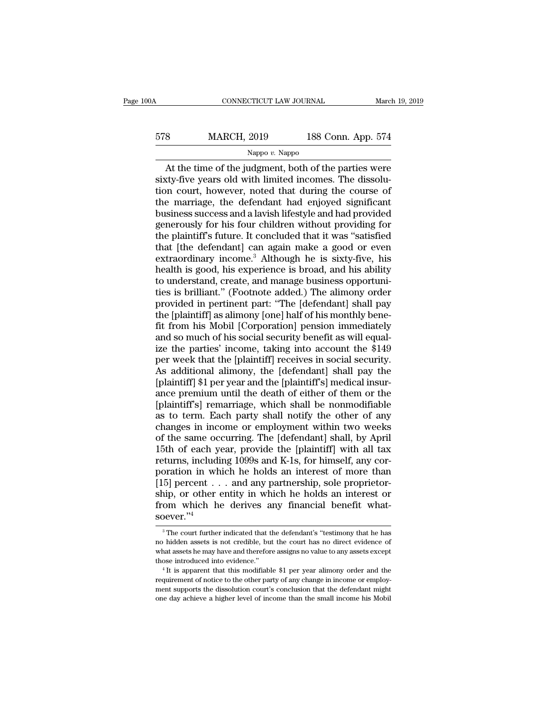## CONNECTICUT LAW JOURNAL March 19, 2019<br>578 MARCH, 2019 188 Conn. App. 574<br>Nappo v. Nappo Nappo *v.* Nappo

CONNECTICUT LAW JOURNAL March 19, 2019<br>
At the time of the judgment, both of the parties were<br>
At the time of the judgment, both of the parties were<br>
ty-five years old with limited incomes. The dissolu-<br>
Neutral however no  $\begin{array}{r} \text{578} & \text{MARCH, 2019} & \text{188 Conn. App. 574} \\ \hline \text{Nappo } v. \text{Nappo} \\ \text{At the time of the judgment, both of the parties were sixty-five years old with limited incomes. The dissolution court, however, noted that during the course of the marriage, the defendant had enjoyed significant.} \end{array}$  $\frac{\text{MARCH}}{\text{Nappo } v. \text{ Nappo}}$ <br>
At the time of the judgment, both of the parties were<br>
sixty-five years old with limited incomes. The dissolu-<br>
tion court, however, noted that during the course of<br>
the marriage, the defendant 578 MARCH, 2019 188 Conn. App. 574<br>
Nappo v. Nappo<br>
At the time of the judgment, both of the parties were<br>
sixty-five years old with limited incomes. The dissolu-<br>
tion court, however, noted that during the course of<br>
the Business Marteri, 2019<br>
Nappo v. Nappo<br>
At the time of the judgment, both of the parties were<br>
sixty-five years old with limited incomes. The dissolu-<br>
tion court, however, noted that during the course of<br>
the marriage, t Nappo v. Nappo<br>At the time of the judgment, both of the parties were<br>sixty-five years old with limited incomes. The dissolu-<br>tion court, however, noted that during the course of<br>the marriage, the defendant had enjoyed sig At the time of the judgment, both of the parties were<br>sixty-five years old with limited incomes. The dissolu-<br>tion court, however, noted that during the course of<br>the marriage, the defendant had enjoyed significant<br>busines sixty-five years old with limited incomes. The dissolution court, however, noted that during the course of the marriage, the defendant had enjoyed significant business success and a lavish lifestyle and had provided genero tion court, however, noted that during the course of<br>the marriage, the defendant had enjoyed significant<br>business success and a lavish lifestyle and had provided<br>generously for his four children without providing for<br>the p the marriage, the defendant had enjoyed significant<br>business success and a lavish lifestyle and had provided<br>generously for his four children without providing for<br>the plaintiff's future. It concluded that it was "satisfie business success and a lavish lifestyle and had provided<br>generously for his four children without providing for<br>the plaintiff's future. It concluded that it was "satisfied<br>that [the defendant] can again make a good or even generously for his four children without providing for<br>the plaintiff's future. It concluded that it was "satisfied<br>that [the defendant] can again make a good or even<br>extraordinary income.<sup>3</sup> Although he is sixty-five, his<br> the plaintiff's future. It concluded that it was "satisfied<br>that [the defendant] can again make a good or even<br>extraordinary income.<sup>3</sup> Although he is sixty-five, his<br>health is good, his experience is broad, and his abilit that [the defendant] can again make a good or even<br>extraordinary income.<sup>3</sup> Although he is sixty-five, his<br>health is good, his experience is broad, and his ability<br>to understand, create, and manage business opportuni-<br>ties extraordinary income.<sup>3</sup> Although he is sixty-five, his<br>health is good, his experience is broad, and his ability<br>to understand, create, and manage business opportuni-<br>ties is brilliant." (Footnote added.) The alimony order health is good, his experience is broad, and his ability<br>to understand, create, and manage business opportuni-<br>ties is brilliant." (Footnote added.) The alimony order<br>provided in pertinent part: "The [defendant] shall pay<br> to understand, create, and manage business opportuni-<br>ties is brilliant." (Footnote added.) The alimony order<br>provided in pertinent part: "The [defendant] shall pay<br>the [plaintiff] as alimony [one] half of his monthly bene ties is brilliant." (Footnote added.) The alimony order<br>provided in pertinent part: "The [defendant] shall pay<br>the [plaintiff] as alimony [one] half of his monthly bene-<br>fit from his Mobil [Corporation] pension immediately provided in pertinent part: "The [defendant] shall pay<br>the [plaintiff] as alimony [one] half of his monthly bene-<br>fit from his Mobil [Corporation] pension immediately<br>and so much of his social security benefit as will equa the [plaintiff] as alimony [one] half of his monthly bene-<br>fit from his Mobil [Corporation] pension immediately<br>and so much of his social security benefit as will equal-<br>ize the parties' income, taking into account the \$14 fit from his Mobil [Corporation] pension immediately<br>and so much of his social security benefit as will equal-<br>ize the parties' income, taking into account the \$149<br>per week that the [plaintiff] receives in social security and so much of his social security benefit as will equal-<br>ize the parties' income, taking into account the \$149<br>per week that the [plaintiff] receives in social security.<br>As additional alimony, the [defendant] shall pay th ize the parties' income, taking into account the \$149<br>per week that the [plaintiff] receives in social security.<br>As additional alimony, the [defendant] shall pay the<br>[plaintiff] \$1 per year and the [plaintiff's] medical in per week that the [plaintiff] receives in social security.<br>As additional alimony, the [defendant] shall pay the<br>[plaintiff] \$1 per year and the [plaintiff's] medical insur-<br>ance premium until the death of either of them or As additional alimony, the [defendant] shall pay the<br>[plaintiff] \$1 per year and the [plaintiff's] medical insur-<br>ance premium until the death of either of them or the<br>[plaintiff's] remarriage, which shall be nonmodifiable [plaintiff] \$1 per year and the [plaintiff's] medical insurance premium until the death of either of them or the [plaintiff's] remarriage, which shall be nonmodifiable as to term. Each party shall notify the other of any c returns, including 1099s and K-1s, for himself properties.<br>
Internal plaintiff's] remarriage, which shall be nonmodifiable<br>
as to term. Each party shall notify the other of any<br>
changes in income or employment within two w [plaintiff's] remarriage, which shall be nonmodifiable<br>as to term. Each party shall notify the other of any<br>changes in income or employment within two weeks<br>of the same occurring. The [defendant] shall, by April<br>15th of ea as to term. Each party shall notify the other of any<br>changes in income or employment within two weeks<br>of the same occurring. The [defendant] shall, by April<br>15th of each year, provide the [plaintiff] with all tax<br>returns, changes in income or employment within two weeks<br>of the same occurring. The [defendant] shall, by April<br>15th of each year, provide the [plaintiff] with all tax<br>returns, including 1099s and K-1s, for himself, any cor-<br>pora of the same occurring. The [defendant] shall, by April 15th of each year, provide the [plaintiff] with all tax returns, including 1099s and K-1s, for himself, any corporation in which he holds an interest of more than [15 soever.''<sup>4</sup> 5] percent  $\ldots$  and any partnership, sole proprietor-<br>ip, or other entity in which he holds an interest or<br>om which he derives any financial benefit what-<br> $\frac{1}{2}$ <br> $\frac{1}{2}$ . The court further indicated that the defenda ship, or other entity in which he holds an interest or<br>from which he derives any financial benefit what-<br>soever."<sup>4</sup><br><sup>3</sup>The court further indicated that the defendant's "testimony that he has<br>no hidden assets is not credib

from which he derives any financial benefit what-<br>soever."<sup>4</sup><br> $\frac{3}{\pi}$ The court further indicated that the defendant's "testimony that he has<br>no hidden assets is not credible, but the court has no direct evidence of<br>wha SOEVET."<sup>4</sup><br>
<sup>3</sup> The court further indicated that the defendant's "testimony that he has<br>
no hidden assets is not credible, but the court has no direct evidence of<br>
what assets he may have and therefore assigns no value to  $^3$  The court further indicated that the defendant's "testimony that he has no hidden assets is not credible, but the court has no direct evidence of what assets he may have and therefore assigns no value to any assets e what assets he may have and therefore assigns no value to any assets except

ment supports in the dissolution court has no direct evidence of<br>what assets is not credible, but the court has no direct evidence of<br>what assets he may have and therefore assigns no value to any assets except<br>those introd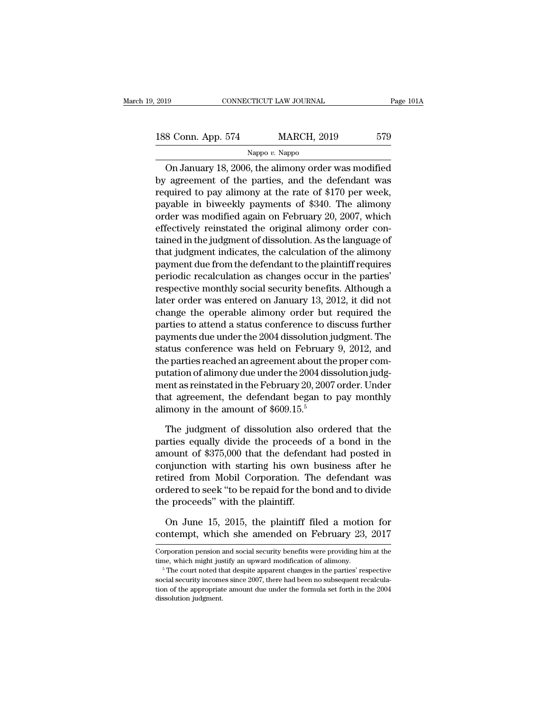2019 CONNECTICUT LAW JOURNAL Page 101A<br>188 Conn. App. 574 MARCH, 2019 579<br>Nappo v. Nappo

### Nappo *v.* Nappo

CONNECTICUT LAW JOURNAL Page 101A<br>
8 Conn. App. 574 MARCH, 2019 579<br>
Nappo v. Nappo<br>
On January 18, 2006, the alimony order was modified<br>
agreement of the parties, and the defendant was 188 Conn. App. 574 MARCH, 2019 579<br>Nappo v. Nappo<br>On January 18, 2006, the alimony order was modified<br>by agreement of the parties, and the defendant was<br>required to pay alimony at the rate of \$170 per week, 188 Conn. App. 574 MARCH, 2019 579<br>Nappo v. Nappo<br>On January 18, 2006, the alimony order was modified<br>by agreement of the parties, and the defendant was<br>required to pay alimony at the rate of \$170 per week,<br>payable in biw 188 Conn. App. 574 MARCH, 2019 579<br>
Nappo v. Nappo<br>
On January 18, 2006, the alimony order was modified<br>
by agreement of the parties, and the defendant was<br>
required to pay alimony at the rate of \$170 per week,<br>
payable i Nappo v. Nappo<br>On January 18, 2006, the alimony order was modified<br>by agreement of the parties, and the defendant was<br>required to pay alimony at the rate of \$170 per week,<br>payable in biweekly payments of \$340. The alimony On January 18, 2006, the alimony order was modified<br>by agreement of the parties, and the defendant was<br>required to pay alimony at the rate of \$170 per week,<br>payable in biweekly payments of \$340. The alimony<br>order was modi On January 18, 2006, the alimony order was modified<br>by agreement of the parties, and the defendant was<br>required to pay alimony at the rate of \$170 per week,<br>payable in biweekly payments of \$340. The alimony<br>order was modif by agreement of the parties, and the defendant was<br>required to pay alimony at the rate of \$170 per week,<br>payable in biweekly payments of \$340. The alimony<br>order was modified again on February 20, 2007, which<br>effectively re required to pay alimony at the rate of \$170 per week,<br>payable in biweekly payments of \$340. The alimony<br>order was modified again on February 20, 2007, which<br>effectively reinstated the original alimony order con-<br>tained in payable in biweekly payments of \$340. The alimony<br>order was modified again on February 20, 2007, which<br>effectively reinstated the original alimony order con-<br>tained in the judgment of dissolution. As the language of<br>that j order was modified again on February 20, 2007, which<br>effectively reinstated the original alimony order con-<br>tained in the judgment of dissolution. As the language of<br>that judgment indicates, the calculation of the alimony<br> effectively reinstated the original alimony order con-<br>tained in the judgment of dissolution. As the language of<br>that judgment indicates, the calculation of the alimony<br>payment due from the defendant to the plaintiff requi tained in the judgment of dissolution. As the language of<br>that judgment indicates, the calculation of the alimony<br>payment due from the defendant to the plaintiff requires<br>periodic recalculation as changes occur in the part that judgment indicates, the calculation of the alimony<br>payment due from the defendant to the plaintiff requires<br>periodic recalculation as changes occur in the parties'<br>respective monthly social security benefits. Although payment due from the defendant to the plaintiff requires<br>periodic recalculation as changes occur in the parties'<br>respective monthly social security benefits. Although a<br>later order was entered on January 13, 2012, it did n periodic recalculation as changes occur in the parties'<br>respective monthly social security benefits. Although a<br>later order was entered on January 13, 2012, it did not<br>change the operable alimony order but required the<br>par respective monthly social security benefits. Although a<br>later order was entered on January 13, 2012, it did not<br>change the operable alimony order but required the<br>parties to attend a status conference to discuss further<br>pa later order was entered on January 13, 2012, it did not<br>change the operable alimony order but required the<br>parties to attend a status conference to discuss further<br>payments due under the 2004 dissolution judgment. The<br>stat change the operable alimony order but required the<br>parties to attend a status conference to discuss further<br>payments due under the 2004 dissolution judgment. The<br>status conference was held on February 9, 2012, and<br>the par parties to attend a status conference to discuss further<br>payments due under the 2004 dissolution judgment. The<br>status conference was held on February 9, 2012, and<br>the parties reached an agreement about the proper com-<br>puta payments due under the 2004 dissolution jumps at also conference was held on February<br>the parties reached an agreement about the<br>putation of alimony due under the 2004 dis<br>ment as reinstated in the February 20, 2007<br>that a e parties reached an agreement about the proper com-<br>tation of alimony due under the 2004 dissolution judg-<br>ent as reinstated in the February 20, 2007 order. Under<br>at agreement, the defendant began to pay monthly<br>mony in t putation of alimony due under the 2004 dissolution judgment as reinstated in the February 20, 2007 order. Under<br>that agreement, the defendant began to pay monthly<br>alimony in the amount of \$609.15.<sup>5</sup><br>The judgment of dissol

ment as reinstated in the February 20, 2007 order. Under<br>that agreement, the defendant began to pay monthly<br>alimony in the amount of \$609.15.<sup>5</sup><br>The judgment of dissolution also ordered that the<br>parties equally divide the that agreement, the defendant began to pay monthly<br>alimony in the amount of  $$609.15.<sup>5</sup>$ <br>The judgment of dissolution also ordered that the<br>parties equally divide the proceeds of a bond in the<br>amount of  $$375,000$  that alimony in the amount of \$609.15.<sup>5</sup><br>The judgment of dissolution also ordered that the<br>parties equally divide the proceeds of a bond in the<br>amount of \$375,000 that the defendant had posted in<br>conjunction with starting his The judgment of dissolution also ordered that the<br>parties equally divide the proceeds of a bond in the<br>amount of \$375,000 that the defendant had posted in<br>conjunction with starting his own business after he<br>retired from Mo The judgment of dissolution also<br>parties equally divide the proceeds<br>amount of \$375,000 that the defenda<br>conjunction with starting his own b<br>retired from Mobil Corporation. The<br>ordered to seek "to be repaid for the b<br>the p nount of \$375,000 that the defendant had posted in<br>mjunction with starting his own business after he<br>tired from Mobil Corporation. The defendant was<br>dered to seek "to be repaid for the bond and to divide<br>e proceeds" with t conjunction with starting his own business after he<br>retired from Mobil Corporation. The defendant was<br>ordered to seek "to be repaid for the bond and to divide<br>the proceeds" with the plaintiff.<br>On June 15, 2015, the plainti

the proceeds" with the plaintiff.<br>
On June 15, 2015, the plaintiff filed a motion for<br>
contempt, which she amended on February 23, 2017<br>
Corporation pension and social security benefits were providing him at the<br>
time, whi On June 15, 2015, the plaintiff filed a motion for contempt, which she amended on February 23, 2017<br>Corporation pension and social security benefits were providing him at the time, which might justify an upward modificati

contempt, which she amended on February 23, 2017<br>Corporation pension and social security benefits were providing him at the<br>time, which might justify an upward modification of alimony.<br><sup>5</sup> The court noted that despite appa Corntentipt, which site antiended on Pebruary 25, 2017<br>Corporation pension and social security benefits were providing him at the<br>time, which might justify an upward modification of alimony.<br><sup>5</sup> The court noted that despit Corporation pension and social security benefits were providing him at the time, which might justify an upward modification of alimony.<br>  $\frac{5}{10}$  The court noted that despite apparent changes in the parties' respective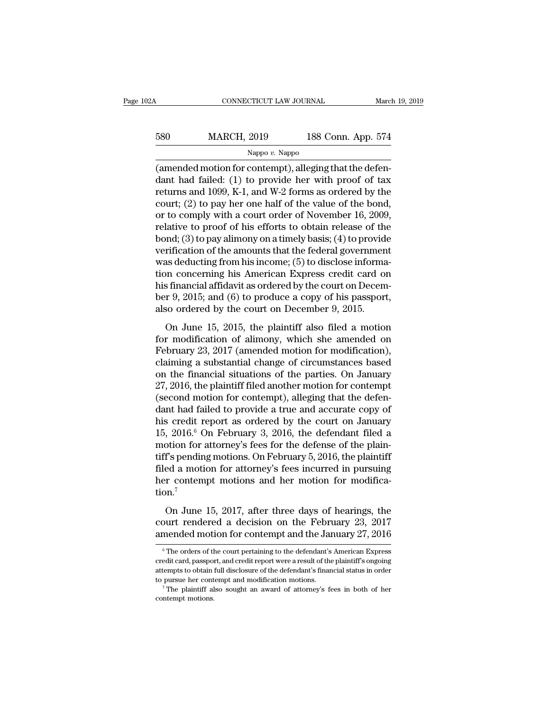| )2A | CONNECTICUT LAW JOURNAL |                    | March 19, 2019 |
|-----|-------------------------|--------------------|----------------|
| 580 | <b>MARCH, 2019</b>      | 188 Conn. App. 574 |                |
|     | Nappo $v$ . Nappo       |                    |                |

CONNECTICUT LAW JOURNAL March March (1996)<br>
MARCH, 2019 188 Conn. App. 574<br>
Nappo v. Nappo<br>
(amended motion for contempt), alleging that the defen-<br>
dant had failed: (1) to provide her with proof of tax<br>
roturns and 1000 K 580 MARCH, 2019 188 Conn. App. 574<br>
Nappo v. Nappo<br>
(amended motion for contempt), alleging that the defendant had failed: (1) to provide her with proof of tax<br>
returns and 1099, K-1, and W-2 forms as ordered by the<br>
cour For the MARCH, 2019 and 188 Conn. App. 574<br>  $\frac{\text{Nappo } v. \text{ Nappo}}{\text{(amended motion for content)}}, \text{alleging that the defendant had failed: (1) to provide her with proof of tax returns and 1099, K-1, and W-2 forms as ordered by the court; (2) to pay her one half of the value of the bond, or to comply with a court order of November 16–2000.}$ 580 MARCH, 2019 188 Conn. App. 574<br>
Nappo v. Nappo<br>
(amended motion for contempt), alleging that the defendant had failed: (1) to provide her with proof of tax<br>
returns and 1099, K-1, and W-2 forms as ordered by the<br>
cour Nappo v. Nappo<br>
(amended motion for contempt), alleging that the defendant had failed: (1) to provide her with proof of tax<br>
returns and 1099, K-1, and W-2 forms as ordered by the<br>
court; (2) to pay her one half of the va relative to provide the mounts that the form of the mounts that the defendant had failed: (1) to provide her with proof of tax<br>returns and 1099, K-1, and W-2 forms as ordered by the<br>court; (2) to pay her one half of the v (amended motion for contempt), alleging that the defendant had failed: (1) to provide her with proof of tax<br>returns and 1099, K-1, and W-2 forms as ordered by the<br>court; (2) to pay her one half of the value of the bond,<br>o dant had failed: (1) to provide her with proof of tax<br>returns and 1099, K-1, and W-2 forms as ordered by the<br>court; (2) to pay her one half of the value of the bond,<br>or to comply with a court order of November 16, 2009,<br>re returns and 1099, K-1, and W-2 forms as ordered by the court; (2) to pay her one half of the value of the bond, or to comply with a court order of November 16, 2009, relative to proof of his efforts to obtain release of th court; (2) to pay her one half of the value of the bond,<br>or to comply with a court order of November 16, 2009,<br>relative to proof of his efforts to obtain release of the<br>bond; (3) to pay alimony on a timely basis; (4) to p or to comply with a court order of November 16, 2009,<br>relative to proof of his efforts to obtain release of the<br>bond; (3) to pay alimony on a timely basis; (4) to provide<br>verification of the amounts that the federal gover relative to proof of his efforts to obtain release of the<br>bond; (3) to pay alimony on a timely basis; (4) to provide<br>verification of the amounts that the federal government<br>was deducting from his income; (5) to disclose in bond; (3) to pay alimony on a timely basis; (4) to provid<br>verification of the amounts that the federal governmen<br>was deducting from his income; (5) to disclose informa<br>tion concerning his American Express credit card on<br>hi Encurrent of the antiomals and the redering government<br>as deducting from his income; (5) to disclose informa-<br>on concerning his American Express credit card on<br>s financial affidavit as ordered by the court on Decem-<br>r 9, mas accureing nontrins income, (e) to discrete internal<br>tion concerning his American Express credit card on<br>his financial affidavit as ordered by the court on Decem-<br>ber 9, 2015; and (6) to produce a copy of his passport,

Francial affidavit as ordered by the court on December 9, 2015; and (6) to produce a copy of his passport, also ordered by the court on December 9, 2015.<br>On June 15, 2015, the plaintiff also filed a motion for modificatio Fig. 2015; and (6) to produce a copy of his passport,<br>also ordered by the court on December 9, 2015.<br>On June 15, 2015, the plaintiff also filed a motion<br>for modification of alimony, which she amended on<br>February 23, 2017 on the financial situations of the parties. On June 15, 2015, the plaintiff also filed a motion<br>for modification of alimony, which she amended on<br>February 23, 2017 (amended motion for modification),<br>claiming a substantial 27, 2016, the plaintiff also filed a motion<br>for modification of alimony, which she amended on<br>February 23, 2017 (amended motion for modification),<br>claiming a substantial change of circumstances based<br>on the financial situ On June 15, 2015, the plaintiff also filed a motion<br>for modification of alimony, which she amended on<br>February 23, 2017 (amended motion for modification),<br>claiming a substantial change of circumstances based<br>on the financi for modification of alimony, which she amended on<br>February 23, 2017 (amended motion for modification),<br>claiming a substantial change of circumstances based<br>on the financial situations of the parties. On January<br>27, 2016, February 23, 2017 (amended motion for modification),<br>claiming a substantial change of circumstances based<br>on the financial situations of the parties. On January<br>27, 2016, the plaintiff filed another motion for contempt<br>(se claiming a substantial change of circumstances based<br>on the financial situations of the parties. On January<br>27, 2016, the plaintiff filed another motion for contempt<br>(second motion for contempt), alleging that the defen-<br>d on the financial situations of the parties. On January 27, 2016, the plaintiff filed another motion for contempt (second motion for contempt), alleging that the defendant had failed to provide a true and accurate copy of 27, 2016, the plaintiff filed another motion for contempt<br>(second motion for contempt), alleging that the defen-<br>dant had failed to provide a true and accurate copy of<br>his credit report as ordered by the court on January<br> (second motion for contempt), alleging that the defen-<br>dant had failed to provide a true and accurate copy of<br>his credit report as ordered by the court on January<br>15, 2016.<sup>6</sup> On February 3, 2016, the defendant filed a<br>mo dant had failed to provide a true and accurate copy of<br>his credit report as ordered by the court on January<br>15, 2016.<sup>6</sup> On February 3, 2016, the defendant filed a<br>motion for attorney's fees for the defense of the plain-<br> tion.<sup>7</sup> orion for attorney's fees for the defense of the plain-<br>
f's pending motions. On February 5, 2016, the plaintiff<br>
ed a motion for attorney's fees incurred in pursuing<br>
r contempt motions and her motion for modifica-<br>
n.<sup>7</sup> tiff's pending motions. On February 5, 2016, the plaintiff<br>filed a motion for attorney's fees incurred in pursuing<br>her contempt motions and her motion for modifica-<br>tion.<sup>7</sup><br>On June 15, 2017, after three days of hearings, filed a motion for attorney's fees incurred in pursuing<br>ther contempt motions and her motion for modifica-<br>tion.<sup>7</sup><br>On June 15, 2017, after three days of hearings, the<br>court rendered a decision on the February 23, 2017<br>am

On June 15, 2017, after three days of hearings, the<br>ourt rendered a decision on the February 23, 2017<br>mended motion for contempt and the January 27, 2016<br><sup>6</sup>The orders of the court pertaining to the defendant's American E On June 15, 2017, after three days of hearings, the<br>court rendered a decision on the February 23, 2017<br>amended motion for contempt and the January 27, 2016<br> $\frac{1}{6}$ The orders of the court pertaining to the defendant's Am

court rendered a decision on the February 23, 2017<br>amended motion for contempt and the January 27, 2016<br> $\frac{1}{\pi}$  The orders of the court pertaining to the defendant's American Express<br>credit card, passport, and credit r The pursue of the contempt and the January 27, 2016<br>
<sup>6</sup> The orders of the court pertaining to the defendant's American Express<br>
credit card, passport, and credit report were a result of the plaintiff's ongoing<br>
attempts t  $^\mathrm{6}$  The orders of the court pertaining to the defendant's American Express credit card, passport, and credit report were a result of the plaintiff's ongoing attempts to obtain full disclosure of the defendant's financ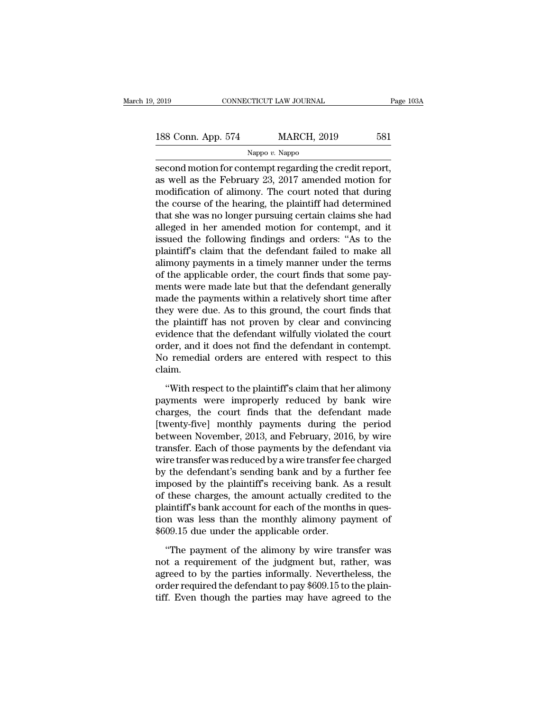| 2019               | CONNECTICUT LAW JOURNAL |                    | Page 103A |
|--------------------|-------------------------|--------------------|-----------|
| 188 Conn. App. 574 |                         | <b>MARCH, 2019</b> | 581       |
|                    | Nappo $v$ . Nappo       |                    |           |

Fage 10<br>
second motion for contempt regarding the credit report,<br>
as well as the February 23, 2017 amended motion for<br>
modification of climony. The court noted that during 188 Conn. App. 574 MARCH, 2019 581<br>
Nappo v. Nappo<br>
second motion for contempt regarding the credit report,<br>
as well as the February 23, 2017 amended motion for<br>
modification of alimony. The court noted that during<br>
the co 188 Conn. App. 574 MARCH, 2019 581<br>
Nappo v. Nappo<br>
second motion for contempt regarding the credit report,<br>
as well as the February 23, 2017 amended motion for<br>
modification of alimony. The court noted that during<br>
the c 188 Conn. App. 574 MARCH, 2019 581<br>
Nappo v. Nappo<br>
second motion for contempt regarding the credit report,<br>
as well as the February 23, 2017 amended motion for<br>
modification of alimony. The court noted that during<br>
the c Nappo v. Nappo<br>second motion for contempt regarding the credit report,<br>as well as the February 23, 2017 amended motion for<br>modification of alimony. The court noted that during<br>the course of the hearing, the plaintiff had second motion for contempt regarding the credit report,<br>as well as the February 23, 2017 amended motion for<br>modification of alimony. The court noted that during<br>the course of the hearing, the plaintiff had determined<br>that second motion for contempt regarding the credit report,<br>as well as the February 23, 2017 amended motion for<br>modification of alimony. The court noted that during<br>the course of the hearing, the plaintiff had determined<br>that as well as the February 23, 2017 amended motion for<br>modification of alimony. The court noted that during<br>the course of the hearing, the plaintiff had determined<br>that she was no longer pursuing certain claims she had<br>allege modification of alimony. The court noted that during<br>the course of the hearing, the plaintiff had determined<br>that she was no longer pursuing certain claims she had<br>alleged in her amended motion for contempt, and it<br>issued the course of the hearing, the plaintiff had determined<br>that she was no longer pursuing certain claims she had<br>alleged in her amended motion for contempt, and it<br>issued the following findings and orders: "As to the<br>plainti that she was no longer pursuing certain claims she had<br>alleged in her amended motion for contempt, and it<br>issued the following findings and orders: "As to the<br>plaintiff's claim that the defendant failed to make all<br>alimony alleged in her amended motion for contempt, and it<br>issued the following findings and orders: "As to the<br>plaintiff's claim that the defendant failed to make all<br>alimony payments in a timely manner under the terms<br>of the app issued the following findings and orders: "As to the plaintiff's claim that the defendant failed to make all alimony payments in a timely manner under the terms of the applicable order, the court finds that some payments w plaintiff's claim that the defendant failed to make all<br>alimony payments in a timely manner under the terms<br>of the applicable order, the court finds that some pay-<br>ments were made late but that the defendant generally<br>made alimony payments in a timely manner under the terms<br>of the applicable order, the court finds that some pay-<br>ments were made late but that the defendant generally<br>made the payments within a relatively short time after<br>they of the applicable order, the court finds that some pay-<br>ments were made late but that the defendant generally<br>made the payments within a relatively short time after<br>they were due. As to this ground, the court finds that<br>th ments were made late but that the defendant generally<br>made the payments within a relatively short time after<br>they were due. As to this ground, the court finds that<br>the plaintiff has not proven by clear and convincing<br>evide claim. Example plaintiff has not proven by clear and convincing<br>
idence that the defendant wilfully violated the court<br>
der, and it does not find the defendant in contempt.<br>
Derived in the plaintiff's claim that her alimony<br>
"Wit evidence that the defendant wilfully violated the court<br>order, and it does not find the defendant in contempt.<br>No remedial orders are entered with respect to this<br>claim.<br>"With respect to the plaintiff's claim that her alim

order, and it does not find the defendant in contempt.<br>No remedial orders are entered with respect to this<br>claim.<br>"With respect to the plaintiff's claim that her alimony<br>payments were improperly reduced by bank wire<br>charge No remedial orders are entered with respect to this<br>claim.<br>"With respect to the plaintiff's claim that her alimony<br>payments were improperly reduced by bank wire<br>charges, the court finds that the defendant made<br>[twenty-five claim.<br>
"With respect to the plaintiff's claim that her alimony<br>
payments were improperly reduced by bank wire<br>
charges, the court finds that the defendant made<br>
[twenty-five] monthly payments during the period<br>
between No "With respect to the plaintiff's claim that her alimony<br>payments were improperly reduced by bank wire<br>charges, the court finds that the defendant made<br>[twenty-five] monthly payments during the period<br>between November, 2013 "With respect to the plaintiff's claim that her alimony<br>payments were improperly reduced by bank wire<br>charges, the court finds that the defendant made<br>[twenty-five] monthly payments during the period<br>between November, 201 payments were improperly reduced by bank wire<br>charges, the court finds that the defendant made<br>[twenty-five] monthly payments during the period<br>between November, 2013, and February, 2016, by wire<br>transfer. Each of those pa charges, the court finds that the defendant made<br>[twenty-five] monthly payments during the period<br>between November, 2013, and February, 2016, by wire<br>transfer. Each of those payments by the defendant via<br>wire transfer was [twenty-five] monthly payments during the period<br>between November, 2013, and February, 2016, by wire<br>transfer. Each of those payments by the defendant via<br>wire transfer was reduced by a wire transfer fee charged<br>by the def between November, 2013, and February, 2016, by wire<br>transfer. Each of those payments by the defendant via<br>wire transfer was reduced by a wire transfer fee charged<br>by the defendant's sending bank and by a further fee<br>impose transfer. Each of those payments by the defendant via<br>wire transfer was reduced by a wire transfer fee charged<br>by the defendant's sending bank and by a further fee<br>imposed by the plaintiff's receiving bank. As a result<br>of wire transfer was reduced by a wire transfer fe<br>by the defendant's sending bank and by a fu<br>imposed by the plaintiff's receiving bank. As<br>of these charges, the amount actually credit<br>plaintiff's bank account for each of th posed by the plaintiff's receiving bank. As a result<br>these charges, the amount actually credited to the<br>aintiff's bank account for each of the months in ques-<br>on was less than the monthly alimony payment of<br>09.15 due under of these charges, the amount actually credited to the plaintiff's bank account for each of the months in question was less than the monthly alimony payment of \$609.15 due under the applicable order.<br>"The payment of the ali

plaintiff's bank account for each of the months in question was less than the monthly alimony payment of \$609.15 due under the applicable order.<br>
"The payment of the alimony by wire transfer was<br>
not a requirement of the j From was less than the monthly alimony payment of \$609.15 due under the applicable order.<br>"The payment of the alimony by wire transfer was not a requirement of the judgment but, rather, was agreed to by the parties informa  $$609.15$  due under the applicable order.<br>"The payment of the alimony by wire transfer was<br>not a requirement of the judgment but, rather, was<br>agreed to by the parties informally. Nevertheless, the<br>order required the defen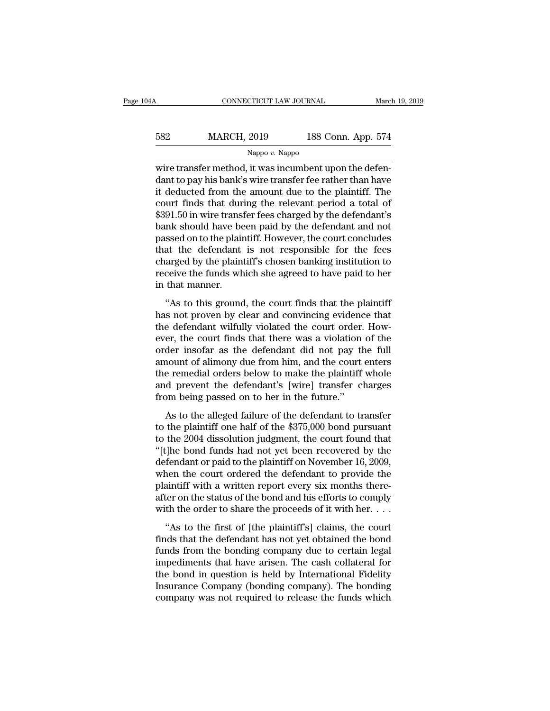| 04A | CONNECTICUT LAW JOURNAL |                    | March 19, 2019 |
|-----|-------------------------|--------------------|----------------|
| 582 | <b>MARCH, 2019</b>      | 188 Conn. App. 574 |                |
|     | Nappo $v$ . Nappo       |                    |                |

CONNECTICUT LAW JOURNAL March March (1998)<br>
MARCH, 2019 188 Conn. App. 574<br>
Nappo v. Nappo<br>
wire transfer method, it was incumbent upon the defen-<br>
dant to pay his bank's wire transfer fee rather than have<br>
it doducted fro MARCH, 2019 188 Conn. App. 574<br>
Nappo v. Nappo<br>
Wire transfer method, it was incumbent upon the defendant to pay his bank's wire transfer fee rather than have<br>
it deducted from the amount due to the plaintiff. The<br>
court f MARCH, 2019 188 Conn. App. 574<br>
Nappo v. Nappo<br>
wire transfer method, it was incumbent upon the defendant to pay his bank's wire transfer fee rather than have<br>
it deducted from the amount due to the plaintiff. The<br>
court MARCH, 2019 188 Conn. App. 574<br>
Nappo v. Nappo<br>
wire transfer method, it was incumbent upon the defendant to pay his bank's wire transfer fee rather than have<br>
it deducted from the amount due to the plaintiff. The<br>
court Nappo v. Nappo<br>Wire transfer method, it was incumbent upon the defendant to pay his bank's wire transfer fee rather than have<br>it deducted from the amount due to the plaintiff. The<br>court finds that during the relevant peri Nappo v. Nappo<br>wire transfer method, it was incumbent upon the defendant to pay his bank's wire transfer fee rather than have<br>it deducted from the amount due to the plaintiff. The<br>court finds that during the relevant peri wire transfer method, it was incumbent upon the defendant to pay his bank's wire transfer fee rather than have<br>it deducted from the amount due to the plaintiff. The<br>court finds that during the relevant period a total of<br>\$3 dant to pay his bank's wire transfer fee rather than have<br>it deducted from the amount due to the plaintiff. The<br>court finds that during the relevant period a total of<br>\$391.50 in wire transfer fees charged by the defendant' it deducted from the amount due to the plaintiff. The<br>court finds that during the relevant period a total of<br>\$391.50 in wire transfer fees charged by the defendant's<br>bank should have been paid by the defendant and not<br>pass court finds that during the relevant period a total of \$391.50 in wire transfer fees charged by the defendant's bank should have been paid by the defendant and not passed on to the plaintiff. However, the court concludes t \$391.50 in wire transi<br>bank should have be<br>passed on to the plain<br>that the defendant<br>charged by the plaint<br>receive the funds wh<br>in that manner.<br>"As to this ground The should have been paid by the defendant and not<br>ssed on to the plaintiff. However, the court concludes<br>at the defendant is not responsible for the fees<br>arged by the plaintiff's chosen banking institution to<br>ceive the fu passed on to are plantam. However, are coald concluded<br>that the defendant is not responsible for the fees<br>charged by the plaintiff's chosen banking institution to<br>receive the funds which she agreed to have paid to her<br>in t

the defendant wilfully violated the court finds that the plaintiff's chosen banking institution to receive the funds which she agreed to have paid to her in that manner.<br>"As to this ground, the court finds that the plainti enarged by the planning encourt burning instantance to<br>receive the funds which she agreed to have paid to her<br>in that manner.<br>"As to this ground, the court finds that the plaintiff<br>has not proven by clear and convincing ev order in that manner.<br>
"As to this ground, the court finds that the plaintiff<br>
has not proven by clear and convincing evidence that<br>
the defendant wilfully violated the court order. How-<br>
ever, the court finds that there w "As to this ground, the court finds that the plaintiff<br>has not proven by clear and convincing evidence that<br>the defendant wilfully violated the court order. How-<br>ever, the court finds that there was a violation of the<br>orde "As to this ground, the court finds that the plaintiff<br>has not proven by clear and convincing evidence that<br>the defendant wilfully violated the court order. How-<br>ever, the court finds that there was a violation of the<br>orde has not proven by clear and convincing evidence that<br>the defendant wilfully violated the court order. How-<br>ever, the court finds that there was a violation of the<br>order insofar as the defendant did not pay the full<br>amount the defendant wilfully violated the court order.<br>ever, the court finds that there was a violation<br>order insofar as the defendant did not pay th<br>amount of alimony due from him, and the court<br>the remedial orders below to mak Er, are court finals and after was a violation of all<br>der insofar as the defendant did not pay the full<br>nount of alimony due from him, and the court enters<br>e remedial orders below to make the plaintiff whole<br>d prevent the of all moont of alimony due from him, and the court enters<br>the remedial orders below to make the plaintiff whole<br>and prevent the defendant's [wire] transfer charges<br>from being passed on to her in the future."<br>As to the all

the remedial orders below to make the plaintiff whole<br>the remedial orders below to make the plaintiff whole<br>and prevent the defendant's [wire] transfer charges<br>from being passed on to her in the future."<br>As to the alleged and prevent the defendant's [wire] transfer charges<br>from being passed on to her in the future."<br>As to the alleged failure of the defendant to transfer<br>to the plaintiff one half of the \$375,000 bond pursuant<br>to the 2004 dis data prevent are detendant or  $[WW]$  and set enarges<br>from being passed on to her in the future."<br>As to the alleged failure of the defendant to transfer<br>to the plaintiff one half of the \$375,000 bond pursuant<br>to the 2004 di As to the alleged failure of the defendant to transfer<br>to the plaintiff one half of the \$375,000 bond pursuant<br>to the 2004 dissolution judgment, the court found that<br>"[t]he bond funds had not yet been recovered by the<br>def As to the alleged failure of the defendant to transfer<br>to the plaintiff one half of the \$375,000 bond pursuant<br>to the 2004 dissolution judgment, the court found that<br>"[t]he bond funds had not yet been recovered by the<br>def to the plaintiff one half of the \$375,000 bond pursuant<br>to the 2004 dissolution judgment, the court found that<br>"[t]he bond funds had not yet been recovered by the<br>defendant or paid to the plaintiff on November 16, 2009,<br>w to the 2004 dissolution judgment, the court found that "[t]he bond funds had not yet been recovered by the defendant or paid to the plaintiff on November 16, 2009, when the court ordered the defendant to provide the plain fendant or paid to the plaintiff on November 16, 2009,<br>
tendant or paid to the plaintiff on November 16, 2009,<br>
aen the court ordered the defendant to provide the<br>
aintiff with a written report every six months there-<br>
te determinity of putation are planning of the defendant to provide the plaintiff with a written report every six months thereafter on the status of the bond and his efforts to comply with the order to share the proceeds of i

matriff with a written report every six months thereafter on the status of the bond and his efforts to comply with the order to share the proceeds of it with her.  $\dots$  "As to the first of [the plaintiff's] claims, the cou plantant what a wholen report every six montains diete<br>after on the status of the bond and his efforts to comply<br>with the order to share the proceeds of it with her....<br>"As to the first of [the plaintiff's] claims, the co with the order to share the proceeds of it with her.  $\dots$ <br>"As to the first of [the plaintiff's] claims, the court<br>finds that the defendant has not yet obtained the bond<br>funds from the bonding company due to certain legal<br> "As to the first of [the plaintiff's] claims, the court<br>finds that the defendant has not yet obtained the bond<br>funds from the bonding company due to certain legal<br>impediments that have arisen. The cash collateral for<br>the "As to the first of [the plaintiff's] claims, the court<br>finds that the defendant has not yet obtained the bond<br>funds from the bonding company due to certain legal<br>impediments that have arisen. The cash collateral for<br>the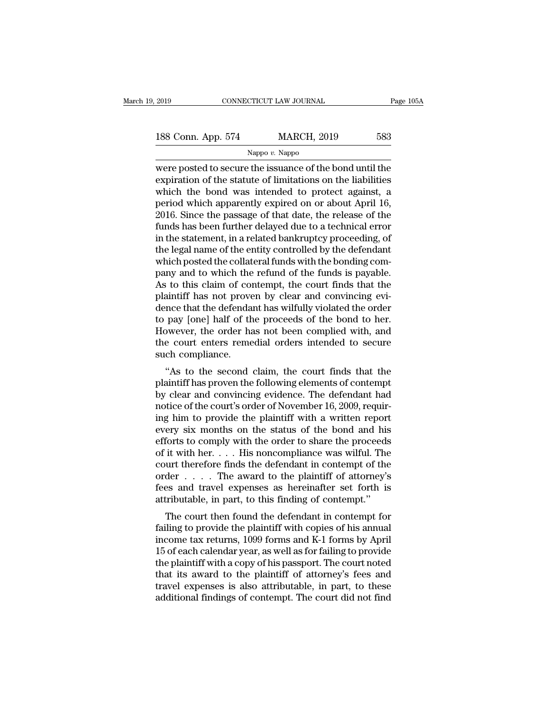2019 CONNECTICUT LAW JOURNAL Page 105A<br>188 Conn. App. 574 MARCH, 2019 583<br>Nappo v. Nappo

Nappo *v.* Nappo

EXECUTE 2019 CONNECTICUT LAW JOURNAL Page 105A<br>
188 Conn. App. 574 MARCH, 2019 583<br>
Nappo v. Nappo<br>
were posted to secure the issuance of the bond until the<br>
expiration of the statute of limitations on the liabilities<br>
whi 188 Conn. App. 574 MARCH, 2019 583<br>
Nappo v. Nappo<br>
Were posted to secure the issuance of the bond until the<br>
expiration of the statute of limitations on the liabilities<br>
which the bond was intended to protect against, a<br> 188 Conn. App. 574 MARCH, 2019 583<br>
Nappo v. Nappo<br>
were posted to secure the issuance of the bond until the<br>
expiration of the statute of limitations on the liabilities<br>
which the bond was intended to protect against, a<br> 188 Conn. App. 574 MARCH, 2019 583<br>
Nappo v. Nappo<br>
were posted to secure the issuance of the bond until the<br>
expiration of the statute of limitations on the liabilities<br>
which the bond was intended to protect against, a<br> Nappo v. Nappo<br>
Nappo v. Nappo<br>
Were posted to secure the issuance of the bond until the<br>
expiration of the statute of limitations on the liabilities<br>
which the bond was intended to protect against, a<br>
period which appare Nappo v. Nappo<br>were posted to secure the issuance of the bond until the<br>expiration of the statute of limitations on the liabilities<br>which the bond was intended to protect against, a<br>period which apparently expired on or a were posted to secure the issuance of the bond until the expiration of the statute of limitations on the liabilities which the bond was intended to protect against, a period which apparently expired on or about April 16, 2 expiration of the statute of limitations on the liabilities<br>which the bond was intended to protect against, a<br>period which apparently expired on or about April 16,<br>2016. Since the passage of that date, the release of the<br>f which the bond was intended to protect against, a<br>period which apparently expired on or about April 16,<br>2016. Since the passage of that date, the release of the<br>funds has been further delayed due to a technical error<br>in th period which apparently expired on or about April 16,<br>2016. Since the passage of that date, the release of the<br>funds has been further delayed due to a technical error<br>in the statement, in a related bankruptcy proceeding, o 2016. Since the passage of that date, the release of the funds has been further delayed due to a technical error in the statement, in a related bankruptcy proceeding, of the legal name of the entity controlled by the defen funds has been further delayed due to a technical error<br>in the statement, in a related bankruptcy proceeding, of<br>the legal name of the entity controlled by the defendant<br>which posted the collateral funds with the bonding c in the statement, in a related bankruptcy proceeding, of<br>the legal name of the entity controlled by the defendant<br>which posted the collateral funds with the bonding com-<br>pany and to which the refund of the funds is payable the legal name of the entity controlled by the defendant<br>which posted the collateral funds with the bonding com-<br>pany and to which the refund of the funds is payable.<br>As to this claim of contempt, the court finds that the<br> which posted the collateral funds with the bonding company and to which the refund of the funds is payable.<br>As to this claim of contempt, the court finds that the plaintiff has not proven by clear and convincing evidence t pany and to which the refund of the funds is payable.<br>As to this claim of contempt, the court finds that the<br>plaintiff has not proven by clear and convincing evi-<br>dence that the defendant has wilfully violated the order<br>to As to this claim of conplaintiff has not prove<br>dence that the defenda<br>to pay [one] half of th<br>However, the order ha<br>the court enters reme<br>such compliance.<br>"As to the second Find that the defendant has wilfully violated the order<br>
pay [one] half of the proceeds of the bond to her.<br>
by some pay [one] half of the proceeds of the bond to her.<br>
by some pay the second claim, the court finds that th dence that the defendant has whithly violated the otder<br>to pay [one] half of the proceeds of the bond to her.<br>However, the order has not been complied with, and<br>the court enters remedial orders intended to secure<br>such comp

to pay [one] han of the proceeds of the bond to her.<br>However, the order has not been complied with, and<br>the court enters remedial orders intended to secure<br>such compliance.<br>"As to the second claim, the court finds that the nowever, the order has not been complied while, and<br>the court enters remedial orders intended to secure<br>such compliance.<br>"As to the second claim, the court finds that the<br>plaintiff has proven the following elements of cont such compliance.<br>
"As to the second claim, the court finds that the<br>
plaintiff has proven the following elements of contempt<br>
by clear and convincing evidence. The defendant had<br>
notice of the court's order of November 16, "As to the second claim, the court finds that the plaintiff has proven the following elements of contempt<br>by clear and convincing evidence. The defendant had<br>notice of the court's order of November 16, 2009, requir-<br>ing h "As to the second claim, the court finds that the plaintiff has proven the following elements of contempt<br>by clear and convincing evidence. The defendant had<br>notice of the court's order of November 16, 2009, requir-<br>ing h plaintiff has proven the following elements of contempt<br>by clear and convincing evidence. The defendant had<br>notice of the court's order of November 16, 2009, requir-<br>ing him to provide the plaintiff with a written report<br>e by clear and convincing evidence. The defendant had<br>notice of the court's order of November 16, 2009, requir-<br>ing him to provide the plaintiff with a written report<br>every six months on the status of the bond and his<br>effort notice of the court's order of November 16, 2009, requiring him to provide the plaintiff with a written report<br>every six months on the status of the bond and his<br>efforts to comply with the order to share the proceeds<br>of i ing him to provide the plaintiff with a written report<br>every six months on the status of the bond and his<br>efforts to comply with the order to share the proceeds<br>of it with her. . . . His noncompliance was wilful. The<br>cour every six months on the status of the bond and his<br>efforts to comply with the order to share the proceeds<br>of it with her.... His noncompliance was wilful. The<br>court therefore finds the defendant in contempt of the<br>order . The court of the proceeds it with her.... His noncompliance was wilful. The urt therefore finds the defendant in contempt of the der .... The award to the plaintiff of attorney's ses and travel expenses as hereinafter set for a with her.  $\ldots$  in such compliance was wind. The court therefore finds the defendant in contempt of the order  $\ldots$ . The award to the plaintiff of attorney's fees and travel expenses as hereinafter set forth is attr

For the same that is the defendant in contempt of the order  $\ldots$ . The award to the plaintiff of attorney's fees and travel expenses as hereinafter set forth is attributable, in part, to this finding of contempt."<br>The cou From a travel expenses as hereinafter set forth is<br>attributable, in part, to this finding of contempt."<br>The court then found the defendant in contempt for<br>failing to provide the plaintiff with copies of his annual<br>income these and traver expenses as hereinater set form is<br>attributable, in part, to this finding of contempt."<br>The court then found the defendant in contempt for<br>failing to provide the plaintiff with copies of his annual<br>income authoutable, in part, to this initing of contempt.<br>The court then found the defendant in contempt for<br>failing to provide the plaintiff with copies of his annual<br>income tax returns, 1099 forms and K-1 forms by April<br>15 of e The court then found the defendant in contempt for<br>failing to provide the plaintiff with copies of his annual<br>income tax returns, 1099 forms and K-1 forms by April<br>15 of each calendar year, as well as for failing to provid failing to provide the plaintiff with copies of his annual income tax returns, 1099 forms and K-1 forms by April 15 of each calendar year, as well as for failing to provide the plaintiff with a copy of his passport. The co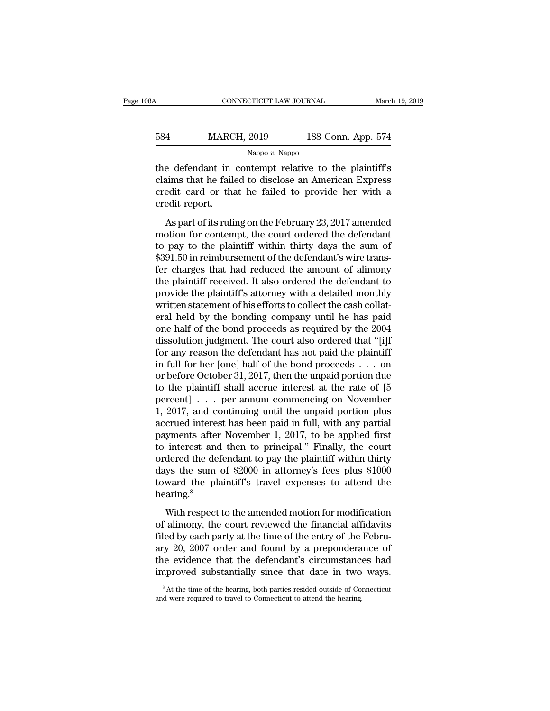| 6A  | CONNECTICUT LAW JOURNAL |                    | March 19, 2019 |
|-----|-------------------------|--------------------|----------------|
| 584 | <b>MARCH, 2019</b>      | 188 Conn. App. 574 |                |
|     | Nappo $v$ . Nappo       |                    |                |

CONNECTICUT LAW JOURNAL March 19, 2019<br>
584 MARCH, 2019 188 Conn. App. 574<br>
Nappo v. Nappo<br>
the defendant in contempt relative to the plaintiff's<br>
claims that he failed to disclose an American Express<br>
and it are that he f MARCH, 2019 188 Conn. App. 574<br>
Nappo v. Nappo<br>
the defendant in contempt relative to the plaintiff's<br>
claims that he failed to disclose an American Express<br>
credit card or that he failed to provide her with a<br>
credit repo 584 MARCH, 2019 188 Conn. App. 574<br>
Nappo v. Nappo<br>
the defendant in contempt relative to the plaintiff's<br>
claims that he failed to disclose an American Express<br>
credit card or that he failed to provide her with a<br>
credit 584 MARC<br>
the defendant in<br>
claims that he faile<br>
credit card or that<br>
credit report.<br>
As part of its ruli Nappo v. Nappo<br>
e defendant in contempt relative to the plaintiff's<br>
aims that he failed to disclose an American Express<br>
edit card or that he failed to provide her with a<br>
edit report.<br>
As part of its ruling on the Febru the defendant in contempt relative to the plaintiff's<br>claims that he failed to disclose an American Express<br>credit card or that he failed to provide her with a<br>credit report.<br>As part of its ruling on the February 23, 2017

the distribution in contempt formation of the planting<br>claims that he failed to provide her with a<br>credit report.<br>As part of its ruling on the February 23, 2017 amended<br>motion for contempt, the court ordered the defendant<br> Example that the failed to provide her with a<br>credit report.<br>As part of its ruling on the February 23, 2017 amended<br>motion for contempt, the court ordered the defendant<br>to pay to the plaintiff within thirty days the sum of ference that the range is provide for what a<br>credit report.<br>As part of its ruling on the February 23, 2017 amended<br>motion for contempt, the court ordered the defendant<br>to pay to the plaintiff within thirty days the sum of<br> As part of its ruling on the February 23, 2017 amended<br>motion for contempt, the court ordered the defendant<br>to pay to the plaintiff within thirty days the sum of<br>\$391.50 in reimbursement of the defendant's wire trans-<br>fer As part of its ruling on the February 23, 2017 amended<br>motion for contempt, the court ordered the defendant<br>to pay to the plaintiff within thirty days the sum of<br>\$391.50 in reimbursement of the defendant's wire trans-<br>fer motion for contempt, the court ordered the defendant<br>to pay to the plaintiff within thirty days the sum of<br>\$391.50 in reimbursement of the defendant's wire trans-<br>fer charges that had reduced the amount of alimony<br>the plai to pay to the plaintiff within thirty days the sum of<br>\$391.50 in reimbursement of the defendant's wire trans-<br>fer charges that had reduced the amount of alimony<br>the plaintiff received. It also ordered the defendant to<br>prov \$391.50 in reimbursement of the defendant's wire trans-<br>fer charges that had reduced the amount of alimony<br>the plaintiff received. It also ordered the defendant to<br>provide the plaintiff's attorney with a detailed monthly<br>w fer charges that had reduced the amount of alimony<br>the plaintiff received. It also ordered the defendant to<br>provide the plaintiff's attorney with a detailed monthly<br>written statement of his efforts to collect the cash coll the plaintiff received. It also ordered the defendant to<br>provide the plaintiff's attorney with a detailed monthly<br>written statement of his efforts to collect the cash collat-<br>eral held by the bonding company until he has provide the plaintiff's attorney with a detailed monthly<br>written statement of his efforts to collect the cash collat-<br>eral held by the bonding company until he has paid<br>one half of the bond proceeds as required by the 2004 written statement of his efforts to collect the cash collateral held by the bonding company until he has paid<br>one half of the bond proceeds as required by the 2004<br>dissolution judgment. The court also ordered that "[i]f<br>fo eral held by the bonding company until he has paid<br>one half of the bond proceeds as required by the 2004<br>dissolution judgment. The court also ordered that "[i]f<br>for any reason the defendant has not paid the plaintiff<br>in f one half of the bond proceeds as required by the 2004<br>dissolution judgment. The court also ordered that "[i]f<br>for any reason the defendant has not paid the plaintiff<br>in full for her [one] half of the bond proceeds . . . on dissolution judgment. The court also ordered that "[i]f<br>for any reason the defendant has not paid the plaintiff<br>in full for her [one] half of the bond proceeds . . . on<br>or before October 31, 2017, then the unpaid portion for any reason the defendant has not paid the plaintiff<br>in full for her [one] half of the bond proceeds . . . on<br>or before October 31, 2017, then the unpaid portion due<br>to the plaintiff shall accrue interest at the rate o in full for her [one] half of the bond proceeds . . . on<br>or before October 31, 2017, then the unpaid portion due<br>to the plaintiff shall accrue interest at the rate of [5<br>percent] . . . per annum commencing on November<br>1, or before October 31, 2017, then the unpaid portion due<br>to the plaintiff shall accrue interest at the rate of [5<br>percent] . . . per annum commencing on November<br>1, 2017, and continuing until the unpaid portion plus<br>accrue to the plaintiff shall accrue interest at the rate of [5]<br>percent] . . . per annum commencing on November<br>1, 2017, and continuing until the unpaid portion plus<br>accrued interest has been paid in full, with any partial<br>paym percent] . . . per annum commencing on November<br>1, 2017, and continuing until the unpaid portion plus<br>accrued interest has been paid in full, with any partial<br>payments after November 1, 2017, to be applied first<br>to interes 1, 2017, and continuing until the unpaid portion plus<br>accrued interest has been paid in full, with any partial<br>payments after November 1, 2017, to be applied first<br>to interest and then to principal." Finally, the court<br>ord hearing.<sup>8</sup> interest and then to principal." Finally, the court<br>dered the defendant to pay the plaintiff within thirty<br>ys the sum of \$2000 in attorney's fees plus \$1000<br>ward the plaintiff's travel expenses to attend the<br>aring.<sup>8</sup><br>Wit ordered the defendant to pay the plaintiff within thirty<br>days the sum of \$2000 in attorney's fees plus \$1000<br>toward the plaintiff's travel expenses to attend the<br>hearing.<sup>8</sup><br>With respect to the amended motion for modifica

fraction are determined by party and produced the sum of \$2000 in attorney's fees plus \$1000 toward the plaintiff's travel expenses to attend the hearing.<sup>8</sup><br>With respect to the amended motion for modification of alimony, toward the plaintiff's travel expenses to attend the<br>hearing.<sup>8</sup><br>With respect to the amended motion for modification<br>of alimony, the court reviewed the financial affidavits<br>filed by each party at the time of the entry of the evidence that the defendant of modification<br>of alimony, the court reviewed the financial affidavits<br>filed by each party at the time of the entry of the Febru-<br>ary 20, 2007 order and found by a preponderance of<br>the evid With respect to the amended motion for modification<br>of alimony, the court reviewed the financial affidavits<br>filed by each party at the time of the entry of the Febru-<br>ary 20, 2007 order and found by a preponderance of<br>the filed by each party at the time of the entry of the February 20, 2007 order and found by a preponderance of the evidence that the defendant's circumstances had improved substantially since that date in two ways.<br><sup>8</sup> At the improved substantially since that date in two ways.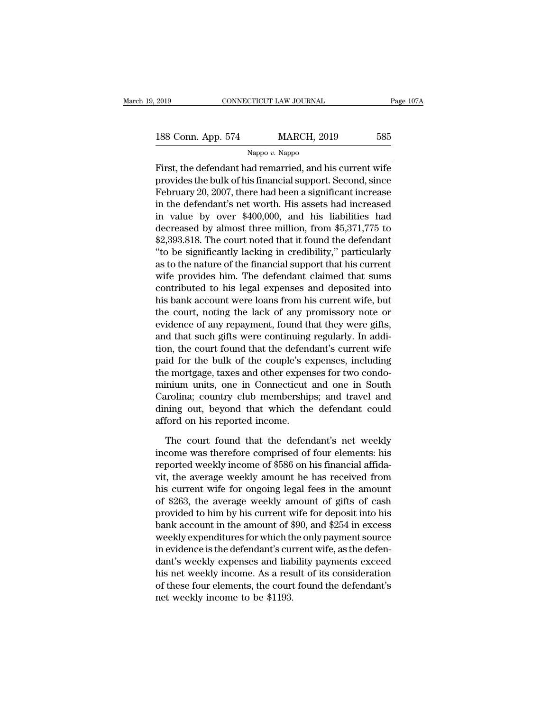# 2019 CONNECTICUT LAW JOURNAL Page 107A<br>188 Conn. App. 574 MARCH, 2019 585<br>Nappo v. Nappo

Nappo *v.* Nappo

First, the defendant had remarried, and his current wife<br>
First, the defendant had remarried, and his current wife<br>
provides the bulk of his financial support. Second, since<br>
February 20, 2007, there had been a significant 188 Conn. App. 574 MARCH, 2019 585<br>Nappo v. Nappo<br>First, the defendant had remarried, and his current wife<br>provides the bulk of his financial support. Second, since<br>February 20, 2007, there had been a significant increase<br> 188 Conn. App. 574 MARCH, 2019 585<br>
Nappo v. Nappo<br>
First, the defendant had remarried, and his current wife<br>
provides the bulk of his financial support. Second, since<br>
February 20, 2007, there had been a significant incr 188 Conn. App. 574 MARCH, 2019 585<br>
Nappo v. Nappo<br>
First, the defendant had remarried, and his current wife<br>
provides the bulk of his financial support. Second, since<br>
February 20, 2007, there had been a significant incr Nappo v. Nappo<br>First, the defendant had remarried, and his current wife<br>provides the bulk of his financial support. Second, since<br>February 20, 2007, there had been a significant increase<br>in the defendant's net worth. His First, the defendant had remarried, and his current wife<br>provides the bulk of his financial support. Second, since<br>February 20, 2007, there had been a significant increase<br>in the defendant's net worth. His assets had incr First, the defendant had remarried, and his current wife<br>provides the bulk of his financial support. Second, since<br>February 20, 2007, there had been a significant increase<br>in the defendant's net worth. His assets had incre provides the bulk of his financial support. Second, since<br>
February 20, 2007, there had been a significant increase<br>
in the defendant's net worth. His assets had increased<br>
in value by over \$400,000, and his liabilities ha February 20, 2007, there had been a significant increase<br>in the defendant's net worth. His assets had increased<br>in value by over  $$400,000$ , and his liabilities had<br>decreased by almost three million, from  $$5,371,775$  to<br> in the defendant's net worth. His assets had increased<br>in value by over \$400,000, and his liabilities had<br>decreased by almost three million, from \$5,371,775 to<br>\$2,393.818. The court noted that it found the defendant<br>"to be in value by over \$400,000, and his liabilities had<br>decreased by almost three million, from \$5,371,775 to<br>\$2,393.818. The court noted that it found the defendant<br>"to be significantly lacking in credibility," particularly<br>a decreased by almost three million, from \$5,371,775 to<br>\$2,393.818. The court noted that it found the defendant<br>"to be significantly lacking in credibility," particularly<br>as to the nature of the financial support that his cu \$2,393.818. The court noted that it found the defendant<br>"to be significantly lacking in credibility," particularly<br>as to the nature of the financial support that his current<br>wife provides him. The defendant claimed that su "to be significantly lacking in credibility," particularly<br>as to the nature of the financial support that his current<br>wife provides him. The defendant claimed that sums<br>contributed to his legal expenses and deposited into<br> as to the nature of the financial support that his current<br>wife provides him. The defendant claimed that sums<br>contributed to his legal expenses and deposited into<br>his bank account were loans from his current wife, but<br>the wife provides him. The defendant claimed that sums<br>contributed to his legal expenses and deposited into<br>his bank account were loans from his current wife, but<br>the court, noting the lack of any promissory note or<br>evidence o contributed to his legal expenses and deposited into<br>his bank account were loans from his current wife, but<br>the court, noting the lack of any promissory note or<br>evidence of any repayment, found that they were gifts,<br>and th his bank account were loans from his current wife, but<br>the court, noting the lack of any promissory note or<br>evidence of any repayment, found that they were gifts,<br>and that such gifts were continuing regularly. In addi-<br>tio the court, noting the lack of any promissory note or<br>evidence of any repayment, found that they were gifts,<br>and that such gifts were continuing regularly. In addi-<br>tion, the court found that the defendant's current wife<br>pa evidence of any repayment, found that they were gifts,<br>and that such gifts were continuing regularly. In addi-<br>tion, the court found that the defendant's current wife<br>paid for the bulk of the couple's expenses, including<br>t and that such gifts were continuing regularly. In addition, the court found that the defendant's current wife paid for the bulk of the couple's expenses, including the mortgage, taxes and other expenses for two condominium tion, the court found that the defend<br>paid for the bulk of the couple's ex<br>the mortgage, taxes and other expen<br>minium units, one in Connecticut<br>Carolina; country club membership<br>dining out, beyond that which the<br>afford on e mortgage, taxes and other expenses for two condo-<br>inium units, one in Connecticut and one in South<br>rolina; country club memberships; and travel and<br>ning out, beyond that which the defendant could<br>ford on his reported inc minium units, one in Connecticut and one in South<br>Carolina; country club memberships; and travel and<br>dining out, beyond that which the defendant could<br>afford on his reported income.<br>The court found that the defendant's net

Carolina; country club memberships; and travel and<br>dining out, beyond that which the defendant could<br>afford on his reported income.<br>The court found that the defendant's net weekly<br>income was therefore comprised of four ele dining out, beyond that which the defendant could<br>afford on his reported income.<br>The court found that the defendant's net weekly<br>income was therefore comprised of four elements: his<br>reported weekly income of \$586 on his fi afford on his reported income.<br>The court found that the defendant's net weekly<br>income was therefore comprised of four elements: his<br>reported weekly income of \$586 on his financial affida-<br>vit, the average weekly amount he The court found that the defendant's net weekly<br>income was therefore comprised of four elements: his<br>reported weekly income of \$586 on his financial affida-<br>vit, the average weekly amount he has received from<br>his current The court found that the defendant's net weekly<br>income was therefore comprised of four elements: his<br>reported weekly income of \$586 on his financial affida-<br>vit, the average weekly amount he has received from<br>his current w income was therefore comprised of four elements: his<br>reported weekly income of \$586 on his financial affida-<br>vit, the average weekly amount he has received from<br>his current wife for ongoing legal fees in the amount<br>of \$263 reported weekly income of \$586 on his financial affida-<br>vit, the average weekly amount he has received from<br>his current wife for ongoing legal fees in the amount<br>of \$263, the average weekly amount of gifts of cash<br>provided vit, the average weekly amount he has received from<br>his current wife for ongoing legal fees in the amount<br>of \$263, the average weekly amount of gifts of cash<br>provided to him by his current wife for deposit into his<br>bank ac his current wife for ongoing legal fees in the amount<br>of \$263, the average weekly amount of gifts of cash<br>provided to him by his current wife for deposit into his<br>bank account in the amount of \$90, and \$254 in excess<br>weekl of \$263, the average weekly amount of gifts of cash<br>provided to him by his current wife for deposit into his<br>bank account in the amount of \$90, and \$254 in excess<br>weekly expenditures for which the only payment source<br>in ev provided to him by his current wife for deposit into his<br>bank account in the amount of \$90, and \$254 in excess<br>weekly expenditures for which the only payment source<br>in evidence is the defendant's current wife, as the defen bank account in the amount of  $\frac{1}{3}$ <br>weekly expenditures for which the<br>in evidence is the defendant's cure<br>dant's weekly expenses and liak<br>his net weekly income. As a ress<br>of these four elements, the court<br>net weekly in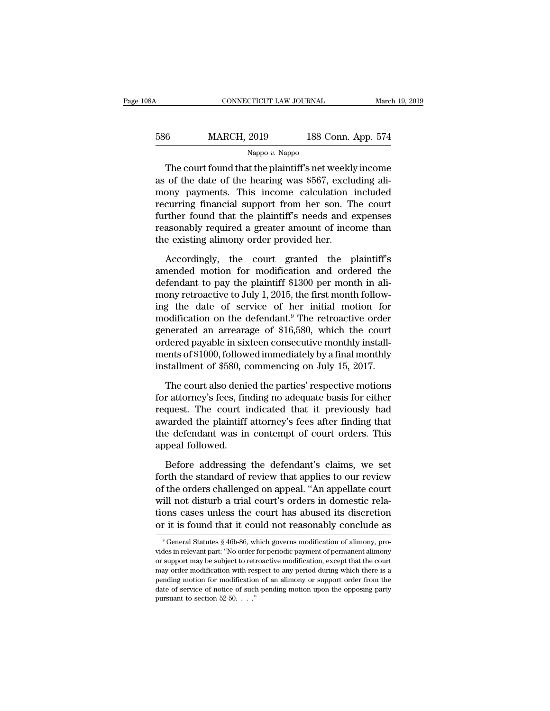| 08A | CONNECTICUT LAW JOURNAL |                    | March 19, 2019 |
|-----|-------------------------|--------------------|----------------|
| 586 | <b>MARCH, 2019</b>      | 188 Conn. App. 574 |                |
|     | Nappo $v$ . Nappo       |                    |                |

CONNECTICUT LAW JOURNAL March 19, 2019<br>
6 MARCH, 2019 188 Conn. App. 574<br>
Nappo v. Nappo<br>
The court found that the plaintiff's net weekly income<br>
of the date of the hearing was \$567, excluding ali- $\frac{\text{MARCH}}{\text{Nappo } v. \text{Nappo}}$ <br>The court found that the plaintiff's net weekly income<br>as of the date of the hearing was \$567, excluding ali-<br>mony payments. This income calculation included<br>recurring financial support from har  $\frac{\text{MARCH, 2019}}{\text{Nappo } v. \text{ Nappo}}$ <br>The court found that the plaintiff's net weekly income<br>as of the date of the hearing was \$567, excluding ali-<br>mony payments. This income calculation included<br>recurring financial support fr MARCH, 2019 188 Conn. App. 574<br>
Nappo v. Nappo<br>
The court found that the plaintiff's net weekly income<br>
as of the date of the hearing was \$567, excluding ali-<br>
mony payments. This income calculation included<br>
recurring fi Frame of the court found that the plaintiff's net weekly income<br>as of the date of the hearing was \$567, excluding ali-<br>mony payments. This income calculation included<br>recurring financial support from her son. The court<br>fu The court found that the plaintiff's net weekly income<br>as of the date of the hearing was \$567, excluding ali-<br>mony payments. This income calculation included<br>recurring financial support from her son. The court<br>further fou The court found that the plaintiff's net weekly<br>as of the date of the hearing was \$567, exclu<br>mony payments. This income calculation<br>recurring financial support from her son. T<br>further found that the plaintiff's needs and ony payments. This income calculation included<br>curring financial support from her son. The court<br>rther found that the plaintiff's needs and expenses<br>asonably required a greater amount of income than<br>e existing alimony orde recurring financial support from her son. The court<br>further found that the plaintiff's needs and expenses<br>reasonably required a greater amount of income than<br>the existing alimony order provided her.<br>Accordingly, the court

further found that the plaintiff's needs and expenses<br>reasonably required a greater amount of income than<br>the existing alimony order provided her.<br>Accordingly, the court granted the plaintiff's<br>amended motion for modificat reasonably required a greater amount of income than<br>the existing alimony order provided her.<br>Accordingly, the court granted the plaintiff's<br>amended motion for modification and ordered the<br>defendant to pay the plaintiff \$1 the existing alimony order provided her.<br>
Accordingly, the court granted the plaintiff's<br>
amended motion for modification and ordered the<br>
defendant to pay the plaintiff \$1300 per month in ali-<br>
mony retroactive to July 1 Accordingly, the court granted the plaintiff's<br>amended motion for modification and ordered the<br>defendant to pay the plaintiff \$1300 per month in ali-<br>mony retroactive to July 1, 2015, the first month follow-<br>ing the date Accordingly, the court granted the plaintiff's<br>amended motion for modification and ordered the<br>defendant to pay the plaintiff \$1300 per month in ali-<br>mony retroactive to July 1, 2015, the first month follow-<br>ing the date amended motion for modification and ordered the<br>defendant to pay the plaintiff \$1300 per month in ali-<br>mony retroactive to July 1, 2015, the first month follow-<br>ing the date of service of her initial motion for<br>modificati defendant to pay the plaintiff \$1300 per month in ali-<br>mony retroactive to July 1, 2015, the first month follow-<br>ing the date of service of her initial motion for<br>modification on the defendant.<sup>9</sup> The retroactive order<br>gen mony retroactive to July 1, 2015, the first month following the date of service of her initial motion for modification on the defendant.<sup>9</sup> The retroactive order generated an arrearage of \$16,580, which the court ordered p but denotes an arrearage of \$16,580, which the court<br>dered payable in sixteen consecutive monthly install-<br>ents of \$1000, followed immediately by a final monthly<br>stallment of \$580, commencing on July 15, 2017.<br>The court a generated an arrearage of \$16,580, which the court<br>ordered payable in sixteen consecutive monthly install-<br>ments of \$1000, followed immediately by a final monthly<br>installment of \$580, commencing on July 15, 2017.<br>The court

ordered payable in sixteen consecutive monthly install-<br>ments of \$1000, followed immediately by a final monthly<br>installment of \$580, commencing on July 15, 2017.<br>The court also denied the parties' respective motions<br>for at ments of \$1000, followed immediately by a final monthly<br>installment of \$580, commencing on July 15, 2017.<br>The court also denied the parties' respective motions<br>for attorney's fees, finding no adequate basis for either<br>requ installment of \$580, commencing on July 15, 2017.<br>The court also denied the parties' respective motions<br>for attorney's fees, finding no adequate basis for either<br>request. The court indicated that it previously had<br>awarded The court also denies<br>for attorney's fees, fin<br>request. The court is<br>awarded the plaintiff<br>the defendant was in<br>appeal followed.<br>Before addressing r attorney's fees, finding no adequate basis for either<br>quest. The court indicated that it previously had<br>varded the plaintiff attorney's fees after finding that<br>e defendant was in contempt of court orders. This<br>peal follo request. The court indicated that it previously had<br>awarded the plaintiff attorney's fees after finding that<br>the defendant was in contempt of court orders. This<br>appeal followed.<br>Before addressing the defendant's claims, we

awarded the plaintiff attorney's fees after finding that<br>the defendant was in contempt of court orders. This<br>appeal followed.<br>Before addressing the defendant's claims, we set<br>forth the standard of review that applies to ou the defendant was in contempt of court orders. This<br>appeal followed.<br>Before addressing the defendant's claims, we set<br>forth the standard of review that applies to our review<br>of the orders challenged on appeal. "An appellat appeal followed.<br>Before addressing the defendant's claims, we set<br>forth the standard of review that applies to our review<br>of the orders challenged on appeal. "An appellate court<br>will not disturb a trial court's orders in d Before addressing the defendant's claims, we set<br>forth the standard of review that applies to our review<br>of the orders challenged on appeal. "An appellate court<br>will not disturb a trial court's orders in domestic rela-<br>ti ill not disturb a trial court's orders in domestic rela-<br>ill not disturb a trial court's orders in domestic rela-<br>ons cases unless the court has abused its discretion<br>it is found that it could not reasonably conclude as<br><sup>9</sup> will not disturb a trial court's orders in domestic relations cases unless the court has abused its discretion or it is found that it could not reasonably conclude as  $\frac{9}{9}$  General Statutes § 46b-86, which governs mod

tions cases unless the court has abused its discretion<br>or it is found that it could not reasonably conclude as<br> $\frac{9}{100}$ <br> $\frac{1}{100}$ <br> $\frac{1}{100}$   $\frac{1}{100}$  subject to retroactive modification, except that the court<br>may or it is found that it could not reasonably conclude as<br>
<sup>9</sup> General Statutes § 46b-86, which governs modification of alimony, pro-<br>
vides in relevant part: "No order for periodic payment of permanent alimony<br>
or support m or It Is Found that It Could Hot Feasonabry Concrude as<br>
<sup>9</sup> General Statutes § 46b-86, which governs modification of alimony, pro-<br>
vides in relevant part: "No order for periodic payment of permanent alimony<br>
or support m <sup>9</sup> General Statutes § 46b-86, which governs modification of alimony, provides in relevant part: "No order for periodic payment of permanent alimony or support may be subject to retroactive modification, except that the c vides in relevant part: "No order for periodic payment of permanent alimony<br>or support may be subject to retroactive modification, except that the court<br>may order modification with respect to any period during which there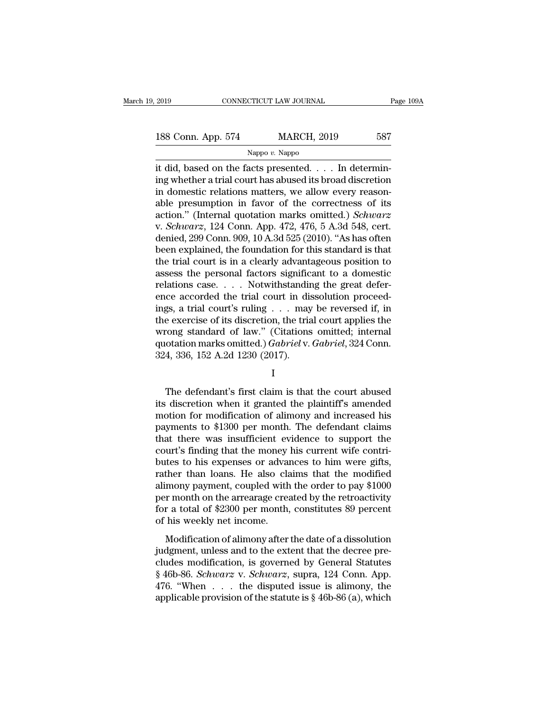# 2019 CONNECTICUT LAW JOURNAL Page 109A<br>188 Conn. App. 574 MARCH, 2019 587<br>Nappo v. Nappo

Nappo *v.* Nappo

EN 2019 CONNECTICUT LAW JOURNAL<br>
188 Conn. App. 574 MARCH, 2019 587<br>
Nappo v. Nappo<br>
it did, based on the facts presented. . . . In determin-<br>
ing whether a trial court has abused its broad discretion<br>
in demostic relation 188 Conn. App. 574 MARCH, 2019 587<br>
Nappo v. Nappo<br>
it did, based on the facts presented. . . . In determin-<br>
ing whether a trial court has abused its broad discretion<br>
in domestic relations matters, we allow every reason-188 Conn. App. 574 MARCH, 2019 587<br>
Nappo v. Nappo<br>
it did, based on the facts presented. . . . In determin-<br>
ing whether a trial court has abused its broad discretion<br>
in domestic relations matters, we allow every reason 188 Conn. App. 574 MARCH, 2019 587<br>
Nappo v. Nappo<br>
it did, based on the facts presented. . . . In determin-<br>
ing whether a trial court has abused its broad discretion<br>
in domestic relations matters, we allow every reason Nappo v. Nappo<br>it did, based on the facts presented. . . . In determin-<br>ing whether a trial court has abused its broad discretion<br>in domestic relations matters, we allow every reason-<br>able presumption in favor of the corr Nappo v. Nappo<br>it did, based on the facts presented. . . . In determin-<br>ing whether a trial court has abused its broad discretion<br>in domestic relations matters, we allow every reason-<br>able presumption in favor of the corre it did, based on the facts presented. . . . . In determining whether a trial court has abused its broad discretion<br>in domestic relations matters, we allow every reason-<br>able presumption in favor of the correctness of its<br> ing whether a trial court has abused its broad discretion<br>in domestic relations matters, we allow every reason-<br>able presumption in favor of the correctness of its<br>action." (Internal quotation marks omitted.) *Schwarz*<br>v. in domestic relations matters, we allow every reasonable presumption in favor of the correctness of its action." (Internal quotation marks omitted.) *Schwarz* v. *Schwarz*, 124 Conn. App. 472, 476, 5 A.3d 548, cert. denie able presumption in favor of the correctness of its<br>action." (Internal quotation marks omitted.) *Schwarz*<br>v. *Schwarz*, 124 Conn. App. 472, 476, 5 A.3d 548, cert.<br>denied, 299 Conn. 909, 10 A.3d 525 (2010). "As has often<br> action." (Internal quotation marks omitted.) *Schwarz*<br>v. *Schwarz*, 124 Conn. App. 472, 476, 5 A.3d 548, cert.<br>denied, 299 Conn. 909, 10 A.3d 525 (2010). "As has often<br>been explained, the foundation for this standard is v. *Schwarz*, 124 Conn. App. 472, 476, 5 A.3d 548, cert.<br>denied, 299 Conn. 909, 10 A.3d 525 (2010). "As has often<br>been explained, the foundation for this standard is that<br>the trial court is in a clearly advantageous posit denied, 299 Conn. 909, 10 A.3d 525 (2010). "As has often<br>been explained, the foundation for this standard is that<br>the trial court is in a clearly advantageous position to<br>assess the personal factors significant to a domest been explained, the foundation for this standard is that<br>the trial court is in a clearly advantageous position to<br>assess the personal factors significant to a domestic<br>relations case. . . . Notwithstanding the great defer the trial court is in a clearly advantageous position to<br>assess the personal factors significant to a domestic<br>relations case.... Notwithstanding the great defer-<br>ence accorded the trial court in dissolution proceed-<br>ings assess the personal factors significant to a domestic<br>relations case. . . . Notwithstanding the great defer-<br>ence accorded the trial court in dissolution proceed-<br>ings, a trial court's ruling . . . may be reversed if, in<br>t relations case. . . . . Notwithstandinence accorded the trial court in disings, a trial court's ruling . . . may the exercise of its discretion, the trial wrong standard of law." (Citations quotation marks omitted.) *Gabr* Exercise of its discretion, the trial court applies the<br>
cong standard of law." (Citations omitted; internal<br>
otation marks omitted.) *Gabriel* v. *Gabriel*, 324 Conn.<br>
4, 336, 152 A.2d 1230 (2017).<br>
I<br>
The defendant's fi

### I

wrong standard of law." (Citations omitted; internal<br>quotation marks omitted.)  $Gabriel$  v.  $Gabriel$ , 324 Conn.<br>324, 336, 152 A.2d 1230 (2017).<br>I<br>The defendant's first claim is that the court abused<br>its discretion when it grante quotation marks omitted.) *Gabriel* v. *Gabriel*, 324 Conn.<br>324, 336, 152 A.2d 1230 (2017).<br>I<br>The defendant's first claim is that the court abused<br>its discretion when it granted the plaintiff's amended<br>motion for modificat 324, 336, 152 A.2d 1230 (2017).<br>
I<br>
The defendant's first claim is that the court abused<br>
its discretion when it granted the plaintiff's amended<br>
motion for modification of alimony and increased his<br>
payments to \$1300 per I<br>
The defendant's first claim is that the court abused<br>
its discretion when it granted the plaintiff's amended<br>
motion for modification of alimony and increased his<br>
payments to \$1300 per month. The defendant claims<br>
that The defendant's first claim is that the court abused<br>its discretion when it granted the plaintiff's amended<br>motion for modification of alimony and increased his<br>payments to \$1300 per month. The defendant claims<br>that there The defendant's first claim is that the court abused<br>its discretion when it granted the plaintiff's amended<br>motion for modification of alimony and increased his<br>payments to \$1300 per month. The defendant claims<br>that there its discretion when it granted the plaintiff's amended<br>motion for modification of alimony and increased his<br>payments to \$1300 per month. The defendant claims<br>that there was insufficient evidence to support the<br>court's find motion for modification of alimony and increased his<br>payments to \$1300 per month. The defendant claims<br>that there was insufficient evidence to support the<br>court's finding that the money his current wife contri-<br>butes to h payments to \$1300 per month. The defendant claims<br>that there was insufficient evidence to support the<br>court's finding that the money his current wife contri-<br>butes to his expenses or advances to him were gifts,<br>rather than that there was insufficient evidence to support the court's finding that the money his current wife contributes to his expenses or advances to him were gifts, rather than loans. He also claims that the modified alimony pay court's finding that the money<br>butes to his expenses or advarather than loans. He also cla<br>alimony payment, coupled with<br>per month on the arrearage crea<br>for a total of \$2300 per month,<br>of his weekly net income.<br>Modificatio ther than loans. He also claims that the modified<br>mony payment, coupled with the order to pay \$1000<br>r month on the arrearage created by the retroactivity<br>r a total of \$2300 per month, constitutes 89 percent<br>his weekly net Figure 2.1 The disc claims and the inclined<br>alimony payment, coupled with the order to pay \$1000<br>per month on the arrearage created by the retroactivity<br>for a total of \$2300 per month, constitutes 89 percent<br>of his weekly

complex matrices of the retroactivity<br>for a total of \$2300 per month, constitutes 89 percent<br>of his weekly net income.<br>Modification of alimony after the date of a dissolution<br>judgment, unless and to the extent that the de for a total of \$2300 per month, constitutes 89 percent<br>of his weekly net income.<br>Modification of alimony after the date of a dissolution<br>judgment, unless and to the extent that the decree pre-<br>cludes modification, is gover 476. "When  $\ldots$  and  $\sqrt{2500}$  per monar, constraines to percent of his weekly net income.<br>
Modification of alimony after the date of a dissolution judgment, unless and to the extent that the decree pre-<br>
cludes modifica Modification of alimony after the date of a dissolution judgment, unless and to the extent that the decree pre-<br>cludes modification, is governed by General Statutes § 46b-86. *Schwarz* v. *Schwarz*, supra, 124 Conn. App.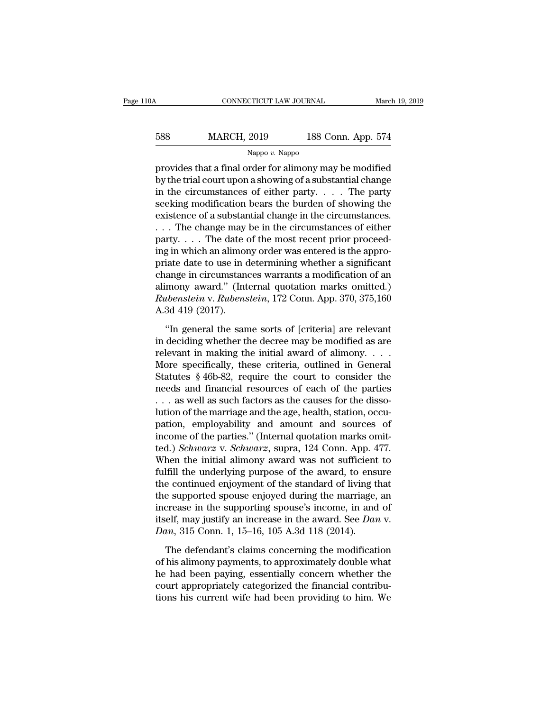| l0A | CONNECTICUT LAW JOURNAL |                    | March 19, 2019 |
|-----|-------------------------|--------------------|----------------|
| 588 | <b>MARCH, 2019</b>      | 188 Conn. App. 574 |                |
|     | Nappo v. Nappo          |                    |                |

cONNECTICUT LAW JOURNAL March 19, 2019<br>
MARCH, 2019 188 Conn. App. 574<br>
Nappo v. Nappo<br>
provides that a final order for alimony may be modified<br>
by the trial court upon a showing of a substantial change<br>
in the circumstanc  $\begin{array}{ll}\n 588 & \text{MARCH, } 2019 & \text{188 Conn. App. 574}\n \hline\n & \text{Nappo } v. \text{ Nappo}\n \end{array}$ <br>
provides that a final order for alimony may be modified<br>
by the trial court upon a showing of a substantial change<br>
in the circumstances of either p 588 MARCH, 2019 188 Conn. App. 574<br>
Nappo v. Nappo<br>
provides that a final order for alimony may be modified<br>
by the trial court upon a showing of a substantial change<br>
in the circumstances of either party. . . . . The par 588 MARCH, 2019 188 Conn. App. 574<br>
Nappo v. Nappo<br>
provides that a final order for alimony may be modified<br>
by the trial court upon a showing of a substantial change<br>
in the circumstances of either party. . . . The party Nappo v. Nappo<br>provides that a final order for alimony may be modified<br>by the trial court upon a showing of a substantial change<br>in the circumstances of either party.... The party<br>seeking modification bears the burden of **EXAMPLE THE CHANGE SET ANDREW THE CHANGE STATE STATE STATE SURVEYORD SURVEYORD ASSOCIATE SERVIS SERVISED IN the circumstances of either party. . . . The party seeking modification bears the burden of showing the existenc** provides that a final order for alimony may be modified<br>by the trial court upon a showing of a substantial change<br>in the circumstances of either party. . . . The party<br>seeking modification bears the burden of showing the<br> by the trial court upon a showing of a substantial change<br>in the circumstances of either party. . . . . The party<br>seeking modification bears the burden of showing the<br>existence of a substantial change in the circumstances in the circumstances of either party. . . . The party<br>seeking modification bears the burden of showing the<br>existence of a substantial change in the circumstances.<br>. . . The change may be in the circumstances of either<br>par seeking modification bears the burden of showing the<br>existence of a substantial change in the circumstances.<br>... The change may be in the circumstances of either<br>party.... The date of the most recent prior proceed-<br>ing in existence of a substantial change in the circumstances.<br>  $\dots$  The change may be in the circumstances of either<br>
party.  $\dots$  The date of the most recent prior proceed-<br>
ing in which an alimony order was entered is the appr *Ruberty.* . . . The change may be in the circumstances of either party. . . . The date of the most recent prior proceeding in which an alimony order was entered is the appropriate date to use in determining whether a sign party.  $\dots$  The date of ing in which an alimon priate date to use in change in circumstan alimony award." (Interaction v. Rubens A.3d 419 (2017). "In general the sand iate date to use in determining whether a significant<br>
ange in circumstances warrants a modification of an<br>
mony award." (Internal quotation marks omitted.)<br> *ibenstein* v. *Rubenstein*, 172 Conn. App. 370, 375,160<br>
3d 419 change in circumstances warrants a modification of an<br>alimony award." (Internal quotation marks omitted.)<br>*Rubenstein* v. *Rubenstein*, 172 Conn. App. 370, 375,160<br>A.3d 419 (2017).<br>"In general the same sorts of [criteria]

alimony award." (Internal quotation marks omitted.)<br> *Rubenstein* v. *Rubenstein*, 172 Conn. App. 370, 375,160<br>
A.3d 419 (2017).<br>
"In general the same sorts of [criteria] are relevant<br>
in deciding whether the decree may b Rubenstein v. Rubenstein, 172 Conn. App. 370, 375,160<br>A.3d 419 (2017).<br>"In general the same sorts of [criteria] are relevant<br>in deciding whether the decree may be modified as are<br>relevant in making the initial award of al A.3d 419 (2017).<br>
"In general the same sorts of [criteria] are relevant<br>
in deciding whether the decree may be modified as are<br>
relevant in making the initial award of alimony. . . .<br>
More specifically, these criteria, ou "In general the same sorts of [criteria] are relevant<br>in deciding whether the decree may be modified as are<br>relevant in making the initial award of alimony. . . .<br>More specifically, these criteria, outlined in General<br>Sta "In general the same sorts of [criteria] are relevant<br>in deciding whether the decree may be modified as are<br>relevant in making the initial award of alimony....<br>More specifically, these criteria, outlined in General<br>Statut in deciding whether the decree may be modified as are relevant in making the initial award of alimony. . . . More specifically, these criteria, outlined in General Statutes § 46b-82, require the court to consider the need relevant in making the initial award of alimony. . . .<br>More specifically, these criteria, outlined in General<br>Statutes § 46b-82, require the court to consider the<br>needs and financial resources of each of the parties<br> $\dots$  More specifically, these criteria, outlined in General Statutes § 46b-82, require the court to consider the needs and financial resources of each of the parties ... as well as such factors as the causes for the dissolutio Statutes § 46b-82, require the court to consider the<br>needs and financial resources of each of the parties<br>... as well as such factors as the causes for the disso-<br>lution of the marriage and the age, health, station, occu-<br> needs and financial resources of each of the parties<br>  $\dots$  as well as such factors as the causes for the disso-<br>
lution of the marriage and the age, health, station, occu-<br>
pation, employability and amount and sources of<br> ... as well as such factors as the causes for the dissolution of the marriage and the age, health, station, occupation, employability and amount and sources of income of the parties." (Internal quotation marks omitted.) lution of the marriage and the age, health, station, occupation, employability and amount and sources of income of the parties." (Internal quotation marks omitted.) Schwarz v. Schwarz, supra, 124 Conn. App. 477. When the i pation, employability and amount and sources of<br>income of the parties." (Internal quotation marks omit-<br>ted.) *Schwarz* v. *Schwarz*, supra, 124 Conn. App. 477.<br>When the initial alimony award was not sufficient to<br>fulfill income of the parties." (Internal quotation marks omit-<br>ted.) *Schwarz* v. *Schwarz*, supra, 124 Conn. App. 477.<br>When the initial alimony award was not sufficient to<br>fulfill the underlying purpose of the award, to ensure<br> ted.) *Schwarz* v. *Schwarz*, supra, 124 Conn. App. 477.<br>When the initial alimony award was not sufficient to<br>fulfill the underlying purpose of the award, to ensure<br>the continued enjoyment of the standard of living that<br>th When the initial alimony award was not sufficient<br>fulfill the underlying purpose of the award, to ensite<br>the continued enjoyment of the standard of living t<br>the supported spouse enjoyed during the marriage,<br>increase in the e continued enjoyment of the standard of living that<br>e supported spouse enjoyed during the marriage, an<br>crease in the supporting spouse's income, in and of<br>eelf, may justify an increase in the award. See Dan v.<br> $nn$ , 315 C the supported spouse enjoyed during the marriage, an increase in the supporting spouse's income, in and of itself, may justify an increase in the award. See  $Dan$  v.  $Dan$ , 315 Conn. 1, 15–16, 105 A.3d 118 (2014).<br>The defenda

increase in the supporting spouse's income, in and of<br>itself, may justify an increase in the award. See Dan v.<br>Dan, 315 Conn. 1, 15–16, 105 A.3d 118 (2014).<br>The defendant's claims concerning the modification<br>of his alimon itself, may justify an increase in the award. See *Dan v.*<br> *Dan*, 315 Conn. 1, 15–16, 105 A.3d 118 (2014).<br>
The defendant's claims concerning the modification<br>
of his alimony payments, to approximately double what<br>
he ha Dan, 315 Conn. 1, 15–16, 105 A.3d 118 (2014).<br>The defendant's claims concerning the modification<br>of his alimony payments, to approximately double what<br>he had been paying, essentially concern whether the<br>court appropriatel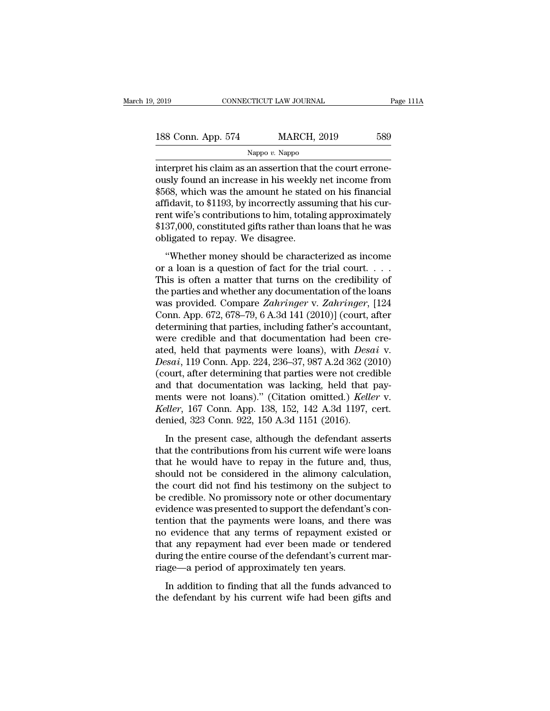| 2019               | CONNECTICUT LAW JOURNAL |                    | Page 111A |
|--------------------|-------------------------|--------------------|-----------|
| 188 Conn. App. 574 |                         | <b>MARCH, 2019</b> | 589       |
|                    | Nappo $v$ . Nappo       |                    |           |

2019 CONNECTICUT LAW JOURNAL<br>
188 Conn. App. 574 MARCH, 2019 589<br>
Nappo v. Nappo<br>
interpret his claim as an assertion that the court errone-<br>
ously found an increase in his weekly net income from<br>
\$568 which was the amount 188 Conn. App. 574 MARCH, 2019 589<br>Nappo v. Nappo<br>interpret his claim as an assertion that the court errone-<br>ously found an increase in his weekly net income from<br>\$568, which was the amount he stated on his financial<br>affid 188 Conn. App. 574 MARCH, 2019 589<br>
Nappo v. Nappo<br>
interpret his claim as an assertion that the court errone-<br>
ously found an increase in his weekly net income from<br>
\$568, which was the amount he stated on his financial<br> 188 Conn. App. 574 MARCH, 2019 589<br>
Nappo v. Nappo<br>
interpret his claim as an assertion that the court errone-<br>
ously found an increase in his weekly net income from<br>
\$568, which was the amount he stated on his financial<br> Nappo v. Nappo<br>Interpret his claim as an assertion that the court errone-<br>ously found an increase in his weekly net income from<br>\$568, which was the amount he stated on his financial<br>affidavit, to \$1193, by incorrectly ass  $\begin{array}{l} \text{Nappo $v$. Nappo} \\ \text{interpret his claim as an assertion that the court erroneously found an increase in his weekly net income from $568, which was the amount he stated on his financial affinity, to $1193, by incorrectly assuming that his current wife's contributions to him, totaling approximately $137,000, constituted gifts rather than loans that he was obligeded to repay. We disagree. \end{array}$ interpret his claim as an assertion that<br>ously found an increase in his weekly<br>\$568, which was the amount he stated<br>affidavit, to \$1193, by incorrectly assurent wife's contributions to him, totalin<br>\$137,000, constituted gi  $68$ , which was the amount he stated on his financial<br>fidavit, to \$1193, by incorrectly assuming that his cur-<br>nt wife's contributions to him, totaling approximately<br>37,000, constituted gifts rather than loans that he was  $\frac{1}{2}$  and  $\frac{1}{2}$  assuming that his current wife's contributions to him, totaling approximately \$137,000, constituted gifts rather than loans that he was obligated to repay. We disagree.<br>
"Whether money should be ch

Example 18 in the contributions to him, totaling approximately<br>
star ent wife's contributions to him, totaling approximately<br>
star, the credibility of a matter money should be characterized as income<br>
or a loan is a quest \$137,000, constituted gifts rather than loans that he was<br>\$137,000, constituted gifts rather than loans that he was<br>obligated to repay. We disagree.<br>"Whether money should be characterized as income<br>or a loan is a question whot, constanted gins rather diarroads and ite was<br>obligated to repay. We disagree.<br>"Whether money should be characterized as income<br>or a loan is a question of fact for the trial court....<br>This is often a matter that turns "Whether money should be characterized as income<br>or a loan is a question of fact for the trial court....<br>This is often a matter that turns on the credibility of<br>the parties and whether any documentation of the loans<br>was p "Whether money should be characterized as income<br>or a loan is a question of fact for the trial court....<br>This is often a matter that turns on the credibility of<br>the parties and whether any documentation of the loans<br>was p or a loan is a question of fact for the trial court. . . . This is often a matter that turns on the credibility of<br>the parties and whether any documentation of the loans<br>was provided. Compare *Zahringer* v. *Zahringer*, [ This is often a matter that turns on the credibility of<br>the parties and whether any documentation of the loans<br>was provided. Compare Zahringer v. Zahringer, [124<br>Conn. App. 672, 678–79, 6 A.3d 141 (2010)] (court, after<br>det the parties and whether any documentation of the loans<br>was provided. Compare Zahringer v. Zahringer, [124<br>Conn. App. 672, 678–79, 6 A.3d 141 (2010)] (court, after<br>determining that parties, including father's accountant,<br>we was provided. Compare Zahringer v. Zahringer, [124<br>Conn. App. 672, 678–79, 6 A.3d 141 (2010)] (court, after<br>determining that parties, including father's accountant,<br>were credible and that documentation had been cre-<br>ated, Conn. App. 672, 678–79, 6 A.3d 141 (2010)] (court, after<br>determining that parties, including father's accountant,<br>were credible and that documentation had been cre-<br>ated, held that payments were loans), with *Desai* v.<br>*D* determining that parties, including father's accountant,<br>were credible and that documentation had been cre-<br>ated, held that payments were loans), with *Desai* v.<br>*Desai*, 119 Conn. App. 224, 236–37, 987 A.2d 362 (2010)<br>(co were credible and that documentation had been cre-<br>ated, held that payments were loans), with *Desai* v.<br>*Desai*, 119 Conn. App. 224, 236–37, 987 A.2d 362 (2010)<br>(court, after determining that parties were not credible<br>and ated, held that payments were loans), with *Desc*<br>*Desai*, 119 Conn. App. 224, 236–37, 987 A.2d 362 (2<br>(court, after determining that parties were not creand that documentation was lacking, held that<br>ments were not loans). bout, The column ripp. 224, 256–51, 657 rials 652 (2016)<br>ourt, after determining that parties were not credible<br>d that documentation was lacking, held that pay-<br>ents were not loans)." (Citation omitted.) *Keller* v.<br>*elle* and that documentation was lacking, held that pay-<br>ments were not loans)." (Citation omitted.) *Keller* v.<br>*Keller*, 167 Conn. App. 138, 152, 142 A.3d 1197, cert.<br>denied, 323 Conn. 922, 150 A.3d 1151 (2016).<br>In the present

that that documentation was facting, then that pay<br>ments were not loans)." (Citation omitted.) *Keller* v.<br>*Keller*, 167 Conn. App. 138, 152, 142 A.3d 1197, cert.<br>denied, 323 Conn. 922, 150 A.3d 1151 (2016).<br>In the presen Reller, 167 Conn. App. 138, 152, 142 A.3d 1197, cert.<br>
denied, 323 Conn. 922, 150 A.3d 1151 (2016).<br>
In the present case, although the defendant asserts<br>
that the contributions from his current wife were loans<br>
that he wou the court did not find his testimon of the subject to the contributions from his current wife were loans that the contributions from his current wife were loans that he would have to repay in the future and, thus, should In the present case, although the defendant asserts<br>that the contributions from his current wife were loans<br>that he would have to repay in the future and, thus,<br>should not be considered in the alimony calculation,<br>the cour In the present case, although the defendant asserts<br>that the contributions from his current wife were loans<br>that he would have to repay in the future and, thus,<br>should not be considered in the alimony calculation,<br>the cour that the contributions from his current wife were loans<br>that he would have to repay in the future and, thus,<br>should not be considered in the alimony calculation,<br>the court did not find his testimony on the subject to<br>be cr that he would have to repay in the future and, thus,<br>should not be considered in the alimony calculation,<br>the court did not find his testimony on the subject to<br>be credible. No promissory note or other documentary<br>evidence should not be considered in the alimony calculation,<br>the court did not find his testimony on the subject to<br>be credible. No promissory note or other documentary<br>evidence was presented to support the defendant's con-<br>tentio the court did not find his testimony on the subject to<br>be credible. No promissory note or other documentary<br>evidence was presented to support the defendant's con-<br>tention that the payments were loans, and there was<br>no evid be credible. No promissory note or other docume<br>evidence was presented to support the defendant's<br>tention that the payments were loans, and there<br>no evidence that any terms of repayment exist<br>that any repayment had ever be Recince was presented to support the derentiality controlled in a property that the payments were loans, and there was evidence that any terms of repayment existed or at any repayment had ever been made or tendered ring th the defendant and payments were boths, and after was<br>no evidence that any terms of repayment existed or<br>that any repayment had ever been made or tendered<br>during the entire course of the defendant's current mar-<br>riage—a per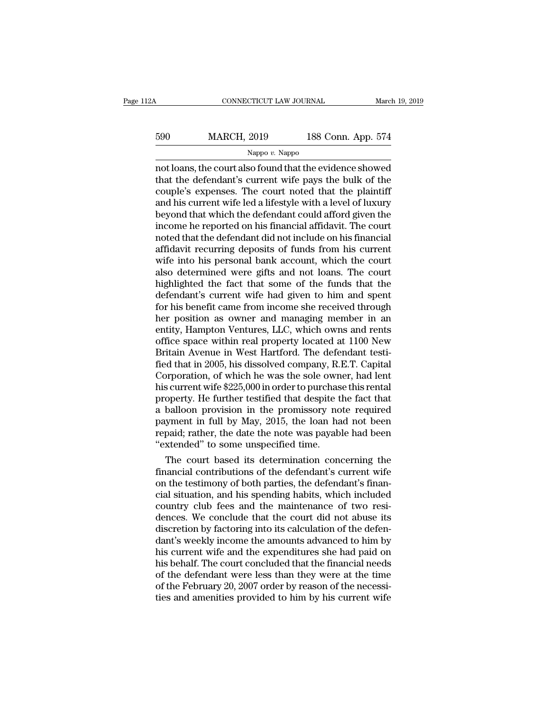| 12A | CONNECTICUT LAW JOURNAL |                    | March 19, 2019 |
|-----|-------------------------|--------------------|----------------|
| 590 | <b>MARCH, 2019</b>      | 188 Conn. App. 574 |                |
|     | Nappo $v$ . Nappo       |                    |                |

CONNECTICUT LAW JOURNAL March 19, 2019<br>
MARCH, 2019 188 Conn. App. 574<br>
Nappo v. Nappo<br>
not loans, the court also found that the evidence showed<br>
that the defendant's current wife pays the bulk of the<br>
couple's exponses. T MARCH, 2019 188 Conn. App. 574<br>
Nappo v. Nappo<br>
not loans, the court also found that the evidence showed<br>
that the defendant's current wife pays the bulk of the<br>
couple's expenses. The court noted that the plaintiff<br>
and h 590 MARCH, 2019 188 Conn. App. 574<br>
Nappo v. Nappo<br>
not loans, the court also found that the evidence showed<br>
that the defendant's current wife pays the bulk of the<br>
couple's expenses. The court noted that the plaintiff<br>  $\frac{\text{Nappo }v. \text{ Nappo}}{\text{Nappo }v. \text{ Nappo}}$ <br>
not loans, the court also found that the evidence showed<br>
that the defendant's current wife pays the bulk of the<br>
couple's expenses. The court noted that the plaintiff<br>
and his curren Nappo v. Nappo<br>
Nappo v. Nappo<br>
not loans, the court also found that the evidence showed<br>
that the defendant's current wife pays the bulk of the<br>
couple's expenses. The court noted that the plaintiff<br>
and his current wife Nappo  $v$ . Nappo<br>not loans, the court also found that the evidence showed<br>that the defendant's current wife pays the bulk of the<br>couple's expenses. The court noted that the plaintiff<br>and his current wife led a lifestyle w not loans, the court also found that the evidence showed<br>that the defendant's current wife pays the bulk of the<br>couple's expenses. The court noted that the plaintiff<br>and his current wife led a lifestyle with a level of lux that the defendant's current wife pays the bulk of the couple's expenses. The court noted that the plaintiff and his current wife led a lifestyle with a level of luxury beyond that which the defendant could afford given th couple's expenses. The court noted that the plaintiff<br>and his current wife led a lifestyle with a level of luxury<br>beyond that which the defendant could afford given the<br>income he reported on his financial affidavit. The co and his current wife led a lifestyle with a level of luxury<br>beyond that which the defendant could afford given the<br>income he reported on his financial affidavit. The court<br>noted that the defendant did not include on his fi beyond that which the defendant could afford given the<br>income he reported on his financial affidavit. The court<br>noted that the defendant did not include on his financial<br>affidavit recurring deposits of funds from his curre income he reported on his financial affidavit. The court<br>noted that the defendant did not include on his financial<br>affidavit recurring deposits of funds from his current<br>wife into his personal bank account, which the court noted that the defendant did not include on his financial<br>affidavit recurring deposits of funds from his current<br>wife into his personal bank account, which the court<br>also determined were gifts and not loans. The court<br>high affidavit recurring deposits of funds from his current<br>wife into his personal bank account, which the court<br>also determined were gifts and not loans. The court<br>highlighted the fact that some of the funds that the<br>defendant wife into his personal bank account, which the court<br>also determined were gifts and not loans. The court<br>highlighted the fact that some of the funds that the<br>defendant's current wife had given to him and spent<br>for his bene also determined were gifts and not loans. The court<br>highlighted the fact that some of the funds that the<br>defendant's current wife had given to him and spent<br>for his benefit came from income she received through<br>her positio highlighted the fact that some of the funds that the<br>defendant's current wife had given to him and spent<br>for his benefit came from income she received through<br>her position as owner and managing member in an<br>entity, Hampton defendant's current wife had given to him and spent<br>for his benefit came from income she received through<br>her position as owner and managing member in an<br>entity, Hampton Ventures, LLC, which owns and rents<br>office space wit for his benefit came from income she received through<br>her position as owner and managing member in an<br>entity, Hampton Ventures, LLC, which owns and rents<br>office space within real property located at 1100 New<br>Britain Avenue her position as owner and managing member in an<br>entity, Hampton Ventures, LLC, which owns and rents<br>office space within real property located at 1100 New<br>Britain Avenue in West Hartford. The defendant testi-<br>fied that in 2 entity, Hampton Ventures, LLC, which owns and rents<br>office space within real property located at 1100 New<br>Britain Avenue in West Hartford. The defendant testi-<br>fied that in 2005, his dissolved company, R.E.T. Capital<br>Corpo office space within real property located at 1100 New<br>Britain Avenue in West Hartford. The defendant testi-<br>fied that in 2005, his dissolved company, R.E.T. Capital<br>Corporation, of which he was the sole owner, had lent<br>his Britain Avenue in West Hartford. The defendant testi-<br>fied that in 2005, his dissolved company, R.E.T. Capital<br>Corporation, of which he was the sole owner, had lent<br>his current wife \$225,000 in order to purchase this renta fied that in 2005, his dissolved company, R.E.T. Capital<br>Corporation, of which he was the sole owner, had lent<br>his current wife \$225,000 in order to purchase this rental<br>property. He further testified that despite the fact Corporation, of which he was the sole own<br>his current wife \$225,000 in order to purchas<br>property. He further testified that despite t<br>a balloon provision in the promissory no<br>payment in full by May, 2015, the loan ha<br>repai s current wire \$225,000 in order to purchase this rental<br>operty. He further testified that despite the fact that<br>balloon provision in the promissory note required<br>yment in full by May, 2015, the loan had not been<br>paid; rat property. He further testified that despite the fact that<br>a balloon provision in the promissory note required<br>payment in full by May, 2015, the loan had not been<br>repaid; rather, the date the note was payable had been<br>"exte

a balloon provision in the promissory note required<br>payment in full by May, 2015, the loan had not been<br>repaid; rather, the date the note was payable had been<br>"extended" to some unspecified time.<br>The court based its determ payment in rull by May, 2015, the loan had not been<br>repaid; rather, the date the note was payable had been<br>"extended" to some unspecified time.<br>The court based its determination concerning the<br>financial contributions of th repaid; rather, the date the note was payable had been<br>"extended" to some unspecified time.<br>The court based its determination concerning the<br>financial contributions of the defendant's current wife<br>on the testimony of both "extended" to some unspectmed tme.<br>The court based its determination concerning the<br>financial contributions of the defendant's current wife<br>on the testimony of both parties, the defendant's finan-<br>cial situation, and his s The court based its determination concerning the<br>financial contributions of the defendant's current wife<br>on the testimony of both parties, the defendant's finan-<br>cial situation, and his spending habits, which included<br>coun financial contributions of the defendant's current wife<br>on the testimony of both parties, the defendant's finan-<br>cial situation, and his spending habits, which included<br>country club fees and the maintenance of two resi-<br>de on the testimony of both parties, the defendant's financial situation, and his spending habits, which included<br>country club fees and the maintenance of two resi-<br>dences. We conclude that the court did not abuse its<br>discret cial situation, and his spending habits, which included<br>country club fees and the maintenance of two resi-<br>dences. We conclude that the court did not abuse its<br>discretion by factoring into its calculation of the defen-<br>dan country club fees and the maintenance of two resi-<br>dences. We conclude that the court did not abuse its<br>discretion by factoring into its calculation of the defen-<br>dant's weekly income the amounts advanced to him by<br>his cur dences. We conclude that the court did not abuse its<br>discretion by factoring into its calculation of the defen-<br>dant's weekly income the amounts advanced to him by<br>his current wife and the expenditures she had paid on<br>his discretion by factoring into its calculation of the defendant's weekly income the amounts advanced to him by his current wife and the expenditures she had paid on his behalf. The court concluded that the financial needs of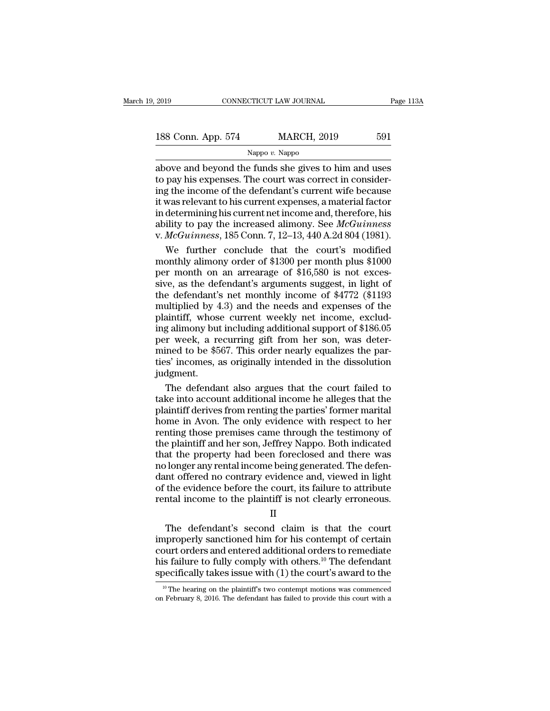Nappo *v.* Nappo

2019 CONNECTICUT LAW JOURNAL Page 113A<br>
188 Conn. App. 574 MARCH, 2019 591<br>
Nappo v. Nappo<br>
above and beyond the funds she gives to him and uses<br>
to pay his expenses. The court was correct in consider-<br>
ing the income of t 188 Conn. App. 574 MARCH, 2019 591<br>
Nappo v. Nappo<br>
above and beyond the funds she gives to him and uses<br>
to pay his expenses. The court was correct in consider-<br>
ing the income of the defendant's current wife because<br>
it 188 Conn. App. 574 MARCH, 2019 591<br>
Nappo v. Nappo<br>
above and beyond the funds she gives to him and uses<br>
to pay his expenses. The court was correct in consider-<br>
ing the income of the defendant's current wife because<br>
it 188 Conn. App. 574 MARCH, 2019 591<br>
Nappo v. Nappo<br>
above and beyond the funds she gives to him and uses<br>
to pay his expenses. The court was correct in consider-<br>
ing the income of the defendant's current wife because<br>
it Nappo v. Nappo<br>
Nappo v. Nappo<br>
Nappo v. Nappo<br>
doove and beyond the funds she gives to him and uses<br>
to pay his expenses. The court was correct in consider-<br>
ing the income of the defendant's current wife because<br>
it was Nappo v. Nappo<br>above and beyond the funds she gives to him and uses<br>to pay his expenses. The court was correct in consider-<br>ing the income of the defendant's current wife because<br>it was relevant to his current expenses, a above and beyond the funds she gives to him and uses<br>to pay his expenses. The court was correct in consider-<br>ing the income of the defendant's current wife because<br>it was relevant to his current expenses, a material factor pay his expenses. The court was correct in consider-<br>g the income of the defendant's current wife because<br>was relevant to his current expenses, a material factor<br>determining his current net income and, therefore, his<br>ilit ing the income of the defendant's current wife because<br>it was relevant to his current expenses, a material factor<br>in determining his current net income and, therefore, his<br>ability to pay the increased alimony. See  $McGuinness$ <br>

it was relevant to his current expenses, a material factor<br>in determining his current net income and, therefore, his<br>ability to pay the increased alimony. See McGuinness<br>v. McGuinness, 185 Conn. 7, 12–13, 440 A.2d 804 (19 in determining his current net income and, therefore, his<br>ability to pay the increased alimony. See McGuinness<br>v. McGuinness, 185 Conn. 7, 12–13, 440 A.2d 804 (1981).<br>We further conclude that the court's modified<br>monthly ability to pay the increased alimony. See *McGuinness*<br>v. *McGuinness*, 185 Conn. 7, 12–13, 440 A.2d 804 (1981).<br>We further conclude that the court's modified<br>monthly alimony order of \$1300 per month plus \$1000<br>per month v. *McGuinness*, 185 Conn. 7, 12–13, 440 A.2d 804 (1981).<br>We further conclude that the court's modified<br>monthly alimony order of \$1300 per month plus \$1000<br>per month on an arrearage of \$16,580 is not exces-<br>sive, as the d We further conclude that the court's modified<br>monthly alimony order of \$1300 per month plus \$1000<br>per month on an arrearage of \$16,580 is not exces-<br>sive, as the defendant's arguments suggest, in light of<br>the defendant's monthly alimony order of \$1300 per month plus \$1000<br>per month on an arrearage of \$16,580 is not exces-<br>sive, as the defendant's arguments suggest, in light of<br>the defendant's net monthly income of \$4772 (\$1193<br>multiplied b per month on an arrearage of \$16,580 is not excessive, as the defendant's arguments suggest, in light of the defendant's net monthly income of \$4772 (\$1193 multiplied by 4.3) and the needs and expenses of the plaintiff, wh sive, as the defendant's arguments suggest, in light of<br>the defendant's net monthly income of \$4772 (\$1193<br>multiplied by 4.3) and the needs and expenses of the<br>plaintiff, whose current weekly net income, exclud-<br>ing alimo the defendant's net monthly income of \$4772 (\$1193<br>multiplied by 4.3) and the needs and expenses of the<br>plaintiff, whose current weekly net income, exclud-<br>ing alimony but including additional support of \$186.05<br>per week, judgment. in the definition of state and the parties' former merids and the parties of the defendant also argues the parties' incomes, as originally intended in the dissolution dynest.<br>The defendant also argues that the court failed ing alimony but including additional support of \$186.05<br>per week, a recurring gift from her son, was deter-<br>mined to be \$567. This order nearly equalizes the par-<br>ties' incomes, as originally intended in the dissolution<br>ju

per week, a recurring gift from her son, was determined to be \$567. This order nearly equalizes the parties' incomes, as originally intended in the dissolution judgment.<br>The defendant also argues that the court failed to t mined to be \$567. This order nearly equalizes the parties' incomes, as originally intended in the dissolution<br>judgment.<br>The defendant also argues that the court failed to<br>take into account additional income he alleges that ties' incomes, as originally intended in the dissolution<br>judgment.<br>The defendant also argues that the court failed to<br>take into account additional income he alleges that the<br>plaintiff derives from renting the parties' form judgment.<br>The defendant also argues that the court failed to<br>take into account additional income he alleges that the<br>plaintiff derives from renting the parties' former marital<br>home in Avon. The only evidence with respect t The defendant also argues that the court failed to<br>take into account additional income he alleges that the<br>plaintiff derives from renting the parties' former marital<br>home in Avon. The only evidence with respect to her<br>rent The document and digital income he alleges that the plaintiff derives from renting the parties' former marital<br>home in Avon. The only evidence with respect to her<br>renting those premises came through the testimony of<br>the pl plaintiff derives from renting the parties' former marital<br>home in Avon. The only evidence with respect to her<br>renting those premises came through the testimony of<br>the plaintiff and her son, Jeffrey Nappo. Both indicated<br>t Frament Moon. The only evidence with respect to her<br>renting those premises came through the testimony of<br>the plaintiff and her son, Jeffrey Nappo. Both indicated<br>that the property had been foreclosed and there was<br>no longe renting those premises came through the testimony of<br>the plaintiff and her son, Jeffrey Nappo. Both indicated<br>that the property had been foreclosed and there was<br>no longer any rental income being generated. The defen-<br>dant at the property had been foreclosed and there was<br>longer any rental income being generated. The defen-<br>nt offered no contrary evidence and, viewed in light<br>the evidence before the court, its failure to attribute<br>ntal incom

II

mo longer any rental income being generated. The defendant offered no contrary evidence and, viewed in light<br>of the evidence before the court, its failure to attribute<br>rental income to the plaintiff is not clearly erroneo dant oriered no contrary evidence and, viewed in light<br>of the evidence before the court, its failure to attribute<br>rental income to the plaintiff is not clearly erroneous.<br> $II$ <br>The defendant's second claim is that the court or the evidence before the court, its failure to attribute<br>rental income to the plaintiff is not clearly erroneous.<br> $II$ <br>The defendant's second claim is that the court<br>improperly sanctioned him for his contempt of certain<br> Frental income to the plaintiff is not clearly erroneous.<br>
II<br>
The defendant's second claim is that the court<br>
improperly sanctioned him for his contempt of certain<br>
court orders and entered additional orders to remediate mproperly sanctioned him for his contempt of certain<br>burt orders and entered additional orders to remediate<br>is failure to fully comply with others.<sup>10</sup> The defendant<br>pecifically takes issue with (1) the court's award to t court orders and entered additional orders to remediate<br>his failure to fully comply with others.<sup>10</sup> The defendant<br>specifically takes issue with (1) the court's award to the<br><sup>10</sup> The hearing on the plaintiff's two contemp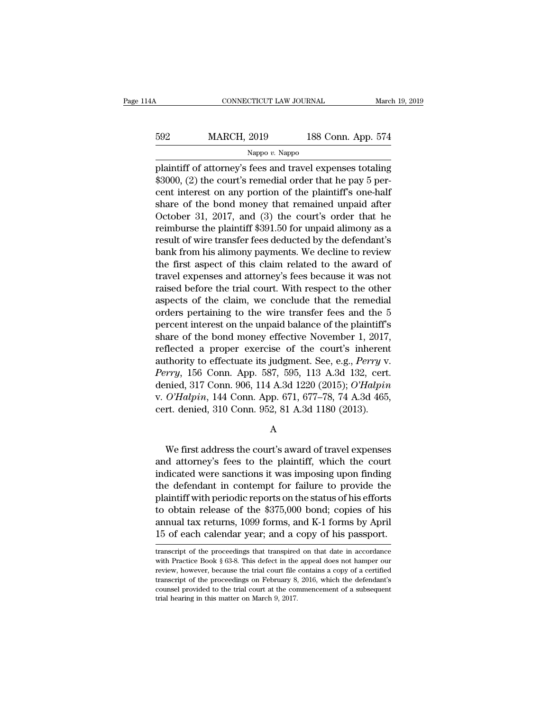| 14A | CONNECTICUT LAW JOURNAL |                    | March 19, 2019 |
|-----|-------------------------|--------------------|----------------|
| 592 | <b>MARCH, 2019</b>      | 188 Conn. App. 574 |                |
|     | Nappo $v$ . Nappo       |                    |                |

cONNECTICUT LAW JOURNAL March 19, 2019<br>
592 MARCH, 2019 188 Conn. App. 574<br>
Nappo v. Nappo<br>
plaintiff of attorney's fees and travel expenses totaling<br>
\$3000, (2) the court's remedial order that he pay 5 per-592 MARCH, 2019 188 Conn. App. 574<br>
Nappo v. Nappo<br>
plaintiff of attorney's fees and travel expenses totaling<br>
\$3000, (2) the court's remedial order that he pay 5 per-<br>
cent interest on any portion of the plaintiff's one-h 592 MARCH, 2019 188 Conn. App. 574<br>Nappo v. Nappo<br>plaintiff of attorney's fees and travel expenses totaling<br>\$3000, (2) the court's remedial order that he pay 5 per-<br>cent interest on any portion of the plaintiff's one-half Sommary MARCH, 2019 188 Conn. App. 574<br>
Nappo v. Nappo<br>
plaintiff of attorney's fees and travel expenses totaling<br>
\$3000, (2) the court's remedial order that he pay 5 per-<br>
cent interest on any portion of the plaintiff's Nappo v. Nappo<br>plaintiff of attorney's fees and travel expenses totaling<br>\$3000, (2) the court's remedial order that he pay 5 per-<br>cent interest on any portion of the plaintiff's one-half<br>share of the bond money that remai region of the plaintiff of attorney's fees and travel expenses totaling<br>\$3000, (2) the court's remedial order that he pay 5 per-<br>cent interest on any portion of the plaintiff's one-half<br>share of the bond money that remain plaintiff of attorney's fees and travel expenses totaling<br>\$3000, (2) the court's remedial order that he pay 5 per-<br>cent interest on any portion of the plaintiff's one-half<br>share of the bond money that remained unpaid after \$3000, (2) the court's remedial order that he pay 5 percent interest on any portion of the plaintiff's one-half<br>share of the bond money that remained unpaid after<br>October 31, 2017, and (3) the court's order that he<br>reimbur cent interest on any portion of the plaintiff's one-half<br>share of the bond money that remained unpaid after<br>October 31, 2017, and (3) the court's order that he<br>reimburse the plaintiff \$391.50 for unpaid alimony as a<br>result share of the bond money that remained unpaid after<br>October 31, 2017, and (3) the court's order that he<br>reimburse the plaintiff \$391.50 for unpaid alimony as a<br>result of wire transfer fees deducted by the defendant's<br>bank f October 31, 2017, and (3) the court's order that he<br>reimburse the plaintiff \$391.50 for unpaid alimony as a<br>result of wire transfer fees deducted by the defendant's<br>bank from his alimony payments. We decline to review<br>the reimburse the plaintiff \$391.50 for unpaid alimony as a<br>result of wire transfer fees deducted by the defendant's<br>bank from his alimony payments. We decline to review<br>the first aspect of this claim related to the award of<br>t result of wire transfer fees deducted by the defendant's<br>bank from his alimony payments. We decline to review<br>the first aspect of this claim related to the award of<br>travel expenses and attorney's fees because it was not<br>ra bank from his alimony payments. We decline to review<br>the first aspect of this claim related to the award of<br>travel expenses and attorney's fees because it was not<br>raised before the trial court. With respect to the other<br>as the first aspect of this claim related to the award of<br>travel expenses and attorney's fees because it was not<br>raised before the trial court. With respect to the other<br>aspects of the claim, we conclude that the remedial<br>ord travel expenses and attorney's fees because it was not<br>raised before the trial court. With respect to the other<br>aspects of the claim, we conclude that the remedial<br>orders pertaining to the wire transfer fees and the 5<br>per raised before the trial court. With respect to the other<br>aspects of the claim, we conclude that the remedial<br>orders pertaining to the wire transfer fees and the 5<br>percent interest on the unpaid balance of the plaintiff's<br>s aspects of the claim, we conclude that the remedial<br>
percent interest on the unpaid balance of the plaintiff's<br>
share of the bond money effective November 1, 2017,<br>
reflected a proper exercise of the court's inherent<br>
auth orders pertaining to the wire transfer fees and the 5<br>percent interest on the unpaid balance of the plaintiff's<br>share of the bond money effective November 1, 2017,<br>reflected a proper exercise of the court's inherent<br>author percent interest on the unpaid balance of the plaintiff's<br>share of the bond money effective November 1, 2017,<br>reflected a proper exercise of the court's inherent<br>authority to effectuate its judgment. See, e.g., *Perry v.*<br> share of the bond money effective November 1, 2017,<br>reflected a proper exercise of the court's inherent<br>authority to effectuate its judgment. See, e.g., *Perry* v.<br>*Perry*, 156 Conn. App. 587, 595, 113 A.3d 132, cert.<br>deni We first address the court's award of travel expenses<br>determined, 317 Conn. 906, 114 A.3d 1220 (2015); O'Halpin<br>O'Halpin, 144 Conn. App. 671, 677–78, 74 A.3d 465,<br>rt. denied, 310 Conn. 952, 81 A.3d 1180 (2013).<br>A<br>We first

A

v. O'Halpin, 144 Conn. 952, 81 A.3d 1180 (2019), 8 Halpin<br>v. O'Halpin, 144 Conn. 952, 81 A.3d 1180 (2013).<br>A<br>We first address the court's award of travel expenses<br>and attorney's fees to the plaintiff, which the court<br>indi in the defendant in the same of the defendant of the defendant in contempt for failure to provide the plaintiff with popularity and  $\frac{1}{2}$  and  $\frac{1}{2}$  and  $\frac{1}{2}$  at  $\frac{1}{2}$  and  $\frac{1}{2}$  at  $\frac{1}{2}$  and  $\frac{1}{2$ A<br>
We first address the court's award of travel expenses<br>
and attorney's fees to the plaintiff, which the court<br>
indicated were sanctions it was imposing upon finding<br>
the defendant in contempt for failure to provide the<br> A<br>We first address the court's award of travel expenses<br>and attorney's fees to the plaintiff, which the court<br>indicated were sanctions it was imposing upon finding<br>the defendant in contempt for failure to provide the<br>plai We first address the court's award of travel expenses<br>and attorney's fees to the plaintiff, which the court<br>indicated were sanctions it was imposing upon finding<br>the defendant in contempt for failure to provide the<br>plainti We first address the court's award of travel expenses<br>and attorney's fees to the plaintiff, which the court<br>indicated were sanctions it was imposing upon finding<br>the defendant in contempt for failure to provide the<br>plainti and attorney's fees to the plaintiff, which the court<br>indicated were sanctions it was imposing upon finding<br>the defendant in contempt for failure to provide the<br>plaintiff with periodic reports on the status of his efforts<br> plaintiff with periodic reports on the status of his efforts<br>to obtain release of the \$375,000 bond; copies of his<br>annual tax returns, 1099 forms, and K-1 forms by April<br>15 of each calendar year; and a copy of his passpor to obtain release of the \$375,000 bond; copies of his<br>annual tax returns, 1099 forms, and K-1 forms by April<br>15 of each calendar year; and a copy of his passport.<br>transcript of the proceedings that transpired on that date

annual tax returns, 1099 forms, and K-1 forms by April<br>15 of each calendar year; and a copy of his passport.<br>transcript of the proceedings that transpired on that date in accordance<br>with Practice Book § 63-8. This defect i 15 of each calendar year; and a copy of his passport.<br>
transcript of the proceedings that transpired on that date in accordance<br>
with Practice Book § 63-8. This defect in the appeal does not hamper our<br>
review, however, be To Of each Calendar year, and a Copy Of his passport.<br>
transcript of the proceedings that transpired on that date in accordance<br>
with Practice Book § 63-8. This defect in the appeal does not hamper our<br>
review, however, be transcript of the proceedings that transpire<br>with Practice Book § 63-8. This defect in the<br>review, however, because the trial court file<br>transcript of the proceedings on February 8,<br>counsel provided to the trial court at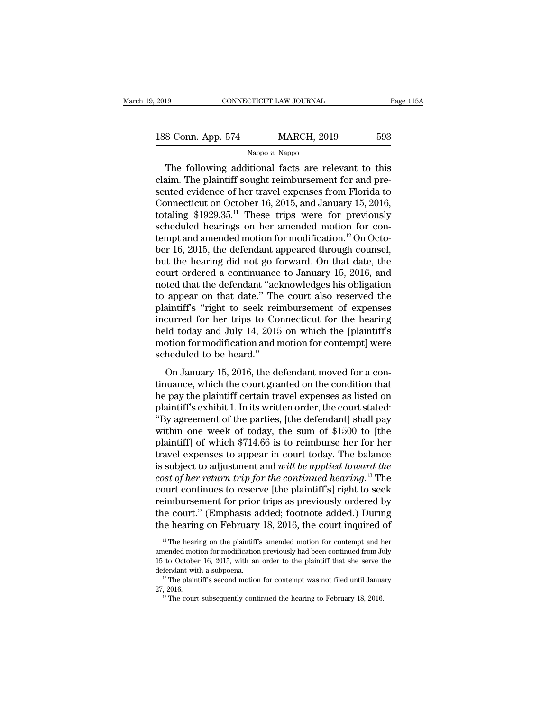2019 CONNECTICUT LAW JOURNAL Page 115A<br>188 Conn. App. 574 MARCH, 2019 593<br>Nappo v. Nappo

## Nappo *v.* Nappo

The following additional facts are relevant to this<br>
The following additional facts are relevant to this<br>
time. The plaintiff sought reimbursement for and pre-188 Conn. App. 574 MARCH, 2019 593<br>Nappo v. Nappo<br>The following additional facts are relevant to this<br>claim. The plaintiff sought reimbursement for and pre-<br>sented evidence of her travel expenses from Florida to<br>Connecticu 188 Conn. App. 574 MARCH, 2019 593<br>
Nappo v. Nappo<br>
The following additional facts are relevant to this<br>
claim. The plaintiff sought reimbursement for and pre-<br>
sented evidence of her travel expenses from Florida to<br>
Conn 188 Conn. App. 574 MARCH, 2019 593<br>
Nappo v. Nappo<br>
The following additional facts are relevant to this<br>
claim. The plaintiff sought reimbursement for and pre-<br>
sented evidence of her travel expenses from Florida to<br>
Conne The following additional facts are relevant to this<br>claim. The plaintiff sought reimbursement for and pre-<br>sented evidence of her travel expenses from Florida to<br>Connecticut on October 16, 2015, and January 15, 2016,<br>tota Suppo v. Nappo<br>The following additional facts are relevant to this<br>claim. The plaintiff sought reimbursement for and pre-<br>sented evidence of her travel expenses from Florida to<br>Connecticut on October 16, 2015, and January The following additional facts are relevant to this<br>claim. The plaintiff sought reimbursement for and pre-<br>sented evidence of her travel expenses from Florida to<br>Connecticut on October 16, 2015, and January 15, 2016,<br>tota claim. The plaintiff sought reimbursement for and pre-<br>sented evidence of her travel expenses from Florida to<br>Connecticut on October 16, 2015, and January 15, 2016,<br>totaling \$1929.35.<sup>11</sup> These trips were for previously<br>s sented evidence of her travel expenses from Florida to<br>Connecticut on October 16, 2015, and January 15, 2016,<br>totaling \$1929.35.<sup>11</sup> These trips were for previously<br>scheduled hearings on her amended motion for con-<br>tempt a Connecticut on October 16, 2015, and January 15, 2016,<br>totaling \$1929.35.<sup>11</sup> These trips were for previously<br>scheduled hearings on her amended motion for con-<br>tempt and amended motion for modification.<sup>12</sup> On Octo-<br>ber 1 totaling \$1929.35.<sup>11</sup> These trips were for previously<br>scheduled hearings on her amended motion for con-<br>tempt and amended motion for modification.<sup>12</sup> On Octo-<br>ber 16, 2015, the defendant appeared through counsel,<br>but th scheduled hearings on her amended motion for con-<br>tempt and amended motion for modification.<sup>12</sup> On Octo-<br>ber 16, 2015, the defendant appeared through counsel,<br>but the hearing did not go forward. On that date, the<br>court or tempt and amended motion for modification.<sup>12</sup> On October 16, 2015, the defendant appeared through counsel,<br>but the hearing did not go forward. On that date, the<br>court ordered a continuance to January 15, 2016, and<br>noted ber 16, 2015, the defendant appeared through counsel,<br>but the hearing did not go forward. On that date, the<br>court ordered a continuance to January 15, 2016, and<br>noted that the defendant "acknowledges his obligation<br>to appe but the hearing did not go forward. On that date, the<br>court ordered a continuance to January 15, 2016, and<br>noted that the defendant "acknowledges his obligation<br>to appear on that date." The court also reserved the<br>plaintif court ordered a continuance to January 15, 2016, and<br>noted that the defendant "acknowledges his obligation<br>to appear on that date." The court also reserved the<br>plaintiff's "right to seek reimbursement of expenses<br>incurred noted that the defendant "actomore appear on that date." The plaintiff's "right to seek reincurred for her trips to Co held today and July 14, 2018 motion for modification and representation of the mean of the scheduled to appear on that date. The court also reserved the<br>aintiff's "right to seek reimbursement of expenses<br>curred for her trips to Connecticut for the hearing<br>ld today and July 14, 2015 on which the [plaintiff's<br>botion for modifi plantin 3 Tight to seek remibulisement of expenses<br>incurred for her trips to Connecticut for the hearing<br>held today and July 14, 2015 on which the [plaintiff's<br>motion for modification and motion for contempt] were<br>schedule

he plaintiff certains and motion for the hearing<br>held today and July 14, 2015 on which the [plaintiff's<br>motion for modification and motion for contempt] were<br>scheduled to be heard."<br>On January 15, 2016, the defendant moved plants and buty 11, 2010 of which the [plants motion for modification and motion for contempt] were<br>scheduled to be heard."<br>On January 15, 2016, the defendant moved for a con-<br>tinuance, which the court granted on the condi scheduled to be heard."<br>
On January 15, 2016, the defendant moved for a continuance, which the court granted on the condition that<br>
he pay the plaintiff certain travel expenses as listed on<br>
plaintiff's exhibit 1. In its w On January 15, 2016, the defendant moved for a continuance, which the court granted on the condition that<br>he pay the plaintiff certain travel expenses as listed on<br>plaintiff's exhibit 1. In its written order, the court st On January 15, 2016, the defendant moved for a continuance, which the court granted on the condition that<br>he pay the plaintiff certain travel expenses as listed on<br>plaintiff's exhibit 1. In its written order, the court sta tinuance, which the court granted on the condition that<br>he pay the plaintiff certain travel expenses as listed on<br>plaintiff's exhibit 1. In its written order, the court stated:<br>"By agreement of the parties, [the defendant he pay the plaintiff certain travel expenses as listed on<br>plaintiff's exhibit 1. In its written order, the court stated:<br>"By agreement of the parties, [the defendant] shall pay<br>within one week of today, the sum of \$1500 to plaintiff's exhibit 1. In its written order, the court stated:<br>"By agreement of the parties, [the defendant] shall pay<br>within one week of today, the sum of \$1500 to [the<br>plaintiff] of which \$714.66 is to reimburse her for "By agreement of the parties, [the defendant] shall pay<br>within one week of today, the sum of \$1500 to [the<br>plaintiff] of which \$714.66 is to reimburse her for her<br>travel expenses to appear in court today. The balance<br>is s within one week of today, the sum of \$1500 to [the<br>plaintiff] of which \$714.66 is to reimburse her for her<br>travel expenses to appear in court today. The balance<br>is subject to adjustment and *will be applied toward the*<br>cos plaintiff] of which \$714.66 is to reimburse her for her<br>travel expenses to appear in court today. The balance<br>is subject to adjustment and *will be applied toward the*<br>cost of her return trip for the continued hearing.<sup>13</sup> travel expenses to appear in court today. The balance<br>is subject to adjustment and *will be applied toward the*<br>cost of her return trip for the continued hearing.<sup>13</sup> The<br>court continues to reserve [the plaintiff's] right burt continues to reserve [the plaintiff's] right to seek<br>
eimbursement for prior trips as previously ordered by<br>
ie court." (Emphasis added; footnote added.) During<br>
ie hearing on February 18, 2016, the court inquired of<br> reimbursement for prior trips as previously ordered by<br>the court." (Emphasis added; footnote added.) During<br>the hearing on February 18, 2016, the court inquired of<br><sup>11</sup> The hearing on the plaintiff's amended motion for con

the court." (Emphasis added; footnote added.) During<br>the hearing on February 18, 2016, the court inquired of<br> $\frac{11}{10}$  The hearing on the plaintiff's amended motion for contempt and her<br>amended motion for modification p the hearing on February 18, 2016, the court inquired of<br>
<sup>11</sup> The hearing on the plaintiff's amended motion for contempt and her<br>
amended motion for modification previously had been continued from July<br>
15 to October 16, <sup>11</sup> The hearing on the plaintiff's amended motion for contempt and her amended motion for modification previously had been continued from July 15 to October 16, 2015, with an order to the plaintiff that she serve the def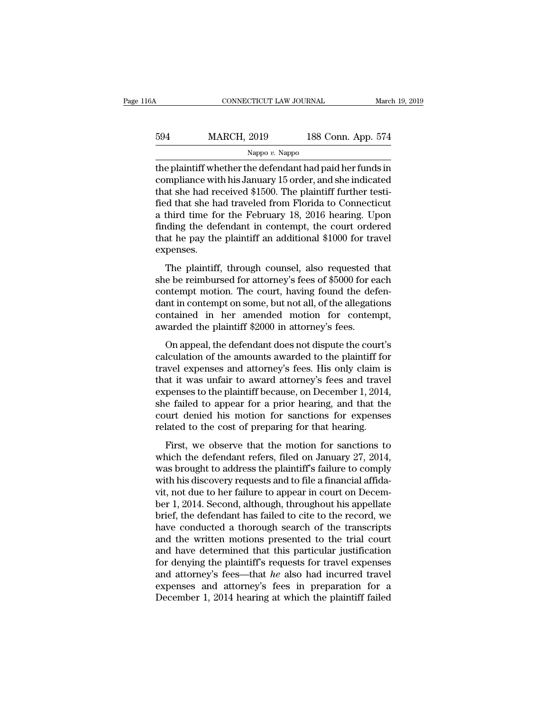# CONNECTICUT LAW JOURNAL March 19, 2019<br>594 MARCH, 2019 188 Conn. App. 574<br>Nappo v. Nappo Nappo *v.* Nappo

CONNECTICUT LAW JOURNAL March 19, 2019<br>
MARCH, 2019 188 Conn. App. 574<br>
Nappo v. Nappo<br>
the plaintiff whether the defendant had paid her funds in<br>
compliance with his January 15 order, and she indicated<br>
that she had recei  $\begin{array}{cc}\n 594 & \text{MARCH, } 2019 & \text{188 Conn. App. } 574 \\
 \hline\n \text{Nappo } v. \text{ Nappo} \\
 \text{the plaintiff whether the defendant had paid her funds in compliance with his January 15 order, and she indicated that she had received $1500. The plaintiff further testified that she had travelled from Florida to Connecticut\n\end{array}$  $\begin{tabular}{ll} \hline \textbf{594} & \textbf{MARCH, 2019} & \textbf{188 Conn. App. 574} \\ \hline \textbf{188 P} & \textbf{188 Conn. App. 574} \\ \hline \textbf{189 P} & \textbf{189 P} \\ \hline \end{tabular} \textbf{the plaintiff whether the defendant had paid her funds in compliance with his January 15 order, and she indicated that she had received $1500. The plaintiff further testified that she had traveled from Florida to Connecticut a third time for the February 18–2016 hoaring. Upon$  $\frac{\text{NAPCH, 2019}}{\text{Nappo } v. \text{ Nappo}}$ <br>
the plaintiff whether the defendant had paid her funds in<br>
compliance with his January 15 order, and she indicated<br>
that she had received \$1500. The plaintiff further testi-<br>
fied that s Nappo v. Nappo<br>
Nappo v. Nappo<br>
the plaintiff whether the defendant had paid her funds in<br>
compliance with his January 15 order, and she indicated<br>
that she had received \$1500. The plaintiff further testi-<br>
fied that she Nappo v. Nappo<br>the plaintiff whether the defendant had paid her funds in<br>compliance with his January 15 order, and she indicated<br>that she had received \$1500. The plaintiff further testi-<br>fied that she had traveled from Fl the plaintiff whether the defendant had paid her funds in<br>compliance with his January 15 order, and she indicated<br>that she had received \$1500. The plaintiff further testi-<br>fied that she had traveled from Florida to Connect expenses. In the plaintiff, through counsel, also requested that e be reimbursed for a through connecticut<br>third time for the February 18, 2016 hearing. Upon<br>ding the defendant in contempt, the court ordered<br>at he pay the plaintiff she is a third time for the February 18, 2016 hearing. Upon<br>finding the defendant in contempt, the court ordered<br>that he pay the plaintiff an additional \$1000 for travel<br>expenses.<br>The plaintiff, through counsel, also reque

contempt motion. The contempt, the court ordered<br>that he pay the plaintiff an additional \$1000 for travel<br>expenses.<br>The plaintiff, through counsel, also requested that<br>she be reimbursed for attorney's fees of \$5000 for eac that he pay the plaintiff an additional \$1000 for travel<br>expenses.<br>The plaintiff, through counsel, also requested that<br>she be reimbursed for attorney's fees of \$5000 for each<br>contempt motion. The court, having found the d expenses.<br>The plaintiff, through counsel, also requested that<br>she be reimbursed for attorney's fees of \$5000 for each<br>contempt motion. The court, having found the defen-<br>dant in contempt on some, but not all, of the allega The plaintiff, through counsel, also requested t<br>she be reimbursed for attorney's fees of \$5000 for ea<br>contempt motion. The court, having found the def<br>dant in contempt on some, but not all, of the allegatic<br>contained in h rhe plantant, anough counset, also requested that<br>e be reimbursed for attorney's fees of \$5000 for each<br>ntempt motion. The court, having found the defen-<br>nt in contempt on some, but not all, of the allegations<br>ntained in h EXECUTE CONTROLLED IN A CONTROLLED TO A CONTROLLED CONTROLLED CONTROLLED CONTROLLED AND A CONTROLLED AWARDED in altorney's fees.<br>
On appeal, the defendant does not dispute the court's calculation of the amounts awarded to

travel in contempt motion. The court, naving found are determined and the contrained in her amended motion for contempt, awarded the plaintiff \$2000 in attorney's fees.<br>On appeal, the defendant does not dispute the court's that it was unfaired in the amended motion for contempt,<br>awarded the plaintiff \$2000 in attorney's fees.<br>On appeal, the defendant does not dispute the court's<br>calculation of the amounts awarded to the plaintiff for<br>travel expedience in the antichated motion for exhicuting,<br>awarded the plaintiff \$2000 in attorney's fees.<br>On appeal, the defendant does not dispute the court's<br>calculation of the amounts awarded to the plaintiff for<br>travel expen on appeal, the defendant does not dispute the court's<br>calculation of the amounts awarded to the plaintiff for<br>travel expenses and attorney's fees. His only claim is<br>that it was unfair to award attorney's fees and travel<br>ex On appeal, the defendant does not dispute the court's<br>calculation of the amounts awarded to the plaintiff for<br>travel expenses and attorney's fees. His only claim is<br>that it was unfair to award attorney's fees and travel<br>ex calculation of the amounts awarded to the plaintiff for<br>travel expenses and attorney's fees. His only claim is<br>that it was unfair to award attorney's fees and trave<br>expenses to the plaintiff because, on December 1, 2014<br>sh and it was unfair to award attorney's fees. This only claim is<br>at it was unfair to award attorney's fees and travel<br>penses to the plaintiff because, on December 1, 2014,<br>e failed to appear for a prior hearing, and that the expenses to the plaintiff because, on December 1, 2014,<br>she failed to appear for a prior hearing, and that the<br>court denied his motion for sanctions for expenses<br>related to the cost of preparing for that hearing.<br>First, we

experises to are plaintiff because, on Becember 1, 2011,<br>she failed to appear for a prior hearing, and that the<br>court denied his motion for sanctions for expenses<br>related to the cost of preparing for that hearing.<br>First, w She hand to appear for a prior hearing, and that are<br>court denied his motion for sanctions for expenses<br>related to the cost of preparing for that hearing.<br>First, we observe that the motion for sanctions to<br>which the defend visited to the cost of preparing for that hearing.<br>
First, we observe that the motion for sanctions to<br>
which the defendant refers, filed on January 27, 2014,<br>
was brought to address the plaintiff's failure to comply<br>
with First, we observe that the motion for sanctions to<br>which the defendant refers, filed on January 27, 2014,<br>was brought to address the plaintiff's failure to comply<br>with his discovery requests and to file a financial affida-First, we observe that the motion for sanctions to<br>which the defendant refers, filed on January 27, 2014,<br>was brought to address the plaintiff's failure to comply<br>with his discovery requests and to file a financial affidawhich the defendant refers, filed on January 27, 2014,<br>was brought to address the plaintiff's failure to comply<br>with his discovery requests and to file a financial affida-<br>vit, not due to her failure to appear in court on was brought to address the plaintiff's failure to comply<br>with his discovery requests and to file a financial affida-<br>vit, not due to her failure to appear in court on Decem-<br>ber 1, 2014. Second, although, throughout his ap with his discovery requests and to file a financial affidavit, not due to her failure to appear in court on December 1, 2014. Second, although, throughout his appellate brief, the defendant has failed to cite to the record vit, not due to her failure to appear in court on December 1, 2014. Second, although, throughout his appellate brief, the defendant has failed to cite to the record, we have conducted a thorough search of the transcripts a ber 1, 2014. Second, although, throughout his appellate<br>brief, the defendant has failed to cite to the record, we<br>have conducted a thorough search of the transcripts<br>and the written motions presented to the trial court<br>and brief, the defendant has failed to cite to the record, we have conducted a thorough search of the transcripts and the written motions presented to the trial court and have determined that this particular justification for have conducted a thorough search of the transcripts<br>and the written motions presented to the trial court<br>and have determined that this particular justification<br>for denying the plaintiff's requests for travel expenses<br>and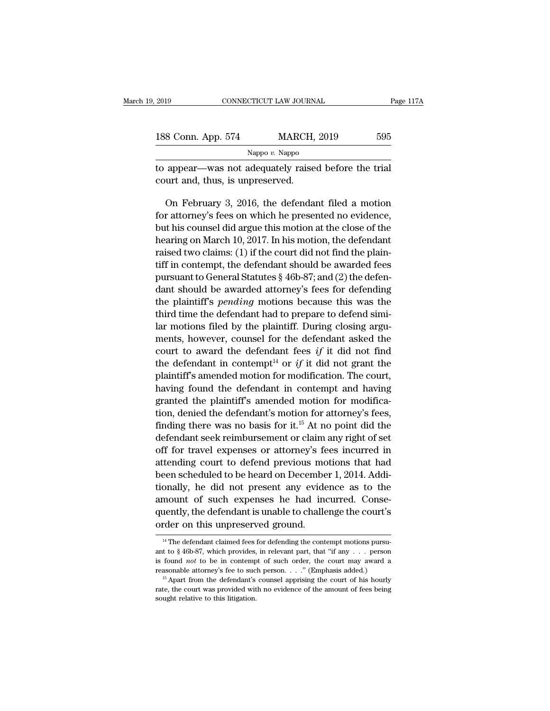| 2019                             | CONNECTICUT LAW JOURNAL                              | Page 117A |
|----------------------------------|------------------------------------------------------|-----------|
|                                  |                                                      |           |
| 188 Conn. App. 574               | <b>MARCH, 2019</b>                                   | 595       |
|                                  | Nappo $v$ . Nappo                                    |           |
| court and, thus, is unpreserved. | to appear—was not adequately raised before the trial |           |
|                                  | On February 3, 2016, the defendant filed a motion    |           |

8 Conn. App. 574 MARCH, 2019 595<br>Nappo v. Nappo<br>appear—was not adequately raised before the trial<br>urt and, thus, is unpreserved.<br>On February 3, 2016, the defendant filed a motion<br>r attorney's fees on which he presented no Nappo v. Nappo v. Nappo<br>to appear—was not adequately raised before the trial<br>court and, thus, is unpreserved.<br>On February 3, 2016, the defendant filed a motion<br>for attorney's fees on which he presented no evidence,<br>but hi but happer  $\frac{Napp0}{\epsilon}$ . Napper and the count and, thus, is unpreserved.<br>
On February 3, 2016, the defendant filed a motion for attorney's fees on which he presented no evidence, but his counsel did argue this motion at t to appear—was not adequately raised before the trial<br>court and, thus, is unpreserved.<br>On February 3, 2016, the defendant filed a motion<br>for attorney's fees on which he presented no evidence,<br>but his counsel did argue this court and, thus, is unpreserved.<br>
On February 3, 2016, the defendant filed a motion<br>
for attorney's fees on which he presented no evidence,<br>
but his counsel did argue this motion at the close of the<br>
hearing on March 10, On February 3, 2016, the defendant filed a motion<br>for attorney's fees on which he presented no evidence,<br>but his counsel did argue this motion at the close of the<br>hearing on March 10, 2017. In his motion, the defendant<br>ra on February 5, 2016, the defendant filed a motion<br>for attorney's fees on which he presented no evidence,<br>but his counsel did argue this motion at the close of the<br>hearing on March 10, 2017. In his motion, the defendant<br>ra for attorney's rees on which he presented no evidence,<br>but his counsel did argue this motion at the close of the<br>hearing on March 10, 2017. In his motion, the defendant<br>raised two claims: (1) if the court did not find the but his counser and argue this motion at the close of the<br>hearing on March 10, 2017. In his motion, the defendant<br>raised two claims: (1) if the court did not find the plain-<br>tiff in contempt, the defendant should be awarde the defendant should be awarded feeling<br>traised two claims: (1) if the court did not find the plain-<br>tiff in contempt, the defendant should be awarded fees<br>pursuant to General Statutes § 46b-87; and (2) the defen-<br>dant sh raised two claims: (1) if the court did not find the plain-<br>tiff in contempt, the defendant should be awarded fees<br>pursuant to General Statutes § 46b-87; and (2) the defen-<br>dant should be awarded attorney's fees for defen the mental statutes  $\S$  46b-87; and (2) the defendant should be awarded attorney's fees for defending<br>the plaintiff's *pending* motions because this was the<br>third time the defendant had to prepare to defend simi-<br>lar moti pursuant to General statutes  $\frac{1}{8}$  400-87; and (2) the defendant<br>dant should be awarded attorney's fees for defending<br>the plaintiff's *pending* motions because this was the<br>third time the defendant had to prepare to d dant should be awarded attorney's rees for defending<br>the plaintiff's *pending* motions because this was the<br>third time the defendant had to prepare to defend simi-<br>lar motions filed by the plaintiff. During closing argu-<br>m the plaintiff s *penaring* motions because this was the third time the defendant had to prepare to defend similar motions filed by the plaintiff. During closing arguments, however, counsel for the defendant asked the cour the defendant in the defendant in the defendant asked the<br>court to award the defendant fees if it did not find<br>the defendant in contempt<sup>14</sup> or if it did not find<br>the defendant in contempt<sup>14</sup> or if it did not grant the<br>p Figure 1.1 The plant of the defendant asked the<br>court to award the defendant fees if it did not find<br>the defendant in contempt<sup>14</sup> or if it did not grant the<br>plaintiff's amended motion for modification. The court,<br>having thents, nowever, counser for the defendant asked the<br>court to award the defendant fees if it did not find<br>the defendant in contempt<sup>14</sup> or if it did not grant the<br>plaintiff's amended motion for modification. The court,<br>ha fourt to award the defendant less y it dud not find<br>the defendant in contempt<sup>14</sup> or *if* it did not grant the<br>plaintiff's amended motion for modification. The court,<br>having found the defendant in contempt and having<br>gran the defendant in contempt. Or  $y$  it did not grant the plaintiff's amended motion for modification. The court, having found the defendant in contempt and having granted the plaintiff's amended motion for modification, den plantiful s amended motion for modification. The court,<br>having found the defendant in contempt and having<br>granted the plaintiff's amended motion for modifica-<br>tion, denied the defendant's motion for attorney's fees,<br>findi maving found the defendant in contempt and naving<br>granted the plaintiff's amended motion for modifica-<br>tion, denied the defendant's motion for attorney's fees,<br>finding there was no basis for it.<sup>15</sup> At no point did the<br>de granted the plaintiff's amended motion for modification, denied the defendant's motion for attorney's fees, finding there was no basis for it.<sup>15</sup> At no point did the defendant seek reimbursement or claim any right of set tion, denied the detendant s motion for attorney s fees,<br>finding there was no basis for it.<sup>15</sup> At no point did the<br>defendant seek reimbursement or claim any right of set<br>off for travel expenses or attorney's fees incurre maing there was no basis for it.<sup>3</sup> At no point did the<br>defendant seek reimbursement or claim any right of set<br>off for travel expenses or attorney's fees incurred in<br>attending court to defend previous motions that had<br>been defendant seek reminumsement or claim any right of set<br>off for travel expenses or attorney's fees incurred in<br>attending court to defend previous motions that had<br>been scheduled to be heard on December 1, 2014. Addi-<br>tional on for traver expenses or attorney's reattending court to defend previous movement scheduled to be heard on December tionally, he did not present any evide amount of such expenses he had incorporting the defendant is unabl mount of such expenses he had incurred. Conse-<br>
14 The defendant is unable to challenge the court's<br>
14 The defendant claimed fees for defending the contempt motions pursu-<br>
14 The defendant claimed fees for defending the amount of such expenses he had incurred. Consequently, the defendant is unable to challenge the court's order on this unpreserved ground.<br>
<sup>14</sup> The defendant claimed fees for defending the contempt motions pursuant to § 4

quently, the defendant is unable to challenge the court's<br>
order on this unpreserved ground.<br>
<sup>14</sup> The defendant claimed fees for defending the contempt motions pursuant<br>
to § 46b-87, which provides, in relevant part, tha For a this unpreserved ground.<br>
<sup>14</sup> The defendant claimed fees for defending the contempt motions pursuant to § 46b-87, which provides, in relevant part, that "if any . . . person is found *not* to be in contempt of such <sup>14</sup> The defendant claimed fees for defending the contempt motions pursu-<br><sup>14</sup> The defendant claimed fees for defending the contempt motions pursu-<br>t to § 46b-87, which provides, in relevant part, that "if any  $\ldots$  perso <sup>14</sup> The defendant claimed fees for defending the contempt motions pursu-<br>ant to § 46b-87, which provides, in relevant part, that "if any . . . person<br>is found *not* to be in contempt of such order, the court may award a<br> ant to § 46b-87, which provides, in relevant part, that "if any . . . person is found *not* to be in contempt of such order, the court may award a reasonable attorney's fee to such person. . . . " (Emphasis added.) <sup>15</sup> A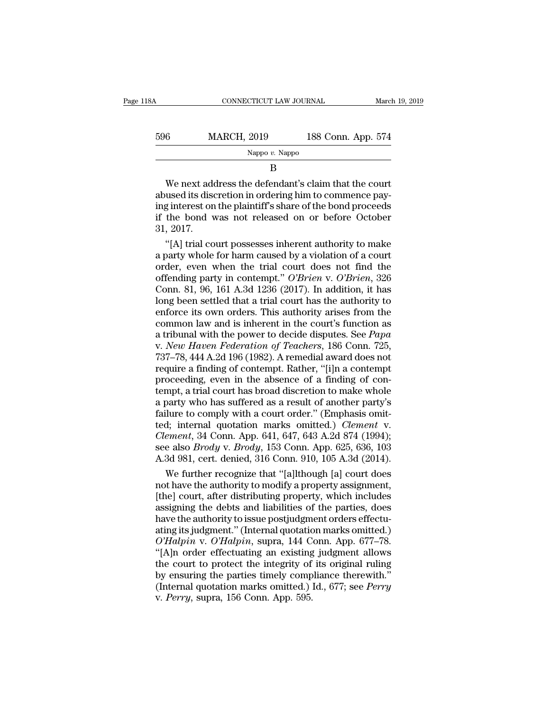| 18A | CONNECTICUT LAW JOURNAL |                    | March 19, 2019 |
|-----|-------------------------|--------------------|----------------|
|     |                         |                    |                |
| 596 | <b>MARCH, 2019</b>      | 188 Conn. App. 574 |                |
|     | Nappo $v$ . Nappo       |                    |                |
|     | B                       |                    |                |

 $\frac{\text{MARCH, 2019}}{\text{Nappo } v. \text{ Nappo}}$  188 Conn. App. 574<br>B<br>We next address the defendant's claim that the court<br>abused its discretion in ordering him to commence pay-<br>ing interest on the plaintiff's share of the bond proceeds<br> 596 MARCH, 2019 188 Conn. App. 574<br>
Nappo v. Nappo<br>
B<br>
We next address the defendant's claim that the court<br>
abused its discretion in ordering him to commence pay-<br>
ing interest on the plaintiff's share of the bond procee Nappo v. Nappo<br>
B<br>
We next address the defendant's claim that the court<br>
abused its discretion in ordering him to commence pay-<br>
ing interest on the plaintiff's share of the bond proceeds<br>
if the bond was not released on o We next add<br>abused its disc<br>ing interest on<br>if the bond v<br>31, 2017.<br>"[A] trial co We next address the defendant's claim that the court<br>used its discretion in ordering him to commence pay-<br>g interest on the plaintiff's share of the bond proceeds<br>the bond was not released on or before October<br>, 2017.<br>"[A] We next address the defendant's claim that the court<br>abused its discretion in ordering him to commence pay-<br>ing interest on the plaintiff's share of the bond proceeds<br>if the bond was not released on or before October<br>31,

abused its discretion in ordering him to commence pay-<br>ing interest on the plaintiff's share of the bond proceeds<br>if the bond was not released on or before October<br>31, 2017.<br>"[A] trial court possesses inherent authority to if the bond was not released on or before October<br>
31, 2017.<br>
"[A] trial court possesses inherent authority to make<br>
a party whole for harm caused by a violation of a court<br>
order, even when the trial court does not find t if the bond was not released on or before October<br>31, 2017.<br>"[A] trial court possesses inherent authority to make<br>a party whole for harm caused by a violation of a court<br>order, even when the trial court does not find the<br> 31, 2017.<br>
"[A] trial court possesses inherent authority to make<br>
a party whole for harm caused by a violation of a court<br>
order, even when the trial court does not find the<br>
offending party in contempt." O'Brien v. O'Bri "[A] trial court possesses inherent authority to make<br>a party whole for harm caused by a violation of a court<br>order, even when the trial court does not find the<br>offending party in contempt." O'Brien v. O'Brien, 326<br>Conn. a party whole for harm caused by a violation of a court<br>order, even when the trial court does not find the<br>offending party in contempt." *O'Brien* v. *O'Brien*, 326<br>Conn. 81, 96, 161 A.3d 1236 (2017). In addition, it has<br> order, even when the trial court does not find the<br>offending party in contempt." O'Brien v. O'Brien, 326<br>Conn. 81, 96, 161 A.3d 1236 (2017). In addition, it has<br>long been settled that a trial court has the authority to<br>enf offending party in contempt." *O'Brien* v. *O'Brien*, 326<br>Conn. 81, 96, 161 A.3d 1236 (2017). In addition, it has<br>long been settled that a trial court has the authority to<br>enforce its own orders. This authority arises from Conn. 81, 96, 161 A.3d 1236 (2017). In addition, it has<br>long been settled that a trial court has the authority to<br>enforce its own orders. This authority arises from the<br>common law and is inherent in the court's function a long been settled that a trial court has the authority to<br>enforce its own orders. This authority arises from the<br>common law and is inherent in the court's function as<br>a tribunal with the power to decide disputes. See *Papa* enforce its own orders. This authority arises from the common law and is inherent in the court's function as<br>a tribunal with the power to decide disputes. See *Papa*<br>v. New Haven Federation of Teachers, 186 Conn. 725,<br>737– common law and is inherent in the court's function as<br>a tribunal with the power to decide disputes. See *Papa*<br>v. *New Haven Federation of Teachers*, 186 Conn. 725,<br>737–78, 444 A.2d 196 (1982). A remedial award does not<br>re a tribunal with the power to decide disputes. See *Papa*<br>v. New Haven Federation of Teachers, 186 Conn. 725,<br>737–78, 444 A.2d 196 (1982). A remedial award does not<br>require a finding of contempt. Rather, "[i]n a contempt<br>pr v. *New Haven Federation of Teachers*, 186 Conn. 725, 737–78, 444 A.2d 196 (1982). A remedial award does not require a finding of contempt. Rather, "[i]n a contempt proceeding, even in the absence of a finding of contempt, 737–78, 444 A.2d 196 (1982). A remedial award does not<br>require a finding of contempt. Rather, "[i]n a contempt<br>proceeding, even in the absence of a finding of con-<br>tempt, a trial court has broad discretion to make whole<br>a require a finding of contempt. Rather, "[i]n a contempt<br>proceeding, even in the absence of a finding of con-<br>tempt, a trial court has broad discretion to make whole<br>a party who has suffered as a result of another party's<br>f proceeding, even in the absence of a finding of contempt, a trial court has broad discretion to make whole<br>a party who has suffered as a result of another party's<br>failure to comply with a court order." (Emphasis omit-<br>ted; tempt, a trial court has broad discretion to make whole<br>a party who has suffered as a result of another party's<br>failure to comply with a court order." (Emphasis omit-<br>ted; internal quotation marks omitted.) *Clement* v.<br>*C* party who has suffered as a result of another party's<br>ilure to comply with a court order." (Emphasis omit-<br>d; internal quotation marks omitted.) *Clement* v.<br>*ement*, 34 Conn. App. 641, 647, 643 A.2d 874 (1994);<br>e also *Br* failure to comply with a court order." (Emphasis omit-<br>ted; internal quotation marks omitted.) *Clement* v.<br>*Clement*, 34 Conn. App. 641, 647, 643 A.2d 874 (1994);<br>see also *Brody* v. *Brody*, 153 Conn. App. 625, 636, 103<br>

ted; internal quotation marks omitted.) *Clement* v.<br> *Clement*, 34 Conn. App. 641, 647, 643 A.2d 874 (1994);<br>
see also *Brody* v. *Brody*, 153 Conn. App. 625, 636, 103<br>
A.3d 981, cert. denied, 316 Conn. 910, 105 A.3d (201 Clement, 34 Conn. App. 641, 647, 643 A.2d 874 (1994);<br>see also *Brody* v. *Brody*, 153 Conn. App. 625, 636, 103<br>A.3d 981, cert. denied, 316 Conn. 910, 105 A.3d (2014).<br>We further recognize that "[a]lthough [a] court does<br>n see also *Brody* v. *Brody*, 153 Conn. App. 625, 636, 103<br>A.3d 981, cert. denied, 316 Conn. 910, 105 A.3d (2014).<br>We further recognize that "[a]lthough [a] court does<br>not have the authority to modify a property assignment A.3d 981, cert. denied, 316 Conn. 910, 105 A.3d (2014).<br>We further recognize that "[a]lthough [a] court does<br>not have the authority to modify a property assignment,<br>[the] court, after distributing property, which includes<br> We further recognize that "[a]lthough [a] court does<br>not have the authority to modify a property assignment,<br>[the] court, after distributing property, which includes<br>assigning the debts and liabilities of the parties, does not have the authority to modify a property assignment,<br>
[the] court, after distributing property, which includes<br>
assigning the debts and liabilities of the parties, does<br>
have the authority to issue postjudgment orders e [the] court, after distributing property, which includes<br>assigning the debts and liabilities of the parties, does<br>have the authority to issue postjudgment orders effectu-<br>ating its judgment." (Internal quotation marks omi assigning the debts and liabilities of the parties, does<br>have the authority to issue postjudgment orders effectu-<br>ating its judgment.'' (Internal quotation marks omitted.)<br> $O'Halpin$  v.  $O'Halpin$ , supra, 144 Conn. App. 677–78.<br>" have the authority to issue postjudgment orders effectuating its judgment." (Internal quotation marks omitted.)<br> *O'Halpin v. O'Halpin*, supra, 144 Conn. App. 677–78.<br>
"[A]n order effectuating an existing judgment allows<br> ating its judgment." (Internal quotational *O'Halpin* v. *O'Halpin*, supra, 144 C<br>"[A]n order effectuating an existing the court to protect the integrity of<br>by ensuring the parties timely comp<br>(Internal quotation marks omi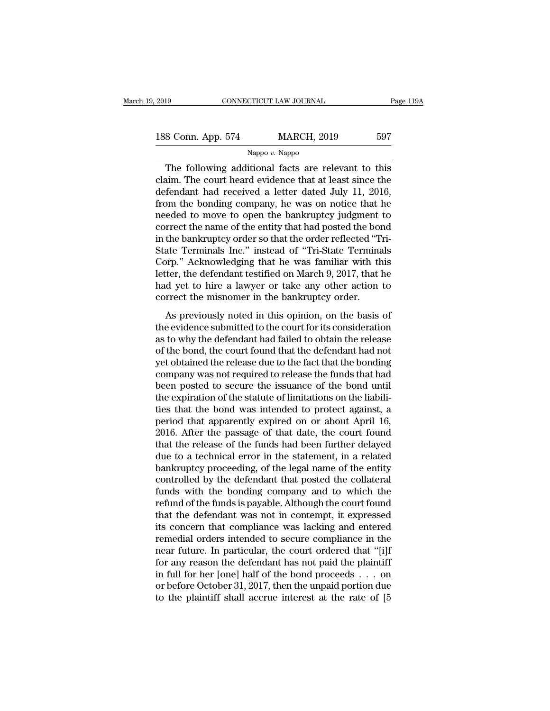| 2019               | CONNECTICUT LAW JOURNAL |                    | Page 119A |
|--------------------|-------------------------|--------------------|-----------|
| 188 Conn. App. 574 |                         | <b>MARCH, 2019</b> | 597       |
|                    | Nappo $v$ . Nappo       |                    |           |

## Nappo *v.* Nappo

The following additional state and the forder that at least since the following additional facts are relevant to this<br>
aim. The court heard evidence that at least since the fondant had received a latter dated July 11, 2016 188 Conn. App. 574 MARCH, 2019 597<br>Nappo v. Nappo<br>The following additional facts are relevant to this<br>claim. The court heard evidence that at least since the<br>defendant had received a letter dated July 11, 2016,<br>from the bo 188 Conn. App. 574 MARCH, 2019 597<br>Nappo v. Nappo<br>The following additional facts are relevant to this<br>claim. The court heard evidence that at least since the<br>defendant had received a letter dated July 11, 2016,<br>from the b 188 Conn. App. 574 MARCH, 2019 597<br>Nappo v. Nappo<br>The following additional facts are relevant to this<br>claim. The court heard evidence that at least since the<br>defendant had received a letter dated July 11, 2016,<br>from the b The following additional facts are relevant to this<br>claim. The court heard evidence that at least since the<br>defendant had received a letter dated July 11, 2016,<br>from the bonding company, he was on notice that he<br>needed to Example *v*. Nappo<br>
The following additional facts are relevant to this<br>
claim. The court heard evidence that at least since the<br>
defendant had received a letter dated July 11, 2016,<br>
from the bonding company, he was on n The following additional facts are relevant to this<br>claim. The court heard evidence that at least since the<br>defendant had received a letter dated July 11, 2016,<br>from the bonding company, he was on notice that he<br>needed to claim. The court heard evidence that at least since the<br>defendant had received a letter dated July 11, 2016,<br>from the bonding company, he was on notice that he<br>needed to move to open the bankruptcy judgment to<br>correct the defendant had received a letter dated July 11, 2016,<br>from the bonding company, he was on notice that he<br>needed to move to open the bankruptcy judgment to<br>correct the name of the entity that had posted the bond<br>in the bankr from the bonding company, he was on notice that he<br>needed to move to open the bankruptcy judgment to<br>correct the name of the entity that had posted the bond<br>in the bankruptcy order so that the order reflected "Tri-<br>State T needed to move to open the bankruptcy judgment to<br>correct the name of the entity that had posted the bond<br>in the bankruptcy order so that the order reflected "Tri-<br>State Terminals Inc." instead of "Tri-State Terminals<br>Corp correct the name of the entity that had posted the bond<br>in the bankruptcy order so that the order reflected "Tri-<br>State Terminals Inc." instead of "Tri-State Terminals<br>Corp." Acknowledging that he was familiar with this<br>le are build apply of the state of "Tri-State Terminals"<br>ate Terminals Inc." instead of "Tri-State Terminals"<br>prp." Acknowledging that he was familiar with this<br>ter, the defendant testified on March 9, 2017, that he<br>d yet to Exact Terminals The. This call of TH state Terminals<br>Corp." Acknowledging that he was familiar with this<br>letter, the defendant testified on March 9, 2017, that he<br>had yet to hire a lawyer or take any other action to<br>correc

better, the defendant testified on March 9, 2017, that he<br>had yet to hire a lawyer or take any other action to<br>correct the misnomer in the bankruptcy order.<br>As previously noted in this opinion, on the basis of<br>the evidence react, are determined on the court of the court of the and yet to hire a lawyer or take any other action to correct the misnomer in the bankruptcy order.<br>As previously noted in this opinion, on the basis of the evidence su rade yet of the a tanyer of take any other action to<br>correct the misnomer in the bankruptcy order.<br>As previously noted in this opinion, on the basis of<br>the evidence submitted to the court for its consideration<br>as to why th As previously noted in this opinion, on the basis of<br>the evidence submitted to the court for its consideration<br>as to why the defendant had failed to obtain the release<br>of the bond, the court found that the defendant had no As previously noted in this opinion, on the basis of<br>the evidence submitted to the court for its consideration<br>as to why the defendant had failed to obtain the release<br>of the bond, the court found that the defendant had no the evidence submitted to the court for its consideration<br>as to why the defendant had failed to obtain the release<br>of the bond, the court found that the defendant had not<br>yet obtained the release due to the fact that the b as to why the defendant had failed to obtain the release<br>of the bond, the court found that the defendant had not<br>yet obtained the release due to the fact that the bonding<br>company was not required to release the funds that of the bond, the court found that the defendant had not<br>yet obtained the release due to the fact that the bonding<br>company was not required to release the funds that had<br>been posted to secure the issuance of the bond until<br> yet obtained the release due to the fact that the bonding<br>company was not required to release the funds that had<br>been posted to secure the issuance of the bond until<br>the expiration of the statute of limitations on the liab company was not required to release the funds that had<br>been posted to secure the issuance of the bond until<br>the expiration of the statute of limitations on the liabili-<br>ties that the bond was intended to protect against, a been posted to secure the issuance of the bond until<br>the expiration of the statute of limitations on the liabili-<br>ties that the bond was intended to protect against, a<br>period that apparently expired on or about April 16,<br>2 the expiration of the statute of limitations on the liabilities that the bond was intended to protect against, a period that apparently expired on or about April 16, 2016. After the passage of that date, the court found th ties that the bond was intended to protect against, a<br>period that apparently expired on or about April 16,<br>2016. After the passage of that date, the court found<br>that the release of the funds had been further delayed<br>due to period that apparently expired on or about April 16,<br>2016. After the passage of that date, the court found<br>that the release of the funds had been further delayed<br>due to a technical error in the statement, in a related<br>bank 2016. After the passage of that date, the court found<br>that the release of the funds had been further delayed<br>due to a technical error in the statement, in a related<br>bankruptcy proceeding, of the legal name of the entity<br>co that the release of the funds had been further delayed<br>due to a technical error in the statement, in a related<br>bankruptcy proceeding, of the legal name of the entity<br>controlled by the defendant that posted the collateral<br>f due to a technical error in the statement, in a related<br>bankruptcy proceeding, of the legal name of the entity<br>controlled by the defendant that posted the collateral<br>funds with the bonding company and to which the<br>refund o bankruptcy proceeding, of the legal name of the entity<br>controlled by the defendant that posted the collateral<br>funds with the bonding company and to which the<br>refund of the funds is payable. Although the court found<br>that th controlled by the defendant that posted the collateral<br>funds with the bonding company and to which the<br>refund of the funds is payable. Although the court found<br>that the defendant was not in contempt, it expressed<br>its conce funds with the bonding company and to which the<br>refund of the funds is payable. Although the court found<br>that the defendant was not in contempt, it expressed<br>its concern that compliance was lacking and entered<br>remedial or refund of the funds is payable. Although the court found<br>that the defendant was not in contempt, it expressed<br>its concern that compliance was lacking and entered<br>remedial orders intended to secure compliance in the<br>near fu that the defendant was not in contempt, it expressed<br>its concern that compliance was lacking and entered<br>remedial orders intended to secure compliance in the<br>near future. In particular, the court ordered that "[i]f<br>for an its concern that compliance was lacking and entered<br>remedial orders intended to secure compliance in the<br>near future. In particular, the court ordered that "[i]f<br>for any reason the defendant has not paid the plaintiff<br>in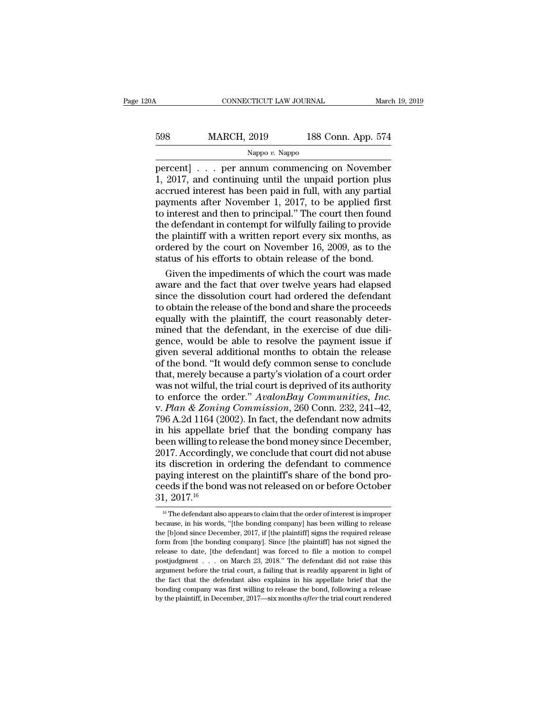| 20A | CONNECTICUT LAW JOURNAL |                    | March 19, 2019 |
|-----|-------------------------|--------------------|----------------|
| 598 | <b>MARCH, 2019</b>      | 188 Conn. App. 574 |                |
|     | Nappo $v$ . Nappo       |                    |                |

CONNECTICUT LAW JOURNAL March 19, 2019<br>
598 MARCH, 2019 188 Conn. App. 574<br>
Nappo v. Nappo<br>
percent] . . . per annum commencing on November<br>
1, 2017, and continuing until the unpaid portion plus<br>
accrued interest has been  $\begin{array}{c|c} \text{MARCH, 2019} & \text{188 Conn. App. 574} \ \hline \text{Nappo } v. \text{Nappo} \ \hline \text{percent} & \text{P.} & \text{P.} & \text{P.} \ \end{array}$  $\frac{\text{MARCH, 2019}}{\text{Nappo } v. \text{ Nappo}}$ <br>
percent] . . . per annum commencing on November<br>
1, 2017, and continuing until the unpaid portion plus<br>
accrued interest has been paid in full, with any partial<br>
payments after November 1 MARCH, 2019 188 Conn. App. 574<br>
Nappo v. Nappo<br>
percent] . . . per annum commencing on November<br>
1, 2017, and continuing until the unpaid portion plus<br>
accrued interest has been paid in full, with any partial<br>
payments af Nappo v. Nappo<br>
Nappo v. Nappo<br>
Nappo v. Nappo<br>
1, 2017, and continuing until the unpaid portion plus<br>
accrued interest has been paid in full, with any partial<br>
payments after November 1, 2017, to be applied first<br>
to int Nappo v. Nappo<br>percent] . . . per annum commencing on November<br>1, 2017, and continuing until the unpaid portion plus<br>accrued interest has been paid in full, with any partial<br>payments after November 1, 2017, to be applied percent] . . . per annum commencing on November<br>1, 2017, and continuing until the unpaid portion plus<br>accrued interest has been paid in full, with any partial<br>payments after November 1, 2017, to be applied first<br>to interes 1, 2017, and continuing until the unpaid portion plus<br>accrued interest has been paid in full, with any partial<br>payments after November 1, 2017, to be applied first<br>to interest and then to principal." The court then found<br> accrued interest has been paid in full, with any partial<br>payments after November 1, 2017, to be applied first<br>to interest and then to principal." The court then found<br>the defendant in contempt for wilfully failing to provi yments after November 1, 2017, to be applied first<br>interest and then to principal." The court then found<br>e defendant in contempt for wilfully failing to provide<br>e plaintiff with a written report every six months, as<br>dered to interest and then to principal." The court then found<br>the defendant in contempt for wilfully failing to provide<br>the plaintiff with a written report every six months, as<br>ordered by the court on November 16, 2009, as to t

the defendant in contempt for wilfully failing to provide<br>the plaintiff with a written report every six months, as<br>ordered by the court on November 16, 2009, as to the<br>status of his efforts to obtain release of the bond.<br>G the plaintiff with a written report every six months, as<br>ordered by the court on November 16, 2009, as to the<br>status of his efforts to obtain release of the bond.<br>Given the impediments of which the court was made<br>aware and ordered by the court on November 16, 2009, as to the<br>status of his efforts to obtain release of the bond.<br>Given the impediments of which the court was made<br>aware and the fact that over twelve years had elapsed<br>since the di status of his efforts to obtain release of the bond.<br>Given the impediments of which the court was made<br>aware and the fact that over twelve years had elapsed<br>since the dissolution court had ordered the defendant<br>to obtain t Given the impediments of which the court was made<br>aware and the fact that over twelve years had elapsed<br>since the dissolution court had ordered the defendant<br>to obtain the release of the bond and share the proceeds<br>equally aware and the fact that over twelve years had elapsed<br>since the dissolution court had ordered the defendant<br>to obtain the release of the bond and share the proceeds<br>equally with the plaintiff, the court reasonably deter-<br>m since the dissolution court had ordered the defendant<br>to obtain the release of the bond and share the proceeds<br>equally with the plaintiff, the court reasonably deter-<br>mined that the defendant, in the exercise of due dili-<br> to obtain the release of the bond and share the proceeds<br>equally with the plaintiff, the court reasonably deter-<br>mined that the defendant, in the exercise of due dili-<br>gence, would be able to resolve the payment issue if<br>g equally with the plaintiff, the court reasonably deter-<br>mined that the defendant, in the exercise of due dili-<br>gence, would be able to resolve the payment issue if<br>given several additional months to obtain the release<br>of Finally that the defendant, in the exercise of due diligence, would be able to resolve the payment issue if given several additional months to obtain the release of the bond. "It would defy common sense to conclude that, m gence, would be able to resolve the payment issue if<br>given several additional months to obtain the release<br>of the bond. "It would defy common sense to conclude<br>that, merely because a party's violation of a court order<br>was given several additional months to obtain the release<br>of the bond. "It would defy common sense to conclude<br>that, merely because a party's violation of a court order<br>was not wilful, the trial court is deprived of its author of the bond. "It would defy common sense to conclude<br>that, merely because a party's violation of a court order<br>was not wilful, the trial court is deprived of its authority<br>to enforce the order." *AvalonBay Communities, Inc* that, merely because a party's violation of a court order<br>was not wilful, the trial court is deprived of its authority<br>to enforce the order." AvalonBay Communities, Inc.<br>v. Plan & Zoning Commission, 260 Conn. 232, 241–42,<br> was not wilful, the trial court is deprived of its authority<br>to enforce the order." AvalonBay Communities, Inc.<br>v. Plan & Zoning Commission, 260 Conn. 232, 241–42,<br>796 A.2d 1164 (2002). In fact, the defendant now admits<br>i to enforce the order." AvalonBay Communities, Inc.<br>v. Plan & Zoning Commission, 260 Conn. 232, 241–42,<br>796 A.2d 1164 (2002). In fact, the defendant now admits<br>in his appellate brief that the bonding company has<br>been willi v. *Plan & Zoning Commission*, 260 Conn. 232, 241–42, 796 A.2d 1164 (2002). In fact, the defendant now admits in his appellate brief that the bonding company has been willing to release the bond money since December, 2017. 796 A.2d 1164 (2002). In fact, the defendant now admits<br>in his appellate brief that the bonding company has<br>been willing to release the bond money since December,<br>2017. Accordingly, we conclude that court did not abuse<br>it in his appellate<br>been willing to re<br>2017. According<br>its discretion in<br>paying interest c<br>ceeds if the bond<br> $31, 2017$ .<sup>16</sup><br> $\frac{31, 2017$ .<sup>16</sup> s discretion in ordering the defendant to commence<br>aying interest on the plaintiff's share of the bond pro-<br>eeds if the bond was not released on or before October<br> $1, 2017$ .<sup>16</sup><br><sup>16</sup> The defendant also appears to claim th paying interest on the plaintiff's share of the bond proceeds if the bond was not released on or before October 31, 2017.<sup>16</sup><br> $^{16}$  The defendant also appears to claim that the order of interest is improper because, in h

ceeds if the bond was not released on or before October  $31$ ,  $2017$ .<sup>16</sup><br> $\frac{16}{16}$  The defendant also appears to claim that the order of interest is improper<br>because, in his words, "[the bonding company] has been willi  $31, 2017$ .<sup>16</sup><br><sup>16</sup> The defendant also appears to claim that the order of interest is improper<br>because, in his words, "[the bonding company] has been willing to release<br>the [b]ond since December, 2017, if [the plaintiff] **1.**  $20111$ <br><sup>16</sup> The defendant also appears to claim that the order of interest is improper because, in his words, "[the bonding company] has been willing to release the [b]ond since December, 2017, if [the plaintiff] si <sup>16</sup> The defendant also appears to claim that the order of interest is improper because, in his words, "[the bonding company] has been willing to release the [b]ond since December, 2017, if [the plaintiff] signs the requi because, in his words, "[the bonding company] has been willing to release the [b]ond since December, 2017, if [the plaintiff] signs the required release form from [the bonding company]. Since [the plaintiff] has not signed the [b]ond since December, 2017, if [the plaintiff] signs the required release form from [the bonding company]. Since [the plaintiff] has not signed the release to date, [the defendant] was forced to file a motion to compe form from [the bonding company]. Since [the plaintiff] has not signed the release to date, [the defendant] was forced to file a motion to compel postjudgment . . . on March 23, 2018." The defendant did not raise this argu release to date, [the defendant] was forced to file a motion to compel<br>postjudgment . . . on March 23, 2018." The defendant did not raise this<br>argument before the trial court, a failing that is readily apparent in light o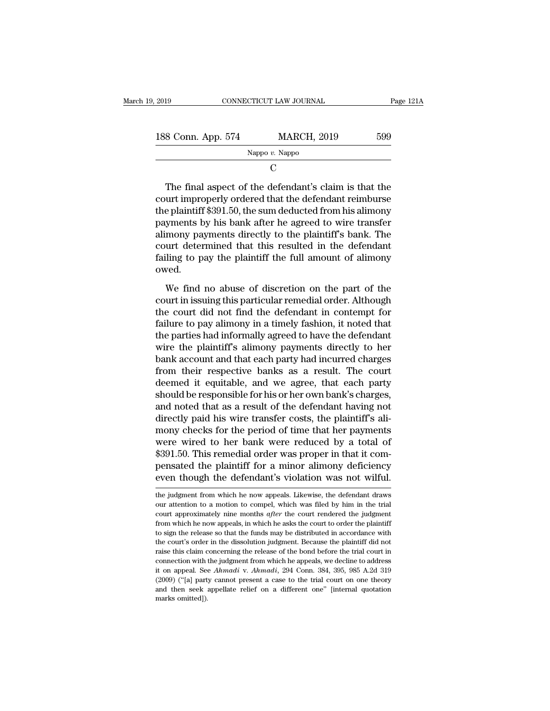| , 2019                                                                                                             | CONNECTICUT LAW JOURNAL                                                                                        | Page 121A |
|--------------------------------------------------------------------------------------------------------------------|----------------------------------------------------------------------------------------------------------------|-----------|
|                                                                                                                    |                                                                                                                |           |
| 188 Conn. App. 574                                                                                                 | <b>MARCH, 2019</b>                                                                                             | 599       |
|                                                                                                                    | Nappo $v$ . Nappo                                                                                              |           |
|                                                                                                                    | C                                                                                                              |           |
| court improperly ordered that the defendant reimburse<br>the plaintiff \$391.50, the sum deducted from his alimony | The final aspect of the defendant's claim is that the<br>payments by his bank after he agreed to wire transfer |           |

The final aspect of the defendant's claim is that the<br>
court improperly ordered that the defendant reimburse<br>
the plaintiff \$391.50, the sum deducted from his alimony<br>
payments by his bank after he agreed to wire transfer Nappo  $v$ . Nappo<br>
C<br>
The final aspect of the defendant's claim is that the<br>
court improperly ordered that the defendant reimburse<br>
the plaintiff \$391.50, the sum deducted from his alimony<br>
payments by his bank after he ag C<br>
The final aspect of the defendant's claim is that the<br>
court improperly ordered that the defendant reimburse<br>
the plaintiff \$391.50, the sum deducted from his alimony<br>
payments by his bank after he agreed to wire transf The final aspect of the defendant's claim is that the court improperly ordered that the defendant reimburse the plaintiff \$391.50, the sum deducted from his alimony payments by his bank after he agreed to wire transfer ali The final aspect of the defendant's claim is that the court improperly ordered that the defendant reimburse the plaintiff \$391.50, the sum deducted from his alimony payments by his bank after he agreed to wire transfer ali owed. Frammark by his bank after he agreed to wire transfer<br>mony payments directly to the plaintiff's bank. The<br>urt determined that this resulted in the defendant<br>iling to pay the plaintiff the full amount of alimony<br>wed.<br>We fin programmer by the remember of plaintiff's bank. The<br>court determined that this resulted in the defendant<br>failing to pay the plaintiff the full amount of alimony<br>owed.<br>We find no abuse of discretion on the part of the<br>court

the court determined that this resulted in the defendant<br>failing to pay the plaintiff the full amount of alimony<br>owed.<br>We find no abuse of discretion on the part of the<br>court in issuing this particular remedial order. Alth failing to pay the plaintiff the full amount of alimony<br>failing to pay the plaintiff the full amount of alimony<br>owed.<br>We find no abuse of discretion on the part of the<br>court in issuing this particular remedial order. Altho the particular the call allocate of discretions of the court in issuing this particular remedial order. Although the court did not find the defendant in contempt for failure to pay alimony in a timely fashion, it noted tha We find no abuse of discretion on the part of the<br>court in issuing this particular remedial order. Although<br>the court did not find the defendant in contempt for<br>failure to pay alimony in a timely fashion, it noted that<br>the We find no abuse of discretion on the part of the<br>court in issuing this particular remedial order. Although<br>the court did not find the defendant in contempt for<br>failure to pay alimony in a timely fashion, it noted that<br>the court in issuing this particular remedial order. Although<br>the court did not find the defendant in contempt for<br>failure to pay alimony in a timely fashion, it noted that<br>the parties had informally agreed to have the defenda the court did not find the defendant in contempt for<br>failure to pay alimony in a timely fashion, it noted that<br>the parties had informally agreed to have the defendant<br>wire the plaintiff's alimony payments directly to her<br>b failure to pay alimony in a timely fashion, it noted that<br>the parties had informally agreed to have the defendant<br>wire the plaintiff's alimony payments directly to her<br>bank account and that each party had incurred charges<br> the parties had informally agreed to have the defendant<br>wire the plaintiff's alimony payments directly to her<br>bank account and that each party had incurred charges<br>from their respective banks as a result. The court<br>deemed wire the plaintiff's alimony payments directly to her<br>bank account and that each party had incurred charges<br>from their respective banks as a result. The court<br>deemed it equitable, and we agree, that each party<br>should be re bank account and that each party had incurred charges<br>from their respective banks as a result. The court<br>deemed it equitable, and we agree, that each party<br>should be responsible for his or her own bank's charges,<br>and noted from their respective banks as a result. The court<br>deemed it equitable, and we agree, that each party<br>should be responsible for his or her own bank's charges,<br>and noted that as a result of the defendant having not<br>directly deemed it equitable, and we agree, that each party<br>should be responsible for his or her own bank's charges,<br>and noted that as a result of the defendant having not<br>directly paid his wire transfer costs, the plaintiff's alishould be responsible for his or her own bank's charges,<br>and noted that as a result of the defendant having not<br>directly paid his wire transfer costs, the plaintiff's ali-<br>mony checks for the period of time that her paymen and noted that as a result of the defendant having not<br>directly paid his wire transfer costs, the plaintiff's ali-<br>mony checks for the period of time that her payments<br>were wired to her bank were reduced by a total of<br>\$391 were wired to her bank were reduced by a total of \$391.50. This remedial order was proper in that it compensated the plaintiff for a minor alimony deficiency even though the defendant's violation was not wilful.<br>the judgme \$391.50. This remedial order was proper in that it compensated the plaintiff for a minor alimony deficiency even though the defendant's violation was not wilful.<br>the judgment from which he now appeals. Likewise, the defend

pensated the plaintiff for a minor alimony deficiency<br>even though the defendant's violation was not wilful.<br>the judgment from which he now appeals. Likewise, the defendant draws<br>our attention to a motion to compel, which w From though the defendant's violation was not wilful.<br>the judgment from which he now appeals. Likewise, the defendant draws<br>our attention to a motion to compel, which was filed by him in the trial<br>court approximately nine The judgment from which he now appeals. Likewise, the defendant draws<br>our attention to a motion to compel, which was filed by him in the trial<br>court approximately nine months *after* the court rendered the judgment<br>from wh the judgment from which he now appeals. Likewise, the defendant draws<br>our attention to a motion to compel, which was filed by him in the trial<br>court approximately nine months *after* the court rendered the judgment<br>from wh raise this claim concerning the release of the bond before the risk of the risk claim is court approximately nine months *after* the court rendered the judgment from which he now appeals, in which he asks the court to orde court approximately nine months *after* the court rendered the judgment from which he now appeals, in which he asks the court to order the plaintiff to sign the release so that the funds may be distributed in accordance w from which he now appeals, in which he asks the court to order the plaintiff to sign the release so that the funds may be distributed in accordance with the court's order in the dissolution judgment. Because the plaintiff to sign the release so that the funds may be distributed in accordance with the court's order in the dissolution judgment. Because the plaintiff did not raise this claim concerning the release of the bond before the trial are used to court's order in the dissolution judgment. Because the plaintiff did not raise this claim concerning the release of the bond before the trial court in connection with the judgment from which he appeals, we dec the court's order in the dissolution judgment. Because the plaintiff did not raise this claim concerning the release of the bond before the trial court in connection with the judgment from which he appeals, we decline to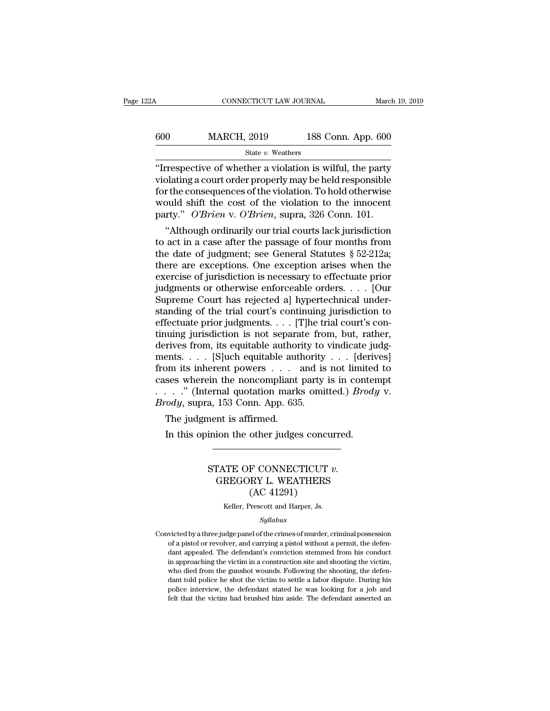| 22A | CONNECTICUT LAW JOURNAL |                    | March 19, 2019 |
|-----|-------------------------|--------------------|----------------|
| 600 | <b>MARCH, 2019</b>      | 188 Conn. App. 600 |                |
|     | State v. Weathers       |                    |                |

CONNECTICUT LAW JOURNAL March 19, 2019<br>
State v. Weathers<br>
Trespective of whether a violation is wilful, the party<br>
violating a court order properly may be held responsible<br>
for the consequences of the violation. To held o  $\begin{array}{ll}\n 600 & \text{MARCH, } 2019 & \text{188 Conn. App. 600} \\
 \hline\n & \text{State } v. \text{ Weather} \\
 \text{``Irrespective of whether a violation is will, the party violating a court order properly may be held responsible} \\
 \text{for the consequences of the violation. To hold otherwise} \\
 \text{would shift the cost of the violation to the innocent.} \n\end{array}$ 600 MARCH, 2019 188 Conn. App. 600<br>
State v. Weathers<br>
"Irrespective of whether a violation is wilful, the party<br>
violating a court order properly may be held responsible<br>
for the consequences of the violation. To hold ot MARCH, 2019 188 Conn. App. 600<br>
State v. Weathers<br>
"Irrespective of whether a violation is wilful, the party<br>
violating a court order properly may be held responsible<br>
for the consequences of the violation. To hold otherw State v. Weathers<br>
"Irrespective of whether a violation is wilful, the party<br>
violating a court order properly may be held responsible<br>
for the consequences of the violation. To hold otherwise<br>
would shift the cost of the Trespective of whether a violation is wilful, the party<br>
plating a court order properly may be held responsible<br>
r the consequences of the violation. To hold otherwise<br>
puld shift the cost of the violation to the innocent<br> Trespective of whether a violation is will tult, the party<br>violating a court order properly may be held responsible<br>for the consequences of the violation. To hold otherwise<br>would shift the cost of the violation to the inn

violating a court order properly may be neid responsible<br>for the consequences of the violation. To hold otherwise<br>would shift the cost of the violation to the innocent<br>party." O'Brien v. O'Brien, supra, 326 Conn. 101.<br>"Al for the consequences of the violation. To nota otherwise<br>would shift the cost of the violation to the innocent<br>party." O'Brien v. O'Brien, supra, 326 Conn. 101.<br>"Although ordinarily our trial courts lack jurisdiction<br>to a would shift the cost of the violation to the innocent<br>party." O'Brien v. O'Brien, supra, 326 Conn. 101.<br>"Although ordinarily our trial courts lack jurisdiction<br>to act in a case after the passage of four months from<br>the da party." *O'Brien* v. *O'Brien*, supra, 326 Conn. 101.<br>
"Although ordinarily our trial courts lack jurisdiction<br>
to act in a case after the passage of four months from<br>
the date of judgment; see General Statutes § 52-212a;<br> "Although ordinarily our trial courts lack jurisdiction<br>to act in a case after the passage of four months from<br>the date of judgment; see General Statutes  $\S 52-212a$ ;<br>there are exceptions. One exception arises when the<br>ex to act in a case after the passage of four months from<br>the date of judgment; see General Statutes § 52-212a;<br>there are exceptions. One exception arises when the<br>exercise of jurisdiction is necessary to effectuate prior<br>ju the date of judgment; see General Statutes  $\S$  52-212a;<br>there are exceptions. One exception arises when the<br>exercise of jurisdiction is necessary to effectuate prior<br>judgments or otherwise enforceable orders. . . . [Our<br>S there are exceptions. One exception arises when the<br>exercise of jurisdiction is necessary to effectuate prior<br>judgments or otherwise enforceable orders. . . . [Our<br>Supreme Court has rejected a] hypertechnical under-<br>standi exercise of jurisdiction is necessary to effectuate prior<br>judgments or otherwise enforceable orders. . . . [Our<br>Supreme Court has rejected a] hypertechnical under-<br>standing of the trial court's continuing jurisdiction to<br> judgments or otherwise enforceable orders. . . . [Our<br>Supreme Court has rejected a] hypertechnical under-<br>standing of the trial court's continuing jurisdiction to<br>effectuate prior judgments. . . . [T]he trial court's con-Supreme Court has rejected a] hypertechnical under-<br>standing of the trial court's continuing jurisdiction to<br>effectuate prior judgments. . . . [T]he trial court's con-<br>tinuing jurisdiction is not separate from, but, rathe standing of the trial court's continuing jurisdiction to<br>effectuate prior judgments. . . . [T]he trial court's con-<br>tinuing jurisdiction is not separate from, but, rather,<br>derives from, its equitable authority to vindicat effectuate prior judgments. . . . [T]he trial court's continuing jurisdiction is not separate from, but, rather, derives from, its equitable authority to vindicate judgments. . . . [S]uch equitable authority . . . [derives tinuing jurisdiction is not separate from<br>derives from, its equitable authority to<br>ments.... [S]uch equitable authority<br>from its inherent powers ... and is<br>cases wherein the noncompliant party<br>....." (Internal quotation m Fives from, its equitable author<br>ents. . . . [S]uch equitable author<br>bom its inherent powers . . .<br>ses wherein the noncompliant<br>. . ." (Internal quotation mark<br> $vdy$ , supra, 153 Conn. App. 635<br>The judgment is affirmed.<br>In In this inherent powers  $\ldots$  and is not limited ses wherein the noncompliant party is in contently is in contently. The independent of  $\log$  in this opinion the other judges concurred.<br>In this opinion the other judges con

# a, 153 Conn. App. 635.<br>
a, 153 Conn. App. 635.<br>
ment is affirmed.<br>
inion the other judges concurred.<br>
STATE OF CONNECTICUT *v.*<br>
GREGORY L. WEATHERS EVENDED FOR THE CONSUMERTY OF SCHEMENTS CONNECTICUT v.<br>
GREGORY L. WEATHERS<br>
(AC 41291) tirmed.<br>
other judges concu<br>
F CONNECTICUT<br>
RY L. WEATHERS<br>
(AC 41291)<br>
Prescott and Harper, Js. STATE OF CONNECTICUT  $v$ .<br>GREGORY L. WEATHERS<br>(AC 41291)<br>Keller, Prescott and Harper, Js.

## *Syllabus*

GREGORY L. WEATHERS<br>
(AC 41291)<br>
Keller, Prescott and Harper, Js.<br>
Syllabus<br>
Convicted by a three judge panel of the crimes of murder, criminal possession<br>
of a pistol or revolver, and carrying a pistol without a permit, t  $\left( \mathrm{AC} \ 41291 \right)$ <br>  $\mathrm{Keller}, \ \mathrm{Present}$  and Harper, Js.<br>  $\mathrm{Syllabus}$ <br>
victed by a three judge panel of the crimes of murder, criminal possession<br>
of a pistol or revolver, and carrying a pistol without a permit, the defen-<br>
da Keller, Prescott and Harper, Js.<br>Syllabus<br>victed by a three judge panel of the crimes of murder, criminal possession<br>of a pistol or revolver, and carrying a pistol without a permit, the defen-<br>dant appealed. The defendant' sim and the victed by a three judge panel of the crimes of murder, criminal possession<br>of a pistol or revolver, and carrying a pistol without a permit, the defen-<br>dant appealed. The defendant's conviction stemmed from his Syllabus<br>
Syllabus<br>
wicted by a three judge panel of the crimes of murder, criminal possession<br>
of a pistol or revolver, and carrying a pistol without a permit, the defen-<br>
dant appealed. The defendant's conviction stemmed victed by a three judge panel of the crimes of murder, criminal possession<br>of a pistol or revolver, and carrying a pistol without a permit, the defen-<br>dant appealed. The defendant's conviction stemmed from his conduct<br>in a policial or revolver, and carrying a pistol without a permit, the defendant appealed. The defendant's conviction stemmed from his conduct in approaching the victim in a construction site and shooting the victim, who died f of a pistol or revolver, and carrying a pistol without a permit, the defendant appealed. The defendant's conviction stemmed from his conduct in approaching the victim in a construction site and shooting the victim, who die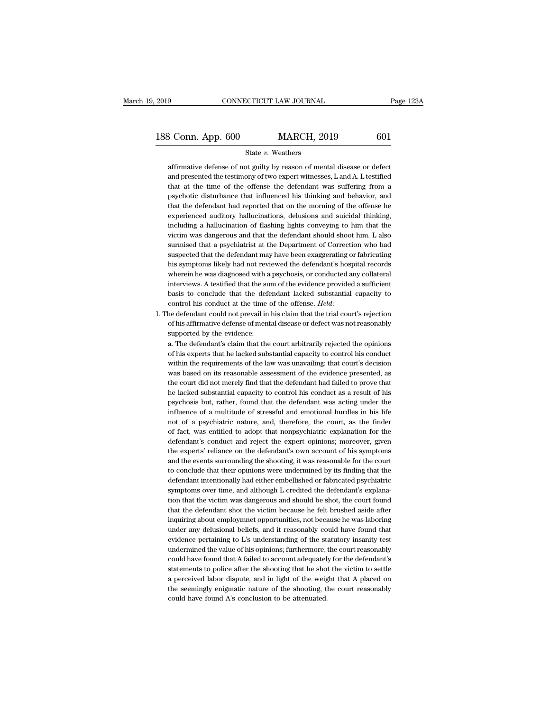2019 CONNECTICUT LAW JOURNAL Page 123A<br>188 Conn. App. 600 MARCH, 2019 601<br>State v. Weathers

## State *v.* Weathers

188 Conn. App.  $600$  MARCH,  $2019$   $601$ <br>  $\frac{601}{\text{at} \cdot \text{at}}$  affirmative defense of not guilty by reason of mental disease or defect<br>
and presented the testimony of two expert witnesses, L and A. L testified<br>
that at t 3 Conn. App. 600 MARCH, 2019 601<br>State v. Weathers<br>affirmative defense of not guilty by reason of mental disease or defect<br>and presented the testimony of two expert witnesses, L and A. L testified<br>that at the time of the o that at the time of the offense the defendant was suffering from a State v. Weathers<br>affirmative defense of not guilty by reason of mental disease or defect<br>and presented the testimony of two expert witnesses, L and A. L testified<br>that at the time of the offense the defendant was sufferin State  $v$ . Weathers<br>affirmative defense of not guilty by reason of mental disease or defect<br>and presented the testimony of two expert witnesses, L and A. L testified<br>that at the time of the offense the defendant was suffe affirmative defense of not guilty by reason of mental disease or defect<br>and presented the testimony of two expert witnesses, L and A. L testified<br>that at the time of the offense the defendant was suffering from a<br>psychotic and presented the testimony of two expert witnesses, L and A. L testified<br>that at the time of the offense the defendant was suffering from a<br>psychotic disturbance that influenced his thinking and behavior, and<br>that the def that at the time of the offense the defendant was suffering from a<br>psychotic disturbance that influenced his thinking and behavior, and<br>that the defendant had reported that on the morning of the offense he<br>experienced audi psychotic disturbance that influenced his thinking and behavior, and that the defendant had reported that on the morning of the offense he experienced auditory hallucinations, delusions and suicidal thinking, including a h that the defendant had reported that on the morning of the offense he experienced auditory hallucinations, delusions and suicidal thinking, including a hallucination of flashing lights conveying to him that the victim was experienced auditory hallucinations, delusions and suicidal thinking,<br>including a hallucination of flashing lights conveying to him that the<br>victim was dangerous and that the defendant should shoot him. L also<br>surmised tha including a hallucination of flashing lights conveying to him that the victim was dangerous and that the defendant should shoot him. L also surmised that a psychiatrist at the Department of Correction who had suspected tha victim was dangerous and that the defendant should shoot him. L also<br>surmised that a psychiatrist at the Department of Correction who had<br>suspected that the defendant may have been exaggerating or fabricating<br>his symptoms surmised that a psychiatrist at the Department of Correction who had<br>suspected that the defendant may have been exaggerating or fabricating<br>his symptoms likely had not reviewed the defendant's hospital records<br>wherein he w suspected that the defendant may have been exaggerating or fabricating<br>his symptoms likely had not reviewed the defendant's hospital records<br>wherein he was diagnosed with a psychosis, or conducted any collateral<br>interviews wherein he was diagnosed with a psychosis, or conducted any collateral interviews. A testified that the sum of the evidence provided a sufficient basis to conclude that the defendant lacked substantial capacity to control interviews. A testified that the subsais to conclude that the defector control his conduct at the time of the defendant could not prevail in of his affirmative defense of ment supported by the evidence: a. The defendant's

basis to conclude that the defendant lacked substantial capacity to control his conduct at the time of the offense. *Held:*<br>he defendant could not prevail in his claim that the trial court's rejection<br>of his affirmative de

control his conduct at the time of the offense. *Held*:<br>he defendant could not prevail in his claim that the trial court's rejection<br>of his affirmative defense of mental disease or defect was not reasonably<br>supported by th he defendant could not prevail in his claim that the trial court's rejection<br>of his affirmative defense of mental disease or defect was not reasonably<br>supported by the evidence:<br>a. The defendant's claim that the court arbi of his affirmative defense of mental disease or defect was not reasonably<br>supported by the evidence:<br>a. The defendant's claim that the court arbitrarily rejected the opinions<br>of his experts that he lacked substantial capac supported by the evidence:<br>a. The defendant's claim that the court arbitrarily rejected the opinions<br>of his experts that he lacked substantial capacity to control his conduct<br>within the requirements of the law was unavaili a. The defendant's claim that the court arbitrarily rejected the opinions of his experts that he lacked substantial capacity to control his conduct within the requirements of the law was unavailing: that court's decision w of his experts that he lacked substantial capacity to control his conduct<br>within the requirements of the law was unavailing: that court's decision<br>was based on its reasonable assessment of the evidence presented, as<br>the co within the requirements of the law was unavailing: that court's decision<br>was based on its reasonable assessment of the evidence presented, as<br>the court did not merely find that the defendant had failed to prove that<br>he lac was based on its reasonable assessment of the evidence presented, as<br>the court did not merely find that the defendant had failed to prove that<br>he lacked substantial capacity to control his conduct as a result of his<br>psycho the court did not merely find that the defendant had failed to prove that<br>he lacked substantial capacity to control his conduct as a result of his<br>psychosis but, rather, found that the defendant was acting under the<br>influe he lacked substantial capacity to control his conduct as a result of his psychosis but, rather, found that the defendant was acting under the influence of a multitude of stressful and emotional hurdles in his life not of a psychosis but, rather, found that the defendant was acting under the influence of a multitude of stressful and emotional hurdles in his life not of a psychiatric nature, and, therefore, the court, as the finder of fact, wa influence of a multitude of stressful and emotional hurdles in his life<br>not of a psychiatric nature, and, therefore, the court, as the finder<br>of fact, was entitled to adopt that nonpsychiatric explanation for the<br>defendant not of a psychiatric nature, and, therefore, the court, as the finder of fact, was entitled to adopt that nonpsychiatric explanation for the defendant's conduct and reject the expert opinions; moreover, given the experts' of fact, was entitled to adopt that nonpsychiatric explanation for the defendant's conduct and reject the expert opinions; moreover, given the experts' reliance on the defendant's own account of his symptoms and the events defendant's conduct and reject the expert opinions; moreover, given<br>the experts' reliance on the defendant's own account of his symptoms<br>and the events surrounding the shooting, it was reasonable for the court<br>to conclude the experts' reliance on the defendant's own account of his symptoms<br>and the events surrounding the shooting, it was reasonable for the court<br>to conclude that their opinions were undermined by its finding that the<br>defendan and the events surrounding the shooting, it was reasonable for the court<br>to conclude that their opinions were undermined by its finding that the<br>defendant intentionally had either embellished or fabricated psychiatric<br>symp to conclude that their opinions were undermined by its finding that the defendant intentionally had either embellished or fabricated psychiatric symptoms over time, and although L credited the defendant's explanation that defendant intentionally had either embellished or fabricated psychiatric symptoms over time, and although L credited the defendant's explanation that the victim was dangerous and should be shot, the court found that the de symptoms over time, and although L credited the defendant's explanation that the victim was dangerous and should be shot, the court found that the defendant shot the victim because he felt brushed aside after inquiring abo tion that the victim was dangerous and should be shot, the court found<br>that the defendant shot the victim because he felt brushed aside after<br>inquiring about employmnet opportunities, not because he was laboring<br>under any that the defendant shot the victim because he felt brushed aside after inquiring about employmnet opportunities, not because he was laboring under any delusional beliefs, and it reasonably could have found that evidence pe inquiring about employmnet opportunities, not because he was laboring<br>under any delusional beliefs, and it reasonably could have found that<br>evidence pertaining to L's understanding of the statutory insanity test<br>undermined under any delusional beliefs, and it reasonably could have found that<br>evidence pertaining to L's understanding of the statutory insanity test<br>undermined the value of his opinions; furthermore, the court reasonably<br>could ha evidence pertaining to L's understanding of the statutory insanity test undermined the value of his opinions; furthermore, the court reasonably could have found that A failed to account adequately for the defendant's state undermined the value of his opinions; furthermore, could have found that A failed to account adequatel; statements to police after the shooting that he shoot a perceived labor dispute, and in light of the weighte seemingly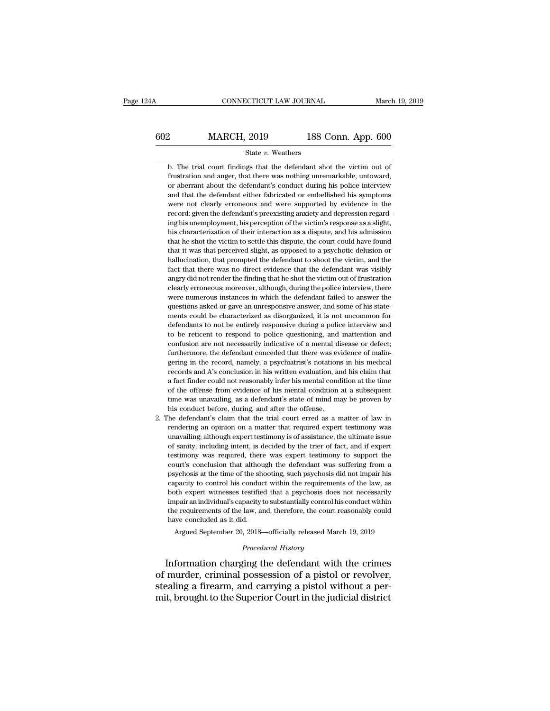# CONNECTICUT LAW JOURNAL March 19, 2019<br>602 MARCH, 2019 188 Conn. App. 600<br>State v. Weathers

# State *v.* Weathers

MARCH, 2019 188 Conn. App. 600<br>
State v. Weathers<br>
b. The trial court findings that the defendant shot the victim out of<br>
frustration and anger, that there was nothing unremarkable, untoward, Frustration and anger, that there was nothing unremarkable, untoward,<br>there was nothing unremarkable, untoward,<br>or aberrant about the defendant's conduct during his police interview<br>or aberrant about the defendant's conduc MARCH, 2019 188 Conn. App. 600<br>State v. Weathers<br>b. The trial court findings that the defendant shot the victim out of<br>frustration and anger, that there was nothing unremarkable, untoward,<br>or aberrant about the defendant's State v. Weathers<br>
b. The trial court findings that the defendant shot the victim out of<br>
frustration and anger, that there was nothing unremarkable, untoward,<br>
or aberrant about the defendant's conduct during his police i State  $v$ . Weathers<br>b. The trial court findings that the defendant shot the victim out of<br>frustration and anger, that there was nothing unremarkable, untoward,<br>or aberrant about the defendant's conduct during his police i b. The trial court findings that the defendant shot the victim out of frustration and anger, that there was nothing unremarkable, untoward, or aberrant about the defendant's conduct during his police interview and that the E. The data coal mange and are determined shot are victime to the structure of the structuring in the defendant's conduct during his police interview and that the defendant either fabricated or embellished his symptoms wer his characterization of their interaction as a dispute, and his symptoms were not clearly erroneous and were supported by evidence in the record: given the defendant's preexisting anxiety and depression regarding his unemp or abortant about the defendant of bonded or embellished his symptoms<br>were not clearly erroneous and were supported by evidence in the<br>record: given the defendant's preexisting anxiety and depression regard-<br>ing his unempl that he shot the victim to settle this dispute, the court could have found that it was that perceived slight, as opposed to a psychotic delusion or hallucination, that prompted the defendant to shoot the victim, and the fa hall unity of the defendant's previsiting anxiety and depression regarding his unemployment, his perception of the victim's response as a slight, his characterization of their interaction as a dispute, and his admission th factorial generation of their interaction of the victim's response as a slight, his characterization of their interaction as a dispute, and his admission that he shot the victim to settle this dispute, the court could have ang his characterization of their interaction as a dispute, and his admission that he shot the victim to settle this dispute, the court could have found that it was that perceived slight, as opposed to a psychotic delusion real the shot the victim to settle this dispute, the court could have found that it was that perceived slight, as opposed to a psychotic delusion or hallucination, that prompted the defendant to shoot the victim, and the f that it was that perceived slight, as opposed to a psychotic delusion or hallucination, that prompted the defendant to shoot the victim, and the fact that there was no direct evidence that the defendant was visibly angry d hallucination, that prompted the defendant to shoot the victim, and the fact that there was no direct evidence that the defendant was visibly angry did not render the finding that he shot the victim out of frustration clea materialized, and prompted are determined be shoot are viewing, and are<br>fact that there was no direct evidence that the defendant was visibly<br>angry did not render the finding that he shot the victim out of frustration<br>clea defendants to not be entirely testonian and the victim out of frustration<br>clearly erroneous; moreover, although, during the police interview, there<br>were numerous instances in which the defendant failed to answer the<br>questi digtry and not cluder the mains duate show the vielant of our of nustrialistic clearly erroneous; moreover, although, during the police interview, there were numerous instances in which the defendant failed to answer the q ciculary choncolar, indicately, daribalgit, daring are police intertient, and<br>were numerous instances in which the defendant failed to answer the<br>questions asked or gave an unresponsive answer, and some of his state-<br>ments questions asked or gave an unresponsive answer, and some of his statements could be characterized as disorganized, it is not uncommon for defendants to not be entirely responsive during a police interview and to be reticen gering in the characterized as disorganized, it is not uncommon for defendants to not be entirely responsive during a police interview and to be reticent to respond to police questioning, and inattention and confusion are records and be entirely responsive during a police interview and<br>defendants to not be entirely responsive during a police interview and<br>confusion are not necessarily indicative of a mental disease or defect;<br>furthermore, t a factorialism to not be chartery responsive during a point of the reason to be reticent to respond to police questioning, and inattention and confusion are not necessarily indicative of a mental disease or defect; further confusion are not necessarily indicative of a mental disease or defect;<br>furthermore, the defendant conceded that there was evidence of malingering in the record, namely, a psychiatrist's notations in his medical<br>records an furthermore, the defendant conceded that there was evidence of malingering in the record, namely, a psychiatrist's notations in his medical records and A's conclusion in his written evaluation, and his claim that a fact fi records and A's conclusion in his written evaluation, and his claim that<br>a fact finder could not reasonably infer his mental condition at the time<br>of the offense from evidence of his mental condition at a subsequent<br>time w 2. The defendant's claim that the trial court erred as a matter of law in the trial condition at the trime of the offense from evidence of his mental condition at a subsequent time was unavailing, as a defendant's state of records duarity conclusion in this write. Tradition, and the claim due<br>a fact finder could not reasonably infer his mental condition at a subsequent<br>time was unavailing, as a defendant's state of mind may be proven by<br>his

is a mater in the offense from evidence of his mental conductor at alter the offense from evidence of his mental conduction at a subsequent time was unavailing, as a defendant's state of mind may be proven by his conduct b of are oncluded both chacket of his included by the allowed diffuse with the was unavailing, as a defendant's state of mind may be proven by his conduct before, during, and after the offense.<br>The defendant's claim that the the defendant's claim that the trial court erred as a matter of law in<br>this conduct before, during, and after the offense.<br>The defendant's claim that the trial court erred as a matter of law in<br>rendering an opinion on a ma the defendant's claim that the trial court erred as a matter of law in rendering an opinion on a matter that required expert testimony was unavailing; although expert testimony is of assistance, the ultimate issue of sanit probability of the shooting, and the shooting and point of the shooting and opinion on a matter that required expert testimony was unavailing; although expert testimony is of assistance, the ultimate issue of sanity, inclu controlling an option of a matter dual required expert testimony was unavailing; although expert testimony is of assistance, the ultimate issue of sanity, including intent, is decided by the trier of fact, and if expert te diavaling, although expert testimoly is or assistance, are dialate issue of sanity, including intent, is decided by the trier of fact, and if expert testimony was required, there was expert testimony to support the court's or salaty, including intent, is decided by the their of nect, and it experitestimony was required, there was expert testimony to support the court's conclusion that although the defendant was suffering from a psychosis at testimony was required, there was expert testimony to support the court's conclusion that although the defendant was suffering from a psychosis at the time of the shooting, such psychosis did not impair his capacity to con psychosis at the time of the sheap characterized by control his conducted both expert witnesses testified impair an individual's capacity the requirements of the law, and have concluded as it did. Argued September 20, 2018 pacity to control his conduct within the requirements of the law, as<br>th expert witnesses testified that a psychosis does not necessarily<br>pair an individual's capacity to substantially control his conduct within<br>e requireme both expert witnesses testified that a psychosis does not necessarily impair an individual's capacity to substantially control his conduct within the requirements of the law, and, therefore, the court reasonably could have both expert witnesses testified that a psychosis does not necessarily<br>impair an individual's capacity to substantially control his conduct within<br>the requirements of the law, and, therefore, the court reasonably could<br>have

mpar an mdividual's capacity to substantially control his conduct within<br>the requirements of the law, and, therefore, the court reasonably could<br>have concluded as it did.<br>Argued September 20, 2018—officially released March steading a firearm, and carrying a pistol without a permit, brought to the Superior Court in the judicial district mit, brought to the Superior Court in the judicial district Argued September 20, 2018—officially released March 19, 2019<br>
Procedural History<br>
Information charging the defendant with the crimes<br>
of murder, criminal possession of a pistol or revolver,<br>
stealing a firearm, and carryin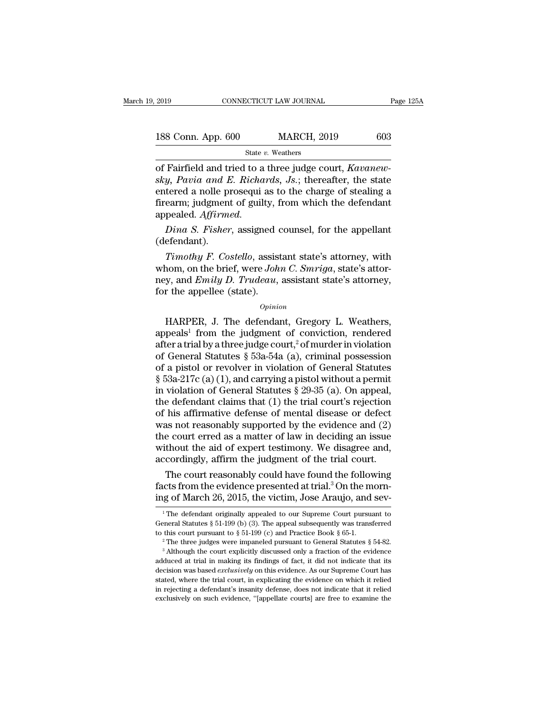| 2019               | CONNECTICUT LAW JOURNAL | Page 125A |
|--------------------|-------------------------|-----------|
| 188 Conn. App. 600 | <b>MARCH, 2019</b>      | 603       |
|                    | State v. Weathers       |           |

of Fairfield and tried to a three judge court, *Kavanew-*<br> *State v. Weathers*<br>
of Fairfield and tried to a three judge court, *Kavanew-*<br> *Sky, Pavia and E. Richards, Js.*; thereafter, the state **188 Conn. App. 600 MARCH, 2019 603**<br> **state v. Weathers**<br> **of Fairfield and tried to a three judge court,** *Kavanew-***<br>** *sky, Pavia and E. Richards, Js.***; thereafter, the state<br>
entered a nolle prosequi as to the charge** 188 Conn. App. 600 MARCH, 2019 603<br>
State v. Weathers<br>
of Fairfield and tried to a three judge court,  $Kavanew-  
sky, Pavia and E. Richards, Js.; thereafter, the state  
entered a nolle prosequi as to the charge of steadily a  
firearm; judgment of guilty, from which the defendant  
annoaled. Affamed$ 188 Conn. App. 600 MARCH, 2019 603<br>
State v. Weathers<br>
of Fairfield and tried to a three judge court, *Kavanew-*<br> *sky*, *Pavia and E. Richards*, *Js.*; thereafter, the state<br>
entered a nolle prosequi as to the charge of appealed. *Affirmed.* Fairfield and tried to a three judge court, *Kavanew-*<br>*y*, *Pavia and E. Richards*, *Js.*; thereafter, the state<br>tered a nolle prosequi as to the charge of stealing a<br>earm; judgment of guilty, from which the defendant<br>pea *The Timothy F. Costello, assistant state's attorney*, and *Finily P. Costello, assistant state's attorney, with nom, on the brief, were John C. Smriga, state's attorney, and <i>Finily P. Trydeay* assistant state's attorney,

(defendant).

entered a none prosequi as to the enlarge of steaming a<br>firearm; judgment of guilty, from which the defendant<br>appealed. Affirmed.<br>*Dina S. Fisher*, assigned counsel, for the appellant<br>(defendant).<br>*Timothy F. Costello*, as meand, jaagherd of gandy, from which the detendant<br>appealed. *Affirmed.*<br>*Dina S. Fisher*, assigned counsel, for the appellant<br>(defendant).<br>*Timothy F. Costello*, assistant state's attorney, with<br>whom, on the brief, were J *Dina S. Fisher*, assigned (defendant).<br> *Timothy F. Costello*, assist whom, on the brief, were *Joh* ney, and *Emily D. Trudeau*, for the appellee (state). Fimothy F. Costello, assistant state's attorney, with<br>nom, on the brief, were John C. Smriga, state's attor-<br>y, and Emily D. Trudeau, assistant state's attorney,<br>r the appellee (state).<br> $opinion$ <br>HARPER, J. The defendant, Greg

## *Opinion*

Finding 1: Costato, assistant state s attorney, which<br>
whom, on the brief, were John C. Smriga, state's attor-<br>
ney, and Emily D. Trudeau, assistant state's attorney,<br>
for the appellee (state).<br>  $opinion$ <br>
HARPER, J. The defen and Emily D. Trudeau, assistant state's attorney,<br>
for the appellee (state).<br>  $opinion$ <br>
HARPER, J. The defendant, Gregory L. Weathers,<br>
appeals<sup>1</sup> from the judgment of conviction, rendered<br>
after a trial by a three judge cour opinion<br>for the appellee (state).<br> $opinion$ <br>HARPER, J. The defendant, Gregory L. Weathers,<br>appeals<sup>1</sup> from the judgment of conviction, rendered<br>after a trial by a three judge court,<sup>2</sup> of murder in violation<br>of General Statute opinion<br>
opinion<br>
HARPER, J. The defendant, Gregory L. Weathers,<br>
appeals<sup>1</sup> from the judgment of conviction, rendered<br>
after a trial by a three judge court,<sup>2</sup> of murder in violation<br>
of General Statutes § 53a-54a (a), c <sup>Opinion</sup><br>
HARPER, J. The defendant, Gregory L. Weathers,<br>
appeals<sup>1</sup> from the judgment of conviction, rendered<br>
after a trial by a three judge court,<sup>2</sup> of murder in violation<br>
of General Statutes § 53a-54a (a), criminal HARPER, J. The defendant, Gregory L. Weathers,<br>appeals<sup>1</sup> from the judgment of conviction, rendered<br>after a trial by a three judge court,<sup>2</sup> of murder in violation<br>of General Statutes § 53a-54a (a), criminal possession<br>of appeals<sup>1</sup> from the judgment of conviction, rendered<br>after a trial by a three judge court,<sup>2</sup> of murder in violation<br>of General Statutes § 53a-54a (a), criminal possession<br>of a pistol or revolver in violation of General S after a trial by a three judge court,<sup>2</sup> of murder in violation<br>of General Statutes § 53a-54a (a), criminal possession<br>of a pistol or revolver in violation of General Statutes<br>§ 53a-217c (a) (1), and carrying a pistol wit of General Statutes § 53a-54a (a), criminal possession<br>of a pistol or revolver in violation of General Statutes<br>§ 53a-217c (a) (1), and carrying a pistol without a permit<br>in violation of General Statutes § 29-35 (a). On a of a pistol or revolver in violation of General Statutes  $\S$  53a-217c (a) (1), and carrying a pistol without a permit<br>in violation of General Statutes  $\S$  29-35 (a). On appeal,<br>the defendant claims that (1) the trial cour  $\S$  53a-217c (a) (1), and carrying a pistol without a permit<br>in violation of General Statutes  $\S$  29-35 (a). On appeal,<br>the defendant claims that (1) the trial court's rejection<br>of his affirmative defense of mental diseas in violation of General Statutes  $\S$  29-35 (a). On appeal,<br>the defendant claims that (1) the trial court's rejection<br>of his affirmative defense of mental disease or defect<br>was not reasonably supported by the evidence and e detendant claims that (1) the trial court's rejection<br>his affirmative defense of mental disease or defect<br>as not reasonably supported by the evidence and (2)<br>e court erred as a matter of law in deciding an issue<br>thout t of his affirmative defense of mental disease or defect<br>was not reasonably supported by the evidence and (2)<br>the court erred as a matter of law in deciding an issue<br>without the aid of expert testimony. We disagree and,<br>acco was not reasonably supported by the evidence and  $(2)$ <br>the court erred as a matter of law in deciding an issue<br>without the aid of expert testimony. We disagree and,<br>accordingly, affirm the judgment of the trial court.<br>The

The court reasonably could have found the following<br>cts from the evidence presented at trial.<sup>3</sup> On the morn-<br>ig of March 26, 2015, the victim, Jose Araujo, and sev-<br><sup>1</sup>The defendant originally appealed to our Supreme Cou The court reasonably could have found the following<br>facts from the evidence presented at trial.<sup>3</sup> On the morn-<br>ing of March 26, 2015, the victim, Jose Araujo, and sev-<br><sup>1</sup>The defendant originally appealed to our Supreme

facts from the evidence presented at trial.<sup>3</sup> On the morning of March 26, 2015, the victim, Jose Araujo, and sev-<br><sup>1</sup>The defendant originally appealed to our Supreme Court pursuant to General Statutes § 51-199 (c) and Pr

<sup>&</sup>lt;sup>1</sup> The defendant originally appealed to our Supreme Court pursuant to General Statutes § 51-199 (b) (3). The appeal subsequently was transferred to this court pursuant to § 51-199 (c) and Practice Book § 65-1.<br><sup>2</sup> The th General Statutes § 51-199 (b) (3). The appeal subsequently was transferred<br>to this court pursuant to § 51-199 (c) and Practice Book § 65-1.<br><sup>2</sup> The three judges were impaneled pursuant to General Statutes § 54-82.<br><sup>3</sup> Alt to this court pursuant to § 51-199 (c) and Practice Book § 65-1.<br>
<sup>2</sup> The three judges were impaneled pursuant to General Statutes § 54-82.<br>
<sup>3</sup> Although the court explicitly discussed only a fraction of the evidence addu <sup>2</sup> The three judges were impaneled pursuant to General Statutes § 54-82.<br><sup>3</sup> Although the court explicitly discussed only a fraction of the evidence adduced at trial in making its findings of fact, it did not indicate th <sup>2</sup> The three judges were impaneled pursuant to General Statutes § 54-82.<br><sup>3</sup> Although the court explicitly discussed only a fraction of the evidence adduced at trial in making its findings of fact, it did not indicate th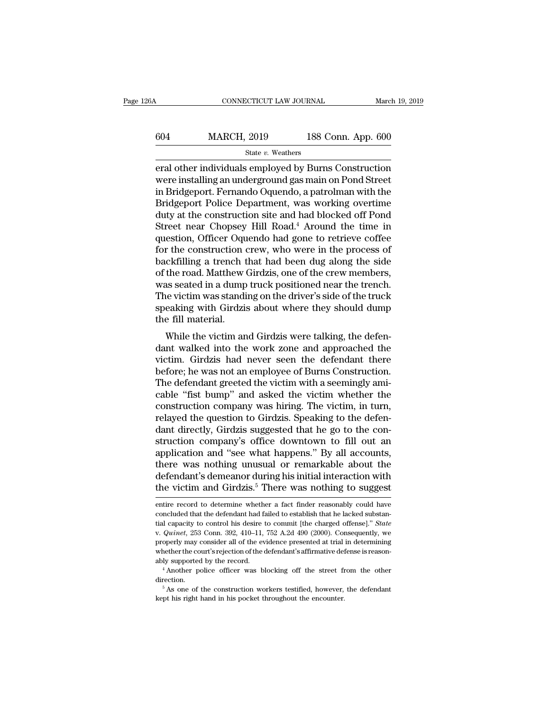| ľ6А | CONNECTICUT LAW JOURNAL |                    | March 19, 2019 |
|-----|-------------------------|--------------------|----------------|
|     |                         |                    |                |
| 604 | <b>MARCH, 2019</b>      | 188 Conn. App. 600 |                |
|     | State v. Weathers       |                    |                |

EXECUTE CONNECTICUT LAW JOURNAL March 19, 2019<br>
EXECUTE AW JOURNAL MARCH, 2019<br>
State v. Weathers<br>
Final other individuals employed by Burns Construction<br>
Were installing an underground gas main on Pond Street<br>
in Bridgepo MARCH, 2019 188 Conn. App. 600<br>
State v. Weathers<br>
Final other individuals employed by Burns Construction<br>
were installing an underground gas main on Pond Street<br>
in Bridgeport. Fernando Oquendo, a patrolman with the<br>
Brid  $\frac{\text{MARCH, 2019}}{\text{State } v. \text{ Weather}}$ <br>
eral other individuals employed by Burns Construction<br>
were installing an underground gas main on Pond Street<br>
in Bridgeport. Fernando Oquendo, a patrolman with the<br>
Bridgeport Police Depart  $\frac{\text{MARCH, 2019}}{\text{State } v. \text{ Weather}}$ <br>
eral other individuals employed by Burns Construction<br>
were installing an underground gas main on Pond Street<br>
in Bridgeport. Fernando Oquendo, a patrolman with the<br>
Bridgeport Police Departm State v. Weathers<br>
Figure 3.5 State v. Weathers<br>
Figure 3.5 State v. Weathers<br>
Figure 2.6 State and the construction<br>
were installing an underground gas main on Pond Street<br>
in Bridgeport. Fernando Oquendo, a patrolman wi State v. Weathers<br>
State v. Weathers<br>
Find of the individuals employed by Burns Construction<br>
were installing an underground gas main on Pond Street<br>
in Bridgeport. Fernando Oquendo, a patrolman with the<br>
Bridgeport Polic eral other individuals employed by Burns Construction<br>were installing an underground gas main on Pond Street<br>in Bridgeport. Fernando Oquendo, a patrolman with the<br>Bridgeport Police Department, was working overtime<br>duty at were installing an underground gas main on Pond Street<br>in Bridgeport. Fernando Oquendo, a patrolman with the<br>Bridgeport Police Department, was working overtime<br>duty at the construction site and had blocked off Pond<br>Street in Bridgeport. Fernando Oquendo, a patrolman with the<br>Bridgeport Police Department, was working overtime<br>duty at the construction site and had blocked off Pond<br>Street near Chopsey Hill Road.<sup>4</sup> Around the time in<br>question, Bridgeport Police Department, was working overtime<br>duty at the construction site and had blocked off Pond<br>Street near Chopsey Hill Road.<sup>4</sup> Around the time in<br>question, Officer Oquendo had gone to retrieve coffee<br>for the c duty at the construction site and had blocked off Pond<br>Street near Chopsey Hill Road.<sup>4</sup> Around the time in<br>question, Officer Oquendo had gone to retrieve coffee<br>for the construction crew, who were in the process of<br>backfi Street near Chopsey Hill Road.<sup>4</sup> Around the time in<br>question, Officer Oquendo had gone to retrieve coffee<br>for the construction crew, who were in the process of<br>backfilling a trench that had been dug along the side<br>of the question, Officer Oquendo had gone to retrieve coffee<br>for the construction crew, who were in the process of<br>backfilling a trench that had been dug along the side<br>of the road. Matthew Girdzis, one of the crew members,<br>was s for the construction of<br>backfilling a trench t<br>of the road. Matthew of<br>was seated in a dump<br>The victim was standi<br>speaking with Girdzis<br>the fill material.<br>While the victim an Exhiming a trench that had been dug along the side<br>the road. Matthew Girdzis, one of the crew members,<br>as seated in a dump truck positioned near the trench.<br>le victim was standing on the driver's side of the truck<br>eaking w of the road. Matthew GHu2s, one of the crew members,<br>was seated in a dump truck positioned near the trench.<br>The victim was standing on the driver's side of the truck<br>speaking with Girdzis about where they should dump<br>the f

was seated in a dump truck positioned near the trench.<br>The victim was standing on the driver's side of the truck<br>speaking with Girdzis about where they should dump<br>the fill material.<br>While the victim and Girdzis were talki The victilit was standing on the driver's side of the truck<br>speaking with Girdzis about where they should dump<br>the fill material.<br>While the victim and Girdzis were talking, the defen-<br>dant walked into the work zone and app Speaking with Ghuzis about where they should dump<br>the fill material.<br>While the victim and Girdzis were talking, the defen-<br>dant walked into the work zone and approached the<br>victim. Girdzis had never seen the defendant ther While the victim and Girdzis were talking, the defendant walked into the work zone and approached the victim. Girdzis had never seen the defendant there before; he was not an employee of Burns Construction.<br>The defendant g While the victim and Girdzis were talking, the defen-<br>dant walked into the work zone and approached the<br>victim. Girdzis had never seen the defendant there<br>before; he was not an employee of Burns Construction.<br>The defendant dant walked into the work zone and approached the<br>victim. Girdzis had never seen the defendant there<br>before; he was not an employee of Burns Construction.<br>The defendant greeted the victim with a seemingly ami-<br>cable "fist victim. Girdzis had never seen the defendant there<br>before; he was not an employee of Burns Construction.<br>The defendant greeted the victim with a seemingly ami-<br>cable "fist bump" and asked the victim whether the<br>constructio before; he was not an employee of Burns Construction.<br>The defendant greeted the victim with a seemingly amicable "fist bump" and asked the victim whether the<br>construction company was hiring. The victim, in turn,<br>relayed th The defendant greeted the victim with a seemingly amicable "fist bump" and asked the victim whether the construction company was hiring. The victim, in turn, relayed the question to Girdzis. Speaking to the defendant direc cable "fist bump" and asked the victim whether the<br>construction company was hiring. The victim, in turn,<br>relayed the question to Girdzis. Speaking to the defen-<br>dant directly, Girdzis suggested that he go to the con-<br>struc construction company was hiring. The victim, in turn,<br>relayed the question to Girdzis. Speaking to the defen-<br>dant directly, Girdzis suggested that he go to the con-<br>struction company's office downtown to fill out an<br>appli relayed the question to Girdzis. Speaking to the defen-<br>dant directly, Girdzis suggested that he go to the con-<br>struction company's office downtown to fill out an<br>application and "see what happens." By all accounts,<br>there application and "see what happens." By all accounts,<br>there was nothing unusual or remarkable about the<br>defendant's demeanor during his initial interaction with<br>the victim and Girdzis.<sup>5</sup> There was nothing to suggest<br>entire there was nothing unusual or remarkable about the<br>defendant's demeanor during his initial interaction with<br>the victim and Girdzis.<sup>5</sup> There was nothing to suggest<br>entire record to determine whether a fact finder reasonably

defendant's demeanor during his initial interaction with<br>the victim and Girdzis.<sup>5</sup> There was nothing to suggest<br>entire record to determine whether a fact finder reasonably could have<br>concluded that the defendant had faile extractive victility and GITUZIS. There was notiting to suggest<br>entire record to determine whether a fact finder reasonably could have<br>concluded that the defendant had failed to establish that he lacked substan-<br>tial capac entire record to determine whether a fact finder reasonably could have<br>concluded that the defendant had failed to establish that he lacked substan-<br>tial capacity to control his desire to commit [the charged offense]." Sta concluded that the defendant had failed to establish that he lacked substantial capacity to control his desire to commit [the charged offense]." *State* v. *Quinet*, 253 Conn. 392, 410–11, 752 A.2d 490 (2000). Consequently properly may consider all of the evidence presented at trial in determining<br>whether the court's rejection of the defendant's affirmative defense is reasonably<br>supported by the record.<br>"Another police officer was blocking o whether the court's rejection of the defendant's affirmative defense is reason-

direction.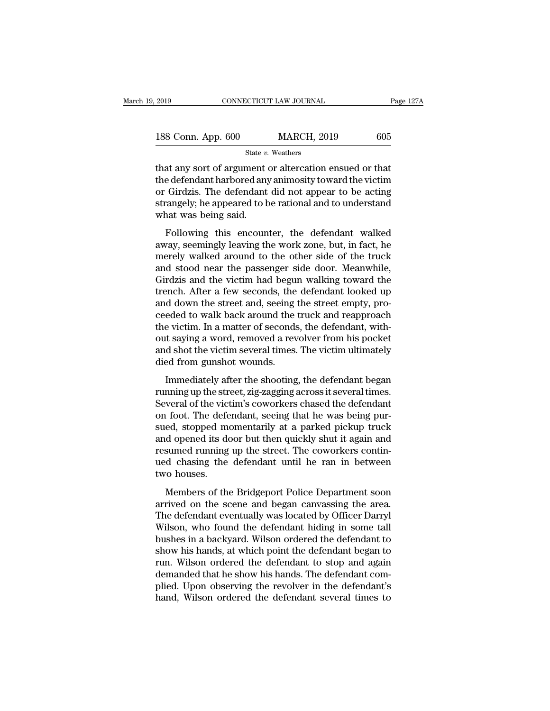| 2019               | CONNECTICUT LAW JOURNAL | Page 127A |
|--------------------|-------------------------|-----------|
| 188 Conn. App. 600 | <b>MARCH, 2019</b>      | 605       |
|                    | State v. Weathers       |           |

2019 CONNECTICUT LAW JOURNAL Page 1271<br>
188 Conn. App. 600 MARCH, 2019 605<br>
State v. Weathers<br>
that any sort of argument or altercation ensued or that<br>
the defendant harbored any animosity toward the victim<br>
or Girdzis. T 188 Conn. App.  $600$  MARCH,  $2019$   $605$ <br>  $\frac{805}{100}$  State v. Weathers<br>
that any sort of argument or altercation ensued or that<br>
the defendant harbored any animosity toward the victim<br>
or Girdzis. The defendant did not 188 Conn. App.  $600$  MARCH,  $2019$   $605$ <br>
State v. Weathers<br>
that any sort of argument or altercation ensued or that<br>
the defendant harbored any animosity toward the victim<br>
or Girdzis. The defendant did not appear to be 188 Conn. App.  $600$  MARCH,  $2019$  605<br>
State v. Weathers<br>
that any sort of argument or altercation ensued or that<br>
the defendant harbored any animosity toward the victim<br>
or Girdzis. The defendant did not appear to be ac  $\begin{array}{r}\n\hline\n\text{State } v.\n\hline\n\text{that any sort of argument of the defendant, a motor and the defendant, a stronger thread, and a strategy of the current. The defendant, a strategy of the current that was being said. Following this, the amount of the current and the current that is the current. \end{array}$ at any sort of argument or altercation ensued or that<br>e defendant harbored any animosity toward the victim<br>Girdzis. The defendant did not appear to be acting<br>cangely; he appeared to be rational and to understand<br>nat was be and any sort of argument of antereation ensued of that<br>the defendant harbored any animosity toward the victim<br>or Girdzis. The defendant did not appear to be acting<br>strangely; he appeared to be rational and to understand<br>wh

merelectrician introducting antificially conducted to the acting<br>or Girdzis. The defendant did not appear to be acting<br>strangely; he appeared to be rational and to understand<br>what was being said.<br>Following this encounter, or directly; he appeared to be rational and to understand<br>strangely; he appeared to be rational and to understand<br>what was being said.<br>Following this encounter, the defendant walked<br>away, seemingly leaving the work zone, b Birangery, it appeared to be rational and to dideristand<br>what was being said.<br>Following this encounter, the defendant walked<br>away, seemingly leaving the work zone, but, in fact, he<br>merely walked around to the other side of Following this encounter, the defendant walked<br>away, seemingly leaving the work zone, but, in fact, he<br>merely walked around to the other side of the truck<br>and stood near the passenger side door. Meanwhile,<br>Girdzis and the Following this encounter, the defendant walked<br>away, seemingly leaving the work zone, but, in fact, he<br>merely walked around to the other side of the truck<br>and stood near the passenger side door. Meanwhile,<br>Girdzis and the away, seemingly leaving the work zone, but, in fact, he<br>merely walked around to the other side of the truck<br>and stood near the passenger side door. Meanwhile,<br>Girdzis and the victim had begun walking toward the<br>trench. Aft merely walked around to the other side of the truck<br>and stood near the passenger side door. Meanwhile,<br>Girdzis and the victim had begun walking toward the<br>trench. After a few seconds, the defendant looked up<br>and down the s and stood near the passenger side door. Meanwhile,<br>Girdzis and the victim had begun walking toward the<br>trench. After a few seconds, the defendant looked up<br>and down the street and, seeing the street empty, pro-<br>ceeded to w Girdzis and the victim had begun walking toward the<br>trench. After a few seconds, the defendant looked up<br>and down the street and, seeing the street empty, pro-<br>ceeded to walk back around the truck and reapproach<br>the victim trench. After a few seconds, the<br>and down the street and, seeing<br>ceeded to walk back around the<br>the victim. In a matter of seconds<br>out saying a word, removed a rev<br>and shot the victim several times.<br>died from gunshot wound Immediately after the shooting, the shoot empty, pro-<br>eded to walk back around the truck and reapproach<br>e victim. In a matter of seconds, the defendant, with-<br>it saying a word, removed a revolver from his pocket<br>d shot the recused to wank stack around the track and recepproach<br>the victim. In a matter of seconds, the defendant, with-<br>out saying a word, removed a revolver from his pocket<br>and shot the victim several times. The victim ultimately

Free victim: In a master of seconds, the defendant, what<br>out saying a word, removed a revolver from his pocket<br>and shot the victim several times. The victim ultimately<br>died from gunshot wounds.<br>Immediately after the shooti out stying a word, removed a revolver from his poeted<br>and shot the victim several times. The victim ultimately<br>died from gunshot wounds.<br>Immediately after the shooting, the defendant began<br>running up the street, zig-zaggin died from gunshot wounds.<br>
Immediately after the shooting, the defendant began<br>
running up the street, zig-zagging across it several times.<br>
Several of the victim's coworkers chased the defendant<br>
on foot. The defendant, s Immediately after the shooting, the defendant began<br>running up the street, zig-zagging across it several times.<br>Several of the victim's coworkers chased the defendant<br>on foot. The defendant, seeing that he was being pur-<br>s Immediately after the shooting, the defendant began<br>running up the street, zig-zagging across it several times.<br>Several of the victim's coworkers chased the defendant<br>on foot. The defendant, seeing that he was being pur-<br>s running up the street, zig-zagging across it several times.<br>Several of the victim's coworkers chased the defendant<br>on foot. The defendant, seeing that he was being pur-<br>sued, stopped momentarily at a parked pickup truck<br>an Several of the vict<br>on foot. The defe<br>sued, stopped mand opened its do<br>resumed running<br>ued chasing the<br>two houses.<br>Members of the Frood. The determinate, seeing that he was being pured, stopped momentarily at a parked pickup truck<br>d opened its door but then quickly shut it again and<br>sumed running up the street. The coworkers contin-<br>d chasing the def and opened its door but then quickly shut it again and<br>and opened its door but then quickly shut it again and<br>resumed chasing the defendant until he ran in between<br>two houses.<br>Members of the Bridgeport Police Department so

The defendant eventually share a gaint and<br>resumed running up the street. The coworkers contin-<br>ued chasing the defendant until he ran in between<br>two houses.<br>Members of the Bridgeport Police Department soon<br>arrived on the Estance running up the street. The coworkers contributed chasing the defendant until he ran in between two houses.<br>
Members of the Bridgeport Police Department soon<br>
arrived on the scene and began canvassing the area.<br>
The two houses.<br>
Members of the Bridgeport Police Department soon<br>
arrived on the scene and began canvassing the area.<br>
The defendant eventually was located by Officer Darryl<br>
Wilson, who found the defendant hiding in some tal Members of the Bridgeport Police Department soon<br>arrived on the scene and began canvassing the area.<br>The defendant eventually was located by Officer Darryl<br>Wilson, who found the defendant hiding in some tall<br>bushes in a ba Members of the Bridgeport Police Department soon<br>arrived on the scene and began canvassing the area.<br>The defendant eventually was located by Officer Darryl<br>Wilson, who found the defendant hiding in some tall<br>bushes in a ba arrived on the scene and began canvassing the area.<br>The defendant eventually was located by Officer Darryl<br>Wilson, who found the defendant hiding in some tall<br>bushes in a backyard. Wilson ordered the defendant to<br>show his The defendant eventually was located by Officer Darryl<br>Wilson, who found the defendant hiding in some tall<br>bushes in a backyard. Wilson ordered the defendant to<br>show his hands, at which point the defendant began to<br>run. Wi Wilson, who found the defendant hiding in some tall<br>bushes in a backyard. Wilson ordered the defendant to<br>show his hands, at which point the defendant began to<br>run. Wilson ordered the defendant to stop and again<br>demanded t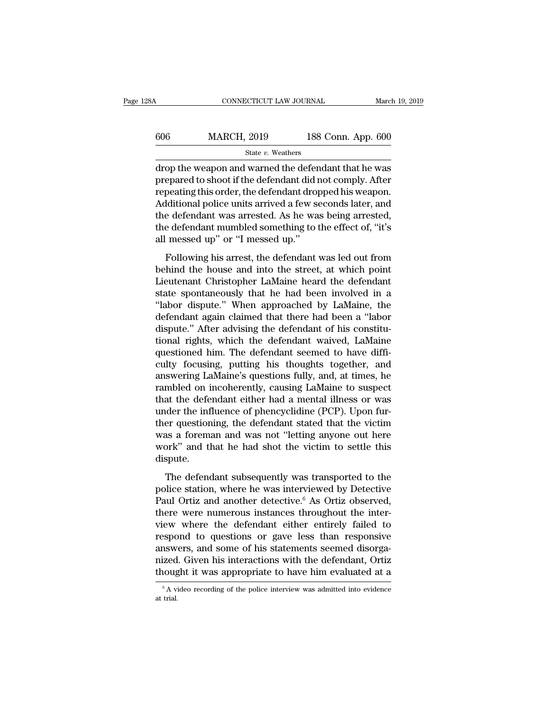| 28A | CONNECTICUT LAW JOURNAL |                    | March 19, 2019 |
|-----|-------------------------|--------------------|----------------|
| 606 | <b>MARCH, 2019</b>      | 188 Conn. App. 600 |                |
|     | State v. Weathers       |                    |                |

 $\begin{tabular}{ll} \multicolumn{2}{l}{{\bf CONRECTICUT LAW JOURNAL}} & March 19, 2019 \\ \hline & & 188 \text{ Conn. App. 600} \\ & State $v$. Weaters \\ \hline drop the weapon and warned the defendant that he was prepared to shoot if the defendant did not comply. After\\ \textbf{repos tinst this order, the defendant diamond his women.} \end{tabular}$  $\begin{array}{ll} \text{606} & \text{MARCH, 2019} & \text{188 Conn. App. 600} \ \text{State } v. \text{ Weather} \ \text{drop the weapon and warned the defendant that he was prepared to shoot if the defendant did not comply. After repeating this order, the defendant dropped his weapon. Additional policy units arrived a four seconds later, and$  $\begin{tabular}{r|c} \hline & \multicolumn{1}{c}{\textbf{MARCH, 2019}} & \multicolumn{1}{c}{\textbf{188 Conn. App. 600}} \\ \hline & \multicolumn{1}{c}{\textbf{State $v$}. Weather} \\ \hline \text{drop the weapon and warned the defendant that he was prepared to shoot if the defendant did not comply. After repeating this order, the defendant dropped his weapon. Additional police units arrived a few seconds later, and the defendant was arrested. As he was being arrested. \end{tabular}$  $\frac{\text{MARCH, 2019}}{\text{State } v. \text{ Weather}}$ <br>  $\text{drop the weapon and warned the defendant that he was prepared to shoot if the defendant did not comply. After repeating this order, the defendant dropped his weapon. Additional police units arrived a few seconds later, and the defendant was arrested. As he was being arrested, the defendant cumulative conditions to the effect of "it's$ State v. Weathers<br>
drop the weapon and warned the defendant that he was<br>
prepared to shoot if the defendant did not comply. After<br>
repeating this order, the defendant dropped his weapon.<br>
Additional police units arrived a state v. weathers<br>drop the weapon and warned the defendant that he was<br>prepared to shoot if the defendant did not comply. After<br>repeating this order, the defendant dropped his weapon.<br>Additional police units arrived a few drop the weapon and warned the defer<br>prepared to shoot if the defendant did r<br>repeating this order, the defendant drop<br>Additional police units arrived a few se<br>the defendant was arrested. As he wa<br>the defendant mumbled som peating this order, the defendant dropped his weapon.<br>Iditional police units arrived a few seconds later, and<br>e defendant was arrested. As he was being arrested,<br>e defendant mumbled something to the effect of, "it's<br>messed beheading and state, are determined in p-p-same order and<br>Additional police units arrived a few seconds later, and<br>the defendant mumbled something to the effect of, "it's<br>all messed up" or "I messed up."<br>Following his arre

Taurabana police and the defendant was arrested. As he was being arrested,<br>the defendant mumbled something to the effect of, "it's<br>all messed up" or "I messed up."<br>Following his arrest, the defendant was led out from<br>behin state defendant mumbled something to the effect of, "it's<br>all messed up" or "I messed up."<br>Following his arrest, the defendant was led out from<br>behind the house and into the street, at which point<br>Lieutenant Christopher La all messed up" or "I messed up."<br>
Following his arrest, the defendant was led out from<br>
behind the house and into the street, at which point<br>
Lieutenant Christopher LaMaine heard the defendant<br>
state spontaneously that he Following his arrest, the defendant was led out from<br>behind the house and into the street, at which point<br>Lieutenant Christopher LaMaine heard the defendant<br>state spontaneously that he had been involved in a<br>"labor dispute Following his arrest, the defendant was led out from<br>behind the house and into the street, at which point<br>Lieutenant Christopher LaMaine heard the defendant<br>state spontaneously that he had been involved in a<br>"labor dispute behind the house and into the street, at which point<br>Lieutenant Christopher LaMaine heard the defendant<br>state spontaneously that he had been involved in a<br>"labor dispute." When approached by LaMaine, the<br>defendant again cl Lieutenant Christopher LaMaine heard the defendant<br>state spontaneously that he had been involved in a<br>"labor dispute." When approached by LaMaine, the<br>defendant again claimed that there had been a "labor<br>dispute." After ad state spontaneously that he had been involved in a<br>"labor dispute." When approached by LaMaine, the<br>defendant again claimed that there had been a "labor<br>dispute." After advising the defendant of his constitu-<br>tional rights "labor dispute." When approached by LaMaine, the<br>defendant again claimed that there had been a "labor<br>dispute." After advising the defendant of his constitu-<br>tional rights, which the defendant waived, LaMaine<br>questioned hi defendant again claimed that there had been a "labor<br>dispute." After advising the defendant of his constitu-<br>tional rights, which the defendant waived, LaMaine<br>questioned him. The defendant seemed to have diffi-<br>culty focu dispute." After advising the defendant of his constitutional rights, which the defendant waived, LaMaine questioned him. The defendant seemed to have difficulty focusing, putting his thoughts together, and answering LaMain tional rights, which the defendant waived, LaMaine<br>questioned him. The defendant seemed to have diffi-<br>culty focusing, putting his thoughts together, and<br>answering LaMaine's questions fully, and, at times, he<br>rambled on in questioned him. The defendant seemed to have difficulty focusing, putting his thoughts together, and<br>answering LaMaine's questions fully, and, at times, he<br>rambled on incoherently, causing LaMaine to suspect<br>that the defen culty focusing, putting his thoughts together, and<br>answering LaMaine's questions fully, and, at times, he<br>rambled on incoherently, causing LaMaine to suspect<br>that the defendant either had a mental illness or was<br>under the answering LaMaine's questions fully, and, at times, he rambled on incoherently, causing LaMaine to suspect that the defendant either had a mental illness or was under the influence of phencyclidine (PCP). Upon further ques dispute. the influence of phencyclidine (PCP). Upon fur-<br>der the influence of phencyclidine (PCP). Upon fur-<br>er questioning, the defendant stated that the victim<br>as a foreman and was not "letting anyone out here<br>ork" and that he h ther questioning, the defendant stated that the victim<br>was a foreman and was not "letting anyone out here<br>work" and that he had shot the victim to settle this<br>dispute.<br>The defendant subsequently was transported to the<br>pol

From questioning, the distribution stated that the Tream<br>was a foreman and was not "letting anyone out here<br>work" and that he had shot the victim to settle this<br>dispute.<br>The defendant subsequently was transported to the<br>po work" and that he had shot the victim to settle this<br>dispute.<br>The defendant subsequently was transported to the<br>police station, where he was interviewed by Detective<br>Paul Ortiz and another detective.<sup>6</sup> As Ortiz observed, The defendant subsequently was transported to the<br>police station, where he was interviewed by Detective<br>Paul Ortiz and another detective.<sup>6</sup> As Ortiz observed,<br>there were numerous instances throughout the inter-<br>view wher The defendant subsequently was transported to the<br>police station, where he was interviewed by Detective<br>Paul Ortiz and another detective.<sup>6</sup> As Ortiz observed,<br>there were numerous instances throughout the inter-<br>view where The defendant subsequently was transported to the<br>police station, where he was interviewed by Detective<br>Paul Ortiz and another detective.<sup>6</sup> As Ortiz observed,<br>there were numerous instances throughout the inter-<br>view where police station, where he was interviewed by Detective Paul Ortiz and another detective.<sup>6</sup> As Ortiz observed, there were numerous instances throughout the interview where the defendant either entirely failed to respond to Paul Ortiz and another detective.<sup>6</sup> As Ortiz observed,<br>there were numerous instances throughout the inter-<br>view where the defendant either entirely failed to<br>respond to questions or gave less than responsive<br>answers, and respond to questions or gave less than responsive answers, and some of his statements seemed disorganized. Given his interactions with the defendant, Ortiz thought it was appropriate to have him evaluated at a  $\frac{1}{\pi}$  thought it was appropriate to have him evaluated at a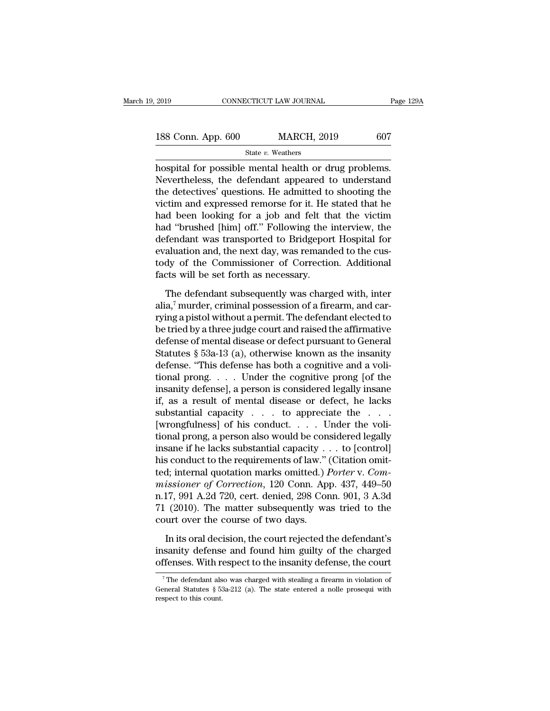| 2019               | CONNECTICUT LAW JOURNAL | Page 129A |
|--------------------|-------------------------|-----------|
| 188 Conn. App. 600 | <b>MARCH, 2019</b>      | 607       |
|                    | State v. Weathers       |           |

2019 CONNECTICUT LAW JOURNAL Page 12<br>
188 Conn. App. 600 MARCH, 2019 607<br>
State v. Weathers<br>
hospital for possible mental health or drug problems.<br>
Nevertheless, the defendant appeared to understand<br>
the detectives' suesti  $\frac{188 \text{ Conn. App. } 600}{\text{State } v. \text{ Weather}}$   $\frac{607}{\text{State } v. \text{ Weather}}$ <br>
hospital for possible mental health or drug problems.<br>
Nevertheless, the defendant appeared to understand<br>
the detectives' questions. He admitted to shooting the<br>
v 188 Conn. App. 600 MARCH, 2019 607<br>
State v. Weathers<br>
hospital for possible mental health or drug problems.<br>
Nevertheless, the defendant appeared to understand<br>
the detectives' questions. He admitted to shooting the<br>
vic 188 Conn. App. 600 MARCH, 2019 607<br>
state v. Weathers<br>
hospital for possible mental health or drug problems.<br>
Nevertheless, the defendant appeared to understand<br>
the detectives' questions. He admitted to shooting the<br>
vic State v. Weathers<br>
hospital for possible mental health or drug problems.<br>
Nevertheless, the defendant appeared to understand<br>
the detectives' questions. He admitted to shooting the<br>
victim and expressed remorse for it. He state  $v$ . weathers<br>hospital for possible mental health or drug problems.<br>Nevertheless, the defendant appeared to understand<br>the detectives' questions. He admitted to shooting the<br>victim and expressed remorse for it. He s hospital for possible mental health or drug problems.<br>Nevertheless, the defendant appeared to understand<br>the detectives' questions. He admitted to shooting the<br>victim and expressed remorse for it. He stated that he<br>had bee Nevertheless, the defendant appeared to understand<br>the detectives' questions. He admitted to shooting the<br>victim and expressed remorse for it. He stated that he<br>had been looking for a job and felt that the victim<br>had "brus the detectives' questions. He admitted to shooting the victim and expressed remorse for it. He stated that he had been looking for a job and felt that the victim had "brushed [him] off." Following the interview, the defend victim and expressed remorse for it. He shad been looking for a job and felt th<br>had "brushed [him] off." Following the i<br>defendant was transported to Bridgepor<br>evaluation and, the next day, was remand<br>tody of the Commissio d "brushed [him] off." Following the interview, the<br>fendant was transported to Bridgeport Hospital for<br>aluation and, the next day, was remanded to the cus-<br>dy of the Commissioner of Correction. Additional<br>cts will be set f defendant was transported to Bridgeport Hospital for<br>evaluation and, the next day, was remanded to the cus-<br>tody of the Commissioner of Correction. Additional<br>facts will be set forth as necessary.<br>The defendant subsequentl

evaluation and, the next day, was remanded to the custody of the Commissioner of Correction. Additional facts will be set forth as necessary.<br>The defendant subsequently was charged with, inter alia,<sup>7</sup> murder, criminal po tody of the Commissioner of Correction. Additional<br>facts will be set forth as necessary.<br>The defendant subsequently was charged with, inter<br>alia,<sup>7</sup> murder, criminal possession of a firearm, and car-<br>rying a pistol withou facts will be set forth as necessary.<br>
The defendant subsequently was charged with, inter<br>
alia,<sup>7</sup> murder, criminal possession of a firearm, and car-<br>
rying a pistol without a permit. The defendant elected to<br>
be tried b The defendant subsequently was charged with, inter<br>alia,<sup>7</sup> murder, criminal possession of a firearm, and car-<br>rying a pistol without a permit. The defendant elected to<br>be tried by a three judge court and raised the affir The defendant subsequently was charged with, inter<br>alia,<sup>7</sup> murder, criminal possession of a firearm, and car-<br>rying a pistol without a permit. The defendant elected to<br>be tried by a three judge court and raised the affir alia,' murder, criminal possession of a firearm, and carrying a pistol without a permit. The defendant elected to<br>be tried by a three judge court and raised the affirmative<br>defense of mental disease or defect pursuant to G rying a pistol without a permit. The defendant elected to<br>be tried by a three judge court and raised the affirmative<br>defense of mental disease or defect pursuant to General<br>Statutes § 53a-13 (a), otherwise known as the ins be tried by a three judge court and raised the affirmative<br>defense of mental disease or defect pursuant to General<br>Statutes § 53a-13 (a), otherwise known as the insanity<br>defense. "This defense has both a cognitive and a vo defense of mental disease or defect pursuant to General<br>Statutes § 53a-13 (a), otherwise known as the insanity<br>defense. "This defense has both a cognitive and a voli-<br>tional prong.... Under the cognitive prong [of the<br>insa Statutes § 53a-13 (a), otherwise known as the insanity<br>defense. "This defense has both a cognitive and a voli-<br>tional prong. . . . Under the cognitive prong [of the<br>insanity defense], a person is considered legally insane defense. "This defense has both a cognitive and a voli-<br>tional prong, . . . Under the cognitive prong [of the<br>insanity defense], a person is considered legally insane<br>if, as a result of mental disease or defect, he lacks<br>s tional prong. . . . Under the cognitive prong [of the<br>insanity defense], a person is considered legally insane<br>if, as a result of mental disease or defect, he lacks<br>substantial capacity . . . to appreciate the . . .<br>[wron insanity defense], a person is considered legally insane<br>if, as a result of mental disease or defect, he lacks<br>substantial capacity  $\ldots$  to appreciate the  $\ldots$ .<br>[wrongfulness] of his conduct.  $\ldots$  Under the voli-<br>tiona if, as a result of mental disease or defect, he lacks<br>substantial capacity  $\ldots$  to appreciate the  $\ldots$ <br>[wrongfulness] of his conduct.  $\ldots$  Under the voli-<br>tional prong, a person also would be considered legally<br>insane substantial capacity . . . to appreciate the . . .<br>[wrongfulness] of his conduct. . . . Under the voli-<br>tional prong, a person also would be considered legally<br>insane if he lacks substantial capacity . . . to [control]<br>his [wrongfulness] of his conduct. . . . . Under the volitional prong, a person also would be considered legally insane if he lacks substantial capacity . . . to [control] his conduct to the requirements of law." (Citation om tional prong, a person also would be considered legally<br>insane if he lacks substantial capacity  $\dots$  to [control]<br>his conduct to the requirements of law." (Citation omit-<br>ted; internal quotation marks omitted.) *Porter* v insane if he lacks substantial capacity .<br>his conduct to the requirements of law." (ted; internal quotation marks omitted.) *l* missioner of Correction, 120 Conn. Ap n.17, 991 A.2d 720, cert. denied, 298 Cor 71 (2010). Th d; internal quotation marks omitted.) *Porter* v. *Com-*<br>issioner of Correction, 120 Conn. App. 437, 449–50<br>17, 991 A.2d 720, cert. denied, 298 Conn. 901, 3 A.3d<br>(2010). The matter subsequently was tried to the<br>urt over th missioner of Correction, 120 Conn. App. 437, 449–50<br>n.17, 991 A.2d 720, cert. denied, 298 Conn. 901, 3 A.3d<br>71 (2010). The matter subsequently was tried to the<br>court over the course of two days.<br>In its oral decision, the c n.17, 991 A.2d 720, cert. denied, 298 Conn. 901, 3 A.3d 71 (2010). The matter subsequently was tried to the court over the course of two days.<br>In its oral decision, the court rejected the defendant's insanity defense and f

In its oral decision, the court rejected the defendant's sanity defense and found him guilty of the charged ffenses. With respect to the insanity defense, the court  $\frac{7}{7}$  The defendant also was charged with stealing a In its oral decision, the court rejected the defendant's<br>insanity defense and found him guilty of the charged<br>offenses. With respect to the insanity defense, the court<br> $\frac{1}{7}$ The defendant also was charged with stealing

insanity defenses<br>
offenses. With respect to this count.<br>
Free to this count.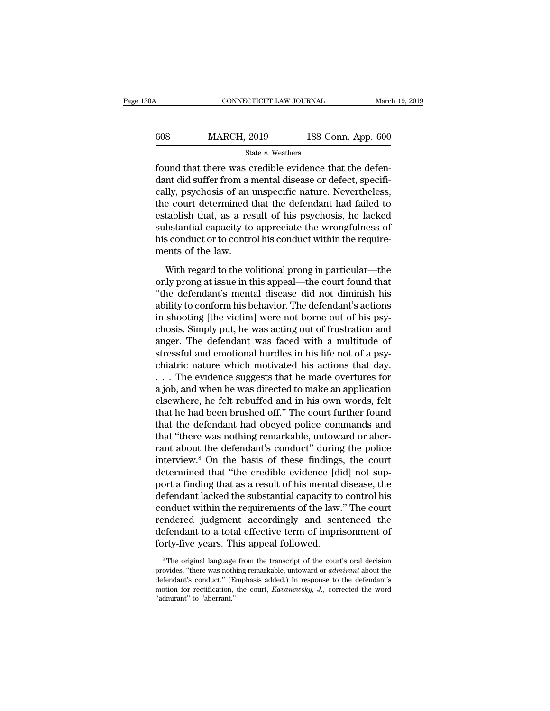| 30A | CONNECTICUT LAW JOURNAL |                    | March 19, 2019 |
|-----|-------------------------|--------------------|----------------|
| 608 | <b>MARCH, 2019</b>      | 188 Conn. App. 600 |                |
|     | State v. Weathers       |                    |                |

FORMENTICUT LAW JOURNAL March March 2019<br>
State v. Weathers<br>
Found that there was credible evidence that the defen-<br>
dant did suffer from a mental disease or defect, specifi-<br>
really payabosis of an ungressific nature. Nev  $\begin{array}{ll}\n 608 & \text{MARCH, } 2019 & \text{188 Conn. App. 600} \\
 \text{State } v. \text{ Weather} \\
 \text{found that there was credible evidence that the defendant did suffer from a mental disease or defect, specifically, psychosis of an unspecified nature. Nevertheless, the court determined that the defendant had failed to be used. \n\n$ 608 MARCH, 2019 188 Conn. App. 600<br>  $\frac{\text{State } v. \text{ Weather}}{\text{found that there was credible evidence that the defendant did suffer from a mental disease or defect, specifically, psychosis of an unspecified nature. Nevertheless, the court determined that the defendant had failed to establish that, as a result of his expressions be leded.$ MARCH, 2019 188 Conn. App. 600<br>  $\frac{\text{State } v. \text{ Weather}}{\text{found that there was credible evidence that the defen-}}$ <br>
dant did suffer from a mental disease or defect, specifically, psychosis of an unspecific nature. Nevertheless,<br>
the court determined that the defendant had State v. Weathers<br>
found that there was credible evidence that the defen-<br>
dant did suffer from a mental disease or defect, specifi-<br>
cally, psychosis of an unspecific nature. Nevertheless,<br>
the court determined that the suae v. weathers<br>found that there was credible evidence that the defen-<br>dant did suffer from a mental disease or defect, specifi-<br>cally, psychosis of an unspecific nature. Nevertheless,<br>the court determined that the defend found that there was credible evidence that the defendant did suffer from a mental disease or defect, specifically, psychosis of an unspecific nature. Nevertheless, the court determined that the defendant had failed to est dant did suffer from a r<br>cally, psychosis of an u<br>the court determined t<br>establish that, as a res<br>substantial capacity to<br>his conduct or to contro<br>ments of the law.<br>With regard to the vo Let the velocity for the velocity of the velocity of the velocity to the velocity to appreciate the wrongfulness of sconduct or to control his conduct within the require-<br>ents of the law.<br>With regard to the volitional pron establish that, as a result of his psychosis, he lacked<br>substantial capacity to appreciate the wrongfulness of<br>his conduct or to control his conduct within the require-<br>ments of the law.<br>With regard to the volitional prong

substantial capacity to appreciate the wrongfulness of<br>his conduct or to control his conduct within the require-<br>ments of the law.<br>With regard to the volitional prong in particular—the<br>only prong at issue in this appeal—th his conduct or to control his conduct within the require-<br>ments of the law.<br>With regard to the volitional prong in particular—the<br>only prong at issue in this appeal—the court found that<br>"the defendant's mental disease did ments of the law.<br>With regard to the volitional prong in particular—the<br>only prong at issue in this appeal—the court found that<br>"the defendant's mental disease did not diminish his<br>ability to conform his behavior. The defe With regard to the volitional prong in particular—the<br>only prong at issue in this appeal—the court found that<br>"the defendant's mental disease did not diminish his<br>ability to conform his behavior. The defendant's actions<br>in With regard to the volitional prong in particular—the<br>only prong at issue in this appeal—the court found that<br>"the defendant's mental disease did not diminish his<br>ability to conform his behavior. The defendant's actions<br>in only prong at issue in this appeal—the court found that<br>"the defendant's mental disease did not diminish his<br>ability to conform his behavior. The defendant's actions<br>in shooting [the victim] were not borne out of his psy-<br> "the defendant's mental disease did not diminish his<br>ability to conform his behavior. The defendant's actions<br>in shooting [the victim] were not borne out of his psy-<br>chosis. Simply put, he was acting out of frustration and ability to conform his behavior. The defendant's actions<br>in shooting [the victim] were not borne out of his psy-<br>chosis. Simply put, he was acting out of frustration and<br>anger. The defendant was faced with a multitude of<br>s in shooting [the victim] were not borne out of his psychosis. Simply put, he was acting out of frustration and<br>anger. The defendant was faced with a multitude of<br>stressful and emotional hurdles in his life not of a psy-<br>c chosis. Simply put, he was acting out of frustration and<br>anger. The defendant was faced with a multitude of<br>stressful and emotional hurdles in his life not of a psy-<br>chiatric nature which motivated his actions that day.<br>. anger. The defendant was faced with a multitude of<br>stressful and emotional hurdles in his life not of a psy-<br>chiatric nature which motivated his actions that day.<br> $\dots$  The evidence suggests that he made overtures for<br>a jo stressful and emotional hurdles in his life not of a psy-<br>chiatric nature which motivated his actions that day.<br>... The evidence suggests that he made overtures for<br>a job, and when he was directed to make an application<br>el chiatric nature which motivated his actions that day.<br>  $\ldots$  The evidence suggests that he made overtures for<br>
a job, and when he was directed to make an application<br>
elsewhere, he felt rebuffed and in his own words, felt . . . The evidence suggests that he made overtures for<br>a job, and when he was directed to make an application<br>elsewhere, he felt rebuffed and in his own words, felt<br>that he had been brushed off." The court further found<br>th a job, and when he was directed to make an application<br>elsewhere, he felt rebuffed and in his own words, felt<br>that he had been brushed off." The court further found<br>that the defendant had obeyed police commands and<br>that "t elsewhere, he felt rebuffed and in his own words, felt<br>that he had been brushed off." The court further found<br>that the defendant had obeyed police commands and<br>that "there was nothing remarkable, untoward or aber-<br>rant abo that he had been brushed off." The court further found<br>that the defendant had obeyed police commands and<br>that "there was nothing remarkable, untoward or aber-<br>rant about the defendant's conduct" during the police<br>interview that the defendant had obeyed police commands and<br>that "there was nothing remarkable, untoward or aber-<br>rant about the defendant's conduct" during the police<br>interview.<sup>8</sup> On the basis of these findings, the court<br>determin that "there was nothing remarkable, untoward or aber-<br>rant about the defendant's conduct" during the police<br>interview.<sup>8</sup> On the basis of these findings, the court<br>determined that "the credible evidence [did] not sup-<br>port rant about the defendant's conduct" during the police<br>interview.<sup>8</sup> On the basis of these findings, the court<br>determined that "the credible evidence [did] not sup-<br>port a finding that as a result of his mental disease, the interview.<sup>8</sup> On the basis of these findings, the court<br>determined that "the credible evidence [did] not sup-<br>port a finding that as a result of his mental disease, the<br>defendant lacked the substantial capacity to control determined that "the credible evidence [diport a finding that as a result of his mental defendant lacked the substantial capacity to conduct within the requirements of the law. rendered judgment accordingly and sen defenda conduct within the requirements of the law." The court<br>rendered judgment accordingly and sentenced the<br>defendant to a total effective term of imprisonment of<br>forty-five years. This appeal followed.<br><sup>8</sup>The original language rendered judgment accordingly and sentenced the<br>defendant to a total effective term of imprisonment of<br>forty-five years. This appeal followed.<br><sup>8</sup>The original language from the transcript of the court's oral decision<br>provi

defendant to a total effective term of imprisonment of<br>
forty-five years. This appeal followed.<br>
<sup>\*</sup>The original language from the transcript of the court's oral decision<br>
provides, "there was nothing remarkable, untoward forty-five years. This appeal followed.<br><sup>8</sup>The original language from the transcript of the court's oral decision<br>provides, "there was nothing remarkable, untoward or *admirant* about the<br>defendant's conduct." (Emphasis ad The original language<br>
<sup>8</sup>The original language<br>
provides, "there was noth<br>
defendant's conduct." (E<br>
motion for rectification,<br>
"admirant" to "aberrant."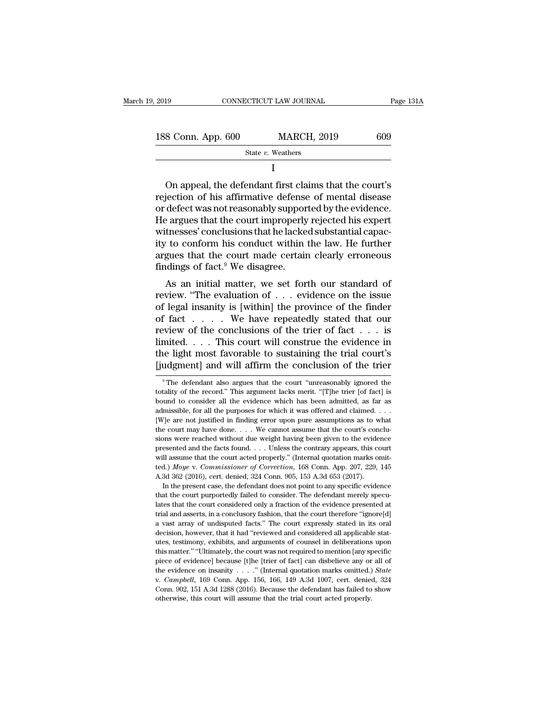| 9, 2019                                                | CONNECTICUT LAW JOURNAL                                                                                                                                                      | Page 131A |
|--------------------------------------------------------|------------------------------------------------------------------------------------------------------------------------------------------------------------------------------|-----------|
|                                                        |                                                                                                                                                                              |           |
| 188 Conn. App. 600                                     | <b>MARCH, 2019</b>                                                                                                                                                           | 609       |
|                                                        | State $v$ . Weathers                                                                                                                                                         |           |
|                                                        |                                                                                                                                                                              |           |
| rejection of his affirmative defense of mental disease | On appeal, the defendant first claims that the court's<br>or defect was not reasonably supported by the evidence.<br>He argues that the court improperly rejected bis expert |           |

188 Conn. App. 600 MARCH, 2019 609<br>
State v. Weathers<br>
I<br>
On appeal, the defendant first claims that the court's<br>
rejection of his affirmative defense of mental disease<br>
or defect was not reasonably supported by the evide State  $v$ . Weathers<br>
I<br>
On appeal, the defendant first claims that the court's<br>
rejection of his affirmative defense of mental disease<br>
or defect was not reasonably supported by the evidence.<br>
He argues that the court imp I<br>
On appeal, the defendant first claims that the court's<br>
rejection of his affirmative defense of mental disease<br>
or defect was not reasonably supported by the evidence.<br>
He argues that the court improperly rejected his e If the defendant first claims that the court's<br>rejection of his affirmative defense of mental disease<br>or defect was not reasonably supported by the evidence.<br>He argues that the court improperly rejected his expert<br>witness On appeal, the defendant first claims that the court's<br>rejection of his affirmative defense of mental disease<br>or defect was not reasonably supported by the evidence.<br>He argues that the court improperly rejected his expert rejection of his affirmative defense<br>or defect was not reasonably suppor<br>He argues that the court improperly<br>witnesses' conclusions that he lacke<br>ity to conform his conduct within<br>argues that the court made certain<br>finding between the court improperly rejected his expert<br>thesses' conclusions that he lacked substantial capac-<br>to conform his conduct within the law. He further<br>gues that the court made certain clearly erroneous<br>idings of fact.<sup></sup> review. Solutions that he lacked substantial capacity to conform his conduct within the law. He further argues that the court made certain clearly erroneous findings of fact.<sup>9</sup> We disagree.<br>As an initial matter, we set fo

whiesses conclusions that he lacked substantial capacity to conform his conduct within the law. He further argues that the court made certain clearly erroneous findings of fact.<sup>9</sup> We disagree.<br>As an initial matter, we se In the second of the conduct whill the law. He further<br>argues that the court made certain clearly erroneous<br>findings of fact.<sup>9</sup> We disagree.<br>As an initial matter, we set forth our standard of<br>review. "The evaluation of . review of fact.<sup>9</sup> We disagree.<br>As an initial matter, we set forth our standard of<br>review. "The evaluation of  $\ldots$  evidence on the issue<br>of legal insanity is [within] the province of the finder<br>of fact  $\ldots$ . We have rep Initial matter, we usagree.<br>
As an initial matter, we set forth our standard of<br>
review. "The evaluation of . . . evidence on the issue<br>
of legal insanity is [within] the province of the finder<br>
of fact . . . . . We have As an initial matter, we set forth our standard of<br>review. "The evaluation of  $\ldots$  evidence on the issue<br>of legal insanity is [within] the province of the finder<br>of fact  $\ldots$ . We have repeatedly stated that our<br>review o review. "The evaluation of . . . evidence on the issue<br>of legal insanity is [within] the province of the finder<br>of fact . . . . We have repeatedly stated that our<br>review of the conclusions of the trier of fact . . . is<br>li eview of the conclusions of the trier of fact  $\ldots$  is<br>mited.  $\ldots$  This court will construe the evidence in<br>ne light most favorable to sustaining the trial court's<br>udgment] and will affirm the conclusion of the trier<br> $\frac$ limited.... This court will construe the evidence in the light most favorable to sustaining the trial court's [judgment] and will affirm the conclusion of the trier  $\frac{1}{\pi}$  The defendant also argues that the court "unr

presented at the court acted properly." (Internal quotaton marks omitted.) *Moye v. Commissioner of Correction*, 168 Conn. App. 207, 229, 145 A.3d 362 (2016), cert. denied, 324 Conn. 905, 153 A.3d 653 (2017). In the presen tred.) Moye v. Commissioner of Correction, 168 Conn. App. 207, 229, 145 A.3d 362 (2016), cert. denied, 324 Conn. 905, 153 A.3d 653 (2017). In the present case, the defendant does not point to any specific evidence that th A.3d 362 (2016), cert. denied, 324 Conn. 905, 153 A.3d 653 (2017). In the present case, the defendant does not point to any specific evidence that the court purportedly failed to consider. The defendant merely speculates In the present case, the defendant does not point to any specific evidence that the court purportedly failed to consider. The defendant merely speculates that the court considered only a fraction of the evidence presented that the court purportedly failed to consider. The defendant merely speculates that the court considered only a fraction of the evidence presented at trial and asserts, in a conclusory fashion, that the court therefore "ig and a lates that the court considered only a fraction of the evidence presented at trial and asserts, in a conclusory fashion, that the court therefore "ignore[d] a vast array of undisputed facts." The court expressly stat trial and asserts, in a conclusory fashion, that the court therefore "ignore[d] a vast array of undisputed facts." The court expressly stated in its oral decision, however, that it had "reviewed and considered all applica a wast array of undisputed facts." The court expressly stated in its oral decision, however, that it had "reviewed and considered all applicable stat-<br>utes, testimony, exhibits, and arguments of counsel in deliberations up utes, testimony, exhibits, and arguments of counsel in deliberations upon<br>this matter." "Ultimately, the court was not required to mention [any specific<br>piece of evidence] because [t]he [trier of fact] can disbelieve any this matter." "Ultimately, the court was not required to mention [any specific piece of evidence] because [t]he [trier of fact] can disbelieve any or all of the evidence on insanity  $\ldots$ ." (Internal quotation marks omitt

the light most favorable to sustaining the trial court's [judgment] and will affirm the conclusion of the trier<br><sup>9</sup>The defendant also argues that the court "unreasonably ignored the totality of the record." This argument l and subset for all the conclusion of the trier<br>
Findgment] and will affirm the conclusion of the trier<br>
<sup>9</sup> The defendant also argues that the court "unreasonably ignored the<br>
totality of the record." This argument lacks m The defendant also argues that the contrusion of the thermulation of the time of the totality of the record." This argument lacks merit. "[T]he trier [of fact] is bound to consider all the evidence which has been admitted <sup>9</sup> The defendant also argues that the court "unreasonably ignored the totality of the record." This argument lacks merit. "[T]he trier [of fact] is bound to consider all the evidence which has been admitted, as far as ad totality of the record." This argument lacks merit. "[T]he trier [of fact] is bound to consider all the evidence which has been admitted, as far as admissible, for all the purposes for which it was offered and claimed. . bound to consider all the evidence which has been admitted, as far as admissible, for all the purposes for which it was offered and claimed. . . . [W] e are not justified in finding error upon pure assumptions as to what admissible, for all the purposes for which it was offered and claimed. . . . . [W] eare not justified in finding error upon pure assumptions as to what the court may have done. . . . We cannot assume that the court's conc EWIE are not justified in finding error upon pure assumptions as to what<br>the court may have done. . . . We cannot assume that the court's conclu-<br>sions were reached without due weight having been given to the evidence<br>pres the court may have done. . . . We cannot assume that the court's conclusions were reached without due weight having been given to the evidence presented and the facts found. . . . Unless the contrary appears, this court w In the presented without due weight having been given to the evidence essented and the facts found. . . . Unless the contrary appears, this court ill assume that the court acted properly." (Internal quotation marks omitd. presented and the facts found. . . . Unless the contrary appears, this court<br>will assume that the court acted properly." (Internal quotation marks omit-<br>ted.) *Moye* v. *Commissioner of Correction*, 168 Conn. App. 207, 22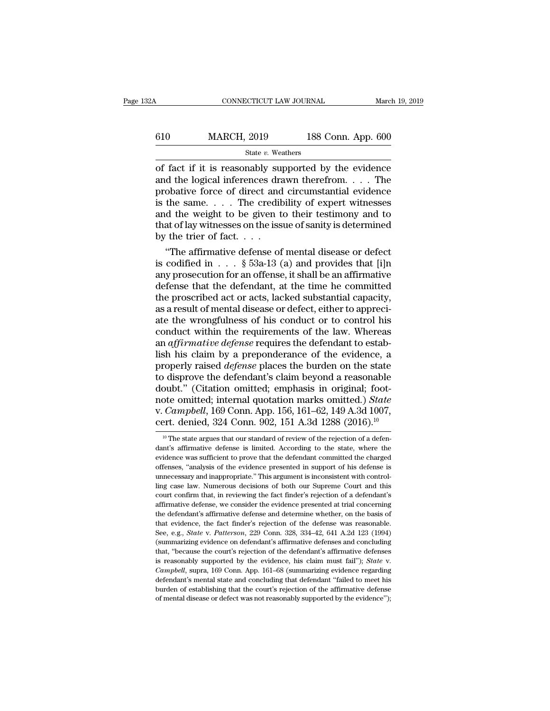# CONNECTICUT LAW JOURNAL March 19, 2019<br>610 MARCH, 2019 188 Conn. App. 600<br>State v. Weathers State *v.* Weathers

CONNECTICUT LAW JOURNAL March 19, 2019<br>
610 MARCH, 2019 188 Conn. App. 600<br>
5tate v. Weathers<br>
of fact if it is reasonably supported by the evidence<br>
and the logical inferences drawn therefrom. . . . The<br>
probative force o  $\begin{array}{c|c} \n610 & \text{MARCH, } 2019 & \text{188 Conn. App. 600} \\
 \hline\n\text{State } v. \text{ Weathers} \\
\hline\n\end{array}$  of fact if it is reasonably supported by the evidence and the logical inferences drawn therefrom. . . . The probative force of direct and circumsta 610 MARCH, 2019 188 Conn. App. 600<br>
State v. Weathers<br>
of fact if it is reasonably supported by the evidence<br>
and the logical inferences drawn therefrom. . . . The<br>
probative force of direct and circumstantial evidence<br>
i 610 MARCH, 2019 188 Conn. App. 600<br>  $\frac{\text{State } v. \text{ Weather}}{\text{of } \text{fact if it is reasonably supported by the evidence}}$ <br>
and the logical inferences drawn therefrom. . . . The<br>
probative force of direct and circumstantial evidence<br>
is the same. . . . The credibility of e State v. Weathers<br>
State v. Weathers<br>
of fact if it is reasonably supported by the evidence<br>
and the logical inferences drawn therefrom.  $\dots$ . The<br>
probative force of direct and circumstantial evidence<br>
is the same.  $\dots$ . State v. Weathers<br>
of fact if it is reasonably supported by the evidence<br>
and the logical inferences drawn therefrom. . . . The<br>
probative force of direct and circumstantial evidence<br>
is the same. . . . The credibility of of fact if it is reasonably supported by the evidence<br>and the logical inferences drawn therefrom. . . . The<br>probative force of direct and circumstantial evidence<br>is the same. . . . The credibility of expert witnesses<br>and d the logical inferences drawn therefrom. . . . The<br>obative force of direct and circumstantial evidence<br>the same. . . . The credibility of expert witnesses<br>d the weight to be given to their testimony and to<br>at of lay witn probative force of direct and circumstantial evidence<br>is the same.... The credibility of expert witnesses<br>and the weight to be given to their testimony and to<br>that of lay witnesses on the issue of sanity is determined<br>by

is the same. . . . The credibility of expert witnesses<br>and the weight to be given to their testimony and to<br>that of lay witnesses on the issue of sanity is determined<br>by the trier of fact. . . .<br>"The affirmative defense o and the weight to be given to their testimony and to<br>that of lay witnesses on the issue of sanity is determined<br>by the trier of fact. . . .<br>"The affirmative defense of mental disease or defect<br>is codified in . . . § 53a-1 that of lay witnesses on the issue of sanity is determined<br>by the trier of fact....<br>"The affirmative defense of mental disease or defect<br>is codified in ... § 53a-13 (a) and provides that [i]n<br>any prosecution for an offens by the trier of fact.  $\dots$ <br>"The affirmative defense of mental disease or defect<br>is codified in  $\dots$  § 53a-13 (a) and provides that [i]n<br>any prosecution for an offense, it shall be an affirmative<br>defense that the defendant "The affirmative defense of mental disease or defect<br>is codified in  $\dots$  § 53a-13 (a) and provides that [i]n<br>any prosecution for an offense, it shall be an affirmative<br>defense that the defendant, at the time he committed<br> is codified in  $\dots$  § 53a-13 (a) and provides that [i]n<br>any prosecution for an offense, it shall be an affirmative<br>defense that the defendant, at the time he committed<br>the proscribed act or acts, lacked substantial capaci any prosecution for an offense, it shall be an affirmative<br>defense that the defendant, at the time he committed<br>the proscribed act or acts, lacked substantial capacity,<br>as a result of mental disease or defect, either to ap defense that the defendant, at the time he committed<br>the proscribed act or acts, lacked substantial capacity,<br>as a result of mental disease or defect, either to appreci-<br>ate the wrongfulness of his conduct or to control hi the proscribed act or acts, lacked substantial capacity,<br>as a result of mental disease or defect, either to appreci-<br>ate the wrongfulness of his conduct or to control his<br>conduct within the requirements of the law. Whereas as a result of mental disease or defect, either to appreciate the wrongfulness of his conduct or to control his conduct within the requirements of the law. Whereas an *affirmative defense* requires the defendant to establi ate the wrongfulness of his conduct or to control his<br>conduct within the requirements of the law. Whereas<br>an *affirmative defense* requires the defendant to estab-<br>lish his claim by a preponderance of the evidence, a<br>prope conduct within the requirements of the law. Whereas<br>an *affirmative defense* requires the defendant to estab-<br>lish his claim by a preponderance of the evidence, a<br>properly raised *defense* places the burden on the state<br>to an *affirmative defense* requires the defendant to establish his claim by a preponderance of the evidence, a properly raised *defense* places the burden on the state to disprove the defendant's claim beyond a reasonable do lish his claim by a preponderance of the evidence, a<br>properly raised *defense* places the burden on the state<br>to disprove the defendant's claim beyond a reasonable<br>doubt." (Citation omitted; emphasis in original; foot-<br>no oubt." (Citation omitted; emphasis in original; foot-<br>ote omitted; internal quotation marks omitted.) *State*<br>*Campbell*, 169 Conn. App. 156, 161–62, 149 A.3d 1007,<br>prt. denied, 324 Conn. 902, 151 A.3d 1288 (2016).<sup>10</sup><br><sup>10</sup> note omitted; internal quotation marks omitted.) *State* v. *Campbell*, 169 Conn. App. 156, 161–62, 149 A.3d 1007, cert. denied, 324 Conn. 902, 151 A.3d 1288 (2016).<sup>10</sup> <sup>10</sup> The state argues that our standard of review o

v. *Campbell*, 169 Conn. App. 156, 161–62, 149 A.3d 1007,<br>cert. denied, 324 Conn. 902, 151 A.3d 1288 (2016).<sup>10</sup><br><sup>10</sup> The state argues that our standard of review of the rejection of a defendant's affirmative defenes is l cert. denied, 324 Conn. 902, 151 A.3d 1288 (2016).<sup>10</sup><br>
<sup>10</sup> The state argues that our standard of review of the rejection of a defendant's affirmative defense is limited. According to the state, where the evidence was su dant's affirmative defense is limited. According to the state, where the evidence was sufficient to prove that the defendant committed the charged offenses, "analysis of the evidence presented in support of his defense is  $\,$ l<sup>0</sup> The state argues that our standard of review of the rejection of a defendant's affirmative defense is limited. According to the state, where the evidence was sufficient to prove that the defendant committed the c dant's affirmative defense is limited. According to the state, where the evidence was sufficient to prove that the defendant committed the charged offenses, "analysis of the evidence presented in support of his defense is evidence was sufficient to prove that the defendant committed the charged offenses, "analysis of the evidence presented in support of his defense is unnecessary and inappropriate." This argument is inconsistent with contro offenses, "analysis of the evidence presented in support of his defense is unnecessary and inappropriate." This argument is inconsistent with controlling case law. Numerous decisions of both our Supreme Court and this cour unnecessary and inappropriate." This argument is inconsistent with control-<br>ling case law. Numerous decisions of both our Supreme Court and this<br>court confirm that, in reviewing the fact finder's rejection of a defendant's ling case law. Numerous decisions of both our Supreme Court and this court confirm that, in reviewing the fact finder's rejection of a defendant's affirmative defense, we consider the evidence presented at trial concerning court confirm that, in reviewing the fact finder's rejection of a defendant's affirmative defense, we consider the evidence presented at trial concerning the defendant's affirmative defense and determine whether, on the ba affirmative defense, we consider the evidence presented at trial concerning<br>the defense, we consider the evidence presented at trial concerning<br>that evidence, the fact finder's rejection of the defense was reasonable.<br>See is that evidence, the fact finder's rejection of the defense was reasonable.<br>See, e.g., *State* v. *Patterson*, 229 Conn. 328, 334–42, 641 A.2d 123 (1994)<br>(summarizing evidence on defendant's affirmative defenses and concl See, e.g., *State v. Patterson*, 229 Conn. 328, 334–42, 641 A.2d 123 (1994) (summarizing evidence on defendant's affirmative defenses and concluding that, "because the court's rejection of the defendant's affirmative defe burden of establishing evidence on defendant's affirmative defenses and concluding that, "because the court's rejection of the defendant's affirmative defenses is reasonably supported by the evidence, his claim must fail" is reasonably supported by the evidence, his claim must fail"); State v.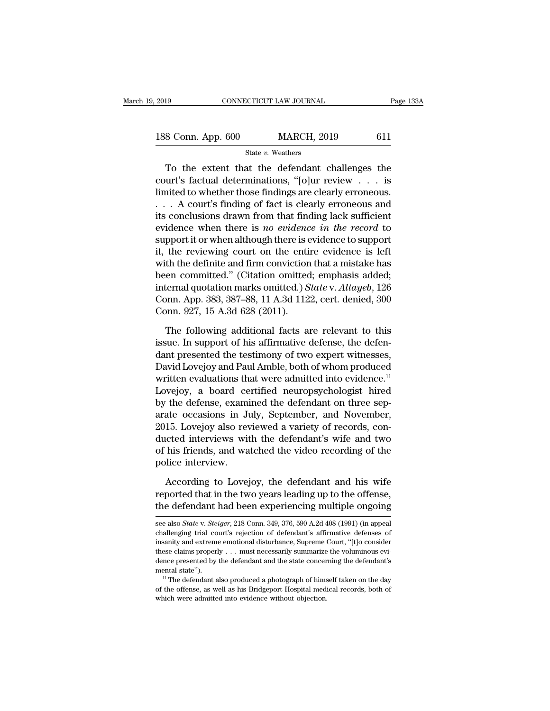| 2019               | CONNECTICUT LAW JOURNAL |     | Page 133A |
|--------------------|-------------------------|-----|-----------|
|                    |                         |     |           |
| 188 Conn. App. 600 | <b>MARCH, 2019</b>      | 611 |           |
|                    | State v. Weathers       |     |           |

# State *v.* Weathers

To the extent that the defendant challenges the<br>
Solomon. App. 600 MARCH, 2019 611<br>
State v. Weathers<br>
To the extent that the defendant challenges the<br>
urt's factual determinations, "[o]ur review . . . is<br>
wise the whole t 188 Conn. App. 600 MARCH, 2019 611<br>
State v. Weathers<br>
To the extent that the defendant challenges the<br>
court's factual determinations, "[o]ur review . . . is<br>
limited to whether those findings are clearly erroneous. 188 Conn. App. 600 MARCH, 2019 611<br>
State v. Weathers<br>
To the extent that the defendant challenges the<br>
court's factual determinations, "[o]ur review . . . is<br>
limited to whether those findings are clearly erroneous.<br>
. . 188 Conn. App. 600 MARCH, 2019 611<br>
State v. Weathers<br>
To the extent that the defendant challenges the<br>
court's factual determinations, "[o]ur review . . . is<br>
limited to whether those findings are clearly erroneous .<br>
. State v. Weathers<br>
To the extent that the defendant challenges the<br>
court's factual determinations, "[o]ur review . . . is<br>
limited to whether those findings are clearly erroneous.<br>
. . . A court's finding of fact is clea For the extent that the defendant challenges the<br>court's factual determinations, "[o]ur review  $\ldots$  is<br>limited to whether those findings are clearly erroneous.<br> $\ldots$  A court's finding of fact is clearly erroneous and<br>its To the extent that the defendant challenges the<br>court's factual determinations, "[o]ur review  $\dots$  is<br>limited to whether those findings are clearly erroneous.<br> $\dots$  A court's finding of fact is clearly erroneous and<br>its co court's factual determinations, "[o]ur review  $\ldots$  is<br>limited to whether those findings are clearly erroneous.<br> $\ldots$  A court's finding of fact is clearly erroneous and<br>its conclusions drawn from that finding lack suffici limited to whether those findings are clearly erroneous.<br>  $\ldots$  A court's finding of fact is clearly erroneous and<br>
its conclusions drawn from that finding lack sufficient<br>
evidence when there is *no evidence in the recor* ... A court's finding of fact is clearly erroneous and<br>its conclusions drawn from that finding lack sufficient<br>evidence when there is *no evidence in the record* to<br>support it or when although there is evidence to support its conclusions drawn from that finding lack sufficient<br>evidence when there is *no evidence in the record* to<br>support it or when although there is evidence to support<br>it, the reviewing court on the entire evidence is left<br> evidence when there is *no evidence in the record* to<br>support it or when although there is evidence to support<br>it, the reviewing court on the entire evidence is left<br>with the definite and firm conviction that a mistake has support it or when although there is e<br>it, the reviewing court on the enti-<br>with the definite and firm conviction<br>been committed." (Citation omitted<br>internal quotation marks omitted.) S<br>Conn. App. 383, 387–88, 11 A.3d 112<br> th the definite and firm conviction that a mistake has<br>en committed." (Citation omitted; emphasis added;<br>ternal quotation marks omitted.) State v. Altayeb, 126<br>pnn. App. 383, 387–88, 11 A.3d 1122, cert. denied, 300<br>pnn. 9 been committed." (Citation omitted; emphasis added;<br>internal quotation marks omitted.) *State* v. *Altayeb*, 126<br>Conn. App. 383, 387–88, 11 A.3d 1122, cert. denied, 300<br>Conn. 927, 15 A.3d 628 (2011).<br>The following addition

internal quotation marks omitted.) *State* v. *Altayeb*, 126<br>Conn. App. 383, 387–88, 11 A.3d 1122, cert. denied, 300<br>Conn. 927, 15 A.3d 628 (2011).<br>The following additional facts are relevant to this<br>issue. In support of Conn. App. 383, 387–88, 11 A.3d 1122, cert. denied, 300<br>Conn. 927, 15 A.3d 628 (2011).<br>The following additional facts are relevant to this<br>issue. In support of his affirmative defense, the defen-<br>dant presented the testim Conn. 927, 15 A.3d 628 (2011).<br>The following additional facts are relevant to this<br>issue. In support of his affirmative defense, the defen-<br>dant presented the testimony of two expert witnesses,<br>David Lovejoy and Paul Ambl The following additional facts are relevant to this<br>issue. In support of his affirmative defense, the defen-<br>dant presented the testimony of two expert witnesses,<br>David Lovejoy and Paul Amble, both of whom produced<br>written The following additional facts are relevant to this<br>issue. In support of his affirmative defense, the defen-<br>dant presented the testimony of two expert witnesses,<br>David Lovejoy and Paul Amble, both of whom produced<br>written issue. In support of his affirmative defense, the defen-<br>dant presented the testimony of two expert witnesses,<br>David Lovejoy and Paul Amble, both of whom produced<br>written evaluations that were admitted into evidence.<sup>11</sup><br>L dant presented the testimony of two expert witnesses,<br>David Lovejoy and Paul Amble, both of whom produced<br>written evaluations that were admitted into evidence.<sup>11</sup><br>Lovejoy, a board certified neuropsychologist hired<br>by the David Lovejoy and Paul Amble, both of whom produced<br>written evaluations that were admitted into evidence.<sup>11</sup><br>Lovejoy, a board certified neuropsychologist hired<br>by the defense, examined the defendant on three sep-<br>arate oc written evaluations that were admitted into evidence.<sup>11</sup><br>Lovejoy, a board certified neuropsychologist hired<br>by the defense, examined the defendant on three sep-<br>arate occasions in July, September, and November,<br>2015. Love Lovejoy, a board ce<br>by the defense, exami<br>arate occasions in Jı<br>2015. Lovejoy also rev<br>ducted interviews wit<br>of his friends, and wa<br>police interview.<br>According to Lovej ate occasions in July, September, and November,<br>15. Lovejoy also reviewed a variety of records, concreted interviews with the defendant's wife and two<br>his friends, and watched the video recording of the<br>lice interview.<br>Acc 2015. Lovejoy also reviewed a variety of records, conducted interviews with the defendant's wife and two of his friends, and watched the video recording of the police interview.<br>According to Lovejoy, the defendant and his ducted interviews with the defendant's wife and two<br>of his friends, and watched the video recording of the<br>police interview.<br>According to Lovejoy, the defendant and his wife<br>reported that in the two years leading up to the

According to Lovejoy, the defendant and his wife<br>reported that in the two years leading up to the offense,<br>the defendant had been experiencing multiple ongoing<br>see also *State* v. *Steiger*, 218 Conn. 349, 376, 590 A.2d 40 According to Lovejoy, the defendant and his wife<br>reported that in the two years leading up to the offense,<br>the defendant had been experiencing multiple ongoing<br>see also *State* v. *Steiger*, 218 Conn. 349, 376, 590 A.2d 4

reported that in the two years leading up to the offense,<br>the defendant had been experiencing multiple ongoing<br>see also *State* v. *Steiger*, 218 Conn. 349, 376, 590 A.2d 408 (1991) (in appeal<br>challenging trial court's rej the defendant had been experiencing multiple ongoing<br>see also *State* v. *Steiger*, 218 Conn. 349, 376, 590 A.2d 408 (1991) (in appeal<br>challenging trial court's rejection of defendant's affirmative defenses of<br>insanity an see also *State* v. *Steiger*, 218 Conn. 349, 376, 590 A.2d 408 (1991) (in appeal challenging trial court's rejection of defendant's affirmative defenses of insanity and extreme emotional disturbance, Supreme Court, "[t]o see also *State* v. *Steiger*, 218 Conn. 349, 376, 590 A.2d 408 (1991) (in appeal challenging trial court's rejection of defendant's affirmative defenses of insanity and extreme emotional disturbance, Supreme Court, "[t]o insanity and extreme emotional disturbance, Supreme Court, "[t]o consider these claims properly . . . must necessarily summarize the voluminous evidence presented by the defendant and the state concerning the defendant's these claims properly . . . must necessarily summarize the voluminous evi-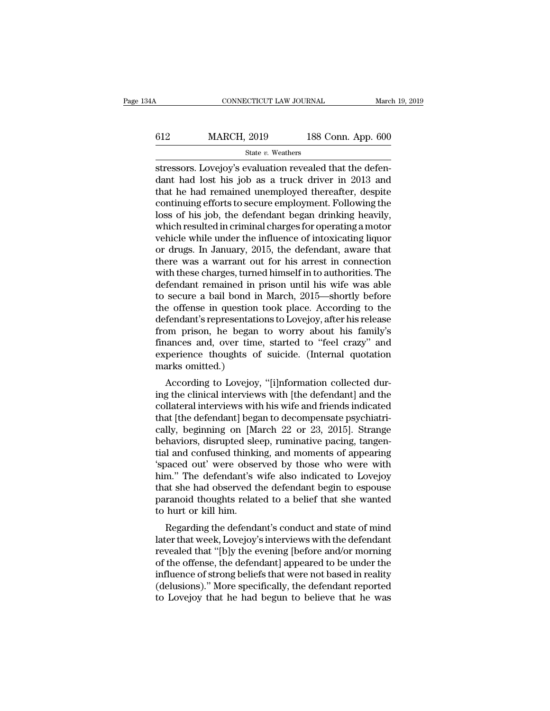# CONNECTICUT LAW JOURNAL March 19, 2019<br>612 MARCH, 2019 188 Conn. App. 600<br>State v. Weathers State *v.* Weathers

CONNECTICUT LAW JOURNAL March March (1998)<br>
State v. Weathers<br>
Stressors. Lovejoy's evaluation revealed that the defen-<br>
dant had lost his job as a truck driver in 2013 and<br>
that he had remained unemployed thereafter despi MARCH, 2019 188 Conn. App. 600<br>
State v. Weathers<br>
Stressors. Lovejoy's evaluation revealed that the defendant had lost his job as a truck driver in 2013 and<br>
that he had remained unemployed thereafter, despite<br>
continuin MARCH, 2019 188 Conn. App. 600<br>
State v. Weathers<br>
stressors. Lovejoy's evaluation revealed that the defendant had lost his job as a truck driver in 2013 and<br>
that he had remained unemployed thereafter, despite<br>
continuin MARCH,  $2019$  188 Conn. App. 600<br>
state v. Weathers<br>
stressors. Lovejoy's evaluation revealed that the defendant had lost his job as a truck driver in 2013 and<br>
that he had remained unemployed thereafter, despite<br>
continu State v. Weathers<br>
State v. Weathers<br>
Stressors. Lovejoy's evaluation revealed that the defen-<br>
dant had lost his job as a truck driver in 2013 and<br>
that he had remained unemployed thereafter, despite<br>
continuing efforts t state v. weathers<br>stressors. Lovejoy's evaluation revealed that the defen-<br>dant had lost his job as a truck driver in 2013 and<br>that he had remained unemployed thereafter, despite<br>continuing efforts to secure employment. F stressors. Lovejoy's evaluation revealed that the defendant had lost his job as a truck driver in 2013 and that he had remained unemployed thereafter, despite continuing efforts to secure employment. Following the loss of dant had lost his job as a truck driver in 2013 and<br>that he had remained unemployed thereafter, despite<br>continuing efforts to secure employment. Following the<br>loss of his job, the defendant began drinking heavily,<br>which re that he had remained unemployed thereafter, despite<br>continuing efforts to secure employment. Following the<br>loss of his job, the defendant began drinking heavily,<br>which resulted in criminal charges for operating a motor<br>veh continuing efforts to secure employment. Following the<br>loss of his job, the defendant began drinking heavily,<br>which resulted in criminal charges for operating a motor<br>vehicle while under the influence of intoxicating liquo loss of his job, the defendant began drinking heavily,<br>which resulted in criminal charges for operating a motor<br>vehicle while under the influence of intoxicating liquor<br>or drugs. In January, 2015, the defendant, aware that which resulted in criminal charges for operating a motor<br>vehicle while under the influence of intoxicating liquor<br>or drugs. In January, 2015, the defendant, aware that<br>there was a warrant out for his arrest in connection<br>w vehicle while under the influence of intoxicating liquor<br>or drugs. In January, 2015, the defendant, aware that<br>there was a warrant out for his arrest in connection<br>with these charges, turned himself in to authorities. The<br> or drugs. In January, 2015, the defendant, aware that<br>there was a warrant out for his arrest in connection<br>with these charges, turned himself in to authorities. The<br>defendant remained in prison until his wife was able<br>to s there was a warrant out for his arrest in connection<br>with these charges, turned himself in to authorities. The<br>defendant remained in prison until his wife was able<br>to secure a bail bond in March, 2015—shortly before<br>the of with these charges, turned himself in to authorities. The<br>defendant remained in prison until his wife was able<br>to secure a bail bond in March, 2015—shortly before<br>the offense in question took place. According to the<br>defend defendant remained in prison until his wife was able<br>to secure a bail bond in March, 2015—shortly before<br>the offense in question took place. According to the<br>defendant's representations to Lovejoy, after his release<br>from p to secure a bail bond in<br>the offense in question<br>defendant's representation<br>from prison, he began<br>finances and, over time<br>experience thoughts of<br>marks omitted.)<br>According to Lovejoy Fendant's representations to Lovejoy, after his release<br>the fendant's representations to Lovejoy, after his release<br>om prison, he began to worry about his family's<br>ances and, over time, started to "feel crazy" and<br>perience defendant s representations to Lovejoy, after his refease<br>from prison, he began to worry about his family's<br>finances and, over time, started to "feel crazy" and<br>experience thoughts of suicide. (Internal quotation<br>marks omi

finances and, over time, started to "feel crazy" and<br>experience thoughts of suicide. (Internal quotation<br>marks omitted.)<br>According to Lovejoy, "[i]nformation collected dur-<br>ing the clinical interviews with [the defendant] miances and, over time, started to heer crazy and<br>experience thoughts of suicide. (Internal quotation<br>marks omitted.)<br>According to Lovejoy, "[i]nformation collected dur-<br>ing the clinical interviews with [the defendant] and experience thoughts of suicide. (Internal quotation<br>marks omitted.)<br>According to Lovejoy, "[i]nformation collected dur-<br>ing the clinical interviews with life defendant] and the<br>collateral interviews with his wife and frien harts onlined.)<br>According to Lovejoy, "[i]nformation collected during the clinical interviews with [the defendant] and the<br>collateral interviews with his wife and friends indicated<br>that [the defendant] began to decompensat According to Lovejoy, "[i]nformation collected during the clinical interviews with [the defendant] and the collateral interviews with his wife and friends indicated that [the defendant] began to decompensate psychiatricall ing the clinical interviews with [the defendant] and the collateral interviews with his wife and friends indicated that [the defendant] began to decompensate psychiatrically, beginning on [March 22 or 23, 2015]. Strange be collateral interviews with his wife and friends indicated<br>that [the defendant] began to decompensate psychiatri-<br>cally, beginning on [March 22 or 23, 2015]. Strange<br>behaviors, disrupted sleep, ruminative pacing, tangen-<br>ti that [the defendant] began to decompensate psychiatrically, beginning on [March 22 or 23, 2015]. Strange<br>behaviors, disrupted sleep, ruminative pacing, tangen-<br>tial and confused thinking, and moments of appearing<br>'spaced o cally, beginning on [March 22 or 23, 2015]. Strange<br>behaviors, disrupted sleep, ruminative pacing, tangential and confused thinking, and moments of appearing<br>'spaced out' were observed by those who were with<br>him.'' The def behaviors, disrupted sle<br>tial and confused thinki<br>'spaced out' were obser<br>him.'' The defendant's v<br>that she had observed the<br>paranoid thoughts relate<br>to hurt or kill him.<br>Regarding the defenda and contused thinking, and moments of appearing<br>paced out' were observed by those who were with<br>m." The defendant's wife also indicated to Lovejoy<br>at she had observed the defendant begin to espouse<br>ranoid thoughts related spaced out were observed by those who were whither<br>him." The defendant's wife also indicated to Lovejoy<br>that she had observed the defendant begin to espouse<br>paranoid thoughts related to a belief that she wanted<br>to hurt or

rimit. The defendant s whe also indicated to Lovejoy<br>that she had observed the defendant begin to espouse<br>paranoid thoughts related to a belief that she wanted<br>to hurt or kill him.<br>Regarding the defendant's conduct and sta paranoid thoughts related to a belief that she wanted<br>to hurt or kill him.<br>Regarding the defendant's conduct and state of mind<br>later that week, Lovejoy's interviews with the defendant<br>revealed that "[b]y the evening [befor paranoid thoughts related to a belief that site walted<br>to hurt or kill him.<br>Regarding the defendant's conduct and state of mind<br>later that week, Lovejoy's interviews with the defendant<br>revealed that "[b]y the evening [befo (delusions).<br>'' Moreology's interviews with the defendant<br>revealed that "[b]y the evening [before and/or morning<br>of the offense, the defendant] appeared to be under the<br>influence of strong beliefs that were not based in re Regarding the defendant's conduct and state of mind<br>later that week, Lovejoy's interviews with the defendant<br>revealed that "[b]y the evening [before and/or morning<br>of the offense, the defendant] appeared to be under the<br>in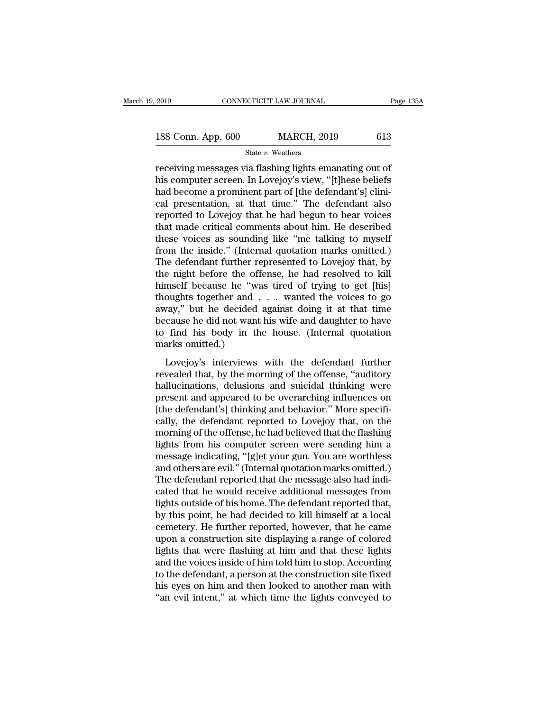| 2019               | CONNECTICUT LAW JOURNAL | Page 135A |
|--------------------|-------------------------|-----------|
| 188 Conn. App. 600 | <b>MARCH, 2019</b>      | 613       |
|                    | State v. Weathers       |           |

 $\begin{array}{r} \text{2019} & \text{CONRECTICUT LAW JOURNAL} \ \end{array}$  Page 135/<br>
188 Conn. App. 600 MARCH, 2019 613<br>
State v. Weathers<br>
receiving messages via flashing lights emanating out of<br>
his computer screen. In Lovejoy's view, "[t]hese beliefs<br>
h 188 Conn. App. 600 MARCH, 2019 613<br>
State v. Weathers<br>
Teceiving messages via flashing lights emanating out of<br>
his computer screen. In Lovejoy's view, "[t]hese beliefs<br>
had become a prominent part of [the defendant's] cl 188 Conn. App. 600 MARCH, 2019 613<br>
State v. Weathers<br>
receiving messages via flashing lights emanating out of<br>
his computer screen. In Lovejoy's view, "[t]hese beliefs<br>
had become a prominent part of [the defendant's] cli 188 Conn. App.  $600$  MARCH,  $2019$   $613$ <br>  $\frac{1}{2}$   $\frac{1}{2}$   $\frac{1}{2}$   $\frac{1}{2}$   $\frac{1}{2}$   $\frac{1}{2}$   $\frac{1}{2}$   $\frac{1}{2}$   $\frac{1}{2}$   $\frac{1}{2}$   $\frac{1}{2}$   $\frac{1}{2}$   $\frac{1}{2}$   $\frac{1}{2}$   $\frac{1}{2}$   $\frac{1}{2}$   $\frac{1}{2}$   $\frac{1}{2}$ State v. Weathers<br>
receiving messages via flashing lights emanating out of<br>
his computer screen. In Lovejoy's view, "[t]hese beliefs<br>
had become a prominent part of [the defendant's] clini-<br>
cal presentation, at that time. state v. weathers<br>receiving messages via flashing lights emanating out of<br>his computer screen. In Lovejoy's view, "[t]hese beliefs<br>had become a prominent part of [the defendant's] clini-<br>cal presentation, at that time." T receiving messages via flashing lights emanating out of<br>his computer screen. In Lovejoy's view, "[t]hese beliefs<br>had become a prominent part of [the defendant's] clini-<br>cal presentation, at that time." The defendant also<br>r his computer screen. In Lovejoy's view, "[t]hese beliefs<br>had become a prominent part of [the defendant's] clini-<br>cal presentation, at that time." The defendant also<br>reported to Lovejoy that he had begun to hear voices<br>that had become a prominent part of [the defendant's] clini-<br>cal presentation, at that time." The defendant also<br>reported to Lovejoy that he had begun to hear voices<br>that made critical comments about him. He described<br>these voi cal presentation, at that time." The defendant also<br>reported to Lovejoy that he had begun to hear voices<br>that made critical comments about him. He described<br>these voices as sounding like "me talking to myself<br>from the insi reported to Lovejoy that he had begun to hear voices<br>that made critical comments about him. He described<br>these voices as sounding like "me talking to myself<br>from the inside." (Internal quotation marks omitted.)<br>The defenda that made critical comments about him. He described<br>these voices as sounding like "me talking to myself<br>from the inside." (Internal quotation marks omitted.)<br>The defendant further represented to Lovejoy that, by<br>the night these voices as sounding like "me talking to myself<br>from the inside." (Internal quotation marks omitted.)<br>The defendant further represented to Lovejoy that, by<br>the night before the offense, he had resolved to kill<br>himself from the inside." (Internal quotation marks omitted.)<br>The defendant further represented to Lovejoy that, by<br>the night before the offense, he had resolved to kill<br>himself because he "was tired of trying to get [his]<br>though The defendant further represented to Lovejoy that, by<br>the night before the offense, he had resolved to kill<br>himself because he "was tired of trying to get [his]<br>thoughts together and . . . wanted the voices to go<br>away," bu the night before the of<br>himself because he "way"<br>thoughts together and<br>away," but he decided<br>because he did not want<br>to find his body in th<br>marks omitted.)<br>Lovejoy's interviews Lovejoy's interviews with the defendant further vealed that, by the morning of the offense, "auditory" and daughter to have find his body in the house. (Internal quotation arks omitted.)<br>Lovejoy's interviews with the defe are apply. By the decided against doing it at that time<br>because he did not want his wife and daughter to have<br>to find his body in the house. (Internal quotation<br>marks omitted.)<br>Lovejoy's interviews with the defendant furt

hallucinations, the methods and summary and supplementary of the defendant further to have to find his body in the house. (Internal quotation marks omitted.)<br>Lovejoy's interviews with the defendant further revealed that, b present and hot want his whe and adapted to have<br>to find his body in the house. (Internal quotation<br>marks omitted.)<br>Lovejoy's interviews with the defendant further<br>revealed that, by the morning of the offense, "auditory<br>ha the defendant further marks omitted.)<br>
Lovejoy's interviews with the defendant further<br>
revealed that, by the morning of the offense, "auditory<br>
hallucinations, delusions and suicidal thinking were<br>
present and appeared to Lovejoy's interviews with the defendant further<br>revealed that, by the morning of the offense, "auditory<br>hallucinations, delusions and suicidal thinking were<br>present and appeared to be overarching influences on<br>[the defenda Lovejoy's interviews with the defendant further<br>revealed that, by the morning of the offense, "auditory<br>hallucinations, delusions and suicidal thinking were<br>present and appeared to be overarching influences on<br>[the defenda revealed that, by the morning of the offense, "auditory<br>hallucinations, delusions and suicidal thinking were<br>present and appeared to be overarching influences on<br>[the defendant's] thinking and behavior." More specifi-<br>call hallucinations, delusions and suicidal thinking were<br>present and appeared to be overarching influences on<br>[the defendant's] thinking and behavior." More specifi-<br>cally, the defendant reported to Lovejoy that, on the<br>mornin present and appeared to be overarching influences on<br>[the defendant's] thinking and behavior." More specifically, the defendant reported to Lovejoy that, on the<br>morning of the offense, he had believed that the flashing<br>lig [the defendant's] thinking and behavior." More specifically, the defendant reported to Lovejoy that, on the morning of the offense, he had believed that the flashing lights from his computer screen were sending him a messa cally, the defendant reported to Lovejoy that, on the<br>morning of the offense, he had believed that the flashing<br>lights from his computer screen were sending him a<br>message indicating, "[g]et your gun. You are worthless<br>and morning of the offense, he had believed that the flashing<br>lights from his computer screen were sending him a<br>message indicating, "[g]et your gun. You are worthless<br>and others are evil." (Internal quotation marks omitted.)<br> lights from his computer screen were sending him a<br>message indicating, "[g]et your gun. You are worthless<br>and others are evil." (Internal quotation marks omitted.)<br>The defendant reported that the message also had indi-<br>cat message indicating, "[g]et your gun. You are worthless<br>and others are evil." (Internal quotation marks omitted.)<br>The defendant reported that the message also had indi-<br>cated that he would receive additional messages from<br>l and others are evil." (Internal quotation marks omitted.)<br>The defendant reported that the message also had indicated that he would receive additional messages from<br>lights outside of his home. The defendant reported that,<br>b The defendant reported that the message also had indicated that he would receive additional messages from lights outside of his home. The defendant reported that, by this point, he had decided to kill himself at a local ce cated that he would receive additional messages from<br>lights outside of his home. The defendant reported that,<br>by this point, he had decided to kill himself at a local<br>cemetery. He further reported, however, that he came<br>up lights outside of his home. The defendant reported that,<br>by this point, he had decided to kill himself at a local<br>cemetery. He further reported, however, that he came<br>upon a construction site displaying a range of colored<br> by this point, he had decided to kill himself at a local<br>cemetery. He further reported, however, that he came<br>upon a construction site displaying a range of colored<br>lights that were flashing at him and that these lights<br>an cemetery. He further reported, however, that he came<br>upon a construction site displaying a range of colored<br>lights that were flashing at him and that these lights<br>and the voices inside of him told him to stop. According<br>to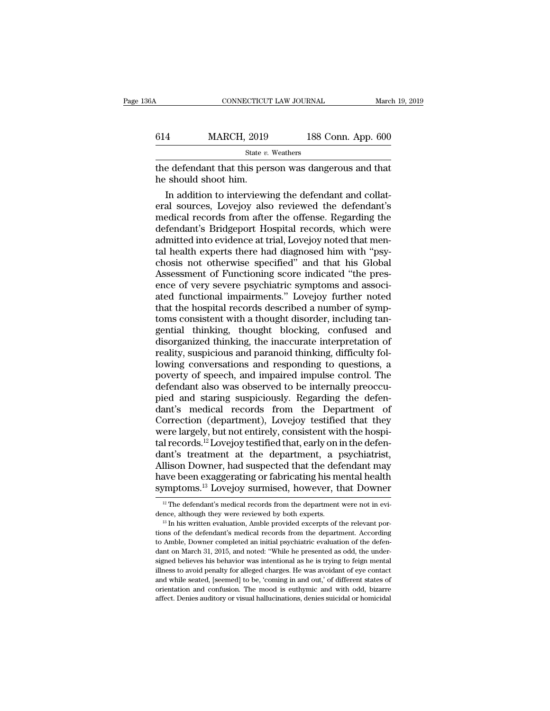| 6А  | CONNECTICUT LAW JOURNAL                                                       |                    | March 19, 2019 |
|-----|-------------------------------------------------------------------------------|--------------------|----------------|
|     |                                                                               |                    |                |
| 614 | <b>MARCH, 2019</b>                                                            | 188 Conn. App. 600 |                |
|     | State v. Weathers                                                             |                    |                |
|     | the defendant that this person was dangerous and that<br>he should shoot him. |                    |                |
|     | In addition to interviewing the defendant and collat-                         |                    |                |

 $\frac{\text{MARCH, 2019}}{\text{State } v. \text{ Weather}}$ <br>
e defendant that this person was dangerous and that<br>  $\frac{1}{100}$  should shoot him.<br>
In addition to interviewing the defendant and collat-<br>
al sources, Lovejoy also reviewed the defendant's<br>
a MARCH, 2019 188 Conn. App. 600<br>  $\frac{\text{State } v. \text{ Weather}}{\text{the defendant that this person was dangerous and that}}$ <br>
the defendant that this person was dangerous and that<br>
the should shoot him.<br>
In addition to interviewing the defendant and collat-<br>
eral sources, Lovejoy als State  $v$ . Weathers<br>the defendant that this person was dangerous and that<br>he should shoot him.<br>In addition to interviewing the defendant and collat-<br>eral sources, Lovejoy also reviewed the defendant's<br>medical records from state *i*. weakers<br>the defendant that this person was dangerous and that<br>he should shoot him.<br>In addition to interviewing the defendant and collat-<br>eral sources, Lovejoy also reviewed the defendant's<br>medical records from a the defendant that this person was dangerous and that<br>he should shoot him.<br>In addition to interviewing the defendant and collat-<br>eral sources, Lovejoy also reviewed the defendant's<br>medical records from after the offense. R he should shoot him.<br>In addition to interviewing the defendant and collat-<br>eral sources, Lovejoy also reviewed the defendant's<br>medical records from after the offense. Regarding the<br>defendant's Bridgeport Hospital records, In addition to interviewing the defendant and collateral sources, Lovejoy also reviewed the defendant's medical records from after the offense. Regarding the defendant's Bridgeport Hospital records, which were admitted int eral sources, Lovejoy also reviewed the defendant's<br>medical records from after the offense. Regarding the<br>defendant's Bridgeport Hospital records, which were<br>admitted into evidence at trial, Lovejoy noted that men-<br>tal hea medical records from after the offense. Regarding the defendant's Bridgeport Hospital records, which were admitted into evidence at trial, Lovejoy noted that mental health experts there had diagnosed him with "psychosis no defendant's Bridgeport Hospital records, which were<br>admitted into evidence at trial, Lovejoy noted that men-<br>tal health experts there had diagnosed him with "psy-<br>chosis not otherwise specified" and that his Global<br>Assessm admitted into evidence at trial, Lovejoy noted that mental health experts there had diagnosed him with "psychosis not otherwise specified" and that his Global Assessment of Functioning score indicated "the presence of very tal health experts there had diagnosed him with "psychosis not otherwise specified" and that his Global Assessment of Functioning score indicated "the presence of very severe psychiatric symptoms and associated functional chosis not otherwise specified" and that his Global<br>Assessment of Functioning score indicated "the pres-<br>ence of very severe psychiatric symptoms and associ-<br>ated functional impairments." Lovejoy further noted<br>that the hos Assessment of Functioning score indicated "the presence of very severe psychiatric symptoms and associated functional impairments." Lovejoy further noted that the hospital records described a number of symptoms consistent ence of very severe psychiatric symptoms and associated functional impairments." Lovejoy further noted that the hospital records described a number of symptoms consistent with a thought disorder, including tangential think ated functional impairments." Lovejoy further noted<br>that the hospital records described a number of symptoms consistent with a thought disorder, including tan-<br>gential thinking, thought blocking, confused and<br>disorganized that the hospital records described a number of symptoms consistent with a thought disorder, including tangential thinking, thought blocking, confused and disorganized thinking, the inaccurate interpretation of reality, su toms consistent with a thought disorder, including tangential thinking, thought blocking, confused and disorganized thinking, the inaccurate interpretation of reality, suspicious and paranoid thinking, difficulty following gential thinking, thought blocking, confused and<br>disorganized thinking, the inaccurate interpretation of<br>reality, suspicious and paranoid thinking, difficulty fol-<br>lowing conversations and responding to questions, a<br>povert disorganized thinking, the inaccurate interpretation of<br>reality, suspicious and paranoid thinking, difficulty fol-<br>lowing conversations and responding to questions, a<br>poverty of speech, and impaired impulse control. The<br>de reality, suspicious and paranoid thinking, difficulty fol-<br>lowing conversations and responding to questions, a<br>poverty of speech, and impaired impulse control. The<br>defendant also was observed to be internally preoccu-<br>pie lowing conversations and responding to questions, a<br>poverty of speech, and impaired impulse control. The<br>defendant also was observed to be internally preoccu-<br>pied and staring suspiciously. Regarding the defen-<br>dant's medi poverty of speech, and impaired impulse control. The<br>defendant also was observed to be internally preoccu-<br>pied and staring suspiciously. Regarding the defen-<br>dant's medical records from the Department of<br>Correction (depar defendant also was observed to be internally preoccu-<br>pied and staring suspiciously. Regarding the defen-<br>dant's medical records from the Department of<br>Correction (department), Lovejoy testified that they<br>were largely, but pied and staring suspiciously. Regarding the defendant's medical records from the Department of Correction (department), Lovejoy testified that they were largely, but not entirely, consistent with the hospital records.<sup>12</sup> dant's medical records from the Department of Correction (department), Lovejoy testified that they were largely, but not entirely, consistent with the hospital records.<sup>12</sup> Lovejoy testified that, early on in the defendan Correction (department), Lovejoy testified that they<br>were largely, but not entirely, consistent with the hospi-<br>tal records.<sup>12</sup> Lovejoy testified that, early on in the defen-<br>dant's treatment at the department, a psychia ant's treatment at the department, a psychiatrist,<br>llison Downer, had suspected that the defendant may<br>ave been exaggerating or fabricating his mental health<br>mptoms.<sup>13</sup> Lovejoy surmised, however, that Downer<br><sup>12</sup> The defe Allison Downer, had suspected that the defendant may<br>have been exaggerating or fabricating his mental health<br>symptoms.<sup>13</sup> Lovejoy surmised, however, that Downer<br> $\frac{12}{12}$  The defendant's medical records from the depart

symptoms.<sup>13</sup> Lovejoy surmised, however, that Downer<br><sup>12</sup> The defendant's medical records from the department were not in evidence, although they were reviewed by both experts.<br><sup>13</sup> In his written evaluation, Amble provid Symptoms. Lovejoy surmised, nowever, that Downer<br>
<sup>12</sup> The defendant's medical records from the department were not in evi-<br>
<sup>13</sup> In his written evaluation, Amble provided excerpts of the relevant por-<br>
<sup>13</sup> In his writte <sup>12</sup> The defendant's medical records from the department were not in evidence, although they were reviewed by both experts.<br><sup>13</sup> In his written evaluation, Amble provided excerpts of the relevant portions of the defendant dence, although they were reviewed by both experts.<br><sup>13</sup> In his written evaluation, Amble provided excerpts of the relevant por-<br><sup>13</sup> In his written evaluation, Amble provided excerpts of the relevant por-<br>tions of the def <sup>13</sup> In his written evaluation, Amble provided exerpts of the relevant por-<br><sup>13</sup> In his written evaluation, Amble provided exerpts of the relevant to<br>to Amble, Downer completed an initial psychiatric evaluation of the defe tions of the defendant's medical records from the department. According to Amble, Downer completed an initial psychiatric evaluation of the defendant on March 31, 2015, and noted: "While he presented as odd, the undersigne to Amble, Downer completed an initial psychiatric evaluation of the defendant on March 31, 2015, and noted: "While he presented as odd, the undersigned believes his behavior was intentional as he is trying to feign mental to Amble, Downer completed an initial psychiatric evaluation of the defendant on March 31, 2015, and noted: "While he presented as odd, the undersigned believes his behavior was intentional as he is trying to feign mental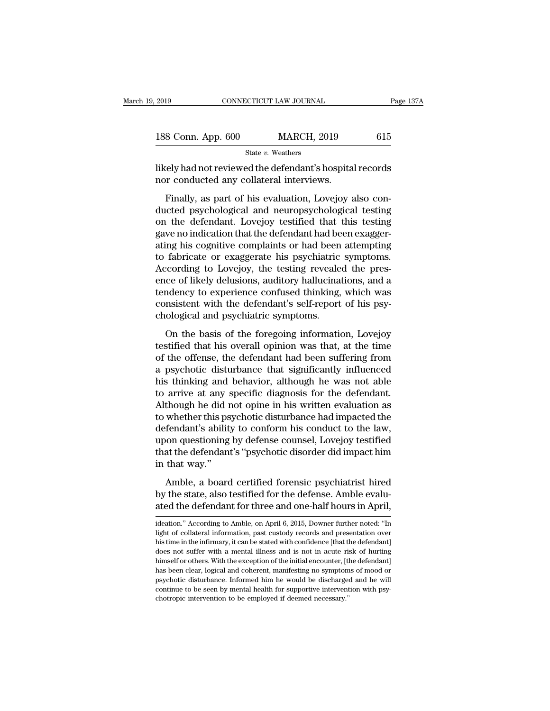| 2019               | CONNECTICUT LAW JOURNAL | Page 137A |
|--------------------|-------------------------|-----------|
| 188 Conn. App. 600 | <b>MARCH, 2019</b>      | 615       |
|                    | State v. Weathers       |           |

2019 CONNECTICUT LAW JOURNAL Page 137A<br>
188 Conn. App. 600 MARCH, 2019 615<br>
<sup>State v.</sup> Weathers<br>
likely had not reviewed the defendant's hospital records<br>
nor conducted any collateral interviews. 188 Conn. App. 600 MARCH, 2019<br>
State v. Weathers<br>
likely had not reviewed the defendant's hospita<br>
nor conducted any collateral interviews.<br>
Finally, as part of his evaluation, Lovejoy a

8 Conn. App. 600 MARCH, 2019 615<br>
State v. Weathers<br>
The very dividend the defendant's hospital records<br>
Finally, as part of his evaluation, Lovejoy also con-<br>
Interventing the defendant Lovejoy testified that this testing 188 Conn. App. 600 MARCH, 2019 615<br>
State v. Weathers<br>
likely had not reviewed the defendant's hospital records<br>
nor conducted any collateral interviews.<br>
Finally, as part of his evaluation, Lovejoy also con-<br>
ducted psyc State v. Weathers<br>
likely had not reviewed the defendant's hospital records<br>
nor conducted any collateral interviews.<br>
Finally, as part of his evaluation, Lovejoy also con-<br>
ducted psychological and neuropsychological tes likely had not reviewed the defendant's hospital records<br>nor conducted any collateral interviews.<br>Finally, as part of his evaluation, Lovejoy also con-<br>ducted psychological and neuropsychological testing<br>on the defendant. mer, nathorteviewed are determining prospical records<br>nor conducted any collateral interviews.<br>Finally, as part of his evaluation, Lovejoy also con-<br>ducted psychological and neuropsychological testing<br>on the defendant. Lov Finally, as part of his evaluation, Lovejoy also conducted psychological and neuropsychological testing<br>on the defendant. Lovejoy testified that this testing<br>gave no indication that the defendant had been exagger-<br>ating hi Finally, as part of his evaluation, Lovejoy also conducted psychological and neuropsychological testing<br>on the defendant. Lovejoy testified that this testing<br>gave no indication that the defendant had been exagger-<br>ating hi ducted psychological and neuropsychological testing<br>on the defendant. Lovejoy testified that this testing<br>gave no indication that the defendant had been exagger-<br>ating his cognitive complaints or had been attempting<br>to fab on the defendant. Lovejoy testified that this testing<br>gave no indication that the defendant had been exagger-<br>ating his cognitive complaints or had been attempting<br>to fabricate or exaggerate his psychiatric symptoms.<br>Accor gave no indication that the defendant had been exagger-<br>ating his cognitive complaints or had been attempting<br>to fabricate or exaggerate his psychiatric symptoms.<br>According to Lovejoy, the testing revealed the pres-<br>ence o ating his cognitive complaints or had been<br>to fabricate or exaggerate his psychiatric<br>According to Lovejoy, the testing reveale<br>ence of likely delusions, auditory hallucina<br>tendency to experience confused thinking,<br>consist rashedde of enaggerate his psychiaatre symptoms.<br>
coording to Lovejoy, the testing revealed the pres-<br>
ce of likely delusions, auditory hallucinations, and a<br>
mdency to experience confused thinking, which was<br>
msistent wit the of likely delusions, auditory hallucinations, and a<br>tendency to experience confused thinking, which was<br>consistent with the defendant's self-report of his psy-<br>chological and psychiatric symptoms.<br>On the basis of the f

of the offense, the defendant is self-report of his psychological and psychiatric symptoms.<br>On the basis of the foregoing information, Lovejoy<br>testified that his overall opinion was that, at the time<br>of the offense, the de consistent with the defendant's self-report of his psychological and psychiatric symptoms.<br>On the basis of the foregoing information, Lovejoy<br>testified that his overall opinion was that, at the time<br>of the offense, the def consideration with the determinities sentreport of the position<br>chological and psychiatric symptoms.<br>On the basis of the foregoing information, Lovejoy<br>testified that his overall opinion was that, at the time<br>of the offens on the basis of the foregoing information, Lovejoy<br>testified that his overall opinion was that, at the time<br>of the offense, the defendant had been suffering from<br>a psychotic disturbance that significantly influenced<br>his th On the basis of the foregoing information, Lovejoy<br>testified that his overall opinion was that, at the time<br>of the offense, the defendant had been suffering from<br>a psychotic disturbance that significantly influenced<br>his th testified that his overall opinion was that, at the time<br>of the offense, the defendant had been suffering from<br>a psychotic disturbance that significantly influenced<br>his thinking and behavior, although he was not able<br>to ar of the offense, the defendant had been suffering from<br>a psychotic disturbance that significantly influenced<br>his thinking and behavior, although he was not able<br>to arrive at any specific diagnosis for the defendant.<br>Althoug a psychotic disturbance that significantly influenced<br>his thinking and behavior, although he was not able<br>to arrive at any specific diagnosis for the defendant.<br>Although he did not opine in his written evaluation as<br>to whe his thinking and behavior, although he was not able<br>to arrive at any specific diagnosis for the defendant.<br>Although he did not opine in his written evaluation as<br>to whether this psychotic disturbance had impacted the<br>defen to arrive at any s<br>Although he did r<br>to whether this ps<br>defendant's abilit<br>upon questioning<br>that the defendant<br>in that way.''<br>Amble, a board and the term of the mass of the mass of the state of the fendant's ability to conform his conduct to the law,<br>oon questioning by defense counsel, Lovejoy testified<br>at the defendant's "psychotic disorder did impact him<br>that by the state and provided interpreted and defendant's ability to conform his conduct to the law, upon questioning by defense counsel, Lovejoy testified that the defendant's "psychotic disorder did impact him in that way."<br> ated that the defendant's "psychotic disorder did impact him<br>that the defendant's "psychotic disorder did impact him<br>in that way."<br>Amble, a board certified forensic psychiatrist hired<br>by the state, also testified for the d

Amble, a board certified forensic psychiatrist hired<br>by the state, also testified for the defense. Amble evalu-<br>ated the defendant for three and one-half hours in April,<br>ideation." According to Amble, on April 6, 2015, Dow Amble, a board certified forensic psychiatrist hired<br>by the state, also testified for the defense. Amble evalu-<br>ated the defendant for three and one-half hours in April,<br>ideation." According to Amble, on April 6, 2015, Dow

by the state, also testified for the defense. Amble evaluated the defendant for three and one-half hours in April, ideation." According to Amble, on April 6, 2015, Downer further noted: "In light of collateral information, Explore Beates, and Constant of three and one-half hours in April,<br>ated the defendant for three and one-half hours in April,<br>ideation." According to Amble, on April 6, 2015, Downer further noted: "In<br>light of collateral in himself or others. With the exception of the initial encounter, [the defendant]<br>hight of collateral information, past custody records and presentation over<br>his time in the infirmary, it can be stated with confidence [that ideation." According to Amble, on April 6, 2015, Downer further noted: "In light of collateral information, past custody records and presentation over his time in the infirmary, it can be stated with confidence [that the d psychotic disturbance, or the stated with confidence [that the defendant]<br>light of collateral information, past custody records and presentation over<br>his time in the infirmary, it can be stated with confidence [that the de light of collateral information, past custody records and presentation over<br>his time in the infirmary, it can be stated with confidence [that the defendant]<br>does not suffer with a mental illness and is not in acute risk of does not suffer with a mental illness and is not in acute rise<br>does not suffer with a mental illness and is not in acute ris<br>himself or others. With the exception of the initial encounter, [tl]<br>has been clear, logical and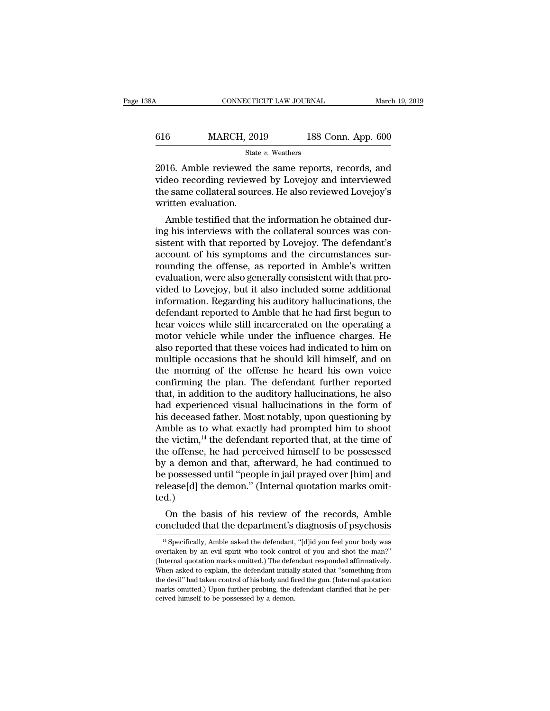| 8Α  | CONNECTICUT LAW JOURNAL |                    | March 19, 2019 |
|-----|-------------------------|--------------------|----------------|
| 616 | <b>MARCH, 2019</b>      | 188 Conn. App. 600 |                |
|     | State v. Weathers       |                    |                |

CONNECTICUT LAW JOURNAL March 19, 2019<br>
2016. Amble reviewed the same reports, records, and<br>
2016. Amble reviewed the same reports, records, and<br>
2016. Amble reviewed the same reports, records, and<br>
2016 ame collateral sou Video MARCH, 2019 188 Conn. App. 600<br>State v. Weathers<br>2016. Amble reviewed the same reports, records, and<br>video recording reviewed by Lovejoy and interviewed<br>the same collateral sources. He also reviewed Lovejoy's<br>written the same collateral sources. He also reviewed Lovejoy's written evaluation.<br>
Examences. He also reviewed Lovejoy's written evaluation. 616 MARCH, 20<br>
state<br>
2016. Amble reviewed t<br>
video recording reviewe<br>
the same collateral sour<br>
written evaluation.<br>
Amble testified that th State v. Weathers<br>
16. Amble reviewed the same reports, records, and<br>
16. Amble reviewed the same reports, records, and<br>
16. amble testified that the information he obtained dur-<br>
16. Amble testified that the information 2016. Amble reviewed the same reports, records, and<br>video recording reviewed by Lovejoy and interviewed<br>the same collateral sources. He also reviewed Lovejoy's<br>written evaluation.<br>Amble testified that the information he ob

zoro. Allible reviewed the same reports, records, and<br>video recording reviewed by Lovejoy and interviewed<br>the same collateral sources. He also reviewed Lovejoy's<br>written evaluation.<br>Amble testified that the information he video recording reviewed by Lovejoy and interviewed<br>the same collateral sources. He also reviewed Lovejoy's<br>written evaluation.<br>Amble testified that the information he obtained dur-<br>ing his interviews with the collateral s rounding the same contateral sources. He also reviewed Lovejoy s<br>written evaluation.<br>Amble testified that the information he obtained dur-<br>ing his interviews with the collateral sources was con-<br>sistent with that reported Amble testified that the information he obtained during his interviews with the collateral sources was consistent with that reported by Lovejoy. The defendant's account of his symptoms and the circumstances surrounding the Amble testified that the information he obtained during his interviews with the collateral sources was consistent with that reported by Lovejoy. The defendant's account of his symptoms and the circumstances surrounding the ing his interviews with the collateral sources was consistent with that reported by Lovejoy. The defendant's<br>account of his symptoms and the circumstances sur-<br>rounding the offense, as reported in Amble's written<br>evaluatio sistent with that reported by Lovejoy. The defendant's<br>account of his symptoms and the circumstances sur-<br>rounding the offense, as reported in Amble's written<br>evaluation, were also generally consistent with that pro-<br>vided account of his symptoms and the circumstances sur-<br>rounding the offense, as reported in Amble's written<br>evaluation, were also generally consistent with that pro-<br>vided to Lovejoy, but it also included some additional<br>infor rounding the offense, as reported in Amble's written<br>evaluation, were also generally consistent with that pro-<br>vided to Lovejoy, but it also included some additional<br>information. Regarding his auditory hallucinations, the<br> evaluation, were also generally consistent with that provided to Lovejoy, but it also included some additional<br>information. Regarding his auditory hallucinations, the<br>defendant reported to Amble that he had first begun to<br> vided to Lovejoy, but it also included some additional<br>information. Regarding his auditory hallucinations, the<br>defendant reported to Amble that he had first begun to<br>hear voices while still incarcerated on the operating a<br> information. Regarding his auditory hallucinations, the<br>defendant reported to Amble that he had first begun to<br>hear voices while still incarcerated on the operating a<br>motor vehicle while under the influence charges. He<br>als defendant reported to Amble that he had first begun to<br>hear voices while still incarcerated on the operating a<br>motor vehicle while under the influence charges. He<br>also reported that these voices had indicated to him on<br>mul hear voices while still incarcerated on the operating a<br>motor vehicle while under the influence charges. He<br>also reported that these voices had indicated to him on<br>multiple occasions that he should kill himself, and on<br>the motor vehicle while under the influence charges. He<br>also reported that these voices had indicated to him on<br>multiple occasions that he should kill himself, and on<br>the morning of the offense he heard his own voice<br>confirmin also reported that these voices had indicated to him on<br>multiple occasions that he should kill himself, and on<br>the morning of the offense he heard his own voice<br>confirming the plan. The defendant further reported<br>that, in multiple occasions that he should kill himself, and on<br>the morning of the offense he heard his own voice<br>confirming the plan. The defendant further reported<br>that, in addition to the auditory hallucinations, he also<br>had exp the morning of the offense he heard his own voice<br>confirming the plan. The defendant further reported<br>that, in addition to the auditory hallucinations, he also<br>had experienced visual hallucinations in the form of<br>his decea confirming the plan. The defendant further reported<br>that, in addition to the auditory hallucinations, he also<br>had experienced visual hallucinations in the form of<br>his deceased father. Most notably, upon questioning by<br>Ambl that, in addition to the auditory hallucinations, he also<br>had experienced visual hallucinations in the form of<br>his deceased father. Most notably, upon questioning by<br>Amble as to what exactly had prompted him to shoot<br>the v had experienced visual hallucinations in the form of<br>his deceased father. Most notably, upon questioning by<br>Amble as to what exactly had prompted him to shoot<br>the victim,<sup>14</sup> the defendant reported that, at the time of<br>the his deceased father. Most notably, upon questioning by Amble as to what exactly had prompted him to shoot the victim,  $^{14}$  the defendant reported that, at the time of the offense, he had perceived himself to be possesse ted.) e victim," the defendant reported that, at the time of<br>e offense, he had perceived himself to be possessed<br>a demon and that, afterward, he had continued to<br>possessed until "people in jail prayed over [him] and<br>lease[d] the the oriense, he had perceived nimself to be possessed<br>by a demon and that, afterward, he had continued to<br>be possessed until "people in jail prayed over [him] and<br>release[d] the demon." (Internal quotation marks omit-<br>ted.

14 Specifically, Amble asked the defendant, "[d]id you feel your body was ertaken by an evil spirit who took control of you and shot the man?"

overtaken by an evil spirit who took control of you and shot the man?''<br>
<sup>14</sup> Specifically, Amble asked the defendant, "[d]id you feel your body was<br>
overtaken by an evil spirit who took control of you and shot the man?''<br> On the basis of his review of the records, Amble concluded that the department's diagnosis of psychosis  $\frac{14}{4}$  Specifically, Amble asked the defendant, "[d]id you feel your body was overtaken by an evil spirit who too Oncluded that the department's diagnosis of psychosis<br>
<sup>14</sup> Specifically, Amble asked the defendant, "[d]id you feel your body was<br>
overtaken by an evil spirit who took control of you and shot the man?"<br>
(Internal quotatio CONCIUGE LIFT THE DEPARTMENT SURGIVESTS OF PSYCHOSIS<br>
<sup>14</sup> Specifically, Amble asked the defendant, "[d]id you feel your body was<br>
overtaken by an evil spirit who took control of you and shot the man?"<br>
(Internal quotatio  $^{14}$  Specifically, Amble asked the defendant, "[d]id you feel your body was overtaken by an evil spirit who took control of you and shot the man?" (Internal quotation marks omitted.) The defendant responded affirmativel overtaken by an evil spirit who took control of you and shot the man?" (Internal quotation marks omitted.) The defendant responded affirmatively. When asked to explain, the defendant initially stated that "something from t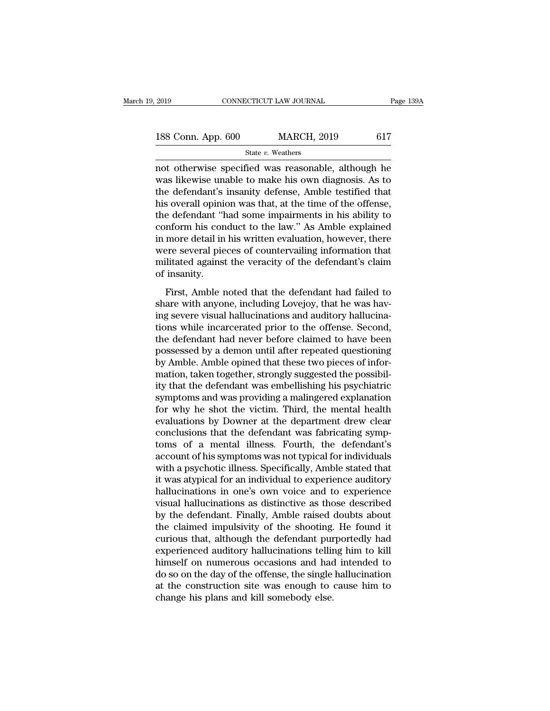| 2019               | CONNECTICUT LAW JOURNAL | Page 139A |
|--------------------|-------------------------|-----------|
| 188 Conn. App. 600 | <b>MARCH, 2019</b>      | 617       |
|                    | State v. Weathers       |           |

2019 CONNECTICUT LAW JOURNAL Page 139A<br>
188 Conn. App. 600 MARCH, 2019 617<br>
State v. Weathers<br>
not otherwise specified was reasonable, although he<br>
was likewise unable to make his own diagnosis. As to<br>
the defendant's insp 188 Conn. App. 600 MARCH, 2019 617<br>
State v. Weathers<br>
not otherwise specified was reasonable, although he<br>
was likewise unable to make his own diagnosis. As to<br>
the defendant's insanity defense, Amble testified that<br>
his 188 Conn. App. 600 MARCH, 2019 617<br>
State v. Weathers<br>
not otherwise specified was reasonable, although he<br>
was likewise unable to make his own diagnosis. As to<br>
the defendant's insanity defense, Amble testified that<br>
his 188 Conn. App. 600 MARCH, 2019 617<br>
State v. Weathers<br>
not otherwise specified was reasonable, although he<br>
was likewise unable to make his own diagnosis. As to<br>
the defendant's insanity defense, Amble testified that<br>
his State v. Weathers<br>
not otherwise specified was reasonable, although he<br>
was likewise unable to make his own diagnosis. As to<br>
the defendant's insanity defense, Amble testified that<br>
his overall opinion was that, at the ti state v. weathers<br>not otherwise specified was reasonable, although he<br>was likewise unable to make his own diagnosis. As to<br>the defendant's insanity defense, Amble testified that<br>his overall opinion was that, at the time o not otherwise specified was reasonable, although he<br>was likewise unable to make his own diagnosis. As to<br>the defendant's insanity defense, Amble testified that<br>his overall opinion was that, at the time of the offense,<br>the was likewise unable to make his own diagnosis. As to<br>the defendant's insanity defense, Amble testified that<br>his overall opinion was that, at the time of the offense,<br>the defendant "had some impairments in his ability to<br>co the defendant's insanity defense, Amble testified that<br>his overall opinion was that, at the time of the offense,<br>the defendant "had some impairments in his ability to<br>conform his conduct to the law." As Amble explained<br>in his overall opinii<br>the defendant "l<br>conform his con<br>in more detail in<br>were several pie<br>militated against<br>of insanity.<br>First, Amble r First, Amble noted that the defendant had failed to<br>are several pieces of countervailing information that<br>litted against the veracity of the defendant's claim<br>insanity.<br>First, Amble noted that the defendant had failed to<br>a solidation and conduct to the law. The finite explained<br>in more detail in his written evaluation, however, there<br>were several pieces of countervailing information that<br>militated against the veracity of the defendant's clai

In these deals in this written evaluation, however, and<br>the were several pieces of countervailing information that<br>militated against the veracity of the defendant's claim<br>of insanity.<br>First, Amble noted that the defendant militated against the veracity of the defendant's claim<br>of insanity.<br>First, Amble noted that the defendant had failed to<br>share with anyone, including Lovejoy, that he was hav-<br>ing severe visual hallucinations and auditory of insanity.<br>
First, Amble noted that the defendant had failed to<br>
share with anyone, including Lovejoy, that he was hav-<br>
ing severe visual hallucinations and auditory hallucina-<br>
tions while incarcerated prior to the off First, Amble noted that the defendant had failed to<br>share with anyone, including Lovejoy, that he was hav-<br>ing severe visual hallucinations and auditory hallucina-<br>tions while incarcerated prior to the offense. Second,<br>the First, Amble noted that the defendant had failed to<br>share with anyone, including Lovejoy, that he was hav-<br>ing severe visual hallucinations and auditory hallucina-<br>tions while incarcerated prior to the offense. Second,<br>the share with anyone, including Lovejoy, that he was having severe visual hallucinations and auditory hallucinations while incarcerated prior to the offense. Second, the defendant had never before claimed to have been possess ing severe visual hallucinations and auditory hallucinations while incarcerated prior to the offense. Second, the defendant had never before claimed to have been possessed by a demon until after repeated questioning by Amb tions while incarcerated prior to the offense. Second,<br>the defendant had never before claimed to have been<br>possessed by a demon until after repeated questioning<br>by Amble. Amble opined that these two pieces of infor-<br>mation the defendant had never before claimed to have been<br>possessed by a demon until after repeated questioning<br>by Amble. Amble opined that these two pieces of infor-<br>mation, taken together, strongly suggested the possibil-<br>ity possessed by a demon until after repeated questioning<br>by Amble. Amble opined that these two pieces of infor-<br>mation, taken together, strongly suggested the possibil-<br>ity that the defendant was embellishing his psychiatric<br> by Amble. Amble opined that these two pieces of information, taken together, strongly suggested the possibility that the defendant was embellishing his psychiatric symptoms and was providing a malingered explanation for wh mation, taken together, strongly suggested the possibility that the defendant was embellishing his psychiatric<br>symptoms and was providing a malingered explanation<br>for why he shot the victim. Third, the mental health<br>evalua ity that the defendant was embellishing his psychiatric<br>symptoms and was providing a malingered explanation<br>for why he shot the victim. Third, the mental health<br>evaluations by Downer at the department drew clear<br>conclusion symptoms and was providing a malingered explanation<br>for why he shot the victim. Third, the mental health<br>evaluations by Downer at the department drew clear<br>conclusions that the defendant was fabricating symp-<br>toms of a men for why he shot the victim. Third, the mental health<br>evaluations by Downer at the department drew clear<br>conclusions that the defendant was fabricating symp-<br>toms of a mental illness. Fourth, the defendant's<br>account of his evaluations by Downer at the department drew clear<br>conclusions that the defendant was fabricating symp-<br>toms of a mental illness. Fourth, the defendant's<br>account of his symptoms was not typical for individuals<br>with a psych conclusions that the defendant was fabricating symptoms of a mental illness. Fourth, the defendant's account of his symptoms was not typical for individuals with a psychotic illness. Specifically, Amble stated that it was toms of a mental illness. Fourth, the defendant's<br>account of his symptoms was not typical for individuals<br>with a psychotic illness. Specifically, Amble stated that<br>it was atypical for an individual to experience auditory<br>h account of his symptoms was not typical for individuals<br>with a psychotic illness. Specifically, Amble stated that<br>it was atypical for an individual to experience auditory<br>hallucinations in one's own voice and to experience with a psychotic illness. Specifically, Amble stated that<br>it was atypical for an individual to experience auditory<br>hallucinations in one's own voice and to experience<br>visual hallucinations as distinctive as those described it was atypical for an individual to experience auditory<br>hallucinations in one's own voice and to experience<br>visual hallucinations as distinctive as those described<br>by the defendant. Finally, Amble raised doubts about<br>the hallucinations in one's own voice and to experience<br>visual hallucinations as distinctive as those described<br>by the defendant. Finally, Amble raised doubts about<br>the claimed impulsivity of the shooting. He found it<br>curious visual hallucinations as distinctive as those described<br>by the defendant. Finally, Amble raised doubts about<br>the claimed impulsivity of the shooting. He found it<br>curious that, although the defendant purportedly had<br>experie by the defendant. Finally, Amble raised doubts about<br>the claimed impulsivity of the shooting. He found it<br>curious that, although the defendant purportedly had<br>experienced auditory hallucinations telling him to kill<br>himself the claimed impulsivity of the shooting.<br>curious that, although the defendant purexperienced auditory hallucinations tellin<br>himself on numerous occasions and had<br>do so on the day of the offense, the single<br>at the construct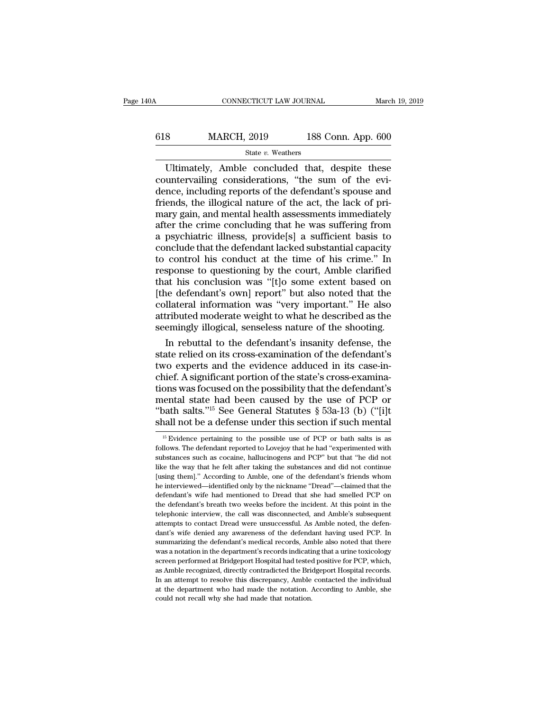# CONNECTICUT LAW JOURNAL March 19, 2019<br>618 MARCH, 2019 188 Conn. App. 600<br>State v. Weathers State *v.* Weathers

CONNECTICUT LAW JOURNAL March 19, 2019<br>
8 MARCH, 2019 188 Conn. App. 600<br>
State v. Weathers<br>
Ultimately, Amble concluded that, despite these<br>
untervailing considerations, "the sum of the evi-<br>
presincluding reports of the Example 188 Conn. App. 600<br>
State v. Weathers<br>
Ultimately, Amble concluded that, despite these<br>
countervailing considerations, "the sum of the evi-<br>
dence, including reports of the defendant's spouse and<br>
friends the illo MARCH, 2019 188 Conn. App. 600<br>
State v. Weathers<br>
Ultimately, Amble concluded that, despite these<br>
countervailing considerations, "the sum of the evi-<br>
dence, including reports of the defendant's spouse and<br>
friends, the 618 MARCH, 2019 188 Conn. App. 600<br>  $\frac{\text{State } v. \text{ Weathers}}{\text{Ultimately, Amble concluded that, despite these} }$ <br>
Ultimately, Amble concluded that, despite these<br>
countervailing considerations, "the sum of the evi-<br>
dence, including reports of the defendant's spou State v. Weathers<br>
Ultimately, Amble concluded that, despite these<br>
countervailing considerations, "the sum of the evi-<br>
dence, including reports of the defendant's spouse and<br>
friends, the illogical nature of the act, th State v. Weathers<br>
Ultimately, Amble concluded that, despite these<br>
countervailing considerations, "the sum of the evi-<br>
dence, including reports of the defendant's spouse and<br>
friends, the illogical nature of the act, th Ultimately, Amble concluded that, despite these<br>countervailing considerations, "the sum of the evi-<br>dence, including reports of the defendant's spouse and<br>friends, the illogical nature of the act, the lack of pri-<br>mary gai countervailing considerations, "the sum of the evi-<br>dence, including reports of the defendant's spouse and<br>friends, the illogical nature of the act, the lack of pri-<br>mary gain, and mental health assessments immediately<br>aft dence, including reports of the defendant's spouse and<br>friends, the illogical nature of the act, the lack of pri-<br>mary gain, and mental health assessments immediately<br>after the crime concluding that he was suffering from<br>a friends, the illogical nature of the act, the lack of pri-<br>mary gain, and mental health assessments immediately<br>after the crime concluding that he was suffering from<br>a psychiatric illness, provide[s] a sufficient basis to<br> mary gain, and mental health assessments immediately<br>after the crime concluding that he was suffering from<br>a psychiatric illness, provide[s] a sufficient basis to<br>conclude that the defendant lacked substantial capacity<br>to after the crime concluding that he was suffering from<br>a psychiatric illness, provide[s] a sufficient basis to<br>conclude that the defendant lacked substantial capacity<br>to control his conduct at the time of his crime." In<br>res a psychiatric illness, provide[s] a sufficient basis to<br>conclude that the defendant lacked substantial capacity<br>to control his conduct at the time of his crime." In<br>response to questioning by the court, Amble clarified<br>tha conclude that the defendant lacked substantial capacity<br>to control his conduct at the time of his crime." In<br>response to questioning by the court, Amble clarified<br>that his conclusion was "[t]o some extent based on<br>[the def to control his conduct at the time of his crime." In response to questioning by the court, Amble clarified that his conclusion was "[t]o some extent based on [the defendant's own] report" but also noted that the collateral sponse to questioning by the court, Amble clarified<br>at his conclusion was "[t]o some extent based on<br>ne defendant's own] report" but also noted that the<br>llateral information was "very important." He also<br>tributed moderate that his conclusion was "[t]o some extent based on<br>[the defendant's own] report" but also noted that the<br>collateral information was "very important." He also<br>attributed moderate weight to what he described as the<br>seemingly

[the defendant's own] report" but also noted that the collateral information was "very important." He also attributed moderate weight to what he described as the seemingly illogical, senseless nature of the shooting.<br>In re collateral information was "very important." He also<br>attributed moderate weight to what he described as the<br>seemingly illogical, senseless nature of the shooting.<br>In rebuttal to the defendant's insanity defense, the<br>state attributed moderate weight to what he described as the<br>seemingly illogical, senseless nature of the shooting.<br>In rebuttal to the defendant's insanity defense, the<br>state relied on its cross-examination of the defendant's<br>tw seemingly illogical, senseless nature of the shooting.<br>
In rebuttal to the defendant's insanity defense, the<br>
state relied on its cross-examination of the defendant's<br>
two experts and the evidence adduced in its case-in-<br> In rebuttal to the defendant's insanity defense, the<br>state relied on its cross-examination of the defendant's<br>two experts and the evidence adduced in its case-in-<br>chief. A significant portion of the state's cross-examinastate relied on its cross-examination of the defendant's<br>two experts and the evidence adduced in its case-in-<br>chief. A significant portion of the state's cross-examina-<br>tions was focused on the possibility that the defenda ons was focused on the possibility that the defendant's<br>tental state had been caused by the use of PCP or<br>path salts."<sup>15</sup> See General Statutes § 53a-13 (b) ("[i]t<br>nall not be a defense under this section if such mental<br>mental state had been caused by the use of PCP or "bath salts."<sup>15</sup> See General Statutes § 53a-13 (b) ("[i]t shall not be a defense under this section if such mental  $\frac{15}{15}$  Evidence pertaining to the possible use of

<sup>&</sup>quot;bath salts."<sup>15</sup> See General Statutes § 53a-13 (b) ("[i]t shall not be a defense under this section if such mental  $\frac{15 \text{ Evidence pertaining to the possible use of PCP or bath salts is as follows. The defendant reported to Lovejoy that he had "experimental with substances such as cocaine, hallucinogens and PCP" but that "he did not like the way that he felt after taking the substances and did not continue [using them]." According to Amble, one of the defendant's friends whom$ shall not be a defense under this section if such mental  $\frac{15}{15}$  Evidence pertaining to the possible use of PCP or bath salts is as follows. The defendant reported to Lovejoy that he had "experimented with substances  $\frac{15}{15}$  Evidence pertaining to the possible use of PCP or bath salts is as follows. The defendant reported to Lovejoy that he had "experimented with substances such as cocaine, hallucinogens and PCP" but that "he did <sup>15</sup> Evidence pertaining to the possible use of PCP or bath salts is as follows. The defendant reported to Lovejoy that he had "experimented with substances such as cocaine, hallucinogens and PCP" but that "he did not thi follows. The defendant reported to Lovejoy that he had "experimented with substances such as cocaine, hallucinogens and PCP" but that "he did not like the way that he felt after taking the substances and did not continue [ substances such as cocaine, hallucinogens and PCP" but that "he did not like the way that he felt after taking the substances and did not continue [using them]." According to Amble, one of the defendant's friends whom he blike the way that he felt after taking the substances and did not continue [using them]." According to Amble, one of the defendant's friends whom he interviewed—identified only by the nickname "Dread"—claimed that the def Insing them]." According to Amble, one of the defendant's friends whom<br>he interviewed—identified only by the nickname "Dread"—claimed that the<br>defendant's wife had mentioned to Dread that she had smelled PCP on<br>the defenda he interviewed—identified only by the nickname "Dread"—claimed that the defendant's wife had mentioned to Dread that she had smelled PCP on the defendant's breath two weeks before the incident. At this point in the telepho defendant's wife had mentioned to Dread that she had smelled PCP on<br>the defendant's breath two weeks before the incident. At this point in the<br>telephonic interview, the call was disconnected, and Amble's subsequent<br>attempt the defendant's breath two weeks before the incident. At this point in the thelephonic interview, the call was disconnected, and Amble's subsequent attempts to contact Dread were unsuccessful. As Amble noted, the defendant screen performed at Bridgeport Hospital had tested positive for PCP, which are the defendant's wife denied any awareness of the defendant having used PCP. In summarizing the defendant's medical records, Amble also noted th attempts to contact Dread were unsuccessful. As Amble noted, the defendant's wife denied any awareness of the defendant having used PCP. In summarizing the defendant's medical records, Amble also noted that there was a not dant's wife denied any awareness of the defendant having used PCP. In summarizing the defendant's medical records, Amble also noted that there was a notation in the department's records indicating that a urine toxicology s summarizing the defendant's medical records, Amble also noted that there was a notation in the department's records indicating that a urine toxicology screen performed at Bridgeport Hospital had tested positive for PCP, wh screen performed at Bridgeport Hospital had tested positive for PCP, which,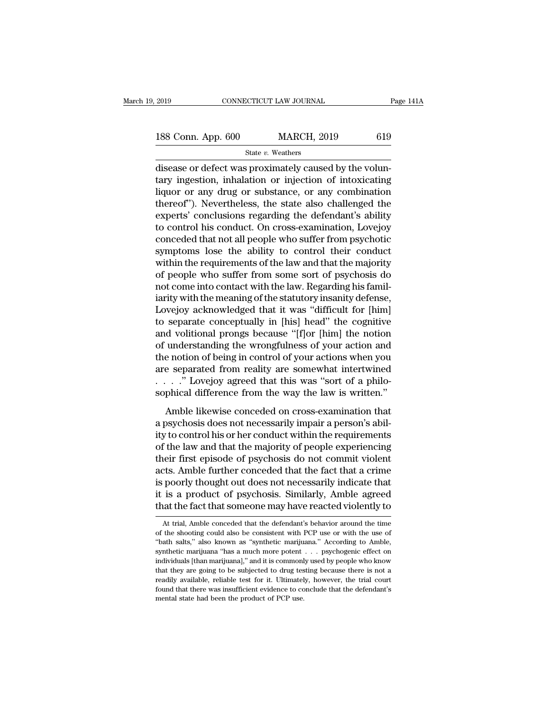| 2019               | CONNECTICUT LAW JOURNAL |     | Page 141A |
|--------------------|-------------------------|-----|-----------|
|                    |                         |     |           |
| 188 Conn. App. 600 | <b>MARCH, 2019</b>      | 619 |           |
|                    | State v. Weathers       |     |           |

2019 CONNECTICUT LAW JOURNAL<br>
188 Conn. App. 600 MARCH, 2019 619<br>
3tate v. Weathers<br>
disease or defect was proximately caused by the volun-<br>
tary ingestion, inhalation or injection of intoxicating<br>
liquor or any drug or su 188 Conn. App. 600 MARCH, 2019 619<br>
State v. Weathers<br>
disease or defect was proximately caused by the volun-<br>
tary ingestion, inhalation or injection of intoxicating<br>
liquor or any drug or substance, or any combination<br>
t 188 Conn. App. 600 MARCH, 2019 619<br>
State v. Weathers<br>
disease or defect was proximately caused by the volun-<br>
tary ingestion, inhalation or injection of intoxicating<br>
liquor or any drug or substance, or any combination<br> 188 Conn. App. 600 MARCH, 2019 619<br>
State v. Weathers<br>
disease or defect was proximately caused by the volun-<br>
tary ingestion, inhalation or injection of intoxicating<br>
liquor or any drug or substance, or any combination<br> State v. Weathers<br>
disease or defect was proximately caused by the volun-<br>
tary ingestion, inhalation or injection of intoxicating<br>
liquor or any drug or substance, or any combination<br>
thereof"). Nevertheless, the state a state  $v$ . weathers<br>disease or defect was proximately caused by the volun-<br>tary ingestion, inhalation or injection of intoxicating<br>liquor or any drug or substance, or any combination<br>thereof"). Nevertheless, the state als disease or defect was proximately caused by the voluntary ingestion, inhalation or injection of intoxicating<br>liquor or any drug or substance, or any combination<br>thereof"). Nevertheless, the state also challenged the<br>expert tary ingestion, inhalation or injection of intoxicating<br>liquor or any drug or substance, or any combination<br>thereof"). Nevertheless, the state also challenged the<br>experts' conclusions regarding the defendant's ability<br>to c liquor or any drug or substance, or any combination<br>thereof"). Nevertheless, the state also challenged the<br>experts' conclusions regarding the defendant's ability<br>to control his conduct. On cross-examination, Lovejoy<br>conced thereof"). Nevertheless, the state also challenged the<br>experts' conclusions regarding the defendant's ability<br>to control his conduct. On cross-examination, Lovejoy<br>conceded that not all people who suffer from psychotic<br>sym experts' conclusions regarding the defendant's ability<br>to control his conduct. On cross-examination, Lovejoy<br>conceded that not all people who suffer from psychotic<br>symptoms lose the ability to control their conduct<br>within to control his conduct. On cross-examination, Lovejoy<br>conceded that not all people who suffer from psychotic<br>symptoms lose the ability to control their conduct<br>within the requirements of the law and that the majority<br>of pe conceded that not all people who suffer from psychotic<br>symptoms lose the ability to control their conduct<br>within the requirements of the law and that the majority<br>of people who suffer from some sort of psychosis do<br>not com symptoms lose the ability to control their conduct<br>within the requirements of the law and that the majority<br>of people who suffer from some sort of psychosis do<br>not come into contact with the law. Regarding his famil-<br>iarit within the requirements of the law and that the majority<br>of people who suffer from some sort of psychosis do<br>not come into contact with the law. Regarding his famil-<br>iarity with the meaning of the statutory insanity defens of people who suffer from some sort of psychosis do<br>not come into contact with the law. Regarding his famil-<br>iarity with the meaning of the statutory insanity defense,<br>Lovejoy acknowledged that it was "difficult for [him]<br> not come into contact with the law. Regarding his familiarity with the meaning of the statutory insanity defense,<br>Lovejoy acknowledged that it was "difficult for [him]<br>to separate conceptually in [his] head" the cognitive<br> iarity with the meaning of the statutory insanity defense,<br>Lovejoy acknowledged that it was "difficult for [him]<br>to separate conceptually in [his] head" the cognitive<br>and volitional prongs because "[f]or [him] the notion<br>o Lovejoy acknowledged that it was "difficult for [him] to separate conceptually in [his] head" the cognitive and volitional prongs because "[f]or [him] the notion of understanding the wrongfulness of your action and the no to separate conceptually in [his] head" the cognitive<br>and volitional prongs because "[f]or [him] the notion<br>of understanding the wrongfulness of your action and<br>the notion of being in control of your actions when you<br>are s and controllar prongle because  $\frac{1}{2}$  or  $\frac{1}{2}$  and  $\frac{1}{2}$  in the method in understanding the wrongfulness of your action and e notion of being in control of your actions when you be separated from reality are so a psychosis does not necessarily impair a person when you are separated from reality are somewhat intertwined<br>  $\ldots$  and  $\ldots$  are separated from reality are somewhat intertwined<br>  $\ldots$  and  $\ldots$  a philosophical differenc

are separated from reality are somewhat intertwined<br>  $\ldots$ ." Lovejoy agreed that this was "sort of a philo-<br>
sophical difference from the way the law is written."<br>
Amble likewise conceded on cross-examination that<br>
a psyc of the law and that the majority of the majority of the sophical difference from the way the law is written."<br>Amble likewise conceded on cross-examination that<br>a psychosis does not necessarily impair a person's abil-<br>ity the interaction of the way the law is written."<br>Sophical difference from the way the law is written."<br>Amble likewise conceded on cross-examination that<br>a psychosis does not necessarily impair a person's abil-<br>ity to contro Amble likewise conceded on cross-examination that<br>a psychosis does not necessarily impair a person's abil-<br>ity to control his or her conduct within the requirements<br>of the law and that the majority of people experiencing<br>t Amble likewise conceded on cross-examination that<br>a psychosis does not necessarily impair a person's abil-<br>ity to control his or her conduct within the requirements<br>of the law and that the majority of people experiencing<br>t a psychosis does not necessarily impair a person's ability to control his or her conduct within the requirements of the law and that the majority of people experiencing their first episode of psychosis do not commit violen ity to control his or her conduct within the requirements<br>of the law and that the majority of people experiencing<br>their first episode of psychosis do not commit violent<br>acts. Amble further conceded that the fact that a cri trial, Ambie further conceded that the fact that a crime<br>poorly thought out does not necessarily indicate that<br>is a product of psychosis. Similarly, Amble agreed<br>at the fact that someone may have reacted violently to<br>At tr is poorly thought out does not necessarily indicate that<br>it is a product of psychosis. Similarly, Amble agreed<br>that the fact that someone may have reacted violently to<br>At trial, Amble conceded that the defendant's behavior

it is a product of psychosis. Similarly, Amble agreed<br>that the fact that someone may have reacted violently to<br>At trial, Amble conceded that the defendant's behavior around the time<br>of the shooting could also be consistent shows that the fact that someone may have reacted violently to<br>At trial, Amble conceded that the defendant's behavior around the time<br>of the shooting could also be consistent with PCP use or with the use of<br>"bath salts," a In the fact that someone may have reacted violently to<br>At trial, Amble conceded that the defendant's behavior around the time<br>of the shooting could also be consistent with PCP use or with the use of<br>"bath salts," also know At trial, Amble conceded that the defendant's behavior around the time<br>of the shooting could also be consistent with PCP use or with the use of<br>"bath salts," also known as "synthetic marijuana." According to Amble,<br>synthe At trial, Amble conceded that the defendant's behavior around the time<br>of the shooting could also be consistent with PCP use or with the use of<br>"bath salts," also known as "synthetic marijuana." According to Amble,<br>synthe "bath salts," also known as "synthetic marijuana." According to Amble, synthetic marijuana "has a much more potent . . . psychogenic effect on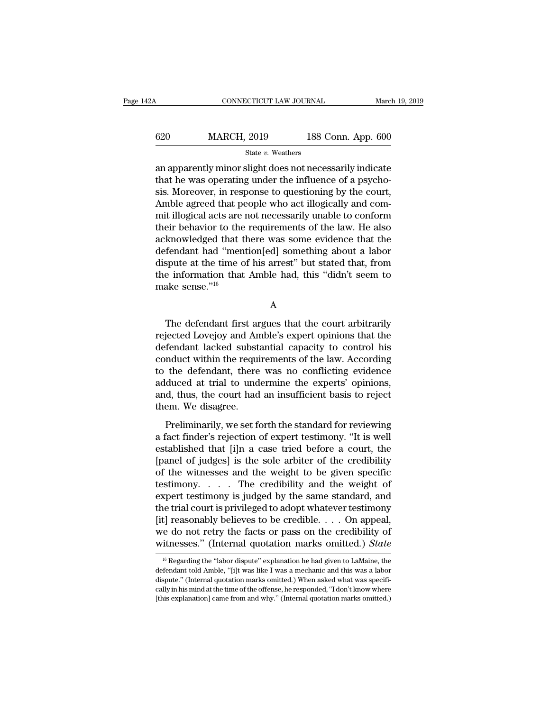| 42A | CONNECTICUT LAW JOURNAL |                    | March 19, 2019 |
|-----|-------------------------|--------------------|----------------|
| 620 | <b>MARCH, 2019</b>      | 188 Conn. App. 600 |                |
|     | State v. Weathers       |                    |                |

CONNECTICUT LAW JOURNAL March 19, 2019<br>
620 MARCH, 2019 188 Conn. App. 600<br>
5tate v. Weathers<br>
an apparently minor slight does not necessarily indicate<br>
that he was operating under the influence of a psycho-<br>
sign Moreover  $t_{\text{stack}}$  MARCH, 2019 188 Conn. App. 600<br>  $t_{\text{state } v. \text{ Weather}}$ <br>
an apparently minor slight does not necessarily indicate<br>
that he was operating under the influence of a psycho-<br>
sis. Moreover, in response to questioning by th  $\begin{tabular}{r|c} \multicolumn{1}{l}{\textbf{620}} & \multicolumn{1}{l}{\textbf{MARCH, 2019}} & \multicolumn{1}{l}{\textbf{188 Conn. App. 600}} \\ \hline & \multicolumn{1}{l}{\textbf{State }v. \textbf{Weather}} \\ \hline \textbf{an apparently minor slight does not necessarily indicate} \\ \textbf{that he was operating under the influence of a psychosis. Moreover, in response to questioning by the court,} \\ \textbf{Amble agreed that people who act illogically and commit illogical gets are not necessarily unable to conformal.} \end{tabular}$  $\frac{\text{620}}{\text{844}}$  MARCH, 2019 188 Conn. App. 600<br>  $\frac{\text{844}}{\text{84}}$  an apparently minor slight does not necessarily indicate<br>
that he was operating under the influence of a psychosis.<br>
Moreover, in response to questionin  $\begin{array}{l} \hline \text{State $v$. Weathers} \end{array}$  an apparently minor slight does not necessarily indicate that he was operating under the influence of a psychosis. Moreover, in response to questioning by the court, Amble agreed that people state  $v$ . weathers<br>an apparently minor slight does not necessarily indicate<br>that he was operating under the influence of a psycho-<br>sis. Moreover, in response to questioning by the court,<br>Amble agreed that people who act an apparently minor slight does not necessarily indicate<br>that he was operating under the influence of a psycho-<br>sis. Moreover, in response to questioning by the court,<br>Amble agreed that people who act illogically and com-<br> that he was operating under the influence of a psychosis. Moreover, in response to questioning by the court,<br>Amble agreed that people who act illogically and commit illogical acts are not necessarily unable to conform<br>thei sis. Moreover, in response to questioning by the court,<br>Amble agreed that people who act illogically and com-<br>mit illogical acts are not necessarily unable to conform<br>their behavior to the requirements of the law. He also<br> Amble agreed that people who act illogically and commit illogical acts are not necessarily unable to conform their behavior to the requirements of the law. He also acknowledged that there was some evidence that the defenda mit illogical acts are<br>their behavior to the<br>acknowledged that t<br>defendant had "men<br>dispute at the time o<br>the information that<br>make sense."<sup>16</sup> Fendant had "mention[ed] something about a labor<br>spute at the time of his arrest" but stated that, from<br>e information that Amble had, this "didn't seem to<br>ake sense."<sup>16</sup><br>A<br>The defendant first argues that the court arbitr

A

dispute at the time of his arrest" but stated that, from<br>the information that Amble had, this "didn't seem to<br>make sense."<sup>16</sup><br>A<br>The defendant first argues that the court arbitrarily<br>rejected Lovejoy and Amble's expert op the information that Amble had, this "didn't seem to<br>make sense."<sup>16</sup><br>A<br>The defendant first argues that the court arbitrarily<br>rejected Lovejoy and Amble's expert opinions that the<br>defendant lacked substantial capacity to c A<br>
The defendant first argues that the court arbitrarily<br>
rejected Lovejoy and Amble's expert opinions that the<br>
defendant lacked substantial capacity to control his<br>
conduct within the requirements of the law. According<br> A<br>
The defendant first argues that the court arbitrarily<br>
rejected Lovejoy and Amble's expert opinions that the<br>
defendant lacked substantial capacity to control his<br>
conduct within the requirements of the law. According<br> The defendant first argues that the court arbitrarily<br>rejected Lovejoy and Amble's expert opinions that the<br>defendant lacked substantial capacity to control his<br>conduct within the requirements of the law. According<br>to the The defendant first argues that the court arbitrarily<br>rejected Lovejoy and Amble's expert opinions that the<br>defendant lacked substantial capacity to control his<br>conduct within the requirements of the law. According<br>to the rejected Lovejoy and An<br>defendant lacked subst:<br>conduct within the requi<br>to the defendant, there<br>adduced at trial to und<br>and, thus, the court had<br>them. We disagree.<br>Preliminarily, we set fo Preliminarily in the requirements of the law. According<br>
the defendant, there was no conflicting evidence<br>
duced at trial to undermine the experts' opinions,<br>
d, thus, the court had an insufficient basis to reject<br>
em. We For the defendant, there was no conflicting evidence<br>adduced at trial to undermine the experts' opinions,<br>and, thus, the court had an insufficient basis to reject<br>them. We disagree.<br>Preliminarily, we set forth the standard

es are accordantly after that its continuating character<br>adduced at trial to undermine the experts' opinions,<br>and, thus, the court had an insufficient basis to reject<br>them. We disagree.<br>Preliminarily, we set forth the stan and, thus, the court had an insufficient basis to reject<br>them. We disagree.<br>Preliminarily, we set forth the standard for reviewing<br>a fact finder's rejection of expert testimony. "It is well<br>established that [i]n a case tri The with the standard for reviewing<br>them. We disagree.<br>Preliminarily, we set forth the standard for reviewing<br>a fact finder's rejection of expert testimony. "It is well<br>established that [i]n a case tried before a court, t Freliminarily, we set forth the standard for reviewing<br>a fact finder's rejection of expert testimony. "It is well<br>established that [i]n a case tried before a court, the<br>[panel of judges] is the sole arbiter of the credibi Preliminarily, we set forth the standard for reviewing<br>a fact finder's rejection of expert testimony. "It is well<br>established that [i]n a case tried before a court, the<br>[panel of judges] is the sole arbiter of the credibil a fact finder's rejection of expert testimony. "It is well<br>established that [i]n a case tried before a court, the<br>[panel of judges] is the sole arbiter of the credibility<br>of the witnesses and the weight to be given specif established that [i]n a case tried before a court, the<br>[panel of judges] is the sole arbiter of the credibility<br>of the witnesses and the weight to be given specific<br>testimony.....The credibility and the weight of<br>expert t [panel of judges] is the sole arbiter of the credibility<br>of the witnesses and the weight to be given specific<br>testimony. . . . The credibility and the weight of<br>expert testimony is judged by the same standard, and<br>the tri of the witnesses and the weight to be given specific<br>testimony..... The credibility and the weight of<br>expert testimony is judged by the same standard, and<br>the trial court is privileged to adopt whatever testimony<br>[it] rea 16 Regarding the "labor dispute" explanation he had given to LaMaine, the fendant told Amble, "[i]t was like I was a mechanic and this was a labor dispute." explanation he had given to LaMaine, the fendant told Amble, "[i [it] reasonably believes to be credible. . . . On appeal,<br>we do not retry the facts or pass on the credibility of<br>witnesses." (Internal quotation marks omitted.) *State*<br> $\frac{16}{16}$  Regarding the "labor dispute" explanati

we do not retry the facts or pass on the credibility of<br>witnesses." (Internal quotation marks omitted.) State<br> $\frac{16}{16}$  Regarding the "labor dispute" explanation he had given to LaMaine, the<br>defendant told Amble, "[i]t w witnesses." (Internal quotation marks omitted.) State<br>
<sup>16</sup> Regarding the "labor dispute" explanation he had given to LaMaine, the<br>
defendant told Amble, "[i]t was like I was a mechanic and this was a labor<br>
dispute." (In <sup>16</sup> Regarding the "labor dispute" explanation he had given to LaMaine, the defendant told Amble, "[i]t was like I was a mechanic and this was a labor dispute." (Internal quotation marks omitted.) When asked what was spec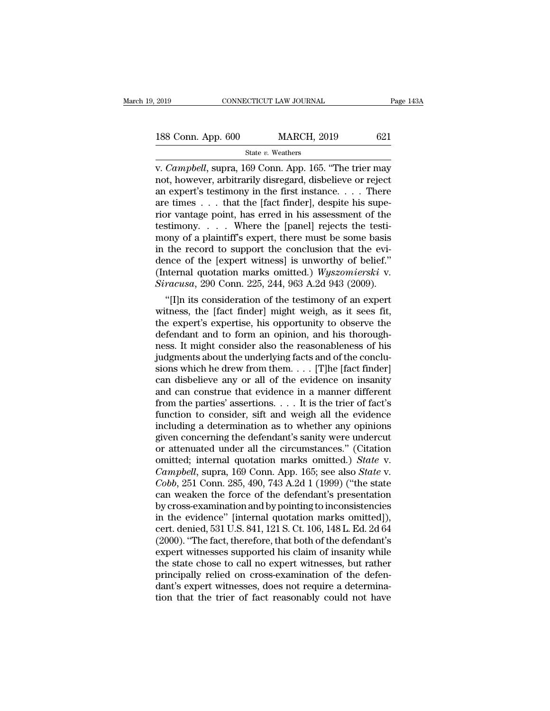# 2019 CONNECTICUT LAW JOURNAL Page 143A<br>188 Conn. App. 600 MARCH, 2019 621<br>State v. Weathers

# State *v.* Weathers

v. 2019 CONNECTICUT LAW JOURNAL Page 143A<br>
188 Conn. App. 600 MARCH, 2019 621<br>
State v. Weathers<br>
v. *Campbell*, supra, 169 Conn. App. 165. "The trier may<br>
not, however, arbitrarily disregard, disbelieve or reject<br>
an expe 188 Conn. App. 600 MARCH, 2019 621<br>
State v. Weathers<br>
v. Campbell, supra, 169 Conn. App. 165. "The trier may<br>
not, however, arbitrarily disregard, disbelieve or reject<br>
an expert's testimony in the first instance. . . . 188 Conn. App. 600 MARCH, 2019 621<br>
State v. Weathers<br>
v. Campbell, supra, 169 Conn. App. 165. "The trier may<br>
not, however, arbitrarily disregard, disbelieve or reject<br>
an expert's testimony in the first instance. . . . 188 Conn. App. 600 MARCH, 2019 621<br>
State v. Weathers<br>
v. Campbell, supra, 169 Conn. App. 165. "The trier may<br>
not, however, arbitrarily disregard, disbelieve or reject<br>
an expert's testimony in the first instance.... The State v. Weathers<br>
v. Campbell, supra, 169 Conn. App. 165. "The trier may<br>
not, however, arbitrarily disregard, disbelieve or reject<br>
an expert's testimony in the first instance.... There<br>
are times ... that the [fact fin state v. Weathers<br>v. *Campbell*, supra, 169 Conn. App. 165. "The trier may<br>not, however, arbitrarily disregard, disbelieve or reject<br>an expert's testimony in the first instance.... There<br>are times ... that the [fact finde v. *Campbell*, supra, 169 Conn. App. 165. "The trier may<br>not, however, arbitrarily disregard, disbelieve or reject<br>an expert's testimony in the first instance. . . . There<br>are times . . . that the [fact finder], despite hi not, however, arbitrarily disregard, disbelieve or reject<br>an expert's testimony in the first instance. . . . There<br>are times . . . that the [fact finder], despite his supe-<br>rior vantage point, has erred in his assessment an expert's testimony in the first instance. . . . There<br>are times . . . that the [fact finder], despite his supe-<br>rior vantage point, has erred in his assessment of the<br>testimony . . . . Where the [panel] rejects the tes are times . . . that the [fact finder], despite his superior vantage point, has erred in his assessment of the testimony . . . . Where the [panel] rejects the testimony of a plaintiff's expert, there must be some basis in rior vantage point, has erred in his assessment of the test<br>imony.....Where the [panel] rejects the testi-<br>mony of a plaintiff's expert, there must be some basis<br>in the record to support the conclusion that the evi-<br>dence sumony. . . . . where the [panel] rejects the testi-<br>
ony of a plaintiff's expert, there must be some basis<br>
the record to support the conclusion that the evi-<br>
ince of the [expert witness] is unworthy of belief."<br>
iterna mony or a pianuit s expert, there must be some basis<br>in the record to support the conclusion that the evi-<br>dence of the [expert witness] is unworthy of belief."<br>(Internal quotation marks omitted.) *Wyszomierski* v.<br>Siracu

In the record to support the conclusion that the evidence of the [expert witness] is unworthy of belief."<br>(Internal quotation marks omitted.) *Wyszomierski* v.<br>Siracusa, 290 Conn. 225, 244, 963 A.2d 943 (2009).<br>"[I]n its dence of the [expert witness] is unworthy of belief."<br>(Internal quotation marks omitted.) Wyszomierski v.<br>Siracusa, 290 Conn. 225, 244, 963 A.2d 943 (2009).<br>"[I]n its consideration of the testimony of an expert<br>witness, th (internal quotation marks omitted.)  $Wyszomiersk$  v.<br>
Siracusa, 290 Conn. 225, 244, 963 A.2d 943 (2009).<br>
"[I]n its consideration of the testimony of an expert<br>
witness, the [fact finder] might weigh, as it sees fit,<br>
the expe stracusa, 290 Conn. 225, 244, 963 A.2d 943 (2009).<br>
"[I]n its consideration of the testimony of an expert<br>
witness, the [fact finder] might weigh, as it sees fit,<br>
the expert's expertise, his opportunity to observe the<br>
d "[I]n its consideration of the testimony of an expert<br>witness, the [fact finder] might weigh, as it sees fit,<br>the expert's expertise, his opportunity to observe the<br>defendant and to form an opinion, and his thorough-<br>ness witness, the [fact finder] might weigh, as it sees fit,<br>the expert's expertise, his opportunity to observe the<br>defendant and to form an opinion, and his thorough-<br>ness. It might consider also the reasonableness of his<br>jud the expert's expertise, his opportunity to observe the defendant and to form an opinion, and his thoroughness. It might consider also the reasonableness of his judgments about the underlying facts and of the conclusions w defendant and to form an opinion, and his thoroughness. It might consider also the reasonableness of his judgments about the underlying facts and of the conclusions which he drew from them. . . . [T]he [fact finder] can di ness. It might consider also the reasonableness of his<br>judgments about the underlying facts and of the conclu-<br>sions which he drew from them. . . . [T]he [fact finder]<br>can disbelieve any or all of the evidence on insanity judgments about the underlying facts and of the conclusions which he drew from them. . . . [T]he [fact finder]<br>can disbelieve any or all of the evidence on insanity<br>and can construe that evidence in a manner different<br>fro sions which he drew from them. . . . [T]he [fact finder]<br>can disbelieve any or all of the evidence on insanity<br>and can construe that evidence in a manner different<br>from the parties' assertions. . . . It is the trier of fa can disbelieve any or all of the evidence on insanity<br>and can construe that evidence in a manner different<br>from the parties' assertions.... It is the trier of fact's<br>function to consider, sift and weigh all the evidence<br>i and can construe that evidence in a manner different<br>from the parties' assertions. . . . It is the trier of fact's<br>function to consider, sift and weigh all the evidence<br>including a determination as to whether any opinions<br> from the parties' assertions. . . . It is the trier of fact's<br>function to consider, sift and weigh all the evidence<br>including a determination as to whether any opinions<br>given concerning the defendant's sanity were undercut function to consider, sift and weigh all the evidence<br>including a determination as to whether any opinions<br>given concerning the defendant's sanity were undercut<br>or attenuated under all the circumstances." (Citation<br>omitted including a determination as to whether any opinions<br>given concerning the defendant's sanity were undercut<br>or attenuated under all the circumstances." (Citation<br>omitted; internal quotation marks omitted.) *State* v.<br>*Campb* given concerning the defendant's sanity were undercut<br>or attenuated under all the circumstances." (Citation<br>omitted; internal quotation marks omitted.) *State* v.<br>*Campbell*, supra, 169 Conn. App. 165; see also *State* v.<br> or attenuated under all the circumstances." (Citation<br>omitted; internal quotation marks omitted.) *State* v.<br>*Campbell*, supra, 169 Conn. App. 165; see also *State* v.<br>*Cobb*, 251 Conn. 285, 490, 743 A.2d 1 (1999) ("the st omitted; internal quotation marks omitted.) *State* v.<br> *Campbell*, supra, 169 Conn. App. 165; see also *State* v.<br> *Cobb*, 251 Conn. 285, 490, 743 A.2d 1 (1999) ("the state<br>
can weaken the force of the defendant's present Campbell, supra, 169 Conn. App. 165; see also *State* v.<br>Cobb, 251 Conn. 285, 490, 743 A.2d 1 (1999) ("the state<br>can weaken the force of the defendant's presentation<br>by cross-examination and by pointing to inconsistencies<br> Cobb, 251 Conn. 285, 490, 743 A.2d 1 (1999) ("the state<br>can weaken the force of the defendant's presentation<br>by cross-examination and by pointing to inconsistencies<br>in the evidence" [internal quotation marks omitted]),<br>ce can weaken the force of the defendant's presentation<br>by cross-examination and by pointing to inconsistencies<br>in the evidence" [internal quotation marks omitted]),<br>cert. denied, 531 U.S. 841, 121 S. Ct. 106, 148 L. Ed. 2d 6 by cross-examination and by pointing to inconsistencies<br>in the evidence" [internal quotation marks omitted]),<br>cert. denied, 531 U.S. 841, 121 S. Ct. 106, 148 L. Ed. 2d 64<br>(2000). "The fact, therefore, that both of the defe in the evidence" [internal quotation marks omitted]),<br>cert. denied, 531 U.S. 841, 121 S. Ct. 106, 148 L. Ed. 2d 64<br>(2000). "The fact, therefore, that both of the defendant's<br>expert witnesses supported his claim of insanity cert. denied, 531 U.S. 841, 121 S. Ct. 106, 148 L. Ed. 2d 64 (2000). "The fact, therefore, that both of the defendant's expert witnesses supported his claim of insanity while the state chose to call no expert witnesses, bu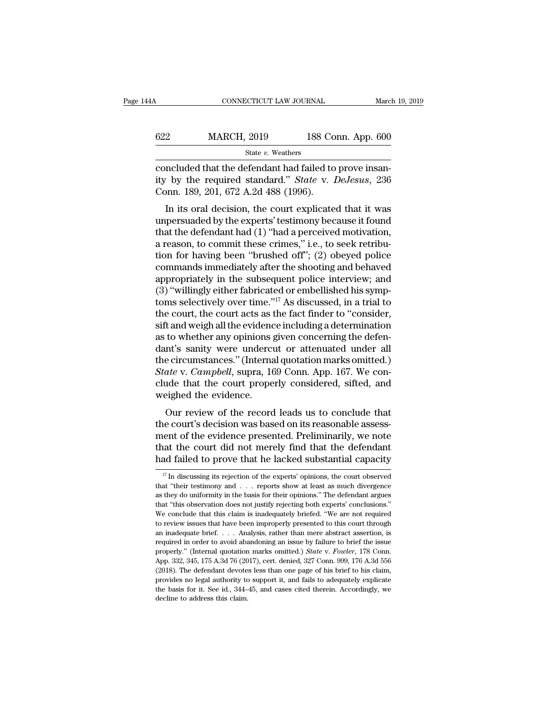| 14A | CONNECTICUT LAW JOURNAL |                    | March 19, 2019 |
|-----|-------------------------|--------------------|----------------|
| 622 | <b>MARCH, 2019</b>      | 188 Conn. App. 600 |                |
|     | State v. Weathers       |                    |                |

CONNECTICUT LAW JOURNAL March March (1992)<br>
State v. Weathers<br>
Concluded that the defendant had failed to prove insan-<br>
ity by the required standard." State v. DeJesus, 236<br>
Conn 180 201 672 A 2d 488 (1996) MARCH, 2019 188 Conn. App. 600<br>
State v. Weathers<br>
concluded that the defendant had failed to prove insan-<br>
ity by the required standard.'' *State* v. *DeJesus*, 236<br>
Conn. 189, 201, 672 A.2d 488 (1996).  $\begin{array}{r} \n 622 \quad \text{MARCH, 2019} \quad \text{188 Co} \ \n \text{State } v. \text{ Weathers} \ \n \text{concluded that the defendant had failed to} \n \text{ity by the required standard." State v. I} \n \text{Conn. 189, 201, 672 A.2d 488 (1996).} \n \text{In its oral decision, the court explicate} \n\end{array}$ MARCH, 2019 188 Conn. App. 600<br>
State v. Weathers<br>
Included that the defendant had failed to prove insan-<br>
by the required standard." *State* v. *DeJesus*, 236<br>
Donn. 189, 201, 672 A.2d 488 (1996).<br>
In its oral decision,

State v. Weathers<br>
concluded that the defendant had failed to prove insan-<br>
ity by the required standard." *State* v. *DeJesus*, 236<br>
Conn. 189, 201, 672 A.2d 488 (1996).<br>
In its oral decision, the court explicated that i concluded that the defendant had failed to prove insan-<br>ity by the required standard." *State* v. *DeJesus*, 236<br>Conn. 189, 201, 672 A.2d 488 (1996).<br>In its oral decision, the court explicated that it was<br>unpersuaded by t ity by the required standard." *State v. DeJesus*, 236<br>Conn. 189, 201, 672 A.2d 488 (1996).<br>In its oral decision, the court explicated that it was<br>unpersuaded by the experts' testimony because it found<br>that the defendant h the Fequineu standard: *State V. Desesus*, 250<br>Conn. 189, 201, 672 A.2d 488 (1996).<br>In its oral decision, the court explicated that it was<br>unpersuaded by the experts' testimony because it found<br>that the defendant had (1) " Commands immediately after the shooting and behaved appropriately in the subsequent pole of  $(1390)$ .<br>
In its oral decision, the court explicated that it was unpersuaded by the experts' testimony because it found<br>
that th In its oral decision, the court explicated that it was<br>unpersuaded by the experts' testimony because it found<br>that the defendant had (1) "had a perceived motivation,<br>a reason, to commit these crimes," i.e., to seek retrib unpersuaded by the experts' testimony because it found<br>that the defendant had (1) "had a perceived motivation,<br>a reason, to commit these crimes," i.e., to seek retribu-<br>tion for having been "brushed off"; (2) obeyed police that the defendant had (1) "had a perceived motivation,<br>a reason, to commit these crimes," i.e., to seek retribu-<br>tion for having been "brushed off"; (2) obeyed police<br>commands immediately after the shooting and behaved<br>ap a reason, to commit these crimes," i.e., to seek retribution for having been "brushed off"; (2) obeyed police<br>commands immediately after the shooting and behaved<br>appropriately in the subsequent police interview; and<br>(3) "w tion for having been "brushed off"; (2) obeyed police<br>commands immediately after the shooting and behaved<br>appropriately in the subsequent police interview; and<br>(3) "willingly either fabricated or embellished his symp-<br>toms commands immediately after the shooting and behaved<br>appropriately in the subsequent police interview; and<br>(3) "willingly either fabricated or embellished his symp-<br>toms selectively over time."<sup>17</sup> As discussed, in a trial appropriately in the subsequent police interview; and<br>
(3) "willingly either fabricated or embellished his symptoms selectively over time."<sup>17</sup> As discussed, in a trial to<br>
the court, the court acts as the fact finder to (3) "willingly either fabricated or embellished his symptoms selectively over time."<sup>17</sup> As discussed, in a trial to the court, the court acts as the fact finder to "consider, sift and weigh all the evidence including a d toms selectively over time."<sup>17</sup> As discussed, in a trial to<br>the court, the court acts as the fact finder to "consider,<br>sift and weigh all the evidence including a determination<br>as to whether any opinions given concerning the court, the court acts as the fact finder to "consider,<br>sift and weigh all the evidence including a determination<br>as to whether any opinions given concerning the defen-<br>dant's sanity were undercut or attenuated under al sift and weigh all the evidence<br>as to whether any opinions g<br>dant's sanity were undercu<br>the circumstances." (Interna<br>*State* v. *Campbell*, supra, 16<br>clude that the court prope<br>weighed the evidence.<br>Our review of the recor to whether any opinions given concerning the definited in the circumstances." (Internal quotation marks omitted.) ate v. *Campbell*, supra, 169 Conn. App. 167. We conde that the court properly considered, sifted, and eighe dant's samty were underedted of attenuated under an<br>the circumstances." (Internal quotation marks omitted.)<br>State v. Campbell, supra, 169 Conn. App. 167. We con-<br>clude that the court properly considered, sifted, and<br>weighe

*State v. Campbell,* supra, 169 Conn. App. 167. We conclude that the court properly considered, sifted, and weighed the evidence.<br>Our review of the record leads us to conclude that the court's decision was based on its rea Blatte v. Campbett, supra, 109 Collit. App. 107. We conclude that the court properly considered, sifted, and weighed the evidence.<br>
Our review of the record leads us to conclude that<br>
the court's decision was based on its defined that the court property considered, sinced, and<br>weighed the evidence.<br>Our review of the record leads us to conclude that<br>the court's decision was based on its reasonable assess-<br>ment of the evidence presented. Prel 19 In discussing its rejection of the experts' opinions, the court of the experts and failed to prove that he lacked substantial capacity  $\frac{17}{17}$  In discussing its rejection of the experts' opinions, the court observe ment of the evidence presented. Preliminarily, we note that the court did not merely find that the defendant had failed to prove that he lacked substantial capacity  $\frac{17}{17}$  In discussing its rejection of the experts'

that the court did not merely find that the defendant<br>had failed to prove that he lacked substantial capacity<br> $\frac{17}{17}$  In discussing its rejection of the experts' opinions, the court observed<br>that "their testimony and And failed to prove that he lacked substantial capacity<br>  $\frac{17}{17}$  In discussing its rejection of the experts' opinions, the court observed<br>
that "their testimony and . . . reports show at least as much divergence<br>
as t The different conclude that the factor of the experts' opinions, the court observed that "their testimony and  $\ldots$  reports show at least as much divergence as they do uniformity in the basis for their opinions." The defe <sup>17</sup> In discussing its rejection of the experts' opinions, the court observed that "their testimony and  $\ldots$  reports show at least as much divergence as they do uniformity in the basis for their opinions." The defendant that "their testimony and . . . reports show at least as much divergence as they do uniformity in the basis for their opinions." The defendant argues that "this observation does not justify rejecting both experts' conclusi as they do uniformity in the basis for their opinions." The defendant argues that "this observation does not justify rejecting both experts' conclusions." We conclude that this claim is inadequately briefed. "We are not r that "this observation does not justify rejecting both experts' conclusions."<br>We conclude that this claim is inadequately briefed. "We are not required<br>to review issues that have been improperly presented to this court thr We conclude that this claim is inadequately briefed. "We are not required to review issues that have been improperly presented to this court through an inadequate brief. . . . Analysis, rather than mere abstract assertion to review issues that have been improperly presented to this court through an inadequate brief. . . . Analysis, rather than mere abstract assertion, is required in order to avoid abandoning an issue by failure to brief th an inadequate brief. . . . Analysis, rather than mere abstract assertion, is required in order to avoid abandoning an issue by failure to brief the issue properly." (Internal quotation marks omitted.) *State v. Fowler*, 1 required in order to avoid abandoning an issue by failure to brief the issue<br>properly." (Internal quotation marks omitted.) *State* v. *Fowler*, 178 Conn.<br>App. 332, 345, 175 A.3d 76 (2017), cert. denied, 327 Conn. 999, 17 properly." (Internal quotation marks omitted.) State v. Fowler, 178 Conn.<br>App. 332, 345, 175 A.3d 76 (2017), cert. denied, 327 Conn. 999, 176 A.3d 556<br>(2018). The defendant devotes less than one page of his brief to his cl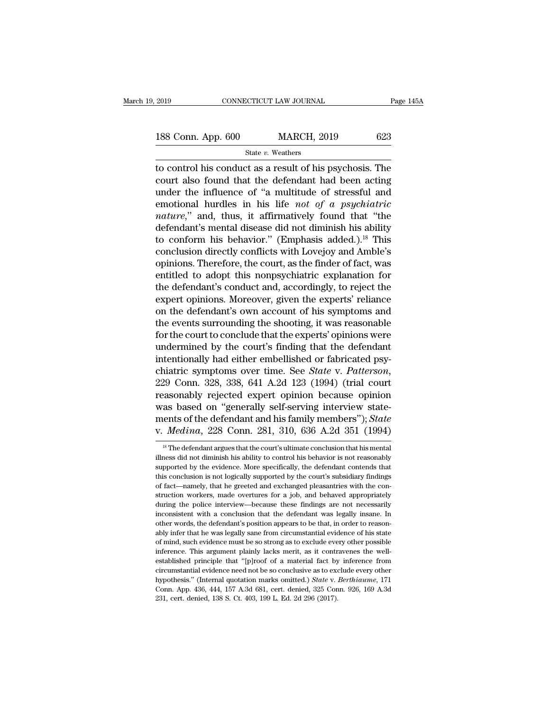2019 CONNECTICUT LAW JOURNAL Page 145A<br>188 Conn. App. 600 MARCH, 2019 623<br>State v. Weathers

State *v.* Weathers

The control his conduct as a result of his psychosis. The<br>
to control his conduct as a result of his psychosis. The<br>
to control his conduct as a result of his psychosis. The<br>
to control his conduct as a result of his psych 188 Conn. App. 600 MARCH, 2019 623<br>
State v. Weathers<br>
to control his conduct as a result of his psychosis. The<br>
court also found that the defendant had been acting<br>
under the influence of "a multitude of stressful and<br>
e 188 Conn. App. 600 MARCH, 2019 623<br>
State v. Weathers<br>
to control his conduct as a result of his psychosis. The<br>
court also found that the defendant had been acting<br>
under the influence of "a multitude of stressful and<br>
e 188 Conn. App.  $600$  MARCH,  $2019$   $623$ <br>
state *v*. Weathers<br>
to control his conduct as a result of his psychosis. The<br>
court also found that the defendant had been acting<br>
under the influence of "a multitude of stressfu State v. Weathers<br> **nature 11 and State v. Weathers**<br> **nature** also found that the defendant had been acting<br>
under the influence of "a multitude of stressful and<br>
emotional hurdles in his life *not of a psychiatric*<br> *nat* state v. weathers<br>to control his conduct as a result of his psychosis. The<br>court also found that the defendant had been acting<br>under the influence of "a multitude of stressful and<br>emotional hurdles in his life *not of a p* to control his conduct as a result of his psychosis. The<br>court also found that the defendant had been acting<br>under the influence of "a multitude of stressful and<br>emotional hurdles in his life *not of a psychiatric*<br>*natur* court also found that the defendant had been acting<br>under the influence of "a multitude of stressful and<br>emotional hurdles in his life *not of a psychiatric*<br>*nature*," and, thus, it affirmatively found that "the<br>defendan under the influence of "a multitude of stressful and<br>emotional hurdles in his life *not of a psychiatric*<br>*nature*," and, thus, it affirmatively found that "the<br>defendant's mental disease did not diminish his ability<br>to c emotional hurdles in his life *not of a psychiatric*<br>*nature*," and, thus, it affirmatively found that "the<br>defendant's mental disease did not diminish his ability<br>to conform his behavior." (Emphasis added.).<sup>18</sup> This<br>con nature," and, thus, it affirmatively found that "the<br>defendant's mental disease did not diminish his ability<br>to conform his behavior." (Emphasis added.).<sup>18</sup> This<br>conclusion directly conflicts with Lovejoy and Amble's<br>opin defendant's mental disease did not diminish his ability<br>to conform his behavior." (Emphasis added.).<sup>18</sup> This<br>conclusion directly conflicts with Lovejoy and Amble's<br>opinions. Therefore, the court, as the finder of fact, wa to conform his behavior." (Emphasis added.).<sup>18</sup> This<br>conclusion directly conflicts with Lovejoy and Amble's<br>opinions. Therefore, the court, as the finder of fact, was<br>entitled to adopt this nonpsychiatric explanation for conclusion directly conflicts with Lovejoy and Amble's<br>opinions. Therefore, the court, as the finder of fact, was<br>entitled to adopt this nonpsychiatric explanation for<br>the defendant's conduct and, accordingly, to reject th opinions. Therefore, the court, as the finder of fact, was<br>entitled to adopt this nonpsychiatric explanation for<br>the defendant's conduct and, accordingly, to reject the<br>expert opinions. Moreover, given the experts' relianc entitled to adopt this nonpsychiatric explanation for<br>the defendant's conduct and, accordingly, to reject the<br>expert opinions. Moreover, given the experts' reliance<br>on the defendant's own account of his symptoms and<br>the ev the defendant's conduct and, accordingly, to reject the expert opinions. Moreover, given the experts' reliance<br>on the defendant's own account of his symptoms and<br>the events surrounding the shooting, it was reasonable<br>for expert opinions. Moreover, given the experts' reliance<br>on the defendant's own account of his symptoms and<br>the events surrounding the shooting, it was reasonable<br>for the court to conclude that the experts' opinions were<br>und the events surrounding the shooting, it was reasonable<br>for the court to conclude that the experts' opinions were<br>undermined by the court's finding that the defendant<br>intentionally had either embellished or fabricated psy-<br> for the court to conclude that the experts' opinions were<br>undermined by the court's finding that the defendant<br>intentionally had either embellished or fabricated psy-<br>chiatric symptoms over time. See *State* v. Patterson, undermined by the court's finding that the defendant<br>intentionally had either embellished or fabricated psy-<br>chiatric symptoms over time. See *State* v. Patterson,<br>229 Conn. 328, 338, 641 A.2d 123 (1994) (trial court<br>reaso intentionally had either embellished or fabricated psy-<br>chiatric symptoms over time. See *State v. Patterson*,<br>229 Conn. 328, 338, 641 A.2d 123 (1994) (trial court<br>reasonably rejected expert opinion because opinion<br>was bas reasonably rejected expert opinion because opinion<br>was based on "generally self-serving interview state-<br>ments of the defendant and his family members"); *State*<br>v. *Medina*, 228 Conn. 281, 310, 636 A.2d 351 (1994)<br><sup>18</sup> T was based on "generally self-serving interview statements of the defendant and his family members"); *State* v. *Medina*, 228 Conn. 281, 310, 636 A.2d 351 (1994)<br><sup>18</sup> The defendant argues that the court's ultimate conclus

ments of the defendant and his family members"); State<br>v. Medina, 228 Conn. 281, 310, 636 A.2d 351 (1994)<br><sup>18</sup> The defendant argues that the court's ultimate conclusion that his mental<br>illness did not diminish his ability v. *Medina*, 228 Conn. 281, 310, 636 A.2d 351 (1994)<br>
<sup>18</sup> The defendant argues that the court's ultimate conclusion that his mental<br>
illness did not diminish his ability to control his behavior is not reasonably<br>
support illness did not diminish his ability to control his behavior is not reasonably supported by the evidence. More specifically, the defendant contends that this conclusion is not logically supported by the court's subsidiary <sup>18</sup> The defendant argues that the court's ultimate conclusion that his mental illness did not diminish his ability to control his behavior is not reasonably supported by the evidence. More specifically, the defendant con illness did not diminish his ability to control his behavior is not reasonably supported by the evidence. More specifically, the defendant contends that this conclusion is not logically supported by the court's subsidiary supported by the evidence. More specifically, the defendant contends that this conclusion is not logically supported by the court's subsidiary findings of fact—namely, that he greeted and exchanged pleasantries with the co other words, the defendant of the court's subsidiary findings of fact—namely, that he greeted and exchanged pleasantries with the construction workers, made overtures for a job, and behaved appropriately during the police of fact—namely, that he greeted and exchanged pleasantries with the construction workers, made overtures for a job, and behaved appropriately during the police interview—because these findings are not necessarily inconsist struction workers, made overtures for a job, and behaved appropriately during the police interview—because these findings are not necessarily inconsistent with a conclusion that the defendant was legally insane. In other w during the police interview—because these findings are not necessarily inconsistent with a conclusion that the defendant was legally insane. In other words, the defendant's position appears to be that, in order to reasonab almonsistent with a conclusion that the defendant was legally insane. In inconsistent with a conclusion that the defendant was legally insane. In other words, the defendant's position appears to be that, in order to reason other words, the defendant's position appears to be that, in order to reasonably infer that he was legally sane from circumstantial evidence of his state of mind, such evidence must be so strong as to exclude every other ably infer that he was legally sane from circumstantial evidence of his state of mind, such evidence must be so strong as to exclude every other possible inference. This argument plainly lacks merit, as it contravenes the ary mind, such evidence must be so strong as to exclude every other possible inference. This argument plainly lacks merit, as it contravenes the well-established principle that "[p]roof of a material fact by inference from inference. This argument plainly lacks merit, as it contravenes the well-established principle that "[p]roof of a material fact by inference from circumstantial evidence need not be so conclusive as to exclude every other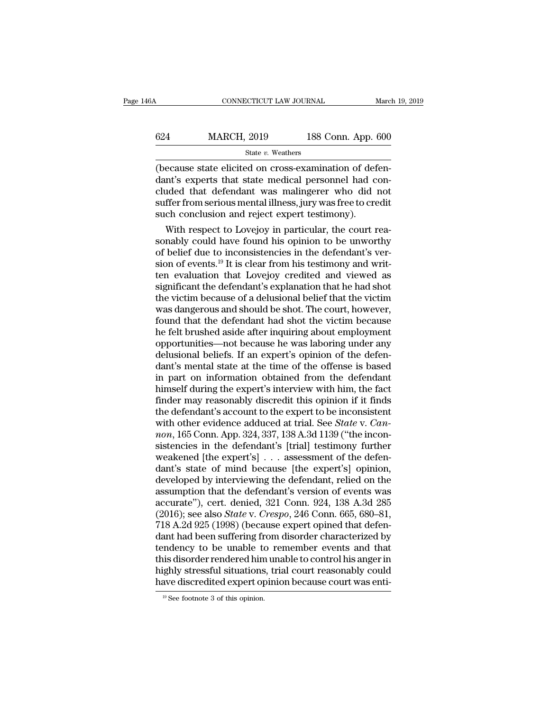| l6A | CONNECTICUT LAW JOURNAL |                    | March 19, 2019 |
|-----|-------------------------|--------------------|----------------|
|     |                         |                    |                |
| 624 | <b>MARCH, 2019</b>      | 188 Conn. App. 600 |                |
|     | State v. Weathers       |                    |                |

CONNECTICUT LAW JOURNAL March March (624 MARCH, 2019 188 Conn. App. 600<br>
State v. Weathers<br>
(because state elicited on cross-examination of defen-<br>
dant's experts that state medical personnel had concluded that defendant w  $\begin{tabular}{ll} \multicolumn{1}{l}{{\textbf{624}}} & \multicolumn{1}{l}{{\textbf{MARCH, 2019}}} & \multicolumn{1}{l}{\textbf{188 Conn. App. 600}}\\ & \multicolumn{1}{l}{\textbf{State $v$}. Weathers} \end{tabular} \vspace{5pt} \begin{tabular}{ll}{{\textbf{(because state elicited on cross-examination of defen-dant's experts that state medical personnel had concluded that defendant was malingerer who did not suffer from serious mental illness, it is to read it.} \end{tabular} \end{tabular}$ 624 MARCH, 2019 188 Conn. App. 600<br>
State v. Weathers<br>
(because state elicited on cross-examination of defendant's experts that state medical personnel had concluded that defendant was malingerer who did not suffer from s State v. Weathers<br>
State v. Weathers<br>
(because state elicited on cross-examination of defendant's experts that state medical personnel had concluded that defendant was malingerer who did not suffer from serious mental ill State v. Weathers<br>
(because state elicited on cross-examination of def<br>
dant's experts that state medical personnel had coluded that defendant was malingerer who did is<br>
suffer from serious mental illness, jury was free t Example 3. Modular, and also account of defen-<br>and that state in the medical personnel had con-<br>ded that defendant was malingerer who did not<br>ffer from serious mental illness, jury was free to credit<br>ch conclusion and reje (because state elicited on cross-examination of defendant's experts that state medical personnel had concluded that defendant was malingerer who did not suffer from serious mental illness, jury was free to credit such con

dant's experts that state medical personnel had concluded that defendant was malingerer who did not suffer from serious mental illness, jury was free to credit such conclusion and reject expert testimony). With respect to cluded that defendant was malingerer who did not<br>suffer from serious mental illness, jury was free to credit<br>such conclusion and reject expert testimony).<br>With respect to Lovejoy in particular, the court rea-<br>sonably coul suffer from serious mental illness, jury was free to credit<br>such conclusion and reject expert testimony).<br>With respect to Lovejoy in particular, the court rea-<br>sonably could have found his opinion to be unworthy<br>of belief such conclusion and reject expert testimony).<br>With respect to Lovejoy in particular, the court reasonably could have found his opinion to be unworthy<br>of belief due to inconsistencies in the defendant's ver-<br>sion of events. With respect to Lovejoy in particular, the court reasonably could have found his opinion to be unworthy<br>of belief due to inconsistencies in the defendant's ver-<br>sion of events.<sup>19</sup> It is clear from his testimony and writsonably could have found his opinion to be unworthy<br>of belief due to inconsistencies in the defendant's ver-<br>sion of events.<sup>19</sup> It is clear from his testimony and writ-<br>ten evaluation that Lovejoy credited and viewed as<br>s of belief due to inconsistencies in the defendant's version of events.<sup>19</sup> It is clear from his testimony and written evaluation that Lovejoy credited and viewed as significant the defendant's explanation that he had shot sion of events.<sup>19</sup> It is clear from his testimony and written evaluation that Lovejoy credited and viewed as<br>significant the defendant's explanation that he had shot<br>the victim because of a delusional belief that the vict ten evaluation that Lovejoy credited and viewed as<br>significant the defendant's explanation that he had shot<br>the victim because of a delusional belief that the victim<br>was dangerous and should be shot. The court, however,<br>fo significant the defendant's explanation that he had shot<br>the victim because of a delusional belief that the victim<br>was dangerous and should be shot. The court, however,<br>found that the defendant had shot the victim because<br> the victim because of a delusional belief that the victim<br>was dangerous and should be shot. The court, however,<br>found that the defendant had shot the victim because<br>he felt brushed aside after inquiring about employment<br>op was dangerous and should be shot. The court, however,<br>found that the defendant had shot the victim because<br>he felt brushed aside after inquiring about employment<br>opportunities—not because he was laboring under any<br>delusion found that the defendant had shot the victim because<br>he felt brushed aside after inquiring about employment<br>opportunities—not because he was laboring under any<br>delusional beliefs. If an expert's opinion of the defen-<br>dant' he felt brushed aside after inquiring about employment<br>opportunities—not because he was laboring under any<br>delusional beliefs. If an expert's opinion of the defen-<br>dant's mental state at the time of the offense is based<br>in opportunities—not because he was laboring under any<br>delusional beliefs. If an expert's opinion of the defen-<br>dant's mental state at the time of the offense is based<br>in part on information obtained from the defendant<br>himsel delusional beliefs. If an expert's opinion of the defendant's mental state at the time of the offense is based<br>in part on information obtained from the defendant<br>himself during the expert's interview with him, the fact<br>fin dant's mental state at the time of the offense is based<br>in part on information obtained from the defendant<br>himself during the expert's interview with him, the fact<br>finder may reasonably discredit this opinion if it finds<br>t in part on information obtained from the defendant<br>himself during the expert's interview with him, the fact<br>finder may reasonably discredit this opinion if it finds<br>the defendant's account to the expert to be inconsistent himself during the expert's interview with him, the fact finder may reasonably discredit this opinion if it finds the defendant's account to the expert to be inconsistent with other evidence adduced at trial. See *State* finder may reasonably discredit this opinion if it finds<br>the defendant's account to the expert to be inconsistent<br>with other evidence adduced at trial. See *State* v. *Can-*<br>non, 165 Conn. App. 324, 337, 138 A.3d 1139 ("t the defendant's account to the expert to be inconsistent<br>with other evidence adduced at trial. See *State* v. *Can-*<br>non, 165 Conn. App. 324, 337, 138 A.3d 1139 ("the incon-<br>sistencies in the defendant's [trial] testimony with other evidence adduced at trial. See *State* v. *Cannon*, 165 Conn. App. 324, 337, 138 A.3d 1139 ("the inconsistencies in the defendant's [trial] testimony further weakened [the expert's] . . . assessment of the defe non, 165 Conn. App. 324, 337, 138 A.3d 1139 ("the inconsistencies in the defendant's [trial] testimony further<br>weakened [the expert's]  $\ldots$  assessment of the defendant's state of mind because [the expert's] opinion,<br>deve sistencies in the defendant's [trial] testimony further<br>weakened [the expert's] . . . assessment of the defen-<br>dant's state of mind because [the expert's] opinion,<br>developed by interviewing the defendant, relied on the<br>ass weakened [the expert's] . . . assessment of the defendant's state of mind because [the expert's] opinion, developed by interviewing the defendant, relied on the assumption that the defendant's version of events was accurat dant's state of mind because [the expert's] opinion,<br>developed by interviewing the defendant, relied on the<br>assumption that the defendant's version of events was<br>accurate''), cert. denied, 321 Conn. 924, 138 A.3d 285<br>(2016 developed by interviewing the defendant, relied on the assumption that the defendant's version of events was accurate"), cert. denied, 321 Conn. 924, 138 A.3d 285 (2016); see also *State* v. *Crespo*, 246 Conn. 665, 680–81 assumption that the defendant's version of events was<br>accurate"), cert. denied, 321 Conn. 924, 138 A.3d 285<br>(2016); see also *State* v. *Crespo*, 246 Conn. 665, 680–81,<br>718 A.2d 925 (1998) (because expert opined that defen accurate"), cert. denied, 321 Conn. 924, 138 A.3d 285<br>(2016); see also *State* v. *Crespo*, 246 Conn. 665, 680–81,<br>718 A.2d 925 (1998) (because expert opined that defen-<br>dant had been suffering from disorder characterized (2016); see also *State* v. *Crespo*, 246 Conn. 665, 680–81, 718 A.2d 925 (1998) (because expert opined that defendant had been suffering from disorder characterized by tendency to be unable to remember events and that th tendency to be unable to remember events and that<br>this disorder rendered him unable to control his anger in<br>highly stressful situations, trial court reasonably could<br>have discredited expert opinion because court was enti-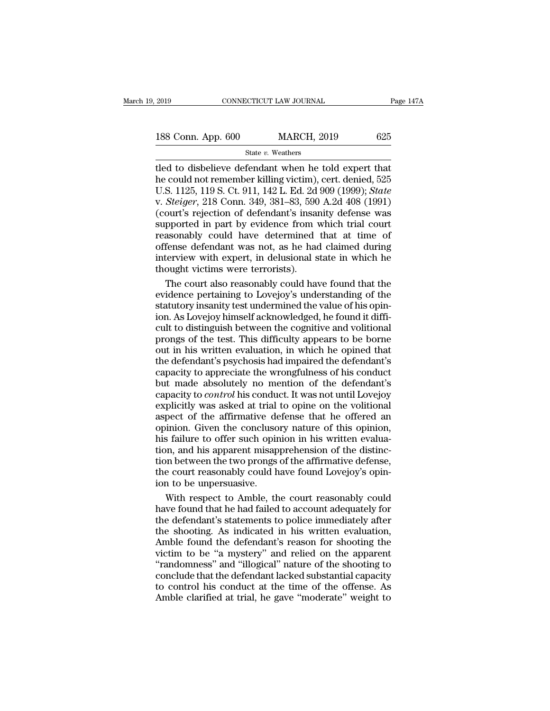| 2019               | CONNECTICUT LAW JOURNAL |     | Page 147A |
|--------------------|-------------------------|-----|-----------|
|                    |                         |     |           |
| 188 Conn. App. 600 | <b>MARCH, 2019</b>      | 625 |           |
|                    | State v. Weathers       |     |           |

### State *v.* Weathers

2019 CONNECTICUT LAW JOURNAL Page 147/2<br>
188 Conn. App. 600 MARCH, 2019 625<br>
State v. Weathers<br>
tled to disbelieve defendant when he told expert that<br>
the could not remember killing victim), cert. denied, 525<br>
11 S 1125 1 188 Conn. App. 600 MARCH, 2019 625<br>
State v. Weathers<br>
Hed to disbelieve defendant when he told expert that<br>
the could not remember killing victim), cert. denied, 525<br>
U.S. 1125, 119 S. Ct. 911, 142 L. Ed. 2d 909 (1999); 188 Conn. App. 600 MARCH, 2019 625<br>
State v. Weathers<br>
tled to disbelieve defendant when he told expert that<br>
he could not remember killing victim), cert. denied, 525<br>
U.S. 1125, 119 S. Ct. 911, 142 L. Ed. 2d 909 (1999); 188 Conn. App. 600 MARCH, 2019 625<br>
State v. Weathers<br>
tled to disbelieve defendant when he told expert that<br>
he could not remember killing victim), cert. denied, 525<br>
U.S. 1125, 119 S. Ct. 911, 142 L. Ed. 2d 909 (1999); State v. Weathers<br>
(details to disbelieve defendant when he told expert that<br>
he could not remember killing victim), cert. denied, 525<br>
U.S. 1125, 119 S. Ct. 911, 142 L. Ed. 2d 909 (1999); *State*<br>
v. *Steiger*, 218 Conn. State v. Weathers<br>tled to disbelieve defendant when he told expert that<br>he could not remember killing victim), cert. denied, 525<br>U.S. 1125, 119 S. Ct. 911, 142 L. Ed. 2d 909 (1999); *State*<br>v. *Steiger*, 218 Conn. 349, 381 tled to disbelieve defendant when he told expert that<br>he could not remember killing victim), cert. denied, 525<br>U.S. 1125, 119 S. Ct. 911, 142 L. Ed. 2d 909 (1999); *State*<br>v. *Steiger*, 218 Conn. 349, 381–83, 590 A.2d 408 he could not remember killing victim), cert. denied, 525<br>U.S. 1125, 119 S. Ct. 911, 142 L. Ed. 2d 909 (1999); *State*<br>v. *Steiger*, 218 Conn. 349, 381–83, 590 A.2d 408 (1991)<br>(court's rejection of defendant's insanity defe U.S. 1125, 119 S. Ct. 911, 142 L. Ed. 2d 909 (1999); State<br>v. Steiger, 218 Conn. 349, 381–83, 590 A.2d 408 (1991)<br>(court's rejection of defendant's insanity defense was<br>supported in part by evidence from which trial court<br> v. *Steiger*, 218 Conn. 349, 381–83, 590 (court's rejection of defendant's insat supported in part by evidence from versionally could have determined offense defendant was not, as he had interview with expert, in delusiona ourt's rejection of defendant's insanity defense was<br>pported in part by evidence from which trial court<br>asonably could have determined that at time of<br>fense defendant was not, as he had claimed during<br>terview with expert, supported in part by evidence from which trial court<br>reasonably could have determined that at time of<br>offense defendant was not, as he had claimed during<br>interview with expert, in delusional state in which he<br>thought victi

reasonably could have determined that at time of<br>offense defendant was not, as he had claimed during<br>interview with expert, in delusional state in which he<br>thought victims were terrorists).<br>The court also reasonably could offense defendant was not, as he had claimed during<br>interview with expert, in delusional state in which he<br>thought victims were terrorists).<br>The court also reasonably could have found that the<br>evidence pertaining to Lovejo interview with expert, in delusional state in which he<br>thought victims were terrorists).<br>The court also reasonably could have found that the<br>evidence pertaining to Lovejoy's understanding of the<br>statutory insanity test und thought victims were terrorists).<br>The court also reasonably could have found that the<br>evidence pertaining to Lovejoy's understanding of the<br>statutory insanity test undermined the value of his opin-<br>ion. As Lovejoy himself The court also reasonably could have found that the evidence pertaining to Lovejoy's understanding of the statutory insanity test undermined the value of his opinion. As Lovejoy himself acknowledged, he found it difficult The defendant's contract the defendant's evidence pertaining to Lovejoy's understanding of the statutory insanity test undermined the value of his opinion. As Lovejoy himself acknowledged, he found it difficult to distingu extractive percentry is a material of the value of his opin-<br>statutory insanity test undermined the value of his opin-<br>ion. As Lovejoy himself acknowledged, he found it diffi-<br>cult to distinguish between the cognitive and but made absolutely determined and the definition. As Lovejoy himself acknowledged, he found it difficult to distinguish between the cognitive and volitional prongs of the test. This difficulty appears to be borne out in h can Le Lovegoy Himbert weaked mediate in control and volitional<br>cult to distinguish between the cognitive and volitional<br>prongs of the test. This difficulty appears to be borne<br>out in his written evaluation, in which he op bear to such a start, and the volition prongs of the test. This difficulty appears to be borne<br>out in his written evaluation, in which he opined that<br>the defendant's psychosis had impaired the defendant's<br>capacity to appre prongs of the transmission, in which he opined that<br>the defendant's psychosis had impaired the defendant's<br>capacity to appreciate the wrongfulness of his conduct<br>but made absolutely no mention of the defendant's<br>capacity t one in the defendant's psychosis had impaired the defendant's<br>capacity to appreciate the wrongfulness of his conduct<br>but made absolutely no mention of the defendant's<br>capacity to *control* his conduct. It was not until Lov and any analysis and imputed are distincted<br>capacity to appreciate the wrongfulness of his conduct<br>but made absolutely no mention of the defendant's<br>capacity to *control* his conduct. It was not until Lovejoy<br>explicitly wa but made absolutely no mention of the defendant's<br>capacity to *control* his conduct. It was not until Lovejoy<br>explicitly was asked at trial to opine on the volitional<br>aspect of the affirmative defense that he offered an<br>op expacity to *control* his conduct. It was not until Lovejoy explicitly was asked at trial to opine on the volitional aspect of the affirmative defense that he offered an opinion. Given the conclusory nature of this opinion the court was asked at trial to opine on the volitional<br>aspect of the affirmative defense that he offered an<br>opinion. Given the conclusory nature of this opinion,<br>his failure to offer such opinion in his written evalua-<br>ti Exercise of the affirmative despinion. Given the concluso<br>his failure to offer such opir<br>tion, and his apparent misap<br>tion between the two prongs<br>the court reasonably could h<br>ion to be unpersuasive.<br>With respect to Amble, inion. Given the conclusory nature of this opinion,<br>is failure to offer such opinion in his written evalua-<br>in, and his apparent misapprehension of the distinc-<br>on between the two prongs of the affirmative defense,<br>e court his failure to offer such opinion in his written evaluation, and his apparent misapprehension of the distinction between the two prongs of the affirmative defense, the court reasonably could have found Lovejoy's opinion to

tion, and his apparent misapprehension of the distinction between the two prongs of the affirmative defense,<br>the court reasonably could have found Lovejoy's opin-<br>ion to be unpersuasive.<br>With respect to Amble, the court re tion between the two prongs of the affirmative defense,<br>the court reasonably could have found Lovejoy's opin-<br>ion to be unpersuasive.<br>With respect to Amble, the court reasonably could<br>have found that he had failed to accou the court reasonably could have found Lovejoy's opin-<br>ion to be unpersuasive.<br>With respect to Amble, the court reasonably could<br>have found that he had failed to account adequately for<br>the defendant's statements to police i ion to be unpersuasive.<br>With respect to Amble, the court reasonably could<br>have found that he had failed to account adequately for<br>the defendant's statements to police immediately after<br>the shooting. As indicated in his wri With respect to Amble, the court reasonably could<br>have found that he had failed to account adequately for<br>the defendant's statements to police immediately after<br>the shooting. As indicated in his written evaluation,<br>Amble f man respect to Finally, the column respectively for<br>have found that he had failed to account adequately for<br>the defendant's statements to police immediately after<br>the shooting. As indicated in his written evaluation,<br>Amble the defendant's statements to police immediately after<br>the shooting. As indicated in his written evaluation,<br>Amble found the defendant's reason for shooting the<br>victim to be "a mystery" and relied on the apparent<br>"randomne the shooting. As indicated in his written evaluation,<br>Amble found the defendant's reason for shooting the<br>victim to be "a mystery" and relied on the apparent<br>"randomness" and "illogical" nature of the shooting to<br>conclude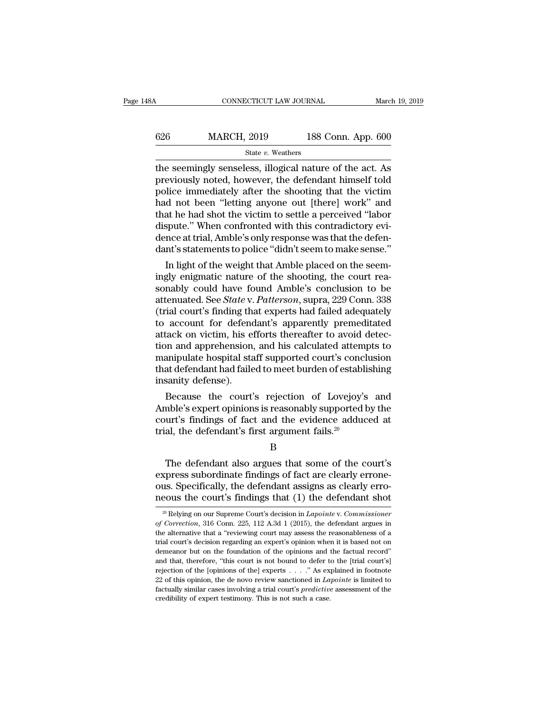## CONNECTICUT LAW JOURNAL March 19, 2019<br>626 MARCH, 2019 188 Conn. App. 600<br>State v. Weathers State *v.* Weathers

CONNECTICUT LAW JOURNAL March 19, 2019<br>  $\begin{array}{r}\n 626 \text{ } \text{MARCH, 2019} \\
 \text{State } v. \text{ Weather}\n \end{array}$ The seemingly senseless, illogical nature of the act. As<br>
previously noted, however, the defendant himself told<br>
police immediately  $\begin{array}{r} \text{626} & \text{MARCH, 2019} & \text{188 Conn. App. 600} \\ & \text{State } v. \text{ Weather} \end{array}$ <br>the seemingly senseless, illogical nature of the act. As<br>previously noted, however, the defendant himself told<br>police immediately after the shooting that th  $\frac{\text{626}}{\text{State } v. \text{ Weather}}$  weathers<br>the seemingly senseless, illogical nature of the act. As<br>previously noted, however, the defendant himself told<br>police immediately after the shooting that the victim<br>had not been "letting a  $\frac{\text{626}}{\text{State } v. \text{ Weather}}$ <br>  $\frac{\text{State } v. \text{ Weather}}{\text{the seemingly senseless, illogical nature of the act. As}}$ <br>
previously noted, however, the defendant himself told<br>
police immediately after the shooting that the victim<br>
had not been "letting anyone out [there] work" and<br> State v. Weathers<br>
The seemingly senseless, illogical nature of the act. As<br>
previously noted, however, the defendant himself told<br>
police immediately after the shooting that the victim<br>
had not been "letting anyone out [ state  $v$ . Weathers<br>the seemingly senseless, illogical nature of the act. As<br>previously noted, however, the defendant himself told<br>police immediately after the shooting that the victim<br>had not been "letting anyone out [th the seemingly senseless, illogical nature of the act. As<br>previously noted, however, the defendant himself told<br>police immediately after the shooting that the victim<br>had not been "letting anyone out [there] work" and<br>that h previously noted, however, the defendant himself told<br>police immediately after the shooting that the victim<br>had not been "letting anyone out [there] work" and<br>that he had shot the victim to settle a perceived "labor<br>disput In d not been "letting anyone out [there] work" and<br>at he had shot the victim to settle a perceived "labor<br>spute." When confronted with this contradictory evi-<br>nce at trial, Amble's only response was that the defen-<br>nt's s mad not been letting anyone out [there] work and<br>that he had shot the victim to settle a perceived "labor<br>dispute." When confronted with this contradictory evi-<br>dence at trial, Amble's only response was that the defen-<br>dan

that he had shot the victim to settle a perceived Tabor<br>dispute." When confronted with this contradictory evi-<br>dence at trial, Amble's only response was that the defen-<br>dant's statements to police "didn't seem to make sens dence at trial, Amble's only response was that the defen-<br>dant's statements to police "didn't seem to make sense."<br>In light of the weight that Amble placed on the seem-<br>ingly enigmatic nature of the shooting, the court rea dence at trial, Ambie s only response was that the defendant's statements to police "didn't seem to make sense."<br>In light of the weight that Amble placed on the seemingly enigmatic nature of the shooting, the court reasona dant's statements to police "didn't seem to make sense."<br>
In light of the weight that Amble placed on the seem-<br>
ingly enigmatic nature of the shooting, the court rea-<br>
sonably could have found Amble's conclusion to be<br>
a In light of the weight that Amble placed on the seem-<br>ingly enigmatic nature of the shooting, the court rea-<br>sonably could have found Amble's conclusion to be<br>attenuated. See *State* v. Patterson, supra, 229 Conn. 338<br>(tri ingly enigmatic nature of the shooting, the court reasonably could have found Amble's conclusion to be attenuated. See *State* v. *Patterson*, supra, 229 Conn. 338 (trial court's finding that experts had failed adequately sonably could have found Amble's conclusion to be<br>attenuated. See *State* v. *Patterson*, supra, 229 Conn. 338<br>(trial court's finding that experts had failed adequately<br>to account for defendant's apparently premeditated<br>at attenuated. See *State* v. *Patterson*, supra, 229 Conn. 338<br>(trial court's finding that experts had failed adequately<br>to account for defendant's apparently premeditated<br>attack on victim, his efforts thereafter to avoid de (trial court's finding the<br>to account for defend<br>attack on victim, his est<br>tion and apprehension,<br>manipulate hospital sta<br>that defendant had faile<br>insanity defense).<br>Because the court' account for defendants apparently premeditated<br>tack on victim, his efforts thereafter to avoid detec-<br>on and apprehension, and his calculated attempts to<br>anipulate hospital staff supported court's conclusion<br>at defendant h attack on victim, his eriorts thereafter to avoid detection and apprehension, and his calculated attempts to<br>manipulate hospital staff supported court's conclusion<br>that defendant had failed to meet burden of establishing<br>i

tion and apprenension, and his calculated attempts to<br>manipulate hospital staff supported court's conclusion<br>that defendant had failed to meet burden of establishing<br>insanity defense).<br>Because the court's rejection of Lov manipulate nospital start supported court's concl<br>that defendant had failed to meet burden of establi<br>insanity defense).<br>Because the court's rejection of Lovejoy's<br>Amble's expert opinions is reasonably supported l<br>court's Because the court's rejection of Lovejoy's and<br>mble's expert opinions is reasonably supported by the<br>urt's findings of fact and the evidence adduced at<br>al, the defendant's first argument fails.<sup>20</sup><br>B<br>The defendant also arg

B

Amble's expert opinions is reasonably supported by the<br>court's findings of fact and the evidence adduced at<br>trial, the defendant's first argument fails.<sup>20</sup><br>B<br>The defendant also argues that some of the court's<br>express sub Fourth and the evidence adduced at trial, the defendant's first argument fails.<sup>20</sup><br>B<br>The defendant also argues that some of the court's<br>express subordinate findings of fact are clearly errone-<br>ous. Specifically, the defen trial, the defendant's first argument fails.<sup>20</sup><br>B<br>The defendant also argues that some of the court's<br>express subordinate findings of fact are clearly errone-<br>ous. Specifically, the defendant assigns as clearly erro-<br>neou The defendant also argues that some of the court's<br>spress subordinate findings of fact are clearly errone-<br>us. Specifically, the defendant assigns as clearly erro-<br>eous the court's findings that (1) the defendant shot<br><sup>20</sup> express subordinate findings of fact are clearly errone-<br>ous. Specifically, the defendant assigns as clearly erro-<br>neous the court's findings that (1) the defendant shot<br><sup>20</sup> Relying on our Supreme Court's decision in *Lap* 

ous. Specifically, the defendant assigns as clearly erromeous the court's findings that (1) the defendant shot  $\frac{1}{\sqrt{2}}$  Relying on our Supreme Court's decision in *Lapointe* v. *Commissioner* of *Correction*, 316 Conn trial court's decision in *Lapointe v. Commissioner*<br>
<sup>20</sup> Relying on our Supreme Court's decision in *Lapointe v. Commissioner* of *Correction*, 316 Comn. 225, 112 A.3d 1 (2015), the defendant argues in the alternative t dependent on the court is infidently that (1) the determinant shot as  $\frac{1}{2}$  Relying on our Supreme Court's decision in *Lapointe* v. *Commissioner* of *Correction*, 316 Conn. 225, 112 A.3d 1 (2015), the defendant argu <sup>20</sup> Relying on our Supreme Court's decision in *Lapointe* v. *Commissioner* of *Correction*, 316 Conn. 225, 112 A.3d 1 (2015), the defendant argues in the alternative that a "reviewing court may assess the reasonableness *Correction*, 316 Conn. 225, 112 A.3d 1 (2015), the defendant argues in the alternative that a "reviewing court may assess the reasonableness of a trial court's decision regarding an expert's opinion when it is based not <sup>2</sup> of the alternative that a "reviewing court may assess the reasonableness of a trial court's decision regarding an expert's opinion when it is based not on demeanor but on the foundation of the opinions and the factual factually similar cases involving an expert's opinion when it is based not on<br>demeanor but on the foundation of the opinions and the factual record"<br>and that, therefore, "this court is not bound to defer to the [trial cour trial court's decision regarding an expert's opinion when it is based not on demeanor but on the foundation of the opinions and the factual record" and that, therefore, "this court is not bound to defer to the [trial cour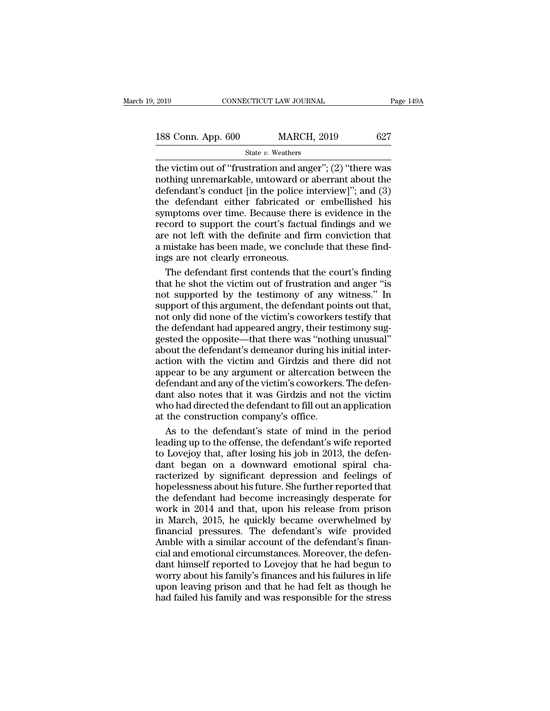| 2019               | CONNECTICUT LAW JOURNAL | Page 149A |
|--------------------|-------------------------|-----------|
| 188 Conn. App. 600 | <b>MARCH, 2019</b>      | 627       |
|                    | State v. Weathers       |           |

2019 CONNECTICUT LAW JOURNAL Page 149A<br>
188 Conn. App. 600 MARCH, 2019 627<br>
State v. Weathers<br>
the victim out of "frustration and anger"; (2) "there was<br>
nothing unremarkable, untoward or aberrant about the<br>
defendant's c 188 Conn. App. 600 MARCH, 2019 627<br>
State v. Weathers<br>
the victim out of "frustration and anger"; (2) "there was<br>
nothing unremarkable, untoward or aberrant about the<br>
defendant's conduct [in the police interview]"; and ( 188 Conn. App. 600 MARCH, 2019 627<br>
State v. Weathers<br>
the victim out of "frustration and anger"; (2) "there was<br>
nothing unremarkable, untoward or aberrant about the<br>
defendant's conduct [in the police interview]"; and ( 188 Conn. App. 600 MARCH, 2019 627<br>
State v. Weathers<br>
the victim out of "frustration and anger"; (2) "there was<br>
nothing unremarkable, untoward or aberrant about the<br>
defendant's conduct [in the police interview]"; and ( state v. Weathers<br>
state v. Weathers<br>
the victim out of "frustration and anger"; (2) "there was<br>
nothing unremarkable, untoward or aberrant about the<br>
defendant's conduct [in the police interview]"; and (3)<br>
the defendant State v. Weathers<br>the victim out of "frustration and anger"; (2) "there was<br>nothing unremarkable, untoward or aberrant about the<br>defendant's conduct [in the police interview]"; and (3)<br>the defendant either fabricated or e the victim out of "frustration and anger"; (2) "there was<br>nothing unremarkable, untoward or aberrant about the<br>defendant's conduct [in the police interview]"; and (3)<br>the defendant either fabricated or embellished his<br>symp nothing unremarkable, untoward or aberrant about the defendant's conduct [in the police interview]"; and (3) the defendant either fabricated or embellished his symptoms over time. Because there is evidence in the record to defendant's conduct [in the police in<br>the defendant either fabricated of<br>symptoms over time. Because there<br>record to support the court's factuare not left with the definite and fin<br>a mistake has been made, we conclu<br>ings a e defendant either fabricated or embellished his<br>mptoms over time. Because there is evidence in the<br>cord to support the court's factual findings and we<br>e not left with the definite and firm conviction that<br>mistake has been symptoms over time. Because there is evidence in the record to support the court's factual findings and we are not left with the definite and firm conviction that a mistake has been made, we conclude that these findings ar

record to support the court's factual findings and we<br>are not left with the definite and firm conviction that<br>a mistake has been made, we conclude that these find-<br>ings are not clearly erroneous.<br>The defendant first conten are not left with the definite and firm conviction that<br>a mistake has been made, we conclude that these find-<br>ings are not clearly erroneous.<br>The defendant first contends that the court's finding<br>that he shot the victim ou a mistake has been made, we conclude that these find-<br>ings are not clearly erroneous.<br>The defendant first contends that the court's finding<br>that he shot the victim out of frustration and anger "is<br>not supported by the test ings are not clearly erroneous.<br>The defendant first contends that the court's finding<br>that he shot the victim out of frustration and anger "is<br>not supported by the testimony of any witness." In<br>support of this argument, th The defendant first contends that the court's finding<br>that he shot the victim out of frustration and anger "is<br>not supported by the testimony of any witness." In<br>support of this argument, the defendant points out that,<br>not First definition and anger "is<br>that he shot the victim out of frustration and anger "is<br>not supported by the testimony of any witness." In<br>support of this argument, the defendant points out that,<br>not only did none of the v and its street divided by the testimony of any witness." In support of this argument, the defendant points out that, not only did none of the victim's coworkers testify that the defendant had appeared angry, their testimon For experience by the existency of any manusum support of this argument, the defendant points out that, not only did none of the victim's coworkers testify that the defendant had appeared angry, their testimony suggested t or and any of the victim's coworkers testify that<br>the defendant had appeared angry, their testimony suggested the opposite—that there was "nothing unusual"<br>about the defendant's demeanor during his initial inter-<br>action wi The defendant had appeared angry, their testimony suggested the opposite—that there was "nothing unusual"<br>about the defendant's demeanor during his initial inter-<br>action with the victim and Girdzis and there did not<br>appear and the directed the direct and directed the defendant's demeanor during inisiant interaction with the victim and Girdzis and there did not appear to be any argument or altercation between the defendant and any of the vict about the defendant's demeanor during his<br>action with the victim and Girdzis and the<br>appear to be any argument or altercation is<br>defendant and any of the victim's coworkers<br>dant also notes that it was Girdzis and no<br>who ha tion with the victim and Girdzis and there did not<br>pear to be any argument or altercation between the<br>fendant and any of the victim's coworkers. The defen-<br>nt also notes that it was Girdzis and not the victim<br>no had direct appear to be any argument or altercation between the<br>defendant and any of the victim's coworkers. The defen-<br>dant also notes that it was Girdzis and not the victim<br>who had directed the defendant to fill out an application<br>

defendant and any of the victim's coworkers. The defendant also notes that it was Girdzis and not the victim<br>who had directed the defendant to fill out an application<br>at the construction company's office.<br>As to the defenda dant also notes that it was Girdzis and not the victim<br>who had directed the defendant to fill out an application<br>at the construction company's office.<br>As to the defendant's state of mind in the period<br>leading up to the off who had directed the defendant to fill out an application<br>at the construction company's office.<br>As to the defendant's state of mind in the period<br>leading up to the offense, the defendant's wife reported<br>to Lovejoy that, af at the construction company's office.<br>As to the defendant's state of mind in the period<br>leading up to the offense, the defendant's wife reported<br>to Lovejoy that, after losing his job in 2013, the defen-<br>dant began on a dow As to the defendant's state of mind in the period<br>leading up to the offense, the defendant's wife reported<br>to Lovejoy that, after losing his job in 2013, the defen-<br>dant began on a downward emotional spiral cha-<br>racterized Frames and the offense, the defendant's wife reported<br>to Lovejoy that, after losing his job in 2013, the defen-<br>dant began on a downward emotional spiral cha-<br>racterized by significant depression and feelings of<br>hopelessne Fouring applies and structure, and is job in 2013, the defendant began on a downward emotional spiral characterized by significant depression and feelings of hopelessness about his future. She further reported that the def Financial pressures. The defendant of the defendant of the defendant had become increasingly desperate for work in 2014 and that, upon his release from prison in March, 2015, he quickly became overwhelmed by financial pres France with a similar account of the defendant of the defendant had become increasingly desperate for work in 2014 and that, upon his release from prison in March, 2015, he quickly became overwhelmed by financial pressures colorelessness about his future. She further reported that<br>the defendant had become increasingly desperate for<br>work in 2014 and that, upon his release from prison<br>in March, 2015, he quickly became overwhelmed by<br>financial reported to a back and the correlation of the defendant had become increasingly desperate for work in 2014 and that, upon his release from prison in March, 2015, he quickly became overwhelmed by financial pressures. The de work in 2014 and that, upon his release from prison<br>in March, 2015, he quickly became overwhelmed by<br>financial pressures. The defendant's wife provided<br>Amble with a similar account of the defendant's finan-<br>cial and emotio where the state of the principle prior in March, 2015, he quickly became overwhelmed by financial pressures. The defendant's wife provided Amble with a similar account of the defendant's financial and emotional circumstanc Financial pressures. The defendant's wife provided<br>Amble with a similar account of the defendant's finan-<br>cial and emotional circumstances. Moreover, the defen-<br>dant himself reported to Lovejoy that he had begun to<br>worry a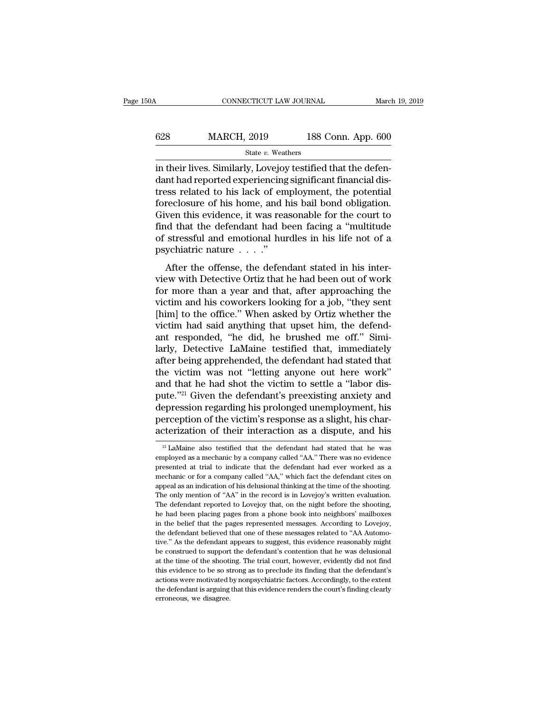## CONNECTICUT LAW JOURNAL March 19, 2019<br>628 MARCH, 2019 188 Conn. App. 600<br>State v. Weathers State *v.* Weathers

CONNECTICUT LAW JOURNAL March March (1998)<br>
State v. Weathers<br>
in their lives. Similarly, Lovejoy testified that the defen-<br>
dant had reported experiencing significant financial districts related to his lack of employment,  $\begin{tabular}{ll} \multicolumn{1}{l}{{\textbf{628}}}&\multicolumn{1}{l}{\textbf{MARCH, 2019}}&\multicolumn{1}{l}{\textbf{188 Conn. App. 600}}\\ &\multicolumn{1}{l}{\textbf{State $v$}. Weathers} \end{tabular} \begin{tabular}{ll} \multicolumn{1}{l}{\textbf{State $v$}. Weathers} \end{tabular} \end{tabular} \begin{tabular}{ll} \multicolumn{1}{l}{\textbf{State $v$}. Weistified that the defendant had reported experiencing significant financial distances related to his lack of employment, the potential foroclosura of his home, and his his high bond obligation.} \end{tabular}$  $\begin{tabular}{ll} \multicolumn{1}{l}{{\textbf{628}}}&\multicolumn{1}{l}{\textbf{MARCH, 2019}}&\multicolumn{1}{l}{\textbf{188 Conn. App. 600}}\\ \hline & \multicolumn{1}{l}{\textbf{State $v$}. Weather} \\ \hline \textbf{in their lives. Similarly, Lovejoy testified that the defen-  
dant had reported experiencing significant financial dis-  
trees related to his lack of employment, the potential  
forcelosure of his home, and his bail bond obligation. \\ \textbf{Given this evidence, it was reasonable for the court to} \end{tabular}$  $f(x) = \frac{628}{x}$  MARCH, 2019 188 Conn. App. 600<br>  $f(x) = \frac{600}{x}$ <br>
in their lives. Similarly, Lovejoy testified that the defendant had reported experiencing significant financial distress related to his lack of employment, State v. Weathers<br>State v. Weathers<br>in their lives. Similarly, Lovejoy testified that the defen-<br>dant had reported experiencing significant financial dis-<br>tress related to his lack of employment, the potential<br>foreclosure state  $v$ . Weathers<br>in their lives. Similarly, Lovejoy testified that the defen-<br>dant had reported experiencing significant financial dis-<br>tress related to his lack of employment, the potential<br>foreclosure of his home, an in their lives. Similarly, Lovejoy testified that the defendant had reported experiencing significant financial distress related to his lack of employment, the potential foreclosure of his home, and his bail bond obligati dant had reported experiencing<br>tress related to his lack of em<br>foreclosure of his home, and l<br>Given this evidence, it was rea<br>find that the defendant had b<br>of stressful and emotional hui<br>psychiatric nature . . . ."<br>After t Figure 1.1 The offense, and his bail bond obligation.<br>
The overthe of this home, and his bail bond obligation.<br>
Ven this evidence, it was reasonable for the court to<br>
d that the defendant had been facing a "multitude<br>
str Given this evidence, it was reasonable for the court to<br>find that the defendant had been facing a "multitude<br>of stressful and emotional hurdles in his life not of a<br>psychiatric nature  $\dots$ ."<br>After the offense, the defenda

find that the defendant had been facing a "multitude<br>of stressful and emotional hurdles in his life not of a<br>psychiatric nature  $\cdots$ ".<br>After the offense, the defendant stated in his inter-<br>view with Detective Ortiz that ind that the detendant had been facing a middled of stressful and emotional hurdles in his life not of a psychiatric nature  $\ldots$ ."<br>After the offense, the defendant stated in his inter-<br>view with Detective Ortiz that he h psychiatric nature  $\dots$ ."<br>After the offense, the defendant stated in his inter-<br>view with Detective Ortiz that he had been out of work<br>for more than a year and that, after approaching the<br>victim and his coworkers looking After the offense, the defendant stated in his inter-<br>view with Detective Ortiz that he had been out of work<br>for more than a year and that, after approaching the<br>victim and his coworkers looking for a job, "they sent<br>[him After the offense, the defendant stated in his inter-<br>view with Detective Ortiz that he had been out of work<br>for more than a year and that, after approaching the<br>victim and his coworkers looking for a job, "they sent<br>[him] view with Detective Ortiz that he had been out of work<br>for more than a year and that, after approaching the<br>victim and his coworkers looking for a job, "they sent<br>[him] to the office." When asked by Ortiz whether the<br>victi for more than a year and that, after approaching the victim and his coworkers looking for a job, "they sent [him] to the office." When asked by Ortiz whether the victim had said anything that upset him, the defendant respo victim and his coworkers looking for a job, "they sent<br>[him] to the office." When asked by Ortiz whether the<br>victim had said anything that upset him, the defend-<br>ant responded, "he did, he brushed me off." Simi-<br>larly, Det [him] to the office." When asked by Ortiz whether the victim had said anything that upset him, the defend-<br>ant responded, "he did, he brushed me off." Similarly, Detective LaMaine testified that, immediately<br>after being ap victim had said anything that upset him, the defend-<br>ant responded, "he did, he brushed me off." Simi-<br>larly, Detective LaMaine testified that, immediately<br>after being apprehended, the defendant had stated that<br>the victim ant responded, "he did, he brushed me off." Similarly, Detective LaMaine testified that, immediately<br>after being apprehended, the defendant had stated that<br>the victim was not "letting anyone out here work"<br>and that he had larly, Detective LaMaine testified that, immediately<br>after being apprehended, the defendant had stated that<br>the victim was not "letting anyone out here work"<br>and that he had shot the victim to settle a "labor dis-<br>pute."<sup>2</sup> after being apprehended, the defendant had stated that<br>the victim was not "letting anyone out here work"<br>and that he had shot the victim to settle a "labor dis-<br>pute."<sup>21</sup> Given the defendant's preexisting anxiety and<br>dep depression regarding his prolonged unemployment, his<br>perception of the victim's response as a slight, his char-<br>acterization of their interaction as a dispute, and his<br> $\frac{21 \text{ LAMaine}}{21 \text{ LAMaine}}$  also testified that the defe depression regarding his prolonged unemployment, his<br>perception of the victim's response as a slight, his char-<br>acterization of their interaction as a dispute, and his<br> $\frac{21}{4}$  LaMaine also testified that the defendant

perception of the victim's response as a slight, his characterization of their interaction as a dispute, and his  $\frac{21}{21}$ LaMaine also testified that the defendant had stated that he was employed as a mechanic by a comp acterization of their interaction as a dispute, and his  $\frac{1}{2}$  and  $\frac{1}{2}$  and  $\frac{1}{2}$  and  $\frac{1}{2}$  and  $\frac{1}{2}$  and  $\frac{1}{2}$  and  $\frac{1}{2}$  and  $\frac{1}{2}$  and  $\frac{1}{2}$  as a mechanic by a company called "AA." The acterization of their interaction as a dispute, and its<br>
<sup>21</sup> LaMaine also testified that the defendant had stated that he was<br>
employed as a mechanic by a company called "AA." There was no evidence<br>
presented at trial to <sup>21</sup> LaMaine also testified that the defendant had stated that he was employed as a mechanic by a company called "AA." There was no evidence presented at trial to indicate that the defendant had ever worked as a mechanic employed as a mechanic by a company called "AA." There was no evidence<br>presented at trial to indicate that the defendant had ever worked as a<br>mechanic or for a company called "AA," which fact the defendant cites on<br>appeal enverse a trial to indicate that the defendant had ever worked as a mechanic or for a company called "AA," which fact the defendant cites on appeal as an indication of his delusional thinking at the time of the shooting. T mechanic or for a company called "AA," which fact the defendant cites on appeal as an indication of his delusional thinking at the time of the shooting. The only mention of "AA" in the record is in Lovejoy's written evalua appeal as an indication of his delusional thinking at the time of the shooting.<br>The only mention of "AA" in the record is in Lovejoy's written evaluation.<br>The defendant reported to Lovejoy that, on the night before the sho The only mention of "AA" in the record is in Lovejoy's written evaluation.<br>The defendant reported to Lovejoy that, on the night before the shooting,<br>he had been placing pages from a phone book into neighbors' mailboxes<br>in The defendant reported to Lovejoy that, on the night before the shooting, the had been placing pages from a phone book into neighbors' mailboxes in the belief that the pages represented messages. According to Lovejoy, the The had been placing pages from a phone book into neighbors' mailboxes<br>in the belief that the pages represented messages. According to Lovejoy,<br>the defendant believed that one of these messages related to "AA Automo-<br>tive. In the belief that the pages represented messages. According to Lovejoy, the defendant believed that one of these messages related to "AA Automotive." As the defendant appears to suggest, this evidence reasonably might be the defendant believed that one of these messages related to "AA Automotive." As the defendant appears to suggest, this evidence reasonably might be construed to support the defendant's contention that he was delusional at tive." As the defendant appears to suggest, this evidence reasonably might<br>be construed to support the defendant's contention that he was delusional<br>at the time of the shooting. The trial court, however, evidently did not be construed to support the defendant's contention that he was delusional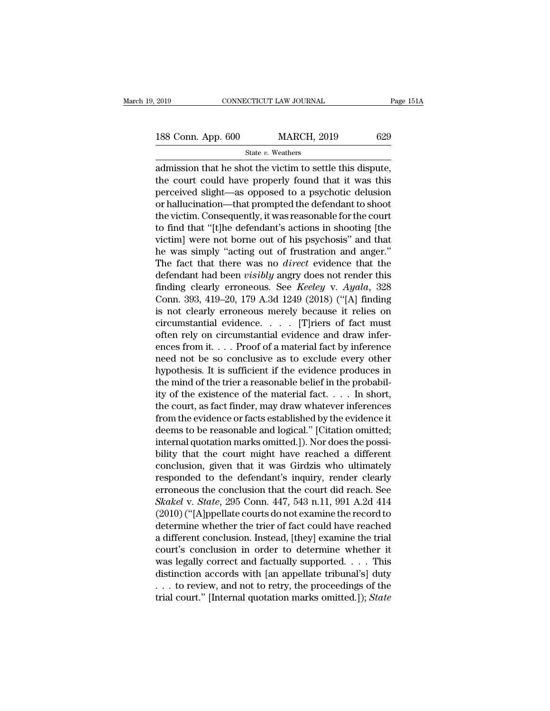2019 CONNECTICUT LAW JOURNAL Page 151A<br>188 Conn. App. 600 MARCH, 2019 629<br>State v. Weathers

State *v.* Weathers

2019 CONNECTICUT LAW JOURNAL Page 15<br>
188 Conn. App. 600 MARCH, 2019 629<br>  $\frac{\text{State } v. \text{ Weather}}{\text{admission that he shot the victim to settle this dispute,}}$ the court could have properly found that it was this 188 Conn. App.  $600$  MARCH,  $2019$   $629$ <br>  $\frac{844 \text{ ft} \cdot v \cdot \text{Weather}}{2 \text{ d}m}$ <br>
admission that he shot the victim to settle this dispute,<br>
the court could have properly found that it was this<br>
perceived slight—as opposed to 188 Conn. App. 600 MARCH, 2019 629<br>
State v. Weathers<br>
admission that he shot the victim to settle this dispute,<br>
the court could have properly found that it was this<br>
perceived slight—as opposed to a psychotic delusion<br> 188 Conn. App. 600 MARCH, 2019 629<br>
State v. Weathers<br>
admission that he shot the victim to settle this dispute,<br>
the court could have properly found that it was this<br>
perceived slight—as opposed to a psychotic delusion<br> State v. Weathers<br>
admission that he shot the victim to settle this dispute,<br>
the court could have properly found that it was this<br>
perceived slight—as opposed to a psychotic delusion<br>
or hallucination—that prompted the d state  $v$ . weathers<br>admission that he shot the victim to settle this dispute,<br>the court could have properly found that it was this<br>perceived slight—as opposed to a psychotic delusion<br>or hallucination—that prompted the def admission that he shot the victim to settle this dispute,<br>the court could have properly found that it was this<br>perceived slight—as opposed to a psychotic delusion<br>or hallucination—that prompted the defendant to shoot<br>the v the court could have properly found that it was this<br>perceived slight—as opposed to a psychotic delusion<br>or hallucination—that prompted the defendant to shoot<br>the victim. Consequently, it was reasonable for the court<br>to fi perceived slight—as opposed to a psychotic delusion<br>or hallucination—that prompted the defendant to shoot<br>the victim. Consequently, it was reasonable for the court<br>to find that "[t]he defendant's actions in shooting [the<br>v or hallucination—that prompted the defendant to shoot<br>the victim. Consequently, it was reasonable for the court<br>to find that "[t]he defendant's actions in shooting [the<br>victim] were not borne out of his psychosis" and that the victim. Consequently, it was reasonable for the court<br>to find that "[t]he defendant's actions in shooting [the<br>victim] were not borne out of his psychosis" and that<br>he was simply "acting out of frustration and anger."<br> to find that "[t]he defendant's actions in shooting [the<br>victim] were not borne out of his psychosis" and that<br>he was simply "acting out of frustration and anger."<br>The fact that there was no *direct* evidence that the<br>def victim] were not borne out of his psychosis" and that<br>he was simply "acting out of frustration and anger."<br>The fact that there was no *direct* evidence that the<br>defendant had been *visibly* angry does not render this<br>find he was simply "acting out of frustration and anger."<br>The fact that there was no *direct* evidence that the<br>defendant had been *visibly* angry does not render this<br>finding clearly erroneous. See *Keeley* v. *Ayala*, 328<br>Co The fact that there was no *direct* evidence that the<br>defendant had been *visibly* angry does not render this<br>finding clearly erroneous. See *Keeley* v. *Ayala*, 328<br>Conn. 393, 419–20, 179 A.3d 1249 (2018) ("[A] finding<br>i defendant had been *visibly* angry does not render this<br>finding clearly erroneous. See *Keeley v. Ayala*, 328<br>Conn. 393, 419–20, 179 A.3d 1249 (2018) ("[A] finding<br>is not clearly erroneous merely because it relies on<br>circu finding clearly erroneous. See *Keeley v. Ayala*, 328<br>Conn. 393, 419–20, 179 A.3d 1249 (2018) ("[A] finding<br>is not clearly erroneous merely because it relies on<br>circumstantial evidence.... [T]riers of fact must<br>often rely Conn. 393, 419–20, 179 A.3d 1249 (2018) ("[A] finding<br>is not clearly erroneous merely because it relies on<br>circumstantial evidence.... [T]riers of fact must<br>often rely on circumstantial evidence and draw infer-<br>ences from is not clearly erroneous merely because it relies on circumstantial evidence.  $\ldots$  [T]riers of fact must often rely on circumstantial evidence and draw inferences from it.  $\ldots$  Proof of a material fact by inference need circumstantial evidence. . . . . [T]riers of fact must<br>often rely on circumstantial evidence and draw infer-<br>ences from it. . . . Proof of a material fact by inference<br>need not be so conclusive as to exclude every other<br>h often rely on circumstantial evidence and draw infer-<br>ences from it. . . . Proof of a material fact by inference<br>need not be so conclusive as to exclude every other<br>hypothesis. It is sufficient if the evidence produces in ences from it. . . . Proof of a material fact by inference<br>need not be so conclusive as to exclude every other<br>hypothesis. It is sufficient if the evidence produces in<br>the mind of the trier a reasonable belief in the prob need not be so conclusive as to exclude every other<br>hypothesis. It is sufficient if the evidence produces in<br>the mind of the trier a reasonable belief in the probabil-<br>ity of the existence of the material fact. . . . . In hypothesis. It is sufficient if the evidence produces in<br>the mind of the trier a reasonable belief in the probabil-<br>ity of the existence of the material fact.  $\dots$  In short,<br>the court, as fact finder, may draw whatever in the mind of the trier a reasonable belief in the probability of the existence of the material fact.  $\dots$  In short, the court, as fact finder, may draw whatever inferences from the evidence or facts established by the evid ity of the existence of the material fact.  $\dots$  In short,<br>the court, as fact finder, may draw whatever inferences<br>from the evidence or facts established by the evidence it<br>deems to be reasonable and logical." [Citation om the court, as fact finder, may draw whatever inferences<br>from the evidence or facts established by the evidence it<br>deems to be reasonable and logical." [Citation omitted;<br>internal quotation marks omitted.]). Nor does the p from the evidence or facts established by the evidence it<br>deems to be reasonable and logical." [Citation omitted;<br>internal quotation marks omitted.]). Nor does the possi-<br>bility that the court might have reached a differe deems to be reasonable and logical." [Citation omitted;<br>internal quotation marks omitted.]). Nor does the possi-<br>bility that the court might have reached a different<br>conclusion, given that it was Girdzis who ultimately<br>res internal quotation marks omitted.]). Nor does the possi-<br>bility that the court might have reached a different<br>conclusion, given that it was Girdzis who ultimately<br>responded to the defendant's inquiry, render clearly<br>errone bility that the court might have reached a different<br>conclusion, given that it was Girdzis who ultimately<br>responded to the defendant's inquiry, render clearly<br>erroneous the conclusion that the court did reach. See<br>Skakel v conclusion, given that it was Girdzis who ultimately<br>responded to the defendant's inquiry, render clearly<br>erroneous the conclusion that the court did reach. See<br>Skakel v. State, 295 Conn. 447, 543 n.11, 991 A.2d 414<br>(2010) responded to the defendant's inquiry, render clearly<br>erroneous the conclusion that the court did reach. See<br>Skakel v. State, 295 Conn. 447, 543 n.11, 991 A.2d 414<br>(2010) ("[A]ppellate courts do not examine the record to<br>de erroneous the conclusion that the court did reach. See<br>Skakel v. State, 295 Conn. 447, 543 n.11, 991 A.2d 414<br>(2010) ("[A]ppellate courts do not examine the record to<br>determine whether the trier of fact could have reached Skakel v. State, 295 Conn. 447, 543 n.11, 991 A.2d 414<br>(2010) ("[A]ppellate courts do not examine the record to<br>determine whether the trier of fact could have reached<br>a different conclusion. Instead, [they] examine the tr (2010) ("[A]ppellate courts do not examine the record to<br>determine whether the trier of fact could have reached<br>a different conclusion. Instead, [they] examine the trial<br>court's conclusion in order to determine whether it determine whether the trier of fact could have reached<br>a different conclusion. Instead, [they] examine the trial<br>court's conclusion in order to determine whether it<br>was legally correct and factually supported. . . . This<br>d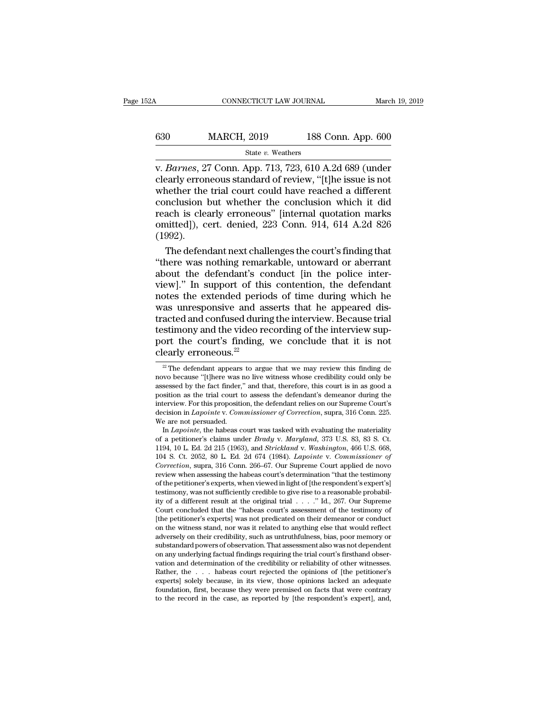## CONNECTICUT LAW JOURNAL March 19, 2019<br>630 MARCH, 2019 188 Conn. App. 600<br>5tate v. Weathers State *v.* Weathers

CONNECTICUT LAW JOURNAL March 19, 2019<br> **Barnes**, 27 Conn. App. 713, 723, 610 A.2d 689 (under<br>
clearly erroneous standard of review, "[t]he issue is not<br>
whether the trial court could have reached a different 630 MARCH, 2019 188 Conn. App. 600<br>
State v. Weathers<br>
v. *Barnes*, 27 Conn. App. 713, 723, 610 A.2d 689 (under<br>
clearly erroneous standard of review, "[t]he issue is not<br>
whether the trial court could have reached a diff 630 MARCH, 2019 188 Conn. App. 600<br>
State v. Weathers<br>
v. Barnes, 27 Conn. App. 713, 723, 610 A.2d 689 (under<br>
clearly erroneous standard of review, "[t]he issue is not<br>
whether the trial court could have reached a differ 630 MARCH, 2019 188 Conn. App. 600<br>
State v. Weathers<br>
v. *Barnes*, 27 Conn. App. 713, 723, 610 A.2d 689 (under<br>
clearly erroneous standard of review, "[t]he issue is not<br>
whether the trial court could have reached a diff State v. Weathers<br>
v. Barnes, 27 Conn. App. 713, 723, 610 A.2d 689 (under<br>
clearly erroneous standard of review, "[t]he issue is not<br>
whether the trial court could have reached a different<br>
conclusion but whether the conc State v. Weathers<br>
v. *Barnes*, 27 Conn. App. 713, 723, 610 A.2d 689 (under<br>
clearly erroneous standard of review, "[t]he issue is not<br>
whether the trial court could have reached a different<br>
conclusion but whether the co (1992). early erroneous standard of review, "[t]he issue is not<br>nether the trial court could have reached a different<br>nclusion but whether the conclusion which it did<br>ach is clearly erroneous" [internal quotation marks<br>nitted]), c whether the trial court could have reached a different<br>
conclusion but whether the conclusion which it did<br>
reach is clearly erroneous" [internal quotation marks<br>
omitted]), cert. denied, 223 Conn. 914, 614 A.2d 826<br>
(1992

conclusion but whether the conclusion which it did<br>reach is clearly erroneous" [internal quotation marks<br>omitted]), cert. denied, 223 Conn. 914, 614 A.2d 826<br>(1992).<br>The defendant next challenges the court's finding that<br>" reach is clearly erroneous" [internal quotation marks<br>omitted]), cert. denied, 223 Conn. 914, 614 A.2d 826<br>(1992).<br>The defendant next challenges the court's finding that<br>"there was nothing remarkable, untoward or aberrant<br> omitted]), cert. denied, 223 Conn. 914, 614 A.2d 826<br>(1992).<br>The defendant next challenges the court's finding that<br>"there was nothing remarkable, untoward or aberrant<br>about the defendant's conduct [in the police inter-<br>vi (1992).<br>The defendant next challenges the court's finding that<br>"there was nothing remarkable, untoward or aberrant<br>about the defendant's conduct [in the police inter-<br>view]." In support of this contention, the defendant<br>n The defendant next challenges the court's finding that<br>
"there was nothing remarkable, untoward or aberrant<br>
about the defendant's conduct [in the police inter-<br>
view]." In support of this contention, the defendant<br>
notes "there was nothing remarkable, untoward or aberrant<br>about the defendant's conduct [in the police inter-<br>view]." In support of this contention, the defendant<br>notes the extended periods of time during which he<br>was unrespons about the defendant's conduct [in the police inter-<br>view]." In support of this contention, the defendant<br>notes the extended periods of time during which he<br>was unresponsive and asserts that he appeared dis-<br>tracted and co view]." In support of thin<br>notes the extended peric<br>was unresponsive and as<br>tracted and confused durin<br>testimony and the video re<br>port the court's finding,<br>clearly erroneous.<sup>22</sup><br> $\frac{2}{\pi}$ The defendant appears to argu acted and confused during the interview. Because trial<br>estimony and the video recording of the interview sup-<br>ort the court's finding, we conclude that it is not<br>early erroneous.<sup>22</sup><br> $\frac{22}{100}$  The defendant appears to a testimony and the video recording of the interview support the court's finding, we conclude that it is not clearly erroneous.<sup>22</sup><br> $\frac{1}{2}$  The defendant appears to argue that we may review this finding de novo because "[

port the court's finding, we conclude that it is not clearly erroneous.<sup>22</sup><br> $\frac{2}{\sqrt{2}}$ The defendant appears to argue that we may review this finding de novo because "[t]here was no live witness whose credibility could o port the court's finding, we conclude that it is not<br>clearly erroneous.<sup>22</sup><br><sup>22</sup> The defendant appears to argue that we may review this finding de<br>novo because "[t]here was no live witness whose credibility could only be<br>a **Clearly erroneous.**<sup>22</sup><br>
<sup>22</sup> The defendant appears to argue that we may review this finding de novo because "[t]here was no live witness whose credibility could only be assessed by the fact finder," and that, therefore, <sup>22</sup> The defendant appears to argue that we may review this finding de novo because "[t]here was no live witness whose credibility could only be assessed by the fact finder," and that, therefore, this court is in as good % assessed by the fact finder," and that, therefore, this court is in as good a position as the trial court to assess the defendant's demean<br>or during the interview. For this proposition, the defendant relies on our Supre In *Lapointe*, the habeas court was tasked with evaluating the sessed by the fact finder," and that, therefore, this court is in as good a sition as the trial court to assess the defendant's demeanor during the terview. Fo assessed by the fact finder," and that, therefore, this court is in as good a<br>position as the trial court to assess the defendant's demeanor during the<br>interview. For this proposition, the defendant relies on our Supreme C

position as the trial court to assess the defendant's demeanor during the<br>interview. For this proposition, the defendant relies on our Supreme Court's<br>decision in *Lapointe* v. *Commissioner of Correction*, supra, 316 Conn mterview. For this proposition, the defendant relies on our Supreme Court's<br>decision in *Lapointe* v. *Commissioner of Correction*, supra, 316 Conn. 225.<br>We are not persuaded.<br>In *Lapointe*, the habeas court was tasked wit decision in *Laponte* v. *Commissioner of Correction*, supra, 316 Conn. 225.<br>
We are not persuaded.<br>
In *Lapointe*, the habeas court was tasked with evaluating the materiality<br>
of a petitioner's claims under *Brady* v. *Ma* We are not persuaded.<br>
In *Lapointe*, the habeas court was tasked with evaluating the materiality<br>
of a petitioner's claims under *Brady* v. *Maryland*, 373 U.S. 83, 83 S. Ct.<br>
1194, 10 L. Ed. 2d 215 (1963), and *Strickla* In *Laponnte*, the habeas court was tasked with evaluating the materiality of a petitioner's claims under *Brady* v. *Maryland*, 373 U.S. 83, 83 S. Ct. 1194, 10 L. Ed. 2d 215 (1963), and *Strickland v. Washington*, 466 U. of a petitioner's claims under *Brady v. Maryland*, 373 U.S. 83, 83 S. Ct. 1194, 10 L. Ed. 2d 215 (1963), and *Strickland v. Washington*, 466 U.S. 668, 104 S. Ct. 2052, 80 L. Ed. 2d 674 (1984). *Lapointe v. Commissioner o* 1194, 10 L. Ed. 2d 21b (1963), and *Strickland v. Washington*, 460 U.S. 668, 104 S. Ct. 2052, 80 L. Ed. 2d 674 (1984). *Lapointe v. Commissioner of Correction*, supra, 316 Conn. 266–67. Our Supreme Court applied de novo r 104 S. Ct. 2052, 80 L. Ed. 2d 674 (1984). *Lapointe v. Commissioner of Correction*, supra, 316 Conn. 266–67. Our Supreme Court applied de novo review when assessing the habeas court's determination "that the testimony of *Correction*, supra, 316 Conn. 266–67. Our Supreme Court applied de novo<br>review when assessing the habeas court's determination "that the testimony<br>of the petitioner's experts, when viewed in light of [the respondent's ex review when assessing the habeas court's determination "that the testimony<br>of the petitioner's experts, when viewed in light of [the respondent's expert's]<br>testimony, was not sufficiently credible to give rise to a reasona of the petitioner's experts, when viewed in light of [the respondent's expert's]<br>testimony, was not sufficiently credible to give rise to a reasonable probabil-<br>ity of a different result at the original trial . . . . " Id. testimony, was not sufficiently credible to give rise to a reasonable probability of a different result at the original trial  $\ldots$ ." Id., 267. Our Supreme Court concluded that the "habeas court's assessment of the testim ty of a different result at the original trial  $\ldots$   $\ldots$   $\ldots$   $\ldots$   $\ldots$   $\ldots$   $\ldots$   $\ldots$   $\ldots$   $\ldots$   $\ldots$   $\ldots$   $\ldots$   $\ldots$   $\ldots$   $\ldots$   $\ldots$   $\ldots$   $\ldots$   $\ldots$   $\ldots$   $\ldots$   $\ldots$   $\ldots$   $\ldots$   $\ldots$   $\ldots$   $\ldots$   $\ldots$  Court concluded that the "habeas court's assessment of the testimony of<br>
[the petitioner's experts] was not predicated on their demeanor or conduct<br>
on the witness stand, nor was it related to anything else that would refl [the petitioner's experts] was not predicated on their demeanor or conduct<br>on the witness stand, nor was it related to anything else that would reflect<br>adversely on their credibility, such as untruthfulness, bias, poor mem on the witness stand, nor was it related to anything else that would reflect adversely on their credibility, such as untruthfulness, bias, poor memory or substandard powers of observation. That assessment also was not depe adversely on their credibility, such as untruthiumess, bias, poor memory or<br>substandard powers of observation. That assessment also was not dependent<br>on any underlying factual findings requiring the trial court's firsthand substandard powers of observation. That assessment also was not dependent<br>on any underlying factual findings requiring the trial court's firsthand observation and determination of the credibility or reliability of other w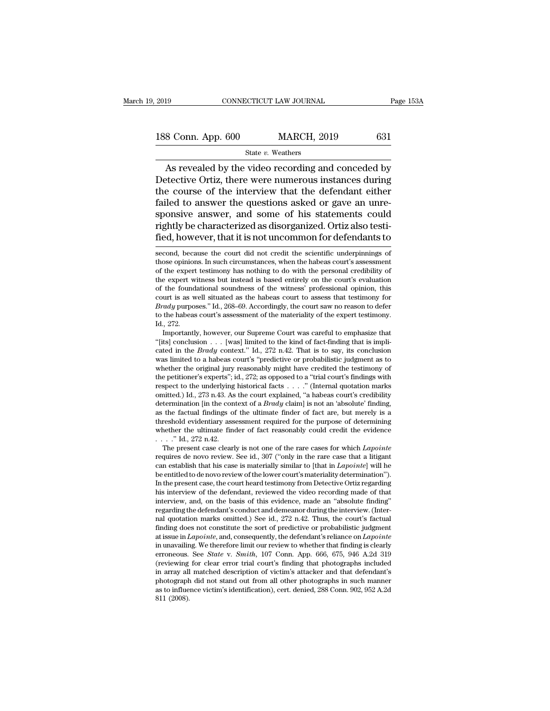2019 CONNECTICUT LAW JOURNAL Page 153A<br>188 Conn. App. 600 MARCH, 2019 631<br>State v. Weathers

### State *v.* Weathers

CONNECTICUT LAW JOURNAL Page 153A<br>
8 Conn. App. 600 MARCH, 2019 631<br>
State v. Weathers<br>
As revealed by the video recording and conceded by<br>
tective Ortiz, there were numerous instances during<br>
a course of the interview tha 188 Conn. App. 600 MARCH, 2019 631<br>
State v. Weathers<br>
As revealed by the video recording and conceded by<br>
Detective Ortiz, there were numerous instances during<br>
the course of the interview that the defendant either<br>
fail 188 Conn. App. 600 MARCH, 2019 631<br>
State v. Weathers<br>
As revealed by the video recording and conceded by<br>
Detective Ortiz, there were numerous instances during<br>
the course of the interview that the defendant either<br>
fail 188 Conn. App.  $600$  MARCH,  $2019$   $631$ <br>  $\frac{31}{100}$  State v. Weathers<br>
As revealed by the video recording and conceded by<br>
Detective Ortiz, there were numerous instances during<br>
the course of the interview that the def State v. Weathers<br>
State v. Weathers<br>
As revealed by the video recording and conceded by<br>
Detective Ortiz, there were numerous instances during<br>
the course of the interview that the defendant either<br>
failed to answer the q State  $v$ . Weathers<br>As revealed by the video recording and conceded by<br>Detective Ortiz, there were numerous instances during<br>the course of the interview that the defendant either<br>failed to answer the questions asked or ga As revealed by the video recording and conceded by<br>Detective Ortiz, there were numerous instances during<br>the course of the interview that the defendant either<br>failed to answer the questions asked or gave an unre-<br>sponsive failed to answer the questions asked or gave an unre-<br>sponsive answer, and some of his statements could<br>rightly be characterized as disorganized. Ortiz also testi-<br>fied, however, that it is not uncommon for defendants to<br>s sponsive answer, and some of his statements could<br>rightly be characterized as disorganized. Ortiz also testi-<br>fied, however, that it is not uncommon for defendants to<br>second, because the court did not credit the scientific

of the expert testimony has nothing to do with the personal credit in the expert testimony has nothing to do with the personal credibility of the expert testimony has nothing to do with the personal credibility of the expe fied, however, that it is not uncommon for defendants to<br>second, because the court did not credit the scientific underpinnings of<br>those opinions. In such circumstances, when the habeas court's assessment<br>of the expert test fied, however, that it is not uncommon for defendants to<br>second, because the court did not credit the scientific underpinnings of<br>those opinions. In such circumstances, when the habeas court's assessment<br>of the expert test second, because the court did not credit the scientific underpinnings of those opinions. In such circumstances, when the habeas court's assessment of the expert testimony has nothing to do with the personal credibility of second, because the court did not credit the scientific underpinnings of<br>those opinions. In such circumstances, when the habeas court's assessment<br>of the expert vitness but instead is based entirely on the court's evaluati those opmons. In such circumstances, when the habeas court's assessment<br>of the expert testimony has nothing to do with the personal credibility of<br>the expert witness but instead is based entirely on the court's evaluation<br> of the expert<br>the expert w<br>of the found<br>court is as w<br>*Brady* purpos<br>to the habeas<br>Id., 272.<br>Importantl! e expert witness but instead is based entirely on the court's evaluation<br>the foundational soundness of the witness' professional opinion, this<br>urt is as well situated as the habeas court to assess that testimony for<br> $\alpha dy$  of the foundational soundness of the witness' professional opinion, this court is as well situated as the habeas court to assess that testimony for *Brady* purposes." Id., 268–69. Accordingly, the court saw no reason to d

court is as well situated as the habeas court to assess that testimony for *Brady* purposes." Id., 268–69. Accordingly, the court saw no reason to defer to the habeas court's assessment of the materiality of the expert tes *Brady* purposes." Id., 268–69. Accordingly, the court saw no reason to deter to the habeas court's assessment of the materiality of the expert testimony. Id., 272. Importantly, however, our Supreme Court was careful to e Id., 272.<br>
Id., 272.<br>
Importantly, however, our Supreme Court was careful to emphasize that<br>
"[its] conclusion . . . [was] limited to the kind of fact-finding that is impli-<br>
cated in the *Brady* context." Id., 272 n.42. 1d., 272.<br>
Importantly, however, our Supreme Court was careful to emphasize that<br>
"[its] conclusion . . . [was] limited to the kind of fact-finding that is impli-<br>
cated in the *Brady* context." Id., 272 n.42. That is to Importantly, however, our Supreme Court was careful to emphasize that "[its] conclusion . . . [was] limited to the kind of fact-finding that is implicated in the *Brady* context." Id., 272 n.42. That is to say, its conclu "[Its] conclusion  $\ldots$  [was] imited to the kind of fact-finding that is implicated in the *Brady* context." Id., 272 n.42. That is to say, its conclusion was limited to a habeas court's "predictive or probabilistic judgm cated in the *Brady* context." Id., 272 n.42. That is to say, its conclusion was limited to a habeas court's "predictive or probabilistic judgment as to whether the original jury reasonably might have credited the testimo was limited to a habeas court's "predictive or probabilistic judgment as to whether the original jury reasonably might have credited the testimony of the petitioner's experts"; id., 272; as opposed to a "trial court's fin whether the original jury reasonably might have credited the testimony of<br>the petitioner's experts"; id., 272; as opposed to a "trial court's findings with<br>respect to the underlying historical facts  $\ldots$ ." (Internal quot the petitioner's experts'; id., 272; as opposed to a "trial court's findings with<br>respect to the underlying historical facts  $\ldots$ ." (Internal quotation marks<br>omitted.) Id., 273 n.43. As the court explained, "a habeas cou % omitted.) Id., 273 n.43. As the court explained, "a habeas court's credibility determination [in the context of a *Brady* claim] is not an 'absolute' finding, as the factual findings of the ultimate finder of fact are, nitted.) Id., 273 n.43. As the court explained, "a habeas court's credibility<br>termination [in the context of a *Brady* claim] is not an 'absolute' finding,<br>the factual findings of the ultimate finder of fact are, but merel determination [in the context of a *Brady* claim] is not an 'absolute' inding,<br>as the factual findings of the ultimate finder of fact are, but merely is a<br>threshold evidentiary assessment required for the purpose of deter

as the factual findings of the ultimate finder of fact are, but merely is a<br>threshold evidentiary assessment required for the purpose of determining<br>whether the ultimate finder of fact reasonably could credit the evidence<br> threshold evidentiary assessment required for the purpose of determining<br>whether the ultimate finder of fact reasonably could credit the evidence<br> $\dots$ ." Id., 272 n.42.<br>The present case clearly is not one of the rare cases whether the ultimate inder of lact reasonably could credit the evidence . . . ." Id., 272 n.42.<br>
The present case clearly is not one of the rare cases for which *Lapointe* requires de novo review. See id., 307 ("only in t  $\therefore$   $\therefore$   $\therefore$   $\therefore$   $\therefore$   $\therefore$   $\therefore$   $\therefore$   $\therefore$   $\therefore$   $\therefore$   $\therefore$   $\therefore$   $\therefore$   $\therefore$   $\therefore$   $\therefore$   $\therefore$   $\therefore$   $\therefore$   $\therefore$   $\therefore$   $\therefore$   $\therefore$   $\therefore$   $\therefore$   $\therefore$   $\therefore$   $\therefore$   $\therefore$   $\therefore$   $\therefore$   $\therefore$   $\therefore$   $\therefore$   $\therefore$   $\therefore$ The present case clearly is not one of the rare cases for which *Lapomte*<br>requires de novo review. See id., 307 ("only in the rare case that a litigant<br>can establish that his case is materially similar to [that in *Lapoint* requires de novo review. See id., 307 ("only in the rare case that a litigant<br>can establish that his case is materially similar to [that in *Lapointe*] will he<br>be entitled to de novo review of the lower court's materiality can establish that his case is materially similar to [that in *Lapointe*] will he<br>be entitled to de novo review of the lower court's materiality determination").<br>In the present case, the court heard testimony from Detectiv be entitled to de novo review of the lower court's materiality determination").<br>In the present case, the court heard testimony from Detective Ortiz regarding<br>his interview of the defendant, reviewed the video recording ma In the present case, the court heard testimony from Detective Ortiz regarding<br>his interview of the defendant, reviewed the video recording made of that<br>interview, and, on the basis of this evidence, made an "absolute findi his interview of the defendant, reviewed the video recording made of that<br>interview, and, on the basis of this evidence, made an "absolute finding"<br>regarding the defendant's conduct and demeanor during the interview. (Int mterview, and, on the basis of this evidence, made an "absolute finding"<br>regarding the defendant's conduct and demeanor during the interview. (Inter-<br>nal quotation marks omitted.) See id., 272 n.42. Thus, the court's factu regarding the detendant's conduct and demeanor during the interview. (Inter-<br>nal quotation marks omitted.) See id., 272 n.42. Thus, the court's factual<br>finding does not constitute the sort of predictive or probabilistic j mal quotation marks omitted.) See id., 272 n.42. Thus, the court's factual<br>finding does not constitute the sort of predictive or probabilistic judgment<br>at issue in *Lapointe*, and, consequently, the defendant's reliance on finding does not constitute the sort of predictive or probabilistic judgment<br>at issue in *Lapointe*, and, consequently, the defendant's reliance on *Lapointe*<br>in unavailing. We therefore limit our review to whether that f at issue in *Lapontie*, and, consequently, the detendant s reliance on *Laponte* in unavailing. We therefore limit our review to whether that finding is clearly erroneous. See *State* v. *Smith*, 107 Conn. App. 666, 675, 9 in unavailing. We therefore limit our review to whether that finding is clearly erroneous. See *State* v. *Smith*, 107 Conn. App. 666, 675, 946 A.2d 319 (reviewing for clear error trial court's finding that photographs in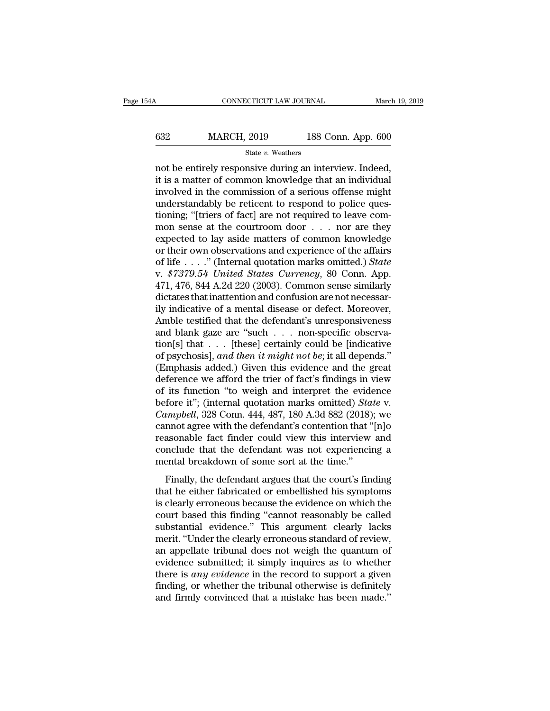## CONNECTICUT LAW JOURNAL March 19, 2019<br>632 MARCH, 2019 188 Conn. App. 600<br>5tate v. Weathers State *v.* Weathers

not be entirely responsive during an interview. Indeed,  $\begin{array}{r} \n 632 \quad \text{MARCH, 2019} \quad \text{188 Conn. App. 600} \n \end{array}$ <br>
state v. Weathers<br>
not be entirely responsive during an interview. Indeed,<br>
it is a matter of common knowledge that an individual<br>
involved in the commission of a ser  $\begin{array}{r} \n 632 \text{ } \text{MARCH, 2019} \text{ 188 Conn. App. 600} \\
 \hline \n 841 \text{ K} & v. \text{Weather} \n \end{array}$ <br>
mot be entirely responsive during an interview. Indeed, it is a matter of common knowledge that an individual involved in the commission of MARCH,  $2019$  188 Conn. App. 600<br>
state v. Weathers<br>
not be entirely responsive during an interview. Indeed,<br>
it is a matter of common knowledge that an individual<br>
involved in the commission of a serious offense might<br>
u State v. Weathers<br>
The vertex of the common structure of the entirely responsive during an interview. Indeed,<br>
it is a matter of common knowledge that an individual<br>
involved in the commission of a serious offense might<br> state v. weathers<br>
interview. Indeed,<br>
it is a matter of common knowledge that an individual<br>
involved in the commission of a serious offense might<br>
understandably be reticent to respond to police ques-<br>
tioning; "[triers not be entirely responsive during an interview. Indeed,<br>it is a matter of common knowledge that an individual<br>involved in the commission of a serious offense might<br>understandably be reticent to respond to police ques-<br>tio it is a matter of common knowledge that an individual<br>involved in the commission of a serious offense might<br>understandably be reticent to respond to police ques-<br>tioning; "[triers of fact] are not required to leave com-<br>m involved in the commission of a serious offense might<br>understandably be reticent to respond to police ques-<br>tioning; "[triers of fact] are not required to leave com-<br>mon sense at the courtroom door . . . nor are they<br>expec understandably be reticent to respond to police questioning; "[triers of fact] are not required to leave com-<br>mon sense at the courtroom door . . . nor are they<br>expected to lay aside matters of common knowledge<br>or their ow tioning; "[triers of fact] are not required to leave com-<br>mon sense at the courtroom door . . . nor are they<br>expected to lay aside matters of common knowledge<br>or their own observations and experience of the affairs<br>of lif mon sense at the courtroom door  $\ldots$  nor are they<br>expected to lay aside matters of common knowledge<br>or their own observations and experience of the affairs<br>of life  $\ldots$ ." (Internal quotation marks omitted.) *State*<br>v. \$ expected to lay aside matters of common knowledge<br>or their own observations and experience of the affairs<br>of life . . . ." (Internal quotation marks omitted.) *State*<br>v.  $$7379.54$  *United States Currency*, 80 Conn. App.<br> or their own observations and experience of the affairs<br>of life . . . ." (Internal quotation marks omitted.) *State*<br>v. \$7379.54 United States Currency, 80 Conn. App.<br>471, 476, 844 A.2d 220 (2003). Common sense similarly<br> of life . . . ." (Internal quotation marks omitted.) *State* v.  $$7379.54$  United States Currency, 80 Conn. App. 471, 476, 844 A.2d 220 (2003). Common sense similarly dictates that inattention and confusion are not necess v.  $$7379.54$  United States Currency, 80 Conn. App.<br>471, 476, 844 A.2d 220 (2003). Common sense similarly<br>dictates that inattention and confusion are not necessar-<br>ily indicative of a mental disease or defect. Moreover,<br>A 471, 476, 844 A.2d 220 (2003). Common sense similarly<br>dictates that inattention and confusion are not necessar-<br>ily indicative of a mental disease or defect. Moreover,<br>Amble testified that the defendant's unresponsiveness<br> dictates that inattention and confusion are not necessarily indicative of a mental disease or defect. Moreover,<br>Amble testified that the defendant's unresponsiveness<br>and blank gaze are "such . . . non-specific observa-<br>tio ily indicative of a mental disease or defect. Moreover,<br>Amble testified that the defendant's unresponsiveness<br>and blank gaze are "such  $\ldots$  non-specific observa-<br>tion[s] that  $\ldots$  [these] certainly could be [indicative<br> Amble testified that the defendant's unresponsiveness<br>and blank gaze are "such . . . non-specific observa-<br>tion[s] that . . . [these] certainly could be [indicative<br>of psychosis], and then it might not be; it all depends. and blank gaze are "such . . . non-specific observation[s] that . . . [these] certainly could be [indicative of psychosis], *and then it might not be*; it all depends." (Emphasis added.) Given this evidence and the great d tion[s] that . . . [these] certainly could be [indicative of psychosis], *and then it might not be*; it all depends."<br>(Emphasis added.) Given this evidence and the great deference we afford the trier of fact's findings in of psychosis], *and then it might not be*; it all depends."<br>(Emphasis added.) Given this evidence and the great<br>deference we afford the trier of fact's findings in view<br>of its function "to weigh and interpret the evidence<br> (Emphasis added.) Given this evidence and the great<br>deference we afford the trier of fact's findings in view<br>of its function "to weigh and interpret the evidence<br>before it"; (internal quotation marks omitted) *State* v.<br> deference we afford the trier of fact's findings in view<br>of its function "to weigh and interpret the evidence<br>before it"; (internal quotation marks omitted) *State* v.<br>*Campbell*, 328 Conn. 444, 487, 180 A.3d 882 (2018); w % of its function "to weigh and interpret the evidence it"; (internal quotation marks omitted)  $Sta$   $Campbell$ , 328  $Conn. 444$ , 487, 180  $A.3d 882$  (2018) cannot agree with the defendant's contention that "reasonable fact finder Finally, 328 Conn. 444, 487, 180 A.3d 882 (2018); we<br>mort agree with the defendant's contention that "[n]o<br>asonable fact finder could view this interview and<br>nclude that the defendant was not experiencing a<br>ental breakdow campoon, 525 Sommartin, 157, 158 Thou 622 (2010), we<br>cannot agree with the defendant's contention that "[n]o<br>reasonable fact finder could view this interview and<br>conclude that the defendant was not experiencing a<br>mental b

Example fact finder could view this interview and<br>conclude that the defendant was not experiencing a<br>mental breakdown of some sort at the time."<br>Finally, the defendant argues that the court's finding<br>that he either fabrica conclude that the defendant was not experiencing a<br>mental breakdown of some sort at the time."<br>Finally, the defendant argues that the court's finding<br>that he either fabricated or embellished his symptoms<br>is clearly erroneo substantial breakdown of some sort at the time."<br>Finally, the defendant argues that the court's finding<br>that he either fabricated or embellished his symptoms<br>is clearly erroneous because the evidence on which the<br>court bas Finally, the defendant argues that the court's finding<br>that he either fabricated or embellished his symptoms<br>is clearly erroneous because the evidence on which the<br>court based this finding "cannot reasonably be called<br>subs Finally, the defendant argues that the court's finding<br>that he either fabricated or embellished his symptoms<br>is clearly erroneous because the evidence on which the<br>court based this finding "cannot reasonably be called<br>subs that he either fabricated or embellished his symptoms<br>is clearly erroneous because the evidence on which the<br>court based this finding "cannot reasonably be called<br>substantial evidence." This argument clearly lacks<br>merit. " is clearly erroneous because the evidence on which the<br>court based this finding "cannot reasonably be called<br>substantial evidence." This argument clearly lacks<br>merit. "Under the clearly erroneous standard of review,<br>an app court based this finding "cannot reasonably be called<br>substantial evidence." This argument clearly lacks<br>merit. "Under the clearly erroneous standard of review,<br>an appellate tribunal does not weigh the quantum of<br>evidence substantial evidence." This argument clearly lacks<br>merit. "Under the clearly erroneous standard of review,<br>an appellate tribunal does not weigh the quantum of<br>evidence submitted; it simply inquires as to whether<br>there is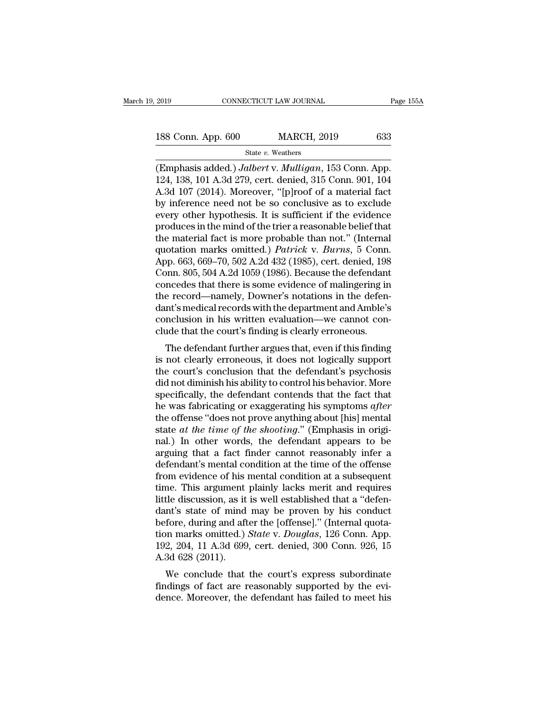# 2019 CONNECTICUT LAW JOURNAL Page 155A<br>188 Conn. App. 600 MARCH, 2019 633<br>State v. Weathers

State *v.* Weathers

(Emphasis added.) *Jalbert* v. *Mulligan*, 153 Conn. App. (Emphasis added.) *Jalbert* v. *Mulligan*, 153 Conn. App. 124, 138, 101 A.3d 279, cert. denied, 315 Conn. 901, 104 188 Conn. App. 600 MARCH, 2019 633<br>
State v. Weathers<br>
(Emphasis added.) Jalbert v. Mulligan, 153 Conn. App.<br>
124, 138, 101 A.3d 279, cert. denied, 315 Conn. 901, 104<br>
A.3d 107 (2014). Moreover, "[p]roof of a material fact 188 Conn. App. 600 MARCH, 2019 633<br>
State v. Weathers<br>
(Emphasis added.) Jalbert v. Mulligan, 153 Conn. App.<br>
124, 138, 101 A.3d 279, cert. denied, 315 Conn. 901, 104<br>
A.3d 107 (2014). Moreover, "[p]roof of a material fac 188 Conn. App. 600 MARCH, 2019 633<br>
State v. Weathers<br>
(Emphasis added.) Jalbert v. Mulligan, 153 Conn. App.<br>
124, 138, 101 A.3d 279, cert. denied, 315 Conn. 901, 104<br>
A.3d 107 (2014). Moreover, "[p]roof of a material fac State v. Weathers<br>
(Emphasis added.) Jalbert v. Mulligan, 153 Conn. App.<br>
124, 138, 101 A.3d 279, cert. denied, 315 Conn. 901, 104<br>
A.3d 107 (2014). Moreover, "[p]roof of a material fact<br>
by inference need not be so concl State v. Weathers<br>
(Emphasis added.) Jalbert v. Mulligan, 153 Conn. App.<br>
124, 138, 101 A.3d 279, cert. denied, 315 Conn. 901, 104<br>
A.3d 107 (2014). Moreover, "[p]roof of a material fact<br>
by inference need not be so concl (Emphasis added.) *Jalbert v. Mulligan*, 153 Conn. App.<br>124, 138, 101 A.3d 279, cert. denied, 315 Conn. 901, 104<br>A.3d 107 (2014). Moreover, "[p]roof of a material fact<br>by inference need not be so conclusive as to exclude<br> 124, 138, 101 A.3d 279, cert. denied, 315 Conn. 901, 104<br>A.3d 107 (2014). Moreover, "[p]roof of a material fact<br>by inference need not be so conclusive as to exclude<br>every other hypothesis. It is sufficient if the evidence<br> A.3d 107 (2014). Moreover, "[p]roof of a material fact<br>by inference need not be so conclusive as to exclude<br>every other hypothesis. It is sufficient if the evidence<br>produces in the mind of the trier a reasonable belief tha by inference need not be so conclusive as to exclude<br>every other hypothesis. It is sufficient if the evidence<br>produces in the mind of the trier a reasonable belief that<br>the material fact is more probable than not." (Intern every other hypothesis. It is sufficient if the evidence<br>produces in the mind of the trier a reasonable belief that<br>the material fact is more probable than not." (Internal<br>quotation marks omitted.) *Patrick* v. *Burns*, 5 produces in the mind of the trier a reasonable belief that<br>the material fact is more probable than not." (Internal<br>quotation marks omitted.) *Patrick* v. *Burns*, 5 Conn.<br>App. 663, 669–70, 502 A.2d 432 (1985), cert. denied the material fact is more probable than not." (Internal<br>quotation marks omitted.) *Patrick* v. *Burns*, 5 Conn.<br>App. 663, 669–70, 502 A.2d 432 (1985), cert. denied, 198<br>Conn. 805, 504 A.2d 1059 (1986). Because the defendan quotation marks omitted.) *Patrick v. Burns*, 5 Conn.<br>App. 663, 669–70, 502 A.2d 432 (1985), cert. denied, 198<br>Conn. 805, 504 A.2d 1059 (1986). Because the defendant<br>concedes that there is some evidence of malingering in<br>t App. 663, 669–70, 502 A.2d 432 (1985), cert. denied, 198<br>Conn. 805, 504 A.2d 1059 (1986). Because the defendant<br>concedes that there is some evidence of malingering in<br>the record—namely, Downer's notations in the defen-<br>dan Finit. 805, 504 A.2d 1059 (1980). Because the defendant<br>needes that there is some evidence of malingering in<br>e record—namely, Downer's notations in the defen-<br>nt's medical records with the department and Amble's<br>nelusion i concedes that there is some evidence of maintgering in<br>the record—namely, Downer's notations in the defen-<br>dant's medical records with the department and Amble's<br>conclusion in his written evaluation—we cannot con-<br>clude th

the record—hainery, Downer's notations in the defendant's medical records with the department and Amble's conclusion in his written evaluation—we cannot conclude that the court's finding is clearly erroneous.<br>The defendant dant sinedical records with the department and Ambie s<br>conclusion in his written evaluation—we cannot con-<br>clude that the court's finding is clearly erroneous.<br>The defendant further argues that, even if this finding<br>is not conclusion in his written evaluation—we cannot conclude that the court's finding is clearly erroneous.<br>The defendant further argues that, even if this finding<br>is not clearly erroneous, it does not logically support<br>the co The defendant further argues that, even if this finding<br>is not clearly erroneous, it does not logically support<br>the court's conclusion that the defendant's psychosis<br>did not diminish his ability to control his behavior. Mo The defendant further argues that, even if this finding<br>is not clearly erroneous, it does not logically support<br>the court's conclusion that the defendant's psychosis<br>did not diminish his ability to control his behavior. M is not clearly erroneous, it does not logically support<br>the court's conclusion that the defendant's psychosis<br>did not diminish his ability to control his behavior. More<br>specifically, the defendant contends that the fact th the court's conclusion that the defendant's psychosis<br>did not diminish his ability to control his behavior. More<br>specifically, the defendant contends that the fact that<br>he was fabricating or exaggerating his symptoms *afte* did not diminish his ability to control his behavior. More<br>specifically, the defendant contends that the fact that<br>he was fabricating or exaggerating his symptoms *after*<br>the offense "does not prove anything about [his] m specifically, the defendant contends that the fact that<br>he was fabricating or exaggerating his symptoms *after*<br>the offense "does not prove anything about [his] mental<br>state *at the time of the shooting.*" (Emphasis in or he was fabricating or exaggerating his symptoms *after* the offense "does not prove anything about [his] mental state *at the time of the shooting.*" (Emphasis in original.) In other words, the defendant appears to be arg the offense "does not prove anything about [his] mental<br>state *at the time of the shooting.*" (Emphasis in origi-<br>nal.) In other words, the defendant appears to be<br>arguing that a fact finder cannot reasonably infer a<br>defe state *at the time of the shooting.*" (Emphasis in original.) In other words, the defendant appears to be arguing that a fact finder cannot reasonably infer a defendant's mental condition at the time of the offense from e nal.) In other words, the defendant appears to be arguing that a fact finder cannot reasonably infer a defendant's mental condition at the time of the offense from evidence of his mental condition at a subsequent time. Thi arguing that a fact finder cannot reasonably infer a<br>defendant's mental condition at the time of the offense<br>from evidence of his mental condition at a subsequent<br>time. This argument plainly lacks merit and requires<br>littl defendant's mental condition at the time of the offense<br>from evidence of his mental condition at a subsequent<br>time. This argument plainly lacks merit and requires<br>little discussion, as it is well established that a "defenfrom evidence of his mental condition at a subsequent<br>time. This argument plainly lacks merit and requires<br>little discussion, as it is well established that a "defen-<br>dant's state of mind may be proven by his conduct<br>befor time. This argument<br>little discussion, as it<br>dant's state of mind<br>before, during and aft<br>tion marks omitted.)<br>192, 204, 11 A.3d 699<br>A.3d 628 (2011).<br>We conclude that the discussion, as it is well established that a defen-<br>int's state of mind may be proven by his conduct<br>fore, during and after the [offense]." (Internal quota-<br>in marks omitted.) *State* v. *Douglas*, 126 Conn. App.<br>2, 20 dant s state of find flay be proven by his conduct<br>before, during and after the [offense]." (Internal quota-<br>tion marks omitted.) *State v. Douglas*, 126 Conn. App.<br>192, 204, 11 A.3d 699, cert. denied, 300 Conn. 926, 15<br>A. before, during and after the [offense]. (Internat quotation marks omitted.) *State v. Douglas*, 126 Conn. App. 192, 204, 11 A.3d 699, cert. denied, 300 Conn. 926, 15 A.3d 628 (2011).<br>We conclude that the court's express su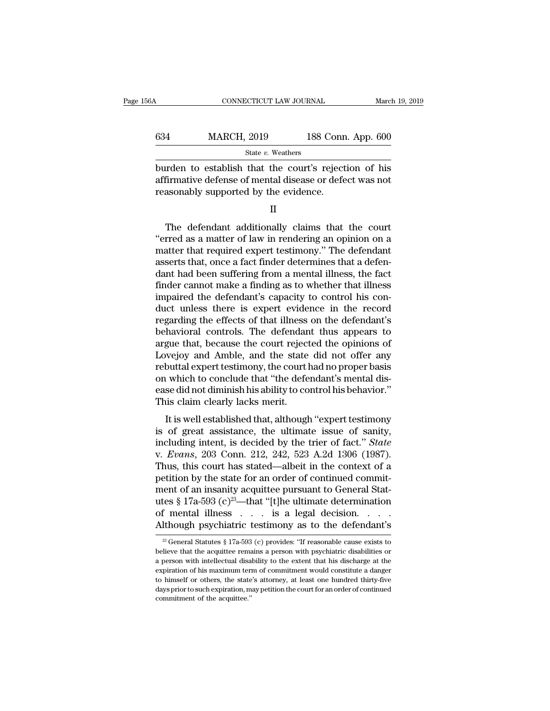| 6A  | CONNECTICUT LAW JOURNAL                                                                                                                                  |                    | March 19, 2019 |
|-----|----------------------------------------------------------------------------------------------------------------------------------------------------------|--------------------|----------------|
| 634 | <b>MARCH, 2019</b>                                                                                                                                       | 188 Conn. App. 600 |                |
|     | State v. Weathers                                                                                                                                        |                    |                |
|     | burden to establish that the court's rejection of his<br>affirmative defense of mental disease or defect was not<br>reasonably supported by the evidence |                    |                |

MARCH, 2019 188 Conn. App. 600<br>
State v. Weathers<br>
burden to establish that the court's rejection of his<br>
affirmative defense of mental disease or defect was not<br>
reasonably supported by the evidence.  $\begin{tabular}{ll} \multicolumn{1}{l}{{\textbf{634}}}&\multicolumn{1}{l}{\textbf{MARCH, 2019}}&\multicolumn{1}{l}{\textbf{188 Conn}}\\ \hline &\textbf{State $v$. Weathers} \\ \hline{\end{tabular} \end{tabular} \begin{tabular}{l} \multicolumn{1}{l}{\textbf{State $v$}}&\multicolumn{1}{l}{\textbf{Weathers}}\\ \multicolumn{1}{l}{\textbf{But den to establish that the court's reject}}\\ \multicolumn{1}{l}{\textbf{affirmative defense of mental disease or defect}}\\ \multicolumn{1}{l}{\textbf{reasonably supported by the evidence.}}\\ \$ State v. weathers<br>
In the court's rejection of his<br>
differentiative defense of mental disease or defect was not<br>
asonably supported by the evidence.<br>  $\Pi$ <br>
The defendant additionally claims that the court<br>
rred as a matte

II

burden to establish that the court's rejection of his<br>affirmative defense of mental disease or defect was not<br>reasonably supported by the evidence.<br>II<br>The defendant additionally claims that the court<br>"erred as a matter of affirmative defense of mental disease or defect was not<br>reasonably supported by the evidence.<br>II<br>The defendant additionally claims that the court<br>"erred as a matter of law in rendering an opinion on a<br>matter that required reasonably supported by the evidence.<br>
II<br>
The defendant additionally claims that the court<br>
"erred as a matter of law in rendering an opinion on a<br>
matter that required expert testimony." The defendant<br>
asserts that, once II<br>The defendant additionally claims that the court<br>"erred as a matter of law in rendering an opinion on a<br>matter that required expert testimony." The defendant<br>asserts that, once a fact finder determines that a defen-<br>dan The defendant additionally claims that the court<br>
"erred as a matter of law in rendering an opinion on a<br>
matter that required expert testimony." The defendant<br>
asserts that, once a fact finder determines that a defen-<br>
da The defendant additionally claims that the court<br>"erred as a matter of law in rendering an opinion on a<br>matter that required expert testimony." The defendant<br>asserts that, once a fact finder determines that a defen-<br>dant h "erred as a matter of law in rendering an opinion on a<br>matter that required expert testimony." The defendant<br>asserts that, once a fact finder determines that a defen-<br>dant had been suffering from a mental illness, the fact matter that required expert testimony." The defendant<br>asserts that, once a fact finder determines that a defendant<br>had been suffering from a mental illness, the fact<br>finder cannot make a finding as to whether that illness<br> asserts that, once a fact finder determines that a defendant had been suffering from a mental illness, the fact<br>finder cannot make a finding as to whether that illness<br>impaired the defendant's capacity to control his con-<br> dant had been suffering from a mental illness, the fact<br>finder cannot make a finding as to whether that illness<br>impaired the defendant's capacity to control his con-<br>duct unless there is expert evidence in the record<br>regar finder cannot make a finding as to whether that illness<br>impaired the defendant's capacity to control his con-<br>duct unless there is expert evidence in the record<br>regarding the effects of that illness on the defendant's<br>beha impaired the defendant's capacity to control his conduct unless there is expert evidence in the record regarding the effects of that illness on the defendant's behavioral controls. The defendant thus appears to argue that, duct unless there is expert evidence in the record<br>regarding the effects of that illness on the defendant's<br>behavioral controls. The defendant thus appears to<br>argue that, because the court rejected the opinions of<br>Lovejoy regarding the effects of that illness on the defendant's<br>behavioral controls. The defendant thus appears to<br>argue that, because the court rejected the opinions of<br>Lovejoy and Amble, and the state did not offer any<br>rebuttal behavioral controls. The defendan<br>argue that, because the court reject<br>Lovejoy and Amble, and the state<br>rebuttal expert testimony, the court l<br>on which to conclude that "the defe<br>ease did not diminish his ability to co<br>Thi Suce that, because the court rejected the opmions of<br>wejoy and Amble, and the state did not offer any<br>buttal expert testimony, the court had no proper basis<br>is which to conclude that "the defendant's mental dis-<br>se did not Europey and Thibic, and the state did not offer any<br>rebuttal expert testimony, the court had no proper basis<br>on which to conclude that "the defendant's mental dis-<br>ease did not diminish his ability to control his behavior

rebutan expert testimony, the court had no proper basis<br>on which to conclude that "the defendant's mental dis-<br>ease did not diminish his ability to control his behavior."<br>This claim clearly lacks merit.<br>It is well establis on which to conclude that the decidual is included size<br>ease did not diminish his ability to control his behavior."<br>This claim clearly lacks merit.<br>It is well established that, although "expert testimony<br>is of great assist This claim clearly lacks merit.<br>
It is well established that, although "expert testimony<br>
is of great assistance, the ultimate issue of sanity,<br>
including intent, is decided by the trier of fact." State<br>
v. Evans, 203 Conn It is well established that, although "expert testimony<br>is of great assistance, the ultimate issue of sanity,<br>including intent, is decided by the trier of fact." State<br>v. Evans, 203 Conn. 212, 242, 523 A.2d 1306 (1987).<br>T It is well established that, although "expert testimony<br>is of great assistance, the ultimate issue of sanity,<br>including intent, is decided by the trier of fact." *State*<br>v. Evans, 203 Conn. 212, 242, 523 A.2d 1306 (1987). is of great assistance, the ultimate issue of sanity,<br>including intent, is decided by the trier of fact." *State*<br>v. *Evans*, 203 Conn. 212, 242, 523 A.2d 1306 (1987).<br>Thus, this court has stated—albeit in the context of including intent, is decided by the trier of fact." *State*<br>v. *Evans*, 203 Conn. 212, 242, 523 A.2d 1306 (1987).<br>Thus, this court has stated—albeit in the context of a<br>petition by the state for an order of continued comm v. Evans, 203 Conn. 212, 242, 523 A.2d 1306 (1987).<br>Thus, this court has stated—albeit in the context of a<br>petition by the state for an order of continued commit-<br>ment of an insanity acquittee pursuant to General Stat-<br>ut ment of an insanity acquittee pursuant to General Statures § 17a-593 (c)<sup>23</sup>—that "[t]he ultimate determination of mental illness . . . is a legal decision. . . . . . Although psychiatric testimony as to the defendant's utes § 17a-593 (c)<sup>23</sup>—that "[t]he ultimate determination<br>of mental illness . . . is a legal decision. . . . .<br>Although psychiatric testimony as to the defendant's<br> $\frac{23}{4}$  General Statutes § 17a-593 (c) provides: "If r

a person with intellectual disability to the extent that his discharge at the Although psychiatric testimony as to the defendant's<br>  $\frac{1}{23}$  General Statutes § 17a-593 (c) provides: "If reasonable cause exists to<br>
believe that the acquittee remains a person with psychiatric disabilities or<br>
a per Example 1 And Hought polyerinative testimionly as to the determinant s<br>  $\frac{1}{2}$  General Statutes § 17a-593 (c) provides: "If reasonable cause exists to<br>
believe that the acquittee remains a person with psychiatric disab <sup>23</sup> General Statutes § 17a-593 (c) provides: "If reasonable cause exists to believe that the acquittee remains a person with psychiatric disabilities or a person with intellectual disability to the extent that his discha believe that the acquittee remains a person with psychiatric disabilities or a person with intellectual disability to the extent that his discharge at the expiration of his maximum term of commitment would constitute a dan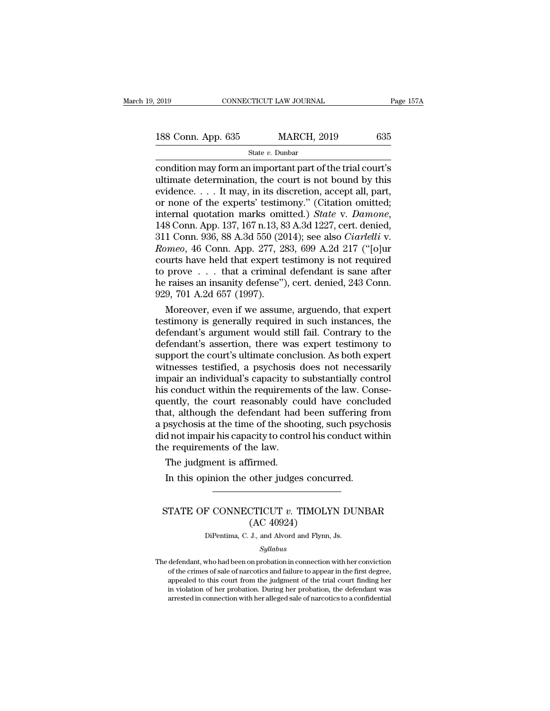| 2019               | CONNECTICUT LAW JOURNAL | Page 157A |
|--------------------|-------------------------|-----------|
| 188 Conn. App. 635 | <b>MARCH, 2019</b>      | 635       |
|                    | State $v$ . Dunbar      |           |

2019 CONNECTICUT LAW JOURNAL Page 157A<br>
188 Conn. App. 635 MARCH, 2019 635<br>
State v. Dunbar<br>
condition may form an important part of the trial court's<br>
ultimate determination, the court is not bound by this<br>
cydence 188 Conn. App. 635 MARCH, 2019 635<br>
State v. Dunbar<br>
condition may form an important part of the trial court's<br>
ultimate determination, the court is not bound by this<br>
evidence.... It may, in its discretion, accept all, p 188 Conn. App. 635 MARCH, 2019 635<br>
State v. Dunbar<br>
condition may form an important part of the trial court's<br>
ultimate determination, the court is not bound by this<br>
evidence.... It may, in its discretion, accept all, p 188 Conn. App. 635 MARCH, 2019 635<br>
State v. Dunbar<br>
condition may form an important part of the trial court's<br>
ultimate determination, the court is not bound by this<br>
evidence.... It may, in its discretion, accept all, p state *v*. *Dunbar*<br>
state *v*. *Dunbar*<br>
condition may form an important part of the trial court's<br>
ultimate determination, the court is not bound by this<br>
evidence.... It may, in its discretion, accept all, part,<br>
or non condition may form an important part of the trial court's<br>ultimate determination, the court is not bound by this<br>evidence. . . . It may, in its discretion, accept all, part,<br>or none of the experts' testimony." (Citation om *Romeo*, 148 Conn. App. 277, 283, 699 A.2d 217 ("[o]ur courts have held that experts' accept all, part, 148 Conn. App. 137, 167 n.13, 83 A.3d 1227, cert. denied, 311 Conn. 936, 88 A.3d 550 (2014); see also *Ciarlelli v. Ro* evidence. . . . It may, in its discretion, accept all, part,<br>or none of the experts' testimony." (Citation omitted;<br>internal quotation marks omitted.) *State* v. *Damone*,<br>148 Conn. App. 137, 167 n.13, 83 A.3d 1227, cert. or none of the experts' testimony." (Citation omitted;<br>internal quotation marks omitted.) *State* v. *Damone*,<br>148 Conn. App. 137, 167 n.13, 83 A.3d 1227, cert. denied,<br>311 Conn. 936, 88 A.3d 550 (2014); see also *Ciarlel* internal quotation marks omitted.) *State v. Damone*, 148 Conn. App. 137, 167 n.13, 83 A.3d 1227, cert. denied, 311 Conn. 936, 88 A.3d 550 (2014); see also *Ciarlelli v. Romeo*, 46 Conn. App. 277, 283, 699 A.2d 217 ("[o]ur 148 Conn. App. 137, 167 n.13, 83<br>
311 Conn. 936, 88 A.3d 550 (20<br> *Romeo*, 46 Conn. App. 277, 28<br>
courts have held that expert to<br>
to prove . . . that a criminal<br>
he raises an insanity defense'')<br>
929, 701 A.2d 657 (1997) 1 Conn. 936, 88 A.3d 550 (2014); see also *Ciartelli* v.<br> *meo*, 46 Conn. App. 277, 283, 699 A.2d 217 ("[o]ur<br>
urts have held that expert testimony is not required<br>
prove . . . that a criminal defendant is sane after<br>
rai Romeo, 46 Conn. App. 277, 283, 699 A.2d 217 (" $[o]$ ur<br>courts have held that expert testimony is not required<br>to prove . . . that a criminal defendant is sane after<br>he raises an insanity defense"), cert. denied, 243 Conn.<br>

courts have held that expert testimony is not required<br>to prove  $\dots$  that a criminal defendant is sane after<br>he raises an insanity defense"), cert. denied, 243 Conn.<br>929, 701 A.2d 657 (1997).<br>Moreover, even if we assume, to prove . . . that a criminal defendant is sane after<br>he raises an insanity defense"), cert. denied, 243 Conn.<br>929, 701 A.2d 657 (1997).<br>Moreover, even if we assume, arguendo, that expert<br>testimony is generally required i he raises an insanity defense"), cert. denied, 243 Conn.<br>929, 701 A.2d 657 (1997).<br>Moreover, even if we assume, arguendo, that expert<br>testimony is generally required in such instances, the<br>defendant's argument would still 929, 701 A.2d 657 (1997).<br>
Moreover, even if we assume, arguendo, that expert<br>
testimony is generally required in such instances, the<br>
defendant's argument would still fail. Contrary to the<br>
defendant's assertion, there wa Moreover, even if we assume, arguendo, that expert<br>testimony is generally required in such instances, the<br>defendant's argument would still fail. Contrary to the<br>defendant's assertion, there was expert testimony to<br>support testimony is generally required in such instances, the defendant's argument would still fail. Contrary to the defendant's assertion, there was expert testimony to support the court's ultimate conclusion. As both expert wit defendant's argument would still fail. Contrary to the<br>defendant's assertion, there was expert testimony to<br>support the court's ultimate conclusion. As both expert<br>witnesses testified, a psychosis does not necessarily<br>impa defendant's assertion, there was expert testimony to<br>support the court's ultimate conclusion. As both expert<br>witnesses testified, a psychosis does not necessarily<br>impair an individual's capacity to substantially control<br>hi support the court's ultimate conclusion. As both expert<br>witnesses testified, a psychosis does not necessarily<br>impair an individual's capacity to substantially control<br>his conduct within the requirements of the law. Conse-<br> witnesses testified, a psychosis does not necessarily<br>impair an individual's capacity to substantially control<br>his conduct within the requirements of the law. Conse-<br>quently, the court reasonably could have concluded<br>that, impair an individual's capacity to<br>his conduct within the requiremer<br>quently, the court reasonably co<br>that, although the defendant had<br>a psychosis at the time of the shoo<br>did not impair his capacity to contr<br>the requiremen is conduct within the requiremently, the court reasonably containt, although the defendant had psychosis at the time of the should not impair his capacity to contraction is affirmed.<br>The judgment is affirmed.<br>In this opini In this opinion the other judges concurred.<br>In this opportunity of the shooting, such psychosis at the time of the shooting, such psychd not impair his capacity to control his conduct with e requirements of the law.<br>The ju

### Experiments of the law.<br>
The judgment is affirmed.<br>
In this opinion the other judges concurred.<br>
STATE OF CONNECTICUT *v*. TIMOLYN DUNBAR<br>
(AC 40924) firmed.<br>
other judges concu<br>
TTICUT v. TIMOLY<br>
(AC 40924)<br>
J., and Alvord and Flynn, In this opinion the other judges concurred.<br>  $\fbox{\parbox{1.5cm}{}$STATE OF CONNECTICUT $v$. TIMOLYN DUNBAR (AC 40924)\n \quad \quad \text{Differential, C. J., and Alvord and Flynn, Js.}$

*Syllabus*

STATE OF CONNECTICUT  $v$ . TIMOLYN DUNBAR<br>
(AC 40924)<br>
DiPentima, C. J., and Alvord and Flynn, Js.<br>  $Syllabus$ <br>
The defendant, who had been on probation in connection with her conviction<br>
of the crimes of sale of narcotics and  ${\rm (AC~40924)}$  DiPentima, C. J., and Alvord and Flynn, Js.<br>Syllabus<br>defendant, who had been on probation in connection with her conviction<br>of the crimes of sale of narcotics and failure to appear in the first degree,<br>appea DiPentima, C. J., and Alvord and Flynn, Js.<br>
Syllabus<br>
defendant, who had been on probation in connection with her conviction<br>
of the crimes of sale of narcotics and failure to appear in the first degree,<br>
appealed to this in violation, C. J., and Alvord and Flynn, Js.<br>Syllabus<br>defendant, who had been on probation in connection with her conviction<br>of the crimes of sale of narcotics and failure to appear in the first degree,<br>appealed to this The defendant, who had been on probation in connection with her conviction of the crimes of sale of narcotics and failure to appear in the first degree, appealed to this court from the judgment of the trial court finding h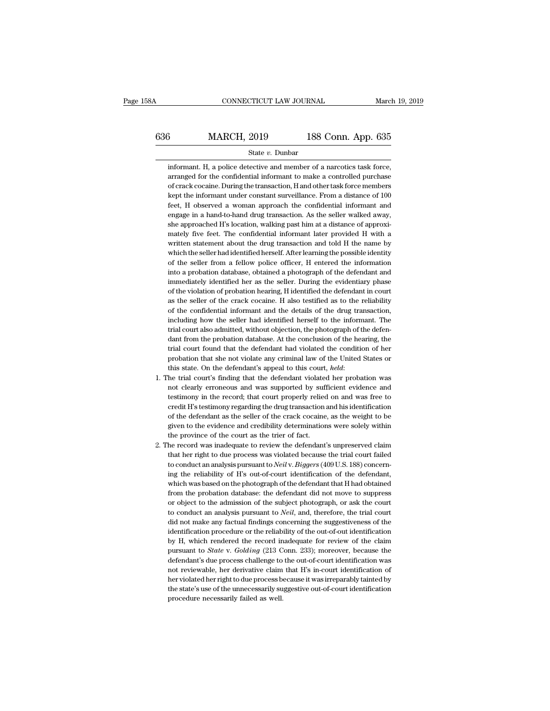# CONNECTICUT LAW JOURNAL March 19, 2019<br>636 MARCH, 2019 188 Conn. App. 635<br>54the v. Dunbar informant. H, a police detective and member of a narcotics task force,<br>arranged for the confidential informant to make a controlled purchase

State *v.* Dunbar

3<br> **arrow MARCH, 2019** 188 Conn. App. 635<br>
State *v*. Dunbar<br>
informant H, a police detective and member of a narcotics task force,<br>
arranged for the confidential informant to make a controlled purchase<br>
of crack cocaine. **Solution:** MARCH, 2019 188 Conn. App. 635<br>
state *v*. Dunbar<br>
informant. H, a police detective and member of a narcotics task force,<br>
arranged for the confidential informant to make a controlled purchase<br>
of crack cocain State  $v$ . Dunbar<br>
informant. H, a police detective and member of a narcotics task force,<br>
arranged for the confidential informant to make a controlled purchase<br>
of crack cocaine. During the transaction, H and other task State  $v$ . Dunbar<br>informant. H, a police detective and member of a narcotics task force,<br>arranged for the confidential informant to make a controlled purchase<br>of crack cocaine. During the transaction, H and other task for informant. H, a police detective and member of a narcotics task force, arranged for the confidential informant to make a controlled purchase of crack cocaine. During the transaction, H and other task force members kept the arranged for the confidential informant to make a controlled purchase<br>of crack cocaine. During the transaction, H and other task force members<br>kept the informant under constant surveillance. From a distance of 100<br>feet, H of crack cocaine. During the transaction, H and other task force members<br>kept the informant under constant surveillance. From a distance of 100<br>feet, H observed a woman approach the confidential informant and<br>engage in a h kept the informant under constant surveillance. From a distance of 100 feet, H observed a woman approach the confidential informant and engage in a hand-to-hand drug transaction. As the seller walked away, she approached H feet, H observed a woman approach the confidential informant and<br>engage in a hand-to-hand drug transaction. As the seller walked away,<br>she approached H's location, walking past him at a distance of approxi-<br>mately five fee engage in a hand-to-hand drug transaction. As the seller walked away,<br>she approached H's location, walking past him at a distance of approxi-<br>mately five feet. The confidential informant later provided H with a<br>written sta she approached H's location, walking past him at a distance of approximately five feet. The confidential informant later provided H with a written statement about the drug transaction and told H the name by which the selle mately five feet. The confidential informant later provided H with a<br>written statement about the drug transaction and told H the name by<br>which the seller had identified herself. After learning the possible identity<br>of the written statement about the drug transaction and told H the name by<br>which the seller had identified herself. After learning the possible identity<br>of the seller from a fellow police officer, H entered the information<br>into a which the seller had identified herself. After learning the possible identity<br>of the seller from a fellow police officer, H entered the information<br>into a probation database, obtained a photograph of the defendant and<br>imme of the seller from a fellow police officer, H entered the information<br>into a probation database, obtained a photograph of the defendant and<br>immediately identified her as the seller. During the evidentiary phase<br>of the viol into a probation database, obtained a photograph of the defendant and<br>immediately identified her as the seller. During the evidentiary phase<br>of the violation of probation hearing, H identified the defendant in court<br>as the into a probation database, obtained a photograph of the defendant and immediately identified her as the seller. During the evidentiary phase of the violation of probation hearing, H identified the defendant in court as th of the violation of probation hearing, H identified the defendant in court<br>as the seller of the crack cocaine. H also testified as to the reliability<br>of the confidential informant and the details of the drug transaction,<br>i as the seller of the crack cocaine. H also testified as to the reliability of the confidential informant and the details of the drug transaction, including how the seller had identified herself to the informant. The trial of the confidential informant and the details of the drug transaction, including how the seller had identified herself to the informant. The trial court also admitted, without objection, the photograph of the defendant fro including how the seller had identified herself to the informant. The trial court also admitted, without objection, the photograph of the defendant from the probation database. At the conclusion of the hearing, the trial c dant from the probation database. At the conclusion of the hearing, the trial court found that the defendant had violated the condition of her probation that she not violate any criminal law of the United States or this st

- trial court found that the defendant had violated the condition of her probation that she not violate any criminal law of the United States or this state. On the defendant's appeal to this court, *held*: he trial court's f probation that she not violate any criminal law of the United States or<br>this state. On the defendant's appeal to this court, *held*:<br>he trial court's finding that the defendant violated her probation was<br>not clearly errone this state. On the defendant's appeal to this court, *held*:<br>the trial court's finding that the defendant violated her probation was<br>not clearly erroneous and was supported by sufficient evidence and<br>testimony in the recor he trial court's finding that the defendant violated her probation was not clearly erroneous and was supported by sufficient evidence and testimony in the record; that court properly relied on and was free to credit H's te not clearly erroneous and was supported by sufferentimony in the record; that court properly relied credit H's testimony regarding the drug transaction of the defendant as the seller of the crack cocaine given to the evide testimony in the record; that court properly relied on and was free to credit H's testimony regarding the drug transaction and his identification of the defendant as the seller of the crack cocaine, as the weight to be giv credit H's testimony regarding the drug transaction and his identification<br>of the defendant as the seller of the crack cocaine, as the weight to be<br>given to the evidence and credibility determinations were solely within<br>th
- of the defendant as the seller of the crack cocaine, as the weight to be given to the evidence and credibility determinations were solely within the province of the court as the trier of fact.<br>he record was inadequate to r given to the evidence and credibility determinations were solely within<br>the province of the court as the trier of fact.<br>he record was inadequate to review the defendant's unpreserved claim<br>that her right to due process was the province of the court as the trier of fact.<br>
he record was inadequate to review the defendant's unpreserved claim<br>
that her right to due process was violated because the trial court failed<br>
to conduct an analysis pursu he record was inadequate to review the defendant's unpreserved claim<br>that her right to due process was violated because the trial court failed<br>to conduct an analysis pursuant to *Neil* v. *Biggers* (409 U.S. 188) concern-<br> that her right to due process was violated because the trial court failed<br>to conduct an analysis pursuant to *Neil* v. *Biggers* (409 U.S. 188) concerning the reliability of H's out-of-court identification of the defendan to conduct an analysis pursuant to *Neil* v. *Biggers* (409 U.S. 188) concerning the reliability of H's out-of-court identification of the defendant, which was based on the photograph of the defendant that H had obtained ing the reliability of H's out-of-court identification of the defendant, which was based on the photograph of the defendant that H had obtained from the probation database: the defendant did not move to suppress or object which was based on the photograph of the defendant that H had obtained<br>from the probation database: the defendant did not move to suppress<br>or object to the admission of the subject photograph, or ask the court<br>to conduct from the probation database: the defendant did not move to suppress<br>or object to the admission of the subject photograph, or ask the court<br>to conduct an analysis pursuant to *Neil*, and, therefore, the trial court<br>did not or object to the admission of the subject photograph, or ask the court<br>to conduct an analysis pursuant to *Neil*, and, therefore, the trial court<br>did not make any factual findings concerning the suggestiveness of the<br>ident to conduct an analysis pursuant to *Neil*, and, therefore, the trial court did not make any factual findings concerning the suggestiveness of the identification procedure or the reliability of the out-of-out identificatio did not make any factual findings concerning the suggestiveness of the identification procedure or the reliability of the out-of-out identification by H, which rendered the record inadequate for review of the claim pursuan identification procedure or the reliability of the out-of-out identification<br>by H, which rendered the record inadequate for review of the claim<br>pursuant to *State* v. *Golding* (213 Conn. 233); moreover, because the<br>defend by H, which rendered the record inadequate for review of the claim<br>pursuant to *State* v. *Golding* (213 Conn. 233); moreover, because the<br>defendant's due process challenge to the out-of-court identification was<br>not review pursuant to *State* v. *Golding* (213 C<br>defendant's due process challenge to<br>not reviewable, her derivative claim<br>her violated her right to due process b<br>the state's use of the unnecessarily su<br>procedure necessarily failed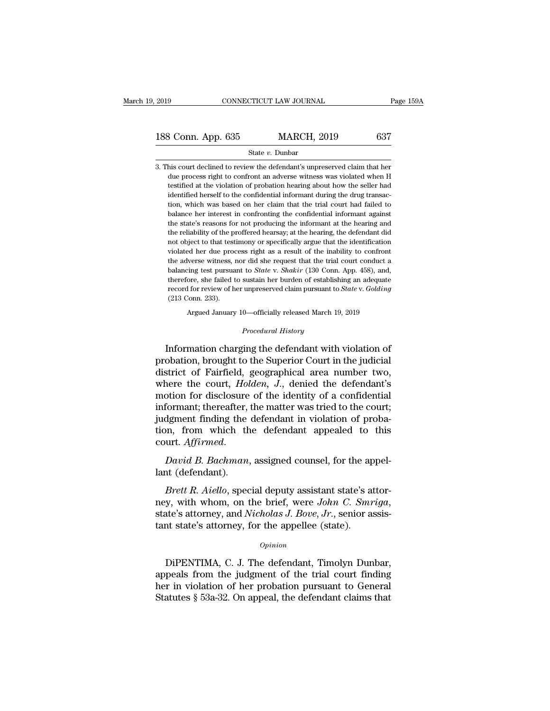# 2019 CONNECTICUT LAW JOURNAL Page 159A<br>
188 Conn. App. 635 MARCH, 2019 637<br>
State v. Dunbar

### State *v.* Dunbar

188 Conn. App. 635 MARCH, 2019 637<br>
State v. Dunbar<br>
3. This court declined to review the defendant's unpreserved claim that her<br>
due process right to confront an adverse witness was violated when H  $\begin{array}{c|c} \text{3.5} & \text{MARCH, 2019} & \text{637} \\ \text{State } v. & \text{Dunbar} \\ \text{this court declined to review the defendant's unpreserved claim that her due process right to confront an adverse witness was violated when H testified at the violation of the period is about how the seller had.} \end{array}$  $\begin{array}{r} \text{3.635} \text{1.44} \text{1.55} \text{1.55} \text{1.637} \end{array}$ <br>  $\begin{array}{r} \text{State } v. \text{ Dunbar} \text{1.54} \text{1.65} \end{array}$ <br>
this court declined to review the defendant's unpreserved claim that her<br>
due process right to confront an adverse wit 188 Conn. App. 635 MARCH, 2019 637<br>
State v. Dunbar<br>
3. This court declined to review the defendant's unpreserved claim that her<br>
due process right to confront an adverse witness was violated when H<br>
testified at the viol State  $v$ . Dunbar<br>
this court declined to review the defendant's unpreserved claim that her<br>
due process right to confront an adverse witness was violated when H<br>
testified at the violation of probation hearing about how his court declined to review the defendant's unpreserved claim that her due process right to confront an adverse witness was violated when H testified at the violation of probation hearing about how the seller had identifi the state's reasons for not variable the information of probability due process right to confront an adverse witness was violated when H testified at the violation of probation hearing about how the seller had identified h testified at the violation of probation hearing about how the seller had identified herself to the confidential informant during the drug transaction, which was based on her claim that the trial court had failed to balance identified herself to the confidential informant during the drug transaction, which was based on her claim that the trial court had failed to balance her interest in confronting the confidential informant against the state violation, which was based on her claim that the trial court had failed to balance her interest in confronting the confidential informant against the state's reasons for not producing the informant at the hearing and the r balance her interest in confronting the confidential informant against the state's reasons for not producing the informant at the hearing and the reliability of the proffered hearsay; at the hearing, the defendant did not the state's reasons for not producing the informant at the hearing and the reliability of the proffered hearsay; at the hearing, the defendant did not object to that testimony or specifically argue that the identification the reliability of the proffered hearsay; at the hearing, the defendant did not object to that testimony or specifically argue that the identification violated her due process right as a result of the inability to confron record for review of her unpreserved claim pursuant to *State* v. *Golding* (213 Conn. 233).<br>
State of the interview of the interview of the interview of the adverse witness, nor did she request that the trial court conduc not object to that testimony or specifically argue that the identification violated her due process right as a result of the inability to confront the adverse witness, nor did she request that the trial court conduct a ba balancing test pursuant to *State* v. *Shakir* (130 Conn. App. 458), and, therefore, she failed to sustain her burden of establishing an adequate record for review of her unpreserved claim pursuant to *State* v. *Golding* therefore, she failed to sustain her burden of establishing an adequate<br>record for review of her unpreserved claim pursuant to *State* v. *Golding*<br>(213 Conn. 233).<br>Argued January 10—officially released March 19, 2019<br>*Pro* 

Argued January 10—officially released March 19, 2019<br>*Procedural History*<br>Information charging the defendant with violation of record for review of her unpreserved claim pursuant to *State* v. *Golding*<br>
(213 Conn. 233).<br>
Argued January 10—officially released March 19, 2019<br>
Procedural History<br>
Information charging the defendant with violation of<br> (213 Conn. 233).<br>
Argued January 10—officially released March 19, 2019<br>  $Precedural History$ <br>
Information charging the defendant with violation of<br>
probation, brought to the Superior Court in the judicial<br>
district of Fairfield, geogra Argued January 10—officially released March 19, 2019<br> *Procedural History*<br>
Information charging the defendant with violation of<br>
probation, brought to the Superior Court in the judicial<br>
district of Fairfield, geographica *Procedural History*<br>Information charging the defendant with violation of<br>probation, brought to the Superior Court in the judicial<br>district of Fairfield, geographical area number two,<br>where the court, *Holden*, *J*., denie Information charging the defendant with violation of<br>probation, brought to the Superior Court in the judicial<br>district of Fairfield, geographical area number two,<br>where the court, *Holden*, *J*., denied the defendant's<br>mot Information charging the defendant with violation of<br>probation, brought to the Superior Court in the judicial<br>district of Fairfield, geographical area number two,<br>where the court,  $Holden$ ,  $J$ ., denied the defendant's<br>motio probation, brought to the Superior Court in the judicial<br>district of Fairfield, geographical area number two,<br>where the court, *Holden*, *J.*, denied the defendant's<br>motion for disclosure of the identity of a confidential<br> motion for disclosure of the identity of a confidential<br>informant; thereafter, the matter was tried to the court;<br>judgment finding the defendant in violation of proba-<br>tion, from which the defendant appealed to this<br>court. modern for discressing<br>informant; thereafter,<br>judgment finding the<br>tion, from which the<br>court. Affirmed.<br>David B. Bachman,<br>lant (defendant).<br>Brett R. Aiello, spec *Breth,* from which the defendant in violation of proba-<br>*Brett Affirmed.*<br>*Bavid B. Bachman*, assigned counsel, for the appel-<br>*Brett R. Aiello*, special deputy assistant state's attor-<br>*Brett R. Aiello*, special deputy a

ney, from which the defendant appealed to this court. Affirmed.<br>
David B. Bachman, assigned counsel, for the appel-<br>
lant (defendant).<br> *Brett R. Aiello*, special deputy assistant state's attor-<br>
mey, with whom, on the bri David B. Bachman, assigned counsel, for the appear (defendant).<br>Brett R. Aiello, special deputy assistant state's a ney, with whom, on the brief, were John C. Smn state's attorney, and Nicholas J. Bove, Jr., senior a tant *Brett R. Aiello*, special deputy assistant state's attor-<br>y, with whom, on the brief, were *John C. Smriga*,<br>ate's attorney, and *Nicholas J. Bove*, *Jr.*, senior assis-<br>int state's attorney, for the appellee (state).<br>*Op* 

### *Opinion*

mey, with whom, on the brief, were *John C. Smriga*,<br>state's attorney, and *Nicholas J. Bove*, *Jr.*, senior assistant state's attorney, for the appellee (state).<br> $o_{pinion}$ <br>DiPENTIMA, C. J. The defendant, Timolyn Dunbar,<br>ap state's attorney, and *Nicholas J. Bove, Jr.*, senior assistant state's attorney, for the appellee (state).<br> *Opinion*<br>
DiPENTIMA, C. J. The defendant, Timolyn Dunbar,<br>
appeals from the judgment of the trial court finding<br> tant state's attorney, for the appellee (state).<br>  $\phi_{pinion}$ <br>
DiPENTIMA, C. J. The defendant, Timolyn Dunbar,<br>
appeals from the judgment of the trial court finding<br>
her in violation of her probation pursuant to General<br>
Sta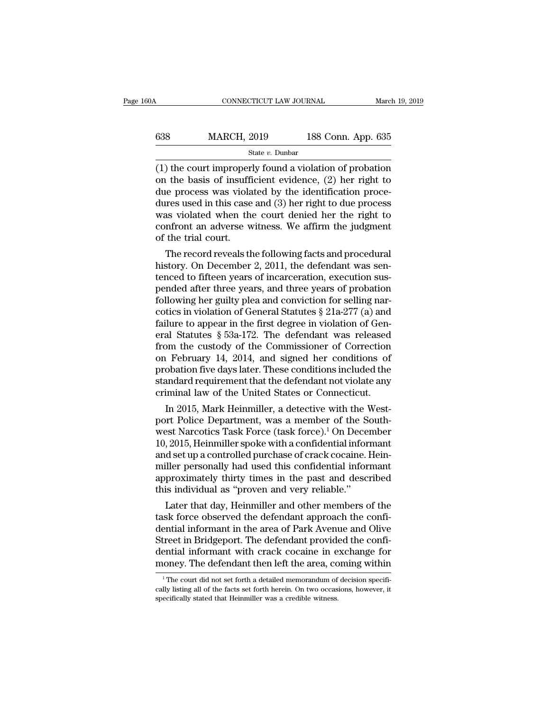| 60A | CONNECTICUT LAW JOURNAL |                    | March 19, 2019 |
|-----|-------------------------|--------------------|----------------|
| 638 | <b>MARCH, 2019</b>      | 188 Conn. App. 635 |                |
|     | State $v$ . Dunbar      |                    |                |

(1) the court improperly found a violation of probation<br>the basis of insufficient evidence, (2) her right to<br>the process was violated by the identification process 638 MARCH, 2019 188 Conn. App. 635<br>
state v. Dunbar<br>
(1) the court improperly found a violation of probation<br>
on the basis of insufficient evidence, (2) her right to<br>
due process was violated by the identification proce-<br> 638 MARCH, 2019 188 Conn. App. 635<br>
State v. Dunbar<br>
(1) the court improperly found a violation of probation<br>
on the basis of insufficient evidence, (2) her right to<br>
due process was violated by the identification proce-<br> MARCH, 2019 188 Conn. App. 635<br>
state v. Dunbar<br>
(1) the court improperly found a violation of probation<br>
on the basis of insufficient evidence, (2) her right to<br>
due process was violated by the identification proce-<br>
dur State v. Dunbar<br>State v. Dunbar<br>(1) the court improperly found a violation of probation<br>on the basis of insufficient evidence, (2) her right to<br>due process was violated by the identification proce-<br>dures used in this case state v. Dunbar<br>
(1) the court improperly found a violation of probation<br>
on the basis of insufficient evidence, (2) her right to<br>
due process was violated by the identification proce-<br>
dures used in this case and (3) her (1) the court improper<br>on the basis of insuffi<br>due process was viola<br>dures used in this case<br>was violated when the<br>confront an adverse w<br>of the trial court.<br>The record reveals th The record in this case and (3) her right to due process<br>tres used in this case and (3) her right to due process<br>as violated when the court denied her the right to<br>infront an adverse witness. We affirm the judgment<br>the tr due process was violated by the identification procedures used in this case and (3) her right to due process<br>was violated when the court denied her the right to<br>confront an adverse witness. We affirm the judgment<br>of the tr

the state of the court denied her the right to confront an adverse witness. We affirm the judgment of the trial court.<br>The record reveals the following facts and procedural history. On December 2, 2011, the defendant was was violated when the court denied her the right to<br>confront an adverse witness. We affirm the judgment<br>of the trial court.<br>The record reveals the following facts and procedural<br>history. On December 2, 2011, the defendant contront an adverse witness. We attirn the judgment<br>of the trial court.<br>The record reveals the following facts and procedural<br>history. On December 2, 2011, the defendant was sen-<br>tenced to fifteen years of incarceration, or the trial court.<br>
The record reveals the following facts and procedural<br>
history. On December 2, 2011, the defendant was sen-<br>
tenced to fifteen years of incarceration, execution sus-<br>
pended after three years, and thr The record reveals the following facts and procedural<br>history. On December 2, 2011, the defendant was sen-<br>tenced to fifteen years of incarceration, execution sus-<br>pended after three years, and three years of probation<br>fo history. On December 2, 2011, the defendant was sentenced to fifteen years of incarceration, execution sus-<br>pended after three years, and three years of probation<br>following her guilty plea and conviction for selling nar-<br> tenced to fifteen years of incarceration, execution sus-<br>pended after three years, and three years of probation<br>following her guilty plea and conviction for selling nar-<br>cotics in violation of General Statutes  $\S 21a-277$ pended after three years, and three years of probation<br>following her guilty plea and conviction for selling nar-<br>cotics in violation of General Statutes § 21a-277 (a) and<br>failure to appear in the first degree in violation following her guilty plea and conviction for selling narcotics in violation of General Statutes  $\S 21a-277$  (a) and failure to appear in the first degree in violation of General Statutes  $\S 53a-172$ . The defendant was rel cotics in violation of General Statutes  $\S$  21a-277 (a) and<br>failure to appear in the first degree in violation of General Statutes  $\S$  53a-172. The defendant was released<br>from the custody of the Commissioner of Correction failure to appear in the first degree in violation of General Statutes  $\S$  53a-172. The defendant was released from the custody of the Commissioner of Correction on February 14, 2014, and signed her conditions of probatio an Statutes  $\frac{1}{2}$  53a-172. The defendant was released<br>om the custody of the Commissioner of Correction<br>February 14, 2014, and signed her conditions of<br>obation five days later. These conditions included the<br>andard requ portom the custody of the Commissioner of Correction<br>on February 14, 2014, and signed her conditions of<br>probation five days later. These conditions included the<br>standard requirement that the defendant not violate any<br>crimi

on February 14, 2014, and signed her conditions or<br>probation five days later. These conditions included the<br>standard requirement that the defendant not violate any<br>criminal law of the United States or Connecticut.<br>In 2015, probation five days later. These conditions included the<br>standard requirement that the defendant not violate any<br>criminal law of the United States or Connecticut.<br>In 2015, Mark Heinmiller, a detective with the West-<br>port P standard requirement that the defendant not violate any<br>criminal law of the United States or Connecticut.<br>In 2015, Mark Heinmiller, a detective with the West-<br>port Police Department, was a member of the South-<br>west Narcoti criminal law of the United States or Connecticut.<br>In 2015, Mark Heinmiller, a detective with the West-<br>port Police Department, was a member of the South-<br>west Narcotics Task Force (task force).<sup>1</sup> On December<br>10, 2015, Hei In 2015, Mark Heinmiller, a detective with the West-<br>port Police Department, was a member of the South-<br>west Narcotics Task Force (task force).<sup>1</sup> On December<br>10, 2015, Heinmiller spoke with a confidential informant<br>and se port Police Department, was a member of the S<br>west Narcotics Task Force (task force).<sup>1</sup> On Decen<br>10, 2015, Heinmiller spoke with a confidential inform<br>and set up a controlled purchase of crack cocaine. I<br>miller personally SET Narcoucs Task Force (task force).<br>
2015, Heinmiller spoke with a confidential informant<br>
d set up a controlled purchase of crack cocaine. Hein-<br>
iller personally had used this confidential informant<br>
proximately thirty To, 2015, Hemmuler spoke with a confidential informant<br>and set up a controlled purchase of crack cocaine. Hein-<br>miller personally had used this confidential informant<br>approximately thirty times in the past and described<br>th

and set up a controlled purchase of crack cocaine. Helm-<br>miller personally had used this confidential informant<br>approximately thirty times in the past and described<br>this individual as "proven and very reliable."<br>Later that muler personally had used this confidential informant<br>approximately thirty times in the past and described<br>this individual as "proven and very reliable."<br>Later that day, Heinmiller and other members of the<br>task force obser approximately thirty times in the past and described<br>this individual as "proven and very reliable."<br>Later that day, Heinmiller and other members of the<br>task force observed the defendant approach the confi-<br>dential informan this individual as "proven and very reliable."<br>Later that day, Heinmiller and other members of the<br>task force observed the defendant approach the confi-<br>dential informant in the area of Park Avenue and Olive<br>Street in Brid ential informant in the area of Park Avenue and Olive<br>treet in Bridgeport. The defendant provided the confi-<br>ential informant with crack cocaine in exchange for<br>oney. The defendant then left the area, coming within<br><sup>1</sup>The Street in Bridgeport. The defendant provided the confi-<br>dential informant with crack cocaine in exchange for<br>money. The defendant then left the area, coming within<br><sup>1</sup>The court did not set forth a detailed memorandum of de dential informant with crack cocaine in e<br>money. The defendant then left the area, co<br><sup>1</sup>The court did not set forth a detailed memorandum of<br>cally listing all of the facts set forth herein. On two occas<br>specifically state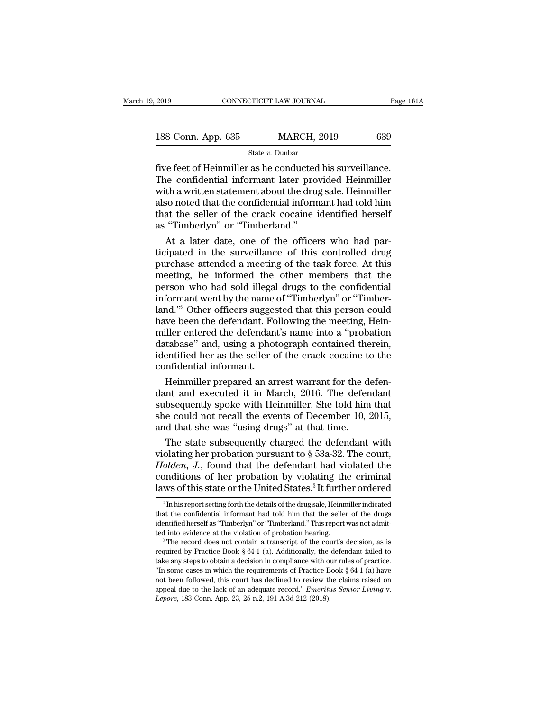| 2019               | CONNECTICUT LAW JOURNAL | Page 161A |
|--------------------|-------------------------|-----------|
| 188 Conn. App. 635 | <b>MARCH, 2019</b>      | 639       |
|                    | State $v$ . Dunbar      |           |

Five feet of Heinmiller as he conducted his surveillance.<br>The confidential informant later provided Heinmiller<br>with a written statement about the drug sale. Heinmiller  $\begin{tabular}{l l l l} \hline & \multicolumn{1}{l}{{\bf 188}}\,{\bf Conn.} \text{ App. 635} & \multicolumn{1}{l}{{\bf 188}}\,{\bf Conn.} \text{ App. 635} & \multicolumn{1}{l}{{\bf 188}}\,{\bf 189} & \multicolumn{1}{l}{{\bf 188}}\,{\bf 188} & \multicolumn{1}{l}{{\bf 188}}\,{\bf 188} & \multicolumn{1}{l}{{\bf 188}}\,{\bf 188} & \multicolumn{1}{l}{{\bf 188}}\,{\bf 188$ 188 Conn. App. 635 MARCH, 2019 639<br>
State v. Dunbar<br>
Tive feet of Heinmiller as he conducted his surveillance.<br>
The confidential informant later provided Heinmiller<br>
with a written statement about the drug sale. Heinmille 188 Conn. App. 635 MARCH, 2019 639<br>  $\frac{\text{State } v. \text{ Dunbar}}{\text{five feet of Heinmiller as he conducted his surveillance.}}$ <br>
The confidential informant later provided Heinmiller<br>
with a written statement about the drug sale. Heinmiller<br>
also noted that the confidential infor State v. Dunbar<br>
State v. Dunbar<br>
Tive feet of Heinmiller as he conducted his surveillance.<br>
The confidential informant later provided Heinmiller<br>
with a written statement about the drug sale. Heinmiller<br>
also noted that State  $v$ . Dunbar<br>
five feet of Heinmiller as he conducted<br>
The confidential informant later pro<br>
with a written statement about the dru<br>
also noted that the confidential inform<br>
that the seller of the crack cocaine<br>
as " re feet of Heinmiller as he conducted his surveillance.<br>
he confidential informant later provided Heinmiller<br>
th a written statement about the drug sale. Heinmiller<br>
so noted that the confidential informant had told him<br>
a The confidential informant later provided Heinmiller<br>with a written statement about the drug sale. Heinmiller<br>also noted that the confidential informant had told him<br>that the seller of the crack cocaine identified herself<br>

with a written statement about the drug sale. Heinmiller<br>also noted that the confidential informant had told him<br>that the seller of the crack cocaine identified herself<br>as "Timberlyn" or "Timberland."<br>At a later date, one also noted that the confidential informant had told him<br>that the seller of the crack cocaine identified herself<br>as "Timberlyn" or "Timberland."<br>At a later date, one of the officers who had par-<br>ticipated in the surveillanc that the seller of the crack cocaine identified herself<br>as "Timberlyn" or "Timberland."<br>At a later date, one of the officers who had par-<br>ticipated in the surveillance of this controlled drug<br>purchase attended a meeting of as "Timberlyn" or "Timberland."<br>At a later date, one of the officers who had par-<br>ticipated in the surveillance of this controlled drug<br>purchase attended a meeting of the task force. At this<br>meeting, he informed the other At a later date, one of the officers who had participated in the surveillance of this controlled drug<br>purchase attended a meeting of the task force. At this<br>meeting, he informed the other members that the<br>person who had so ticipated in the surveillance of this controlled drug<br>purchase attended a meeting of the task force. At this<br>meeting, he informed the other members that the<br>person who had sold illegal drugs to the confidential<br>informant w purchase attended a meeting of the task force. At this<br>meeting, he informed the other members that the<br>person who had sold illegal drugs to the confidential<br>informant went by the name of "Timberlyn" or "Timber-<br>land."<sup>2</sup> O meeting, he informed the other members that the<br>person who had sold illegal drugs to the confidential<br>informant went by the name of "Timberlyn" or "Timber-<br>land."<sup>2</sup> Other officers suggested that this person could<br>have bee person who had sold illegal drugs to the confidential<br>informant went by the name of "Timberlyn" or "Timber-<br>land."<sup>2</sup> Other officers suggested that this person could<br>have been the defendant. Following the meeting, Hein-<br>mi informant went by the name land."<sup>2</sup> Other officers sugges<br>have been the defendant. Fo<br>miller entered the defendan<br>database" and, using a phot<br>identified her as the seller c<br>confidential informant.<br>Heinmiller prepared an a nd."<sup>2</sup> Other officers suggested that this person could<br>we been the defendant. Following the meeting, Hein-<br>iller entered the defendant's name into a "probation<br>tabase" and, using a photograph contained therein,<br>entified h have been the defendant. Following the meeting, Hein-<br>miller entered the defendant's name into a "probation<br>database" and, using a photograph contained therein,<br>identified her as the seller of the crack cocaine to the<br>conf

miller entered the defendant's name into a "probation<br>database" and, using a photograph contained therein,<br>identified her as the seller of the crack cocaine to the<br>confidential informant.<br>Heinmiller prepared an arrest warr database" and, using a photograph contained therein,<br>identified her as the seller of the crack cocaine to the<br>confidential informant.<br>Heinmiller prepared an arrest warrant for the defen-<br>dant and executed it in March, 2016 identified her as the seller of the crack cocaine to<br>confidential informant.<br>Heinmiller prepared an arrest warrant for the dot<br>and and executed it in March, 2016. The defen<br>subsequently spoke with Heinmiller. She told him<br> Heinmiller prepared an arrest warrant for the defen-<br>nt and executed it in March, 2016. The defendant<br>bsequently spoke with Heinmiller. She told him that<br>e could not recall the events of December 10, 2015,<br>d that she was Heinmiller prepared an arrest warrant for the defendant<br>dant and executed it in March, 2016. The defendant<br>subsequently spoke with Heinmiller. She told him that<br>she could not recall the events of December 10, 2015,<br>and th

dant and executed it in March, 2016. The defendant<br>subsequently spoke with Heinmiller. She told him that<br>she could not recall the events of December 10, 2015,<br>and that she was "using drugs" at that time.<br>The state subseque subsequently spoke with Heinmiller. She told him that<br>she could not recall the events of December 10, 2015,<br>and that she was "using drugs" at that time.<br>The state subsequently charged the defendant with<br>violating her prob she could not recall the events of December 10, 2015,<br>and that she was "using drugs" at that time.<br>The state subsequently charged the defendant with<br>violating her probation pursuant to § 53a-32. The court,<br>*Holden*, *J*., olating her probation pursuant to § 53a-32. The court,<br>folden, J., found that the defendant had violated the<br>ponditions of her probation by violating the criminal<br>ws of this state or the United States.<sup>3</sup> It further order Holden, J., found that the defendant had violated the conditions of her probation by violating the criminal laws of this state or the United States.<sup>3</sup> It further ordered  $\frac{2 \text{ In his report setting forth the details of the drug sale, Heinmiller indicated that the confidential informal had told him that the seller of the drugs identified herself as "Timberlyn" or "Timberland$ 

conditions of her probation by violating the criminal<br>laws of this state or the United States.<sup>3</sup> It further ordered<br> $\frac{1}{2}$  In his report setting forth the details of the drug sale, Heinmiller indicated<br>that the confid Laws of this state or the United States.<sup>3</sup> It further ordered<br>
<sup>2</sup> In his report setting forth the details of the drug sale, Heinmiller indicated<br>
that the confidential informant had told him that the seller of the drugs

<sup>&</sup>lt;sup>2</sup> In his report setting forth the details of the drug sale, Heinmiller indicated that the confidential informant had told him that the seller of the drugs identified herself as "Timberlyn" or "Timberland." This report w that the confidential informant had told him that the seller of the drugs identified herself as "Timberlyn" or "Timberland." This report was not admitted into evidence at the violation of probation hearing.<br>
<sup>3</sup> The recor identified herself as "Timberlyn" or "Timberland." This report was not admitted into evidence at the violation of probation hearing.<br>
<sup>3</sup> The record does not contain a transcript of the court's decision, as is required by note that we could be the violation of probation hearing.<br>
<sup>3</sup> The record does not contain a transcript of the court's decision, as is<br>
required by Practice Book § 64-1 (a). Additionally, the defendant failed to<br>
take any <sup>3</sup> The record does not contain a transcript of the court's decision, as is required by Practice Book § 64-1 (a). Additionally, the defendant failed to take any steps to obtain a decision in compliance with our rules of p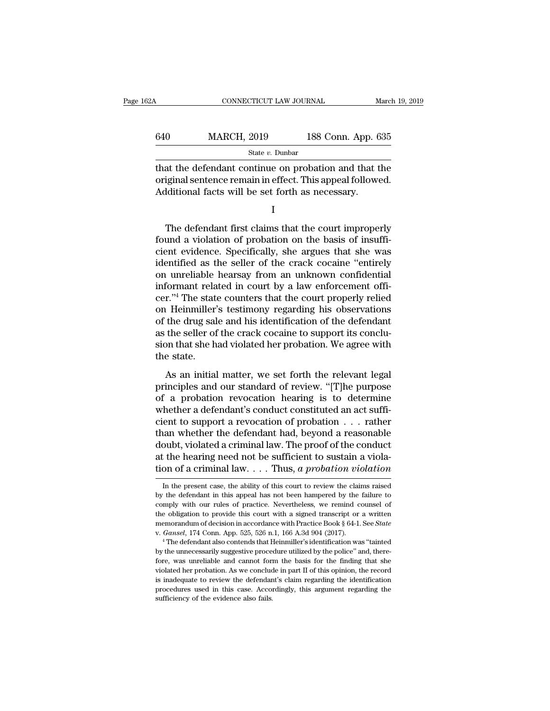| 2Α  | CONNECTICUT LAW JOURNAL                                                                                                                                               |                    | March 19, 2019 |
|-----|-----------------------------------------------------------------------------------------------------------------------------------------------------------------------|--------------------|----------------|
|     |                                                                                                                                                                       |                    |                |
| 640 | <b>MARCH, 2019</b>                                                                                                                                                    | 188 Conn. App. 635 |                |
|     | State $v$ . Dunbar                                                                                                                                                    |                    |                |
|     | that the defendant continue on probation and that the<br>original sentence remain in effect. This appeal followed.<br>Additional facts will be set forth as necessary |                    |                |

MARCH, 2019 188 Conn. App. 635<br>
state v. Dunbar<br>
that the defendant continue on probation and that the<br>
original sentence remain in effect. This appeal followed.<br>
Additional facts will be set forth as necessary.  $\begin{array}{r} \n 640 \quad \text{MARCH, } 2019 \quad \text{188 Conn. App. 6} \\
 \hline \n 840 \quad \text{State } v. \text{ Dunbar} \\
 \n that the defendant continue on~ probability and that to the original sentence remain in effect. This appeal follows. \n Additionally, additional facts will be set for the as necessary. \n \n I\n\end{array}$ state *t*. Bullional<br>at the defendant continue on probation and that the<br>iginal sentence remain in effect. This appeal followed.<br>diditional facts will be set forth as necessary.<br>I<br>The defendant first claims that the court

I

that the defendant continue on probation and that the<br>original sentence remain in effect. This appeal followed.<br>Additional facts will be set forth as necessary.<br>I<br>The defendant first claims that the court improperly<br>found original sentence remain in effect. This appeal followed.<br>Additional facts will be set forth as necessary.<br>I<br>The defendant first claims that the court improperly<br>found a violation of probation on the basis of insuffi-<br>cien Additional facts will be set forth as necessary.<br>
I<br>
The defendant first claims that the court improperly<br>
found a violation of probation on the basis of insuffi-<br>
cient evidence. Specifically, she argues that she was<br>
ide I<br>
I<br>
The defendant first claims that the court improperly<br>
found a violation of probation on the basis of insuffi-<br>
cient evidence. Specifically, she argues that she was<br>
identified as the seller of the crack cocaine "ent The defendant first claims that the court improperly<br>found a violation of probation on the basis of insuffi-<br>cient evidence. Specifically, she argues that she was<br>identified as the seller of the crack cocaine "entirely<br>on The defendant first claims that the court improperly<br>found a violation of probation on the basis of insuffi-<br>cient evidence. Specifically, she argues that she was<br>identified as the seller of the crack cocaine "entirely<br>on found a violation of probation on the basis of insufficient evidence. Specifically, she argues that she was<br>identified as the seller of the crack cocaine "entirely<br>on unreliable hearsay from an unknown confidential<br>informa cient evidence. Specifically, she argues that she was<br>identified as the seller of the crack cocaine "entirely<br>on unreliable hearsay from an unknown confidential<br>informant related in court by a law enforcement offi-<br>cer."<sup>4</sup> identified as the seller of the crack cocaine "entirely<br>on unreliable hearsay from an unknown confidential<br>informant related in court by a law enforcement offi-<br>cer."<sup>4</sup> The state counters that the court properly relied<br>on on unreliable hearsay from an unknown confidential<br>informant related in court by a law enforcement offi-<br>cer."<sup>4</sup> The state counters that the court properly relied<br>on Heinmiller's testimony regarding his observations<br>of th informant rela<br>cer."<sup>4</sup> The state<br>on Heinmiller'<br>of the drug sal<br>as the seller of<br>sion that she h<br>the state.<br>As an initial As an initial matter, we set forth the relevant legal<br>and intervals and his identification of the defendant<br>the seller of the crack cocaine to support its conclu-<br>on that she had violated her probation. We agree with<br>e st of the drug sale and his identification of the defendant<br>as the seller of the crack cocaine to support its conclu-<br>sion that she had violated her probation. We agree with<br>the state.<br>As an initial matter, we set forth the r

of the drag sate and his rachametation of the determined as the seller of the crack cocaine to support its conclusion that she had violated her probation. We agree with the state.<br>As an initial matter, we set forth the rel as are sener of the clack escaline to support its conclusion that she had violated her probation. We agree with the state.<br>
As an initial matter, we set forth the relevant legal principles and our standard of review. "[T] chient to support a revolution of probability. We agree with<br>the state.<br>As an initial matter, we set forth the relevant legal<br>principles and our standard of review. "[T]he purpose<br>of a probation revocation hearing is to de As an initial matter, we set forth the relevant legal<br>principles and our standard of review. "[T]he purpose<br>of a probation revocation hearing is to determine<br>whether a defendant's conduct constituted an act suffi-<br>cient t As an initial matter, we set forth the relevant legal<br>principles and our standard of review. "[T]he purpose<br>of a probation revocation hearing is to determine<br>whether a defendant's conduct constituted an act suffi-<br>cient t principles and our standard of review. "[T]he purpose<br>of a probation revocation hearing is to determine<br>whether a defendant's conduct constituted an act suffi-<br>cient to support a revocation of probation  $\dots$  rather<br>than w of a probation revocation hearing is to determine<br>whether a defendant's conduct constituted an act suffi-<br>cient to support a revocation of probation  $\dots$  rather<br>than whether the defendant had, beyond a reasonable<br>doubt, v In the present case, the ability of this court to review the conduct of the hearing need not be sufficient to sustain a violation of a criminal law.... Thus, a probation violation  $\ln$  the present case, the ability of thi doubt, violated a criminal law. The proof of the conduct<br>at the hearing need not be sufficient to sustain a viola-<br>tion of a criminal law. . . . Thus, a probation violation<br>In the present case, the ability of this court t

at the hearing need not be sufficient to sustain a violation of a criminal law.  $\ldots$  Thus, a probation violation  $\overline{\phantom{a}}$  In the present case, the ability of this court to review the claims raised by the defendant in tion of a criminal law.  $\ldots$  Thus, a probation violation<br>In the present case, the ability of this court to review the claims raised<br>by the defendant in this appeal has not been hampered by the failure to<br>comply with our In the present case, the ability of this court to review the claims raised<br>In the present case, the ability of this court to review the claims raised<br>by the defendant in this appeal has not been hampered by the failure to<br> by the defendant in this appeal has not been hampered by the failure to comply with our rules of practice. Nevertheless, we remind counsel of the obligation to provide this court with a signed transcript or a written memo

for the obligation to provide this court with a signed transcript or a written<br>memorandum of decision in accordance with Practice Book § 64-1. See *State*<br>v. *Gansel*, 174 Conn. App. 525, 526 n.1, 166 A.3d 904 (2017).<br><sup>4</sup> memorandum of decision in accordance with Practice Book § 64-1. See *State* v. *Gansel*, 174 Conn. App. 525, 526 n.1, 166 A.3d 904 (2017).<br>
<sup>4</sup> The defendant also contends that Heinmiller's identification was "tainted by t v. *Gansel*, 174 Conn. App. 525, 526 n.1, 166 A.3d 904 (2017).<br>
<sup>4</sup> The defendant also contends that Heinmiller's identification was "tainted<br>
by the unnecessarily suggestive procedure utilized by the police" and, there-<br> <sup>4</sup> The defendant also contends that Heinmiller's identification was "tainted<br>by the unnecessarily suggestive procedure utilized by the police" and, there-<br>fore, was unreliable and cannot form the basis for the finding tha by the unnecessarily suggestive procedure utilized by the police" and, therefore, was unreliable and cannot form the basis for the finding that she violated her probation. As we conclude in part II of this opinion, the rec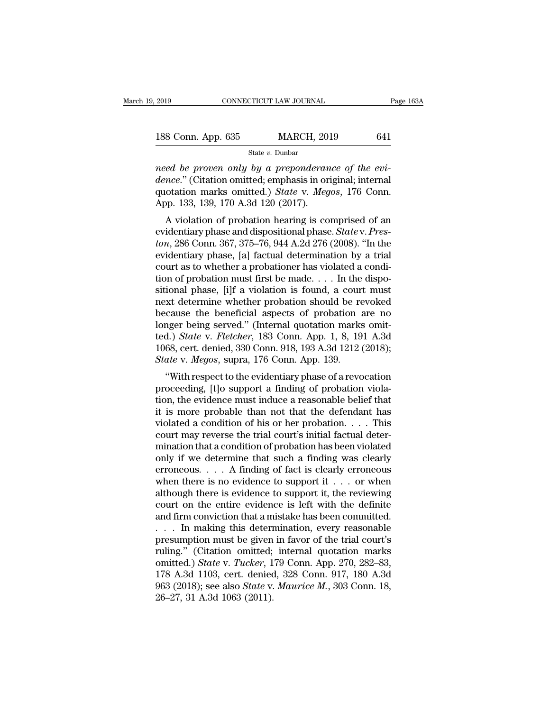| 2019               | CONNECTICUT LAW JOURNAL | Page 163A |
|--------------------|-------------------------|-----------|
| 188 Conn. App. 635 | <b>MARCH, 2019</b>      | 641       |
|                    | State $v$ . Dunbar      |           |

*need be proven only by a preponderance of the evi-*<br>*need be proven only by a preponderance of the evi-*<br>*need be proven only by a preponderance of the evi-*<br>*dence.*" (Citation omitted; emphasis in original; internal<br>aus **188 Conn. App. 635 MARCH**, 2019 **641**<br> **state v. Dunbar**<br> **need be proven only by a preponderance of the evi-**<br> **dence.**" (Citation omitted; emphasis in original; internal<br> **quotation marks omitted.) State v. Megos, 176** 188 Conn. App. 635 MARCH, 2019 641<br>
State v. Dunbar<br>
meed be proven only by a preponderance of the evi-<br>
dence." (Citation omitted; emphasis in original; internal<br>
quotation marks omitted.) *State* v. *Megos*, 176 Conn.<br>
A  $\begin{tabular}{ll} \bf 188 \,\, Conn. \,\, App. \,\, 635 & \quad \, \text{MARCH, 20:} \\ & \quad \ \text{State $v$. Dunbar} \\ \hline \end{tabular} \end{tabular} \begin{tabular}{ll} \bf 188 \,\, 120 & \quad \, \text{State $v$. Dunbar} \\ \bf 201 & \quad \, \text{Meon} \\ \bf 212 & \quad \, \text{Re} \\ \bf 22 & \quad \, \text{Re} \\ \bf 23 & \quad \, \text{Re} \\ \bf 24 & \quad \, \text{Re} \\ \bf 25 & \quad \, \text{Re} \\ \bf 2$ State v. Dunbar<br>
ed be proven only by a preponderance of the evi-<br>
nce." (Citation omitted; emphasis in original; internal<br>
otation marks omitted.) State v. Megos, 176 Conn.<br>
pp. 133, 139, 170 A.3d 120 (2017).<br>
A violatio read be proven only by a preponderance of the evidence." (Citation omitted; emphasis in original; internal quotation marks omitted.) *State* v. *Megos*, 176 Conn.<br>
App. 133, 139, 170 A.3d 120 (2017).<br>
A violation of probat

*tonies to a proven only by a preponderance by the evidence.*" (Citation omitted; emphasis in original; internal quotation marks omitted.) *State v. Megos*, 176 Conn. App. 133, 139, 170 A.3d 120 (2017).<br>A violation of pr dente. (Chanon onlitted, enfphasis in original, internation<br>quotation marks omitted.) *State v. Megos*, 176 Conn.<br>App. 133, 139, 170 A.3d 120 (2017).<br>A violation of probation hearing is comprised of an<br>evidentiary phase an quotation marks omitted.) *State v. megos*, 170 Comi.<br>App. 133, 139, 170 A.3d 120 (2017).<br>A violation of probation hearing is comprised of an<br>evidentiary phase and dispositional phase. *State v. Pres-*<br>ton, 286 Conn. 367, App. 135, 139, 170 A.3d 120 (2017).<br>
A violation of probation hearing is comprised of an evidentiary phase and dispositional phase. *State v. Preston*, 286 Conn. 367, 375–76, 944 A.2d 276 (2008). "In the evidentiary phase A violation of probation hearing is comprised of an evidentiary phase and dispositional phase. *State* v. *Preston*, 286 Conn. 367, 375–76, 944 A.2d 276 (2008). "In the evidentiary phase, [a] factual determination by a tr evidentiary phase and dispositional phase. *State* v. *Preston*, 286 Conn. 367, 375–76, 944 A.2d 276 (2008). "In the evidentiary phase, [a] factual determination by a trial court as to whether a probationer has violated a ton, 286 Conn. 367, 375–76, 944 A.2d 276 (2008). "In the evidentiary phase, [a] factual determination by a trial<br>court as to whether a probationer has violated a condi-<br>tion of probation must first be made.... In the disp evidentiary phase, [a] factual determination by a trial<br>court as to whether a probationer has violated a condi-<br>tion of probation must first be made.... In the dispo-<br>sitional phase, [i]f a violation is found, a court mus court as to whether a probationer has violated a condition of probation must first be made. . . . In the dispositional phase, [i]f a violation is found, a court must next determine whether probation should be revoked becau tion of probation must first be made. . . . In the dispositional phase, [i]f a violation is found, a court must<br>next determine whether probation should be revoked<br>because the beneficial aspects of probation are no<br>longer sitional phase, [i]f a violation is found, a cournext determine whether probation should be re<br>because the beneficial aspects of probation :<br>longer being served." (Internal quotation marks<br>ted.) *State* v. *Fletcher*, 183 XI determine whether probation should be revoked<br>
cause the beneficial aspects of probation are no<br>
nger being served." (Internal quotation marks omit-<br>
d.) *State* v. *Fletcher*, 183 Conn. App. 1, 8, 191 A.3d<br>
68, cert. d because the beheficial aspects of probation are no<br>longer being served." (Internal quotation marks omit-<br>ted.) *State v. Fletcher*, 183 Conn. 9pp. 1, 8, 191 A.3d<br>1068, cert. denied, 330 Conn. 918, 193 A.3d 1212 (2018);<br>*St* 

ted.) *State v. Fletcher*, 183 Conn. App. 1, 8, 191 A.3d<br>1068, cert. denied, 330 Conn. 918, 193 A.3d 1212 (2018);<br>*State v. Megos*, supra, 176 Conn. App. 139.<br>"With respect to the evidentiary phase of a revocation<br>proceedi ied.) state v. Fletcher, 165 Collii. App. 1, 6, 191 A.5d<br>1068, cert. denied, 330 Conn. 918, 193 A.3d 1212 (2018);<br>*State* v. *Megos*, supra, 176 Conn. App. 139.<br>"With respect to the evidentiary phase of a revocation<br>proce violation, the evidentiary phase of a revocation<br>State v. Megos, supra, 176 Conn. App. 139.<br>
"With respect to the evidentiary phase of a revocation<br>proceeding, [t] o support a finding of probation viola-<br>
tion, the eviden State v. megos, supra, 170 Court. App. 159.<br>
"With respect to the evidentiary phase of a revocation<br>
proceeding, [t]o support a finding of probation viola-<br>
tion, the evidence must induce a reasonable belief that<br>
it is m "With respect to the evidentiary phase of a revocation<br>proceeding, [t]o support a finding of probation viola-<br>tion, the evidence must induce a reasonable belief that<br>it is more probable than not that the defendant has<br>vio proceeding, [t]o support a finding of probation violation, the evidence must induce a reasonable belief that it is more probable than not that the defendant has violated a condition of his or her probation. . . . This cou tion, the evidence must induce a reasonable belief that<br>it is more probable than not that the defendant has<br>violated a condition of his or her probation. . . . This<br>court may reverse the trial court's initial factual dete it is more probable than not that the defendant has<br>violated a condition of his or her probation. . . . This<br>court may reverse the trial court's initial factual deter-<br>mination that a condition of probation has been viola violated a condition of his or her probation. . . . This<br>court may reverse the trial court's initial factual deter-<br>mination that a condition of probation has been violated<br>only if we determine that such a finding was cle court may reverse the trial court's initial factual deter-<br>mination that a condition of probation has been violated<br>only if we determine that such a finding was clearly<br>erroneous.... A finding of fact is clearly erroneous mination that a condition of probation has been violated<br>only if we determine that such a finding was clearly<br>erroneous.... A finding of fact is clearly erroneous<br>when there is no evidence to support it ... or when<br>althou only if we determine that such a finding was clearly<br>erroneous.... A finding of fact is clearly erroneous<br>when there is no evidence to support it ... or when<br>although there is evidence to support it, the reviewing<br>court o erroneous. . . . A finding of fact is clearly erroneous<br>when there is no evidence to support it . . . or when<br>although there is evidence to support it, the reviewing<br>court on the entire evidence is left with the definite<br> when there is no evidence to support it . . . . or when<br>although there is evidence to support it, the reviewing<br>court on the entire evidence is left with the definite<br>and firm conviction that a mistake has been committed. although there is evidence to support it, the reviewing<br>court on the entire evidence is left with the definite<br>and firm conviction that a mistake has been committed.<br>. . . . In making this determination, every reasonable<br>p court on the entire evidence is left with the definite<br>and firm conviction that a mistake has been committed.<br>... In making this determination, every reasonable<br>presumption must be given in favor of the trial court's<br>ruli and firm conviction that a mistake has been committed.<br>
. . . In making this determination, every reasonable<br>
presumption must be given in favor of the trial court's<br>
ruling." (Citation omitted; internal quotation marks<br>
o ... In making this detern<br>presumption must be given<br>ruling." (Citation omitted;<br>omitted.) *State* v. *Tucker*, 1<br>178 A.3d 1103, cert. denied<br>963 (2018); see also *State* v.<br>26–27, 31 A.3d 1063 (2011).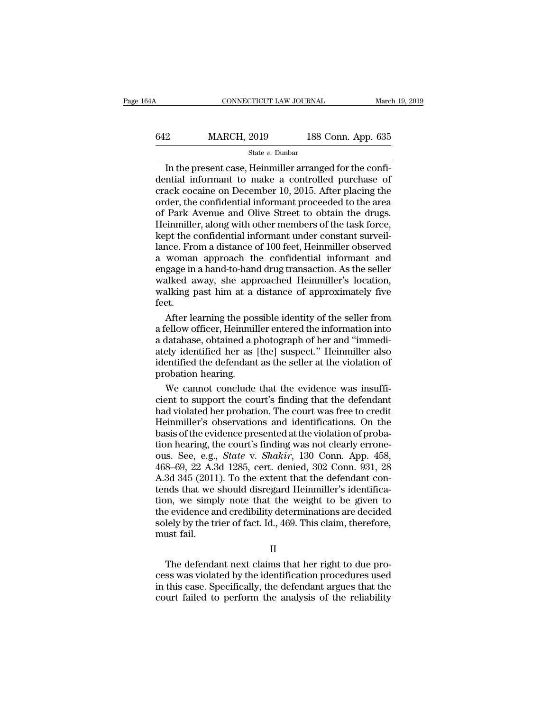| 64A | CONNECTICUT LAW JOURNAL |                    | March 19, 2019 |
|-----|-------------------------|--------------------|----------------|
|     |                         |                    |                |
| 642 | <b>MARCH, 2019</b>      | 188 Conn. App. 635 |                |
|     | State $v$ . Dunbar      |                    |                |

CONNECTICUT LAW JOURNAL March March 2019<br>
22 MARCH, 2019 188 Conn. App. 635<br>
5tate v. Dunbar<br>
In the present case, Heinmiller arranged for the confi-<br>
10.2015 After placing the  $\begin{array}{r} \n 642 \quad \text{MARCH, 2019} \quad \text{188 Conn. App. 635} \text{State } v. \text{ Dunbar} \n \hline \n \boxed{\text{In the present case, Heinmiller arranged for the confidential information to make a controlled purchase of crack cocaine on December 10, 2015. After placing the order the confidential information proceeded to the area.} \n \end{array}$ 642 MARCH, 2019 188 Conn. App. 635<br>  $\frac{\text{State } v. \text{ Dunbar}}{1}$ <br>
In the present case, Heinmiller arranged for the confidential informant to make a controlled purchase of crack cocaine on December 10, 2015. After placing the orde MARCH, 2019 188 Conn. App. 635<br>  $\frac{\text{State } v. \text{ Dunbar}}{\text{In the present case, Heinmiller arranged for the confi-  
dential information to make a controlled purchase of  
crack cocaine on December 10, 2015. After placing the  
order, the confidential information proceeded to the area  
of Park Avenue and Oliver Street to obtain the drugs.  
Heimuller along with other members of the task force$ SERVIE TO COLUMBER AND STREET THE STREET THE PRESENT IN the present case, Heinmiller arranged for the confidential informant to make a controlled purchase of crack cocaine on December 10, 2015. After placing the order, th State  $v$ . Dunbar<br>In the present case, Heinmiller arranged for the confi-<br>dential informant to make a controlled purchase of<br>crack cocaine on December 10, 2015. After placing the<br>order, the confidential informant proceede In the present case, Heinmiller arranged for the confidential informant to make a controlled purchase of crack cocaine on December 10, 2015. After placing the order, the confidential informant proceeded to the area of Park dential informant to make a controlled purchase of<br>crack cocaine on December 10, 2015. After placing the<br>order, the confidential informant proceeded to the area<br>of Park Avenue and Olive Street to obtain the drugs.<br>Heinmill crack cocaine on December 10, 2015. After placing the<br>order, the confidential informant proceeded to the area<br>of Park Avenue and Olive Street to obtain the drugs.<br>Heinmiller, along with other members of the task force,<br>kep order, the confidential informant proceeded to the area<br>of Park Avenue and Olive Street to obtain the drugs.<br>Heinmiller, along with other members of the task force,<br>kept the confidential informant under constant surveil-<br>l of Park Avenue and Olive Street to obtain the drugs.<br>Heinmiller, along with other members of the task force,<br>kept the confidential informant under constant surveil-<br>lance. From a distance of 100 feet, Heinmiller observed<br>a Heinmiller, along with other members of the task force,<br>kept the confidential informant under constant surveil-<br>lance. From a distance of 100 feet, Heinmiller observed<br>a woman approach the confidential informant and<br>engage feet. nce. From a distance of 100 feet, Heinmiller observed<br>woman approach the confidential informant and<br>gage in a hand-to-hand drug transaction. As the seller<br>alked away, she approached Heinmiller's location,<br>alking past him a a woman approach the confidential informant and<br>engage in a hand-to-hand drug transaction. As the seller<br>walked away, she approached Heinmiller's location,<br>walking past him at a distance of approximately five<br>feet.<br>After l

engage in a hand-to-hand drug transaction. As the seller<br>walked away, she approached Heinmiller's location,<br>walking past him at a distance of approximately five<br>feet.<br>After learning the possible identity of the seller from walked away, she approached Heinmiller's location,<br>walking past him at a distance of approximately five<br>feet.<br>After learning the possible identity of the seller from<br>a fellow officer, Heinmiller entered the information int walking past him at a distance of approximately five<br>feet.<br>After learning the possible identity of the seller from<br>a fellow officer, Heinmiller entered the information into<br>a database, obtained a photograph of her and "imm Feet.<br>After learning the pos<br>a fellow officer, Heinmil<br>a database, obtained a p<br>ately identified her as<br>identified the defendant<br>probation hearing.<br>We cannot conclude After learning the possible identity of the seller from<br>
iellow officer, Heinmiller entered the information into<br>
latabase, obtained a photograph of her and "immedi-<br>
ely identified her as [the] suspect." Heinmiller also<br> a fellow officer, Heinmiller entered the information into<br>a database, obtained a photograph of her and "immedi-<br>ately identified her as [the] suspect." Heinmiller also<br>identified the defendant as the seller at the violatio

a database, obtained a photograph of her and "immediately identified her as [the] suspect." Heinmiller also<br>identified the defendant as the seller at the violation of<br>probation hearing.<br>We cannot conclude that the evidence ately identified her as [the] suspect." Heinmiller also<br>identified the defendant as the seller at the violation of<br>probation hearing.<br>We cannot conclude that the evidence was insuffi-<br>cient to support the court's finding t identified the defendant as the seller at the violation of<br>probation hearing.<br>We cannot conclude that the evidence was insuffi-<br>cient to support the court's finding that the defendant<br>had violated her probation. The court probation hearing.<br>We cannot conclude that the evidence was insufficient to support the court's finding that the defendant<br>had violated her probation. The court was free to credit<br>Heinmiller's observations and identificati We cannot conclude that the evidence was insufficient to support the court's finding that the defendant had violated her probation. The court was free to credit Heinmiller's observations and identifications. On the basis o cient to support the court's finding that the defendant<br>had violated her probation. The court was free to credit<br>Heinmiller's observations and identifications. On the<br>basis of the evidence presented at the violation of pro had violated her probation. The court was free to credit<br>Heinmiller's observations and identifications. On the<br>basis of the evidence presented at the violation of proba-<br>tion hearing, the court's finding was not clearly er Heinmiller's observations and identifications. On the basis of the evidence presented at the violation of probation hearing, the court's finding was not clearly errone-<br>ous. See, e.g., *State* v. *Shakir*, 130 Conn. App. 4 basis of the evidence presented at the violation of probation hearing, the court's finding was not clearly errone-<br>ous. See, e.g., *State* v. *Shakir*, 130 Conn. App. 458,<br>468–69, 22 A.3d 1285, cert. denied, 302 Conn. 931 tion hearing, the court's finding was not clearly errone-<br>ous. See, e.g., *State* v. *Shakir*, 130 Conn. App. 458,<br>468–69, 22 A.3d 1285, cert. denied, 302 Conn. 931, 28<br>A.3d 345 (2011). To the extent that the defendant con ous. See, e.g., *State* v. *Shakir*, 130 Conn. App. 458, 468–69, 22 A.3d 1285, cert. denied, 302 Conn. 931, 28 A.3d 345 (2011). To the extent that the defendant contends that we should disregard Heinmiller's identification  $468-69$ ,  $22$  A.3<br>A.3d  $345$  ( $2011$ <br>tends that we simply<br>the evidence and solely by the transit fail. The defendant next claims that her right to be given to<br>the evidence and credibility determinations are decided<br>lely by the trier of fact. Id., 469. This claim, therefore,<br>ust fail.<br>The defendant next claims that her right cess was violated by the defendant next claims that here right to due process was violated by the identification procedures used<br>in this case. Specifically, the defendant ragues that the<br>court failed to perform the analysi

II

ine evidence and credibility determinations are decided<br>solely by the trier of fact. Id., 469. This claim, therefore,<br>must fail.<br>II<br>The defendant next claims that her right to due pro-<br>cess was violated by the identificati solely by the ther of fact. fd., 409. This claim, therefore,<br>must fail.<br>II<br>The defendant next claims that her right to due pro-<br>cess was violated by the identification procedures used<br>in this case. Specifically, the defend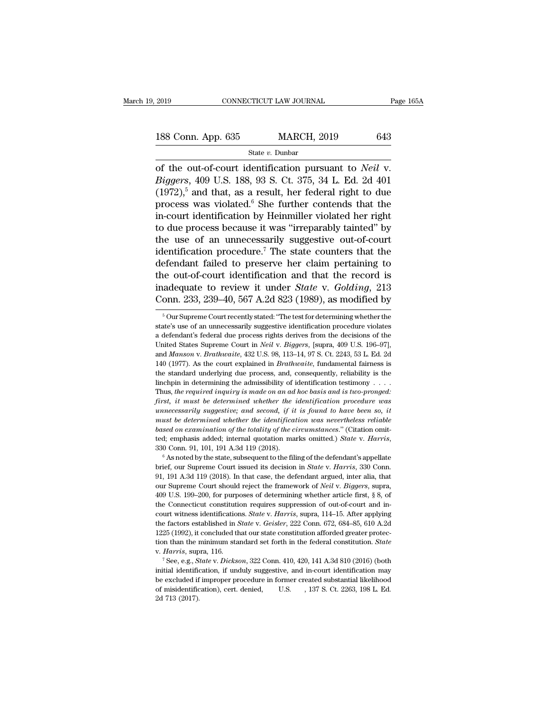# 2019 CONNECTICUT LAW JOURNAL Page 165A<br>188 Conn. App. 635 MARCH, 2019 643<br>State v. Dunbar

### State *v.* Dunbar

CONNECTICUT LAW JOURNAL Page 16<br>
188 Conn. App. 635 MARCH, 2019 643<br>
State v. Dunbar<br>
of the out-of-court identification pursuant to *Neil* v.<br> *Biggers*, 409 U.S. 188, 93 S. Ct. 375, 34 L. Ed. 2d 401 **188 Conn. App. 635 MARCH, 2019 643**<br> **Biggers**, 409 U.S. 188, 93 S. Ct. 375, 34 L. Ed. 2d 401<br> **Biggers**, 409 U.S. 188, 93 S. Ct. 375, 34 L. Ed. 2d 401<br> **Biggers**, 409 U.S. 188, 93 S. Ct. 375, 34 L. Ed. 2d 401 188 Conn. App. 635 MARCH, 2019 643<br>
State v. Dunbar<br>
of the out-of-court identification pursuant to *Neil* v.<br> *Biggers*, 409 U.S. 188, 93 S. Ct. 375, 34 L. Ed. 2d 401<br>
(1972),<sup>5</sup> and that, as a result, her federal right 188 Conn. App. 635 MARCH, 2019 643<br>
State v. Dunbar<br>
of the out-of-court identification pursuant to *Neil* v.<br> *Biggers*, 409 U.S. 188, 93 S. Ct. 375, 34 L. Ed. 2d 401<br>
(1972),<sup>5</sup> and that, as a result, her federal right State v. Dunbar<br>
of the out-of-court identification pursuant to *Neil* v.<br> *Biggers*, 409 U.S. 188, 93 S. Ct. 375, 34 L. Ed. 2d 401<br>
(1972),<sup>5</sup> and that, as a result, her federal right to due<br>
process was violated.<sup>6</sup> She siate v. bundar<br>
of the out-of-court identification pursuant to *Neil* v.<br> *Biggers*, 409 U.S. 188, 93 S. Ct. 375, 34 L. Ed. 2d 401<br>
(1972),<sup>5</sup> and that, as a result, her federal right to due<br>
process was violated.<sup>6</sup> She of the out-of-court identification pursuant to *Neil* v. *Biggers*, 409 U.S. 188, 93 S. Ct. 375, 34 L. Ed. 2d 401 (1972),<sup>5</sup> and that, as a result, her federal right to due process was violated.<sup>6</sup> She further contends th Biggers, 409 U.S. 188, 93 S. Ct. 375, 34 L. Ed. 2d 401 (1972),<sup>5</sup> and that, as a result, her federal right to due process was violated.<sup>6</sup> She further contends that the in-court identification by Heinmiller violated her r (1972),<sup>5</sup> and that, as a result, her federal right to due<br>process was violated.<sup>6</sup> She further contends that the<br>in-court identification by Heinmiller violated her right<br>to due process because it was "irreparably tainted process was violated.<sup>6</sup> She further contends that the<br>in-court identification by Heinmiller violated her right<br>to due process because it was "irreparably tainted" by<br>the use of an unnecessarily suggestive out-of-court<br>id in-court identification by Heinmiller violated her right<br>to due process because it was "irreparably tainted" by<br>the use of an unnecessarily suggestive out-of-court<br>identification procedure.<sup>7</sup> The state counters that the<br>d to due process because it was "irreparably tainted" by<br>the use of an unnecessarily suggestive out-of-court<br>identification procedure.<sup>7</sup> The state counters that the<br>defendant failed to preserve her claim pertaining to<br>the the out-of-court identification and that the record is<br>inadequate to review it under *State* v. *Golding*, 213<br>Conn. 233, 239–40, 567 A.2d 823 (1989), as modified by<br><sup>5</sup> Our Supreme Court recently stated: "The test for de the out-of-court identification and that the record is<br>inadequate to review it under *State* v. *Golding*, 213<br>Conn. 233, 239–40, 567 A.2d 823 (1989), as modified by<br> $\frac{1}{10}$ <br> $\frac{1}{10}$  our Supreme Court recently stated

inadequate to review it under *State* v. *Golding*, 213<br>Conn. 233, 239–40, 567 A.2d 823 (1989), as modified by<br><sup>5</sup> Our Supreme Court recently stated: "The test for determining whether the<br>state's use of an unnecessarily s Conn. 233, 239–40, 567 A.2d 823 (1989), as modified by<br>
<sup>5</sup> Our Supreme Court recently stated: "The test for determining whether the state's use of an unnecessarily suggestive identification procedure violates<br>
a defendant COTIT. 250, 259–40, 507 A.2d 625 (1969), as fitodified by<br>
<sup>5</sup> Our Supreme Court recently stated: "The test for determining whether the<br>
state's use of an unnecessarily suggestive identification procedure violates<br>
a defen <sup>5</sup> Our Supreme Court recently stated: "The test for determining whether the state's use of an unnecessarily suggestive identification procedure violates a defendant's federal due process rights derives from the decisions state's use of an unnecessarily suggestive identification procedure violates a defendant's federal due process rights derives from the decisions of the United States Supreme Court in *Neil v. Biggers*, [supra, 409 U.S. 19 a defendant's federal due process rights derives from the decisions of the United States Supreme Court in *Neil* v. *Biggers*, [supra, 409 U.S. 196–97], and *Manson v. Brathwaite*, 432 U.S. 98, 113–14, 97 S. Ct. 2243, 53 United States Supreme Court in *Neil v. Biggers*, [supra, 409 U.S. 196–97], and *Manson v. Brathwaite*, 432 U.S. 98, 113–14, 97 S. Ct. 2243, 53 L. Ed. 2d 140 (1977). As the court explained in *Brathwaite*, fundamental fair *first, it must be determined whether the identification procedure was finite standard underlying due process, and, consequently, reliability is the standard underlying due process, and, consequently, reliability is the und 1977).* As the court explained in *Brathwaite*, fundamental fairness is the standard underlying due process, and, consequently, reliability is the linchpin in determining the admissibility of identification testimony To  $(F(t), H)$  are courted painted in Dialocative, randahedual intriess is<br>the standard underlying due process, and, consequently, reliability is the<br>linchpin in determining the admissibility of identification testimony . . . the standard underlying due process, and, consequently, reliability is the linchpin in determining the admissibility of identification testimony  $\ldots$ . Thus, the required inquiry is made on an ad hoc basis and is two-pron Thus, the required inquiry is made on an ad hoc basis and is two-pronged:<br>first, it must be determined whether the identification procedure was<br>unnecessarily suggestive; and second, if it is found to have been so, it<br>must must be determined whether the identification was nevertheless reliable based on examination of the totality of the circumstances." (Citation omitted; emphasis added; internal quotation marks omitted.) *State* v. *Harris*,

based on examination of the totality of the circumstances." (Citation omitted; emphasis added; internal quotation marks omitted.) *State* v. *Harris*, 330 Conn. 91, 101, 191 A.3d 119 (2018).<br>
<sup>6</sup> As noted by the state, su ted; emphasis added; internal quotation marks omitted.) *State v. Harris*, 330 Conn. 91, 101, 191 A.3d 119 (2018).<br>
<sup>6</sup> As noted by the state, subsequent to the filing of the defendant's appellate brief, our Supreme Court 330 Conn. 91, 101, 191 A.3d 119 (2018).<br>
<sup>6</sup> As noted by the state, subsequent to the filing of the defendant's appellate<br>
brief, our Supreme Court issued its decision in *State v. Harris*, 330 Conn.<br>
91, 191 A.3d 119 (20 <sup>6</sup> As noted by the state, subsequent to the filing of the defendant's appellate brief, our Supreme Court issued its decision in *State v. Harris*, 330 Conn. 91, 191 A.3d 119 (2018). In that case, the defendant argued, in brief, our Supreme Court issued its decision in *State* v. *Harris*, 330 Conn.<br>91, 191 A.3d 119 (2018). In that case, the defendant argued, inter alia, that<br>our Supreme Court should reject the framework of *Neil* v. *Bigge* 91, 191 A.3d 119 (2018). In that case, the defendant argued, inter alia, that our Supreme Court should reject the framework of *Neil* v. *Biggers*, supra, 409 U.S. 199–200, for purposes of determining whether article first the factors established in *State* v. *Geisler*, 222 Conn. 672, 684–85, 610 A.2d 1225 (1992), it concluded that our state constitution afforded greater protec-109 U.S. 199–200, for purposes of determining whether article first, § 8, of the Connecticut constitution requires suppression of out-of-court and incourt witness identifications. *State* v. *Harris*, supra, 114–15. After the factors established in *State* v. *Geisler*, 222 Conn. 672, 684–85, 610 A.2d 1225 (1992), it concluded that our state constitution afforded greater protection than the minimum standard set forth in the federal constit v. Harris, supra, 116.

<sup>1225 (1992),</sup> it concluded that our state constitution afforded greater protection than the minimum standard set forth in the federal constitution. *State* v. *Harris*, supra, 116.<br>
<sup>7</sup> See, e.g., *State* v. *Dickson*, 322 tion than the minimum standard set forth in the federal constitution. State v. Harris, supra, 116.<br>
<sup>7</sup> See, e.g., State v. Dickson, 322 Conn. 410, 420, 141 A.3d 810 (2016) (both initial identification, if unduly suggesti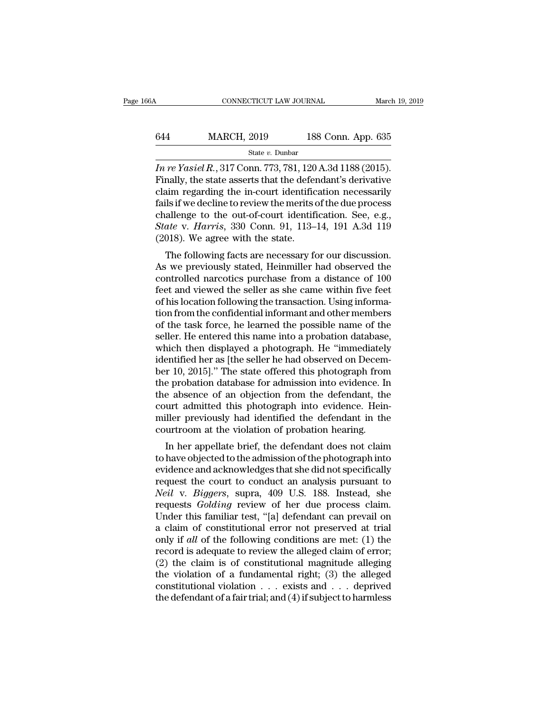## CONNECTICUT LAW JOURNAL March 19, 2019<br>644 MARCH, 2019 188 Conn. App. 635<br>544 MARCH, 2019 188 Conn. App. 635 State *v.* Dunbar

CONNECTICUT LAW JOURNAL March 19, 2<br> **ISS Conn. App. 635**<br> *In re Yasiel R.*, 317 Conn. 773, 781, 120 A.3d 1188 (2015).<br>
Finally, the state asserts that the defendant's derivative<br>
claim regarding the in gourt identificati Finally, the state asserts that the defendant's derivative<br>
Finally, the state asserts that the defendant's derivative<br>
the regarding the in-court identification necessarily<br>
fails if we decline to review the merits of th 644 MARCH, 2019 188 Conn. App. 635<br>
state v. Dunbar<br> *In re Yasiel R.*, 317 Conn. 773, 781, 120 A.3d 1188 (2015).<br>
Finally, the state asserts that the defendant's derivative<br>
claim regarding the in-court identification ne 644 MARCH, 2019 188 Conn. App. 635<br>  $\frac{\text{State } v. \text{ Dunbar}}{m \text{ } re \text{ } Yasiel } R., 317 \text{ Conn. } 773, 781, 120 \text{ A}.3d \text{ } 1188 \text{ } (2015).$ <br>
Finally, the state asserts that the defendant's derivative<br>
claim regarding the in-court identifica Sim State v. Dunbar<br>
In re Yasiel R., 317 Conn. 773, 781, 120 A.3d 1188 (2015).<br>
Finally, the state asserts that the defendant's derivative<br>
claim regarding the in-court identification necessarily<br>
fails if we decline to State v. Dunbar<br> *In re Yasiel R.*, 317 Conn. 773, 781, 120 A.3d 1188 (2015).<br>
Finally, the state asserts that the defendant's derivative<br>
claim regarding the in-court identification necessarily<br>
fails if we decline to rev In re Yasiel R., 317 Conn. 773, 781, 120<br>Finally, the state asserts that the defered in regarding the in-court identific<br>fails if we decline to review the merits of<br>challenge to the out-of-court identific<br>*State* v. *Harri* many, the state asserts that the defendant s derivative<br>im regarding the in-court identification necessarily<br>ils if we decline to review the merits of the due process<br>allenge to the out-of-court identification. See, e.g.,<br> Early regarding the in-court identification necessarily<br>fails if we decline to review the merits of the due process<br>challenge to the out-of-court identification. See, e.g.,<br>*State v. Harris*, 330 Conn. 91, 113–14, 191 A.3

rails in we decline to review the merns of the due process<br>challenge to the out-of-court identification. See, e.g.,<br>State v. Harris, 330 Conn. 91, 113–14, 191 A.3d 119<br>(2018). We agree with the state.<br>The following facts a Chainlenge to the out-on-court identification. See, e.g., State v. Harris, 330 Conn. 91, 113–14, 191 A.3d 119 (2018). We agree with the state.<br>The following facts are necessary for our discussion.<br>As we previously stated, State V. Harris, 350 Coluit. 91, 115–14, 191 A.5d 119 (2018). We agree with the state.<br>The following facts are necessary for our discussion.<br>As we previously stated, Heinmiller had observed the<br>controlled narcotics purcha (2016). We agree with the state.<br>The following facts are necessary for our discussion.<br>As we previously stated, Heinmiller had observed the<br>controlled narcotics purchase from a distance of 100<br>feet and viewed the seller as The following facts are necessary for our discussion.<br>As we previously stated, Heinmiller had observed the<br>controlled narcotics purchase from a distance of 100<br>feet and viewed the seller as she came within five feet<br>of his As we previously stated, Heinmiller had observed the controlled narcotics purchase from a distance of 100 feet and viewed the seller as she came within five feet of his location following the transaction. Using information controlled narcotics purchase from a distance of 100<br>feet and viewed the seller as she came within five feet<br>of his location following the transaction. Using informa-<br>tion from the confidential informant and other members<br> feet and viewed the seller as she came within five feet<br>of his location following the transaction. Using informa-<br>tion from the confidential informant and other members<br>of the task force, he learned the possible name of th of his location following the transaction. Using information from the confidential informant and other members<br>of the task force, he learned the possible name of the<br>seller. He entered this name into a probation database,<br> tion from the confidential informant and other members<br>of the task force, he learned the possible name of the<br>seller. He entered this name into a probation database,<br>which then displayed a photograph. He "immediately<br>ident of the task force, he learned the possible name of the<br>seller. He entered this name into a probation database,<br>which then displayed a photograph. He "immediately<br>identified her as [the seller he had observed on Decem-<br>ber seller. He entered this name into a probation database,<br>which then displayed a photograph. He "immediately<br>identified her as [the seller he had observed on Decem-<br>ber 10, 2015]." The state offered this photograph from<br>the which then displayed a photograph. He "immediately<br>identified her as [the seller he had observed on Decem-<br>ber 10, 2015]." The state offered this photograph from<br>the probation database for admission into evidence. In<br>the a identified her as [the seller he had observed on Decem<br>ber 10, 2015]." The state offered this photograph from<br>the probation database for admission into evidence. In<br>the absence of an objection from the defendant, the<br>court In 10, 2015]. The state offered this photograph from<br>e probation database for admission into evidence. In<br>e absence of an objection from the defendant, the<br>urt admitted this photograph into evidence. Hein-<br>iller previously the probation database for admission into evidence. In<br>the absence of an objection from the defendant, the<br>court admitted this photograph into evidence. Hein-<br>miller previously had identified the defendant in the<br>courtroom

the absence of an objection from the defendant, the<br>court admitted this photograph into evidence. Hein-<br>miller previously had identified the defendant in the<br>courtroom at the violation of probation hearing.<br>In her appellat request the violation of probability that is pure<br>miller previously had identified the defendant in the courtroom at the violation of probation hearing.<br>In her appellate brief, the defendant does not claim<br>to have objected Findler previously had definited the defendant in the<br>
courtroom at the violation of probation hearing.<br>
In her appellate brief, the defendant does not claim<br>
to have objected to the admission of the photograph into<br>
evide request a different conduction of probation rearing.<br>
In her appellate brief, the defendant does not claim<br>
to have objected to the admission of the photograph into<br>
evidence and acknowledges that she did not specifically<br> In her appellate brief, the defendant does not claim<br>to have objected to the admission of the photograph into<br>evidence and acknowledges that she did not specifically<br>request the court to conduct an analysis pursuant to<br>*N* to have objected to the admission of the photograph into<br>evidence and acknowledges that she did not specifically<br>request the court to conduct an analysis pursuant to<br> $Neil$  v. Biggers, supra, 409 U.S. 188. Instead, she<br>reque evidence and acknowledges that she did not specifically<br>request the court to conduct an analysis pursuant to<br>*Neil* v. *Biggers*, supra, 409 U.S. 188. Instead, she<br>requests *Golding* review of her due process claim.<br>Under request the court to conduct an analysis pursuant to<br> *Neil* v. *Biggers*, supra, 409 U.S. 188. Instead, she<br>
requests *Golding* review of her due process claim.<br>
Under this familiar test, "[a] defendant can prevail on<br>
a Neil v. Biggers, supra, 409 U.S. 188. Instead, she<br>requests *Golding* review of her due process claim.<br>Under this familiar test, "[a] defendant can prevail on<br>a claim of constitutional error not preserved at trial<br>only if requests *Golding* review of her due process claim.<br>Under this familiar test, "[a] defendant can prevail on<br>a claim of constitutional error not preserved at trial<br>only if *all* of the following conditions are met: (1) the Under this familiar test, "[a] defendant can prevail on<br>a claim of constitutional error not preserved at trial<br>only if *all* of the following conditions are met: (1) the<br>record is adequate to review the alleged claim of e a claim of constitutional error not preserved at trial<br>only if *all* of the following conditions are met: (1) the<br>record is adequate to review the alleged claim of error;<br>(2) the claim is of constitutional magnitude alleg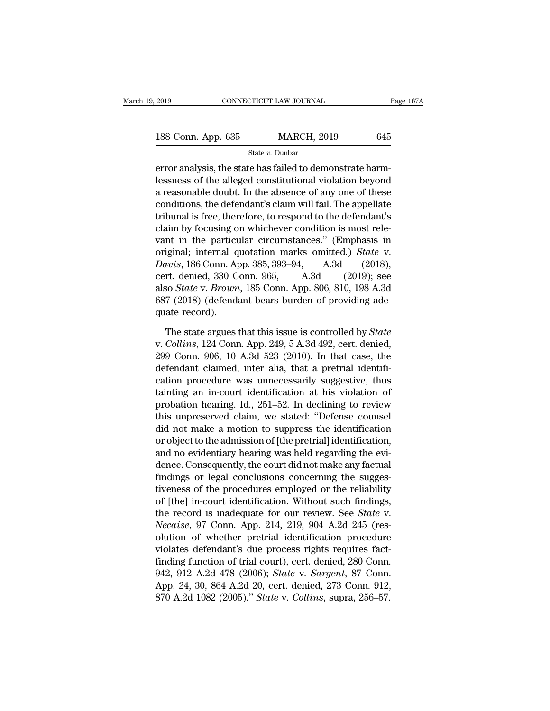State *v.* Dunbar

error analysis, the state has failed to demonstrate harm-<br>
error analysis, the state has failed to demonstrate harm-<br>
error analysis, the state has failed to demonstrate harm-<br>
essness of the alleged constitutional violat 188 Conn. App. 635 MARCH, 2019 645<br>
State v. Dunbar<br>
error analysis, the state has failed to demonstrate harm-<br>
lessness of the alleged constitutional violation beyond<br>
a reasonable doubt. In the absence of any one of the 188 Conn. App. 635 MARCH, 2019 645<br>
State v. Dunbar<br>
error analysis, the state has failed to demonstrate harm-<br>
lessness of the alleged constitutional violation beyond<br>
a reasonable doubt. In the absence of any one of the 188 Conn. App. 635 MARCH, 2019 645<br>
State v. Dunbar<br>
error analysis, the state has failed to demonstrate harm-<br>
lessness of the alleged constitutional violation beyond<br>
a reasonable doubt. In the absence of any one of the State  $v$ . Dunbar<br>
error analysis, the state has failed to demonstrate harm-<br>
lessness of the alleged constitutional violation beyond<br>
a reasonable doubt. In the absence of any one of these<br>
conditions, the defendant's cl state *v*. Button between the conditions extending the state has failed to demonstrate harm-<br>lessness of the alleged constitutional violation beyond<br>a reasonable doubt. In the absence of any one of these<br>conditions, the d error analysis, the state has failed to demonstrate harm-<br>lessness of the alleged constitutional violation beyond<br>a reasonable doubt. In the absence of any one of these<br>conditions, the defendant's claim will fail. The app lessness of the alleged constitutional violation beyond<br>a reasonable doubt. In the absence of any one of these<br>conditions, the defendant's claim will fail. The appellate<br>tribunal is free, therefore, to respond to the defen a reasonable doubt. In the absence of any one of these<br>conditions, the defendant's claim will fail. The appellate<br>tribunal is free, therefore, to respond to the defendant's<br>claim by focusing on whichever condition is most conditions, the defendant's claim will fail. The appellate<br>tribunal is free, therefore, to respond to the defendant's<br>claim by focusing on whichever condition is most rele-<br>vant in the particular circumstances." (Emphasis tribunal is free, therefore, to respond to the defendant's<br>claim by focusing on whichever condition is most rele-<br>vant in the particular circumstances." (Emphasis in<br>original; internal quotation marks omitted.) *State* v.<br> claim by focusing on whichever condition is most relevant in the particular circumstances." (Emphasis in original; internal quotation marks omitted.) *State* v. *Davis*, 186 Conn. App. 385, 393–94, A.3d (2018), cert. denie vant in the particu<br>original; internal q<br>Davis, 186 Conn. Ap<br>cert. denied, 330 C<br>also *State* v. *Brown*<br>687 (2018) (defenda<br>quate record).<br>The state argues *uvis*, 186 Conn. App. 385, 393–94, A.3d (2018),<br>rt. denied, 330 Conn. 965, A.3d (2019); see<br>so *State* v. *Brown*, 185 Conn. App. 806, 810, 198 A.3d<br>7 (2018) (defendant bears burden of providing ade-<br>ate record).<br>The stat cert. denied, 330 Conn. 965, A.3d (2019); see<br>also *State* v. *Brown*, 185 Conn. App. 806, 810, 198 A.3d<br>687 (2018) (defendant bears burden of providing ade-<br>quate record).<br>The state argues that this issue is controlled by

also *State* v. *Brown*, 185 Conn. App. 806, 810, 198 A.3d 687 (2018) (defendant bears burden of providing adequate record).<br>The state argues that this issue is controlled by *State* v. *Collins*, 124 Conn. App. 249, 5 A.3 687 (2018) (defendant bears burden of providing adequate record).<br>The state argues that this issue is controlled by *State* v. *Collins*, 124 Conn. App. 249, 5 A.3d 492, cert. denied, 299 Conn. 906, 10 A.3d 523 (2010). In quate record).<br>
The state argues that this issue is controlled by *State*<br>
v. Collins, 124 Conn. App. 249, 5 A.3d 492, cert. denied,<br>
299 Conn. 906, 10 A.3d 523 (2010). In that case, the<br>
defendant claimed, inter alia, th The state argues that this issue is controlled by *State* v. *Collins*, 124 Conn. App. 249, 5 A.3d 492, cert. denied, 299 Conn. 906, 10 A.3d 523 (2010). In that case, the defendant claimed, inter alia, that a pretrial iden The state argues that this issue is controlled by *State*<br>v. Collins, 124 Conn. App. 249, 5 A.3d 492, cert. denied,<br>299 Conn. 906, 10 A.3d 523 (2010). In that case, the<br>defendant claimed, inter alia, that a pretrial identi v. Collins, 124 Conn. App. 249, 5 A.3d 492, cert. denied,<br>299 Conn. 906, 10 A.3d 523 (2010). In that case, the<br>defendant claimed, inter alia, that a pretrial identifi-<br>cation procedure was unnecessarily suggestive, thus<br>ta 299 Conn. 906, 10 A.3d 523 (2010). In that case, the<br>defendant claimed, inter alia, that a pretrial identifi-<br>cation procedure was unnecessarily suggestive, thus<br>tainting an in-court identification at his violation of<br>pro defendant claimed, inter alia, that a pretrial identification procedure was unnecessarily suggestive, thus tainting an in-court identification at his violation of probation hearing. Id., 251–52. In declining to review this cation procedure was unnecessarily suggestive, thus<br>tainting an in-court identification at his violation of<br>probation hearing. Id., 251–52. In declining to review<br>this unpreserved claim, we stated: "Defense counsel<br>did not tainting an in-court identification at his violation of<br>probation hearing. Id., 251–52. In declining to review<br>this unpreserved claim, we stated: "Defense counsel<br>did not make a motion to suppress the identification<br>or obj probation hearing. Id., 251–52. In declining to review<br>this unpreserved claim, we stated: "Defense counsel<br>did not make a motion to suppress the identification<br>or object to the admission of [the pretrial] identification,<br>a this unpreserved claim, we stated: "Defense counsel<br>did not make a motion to suppress the identification<br>or object to the admission of [the pretrial] identification,<br>and no evidentiary hearing was held regarding the evi-<br>d did not make a motion to suppress the identification<br>or object to the admission of [the pretrial] identification,<br>and no evidentiary hearing was held regarding the evi-<br>dence. Consequently, the court did not make any fact or object to the admission of [the pretrial] identification,<br>and no evidentiary hearing was held regarding the evi-<br>dence. Consequently, the court did not make any factual<br>findings or legal conclusions concerning the sugge and no evidentiary hearing was held regarding the evidence. Consequently, the court did not make any factual findings or legal conclusions concerning the suggestiveness of the procedures employed or the reliability of [the dence. Consequently, the court did not make any factual<br>findings or legal conclusions concerning the sugges-<br>tiveness of the procedures employed or the reliability<br>of [the] in-court identification. Without such findings,<br>t findings or legal conclusions concerning the sugges-<br>tiveness of the procedures employed or the reliability<br>of [the] in-court identification. Without such findings,<br>the record is inadequate for our review. See *State* v.<br> tiveness of the procedures employed or the reliability<br>of [the] in-court identification. Without such findings,<br>the record is inadequate for our review. See *State* v.<br>*Necaise*, 97 Conn. App. 214, 219, 904 A.2d 245 (res-<br> of [the] in-court identification. Without such findings,<br>the record is inadequate for our review. See *State* v.<br>*Necaise*, 97 Conn. App. 214, 219, 904 A.2d 245 (res-<br>olution of whether pretrial identification procedure<br>vi the record is inadequate for our review. See *State v.*<br> *Necaise*, 97 Conn. App. 214, 219, 904 A.2d 245 (res-<br>
olution of whether pretrial identification procedure<br>
violates defendant's due process rights requires fact-<br> Necaise, 97 Conn. App. 214, 219, 904 A.2d 245 (res-<br>olution of whether pretrial identification procedure<br>violates defendant's due process rights requires fact-<br>finding function of trial court), cert. denied, 280 Conn.<br>942,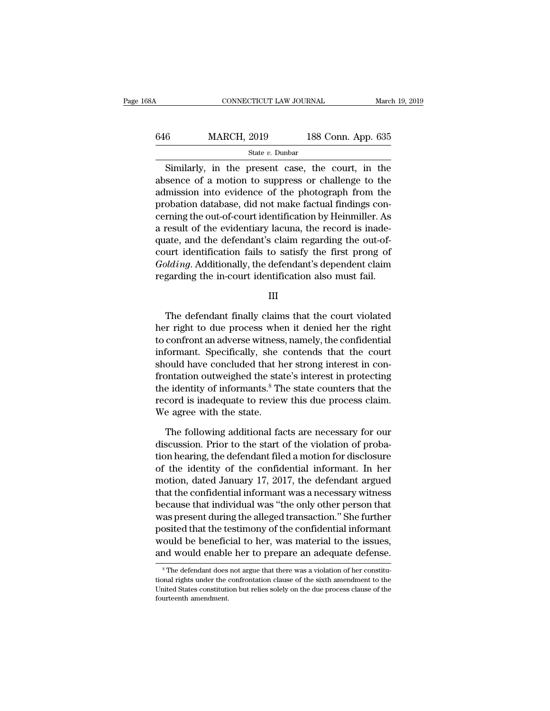| 68A | CONNECTICUT LAW JOURNAL |                    | March 19, 2019 |
|-----|-------------------------|--------------------|----------------|
| 646 | <b>MARCH, 2019</b>      | 188 Conn. App. 635 |                |
|     | State $v$ . Dunbar      |                    |                |

CONNECTICUT LAW JOURNAL March 19, 2019<br>
Similarly, in the present case, the court, in the<br>
Similarly, in the present case, the court, in the<br>
sence of a motion to suppress or challenge to the<br>
mission into suridone of the  $\frac{\text{MARCH, 2019}}{\text{State } v. \text{ Dunbar}}$ <br>Similarly, in the present case, the court, in the absence of a motion to suppress or challenge to the admission into evidence of the photograph from the prechation database did not make factu 646 MARCH, 2019 188 Conn. App. 635<br>
state v. Dunbar<br>
Similarly, in the present case, the court, in the<br>
absence of a motion to suppress or challenge to the<br>
admission into evidence of the photograph from the<br>
probation da 646 MARCH, 2019 188 Conn. App. 635<br>  $\frac{\text{State } v. \text{ Dunbar}}{\text{Similarly, in the present case, the court, in the absence of a motion to suppress or challenge to the admission into evidence of the photograph from the problem database, did not make factual findings concerning the out-of-court identification by Heinmiller. As a result of the grid on the regard is in each.$ Similarly, in the present case, the court, in the absence of a motion to suppress or challenge to the admission into evidence of the photograph from the probation database, did not make factual findings concerning the out Similarly, in the present case, the court, in the absence of a motion to suppress or challenge to the admission into evidence of the photograph from the probation database, did not make factual findings concerning the out Similarly, in the present case, the court, in the<br>absence of a motion to suppress or challenge to the<br>admission into evidence of the photograph from the<br>probation database, did not make factual findings con-<br>cerning the ou absence of a motion to suppress or challenge to the<br>admission into evidence of the photograph from the<br>probation database, did not make factual findings con-<br>cerning the out-of-court identification by Heinmiller. As<br>a resu admission into evidence of the photograph from the<br>probation database, did not make factual findings con-<br>cerning the out-of-court identification by Heinmiller. As<br>a result of the evidentiary lacuna, the record is inade-<br>q probation database, did not make factual findings concerning the out-of-court identification by Heinmiller. As<br>a result of the evidentiary lacuna, the record is inade-<br>quate, and the defendant's claim regarding the out-of-Example 18 and the defendant schain regarding the out-on-<br>
urt identification fails to satisfy the first prong of<br> *Maing*. Additionally, the defendant's dependent claim<br>
garding the in-court identification also must fail.

III

Folding. Additionally, the defendant's dependent claim<br>regarding the in-court identification also must fail.<br>III<br>The defendant finally claims that the court violated<br>her right to due process when it denied her the right<br>to toolating. Additionally, the determinant subpendent claim<br>regarding the in-court identification also must fail.<br>III<br>The defendant finally claims that the court violated<br>her right to due process when it denied her the right III<br>III<br>III<br>The defendant finally claims that the court violated<br>her right to due process when it denied her the right<br>to confront an adverse witness, namely, the confidential<br>informant. Specifically, she contends that the III<br>The defendant finally claims that the court violated<br>her right to due process when it denied her the right<br>to confront an adverse witness, namely, the confidential<br>informant. Specifically, she contends that the court<br>s The defendant finally claims that the court violated<br>her right to due process when it denied her the right<br>to confront an adverse witness, namely, the confidential<br>informant. Specifically, she contends that the court<br>shoul The defendant finally claims that the court violated<br>her right to due process when it denied her the right<br>to confront an adverse witness, namely, the confidential<br>informant. Specifically, she contends that the court<br>shoul her right to due process when it denied her the right<br>to confront an adverse witness, namely, the confidential<br>informant. Specifically, she contends that the court<br>should have concluded that her strong interest in con-<br>fro to confront an adverse witness<br>informant. Specifically, she<br>should have concluded that h<br>frontation outweighed the stat<br>the identity of informants.<sup>8</sup> Th<br>record is inadequate to reviev<br>We agree with the state.<br>The followin ould have concluded that her strong interest in con-<br>ontation outweighed the state's interest in protecting<br>e identity of informants.<sup>8</sup> The state counters that the<br>cord is inadequate to review this due process claim.<br>e ag frontation outweighed the state's interest in protecting<br>the identity of informants.<sup>8</sup> The state counters that the<br>record is inadequate to review this due process claim.<br>We agree with the state.<br>The following additional f

the identity of informants.<sup>8</sup> The state counters that the record is inadequate to review this due process claim.<br>We agree with the state.<br>The following additional facts are necessary for our discussion. Prior to the start record is inadequate to review this due process claim.<br>We agree with the state.<br>The following additional facts are necessary for our<br>discussion. Prior to the start of the violation of proba-<br>tion hearing, the defendant fil We agree with the state.<br>
The following additional facts are necessary for our<br>
discussion. Prior to the start of the violation of proba-<br>
tion hearing, the defendant filed a motion for disclosure<br>
of the identity of the c The following additional facts are necessary for our<br>discussion. Prior to the start of the violation of proba-<br>tion hearing, the defendant filed a motion for disclosure<br>of the identity of the confidential informant. In her The following additional facts are necessary for our<br>discussion. Prior to the start of the violation of proba-<br>tion hearing, the defendant filed a motion for disclosure<br>of the identity of the confidential informant. In her discussion. Prior to the start of the violation of probation hearing, the defendant filed a motion for disclosure of the identity of the confidential informant. In her motion, dated January 17, 2017, the defendant argued t tion hearing, the defendant filed a motion for disclosure<br>of the identity of the confidential informant. In her<br>motion, dated January 17, 2017, the defendant argued<br>that the confidential informant was a necessary witness<br>b of the identity of the confidential informant. In her<br>motion, dated January 17, 2017, the defendant argued<br>that the confidential informant was a necessary witness<br>because that individual was "the only other person that<br>was motion, dated January 17, 2017, the defendant argued<br>that the confidential informant was a necessary witness<br>because that individual was "the only other person that<br>was present during the alleged transaction." She further<br> was present during the alleged transaction." She further posited that the testimony of the confidential informant would be beneficial to her, was material to the issues, and would enable her to prepare an adequate defense posited that the testimony of the confidential informant<br>would be beneficial to her, was material to the issues,<br>and would enable her to prepare an adequate defense.<br><sup>8</sup>The defendant does not argue that there was a violati

would be beneficial to her, was material to the issues,<br>and would enable her to prepare an adequate defense.<br><sup>8</sup>The defendant does not argue that there was a violation of her constitu-<br>tional rights under the confrontation and would enable<br><sup>8</sup> The defendant does<br>tional rights under the e<br>United States constituti<br>fourteenth amendment.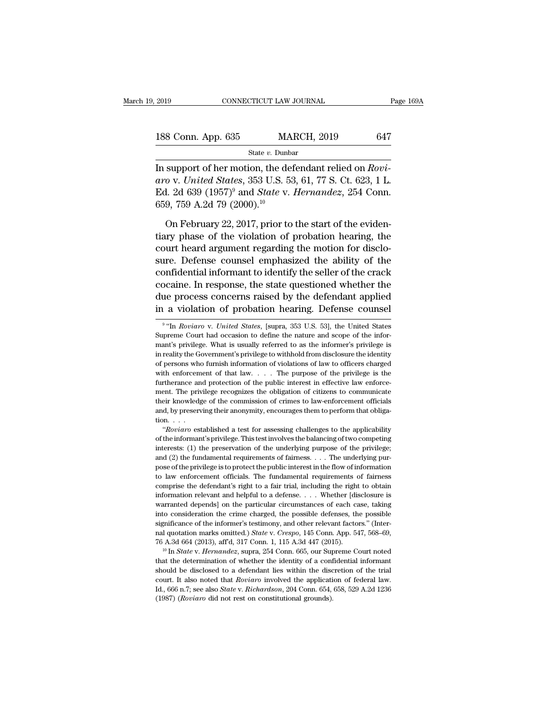| 2019               | CONNECTICUT LAW JOURNAL | Page 169A |
|--------------------|-------------------------|-----------|
| 188 Conn. App. 635 | <b>MARCH, 2019</b>      | 647       |
|                    | State $v$ . Dunbar      |           |

2019 CONNECTICUT LAW JOURNAL Page 16<br>
188 Conn. App. 635 MARCH, 2019 647<br>
State v. Dunbar<br>
In support of her motion, the defendant relied on *Rovi-*<br>
aro v. United States, 353 U.S. 53, 61, 77 S. Ct. 623, 1 L. **188 Conn. App. 635** MARCH, 2019 647<br> **aro** v. *United States*, 353 U.S. 53, 61, 77 S. Ct. 623, 1 L.<br> **Ed.** 2d 639 (1957)<sup>9</sup> and *State* v. *Hernandez*, 254 Conn. 188 Conn. App. 635 MARCH, 2019 647<br>
State *v*. *Dunbar*<br>
In support of her motion, the defendant relied on *Roviaro* v. *United States*, 353 U.S. 53, 61, 77 S. Ct. 623, 1 L.<br>
Ed. 2d 639 (1957)<sup>9</sup> and *State* v. *Hernandez* 188 Conn. App. 635 MA<br>
State v. Dunb<br>
In support of her motion, the de<br>
aro v. United States, 353 U.S. 5:<br>
Ed. 2d 639 (1957)<sup>9</sup> and *State* v.<br>
659, 759 A.2d 79 (2000).<sup>10</sup><br>
On February 22, 2017, prior to State v. Dunbar<br>
support of her motion, the defendant relied on *Rovi-*<br>
o v. *United States*, 353 U.S. 53, 61, 77 S. Ct. 623, 1 L.<br>
1. 2d 639 (1957)<sup>9</sup> and *State* v. *Hernandez*, 254 Conn.<br>
9, 759 A.2d 79 (2000).<sup>10</sup><br>
O In support of her motion, the defendant relied on *Rovi*-<br>aro v. United States, 353 U.S. 53, 61, 77 S. Ct. 623, 1 L.<br>Ed. 2d 639 (1957)<sup>9</sup> and *State v. Hernandez*, 254 Conn.<br>659, 759 A.2d 79 (2000).<sup>10</sup><br>On February 22, 20

aro v. United States, 353 U.S. 53, 61, 77 S. Ct. 623, 1 L.<br>Ed. 2d 639 (1957)<sup>9</sup> and *State v. Hernandez*, 254 Conn.<br>659, 759 A.2d 79 (2000).<sup>10</sup><br>On February 22, 2017, prior to the start of the eviden-<br>tiary phase of the v Ed. 2d 639 (1957)<sup>9</sup> and *State* v. *Hernandez*, 254 Conn.<br>659, 759 A.2d 79 (2000).<sup>10</sup><br>On February 22, 2017, prior to the start of the eviden-<br>tiary phase of the violation of probation hearing, the<br>court heard argument r 659, 759 A.2d 79 (2000).<sup>10</sup><br>On February 22, 2017, prior to the start of the evidentiary phase of the violation of probation hearing, the<br>court heard argument regarding the motion for disclo-<br>sure. Defense counsel emphasi On February 22, 2017, prior to the start of the evidentiary phase of the violation of probation hearing, the court heard argument regarding the motion for disclosure. Defense counsel emphasized the ability of the confident On February 22, 2017, prior to the start of the evidentiary phase of the violation of probation hearing, the court heard argument regarding the motion for disclosure. Defense counsel emphasized the ability of the confident tiary phase of the violation of probation hearing, the<br>court heard argument regarding the motion for disclo-<br>sure. Defense counsel emphasized the ability of the<br>confidential informant to identify the seller of the crack<br>c Transferred Informant to identify the seller of the crack<br>
caine. In response, the state questioned whether the<br>
e process concerns raised by the defendant applied<br>
a violation of probation hearing. Defense counsel<br>
"In *R* cocaine. In response, the state questioned whether the due process concerns raised by the defendant applied in a violation of probation hearing. Defense counsel  $\frac{9 \text{ "In Roviar v. United States}}{9 \text{ Time}}$  Court had occasion to define the

<sup>&</sup>lt;sup>9</sup> "In *Roviaro v. United States*, [supra, 353 U.S. 53], the United States due process concerns raised by the defendant applied<br>in a violation of probation hearing. Defense counsel<br><sup>9</sup> "In *Roviaro* v. *United States*, [supra, 353 U.S. 53], the United States<br>Supreme Court had occasion to define t in a violation of probation hearing. Defense counsel<br>  $\frac{1}{2}$  "In *Roviaro* v. *United States*, [supra, 353 U.S. 53], the United States<br>
Supreme Court had occasion to define the nature and scope of the infor-<br>
mant's pr In a violation of probation fiearing. Deferise counser<br>
<sup>9</sup> "In *Roviaro* v. *United States*, [supra, 353 U.S. 53], the United States<br>
Supreme Court had occasion to define the nature and scope of the informant's privilege <sup>9</sup> "In *Roviaro* v. *United States*, [supra, 353 U.S. 53], the United States Supreme Court had occasion to define the nature and scope of the informant's privilege. What is usually referred to as the informer's privilege Supreme Court had occasion to define the nature and scope of the informant's privilege. What is usually referred to as the informer's privilege is in reality the Government's privilege to withhold from disclosure the ident Experience what is usually referred to as the informer's privilege is<br>in reality the Government's privilege to withhold from disclosure the identity<br>of persons who furnish information of violations of law to officers charg the comment's privilege to withhold from disclosure the identity<br>of persons who furnish information of violations of law to officers charged<br>with enforcement of that law.... The purpose of the privilege is the<br>furtherance and, by preserving their anonymity, encourages them to perform that officers charged with enforcement of that law.  $\ldots$ . The purpose of the privilege is the furtherance and protection of the public interest in effective or with enforcement.<br>
furtherance and the private and the private and the private and the privation.<br>  $\therefore$  ...<br>
"Roviaro est" The triangulary of the public interest in effective law enforce-<br>ent. The privilege recognizes the obligation of citizens to communicate<br>eir knowledge of the commission of crimes to law-enforcement officials<br>d, by preservi ment. The privilege recognizes the obligation of citizens to communicate their knowledge of the commission of crimes to law-enforcement officials and, by preserving their anonymity, encourages them to perform that obligati

interests: (1) the preservation of the underlying purpose of the privilege; and, by preserving their anonymity, encourages them to perform that obligation.<br>
"Roviaro established a test for assessing challenges to the applicability<br>
of the informant's privilege. This test involves the balancing of many  $\sigma$  preserving and anonymay, shootings unan to perform that stages<br>tion...<br>"Roviaro established a test for assessing challenges to the applicability<br>of the informant's privilege. This test involves the balancing of "Roviaro established a test for assessing challenges to the applicability of the informant's privilege. This test involves the balancing of two competing interests: (1) the preservation of the underlying purpose of the pr of the informant's privilege. This test involves the balancing of two competing interests: (1) the preservation of the underlying purpose of the privilege; and (2) the fundamental requirements of fairness. . . . The under interests: (1) the preservation of the underlying purpose of the privilege;<br>interests: (1) the preservation of the underlying purpose of the privilege;<br>and (2) the fundamental requirements of fairness. . . . The underlyin and (2) the fundamental requirements of fairness. . . . The underlying purpose of the privilege is to protect the public interest in the flow of information to law enforcement officials. The fundamental requirements of fa pose of the privilege is to protect the public interest in the flow of information to law enforcement officials. The fundamental requirements of fairness comprise the defendant's right to a fair trial, including the right to law enforcement officials. The fundamental requirements of fairness<br>comprise the defendant's right to a fair trial, including the right to obtain<br>information relevant and helpful to a defense.... Whether [disclosure is comprise the defendant's right to a fair trial, including the right to obtain information relevant and helpful to a defense. . . . Whether [disclosure is warranted depends] on the particular circumstances of each case, tak information relevant and helpful to a defense. . . . Whether [disclosure is warranted depends] on the particular circumstances of each case, taking into consideration the crime charged, the possible defenses, the possible into consideration the crime charged, the possible defenses, the possible significance of the informer's testimony, and other relevant factors." (Internal quotation marks omitted.) *State v. Crespo*, 145 Conn. App. 547, 5

significance of the informer's testimony, and other relevant factors." (Internal quotation marks omitted.) *State v. Crespo*, 145 Conn. App. 547, 568–69, 76 A.3d 664 (2013), aff d, 317 Conn. 1, 115 A.3d 447 (2015).<br><sup>10</sup> I nal quotation marks omitted.) *State v. Crespo*, 145 Conn. App. 547, 568–69, 76 A.3d 664 (2013), aff d, 317 Conn. 1, 115 A.3d 447 (2015).<br><sup>10</sup> In *State v. Hernandez*, supra, 254 Conn. 665, our Supreme Court noted that th T6 A.3d 664 (2013), aff<sup>r</sup>d, 317 Conn. 1, 115 A.3d 447 (2015).<br><sup>10</sup> In *State* v. *Hernandez*, supra, 254 Conn. 665, our Supreme Court noted<br>that the determination of whether the identity of a confidential informant<br>should <sup>10</sup> In State v. Hernandez, supra, 254 Conn. 665, our Supreme Court noted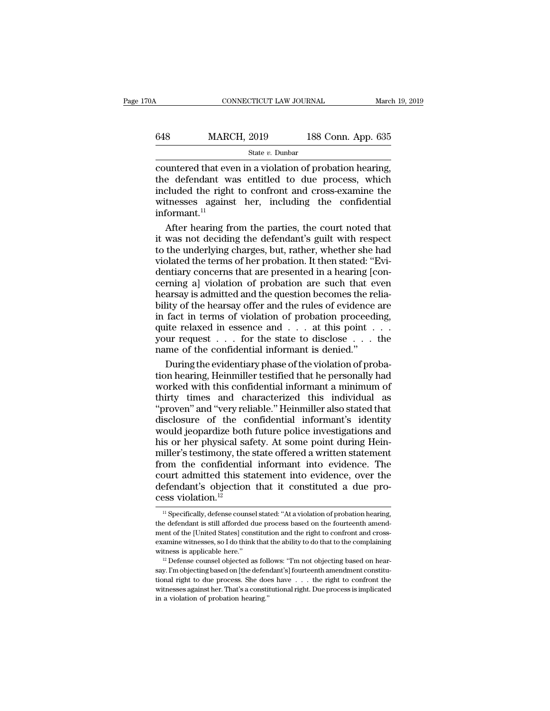## CONNECTICUT LAW JOURNAL March 19, 2019<br>648 MARCH, 2019 188 Conn. App. 635<br>544 State v. Dunbar State *v.* Dunbar

CONNECTICUT LAW JOURNAL March 19, 2<br>  $\begin{array}{r}\n 648 \text{ MARCH, } 2019 \text{ 188 Conn. App. 635} \\
 \hline\n \text{State } v. \text{ Dunbar} \n\end{array}$ <br>
countered that even in a violation of probation hearing,<br>
the defendant was entitled to due process, which<br>
include the defendant was entitled to due process, which<br>witnesses against her including the confidential<br>witnesses against her including the confidential MARCH, 2019 188 Conn. App. 635<br>  $\frac{\text{State } v. \text{ Dunbar}}{\text{countered that even in a violation of~} \text{probation hearing,}}$ <br>
the defendant was entitled to due process, which<br>
included the right to confront and cross-examine the<br>
witnesses against her, including the confide MARCH, 2019 188 Conn. App. 635<br>
state v. Dunbar<br>
countered that even in a violation of probation hearing,<br>
the defendant was entitled to due process, which<br>
included the right to confront and cross-examine the<br>
witnesses informant.<sup>11</sup> state *v*. Dunbar<br>
untered that even in a violation of probation hearing,<br>
e defendant was entitled to due process, which<br>
cluded the right to confront and cross-examine the<br>
thesses against her, including the confidentia countered that even in a violation of probation hearing,<br>the defendant was entitled to due process, which<br>included the right to confront and cross-examine the<br>witnesses against her, including the confidential<br>informant.<sup>11</sup>

the defendant was entitled to due process, which<br>included the right to confront and cross-examine the<br>witnesses against her, including the confidential<br>informant.<sup>11</sup><br>After hearing from the parties, the court noted that<br>it included the right to confront and cross-examine the<br>witnesses against her, including the confidential<br>informant.<sup>11</sup><br>After hearing from the parties, the court noted that<br>it was not deciding the defendant's guilt with resp witnesses against her, including the confidential<br>informant.<sup>11</sup><br>After hearing from the parties, the court noted that<br>it was not deciding the defendant's guilt with respect<br>to the underlying charges, but, rather, whether s informant.<sup>11</sup><br>After hearing from the parties, the court noted that<br>it was not deciding the defendant's guilt with respect<br>to the underlying charges, but, rather, whether she had<br>violated the terms of her probation. It the After hearing from the parties, the court noted that<br>it was not deciding the defendant's guilt with respect<br>to the underlying charges, but, rather, whether she had<br>violated the terms of her probation. It then stated: "Evi-Frace Roading the defendant's guilt with respect<br>to the underlying charges, but, rather, whether she had<br>violated the terms of her probation. It then stated: "Evi-<br>dentiary concerns that are presented in a hearing [con-<br>ce In the underlying charges, but, rather, whether she had<br>violated the terms of her probation. It then stated: "Evi-<br>dentiary concerns that are presented in a hearing [con-<br>cerning a] violation of probation are such that eve violated the terms of her probation. It then stated: "Evidentiary concerns that are presented in a hearing [concerning a] violation of probation are such that even hearsay is admitted and the question becomes the reliabil requested in the state of the presence of the state of dentiting and determing all violation of probation are such that even<br>hearsay is admitted and the question becomes the relia-<br>bility of the hearsay offer and the rules name of probation are such that eventually comming all violation of probation are such that every hearsay is admitted and the question becomes the red bility of the hearsay offer and the rules of evidence in fact in terms arsay is admitted and the question becomes the relia-<br>lity of the hearsay offer and the rules of evidence are<br>fact in terms of violation of probation proceeding,<br>ite relaxed in essence and  $\dots$  at this point  $\dots$ <br>ur reque bility of the hearsay offer and the rules of evidence are<br>in fact in terms of violation of probation proceeding,<br>quite relaxed in essence and  $\dots$  at this point  $\dots$ <br>your request  $\dots$  for the state to disclose  $\dots$  the<br>na

in fact in terms of violation of probation proceeding,<br>quite relaxed in essence and  $\dots$  at this point  $\dots$ <br>your request  $\dots$  for the state to disclose  $\dots$  the<br>name of the confidential informant is denied."<br>During the ev quite relaxed in essence and . . . at this point . . .<br>your request . . . for the state to disclose . . . the<br>name of the confidential informant is denied."<br>During the evidentiary phase of the violation of proba-<br>tion hear your request . . . for the state to disclose . . . the<br>name of the confidential informant is denied."<br>During the evidentiary phase of the violation of proba-<br>tion hearing, Heinmiller testified that he personally had<br>worked name of the confidential informant is denied."<br>During the evidentiary phase of the violation of probation hearing, Heinmiller testified that he personally had<br>worked with this confidential informant a minimum of<br>thirty-tim During the evidentiary phase of the violation of probation hearing, Heinmiller testified that he personally had<br>worked with this confidential informant a minimum of<br>thirty times and characterized this individual as<br>"proven During the evidentiary phase of the violation of probation hearing, Heinmiller testified that he personally had worked with this confidential informant a minimum of thirty times and characterized this individual as "proven morked with this confidential informant a minimum of<br>thirty times and characterized this individual as<br>"proven" and "very reliable." Heinmiller also stated that<br>disclosure of the confidential informant's identity<br>would jeo filiar the confidential information into the confidential informative intervalse.<br>
"proven" and "very reliable." Heinmiller also stated that<br>
disclosure of the confidential informant's identity<br>
would jeopardize both futur "proven" and "very reliable." Heinmiller also stated that<br>disclosure of the confidential informant's identity<br>would jeopardize both future police investigations and<br>his or her physical safety. At some point during Hein-<br>m disclosure of the confidential informant's identity<br>would jeopardize both future police investigations and<br>his or her physical safety. At some point during Hein-<br>miller's testimony, the state offered a written statement<br>f would jeopardize both<br>his or her physical sa<br>miller's testimony, the<br>from the confidentia<br>court admitted this st<br>defendant's objection<br>cess violation.<sup>12</sup> om the confidential informant into evidence. The<br>burt admitted this statement into evidence, over the<br>efendant's objection that it constituted a due pro-<br>ss violation.<sup>12</sup><br><sup>11</sup> Specifically, defense counsel stated: "At a v court admitted this statement into evidence, over the defendant's objection that it constituted a due process violation.<sup>12</sup><br> $\frac{1}{1}$  Specifically, defense counsel stated: "At a violation of probation hearing, the defend

defendant's objection that it constituted a due process violation.<sup>12</sup><br>
<sup>11</sup> Specifically, defense counsel stated: "At a violation of probation hearing, the defendant is still afforded due process based on the fourteenth cess violation.<sup>12</sup><br>
<sup>11</sup> Specifically, defense counsel stated: "At a violation of probation hearing,<br>
the defendant is still afforded due process based on the fourteenth amend-<br>
ment of the [United States] constitution a **CESS VIOIALION.**<sup>--</sup><br><sup>11</sup> Specifically, defense counsel stated: "At a violation of probation hearing,<br>the defendant is still afforded due process based on the fourteenth amend-<br>ment of the [United States] constitution an the defendant is still afforded due process based on the fourteenth amendment of the [United States] constitution and the right to confront and cross-<br>examine witnesses, so I do think that the ability to do that to the co

ment of the [United States] constitution and the right to confront and cross-<br>examine witnesses, so I do think that the ability to do that to the complaining<br>witness is applicable here."<br><sup>22</sup> Defense counsel objected as fo examine witnesses, so I do think that the ability to do that to the complaining witness is applicable here."<br><sup>12</sup> Defense counsel objected as follows: "I'm not objecting based on hear-<br>say. I'm objecting based on [the def witness is applicable here."<br>
<sup>12</sup> Defense counsel objected as foll<br>
say. I'm objecting based on [the defen<br>
tional right to due process. She doe<br>
witnesses against her. That's a constiting."<br>
in a violation of probation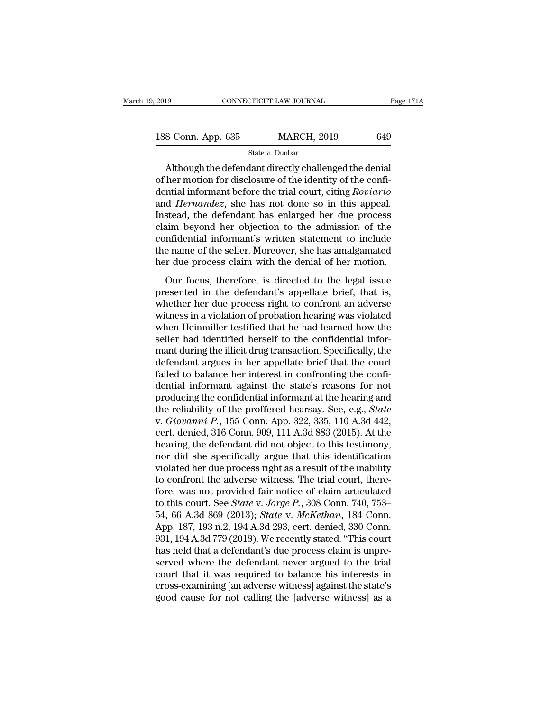| 2019               | CONNECTICUT LAW JOURNAL | Page 171A |
|--------------------|-------------------------|-----------|
| 188 Conn. App. 635 | <b>MARCH, 2019</b>      | 649       |
|                    | State $v$ . Dunbar      |           |

### State *v.* Dunbar

CONNECTICUT LAW JOURNAL Page 17<br>
8 Conn. App. 635 MARCH, 2019 649<br>
State v. Dunbar<br>
Although the defendant directly challenged the denial<br>
her motion for disclosure of the identity of the confi-<br>
partial informant before t 188 Conn. App. 635 MARCH, 2019 649<br>
State v. Dunbar<br>
Although the defendant directly challenged the denial<br>
of her motion for disclosure of the identity of the confi-<br>
dential informant before the trial court, citing *Rov* 188 Conn. App. 635 MARCH, 2019 649<br>
State v. Dunbar<br>
Although the defendant directly challenged the denial<br>
of her motion for disclosure of the identity of the confi-<br>
dential informant before the trial court, citing *Rov* 188 Conn. App. 635 MARCH, 2019 649<br> **Example 188 Conn.** App. 635<br> **Example 188 Connandez**<br>
Although the defendant directly challenged the denial<br>
of her motion for disclosure of the identity of the confi-<br>
dential informa State v. Dunbar<br>
State v. Dunbar<br>
Although the defendant directly challenged the denial<br>
of her motion for disclosure of the identity of the confi-<br>
dential informant before the trial court, citing *Roviario*<br>
and *Hernan* State v. Dunbar<br>
Although the defendant directly challenged the denial<br>
of her motion for disclosure of the identity of the confi-<br>
dential informant before the trial court, citing *Roviario*<br>
and *Hernandez*, she has not Although the defendant directly challenged the denial<br>of her motion for disclosure of the identity of the confi-<br>dential informant before the trial court, citing *Roviario*<br>and *Hernandez*, she has not done so in this appe of her motion for disclosure of the identity of the confi-<br>dential informant before the trial court, citing *Roviario*<br>and *Hernandez*, she has not done so in this appeal.<br>Instead, the defendant has enlarged her due proces dential informant before the trial court, citing *Roviario*<br>and *Hernandez*, she has not done so in this appeal.<br>Instead, the defendant has enlarged her due process<br>claim beyond her objection to the admission of the<br>confid Stead, the defendant has enlarged her due process<br>sim beyond her objection to the admission of the<br>infidential informant's written statement to include<br>e name of the seller. Moreover, she has amalgamated<br>r due process clai mosead, are determined into entarged fier due process<br>claim beyond her objection to the admission of the<br>confidential informant's written statement to include<br>the name of the seller. Moreover, she has amalgamated<br>her due p

Early sey one has a confidential informant's written statement to include<br>the name of the seller. Moreover, she has amalgamated<br>her due process claim with the denial of her motion.<br>Our focus, therefore, is directed to the best a morthands written statement to increase<br>the name of the seller. Moreover, she has amalgamated<br>her due process claim with the denial of her motion.<br>Our focus, therefore, is directed to the legal issue<br>presented in th From the hand of the senet. Moreover, she has an<br>algorithmed the heind of her motion.<br>Our focus, therefore, is directed to the legal issue<br>presented in the defendant's appellate brief, that is,<br>whether her due process righ For the process claim with the definal of her motion.<br>Our focus, therefore, is directed to the legal issue<br>presented in the defendant's appellate brief, that is,<br>whether her due process right to confront an adverse<br>witness Our focus, therefore, is directed to the legal issue<br>presented in the defendant's appellate brief, that is,<br>whether her due process right to confront an adverse<br>witness in a violation of probation hearing was violated<br>when presented in the defendant's appellate brief, that is,<br>whether her due process right to confront an adverse<br>witness in a violation of probation hearing was violated<br>when Heinmiller testified that he had learned how the<br>sel whether her due process right to confront an adverse<br>witness in a violation of probation hearing was violated<br>when Heinmiller testified that he had learned how the<br>seller had identified herself to the confidential infor-<br>m witness in a violation of probation hearing was violated<br>when Heinmiller testified that he had learned how the<br>seller had identified herself to the confidential infor-<br>mant during the illicit drug transaction. Specifically when Heinmiller testified that he had learned how the<br>seller had identified herself to the confidential infor-<br>mant during the illicit drug transaction. Specifically, the<br>defendant argues in her appellate brief that the c seller had identified herself to the confidential informant during the illicit drug transaction. Specifically, the defendant argues in her appellate brief that the court failed to balance her interest in confronting the co mant during the illicit drug transaction. Specifically, the<br>defendant argues in her appellate brief that the court<br>failed to balance her interest in confronting the confi-<br>dential informant against the state's reasons for defendant argues in her appellate brief that the court<br>failed to balance her interest in confronting the confi-<br>dential informant against the state's reasons for not<br>producing the confidential informant at the hearing and<br> failed to balance her interest in confronting the confidential informant against the state's reasons for not producing the confidential informant at the hearing and the reliability of the proffered hearsay. See, e.g., *Sta* dential informant against the state's reasons for not<br>producing the confidential informant at the hearing and<br>the reliability of the proffered hearsay. See, e.g., *State*<br>v. *Giovanni P.*, 155 Conn. App. 322, 335, 110 A.3d producing the confidential informant at the hearing and<br>the reliability of the proffered hearsay. See, e.g., *State*<br>v. *Giovanni P.*, 155 Conn. App. 322, 335, 110 A.3d 442,<br>cert. denied, 316 Conn. 909, 111 A.3d 883 (2015) the reliability of the proffered hearsay. See, e.g., *State* v. *Giovanni P.*, 155 Conn. App. 322, 335, 110 A.3d 442, cert. denied, 316 Conn. 909, 111 A.3d 883 (2015). At the hearing, the defendant did not object to this v. *Giovanni P.*, 155 Conn. App. 322, 335, 110 A.3d 442,<br>cert. denied, 316 Conn. 909, 111 A.3d 883 (2015). At the<br>hearing, the defendant did not object to this testimony,<br>nor did she specifically argue that this identific cert. denied, 316 Conn. 909, 111 A.3d 883 (2015). At the<br>hearing, the defendant did not object to this testimony,<br>nor did she specifically argue that this identification<br>violated her due process right as a result of the in hearing, the defendant did not object to this testimony,<br>nor did she specifically argue that this identification<br>violated her due process right as a result of the inability<br>to confront the adverse witness. The trial court, nor did she specifically argue that this identification<br>violated her due process right as a result of the inability<br>to confront the adverse witness. The trial court, there-<br>fore, was not provided fair notice of claim artic violated her due process right as a result of the inability<br>to confront the adverse witness. The trial court, there-<br>fore, was not provided fair notice of claim articulated<br>to this court. See *State* v. Jorge P., 308 Conn. to confront the adverse witness. The trial court, therefore, was not provided fair notice of claim articulated<br>to this court. See *State v. Jorge P.*, 308 Conn. 740, 753–<br>54, 66 A.3d 869 (2013); *State v. McKethan*, 184 C fore, was not provided fair notice of claim articulated<br>to this court. See *State* v. Jorge P., 308 Conn. 740, 753–<br>54, 66 A.3d 869 (2013); *State* v. *McKethan*, 184 Conn.<br>App. 187, 193 n.2, 194 A.3d 293, cert. denied, 3 to this court. See *State* v. *Jorge P.*, 308 Conn. 740, 753–54, 66 A.3d 869 (2013); *State* v. *McKethan*, 184 Conn. App. 187, 193 n.2, 194 A.3d 293, cert. denied, 330 Conn. 931, 194 A.3d 779 (2018). We recently stated: 54, 66 A.3d 869 (2013); *State* v. *McKethan*, 184 Conn.<br>App. 187, 193 n.2, 194 A.3d 293, cert. denied, 330 Conn.<br>931, 194 A.3d 779 (2018). We recently stated: "This court<br>has held that a defendant's due process claim is u App. 187, 193 n.2, 194 A.3d 293, cert. denied, 330 Conn.<br>931, 194 A.3d 779 (2018). We recently stated: "This court<br>has held that a defendant's due process claim is unpre-<br>served where the defendant never argued to the tria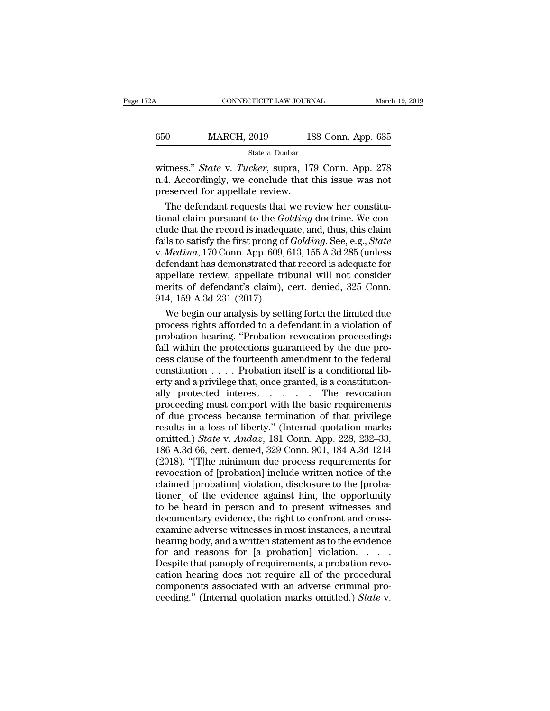| 2A  | CONNECTICUT LAW JOURNAL |                    | March 19, 2019 |
|-----|-------------------------|--------------------|----------------|
| 650 | <b>MARCH, 2019</b>      | 188 Conn. App. 635 |                |
|     | State $v$ . Dunbar      |                    |                |

CONNECTICUT LAW JOURNAL March 19, 2019<br> **MARCH**, 2019 188 Conn. App. 635<br>
State *v*. Dunbar<br>
Witness." *State* v. *Tucker*, supra, 179 Conn. App. 278<br>
n.4. Accordingly, we conclude that this issue was not 650 MARCH, 2019 188 Conn. App. 635<br>
State v. Dunbar<br>
witness." *State* v. *Tucker*, supra, 179 Conn. App. 278<br>
n.4. Accordingly, we conclude that this issue was not<br>
preserved for appellate review.  $\begin{tabular}{ll} \multicolumn{1}{l}{{\textbf{650}}} & \multicolumn{1}{l}{\textbf{MARCH, 2019}} & \multicolumn{1}{l}{18}\\ \multicolumn{1}{l}{\textbf{State $v$}} & \multicolumn{1}{l}{\textbf{State $v$}} & \multicolumn{1}{l}{\textbf{Dunbar}}\\ \hline \multicolumn{1}{l}{\textbf{witness."} }\end{tabular} \vspace{5pt} \begin{tabular}{ll} \multicolumn{1}{l}{\textbf{State $v$}} & \multicolumn{1}{l}{\textbf{Dunbar}}\\ \multicolumn{1}{l}{\textbf{m.4. Accordingly, we conclude that 1$  $\frac{0}{0}$  MARCH, 2019 188 Conn. App. 635<br>  $\frac{0}{0}$  State v. Tucker, supra, 179 Conn. App. 278<br>
4. Accordingly, we conclude that this issue was not<br>
eserved for appellate review.<br>
The defendant requests that we review her

State *v.* Dunbar<br>witness." State v. Tucker, supra, 179 Conn. App. 278<br>n.4. Accordingly, we conclude that this issue was not<br>preserved for appellate review.<br>The defendant requests that we review her constitu-<br>tional claim witness." *State* v. *Tucker*, supra, 179 Conn. App. 278<br>n.4. Accordingly, we conclude that this issue was not<br>preserved for appellate review.<br>The defendant requests that we review her constitu-<br>tional claim pursuant to t witness." *State* v. *Tucker*, supra, 179 Conn. App. 278<br>n.4. Accordingly, we conclude that this issue was not<br>preserved for appellate review.<br>The defendant requests that we review her constitu-<br>tional claim pursuant to th n.4. Accordingly, we conclude that this issue was not<br>preserved for appellate review.<br>The defendant requests that we review her constitu-<br>tional claim pursuant to the *Golding* doctrine. We con-<br>clude that the record is in preserved for appellate review.<br>
The defendant requests that we review her constitu-<br>
tional claim pursuant to the *Golding* doctrine. We con-<br>
clude that the record is inadequate, and, thus, this claim<br>
fails to satisfy t The defendant requests that we review her constitu-<br>tional claim pursuant to the *Golding* doctrine. We con-<br>clude that the record is inadequate, and, thus, this claim<br>fails to satisfy the first prong of *Golding*. See, e tional claim pursuant to the *Golding* doctrine. We conclude that the record is inadequate, and, thus, this claim<br>fails to satisfy the first prong of *Golding*. See, e.g., *State*<br>v. *Medina*, 170 Conn. App. 609, 613, 155 clude that the record is inadeque fails to satisfy the first prong of<br>v. *Medina*, 170 Conn. App. 609,<br>defendant has demonstrated the<br>appellate review, appellate tri<br>merits of defendant's claim),<br>914, 159 A.3d 231 (2017).<br> lls to satisfy the first prong of  $Goldung$ . See, e.g.,  $State$ <br> *Medina*, 170 Conn. App. 609, 613, 155 A.3d 285 (unless<br>
fendant has demonstrated that record is adequate for<br>
pellate review, appellate tribunal will not consider<br> v. *Medina*, 170 Conn. App. 609, 613, 155 A.3d 285 (unless<br>defendant has demonstrated that record is adequate for<br>appellate review, appellate tribunal will not consider<br>merits of defendant's claim), cert. denied, 325 Conn.

defendant has demonstrated that record is adequate for<br>appellate review, appellate tribunal will not consider<br>merits of defendant's claim), cert. denied, 325 Conn.<br>914, 159 A.3d 231 (2017).<br>We begin our analysis by setting appellate review, appellate tribunal will not consider<br>merits of defendant's claim), cert. denied, 325 Conn.<br>914, 159 A.3d 231 (2017).<br>We begin our analysis by setting forth the limited due<br>process rights afforded to a def merits of defendant's claim), cert. denied, 325 Conn.<br>914, 159 A.3d 231 (2017).<br>We begin our analysis by setting forth the limited due<br>process rights afforded to a defendant in a violation of<br>probation hearing. "Probation 914, 159 A.3d 231 (2017).<br>We begin our analysis by setting forth the limited due<br>process rights afforded to a defendant in a violation of<br>probation hearing. "Probation revocation proceedings<br>fall within the protections gu We begin our analysis by setting forth the limited due<br>process rights afforded to a defendant in a violation of<br>probation hearing. "Probation revocation proceedings<br>fall within the protections guaranteed by the due pro-<br>c process rights afforded to a defendant in a violation of<br>probation hearing. "Probation revocation proceedings<br>fall within the protections guaranteed by the due pro-<br>cess clause of the fourteenth amendment to the federal<br>co probation hearing. "Probation revocation proceedings<br>fall within the protections guaranteed by the due process clause of the fourteenth amendment to the federal<br>constitution  $\ldots$ . Probation itself is a constitution-<br>ally fall within the protections guaranteed by the due process clause of the fourteenth amendment to the federal constitution  $\ldots$ . Probation itself is a conditional liberty and a privilege that, once granted, is a constituti cess clause of the fourteenth amendment to the federal constitution . . . . Probation itself is a conditional liberty and a privilege that, once granted, is a constitutionally protected interest . . . . . The revocation p constitution . . . . Probation itself is a conditional liberty and a privilege that, once granted, is a constitution-<br>ally protected interest . . . . . The revocation<br>proceeding must comport with the basic requirements<br>of erty and a privilege that, once granted, is a constitution-<br>ally protected interest . . . . . The revocation<br>proceeding must comport with the basic requirements<br>of due process because termination of that privilege<br>results ally protected interest . . . . . The revocation<br>proceeding must comport with the basic requirements<br>of due process because termination of that privilege<br>results in a loss of liberty." (Internal quotation marks<br>omitted.) proceeding must comport with the basic requirements<br>of due process because termination of that privilege<br>results in a loss of liberty." (Internal quotation marks<br>omitted.) *State* v. *Andaz*, 181 Conn. App. 228, 232–33,<br>18 of due process because termination of that privilege<br>results in a loss of liberty." (Internal quotation marks<br>omitted.) *State* v. *Andaz*, 181 Conn. App. 228, 232–33,<br>186 A.3d 66, cert. denied, 329 Conn. 901, 184 A.3d 121 results in a loss of liberty." (Internal quotation marks<br>omitted.) *State* v. *Andaz*, 181 Conn. App. 228, 232–33,<br>186 A.3d 66, cert. denied, 329 Conn. 901, 184 A.3d 1214<br>(2018). "[T]he minimum due process requirements for omitted.) *State* v. *Andaz*, 181 Conn. App. 228, 232–33, 186 A.3d 66, cert. denied, 329 Conn. 901, 184 A.3d 1214 (2018). "[T]he minimum due process requirements for revocation of [probation] include written notice of the 186 A.3d 66, cert. denied, 329 Conn. 901, 184 A.3d 1214 (2018). "[T]he minimum due process requirements for revocation of [probation] include written notice of the claimed [probation] violation, disclosure to the [probati (2018). "[T]he minimum due process requirements for<br>revocation of [probation] include written notice of the<br>claimed [probation] violation, disclosure to the [proba-<br>tioner] of the evidence against him, the opportunity<br>to b revocation of [probation] include written notice of the<br>claimed [probation] violation, disclosure to the [proba-<br>tioner] of the evidence against him, the opportunity<br>to be heard in person and to present witnesses and<br>docum claimed [probation] violation, disclosure to the [probationer] of the evidence against him, the opportunity to be heard in person and to present witnesses and documentary evidence, the right to confront and cross-<br>examine tioner] of the evidence against him, the opportunity<br>to be heard in person and to present witnesses and<br>documentary evidence, the right to confront and cross-<br>examine adverse witnesses in most instances, a neutral<br>hearing to be heard in person and to present witnesses and<br>documentary evidence, the right to confront and cross-<br>examine adverse witnesses in most instances, a neutral<br>hearing body, and a written statement as to the evidence<br>for documentary evidence, the right to confront and cross-<br>examine adverse witnesses in most instances, a neutral<br>hearing body, and a written statement as to the evidence<br>for and reasons for [a probation] violation. . . . .<br>De examine adverse witnesses in most instances, a neutral<br>hearing body, and a written statement as to the evidence<br>for and reasons for [a probation] violation. . . . .<br>Despite that panoply of requirements, a probation revo-<br>c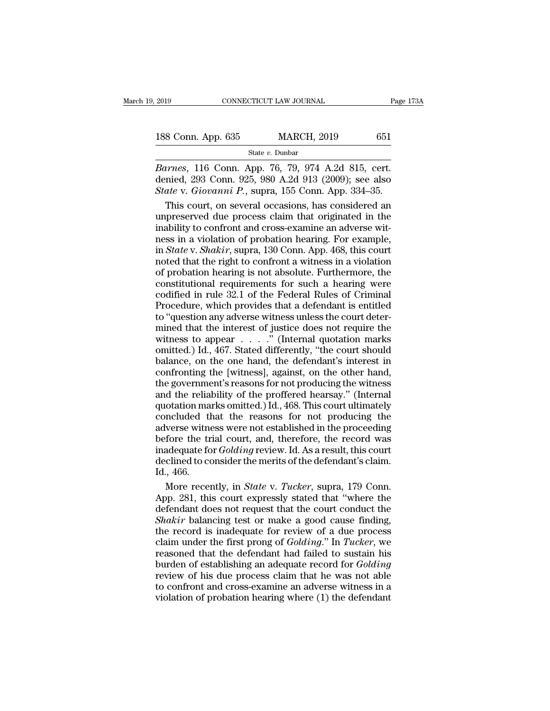| 2019               | CONNECTICUT LAW JOURNAL | Page 173A |  |
|--------------------|-------------------------|-----------|--|
| 188 Conn. App. 635 | <b>MARCH, 2019</b>      | 651       |  |
|                    | State $v$ . Dunbar      |           |  |

*Barnes*, 116 Conn. App. 635<br>*Barnes*, 116 Conn. App. 76, 79, 974 A.2d 815, cert.<br>*Barnes*, 116 Conn. App. 76, 79, 974 A.2d 815, cert.<br>**denied**, 293 Conn. 925, 980 A.2d 913 (2009); see also<br>*State v. Giovanni P*. supra 1 188 Conn. App. 635 MARCH, 2019 651<br>
State v. Dunbar<br>
Barnes, 116 Conn. App. 76, 79, 974 A.2d 815, cert.<br>
denied, 293 Conn. 925, 980 A.2d 913 (2009); see also<br>
State v. Giovanni P., supra, 155 Conn. App. 334–35. **188 Conn. App. 635** MARCH, 2019 651<br> **State v. Dunbar**<br> *State v. Dunbar*<br> *Barnes*, 116 Conn. App. 76, 79, 974 A.2d 815, cert.<br>
denied, 293 Conn. 925, 980 A.2d 913 (2009); see also<br> *State* v. *Giovanni P.*, supra, 155 C 8 Conn. App. 635 MARCH, 2019 651<br>
State v. Dunbar<br>
urnes, 116 Conn. App. 76, 79, 974 A.2d 815, cert.<br>
nied, 293 Conn. 925, 980 A.2d 913 (2009); see also<br>
ate v. Giovanni P., supra, 155 Conn. App. 334–35.<br>
This court, on se

State v. Dunbar<br>
Barnes, 116 Conn. App. 76, 79, 974 A.2d 815, cert.<br>
denied, 293 Conn. 925, 980 A.2d 913 (2009); see also<br>
State v. Giovanni P., supra, 155 Conn. App. 334–35.<br>
This court, on several occasions, has conside Frames, 116 Conn. App. 76, 79, 974 A.2d 815, cert.<br>denied, 293 Conn. 925, 980 A.2d 913 (2009); see also<br>*State v. Giovanni P.*, supra, 155 Conn. App. 334–35.<br>This court, on several occasions, has considered an<br>unpreserved Barnes, 116 Conn. App. 76, 79, 974 A.2d 815, cert.<br>denied, 293 Conn. 925, 980 A.2d 913 (2009); see also<br>State v. Giovanni P., supra, 155 Conn. App. 334–35.<br>This court, on several occasions, has considered an<br>unpreserved du denied, 293 Conn. 925, 980 A.2d 913 (2009); see also<br> *State* v. *Giovanni P.*, supra, 155 Conn. App. 334–35.<br>
This court, on several occasions, has considered an<br>
unpreserved due process claim that originated in the<br>
inab State v. Giovanni P., supra, 155 Conn. App. 334–35.<br>This court, on several occasions, has considered an<br>unpreserved due process claim that originated in the<br>inability to confront and cross-examine an adverse wit-<br>ness in a This court, on several occasions, has considered an unpreserved due process claim that originated in the inability to confront and cross-examine an adverse witness in a violation of probation hearing. For example, in *Stat* unpreserved due process claim that originated in the<br>inability to confront and cross-examine an adverse wit-<br>ness in a violation of probation hearing. For example,<br>in *State* v. *Shakir*, supra, 130 Conn. App. 468, this c inability to confront and cross-examine an adverse witness in a violation of probation hearing. For example, in *State* v. *Shakir*, supra, 130 Conn. App. 468, this court noted that the right to confront a witness in a vi  $\frac{1}{2}$  and  $\frac{1}{2}$  are solution of probation hearing. For example, in *State* v. *Shakir*, supra, 130 Conn. App. 468, this court noted that the right to confront a witness in a violation of probation hearing is not a ness in a violation of probation hearing. For example, in *State* v. *Shakir*, supra, 130 Conn. App. 468, this court noted that the right to confront a witness in a violation of probation hearing is not absolute. Furtherm moted that the right to confront a witness in a violation<br>of probation hearing is not absolute. Furthermore, the<br>constitutional requirements for such a hearing were<br>codified in rule 32.1 of the Federal Rules of Criminal<br>P record and are right of solution dimension of probation hearing is not absolute. Furthermore, the constitutional requirements for such a hearing were codified in rule 32.1 of the Federal Rules of Criminal Procedure, which constitutional requirements for such a hearing were<br>codified in rule 32.1 of the Federal Rules of Criminal<br>Procedure, which provides that a defendant is entitled<br>to "question any adverse witness unless the court deter-<br>mi codified in rule 32.1 of the Federal Rules of Criminal<br>Procedure, which provides that a defendant is entitled<br>to "question any adverse witness unless the court deter-<br>mined that the interest of justice does not require th Procedure, which provides that a defendant is entitled<br>to "question any adverse witness unless the court deter-<br>mined that the interest of justice does not require the<br>witness to appear  $\dots$ ." (Internal quotation marks<br>om to "question any adverse witness unless the court determined that the interest of justice does not require the<br>witness to appear  $\dots$ ." (Internal quotation marks<br>omitted.) Id., 467. Stated differently, "the court should<br>b and that the interest of justice does not require the witness to appear  $\dots$ ." (Internal quotation marks omitted.) Id., 467. Stated differently, "the court should balance, on the one hand, the defendant's interest in conf marks to appear  $\dots$ . " (Internal quotation marks omitted.) Id., 467. Stated differently, "the court should balance, on the one hand, the defendant's interest in confronting the [witness], against, on the other hand, the concluded that the reasons for not procedure interest in confronting the lwitness], against, on the other hand, the government's reasons for not producing the witness and the reliability of the proffered hearsay." (Intern balance, on the one hand, the defendant's interest in<br>confronting the [witness], against, on the other hand,<br>the government's reasons for not producing the witness<br>and the reliability of the proffered hearsay." (Internal<br> before the trial court, and state of the defendant's claim<br>the government's reasons for not producing the witness<br>and the reliability of the proffered hearsay." (Internal<br>quotation marks omitted.) Id., 468. This court ulti inadequate for *Golding* review. In the sovernment's reasons for not producing the witness<br>and the reliability of the proffered hearsay." (Internal<br>quotation marks omitted.) Id., 468. This court ultimately<br>concluded that t and the reliability of the proffered hearsay." (Internal quotation marks omitted.) Id., 468. This court ultimately concluded that the reasons for not producing the adverse witness were not established in the proceeding bef muotation ma<br>concluded the<br>adverse witne<br>before the tr<br>inadequate fo<br>declined to co<br>Id., 466.<br>More recen ncluded that the reasons for not producing the<br>verse witness were not established in the proceeding<br>fore the trial court, and, therefore, the record was<br>adequate for *Golding* review. Id. As a result, this court<br>clined to adverse witness were not established in the proceeding<br>before the trial court, and, therefore, the record was<br>inadequate for *Golding* review. Id. As a result, this court<br>declined to consider the merits of the defendant's

before the trial court, and, therefore, the record was<br>inadequate for *Golding* review. Id. As a result, this court<br>declined to consider the merits of the defendant's claim.<br>Id., 466.<br>More recently, in *State* v. *Tucker*, inadequate for *Golding* review. Id. As a result, this court<br>declined to consider the merits of the defendant's claim.<br>Id., 466.<br>More recently, in *State* v. *Tucker*, supra, 179 Conn.<br>App. 281, this court expressly stated declined to consider the merits of the defendant's claim.<br>Id., 466.<br>More recently, in *State* v. *Tucker*, supra, 179 Conn.<br>App. 281, this court expressly stated that "where the<br>defendant does not request that the court co Id., 466.<br>More recently, in *State* v. *Tucker*, supra, 179 Conn.<br>App. 281, this court expressly stated that "where the<br>defendant does not request that the court conduct the<br>*Shakir* balancing test or make a good cause fin More recently, in *State* v. *Tucker*, supra, 179 Conn.<br>App. 281, this court expressly stated that "where the<br>defendant does not request that the court conduct the<br>*Shakir* balancing test or make a good cause finding,<br>the App. 281, this court expressly stated that "where the<br>defendant does not request that the court conduct the<br>*Shakir* balancing test or make a good cause finding,<br>the record is inadequate for review of a due process<br>claim u defendant does not request that the court conduct the *Shakir* balancing test or make a good cause finding, the record is inadequate for review of a due process claim under the first prong of *Golding.*" In *Tucker*, we r *Shakir* balancing test or make a good cause finding, the record is inadequate for review of a due process claim under the first prong of *Golding.*" In *Tucker*, we reasoned that the defendant had failed to sustain his b the record is inadequate for review of a due process<br>claim under the first prong of *Golding.*" In *Tucker*, we<br>reasoned that the defendant had failed to sustain his<br>burden of establishing an adequate record for *Golding*<br>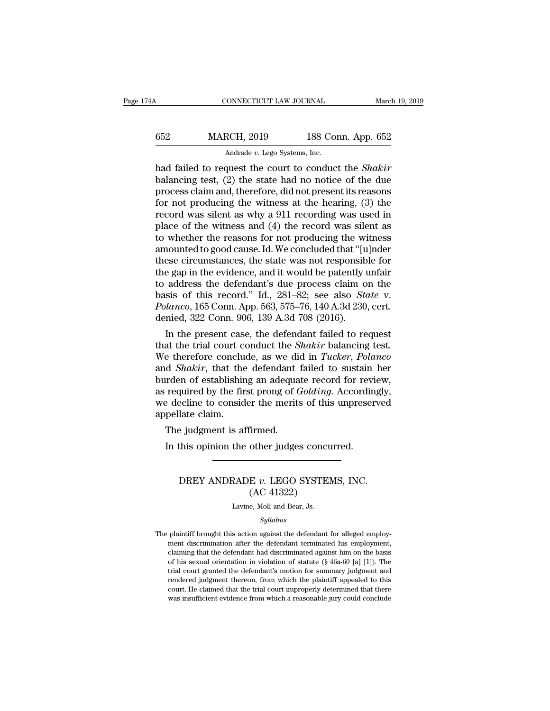| 174A | CONNECTICUT LAW JOURNAL       |                    | March 19, 2019 |
|------|-------------------------------|--------------------|----------------|
| 652  | <b>MARCH, 2019</b>            | 188 Conn. App. 652 |                |
|      | Andrade v. Lego Systems, Inc. |                    |                |

CONNECTICUT LAW JOURNAL March 19, 2019<br> **MARCH**, 2019 188 Conn. App. 652<br>
Andrade v. Lego Systems, Inc.<br>
had failed to request the court to conduct the *Shakir*<br>
balancing test, (2) the state had no notice of the due<br>
proc  $\begin{array}{r} \text{MARCH, 2019} \\ \text{Andrade } v. \text{ Lego Systems, Inc.} \end{array}$ <br>
had failed to request the court to conduct the *Shakir*<br>
balancing test, (2) the state had no notice of the due<br>
process claim and, therefore, did not present its reasons<br>
fo MARCH, 2019 188 Conn. App. 652<br>Andrade v. Lego Systems, Inc.<br>had failed to request the court to conduct the *Shakir*<br>balancing test, (2) the state had no notice of the due<br>process claim and, therefore, did not present its MARCH, 2019 188 Conn. App. 652<br>Andrade v. Lego Systems, Inc.<br>had failed to request the court to conduct the *Shakir*<br>balancing test, (2) the state had no notice of the due<br>process claim and, therefore, did not present its Andrade v. Lego Systems, Inc.<br>
had failed to request the court to conduct the *Shakir*<br>
balancing test, (2) the state had no notice of the due<br>
process claim and, therefore, did not present its reasons<br>
for not producing Andrade v. Lego Systems, Inc.<br>
had failed to request the court to conduct the *Shakir*<br>
balancing test, (2) the state had no notice of the due<br>
process claim and, therefore, did not present its reasons<br>
for not producing had failed to request the court to conduct the *Shakir* balancing test, (2) the state had no notice of the due process claim and, therefore, did not present its reasons for not producing the witness at the hearing, (3) th balancing test, (2) the state had no notice of the due<br>process claim and, therefore, did not present its reasons<br>for not producing the witness at the hearing, (3) the<br>record was silent as why a 911 recording was used in<br>pl process claim and, therefore, did not present its reasons<br>for not producing the witness at the hearing, (3) the<br>record was silent as why a 911 recording was used in<br>place of the witness and (4) the record was silent as<br>to for not producing the witness at the hearing, (3) the<br>record was silent as why a 911 recording was used in<br>place of the witness and (4) the record was silent as<br>to whether the reasons for not producing the witness<br>amounte record was silent as why a 911 recording was used in<br>place of the witness and (4) the record was silent as<br>to whether the reasons for not producing the witness<br>amounted to good cause. Id. We concluded that "[u]nder<br>these place of the witness and (4) the record was silent as<br>to whether the reasons for not producing the witness<br>amounted to good cause. Id. We concluded that "[u]nder<br>these circumstances, the state was not responsible for<br>the g to whether the reasons for not producing the witness<br>amounted to good cause. Id. We concluded that "[u]nder<br>these circumstances, the state was not responsible for<br>the gap in the evidence, and it would be patently unfair<br>to amounted to good cause. Id. We concluded that "[u<br>these circumstances, the state was not responsib<br>the gap in the evidence, and it would be patently t<br>to address the defendant's due process claim o<br>basis of this record." I ese circumstances, the state was not responsible for<br>e gap in the evidence, and it would be patently unfair<br>address the defendant's due process claim on the<br>sis of this record." Id., 281–82; see also *State* v.<br> $lanco$ , 165 the gap in the evidence, and it would be patently unfair<br>to address the defendant's due process claim on the<br>basis of this record." Id., 281–82; see also *State* v.<br>*Polanco*, 165 Conn. App. 563, 575–76, 140 A.3d 230, cert

to address the detendant's due process claim on the<br>basis of this record." Id., 281–82; see also *State* v.<br>*Polanco*, 165 Conn. App. 563, 575–76, 140 A.3d 230, cert.<br>denied, 322 Conn. 906, 139 A.3d 708 (2016).<br>In the pres basis of this record." Id., 281–82; see also *State v.*<br> *Polanco*, 165 Conn. App. 563, 575–76, 140 A.3d 230, cert.<br>
denied, 322 Conn. 906, 139 A.3d 708 (2016).<br>
In the present case, the defendant failed to request<br>
that t Potanco, 165 Conn. App. 563, 575–76, 140 A.3d 230, cert.<br>denied, 322 Conn. 906, 139 A.3d 708 (2016).<br>In the present case, the defendant failed to request<br>that the trial court conduct the *Shakir* balancing test.<br>We theref denied, 322 Conn. 906, 139 A.3d 708 (2016).<br>
In the present case, the defendant failed to request<br>
that the trial court conduct the *Shakir* balancing test.<br>
We therefore conclude, as we did in *Tucker*, Polanco<br>
and *Shak* In the present case, the defendant failed to request<br>that the trial court conduct the *Shakir* balancing test.<br>We therefore conclude, as we did in *Tucker*, *Polanco*<br>and *Shakir*, that the defendant failed to sustain her<br> that the trial court complement of We therefore conclusional state in the burden of establishing as required by the firm we decline to consider appellate claim.<br>The judgment is at the vertex of the propellate claim. e therefore conclude, as we did of Shakir, that the defendant<br>inden of establishing an adequa<br>required by the first prong of  $\ell$ <br>e decline to consider the merits<br>pellate claim.<br>The judgment is affirmed.<br>In this opinion t In the of establishing an adequate record for reviver-<br>
In the original reduced by the first prong of *Golding*. Accordin<br>
Exercise decline to consider the merits of this unpreser<br>
pellate claim.<br>
The judgment is affirmed.

### DREY ANDRADE *v.* LEGO SYSTEMS, INC.<br>
(AC 41322) firmed.<br>
other judges concu<br>
E v. LEGO SYSTEM<br>(AC 41322)<br>
e, Moll and Bear, Js. DREY ANDRADE v. LEGO SYSTEMS, INC.<br>(AC 41322)<br>Lavine, Moll and Bear, Js.

### *Syllabus*

The plaintiff brought this action against the defendant for alleged employ-<br>ment discrimination after the defendant terminated his employment.  $\left( \mathrm{AC} \ 41322 \right)$ <br>Lavine, Moll and Bear, Js.<br>Syllabus<br>plaintiff brought this action against the defendant for alleged employ-<br>ment discrimination after the defendant terminated his employment,<br>claiming that the defenda Lavine, Moll and Bear, Js.<br>  $Syllabus$ <br>
plaintiff brought this action against the defendant for alleged employment<br>
discrimination after the defendant terminated his employment,<br>
claiming that the defendant had discriminated a Syllabus<br>
Syllabus<br>
Syllabus<br>
plaintiff brought this action against the defendant for alleged employ-<br>
ment discrimination after the defendant terminated his employment,<br>
claiming that the defendant had discriminated again  $Syllabus$ <br>plaintiff brought this action against the defendant for alleged employ-<br>ment discrimination after the defendant terminated his employment,<br>claiming that the defendant had discriminated against him on the basis<br>of h plaintiff brought this action against the defendant for alleged employment discrimination after the defendant terminated his employment, claiming that the defendant had discriminated against him on the basis of his sexual plantif brought dila action against the detendant for antiged employment, claiming that the defendant had discriminated against him on the basis of his sexual orientation in violation of statute (§ 46a-60 [a] [1]). The tri claiming that the defendant had discriminated against him on the basis<br>of his sexual orientation in violation of statute  $(\S 46a-60 \text{ [a] } [1])$ . The<br>trial court granted the defendant's motion for summary judgment and<br>rende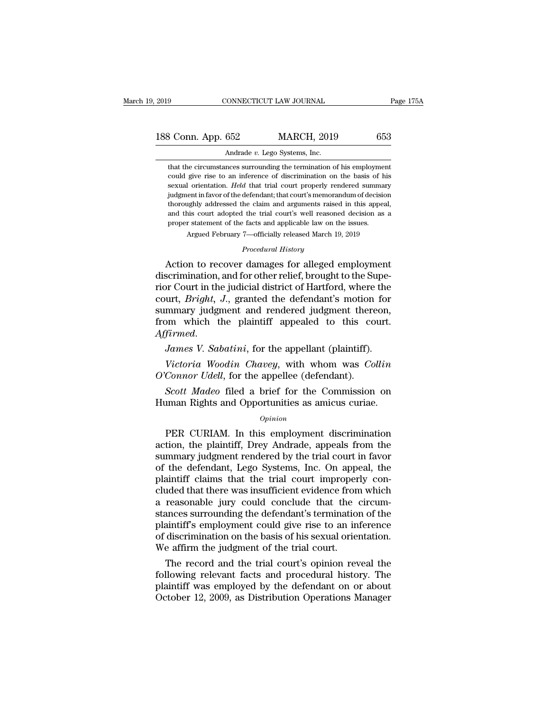3 Conn. App. 652 MARCH, 2019 653<br>Andrade v. Lego Systems, Inc.<br>that the circumstances surrounding the termination of his employment<br>could give rise to an inference of discrimination on the basis of his **could give rise to an inference of discrimination** of his employment could give rise to an inference of discrimination on the basis of his sexual orientation. *Held* that trial court properly rendered summary 8 Conn. App. 652 MARCH, 2019 653<br>Andrade *v*. Lego Systems, Inc.<br>that the circumstances surrounding the termination of his employment<br>could give rise to an inference of discrimination on the basis of his<br>sexual orientation Andrade v. Lego Systems, Inc.<br>
that the circumstances surrounding the termination of his employment<br>
could give rise to an inference of discrimination on the basis of his<br>
sexual orientation. *Held* that trial court proper Andrade v. Lego Systems, Inc.<br>
that the circumstances surrounding the termination of his employment<br>
could give rise to an inference of discrimination on the basis of his<br>
sexual orientation. *Held* that trial court proper that the circumstances surrounding the termination of his employment could give rise to an inference of discrimination on the basis of his sexual orientation. *Held* that trial court properly rendered summary judgment in f and all the chromometers surrounding are errimination or the basis of h<br>could give rise to an inference of discrimination on the basis of h<br>sexual orientation. *Held* that trial court properly rendered summa<br>judgment in fa sexual orientation. *Held* that trial court properly rendered summary judgment in favor of the defendant; that court's memorandum of decision thoroughly addressed the claim and arguments raised in this appeal, and this co proper statement of the facts and applicable law on the issues.<br> *Argued February 7—officially released March 19, 2019*<br> *Procedural History*<br> **Action to recover damages for alleged employment** judgment in favor of the defendant; that court's memorandum of decision<br>thoroughly addressed the claim and arguments raised in this appeal,<br>and this court adopted the trial court's well reasoned decision as a<br>proper statem

thoroughly addressed the claim and arguments raised in this appeal,<br>and this court adopted the trial court's well reasoned decision as a<br>proper statement of the facts and applicable law on the issues.<br>Argued February 7—off and this court adopted the trial court's well reasoned decision as a<br>proper statement of the facts and applicable law on the issues.<br>Argued February 7—officially released March 19, 2019<br>*Procedural History*<br>Action to recov proper statement of are faces and applicable faw of the issues.<br>Argued February 7—officially released March 19, 2019<br>*Procedural History*<br>**Action to recover damages for alleged employment**<br>discrimination, and for other rel Frocedural History<br>
Procedural History<br>
Action to recover damages for alleged employment<br>
discrimination, and for other relief, brought to the Supe-<br>
rior Court in the judicial district of Hartford, where the<br>
court, *Brig* Frocedural History<br>Action to recover damages for alleged employment<br>discrimination, and for other relief, brought to the Supe-<br>rior Court in the judicial district of Hartford, where the<br>court, *Bright*, *J*., granted the d discrimination, and for other relief, brought to the Superior Court in the judicial district of Hartford, where the court, *Bright*, *J*., granted the defendant's motion for summary judgment and rendered judgment thereon, *Victoria Micropolitical Microsoft, Western Collinia Woodin Charlond, Where and tendered judgment thereon,*<br>*Microsoft Woodin Chaintiff appealed to this court.*<br>*Firmed.*<br>*James V. Sabatini, for the appellant (plaintiff). Court, Bright, 5., granded the determinis modelli summary judgment and rendered judgment therefrom which the plaintiff appealed to this coffirmed.<br><i>James V. Sabatini*, for the appellant (plaintiff).<br>*Victoria Woodin Chave Scott Madeo* files are plaintiff appealed to this court.<br> *Sames V. Sabatini*, for the appellant (plaintiff).<br> *Victoria Woodin Chavey*, with whom was *Collin*<br> *Connor Udell*, for the appellee (defendant).<br> *Scott Madeo* 

Affirmed.<br>
James V. Sabatini, for the appellant (plaintiff).<br>
Victoria Woodin Chavey, with whom was Collin<br>
O'Connor Udell, for the appellee (defendant).<br>
Scott Madeo filed a brief for the Commission on<br>
Human Rights and O

### *Opinion*

Victoria Woodin Chavey, with whom was Collin<br>
Connor Udell, for the appellee (defendant).<br>
Scott Madeo filed a brief for the Commission on<br>
iman Rights and Opportunities as amicus curiae.<br>
Opinion<br>
PER CURIAM. In this empl  $O'Connor Udell$ , for the appellee (defendant).<br>  $ScottMadeo$  filed a brief for the Commission on<br>
Human Rights and Opportunities as amicus curiae.<br>  $opinion$ <br>
PER CURIAM. In this employment discrimination<br>
action, the plaintiff, Drey Andr **Scott Madeo filed a brief for the Commission on Human Rights and Opportunities as amicus curiae.**<br>  $\omega_{pinion}$ <br>
PER CURIAM. In this employment discrimination action, the plaintiff, Drey Andrade, appeals from the summary jud From Rights and Opportunities as amicus curiae.<br>  $\frac{Opinion}{opinion}$ <br>
PER CURIAM. In this employment discrimination<br>
action, the plaintiff, Drey Andrade, appeals from the<br>
summary judgment rendered by the trial court in favor<br>
o opinion<br>opinion<br>plantiff, Drey Andrade, appeals from the<br>summary judgment rendered by the trial court in favor<br>of the defendant, Lego Systems, Inc. On appeal, the<br>plaintiff claims that the trial court improperly con-<br>clude  $o_{pinion}$ <br>
PER CURIAM. In this employment discrimination<br>
action, the plaintiff, Drey Andrade, appeals from the<br>
summary judgment rendered by the trial court in favor<br>
of the defendant, Lego Systems, Inc. On appeal, the<br>
pl PER CURIAM. In this employment discrimination<br>action, the plaintiff, Drey Andrade, appeals from the<br>summary judgment rendered by the trial court in favor<br>of the defendant, Lego Systems, Inc. On appeal, the<br>plaintiff claims action, the plaintiff, Drey Andrade, appeals from the<br>summary judgment rendered by the trial court in favor<br>of the defendant, Lego Systems, Inc. On appeal, the<br>plaintiff claims that the trial court improperly con-<br>cluded t summary judgment rendered by the trial court in favor<br>of the defendant, Lego Systems, Inc. On appeal, the<br>plaintiff claims that the trial court improperly con-<br>cluded that there was insufficient evidence from which<br>a reaso of the defendant, Lego Systems, Inc. On appeal, the plaintiff claims that the trial court improperly concluded that there was insufficient evidence from which a reasonable jury could conclude that the circumstances surroun plaintiff claims that the trial court improper<br>cluded that there was insufficient evidence from<br>a reasonable jury could conclude that the<br>stances surrounding the defendant's termination<br>plaintiff's employment could give ri reasonable jury could conclude that the circum-<br>reasonable jury could conclude that the circum-<br>ances surrounding the defendant's termination of the<br>aintiff's employment could give rise to an inference<br>discrimination on th a reasonable jury could conclude that the circum-<br>stances surrounding the defendant's termination of the<br>plaintiff's employment could give rise to an inference<br>of discrimination on the basis of his sexual orientation.<br>We a

stances surrounding the defendant's termination of the<br>plaintiff's employment could give rise to an inference<br>of discrimination on the basis of his sexual orientation.<br>We affirm the judgment of the trial court.<br>The record plantiff's employment could give rise to an interence<br>of discrimination on the basis of his sexual orientation.<br>We affirm the judgment of the trial court.<br>The record and the trial court's opinion reveal the<br>following relev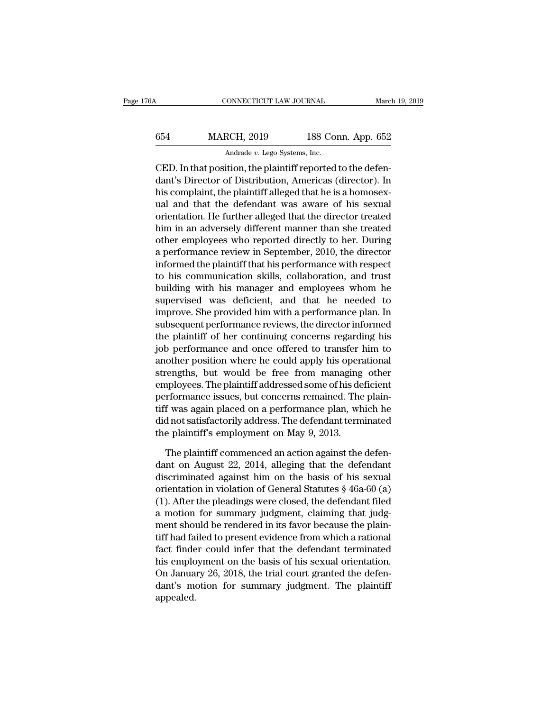# CONNECTICUT LAW JOURNAL March 19, 2019<br>654 MARCH, 2019 188 Conn. App. 652<br>Andrade v. Lego Systems, Inc. MONNECTICUT LAW JOURNAL<br>RCH, 2019 188 Co:<br>Andrade *v.* Lego Systems, Inc.<br>ition the plaintiff reported

CONNECTICUT LAW JOURNAL March March (1994)<br>
CED. In that position, the plaintiff reported to the defendant's Director of Distribution, Americas (director). In this completive the plaintiff cllosed that he is a homogoup MARCH, 2019 188 Conn. App. 652<br>Andrade v. Lego Systems, Inc.<br>CED. In that position, the plaintiff reported to the defendant's Director of Distribution, Americas (director). In<br>his complaint, the plaintiff alleged that he  $\frac{\text{MARCH}}{\text{Andrade } v. \text{ Lego Systems, Inc.}}$ <br>
CED. In that position, the plaintiff reported to the defendant's Director of Distribution, Americas (director). In his complaint, the plaintiff alleged that he is a homosex-<br>
ual and that the MARCH, 2019 188 Conn. App. 652<br>  $\overline{\phantom{0}}$  Andrade v. Lego Systems, Inc.<br>
CED. In that position, the plaintiff reported to the defendant's Director of Distribution, Americas (director). In<br>
his complaint, the plaintiff a Andrade  $v$ . Lego Systems, Inc.<br>
CED. In that position, the plaintiff reported to the defen-<br>
dant's Director of Distribution, Americas (director). In<br>
his complaint, the plaintiff alleged that he is a homosex-<br>
ual and t  $\overline{\text{A}}$  and alle *v*. Lego Systems, Inc.<br>
CED. In that position, the plaintiff reported to the defen-<br>
dant's Director of Distribution, Americas (director). In<br>
his complaint, the plaintiff alleged that he is a homosex CED. In that position, the plaintiff reported to the defen-<br>dant's Director of Distribution, Americas (director). In<br>his complaint, the plaintiff alleged that he is a homosex-<br>ual and that the defendant was aware of his se dant's Director of Distribution, Americas (director). In<br>his complaint, the plaintiff alleged that he is a homosex-<br>ual and that the defendant was aware of his sexual<br>orientation. He further alleged that the director treat his complaint, the plaintiff alleged that he is a homosex-<br>ual and that the defendant was aware of his sexual<br>orientation. He further alleged that the director treated<br>him in an adversely different manner than she treated<br> ual and that the defendant was aware of his sexual<br>orientation. He further alleged that the director treated<br>him in an adversely different manner than she treated<br>other employees who reported directly to her. During<br>a perf orientation. He further alleged that the director treated<br>him in an adversely different manner than she treated<br>other employees who reported directly to her. During<br>a performance review in September, 2010, the director<br>inf him in an adversely different manner than she treated<br>other employees who reported directly to her. During<br>a performance review in September, 2010, the director<br>informed the plaintiff that his performance with respect<br>to h other employees who reported directly to her. During<br>a performance review in September, 2010, the director<br>informed the plaintiff that his performance with respect<br>to his communication skills, collaboration, and trust<br>buil a performance review in September, 2010, the director<br>informed the plaintiff that his performance with respect<br>to his communication skills, collaboration, and trust<br>building with his manager and employees whom he<br>supervise informed the plaintiff that his performance with respect<br>to his communication skills, collaboration, and trust<br>building with his manager and employees whom he<br>supervised was deficient, and that he needed to<br>improve. She pr to his communication skills, collaboration, and trust<br>building with his manager and employees whom he<br>supervised was deficient, and that he needed to<br>improve. She provided him with a performance plan. In<br>subsequent perform building with his manager and employees whom he<br>supervised was deficient, and that he needed to<br>improve. She provided him with a performance plan. In<br>subsequent performance reviews, the director informed<br>the plaintiff of h supervised was deficient, and that he needed to<br>improve. She provided him with a performance plan. In<br>subsequent performance reviews, the director informed<br>the plaintiff of her continuing concerns regarding his<br>job perform improve. She provided him with a performance plan. In<br>subsequent performance reviews, the director informed<br>the plaintiff of her continuing concerns regarding his<br>job performance and once offered to transfer him to<br>another subsequent performance reviews, the director informed<br>the plaintiff of her continuing concerns regarding his<br>job performance and once offered to transfer him to<br>another position where he could apply his operational<br>strengt the plaintiff of her continuing concerns regarding his<br>job performance and once offered to transfer him to<br>another position where he could apply his operational<br>strengths, but would be free from managing other<br>employees. T job performance and once offered to transfer him to<br>another position where he could apply his operational<br>strengths, but would be free from managing other<br>employees. The plaintiff addressed some of his deficient<br>performanc another position where he could apply his opera<br>strengths, but would be free from managing<br>employees. The plaintiff addressed some of his de<br>performance issues, but concerns remained. The<br>tiff was again placed on a perform nployees. The plaintiff addressed some of his deficient<br>rformance issues, but concerns remained. The plain-<br>f was again placed on a performance plan, which he<br>d not satisfactorily address. The defendant terminated<br>e plaint performance issues, but concerns remained. The plaintiff was again placed on a performance plan, which he<br>did not satisfactorily address. The defendant terminated<br>the plaintiff's employment on May 9, 2013.<br>The plaintiff co

tiff was again placed on a performance plan, which he<br>did not satisfactorily address. The defendant terminated<br>the plaintiff's employment on May 9, 2013.<br>The plaintiff commenced an action against the defen-<br>dant on August did not satisfactorily address. The defendant terminated<br>the plaintiff's employment on May 9, 2013.<br>The plaintiff commenced an action against the defen-<br>dant on August 22, 2014, alleging that the defendant<br>discriminated ag the plaintiff's employment on May 9, 2013.<br>
The plaintiff commenced an action against the defendant<br>
discriminated against him on the basis of his sexual<br>
orientation in violation of General Statutes § 46a-60 (a)<br>
(1). Aft The plaintiff commenced an action against the defendant<br>discriminated against him on the basis of his sexual<br>orientation in violation of General Statutes § 46a-60 (a)<br>(1). After the pleadings were closed, the defendant fil The plaintiff commenced an action against the defendant<br>discriminated against him on the basis of his sexual<br>orientation in violation of General Statutes § 46a-60 (a)<br>(1). After the pleadings were closed, the defendant fil dant on August 22, 2014, alleging that the defendant<br>discriminated against him on the basis of his sexual<br>orientation in violation of General Statutes  $\S$  46a-60 (a)<br>(1). After the pleadings were closed, the defendant fil discriminated against him on the basis of his sexual<br>orientation in violation of General Statutes  $\S$  46a-60 (a)<br>(1). After the pleadings were closed, the defendant filed<br>a motion for summary judgment, claiming that judgorientation in violation of General Statutes § 46a-60 (a)<br>(1). After the pleadings were closed, the defendant filed<br>a motion for summary judgment, claiming that judg-<br>ment should be rendered in its favor because the plain-(1). After the pleadings were closed, the defendant filed<br>a motion for summary judgment, claiming that judg-<br>ment should be rendered in its favor because the plain-<br>tiff had failed to present evidence from which a rational a motion for summary judgment, claiming that judg-<br>ment should be rendered in its favor because the plain-<br>tiff had failed to present evidence from which a rational<br>fact finder could infer that the defendant terminated<br>his appealed.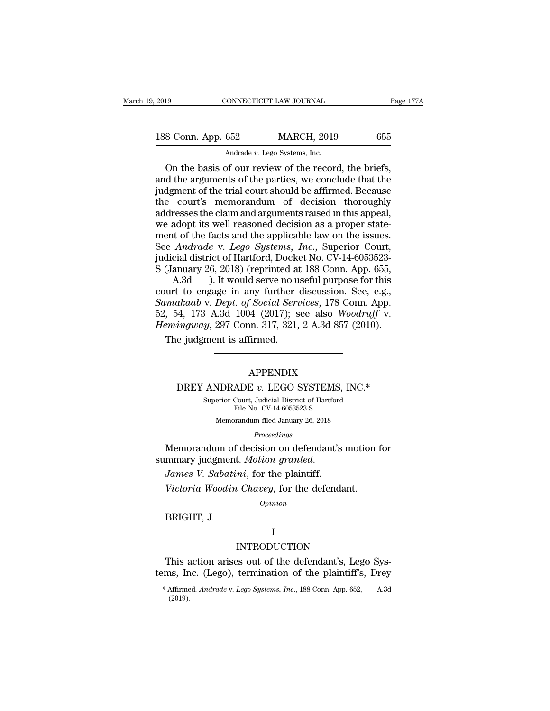| 2019               | CONNECTICUT LAW JOURNAL       |                                                     | Page 177A |  |
|--------------------|-------------------------------|-----------------------------------------------------|-----------|--|
| 188 Conn. App. 652 |                               | <b>MARCH, 2019</b>                                  | 655       |  |
|                    | Andrade v. Lego Systems, Inc. |                                                     |           |  |
|                    |                               | On the hasis of our review of the record the briefs |           |  |

CONNECTICUT LAW JOURNAL Page 17<br>
8 Conn. App. 652 MARCH, 2019 655<br>
Andrade v. Lego Systems, Inc.<br>
On the basis of our review of the record, the briefs,<br>
d the arguments of the parties, we conclude that the<br>
doment of the t 188 Conn. App. 652 MARCH, 2019 655<br>Andrade v. Lego Systems, Inc.<br>On the basis of our review of the record, the briefs,<br>and the arguments of the parties, we conclude that the<br>judgment of the trial court should be affirmed. 188 Conn. App. 652 MARCH, 2019 655<br>Andrade v. Lego Systems, Inc.<br>On the basis of our review of the record, the briefs,<br>and the arguments of the parties, we conclude that the<br>judgment of the trial court should be affirmed. 188 Conn. App. 652 MARCH, 2019 655<br>Andrade v. Lego Systems, Inc.<br>On the basis of our review of the record, the briefs,<br>and the arguments of the parties, we conclude that the<br>judgment of the trial court should be affirmed. and arguments of the particle in the briefs,<br>and the arguments of the parties, we conclude that the<br>judgment of the trial court should be affirmed. Because<br>the court's memorandum of decision thoroughly<br>addresses the claim Andrade *v*. Lego Systems, Inc.<br>
On the basis of our review of the record, the briefs,<br>
and the arguments of the parties, we conclude that the<br>
judgment of the trial court should be affirmed. Because<br>
the court's memorand On the basis of our review of the record, the briefs,<br>and the arguments of the parties, we conclude that the<br>judgment of the trial court should be affirmed. Because<br>the court's memorandum of decision thoroughly<br>addresses t and the arguments of the parties, we conclude that the<br>judgment of the trial court should be affirmed. Because<br>the court's memorandum of decision thoroughly<br>addresses the claim and arguments raised in this appeal,<br>we adopt judgment of the trial court should be affirmed. Because<br>the court's memorandum of decision thoroughly<br>addresses the claim and arguments raised in this appeal,<br>we adopt its well reasoned decision as a proper state-<br>ment of the court's memorandum of decision thoroughly<br>addresses the claim and arguments raised in this appeal,<br>we adopt its well reasoned decision as a proper state-<br>ment of the facts and the applicable law on the issues.<br>See *An* resses the claim and arguments raised in this appeal,<br>adopt its well reasoned decision as a proper state-<br>t of the facts and the applicable law on the issues.<br>Andrade v. Lego Systems, Inc., Superior Court,<br>cial district of we adopt its well reasoned decision as a proper statement of the facts and the applicable law on the issues.<br>See *Andrade* v. *Lego Systems*, *Inc.*, Superior Court, judicial district of Hartford, Docket No. CV-14-6053523

ment of the facts and the applicable law on the issues.<br>
See *Andrade* v. *Lego Systems, Inc.*, Superior Court,<br>
judicial district of Hartford, Docket No. CV-14-6053523-<br>
S (January 26, 2018) (reprinted at 188 Conn. App. 6 See *Andrade* v. *Lego Systems*, *Inc.*, Superior Court,<br>judicial district of Hartford, Docket No. CV-14-6053523-<br>S (January 26, 2018) (reprinted at 188 Conn. App. 655,<br>A.3d ). It would serve no useful purpose for this<br>cou judicial district of Hartford, Docket No. CV-14-6053523-<br> *S* (January 26, 2018) (reprinted at 188 Conn. App. 655,<br> *A.3d* ). It would serve no useful purpose for this<br>
court to engage in any further discussion. See, e.g., (January 26, 2018) (reprinted at A.3d ). It would serve no u<br>urt to engage in any further (*makaab v. Dept. of Social Server*, 54, 173 A.3d 1004 (2017); s<br>emingway, 297 Conn. 317, 321, The judgment is affirmed. 4, 173 A.3d 1004 (2017); see also *woodruff* v.<br> *ingway*, 297 Conn. 317, 321, 2 A.3d 857 (2010).<br>
e judgment is affirmed.<br> **APPENDIX**<br>
DREY ANDRADE *v.* LEGO SYSTEMS, INC.\*<br>
Superior Court, Judicial District of Hartford<br>

### APPENDIX

APPENDIX<br>ANDRADE v. LEGO SYSTEMS, INC.\*<br>Superior Court, Judicial District of Hartford<br>File No. CV-14-6053523-S APPENDIX<br>ADE  $v$ . LEGO SYSTEMS, I<br>Court, Judicial District of Hartford<br>File No. CV-14-6053523-S<br>prandum filed January 26, 2018  $\rm{APPENDIX}$ <br>
NDRADE  $v$ . LEGO SYSTEMS, INC<br>
erior Court, Judicial District of Hartford<br>
File No. CV-14-6053523-S<br>
Memorandum filed January 26, 2018<br>  $\it Proceedings$ 

*Proceedings*

MEMORADE *v*. LEGO SYSTEMS, INC.\*<br>
Superior Court, Judicial District of Hartford<br>
File No. CV-14-6053523-S<br>
Memorandum filed January 26, 2018<br> *Proceedings*<br>
Memorandum of decision on defendant's motion for<br>
mmary judgment DREY ANDRADE v. LEGO SYSTEMS,<br>
superior Court, Judicial District of Hartford<br>
File No. CV-14-6053523-S<br> *Memorandum filed January 26, 2018<br>
Proceedings*<br> **Memorandum of decision on defendant's**<br>
summary judgment. *Motion g Proceedings*<br>*Proceedings*<br>Memorandum of decision on defendant's motion :<br>mmary judgment. *Motion granted.*<br>James V. Sabatini, for the plaintiff.<br>Victoria Woodin Chavey, for the defendant.<br>opinion Memorandum of<br>mmary judgmen<br>*James V. Sabati*<br>*Victoria Woodin*<br>BRIGHT, J.

*Opinion*

### I

### INTRODUCTION

Victoria Woodin Chavey, for the defendant.<br>
Opinion<br>
BRIGHT, J.<br>
INTRODUCTION<br>
This action arises out of the defendant's, Lego Sys-<br>
ms, Inc. (Lego), termination of the plaintiff's, Drey opinion<br>
I<br>
INTRODUCTION<br>
This action arises out of the defendant's, Lego Sys-<br>
tems, Inc. (Lego), termination of the plaintiff's, Drey<br>
\*Affirmed Andrade v. Lego Systems, Inc., 188 Conn. App. 652, A.3d This action arises out of the defendant's, Lego Systems, Inc. (Lego), termination of the plaintiff's, Drey<br>\* Affirmed. *Andrade* v. *Lego Systems, Inc.*, 188 Conn. App. 652, A.3d

<sup>(2019).</sup>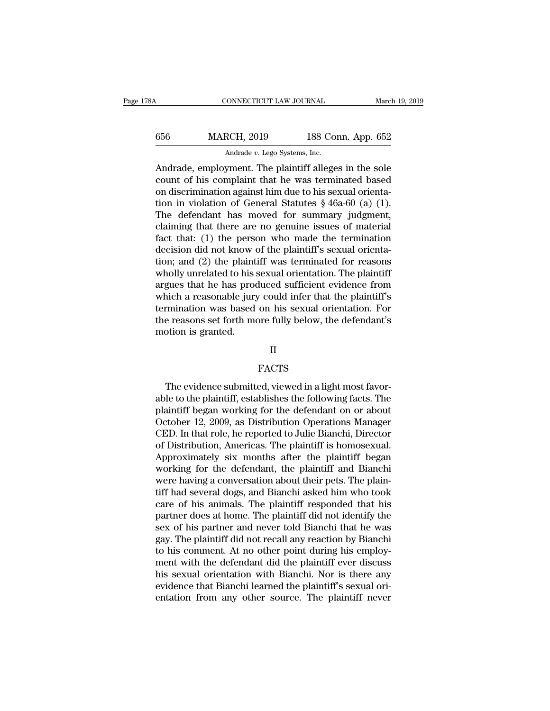| 78A | CONNECTICUT LAW JOURNAL                                                                                                                                                  |                    | March 19, 2019 |
|-----|--------------------------------------------------------------------------------------------------------------------------------------------------------------------------|--------------------|----------------|
| 656 | <b>MARCH, 2019</b>                                                                                                                                                       | 188 Conn. App. 652 |                |
|     | Andrade v. Lego Systems, Inc.                                                                                                                                            |                    |                |
|     | Andrade, employment. The plaintiff alleges in the sole<br>count of his complaint that he was terminated based<br>on discrimination against him due to his sexual erienta |                    |                |

MARCH, 2019 188 Conn. App. 652<br>Andrade, employment. The plaintiff alleges in the sole<br>count of his complaint that he was terminated based<br>on discrimination against him due to his sexual orienta-<br>tion in violation of Gonora 656 MARCH, 2019 188 Conn. App. 652<br>Andrade, employment. The plaintiff alleges in the sole<br>count of his complaint that he was terminated based<br>on discrimination against him due to his sexual orienta-<br>tion in violation of G MARCH, 2019 188 Conn. App. 652<br>
Andrade *v.* Lego Systems, Inc.<br>
Andrade, employment. The plaintiff alleges in the sole<br>
count of his complaint that he was terminated based<br>
on discrimination against him due to his sexual Andrade, employment. The plaintiff alleges in the sole<br>count of his complaint that he was terminated based<br>on discrimination against him due to his sexual orienta-<br>tion in violation of General Statutes § 46a-60 (a) (1).<br>T Andrade, employment. The plaintiff alleges in the sole<br>count of his complaint that he was terminated based<br>on discrimination against him due to his sexual orienta-<br>tion in violation of General Statutes  $\S$  46a-60 (a) (1). Andrade, employment. The plaintiff alleges in the sole<br>count of his complaint that he was terminated based<br>on discrimination against him due to his sexual orienta-<br>tion in violation of General Statutes  $\S$  46a-60 (a) (1). count of his complaint that he was terminated based<br>on discrimination against him due to his sexual orienta-<br>tion in violation of General Statutes  $\S$  46a-60 (a) (1).<br>The defendant has moved for summary judgment,<br>claiming on discrimination against him due to his sexual orientation in violation of General Statutes  $\S$  46a-60 (a) (1).<br>The defendant has moved for summary judgment, claiming that there are no genuine issues of material fact tha tion in violation of General Statutes  $\S$  46a-60 (a) (1).<br>The defendant has moved for summary judgment,<br>claiming that there are no genuine issues of material<br>fact that: (1) the person who made the termination<br>decision did The defendant has moved for summary judgment,<br>claiming that there are no genuine issues of material<br>fact that: (1) the person who made the termination<br>decision did not know of the plaintiff's sexual orienta-<br>tion; and (2) claiming that there are no genuine issues of material<br>fact that: (1) the person who made the termination<br>decision did not know of the plaintiff's sexual orienta-<br>tion; and (2) the plaintiff was terminated for reasons<br>wholl fact that: (1) the person who made the termination<br>decision did not know of the plaintiff's sexual orienta-<br>tion; and (2) the plaintiff was terminated for reasons<br>wholly unrelated to his sexual orientation. The plaintiff<br>a decision did not know of the plaintiff's sexual orientation; and (2) the plaintiff was terminated for reasons wholly unrelated to his sexual orientation. The plaintiff argues that he has produced sufficient evidence from w tion; and (2) the plaint<br>wholly unrelated to his :<br>argues that he has prod<br>which a reasonable jury<br>termination was based<br>the reasons set forth me<br>motion is granted. termination was based on his sexual orientation. For<br>the reasons set forth more fully below, the defendant's<br>motion is granted.<br>II<br>FACTS<br>The evidence submitted, viewed in a light most favor-<br>able to the plaintiff, establis

II

### FACTS

motion is granted.<br>
II<br>
FACTS<br>
The evidence submitted, viewed in a light most favorable to the plaintiff, establishes the following facts. The<br>
plaintiff began working for the defendant on or about<br>
October 12, 2000, as Di FACTS<br>
The evidence submitted, viewed in a light most favorable to the plaintiff, establishes the following facts. The<br>
plaintiff began working for the defendant on or about<br>
October 12, 2009, as Distribution Operations Ma II<br>FACTS<br>The evidence submitted, viewed in a light most favorable to the plaintiff, establishes the following facts. The<br>plaintiff began working for the defendant on or about<br>October 12, 2009, as Distribution Operations Ma FACTS<br>The evidence submitted, viewed in a light most favorable to the plaintiff, establishes the following facts. The<br>plaintiff began working for the defendant on or about<br>October 12, 2009, as Distribution Operations Manag The evidence submitted, viewed in a light most favorable to the plaintiff, establishes the following facts. The plaintiff began working for the defendant on or about October 12, 2009, as Distribution Operations Manager CED The evidence submitted, viewed in a light most favorable to the plaintiff, establishes the following facts. The plaintiff began working for the defendant on or about October 12, 2009, as Distribution Operations Manager CED able to the plaintiff, establishes the following facts. The plaintiff began working for the defendant on or about October 12, 2009, as Distribution Operations Manager CED. In that role, he reported to Julie Bianchi, Direct plaintiff began working for the defendant on or about October 12, 2009, as Distribution Operations Manager CED. In that role, he reported to Julie Bianchi, Director of Distribution, Americas. The plaintiff is homosexual. A October 12, 2009, as Distribution Operations Manager<br>CED. In that role, he reported to Julie Bianchi, Director<br>of Distribution, Americas. The plaintiff is homosexual.<br>Approximately six months after the plaintiff began<br>work CED. In that role, he reported to Julie Bianchi, Director<br>of Distribution, Americas. The plaintiff is homosexual.<br>Approximately six months after the plaintiff began<br>working for the defendant, the plaintiff and Bianchi<br>were of Distribution, Americas. The plaintiff is homosexual.<br>Approximately six months after the plaintiff began<br>working for the defendant, the plaintiff and Bianchi<br>were having a conversation about their pets. The plain-<br>tiff h Approximately six months after the plaintiff began<br>working for the defendant, the plaintiff and Bianchi<br>were having a conversation about their pets. The plain-<br>tiff had several dogs, and Bianchi asked him who took<br>care of working for the defendant, the plaintiff and Bianchi<br>were having a conversation about their pets. The plain-<br>tiff had several dogs, and Bianchi asked him who took<br>care of his animals. The plaintiff responded that his<br>partn were having a conversation about their pets. The plain-<br>tiff had several dogs, and Bianchi asked him who took<br>care of his animals. The plaintiff responded that his<br>partner does at home. The plaintiff did not identify the<br>s tiff had several dogs, and Bianchi asked him who took<br>care of his animals. The plaintiff responded that his<br>partner does at home. The plaintiff did not identify the<br>sex of his partner and never told Bianchi that he was<br>gay care of his animals. The plaintiff responded that his<br>partner does at home. The plaintiff did not identify the<br>sex of his partner and never told Bianchi that he was<br>gay. The plaintiff did not recall any reaction by Bianchi partner does at home. The plaintiff did not identify the sex of his partner and never told Bianchi that he was gay. The plaintiff did not recall any reaction by Bianchi to his comment. At no other point during his employme sex of his partner and never told Bianchi that he was<br>gay. The plaintiff did not recall any reaction by Bianchi<br>to his comment. At no other point during his employ-<br>ment with the defendant did the plaintiff ever discuss<br>hi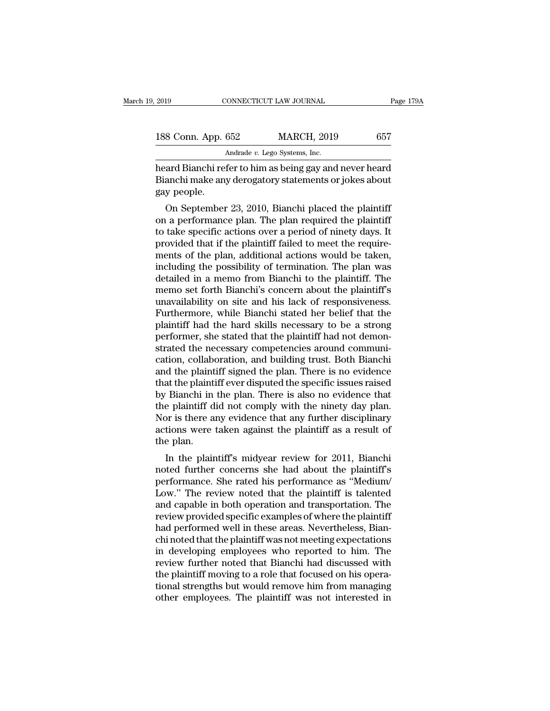| 2019               | CONNECTICUT LAW JOURNAL                                 | Page 179A |
|--------------------|---------------------------------------------------------|-----------|
| 188 Conn. App. 652 | <b>MARCH, 2019</b>                                      | 657       |
|                    | Andrade v. Lego Systems, Inc.                           |           |
|                    | heard Rianchi refer to him as heing gay and never heard |           |

Page 179A<br>
188 Conn. App. 652 MARCH, 2019 657<br>
Andrade v. Lego Systems, Inc.<br>
heard Bianchi refer to him as being gay and never heard<br>
Bianchi make any derogatory statements or jokes about<br>
189 Poople 188 Conn. App. 652 MARCH, 2019 657<br>Andrade v. Lego Systems, Inc.<br>heard Bianchi refer to him as being gay and never heard<br>Bianchi make any derogatory statements or jokes about<br>gay people. 188 Conn. App. (1)<br>heard Bianchi ref<br>Bianchi make ang<br>gay people.<br>On September  $\begin{array}{r} \text{8 Conn. App. 652} \end{array} \begin{array}{r} \text{MARCH, 2019} \end{array} \begin{array}{r} \text{657} \ \text{4ndrade } v. \text{ Lego Systems, Inc.} \end{array}$ <br>
and Bianchi refer to him as being gay and never heard<br>
anchi make any derogatory statements or jokes about<br>
y people.<br>
On Septemb

Andrade v. Lego Systems, Inc.<br>
heard Bianchi refer to him as being gay and never heard<br>
Bianchi make any derogatory statements or jokes about<br>
gay people.<br>
On September 23, 2010, Bianchi placed the plaintiff<br>
on a performa heard Bianchi refer to him as being gay and never heard<br>Bianchi make any derogatory statements or jokes about<br>gay people.<br>On September 23, 2010, Bianchi placed the plaintiff<br>on a performance plan. The plan required the pla provided that if the plantiff failed to meet the required that if the plaintiff on a performance plan. The plan required the plaintiff on a performance plan. The plan required the plaintiff to take specific actions over a manchi make any derogatory statements or jokes about<br>gay people.<br>On September 23, 2010, Bianchi placed the plaintiff<br>on a performance plan. The plan required the plaintiff<br>to take specific actions over a period of ninety d gay people.<br>
On September 23, 2010, Bianchi placed the plaintiff<br>
on a performance plan. The plan required the plaintiff<br>
to take specific actions over a period of ninety days. It<br>
provided that if the plaintiff failed to On September 23, 2010, Bianchi placed the plaintiff<br>on a performance plan. The plan required the plaintiff<br>to take specific actions over a period of ninety days. It<br>provided that if the plaintiff failed to meet the require on a performance plan. The plan required the plaintiff<br>to take specific actions over a period of ninety days. It<br>provided that if the plaintiff failed to meet the require-<br>ments of the plan, additional actions would be tak to take specific actions over a period of ninety days. It<br>provided that if the plaintiff failed to meet the require-<br>ments of the plan, additional actions would be taken,<br>including the possibility of termination. The plan provided that if the plaintiff failed to meet the requirements of the plan, additional actions would be taken, including the possibility of termination. The plan was detailed in a memo from Bianchi to the plaintiff. The me ments of the plan, additional actions would be taken,<br>including the possibility of termination. The plan was<br>detailed in a memo from Bianchi to the plaintiff. The<br>memo set forth Bianchi's concern about the plaintiff's<br>unav including the possibility of termination. The plan was<br>detailed in a memo from Bianchi to the plaintiff. The<br>memo set forth Bianchi's concern about the plaintiff's<br>unavailability on site and his lack of responsiveness.<br>Fur detailed in a memo from Bianchi to the plaintiff. The<br>memo set forth Bianchi's concern about the plaintiff's<br>unavailability on site and his lack of responsiveness.<br>Furthermore, while Bianchi stated her belief that the<br>plai memo set forth Bianchi's concern about the plaintiff's<br>unavailability on site and his lack of responsiveness.<br>Furthermore, while Bianchi stated her belief that the<br>plaintiff had the hard skills necessary to be a strong<br>per unavailability on site and his lack of responsiveness.<br>Furthermore, while Bianchi stated her belief that the<br>plaintiff had the hard skills necessary to be a strong<br>performer, she stated that the plaintiff had not demon-<br>st Furthermore, while Bianchi stated her belief that the plaintiff had the hard skills necessary to be a strong performer, she stated that the plaintiff had not demonstrated the necessary competencies around communication, co plaintiff had the hard skills necessary to be a strong<br>performer, she stated that the plaintiff had not demon-<br>strated the necessary competencies around communi-<br>cation, collaboration, and building trust. Both Bianchi<br>and performer, she stated that the plaintiff had not demonstrated the necessary competencies around communication, collaboration, and building trust. Both Bianchi and the plaintiff signed the plan. There is no evidence that th strated the necessary competencies around communication, collaboration, and building trust. Both Bianchi<br>and the plaintiff signed the plan. There is no evidence<br>that the plaintiff ever disputed the specific issues raised<br>b cation, collaboration, and building trust. Both Bianchi<br>and the plaintiff signed the plan. There is no evidence<br>that the plaintiff ever disputed the specific issues raised<br>by Bianchi in the plan. There is also no evidence and the plaint<br>that the plaint<br>by Bianchi in<br>the plaintiff d<br>Nor is there a<br>actions were<br>the plan.<br>In the plain In the plaintiff ever uspided the specific issues raised<br>
In the plaint of the plan. There is also no evidence that<br>
in the plaintiff did not comply with the ninety day plan.<br>
In the review for 2011, Bianchi<br>
In the plaint by Blanch in the plant. There is also no evidence that<br>the plaintiff did not comply with the ninety day plan.<br>Nor is there any evidence that any further disciplinary<br>actions were taken against the plaintiff as a result of<br>

the plant of the comply with the filler way plant.<br>Nor is there any evidence that any further disciplinary<br>actions were taken against the plaintiff as a result of<br>the plan.<br>In the plaintiff's midyear review for 2011, Bianc Not is there any evidence that any further disciplinary<br>actions were taken against the plaintiff as a result of<br>the plan.<br>In the plaintiff's midyear review for 2011, Bianchi<br>noted further concerns she had about the plainti actions were taken against the plaintin as a result of<br>the plan.<br>In the plaintiff's midyear review for 2011, Bianchi<br>noted further concerns she had about the plaintiff's<br>performance. She rated his performance as "Medium/<br>L In the plaintiff's midyear review for 2011, Bianchi<br>noted further concerns she had about the plaintiff's<br>performance. She rated his performance as "Medium/<br>Low." The review noted that the plaintiff is talented<br>and capable In the plaintiff's midyear review for 2011, Bianchi<br>noted further concerns she had about the plaintiff's<br>performance. She rated his performance as "Medium/<br>Low." The review noted that the plaintiff is talented<br>and capable noted further concerns she had about the plaintiff's<br>performance. She rated his performance as "Medium/<br>Low." The review noted that the plaintiff is talented<br>and capable in both operation and transportation. The<br>review pro performance. She rated his performance as "Medium/<br>Low." The review noted that the plaintiff is talented<br>and capable in both operation and transportation. The<br>review provided specific examples of where the plaintiff<br>had pe Low." The review noted that the plaintiff is talented<br>and capable in both operation and transportation. The<br>review provided specific examples of where the plaintiff<br>had performed well in these areas. Nevertheless, Bian-<br>ch and capable in both operation and transportation. The<br>review provided specific examples of where the plaintiff<br>had performed well in these areas. Nevertheless, Bian-<br>chi noted that the plaintiff was not meeting expectation review provided specific examples of where the plaintiff<br>had performed well in these areas. Nevertheless, Bian-<br>chi noted that the plaintiff was not meeting expectations<br>in developing employees who reported to him. The<br>rev had performed well in these areas. Nevertheless, Bian-<br>chi noted that the plaintiff was not meeting expectations<br>in developing employees who reported to him. The<br>review further noted that Bianchi had discussed with<br>the pla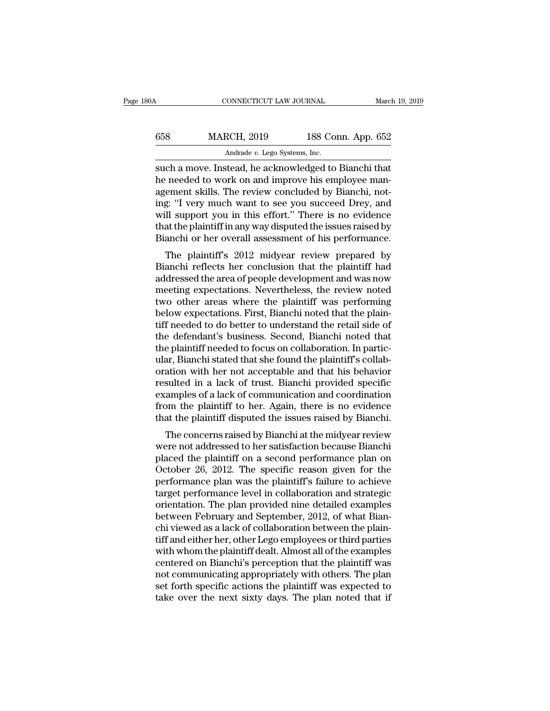|                    |                    | March 19, 2019                                           |
|--------------------|--------------------|----------------------------------------------------------|
| <b>MARCH, 2019</b> | 188 Conn. App. 652 |                                                          |
|                    |                    |                                                          |
|                    |                    | CONNECTICUT LAW JOURNAL<br>Andrade v. Lego Systems, Inc. |

SUPER TRANSITY CONNECTICUT LAW JOURNAL March 19, 2019<br>
SUPER TRANSITY AND MARCH, 2019<br>
Andrade v. Lego Systems, Inc.<br>
Such a move. Instead, he acknowledged to Bianchi that<br>
the needed to work on and improve his employee ma MARCH, 2019 188 Conn. App. 652<br>Andrade v. Lego Systems, Inc.<br>Such a move. Instead, he acknowledged to Bianchi that<br>he needed to work on and improve his employee man-<br>agement skills. The review concluded by Bianchi, not-<br>in  $\frac{\text{MARCH}}{\text{Andrade } v \text{ } \text{Lego Systems, Inc.}}$ <br>  $\frac{\text{Andrade } v \text{ } \text{Lego Systems, Inc.}}{\text{such a move. Instead, he acknowledged to Bianchi that}}$ <br>
he needed to work on and improve his employee management skills. The review concluded by Bianchi, not-<br>
ing: "I very much want to see you succeed  $\begin{array}{r} \text{MARCH, 2019} \end{array}$  188 Conn. App. 652<br>  $\begin{array}{r} \text{Andrade } v. \text{ Lego Systems, Inc.} \end{array}$ <br>
such a move. Instead, he acknowledged to Bianchi that<br>
he needed to work on and improve his employee man-<br>
agement skills. The review conclu Andrade *v.* Lego Systems, Inc.<br>
such a move. Instead, he acknowledged to Bianchi that<br>
he needed to work on and improve his employee man-<br>
agement skills. The review concluded by Bianchi, not-<br>
ing: "I very much want to s Andrade  $v$ . Lego Systems, Inc.<br>
such a move. Instead, he acknowledged to Bianchi that<br>
he needed to work on and improve his employee man-<br>
agement skills. The review concluded by Bianchi, not-<br>
ing: "I very much want to such a move. Instead, he acknowledged to Bianchi that<br>he needed to work on and improve his employee man-<br>agement skills. The review concluded by Bianchi, not-<br>ing: "I very much want to see you succeed Drey, and<br>will suppor The plaintiff's 2012 midyear review prepared by the plaintiff in any way disputed the issues raised by anchi or her overall assessment of his performance.<br>The plaintiff in any way disputed the issues raised by anchi or her agement skins. The review concluded by Blanchi, hol-<br>ing: "I very much want to see you succeed Drey, and<br>will support you in this effort." There is no evidence<br>that the plaintiff in any way disputed the issues raised by<br>Bi

mg. They much want to see you succeed Drey, and<br>will support you in this effort." There is no evidence<br>that the plaintiff in any way disputed the issues raised by<br>Bianchi or her overall assessment of his performance.<br>The p win support you in this enort. There is no evidence<br>that the plaintiff in any way disputed the issues raised by<br>Bianchi or her overall assessment of his performance.<br>The plaintiff's 2012 midyear review prepared by<br>Bianchi that the plaintiff in any way usputed the issues raised by<br>Bianchi or her overall assessment of his performance.<br>The plaintiff's 2012 midyear review prepared by<br>Bianchi reflects her conclusion that the plaintiff had<br>addres Bianchi of her overan assessment of his performance.<br>The plaintiff's 2012 midyear review prepared by<br>Bianchi reflects her conclusion that the plaintiff had<br>addressed the area of people development and was now<br>meeting expec The plaintiff's 2012 midyear review prepared by<br>Bianchi reflects her conclusion that the plaintiff had<br>addressed the area of people development and was now<br>meeting expectations. Nevertheless, the review noted<br>two other are Bianchi reflects her conclusion that the plaintiff had<br>addressed the area of people development and was now<br>meeting expectations. Nevertheless, the review noted<br>two other areas where the plaintiff was performing<br>below expe addressed the area of people development and was now<br>meeting expectations. Nevertheless, the review noted<br>two other areas where the plaintiff was performing<br>below expectations. First, Bianchi noted that the plain-<br>tiff nee meeting expectations. Nevertheless, the review noted<br>two other areas where the plaintiff was performing<br>below expectations. First, Bianchi noted that the plain-<br>tiff needed to do better to understand the retail side of<br>the two other areas where the plaintiff was performing<br>below expectations. First, Bianchi noted that the plain-<br>tiff needed to do better to understand the retail side of<br>the defendant's business. Second, Bianchi noted that<br>the below expectations. First, Bianchi noted that the plaintiff needed to do better to understand the retail side of the defendant's business. Second, Bianchi noted that the plaintiff needed to focus on collaboration. In parti tiff needed to do better to understand the retail side of<br>the defendant's business. Second, Bianchi noted that<br>the plaintiff needed to focus on collaboration. In partic-<br>ular, Bianchi stated that she found the plaintiff's the defendant's business. Second, Bianchi noted that<br>the plaintiff needed to focus on collaboration. In partic-<br>ular, Bianchi stated that she found the plaintiff's collab-<br>oration with her not acceptable and that his behav the plaintiff needed to focus on collaboration. In particular, Bianchi stated that she found the plaintiff's collaboration with her not acceptable and that his behavior resulted in a lack of trust. Bianchi provided specifi ation with her not acceptable and that his behavior<br>sulted in a lack of trust. Bianchi provided specific<br>amples of a lack of communication and coordination<br>pm the plaintiff to her. Again, there is no evidence<br>at the plaint bration with her not acceptable and that his behavior<br>resulted in a lack of trust. Bianchi provided specific<br>examples of a lack of communication and coordination<br>from the plaintiff to her. Again, there is no evidence<br>that

placed the plaintiff to her. Blanchi provided specific<br>examples of a lack of communication and coordination<br>from the plaintiff to her. Again, there is no evidence<br>that the plaintiff disputed the issues raised by Bianchi.<br>T Examples of a fack of communication and coordination<br>from the plaintiff to her. Again, there is no evidence<br>that the plaintiff disputed the issues raised by Bianchi.<br>The concerns raised by Bianchi at the midyear review<br>wer performance plan was the plaintiff's failure to achieve that the plaintiff disputed the issues raised by Bianchi.<br>The concerns raised by Bianchi at the midyear review<br>were not addressed to her satisfaction because Bianchi<br> The concerns raised by Bianchi at the midyear review<br>were not addressed to her satisfaction because Bianchi<br>placed the plaintiff on a second performance plan on<br>October 26, 2012. The specific reason given for the<br>performan The concerns raised by Bianchi at the midyear review<br>were not addressed to her satisfaction because Bianchi<br>placed the plaintiff on a second performance plan on<br>October 26, 2012. The specific reason given for the<br>performan were not addressed to her satisfaction because Bianchi<br>placed the plaintiff on a second performance plan on<br>October 26, 2012. The specific reason given for the<br>performance plan was the plaintiff's failure to achieve<br>target placed the plaintiff on a second performance plan on<br>October 26, 2012. The specific reason given for the<br>performance plan was the plaintiff's failure to achieve<br>target performance level in collaboration and strategic<br>orien October 26, 2012. The specific reason given for the<br>performance plan was the plaintiff's failure to achieve<br>target performance level in collaboration and strategic<br>orientation. The plan provided nine detailed examples<br>betw performance plan was the plaintiff's failure to achieve<br>target performance level in collaboration and strategic<br>orientation. The plan provided nine detailed examples<br>between February and September, 2012, of what Bian-<br>chi target performance level in collaboration and strategic<br>orientation. The plan provided nine detailed examples<br>between February and September, 2012, of what Bian-<br>chi viewed as a lack of collaboration between the plain-<br>tif orientation. The plan provided nine detailed examples<br>between February and September, 2012, of what Bian-<br>chi viewed as a lack of collaboration between the plain-<br>tiff and either her, other Lego employees or third parties<br> between February and September, 2012, of what Bian-<br>chi viewed as a lack of collaboration between the plain-<br>tiff and either her, other Lego employees or third parties<br>with whom the plaintiff dealt. Almost all of the examp chi viewed as a lack of collaboration between the plaintiff and either her, other Lego employees or third parties<br>with whom the plaintiff dealt. Almost all of the examples<br>centered on Bianchi's perception that the plaintif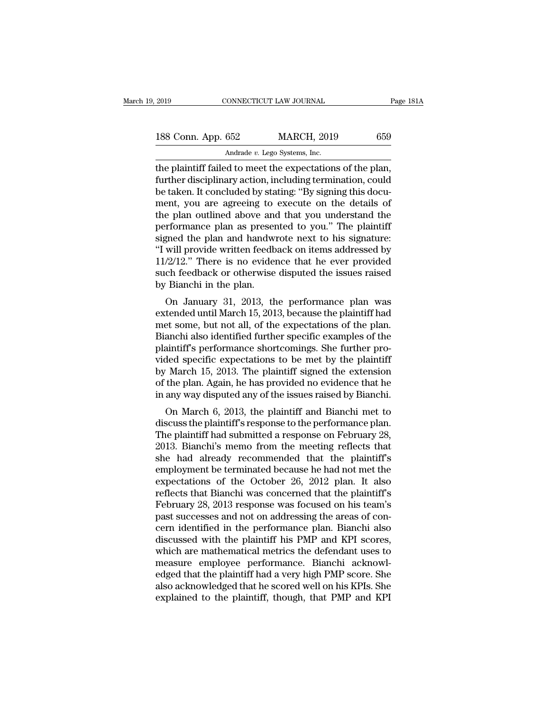| 2019               | CONNECTICUT LAW JOURNAL       |                                                           | Page 181A |
|--------------------|-------------------------------|-----------------------------------------------------------|-----------|
|                    |                               |                                                           |           |
| 188 Conn. App. 652 |                               | <b>MARCH, 2019</b>                                        | 659       |
|                    | Andrade v. Lego Systems, Inc. |                                                           |           |
|                    |                               | the plaintiff failed to meet the expectations of the plan |           |

The plaintiff failed to meet the expectations of the plan,<br>the plaintiff failed to meet the expectations of the plan,<br>further disciplinary action, including termination, could<br>the televal of the plan, further disciplinary 188 Conn. App. 652 MARCH, 2019 659<br>Andrade v. Lego Systems, Inc.<br>the plaintiff failed to meet the expectations of the plan,<br>further disciplinary action, including termination, could<br>be taken. It concluded by stating: "By s 188 Conn. App. 652 MARCH, 2019 659<br>Andrade v. Lego Systems, Inc.<br>the plaintiff failed to meet the expectations of the plan,<br>further disciplinary action, including termination, could<br>be taken. It concluded by stating: "By 188 Conn. App. 652 MARCH, 2019 659<br>Andrade v. Lego Systems, Inc.<br>the plaintiff failed to meet the expectations of the plan,<br>further disciplinary action, including termination, could<br>be taken. It concluded by stating: "By Andrade v. Lego Systems, Inc.<br>
the plaintiff failed to meet the expectations of the plan,<br>
further disciplinary action, including termination, could<br>
be taken. It concluded by stating: "By signing this docu-<br>
ment, you ar Andrade v. Lego Systems, Inc.<br>
the plaintiff failed to meet the expectations of the plan,<br>
further disciplinary action, including termination, could<br>
be taken. It concluded by stating: "By signing this docu-<br>
ment, you are the plaintiff failed to meet the expectations of the plan,<br>further disciplinary action, including termination, could<br>be taken. It concluded by stating: "By signing this docu-<br>ment, you are agreeing to execute on the detail further disciplinary action, including termination, could<br>be taken. It concluded by stating: "By signing this docu-<br>ment, you are agreeing to execute on the details of<br>the plan outlined above and that you understand the<br>pe be taken. It concluded by stating: "By signing this document, you are agreeing to execute on the details of<br>the plan outlined above and that you understand the<br>performance plan as presented to you." The plaintiff<br>signed th ment, you are agreeing to execute on the details of<br>the plan outlined above and that you understand the<br>performance plan as presented to you." The plaintiff<br>signed the plan and handwrote next to his signature:<br>"I will prov the plan outlined above and<br>performance plan as preser<br>signed the plan and handwi<br>"I will provide written feedb<br>11/2/12." There is no evider<br>such feedback or otherwise<br>by Bianchi in the plan.<br>On January 31, 2013, th From ance plant as presented to you. The plant and speed the plan and handwrote next to his signature:<br>will provide written feedback on items addressed by  $/2/12$ ." There is no evidence that he ever provided<br>ch feedback o signed the plant and handwrote flext to fils signature.<br>
"I will provide written feedback on items addressed by<br>  $11/2/12$ ." There is no evidence that he ever provided<br>
such feedback or otherwise disputed the issues raise

T will provide written reedback on items addressed by<br>11/2/12." There is no evidence that he ever provided<br>such feedback or otherwise disputed the issues raised<br>by Bianchi in the plan.<br>On January 31, 2013, the performance FIZZ 12. There is no evidence that he ever provided<br>such feedback or otherwise disputed the issues raised<br>by Bianchi in the plan.<br>On January 31, 2013, the performance plan was<br>extended until March 15, 2013, because the pla by Bianchi in the plan.<br>
On January 31, 2013, the performance plan was<br>
extended until March 15, 2013, because the plaintiff had<br>
met some, but not all, of the expectations of the plan.<br>
Bianchi also identified further spe by Blanchi in the plant.<br>
On January 31, 2013, the performance plan was<br>
extended until March 15, 2013, because the plaintiff had<br>
met some, but not all, of the expectations of the plan.<br>
Bianchi also identified further sp On January 31, 2013, the performance plan was<br>extended until March 15, 2013, because the plaintiff had<br>met some, but not all, of the expectations of the plan.<br>Bianchi also identified further specific examples of the<br>plaint extended until March 15, 2013, because the plaintiff had<br>met some, but not all, of the expectations of the plan.<br>Bianchi also identified further specific examples of the<br>plaintiff's performance shortcomings. She further pr met some, but not all, of the expectations of the plan.<br>Bianchi also identified further specific examples of the<br>plaintiff's performance shortcomings. She further pro-<br>vided specific expectations to be met by the plaintiff anchi also dentified further specific examples of the<br>aintiff's performance shortcomings. She further pro-<br>ded specific expectations to be met by the plaintiff<br>March 15, 2013. The plaintiff signed the extension<br>the plan. A plantiff speriorinance shortcontings. She further provided specific expectations to be met by the plaintiff<br>by March 15, 2013. The plaintiff signed the extension<br>of the plan. Again, he has provided no evidence that he<br>in a

by March 15, 2013. The plaintiff signed the extension<br>of the plan. Again, he has provided no evidence that he<br>in any way disputed any of the issues raised by Bianchi.<br>On March 6, 2013, the plaintiff and Bianchi met to<br>disc by Match 15, 2015. The plaintiff signed the extension<br>of the plan. Again, he has provided no evidence that he<br>in any way disputed any of the issues raised by Bianchi.<br>On March 6, 2013, the plaintiff and Bianchi met to<br>disc of the plant. Again, he has provided no evidence that he<br>in any way disputed any of the issues raised by Bianchi.<br>On March 6, 2013, the plaintiff and Bianchi met to<br>discuss the plaintiff's response to the performance plan In any way usputed any of the issues raised by Blanchi.<br>
On March 6, 2013, the plaintiff and Bianchi met to<br>
discuss the plaintiff's response to the performance plan.<br>
The plaintiff had submitted a response on February 28, On March 6, 2013, the plaintiff and Bianchi met to<br>discuss the plaintiff's response to the performance plan.<br>The plaintiff had submitted a response on February 28,<br>2013. Bianchi's memo from the meeting reflects that<br>she h discuss the plaintiff's response to the performance plan.<br>The plaintiff had submitted a response on February 28,<br>2013. Bianchi's memo from the meeting reflects that<br>she had already recommended that the plaintiff's<br>employme The plaintiff had submitted a response on February 28,<br>2013. Bianchi's memo from the meeting reflects that<br>she had already recommended that the plaintiff's<br>employment be terminated because he had not met the<br>expectations o 2013. Bianchi's memo from the meeting reflects that<br>she had already recommended that the plaintiff's<br>employment be terminated because he had not met the<br>expectations of the October 26, 2012 plan. It also<br>reflects that Bian she had already recommended that the plaintiff's<br>employment be terminated because he had not met the<br>expectations of the October 26, 2012 plan. It also<br>reflects that Bianchi was concerned that the plaintiff's<br>February 28, employment be terminated because he had not met the expectations of the October 26, 2012 plan. It also reflects that Bianchi was concerned that the plaintiff's February 28, 2013 response was focused on his team's past succ expectations of the October 26, 2012 plan. It also<br>reflects that Bianchi was concerned that the plaintiff's<br>February 28, 2013 response was focused on his team's<br>past successes and not on addressing the areas of con-<br>cern i reflects that Bianchi was concerned that the plaintiff's<br>February 28, 2013 response was focused on his team's<br>past successes and not on addressing the areas of con-<br>cern identified in the performance plan. Bianchi also<br>dis February 28, 2013 response was focused on his team's<br>past successes and not on addressing the areas of con-<br>cern identified in the performance plan. Bianchi also<br>discussed with the plaintiff his PMP and KPI scores,<br>which a past successes and not on addressing the areas of concern identified in the performance plan. Bianchi also<br>discussed with the plaintiff his PMP and KPI scores,<br>which are mathematical metrics the defendant uses to<br>measure e cern identified in the performance plan. Bianchi also<br>discussed with the plaintiff his PMP and KPI scores,<br>which are mathematical metrics the defendant uses to<br>measure employee performance. Bianchi acknowl-<br>edged that the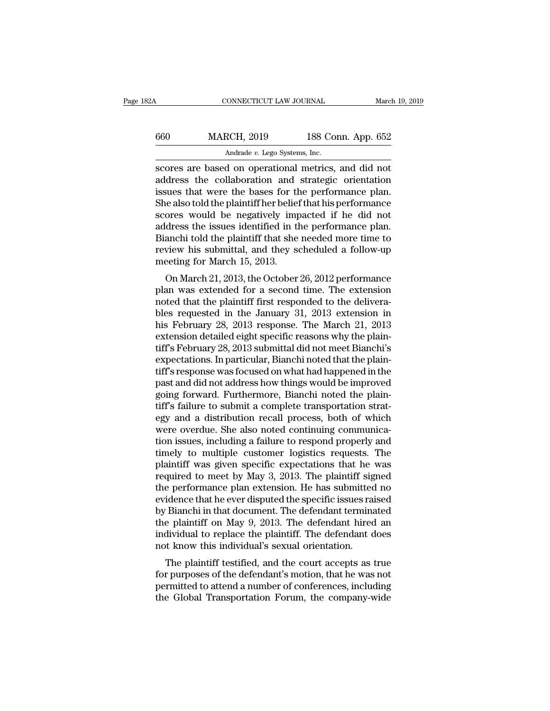| 82A | CONNECTICUT LAW JOURNAL                                                                                                                                            |                    | March 19, 2019 |
|-----|--------------------------------------------------------------------------------------------------------------------------------------------------------------------|--------------------|----------------|
| 660 | <b>MARCH, 2019</b>                                                                                                                                                 | 188 Conn. App. 652 |                |
|     | Andrade v. Lego Systems, Inc.                                                                                                                                      |                    |                |
|     | scores are based on operational metrics, and did not<br>address the collaboration and strategic orientation<br>iccuos that were the bases for the performance plan |                    |                |

MARCH, 2019 188 Conn. App. 652<br>Andrade v. Lego Systems, Inc.<br>Scores are based on operational metrics, and did not<br>address the collaboration and strategic orientation<br>issues that were the bases for the performance plan.<br>She MARCH, 2019 188 Conn. App. 652<br>
Andrade v. Lego Systems, Inc.<br>
scores are based on operational metrics, and did not<br>
address the collaboration and strategic orientation<br>
issues that were the bases for the performance plan  $\frac{\text{MARCH, 2019}}{\text{Andrade } v. \text{ Lego Systems, Inc.}}$ <br>
scores are based on operational metrics, and did not<br>
address the collaboration and strategic orientation<br>
issues that were the bases for the performance plan.<br>
She also told the plaint Andrade v. Lego Systems, Inc.<br>
scores are based on operational metrics, and did not<br>
address the collaboration and strategic orientation<br>
issues that were the bases for the performance plan.<br>
She also told the plaintiff he Andrade  $v$ . Lego Systems, Inc.<br>
scores are based on operational metrics, and did not<br>
address the collaboration and strategic orientation<br>
issues that were the bases for the performance plan.<br>
She also told the plaintiff scores are based on operational metrics, and did not<br>address the collaboration and strategic orientation<br>issues that were the bases for the performance plan.<br>She also told the plaintiff her belief that his performance<br>scor address the collaboration and strategic orientation<br>issues that were the bases for the performance plan.<br>She also told the plaintiff her belief that his performance<br>scores would be negatively impacted if he did not<br>address issues that were the bases for the She also told the plaintiff her belies<br>scores would be negatively impaddress the issues identified in the Bianchi told the plaintiff that she<br>review his submittal, and they se<br>meeting for ores would be negatively impacted if he did not<br>dress the issues identified in the performance plan.<br>anchi told the plaintiff that she needed more time to<br>view his submittal, and they scheduled a follow-up<br>eeting for March scores would be hegatively impacted if he uld not<br>address the issues identified in the performance plan.<br>Bianchi told the plaintiff that she needed more time to<br>review his submittal, and they scheduled a follow-up<br>meeting

address the issues identified in the performance plan.<br>Bianchi told the plaintiff that she needed more time to<br>review his submittal, and they scheduled a follow-up<br>meeting for March 15, 2013.<br>On March 21, 2013, the October blanch told the plaintif that she heeded infore this to<br>review his submittal, and they scheduled a follow-up<br>meeting for March 15, 2013.<br>On March 21, 2013, the October 26, 2012 performance<br>plan was extended for a second ti heview his subhitital, and they scheduled a follow-up<br>meeting for March 15, 2013.<br>On March 21, 2013, the October 26, 2012 performance<br>plan was extended for a second time. The extension<br>noted that the plaintiff first respon on March 13, 2013.<br>
On March 21, 2013, the October 26, 2012 performance<br>
plan was extended for a second time. The extension<br>
noted that the plaintiff first responded to the delivera-<br>
bles requested in the January 31, 2013 On March 21, 2013, the October 26, 2012 performance<br>plan was extended for a second time. The extension<br>noted that the plaintiff first responded to the delivera-<br>bles requested in the January 31, 2013 extension in<br>his Febru plan was extended for a second time. The extension<br>noted that the plaintiff first responded to the delivera-<br>bles requested in the January 31, 2013 extension in<br>his February 28, 2013 response. The March 21, 2013<br>extension noted that the plaintiff first responded to the delivera-<br>bles requested in the January 31, 2013 extension in<br>his February 28, 2013 response. The March 21, 2013<br>extension detailed eight specific reasons why the plain-<br>tiff bles requested in the January 31, 2013 extension in<br>his February 28, 2013 response. The March 21, 2013<br>extension detailed eight specific reasons why the plain-<br>tiff's February 28, 2013 submittal did not meet Bianchi's<br>expe his February 28, 2013 response. The March 21, 2013<br>extension detailed eight specific reasons why the plain-<br>tiff's February 28, 2013 submittal did not meet Bianchi's<br>expectations. In particular, Bianchi noted that the plai extension detailed eight specific reasons why the plain-<br>tiff's February 28, 2013 submittal did not meet Bianchi's<br>expectations. In particular, Bianchi noted that the plain-<br>tiff's response was focused on what had happened tiff's February 28, 2013 submittal did not meet Bianchi's<br>expectations. In particular, Bianchi noted that the plain-<br>tiff's response was focused on what had happened in the<br>past and did not address how things would be impr expectations. In particular, Bianchi noted that the plain-<br>tiff's response was focused on what had happened in the<br>past and did not address how things would be improved<br>going forward. Furthermore, Bianchi noted the plain-<br> tiff's response was focused on what had happened in the<br>past and did not address how things would be improved<br>going forward. Furthermore, Bianchi noted the plain-<br>tiff's failure to submit a complete transportation strat-<br>e past and did not address how things would be improved<br>going forward. Furthermore, Bianchi noted the plain-<br>tiff's failure to submit a complete transportation strat-<br>egy and a distribution recall process, both of which<br>were going forward. Furthermore, Bianchi noted the plaintiff's failure to submit a complete transportation strategy and a distribution recall process, both of which were overdue. She also noted continuing communication issues, tiff's failure to submit a complete transportation strat-<br>egy and a distribution recall process, both of which<br>were overdue. She also noted continuing communica-<br>tion issues, including a failure to respond properly and<br>tim egy and a distribution recall process, both of which<br>were overdue. She also noted continuing communica-<br>tion issues, including a failure to respond properly and<br>timely to multiple customer logistics requests. The<br>plaintiff were overdue. She also noted continuing communication issues, including a failure to respond properly and<br>timely to multiple customer logistics requests. The<br>plaintiff was given specific expectations that he was<br>required t tion issues, including a failure to respond properly and<br>timely to multiple customer logistics requests. The<br>plaintiff was given specific expectations that he was<br>required to meet by May 3, 2013. The plaintiff signed<br>the p timely to multiple customer logistics requests. The<br>plaintiff was given specific expectations that he was<br>required to meet by May 3, 2013. The plaintiff signed<br>the performance plan extension. He has submitted no<br>evidence t plaintiff was given specific expectations that he was<br>required to meet by May 3, 2013. The plaintiff signed<br>the performance plan extension. He has submitted no<br>evidence that he ever disputed the specific issues raised<br>by B required to meet by May 3, 2013. The plaintiff sig<br>the performance plan extension. He has submitted<br>evidence that he ever disputed the specific issues rai<br>by Bianchi in that document. The defendant termina<br>the plaintiff on re performance plant extension. The flass subfinited no<br>idence that he ever disputed the specific issues raised<br>Bianchi in that document. The defendant terminated<br>a plaintiff on May 9, 2013. The defendant hired an<br>dividual by Bianchi in that document. The defendant terminated<br>the plaintiff on May 9, 2013. The defendant hired an<br>individual to replace the plaintiff. The defendant does<br>not know this individual's sexual orientation.<br>The plaintif

by Blanchi in that document. The defendant terminated<br>the plaintiff on May 9, 2013. The defendant hired an<br>individual to replace the plaintiff. The defendant does<br>not know this individual's sexual orientation.<br>The plaintif the plant of May 3, 2015. The defendant fined and<br>individual to replace the plaintiff. The defendant does<br>not know this individual's sexual orientation.<br>The plaintiff testified, and the court accepts as true<br>for purposes o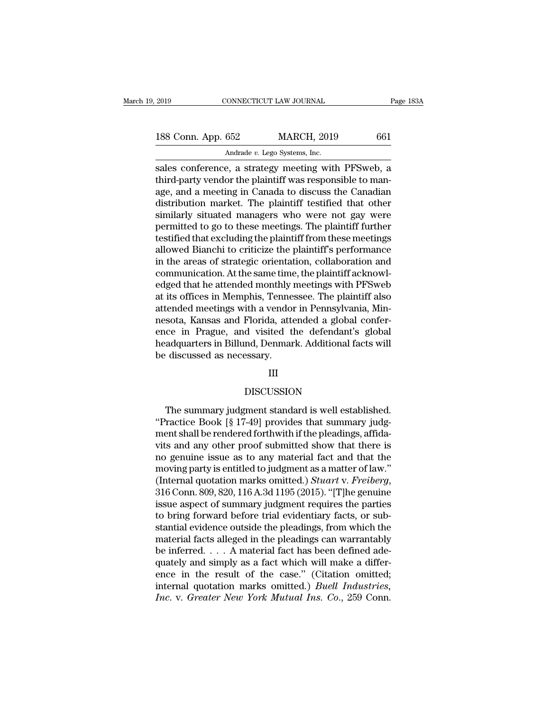| 2019               | CONNECTICUT LAW JOURNAL                             | Page 183A |
|--------------------|-----------------------------------------------------|-----------|
|                    |                                                     |           |
| 188 Conn. App. 652 | <b>MARCH, 2019</b>                                  | 661       |
|                    | Andrade v. Lego Systems, Inc.                       |           |
|                    | sales conference, a strategy meeting with PFSweb, a |           |

Fage 183A<br>
Sales Conn. App. 652 MARCH, 2019 661<br>
Andrade v. Lego Systems, Inc.<br>
Sales conference, a strategy meeting with PFSweb, a<br>
third-party vendor the plaintiff was responsible to man-188 Conn. App. 652 MARCH, 2019 661<br>Andrade v. Lego Systems, Inc.<br>Sales conference, a strategy meeting with PFSweb, a<br>third-party vendor the plaintiff was responsible to man-<br>age, and a meeting in Canada to discuss the Cana 188 Conn. App. 652 MARCH, 2019 661<br>Andrade v. Lego Systems, Inc.<br>Sales conference, a strategy meeting with PFSweb, a<br>third-party vendor the plaintiff was responsible to man-<br>age, and a meeting in Canada to discuss the Can 188 Conn. App. 652 MARCH, 2019 661<br>
Andrade v. Lego Systems, Inc.<br>
sales conference, a strategy meeting with PFSweb, a<br>
third-party vendor the plaintiff was responsible to man-<br>
age, and a meeting in Canada to discuss the Andrade v. Lego Systems, Inc.<br>
sales conference, a strategy meeting with PFSweb, a<br>
third-party vendor the plaintiff was responsible to man-<br>
age, and a meeting in Canada to discuss the Canadian<br>
distribution market. The Andrade  $v$ . Lego Systems, Inc.<br>
sales conference, a strategy meeting with PFSweb, a<br>
third-party vendor the plaintiff was responsible to man-<br>
age, and a meeting in Canada to discuss the Canadian<br>
distribution market. Th sales conference, a strategy meeting with PFSweb, a<br>third-party vendor the plaintiff was responsible to man-<br>age, and a meeting in Canada to discuss the Canadian<br>distribution market. The plaintiff testified that other<br>simi third-party vendor the plaintiff was responsible to man-<br>age, and a meeting in Canada to discuss the Canadian<br>distribution market. The plaintiff testified that other<br>similarly situated managers who were not gay were<br>permit age, and a meeting in Canada to discuss the Canadian<br>distribution market. The plaintiff testified that other<br>similarly situated managers who were not gay were<br>permitted to go to these meetings. The plaintiff further<br>testif distribution market. The plaintiff testified that other<br>similarly situated managers who were not gay were<br>permitted to go to these meetings. The plaintiff further<br>testified that excluding the plaintiff from these meetings<br> similarly situated managers who were not gay were<br>permitted to go to these meetings. The plaintiff further<br>testified that excluding the plaintiff from these meetings<br>allowed Bianchi to criticize the plaintiff's performance permitted to go to these meetings. The plaintiff further<br>testified that excluding the plaintiff from these meetings<br>allowed Bianchi to criticize the plaintiff's performance<br>in the areas of strategic orientation, collaborat testified that excluding the plaintiff from these meetings<br>allowed Bianchi to criticize the plaintiff's performance<br>in the areas of strategic orientation, collaboration and<br>communication. At the same time, the plaintiff ac allowed Bianchi to criticize the plaintiff's performance<br>in the areas of strategic orientation, collaboration and<br>communication. At the same time, the plaintiff acknowl-<br>edged that he attended monthly meetings with PFSweb<br> in the areas of strategic orientation, collaboration and<br>communication. At the same time, the plaintiff acknowl-<br>edged that he attended monthly meetings with PFSweb<br>at its offices in Memphis, Tennessee. The plaintiff also<br> communication. At the same time, the plaintiff acknowledged that he attended monthly meetings with PFSweb at its offices in Memphis, Tennessee. The plaintiff also attended meetings with a vendor in Pennsylvania, Minnesota, edged that he attended monthly!<br>at its offices in Memphis, Tenne<br>attended meetings with a vendor<br>nesota, Kansas and Florida, atte<br>nece in Prague, and visited t<br>headquarters in Billund, Denmar<br>be discussed as necessary.<br>III

### III

## DISCUSSION

adquarters in Billund, Denmark. Additional facts will<br>discussed as necessary.<br>III<br>DISCUSSION<br>The summary judgment standard is well established.<br>ractice Book [§ 17-49] provides that summary judg-<br>ant shall be rendered forth the discussed as necessary.<br>
III<br>
DISCUSSION<br>
The summary judgment standard is well established.<br>
"Practice Book [§ 17-49] provides that summary judg-<br>
ment shall be rendered forthwith if the pleadings, affida-<br>
with and a ment shall be rendered forthwith if the pleadings, affidational and any other proof submitted show that there is<br>the same shall be rendered forthwith if the pleadings, affida-<br>vits and any other proof submitted show that t III<br>DISCUSSION<br>The summary judgment standard is well established.<br>"Practice Book [§ 17-49] provides that summary judg-<br>ment shall be rendered forthwith if the pleadings, affida-<br>vits and any other proof submitted show that DISCUSSION<br>The summary judgment standard is well established.<br>"Practice Book [§ 17-49] provides that summary judgment shall be rendered forthwith if the pleadings, affidavits and any other proof submitted show that there The summary judgment standard is well established.<br>
"Practice Book [§ 17-49] provides that summary judgment shall be rendered forthwith if the pleadings, affida-<br>
vits and any other proof submitted show that there is<br>
no The summary judgment standard is well established.<br>
"Practice Book [§ 17-49] provides that summary judgment shall be rendered forthwith if the pleadings, affida-<br>
vits and any other proof submitted show that there is<br>
no g ment shall be rendered forthwith if the pleadings, affidavits and any other proof submitted show that there is<br>no genuine issue as to any material fact and that the<br>moving party is entitled to judgment as a matter of law." vits and any other proof submitted show that there is<br>no genuine issue as to any material fact and that the<br>moving party is entitled to judgment as a matter of law."<br>(Internal quotation marks omitted.) *Stuart* v. *Freiber* no genuine issue as to any material fact and that the<br>moving party is entitled to judgment as a matter of law."<br>(Internal quotation marks omitted.) *Stuart* v. *Freiberg*,<br>316 Conn. 809, 820, 116 A.3d 1195 (2015). "[T]he moving party is entitled to judgment as a matter of law."<br>(Internal quotation marks omitted.) *Stuart v. Freiberg*,<br>316 Conn. 809, 820, 116 A.3d 1195 (2015). "[T]he genuine<br>issue aspect of summary judgment requires the pa (Internal quotation marks omitted.) *Stuart v. Freiberg*, 316 Conn. 809, 820, 116 A.3d 1195 (2015). "[T]he genuine issue aspect of summary judgment requires the parties to bring forward before trial evidentiary facts, or 316 Conn. 809, 820, 116 A.3d 1195 (2015). "[T]he genuine<br>issue aspect of summary judgment requires the parties<br>to bring forward before trial evidentiary facts, or sub-<br>stantial evidence outside the pleadings, from which t issue aspect of summary judgment requires the parties<br>to bring forward before trial evidentiary facts, or sub-<br>stantial evidence outside the pleadings, from which the<br>material facts alleged in the pleadings can warrantabl to bring forward before trial evidentiary facts, or substantial evidence outside the pleadings, from which the material facts alleged in the pleadings can warrantably be inferred.  $\dots$  A material fact has been defined ade *Increate Stantial evidence outside the pleadings, from which the material facts alleged in the pleadings can warrantably be inferred.... A material fact has been defined adequately and simply as a fact which will make a d*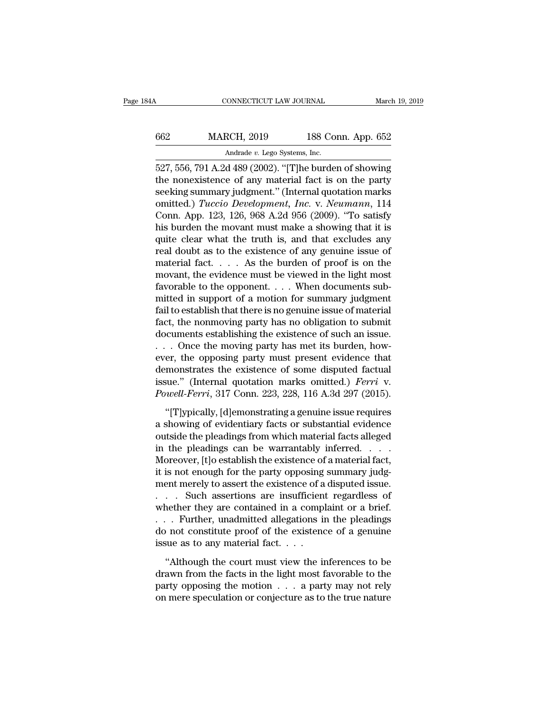| 34A  | CONNECTICUT LAW JOURNAL                          |                    | March 19, 2019 |
|------|--------------------------------------------------|--------------------|----------------|
| 662  | <b>MARCH, 2019</b>                               | 188 Conn. App. 652 |                |
|      | Andrade v. Lego Systems, Inc.                    |                    |                |
| 527. | 556 791 A 2d 489 (2002) "[T]be burden of showing |                    |                |

CONNECTICUT LAW JOURNAL March 19, 2019<br>
527, 556, 791 A.2d 489 (2002). "[T]he burden of showing<br>
the nonexistence of any material fact is on the party<br>
cooling summary indepent." (Internal suctation marks MARCH, 2019 188 Conn. App. 652<br>Andrade v. Lego Systems, Inc.<br>527, 556, 791 A.2d 489 (2002). "[T]he burden of showing<br>the nonexistence of any material fact is on the party<br>seeking summary judgment." (Internal quotation mark  $\begin{tabular}{l l l l} \hline & MARCH, 2019 & 188 Conn. App. 652 \\ \hline \multicolumn{3}{c}{\text{Andrade $v$. Lego Systems, Inc.}} \\ \hline 527, 556, 791 A.2d 489 (2002). ``[T]he burden of showing the nonexistence of any material fact is on the party seeking summary judgment." (Internal quotation marks omitted.) *Tuccio Development, Inc. v. Neumann*, 114 Conn. 123, 126, 068, A.2d, 056 (2000). "To satisfy \end{tabular}$ MARCH, 2019 188 Conn. App. 652<br>
Andrade *v*. Lego Systems, Inc.<br>
527, 556, 791 A.2d 489 (2002). "[T]he burden of showing<br>
the nonexistence of any material fact is on the party<br>
seeking summary judgment." (Internal quotatio Andrade v. Lego Systems, Inc.<br>
527, 556, 791 A.2d 489 (2002). "[T]he burden of showing<br>
the nonexistence of any material fact is on the party<br>
seeking summary judgment." (Internal quotation marks<br>
omitted.) *Tuccio Develop* Andrade *v.* Lego systems, mc.<br>
527, 556, 791 A.2d 489 (2002). "[T]he burden of showing<br>
the nonexistence of any material fact is on the party<br>
seeking summary judgment." (Internal quotation marks<br>
omitted.) *Tuccio Devel* 527, 556, 791 A.2d 489 (2002). "[T]he burden of showing<br>the nonexistence of any material fact is on the party<br>seeking summary judgment." (Internal quotation marks<br>omitted.) *Tuccio Development*, *Inc.* v. *Neumann*, 114<br>C the nonexistence of any material fact is on the party<br>seeking summary judgment." (Internal quotation marks<br>omitted.) *Tuccio Development*, *Inc.* v. *Neumann*, 114<br>Conn. App. 123, 126, 968 A.2d 956 (2009). "To satisfy<br>his seeking summary judgment." (Internal quotation marks<br>omitted.) *Tuccio Development*, *Inc.* v. *Neumann*, 114<br>Conn. App. 123, 126, 968 A.2d 956 (2009). "To satisfy<br>his burden the movant must make a showing that it is<br>quite omitted.) *Tuccio Development*, *Inc.* v. *Neumann*, 114<br>Conn. App. 123, 126, 968 A.2d 956 (2009). "To satisfy<br>his burden the movant must make a showing that it is<br>quite clear what the truth is, and that excludes any<br>real Conn. App. 123, 126, 968 A.2d 956 (2009). "To satisfy<br>his burden the movant must make a showing that it is<br>quite clear what the truth is, and that excludes any<br>real doubt as to the existence of any genuine issue of<br>materi his burden the movant must make a showing that it is<br>quite clear what the truth is, and that excludes any<br>real doubt as to the existence of any genuine issue of<br>material fact.... As the burden of proof is on the<br>movant, t quite clear what the truth is, and that excludes any<br>real doubt as to the existence of any genuine issue of<br>material fact.... As the burden of proof is on the<br>movant, the evidence must be viewed in the light most<br>favorabl real doubt as to the existence of any genuine issue of<br>material fact. . . . As the burden of proof is on the<br>movant, the evidence must be viewed in the light most<br>favorable to the opponent. . . . When documents sub-<br>mitte material fact. . . . . As the burden of proof is on the<br>movant, the evidence must be viewed in the light most<br>favorable to the opponent. . . . When documents sub-<br>mitted in support of a motion for summary judgment<br>fail to movant, the evidence must be viewed in the light most<br>favorable to the opponent. . . . When documents sub-<br>mitted in support of a motion for summary judgment<br>fail to establish that there is no genuine issue of material<br>fa favorable to the opponent. . . . When documents sub-<br>mitted in support of a motion for summary judgment<br>fail to establish that there is no genuine issue of material<br>fact, the nonmoving party has no obligation to submit<br>do mitted in support of a motion for summary judgment<br>fail to establish that there is no genuine issue of material<br>fact, the nonmoving party has no obligation to submit<br>documents establishing the existence of such an issue.<br> fail to establish that there is no genuine issue of material fact, the nonmoving party has no obligation to submit documents establishing the existence of such an issue.<br>
. . . Once the moving party has met its burden, how fact, the nonmoving party has no obligation to submit<br>documents establishing the existence of such an issue.<br>... Once the moving party has met its burden, how-<br>ever, the opposing party must present evidence that<br>demonstrat . Once the moving party has met its burden, how-<br>er, the opposing party must present evidence that<br>monstrates the existence of some disputed factual<br>sue." (Internal quotation marks omitted.) *Ferri* v.<br>*well-Ferri*, 317 C ever, the opposing party must present evidence that<br>demonstrates the existence of some disputed factual<br>issue." (Internal quotation marks omitted.) *Ferri* v.<br>*Powell-Ferri*, 317 Conn. 223, 228, 116 A.3d 297 (2015).<br>"[T]yp

demonstrates the existence of some disputed factual<br>issue." (Internal quotation marks omitted.) *Ferri* v.<br>*Powell-Ferri*, 317 Conn. 223, 228, 116 A.3d 297 (2015).<br>"[T]ypically, [d]emonstrating a genuine issue requires<br>a issue." (Internal quotation marks omitted.) *Ferri* v.<br> *Powell-Ferri*, 317 Conn. 223, 228, 116 A.3d 297 (2015).<br>
"[T]ypically, [d]emonstrating a genuine issue requires<br>
a showing of evidentiary facts or substantial evide Powell-Ferri, 317 Conn. 223, 228, 116 A.3d 297 (2015).<br>
"[T]ypically, [d]emonstrating a genuine issue requires<br>
a showing of evidentiary facts or substantial evidence<br>
outside the pleadings from which material facts allege "[T]ypically, [d]emonstrating a genuine issue requires<br>a showing of evidentiary facts or substantial evidence<br>outside the pleadings from which material facts alleged<br>in the pleadings can be warrantably inferred. . . . .<br>M "[T]ypically, [d]emonstrating a genuine issue requires<br>a showing of evidentiary facts or substantial evidence<br>outside the pleadings from which material facts alleged<br>in the pleadings can be warrantably inferred. . . . .<br>M a showing of evidentiary facts or substantial evidence<br>outside the pleadings from which material facts alleged<br>in the pleadings can be warrantably inferred. . . .<br>Moreover, [t]o establish the existence of a material fact,<br> outside the pleadings from which material facts alleged<br>in the pleadings can be warrantably inferred. . . . .<br>Moreover, [t]o establish the existence of a material fact,<br>it is not enough for the party opposing summary judgin the pleadings can be warrantably inferred. . . . .<br>Moreover, [t]o establish the existence of a material fact,<br>it is not enough for the party opposing summary judg-<br>ment merely to assert the existence of a disputed issu Moreover, [t]o establish the existence of a material fact,<br>it is not enough for the party opposing summary judg-<br>ment merely to assert the existence of a disputed issue.<br>. . . . Such assertions are insufficient regardless it is not enough for the party opposing<br>ment merely to assert the existence of a<br> $\ldots$  Such assertions are insufficien<br>whether they are contained in a compl<br> $\ldots$ . Further, unadmitted allegations in<br>do not constitute proo . Such assertions are insufficient regardless of<br>
nether they are contained in a complaint or a brief.<br>
Further, unadmitted allegations in the pleadings<br>
not constitute proof of the existence of a genuine<br>
sue as to any ma whether they are contained in a complaint or a brief.<br>  $\dots$  Further, unadmitted allegations in the pleadings<br>
do not constitute proof of the existence of a genuine<br>
issue as to any material fact.<br>
"Although the court must

Further, unadmitted allegations in the pleadings<br>do not constitute proof of the existence of a genuine<br>issue as to any material fact. . . .<br>"Although the court must view the inferences to be<br>drawn from the facts in the li do not constitute proof of the existence of a genuine<br>issue as to any material fact.  $\dots$ <br>"Although the court must view the inferences to be<br>drawn from the facts in the light most favorable to the<br>party opposing the motio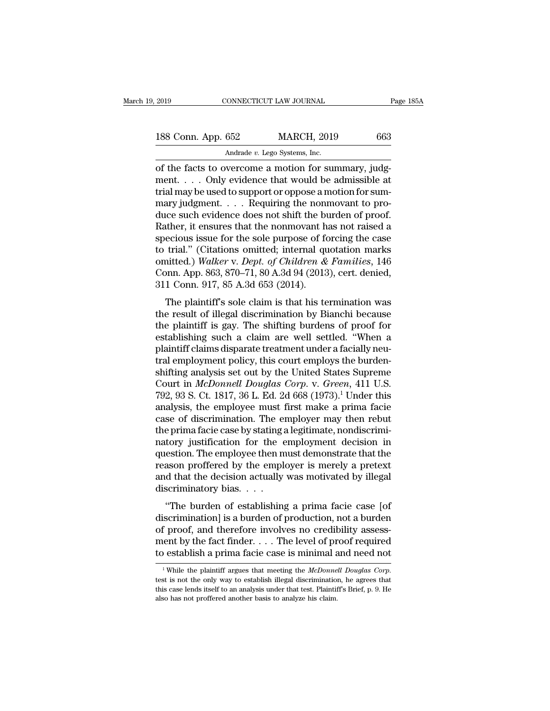| 2019               | CONNECTICUT LAW JOURNAL                             | Page 185A |
|--------------------|-----------------------------------------------------|-----------|
| 188 Conn. App. 652 | <b>MARCH, 2019</b>                                  | 663       |
|                    | Andrade v. Lego Systems, Inc.                       |           |
|                    | of the facts to overcome a motion for summary judg- |           |

CONNECTICUT LAW JOURNAL<br>
188 Conn. App. 652 MARCH, 2019 663<br>
Andrade v. Lego Systems, Inc.<br>
of the facts to overcome a motion for summary, judg-<br>
ment.... Only evidence that would be admissible at<br>
trial may be used to sum 188 Conn. App. 652 MARCH, 2019 663<br>Andrade v. Lego Systems, Inc.<br>of the facts to overcome a motion for summary, judg-<br>ment.... Only evidence that would be admissible at<br>trial may be used to support or oppose a motion for 188 Conn. App. 652 MARCH, 2019 663<br>Andrade v. Lego Systems, Inc.<br>of the facts to overcome a motion for summary, judg-<br>ment.... Only evidence that would be admissible at<br>trial may be used to support or oppose a motion for 188 Conn. App. 652 MARCH, 2019 663<br>Andrade v. Lego Systems, Inc.<br>of the facts to overcome a motion for summary, judg-<br>ment. . . . Only evidence that would be admissible at<br>trial may be used to support or oppose a motion fo Andrade v. Lego Systems, Inc.<br>
of the facts to overcome a motion for summary, judg-<br>
ment. . . . Only evidence that would be admissible at<br>
trial may be used to support or oppose a motion for sum-<br>
mary judgment. . . . . Andrade v. Lego Systems, Inc.<br>
of the facts to overcome a motion for summary, judg-<br>
ment.... Only evidence that would be admissible at<br>
trial may be used to support or oppose a motion for sum-<br>
mary judgment.... Requirin of the facts to overcome a motion for summary, judgment. . . . Only evidence that would be admissible at trial may be used to support or oppose a motion for summary judgment. . . . Requiring the nonmovant to produce such ment. . . . Only evidence that would be admissible at<br>trial may be used to support or oppose a motion for sum-<br>mary judgment. . . . Requiring the nonmovant to pro-<br>duce such evidence does not shift the burden of proof.<br>Ra trial may be used to support or oppose a motion for sum-<br>mary judgment. . . . . Requiring the nonmovant to pro-<br>duce such evidence does not shift the burden of proof.<br>Rather, it ensures that the nonmovant has not raised a<br> mary judgment. . . . . Requiring the nonmovant to produce such evidence does not shift the burden of proof.<br>Rather, it ensures that the nonmovant has not raised a specious issue for the sole purpose of forcing the case<br>to duce such evidence does not shift the bulkather, it ensures that the nonmovant h<br>specious issue for the sole purpose of fo<br>to trial." (Citations omitted; internal qu<br>omitted.) Walker v. Dept. of Children &<br>Conn. App. 863, Exercise Sular the Hombovant has not raised a<br>ecious issue for the sole purpose of forcing the case<br>trial." (Citations omitted; internal quotation marks<br>nitted.) Walker v. Dept. of Children & Families, 146<br>pnn. App. 863, specious issue for the sofe purpose of forcing the case<br>to trial." (Citations omitted; internal quotation marks<br>omitted.) Walker v. Dept. of Children & Families, 146<br>Conn. App. 863, 870–71, 80 A.3d 94 (2013), cert. denied,

the plantiff of the plaintiff claims discrete plantiff claims of the shifting and the conn. App. 863, 870–71, 80 A.3d 94 (2013), cert. denied, 311 Conn. 917, 85 A.3d 653 (2014).<br>The plaintiff's sole claim is that his termi From App. 863, 870–71, 80 A.3d 94 (2013), cert. denied,<br>
311 Conn. 917, 85 A.3d 653 (2014).<br>
The plaintiff's sole claim is that his termination was<br>
the result of illegal discrimination by Bianchi because<br>
the plaintiff i plant. App. 000, 070–71, 00 A.5d 54 (2015), ecre. uched, 311 Conn. 917, 85 A.3d 653 (2014).<br>The plaintiff's sole claim is that his termination was<br>the result of illegal discrimination by Bianchi because<br>the plaintiff is g The plaintiff's sole claim is that his termination was<br>the result of illegal discrimination by Bianchi because<br>the plaintiff is gay. The shifting burdens of proof for<br>establishing such a claim are well settled. "When a<br>pl The plaintiff's sole claim is that his termination was<br>the result of illegal discrimination by Bianchi because<br>the plaintiff is gay. The shifting burdens of proof for<br>establishing such a claim are well settled. "When a<br>pla the result of illegal discrimination by Bianchi because<br>the plaintiff is gay. The shifting burdens of proof for<br>establishing such a claim are well settled. "When a<br>plaintiff claims disparate treatment under a facially neuthe plaintiff is gay. The shifting burdens of proof for<br>establishing such a claim are well settled. "When a<br>plaintiff claims disparate treatment under a facially neu-<br>tral employment policy, this court employs the burden-<br> establishing such a claim are well settled. "When a<br>plaintiff claims disparate treatment under a facially neu-<br>tral employment policy, this court employs the burden-<br>shifting analysis set out by the United States Supreme<br>C plaintiff claims disparate treatment under a facially neu-<br>tral employment policy, this court employs the burden-<br>shifting analysis set out by the United States Supreme<br>Court in *McDonnell Douglas Corp.* v. *Green*, 411 U. tral employment policy, this court employs the burden-<br>shifting analysis set out by the United States Supreme<br>Court in *McDonnell Douglas Corp.* v. *Green*, 411 U.S.<br>792, 93 S. Ct. 1817, 36 L. Ed. 2d 668 (1973).<sup>1</sup> Under t shifting analysis set out by the United States Supreme<br>Court in *McDonnell Douglas Corp.* v. *Green*, 411 U.S.<br>792, 93 S. Ct. 1817, 36 L. Ed. 2d 668 (1973).<sup>1</sup> Under this<br>analysis, the employee must first make a prima faci Court in *McDonnell Douglas Corp.* v. *Green*, 411 U.S.<br>792, 93 S. Ct. 1817, 36 L. Ed. 2d 668 (1973).<sup>1</sup> Under this<br>analysis, the employee must first make a prima facie<br>case of discrimination. The employer may then rebut<br>t 792, 93 S. Ct. 1817, 36 L. Ed. 2d 668  $(1973).<sup>1</sup>$  Under this<br>analysis, the employee must first make a prima facie<br>case of discrimination. The employer may then rebut<br>the prima facie case by stating a legitimate, nondi analysis, the employee must first make a prima facie<br>case of discrimination. The employer may then rebut<br>the prima facie case by stating a legitimate, nondiscrimi-<br>natory justification for the employment decision in<br>questi case of discrimination. The endepth<br>the prima facie case by stating anatory justification for the equestion. The employee then m<br>reason proffered by the emple<br>and that the decision actually<br>discriminatory bias.  $\dots$ <br>"The Firma facte case by stating a regitimate, nondisemi-<br>
tory justification for the employment decision in<br>
estion. The employee then must demonstrate that the<br>
ason proffered by the employer is merely a pretext<br>
d that the d matory justineation for the employment decision in<br>question. The employee then must demonstrate that the<br>reason proffered by the employer is merely a pretext<br>and that the decision actually was motivated by illegal<br>discrimi

question. The employee then must demonstrate that the<br>reason proffered by the employer is merely a pretext<br>and that the decision actually was motivated by illegal<br>discriminatory bias. . . .<br>"The burden of establishing a pr Fraction profiled by the employer is increfy a pretext<br>and that the decision actually was motivated by illegal<br>discriminatory bias. . . .<br>"The burden of establishing a prima facie case [of<br>discrimination] is a burden of p discriminatory bias.  $\dots$ <br>
"The burden of establishing a prima facie case [of<br>
discrimination] is a burden of production, not a burden<br>
of proof, and therefore involves no credibility assess-<br>
ment by the fact finder.  $\dots$ discrimination] is a burden of production, not a burden<br>of proof, and therefore involves no credibility assess-<br>ment by the fact finder. . . . The level of proof required<br>to establish a prima facie case is minimal and need

ment by the fact finder. . . . The level of proof required<br>to establish a prima facie case is minimal and need not<br> $\frac{1}{1}$ While the plaintiff argues that meeting the *McDonnell Douglas Corp*.<br>test is not the only way to to establish a prima facie case is minimal  $\overline{\epsilon}$ <br><sup>1</sup> While the plaintiff argues that meeting the *McDonne* test is not the only way to establish illegal discrimination this case lends itself to an analysis under that t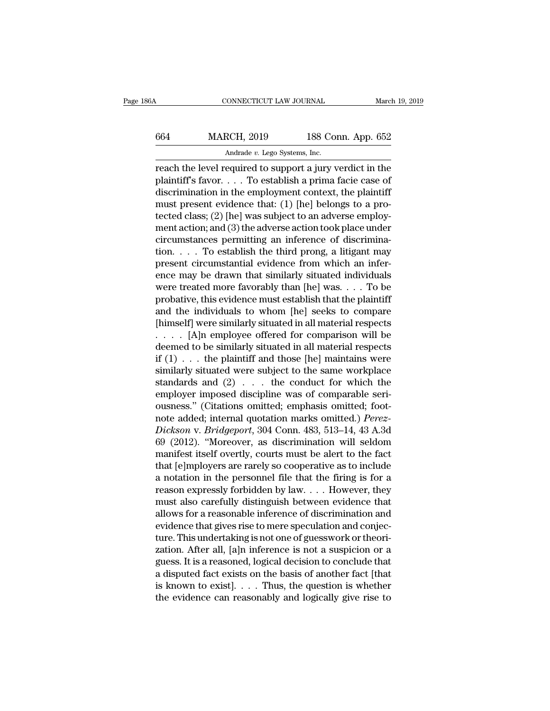# CONNECTICUT LAW JOURNAL March 19, 2019<br>664 MARCH, 2019 188 Conn. App. 652<br>Andrade v. Lego Systems, Inc. EXECTICUT LAW JOURNAL<br>RCH, 2019 188 Co:<br>Andrade *v.* Lego Systems, Inc.<br>equired to support a jury y

CONNECTICUT LAW JOURNAL March 19, 2019<br>
664 MARCH, 2019 188 Conn. App. 652<br>
Andrade v. Lego Systems, Inc.<br>
Freach the level required to support a jury verdict in the plaintiff's favor. . . . To establish a prima facie case MARCH, 2019 188 Conn. App. 652<br>Andrade v. Lego Systems, Inc.<br>reach the level required to support a jury verdict in the<br>plaintiff's favor. . . . To establish a prima facie case of<br>discrimination in the employment context, MARCH, 2019 188 Conn. App. 652<br>
Andrade v. Lego Systems, Inc.<br>
reach the level required to support a jury verdict in the<br>
plaintiff's favor.... To establish a prima facie case of<br>
discrimination in the employment context, MARCH, 2019 188 Conn. App. 652<br>
Andrade v. Lego Systems, Inc.<br>
reach the level required to support a jury verdict in the<br>
plaintiff's favor. . . . To establish a prima facie case of<br>
discrimination in the employment conte Andrade v. Lego Systems, Inc.<br>
reach the level required to support a jury verdict in the<br>
plaintiff's favor. . . . To establish a prima facie case of<br>
discrimination in the employment context, the plaintiff<br>
must present manuale v. Lego systems, mc.<br>
reach the level required to support a jury verdict in the<br>
plaintiff's favor.... To establish a prima facie case of<br>
discrimination in the employment context, the plaintiff<br>
must present evid reach the level required to support a jury verdict in the plaintiff's favor. . . . To establish a prima facie case of discrimination in the employment context, the plaintiff must present evidence that: (1) [he] belongs to plaintiff's favor. . . . To establish a prima facie case of<br>discrimination in the employment context, the plaintiff<br>must present evidence that: (1) [he] belongs to a pro-<br>tected class; (2) [he] was subject to an adverse e discrimination in the employment context, the plaintiff<br>must present evidence that: (1) [he] belongs to a pro-<br>tected class; (2) [he] was subject to an adverse employ-<br>ment action; and (3) the adverse action took place un must present evidence that: (1) [he] belongs to a pro-<br>tected class; (2) [he] was subject to an adverse employ-<br>ment action; and (3) the adverse action took place under<br>circumstances permitting an inference of discriminatected class; (2) [he] was subject to an adverse employ-<br>ment action; and (3) the adverse action took place under<br>circumstances permitting an inference of discrimina-<br>tion.... To establish the third prong, a litigant may<br> ment action; and (3) the adverse action took place under<br>circumstances permitting an inference of discrimina-<br>tion. . . . To establish the third prong, a litigant may<br>present circumstantial evidence from which an infer-<br>e circumstances permitting an inference of discrimina-<br>tion. . . . To establish the third prong, a litigant may<br>present circumstantial evidence from which an infer-<br>ence may be drawn that similarly situated individuals<br>were tion. . . . To establish the third prong, a litigant may<br>present circumstantial evidence from which an infer-<br>ence may be drawn that similarly situated individuals<br>were treated more favorably than [he] was. . . . To be<br>pr present circumstantial evidence from which an infer-<br>ence may be drawn that similarly situated individuals<br>were treated more favorably than [he] was. . . . To be<br>probative, this evidence must establish that the plaintiff<br> ence may be drawn that similarly situated individuals<br>were treated more favorably than [he] was. . . . To be<br>probative, this evidence must establish that the plaintiff<br>and the individuals to whom [he] seeks to compare<br>[hi were treated more favorably than [he] was. . . . To be<br>probative, this evidence must establish that the plaintiff<br>and the individuals to whom [he] seeks to compare<br>[himself] were similarly situated in all material respect probative, this evidence must establish that the plaintiff<br>and the individuals to whom [he] seeks to compare<br>[himself] were similarly situated in all material respects<br> $\ldots$  [A]n employee offered for comparison will be<br>de and the individuals to whom [he] seeks to compare<br>[himself] were similarly situated in all material respects<br> $\ldots$  [A]n employee offered for comparison will be<br>deemed to be similarly situated in all material respects<br>if [himself] were similarly situated in all material respects<br>  $\ldots$  [A]n employee offered for comparison will be<br>
deemed to be similarly situated in all material respects<br>
if (1)  $\ldots$  the plaintiff and those [he] maintains .... [A]n employee offered for comparison will be<br>deemed to be similarly situated in all material respects<br>if  $(1)$ ... the plaintiff and those [he] maintains were<br>similarly situated were subject to the same workplace<br>stan deemed to be similarly situated in all material respects<br>if (1) . . . the plaintiff and those [he] maintains were<br>similarly situated were subject to the same workplace<br>standards and (2) . . . the conduct for which the<br>empl *If* (1) . . . the plaintiff and those [he] maintains were<br>similarly situated were subject to the same workplace<br>standards and (2) . . . the conduct for which the<br>employer imposed discipline was of comparable seri-<br>ousness similarly situated were subject to the same workplace<br>standards and  $(2)$ ... the conduct for which the<br>employer imposed discipline was of comparable seri-<br>ousness." (Citations omitted; emphasis omitted; foot-<br>note added; standards and  $(2)$ ... the conduct for which the<br>employer imposed discipline was of comparable seri-<br>ousness." (Citations omitted; emphasis omitted; foot-<br>note added; internal quotation marks omitted.) *Perez-*<br> $Dickson$  v. employer imposed discipline was of comparable seri-<br>ousness." (Citations omitted; emphasis omitted; foot-<br>note added; internal quotation marks omitted.) *Perez-*<br>Dickson v. Bridgeport, 304 Conn. 483, 513–14, 43 A.3d<br>69 (20 ousness." (Citations omitted; emphasis omitted; foot-<br>note added; internal quotation marks omitted.) *Perez-*<br>Dickson v. Bridgeport, 304 Conn. 483, 513–14, 43 A.3d<br>69 (2012). "Moreover, as discrimination will seldom<br>manif note added; internal quotation marks omitted.) *Perez-*<br>*Dickson v. Bridgeport*, 304 Conn. 483, 513–14, 43 A.3d<br>69 (2012). "Moreover, as discrimination will seldom<br>manifest itself overtly, courts must be alert to the fact Dickson v. Bridgeport, 304 Conn. 483, 513–14, 43 A.3d<br>69 (2012). "Moreover, as discrimination will seldom<br>manifest itself overtly, courts must be alert to the fact<br>that [e]mployers are rarely so cooperative as to include<br>a 69 (2012). "Moreover, as discrimination will seldom<br>manifest itself overtly, courts must be alert to the fact<br>that [e]mployers are rarely so cooperative as to include<br>a notation in the personnel file that the firing is fo manifest itself overtly, courts must be alert to the fact<br>that [e]mployers are rarely so cooperative as to include<br>a notation in the personnel file that the firing is for a<br>reason expressly forbidden by law. . . . However, that [e]mployers are rarely so cooperative as to include<br>a notation in the personnel file that the firing is for a<br>reason expressly forbidden by law.  $\dots$  However, they<br>must also carefully distinguish between evidence tha a notation in the personnel file that the firing is for a<br>reason expressly forbidden by law. . . . However, they<br>must also carefully distinguish between evidence that<br>allows for a reasonable inference of discrimination and reason expressly forbidden by law. . . . However, they<br>must also carefully distinguish between evidence that<br>allows for a reasonable inference of discrimination and<br>evidence that gives rise to mere speculation and conjec-<br> must also carefully distinguish between evidence that<br>allows for a reasonable inference of discrimination and<br>evidence that gives rise to mere speculation and conjec-<br>ture. This undertaking is not one of guesswork or theor allows for a reasonable inference of discrimination and<br>evidence that gives rise to mere speculation and conjec-<br>ture. This undertaking is not one of guesswork or theori-<br>zation. After all, [a]n inference is not a suspicio evidence that gives rise to mere speculation and conjecture. This undertaking is not one of guesswork or theorization. After all, [a]n inference is not a suspicion or a guess. It is a reasoned, logical decision to conclude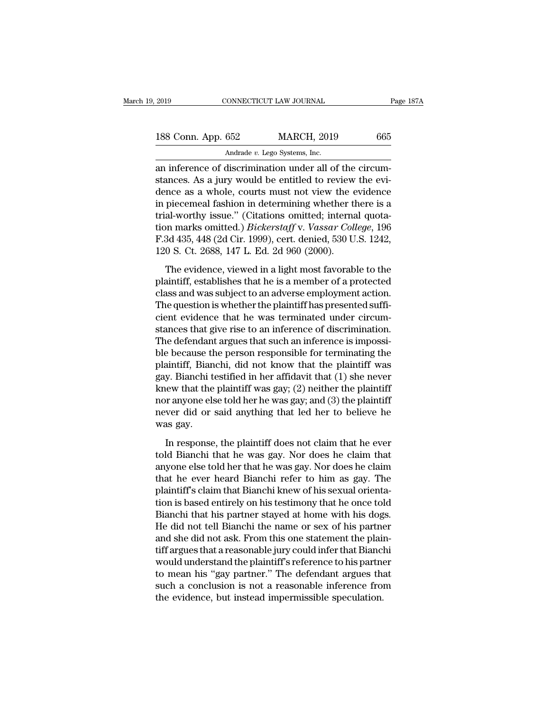| 2019               | CONNECTICUT LAW JOURNAL       |                                                         | Page 187A |
|--------------------|-------------------------------|---------------------------------------------------------|-----------|
|                    |                               |                                                         |           |
| 188 Conn. App. 652 |                               | <b>MARCH, 2019</b>                                      | 665       |
|                    | Andrade v. Lego Systems, Inc. |                                                         |           |
|                    |                               | an inference of discrimination under all of the circum- |           |

2019 CONNECTICUT LAW JOURNAL<br>
188 Conn. App. 652 MARCH, 2019 665<br>
Andrade v. Lego Systems, Inc.<br>
an inference of discrimination under all of the circum-<br>
stances. As a jury would be entitled to review the evi-<br>
donce as a 188 Conn. App. 652 MARCH, 2019 665<br>Andrade v. Lego Systems, Inc.<br>an inference of discrimination under all of the circum-<br>stances. As a jury would be entitled to review the evi-<br>dence as a whole, courts must not view the ev 188 Conn. App. 652 MARCH, 2019 665<br>Andrade v. Lego Systems, Inc.<br>an inference of discrimination under all of the circumstances. As a jury would be entitled to review the evidence<br>in piecemeal fashion in determining whethe 188 Conn. App. 652 MARCH, 2019 665<br>
Andrade v. Lego Systems, Inc.<br>
an inference of discrimination under all of the circum-<br>
stances. As a jury would be entitled to review the evi-<br>
dence as a whole, courts must not view t Andrade v. Lego Systems, Inc.<br>
an inference of discrimination under all of the circum-<br>
stances. As a jury would be entitled to review the evi-<br>
dence as a whole, courts must not view the evidence<br>
in piecemeal fashion in Andrade *v*. Lego systems, mc.<br>
an inference of discrimination under all of the circum-<br>
stances. As a jury would be entitled to review the evi-<br>
dence as a whole, courts must not view the evidence<br>
in piecemeal fashion in an inference of discrimination under all of the circum-<br>stances. As a jury would be entitled to review the evi-<br>dence as a whole, courts must not view the evidence<br>in piecemeal fashion in determining whether there is a<br>tri stances. As a jury would be entitled to review<br>dence as a whole, courts must not view the  $\epsilon$ <br>in piecemeal fashion in determining whether tl<br>trial-worthy issue." (Citations omitted; internation marks omitted.) *Bickerstaf* rice as a *nition*, soarly make not from the channel piecemeal fashion in determining whether there is a al-worthy issue." (Citations omitted; internal quota-<br>on marks omitted.) *Bickerstaff* v. *Vassar College*, 196<br>3d 43

reflat that the issue." (Citations omitted; internal quotation marks omitted.) *Bickerstaff* v. *Vassar College*, 196<br>F.3d 435, 448 (2d Cir. 1999), cert. denied, 530 U.S. 1242,<br>120 S. Ct. 2688, 147 L. Ed. 2d 960 (2000).<br>Th ion marks omitted.) *Bickerstaff* v. Vassar College, 196<br>F.3d 435, 448 (2d Cir. 1999), cert. denied, 530 U.S. 1242,<br>120 S. Ct. 2688, 147 L. Ed. 2d 960 (2000).<br>The evidence, viewed in a light most favorable to the<br>plaintiff F.3d 435, 448 (2d Cir. 1999), cert. denied, 530 U.S. 1242,<br>120 S. Ct. 2688, 147 L. Ed. 2d 960 (2000).<br>The evidence, viewed in a light most favorable to the<br>plaintiff, establishes that he is a member of a protected<br>class a 120 S. Ct. 2688, 147 L. Ed. 2d 960 (2000).<br>The evidence, viewed in a light most favorable to the<br>plaintiff, establishes that he is a member of a protected<br>class and was subject to an adverse employment action.<br>The question The evidence, viewed in a light most favorable to the plaintiff, establishes that he is a member of a protected class and was subject to an adverse employment action. The question is whether the plaintiff has presented suf The evidence, viewed in a light most favorable to the plaintiff, establishes that he is a member of a protected class and was subject to an adverse employment action.<br>The question is whether the plaintiff has presented suf plaintiff, establishes that he is a member of a protected<br>class and was subject to an adverse employment action.<br>The question is whether the plaintiff has presented suffi-<br>cient evidence that he was terminated under circum class and was subject to an adverse employment action.<br>The question is whether the plaintiff has presented suffi-<br>cient evidence that he was terminated under circum-<br>stances that give rise to an inference of discrimination The question is whether the plaintiff has presented sufficient evidence that he was terminated under circumstances that give rise to an inference of discrimination.<br>The defendant argues that such an inference is impossibl cient evidence that he was terminated under circum-<br>stances that give rise to an inference of discrimination.<br>The defendant argues that such an inference is impossi-<br>ble because the person responsible for terminating the<br>p stances that give rise to an inference of discrimination.<br>The defendant argues that such an inference is impossi-<br>ble because the person responsible for terminating the<br>plaintiff, Bianchi, did not know that the plaintiff w The defendant argues that such an inference is impossi-<br>ble because the person responsible for terminating the<br>plaintiff, Bianchi, did not know that the plaintiff was<br>gay. Bianchi testified in her affidavit that (1) she ne ble because the<br>plaintiff, Bian<br>gay. Bianchi t<br>knew that the<br>nor anyone els<br>never did or<br>was gay.<br>In response y. Bianchi testified in her affidavit that (1) she never<br>tew that the plaintiff was gay; (2) neither the plaintiff<br>or anyone else told her he was gay; and (3) the plaintiff<br>ver did or said anything that led her to believe knew that the plaintiff was gay; (2) neither the plaintiff<br>nor anyone else told her he was gay; and (3) the plaintiff<br>never did or said anything that led her to believe he<br>was gay.<br>In response, the plaintiff does not clai

nor anyone else told her he was gay; and (3) the plaintiff<br>never did or said anything that led her to believe he<br>was gay.<br>In response, the plaintiff does not claim that he ever<br>told Bianchi that he was gay. Nor does he cl the ever did or said anything that led her to believe he<br>was gay.<br>In response, the plaintiff does not claim that he ever<br>told Bianchi that he was gay. Nor does he claim that<br>anyone else told her that he was gay. Nor does h was gay.<br>
In response, the plaintiff does not claim that he ever<br>
told Bianchi that he was gay. Nor does he claim that<br>
anyone else told her that he was gay. Nor does he claim<br>
that he ever heard Bianchi refer to him as ga In response, the plaintiff does not claim that he ever<br>told Bianchi that he was gay. Nor does he claim that<br>anyone else told her that he was gay. Nor does he claim<br>that he ever heard Bianchi refer to him as gay. The<br>plaint In response, the plaintiff does not claim that he ever<br>told Bianchi that he was gay. Nor does he claim that<br>anyone else told her that he was gay. Nor does he claim<br>that he ever heard Bianchi refer to him as gay. The<br>plaint told Bianchi that he was gay. Nor does he claim that<br>anyone else told her that he was gay. Nor does he claim<br>that he ever heard Bianchi refer to him as gay. The<br>plaintiff's claim that Bianchi knew of his sexual orienta-<br>ti anyone else told her that he was gay. Nor does he claim<br>that he ever heard Bianchi refer to him as gay. The<br>plaintiff's claim that Bianchi knew of his sexual orienta-<br>tion is based entirely on his testimony that he once to that he ever heard Bianchi refer to him as gay. The plaintiff's claim that Bianchi knew of his sexual orientation is based entirely on his testimony that he once told Bianchi that his partner stayed at home with his dogs. plaintiff's claim that Bianchi knew of his sexual orientation is based entirely on his testimony that he once told Bianchi that his partner stayed at home with his dogs. He did not tell Bianchi the name or sex of his partn tion is based entirely on his testimony that he once told<br>Bianchi that his partner stayed at home with his dogs.<br>He did not tell Bianchi the name or sex of his partner<br>and she did not ask. From this one statement the plain Bianchi that his partner stayed at home with his dogs.<br>He did not tell Bianchi the name or sex of his partner<br>and she did not ask. From this one statement the plain-<br>tiff argues that a reasonable jury could infer that Bian He did not tell Bianchi the name or sex of his partne<br>and she did not ask. From this one statement the plain<br>tiff argues that a reasonable jury could infer that Biancl<br>would understand the plaintiff's reference to his part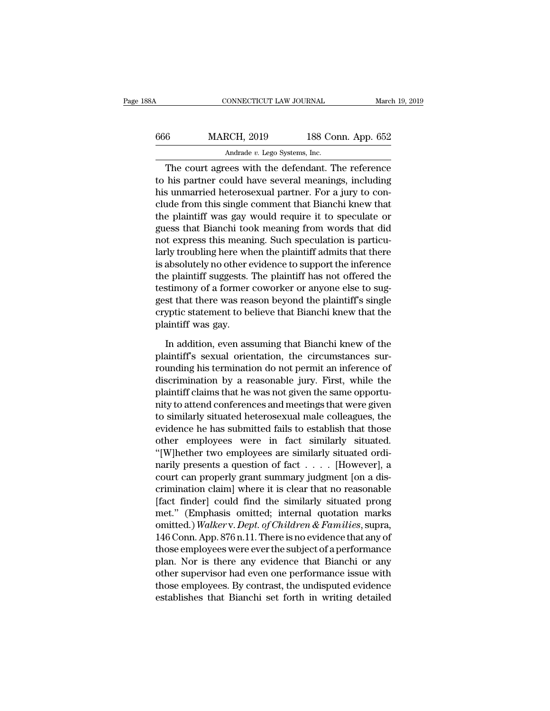| 88A | CONNECTICUT LAW JOURNAL                           |                    | March 19, 2019 |
|-----|---------------------------------------------------|--------------------|----------------|
| 666 | <b>MARCH, 2019</b>                                | 188 Conn. App. 652 |                |
|     | Andrade v. Lego Systems, Inc.                     |                    |                |
|     | The court agrees with the defendant The reference |                    |                |

CONNECTICUT LAW JOURNAL March 19, 2019<br>
6 MARCH, 2019 188 Conn. App. 652<br>
Andrade v. Lego Systems, Inc.<br>
The court agrees with the defendant. The reference<br>
his partner could have several meanings, including  $\begin{array}{r} \text{MARCH, 2019} \\ \text{Andrade } v. \text{ Lego Systems, Inc.} \end{array}$ <br>
The court agrees with the defendant. The reference to his partner could have several meanings, including his unmarried heterosexual partner. For a jury to conclude from this  $\frac{\text{MARCH}}{\text{Andrew}}$ , 2019 188 Conn. App. 652<br>
Andrade v. Lego Systems, Inc.<br>
The court agrees with the defendant. The reference<br>
to his partner could have several meanings, including<br>
his unmarried heterosexual partner. For a MARCH,  $2019$  188 Conn. App. 652<br>
Andrade v. Lego Systems, Inc.<br>
The court agrees with the defendant. The reference<br>
to his partner could have several meanings, including<br>
his unmarried heterosexual partner. For a jury to Andrade  $v$ . Lego Systems, Inc.<br>
The court agrees with the defendant. The reference<br>
to his partner could have several meanings, including<br>
his unmarried heterosexual partner. For a jury to con-<br>
clude from this single co The court agrees with the defendant. The reference<br>to his partner could have several meanings, including<br>his unmarried heterosexual partner. For a jury to con-<br>clude from this single comment that Bianchi knew that<br>the pla The court agrees with the defendant. The reference<br>to his partner could have several meanings, including<br>his unmarried heterosexual partner. For a jury to con-<br>clude from this single comment that Bianchi knew that<br>the plai to his partner could have several meanings, including<br>his unmarried heterosexual partner. For a jury to con-<br>clude from this single comment that Bianchi knew that<br>the plaintiff was gay would require it to speculate or<br>gues his unmarried heterosexual partner. For a jury to conclude from this single comment that Bianchi knew that<br>the plaintiff was gay would require it to speculate or<br>guess that Bianchi took meaning from words that did<br>not expr clude from this single comment that Bianchi knew that<br>the plaintiff was gay would require it to speculate or<br>guess that Bianchi took meaning from words that did<br>not express this meaning. Such speculation is particu-<br>larly the plaintiff was gay would require it to speculate or<br>guess that Bianchi took meaning from words that did<br>not express this meaning. Such speculation is particu-<br>larly troubling here when the plaintiff admits that there<br>is guess that Bianchi took meaning from words that did<br>not express this meaning. Such speculation is particu-<br>larly troubling here when the plaintiff admits that there<br>is absolutely no other evidence to support the inference<br> not express this meaning. Such speculation is particularly troubling here when the plaintiff admits that there is absolutely no other evidence to support the inference the plaintiff suggests. The plaintiff has not offered larly troubling here wh<br>is absolutely no other e<br>the plaintiff suggests. '<br>testimony of a former<br>gest that there was rea<br>cryptic statement to be<br>plaintiff was gay.<br>In addition, even ass Explaintiff suggests. The plaintiff has not offered the stimony of a former coworker or anyone else to sug-<br>st that there was reason beyond the plaintiff's single<br>yptic statement to believe that Bianchi knew that the<br>ainti testimony of a former coworker or anyone else to suggest that there was reason beyond the plaintiff's single<br>cryptic statement to believe that Bianchi knew that the<br>plaintiff was gay.<br>In addition, even assuming that Bianch

rounding that there was reason beyond the plaintiff's single<br>cryptic statement to believe that Bianchi knew that the<br>plaintiff was gay.<br>In addition, even assuming that Bianchi knew of the<br>plaintiff's sexual orientation, th cryptic statement to believe that Bianchi knew that the plaintiff was gay.<br>In addition, even assuming that Bianchi knew of the plaintiff's sexual orientation, the circumstances surrounding his termination do not permit an plaintiff was gay.<br>In addition, even assuming that Bianchi knew of the<br>plaintiff's sexual orientation, the circumstances sur-<br>rounding his termination do not permit an inference of<br>discrimination by a reasonable jury. Firs In addition, even assuming that Bianchi knew of the plaintiff's sexual orientation, the circumstances surrounding his termination do not permit an inference of discrimination by a reasonable jury. First, while the plaintif In addition, even assuming that Bianchi knew of the<br>plaintiff's sexual orientation, the circumstances sur-<br>rounding his termination do not permit an inference of<br>discrimination by a reasonable jury. First, while the<br>plaint plaintiff's sexual orientation, the circumstances sur-<br>rounding his termination do not permit an inference of<br>discrimination by a reasonable jury. First, while the<br>plaintiff claims that he was not given the same opportu-<br>n rounding his termination do not permit an inference of<br>discrimination by a reasonable jury. First, while the<br>plaintiff claims that he was not given the same opportu-<br>nity to attend conferences and meetings that were given<br> discrimination by a reasonable jury. First, while the<br>plaintiff claims that he was not given the same opportu-<br>nity to attend conferences and meetings that were given<br>to similarly situated heterosexual male colleagues, the plaintiff claims that he was not given the same opportunity to attend conferences and meetings that were given<br>to similarly situated heterosexual male colleagues, the<br>evidence he has submitted fails to establish that those nty to attend conferences and meetings that were given<br>to similarly situated heterosexual male colleagues, the<br>evidence he has submitted fails to establish that those<br>other employees were in fact similarly situated ordi-<br>m to similarly situated heterosexual male colleagues, the<br>evidence he has submitted fails to establish that those<br>other employees were in fact similarly situated.<br>"[W]hether two employees are similarly situated ordi-<br>narily evidence he has submitted fails to establish that those<br>
other employees were in fact similarly situated.<br>
"[W]hether two employees are similarly situated ordi-<br>
narily presents a question of fact . . . . [However], a<br>
co other employees were in fact similarly situated.<br>
"[W]hether two employees are similarly situated ordinarily presents a question of fact . . . . [However], a<br>
court can properly grant summary judgment [on a dis-<br>
criminat "[W]hether two employees are similarly situated ordinarily presents a question of fact . . . . . [However], a court can properly grant summary judgment [on a discrimination claim] where it is clear that no reasonable [fact narily presents a question of fact  $\ldots$ . [However], a<br>court can properly grant summary judgment [on a dis-<br>crimination claim] where it is clear that no reasonable<br>[fact finder] could find the similarly situated prong<br>met court can properly grant summary judgment [on a discrimination claim] where it is clear that no reasonable<br>[fact finder] could find the similarly situated prong<br>met." (Emphasis omitted; internal quotation marks<br>omitted.) W crimination claim] where it is clear that no reasonable<br>[fact\_finder]\_could\_find\_the\_similarly\_situated\_prong<br>met." (Emphasis\_omitted;\_internal\_quotation\_marks<br>omitted.) Walkerv. Dept. of Children & Families, supra,<br>146 Co [fact finder] could find the similarly situated prong<br>met." (Emphasis omitted; internal quotation marks<br>omitted.) Walker v. Dept. of Children & Families, supra,<br>146 Conn. App. 876 n.11. There is no evidence that any of<br>tho met." (Emphasis omitted; internal quotation marks<br>omitted.) Walker v. Dept. of Children & Families, supra,<br>146 Conn. App. 876 n.11. There is no evidence that any of<br>those employees were ever the subject of a performance<br>pl omitted.) Walker v. Dept. of Children & Families, supra, 146 Conn. App. 876 n.11. There is no evidence that any of those employees were ever the subject of a performance plan. Nor is there any evidence that Bianchi or any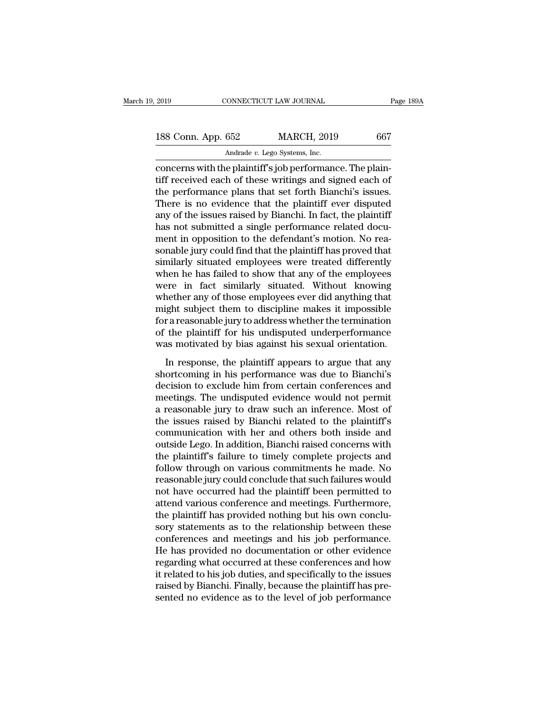connectricut LAW JOURNAL<br>
188 Conn. App. 652 MARCH, 2019 667<br>
Andrade v. Lego Systems, Inc.<br>
concerns with the plaintiff's job performance. The plain-<br>
tiff received each of these writings and signed each of<br>
the performan 188 Conn. App. 652 MARCH, 2019 667<br>Andrade v. Lego Systems, Inc.<br>Concerns with the plaintiff's job performance. The plain-<br>tiff received each of these writings and signed each of<br>the performance plans that set forth Bianc 188 Conn. App. 652 MARCH, 2019 667<br>Andrade v. Lego Systems, Inc.<br>Concerns with the plaintiff's job performance. The plain-<br>tiff received each of these writings and signed each of<br>the performance plans that set forth Bianc 188 Conn. App.  $652$  MARCH,  $2019$  667<br>
Andrade *v*. Lego Systems, Inc.<br>
concerns with the plaintiff's job performance. The plain-<br>
tiff received each of these writings and signed each of<br>
the performance plans that set f Andrade v. Lego Systems, Inc.<br>
concerns with the plaintiff's job performance. The plain-<br>
tiff received each of these writings and signed each of<br>
the performance plans that set forth Bianchi's issues.<br>
There is no evidenc Andrade  $v$ . Lego Systems, Inc.<br>
concerns with the plaintiff's job performance. The plain-<br>
tiff received each of these writings and signed each of<br>
the performance plans that set forth Bianchi's issues.<br>
There is no evid concerns with the plaintiff's job performance. The plaintiff received each of these writings and signed each of the performance plans that set forth Bianchi's issues. There is no evidence that the plaintiff ever disputed a tiff received each of these writings and signed each of<br>the performance plans that set forth Bianchi's issues.<br>There is no evidence that the plaintiff ever disputed<br>any of the issues raised by Bianchi. In fact, the plainti the performance plans that set forth Bianchi's issues.<br>There is no evidence that the plaintiff ever disputed<br>any of the issues raised by Bianchi. In fact, the plaintiff<br>has not submitted a single performance related docu-<br> There is no evidence that the plaintiff ever disputed<br>any of the issues raised by Bianchi. In fact, the plaintiff<br>has not submitted a single performance related docu-<br>ment in opposition to the defendant's motion. No rea-<br>s any of the issues raised by Bianchi. In fact, the plaintiff<br>has not submitted a single performance related docu-<br>ment in opposition to the defendant's motion. No rea-<br>sonable jury could find that the plaintiff has proved t has not submitted a single performance related document in opposition to the defendant's motion. No reasonable jury could find that the plaintiff has proved that similarly situated employees were treated differently when h ment in opposition to the defendant's motion. No reasonable jury could find that the plaintiff has proved that<br>similarly situated employees were treated differently<br>when he has failed to show that any of the employees<br>were sonable jury could find that the plaintiff has proved that<br>similarly situated employees were treated differently<br>when he has failed to show that any of the employees<br>were in fact similarly situated. Without knowing<br>whether similarly situated employees were treated differently<br>when he has failed to show that any of the employees<br>were in fact similarly situated. Without knowing<br>whether any of those employees ever did anything that<br>might subjec when he has failed to show that any of the employees<br>were in fact similarly situated. Without knowing<br>whether any of those employees ever did anything that<br>might subject them to discipline makes it impossible<br>for a reasona In the similarly statuted. While a his wing<br>
nether any of those employees ever did anything that<br>
ght subject them to discipline makes it impossible<br>
r a reasonable jury to address whether the termination<br>
the plaintiff f might subject them to discipline makes it impossible<br>for a reasonable jury to address whether the termination<br>of the plaintiff for his undisputed underperformance<br>was motivated by bias against his sexual orientation.<br>In re

decision to the plaintiff for his undisputed underperformance<br>was motivated by bias against his sexual orientation.<br>In response, the plaintiff appears to argue that any<br>shortcoming in his performance was due to Bianchi's<br>d metals and the plaintiff for his undisputed underperformance<br>was motivated by bias against his sexual orientation.<br>In response, the plaintiff appears to argue that any<br>shortcoming in his performance was due to Bianchi's<br>de a reasonable by bias against his sexual orientation.<br>
In response, the plaintiff appears to argue that any<br>
shortcoming in his performance was due to Bianchi's<br>
decision to exclude him from certain conferences and<br>
meeting In response, the plaintiff appears to argue that any<br>shortcoming in his performance was due to Bianchi's<br>decision to exclude him from certain conferences and<br>meetings. The undisputed evidence would not permit<br>a reasonable In response, the plaintiff appears to argue that any<br>shortcoming in his performance was due to Bianchi's<br>decision to exclude him from certain conferences and<br>meetings. The undisputed evidence would not permit<br>a reasonable shortcoming in his performance was due to Bianchi's<br>decision to exclude him from certain conferences and<br>meetings. The undisputed evidence would not permit<br>a reasonable jury to draw such an inference. Most of<br>the issues ra decision to exclude him from certain conferences and<br>meetings. The undisputed evidence would not permit<br>a reasonable jury to draw such an inference. Most of<br>the issues raised by Bianchi related to the plaintiff's<br>communica meetings. The undisputed evidence would not permit<br>a reasonable jury to draw such an inference. Most of<br>the issues raised by Bianchi related to the plaintiff's<br>communication with her and others both inside and<br>outside Lego a reasonable jury to draw such an inference. Most of<br>the issues raised by Bianchi related to the plaintiff's<br>communication with her and others both inside and<br>outside Lego. In addition, Bianchi raised concerns with<br>the pla the issues raised by Bianchi related to the plaintiff's<br>communication with her and others both inside and<br>outside Lego. In addition, Bianchi raised concerns with<br>the plaintiff's failure to timely complete projects and<br>foll communication with her and others both inside and<br>outside Lego. In addition, Bianchi raised concerns with<br>the plaintiff's failure to timely complete projects and<br>follow through on various commitments he made. No<br>reasonable outside Lego. In addition, Bianchi raised concerns with<br>the plaintiff's failure to timely complete projects and<br>follow through on various commitments he made. No<br>reasonable jury could conclude that such failures would<br>not the plaintiff's failure to timely complete projects and<br>follow through on various commitments he made. No<br>reasonable jury could conclude that such failures would<br>not have occurred had the plaintiff been permitted to<br>attend follow through on various commitments he made. No<br>reasonable jury could conclude that such failures would<br>not have occurred had the plaintiff been permitted to<br>attend various conference and meetings. Furthermore,<br>the plain reasonable jury could conclude that such failures would<br>not have occurred had the plaintiff been permitted to<br>attend various conference and meetings. Furthermore,<br>the plaintiff has provided nothing but his own conclu-<br>sory not have occurred had the plaintiff been permitted to<br>attend various conference and meetings. Furthermore,<br>the plaintiff has provided nothing but his own conclu-<br>sory statements as to the relationship between these<br>confere attend various conference and meetings. Furthermore,<br>the plaintiff has provided nothing but his own conclu-<br>sory statements as to the relationship between these<br>conferences and meetings and his job performance.<br>He has prov the plaintiff has provided nothing but his own conclusory statements as to the relationship between these conferences and meetings and his job performance. He has provided no documentation or other evidence regarding what sory statements as to the relationship between these conferences and meetings and his job performance.<br>He has provided no documentation or other evidence regarding what occurred at these conferences and how it related to h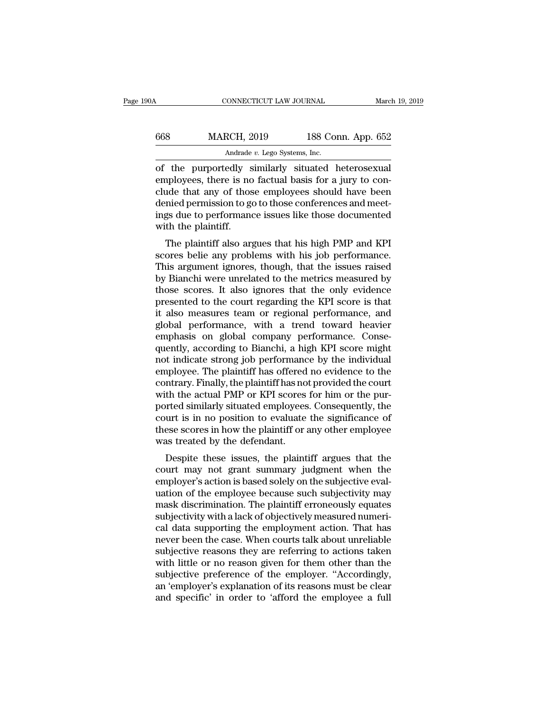| 190A | CONNECTICUT LAW JOURNAL       |                    | March 19, 2019 |
|------|-------------------------------|--------------------|----------------|
| 668  | <b>MARCH, 2019</b>            | 188 Conn. App. 652 |                |
|      | Andrade v. Lego Systems, Inc. |                    |                |

MARCH, 2019 188 Conn. App. 652<br>Andrade v. Lego Systems, Inc.<br>of the purportedly similarly situated heterosexual<br>employees, there is no factual basis for a jury to con-<br>clude that any of those employees should have been<br>don MARCH, 2019 188 Conn. App. 652<br>Andrade  $v$ . Lego Systems, Inc.<br>of the purportedly similarly situated heterosexual<br>employees, there is no factual basis for a jury to con-<br>clude that any of those employees should have been<br> MARCH, 2019 188 Conn. App. 652<br>
Andrade v. Lego Systems, Inc.<br>
of the purportedly similarly situated heterosexual<br>
employees, there is no factual basis for a jury to conclude that any of those employees should have been<br>
d Andrade *v*. Lego Systems, Inc.<br>
of the purportedly similarly situated heterosexual<br>
employees, there is no factual basis for a jury to con-<br>
clude that any of those employees should have been<br>
denied permission to go to t Andrade<br>
of the purportedly s<br>
employees, there is no<br>
clude that any of thos<br>
denied permission to go<br>
ings due to performane<br>
with the plaintiff.<br>
The plaintiff also arg The purportedly sinuarly situated ineterosexual<br>ployees, there is no factual basis for a jury to con-<br>ide that any of those employees should have been<br>mied permission to go to those conferences and meet-<br>gs due to performa employees, there is no factual basis for a jury to conclude that any of those employees should have been<br>denied permission to go to those conferences and meet-<br>ings due to performance issues like those documented<br>with the

Ende that any of those employees should have been<br>denied permission to go to those conferences and meet-<br>ings due to performance issues like those documented<br>with the plaintiff.<br>The plaintiff also argues that his high PMP beined permission to go to those conferences and meet-<br>ings due to performance issues like those documented<br>with the plaintiff.<br>The plaintiff also argues that his high PMP and KPI<br>scores belie any problems with his job per those those incomented with the plaintiff.<br>The plaintiff also argues that his high PMP and KPI<br>scores belie any problems with his job performance.<br>This argument ignores, though, that the issues raised<br>by Bianchi were unrel Which the plaintiff also argues that his high PMP and KPI<br>scores belie any problems with his job performance.<br>This argument ignores, though, that the issues raised<br>by Bianchi were unrelated to the metrics measured by<br>those The plaintiff also argues that his high PMP and KPI<br>scores belie any problems with his job performance.<br>This argument ignores, though, that the issues raised<br>by Bianchi were unrelated to the metrics measured by<br>those score scores belie any problems with his job performance.<br>This argument ignores, though, that the issues raised<br>by Bianchi were unrelated to the metrics measured by<br>those scores. It also ignores that the only evidence<br>presented This argument ignores, though, that the issues raised<br>by Bianchi were unrelated to the metrics measured by<br>those scores. It also ignores that the only evidence<br>presented to the court regarding the KPI score is that<br>it also by Bianchi were unrelated to the metrics measured by<br>those scores. It also ignores that the only evidence<br>presented to the court regarding the KPI score is that<br>it also measures team or regional performance, and<br>global per those scores. It also ignores that the only evidence<br>presented to the court regarding the KPI score is that<br>it also measures team or regional performance, and<br>global performance, with a trend toward heavier<br>emphasis on glo presented to the court regarding the KPI score is that<br>it also measures team or regional performance, and<br>global performance, with a trend toward heavier<br>emphasis on global company performance. Conse-<br>quently, according to it also measures team or regional performance, and<br>global performance, with a trend toward heavier<br>emphasis on global company performance. Conse-<br>quently, according to Bianchi, a high KPI score might<br>not indicate strong jo global performance, with a trend toward heavier<br>emphasis on global company performance. Conse-<br>quently, according to Bianchi, a high KPI score might<br>not indicate strong job performance by the individual<br>employee. The plain emphasis on global company performance. Consequently, according to Bianchi, a high KPI score might<br>not indicate strong job performance by the individual<br>employee. The plaintiff has offered no evidence to the<br>contrary. Fina quently, according to Bianchi, a high KPI score might<br>not indicate strong job performance by the individual<br>employee. The plaintiff has offered no evidence to the<br>contrary. Finally, the plaintiff has not provided the court not indicate strong job performance by the individual<br>employee. The plaintiff has offered no evidence to the<br>contrary. Finally, the plaintiff has not provided the court<br>with the actual PMP or KPI scores for him or the puremployee. The plaintiff has offered<br>contrary. Finally, the plaintiff has no<br>with the actual PMP or KPI scores<br>ported similarly situated employees<br>court is in no position to evaluate<br>these scores in how the plaintiff or :<br>w Intrary. Finany, the plantificants hot provided the court<br>th the actual PMP or KPI scores for him or the pur-<br>preted similarly situated employees. Consequently, the<br>urt is in no position to evaluate the significance of<br>ese with the actuar I MI of KI I scores for film of the pur-<br>ported similarly situated employees. Consequently, the<br>court is in no position to evaluate the significance of<br>these scores in how the plaintiff or any other employe

ported sininary situated employees. Consequently, the<br>court is in no position to evaluate the significance of<br>these scores in how the plaintiff or any other employee<br>was treated by the defendant.<br>Despite these issues, the Example 18 in hold position to evaluate the significance of<br>these scores in how the plaintiff or any other employee<br>was treated by the defendant.<br>Despite these issues, the plaintiff argues that the<br>court may not grant summ mask discrimination. The plaintiff argues that the<br>court may not grant summary judgment when the<br>employer's action is based solely on the subjective eval-<br>uation of the employee because such subjectivity may<br>mask discrimin was treated by the defendant.<br>Despite these issues, the plaintiff argues that the<br>court may not grant summary judgment when the<br>employer's action is based solely on the subjectively may<br>mask discrimination. The plaintiff e Despite these issues, the plaintiff argues that the<br>court may not grant summary judgment when the<br>employer's action is based solely on the subjective eval-<br>uation of the employee because such subjectivity may<br>mask discrimi court may not grant summary judgment when the<br>employer's action is based solely on the subjective eval-<br>uation of the employee because such subjectivity may<br>mask discrimination. The plaintiff erroneously equates<br>subjectivi employer's action is based solely on the subjective evaluation of the employee because such subjectivity may<br>mask discrimination. The plaintiff erroneously equates<br>subjectivity with a lack of objectively measured numeri-<br>c uation of the employee because such subjectivity may<br>mask discrimination. The plaintiff erroneously equates<br>subjectivity with a lack of objectively measured numeri-<br>cal data supporting the employment action. That has<br>never mask discrimination. The plaintiff erroneously equates<br>subjectivity with a lack of objectively measured numeri-<br>cal data supporting the employment action. That has<br>never been the case. When courts talk about unreliable<br>sub subjectivity with a lack of objectively measured numerical data supporting the employment action. That has never been the case. When courts talk about unreliable subjective reasons they are referring to actions taken with cal data supporting the employment action. That has<br>never been the case. When courts talk about unreliable<br>subjective reasons they are referring to actions taken<br>with little or no reason given for them other than the<br>subje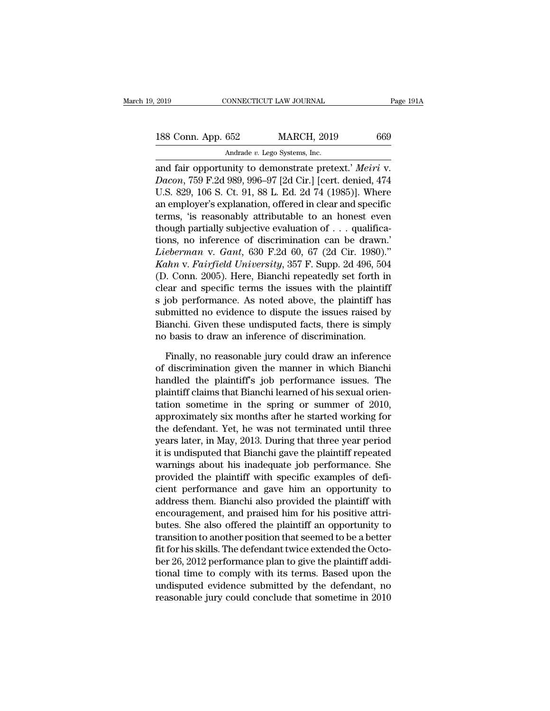2019 CONNECTICUT LAW JOURNAL Page 19<br>
188 Conn. App. 652 MARCH, 2019 669<br>
Andrade v. Lego Systems, Inc.<br>
and fair opportunity to demonstrate pretext.' *Meiri* v.<br> *Dacon*, 759 F.2d 989, 996–97 [2d Cir.] [cert. denied, 474<br> **188 Conn. App. 652 MARCH, 2019** 669<br> **Dacon**, 759 F.2d 989, 996–97 [2d Cir.] [cert. denied, 474<br> **Dacon**, 759 F.2d 989, 996–97 [2d Cir.] [cert. denied, 474<br> **Dacon**, 759 F.2d 989, 996–97 [2d Cir.] [cert. denied, 474<br> **D** 188 Conn. App. 652 MARCH, 2019 669<br>Andrade v. Lego Systems, Inc.<br>and fair opportunity to demonstrate pretext.' Meiri v.<br>Dacon, 759 F.2d 989, 996–97 [2d Cir.] [cert. denied, 474<br>U.S. 829, 106 S. Ct. 91, 88 L. Ed. 2d 74 (19 188 Conn. App. 652 MARCH, 2019 669<br>
Andrade v. Lego Systems, Inc.<br>
and fair opportunity to demonstrate pretext.' *Meiri* v.<br> *Dacon*, 759 F.2d 989, 996–97 [2d Cir.] [cert. denied, 474<br>
U.S. 829, 106 S. Ct. 91, 88 L. Ed. 2 Andrade v. Lego Systems, Inc.<br>
and fair opportunity to demonstrate pretext.' Meiri v.<br>
Dacon, 759 F.2d 989, 996–97 [2d Cir.] [cert. denied, 474<br>
U.S. 829, 106 S. Ct. 91, 88 L. Ed. 2d 74 (1985)]. Where<br>
an employer's expla Andrade v. Lego Systems, Inc.<br>
and fair opportunity to demonstrate pretext.' Meiri v.<br>
Dacon, 759 F.2d 989, 996–97 [2d Cir.] [cert. denied, 474<br>
U.S. 829, 106 S. Ct. 91, 88 L. Ed. 2d 74 (1985)]. Where<br>
an employer's expla and fair opportunity to demonstrate pretext.' Meiri v.<br>
Dacon, 759 F.2d 989, 996–97 [2d Cir.] [cert. denied, 474<br>
U.S. 829, 106 S. Ct. 91, 88 L. Ed. 2d 74 (1985)]. Where<br>
an employer's explanation, offered in clear and sp *Kahn v. Fairfield University*, 357 F. Supp. 2d 496, 504 (D. Conn. 2005). Here, Bianchi repeatedly set forth in U.S. 829, 106 S. Ct. 91, 88 L. Ed. 2d 74 (1985)]. Where<br>an employer's explanation, offered in clear and specific<br>terms, 'is reasonably attributable to an honest even<br>though partially subjective evaluation of . . . qualific an employer's explanation, offered in clear and specific<br>terms, 'is reasonably attributable to an honest even<br>though partially subjective evaluation of . . . qualifica-<br>tions, no inference of discrimination can be drawn.' terms, 'is reasonably attributable to an honest even<br>though partially subjective evaluation of . . . qualifica-<br>tions, no inference of discrimination can be drawn.'<br>Lieberman v. Gant, 630 F.2d 60, 67 (2d Cir. 1980)."<br>Kahn though partially subjective evaluation of . . . qualifica-<br>tions, no inference of discrimination can be drawn.'<br>Lieberman v. Gant, 630 F.2d 60, 67 (2d Cir. 1980)."<br>Kahn v. Fairfield University, 357 F. Supp. 2d 496, 504<br>(D tions, no inference of discrimination can be drawn.'<br>Lieberman v. Gant, 630 F.2d 60, 67 (2d Cir. 1980)."<br>Kahn v. Fairfield University, 357 F. Supp. 2d 496, 504<br>(D. Conn. 2005). Here, Bianchi repeatedly set forth in<br>clear Lieberman v. Gant, 630 F.2d 60, 67 (2d Cir. 1980)."<br>Kahn v. Fairfield University, 357 F. Supp. 2d 496, 504<br>(D. Conn. 2005). Here, Bianchi repeatedly set forth in<br>clear and specific terms the issues with the plaintiff<br>s job Kahn v. Fairfield University, 357 F. Supp. 2d 496, 504 (D. Conn. 2005). Here, Bianchi repeatedly set forth in clear and specific terms the issues with the plaintiff s job performance. As noted above, the plaintiff has subm ear and specific terms the issues with the plaintiff<br>job performance. As noted above, the plaintiff has<br>bmitted no evidence to dispute the issues raised by<br>anchi. Given these undisputed facts, there is simply<br>basis to draw s job performance. As noted above, the plaintiff has<br>submitted no evidence to dispute the issues raised by<br>Bianchi. Given these undisputed facts, there is simply<br>no basis to draw an inference of discrimination.<br>Finally, no

submitted no evidence to dispute the issues raised by<br>Bianchi. Given these undisputed facts, there is simply<br>no basis to draw an inference of discrimination.<br>Finally, no reasonable jury could draw an inference<br>of discrimin Bianchi. Given these undisputed facts, there is simply<br>no basis to draw an inference of discrimination.<br>Finally, no reasonable jury could draw an inference<br>of discrimination given the manner in which Bianchi<br>handled the pl no basis to draw an inference of discrimination.<br>Finally, no reasonable jury could draw an inference<br>of discrimination given the manner in which Bianchi<br>handled the plaintiff's job performance issues. The<br>plaintiff claims Finally, no reasonable jury could draw an inference<br>of discrimination given the manner in which Bianchi<br>handled the plaintiff's job performance issues. The<br>plaintiff claims that Bianchi learned of his sexual orien-<br>tation Finally, no reasonable jury could draw an inference<br>of discrimination given the manner in which Bianchi<br>handled the plaintiff's job performance issues. The<br>plaintiff claims that Bianchi learned of his sexual orien-<br>tation of discrimination given the manner in which Bianchi<br>handled the plaintiff's job performance issues. The<br>plaintiff claims that Bianchi learned of his sexual orien-<br>tation sometime in the spring or summer of 2010,<br>approximat handled the plaintiff's job performance issues. The<br>plaintiff claims that Bianchi learned of his sexual orien-<br>tation sometime in the spring or summer of 2010,<br>approximately six months after he started working for<br>the defe plaintiff claims that Bianchi learned of his sexual orientation sometime in the spring or summer of 2010, approximately six months after he started working for the defendant. Yet, he was not terminated until three years la tation sometime in the spring or summer of 2010,<br>approximately six months after he started working for<br>the defendant. Yet, he was not terminated until three<br>years later, in May, 2013. During that three year period<br>it is un approximately six months after he started working for<br>the defendant. Yet, he was not terminated until three<br>years later, in May, 2013. During that three year period<br>it is undisputed that Bianchi gave the plaintiff repeated the defendant. Yet, he was not terminated until three<br>years later, in May, 2013. During that three year period<br>it is undisputed that Bianchi gave the plaintiff repeated<br>warnings about his inadequate job performance. She<br>pr years later, in May, 2013. During that three year period<br>it is undisputed that Bianchi gave the plaintiff repeated<br>warnings about his inadequate job performance. She<br>provided the plaintiff with specific examples of defi-<br>c it is undisputed that Bianchi gave the plaintiff repeated<br>warnings about his inadequate job performance. She<br>provided the plaintiff with specific examples of defi-<br>cient performance and gave him an opportunity to<br>address t warnings about his inadequate job performance. She<br>provided the plaintiff with specific examples of defi-<br>cient performance and gave him an opportunity to<br>address them. Bianchi also provided the plaintiff with<br>encouragemen provided the plaintiff with specific examples of deficient performance and gave him an opportunity to address them. Bianchi also provided the plaintiff with encouragement, and praised him for his positive attributes. She a cient performance and gave him an opportunity to<br>address them. Bianchi also provided the plaintiff with<br>encouragement, and praised him for his positive attri-<br>butes. She also offered the plaintiff an opportunity to<br>transit address them. Bianchi also provided the plaintiff with<br>encouragement, and praised him for his positive attri-<br>butes. She also offered the plaintiff an opportunity to<br>transition to another position that seemed to be a bette encouragement, and praised him for his positive attributes. She also offered the plaintiff an opportunity to transition to another position that seemed to be a better fit for his skills. The defendant twice extended the Oc butes. She also offered the plaintiff an opportunity to<br>transition to another position that seemed to be a better<br>fit for his skills. The defendant twice extended the Octo-<br>ber 26, 2012 performance plan to give the plainti